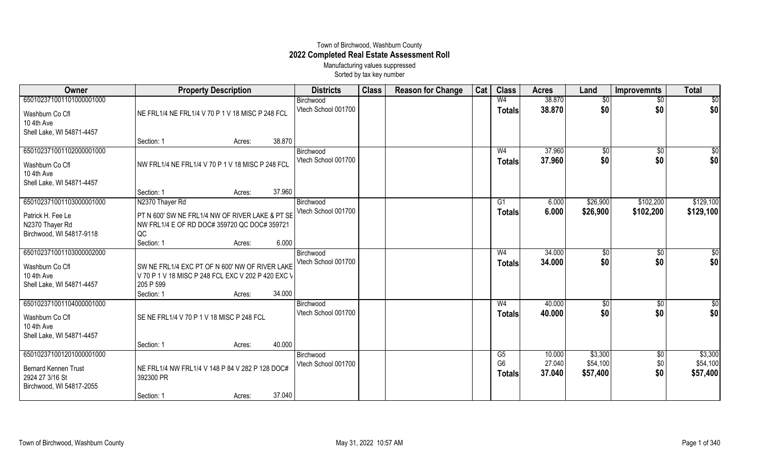## Town of Birchwood, Washburn County **2022 Completed Real Estate Assessment Roll** Manufacturing values suppressed

Sorted by tax key number

| Owner                       | <b>Property Description</b>                        |        | <b>Districts</b> | <b>Class</b>        | <b>Reason for Change</b> | Cat | <b>Class</b> | <b>Acres</b>   | Land   | <b>Improvemnts</b> | <b>Total</b>    |                 |
|-----------------------------|----------------------------------------------------|--------|------------------|---------------------|--------------------------|-----|--------------|----------------|--------|--------------------|-----------------|-----------------|
| 650102371001101000001000    |                                                    |        |                  | Birchwood           |                          |     |              | W <sub>4</sub> | 38.870 | $\sqrt{$0}$        | $\overline{60}$ | $\overline{60}$ |
| Washburn Co Cfl             | NE FRL1/4 NE FRL1/4 V 70 P 1 V 18 MISC P 248 FCL   |        |                  | Vtech School 001700 |                          |     |              | <b>Totals</b>  | 38.870 | \$0                | \$0             | \$0             |
| 10 4th Ave                  |                                                    |        |                  |                     |                          |     |              |                |        |                    |                 |                 |
| Shell Lake, WI 54871-4457   |                                                    |        |                  |                     |                          |     |              |                |        |                    |                 |                 |
|                             | Section: 1                                         | Acres: | 38.870           |                     |                          |     |              |                |        |                    |                 |                 |
| 650102371001102000001000    |                                                    |        |                  | Birchwood           |                          |     |              | W <sub>4</sub> | 37.960 | $\sqrt{$0}$        | $\overline{50}$ | $\overline{50}$ |
| Washburn Co Cfl             | NW FRL1/4 NE FRL1/4 V 70 P 1 V 18 MISC P 248 FCL   |        |                  | Vtech School 001700 |                          |     |              | <b>Totals</b>  | 37.960 | \$0                | \$0             | \$0             |
| 10 4th Ave                  |                                                    |        |                  |                     |                          |     |              |                |        |                    |                 |                 |
| Shell Lake, WI 54871-4457   |                                                    |        |                  |                     |                          |     |              |                |        |                    |                 |                 |
|                             | Section: 1                                         | Acres: | 37.960           |                     |                          |     |              |                |        |                    |                 |                 |
| 650102371001103000001000    | N2370 Thayer Rd                                    |        |                  | Birchwood           |                          |     |              | G1             | 6.000  | \$26,900           | \$102,200       | \$129,100       |
| Patrick H. Fee Le           | PT N 600' SW NE FRL1/4 NW OF RIVER LAKE & PT SE    |        |                  | Vtech School 001700 |                          |     |              | <b>Totals</b>  | 6.000  | \$26,900           | \$102,200       | \$129,100       |
| N2370 Thayer Rd             | NW FRL1/4 E OF RD DOC# 359720 QC DOC# 359721       |        |                  |                     |                          |     |              |                |        |                    |                 |                 |
| Birchwood, WI 54817-9118    | QC                                                 |        |                  |                     |                          |     |              |                |        |                    |                 |                 |
|                             | Section: 1                                         | Acres: | 6.000            |                     |                          |     |              |                |        |                    |                 |                 |
| 650102371001103000002000    |                                                    |        |                  | Birchwood           |                          |     |              | W <sub>4</sub> | 34.000 | $\sqrt[6]{}$       | $\sqrt{6}$      | \$0             |
| Washburn Co Cfl             | SW NE FRL1/4 EXC PT OF N 600' NW OF RIVER LAKE     |        |                  | Vtech School 001700 |                          |     |              | <b>Totals</b>  | 34.000 | \$0                | \$0             | \$0             |
| 10 4th Ave                  | V 70 P 1 V 18 MISC P 248 FCL EXC V 202 P 420 EXC V |        |                  |                     |                          |     |              |                |        |                    |                 |                 |
| Shell Lake, WI 54871-4457   | 205 P 599                                          |        |                  |                     |                          |     |              |                |        |                    |                 |                 |
|                             | Section: 1                                         | Acres: | 34.000           |                     |                          |     |              |                |        |                    |                 |                 |
| 650102371001104000001000    |                                                    |        |                  | Birchwood           |                          |     |              | W <sub>4</sub> | 40.000 | $\sqrt[6]{3}$      | \$0             | \$0             |
| Washburn Co Cfl             | SE NE FRL1/4 V 70 P 1 V 18 MISC P 248 FCL          |        |                  | Vtech School 001700 |                          |     |              | <b>Totals</b>  | 40.000 | \$0                | \$0             | \$0             |
| 10 4th Ave                  |                                                    |        |                  |                     |                          |     |              |                |        |                    |                 |                 |
| Shell Lake, WI 54871-4457   |                                                    |        |                  |                     |                          |     |              |                |        |                    |                 |                 |
|                             | Section: 1                                         | Acres: | 40.000           |                     |                          |     |              |                |        |                    |                 |                 |
| 650102371001201000001000    |                                                    |        |                  | Birchwood           |                          |     |              | G5             | 10.000 | \$3,300            | $\sqrt[6]{3}$   | \$3,300         |
| <b>Bernard Kennen Trust</b> | NE FRL1/4 NW FRL1/4 V 148 P 84 V 282 P 128 DOC#    |        |                  | Vtech School 001700 |                          |     |              | G <sub>6</sub> | 27.040 | \$54,100           | \$0             | \$54,100        |
| 2924 27 3/16 St             | 392300 PR                                          |        |                  |                     |                          |     |              | <b>Totals</b>  | 37.040 | \$57,400           | \$0             | \$57,400        |
| Birchwood, WI 54817-2055    |                                                    |        |                  |                     |                          |     |              |                |        |                    |                 |                 |
|                             | Section: 1                                         | Acres: | 37.040           |                     |                          |     |              |                |        |                    |                 |                 |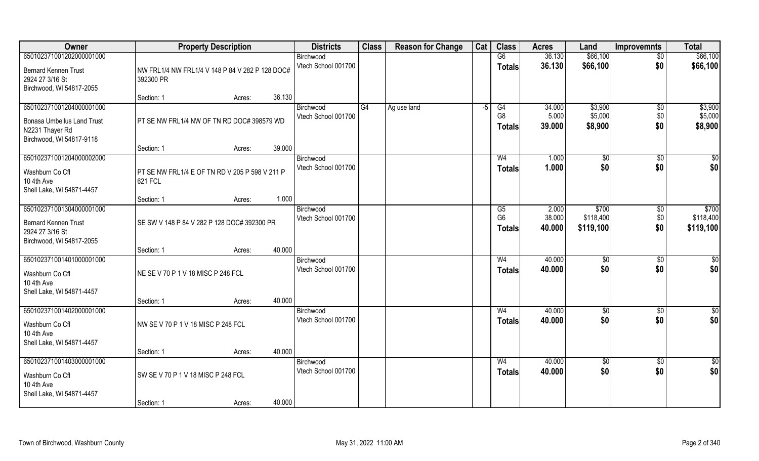| Owner                                                                                                        | <b>Property Description</b>                                  |        |        | <b>Districts</b>                 | <b>Class</b> | <b>Reason for Change</b> | Cat | <b>Class</b>                          | <b>Acres</b>              | Land                            | <b>Improvemnts</b>            | <b>Total</b>                    |
|--------------------------------------------------------------------------------------------------------------|--------------------------------------------------------------|--------|--------|----------------------------------|--------------|--------------------------|-----|---------------------------------------|---------------------------|---------------------------------|-------------------------------|---------------------------------|
| 650102371001202000001000                                                                                     |                                                              |        |        | Birchwood                        |              |                          |     | G6                                    | 36.130                    | \$66,100                        | $\overline{50}$               | \$66,100                        |
| <b>Bernard Kennen Trust</b><br>2924 27 3/16 St<br>Birchwood, WI 54817-2055                                   | NW FRL1/4 NW FRL1/4 V 148 P 84 V 282 P 128 DOC#<br>392300 PR |        |        | Vtech School 001700              |              |                          |     | <b>Totals</b>                         | 36.130                    | \$66,100                        | \$0                           | \$66,100                        |
|                                                                                                              | Section: 1                                                   | Acres: | 36.130 |                                  |              |                          |     |                                       |                           |                                 |                               |                                 |
| 650102371001204000001000<br><b>Bonasa Umbellus Land Trust</b><br>N2231 Thayer Rd<br>Birchwood, WI 54817-9118 | PT SE NW FRL1/4 NW OF TN RD DOC# 398579 WD                   |        |        | Birchwood<br>Vtech School 001700 | G4           | Ag use land              | -5  | G4<br>G <sub>8</sub><br><b>Totals</b> | 34.000<br>5.000<br>39.000 | \$3,900<br>\$5,000<br>\$8,900   | $\overline{50}$<br>\$0<br>\$0 | \$3,900<br>\$5,000<br>\$8,900   |
|                                                                                                              | Section: 1                                                   | Acres: | 39.000 |                                  |              |                          |     |                                       |                           |                                 |                               |                                 |
| 650102371001204000002000<br>Washburn Co Cfl<br>10 4th Ave<br>Shell Lake, WI 54871-4457                       | PT SE NW FRL1/4 E OF TN RD V 205 P 598 V 211 P<br>621 FCL    |        |        | Birchwood<br>Vtech School 001700 |              |                          |     | W <sub>4</sub><br><b>Totals</b>       | 1.000<br>1.000            | \$0<br>\$0                      | $\sqrt[6]{30}$<br>\$0         | \$0<br>\$0                      |
|                                                                                                              | Section: 1                                                   | Acres: | 1.000  |                                  |              |                          |     |                                       |                           |                                 |                               |                                 |
| 650102371001304000001000<br><b>Bernard Kennen Trust</b><br>2924 27 3/16 St<br>Birchwood, WI 54817-2055       | SE SW V 148 P 84 V 282 P 128 DOC# 392300 PR                  |        |        | Birchwood<br>Vtech School 001700 |              |                          |     | G5<br>G <sub>6</sub><br><b>Totals</b> | 2.000<br>38.000<br>40.000 | \$700<br>\$118,400<br>\$119,100 | $\sqrt[6]{3}$<br>\$0<br>\$0   | \$700<br>\$118,400<br>\$119,100 |
|                                                                                                              | Section: 1                                                   | Acres: | 40.000 |                                  |              |                          |     |                                       |                           |                                 |                               |                                 |
| 650102371001401000001000<br>Washburn Co Cfl<br>10 4th Ave<br>Shell Lake, WI 54871-4457                       | NE SE V 70 P 1 V 18 MISC P 248 FCL                           |        |        | Birchwood<br>Vtech School 001700 |              |                          |     | W <sub>4</sub><br><b>Totals</b>       | 40.000<br>40.000          | \$0<br>\$0                      | $\sqrt[6]{30}$<br>\$0         | \$0<br>\$0                      |
|                                                                                                              | Section: 1                                                   | Acres: | 40.000 |                                  |              |                          |     |                                       |                           |                                 |                               |                                 |
| 650102371001402000001000<br>Washburn Co Cfl<br>10 4th Ave<br>Shell Lake, WI 54871-4457                       | NW SE V 70 P 1 V 18 MISC P 248 FCL                           |        |        | Birchwood<br>Vtech School 001700 |              |                          |     | W <sub>4</sub><br><b>Totals</b>       | 40.000<br>40.000          | \$0<br>\$0                      | \$0<br>\$0                    | \$0<br>\$0                      |
|                                                                                                              | Section: 1                                                   | Acres: | 40.000 |                                  |              |                          |     |                                       |                           |                                 |                               |                                 |
| 650102371001403000001000<br>Washburn Co Cfl<br>10 4th Ave<br>Shell Lake, WI 54871-4457                       | SW SEV 70 P 1 V 18 MISC P 248 FCL<br>Section: 1              | Acres: | 40.000 | Birchwood<br>Vtech School 001700 |              |                          |     | W <sub>4</sub><br><b>Totals</b>       | 40.000<br>40.000          | $\overline{50}$<br>\$0          | $\overline{50}$<br>\$0        | $\overline{50}$<br>\$0          |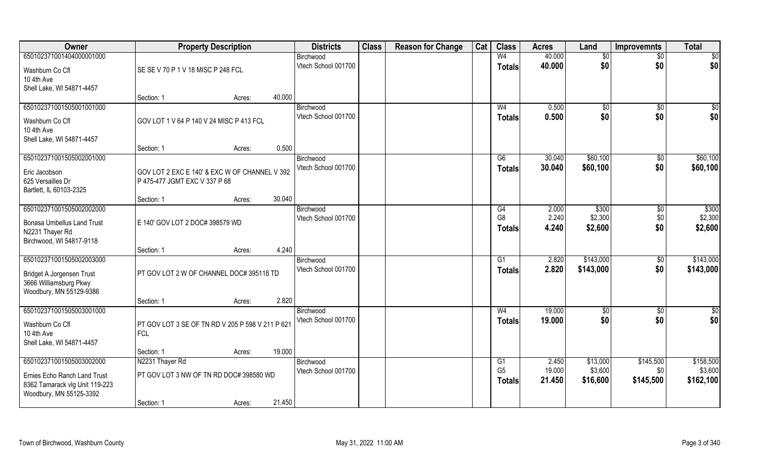| Owner                             | <b>Property Description</b>                      |                                         | <b>Districts</b> | <b>Class</b>                     | <b>Reason for Change</b> | Cat | <b>Class</b> | <b>Acres</b>         | Land           | <b>Improvemnts</b> | <b>Total</b>       |                    |
|-----------------------------------|--------------------------------------------------|-----------------------------------------|------------------|----------------------------------|--------------------------|-----|--------------|----------------------|----------------|--------------------|--------------------|--------------------|
| 650102371001404000001000          |                                                  |                                         |                  | Birchwood                        |                          |     |              | W <sub>4</sub>       | 40.000         | \$0                | $\sqrt{$0}$        | $\sqrt{50}$        |
| Washburn Co Cfl                   | SE SE V 70 P 1 V 18 MISC P 248 FCL               |                                         |                  | Vtech School 001700              |                          |     |              | <b>Totals</b>        | 40.000         | \$0                | \$0                | \$0                |
| 10 4th Ave                        |                                                  |                                         |                  |                                  |                          |     |              |                      |                |                    |                    |                    |
| Shell Lake, WI 54871-4457         |                                                  |                                         |                  |                                  |                          |     |              |                      |                |                    |                    |                    |
|                                   | Section: 1                                       | Acres:                                  | 40.000           |                                  |                          |     |              |                      |                |                    |                    |                    |
| 650102371001505001001000          |                                                  |                                         |                  | Birchwood                        |                          |     |              | W <sub>4</sub>       | 0.500          | \$0                | \$0                | \$0                |
| Washburn Co Cfl                   | GOV LOT 1 V 64 P 140 V 24 MISC P 413 FCL         |                                         |                  | Vtech School 001700              |                          |     |              | <b>Totals</b>        | 0.500          | \$0                | \$0                | \$0                |
| 10 4th Ave                        |                                                  |                                         |                  |                                  |                          |     |              |                      |                |                    |                    |                    |
| Shell Lake, WI 54871-4457         |                                                  |                                         |                  |                                  |                          |     |              |                      |                |                    |                    |                    |
|                                   | Section: 1                                       | Acres:                                  | 0.500            |                                  |                          |     |              |                      |                |                    |                    |                    |
| 650102371001505002001000          |                                                  |                                         |                  | Birchwood                        |                          |     |              | G6                   | 30.040         | \$60,100           | \$0                | \$60,100           |
| Eric Jacobson                     | GOV LOT 2 EXC E 140' & EXC W OF CHANNEL V 392    |                                         |                  | Vtech School 001700              |                          |     |              | <b>Totals</b>        | 30.040         | \$60,100           | \$0                | \$60,100           |
| 625 Versailles Dr                 | P 475-477 JGMT EXC V 337 P 68                    |                                         |                  |                                  |                          |     |              |                      |                |                    |                    |                    |
| Bartlett, IL 60103-2325           |                                                  |                                         |                  |                                  |                          |     |              |                      |                |                    |                    |                    |
|                                   | Section: 1                                       | Acres:                                  | 30.040           |                                  |                          |     |              |                      |                |                    |                    |                    |
| 650102371001505002002000          |                                                  |                                         |                  | Birchwood                        |                          |     |              | G4<br>G <sub>8</sub> | 2.000<br>2.240 | \$300<br>\$2,300   | $\sqrt[6]{3}$      | \$300              |
| <b>Bonasa Umbellus Land Trust</b> | E 140' GOV LOT 2 DOC# 398579 WD                  |                                         |                  | Vtech School 001700              |                          |     |              |                      | 4.240          | \$2,600            | \$0<br>\$0         | \$2,300<br>\$2,600 |
| N2231 Thayer Rd                   |                                                  |                                         |                  |                                  |                          |     |              | <b>Totals</b>        |                |                    |                    |                    |
| Birchwood, WI 54817-9118          |                                                  |                                         |                  |                                  |                          |     |              |                      |                |                    |                    |                    |
|                                   | Section: 1                                       | Acres:                                  | 4.240            |                                  |                          |     |              |                      |                |                    |                    |                    |
| 650102371001505002003000          |                                                  |                                         |                  | Birchwood<br>Vtech School 001700 |                          |     |              | G1                   | 2.820<br>2.820 | \$143,000          | $\overline{50}$    | \$143,000          |
| Bridget A Jorgensen Trust         | PT GOV LOT 2 W OF CHANNEL DOC# 395118 TD         |                                         |                  |                                  |                          |     |              | <b>Totals</b>        |                | \$143,000          | \$0                | \$143,000          |
| 3666 Williamsburg Pkwy            |                                                  |                                         |                  |                                  |                          |     |              |                      |                |                    |                    |                    |
| Woodbury, MN 55129-9386           |                                                  |                                         |                  |                                  |                          |     |              |                      |                |                    |                    |                    |
| 650102371001505003001000          | Section: 1                                       | Acres:                                  | 2.820            |                                  |                          |     |              | W <sub>4</sub>       | 19.000         |                    |                    | $\overline{50}$    |
|                                   |                                                  |                                         |                  | Birchwood<br>Vtech School 001700 |                          |     |              |                      | 19.000         | \$0<br>\$0         | $\sqrt{$0}$<br>\$0 | \$0                |
| Washburn Co Cfl                   | PT GOV LOT 3 SE OF TN RD V 205 P 598 V 211 P 621 |                                         |                  |                                  |                          |     |              | <b>Totals</b>        |                |                    |                    |                    |
| 10 4th Ave                        | <b>FCL</b>                                       |                                         |                  |                                  |                          |     |              |                      |                |                    |                    |                    |
| Shell Lake, WI 54871-4457         |                                                  |                                         |                  |                                  |                          |     |              |                      |                |                    |                    |                    |
| 650102371001505003002000          | Section: 1<br>N2231 Thayer Rd                    | Acres:                                  | 19.000           | Birchwood                        |                          |     |              | G1                   | 2.450          | \$13,000           | \$145,500          | \$158,500          |
|                                   |                                                  |                                         |                  | Vtech School 001700              |                          |     |              | G <sub>5</sub>       | 19.000         | \$3,600            | \$0                | \$3,600            |
| Ernies Echo Ranch Land Trust      |                                                  | PT GOV LOT 3 NW OF TN RD DOC# 398580 WD |                  |                                  |                          |     |              | <b>Totals</b>        | 21.450         | \$16,600           | \$145,500          | \$162,100          |
| 8362 Tamarack vlg Unit 119-223    |                                                  |                                         |                  |                                  |                          |     |              |                      |                |                    |                    |                    |
| Woodbury, MN 55125-3392           |                                                  |                                         |                  |                                  |                          |     |              |                      |                |                    |                    |                    |
|                                   | Section: 1                                       | Acres:                                  | 21.450           |                                  |                          |     |              |                      |                |                    |                    |                    |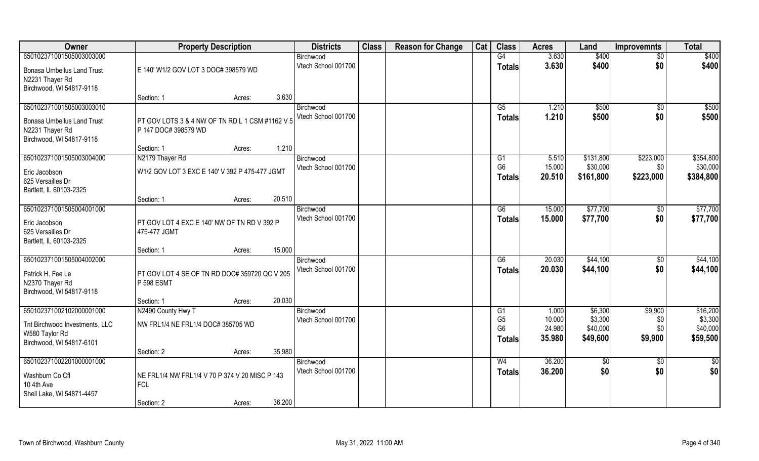| Owner                                                                                                        | <b>Property Description</b>                                                                    | <b>Districts</b>                 | <b>Class</b> | <b>Reason for Change</b> | Cat | <b>Class</b>                                            | <b>Acres</b>                        | Land                                       | <b>Improvemnts</b>                 | <b>Total</b>                                |
|--------------------------------------------------------------------------------------------------------------|------------------------------------------------------------------------------------------------|----------------------------------|--------------|--------------------------|-----|---------------------------------------------------------|-------------------------------------|--------------------------------------------|------------------------------------|---------------------------------------------|
| 650102371001505003003000                                                                                     |                                                                                                | Birchwood                        |              |                          |     | G4                                                      | 3.630                               | \$400                                      | $\sqrt{6}$                         | \$400                                       |
| <b>Bonasa Umbellus Land Trust</b><br>N2231 Thayer Rd<br>Birchwood, WI 54817-9118                             | E 140' W1/2 GOV LOT 3 DOC# 398579 WD                                                           | Vtech School 001700              |              |                          |     | <b>Totals</b>                                           | 3.630                               | \$400                                      | \$0                                | \$400                                       |
|                                                                                                              | 3.630<br>Section: 1<br>Acres:                                                                  |                                  |              |                          |     |                                                         |                                     |                                            |                                    |                                             |
| 650102371001505003003010<br><b>Bonasa Umbellus Land Trust</b><br>N2231 Thayer Rd<br>Birchwood, WI 54817-9118 | PT GOV LOTS 3 & 4 NW OF TN RD L 1 CSM #1162 V 5<br>P 147 DOC# 398579 WD                        | Birchwood<br>Vtech School 001700 |              |                          |     | G5<br>Totals                                            | 1.210<br>1.210                      | \$500<br>\$500                             | $\sqrt[6]{}$<br>\$0                | \$500<br>\$500                              |
|                                                                                                              | 1.210<br>Section: 1<br>Acres:                                                                  |                                  |              |                          |     |                                                         |                                     |                                            |                                    |                                             |
| 650102371001505003004000<br>Eric Jacobson<br>625 Versailles Dr<br>Bartlett, IL 60103-2325                    | N2179 Thayer Rd<br>W1/2 GOV LOT 3 EXC E 140' V 392 P 475-477 JGMT                              | Birchwood<br>Vtech School 001700 |              |                          |     | G1<br>G <sub>6</sub><br><b>Totals</b>                   | 5.510<br>15.000<br>20.510           | \$131,800<br>\$30,000<br>\$161,800         | \$223,000<br>\$0<br>\$223,000      | \$354,800<br>\$30,000<br>\$384,800          |
|                                                                                                              | 20.510<br>Section: 1<br>Acres:                                                                 |                                  |              |                          |     |                                                         |                                     |                                            |                                    |                                             |
| 650102371001505004001000<br>Eric Jacobson<br>625 Versailles Dr<br>Bartlett, IL 60103-2325                    | PT GOV LOT 4 EXC E 140' NW OF TN RD V 392 P<br>475-477 JGMT                                    | Birchwood<br>Vtech School 001700 |              |                          |     | G6<br><b>Totals</b>                                     | 15.000<br>15.000                    | \$77,700<br>\$77,700                       | \$0<br>\$0                         | \$77,700<br>\$77,700                        |
|                                                                                                              | 15.000<br>Section: 1<br>Acres:                                                                 |                                  |              |                          |     |                                                         |                                     |                                            |                                    |                                             |
| 650102371001505004002000<br>Patrick H. Fee Le<br>N2370 Thayer Rd<br>Birchwood, WI 54817-9118                 | PT GOV LOT 4 SE OF TN RD DOC# 359720 QC V 205<br>P 598 ESMT                                    | Birchwood<br>Vtech School 001700 |              |                          |     | G6<br><b>Totals</b>                                     | 20.030<br>20.030                    | \$44,100<br>\$44,100                       | \$0<br>\$0                         | \$44,100<br>\$44,100                        |
|                                                                                                              | 20.030<br>Section: 1<br>Acres:                                                                 |                                  |              |                          |     |                                                         |                                     |                                            |                                    |                                             |
| 650102371002102000001000<br>Tnt Birchwood Investments, LLC<br>W580 Taylor Rd<br>Birchwood, WI 54817-6101     | N2490 County Hwy T<br>NW FRL1/4 NE FRL1/4 DOC# 385705 WD                                       | Birchwood<br>Vtech School 001700 |              |                          |     | G1<br>G <sub>5</sub><br>G <sub>6</sub><br><b>Totals</b> | 1.000<br>10.000<br>24.980<br>35.980 | \$6,300<br>\$3,300<br>\$40,000<br>\$49,600 | \$9,900<br>\$0<br>\$0\$<br>\$9,900 | \$16,200<br>\$3,300<br>\$40,000<br>\$59,500 |
|                                                                                                              | 35.980<br>Section: 2<br>Acres:                                                                 |                                  |              |                          |     |                                                         |                                     |                                            |                                    |                                             |
| 650102371002201000001000<br>Washburn Co Cfl<br>10 4th Ave<br>Shell Lake, WI 54871-4457                       | NE FRL1/4 NW FRL1/4 V 70 P 374 V 20 MISC P 143<br><b>FCL</b><br>36.200<br>Section: 2<br>Acres: | Birchwood<br>Vtech School 001700 |              |                          |     | W <sub>4</sub><br><b>Totals</b>                         | 36.200<br>36.200                    | \$0<br>\$0                                 | $\overline{60}$<br>\$0             | \$0<br>\$0                                  |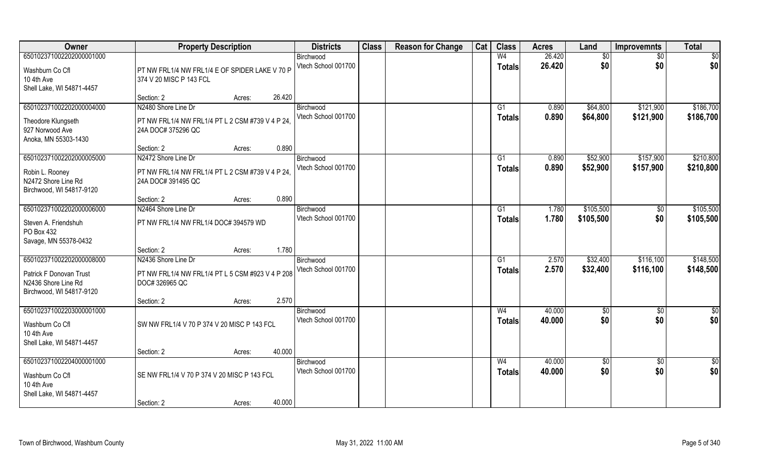| Owner                                                                                                  | <b>Property Description</b>                                                                   |        | <b>Districts</b>                 | <b>Class</b> | <b>Reason for Change</b> | Cat | <b>Class</b>                    | <b>Acres</b>     | Land                   | <b>Improvemnts</b>     | <b>Total</b>           |
|--------------------------------------------------------------------------------------------------------|-----------------------------------------------------------------------------------------------|--------|----------------------------------|--------------|--------------------------|-----|---------------------------------|------------------|------------------------|------------------------|------------------------|
| 650102371002202000001000<br>Washburn Co Cfl<br>10 4th Ave<br>Shell Lake, WI 54871-4457                 | PT NW FRL1/4 NW FRL1/4 E OF SPIDER LAKE V 70 P<br>374 V 20 MISC P 143 FCL                     |        | Birchwood<br>Vtech School 001700 |              |                          |     | W <sub>4</sub><br><b>Totals</b> | 26.420<br>26.420 | $\overline{30}$<br>\$0 | $\sqrt{6}$<br>\$0      | \$0<br>\$0             |
|                                                                                                        | Section: 2<br>Acres:                                                                          | 26.420 |                                  |              |                          |     |                                 |                  |                        |                        |                        |
| 650102371002202000004000<br>Theodore Klungseth<br>927 Norwood Ave<br>Anoka, MN 55303-1430              | N2480 Shore Line Dr<br>PT NW FRL1/4 NW FRL1/4 PT L 2 CSM #739 V 4 P 24.<br>24A DOC# 375296 QC |        | Birchwood<br>Vtech School 001700 |              |                          |     | G1<br><b>Totals</b>             | 0.890<br>0.890   | \$64,800<br>\$64,800   | \$121,900<br>\$121,900 | \$186,700<br>\$186,700 |
|                                                                                                        | Section: 2<br>Acres:                                                                          | 0.890  |                                  |              |                          |     |                                 |                  |                        |                        |                        |
| 650102371002202000005000<br>Robin L. Rooney<br>N2472 Shore Line Rd<br>Birchwood, WI 54817-9120         | N2472 Shore Line Dr<br>PT NW FRL1/4 NW FRL1/4 PT L 2 CSM #739 V 4 P 24.<br>24A DOC# 391495 QC |        | Birchwood<br>Vtech School 001700 |              |                          |     | G1<br><b>Totals</b>             | 0.890<br>0.890   | \$52,900<br>\$52,900   | \$157,900<br>\$157,900 | \$210,800<br>\$210,800 |
|                                                                                                        | Section: 2<br>Acres:                                                                          | 0.890  |                                  |              |                          |     |                                 |                  |                        |                        |                        |
| 650102371002202000006000<br>Steven A. Friendshuh<br>PO Box 432<br>Savage, MN 55378-0432                | N2464 Shore Line Dr<br>PT NW FRL1/4 NW FRL1/4 DOC# 394579 WD                                  |        | Birchwood<br>Vtech School 001700 |              |                          |     | G1<br><b>Totals</b>             | 1.780<br>1.780   | \$105,500<br>\$105,500 | $\sqrt{50}$<br>\$0     | \$105,500<br>\$105,500 |
|                                                                                                        | Section: 2<br>Acres:                                                                          | 1.780  |                                  |              |                          |     |                                 |                  |                        |                        |                        |
| 650102371002202000008000<br>Patrick F Donovan Trust<br>N2436 Shore Line Rd<br>Birchwood, WI 54817-9120 | N2436 Shore Line Dr<br>PT NW FRL1/4 NW FRL1/4 PT L 5 CSM #923 V 4 P 208<br>DOC# 326965 QC     |        | Birchwood<br>Vtech School 001700 |              |                          |     | G1<br>Totals                    | 2.570<br>2.570   | \$32,400<br>\$32,400   | \$116,100<br>\$116,100 | \$148,500<br>\$148,500 |
|                                                                                                        | Section: 2<br>Acres:                                                                          | 2.570  |                                  |              |                          |     |                                 |                  |                        |                        |                        |
| 650102371002203000001000<br>Washburn Co Cfl<br>10 4th Ave<br>Shell Lake, WI 54871-4457                 | SW NW FRL1/4 V 70 P 374 V 20 MISC P 143 FCL                                                   |        | Birchwood<br>Vtech School 001700 |              |                          |     | W <sub>4</sub><br><b>Totals</b> | 40.000<br>40.000 | \$0<br>\$0             | \$0<br>\$0             | $\frac{1}{2}$<br>\$0   |
|                                                                                                        | Section: 2<br>Acres:                                                                          | 40.000 |                                  |              |                          |     |                                 |                  |                        |                        |                        |
| 650102371002204000001000<br>Washburn Co Cfl<br>10 4th Ave<br>Shell Lake, WI 54871-4457                 | SE NW FRL1/4 V 70 P 374 V 20 MISC P 143 FCL<br>Section: 2<br>Acres:                           | 40.000 | Birchwood<br>Vtech School 001700 |              |                          |     | W <sub>4</sub><br><b>Totals</b> | 40.000<br>40.000 | $\sqrt{6}$<br>\$0      | $\overline{50}$<br>\$0 | $\frac{1}{2}$<br>\$0   |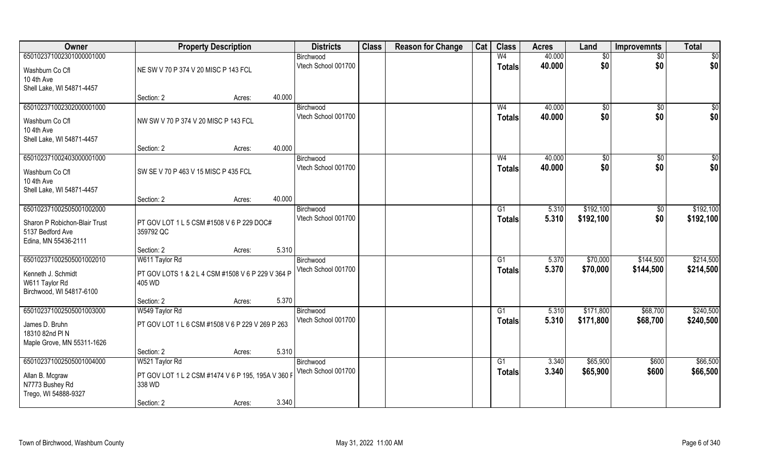| Owner                                    | <b>Property Description</b>                                 |        |        | <b>Districts</b>                 | <b>Class</b> | <b>Reason for Change</b> | Cat | <b>Class</b>    | <b>Acres</b> | Land       | <b>Improvemnts</b> | <b>Total</b> |
|------------------------------------------|-------------------------------------------------------------|--------|--------|----------------------------------|--------------|--------------------------|-----|-----------------|--------------|------------|--------------------|--------------|
| 650102371002301000001000                 |                                                             |        |        | Birchwood                        |              |                          |     | W <sub>4</sub>  | 40.000       | \$0        | \$0                | \$0          |
| Washburn Co Cfl                          | NE SW V 70 P 374 V 20 MISC P 143 FCL                        |        |        | Vtech School 001700              |              |                          |     | <b>Totals</b>   | 40.000       | \$0        | \$0                | \$0          |
| 10 4th Ave                               |                                                             |        |        |                                  |              |                          |     |                 |              |            |                    |              |
| Shell Lake, WI 54871-4457                |                                                             |        |        |                                  |              |                          |     |                 |              |            |                    |              |
|                                          | Section: 2                                                  | Acres: | 40.000 |                                  |              |                          |     |                 |              |            |                    |              |
| 650102371002302000001000                 |                                                             |        |        | Birchwood                        |              |                          |     | W <sub>4</sub>  | 40.000       | \$0        | \$0                | \$0          |
| Washburn Co Cfl                          | NW SW V 70 P 374 V 20 MISC P 143 FCL                        |        |        | Vtech School 001700              |              |                          |     | <b>Totals</b>   | 40.000       | \$0        | \$0                | \$0          |
| 10 4th Ave                               |                                                             |        |        |                                  |              |                          |     |                 |              |            |                    |              |
| Shell Lake, WI 54871-4457                |                                                             |        |        |                                  |              |                          |     |                 |              |            |                    |              |
|                                          | Section: 2                                                  | Acres: | 40.000 |                                  |              |                          |     |                 |              |            |                    |              |
| 650102371002403000001000                 |                                                             |        |        | Birchwood<br>Vtech School 001700 |              |                          |     | W <sub>4</sub>  | 40.000       | \$0<br>\$0 | \$0<br>\$0         | \$0<br>\$0   |
| Washburn Co Cfl                          | SW SE V 70 P 463 V 15 MISC P 435 FCL                        |        |        |                                  |              |                          |     | <b>Totals</b>   | 40.000       |            |                    |              |
| 10 4th Ave                               |                                                             |        |        |                                  |              |                          |     |                 |              |            |                    |              |
| Shell Lake, WI 54871-4457                |                                                             |        | 40.000 |                                  |              |                          |     |                 |              |            |                    |              |
| 650102371002505001002000                 | Section: 2                                                  | Acres: |        | Birchwood                        |              |                          |     | G1              | 5.310        | \$192,100  | \$0                | \$192,100    |
|                                          |                                                             |        |        | Vtech School 001700              |              |                          |     | <b>Totals</b>   | 5.310        | \$192,100  | \$0                | \$192,100    |
| Sharon P Robichon-Blair Trust            | PT GOV LOT 1 L 5 CSM #1508 V 6 P 229 DOC#                   |        |        |                                  |              |                          |     |                 |              |            |                    |              |
| 5137 Bedford Ave<br>Edina, MN 55436-2111 | 359792 QC                                                   |        |        |                                  |              |                          |     |                 |              |            |                    |              |
|                                          | Section: 2                                                  | Acres: | 5.310  |                                  |              |                          |     |                 |              |            |                    |              |
| 650102371002505001002010                 | W611 Taylor Rd                                              |        |        | Birchwood                        |              |                          |     | G1              | 5.370        | \$70,000   | \$144,500          | \$214,500    |
|                                          |                                                             |        |        | Vtech School 001700              |              |                          |     | <b>Totals</b>   | 5.370        | \$70,000   | \$144,500          | \$214,500    |
| Kenneth J. Schmidt<br>W611 Taylor Rd     | PT GOV LOTS 1 & 2 L 4 CSM #1508 V 6 P 229 V 364 P<br>405 WD |        |        |                                  |              |                          |     |                 |              |            |                    |              |
| Birchwood, WI 54817-6100                 |                                                             |        |        |                                  |              |                          |     |                 |              |            |                    |              |
|                                          | Section: 2                                                  | Acres: | 5.370  |                                  |              |                          |     |                 |              |            |                    |              |
| 650102371002505001003000                 | W549 Taylor Rd                                              |        |        | Birchwood                        |              |                          |     | $\overline{G1}$ | 5.310        | \$171,800  | \$68,700           | \$240,500    |
| James D. Bruhn                           | PT GOV LOT 1 L 6 CSM #1508 V 6 P 229 V 269 P 263            |        |        | Vtech School 001700              |              |                          |     | <b>Totals</b>   | 5.310        | \$171,800  | \$68,700           | \$240,500    |
| 18310 82nd PIN                           |                                                             |        |        |                                  |              |                          |     |                 |              |            |                    |              |
| Maple Grove, MN 55311-1626               |                                                             |        |        |                                  |              |                          |     |                 |              |            |                    |              |
|                                          | Section: 2                                                  | Acres: | 5.310  |                                  |              |                          |     |                 |              |            |                    |              |
| 650102371002505001004000                 | W521 Taylor Rd                                              |        |        | Birchwood                        |              |                          |     | G1              | 3.340        | \$65,900   | \$600              | \$66,500     |
| Allan B. Mcgraw                          | PT GOV LOT 1 L 2 CSM #1474 V 6 P 195, 195A V 360 F          |        |        | Vtech School 001700              |              |                          |     | <b>Totals</b>   | 3.340        | \$65,900   | \$600              | \$66,500     |
| N7773 Bushey Rd                          | 338 WD                                                      |        |        |                                  |              |                          |     |                 |              |            |                    |              |
| Trego, WI 54888-9327                     |                                                             |        |        |                                  |              |                          |     |                 |              |            |                    |              |
|                                          | Section: 2                                                  | Acres: | 3.340  |                                  |              |                          |     |                 |              |            |                    |              |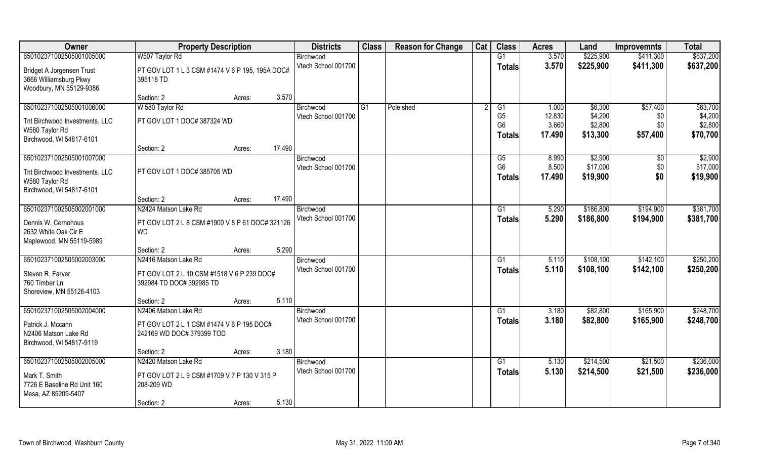| Owner                                                                          | <b>Property Description</b>                                            |                  | <b>Districts</b>    | <b>Class</b>   | <b>Reason for Change</b> | Cat | <b>Class</b>                                      | <b>Acres</b>              | Land                           | <b>Improvemnts</b>     | <b>Total</b>                   |
|--------------------------------------------------------------------------------|------------------------------------------------------------------------|------------------|---------------------|----------------|--------------------------|-----|---------------------------------------------------|---------------------------|--------------------------------|------------------------|--------------------------------|
| 650102371002505001005000                                                       | W507 Taylor Rd                                                         |                  | Birchwood           |                |                          |     | G1                                                | 3.570                     | \$225,900                      | \$411,300              | \$637,200                      |
| Bridget A Jorgensen Trust<br>3666 Williamsburg Pkwy<br>Woodbury, MN 55129-9386 | PT GOV LOT 1 L 3 CSM #1474 V 6 P 195, 195A DOC#<br>395118 TD           |                  | Vtech School 001700 |                |                          |     | <b>Totals</b>                                     | 3.570                     | \$225,900                      | \$411,300              | \$637,200                      |
|                                                                                | Section: 2                                                             | 3.570<br>Acres:  |                     |                |                          |     |                                                   |                           |                                |                        |                                |
| 650102371002505001006000                                                       | W 580 Taylor Rd                                                        |                  | Birchwood           | G <sub>1</sub> | Pole shed                |     | G1                                                | 1.000                     | \$6,300                        | \$57,400               | \$63,700                       |
| Tnt Birchwood Investments, LLC<br>W580 Taylor Rd<br>Birchwood, WI 54817-6101   | PT GOV LOT 1 DOC# 387324 WD                                            |                  | Vtech School 001700 |                |                          |     | G <sub>5</sub><br>G <sub>6</sub><br><b>Totals</b> | 12.830<br>3.660<br>17.490 | \$4,200<br>\$2,800<br>\$13,300 | \$0<br>\$0<br>\$57,400 | \$4,200<br>\$2,800<br>\$70,700 |
|                                                                                | Section: 2                                                             | 17.490<br>Acres: |                     |                |                          |     |                                                   |                           |                                |                        |                                |
| 650102371002505001007000                                                       |                                                                        |                  | Birchwood           |                |                          |     | G5                                                | 8.990                     | \$2,900                        | $\sqrt{6}$             | \$2,900                        |
| Tnt Birchwood Investments, LLC<br>W580 Taylor Rd<br>Birchwood, WI 54817-6101   | PT GOV LOT 1 DOC# 385705 WD                                            |                  | Vtech School 001700 |                |                          |     | G <sub>6</sub><br><b>Totals</b>                   | 8.500<br>17.490           | \$17,000<br>\$19,900           | \$0<br>\$0             | \$17,000<br>\$19,900           |
|                                                                                | Section: 2                                                             | 17.490<br>Acres: |                     |                |                          |     |                                                   |                           |                                |                        |                                |
| 650102371002505002001000                                                       | N2424 Matson Lake Rd                                                   |                  | Birchwood           |                |                          |     | G1                                                | 5.290                     | \$186,800                      | \$194,900              | \$381,700                      |
| Dennis W. Cernohous<br>2632 White Oak Cir E<br>Maplewood, MN 55119-5989        | PT GOV LOT 2 L 8 CSM #1900 V 8 P 61 DOC# 321126<br><b>WD</b>           |                  | Vtech School 001700 |                |                          |     | <b>Totals</b>                                     | 5.290                     | \$186,800                      | \$194,900              | \$381,700                      |
|                                                                                | Section: 2                                                             | 5.290<br>Acres:  |                     |                |                          |     |                                                   |                           |                                |                        |                                |
| 650102371002505002003000                                                       | N2416 Matson Lake Rd                                                   |                  | Birchwood           |                |                          |     | G1                                                | 5.110                     | \$108,100                      | \$142,100              | \$250,200                      |
| Steven R. Farver<br>760 Timber Ln<br>Shoreview, MN 55126-4103                  | PT GOV LOT 2 L 10 CSM #1518 V 6 P 239 DOC#<br>392984 TD DOC# 392985 TD |                  | Vtech School 001700 |                |                          |     | <b>Totals</b>                                     | 5.110                     | \$108,100                      | \$142,100              | \$250,200                      |
|                                                                                | Section: 2                                                             | 5.110<br>Acres:  |                     |                |                          |     |                                                   |                           |                                |                        |                                |
| 650102371002505002004000                                                       | N2406 Matson Lake Rd                                                   |                  | Birchwood           |                |                          |     | $\overline{G1}$                                   | 3.180                     | \$82,800                       | \$165,900              | \$248,700                      |
| Patrick J. Mccann<br>N2406 Matson Lake Rd<br>Birchwood, WI 54817-9119          | PT GOV LOT 2 L 1 CSM #1474 V 6 P 195 DOC#<br>242169 WD DOC# 379399 TOD |                  | Vtech School 001700 |                |                          |     | <b>Totals</b>                                     | 3.180                     | \$82,800                       | \$165,900              | \$248,700                      |
|                                                                                | Section: 2                                                             | 3.180<br>Acres:  |                     |                |                          |     |                                                   |                           |                                |                        |                                |
| 650102371002505002005000                                                       | N2420 Matson Lake Rd                                                   |                  | Birchwood           |                |                          |     | G1                                                | 5.130                     | \$214,500                      | \$21,500               | \$236,000                      |
| Mark T. Smith<br>7726 E Baseline Rd Unit 160<br>Mesa, AZ 85209-5407            | PT GOV LOT 2 L 9 CSM #1709 V 7 P 130 V 315 P<br>208-209 WD             |                  | Vtech School 001700 |                |                          |     | <b>Totals</b>                                     | 5.130                     | \$214,500                      | \$21,500               | \$236,000                      |
|                                                                                | Section: 2                                                             | 5.130<br>Acres:  |                     |                |                          |     |                                                   |                           |                                |                        |                                |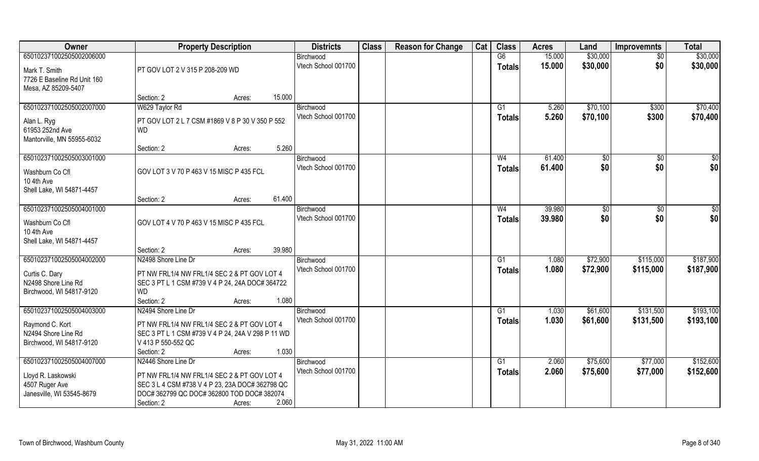| Owner                                                                                           | <b>Property Description</b>                                                                                                                             |        | <b>Districts</b>                 | <b>Class</b> | <b>Reason for Change</b> | Cat | <b>Class</b>        | <b>Acres</b>     | Land                 | <b>Improvemnts</b> | <b>Total</b>         |
|-------------------------------------------------------------------------------------------------|---------------------------------------------------------------------------------------------------------------------------------------------------------|--------|----------------------------------|--------------|--------------------------|-----|---------------------|------------------|----------------------|--------------------|----------------------|
| 650102371002505002006000<br>Mark T. Smith<br>7726 E Baseline Rd Unit 160<br>Mesa, AZ 85209-5407 | PT GOV LOT 2 V 315 P 208-209 WD                                                                                                                         |        | Birchwood<br>Vtech School 001700 |              |                          |     | G6<br><b>Totals</b> | 15.000<br>15.000 | \$30,000<br>\$30,000 | $\sqrt{6}$<br>\$0  | \$30,000<br>\$30,000 |
|                                                                                                 | Section: 2                                                                                                                                              | Acres: | 15.000                           |              |                          |     |                     |                  |                      |                    |                      |
| 650102371002505002007000                                                                        | W629 Taylor Rd                                                                                                                                          |        | Birchwood                        |              |                          |     | G1                  | 5.260            | \$70,100             | \$300              | \$70,400             |
| Alan L. Ryg<br>61953 252nd Ave<br>Mantorville, MN 55955-6032                                    | PT GOV LOT 2 L 7 CSM #1869 V 8 P 30 V 350 P 552<br><b>WD</b>                                                                                            |        | Vtech School 001700              |              |                          |     | <b>Totals</b>       | 5.260            | \$70,100             | \$300              | \$70,400             |
|                                                                                                 | Section: 2                                                                                                                                              | Acres: | 5.260                            |              |                          |     |                     |                  |                      |                    |                      |
| 650102371002505003001000                                                                        |                                                                                                                                                         |        | Birchwood                        |              |                          |     | W <sub>4</sub>      | 61.400           | $\sqrt[6]{}$         | \$0                | \$0                  |
| Washburn Co Cfl<br>10 4th Ave<br>Shell Lake, WI 54871-4457                                      | GOV LOT 3 V 70 P 463 V 15 MISC P 435 FCL                                                                                                                |        | Vtech School 001700              |              |                          |     | <b>Totals</b>       | 61.400           | \$0                  | \$0                | \$0                  |
|                                                                                                 | Section: 2                                                                                                                                              | Acres: | 61.400                           |              |                          |     |                     |                  |                      |                    |                      |
| 650102371002505004001000                                                                        |                                                                                                                                                         |        | Birchwood                        |              |                          |     | W <sub>4</sub>      | 39.980           | \$0                  | $\sqrt{50}$        | $\frac{6}{3}$        |
| Washburn Co Cfl<br>10 4th Ave<br>Shell Lake, WI 54871-4457                                      | GOV LOT 4 V 70 P 463 V 15 MISC P 435 FCL                                                                                                                |        | Vtech School 001700              |              |                          |     | <b>Totals</b>       | 39.980           | \$0                  | \$0                | \$0                  |
|                                                                                                 | Section: 2                                                                                                                                              | Acres: | 39.980                           |              |                          |     |                     |                  |                      |                    |                      |
| 650102371002505004002000                                                                        | N2498 Shore Line Dr                                                                                                                                     |        | Birchwood                        |              |                          |     | G1                  | 1.080            | \$72,900             | \$115,000          | \$187,900            |
| Curtis C. Dary<br>N2498 Shore Line Rd<br>Birchwood, WI 54817-9120                               | PT NW FRL1/4 NW FRL1/4 SEC 2 & PT GOV LOT 4<br>SEC 3 PT L 1 CSM #739 V 4 P 24, 24A DOC# 364722<br><b>WD</b><br>Section: 2                               | Acres: | Vtech School 001700<br>1.080     |              |                          |     | <b>Totals</b>       | 1.080            | \$72,900             | \$115,000          | \$187,900            |
| 650102371002505004003000                                                                        | N2494 Shore Line Dr                                                                                                                                     |        | Birchwood                        |              |                          |     | G1                  | 1.030            | \$61,600             | \$131,500          | \$193,100            |
| Raymond C. Kort<br>N2494 Shore Line Rd<br>Birchwood, WI 54817-9120                              | PT NW FRL1/4 NW FRL1/4 SEC 2 & PT GOV LOT 4<br>SEC 3 PT L 1 CSM #739 V 4 P 24, 24A V 298 P 11 WD<br>V 413 P 550-552 QC<br>Section: 2                    | Acres: | Vtech School 001700<br>1.030     |              |                          |     | <b>Totals</b>       | 1.030            | \$61,600             | \$131,500          | \$193,100            |
| 650102371002505004007000                                                                        | N2446 Shore Line Dr                                                                                                                                     |        | Birchwood                        |              |                          |     | G1                  | 2.060            | \$75,600             | \$77,000           | \$152,600            |
| Lloyd R. Laskowski<br>4507 Ruger Ave<br>Janesville, WI 53545-8679                               | PT NW FRL1/4 NW FRL1/4 SEC 2 & PT GOV LOT 4<br>SEC 3 L 4 CSM #738 V 4 P 23, 23A DOC# 362798 QC<br>DOC#362799 QC DOC#362800 TOD DOC#382074<br>Section: 2 | Acres: | Vtech School 001700<br>2.060     |              |                          |     | <b>Totals</b>       | 2.060            | \$75,600             | \$77,000           | \$152,600            |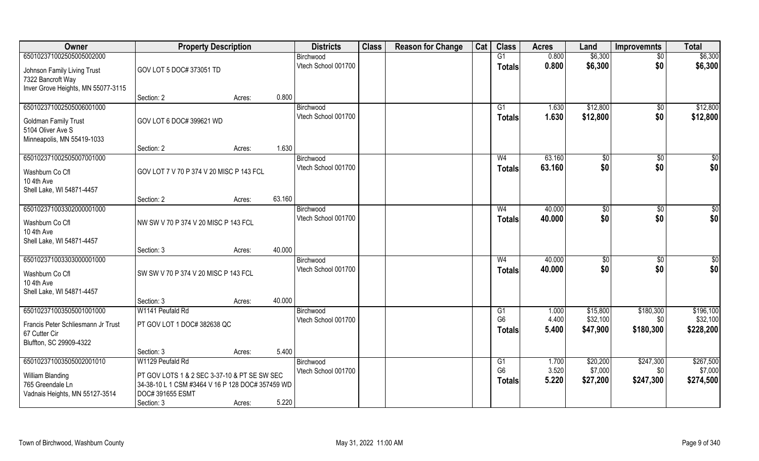| Owner                                                                                               | <b>Property Description</b>                                                                                                        |        |        | <b>Districts</b>                 | <b>Class</b> | <b>Reason for Change</b> | Cat | <b>Class</b>                    | <b>Acres</b>     | Land                 | <b>Improvemnts</b>     | <b>Total</b>          |
|-----------------------------------------------------------------------------------------------------|------------------------------------------------------------------------------------------------------------------------------------|--------|--------|----------------------------------|--------------|--------------------------|-----|---------------------------------|------------------|----------------------|------------------------|-----------------------|
| 650102371002505005002000                                                                            |                                                                                                                                    |        |        | Birchwood                        |              |                          |     | G1                              | 0.800            | \$6,300              | $\sqrt{6}$             | \$6,300               |
| Johnson Family Living Trust<br>7322 Bancroft Way<br>Inver Grove Heights, MN 55077-3115              | GOV LOT 5 DOC# 373051 TD                                                                                                           |        |        | Vtech School 001700              |              |                          |     | <b>Totals</b>                   | 0.800            | \$6,300              | \$0                    | \$6,300               |
|                                                                                                     | Section: 2                                                                                                                         | Acres: | 0.800  |                                  |              |                          |     |                                 |                  |                      |                        |                       |
| 650102371002505006001000<br>Goldman Family Trust<br>5104 Oliver Ave S<br>Minneapolis, MN 55419-1033 | GOV LOT 6 DOC# 399621 WD                                                                                                           |        |        | Birchwood<br>Vtech School 001700 |              |                          |     | G1<br><b>Totals</b>             | 1.630<br>1.630   | \$12,800<br>\$12,800 | $\sqrt{$0}$<br>\$0     | \$12,800<br>\$12,800  |
|                                                                                                     | Section: 2                                                                                                                         | Acres: | 1.630  |                                  |              |                          |     |                                 |                  |                      |                        |                       |
| 650102371002505007001000                                                                            |                                                                                                                                    |        |        | Birchwood                        |              |                          |     | W <sub>4</sub>                  | 63.160           | \$0                  | \$0                    | $\sqrt{50}$           |
| Washburn Co Cfl<br>10 4th Ave<br>Shell Lake, WI 54871-4457                                          | GOV LOT 7 V 70 P 374 V 20 MISC P 143 FCL                                                                                           |        |        | Vtech School 001700              |              |                          |     | <b>Totals</b>                   | 63.160           | \$0                  | \$0                    | \$0                   |
|                                                                                                     | Section: 2                                                                                                                         | Acres: | 63.160 |                                  |              |                          |     |                                 |                  |                      |                        |                       |
| 650102371003302000001000                                                                            |                                                                                                                                    |        |        | Birchwood<br>Vtech School 001700 |              |                          |     | W <sub>4</sub>                  | 40.000<br>40.000 | \$0<br>\$0           | $\sqrt[6]{3}$<br>\$0   | \$0<br>\$0            |
| Washburn Co Cfl<br>10 4th Ave<br>Shell Lake, WI 54871-4457                                          | NW SW V 70 P 374 V 20 MISC P 143 FCL                                                                                               |        |        |                                  |              |                          |     | <b>Totals</b>                   |                  |                      |                        |                       |
|                                                                                                     | Section: 3                                                                                                                         | Acres: | 40.000 |                                  |              |                          |     |                                 |                  |                      |                        |                       |
| 650102371003303000001000<br>Washburn Co Cfl<br>10 4th Ave<br>Shell Lake, WI 54871-4457              | SW SW V 70 P 374 V 20 MISC P 143 FCL                                                                                               |        |        | Birchwood<br>Vtech School 001700 |              |                          |     | W <sub>4</sub><br><b>Totals</b> | 40.000<br>40.000 | \$0<br>\$0           | $\overline{50}$<br>\$0 | \$0<br>\$0            |
|                                                                                                     | Section: 3                                                                                                                         | Acres: | 40.000 |                                  |              |                          |     |                                 |                  |                      |                        |                       |
| 650102371003505001001000                                                                            | W1141 Peufald Rd                                                                                                                   |        |        | Birchwood                        |              |                          |     | G1                              | 1.000            | \$15,800             | \$180,300              | \$196,100             |
| Francis Peter Schliesmann Jr Trust<br>67 Cutter Cir<br>Bluffton, SC 29909-4322                      | PT GOV LOT 1 DOC# 382638 QC                                                                                                        |        |        | Vtech School 001700              |              |                          |     | G <sub>6</sub><br><b>Totals</b> | 4.400<br>5.400   | \$32,100<br>\$47,900 | \$0<br>\$180,300       | \$32,100<br>\$228,200 |
|                                                                                                     | Section: 3                                                                                                                         | Acres: | 5.400  |                                  |              |                          |     |                                 |                  |                      |                        |                       |
| 650102371003505002001010                                                                            | W1129 Peufald Rd                                                                                                                   |        |        | Birchwood                        |              |                          |     | G1                              | 1.700            | \$20,200             | \$247,300              | \$267,500             |
| William Blanding<br>765 Greendale Ln<br>Vadnais Heights, MN 55127-3514                              | PT GOV LOTS 1 & 2 SEC 3-37-10 & PT SE SW SEC<br>34-38-10 L 1 CSM #3464 V 16 P 128 DOC# 357459 WD<br>DOC# 391655 ESMT<br>Section: 3 | Acres: | 5.220  | Vtech School 001700              |              |                          |     | G <sub>6</sub><br><b>Totals</b> | 3.520<br>5.220   | \$7,000<br>\$27,200  | \$0<br>\$247,300       | \$7,000<br>\$274,500  |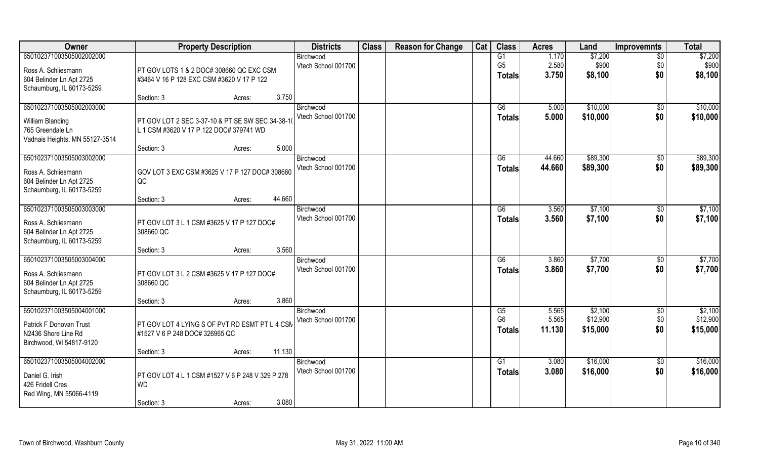| Owner                          | <b>Property Description</b>                      | <b>Districts</b>    | <b>Class</b> | <b>Reason for Change</b> | Cat | <b>Class</b>    | <b>Acres</b> | Land     | <b>Improvemnts</b> | <b>Total</b> |
|--------------------------------|--------------------------------------------------|---------------------|--------------|--------------------------|-----|-----------------|--------------|----------|--------------------|--------------|
| 650102371003505002002000       |                                                  | Birchwood           |              |                          |     | G1              | 1.170        | \$7,200  | $\overline{50}$    | \$7,200      |
| Ross A. Schliesmann            | PT GOV LOTS 1 & 2 DOC# 308660 QC EXC CSM         | Vtech School 001700 |              |                          |     | G <sub>5</sub>  | 2.580        | \$900    | \$0                | \$900        |
| 604 Belinder Ln Apt 2725       | #3464 V 16 P 128 EXC CSM #3620 V 17 P 122        |                     |              |                          |     | <b>Totals</b>   | 3.750        | \$8,100  | \$0                | \$8,100      |
| Schaumburg, IL 60173-5259      |                                                  |                     |              |                          |     |                 |              |          |                    |              |
|                                | 3.750<br>Section: 3<br>Acres:                    |                     |              |                          |     |                 |              |          |                    |              |
| 650102371003505002003000       |                                                  | Birchwood           |              |                          |     | $\overline{G6}$ | 5.000        | \$10,000 | \$0                | \$10,000     |
| William Blanding               | PT GOV LOT 2 SEC 3-37-10 & PT SE SW SEC 34-38-1  | Vtech School 001700 |              |                          |     | <b>Totals</b>   | 5.000        | \$10,000 | \$0                | \$10,000     |
| 765 Greendale Ln               | L 1 CSM #3620 V 17 P 122 DOC# 379741 WD          |                     |              |                          |     |                 |              |          |                    |              |
| Vadnais Heights, MN 55127-3514 |                                                  |                     |              |                          |     |                 |              |          |                    |              |
|                                | 5.000<br>Section: 3<br>Acres:                    |                     |              |                          |     |                 |              |          |                    |              |
| 650102371003505003002000       |                                                  | Birchwood           |              |                          |     | G6              | 44.660       | \$89,300 | $\sqrt[6]{3}$      | \$89,300     |
| Ross A. Schliesmann            | GOV LOT 3 EXC CSM #3625 V 17 P 127 DOC# 308660   | Vtech School 001700 |              |                          |     | <b>Totals</b>   | 44.660       | \$89,300 | \$0                | \$89,300     |
| 604 Belinder Ln Apt 2725       | QC                                               |                     |              |                          |     |                 |              |          |                    |              |
| Schaumburg, IL 60173-5259      |                                                  |                     |              |                          |     |                 |              |          |                    |              |
|                                | 44.660<br>Section: 3<br>Acres:                   |                     |              |                          |     |                 |              |          |                    |              |
| 650102371003505003003000       |                                                  | Birchwood           |              |                          |     | G6              | 3.560        | \$7,100  | \$0                | \$7,100      |
| Ross A. Schliesmann            | PT GOV LOT 3 L 1 CSM #3625 V 17 P 127 DOC#       | Vtech School 001700 |              |                          |     | <b>Totals</b>   | 3.560        | \$7,100  | \$0                | \$7,100      |
| 604 Belinder Ln Apt 2725       | 308660 QC                                        |                     |              |                          |     |                 |              |          |                    |              |
| Schaumburg, IL 60173-5259      |                                                  |                     |              |                          |     |                 |              |          |                    |              |
|                                | 3.560<br>Section: 3<br>Acres:                    |                     |              |                          |     |                 |              |          |                    |              |
| 650102371003505003004000       |                                                  | Birchwood           |              |                          |     | G6              | 3.860        | \$7,700  | \$0                | \$7,700      |
| Ross A. Schliesmann            | PT GOV LOT 3 L 2 CSM #3625 V 17 P 127 DOC#       | Vtech School 001700 |              |                          |     | <b>Totals</b>   | 3.860        | \$7,700  | \$0                | \$7,700      |
| 604 Belinder Ln Apt 2725       | 308660 QC                                        |                     |              |                          |     |                 |              |          |                    |              |
| Schaumburg, IL 60173-5259      |                                                  |                     |              |                          |     |                 |              |          |                    |              |
|                                | 3.860<br>Section: 3<br>Acres:                    |                     |              |                          |     |                 |              |          |                    |              |
| 650102371003505004001000       |                                                  | Birchwood           |              |                          |     | G5              | 5.565        | \$2,100  | $\overline{50}$    | \$2,100      |
| Patrick F Donovan Trust        | PT GOV LOT 4 LYING S OF PVT RD ESMT PT L 4 CSM   | Vtech School 001700 |              |                          |     | G <sub>6</sub>  | 5.565        | \$12,900 | \$0                | \$12,900     |
| N2436 Shore Line Rd            | #1527 V 6 P 248 DOC# 326965 QC                   |                     |              |                          |     | <b>Totals</b>   | 11.130       | \$15,000 | \$0                | \$15,000     |
| Birchwood, WI 54817-9120       |                                                  |                     |              |                          |     |                 |              |          |                    |              |
|                                | 11.130<br>Section: 3<br>Acres:                   |                     |              |                          |     |                 |              |          |                    |              |
| 650102371003505004002000       |                                                  | Birchwood           |              |                          |     | G1              | 3.080        | \$16,000 | $\overline{50}$    | \$16,000     |
| Daniel G. Irish                | PT GOV LOT 4 L 1 CSM #1527 V 6 P 248 V 329 P 278 | Vtech School 001700 |              |                          |     | <b>Totals</b>   | 3.080        | \$16,000 | \$0                | \$16,000     |
| 426 Fridell Cres               | <b>WD</b>                                        |                     |              |                          |     |                 |              |          |                    |              |
| Red Wing, MN 55066-4119        |                                                  |                     |              |                          |     |                 |              |          |                    |              |
|                                | 3.080<br>Section: 3<br>Acres:                    |                     |              |                          |     |                 |              |          |                    |              |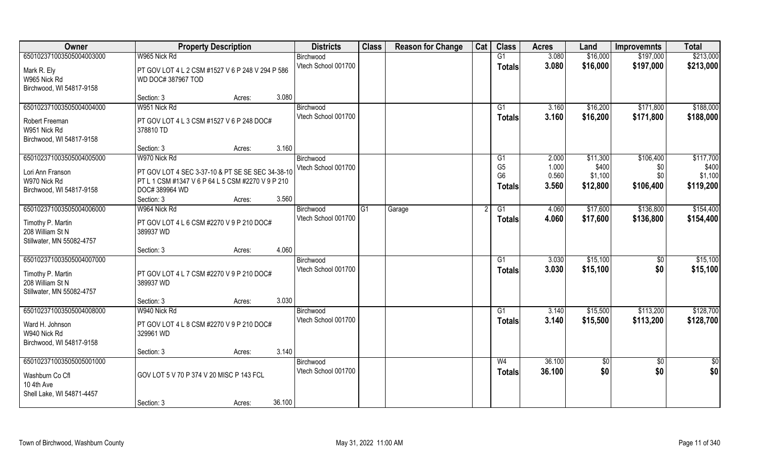| Owner                     | <b>Property Description</b>                       |                  | <b>Districts</b>    | <b>Class</b> | <b>Reason for Change</b> | Cat | <b>Class</b>   | <b>Acres</b> | Land     | <b>Improvemnts</b> | <b>Total</b> |
|---------------------------|---------------------------------------------------|------------------|---------------------|--------------|--------------------------|-----|----------------|--------------|----------|--------------------|--------------|
| 650102371003505004003000  | W965 Nick Rd                                      |                  | Birchwood           |              |                          |     | G1             | 3.080        | \$16,000 | \$197,000          | \$213,000    |
| Mark R. Ely               | PT GOV LOT 4 L 2 CSM #1527 V 6 P 248 V 294 P 586  |                  | Vtech School 001700 |              |                          |     | <b>Totals</b>  | 3.080        | \$16,000 | \$197,000          | \$213,000    |
| W965 Nick Rd              | WD DOC# 387967 TOD                                |                  |                     |              |                          |     |                |              |          |                    |              |
| Birchwood, WI 54817-9158  |                                                   |                  |                     |              |                          |     |                |              |          |                    |              |
|                           | Section: 3                                        | 3.080<br>Acres:  |                     |              |                          |     |                |              |          |                    |              |
| 650102371003505004004000  | W951 Nick Rd                                      |                  | Birchwood           |              |                          |     | G1             | 3.160        | \$16,200 | \$171,800          | \$188,000    |
| Robert Freeman            | PT GOV LOT 4 L 3 CSM #1527 V 6 P 248 DOC#         |                  | Vtech School 001700 |              |                          |     | <b>Totals</b>  | 3.160        | \$16,200 | \$171,800          | \$188,000    |
| W951 Nick Rd              | 378810 TD                                         |                  |                     |              |                          |     |                |              |          |                    |              |
| Birchwood, WI 54817-9158  |                                                   |                  |                     |              |                          |     |                |              |          |                    |              |
|                           | Section: 3                                        | 3.160<br>Acres:  |                     |              |                          |     |                |              |          |                    |              |
| 650102371003505004005000  | W970 Nick Rd                                      |                  | Birchwood           |              |                          |     | G1             | 2.000        | \$11,300 | \$106,400          | \$117,700    |
| Lori Ann Franson          | PT GOV LOT 4 SEC 3-37-10 & PT SE SE SEC 34-38-10  |                  | Vtech School 001700 |              |                          |     | G <sub>5</sub> | 1.000        | \$400    | \$0                | \$400        |
| W970 Nick Rd              | PT L 1 CSM #1347 V 6 P 64 L 5 CSM #2270 V 9 P 210 |                  |                     |              |                          |     | G <sub>6</sub> | 0.560        | \$1,100  | \$0                | \$1,100      |
| Birchwood, WI 54817-9158  | DOC# 389964 WD                                    |                  |                     |              |                          |     | <b>Totals</b>  | 3.560        | \$12,800 | \$106,400          | \$119,200    |
|                           | Section: 3                                        | 3.560<br>Acres:  |                     |              |                          |     |                |              |          |                    |              |
| 650102371003505004006000  | W964 Nick Rd                                      |                  | Birchwood           | G1           | Garage                   |     | G1             | 4.060        | \$17,600 | \$136,800          | \$154,400    |
| Timothy P. Martin         | PT GOV LOT 4 L 6 CSM #2270 V 9 P 210 DOC#         |                  | Vtech School 001700 |              |                          |     | <b>Totals</b>  | 4.060        | \$17,600 | \$136,800          | \$154,400    |
| 208 William St N          | 389937 WD                                         |                  |                     |              |                          |     |                |              |          |                    |              |
| Stillwater, MN 55082-4757 |                                                   |                  |                     |              |                          |     |                |              |          |                    |              |
|                           | Section: 3                                        | 4.060<br>Acres:  |                     |              |                          |     |                |              |          |                    |              |
| 650102371003505004007000  |                                                   |                  | Birchwood           |              |                          |     | G1             | 3.030        | \$15,100 | $\sqrt{50}$        | \$15,100     |
| Timothy P. Martin         | PT GOV LOT 4 L 7 CSM #2270 V 9 P 210 DOC#         |                  | Vtech School 001700 |              |                          |     | <b>Totals</b>  | 3.030        | \$15,100 | \$0                | \$15,100     |
| 208 William St N          | 389937 WD                                         |                  |                     |              |                          |     |                |              |          |                    |              |
| Stillwater, MN 55082-4757 |                                                   |                  |                     |              |                          |     |                |              |          |                    |              |
|                           | Section: 3                                        | 3.030<br>Acres:  |                     |              |                          |     |                |              |          |                    |              |
| 650102371003505004008000  | W940 Nick Rd                                      |                  | Birchwood           |              |                          |     | G1             | 3.140        | \$15,500 | \$113,200          | \$128,700    |
| Ward H. Johnson           | PT GOV LOT 4 L 8 CSM #2270 V 9 P 210 DOC#         |                  | Vtech School 001700 |              |                          |     | <b>Totals</b>  | 3.140        | \$15,500 | \$113,200          | \$128,700    |
| W940 Nick Rd              | 329961 WD                                         |                  |                     |              |                          |     |                |              |          |                    |              |
| Birchwood, WI 54817-9158  |                                                   |                  |                     |              |                          |     |                |              |          |                    |              |
|                           | Section: 3                                        | 3.140<br>Acres:  |                     |              |                          |     |                |              |          |                    |              |
| 650102371003505005001000  |                                                   |                  | Birchwood           |              |                          |     | W <sub>4</sub> | 36.100       | \$0      | $\sqrt{6}$         | \$0          |
| Washburn Co Cfl           | GOV LOT 5 V 70 P 374 V 20 MISC P 143 FCL          |                  | Vtech School 001700 |              |                          |     | <b>Totals</b>  | 36.100       | \$0      | \$0                | \$0          |
| 10 4th Ave                |                                                   |                  |                     |              |                          |     |                |              |          |                    |              |
| Shell Lake, WI 54871-4457 |                                                   |                  |                     |              |                          |     |                |              |          |                    |              |
|                           | Section: 3                                        | 36.100<br>Acres: |                     |              |                          |     |                |              |          |                    |              |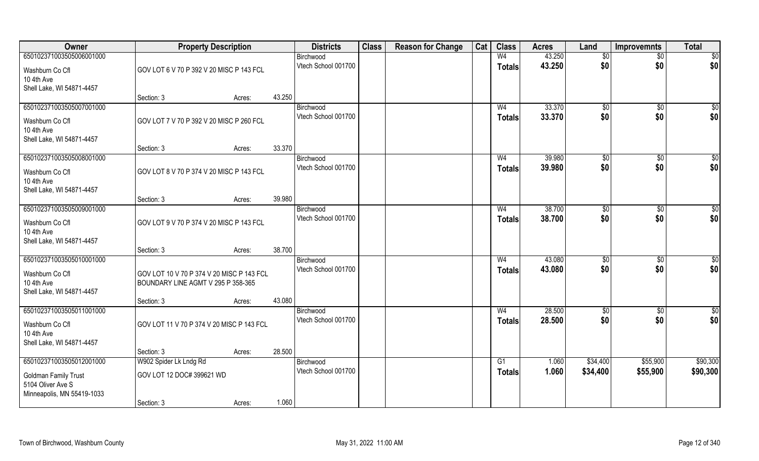| Owner                                           | <b>Property Description</b>               |        |        | <b>Districts</b>                 | <b>Class</b> | <b>Reason for Change</b> | Cat | <b>Class</b>    | <b>Acres</b>   | Land                 | <b>Improvemnts</b>   | <b>Total</b>         |
|-------------------------------------------------|-------------------------------------------|--------|--------|----------------------------------|--------------|--------------------------|-----|-----------------|----------------|----------------------|----------------------|----------------------|
| 650102371003505006001000                        |                                           |        |        | Birchwood                        |              |                          |     | W <sub>4</sub>  | 43.250         | \$0                  | $\sqrt{$0}$          | \$0                  |
| Washburn Co Cfl                                 | GOV LOT 6 V 70 P 392 V 20 MISC P 143 FCL  |        |        | Vtech School 001700              |              |                          |     | <b>Totals</b>   | 43.250         | \$0                  | \$0                  | \$0                  |
| 10 4th Ave                                      |                                           |        |        |                                  |              |                          |     |                 |                |                      |                      |                      |
| Shell Lake, WI 54871-4457                       | Section: 3                                | Acres: | 43.250 |                                  |              |                          |     |                 |                |                      |                      |                      |
| 650102371003505007001000                        |                                           |        |        | Birchwood                        |              |                          |     | W <sub>4</sub>  | 33.370         | \$0                  | $\sqrt{$0}$          | \$0                  |
| Washburn Co Cfl                                 | GOV LOT 7 V 70 P 392 V 20 MISC P 260 FCL  |        |        | Vtech School 001700              |              |                          |     | <b>Totals</b>   | 33.370         | \$0                  | \$0                  | \$0                  |
| 10 4th Ave                                      |                                           |        |        |                                  |              |                          |     |                 |                |                      |                      |                      |
| Shell Lake, WI 54871-4457                       |                                           |        |        |                                  |              |                          |     |                 |                |                      |                      |                      |
|                                                 | Section: 3                                | Acres: | 33.370 |                                  |              |                          |     |                 |                |                      |                      |                      |
| 650102371003505008001000                        |                                           |        |        | Birchwood                        |              |                          |     | W <sub>4</sub>  | 39.980         | \$0                  | $\overline{50}$      | $\sqrt{50}$          |
| Washburn Co Cfl                                 | GOV LOT 8 V 70 P 374 V 20 MISC P 143 FCL  |        |        | Vtech School 001700              |              |                          |     | <b>Totals</b>   | 39.980         | \$0                  | \$0                  | \$0                  |
| 10 4th Ave                                      |                                           |        |        |                                  |              |                          |     |                 |                |                      |                      |                      |
| Shell Lake, WI 54871-4457                       | Section: 3                                | Acres: | 39.980 |                                  |              |                          |     |                 |                |                      |                      |                      |
| 650102371003505009001000                        |                                           |        |        | Birchwood                        |              |                          |     | W <sub>4</sub>  | 38.700         | \$0                  | $\sqrt[6]{3}$        | \$0                  |
| Washburn Co Cfl                                 | GOV LOT 9 V 70 P 374 V 20 MISC P 143 FCL  |        |        | Vtech School 001700              |              |                          |     | <b>Totals</b>   | 38.700         | \$0                  | \$0                  | \$0                  |
| 10 4th Ave                                      |                                           |        |        |                                  |              |                          |     |                 |                |                      |                      |                      |
| Shell Lake, WI 54871-4457                       |                                           |        |        |                                  |              |                          |     |                 |                |                      |                      |                      |
|                                                 | Section: 3                                | Acres: | 38.700 |                                  |              |                          |     |                 |                |                      |                      |                      |
| 650102371003505010001000                        |                                           |        |        | Birchwood<br>Vtech School 001700 |              |                          |     | W <sub>4</sub>  | 43.080         | \$0<br>\$0           | \$0                  | $\sqrt{50}$          |
| Washburn Co Cfl                                 | GOV LOT 10 V 70 P 374 V 20 MISC P 143 FCL |        |        |                                  |              |                          |     | <b>Totals</b>   | 43.080         |                      | \$0                  | \$0                  |
| 10 4th Ave<br>Shell Lake, WI 54871-4457         | BOUNDARY LINE AGMT V 295 P 358-365        |        |        |                                  |              |                          |     |                 |                |                      |                      |                      |
|                                                 | Section: 3                                | Acres: | 43.080 |                                  |              |                          |     |                 |                |                      |                      |                      |
| 650102371003505011001000                        |                                           |        |        | Birchwood                        |              |                          |     | W <sub>4</sub>  | 28.500         | \$0                  | $\sqrt{$0}$          | \$0                  |
| Washburn Co Cfl                                 | GOV LOT 11 V 70 P 374 V 20 MISC P 143 FCL |        |        | Vtech School 001700              |              |                          |     | <b>Totals</b>   | 28.500         | \$0                  | \$0                  | \$0                  |
| 10 4th Ave                                      |                                           |        |        |                                  |              |                          |     |                 |                |                      |                      |                      |
| Shell Lake, WI 54871-4457                       |                                           |        |        |                                  |              |                          |     |                 |                |                      |                      |                      |
|                                                 | Section: 3                                | Acres: | 28.500 |                                  |              |                          |     |                 |                |                      |                      |                      |
| 650102371003505012001000                        | W902 Spider Lk Lndg Rd                    |        |        | Birchwood<br>Vtech School 001700 |              |                          |     | $\overline{G1}$ | 1.060<br>1.060 | \$34,400<br>\$34,400 | \$55,900<br>\$55,900 | \$90,300<br>\$90,300 |
| <b>Goldman Family Trust</b>                     | GOV LOT 12 DOC# 399621 WD                 |        |        |                                  |              |                          |     | <b>Totals</b>   |                |                      |                      |                      |
| 5104 Oliver Ave S<br>Minneapolis, MN 55419-1033 |                                           |        |        |                                  |              |                          |     |                 |                |                      |                      |                      |
|                                                 | Section: 3                                | Acres: | 1.060  |                                  |              |                          |     |                 |                |                      |                      |                      |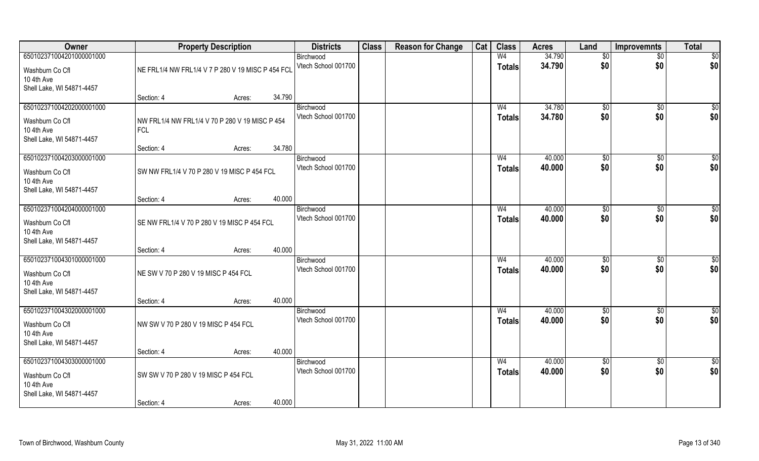| Owner                                                                                  | <b>Property Description</b>                                  |        | <b>Districts</b>                 | <b>Class</b> | <b>Reason for Change</b> | Cat | <b>Class</b>                    | <b>Acres</b>     | Land                   | <b>Improvemnts</b>     | <b>Total</b>           |
|----------------------------------------------------------------------------------------|--------------------------------------------------------------|--------|----------------------------------|--------------|--------------------------|-----|---------------------------------|------------------|------------------------|------------------------|------------------------|
| 650102371004201000001000<br>Washburn Co Cfl                                            | NE FRL1/4 NW FRL1/4 V 7 P 280 V 19 MISC P 454 FCL            |        | Birchwood<br>Vtech School 001700 |              |                          |     | W <sub>4</sub><br><b>Totals</b> | 34.790<br>34.790 | $\sqrt[6]{}$<br>\$0    | $\overline{50}$<br>\$0 | \$0<br>\$0             |
| 10 4th Ave<br>Shell Lake, WI 54871-4457                                                | Section: 4<br>Acres:                                         | 34.790 |                                  |              |                          |     |                                 |                  |                        |                        |                        |
| 650102371004202000001000                                                               |                                                              |        | Birchwood                        |              |                          |     | W <sub>4</sub>                  | 34.780           | \$0                    | $\overline{50}$        | $\sqrt{50}$            |
| Washburn Co Cfl<br>10 4th Ave<br>Shell Lake, WI 54871-4457                             | NW FRL1/4 NW FRL1/4 V 70 P 280 V 19 MISC P 454<br><b>FCL</b> |        | Vtech School 001700              |              |                          |     | <b>Totals</b>                   | 34.780           | \$0                    | \$0                    | \$0                    |
|                                                                                        | Section: 4<br>Acres:                                         | 34.780 |                                  |              |                          |     |                                 |                  |                        |                        |                        |
| 650102371004203000001000<br>Washburn Co Cfl<br>10 4th Ave<br>Shell Lake, WI 54871-4457 | SW NW FRL1/4 V 70 P 280 V 19 MISC P 454 FCL                  |        | Birchwood<br>Vtech School 001700 |              |                          |     | W <sub>4</sub><br><b>Totals</b> | 40.000<br>40.000 | \$0<br>\$0             | \$0<br>\$0             | $\overline{50}$<br>\$0 |
|                                                                                        | Section: 4<br>Acres:                                         | 40.000 |                                  |              |                          |     |                                 |                  |                        |                        |                        |
| 650102371004204000001000                                                               |                                                              |        | Birchwood                        |              |                          |     | W <sub>4</sub>                  | 40.000           | $\sqrt[6]{3}$          | $\sqrt[6]{3}$          | \$0                    |
| Washburn Co Cfl<br>10 4th Ave<br>Shell Lake, WI 54871-4457                             | SE NW FRL1/4 V 70 P 280 V 19 MISC P 454 FCL                  |        | Vtech School 001700              |              |                          |     | <b>Totals</b>                   | 40.000           | \$0                    | \$0                    | \$0                    |
|                                                                                        | Section: 4<br>Acres:                                         | 40.000 |                                  |              |                          |     |                                 |                  |                        |                        |                        |
| 650102371004301000001000<br>Washburn Co Cfl<br>10 4th Ave<br>Shell Lake, WI 54871-4457 | NE SW V 70 P 280 V 19 MISC P 454 FCL                         |        | Birchwood<br>Vtech School 001700 |              |                          |     | W <sub>4</sub><br><b>Totals</b> | 40.000<br>40.000 | $\sqrt[6]{3}$<br>\$0   | $\sqrt[6]{3}$<br>\$0   | \$<br>\$0              |
|                                                                                        | Section: 4<br>Acres:                                         | 40.000 |                                  |              |                          |     |                                 |                  |                        |                        |                        |
| 650102371004302000001000<br>Washburn Co Cfl<br>10 4th Ave<br>Shell Lake, WI 54871-4457 | NW SW V 70 P 280 V 19 MISC P 454 FCL                         |        | Birchwood<br>Vtech School 001700 |              |                          |     | W <sub>4</sub><br><b>Totals</b> | 40.000<br>40.000 | \$0<br>\$0             | \$0<br>\$0             | $\frac{6}{3}$<br>\$0   |
|                                                                                        | Section: 4<br>Acres:                                         | 40.000 |                                  |              |                          |     |                                 |                  |                        |                        |                        |
| 650102371004303000001000<br>Washburn Co Cfl<br>10 4th Ave<br>Shell Lake, WI 54871-4457 | SW SW V 70 P 280 V 19 MISC P 454 FCL                         |        | Birchwood<br>Vtech School 001700 |              |                          |     | W <sub>4</sub><br><b>Totals</b> | 40.000<br>40.000 | $\overline{50}$<br>\$0 | $\overline{50}$<br>\$0 | \$0<br>\$0             |
|                                                                                        | Section: 4<br>Acres:                                         | 40.000 |                                  |              |                          |     |                                 |                  |                        |                        |                        |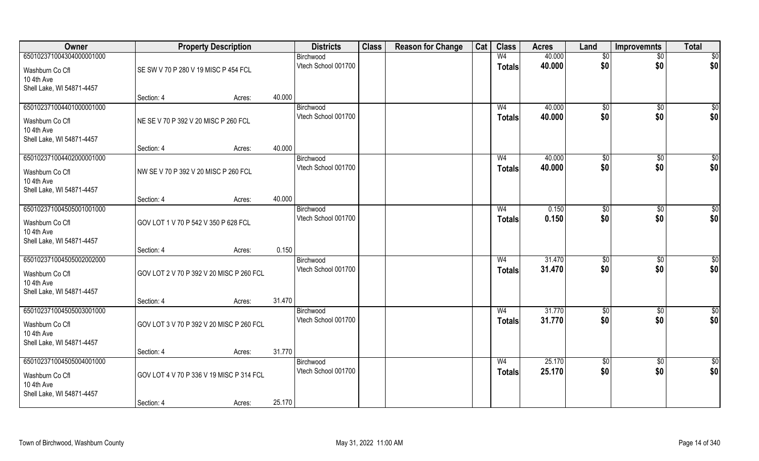| Owner                                                                                  | <b>Property Description</b>              |        |        | <b>Districts</b>                 | <b>Class</b> | <b>Reason for Change</b> | Cat | <b>Class</b>                    | <b>Acres</b>     | Land               | <b>Improvemnts</b>     | <b>Total</b>       |
|----------------------------------------------------------------------------------------|------------------------------------------|--------|--------|----------------------------------|--------------|--------------------------|-----|---------------------------------|------------------|--------------------|------------------------|--------------------|
| 650102371004304000001000<br>Washburn Co Cfl<br>10 4th Ave                              | SE SW V 70 P 280 V 19 MISC P 454 FCL     |        |        | Birchwood<br>Vtech School 001700 |              |                          |     | W <sub>4</sub><br><b>Totals</b> | 40.000<br>40.000 | $\sqrt{6}$<br>\$0  | $\sqrt{$0}$<br>\$0     | \$0<br>\$0         |
| Shell Lake, WI 54871-4457                                                              | Section: 4                               | Acres: | 40.000 |                                  |              |                          |     |                                 |                  |                    |                        |                    |
| 650102371004401000001000<br>Washburn Co Cfl<br>10 4th Ave<br>Shell Lake, WI 54871-4457 | NE SE V 70 P 392 V 20 MISC P 260 FCL     |        |        | Birchwood<br>Vtech School 001700 |              |                          |     | W <sub>4</sub><br><b>Totals</b> | 40.000<br>40.000 | $\sqrt{50}$<br>\$0 | \$0<br>\$0             | $\sqrt{50}$<br>\$0 |
|                                                                                        | Section: 4                               | Acres: | 40.000 |                                  |              |                          |     |                                 |                  |                    |                        |                    |
| 650102371004402000001000<br>Washburn Co Cfl<br>10 4th Ave<br>Shell Lake, WI 54871-4457 | NW SE V 70 P 392 V 20 MISC P 260 FCL     |        |        | Birchwood<br>Vtech School 001700 |              |                          |     | W <sub>4</sub><br><b>Totals</b> | 40.000<br>40.000 | \$0<br>\$0         | $\overline{50}$<br>\$0 | $\sqrt{50}$<br>\$0 |
|                                                                                        | Section: 4                               | Acres: | 40.000 |                                  |              |                          |     |                                 |                  |                    |                        |                    |
| 650102371004505001001000<br>Washburn Co Cfl<br>10 4th Ave<br>Shell Lake, WI 54871-4457 | GOV LOT 1 V 70 P 542 V 350 P 628 FCL     |        |        | Birchwood<br>Vtech School 001700 |              |                          |     | W <sub>4</sub><br><b>Totals</b> | 0.150<br>0.150   | \$0<br>\$0         | $\sqrt[6]{3}$<br>\$0   | $\sqrt{50}$<br>\$0 |
|                                                                                        | Section: 4                               | Acres: | 0.150  |                                  |              |                          |     |                                 |                  |                    |                        |                    |
| 650102371004505002002000<br>Washburn Co Cfl<br>10 4th Ave<br>Shell Lake, WI 54871-4457 | GOV LOT 2 V 70 P 392 V 20 MISC P 260 FCL |        |        | Birchwood<br>Vtech School 001700 |              |                          |     | W <sub>4</sub><br><b>Totals</b> | 31.470<br>31.470 | \$0<br>\$0         | \$0<br>\$0             | $\sqrt{50}$<br>\$0 |
|                                                                                        | Section: 4                               | Acres: | 31.470 |                                  |              |                          |     |                                 |                  |                    |                        |                    |
| 650102371004505003001000<br>Washburn Co Cfl<br>10 4th Ave<br>Shell Lake, WI 54871-4457 | GOV LOT 3 V 70 P 392 V 20 MISC P 260 FCL |        |        | Birchwood<br>Vtech School 001700 |              |                          |     | W <sub>4</sub><br><b>Totals</b> | 31.770<br>31.770 | \$0<br>\$0         | $\sqrt{$0}$<br>\$0     | \$0<br>\$0         |
|                                                                                        | Section: 4                               | Acres: | 31.770 |                                  |              |                          |     |                                 |                  |                    |                        |                    |
| 650102371004505004001000<br>Washburn Co Cfl<br>10 4th Ave<br>Shell Lake, WI 54871-4457 | GOV LOT 4 V 70 P 336 V 19 MISC P 314 FCL |        |        | Birchwood<br>Vtech School 001700 |              |                          |     | W <sub>4</sub><br><b>Totals</b> | 25.170<br>25.170 | $\sqrt{6}$<br>\$0  | $\sqrt{$0}$<br>\$0     | \$0<br>\$0         |
|                                                                                        | Section: 4                               | Acres: | 25.170 |                                  |              |                          |     |                                 |                  |                    |                        |                    |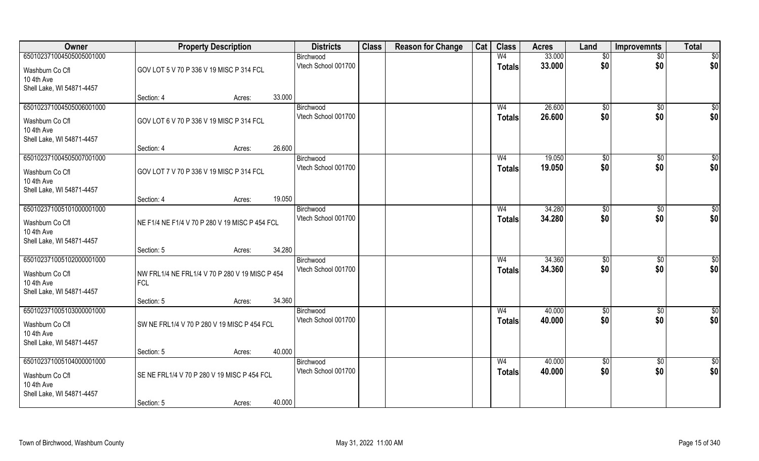| <b>Class</b><br>Owner<br><b>Reason for Change</b><br>Cat<br><b>Class</b><br><b>Property Description</b><br><b>Districts</b><br>Land<br><b>Acres</b> | <b>Total</b><br><b>Improvemnts</b> |
|-----------------------------------------------------------------------------------------------------------------------------------------------------|------------------------------------|
| 650102371004505005001000<br>33.000<br>W <sub>4</sub><br>$\sqrt[6]{}$<br>Birchwood                                                                   | \$0<br>$\overline{50}$             |
| 33.000<br>Vtech School 001700<br>\$0<br><b>Totals</b><br>GOV LOT 5 V 70 P 336 V 19 MISC P 314 FCL<br>Washburn Co Cfl                                | \$0<br>\$0                         |
| 10 4th Ave                                                                                                                                          |                                    |
| Shell Lake, WI 54871-4457<br>33.000<br>Section: 4<br>Acres:                                                                                         |                                    |
| 26.600<br>650102371004505006001000<br>\$0<br>Birchwood<br>W <sub>4</sub>                                                                            | $\sqrt{50}$<br>$\overline{50}$     |
| \$0<br>Vtech School 001700<br>26.600<br><b>Totals</b><br>GOV LOT 6 V 70 P 336 V 19 MISC P 314 FCL<br>Washburn Co Cfl                                | \$0<br>\$0                         |
| 10 4th Ave                                                                                                                                          |                                    |
| Shell Lake, WI 54871-4457                                                                                                                           |                                    |
| 26.600<br>Section: 4<br>Acres:<br>650102371004505007001000<br>19.050<br>W <sub>4</sub>                                                              | $\overline{50}$                    |
| \$0<br>Birchwood<br>\$0<br>Vtech School 001700<br>19.050<br><b>Totals</b>                                                                           | \$0<br>\$0<br>\$0                  |
| GOV LOT 7 V 70 P 336 V 19 MISC P 314 FCL<br>Washburn Co Cfl<br>10 4th Ave                                                                           |                                    |
| Shell Lake, WI 54871-4457                                                                                                                           |                                    |
| 19.050<br>Section: 4<br>Acres:                                                                                                                      |                                    |
| 650102371005101000001000<br>34.280<br>$\sqrt[6]{3}$<br>Birchwood<br>W <sub>4</sub>                                                                  | $\sqrt[6]{3}$<br>\$0               |
| Vtech School 001700<br>\$0<br>34.280<br><b>Totals</b><br>NE F1/4 NE F1/4 V 70 P 280 V 19 MISC P 454 FCL<br>Washburn Co Cfl                          | \$0<br>\$0                         |
| 10 4th Ave                                                                                                                                          |                                    |
| Shell Lake, WI 54871-4457<br>34.280<br>Section: 5<br>Acres:                                                                                         |                                    |
| 650102371005102000001000<br>34.360<br>W <sub>4</sub><br>$\sqrt[6]{3}$<br>Birchwood                                                                  | $\sqrt[6]{3}$<br>\$                |
| \$0<br>Vtech School 001700<br>34.360<br><b>Totals</b><br>Washburn Co Cfl<br>NW FRL1/4 NE FRL1/4 V 70 P 280 V 19 MISC P 454                          | \$0<br>\$0                         |
| 10 4th Ave<br><b>FCL</b>                                                                                                                            |                                    |
| Shell Lake, WI 54871-4457                                                                                                                           |                                    |
| 34.360<br>Section: 5<br>Acres:<br>650102371005103000001000<br>40.000<br>W <sub>4</sub><br>Birchwood                                                 |                                    |
| \$0<br>\$0<br>Vtech School 001700<br>40.000<br><b>Totals</b>                                                                                        | $\frac{6}{3}$<br>\$0<br>\$0<br>\$0 |
| SW NE FRL1/4 V 70 P 280 V 19 MISC P 454 FCL<br>Washburn Co Cfl<br>10 4th Ave                                                                        |                                    |
| Shell Lake, WI 54871-4457                                                                                                                           |                                    |
| 40.000<br>Section: 5<br>Acres:                                                                                                                      |                                    |
| 650102371005104000001000<br>40.000<br>$\overline{50}$<br>Birchwood<br>W <sub>4</sub>                                                                | $\overline{50}$<br>\$0             |
| \$0<br>Vtech School 001700<br>40.000<br><b>Totals</b><br>SE NE FRL1/4 V 70 P 280 V 19 MISC P 454 FCL<br>Washburn Co Cfl                             | \$0<br>\$0                         |
| 10 4th Ave                                                                                                                                          |                                    |
| Shell Lake, WI 54871-4457<br>40.000<br>Section: 5<br>Acres:                                                                                         |                                    |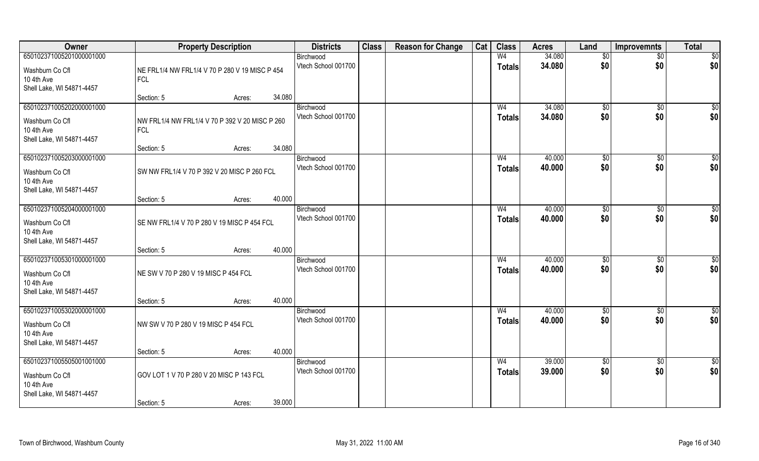| Owner                                                                                  |                                                              | <b>Property Description</b> |        | <b>Districts</b>                 | <b>Class</b> | <b>Reason for Change</b> | Cat | <b>Class</b>                    | <b>Acres</b>     | Land                   | <b>Improvemnts</b>     | <b>Total</b>           |
|----------------------------------------------------------------------------------------|--------------------------------------------------------------|-----------------------------|--------|----------------------------------|--------------|--------------------------|-----|---------------------------------|------------------|------------------------|------------------------|------------------------|
| 650102371005201000001000                                                               |                                                              |                             |        | Birchwood<br>Vtech School 001700 |              |                          |     | W <sub>4</sub>                  | 34.080           | \$0                    | $\overline{50}$        | $\overline{50}$        |
| Washburn Co Cfl<br>10 4th Ave<br>Shell Lake, WI 54871-4457                             | NE FRL1/4 NW FRL1/4 V 70 P 280 V 19 MISC P 454<br><b>FCL</b> |                             |        |                                  |              |                          |     | <b>Totals</b>                   | 34.080           | \$0                    | \$0                    | \$0                    |
|                                                                                        | Section: 5                                                   | Acres:                      | 34.080 |                                  |              |                          |     |                                 |                  |                        |                        |                        |
| 650102371005202000001000<br>Washburn Co Cfl<br>10 4th Ave<br>Shell Lake, WI 54871-4457 | NW FRL1/4 NW FRL1/4 V 70 P 392 V 20 MISC P 260<br><b>FCL</b> |                             |        | Birchwood<br>Vtech School 001700 |              |                          |     | W <sub>4</sub><br><b>Totals</b> | 34.080<br>34.080 | $\sqrt[6]{}$<br>\$0    | $\sqrt{50}$<br>\$0     | $\sqrt{50}$<br>\$0     |
|                                                                                        | Section: 5                                                   | Acres:                      | 34.080 |                                  |              |                          |     |                                 |                  |                        |                        |                        |
| 650102371005203000001000<br>Washburn Co Cfl<br>10 4th Ave<br>Shell Lake, WI 54871-4457 | SW NW FRL1/4 V 70 P 392 V 20 MISC P 260 FCL                  |                             |        | Birchwood<br>Vtech School 001700 |              |                          |     | W <sub>4</sub><br><b>Totals</b> | 40.000<br>40.000 | \$0<br>\$0             | \$0<br>\$0             | $\sqrt{50}$<br>\$0     |
|                                                                                        | Section: 5                                                   | Acres:                      | 40.000 |                                  |              |                          |     |                                 |                  |                        |                        |                        |
| 650102371005204000001000<br>Washburn Co Cfl<br>10 4th Ave<br>Shell Lake, WI 54871-4457 | SE NW FRL1/4 V 70 P 280 V 19 MISC P 454 FCL                  |                             |        | Birchwood<br>Vtech School 001700 |              |                          |     | W4<br><b>Totals</b>             | 40.000<br>40.000 | $\sqrt[6]{3}$<br>\$0   | $\sqrt[6]{3}$<br>\$0   | \$0<br>\$0             |
|                                                                                        | Section: 5                                                   | Acres:                      | 40.000 |                                  |              |                          |     |                                 |                  |                        |                        |                        |
| 650102371005301000001000<br>Washburn Co Cfl<br>10 4th Ave<br>Shell Lake, WI 54871-4457 | NE SW V 70 P 280 V 19 MISC P 454 FCL                         |                             |        | Birchwood<br>Vtech School 001700 |              |                          |     | W <sub>4</sub><br><b>Totals</b> | 40.000<br>40.000 | \$0<br>\$0             | \$0<br>\$0             | $\overline{50}$<br>\$0 |
| 650102371005302000001000                                                               | Section: 5                                                   | Acres:                      | 40.000 | Birchwood                        |              |                          |     | W <sub>4</sub>                  | 40.000           |                        |                        |                        |
| Washburn Co Cfl<br>10 4th Ave<br>Shell Lake, WI 54871-4457                             | NW SW V 70 P 280 V 19 MISC P 454 FCL                         |                             |        | Vtech School 001700              |              |                          |     | <b>Totals</b>                   | 40.000           | \$0<br>\$0             | \$0<br>\$0             | \$0<br>\$0             |
|                                                                                        | Section: 5                                                   | Acres:                      | 40.000 |                                  |              |                          |     |                                 |                  |                        |                        |                        |
| 650102371005505001001000<br>Washburn Co Cfl<br>10 4th Ave<br>Shell Lake, WI 54871-4457 | GOV LOT 1 V 70 P 280 V 20 MISC P 143 FCL<br>Section: 5       | Acres:                      | 39.000 | Birchwood<br>Vtech School 001700 |              |                          |     | W <sub>4</sub><br><b>Totals</b> | 39.000<br>39.000 | $\overline{50}$<br>\$0 | $\overline{50}$<br>\$0 | \$0<br>\$0             |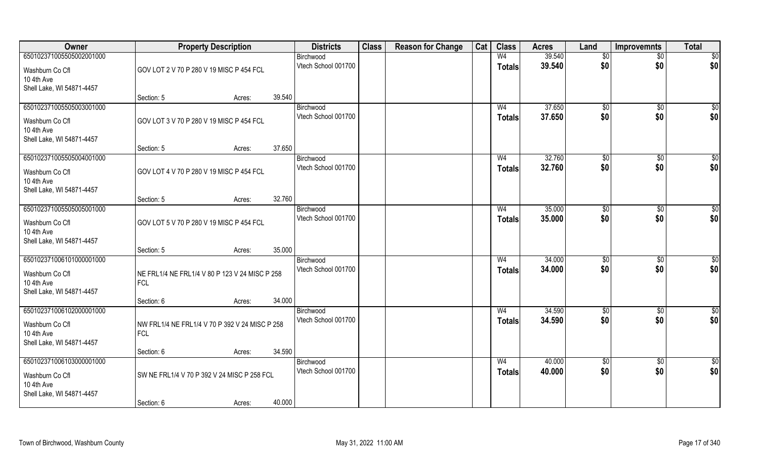| Owner                                   | <b>Property Description</b>                    |        |        | <b>Districts</b>                 | <b>Class</b> | <b>Reason for Change</b> | Cat | <b>Class</b>                    | <b>Acres</b>     | Land            | <b>Improvemnts</b> | <b>Total</b>           |
|-----------------------------------------|------------------------------------------------|--------|--------|----------------------------------|--------------|--------------------------|-----|---------------------------------|------------------|-----------------|--------------------|------------------------|
| 650102371005505002001000                |                                                |        |        | Birchwood                        |              |                          |     | W <sub>4</sub>                  | 39.540           | $\sqrt[6]{}$    | $\overline{50}$    | \$0                    |
| Washburn Co Cfl                         | GOV LOT 2 V 70 P 280 V 19 MISC P 454 FCL       |        |        | Vtech School 001700              |              |                          |     | <b>Totals</b>                   | 39.540           | \$0             | \$0                | \$0                    |
| 10 4th Ave                              |                                                |        |        |                                  |              |                          |     |                                 |                  |                 |                    |                        |
| Shell Lake, WI 54871-4457               | Section: 5                                     | Acres: | 39.540 |                                  |              |                          |     |                                 |                  |                 |                    |                        |
| 650102371005505003001000                |                                                |        |        | Birchwood                        |              |                          |     | W <sub>4</sub>                  | 37.650           | \$0             | $\overline{50}$    | $\sqrt{50}$            |
| Washburn Co Cfl                         | GOV LOT 3 V 70 P 280 V 19 MISC P 454 FCL       |        |        | Vtech School 001700              |              |                          |     | <b>Totals</b>                   | 37.650           | \$0             | \$0                | \$0                    |
| 10 4th Ave                              |                                                |        |        |                                  |              |                          |     |                                 |                  |                 |                    |                        |
| Shell Lake, WI 54871-4457               |                                                |        |        |                                  |              |                          |     |                                 |                  |                 |                    |                        |
|                                         | Section: 5                                     | Acres: | 37.650 |                                  |              |                          |     |                                 |                  |                 |                    |                        |
| 650102371005505004001000                |                                                |        |        | Birchwood<br>Vtech School 001700 |              |                          |     | W <sub>4</sub><br><b>Totals</b> | 32.760<br>32.760 | \$0<br>\$0      | \$0<br>\$0         | $\overline{50}$<br>\$0 |
| Washburn Co Cfl                         | GOV LOT 4 V 70 P 280 V 19 MISC P 454 FCL       |        |        |                                  |              |                          |     |                                 |                  |                 |                    |                        |
| 10 4th Ave<br>Shell Lake, WI 54871-4457 |                                                |        |        |                                  |              |                          |     |                                 |                  |                 |                    |                        |
|                                         | Section: 5                                     | Acres: | 32.760 |                                  |              |                          |     |                                 |                  |                 |                    |                        |
| 650102371005505005001000                |                                                |        |        | Birchwood                        |              |                          |     | W <sub>4</sub>                  | 35.000           | $\sqrt[6]{3}$   | $\sqrt[6]{3}$      | \$0                    |
| Washburn Co Cfl                         | GOV LOT 5 V 70 P 280 V 19 MISC P 454 FCL       |        |        | Vtech School 001700              |              |                          |     | <b>Totals</b>                   | 35.000           | \$0             | \$0                | \$0                    |
| 10 4th Ave                              |                                                |        |        |                                  |              |                          |     |                                 |                  |                 |                    |                        |
| Shell Lake, WI 54871-4457               | Section: 5                                     | Acres: | 35.000 |                                  |              |                          |     |                                 |                  |                 |                    |                        |
| 650102371006101000001000                |                                                |        |        | Birchwood                        |              |                          |     | W <sub>4</sub>                  | 34.000           | $\sqrt[6]{3}$   | $\sqrt[6]{3}$      | \$                     |
| Washburn Co Cfl                         | NE FRL1/4 NE FRL1/4 V 80 P 123 V 24 MISC P 258 |        |        | Vtech School 001700              |              |                          |     | <b>Totals</b>                   | 34.000           | \$0             | \$0                | \$0                    |
| 10 4th Ave                              | <b>FCL</b>                                     |        |        |                                  |              |                          |     |                                 |                  |                 |                    |                        |
| Shell Lake, WI 54871-4457               |                                                |        |        |                                  |              |                          |     |                                 |                  |                 |                    |                        |
|                                         | Section: 6                                     | Acres: | 34.000 |                                  |              |                          |     |                                 |                  |                 |                    |                        |
| 650102371006102000001000                |                                                |        |        | Birchwood<br>Vtech School 001700 |              |                          |     | W <sub>4</sub>                  | 34.590<br>34.590 | \$0<br>\$0      | \$0<br>\$0         | $\frac{6}{3}$<br>\$0   |
| Washburn Co Cfl                         | NW FRL1/4 NE FRL1/4 V 70 P 392 V 24 MISC P 258 |        |        |                                  |              |                          |     | <b>Totals</b>                   |                  |                 |                    |                        |
| 10 4th Ave<br>Shell Lake, WI 54871-4457 | <b>FCL</b>                                     |        |        |                                  |              |                          |     |                                 |                  |                 |                    |                        |
|                                         | Section: 6                                     | Acres: | 34.590 |                                  |              |                          |     |                                 |                  |                 |                    |                        |
| 650102371006103000001000                |                                                |        |        | Birchwood                        |              |                          |     | W <sub>4</sub>                  | 40.000           | $\overline{50}$ | $\overline{50}$    | \$0                    |
| Washburn Co Cfl                         | SW NE FRL1/4 V 70 P 392 V 24 MISC P 258 FCL    |        |        | Vtech School 001700              |              |                          |     | <b>Totals</b>                   | 40.000           | \$0             | \$0                | \$0                    |
| 10 4th Ave                              |                                                |        |        |                                  |              |                          |     |                                 |                  |                 |                    |                        |
| Shell Lake, WI 54871-4457               |                                                |        |        |                                  |              |                          |     |                                 |                  |                 |                    |                        |
|                                         | Section: 6                                     | Acres: | 40.000 |                                  |              |                          |     |                                 |                  |                 |                    |                        |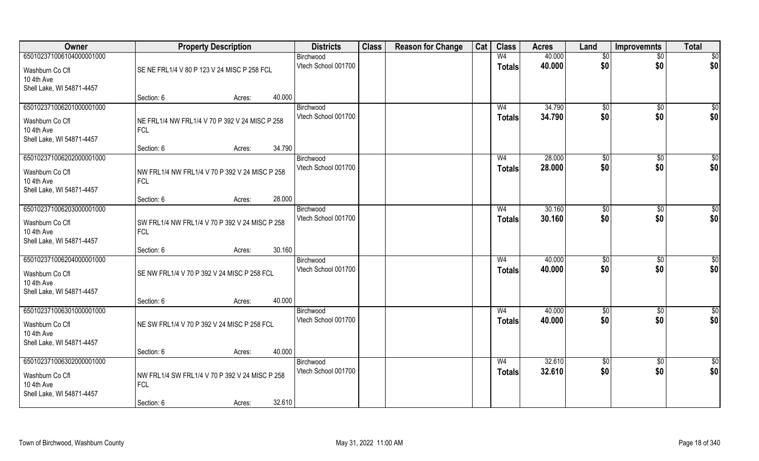| Owner                                                                                  | <b>Property Description</b>                                  |        | <b>Districts</b>                 | <b>Class</b> | <b>Reason for Change</b> | Cat | <b>Class</b>                    | <b>Acres</b>     | Land            | <b>Improvemnts</b>    | <b>Total</b>     |
|----------------------------------------------------------------------------------------|--------------------------------------------------------------|--------|----------------------------------|--------------|--------------------------|-----|---------------------------------|------------------|-----------------|-----------------------|------------------|
| 650102371006104000001000                                                               |                                                              |        | Birchwood                        |              |                          |     | W <sub>4</sub>                  | 40.000           | $\overline{50}$ | $\overline{50}$       | \$0              |
| Washburn Co Cfl<br>10 4th Ave<br>Shell Lake, WI 54871-4457                             | SE NE FRL1/4 V 80 P 123 V 24 MISC P 258 FCL                  |        | Vtech School 001700              |              |                          |     | <b>Totals</b>                   | 40.000           | \$0             | \$0                   | \$0              |
|                                                                                        | Section: 6<br>Acres:                                         | 40.000 |                                  |              |                          |     |                                 |                  |                 |                       |                  |
| 650102371006201000001000                                                               |                                                              |        | Birchwood                        |              |                          |     | W <sub>4</sub>                  | 34.790           | $\sqrt[6]{}$    | \$0                   | $\overline{\$0}$ |
| Washburn Co Cfl<br>10 4th Ave<br>Shell Lake, WI 54871-4457                             | NE FRL1/4 NW FRL1/4 V 70 P 392 V 24 MISC P 258<br><b>FCL</b> |        | Vtech School 001700              |              |                          |     | <b>Totals</b>                   | 34.790           | \$0             | \$0                   | \$0              |
|                                                                                        | Section: 6<br>Acres:                                         | 34.790 |                                  |              |                          |     |                                 |                  |                 |                       |                  |
| 650102371006202000001000                                                               |                                                              |        | Birchwood                        |              |                          |     | W <sub>4</sub>                  | 28.000           | \$0             | \$0                   | \$0              |
| Washburn Co Cfl<br>10 4th Ave<br>Shell Lake, WI 54871-4457                             | NW FRL1/4 NW FRL1/4 V 70 P 392 V 24 MISC P 258<br><b>FCL</b> |        | Vtech School 001700              |              |                          |     | <b>Totals</b>                   | 28.000           | \$0             | \$0                   | \$0              |
|                                                                                        | Section: 6<br>Acres:                                         | 28.000 |                                  |              |                          |     |                                 |                  |                 |                       |                  |
| 650102371006203000001000                                                               |                                                              |        | Birchwood                        |              |                          |     | W4                              | 30.160           | $\sqrt[6]{3}$   | $\sqrt[6]{3}$         | \$0              |
| Washburn Co Cfl<br>10 4th Ave<br>Shell Lake, WI 54871-4457                             | SW FRL1/4 NW FRL1/4 V 70 P 392 V 24 MISC P 258<br><b>FCL</b> |        | Vtech School 001700              |              |                          |     | <b>Totals</b>                   | 30.160           | \$0             | \$0                   | \$0              |
|                                                                                        | Section: 6<br>Acres:                                         | 30.160 |                                  |              |                          |     |                                 |                  |                 |                       |                  |
| 650102371006204000001000<br>Washburn Co Cfl<br>10 4th Ave<br>Shell Lake, WI 54871-4457 | SE NW FRL1/4 V 70 P 392 V 24 MISC P 258 FCL                  |        | Birchwood<br>Vtech School 001700 |              |                          |     | W <sub>4</sub><br><b>Totals</b> | 40.000<br>40.000 | \$0<br>\$0      | $\sqrt[6]{30}$<br>\$0 | \$0<br>\$0       |
|                                                                                        | Section: 6<br>Acres:                                         | 40.000 |                                  |              |                          |     |                                 |                  |                 |                       |                  |
| 650102371006301000001000                                                               |                                                              |        | Birchwood                        |              |                          |     | W <sub>4</sub>                  | 40.000           | \$0             | \$0                   | $\overline{50}$  |
| Washburn Co Cfl<br>10 4th Ave<br>Shell Lake, WI 54871-4457                             | NE SW FRL1/4 V 70 P 392 V 24 MISC P 258 FCL                  |        | Vtech School 001700              |              |                          |     | <b>Totals</b>                   | 40.000           | \$0             | \$0                   | \$0              |
|                                                                                        | Section: 6<br>Acres:                                         | 40.000 |                                  |              |                          |     |                                 |                  |                 |                       |                  |
| 650102371006302000001000                                                               |                                                              |        | Birchwood                        |              |                          |     | W <sub>4</sub>                  | 32.610           | \$0             | $\sqrt{6}$            | \$0              |
| Washburn Co Cfl<br>10 4th Ave<br>Shell Lake, WI 54871-4457                             | NW FRL1/4 SW FRL1/4 V 70 P 392 V 24 MISC P 258<br><b>FCL</b> |        | Vtech School 001700              |              |                          |     | <b>Totals</b>                   | 32.610           | \$0             | \$0                   | \$0              |
|                                                                                        | Section: 6<br>Acres:                                         | 32.610 |                                  |              |                          |     |                                 |                  |                 |                       |                  |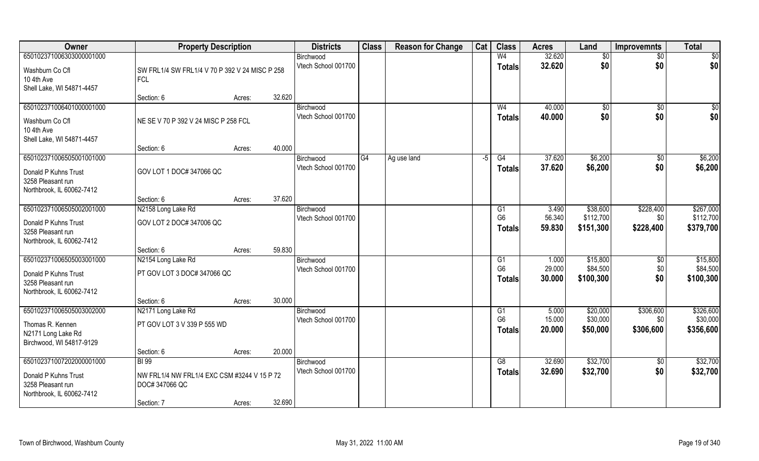| Owner                                                                                              | <b>Property Description</b>                                                                 |                  | <b>Districts</b>                 | <b>Class</b> | <b>Reason for Change</b> | Cat  | <b>Class</b>                          | <b>Acres</b>              | Land                              | <b>Improvemnts</b>            | <b>Total</b>                       |
|----------------------------------------------------------------------------------------------------|---------------------------------------------------------------------------------------------|------------------|----------------------------------|--------------|--------------------------|------|---------------------------------------|---------------------------|-----------------------------------|-------------------------------|------------------------------------|
| 650102371006303000001000                                                                           |                                                                                             |                  | Birchwood                        |              |                          |      | W <sub>4</sub>                        | 32.620                    | $\sqrt{6}$                        | $\overline{50}$               | $\overline{50}$                    |
| Washburn Co Cfl<br>10 4th Ave<br>Shell Lake, WI 54871-4457                                         | SW FRL1/4 SW FRL1/4 V 70 P 392 V 24 MISC P 258<br><b>FCL</b>                                |                  | Vtech School 001700              |              |                          |      | <b>Totals</b>                         | 32.620                    | \$0                               | \$0                           | \$0                                |
|                                                                                                    | Section: 6                                                                                  | 32.620<br>Acres: |                                  |              |                          |      |                                       |                           |                                   |                               |                                    |
| 650102371006401000001000<br>Washburn Co Cfl<br>10 4th Ave<br>Shell Lake, WI 54871-4457             | NE SE V 70 P 392 V 24 MISC P 258 FCL                                                        |                  | Birchwood<br>Vtech School 001700 |              |                          |      | W <sub>4</sub><br><b>Totals</b>       | 40.000<br>40.000          | \$0<br>\$0                        | \$0<br>\$0                    | \$0<br>\$0                         |
|                                                                                                    | Section: 6                                                                                  | 40.000<br>Acres: |                                  |              |                          |      |                                       |                           |                                   |                               |                                    |
| 650102371006505001001000<br>Donald P Kuhns Trust<br>3258 Pleasant run<br>Northbrook, IL 60062-7412 | GOV LOT 1 DOC# 347066 QC                                                                    |                  | Birchwood<br>Vtech School 001700 | G4           | Ag use land              | $-5$ | G4<br><b>Totals</b>                   | 37.620<br>37.620          | \$6,200<br>\$6,200                | $\sqrt[6]{3}$<br>\$0          | \$6,200<br>\$6,200                 |
|                                                                                                    | Section: 6                                                                                  | 37.620<br>Acres: |                                  |              |                          |      |                                       |                           |                                   |                               |                                    |
| 650102371006505002001000                                                                           | N2158 Long Lake Rd                                                                          |                  | Birchwood                        |              |                          |      | G <sub>1</sub>                        | 3.490                     | \$38,600                          | \$228,400                     | \$267,000                          |
| Donald P Kuhns Trust<br>3258 Pleasant run<br>Northbrook, IL 60062-7412                             | GOV LOT 2 DOC# 347006 QC                                                                    |                  | Vtech School 001700              |              |                          |      | G <sub>6</sub><br><b>Totals</b>       | 56.340<br>59.830          | \$112,700<br>\$151,300            | \$0<br>\$228,400              | \$112,700<br>\$379,700             |
|                                                                                                    | Section: 6                                                                                  | 59.830<br>Acres: |                                  |              |                          |      |                                       |                           |                                   |                               |                                    |
| 650102371006505003001000<br>Donald P Kuhns Trust<br>3258 Pleasant run<br>Northbrook, IL 60062-7412 | N2154 Long Lake Rd<br>PT GOV LOT 3 DOC# 347066 QC                                           |                  | Birchwood<br>Vtech School 001700 |              |                          |      | G1<br>G <sub>6</sub><br><b>Totals</b> | 1.000<br>29.000<br>30.000 | \$15,800<br>\$84,500<br>\$100,300 | \$0<br>\$0<br>\$0             | \$15,800<br>\$84,500<br>\$100,300  |
|                                                                                                    | Section: 6                                                                                  | 30.000<br>Acres: |                                  |              |                          |      |                                       |                           |                                   |                               |                                    |
| 650102371006505003002000<br>Thomas R. Kennen<br>N2171 Long Lake Rd<br>Birchwood, WI 54817-9129     | N2171 Long Lake Rd<br>PT GOV LOT 3 V 339 P 555 WD                                           |                  | Birchwood<br>Vtech School 001700 |              |                          |      | G1<br>G <sub>6</sub><br><b>Totals</b> | 5.000<br>15.000<br>20.000 | \$20,000<br>\$30,000<br>\$50,000  | \$306,600<br>\$0<br>\$306,600 | \$326,600<br>\$30,000<br>\$356,600 |
|                                                                                                    | Section: 6                                                                                  | 20.000<br>Acres: |                                  |              |                          |      |                                       |                           |                                   |                               |                                    |
| 650102371007202000001000<br>Donald P Kuhns Trust<br>3258 Pleasant run<br>Northbrook, IL 60062-7412 | <b>BI</b> 99<br>NW FRL1/4 NW FRL1/4 EXC CSM #3244 V 15 P 72<br>DOC# 347066 QC<br>Section: 7 | 32.690<br>Acres: | Birchwood<br>Vtech School 001700 |              |                          |      | G8<br>Totals                          | 32.690<br>32.690          | \$32,700<br>\$32,700              | $\overline{50}$<br>\$0        | \$32,700<br>\$32,700               |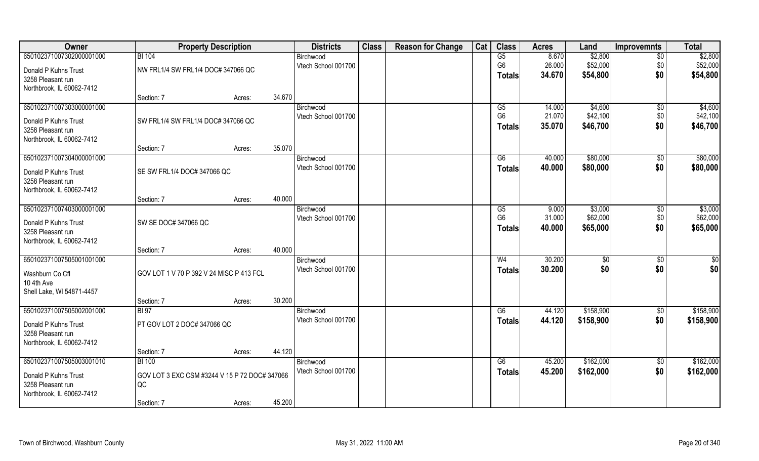| Owner                     | <b>Property Description</b>                   |        |        | <b>Districts</b>    | <b>Class</b> | <b>Reason for Change</b> | Cat | <b>Class</b>   | <b>Acres</b> | Land          | <b>Improvemnts</b> | <b>Total</b> |
|---------------------------|-----------------------------------------------|--------|--------|---------------------|--------------|--------------------------|-----|----------------|--------------|---------------|--------------------|--------------|
| 650102371007302000001000  | <b>BI 104</b>                                 |        |        | Birchwood           |              |                          |     | G5             | 8.670        | \$2,800       | $\overline{50}$    | \$2,800      |
| Donald P Kuhns Trust      | NW FRL1/4 SW FRL1/4 DOC# 347066 QC            |        |        | Vtech School 001700 |              |                          |     | G <sub>6</sub> | 26.000       | \$52,000      | \$0                | \$52,000     |
| 3258 Pleasant run         |                                               |        |        |                     |              |                          |     | <b>Totals</b>  | 34.670       | \$54,800      | \$0                | \$54,800     |
| Northbrook, IL 60062-7412 |                                               |        |        |                     |              |                          |     |                |              |               |                    |              |
|                           | Section: 7                                    | Acres: | 34.670 |                     |              |                          |     |                |              |               |                    |              |
| 650102371007303000001000  |                                               |        |        | Birchwood           |              |                          |     | G5             | 14.000       | \$4,600       | \$0                | \$4,600      |
| Donald P Kuhns Trust      | SW FRL1/4 SW FRL1/4 DOC# 347066 QC            |        |        | Vtech School 001700 |              |                          |     | G <sub>6</sub> | 21.070       | \$42,100      | \$0                | \$42,100     |
| 3258 Pleasant run         |                                               |        |        |                     |              |                          |     | <b>Totals</b>  | 35.070       | \$46,700      | \$0                | \$46,700     |
| Northbrook, IL 60062-7412 |                                               |        |        |                     |              |                          |     |                |              |               |                    |              |
|                           | Section: 7                                    | Acres: | 35.070 |                     |              |                          |     |                |              |               |                    |              |
| 650102371007304000001000  |                                               |        |        | Birchwood           |              |                          |     | G6             | 40.000       | \$80,000      | $\sqrt[6]{30}$     | \$80,000     |
| Donald P Kuhns Trust      | SE SW FRL1/4 DOC# 347066 QC                   |        |        | Vtech School 001700 |              |                          |     | <b>Totals</b>  | 40.000       | \$80,000      | \$0                | \$80,000     |
| 3258 Pleasant run         |                                               |        |        |                     |              |                          |     |                |              |               |                    |              |
| Northbrook, IL 60062-7412 |                                               |        |        |                     |              |                          |     |                |              |               |                    |              |
|                           | Section: 7                                    | Acres: | 40.000 |                     |              |                          |     |                |              |               |                    |              |
| 650102371007403000001000  |                                               |        |        | Birchwood           |              |                          |     | G5             | 9.000        | \$3,000       | \$0                | \$3,000      |
| Donald P Kuhns Trust      | SW SE DOC# 347066 QC                          |        |        | Vtech School 001700 |              |                          |     | G <sub>6</sub> | 31.000       | \$62,000      | \$0                | \$62,000     |
| 3258 Pleasant run         |                                               |        |        |                     |              |                          |     | <b>Totals</b>  | 40.000       | \$65,000      | \$0                | \$65,000     |
| Northbrook, IL 60062-7412 |                                               |        |        |                     |              |                          |     |                |              |               |                    |              |
|                           | Section: 7                                    | Acres: | 40.000 |                     |              |                          |     |                |              |               |                    |              |
| 650102371007505001001000  |                                               |        |        | Birchwood           |              |                          |     | W <sub>4</sub> | 30.200       | $\sqrt[6]{3}$ | $\sqrt[6]{30}$     | \$0          |
| Washburn Co Cfl           | GOV LOT 1 V 70 P 392 V 24 MISC P 413 FCL      |        |        | Vtech School 001700 |              |                          |     | <b>Totals</b>  | 30.200       | \$0           | \$0                | \$0          |
| 10 4th Ave                |                                               |        |        |                     |              |                          |     |                |              |               |                    |              |
| Shell Lake, WI 54871-4457 |                                               |        |        |                     |              |                          |     |                |              |               |                    |              |
|                           | Section: 7                                    | Acres: | 30.200 |                     |              |                          |     |                |              |               |                    |              |
| 650102371007505002001000  | <b>BI 97</b>                                  |        |        | Birchwood           |              |                          |     | G6             | 44.120       | \$158,900     | \$0                | \$158,900    |
| Donald P Kuhns Trust      | PT GOV LOT 2 DOC# 347066 QC                   |        |        | Vtech School 001700 |              |                          |     | <b>Totals</b>  | 44.120       | \$158,900     | \$0                | \$158,900    |
| 3258 Pleasant run         |                                               |        |        |                     |              |                          |     |                |              |               |                    |              |
| Northbrook, IL 60062-7412 |                                               |        |        |                     |              |                          |     |                |              |               |                    |              |
|                           | Section: 7                                    | Acres: | 44.120 |                     |              |                          |     |                |              |               |                    |              |
| 650102371007505003001010  | <b>BI 100</b>                                 |        |        | Birchwood           |              |                          |     | G6             | 45.200       | \$162,000     | \$0                | \$162,000    |
| Donald P Kuhns Trust      | GOV LOT 3 EXC CSM #3244 V 15 P 72 DOC# 347066 |        |        | Vtech School 001700 |              |                          |     | <b>Totals</b>  | 45.200       | \$162,000     | \$0                | \$162,000    |
| 3258 Pleasant run         | QC                                            |        |        |                     |              |                          |     |                |              |               |                    |              |
| Northbrook, IL 60062-7412 |                                               |        |        |                     |              |                          |     |                |              |               |                    |              |
|                           | Section: 7                                    | Acres: | 45.200 |                     |              |                          |     |                |              |               |                    |              |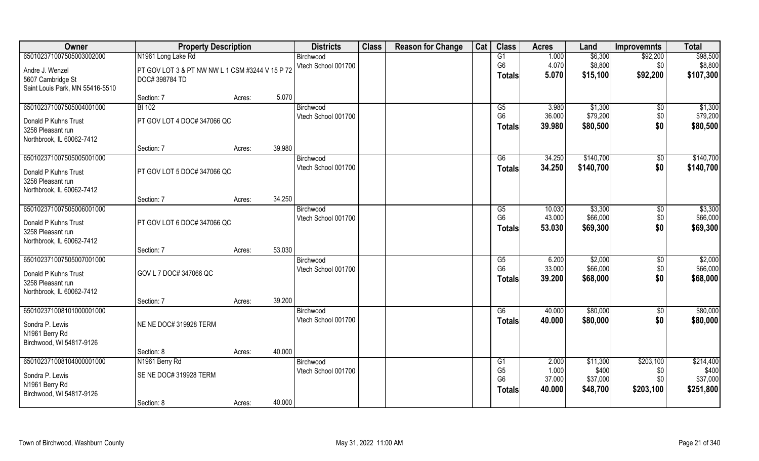| Owner                           | <b>Property Description</b>                     |                  | <b>Districts</b>    | <b>Class</b> | <b>Reason for Change</b> | Cat | <b>Class</b>   | <b>Acres</b> | Land      | <b>Improvemnts</b> | <b>Total</b> |
|---------------------------------|-------------------------------------------------|------------------|---------------------|--------------|--------------------------|-----|----------------|--------------|-----------|--------------------|--------------|
| 650102371007505003002000        | N1961 Long Lake Rd                              |                  | Birchwood           |              |                          |     | G1             | 1.000        | \$6,300   | \$92,200           | \$98,500     |
| Andre J. Wenzel                 | PT GOV LOT 3 & PT NW NW L 1 CSM #3244 V 15 P 72 |                  | Vtech School 001700 |              |                          |     | G <sub>6</sub> | 4.070        | \$8,800   | \$0                | \$8,800      |
| 5607 Cambridge St               | DOC# 398784 TD                                  |                  |                     |              |                          |     | Totals         | 5.070        | \$15,100  | \$92,200           | \$107,300    |
| Saint Louis Park, MN 55416-5510 |                                                 |                  |                     |              |                          |     |                |              |           |                    |              |
|                                 | Section: 7                                      | Acres:           | 5.070               |              |                          |     |                |              |           |                    |              |
| 650102371007505004001000        | <b>BI</b> 102                                   |                  | Birchwood           |              |                          |     | G5             | 3.980        | \$1,300   | \$0                | \$1,300      |
| Donald P Kuhns Trust            | PT GOV LOT 4 DOC# 347066 QC                     |                  | Vtech School 001700 |              |                          |     | G <sub>6</sub> | 36.000       | \$79,200  | \$0                | \$79,200     |
| 3258 Pleasant run               |                                                 |                  |                     |              |                          |     | <b>Totals</b>  | 39.980       | \$80,500  | \$0                | \$80,500     |
| Northbrook, IL 60062-7412       |                                                 |                  |                     |              |                          |     |                |              |           |                    |              |
|                                 | Section: 7                                      | 39.980<br>Acres: |                     |              |                          |     |                |              |           |                    |              |
| 650102371007505005001000        |                                                 |                  | Birchwood           |              |                          |     | G6             | 34.250       | \$140,700 | \$0                | \$140,700    |
| Donald P Kuhns Trust            | PT GOV LOT 5 DOC# 347066 QC                     |                  | Vtech School 001700 |              |                          |     | <b>Totals</b>  | 34.250       | \$140,700 | \$0                | \$140,700    |
| 3258 Pleasant run               |                                                 |                  |                     |              |                          |     |                |              |           |                    |              |
| Northbrook, IL 60062-7412       |                                                 |                  |                     |              |                          |     |                |              |           |                    |              |
|                                 | Section: 7                                      | 34.250<br>Acres: |                     |              |                          |     |                |              |           |                    |              |
| 650102371007505006001000        |                                                 |                  | Birchwood           |              |                          |     | G5             | 10.030       | \$3,300   | \$0                | \$3,300      |
| Donald P Kuhns Trust            | PT GOV LOT 6 DOC# 347066 QC                     |                  | Vtech School 001700 |              |                          |     | G <sub>6</sub> | 43.000       | \$66,000  | \$0                | \$66,000     |
| 3258 Pleasant run               |                                                 |                  |                     |              |                          |     | <b>Totals</b>  | 53.030       | \$69,300  | \$0                | \$69,300     |
| Northbrook, IL 60062-7412       |                                                 |                  |                     |              |                          |     |                |              |           |                    |              |
|                                 | Section: 7                                      | 53.030<br>Acres: |                     |              |                          |     |                |              |           |                    |              |
| 650102371007505007001000        |                                                 |                  | Birchwood           |              |                          |     | G5             | 6.200        | \$2,000   | \$0                | \$2,000      |
| Donald P Kuhns Trust            | GOV L 7 DOC# 347066 QC                          |                  | Vtech School 001700 |              |                          |     | G <sub>6</sub> | 33.000       | \$66,000  | \$0                | \$66,000     |
| 3258 Pleasant run               |                                                 |                  |                     |              |                          |     | <b>Totals</b>  | 39.200       | \$68,000  | \$0                | \$68,000     |
| Northbrook, IL 60062-7412       |                                                 |                  |                     |              |                          |     |                |              |           |                    |              |
|                                 | Section: 7                                      | 39.200<br>Acres: |                     |              |                          |     |                |              |           |                    |              |
| 650102371008101000001000        |                                                 |                  | Birchwood           |              |                          |     | G6             | 40.000       | \$80,000  | \$0                | \$80,000     |
| Sondra P. Lewis                 | NE NE DOC# 319928 TERM                          |                  | Vtech School 001700 |              |                          |     | <b>Totals</b>  | 40.000       | \$80,000  | \$0                | \$80,000     |
| N1961 Berry Rd                  |                                                 |                  |                     |              |                          |     |                |              |           |                    |              |
| Birchwood, WI 54817-9126        |                                                 |                  |                     |              |                          |     |                |              |           |                    |              |
|                                 | Section: 8                                      | 40.000<br>Acres: |                     |              |                          |     |                |              |           |                    |              |
| 650102371008104000001000        | N1961 Berry Rd                                  |                  | Birchwood           |              |                          |     | G1             | 2.000        | \$11,300  | \$203,100          | \$214,400    |
| Sondra P. Lewis                 | SE NE DOC# 319928 TERM                          |                  | Vtech School 001700 |              |                          |     | G <sub>5</sub> | 1.000        | \$400     | \$0                | \$400        |
| N1961 Berry Rd                  |                                                 |                  |                     |              |                          |     | G <sub>6</sub> | 37.000       | \$37,000  | \$0                | \$37,000     |
| Birchwood, WI 54817-9126        |                                                 |                  |                     |              |                          |     | Totals         | 40.000       | \$48,700  | \$203,100          | \$251,800    |
|                                 | Section: 8                                      | 40.000<br>Acres: |                     |              |                          |     |                |              |           |                    |              |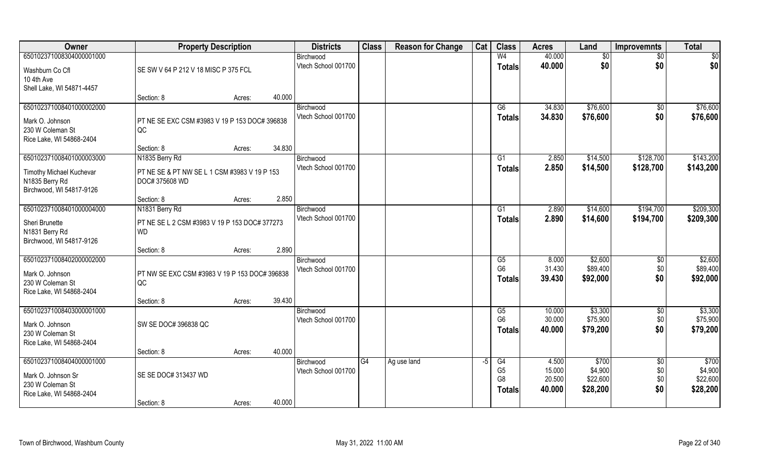| Owner                                                                                          | <b>Property Description</b>                                    |        |        | <b>Districts</b>                 | <b>Class</b> | <b>Reason for Change</b> | Cat  | <b>Class</b>                                            | <b>Acres</b>                        | Land                                     | <b>Improvemnts</b>                   | <b>Total</b>                             |
|------------------------------------------------------------------------------------------------|----------------------------------------------------------------|--------|--------|----------------------------------|--------------|--------------------------|------|---------------------------------------------------------|-------------------------------------|------------------------------------------|--------------------------------------|------------------------------------------|
| 650102371008304000001000                                                                       |                                                                |        |        | Birchwood                        |              |                          |      | W <sub>4</sub>                                          | 40.000                              | \$0                                      | \$0                                  | \$0                                      |
| Washburn Co Cfl<br>10 4th Ave<br>Shell Lake, WI 54871-4457                                     | SE SW V 64 P 212 V 18 MISC P 375 FCL                           |        |        | Vtech School 001700              |              |                          |      | <b>Totals</b>                                           | 40.000                              | \$0                                      | \$0                                  | \$0                                      |
|                                                                                                | Section: 8                                                     | Acres: | 40.000 |                                  |              |                          |      |                                                         |                                     |                                          |                                      |                                          |
| 650102371008401000002000<br>Mark O. Johnson<br>230 W Coleman St<br>Rice Lake, WI 54868-2404    | PT NE SE EXC CSM #3983 V 19 P 153 DOC# 396838<br>QC            |        |        | Birchwood<br>Vtech School 001700 |              |                          |      | G6<br><b>Totals</b>                                     | 34.830<br>34.830                    | \$76,600<br>\$76,600                     | \$0<br>\$0                           | \$76,600<br>\$76,600                     |
|                                                                                                | Section: 8                                                     | Acres: | 34.830 |                                  |              |                          |      |                                                         |                                     |                                          |                                      |                                          |
| 650102371008401000003000                                                                       | N1835 Berry Rd                                                 |        |        | Birchwood                        |              |                          |      | G1                                                      | 2.850                               | \$14,500                                 | \$128,700                            | \$143,200                                |
| Timothy Michael Kuchevar<br>N1835 Berry Rd<br>Birchwood, WI 54817-9126                         | PT NE SE & PT NW SE L 1 CSM #3983 V 19 P 153<br>DOC# 375608 WD |        |        | Vtech School 001700              |              |                          |      | <b>Totals</b>                                           | 2.850                               | \$14,500                                 | \$128,700                            | \$143,200                                |
|                                                                                                | Section: 8                                                     | Acres: | 2.850  |                                  |              |                          |      |                                                         |                                     |                                          |                                      |                                          |
| 650102371008401000004000                                                                       | N1831 Berry Rd                                                 |        |        | Birchwood                        |              |                          |      | G1                                                      | 2.890                               | \$14,600                                 | \$194,700                            | \$209,300                                |
| Sheri Brunette<br>N1831 Berry Rd<br>Birchwood, WI 54817-9126                                   | PT NE SE L 2 CSM #3983 V 19 P 153 DOC# 377273<br><b>WD</b>     |        |        | Vtech School 001700              |              |                          |      | <b>Totals</b>                                           | 2.890                               | \$14,600                                 | \$194,700                            | \$209,300                                |
|                                                                                                | Section: 8                                                     | Acres: | 2.890  |                                  |              |                          |      |                                                         |                                     |                                          |                                      |                                          |
| 650102371008402000002000<br>Mark O. Johnson<br>230 W Coleman St<br>Rice Lake, WI 54868-2404    | PT NW SE EXC CSM #3983 V 19 P 153 DOC# 396838<br>QC            |        |        | Birchwood<br>Vtech School 001700 |              |                          |      | G5<br>G <sub>6</sub><br><b>Totals</b>                   | 8.000<br>31.430<br>39.430           | \$2,600<br>\$89,400<br>\$92,000          | $\sqrt[6]{}$<br>\$0<br>\$0           | \$2,600<br>\$89,400<br>\$92,000          |
|                                                                                                | Section: 8                                                     | Acres: | 39.430 |                                  |              |                          |      |                                                         |                                     |                                          |                                      |                                          |
| 650102371008403000001000<br>Mark O. Johnson<br>230 W Coleman St<br>Rice Lake, WI 54868-2404    | SW SE DOC# 396838 QC                                           |        |        | Birchwood<br>Vtech School 001700 |              |                          |      | G5<br>G <sub>6</sub><br><b>Totals</b>                   | 10.000<br>30.000<br>40.000          | \$3,300<br>\$75,900<br>\$79,200          | $\sqrt{6}$<br>\$0<br>\$0             | \$3,300<br>\$75,900<br>\$79,200          |
|                                                                                                | Section: 8                                                     | Acres: | 40.000 |                                  |              |                          |      |                                                         |                                     |                                          |                                      |                                          |
| 650102371008404000001000<br>Mark O. Johnson Sr<br>230 W Coleman St<br>Rice Lake, WI 54868-2404 | SE SE DOC# 313437 WD                                           |        | 40.000 | Birchwood<br>Vtech School 001700 | G4           | Ag use land              | $-5$ | G4<br>G <sub>5</sub><br>G <sub>8</sub><br><b>Totals</b> | 4.500<br>15.000<br>20.500<br>40.000 | \$700<br>\$4,900<br>\$22,600<br>\$28,200 | $\overline{50}$<br>\$0<br>\$0<br>\$0 | \$700<br>\$4,900<br>\$22,600<br>\$28,200 |
|                                                                                                | Section: 8                                                     | Acres: |        |                                  |              |                          |      |                                                         |                                     |                                          |                                      |                                          |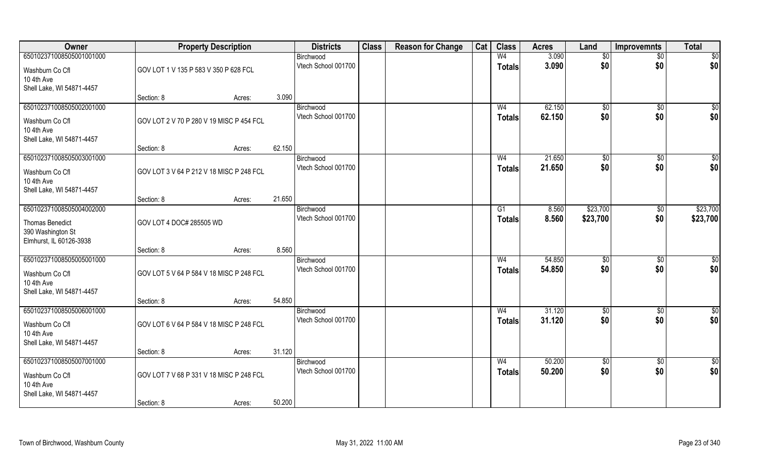| Owner                                                                                  |                                          | <b>Property Description</b> |        | <b>Districts</b>                 | <b>Class</b> | <b>Reason for Change</b> | Cat | <b>Class</b>                    | <b>Acres</b>     | Land              | <b>Improvemnts</b>   | <b>Total</b>    |
|----------------------------------------------------------------------------------------|------------------------------------------|-----------------------------|--------|----------------------------------|--------------|--------------------------|-----|---------------------------------|------------------|-------------------|----------------------|-----------------|
| 650102371008505001001000                                                               |                                          |                             |        | Birchwood                        |              |                          |     | W <sub>4</sub>                  | 3.090            | \$0               | $\overline{50}$      | $\overline{50}$ |
| Washburn Co Cfl<br>10 4th Ave                                                          | GOV LOT 1 V 135 P 583 V 350 P 628 FCL    |                             |        | Vtech School 001700              |              |                          |     | <b>Totals</b>                   | 3.090            | \$0               | \$0                  | \$0             |
| Shell Lake, WI 54871-4457                                                              | Section: 8                               | Acres:                      | 3.090  |                                  |              |                          |     |                                 |                  |                   |                      |                 |
| 650102371008505002001000                                                               |                                          |                             |        | Birchwood                        |              |                          |     | W <sub>4</sub>                  | 62.150           | $\sqrt[6]{}$      | $\sqrt{$0}$          | $\sqrt{50}$     |
| Washburn Co Cfl<br>10 4th Ave<br>Shell Lake, WI 54871-4457                             | GOV LOT 2 V 70 P 280 V 19 MISC P 454 FCL |                             |        | Vtech School 001700              |              |                          |     | <b>Totals</b>                   | 62.150           | \$0               | \$0                  | \$0             |
|                                                                                        | Section: 8                               | Acres:                      | 62.150 |                                  |              |                          |     |                                 |                  |                   |                      |                 |
| 650102371008505003001000                                                               |                                          |                             |        | Birchwood                        |              |                          |     | W <sub>4</sub>                  | 21.650           | \$0               | $\sqrt[6]{30}$       | $\sqrt{50}$     |
| Washburn Co Cfl<br>10 4th Ave<br>Shell Lake, WI 54871-4457                             | GOV LOT 3 V 64 P 212 V 18 MISC P 248 FCL |                             |        | Vtech School 001700              |              |                          |     | <b>Totals</b>                   | 21.650           | \$0               | \$0                  | \$0             |
|                                                                                        | Section: 8                               | Acres:                      | 21.650 |                                  |              |                          |     |                                 |                  |                   |                      |                 |
| 650102371008505004002000                                                               |                                          |                             |        | Birchwood                        |              |                          |     | G1                              | 8.560            | \$23,700          | $\sqrt[6]{3}$        | \$23,700        |
| <b>Thomas Benedict</b><br>390 Washington St<br>Elmhurst, IL 60126-3938                 | GOV LOT 4 DOC# 285505 WD                 |                             |        | Vtech School 001700              |              |                          |     | <b>Totals</b>                   | 8.560            | \$23,700          | \$0                  | \$23,700        |
|                                                                                        | Section: 8                               | Acres:                      | 8.560  |                                  |              |                          |     |                                 |                  |                   |                      |                 |
| 650102371008505005001000<br>Washburn Co Cfl<br>10 4th Ave<br>Shell Lake, WI 54871-4457 | GOV LOT 5 V 64 P 584 V 18 MISC P 248 FCL |                             |        | Birchwood<br>Vtech School 001700 |              |                          |     | W <sub>4</sub><br><b>Totals</b> | 54.850<br>54.850 | \$0<br>\$0        | $\sqrt[6]{3}$<br>\$0 | \$0<br>\$0      |
|                                                                                        | Section: 8                               | Acres:                      | 54.850 |                                  |              |                          |     |                                 |                  |                   |                      |                 |
| 650102371008505006001000<br>Washburn Co Cfl<br>10 4th Ave<br>Shell Lake, WI 54871-4457 | GOV LOT 6 V 64 P 584 V 18 MISC P 248 FCL |                             |        | Birchwood<br>Vtech School 001700 |              |                          |     | W <sub>4</sub><br><b>Totals</b> | 31.120<br>31.120 | \$0<br>\$0        | \$0<br>\$0           | \$0<br>\$0      |
|                                                                                        | Section: 8                               | Acres:                      | 31.120 |                                  |              |                          |     |                                 |                  |                   |                      |                 |
| 650102371008505007001000<br>Washburn Co Cfl<br>10 4th Ave<br>Shell Lake, WI 54871-4457 | GOV LOT 7 V 68 P 331 V 18 MISC P 248 FCL |                             |        | Birchwood<br>Vtech School 001700 |              |                          |     | W <sub>4</sub><br><b>Totals</b> | 50.200<br>50.200 | $\sqrt{6}$<br>\$0 | $\sqrt{$0}$<br>\$0   | \$0<br>\$0      |
|                                                                                        | Section: 8                               | Acres:                      | 50.200 |                                  |              |                          |     |                                 |                  |                   |                      |                 |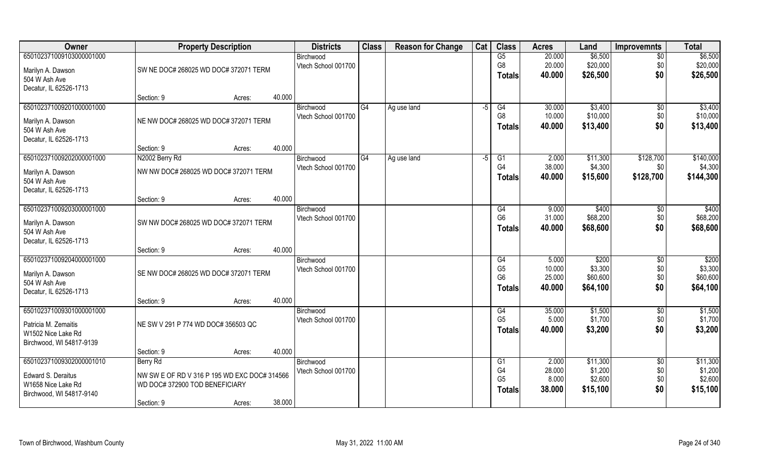| <b>Owner</b>             |                                              | <b>Property Description</b> | <b>Districts</b>    | <b>Class</b> | <b>Reason for Change</b> | Cat  | <b>Class</b>   | <b>Acres</b> | Land     | <b>Improvemnts</b> | <b>Total</b> |
|--------------------------|----------------------------------------------|-----------------------------|---------------------|--------------|--------------------------|------|----------------|--------------|----------|--------------------|--------------|
| 650102371009103000001000 |                                              |                             | Birchwood           |              |                          |      | G5             | 20.000       | \$6,500  | $\overline{50}$    | \$6,500      |
| Marilyn A. Dawson        | SW NE DOC# 268025 WD DOC# 372071 TERM        |                             | Vtech School 001700 |              |                          |      | G8             | 20.000       | \$20,000 | \$0                | \$20,000     |
| 504 W Ash Ave            |                                              |                             |                     |              |                          |      | <b>Totals</b>  | 40.000       | \$26,500 | \$0                | \$26,500     |
| Decatur, IL 62526-1713   |                                              |                             |                     |              |                          |      |                |              |          |                    |              |
|                          | Section: 9                                   | Acres:                      | 40.000              |              |                          |      |                |              |          |                    |              |
| 650102371009201000001000 |                                              |                             | Birchwood           | G4           | Ag use land              | $-5$ | G4             | 30.000       | \$3,400  | \$0                | \$3,400      |
| Marilyn A. Dawson        | NE NW DOC# 268025 WD DOC# 372071 TERM        |                             | Vtech School 001700 |              |                          |      | G <sub>8</sub> | 10.000       | \$10,000 | \$0                | \$10,000     |
| 504 W Ash Ave            |                                              |                             |                     |              |                          |      | <b>Totals</b>  | 40.000       | \$13,400 | \$0                | \$13,400     |
| Decatur, IL 62526-1713   |                                              |                             |                     |              |                          |      |                |              |          |                    |              |
|                          | Section: 9                                   | Acres:                      | 40.000              |              |                          |      |                |              |          |                    |              |
| 650102371009202000001000 | N2002 Berry Rd                               |                             | Birchwood           | G4           | Ag use land              | $-5$ | G1             | 2.000        | \$11,300 | \$128,700          | \$140,000    |
| Marilyn A. Dawson        | NW NW DOC# 268025 WD DOC# 372071 TERM        |                             | Vtech School 001700 |              |                          |      | G <sub>4</sub> | 38.000       | \$4,300  | \$0                | \$4,300      |
| 504 W Ash Ave            |                                              |                             |                     |              |                          |      | <b>Totals</b>  | 40.000       | \$15,600 | \$128,700          | \$144,300    |
| Decatur, IL 62526-1713   |                                              |                             |                     |              |                          |      |                |              |          |                    |              |
|                          | Section: 9                                   | Acres:                      | 40.000              |              |                          |      |                |              |          |                    |              |
| 650102371009203000001000 |                                              |                             | Birchwood           |              |                          |      | G4             | 9.000        | \$400    | \$0                | \$400        |
| Marilyn A. Dawson        | SW NW DOC# 268025 WD DOC# 372071 TERM        |                             | Vtech School 001700 |              |                          |      | G <sub>6</sub> | 31.000       | \$68,200 | \$0                | \$68,200     |
| 504 W Ash Ave            |                                              |                             |                     |              |                          |      | <b>Totals</b>  | 40.000       | \$68,600 | \$0                | \$68,600     |
| Decatur, IL 62526-1713   |                                              |                             |                     |              |                          |      |                |              |          |                    |              |
|                          | Section: 9                                   | Acres:                      | 40.000              |              |                          |      |                |              |          |                    |              |
| 650102371009204000001000 |                                              |                             | Birchwood           |              |                          |      | G4             | 5.000        | \$200    | \$0                | \$200        |
| Marilyn A. Dawson        | SE NW DOC# 268025 WD DOC# 372071 TERM        |                             | Vtech School 001700 |              |                          |      | G <sub>5</sub> | 10.000       | \$3,300  | \$0                | \$3,300      |
| 504 W Ash Ave            |                                              |                             |                     |              |                          |      | G <sub>6</sub> | 25.000       | \$60,600 | \$0                | \$60,600     |
| Decatur, IL 62526-1713   |                                              |                             |                     |              |                          |      | <b>Totals</b>  | 40.000       | \$64,100 | \$0                | \$64,100     |
|                          | Section: 9                                   | Acres:                      | 40.000              |              |                          |      |                |              |          |                    |              |
| 650102371009301000001000 |                                              |                             | Birchwood           |              |                          |      | G4             | 35.000       | \$1,500  | \$0                | \$1,500      |
| Patricia M. Zemaitis     | NE SW V 291 P 774 WD DOC# 356503 QC          |                             | Vtech School 001700 |              |                          |      | G <sub>5</sub> | 5.000        | \$1,700  | \$0                | \$1,700      |
| W1502 Nice Lake Rd       |                                              |                             |                     |              |                          |      | <b>Totals</b>  | 40.000       | \$3,200  | \$0                | \$3,200      |
| Birchwood, WI 54817-9139 |                                              |                             |                     |              |                          |      |                |              |          |                    |              |
|                          | Section: 9                                   | Acres:                      | 40.000              |              |                          |      |                |              |          |                    |              |
| 650102371009302000001010 | Berry Rd                                     |                             | Birchwood           |              |                          |      | G <sub>1</sub> | 2.000        | \$11,300 | $\overline{50}$    | \$11,300     |
| Edward S. Deraitus       | NW SW E OF RD V 316 P 195 WD EXC DOC# 314566 |                             | Vtech School 001700 |              |                          |      | G4             | 28.000       | \$1,200  | \$0                | \$1,200      |
| W1658 Nice Lake Rd       | WD DOC#372900 TOD BENEFICIARY                |                             |                     |              |                          |      | G <sub>5</sub> | 8.000        | \$2,600  | \$0                | \$2,600      |
| Birchwood, WI 54817-9140 |                                              |                             |                     |              |                          |      | <b>Totals</b>  | 38.000       | \$15,100 | \$0                | \$15,100     |
|                          | Section: 9                                   | Acres:                      | 38.000              |              |                          |      |                |              |          |                    |              |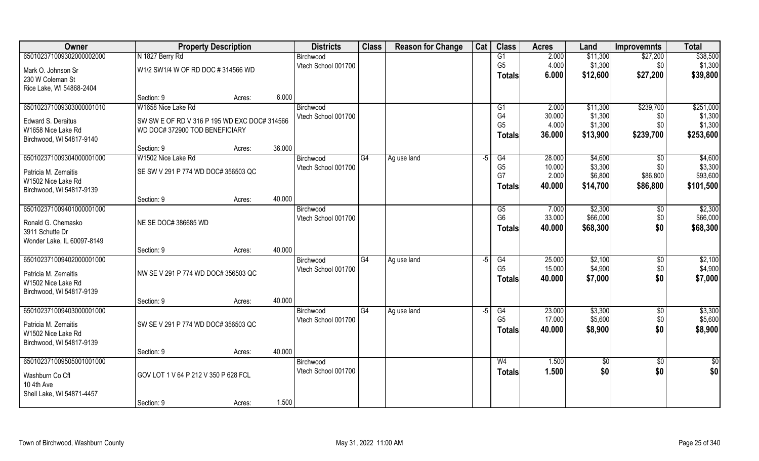| Owner                                 | <b>Property Description</b>                  |        |        | <b>Districts</b>                 | <b>Class</b>   | <b>Reason for Change</b> | Cat  | <b>Class</b>         | <b>Acres</b>     | Land               | <b>Improvemnts</b> | <b>Total</b>       |
|---------------------------------------|----------------------------------------------|--------|--------|----------------------------------|----------------|--------------------------|------|----------------------|------------------|--------------------|--------------------|--------------------|
| 650102371009302000002000              | N 1827 Berry Rd                              |        |        | Birchwood                        |                |                          |      | G1                   | 2.000            | \$11,300           | \$27,200           | \$38,500           |
| Mark O. Johnson Sr                    | W1/2 SW1/4 W OF RD DOC #314566 WD            |        |        | Vtech School 001700              |                |                          |      | G <sub>5</sub>       | 4.000            | \$1,300            | \$0                | \$1,300            |
| 230 W Coleman St                      |                                              |        |        |                                  |                |                          |      | Totals               | 6.000            | \$12,600           | \$27,200           | \$39,800           |
| Rice Lake, WI 54868-2404              |                                              |        |        |                                  |                |                          |      |                      |                  |                    |                    |                    |
|                                       | Section: 9                                   | Acres: | 6.000  |                                  |                |                          |      |                      |                  |                    |                    |                    |
| 650102371009303000001010              | W1658 Nice Lake Rd                           |        |        | Birchwood                        |                |                          |      | G1                   | 2.000            | \$11,300           | \$239,700          | \$251,000          |
| Edward S. Deraitus                    | SW SW E OF RD V 316 P 195 WD EXC DOC# 314566 |        |        | Vtech School 001700              |                |                          |      | G4<br>G <sub>5</sub> | 30.000<br>4.000  | \$1,300<br>\$1,300 | \$0<br>\$0         | \$1,300<br>\$1,300 |
| W1658 Nice Lake Rd                    | WD DOC# 372900 TOD BENEFICIARY               |        |        |                                  |                |                          |      | <b>Totals</b>        | 36.000           | \$13,900           | \$239,700          | \$253,600          |
| Birchwood, WI 54817-9140              |                                              |        |        |                                  |                |                          |      |                      |                  |                    |                    |                    |
| 650102371009304000001000              | Section: 9<br>W1502 Nice Lake Rd             | Acres: | 36.000 |                                  |                |                          |      |                      |                  |                    |                    |                    |
|                                       |                                              |        |        | Birchwood<br>Vtech School 001700 | G4             | Ag use land              | -5   | G4<br>G <sub>5</sub> | 28.000<br>10.000 | \$4,600<br>\$3,300 | $\sqrt{50}$<br>\$0 | \$4,600<br>\$3,300 |
| Patricia M. Zemaitis                  | SE SW V 291 P 774 WD DOC# 356503 QC          |        |        |                                  |                |                          |      | G7                   | 2.000            | \$6,800            | \$86,800           | \$93,600           |
| W1502 Nice Lake Rd                    |                                              |        |        |                                  |                |                          |      | Totals               | 40.000           | \$14,700           | \$86,800           | \$101,500          |
| Birchwood, WI 54817-9139              | Section: 9                                   | Acres: | 40.000 |                                  |                |                          |      |                      |                  |                    |                    |                    |
| 650102371009401000001000              |                                              |        |        | Birchwood                        |                |                          |      | G <sub>5</sub>       | 7.000            | \$2,300            | \$0                | \$2,300            |
|                                       |                                              |        |        | Vtech School 001700              |                |                          |      | G <sub>6</sub>       | 33.000           | \$66,000           | \$0                | \$66,000           |
| Ronald G. Chemasko<br>3911 Schutte Dr | NE SE DOC# 386685 WD                         |        |        |                                  |                |                          |      | <b>Totals</b>        | 40,000           | \$68,300           | \$0                | \$68,300           |
| Wonder Lake, IL 60097-8149            |                                              |        |        |                                  |                |                          |      |                      |                  |                    |                    |                    |
|                                       | Section: 9                                   | Acres: | 40.000 |                                  |                |                          |      |                      |                  |                    |                    |                    |
| 650102371009402000001000              |                                              |        |        | Birchwood                        | G <sub>4</sub> | Ag use land              | $-5$ | G4                   | 25.000           | \$2,100            | \$0                | \$2,100            |
| Patricia M. Zemaitis                  | NW SE V 291 P 774 WD DOC# 356503 QC          |        |        | Vtech School 001700              |                |                          |      | G <sub>5</sub>       | 15.000           | \$4,900            | \$0                | \$4,900            |
| W1502 Nice Lake Rd                    |                                              |        |        |                                  |                |                          |      | Totals               | 40.000           | \$7,000            | \$0                | \$7,000            |
| Birchwood, WI 54817-9139              |                                              |        |        |                                  |                |                          |      |                      |                  |                    |                    |                    |
|                                       | Section: 9                                   | Acres: | 40.000 |                                  |                |                          |      |                      |                  |                    |                    |                    |
| 650102371009403000001000              |                                              |        |        | Birchwood                        | G4             | Ag use land              | $-5$ | G4                   | 23.000           | \$3,300            | \$0                | \$3,300            |
| Patricia M. Zemaitis                  | SW SE V 291 P 774 WD DOC# 356503 QC          |        |        | Vtech School 001700              |                |                          |      | G <sub>5</sub>       | 17.000           | \$5,600            | \$0                | \$5,600            |
| W1502 Nice Lake Rd                    |                                              |        |        |                                  |                |                          |      | <b>Totals</b>        | 40.000           | \$8,900            | \$0                | \$8,900            |
| Birchwood, WI 54817-9139              |                                              |        |        |                                  |                |                          |      |                      |                  |                    |                    |                    |
|                                       | Section: 9                                   | Acres: | 40.000 |                                  |                |                          |      |                      |                  |                    |                    |                    |
| 650102371009505001001000              |                                              |        |        | Birchwood                        |                |                          |      | W <sub>4</sub>       | 1.500            | \$0                | $\overline{50}$    | \$0                |
| Washburn Co Cfl                       | GOV LOT 1 V 64 P 212 V 350 P 628 FCL         |        |        | Vtech School 001700              |                |                          |      | <b>Totals</b>        | 1.500            | \$0                | \$0                | \$0                |
| 10 4th Ave                            |                                              |        |        |                                  |                |                          |      |                      |                  |                    |                    |                    |
| Shell Lake, WI 54871-4457             |                                              |        |        |                                  |                |                          |      |                      |                  |                    |                    |                    |
|                                       | Section: 9                                   | Acres: | 1.500  |                                  |                |                          |      |                      |                  |                    |                    |                    |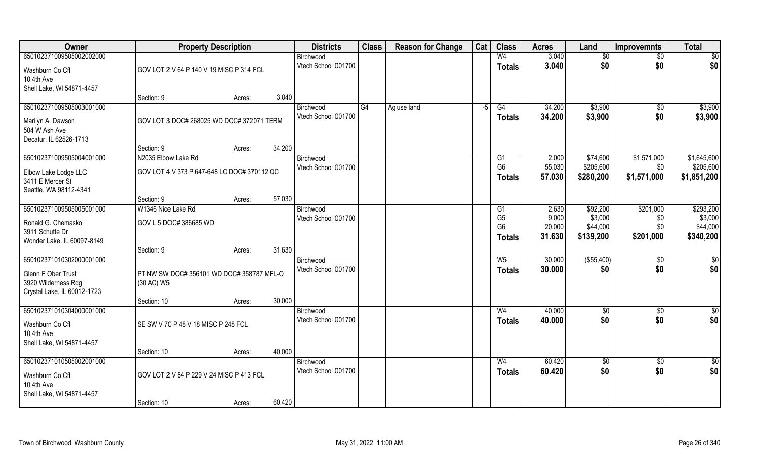| Owner                                   | <b>Property Description</b>                 |        |        | <b>Districts</b>                 | <b>Class</b> | <b>Reason for Change</b> | Cat  | <b>Class</b>         | <b>Acres</b>     | Land                | <b>Improvemnts</b>     | <b>Total</b>         |
|-----------------------------------------|---------------------------------------------|--------|--------|----------------------------------|--------------|--------------------------|------|----------------------|------------------|---------------------|------------------------|----------------------|
| 650102371009505002002000                |                                             |        |        | Birchwood                        |              |                          |      | W <sub>4</sub>       | 3.040            | \$0                 | \$0                    | \$0                  |
| Washburn Co Cfl                         | GOV LOT 2 V 64 P 140 V 19 MISC P 314 FCL    |        |        | Vtech School 001700              |              |                          |      | <b>Totals</b>        | 3.040            | \$0                 | \$0                    | \$0                  |
| 10 4th Ave<br>Shell Lake, WI 54871-4457 |                                             |        |        |                                  |              |                          |      |                      |                  |                     |                        |                      |
|                                         | Section: 9                                  | Acres: | 3.040  |                                  |              |                          |      |                      |                  |                     |                        |                      |
| 650102371009505003001000                |                                             |        |        | Birchwood                        | G4           | Ag use land              | $-5$ | G4                   | 34.200           | \$3,900             | $\sqrt{6}$             | \$3,900              |
| Marilyn A. Dawson                       | GOV LOT 3 DOC# 268025 WD DOC# 372071 TERM   |        |        | Vtech School 001700              |              |                          |      | <b>Totals</b>        | 34.200           | \$3,900             | \$0                    | \$3,900              |
| 504 W Ash Ave                           |                                             |        |        |                                  |              |                          |      |                      |                  |                     |                        |                      |
| Decatur, IL 62526-1713                  |                                             |        |        |                                  |              |                          |      |                      |                  |                     |                        |                      |
|                                         | Section: 9                                  | Acres: | 34.200 |                                  |              |                          |      |                      |                  |                     |                        |                      |
| 650102371009505004001000                | N2035 Elbow Lake Rd                         |        |        | Birchwood                        |              |                          |      | G1                   | 2.000            | \$74,600            | \$1,571,000            | \$1,645,600          |
| Elbow Lake Lodge LLC                    | GOV LOT 4 V 373 P 647-648 LC DOC# 370112 QC |        |        | Vtech School 001700              |              |                          |      | G <sub>6</sub>       | 55.030           | \$205,600           | \$0                    | \$205,600            |
| 3411 E Mercer St                        |                                             |        |        |                                  |              |                          |      | <b>Totals</b>        | 57.030           | \$280,200           | \$1,571,000            | \$1,851,200          |
| Seattle, WA 98112-4341                  |                                             |        |        |                                  |              |                          |      |                      |                  |                     |                        |                      |
|                                         | Section: 9                                  | Acres: | 57.030 |                                  |              |                          |      |                      |                  |                     |                        |                      |
| 650102371009505005001000                | W1346 Nice Lake Rd                          |        |        | Birchwood<br>Vtech School 001700 |              |                          |      | G1<br>G <sub>5</sub> | 2.630<br>9.000   | \$92,200<br>\$3,000 | \$201,000<br>\$0       | \$293,200<br>\$3,000 |
| Ronald G. Chemasko                      | GOV L 5 DOC# 386685 WD                      |        |        |                                  |              |                          |      | G <sub>6</sub>       | 20.000           | \$44,000            | \$0                    | \$44,000             |
| 3911 Schutte Dr                         |                                             |        |        |                                  |              |                          |      | <b>Totals</b>        | 31.630           | \$139,200           | \$201,000              | \$340,200            |
| Wonder Lake, IL 60097-8149              | Section: 9                                  | Acres: | 31.630 |                                  |              |                          |      |                      |                  |                     |                        |                      |
| 650102371010302000001000                |                                             |        |        | Birchwood                        |              |                          |      | $W_5$                | 30.000           | ( \$55,400)         | \$0                    | $\frac{6}{3}$        |
| Glenn F Ober Trust                      | PT NW SW DOC# 356101 WD DOC# 358787 MFL-O   |        |        | Vtech School 001700              |              |                          |      | <b>Totals</b>        | 30.000           | \$0                 | \$0                    | \$0                  |
| 3920 Wilderness Rdg                     | (30 AC) W5                                  |        |        |                                  |              |                          |      |                      |                  |                     |                        |                      |
| Crystal Lake, IL 60012-1723             |                                             |        |        |                                  |              |                          |      |                      |                  |                     |                        |                      |
|                                         | Section: 10                                 | Acres: | 30.000 |                                  |              |                          |      |                      |                  |                     |                        |                      |
| 650102371010304000001000                |                                             |        |        | Birchwood                        |              |                          |      | W <sub>4</sub>       | 40.000           | \$0                 | \$0                    | $\frac{1}{2}$        |
| Washburn Co Cfl                         | SE SW V 70 P 48 V 18 MISC P 248 FCL         |        |        | Vtech School 001700              |              |                          |      | <b>Totals</b>        | 40.000           | \$0                 | \$0                    | \$0                  |
| 10 4th Ave                              |                                             |        |        |                                  |              |                          |      |                      |                  |                     |                        |                      |
| Shell Lake, WI 54871-4457               |                                             |        |        |                                  |              |                          |      |                      |                  |                     |                        |                      |
|                                         | Section: 10                                 | Acres: | 40.000 |                                  |              |                          |      |                      |                  |                     |                        |                      |
| 650102371010505002001000                |                                             |        |        | Birchwood<br>Vtech School 001700 |              |                          |      | W <sub>4</sub>       | 60.420<br>60.420 | $\sqrt{6}$<br>\$0   | $\overline{50}$<br>\$0 | $\frac{1}{2}$<br>\$0 |
| Washburn Co Cfl                         | GOV LOT 2 V 84 P 229 V 24 MISC P 413 FCL    |        |        |                                  |              |                          |      | <b>Totals</b>        |                  |                     |                        |                      |
| 10 4th Ave                              |                                             |        |        |                                  |              |                          |      |                      |                  |                     |                        |                      |
| Shell Lake, WI 54871-4457               | Section: 10                                 | Acres: | 60.420 |                                  |              |                          |      |                      |                  |                     |                        |                      |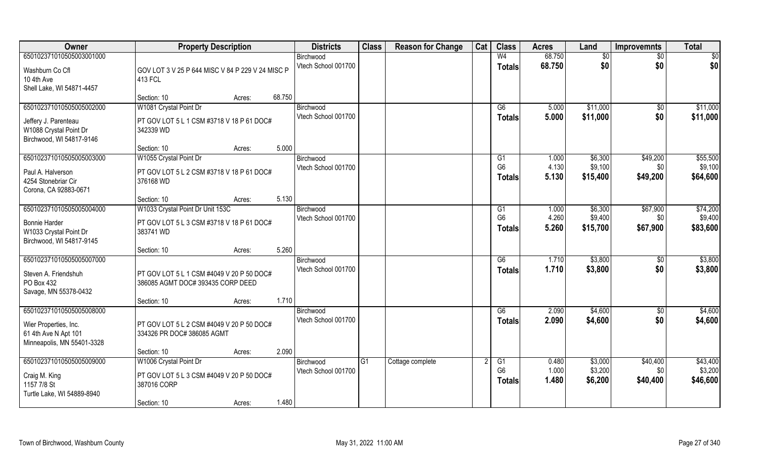| Owner                              | <b>Property Description</b>                                                    | <b>Districts</b>                 | <b>Class</b> | <b>Reason for Change</b> | Cat | <b>Class</b>         | <b>Acres</b>   | Land               | <b>Improvemnts</b> | <b>Total</b>        |
|------------------------------------|--------------------------------------------------------------------------------|----------------------------------|--------------|--------------------------|-----|----------------------|----------------|--------------------|--------------------|---------------------|
| 650102371010505003001000           |                                                                                | Birchwood                        |              |                          |     | W <sub>4</sub>       | 68.750         | \$0                | \$0                | \$0                 |
| Washburn Co Cfl                    | GOV LOT 3 V 25 P 644 MISC V 84 P 229 V 24 MISC P                               | Vtech School 001700              |              |                          |     | <b>Totals</b>        | 68.750         | \$0                | \$0                | \$0                 |
| 10 4th Ave                         | 413 FCL                                                                        |                                  |              |                          |     |                      |                |                    |                    |                     |
| Shell Lake, WI 54871-4457          |                                                                                |                                  |              |                          |     |                      |                |                    |                    |                     |
|                                    | 68.750<br>Section: 10<br>Acres:                                                |                                  |              |                          |     |                      |                |                    |                    |                     |
| 650102371010505005002000           | W1081 Crystal Point Dr                                                         | Birchwood                        |              |                          |     | G6                   | 5.000          | \$11,000           | \$0                | \$11,000            |
| Jeffery J. Parenteau               | PT GOV LOT 5 L 1 CSM #3718 V 18 P 61 DOC#                                      | Vtech School 001700              |              |                          |     | <b>Totals</b>        | 5.000          | \$11,000           | \$0                | \$11,000            |
| W1088 Crystal Point Dr             | 342339 WD                                                                      |                                  |              |                          |     |                      |                |                    |                    |                     |
| Birchwood, WI 54817-9146           |                                                                                |                                  |              |                          |     |                      |                |                    |                    |                     |
|                                    | 5.000<br>Section: 10<br>Acres:                                                 |                                  |              |                          |     |                      |                |                    |                    |                     |
| 650102371010505005003000           | W1055 Crystal Point Dr                                                         | Birchwood<br>Vtech School 001700 |              |                          |     | G1<br>G <sub>6</sub> | 1.000<br>4.130 | \$6,300<br>\$9,100 | \$49,200<br>\$0    | \$55,500<br>\$9,100 |
| Paul A. Halverson                  | PT GOV LOT 5 L 2 CSM #3718 V 18 P 61 DOC#                                      |                                  |              |                          |     | <b>Totals</b>        | 5.130          | \$15,400           | \$49,200           | \$64,600            |
| 4254 Stonebriar Cir                | 376168 WD                                                                      |                                  |              |                          |     |                      |                |                    |                    |                     |
| Corona, CA 92883-0671              | 5.130                                                                          |                                  |              |                          |     |                      |                |                    |                    |                     |
| 650102371010505005004000           | Section: 10<br>Acres:<br>W1033 Crystal Point Dr Unit 153C                      | Birchwood                        |              |                          |     | G1                   | 1.000          | \$6,300            | \$67,900           | \$74,200            |
|                                    |                                                                                | Vtech School 001700              |              |                          |     | G <sub>6</sub>       | 4.260          | \$9,400            | \$0                | \$9,400             |
| <b>Bonnie Harder</b>               | PT GOV LOT 5 L 3 CSM #3718 V 18 P 61 DOC#                                      |                                  |              |                          |     | <b>Totals</b>        | 5.260          | \$15,700           | \$67,900           | \$83,600            |
| W1033 Crystal Point Dr             | 383741 WD                                                                      |                                  |              |                          |     |                      |                |                    |                    |                     |
| Birchwood, WI 54817-9145           | 5.260<br>Section: 10<br>Acres:                                                 |                                  |              |                          |     |                      |                |                    |                    |                     |
| 650102371010505005007000           |                                                                                | Birchwood                        |              |                          |     | $\overline{G6}$      | 1.710          | \$3,800            | $\sqrt[6]{}$       | \$3,800             |
|                                    |                                                                                | Vtech School 001700              |              |                          |     | <b>Totals</b>        | 1.710          | \$3,800            | \$0                | \$3,800             |
| Steven A. Friendshuh<br>PO Box 432 | PT GOV LOT 5 L 1 CSM #4049 V 20 P 50 DOC#<br>386085 AGMT DOC# 393435 CORP DEED |                                  |              |                          |     |                      |                |                    |                    |                     |
| Savage, MN 55378-0432              |                                                                                |                                  |              |                          |     |                      |                |                    |                    |                     |
|                                    | 1.710<br>Section: 10<br>Acres:                                                 |                                  |              |                          |     |                      |                |                    |                    |                     |
| 650102371010505005008000           |                                                                                | Birchwood                        |              |                          |     | G6                   | 2.090          | \$4,600            | $\overline{50}$    | \$4,600             |
| Wier Properties, Inc.              | PT GOV LOT 5 L 2 CSM #4049 V 20 P 50 DOC#                                      | Vtech School 001700              |              |                          |     | <b>Totals</b>        | 2.090          | \$4,600            | \$0                | \$4,600             |
| 61 4th Ave N Apt 101               | 334326 PR DOC# 386085 AGMT                                                     |                                  |              |                          |     |                      |                |                    |                    |                     |
| Minneapolis, MN 55401-3328         |                                                                                |                                  |              |                          |     |                      |                |                    |                    |                     |
|                                    | 2.090<br>Section: 10<br>Acres:                                                 |                                  |              |                          |     |                      |                |                    |                    |                     |
| 650102371010505005009000           | W1006 Crystal Point Dr                                                         | Birchwood                        | IG1          | Cottage complete         |     | G1                   | 0.480          | \$3,000            | \$40,400           | \$43,400            |
| Craig M. King                      | PT GOV LOT 5 L 3 CSM #4049 V 20 P 50 DOC#                                      | Vtech School 001700              |              |                          |     | G <sub>6</sub>       | 1.000          | \$3,200            | \$0                | \$3,200             |
| 1157 7/8 St                        | 387016 CORP                                                                    |                                  |              |                          |     | <b>Totals</b>        | 1.480          | \$6,200            | \$40,400           | \$46,600            |
| Turtle Lake, WI 54889-8940         |                                                                                |                                  |              |                          |     |                      |                |                    |                    |                     |
|                                    | 1.480<br>Section: 10<br>Acres:                                                 |                                  |              |                          |     |                      |                |                    |                    |                     |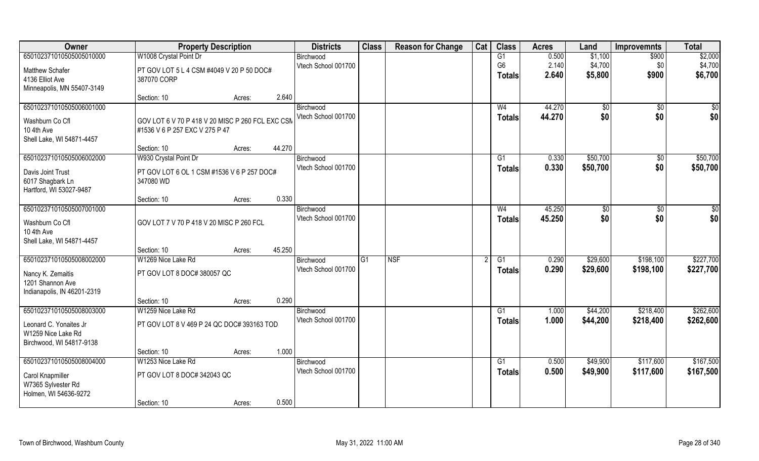| Owner                       | <b>Property Description</b>                      |                  | <b>Districts</b>    | <b>Class</b> | <b>Reason for Change</b> | Cat | <b>Class</b>   | <b>Acres</b> | Land         | <b>Improvemnts</b> | <b>Total</b> |
|-----------------------------|--------------------------------------------------|------------------|---------------------|--------------|--------------------------|-----|----------------|--------------|--------------|--------------------|--------------|
| 650102371010505005010000    | W1008 Crystal Point Dr                           |                  | Birchwood           |              |                          |     | G1             | 0.500        | \$1,100      | \$900              | \$2,000      |
| <b>Matthew Schafer</b>      | PT GOV LOT 5 L 4 CSM #4049 V 20 P 50 DOC#        |                  | Vtech School 001700 |              |                          |     | G <sub>6</sub> | 2.140        | \$4,700      | \$0                | \$4,700      |
| 4136 Elliot Ave             | 387070 CORP                                      |                  |                     |              |                          |     | Totals         | 2.640        | \$5,800      | \$900              | \$6,700      |
| Minneapolis, MN 55407-3149  |                                                  |                  |                     |              |                          |     |                |              |              |                    |              |
|                             | Section: 10                                      | 2.640<br>Acres:  |                     |              |                          |     |                |              |              |                    |              |
| 650102371010505006001000    |                                                  |                  | Birchwood           |              |                          |     | W <sub>4</sub> | 44.270       | $\sqrt[6]{}$ | $\overline{50}$    | \$0          |
| Washburn Co Cfl             | GOV LOT 6 V 70 P 418 V 20 MISC P 260 FCL EXC CSN |                  | Vtech School 001700 |              |                          |     | <b>Totals</b>  | 44.270       | \$0          | \$0                | \$0          |
| 10 4th Ave                  | #1536 V 6 P 257 EXC V 275 P 47                   |                  |                     |              |                          |     |                |              |              |                    |              |
| Shell Lake, WI 54871-4457   |                                                  |                  |                     |              |                          |     |                |              |              |                    |              |
|                             | Section: 10                                      | 44.270<br>Acres: |                     |              |                          |     |                |              |              |                    |              |
| 650102371010505006002000    | W930 Crystal Point Dr                            |                  | Birchwood           |              |                          |     | G1             | 0.330        | \$50,700     | $\sqrt[6]{30}$     | \$50,700     |
| Davis Joint Trust           | PT GOV LOT 6 OL 1 CSM #1536 V 6 P 257 DOC#       |                  | Vtech School 001700 |              |                          |     | <b>Totals</b>  | 0.330        | \$50,700     | \$0                | \$50,700     |
| 6017 Shagbark Ln            | 347080 WD                                        |                  |                     |              |                          |     |                |              |              |                    |              |
| Hartford, WI 53027-9487     |                                                  |                  |                     |              |                          |     |                |              |              |                    |              |
|                             | Section: 10                                      | 0.330<br>Acres:  |                     |              |                          |     |                |              |              |                    |              |
| 650102371010505007001000    |                                                  |                  | Birchwood           |              |                          |     | W <sub>4</sub> | 45.250       | \$0          | \$0                | \$0          |
| Washburn Co Cfl             | GOV LOT 7 V 70 P 418 V 20 MISC P 260 FCL         |                  | Vtech School 001700 |              |                          |     | <b>Totals</b>  | 45.250       | \$0          | \$0                | \$0          |
| 10 4th Ave                  |                                                  |                  |                     |              |                          |     |                |              |              |                    |              |
| Shell Lake, WI 54871-4457   |                                                  |                  |                     |              |                          |     |                |              |              |                    |              |
|                             | Section: 10                                      | 45.250<br>Acres: |                     |              |                          |     |                |              |              |                    |              |
| 650102371010505008002000    | W1269 Nice Lake Rd                               |                  | Birchwood           | G1           | <b>NSF</b>               |     | G1             | 0.290        | \$29,600     | \$198,100          | \$227,700    |
| Nancy K. Zemaitis           | PT GOV LOT 8 DOC# 380057 QC                      |                  | Vtech School 001700 |              |                          |     | <b>Totals</b>  | 0.290        | \$29,600     | \$198,100          | \$227,700    |
| 1201 Shannon Ave            |                                                  |                  |                     |              |                          |     |                |              |              |                    |              |
| Indianapolis, IN 46201-2319 |                                                  |                  |                     |              |                          |     |                |              |              |                    |              |
|                             | Section: 10                                      | 0.290<br>Acres:  |                     |              |                          |     |                |              |              |                    |              |
| 650102371010505008003000    | W1259 Nice Lake Rd                               |                  | Birchwood           |              |                          |     | G1             | 1.000        | \$44,200     | \$218,400          | \$262,600    |
| Leonard C. Yonaites Jr      | PT GOV LOT 8 V 469 P 24 QC DOC# 393163 TOD       |                  | Vtech School 001700 |              |                          |     | <b>Totals</b>  | 1.000        | \$44,200     | \$218,400          | \$262,600    |
| W1259 Nice Lake Rd          |                                                  |                  |                     |              |                          |     |                |              |              |                    |              |
| Birchwood, WI 54817-9138    |                                                  |                  |                     |              |                          |     |                |              |              |                    |              |
|                             | Section: 10                                      | 1.000<br>Acres:  |                     |              |                          |     |                |              |              |                    |              |
| 650102371010505008004000    | W1253 Nice Lake Rd                               |                  | Birchwood           |              |                          |     | G1             | 0.500        | \$49,900     | \$117,600          | \$167,500    |
| Carol Knapmiller            | PT GOV LOT 8 DOC# 342043 QC                      |                  | Vtech School 001700 |              |                          |     | <b>Totals</b>  | 0.500        | \$49,900     | \$117,600          | \$167,500    |
| W7365 Sylvester Rd          |                                                  |                  |                     |              |                          |     |                |              |              |                    |              |
| Holmen, WI 54636-9272       |                                                  |                  |                     |              |                          |     |                |              |              |                    |              |
|                             | Section: 10                                      | 0.500<br>Acres:  |                     |              |                          |     |                |              |              |                    |              |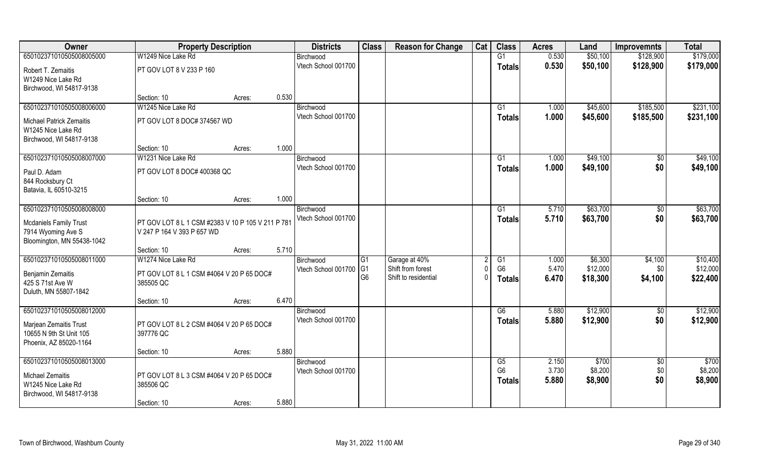| Owner                                                                             | <b>Property Description</b>                                                     |                 | <b>Districts</b>                 | <b>Class</b>   | <b>Reason for Change</b> | Cat | <b>Class</b>   | <b>Acres</b> | Land     | <b>Improvemnts</b> | <b>Total</b> |
|-----------------------------------------------------------------------------------|---------------------------------------------------------------------------------|-----------------|----------------------------------|----------------|--------------------------|-----|----------------|--------------|----------|--------------------|--------------|
| 650102371010505008005000                                                          | W1249 Nice Lake Rd                                                              |                 | Birchwood                        |                |                          |     | G1             | 0.530        | \$50,100 | \$128,900          | \$179,000    |
| Robert T. Zemaitis<br>W1249 Nice Lake Rd                                          | PT GOV LOT 8 V 233 P 160                                                        |                 | Vtech School 001700              |                |                          |     | <b>Totals</b>  | 0.530        | \$50,100 | \$128,900          | \$179,000    |
| Birchwood, WI 54817-9138                                                          |                                                                                 |                 |                                  |                |                          |     |                |              |          |                    |              |
|                                                                                   | Section: 10                                                                     | 0.530<br>Acres: |                                  |                |                          |     |                |              |          |                    |              |
| 650102371010505008006000                                                          | W1245 Nice Lake Rd                                                              |                 | Birchwood                        |                |                          |     | G1             | 1.000        | \$45,600 | \$185,500          | \$231,100    |
| <b>Michael Patrick Zemaitis</b><br>W1245 Nice Lake Rd<br>Birchwood, WI 54817-9138 | PT GOV LOT 8 DOC# 374567 WD                                                     |                 | Vtech School 001700              |                |                          |     | <b>Totals</b>  | 1.000        | \$45,600 | \$185,500          | \$231,100    |
|                                                                                   | Section: 10                                                                     | Acres:          | 1.000                            |                |                          |     |                |              |          |                    |              |
| 650102371010505008007000                                                          | W1231 Nice Lake Rd                                                              |                 | Birchwood                        |                |                          |     | G1             | 1.000        | \$49,100 | \$0                | \$49,100     |
| Paul D. Adam<br>844 Rocksbury Ct                                                  | PT GOV LOT 8 DOC# 400368 QC                                                     |                 | Vtech School 001700              |                |                          |     | <b>Totals</b>  | 1.000        | \$49,100 | \$0                | \$49,100     |
| Batavia, IL 60510-3215                                                            |                                                                                 |                 |                                  |                |                          |     |                |              |          |                    |              |
|                                                                                   | Section: 10                                                                     | 1.000<br>Acres: |                                  |                |                          |     |                |              |          |                    |              |
| 650102371010505008008000                                                          |                                                                                 |                 | Birchwood                        |                |                          |     | G1             | 5.710        | \$63,700 | $\sqrt[6]{}$       | \$63,700     |
| <b>Mcdaniels Family Trust</b><br>7914 Wyoming Ave S<br>Bloomington, MN 55438-1042 | PT GOV LOT 8 L 1 CSM #2383 V 10 P 105 V 211 P 781<br>V 247 P 164 V 393 P 657 WD |                 | Vtech School 001700              |                |                          |     | <b>Totals</b>  | 5.710        | \$63,700 | \$0                | \$63,700     |
|                                                                                   | Section: 10                                                                     | 5.710<br>Acres: |                                  |                |                          |     |                |              |          |                    |              |
| 650102371010505008011000                                                          | W1274 Nice Lake Rd                                                              |                 | Birchwood                        | G1             | Garage at 40%            |     | G1             | 1.000        | \$6,300  | \$4,100            | \$10,400     |
| Benjamin Zemaitis                                                                 | PT GOV LOT 8 L 1 CSM #4064 V 20 P 65 DOC#                                       |                 | Vtech School 001700              | G <sub>1</sub> | Shift from forest        |     | G <sub>6</sub> | 5.470        | \$12,000 | \$0                | \$12,000     |
| 425 S 71st Ave W                                                                  | 385505 QC                                                                       |                 |                                  | G <sub>6</sub> | Shift to residential     |     | Totals         | 6.470        | \$18,300 | \$4,100            | \$22,400     |
| Duluth, MN 55807-1842                                                             |                                                                                 |                 |                                  |                |                          |     |                |              |          |                    |              |
|                                                                                   | Section: 10                                                                     | 6.470<br>Acres: |                                  |                |                          |     |                |              |          |                    |              |
| 650102371010505008012000                                                          |                                                                                 |                 | Birchwood<br>Vtech School 001700 |                |                          |     | G6             | 5.880        | \$12,900 | $\sqrt{6}$         | \$12,900     |
| Marjean Zemaitis Trust                                                            | PT GOV LOT 8 L 2 CSM #4064 V 20 P 65 DOC#                                       |                 |                                  |                |                          |     | <b>Totals</b>  | 5.880        | \$12,900 | \$0                | \$12,900     |
| 10655 N 9th St Unit 105                                                           | 397776 QC                                                                       |                 |                                  |                |                          |     |                |              |          |                    |              |
| Phoenix, AZ 85020-1164                                                            | Section: 10                                                                     | Acres:          | 5.880                            |                |                          |     |                |              |          |                    |              |
| 650102371010505008013000                                                          |                                                                                 |                 | Birchwood                        |                |                          |     | G5             | 2.150        | \$700    | $\overline{60}$    | \$700        |
|                                                                                   |                                                                                 |                 | Vtech School 001700              |                |                          |     | G <sub>6</sub> | 3.730        | \$8,200  | \$0                | \$8,200      |
| Michael Zemaitis<br>W1245 Nice Lake Rd<br>Birchwood, WI 54817-9138                | PT GOV LOT 8 L 3 CSM #4064 V 20 P 65 DOC#<br>385506 QC                          |                 |                                  |                |                          |     | <b>Totals</b>  | 5.880        | \$8,900  | \$0                | \$8,900      |
|                                                                                   | Section: 10                                                                     | Acres:          | 5.880                            |                |                          |     |                |              |          |                    |              |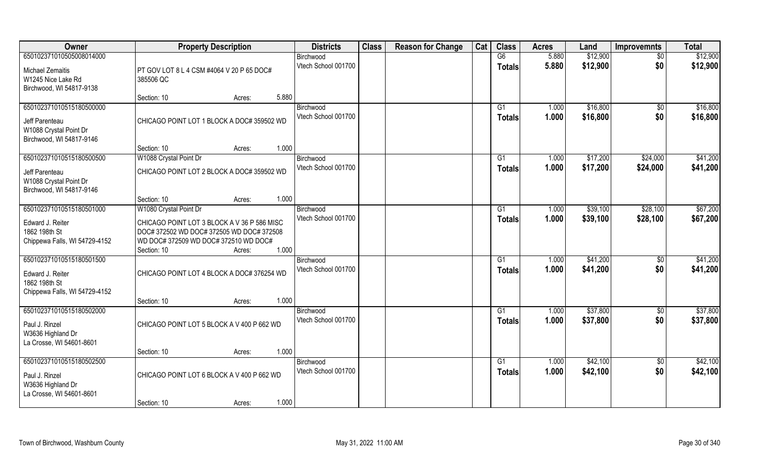| Owner                                         | <b>Property Description</b>                                                              | <b>Districts</b>    | <b>Class</b> | <b>Reason for Change</b> | Cat | <b>Class</b>    | <b>Acres</b> | Land     | <b>Improvemnts</b> | <b>Total</b> |
|-----------------------------------------------|------------------------------------------------------------------------------------------|---------------------|--------------|--------------------------|-----|-----------------|--------------|----------|--------------------|--------------|
| 650102371010505008014000                      |                                                                                          | Birchwood           |              |                          |     | G6              | 5.880        | \$12,900 | $\overline{50}$    | \$12,900     |
| <b>Michael Zemaitis</b><br>W1245 Nice Lake Rd | PT GOV LOT 8 L 4 CSM #4064 V 20 P 65 DOC#<br>385506 QC                                   | Vtech School 001700 |              |                          |     | <b>Totals</b>   | 5.880        | \$12,900 | \$0                | \$12,900     |
| Birchwood, WI 54817-9138                      |                                                                                          |                     |              |                          |     |                 |              |          |                    |              |
|                                               | 5.880<br>Section: 10<br>Acres:                                                           |                     |              |                          |     |                 |              |          |                    |              |
| 650102371010515180500000                      |                                                                                          | Birchwood           |              |                          |     | G1              | 1.000        | \$16,800 | \$0                | \$16,800     |
| Jeff Parenteau                                | CHICAGO POINT LOT 1 BLOCK A DOC# 359502 WD                                               | Vtech School 001700 |              |                          |     | Totals          | 1.000        | \$16,800 | \$0                | \$16,800     |
| W1088 Crystal Point Dr                        |                                                                                          |                     |              |                          |     |                 |              |          |                    |              |
| Birchwood, WI 54817-9146                      |                                                                                          |                     |              |                          |     |                 |              |          |                    |              |
|                                               | 1.000<br>Section: 10<br>Acres:                                                           |                     |              |                          |     |                 |              |          |                    |              |
| 650102371010515180500500                      | W1088 Crystal Point Dr                                                                   | Birchwood           |              |                          |     | G1              | 1.000        | \$17,200 | \$24,000           | \$41,200     |
| Jeff Parenteau                                | CHICAGO POINT LOT 2 BLOCK A DOC# 359502 WD                                               | Vtech School 001700 |              |                          |     | <b>Totals</b>   | 1.000        | \$17,200 | \$24,000           | \$41,200     |
| W1088 Crystal Point Dr                        |                                                                                          |                     |              |                          |     |                 |              |          |                    |              |
| Birchwood, WI 54817-9146                      |                                                                                          |                     |              |                          |     |                 |              |          |                    |              |
|                                               | 1.000<br>Section: 10<br>Acres:                                                           |                     |              |                          |     |                 |              |          |                    |              |
| 650102371010515180501000                      | W1080 Crystal Point Dr                                                                   | Birchwood           |              |                          |     | G <sub>1</sub>  | 1.000        | \$39,100 | \$28,100           | \$67,200     |
|                                               |                                                                                          | Vtech School 001700 |              |                          |     | <b>Totals</b>   | 1.000        | \$39,100 | \$28,100           | \$67,200     |
| Edward J. Reiter<br>1862 198th St             | CHICAGO POINT LOT 3 BLOCK A V 36 P 586 MISC<br>DOC# 372502 WD DOC# 372505 WD DOC# 372508 |                     |              |                          |     |                 |              |          |                    |              |
| Chippewa Falls, WI 54729-4152                 | WD DOC# 372509 WD DOC# 372510 WD DOC#                                                    |                     |              |                          |     |                 |              |          |                    |              |
|                                               | 1.000<br>Section: 10<br>Acres:                                                           |                     |              |                          |     |                 |              |          |                    |              |
| 650102371010515180501500                      |                                                                                          | Birchwood           |              |                          |     | G1              | 1.000        | \$41,200 | $\sqrt[6]{3}$      | \$41,200     |
|                                               |                                                                                          | Vtech School 001700 |              |                          |     | <b>Totals</b>   | 1.000        | \$41,200 | \$0                | \$41,200     |
| Edward J. Reiter                              | CHICAGO POINT LOT 4 BLOCK A DOC# 376254 WD                                               |                     |              |                          |     |                 |              |          |                    |              |
| 1862 198th St                                 |                                                                                          |                     |              |                          |     |                 |              |          |                    |              |
| Chippewa Falls, WI 54729-4152                 |                                                                                          |                     |              |                          |     |                 |              |          |                    |              |
|                                               | 1.000<br>Section: 10<br>Acres:                                                           |                     |              |                          |     |                 |              |          |                    |              |
| 650102371010515180502000                      |                                                                                          | Birchwood           |              |                          |     | G1              | 1.000        | \$37,800 | \$0                | \$37,800     |
| Paul J. Rinzel                                | CHICAGO POINT LOT 5 BLOCK A V 400 P 662 WD                                               | Vtech School 001700 |              |                          |     | <b>Totals</b>   | 1.000        | \$37,800 | \$0                | \$37,800     |
| W3636 Highland Dr                             |                                                                                          |                     |              |                          |     |                 |              |          |                    |              |
| La Crosse, WI 54601-8601                      |                                                                                          |                     |              |                          |     |                 |              |          |                    |              |
|                                               | 1.000<br>Section: 10<br>Acres:                                                           |                     |              |                          |     |                 |              |          |                    |              |
| 650102371010515180502500                      |                                                                                          | Birchwood           |              |                          |     | $\overline{G1}$ | 1.000        | \$42,100 | $\sqrt{$0}$        | \$42,100     |
| Paul J. Rinzel                                | CHICAGO POINT LOT 6 BLOCK A V 400 P 662 WD                                               | Vtech School 001700 |              |                          |     | <b>Totals</b>   | 1.000        | \$42,100 | \$0                | \$42,100     |
| W3636 Highland Dr                             |                                                                                          |                     |              |                          |     |                 |              |          |                    |              |
| La Crosse, WI 54601-8601                      |                                                                                          |                     |              |                          |     |                 |              |          |                    |              |
|                                               | 1.000<br>Section: 10<br>Acres:                                                           |                     |              |                          |     |                 |              |          |                    |              |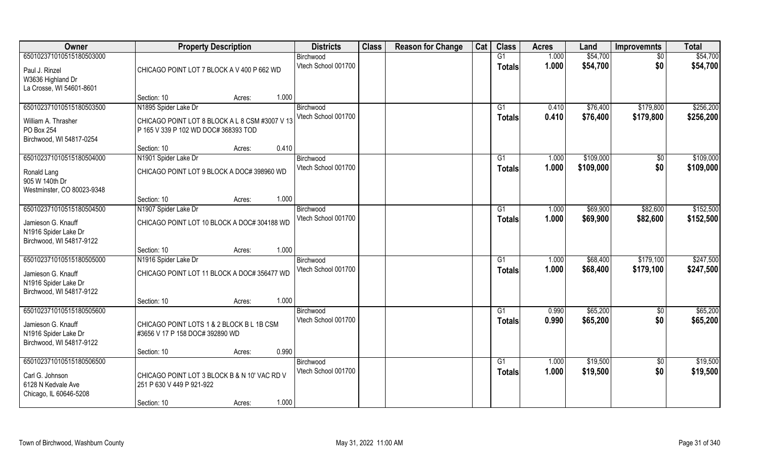| Owner                                         | <b>Property Description</b>                    |       | <b>Districts</b>                 | <b>Class</b> | <b>Reason for Change</b> | Cat | <b>Class</b>        | <b>Acres</b>   | Land                 | <b>Improvemnts</b> | <b>Total</b>         |
|-----------------------------------------------|------------------------------------------------|-------|----------------------------------|--------------|--------------------------|-----|---------------------|----------------|----------------------|--------------------|----------------------|
| 650102371010515180503000                      |                                                |       | Birchwood<br>Vtech School 001700 |              |                          |     | G1<br><b>Totals</b> | 1.000<br>1.000 | \$54,700<br>\$54,700 | $\sqrt{6}$<br>\$0  | \$54,700<br>\$54,700 |
| Paul J. Rinzel                                | CHICAGO POINT LOT 7 BLOCK A V 400 P 662 WD     |       |                                  |              |                          |     |                     |                |                      |                    |                      |
| W3636 Highland Dr<br>La Crosse, WI 54601-8601 |                                                |       |                                  |              |                          |     |                     |                |                      |                    |                      |
|                                               | Section: 10<br>Acres:                          | 1.000 |                                  |              |                          |     |                     |                |                      |                    |                      |
| 650102371010515180503500                      | N1895 Spider Lake Dr                           |       | Birchwood                        |              |                          |     | G1                  | 0.410          | \$76,400             | \$179,800          | \$256,200            |
| William A. Thrasher                           | CHICAGO POINT LOT 8 BLOCK A L 8 CSM #3007 V 13 |       | Vtech School 001700              |              |                          |     | Totals              | 0.410          | \$76,400             | \$179,800          | \$256,200            |
| PO Box 254                                    | P 165 V 339 P 102 WD DOC# 368393 TOD           |       |                                  |              |                          |     |                     |                |                      |                    |                      |
| Birchwood, WI 54817-0254                      |                                                |       |                                  |              |                          |     |                     |                |                      |                    |                      |
|                                               | Section: 10<br>Acres:                          | 0.410 |                                  |              |                          |     |                     |                |                      |                    |                      |
| 650102371010515180504000                      | N1901 Spider Lake Dr                           |       | Birchwood<br>Vtech School 001700 |              |                          |     | G1                  | 1.000          | \$109,000            | \$0                | \$109,000            |
| Ronald Lang                                   | CHICAGO POINT LOT 9 BLOCK A DOC# 398960 WD     |       |                                  |              |                          |     | <b>Totals</b>       | 1.000          | \$109,000            | \$0                | \$109,000            |
| 905 W 140th Dr                                |                                                |       |                                  |              |                          |     |                     |                |                      |                    |                      |
| Westminster, CO 80023-9348                    |                                                |       |                                  |              |                          |     |                     |                |                      |                    |                      |
| 650102371010515180504500                      | Section: 10<br>Acres:<br>N1907 Spider Lake Dr  | 1.000 | Birchwood                        |              |                          |     | G1                  | 1.000          | \$69,900             | \$82,600           | \$152,500            |
|                                               |                                                |       | Vtech School 001700              |              |                          |     | <b>Totals</b>       | 1.000          | \$69,900             | \$82,600           | \$152,500            |
| Jamieson G. Knauff                            | CHICAGO POINT LOT 10 BLOCK A DOC# 304188 WD    |       |                                  |              |                          |     |                     |                |                      |                    |                      |
| N1916 Spider Lake Dr                          |                                                |       |                                  |              |                          |     |                     |                |                      |                    |                      |
| Birchwood, WI 54817-9122                      | Section: 10<br>Acres:                          | 1.000 |                                  |              |                          |     |                     |                |                      |                    |                      |
| 650102371010515180505000                      | N1916 Spider Lake Dr                           |       | Birchwood                        |              |                          |     | G1                  | 1.000          | \$68,400             | \$179,100          | \$247,500            |
|                                               |                                                |       | Vtech School 001700              |              |                          |     | Totals              | 1.000          | \$68,400             | \$179,100          | \$247,500            |
| Jamieson G. Knauff<br>N1916 Spider Lake Dr    | CHICAGO POINT LOT 11 BLOCK A DOC# 356477 WD    |       |                                  |              |                          |     |                     |                |                      |                    |                      |
| Birchwood, WI 54817-9122                      |                                                |       |                                  |              |                          |     |                     |                |                      |                    |                      |
|                                               | Section: 10<br>Acres:                          | 1.000 |                                  |              |                          |     |                     |                |                      |                    |                      |
| 650102371010515180505600                      |                                                |       | Birchwood                        |              |                          |     | G1                  | 0.990          | \$65,200             | $\overline{30}$    | \$65,200             |
| Jamieson G. Knauff                            | CHICAGO POINT LOTS 1 & 2 BLOCK B L 1B CSM      |       | Vtech School 001700              |              |                          |     | <b>Totals</b>       | 0.990          | \$65,200             | \$0                | \$65,200             |
| N1916 Spider Lake Dr                          | #3656 V 17 P 158 DOC# 392890 WD                |       |                                  |              |                          |     |                     |                |                      |                    |                      |
| Birchwood, WI 54817-9122                      |                                                |       |                                  |              |                          |     |                     |                |                      |                    |                      |
|                                               | Section: 10<br>Acres:                          | 0.990 |                                  |              |                          |     |                     |                |                      |                    |                      |
| 650102371010515180506500                      |                                                |       | Birchwood                        |              |                          |     | G1                  | 1.000          | \$19,500             | \$0                | \$19,500             |
| Carl G. Johnson                               | CHICAGO POINT LOT 3 BLOCK B & N 10' VAC RD V   |       | Vtech School 001700              |              |                          |     | Totals              | 1.000          | \$19,500             | \$0                | \$19,500             |
| 6128 N Kedvale Ave                            | 251 P 630 V 449 P 921-922                      |       |                                  |              |                          |     |                     |                |                      |                    |                      |
| Chicago, IL 60646-5208                        |                                                |       |                                  |              |                          |     |                     |                |                      |                    |                      |
|                                               | Section: 10<br>Acres:                          | 1.000 |                                  |              |                          |     |                     |                |                      |                    |                      |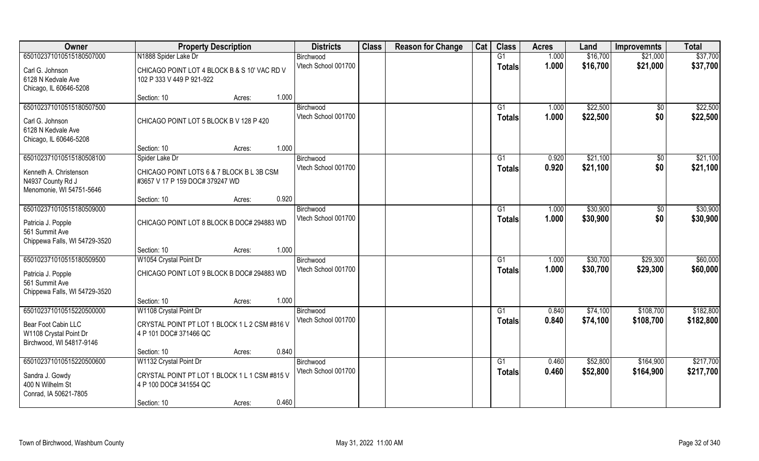| Owner                         | <b>Property Description</b>                   |       | <b>Districts</b>                 | <b>Class</b> | <b>Reason for Change</b> | Cat | <b>Class</b>   | <b>Acres</b>   | Land                 | <b>Improvemnts</b>     | <b>Total</b> |
|-------------------------------|-----------------------------------------------|-------|----------------------------------|--------------|--------------------------|-----|----------------|----------------|----------------------|------------------------|--------------|
| 650102371010515180507000      | N1888 Spider Lake Dr                          |       | Birchwood                        |              |                          |     | G1             | 1.000          | \$16,700             | \$21,000               | \$37,700     |
| Carl G. Johnson               | CHICAGO POINT LOT 4 BLOCK B & S 10' VAC RD V  |       | Vtech School 001700              |              |                          |     | <b>Totals</b>  | 1.000          | \$16,700             | \$21,000               | \$37,700     |
| 6128 N Kedvale Ave            | 102 P 333 V 449 P 921-922                     |       |                                  |              |                          |     |                |                |                      |                        |              |
| Chicago, IL 60646-5208        |                                               |       |                                  |              |                          |     |                |                |                      |                        |              |
|                               | Section: 10<br>Acres:                         | 1.000 |                                  |              |                          |     |                |                |                      |                        |              |
| 650102371010515180507500      |                                               |       | Birchwood                        |              |                          |     | G <sub>1</sub> | 1.000          | \$22,500             | $\sqrt{$0}$            | \$22,500     |
| Carl G. Johnson               | CHICAGO POINT LOT 5 BLOCK B V 128 P 420       |       | Vtech School 001700              |              |                          |     | Totals         | 1.000          | \$22,500             | \$0                    | \$22,500     |
| 6128 N Kedvale Ave            |                                               |       |                                  |              |                          |     |                |                |                      |                        |              |
| Chicago, IL 60646-5208        |                                               |       |                                  |              |                          |     |                |                |                      |                        |              |
|                               | Section: 10<br>Acres:                         | 1.000 |                                  |              |                          |     |                |                |                      |                        |              |
| 650102371010515180508100      | Spider Lake Dr                                |       | Birchwood                        |              |                          |     | G1             | 0.920          | \$21,100             | \$0                    | \$21,100     |
| Kenneth A. Christenson        | CHICAGO POINT LOTS 6 & 7 BLOCK B L 3B CSM     |       | Vtech School 001700              |              |                          |     | <b>Totals</b>  | 0.920          | \$21,100             | \$0                    | \$21,100     |
| N4937 County Rd J             | #3657 V 17 P 159 DOC# 379247 WD               |       |                                  |              |                          |     |                |                |                      |                        |              |
| Menomonie, WI 54751-5646      |                                               |       |                                  |              |                          |     |                |                |                      |                        |              |
|                               | Section: 10<br>Acres:                         | 0.920 |                                  |              |                          |     |                |                |                      |                        |              |
| 650102371010515180509000      |                                               |       | Birchwood<br>Vtech School 001700 |              |                          |     | G1             | 1.000          | \$30,900             | $\sqrt[6]{3}$          | \$30,900     |
| Patricia J. Popple            | CHICAGO POINT LOT 8 BLOCK B DOC# 294883 WD    |       |                                  |              |                          |     | <b>Totals</b>  | 1.000          | \$30,900             | \$0                    | \$30,900     |
| 561 Summit Ave                |                                               |       |                                  |              |                          |     |                |                |                      |                        |              |
| Chippewa Falls, WI 54729-3520 |                                               |       |                                  |              |                          |     |                |                |                      |                        |              |
|                               | Section: 10<br>Acres:                         | 1.000 |                                  |              |                          |     |                |                |                      |                        |              |
| 650102371010515180509500      | W1054 Crystal Point Dr                        |       | Birchwood<br>Vtech School 001700 |              |                          |     | G1             | 1.000<br>1.000 | \$30,700             | \$29,300               | \$60,000     |
| Patricia J. Popple            | CHICAGO POINT LOT 9 BLOCK B DOC# 294883 WD    |       |                                  |              |                          |     | <b>Totals</b>  |                | \$30,700             | \$29,300               | \$60,000     |
| 561 Summit Ave                |                                               |       |                                  |              |                          |     |                |                |                      |                        |              |
| Chippewa Falls, WI 54729-3520 |                                               |       |                                  |              |                          |     |                |                |                      |                        |              |
|                               | Section: 10<br>Acres:                         | 1.000 |                                  |              |                          |     |                |                |                      |                        |              |
| 650102371010515220500000      | W1108 Crystal Point Dr                        |       | Birchwood<br>Vtech School 001700 |              |                          |     | G1             | 0.840<br>0.840 | \$74,100             | \$108,700              | \$182,800    |
| Bear Foot Cabin LLC           | CRYSTAL POINT PT LOT 1 BLOCK 1 L 2 CSM #816 V |       |                                  |              |                          |     | <b>Totals</b>  |                | \$74,100             | \$108,700              | \$182,800    |
| W1108 Crystal Point Dr        | 4 P 101 DOC# 371466 QC                        |       |                                  |              |                          |     |                |                |                      |                        |              |
| Birchwood, WI 54817-9146      |                                               |       |                                  |              |                          |     |                |                |                      |                        |              |
|                               | Section: 10<br>Acres:                         | 0.840 |                                  |              |                          |     |                |                |                      |                        | \$217,700    |
| 650102371010515220500600      | W1132 Crystal Point Dr                        |       | Birchwood<br>Vtech School 001700 |              |                          |     | G1             | 0.460<br>0.460 | \$52,800<br>\$52,800 | \$164,900<br>\$164,900 | \$217,700    |
| Sandra J. Gowdy               | CRYSTAL POINT PT LOT 1 BLOCK 1 L 1 CSM #815 V |       |                                  |              |                          |     | <b>Totals</b>  |                |                      |                        |              |
| 400 N Wilhelm St              | 4 P 100 DOC# 341554 QC                        |       |                                  |              |                          |     |                |                |                      |                        |              |
| Conrad, IA 50621-7805         |                                               | 0.460 |                                  |              |                          |     |                |                |                      |                        |              |
|                               | Section: 10<br>Acres:                         |       |                                  |              |                          |     |                |                |                      |                        |              |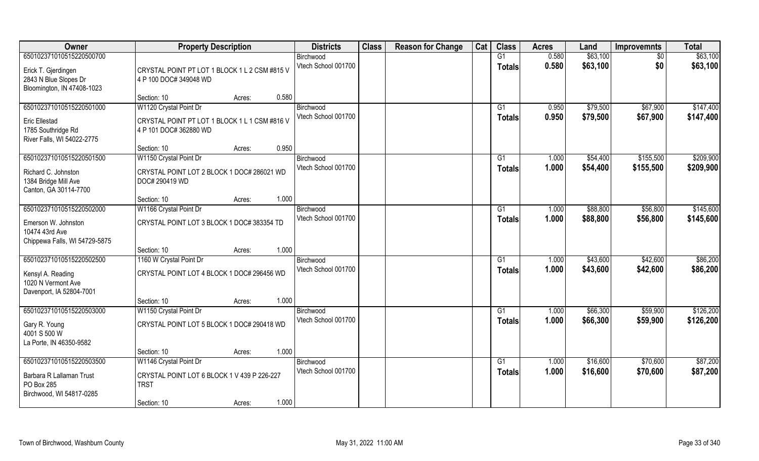| Owner                         | <b>Property Description</b>                   |                 | <b>Districts</b>                 | <b>Class</b> | <b>Reason for Change</b> | Cat | <b>Class</b>  | <b>Acres</b> | Land     | <b>Improvemnts</b> | <b>Total</b> |
|-------------------------------|-----------------------------------------------|-----------------|----------------------------------|--------------|--------------------------|-----|---------------|--------------|----------|--------------------|--------------|
| 650102371010515220500700      |                                               |                 | Birchwood                        |              |                          |     | G1            | 0.580        | \$63,100 | $\sqrt{6}$         | \$63,100     |
| Erick T. Gjerdingen           | CRYSTAL POINT PT LOT 1 BLOCK 1 L 2 CSM #815 V |                 | Vtech School 001700              |              |                          |     | <b>Totals</b> | 0.580        | \$63,100 | \$0                | \$63,100     |
| 2843 N Blue Slopes Dr         | 4 P 100 DOC# 349048 WD                        |                 |                                  |              |                          |     |               |              |          |                    |              |
| Bloomington, IN 47408-1023    |                                               |                 |                                  |              |                          |     |               |              |          |                    |              |
|                               | Section: 10                                   | 0.580<br>Acres: |                                  |              |                          |     |               |              |          |                    |              |
| 650102371010515220501000      | W1120 Crystal Point Dr                        |                 | Birchwood                        |              |                          |     | G1            | 0.950        | \$79,500 | \$67,900           | \$147,400    |
| <b>Eric Ellestad</b>          | CRYSTAL POINT PT LOT 1 BLOCK 1 L 1 CSM #816 V |                 | Vtech School 001700              |              |                          |     | Totals        | 0.950        | \$79,500 | \$67,900           | \$147,400    |
| 1785 Southridge Rd            | 4 P 101 DOC# 362880 WD                        |                 |                                  |              |                          |     |               |              |          |                    |              |
| River Falls, WI 54022-2775    |                                               |                 |                                  |              |                          |     |               |              |          |                    |              |
|                               | Section: 10                                   | 0.950<br>Acres: |                                  |              |                          |     |               |              |          |                    |              |
| 650102371010515220501500      | W1150 Crystal Point Dr                        |                 | Birchwood<br>Vtech School 001700 |              |                          |     | G1            | 1.000        | \$54,400 | \$155,500          | \$209,900    |
| Richard C. Johnston           | CRYSTAL POINT LOT 2 BLOCK 1 DOC# 286021 WD    |                 |                                  |              |                          |     | <b>Totals</b> | 1.000        | \$54,400 | \$155,500          | \$209,900    |
| 1384 Bridge Mill Ave          | DOC# 290419 WD                                |                 |                                  |              |                          |     |               |              |          |                    |              |
| Canton, GA 30114-7700         |                                               |                 |                                  |              |                          |     |               |              |          |                    |              |
| 650102371010515220502000      | Section: 10<br>W1166 Crystal Point Dr         | 1.000<br>Acres: | Birchwood                        |              |                          |     | G1            | 1.000        | \$88,800 | \$56,800           | \$145,600    |
|                               |                                               |                 | Vtech School 001700              |              |                          |     | <b>Totals</b> | 1.000        | \$88,800 | \$56,800           | \$145,600    |
| Emerson W. Johnston           | CRYSTAL POINT LOT 3 BLOCK 1 DOC# 383354 TD    |                 |                                  |              |                          |     |               |              |          |                    |              |
| 10474 43rd Ave                |                                               |                 |                                  |              |                          |     |               |              |          |                    |              |
| Chippewa Falls, WI 54729-5875 | Section: 10                                   | 1.000           |                                  |              |                          |     |               |              |          |                    |              |
| 650102371010515220502500      | 1160 W Crystal Point Dr                       | Acres:          | Birchwood                        |              |                          |     | G1            | 1.000        | \$43,600 | \$42,600           | \$86,200     |
|                               |                                               |                 | Vtech School 001700              |              |                          |     | Totals        | 1.000        | \$43,600 | \$42,600           | \$86,200     |
| Kensyl A. Reading             | CRYSTAL POINT LOT 4 BLOCK 1 DOC# 296456 WD    |                 |                                  |              |                          |     |               |              |          |                    |              |
| 1020 N Vermont Ave            |                                               |                 |                                  |              |                          |     |               |              |          |                    |              |
| Davenport, IA 52804-7001      | Section: 10                                   | 1.000<br>Acres: |                                  |              |                          |     |               |              |          |                    |              |
| 650102371010515220503000      | W1150 Crystal Point Dr                        |                 | Birchwood                        |              |                          |     | G1            | 1.000        | \$66,300 | \$59,900           | \$126,200    |
|                               |                                               |                 | Vtech School 001700              |              |                          |     | <b>Totals</b> | 1.000        | \$66,300 | \$59,900           | \$126,200    |
| Gary R. Young<br>4001 S 500 W | CRYSTAL POINT LOT 5 BLOCK 1 DOC# 290418 WD    |                 |                                  |              |                          |     |               |              |          |                    |              |
| La Porte, IN 46350-9582       |                                               |                 |                                  |              |                          |     |               |              |          |                    |              |
|                               | Section: 10                                   | 1.000<br>Acres: |                                  |              |                          |     |               |              |          |                    |              |
| 650102371010515220503500      | W1146 Crystal Point Dr                        |                 | Birchwood                        |              |                          |     | G1            | 1.000        | \$16,600 | \$70,600           | \$87,200     |
| Barbara R Lallaman Trust      | CRYSTAL POINT LOT 6 BLOCK 1 V 439 P 226-227   |                 | Vtech School 001700              |              |                          |     | Totals        | 1.000        | \$16,600 | \$70,600           | \$87,200     |
| PO Box 285                    | <b>TRST</b>                                   |                 |                                  |              |                          |     |               |              |          |                    |              |
| Birchwood, WI 54817-0285      |                                               |                 |                                  |              |                          |     |               |              |          |                    |              |
|                               | Section: 10                                   | 1.000<br>Acres: |                                  |              |                          |     |               |              |          |                    |              |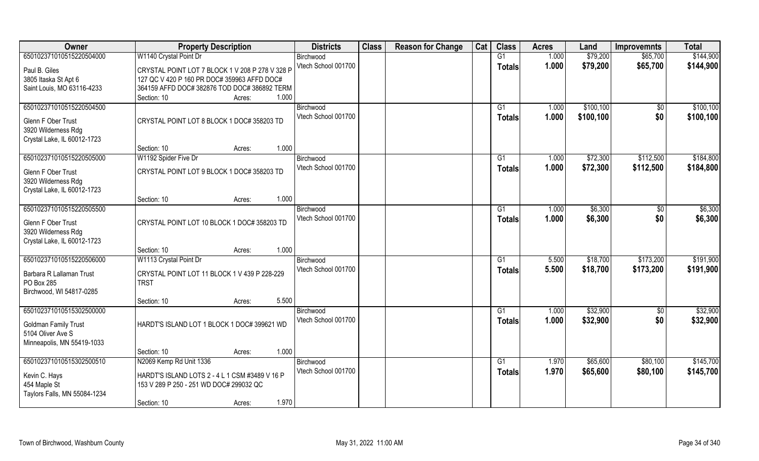| Owner                                              | <b>Property Description</b>                     | <b>Districts</b>    | <b>Class</b> | <b>Reason for Change</b> | Cat | <b>Class</b>  | <b>Acres</b> | Land      | <b>Improvemnts</b> | <b>Total</b> |
|----------------------------------------------------|-------------------------------------------------|---------------------|--------------|--------------------------|-----|---------------|--------------|-----------|--------------------|--------------|
| 650102371010515220504000                           | W1140 Crystal Point Dr                          | Birchwood           |              |                          |     | G1            | 1.000        | \$79,200  | \$65,700           | \$144,900    |
| Paul B. Giles                                      | CRYSTAL POINT LOT 7 BLOCK 1 V 208 P 278 V 328 P | Vtech School 001700 |              |                          |     | <b>Totals</b> | 1.000        | \$79,200  | \$65,700           | \$144,900    |
| 3805 Itaska St Apt 6                               | 127 QC V 420 P 160 PR DOC# 359963 AFFD DOC#     |                     |              |                          |     |               |              |           |                    |              |
| Saint Louis, MO 63116-4233                         | 364159 AFFD DOC# 382876 TOD DOC# 386892 TERM    |                     |              |                          |     |               |              |           |                    |              |
|                                                    | 1.000<br>Section: 10<br>Acres:                  |                     |              |                          |     |               |              |           |                    |              |
| 650102371010515220504500                           |                                                 | Birchwood           |              |                          |     | G1            | 1.000        | \$100,100 | \$0                | \$100, 100   |
|                                                    |                                                 | Vtech School 001700 |              |                          |     | Totals        | 1.000        | \$100,100 | \$0                | \$100,100    |
| Glenn F Ober Trust                                 | CRYSTAL POINT LOT 8 BLOCK 1 DOC# 358203 TD      |                     |              |                          |     |               |              |           |                    |              |
| 3920 Wilderness Rdg                                |                                                 |                     |              |                          |     |               |              |           |                    |              |
| Crystal Lake, IL 60012-1723                        |                                                 |                     |              |                          |     |               |              |           |                    |              |
|                                                    | 1.000<br>Section: 10<br>Acres:                  |                     |              |                          |     |               |              |           |                    |              |
| 650102371010515220505000                           | W1192 Spider Five Dr                            | Birchwood           |              |                          |     | G1            | 1.000        | \$72,300  | \$112,500          | \$184,800    |
| <b>Glenn F Ober Trust</b>                          | CRYSTAL POINT LOT 9 BLOCK 1 DOC# 358203 TD      | Vtech School 001700 |              |                          |     | <b>Totals</b> | 1.000        | \$72,300  | \$112,500          | \$184,800    |
| 3920 Wilderness Rdg                                |                                                 |                     |              |                          |     |               |              |           |                    |              |
| Crystal Lake, IL 60012-1723                        |                                                 |                     |              |                          |     |               |              |           |                    |              |
|                                                    | 1.000<br>Section: 10<br>Acres:                  |                     |              |                          |     |               |              |           |                    |              |
| 650102371010515220505500                           |                                                 | Birchwood           |              |                          |     | G1            | 1.000        | \$6,300   | $\sqrt[6]{3}$      | \$6,300      |
|                                                    |                                                 | Vtech School 001700 |              |                          |     | <b>Totals</b> | 1.000        | \$6,300   | \$0                | \$6,300      |
| Glenn F Ober Trust                                 | CRYSTAL POINT LOT 10 BLOCK 1 DOC# 358203 TD     |                     |              |                          |     |               |              |           |                    |              |
| 3920 Wilderness Rdg<br>Crystal Lake, IL 60012-1723 |                                                 |                     |              |                          |     |               |              |           |                    |              |
|                                                    | 1.000<br>Section: 10<br>Acres:                  |                     |              |                          |     |               |              |           |                    |              |
| 650102371010515220506000                           | W1113 Crystal Point Dr                          | Birchwood           |              |                          |     | G1            | 5.500        | \$18,700  | \$173,200          | \$191,900    |
|                                                    |                                                 | Vtech School 001700 |              |                          |     |               | 5.500        | \$18,700  |                    |              |
| Barbara R Lallaman Trust                           | CRYSTAL POINT LOT 11 BLOCK 1 V 439 P 228-229    |                     |              |                          |     | <b>Totals</b> |              |           | \$173,200          | \$191,900    |
| PO Box 285                                         | <b>TRST</b>                                     |                     |              |                          |     |               |              |           |                    |              |
| Birchwood, WI 54817-0285                           |                                                 |                     |              |                          |     |               |              |           |                    |              |
|                                                    | 5.500<br>Section: 10<br>Acres:                  |                     |              |                          |     |               |              |           |                    |              |
| 650102371010515302500000                           |                                                 | Birchwood           |              |                          |     | G1            | 1.000        | \$32,900  | $\sqrt{$0}$        | \$32,900     |
| <b>Goldman Family Trust</b>                        | HARDT'S ISLAND LOT 1 BLOCK 1 DOC# 399621 WD     | Vtech School 001700 |              |                          |     | <b>Totals</b> | 1.000        | \$32,900  | \$0                | \$32,900     |
| 5104 Oliver Ave S                                  |                                                 |                     |              |                          |     |               |              |           |                    |              |
| Minneapolis, MN 55419-1033                         |                                                 |                     |              |                          |     |               |              |           |                    |              |
|                                                    | 1.000<br>Section: 10<br>Acres:                  |                     |              |                          |     |               |              |           |                    |              |
| 650102371010515302500510                           | N2069 Kemp Rd Unit 1336                         | Birchwood           |              |                          |     | G1            | 1.970        | \$65,600  | \$80,100           | \$145,700    |
|                                                    |                                                 | Vtech School 001700 |              |                          |     | Totals        | 1.970        | \$65,600  | \$80,100           | \$145,700    |
| Kevin C. Hays                                      | HARDT'S ISLAND LOTS 2 - 4 L 1 CSM #3489 V 16 P  |                     |              |                          |     |               |              |           |                    |              |
| 454 Maple St                                       | 153 V 289 P 250 - 251 WD DOC# 299032 QC         |                     |              |                          |     |               |              |           |                    |              |
| Taylors Falls, MN 55084-1234                       |                                                 |                     |              |                          |     |               |              |           |                    |              |
|                                                    | 1.970<br>Section: 10<br>Acres:                  |                     |              |                          |     |               |              |           |                    |              |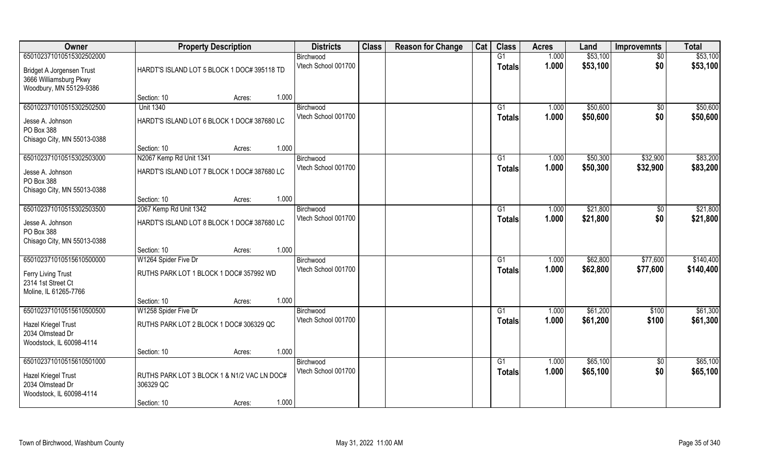| Owner                                     | <b>Property Description</b>                               | <b>Districts</b>                 | <b>Class</b> | <b>Reason for Change</b> | Cat | <b>Class</b>    | <b>Acres</b>   | Land     | <b>Improvemnts</b>   | <b>Total</b> |
|-------------------------------------------|-----------------------------------------------------------|----------------------------------|--------------|--------------------------|-----|-----------------|----------------|----------|----------------------|--------------|
| 650102371010515302502000                  |                                                           | Birchwood                        |              |                          |     | $\overline{G1}$ | 1.000          | \$53,100 | $\overline{50}$      | \$53,100     |
| Bridget A Jorgensen Trust                 | HARDT'S ISLAND LOT 5 BLOCK 1 DOC# 395118 TD               | Vtech School 001700              |              |                          |     | Totals          | 1.000          | \$53,100 | \$0                  | \$53,100     |
| 3666 Williamsburg Pkwy                    |                                                           |                                  |              |                          |     |                 |                |          |                      |              |
| Woodbury, MN 55129-9386                   |                                                           |                                  |              |                          |     |                 |                |          |                      |              |
|                                           | 1.000<br>Section: 10<br>Acres:                            |                                  |              |                          |     |                 |                |          |                      |              |
| 650102371010515302502500                  | <b>Unit 1340</b>                                          | Birchwood<br>Vtech School 001700 |              |                          |     | G <sub>1</sub>  | 1.000          | \$50,600 | \$0                  | \$50,600     |
| Jesse A. Johnson                          | HARDT'S ISLAND LOT 6 BLOCK 1 DOC# 387680 LC               |                                  |              |                          |     | Totals          | 1.000          | \$50,600 | \$0                  | \$50,600     |
| PO Box 388                                |                                                           |                                  |              |                          |     |                 |                |          |                      |              |
| Chisago City, MN 55013-0388               |                                                           |                                  |              |                          |     |                 |                |          |                      |              |
| 650102371010515302503000                  | 1.000<br>Section: 10<br>Acres:<br>N2067 Kemp Rd Unit 1341 |                                  |              |                          |     | G1              |                | \$50,300 |                      | \$83,200     |
|                                           |                                                           | Birchwood<br>Vtech School 001700 |              |                          |     |                 | 1.000<br>1.000 | \$50,300 | \$32,900<br>\$32,900 | \$83,200     |
| Jesse A. Johnson                          | HARDT'S ISLAND LOT 7 BLOCK 1 DOC# 387680 LC               |                                  |              |                          |     | <b>Totals</b>   |                |          |                      |              |
| PO Box 388                                |                                                           |                                  |              |                          |     |                 |                |          |                      |              |
| Chisago City, MN 55013-0388               | 1.000<br>Section: 10<br>Acres:                            |                                  |              |                          |     |                 |                |          |                      |              |
| 650102371010515302503500                  | 2067 Kemp Rd Unit 1342                                    | Birchwood                        |              |                          |     | G1              | 1.000          | \$21,800 | $\sqrt[6]{3}$        | \$21,800     |
|                                           |                                                           | Vtech School 001700              |              |                          |     | Totals          | 1.000          | \$21,800 | \$0                  | \$21,800     |
| Jesse A. Johnson                          | HARDT'S ISLAND LOT 8 BLOCK 1 DOC# 387680 LC               |                                  |              |                          |     |                 |                |          |                      |              |
| PO Box 388<br>Chisago City, MN 55013-0388 |                                                           |                                  |              |                          |     |                 |                |          |                      |              |
|                                           | 1.000<br>Section: 10<br>Acres:                            |                                  |              |                          |     |                 |                |          |                      |              |
| 650102371010515610500000                  | W1264 Spider Five Dr                                      | Birchwood                        |              |                          |     | G1              | 1.000          | \$62,800 | \$77,600             | \$140,400    |
|                                           | RUTHS PARK LOT 1 BLOCK 1 DOC# 357992 WD                   | Vtech School 001700              |              |                          |     | <b>Totals</b>   | 1.000          | \$62,800 | \$77,600             | \$140,400    |
| Ferry Living Trust<br>2314 1st Street Ct  |                                                           |                                  |              |                          |     |                 |                |          |                      |              |
| Moline, IL 61265-7766                     |                                                           |                                  |              |                          |     |                 |                |          |                      |              |
|                                           | 1.000<br>Section: 10<br>Acres:                            |                                  |              |                          |     |                 |                |          |                      |              |
| 650102371010515610500500                  | W1258 Spider Five Dr                                      | Birchwood                        |              |                          |     | G1              | 1.000          | \$61,200 | \$100                | \$61,300     |
| <b>Hazel Kriegel Trust</b>                | RUTHS PARK LOT 2 BLOCK 1 DOC# 306329 QC                   | Vtech School 001700              |              |                          |     | <b>Totals</b>   | 1.000          | \$61,200 | \$100                | \$61,300     |
| 2034 Olmstead Dr                          |                                                           |                                  |              |                          |     |                 |                |          |                      |              |
| Woodstock, IL 60098-4114                  |                                                           |                                  |              |                          |     |                 |                |          |                      |              |
|                                           | 1.000<br>Section: 10<br>Acres:                            |                                  |              |                          |     |                 |                |          |                      |              |
| 650102371010515610501000                  |                                                           | Birchwood                        |              |                          |     | $\overline{G1}$ | 1.000          | \$65,100 | $\overline{50}$      | \$65,100     |
| <b>Hazel Kriegel Trust</b>                | RUTHS PARK LOT 3 BLOCK 1 & N1/2 VAC LN DOC#               | Vtech School 001700              |              |                          |     | Totals          | 1.000          | \$65,100 | \$0                  | \$65,100     |
| 2034 Olmstead Dr                          | 306329 QC                                                 |                                  |              |                          |     |                 |                |          |                      |              |
| Woodstock, IL 60098-4114                  |                                                           |                                  |              |                          |     |                 |                |          |                      |              |
|                                           | 1.000<br>Section: 10<br>Acres:                            |                                  |              |                          |     |                 |                |          |                      |              |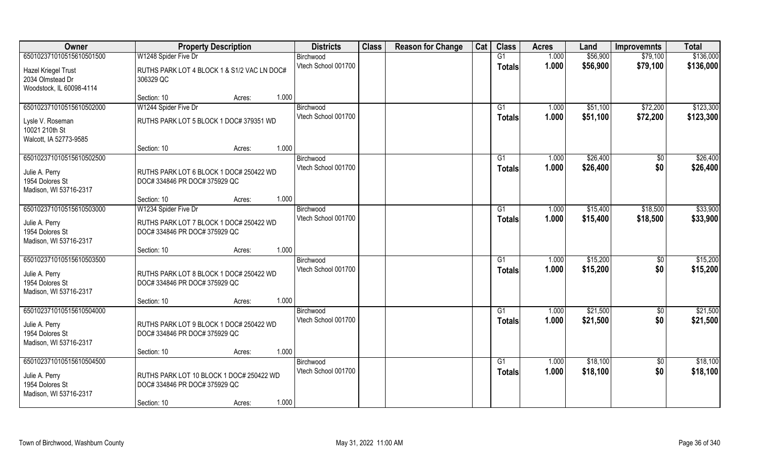| Owner                                                                                   | <b>Property Description</b>                                               | <b>Districts</b>                 | <b>Class</b> | <b>Reason for Change</b> | Cat | <b>Class</b>        | <b>Acres</b>   | Land                 | <b>Improvemnts</b>     | <b>Total</b>         |
|-----------------------------------------------------------------------------------------|---------------------------------------------------------------------------|----------------------------------|--------------|--------------------------|-----|---------------------|----------------|----------------------|------------------------|----------------------|
| 650102371010515610501500                                                                | W1248 Spider Five Dr                                                      | Birchwood                        |              |                          |     | G1                  | 1.000          | \$56,900             | \$79,100               | \$136,000            |
| Hazel Kriegel Trust<br>2034 Olmstead Dr<br>Woodstock, IL 60098-4114                     | RUTHS PARK LOT 4 BLOCK 1 & S1/2 VAC LN DOC#<br>306329 QC                  | Vtech School 001700              |              |                          |     | <b>Totals</b>       | 1.000          | \$56,900             | \$79,100               | \$136,000            |
|                                                                                         | 1.000<br>Section: 10<br>Acres:                                            |                                  |              |                          |     |                     |                |                      |                        |                      |
| 650102371010515610502000                                                                | W1244 Spider Five Dr                                                      | Birchwood                        |              |                          |     | G1                  | 1.000          | \$51,100             | \$72,200               | \$123,300            |
| Lysle V. Roseman<br>10021 210th St<br>Walcott, IA 52773-9585                            | RUTHS PARK LOT 5 BLOCK 1 DOC# 379351 WD                                   | Vtech School 001700              |              |                          |     | <b>Totals</b>       | 1.000          | \$51,100             | \$72,200               | \$123,300            |
|                                                                                         | 1.000<br>Section: 10<br>Acres:                                            |                                  |              |                          |     |                     |                |                      |                        |                      |
| 650102371010515610502500                                                                |                                                                           | Birchwood                        |              |                          |     | G1                  | 1.000          | \$26,400             | \$0                    | \$26,400             |
| Julie A. Perry<br>1954 Dolores St<br>Madison, WI 53716-2317                             | RUTHS PARK LOT 6 BLOCK 1 DOC# 250422 WD<br>DOC# 334846 PR DOC# 375929 QC  | Vtech School 001700              |              |                          |     | <b>Totals</b>       | 1.000          | \$26,400             | \$0                    | \$26,400             |
|                                                                                         | 1.000<br>Section: 10<br>Acres:                                            |                                  |              |                          |     |                     |                |                      |                        |                      |
| 650102371010515610503000                                                                | W1234 Spider Five Dr                                                      | Birchwood                        |              |                          |     | G1                  | 1.000          | \$15,400             | \$18,500               | \$33,900             |
| Julie A. Perry<br>1954 Dolores St<br>Madison, WI 53716-2317                             | RUTHS PARK LOT 7 BLOCK 1 DOC# 250422 WD<br>DOC# 334846 PR DOC# 375929 QC  | Vtech School 001700              |              |                          |     | Totals              | 1.000          | \$15,400             | \$18,500               | \$33,900             |
|                                                                                         | 1.000<br>Section: 10<br>Acres:                                            |                                  |              |                          |     |                     |                |                      |                        |                      |
| 650102371010515610503500<br>Julie A. Perry<br>1954 Dolores St<br>Madison, WI 53716-2317 | RUTHS PARK LOT 8 BLOCK 1 DOC# 250422 WD<br>DOC# 334846 PR DOC# 375929 QC  | Birchwood<br>Vtech School 001700 |              |                          |     | G1<br><b>Totals</b> | 1.000<br>1.000 | \$15,200<br>\$15,200 | \$0<br>\$0             | \$15,200<br>\$15,200 |
|                                                                                         | 1.000<br>Section: 10<br>Acres:                                            |                                  |              |                          |     |                     |                |                      |                        |                      |
| 650102371010515610504000<br>Julie A. Perry<br>1954 Dolores St<br>Madison, WI 53716-2317 | RUTHS PARK LOT 9 BLOCK 1 DOC# 250422 WD<br>DOC# 334846 PR DOC# 375929 QC  | Birchwood<br>Vtech School 001700 |              |                          |     | G1<br><b>Totals</b> | 1.000<br>1.000 | \$21,500<br>\$21,500 | $\sqrt{50}$<br>\$0     | \$21,500<br>\$21,500 |
|                                                                                         | 1.000<br>Section: 10<br>Acres:                                            |                                  |              |                          |     |                     |                |                      |                        |                      |
| 650102371010515610504500<br>Julie A. Perry<br>1954 Dolores St<br>Madison, WI 53716-2317 | RUTHS PARK LOT 10 BLOCK 1 DOC# 250422 WD<br>DOC# 334846 PR DOC# 375929 QC | Birchwood<br>Vtech School 001700 |              |                          |     | G1<br><b>Totals</b> | 1.000<br>1.000 | \$18,100<br>\$18,100 | $\overline{50}$<br>\$0 | \$18,100<br>\$18,100 |
|                                                                                         | 1.000<br>Section: 10<br>Acres:                                            |                                  |              |                          |     |                     |                |                      |                        |                      |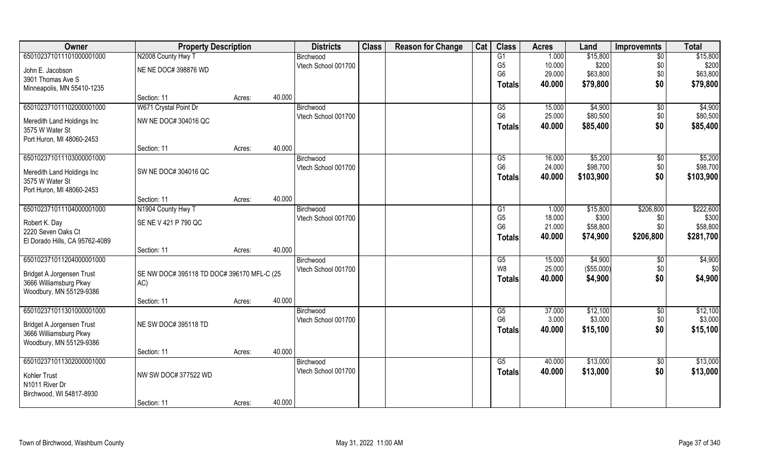| Owner                          | <b>Property Description</b>                |        |        | <b>Districts</b>    | <b>Class</b> | <b>Reason for Change</b> | Cat | <b>Class</b>   | <b>Acres</b> | Land       | <b>Improvemnts</b> | <b>Total</b> |
|--------------------------------|--------------------------------------------|--------|--------|---------------------|--------------|--------------------------|-----|----------------|--------------|------------|--------------------|--------------|
| 650102371011101000001000       | N2008 County Hwy T                         |        |        | Birchwood           |              |                          |     | G1             | 1.000        | \$15,800   | \$0                | \$15,800     |
| John E. Jacobson               | NE NE DOC# 398876 WD                       |        |        | Vtech School 001700 |              |                          |     | G <sub>5</sub> | 10.000       | \$200      | \$0                | \$200        |
| 3901 Thomas Ave S              |                                            |        |        |                     |              |                          |     | G <sub>6</sub> | 29.000       | \$63,800   | \$0                | \$63,800     |
| Minneapolis, MN 55410-1235     |                                            |        |        |                     |              |                          |     | <b>Totals</b>  | 40.000       | \$79,800   | \$0                | \$79,800     |
|                                | Section: 11                                | Acres: | 40.000 |                     |              |                          |     |                |              |            |                    |              |
| 650102371011102000001000       | W671 Crystal Point Dr                      |        |        | Birchwood           |              |                          |     | G5             | 15.000       | \$4,900    | $\sqrt[6]{}$       | \$4,900      |
| Meredith Land Holdings Inc     | NW NE DOC# 304016 QC                       |        |        | Vtech School 001700 |              |                          |     | G <sub>6</sub> | 25.000       | \$80,500   | \$0                | \$80,500     |
| 3575 W Water St                |                                            |        |        |                     |              |                          |     | <b>Totals</b>  | 40.000       | \$85,400   | \$0                | \$85,400     |
| Port Huron, MI 48060-2453      |                                            |        |        |                     |              |                          |     |                |              |            |                    |              |
|                                | Section: 11                                | Acres: | 40.000 |                     |              |                          |     |                |              |            |                    |              |
| 650102371011103000001000       |                                            |        |        | Birchwood           |              |                          |     | G5             | 16.000       | \$5,200    | $\sqrt[6]{}$       | \$5,200      |
| Meredith Land Holdings Inc     | SW NE DOC# 304016 QC                       |        |        | Vtech School 001700 |              |                          |     | G <sub>6</sub> | 24.000       | \$98,700   | \$0                | \$98,700     |
| 3575 W Water St                |                                            |        |        |                     |              |                          |     | <b>Totals</b>  | 40.000       | \$103,900  | \$0                | \$103,900    |
| Port Huron, MI 48060-2453      |                                            |        |        |                     |              |                          |     |                |              |            |                    |              |
|                                | Section: 11                                | Acres: | 40.000 |                     |              |                          |     |                |              |            |                    |              |
| 650102371011104000001000       | N1904 County Hwy T                         |        |        | Birchwood           |              |                          |     | G <sub>1</sub> | 1.000        | \$15,800   | \$206,800          | \$222,600    |
| Robert K. Day                  | SE NE V 421 P 790 QC                       |        |        | Vtech School 001700 |              |                          |     | G <sub>5</sub> | 18.000       | \$300      | \$0                | \$300        |
| 2220 Seven Oaks Ct             |                                            |        |        |                     |              |                          |     | G <sub>6</sub> | 21.000       | \$58,800   | \$0                | \$58,800     |
| El Dorado Hills, CA 95762-4089 |                                            |        |        |                     |              |                          |     | <b>Totals</b>  | 40.000       | \$74,900   | \$206,800          | \$281,700    |
|                                | Section: 11                                | Acres: | 40.000 |                     |              |                          |     |                |              |            |                    |              |
| 650102371011204000001000       |                                            |        |        | Birchwood           |              |                          |     | G5             | 15.000       | \$4,900    | \$0                | \$4,900      |
| Bridget A Jorgensen Trust      | SE NW DOC# 395118 TD DOC# 396170 MFL-C (25 |        |        | Vtech School 001700 |              |                          |     | W8             | 25.000       | (\$55,000) | \$0                | \$0          |
| 3666 Williamsburg Pkwy         | AC)                                        |        |        |                     |              |                          |     | <b>Totals</b>  | 40.000       | \$4,900    | \$0                | \$4,900      |
| Woodbury, MN 55129-9386        |                                            |        |        |                     |              |                          |     |                |              |            |                    |              |
|                                | Section: 11                                | Acres: | 40.000 |                     |              |                          |     |                |              |            |                    |              |
| 650102371011301000001000       |                                            |        |        | Birchwood           |              |                          |     | G5             | 37.000       | \$12,100   | \$0                | \$12,100     |
| Bridget A Jorgensen Trust      | NE SW DOC# 395118 TD                       |        |        | Vtech School 001700 |              |                          |     | G <sub>6</sub> | 3.000        | \$3,000    | \$0                | \$3,000      |
| 3666 Williamsburg Pkwy         |                                            |        |        |                     |              |                          |     | <b>Totals</b>  | 40.000       | \$15,100   | \$0                | \$15,100     |
| Woodbury, MN 55129-9386        |                                            |        |        |                     |              |                          |     |                |              |            |                    |              |
|                                | Section: 11                                | Acres: | 40.000 |                     |              |                          |     |                |              |            |                    |              |
| 650102371011302000001000       |                                            |        |        | Birchwood           |              |                          |     | G5             | 40.000       | \$13,000   | $\overline{50}$    | \$13,000     |
| Kohler Trust                   | NW SW DOC# 377522 WD                       |        |        | Vtech School 001700 |              |                          |     | <b>Totals</b>  | 40.000       | \$13,000   | \$0                | \$13,000     |
| N1011 River Dr                 |                                            |        |        |                     |              |                          |     |                |              |            |                    |              |
| Birchwood, WI 54817-8930       |                                            |        |        |                     |              |                          |     |                |              |            |                    |              |
|                                | Section: 11                                | Acres: | 40.000 |                     |              |                          |     |                |              |            |                    |              |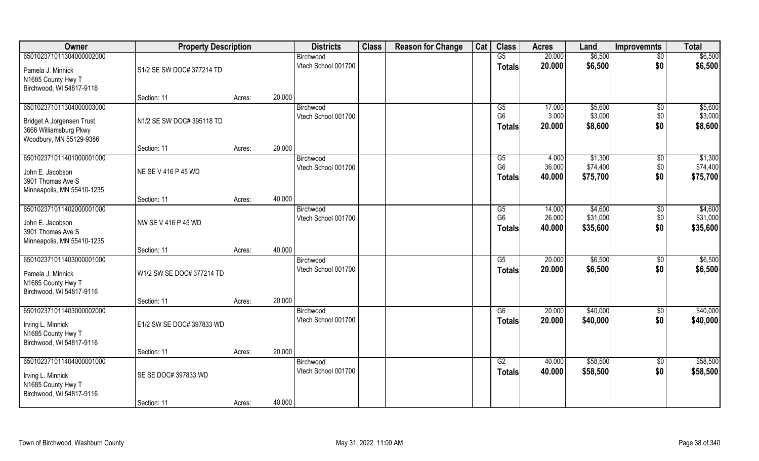| Owner                                                                                                      | <b>Property Description</b>         |        | <b>Districts</b>                           | <b>Class</b> | <b>Reason for Change</b> | Cat | <b>Class</b>                          | <b>Acres</b>               | Land                            | <b>Improvemnts</b>            | <b>Total</b>                    |
|------------------------------------------------------------------------------------------------------------|-------------------------------------|--------|--------------------------------------------|--------------|--------------------------|-----|---------------------------------------|----------------------------|---------------------------------|-------------------------------|---------------------------------|
| 650102371011304000002000                                                                                   |                                     |        | Birchwood                                  |              |                          |     | G5                                    | 20.000                     | \$6,500                         | $\overline{50}$               | \$6,500                         |
| Pamela J. Minnick<br>N1685 County Hwy T<br>Birchwood, WI 54817-9116                                        | S1/2 SE SW DOC# 377214 TD           |        | Vtech School 001700                        |              |                          |     | <b>Totals</b>                         | 20.000                     | \$6,500                         | \$0                           | \$6,500                         |
|                                                                                                            | Section: 11                         | Acres: | 20.000                                     |              |                          |     |                                       |                            |                                 |                               |                                 |
| 650102371011304000003000<br>Bridget A Jorgensen Trust<br>3666 Williamsburg Pkwy<br>Woodbury, MN 55129-9386 | N1/2 SE SW DOC# 395118 TD           |        | Birchwood<br>Vtech School 001700           |              |                          |     | G5<br>G <sub>6</sub><br><b>Totals</b> | 17.000<br>3.000<br>20.000  | \$5,600<br>\$3,000<br>\$8,600   | $\overline{50}$<br>\$0<br>\$0 | \$5,600<br>\$3,000<br>\$8,600   |
|                                                                                                            | Section: 11                         | Acres: | 20.000                                     |              |                          |     |                                       |                            |                                 |                               |                                 |
| 650102371011401000001000<br>John E. Jacobson<br>3901 Thomas Ave S<br>Minneapolis, MN 55410-1235            | NE SE V 416 P 45 WD                 |        | Birchwood<br>Vtech School 001700           |              |                          |     | G5<br>G <sub>6</sub><br><b>Totals</b> | 4.000<br>36.000<br>40.000  | \$1,300<br>\$74,400<br>\$75,700 | $\sqrt[6]{30}$<br>\$0<br>\$0  | \$1,300<br>\$74,400<br>\$75,700 |
|                                                                                                            | Section: 11                         | Acres: | 40.000                                     |              |                          |     |                                       |                            |                                 |                               |                                 |
| 650102371011402000001000<br>John E. Jacobson<br>3901 Thomas Ave S<br>Minneapolis, MN 55410-1235            | NW SE V 416 P 45 WD                 |        | Birchwood<br>Vtech School 001700           |              |                          |     | G5<br>G <sub>6</sub><br><b>Totals</b> | 14.000<br>26.000<br>40.000 | \$4,600<br>\$31,000<br>\$35,600 | \$0<br>\$0<br>\$0             | \$4,600<br>\$31,000<br>\$35,600 |
|                                                                                                            | Section: 11                         | Acres: | 40.000                                     |              |                          |     |                                       |                            |                                 |                               |                                 |
| 650102371011403000001000<br>Pamela J. Minnick<br>N1685 County Hwy T<br>Birchwood, WI 54817-9116            | W1/2 SW SE DOC# 377214 TD           |        | Birchwood<br>Vtech School 001700           |              |                          |     | $\overline{G5}$<br><b>Totals</b>      | 20.000<br>20.000           | \$6,500<br>\$6,500              | $\sqrt[6]{3}$<br>\$0          | \$6,500<br>\$6,500              |
|                                                                                                            | Section: 11                         | Acres: | 20.000                                     |              |                          |     |                                       |                            |                                 |                               |                                 |
| 650102371011403000002000<br>Irving L. Minnick<br>N1685 County Hwy T<br>Birchwood, WI 54817-9116            | E1/2 SW SE DOC# 397833 WD           |        | Birchwood<br>Vtech School 001700           |              |                          |     | G6<br><b>Totals</b>                   | 20.000<br>20.000           | \$40,000<br>\$40,000            | \$0<br>\$0                    | \$40,000<br>\$40,000            |
|                                                                                                            | Section: 11                         | Acres: | 20.000                                     |              |                          |     |                                       |                            |                                 |                               |                                 |
| 650102371011404000001000<br>Irving L. Minnick<br>N1685 County Hwy T<br>Birchwood, WI 54817-9116            | SE SE DOC# 397833 WD<br>Section: 11 | Acres: | Birchwood<br>Vtech School 001700<br>40.000 |              |                          |     | G2<br><b>Totals</b>                   | 40.000<br>40.000           | \$58,500<br>\$58,500            | $\sqrt{$0}$<br>\$0            | \$58,500<br>\$58,500            |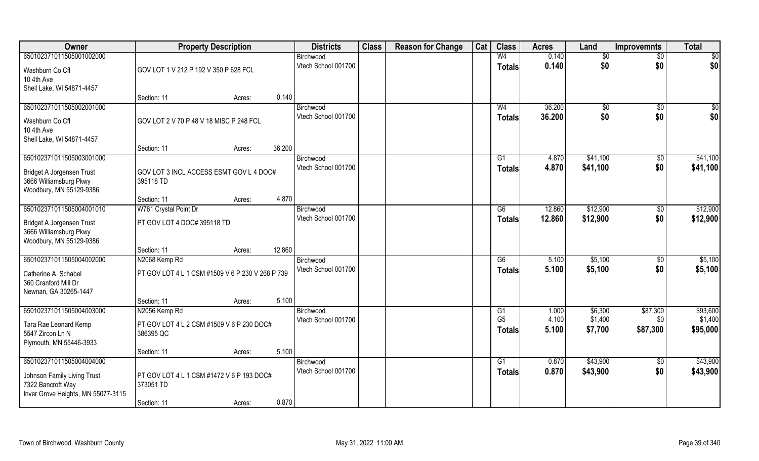| Owner                              | <b>Property Description</b>                      |                  | <b>Districts</b>    | <b>Class</b> | <b>Reason for Change</b> | Cat | <b>Class</b>    | <b>Acres</b> | Land     | <b>Improvemnts</b> | <b>Total</b> |
|------------------------------------|--------------------------------------------------|------------------|---------------------|--------------|--------------------------|-----|-----------------|--------------|----------|--------------------|--------------|
| 650102371011505001002000           |                                                  |                  | Birchwood           |              |                          |     | W <sub>4</sub>  | 0.140        | \$0      | $\sqrt{6}$         | $\sqrt{50}$  |
| Washburn Co Cfl                    | GOV LOT 1 V 212 P 192 V 350 P 628 FCL            |                  | Vtech School 001700 |              |                          |     | <b>Totals</b>   | 0.140        | \$0      | \$0                | \$0          |
| 10 4th Ave                         |                                                  |                  |                     |              |                          |     |                 |              |          |                    |              |
| Shell Lake, WI 54871-4457          |                                                  |                  |                     |              |                          |     |                 |              |          |                    |              |
|                                    | Section: 11                                      | 0.140<br>Acres:  |                     |              |                          |     |                 |              |          |                    |              |
| 650102371011505002001000           |                                                  |                  | Birchwood           |              |                          |     | W <sub>4</sub>  | 36.200       | \$0      | \$0                | \$0          |
| Washburn Co Cfl                    | GOV LOT 2 V 70 P 48 V 18 MISC P 248 FCL          |                  | Vtech School 001700 |              |                          |     | Totals          | 36.200       | \$0      | \$0                | \$0          |
| 10 4th Ave                         |                                                  |                  |                     |              |                          |     |                 |              |          |                    |              |
| Shell Lake, WI 54871-4457          |                                                  |                  |                     |              |                          |     |                 |              |          |                    |              |
|                                    | Section: 11                                      | 36.200<br>Acres: |                     |              |                          |     |                 |              |          |                    |              |
| 650102371011505003001000           |                                                  |                  | Birchwood           |              |                          |     | G1              | 4.870        | \$41,100 | \$0                | \$41,100     |
| Bridget A Jorgensen Trust          | GOV LOT 3 INCL ACCESS ESMT GOV L 4 DOC#          |                  | Vtech School 001700 |              |                          |     | <b>Totals</b>   | 4.870        | \$41,100 | \$0                | \$41,100     |
| 3666 Williamsburg Pkwy             | 395118 TD                                        |                  |                     |              |                          |     |                 |              |          |                    |              |
| Woodbury, MN 55129-9386            |                                                  |                  |                     |              |                          |     |                 |              |          |                    |              |
|                                    | Section: 11                                      | 4.870<br>Acres:  |                     |              |                          |     |                 |              |          |                    |              |
| 650102371011505004001010           | W761 Crystal Point Dr                            |                  | Birchwood           |              |                          |     | G6              | 12.860       | \$12,900 | $\sqrt[6]{3}$      | \$12,900     |
| Bridget A Jorgensen Trust          | PT GOV LOT 4 DOC# 395118 TD                      |                  | Vtech School 001700 |              |                          |     | <b>Totals</b>   | 12.860       | \$12,900 | \$0                | \$12,900     |
| 3666 Williamsburg Pkwy             |                                                  |                  |                     |              |                          |     |                 |              |          |                    |              |
| Woodbury, MN 55129-9386            |                                                  |                  |                     |              |                          |     |                 |              |          |                    |              |
|                                    | Section: 11                                      | 12.860<br>Acres: |                     |              |                          |     |                 |              |          |                    |              |
| 650102371011505004002000           | N2068 Kemp Rd                                    |                  | Birchwood           |              |                          |     | $\overline{G6}$ | 5.100        | \$5,100  | \$0                | \$5,100      |
| Catherine A. Schabel               | PT GOV LOT 4 L 1 CSM #1509 V 6 P 230 V 268 P 739 |                  | Vtech School 001700 |              |                          |     | <b>Totals</b>   | 5.100        | \$5,100  | \$0                | \$5,100      |
| 360 Cranford Mill Dr               |                                                  |                  |                     |              |                          |     |                 |              |          |                    |              |
| Newnan, GA 30265-1447              |                                                  |                  |                     |              |                          |     |                 |              |          |                    |              |
|                                    | Section: 11                                      | 5.100<br>Acres:  |                     |              |                          |     |                 |              |          |                    |              |
| 650102371011505004003000           | N2056 Kemp Rd                                    |                  | Birchwood           |              |                          |     | G1              | 1.000        | \$6,300  | \$87,300           | \$93,600     |
| Tara Rae Leonard Kemp              | PT GOV LOT 4 L 2 CSM #1509 V 6 P 230 DOC#        |                  | Vtech School 001700 |              |                          |     | G <sub>5</sub>  | 4.100        | \$1,400  | \$0                | \$1,400      |
| 5547 Zircon Ln N                   | 386395 QC                                        |                  |                     |              |                          |     | Totals          | 5.100        | \$7,700  | \$87,300           | \$95,000     |
| Plymouth, MN 55446-3933            |                                                  |                  |                     |              |                          |     |                 |              |          |                    |              |
|                                    | Section: 11                                      | 5.100<br>Acres:  |                     |              |                          |     |                 |              |          |                    |              |
| 650102371011505004004000           |                                                  |                  | Birchwood           |              |                          |     | G1              | 0.870        | \$43,900 | $\overline{50}$    | \$43,900     |
| Johnson Family Living Trust        | PT GOV LOT 4 L 1 CSM #1472 V 6 P 193 DOC#        |                  | Vtech School 001700 |              |                          |     | Totals          | 0.870        | \$43,900 | \$0                | \$43,900     |
| 7322 Bancroft Way                  | 373051 TD                                        |                  |                     |              |                          |     |                 |              |          |                    |              |
| Inver Grove Heights, MN 55077-3115 |                                                  |                  |                     |              |                          |     |                 |              |          |                    |              |
|                                    | Section: 11                                      | 0.870<br>Acres:  |                     |              |                          |     |                 |              |          |                    |              |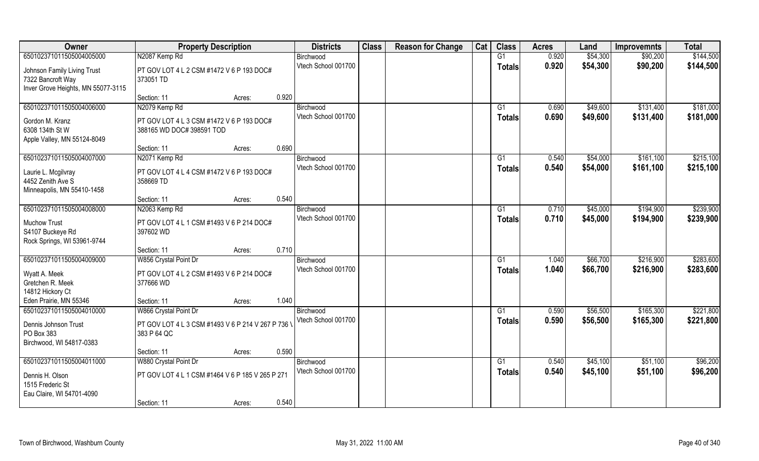| Owner                                            | <b>Property Description</b>                                            |                 | <b>Districts</b>                 | <b>Class</b> | <b>Reason for Change</b> | Cat | <b>Class</b>  | <b>Acres</b>   | Land                 | <b>Improvemnts</b>     | <b>Total</b>           |
|--------------------------------------------------|------------------------------------------------------------------------|-----------------|----------------------------------|--------------|--------------------------|-----|---------------|----------------|----------------------|------------------------|------------------------|
| 650102371011505004005000                         | N2087 Kemp Rd                                                          |                 | Birchwood                        |              |                          |     | G1            | 0.920          | \$54,300             | \$90,200               | \$144,500              |
| Johnson Family Living Trust<br>7322 Bancroft Way | PT GOV LOT 4 L 2 CSM #1472 V 6 P 193 DOC#<br>373051 TD                 |                 | Vtech School 001700              |              |                          |     | <b>Totals</b> | 0.920          | \$54,300             | \$90,200               | \$144,500              |
| Inver Grove Heights, MN 55077-3115               |                                                                        |                 |                                  |              |                          |     |               |                |                      |                        |                        |
|                                                  | Section: 11                                                            | 0.920<br>Acres: |                                  |              |                          |     |               |                |                      |                        |                        |
| 650102371011505004006000                         | N2079 Kemp Rd                                                          |                 | Birchwood<br>Vtech School 001700 |              |                          |     | G1            | 0.690<br>0.690 | \$49,600<br>\$49,600 | \$131,400<br>\$131,400 | \$181,000<br>\$181,000 |
| Gordon M. Kranz<br>6308 134th St W               | PT GOV LOT 4 L 3 CSM #1472 V 6 P 193 DOC#<br>388165 WD DOC# 398591 TOD |                 |                                  |              |                          |     | <b>Totals</b> |                |                      |                        |                        |
| Apple Valley, MN 55124-8049                      |                                                                        |                 |                                  |              |                          |     |               |                |                      |                        |                        |
|                                                  | Section: 11                                                            | 0.690<br>Acres: |                                  |              |                          |     |               |                |                      |                        |                        |
| 650102371011505004007000                         | N2071 Kemp Rd                                                          |                 | Birchwood                        |              |                          |     | G1            | 0.540          | \$54,000             | \$161,100              | \$215,100              |
| Laurie L. Mcgilvray                              | PT GOV LOT 4 L 4 CSM #1472 V 6 P 193 DOC#                              |                 | Vtech School 001700              |              |                          |     | <b>Totals</b> | 0.540          | \$54,000             | \$161,100              | \$215,100              |
| 4452 Zenith Ave S                                | 358669 TD                                                              |                 |                                  |              |                          |     |               |                |                      |                        |                        |
| Minneapolis, MN 55410-1458                       | Section: 11                                                            | 0.540<br>Acres: |                                  |              |                          |     |               |                |                      |                        |                        |
| 650102371011505004008000                         | N2063 Kemp Rd                                                          |                 | Birchwood                        |              |                          |     | G1            | 0.710          | \$45,000             | \$194,900              | \$239,900              |
| <b>Muchow Trust</b>                              | PT GOV LOT 4 L 1 CSM #1493 V 6 P 214 DOC#                              |                 | Vtech School 001700              |              |                          |     | <b>Totals</b> | 0.710          | \$45,000             | \$194,900              | \$239,900              |
| S4107 Buckeye Rd                                 | 397602 WD                                                              |                 |                                  |              |                          |     |               |                |                      |                        |                        |
| Rock Springs, WI 53961-9744                      |                                                                        |                 |                                  |              |                          |     |               |                |                      |                        |                        |
|                                                  | Section: 11                                                            | 0.710<br>Acres: |                                  |              |                          |     |               |                |                      |                        |                        |
| 650102371011505004009000                         | W856 Crystal Point Dr                                                  |                 | Birchwood                        |              |                          |     | G1            | 1.040          | \$66,700             | \$216,900              | \$283,600              |
| Wyatt A. Meek                                    | PT GOV LOT 4 L 2 CSM #1493 V 6 P 214 DOC#                              |                 | Vtech School 001700              |              |                          |     | <b>Totals</b> | 1.040          | \$66,700             | \$216,900              | \$283,600              |
| Gretchen R. Meek                                 | 377666 WD                                                              |                 |                                  |              |                          |     |               |                |                      |                        |                        |
| 14812 Hickory Ct<br>Eden Prairie, MN 55346       | Section: 11                                                            | 1.040<br>Acres: |                                  |              |                          |     |               |                |                      |                        |                        |
| 650102371011505004010000                         | W866 Crystal Point Dr                                                  |                 | Birchwood                        |              |                          |     | G1            | 0.590          | \$56,500             | \$165,300              | \$221,800              |
| Dennis Johnson Trust                             | PT GOV LOT 4 L 3 CSM #1493 V 6 P 214 V 267 P 736 \                     |                 | Vtech School 001700              |              |                          |     | <b>Totals</b> | 0.590          | \$56,500             | \$165,300              | \$221,800              |
| PO Box 383                                       | 383 P 64 QC                                                            |                 |                                  |              |                          |     |               |                |                      |                        |                        |
| Birchwood, WI 54817-0383                         |                                                                        |                 |                                  |              |                          |     |               |                |                      |                        |                        |
|                                                  | Section: 11                                                            | 0.590<br>Acres: |                                  |              |                          |     |               |                |                      |                        |                        |
| 650102371011505004011000                         | W880 Crystal Point Dr                                                  |                 | Birchwood<br>Vtech School 001700 |              |                          |     | G1            | 0.540          | \$45,100             | \$51,100               | \$96,200               |
| Dennis H. Olson                                  | PT GOV LOT 4 L 1 CSM #1464 V 6 P 185 V 265 P 271                       |                 |                                  |              |                          |     | <b>Totals</b> | 0.540          | \$45,100             | \$51,100               | \$96,200               |
| 1515 Frederic St<br>Eau Claire, WI 54701-4090    |                                                                        |                 |                                  |              |                          |     |               |                |                      |                        |                        |
|                                                  | Section: 11                                                            | 0.540<br>Acres: |                                  |              |                          |     |               |                |                      |                        |                        |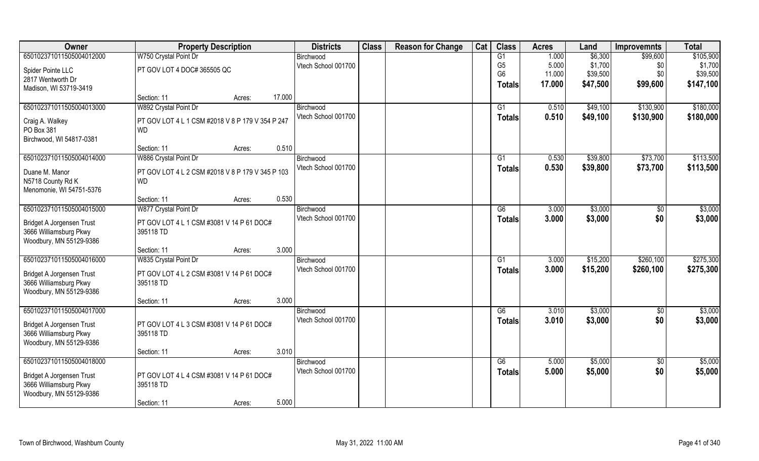| Owner                                             | <b>Property Description</b>                            | <b>Districts</b>    | <b>Class</b> | <b>Reason for Change</b> | Cat | <b>Class</b>   | <b>Acres</b> | Land     | <b>Improvemnts</b> | <b>Total</b> |
|---------------------------------------------------|--------------------------------------------------------|---------------------|--------------|--------------------------|-----|----------------|--------------|----------|--------------------|--------------|
| 650102371011505004012000                          | W750 Crystal Point Dr                                  | Birchwood           |              |                          |     | G1             | 1.000        | \$6,300  | \$99,600           | \$105,900    |
| Spider Pointe LLC                                 | PT GOV LOT 4 DOC# 365505 QC                            | Vtech School 001700 |              |                          |     | G <sub>5</sub> | 5.000        | \$1,700  | \$0                | \$1,700      |
| 2817 Wentworth Dr                                 |                                                        |                     |              |                          |     | G <sub>6</sub> | 11.000       | \$39,500 | \$0                | \$39,500     |
| Madison, WI 53719-3419                            |                                                        |                     |              |                          |     | <b>Totals</b>  | 17.000       | \$47,500 | \$99,600           | \$147,100    |
|                                                   | Section: 11<br>Acres:                                  | 17.000              |              |                          |     |                |              |          |                    |              |
| 650102371011505004013000                          | W892 Crystal Point Dr                                  | Birchwood           |              |                          |     | G1             | 0.510        | \$49,100 | \$130,900          | \$180,000    |
| Craig A. Walkey                                   | PT GOV LOT 4 L 1 CSM #2018 V 8 P 179 V 354 P 247       | Vtech School 001700 |              |                          |     | <b>Totals</b>  | 0.510        | \$49,100 | \$130,900          | \$180,000    |
| PO Box 381                                        | <b>WD</b>                                              |                     |              |                          |     |                |              |          |                    |              |
| Birchwood, WI 54817-0381                          |                                                        |                     |              |                          |     |                |              |          |                    |              |
|                                                   | Section: 11<br>Acres:                                  | 0.510               |              |                          |     |                |              |          |                    |              |
| 650102371011505004014000                          | W886 Crystal Point Dr                                  | Birchwood           |              |                          |     | G1             | 0.530        | \$39,800 | \$73,700           | \$113,500    |
| Duane M. Manor                                    | PT GOV LOT 4 L 2 CSM #2018 V 8 P 179 V 345 P 103       | Vtech School 001700 |              |                          |     | <b>Totals</b>  | 0.530        | \$39,800 | \$73,700           | \$113,500    |
| N5718 County Rd K                                 | <b>WD</b>                                              |                     |              |                          |     |                |              |          |                    |              |
| Menomonie, WI 54751-5376                          |                                                        |                     |              |                          |     |                |              |          |                    |              |
|                                                   | Section: 11<br>Acres:                                  | 0.530               |              |                          |     |                |              |          |                    |              |
| 650102371011505004015000                          | W877 Crystal Point Dr                                  | Birchwood           |              |                          |     | G6             | 3.000        | \$3,000  | $\sqrt[6]{30}$     | \$3,000      |
| Bridget A Jorgensen Trust                         | PT GOV LOT 4 L 1 CSM #3081 V 14 P 61 DOC#              | Vtech School 001700 |              |                          |     | <b>Totals</b>  | 3.000        | \$3,000  | \$0                | \$3,000      |
| 3666 Williamsburg Pkwy                            | 395118 TD                                              |                     |              |                          |     |                |              |          |                    |              |
| Woodbury, MN 55129-9386                           |                                                        |                     |              |                          |     |                |              |          |                    |              |
|                                                   | Section: 11<br>Acres:                                  | 3.000               |              |                          |     |                |              |          |                    |              |
| 650102371011505004016000                          | W835 Crystal Point Dr                                  | Birchwood           |              |                          |     | G1             | 3.000        | \$15,200 | \$260,100          | \$275,300    |
| Bridget A Jorgensen Trust                         | PT GOV LOT 4 L 2 CSM #3081 V 14 P 61 DOC#              | Vtech School 001700 |              |                          |     | <b>Totals</b>  | 3.000        | \$15,200 | \$260,100          | \$275,300    |
| 3666 Williamsburg Pkwy                            | 395118 TD                                              |                     |              |                          |     |                |              |          |                    |              |
| Woodbury, MN 55129-9386                           |                                                        |                     |              |                          |     |                |              |          |                    |              |
|                                                   | Section: 11<br>Acres:                                  | 3.000               |              |                          |     |                |              |          |                    |              |
| 650102371011505004017000                          |                                                        | Birchwood           |              |                          |     | G6             | 3.010        | \$3,000  | $\sqrt{6}$         | \$3,000      |
|                                                   |                                                        | Vtech School 001700 |              |                          |     | <b>Totals</b>  | 3.010        | \$3,000  | \$0                | \$3,000      |
| Bridget A Jorgensen Trust                         | PT GOV LOT 4 L 3 CSM #3081 V 14 P 61 DOC#<br>395118 TD |                     |              |                          |     |                |              |          |                    |              |
| 3666 Williamsburg Pkwy<br>Woodbury, MN 55129-9386 |                                                        |                     |              |                          |     |                |              |          |                    |              |
|                                                   | Section: 11<br>Acres:                                  | 3.010               |              |                          |     |                |              |          |                    |              |
| 650102371011505004018000                          |                                                        | Birchwood           |              |                          |     | G6             | 5.000        | \$5,000  | \$0                | \$5,000      |
|                                                   |                                                        | Vtech School 001700 |              |                          |     | <b>Totals</b>  | 5.000        | \$5,000  | \$0                | \$5,000      |
| Bridget A Jorgensen Trust                         | PT GOV LOT 4 L 4 CSM #3081 V 14 P 61 DOC#              |                     |              |                          |     |                |              |          |                    |              |
| 3666 Williamsburg Pkwy                            | 395118 TD                                              |                     |              |                          |     |                |              |          |                    |              |
| Woodbury, MN 55129-9386                           |                                                        | 5.000               |              |                          |     |                |              |          |                    |              |
|                                                   | Section: 11<br>Acres:                                  |                     |              |                          |     |                |              |          |                    |              |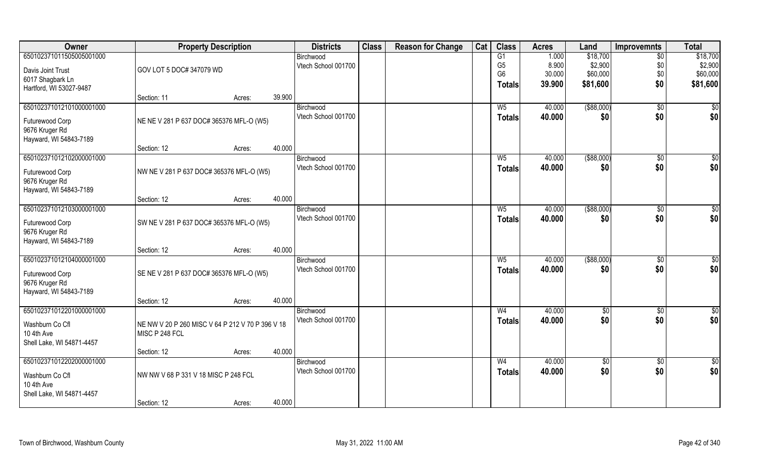| Owner                     | <b>Property Description</b>                      |                  | <b>Districts</b>    | <b>Class</b> | <b>Reason for Change</b> | Cat | <b>Class</b>   | <b>Acres</b> | Land            | <b>Improvemnts</b> | <b>Total</b>    |
|---------------------------|--------------------------------------------------|------------------|---------------------|--------------|--------------------------|-----|----------------|--------------|-----------------|--------------------|-----------------|
| 650102371011505005001000  |                                                  |                  | Birchwood           |              |                          |     | G1             | 1.000        | \$18,700        | $\overline{50}$    | \$18,700        |
| Davis Joint Trust         | GOV LOT 5 DOC# 347079 WD                         |                  | Vtech School 001700 |              |                          |     | G <sub>5</sub> | 8.900        | \$2,900         | \$0                | \$2,900         |
| 6017 Shagbark Ln          |                                                  |                  |                     |              |                          |     | G <sub>6</sub> | 30.000       | \$60,000        | \$0                | \$60,000        |
| Hartford, WI 53027-9487   |                                                  |                  |                     |              |                          |     | <b>Totals</b>  | 39.900       | \$81,600        | \$0                | \$81,600        |
|                           | Section: 11                                      | 39.900<br>Acres: |                     |              |                          |     |                |              |                 |                    |                 |
| 650102371012101000001000  |                                                  |                  | Birchwood           |              |                          |     | $W_5$          | 40.000       | ( \$88,000)     | $\sqrt{$0}$        | $\frac{1}{6}$   |
| Futurewood Corp           | NE NE V 281 P 637 DOC# 365376 MFL-O (W5)         |                  | Vtech School 001700 |              |                          |     | <b>Totals</b>  | 40.000       | \$0             | \$0                | \$0             |
| 9676 Kruger Rd            |                                                  |                  |                     |              |                          |     |                |              |                 |                    |                 |
| Hayward, WI 54843-7189    |                                                  |                  |                     |              |                          |     |                |              |                 |                    |                 |
|                           | Section: 12                                      | 40.000<br>Acres: |                     |              |                          |     |                |              |                 |                    |                 |
| 650102371012102000001000  |                                                  |                  | Birchwood           |              |                          |     | W <sub>5</sub> | 40.000       | $($ \$88,000)   | $\sqrt[6]{30}$     | \$0             |
| Futurewood Corp           | NW NE V 281 P 637 DOC# 365376 MFL-O (W5)         |                  | Vtech School 001700 |              |                          |     | <b>Totals</b>  | 40.000       | \$0             | \$0                | \$0             |
| 9676 Kruger Rd            |                                                  |                  |                     |              |                          |     |                |              |                 |                    |                 |
| Hayward, WI 54843-7189    |                                                  |                  |                     |              |                          |     |                |              |                 |                    |                 |
|                           | Section: 12                                      | 40.000<br>Acres: |                     |              |                          |     |                |              |                 |                    |                 |
| 650102371012103000001000  |                                                  |                  | Birchwood           |              |                          |     | W <sub>5</sub> | 40.000       | ( \$88,000)     | $\sqrt[6]{3}$      | \$0             |
| Futurewood Corp           | SW NE V 281 P 637 DOC# 365376 MFL-O (W5)         |                  | Vtech School 001700 |              |                          |     | <b>Totals</b>  | 40.000       | \$0             | \$0                | \$0             |
| 9676 Kruger Rd            |                                                  |                  |                     |              |                          |     |                |              |                 |                    |                 |
| Hayward, WI 54843-7189    |                                                  |                  |                     |              |                          |     |                |              |                 |                    |                 |
|                           | Section: 12                                      | 40.000<br>Acres: |                     |              |                          |     |                |              |                 |                    |                 |
| 650102371012104000001000  |                                                  |                  | Birchwood           |              |                          |     | W <sub>5</sub> | 40.000       | ( \$88,000)     | $\sqrt[6]{3}$      | \$0             |
| Futurewood Corp           | SE NE V 281 P 637 DOC# 365376 MFL-O (W5)         |                  | Vtech School 001700 |              |                          |     | <b>Totals</b>  | 40.000       | \$0             | \$0                | \$0             |
| 9676 Kruger Rd            |                                                  |                  |                     |              |                          |     |                |              |                 |                    |                 |
| Hayward, WI 54843-7189    |                                                  |                  |                     |              |                          |     |                |              |                 |                    |                 |
|                           | Section: 12                                      | 40.000<br>Acres: |                     |              |                          |     |                |              |                 |                    |                 |
| 650102371012201000001000  |                                                  |                  | Birchwood           |              |                          |     | W <sub>4</sub> | 40.000       | \$0             | \$0                | \$0             |
| Washburn Co Cfl           | NE NW V 20 P 260 MISC V 64 P 212 V 70 P 396 V 18 |                  | Vtech School 001700 |              |                          |     | <b>Totals</b>  | 40.000       | \$0             | \$0                | \$0             |
| 10 4th Ave                | MISC P 248 FCL                                   |                  |                     |              |                          |     |                |              |                 |                    |                 |
| Shell Lake, WI 54871-4457 |                                                  |                  |                     |              |                          |     |                |              |                 |                    |                 |
|                           | Section: 12                                      | 40.000<br>Acres: |                     |              |                          |     |                |              |                 |                    |                 |
| 650102371012202000001000  |                                                  |                  | Birchwood           |              |                          |     | W <sub>4</sub> | 40.000       | $\overline{50}$ | $\overline{50}$    | $\overline{50}$ |
| Washburn Co Cfl           | NW NW V 68 P 331 V 18 MISC P 248 FCL             |                  | Vtech School 001700 |              |                          |     | <b>Totals</b>  | 40.000       | \$0             | \$0                | \$0             |
| 10 4th Ave                |                                                  |                  |                     |              |                          |     |                |              |                 |                    |                 |
| Shell Lake, WI 54871-4457 |                                                  |                  |                     |              |                          |     |                |              |                 |                    |                 |
|                           | Section: 12                                      | 40.000<br>Acres: |                     |              |                          |     |                |              |                 |                    |                 |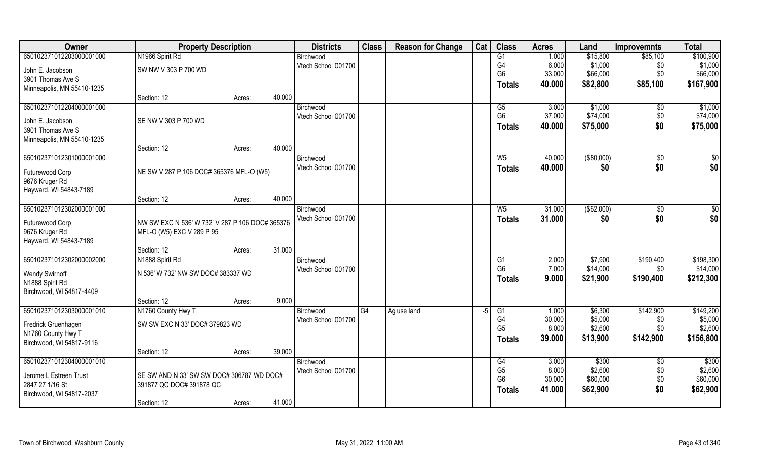| Owner                      | <b>Property Description</b>                     |        |        | <b>Districts</b>    | <b>Class</b> | <b>Reason for Change</b> | Cat  | <b>Class</b>   | <b>Acres</b> | Land        | <b>Improvemnts</b> | <b>Total</b>    |
|----------------------------|-------------------------------------------------|--------|--------|---------------------|--------------|--------------------------|------|----------------|--------------|-------------|--------------------|-----------------|
| 650102371012203000001000   | N1966 Spirit Rd                                 |        |        | Birchwood           |              |                          |      | G1             | 1.000        | \$15,800    | \$85,100           | \$100,900       |
| John E. Jacobson           | SW NW V 303 P 700 WD                            |        |        | Vtech School 001700 |              |                          |      | G4             | 6.000        | \$1,000     | \$0                | \$1,000         |
| 3901 Thomas Ave S          |                                                 |        |        |                     |              |                          |      | G <sub>6</sub> | 33.000       | \$66,000    | \$0                | \$66,000        |
| Minneapolis, MN 55410-1235 |                                                 |        |        |                     |              |                          |      | <b>Totals</b>  | 40.000       | \$82,800    | \$85,100           | \$167,900       |
|                            | Section: 12                                     | Acres: | 40.000 |                     |              |                          |      |                |              |             |                    |                 |
| 650102371012204000001000   |                                                 |        |        | Birchwood           |              |                          |      | G5             | 3.000        | \$1,000     | \$0                | \$1,000         |
| John E. Jacobson           | SE NW V 303 P 700 WD                            |        |        | Vtech School 001700 |              |                          |      | G <sub>6</sub> | 37.000       | \$74,000    | \$0                | \$74,000        |
| 3901 Thomas Ave S          |                                                 |        |        |                     |              |                          |      | <b>Totals</b>  | 40.000       | \$75,000    | \$0                | \$75,000        |
| Minneapolis, MN 55410-1235 |                                                 |        |        |                     |              |                          |      |                |              |             |                    |                 |
|                            | Section: 12                                     | Acres: | 40.000 |                     |              |                          |      |                |              |             |                    |                 |
| 650102371012301000001000   |                                                 |        |        | Birchwood           |              |                          |      | W <sub>5</sub> | 40.000       | ( \$80,000) | $\overline{50}$    | $\overline{50}$ |
| Futurewood Corp            | NE SW V 287 P 106 DOC# 365376 MFL-O (W5)        |        |        | Vtech School 001700 |              |                          |      | <b>Totals</b>  | 40.000       | \$0         | \$0                | \$0             |
| 9676 Kruger Rd             |                                                 |        |        |                     |              |                          |      |                |              |             |                    |                 |
| Hayward, WI 54843-7189     |                                                 |        |        |                     |              |                          |      |                |              |             |                    |                 |
|                            | Section: 12                                     | Acres: | 40.000 |                     |              |                          |      |                |              |             |                    |                 |
| 650102371012302000001000   |                                                 |        |        | Birchwood           |              |                          |      | W <sub>5</sub> | 31.000       | ( \$62,000) | \$0                | \$0             |
| Futurewood Corp            | NW SW EXC N 536' W 732' V 287 P 106 DOC# 365376 |        |        | Vtech School 001700 |              |                          |      | <b>Totals</b>  | 31.000       | \$0         | \$0                | \$0             |
| 9676 Kruger Rd             | MFL-O (W5) EXC V 289 P 95                       |        |        |                     |              |                          |      |                |              |             |                    |                 |
| Hayward, WI 54843-7189     |                                                 |        |        |                     |              |                          |      |                |              |             |                    |                 |
|                            | Section: 12                                     | Acres: | 31.000 |                     |              |                          |      |                |              |             |                    |                 |
| 650102371012302000002000   | N1888 Spirit Rd                                 |        |        | Birchwood           |              |                          |      | G1             | 2.000        | \$7,900     | \$190,400          | \$198,300       |
| <b>Wendy Swirnoff</b>      | N 536' W 732' NW SW DOC# 383337 WD              |        |        | Vtech School 001700 |              |                          |      | G <sub>6</sub> | 7.000        | \$14,000    | \$0                | \$14,000        |
| N1888 Spirit Rd            |                                                 |        |        |                     |              |                          |      | <b>Totals</b>  | 9.000        | \$21,900    | \$190,400          | \$212,300       |
| Birchwood, WI 54817-4409   |                                                 |        |        |                     |              |                          |      |                |              |             |                    |                 |
|                            | Section: 12                                     | Acres: | 9.000  |                     |              |                          |      |                |              |             |                    |                 |
| 650102371012303000001010   | N1760 County Hwy T                              |        |        | Birchwood           | G4           | Ag use land              | $-5$ | G1             | 1.000        | \$6,300     | \$142,900          | \$149,200       |
| Fredrick Gruenhagen        | SW SW EXC N 33' DOC# 379823 WD                  |        |        | Vtech School 001700 |              |                          |      | G4             | 30.000       | \$5,000     | \$0                | \$5,000         |
| N1760 County Hwy T         |                                                 |        |        |                     |              |                          |      | G <sub>5</sub> | 8.000        | \$2,600     | \$0                | \$2,600         |
| Birchwood, WI 54817-9116   |                                                 |        |        |                     |              |                          |      | <b>Totals</b>  | 39,000       | \$13,900    | \$142,900          | \$156,800       |
|                            | Section: 12                                     | Acres: | 39.000 |                     |              |                          |      |                |              |             |                    |                 |
| 650102371012304000001010   |                                                 |        |        | Birchwood           |              |                          |      | G <sub>4</sub> | 3.000        | \$300       | \$0                | \$300           |
| Jerome L Estreen Trust     | SE SW AND N 33' SW SW DOC# 306787 WD DOC#       |        |        | Vtech School 001700 |              |                          |      | G <sub>5</sub> | 8.000        | \$2,600     | \$0                | \$2,600         |
| 2847 27 1/16 St            | 391877 QC DOC# 391878 QC                        |        |        |                     |              |                          |      | G <sub>6</sub> | 30.000       | \$60,000    | \$0                | \$60,000        |
| Birchwood, WI 54817-2037   |                                                 |        |        |                     |              |                          |      | <b>Totals</b>  | 41.000       | \$62,900    | \$0                | \$62,900        |
|                            | Section: 12                                     | Acres: | 41.000 |                     |              |                          |      |                |              |             |                    |                 |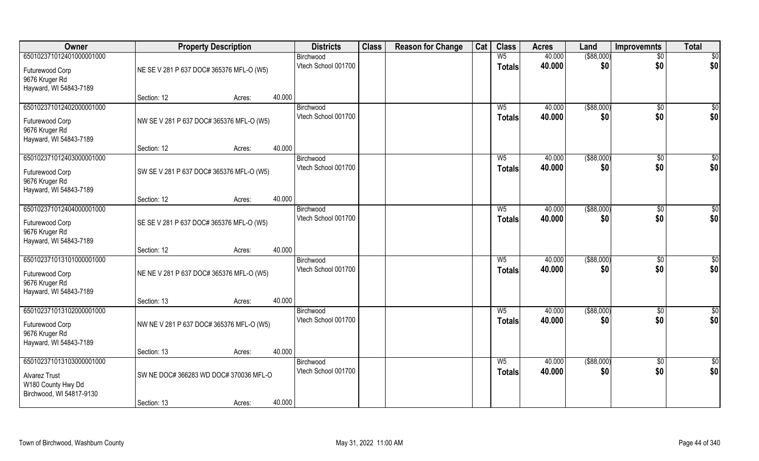| Owner                                    | <b>Property Description</b>              |                  | <b>Districts</b>                 | <b>Class</b> | <b>Reason for Change</b> | Cat | <b>Class</b>   | <b>Acres</b>     | Land               | <b>Improvemnts</b>   | <b>Total</b>     |
|------------------------------------------|------------------------------------------|------------------|----------------------------------|--------------|--------------------------|-----|----------------|------------------|--------------------|----------------------|------------------|
| 650102371012401000001000                 |                                          |                  | Birchwood                        |              |                          |     | W <sub>5</sub> | 40.000           | $($ \$88,000)      | $\overline{50}$      | \$0              |
| Futurewood Corp                          | NE SE V 281 P 637 DOC# 365376 MFL-O (W5) |                  | Vtech School 001700              |              |                          |     | <b>Totals</b>  | 40.000           | \$0                | \$0                  | \$0              |
| 9676 Kruger Rd<br>Hayward, WI 54843-7189 |                                          |                  |                                  |              |                          |     |                |                  |                    |                      |                  |
|                                          | Section: 12                              | 40.000<br>Acres: |                                  |              |                          |     |                |                  |                    |                      |                  |
| 650102371012402000001000                 |                                          |                  | Birchwood                        |              |                          |     | $W_5$          | 40.000           | ( \$88,000)        | $\overline{50}$      | \$0              |
| Futurewood Corp                          | NW SE V 281 P 637 DOC# 365376 MFL-O (W5) |                  | Vtech School 001700              |              |                          |     | <b>Totals</b>  | 40.000           | \$0                | \$0                  | \$0              |
| 9676 Kruger Rd                           |                                          |                  |                                  |              |                          |     |                |                  |                    |                      |                  |
| Hayward, WI 54843-7189                   |                                          |                  |                                  |              |                          |     |                |                  |                    |                      |                  |
| 650102371012403000001000                 | Section: 12                              | 40.000<br>Acres: | Birchwood                        |              |                          |     | W <sub>5</sub> | 40.000           | ( \$88,000)        | \$0                  | $\overline{50}$  |
|                                          |                                          |                  | Vtech School 001700              |              |                          |     | <b>Totals</b>  | 40.000           | \$0                | \$0                  | \$0              |
| Futurewood Corp                          | SW SE V 281 P 637 DOC# 365376 MFL-O (W5) |                  |                                  |              |                          |     |                |                  |                    |                      |                  |
| 9676 Kruger Rd<br>Hayward, WI 54843-7189 |                                          |                  |                                  |              |                          |     |                |                  |                    |                      |                  |
|                                          | Section: 12                              | 40.000<br>Acres: |                                  |              |                          |     |                |                  |                    |                      |                  |
| 650102371012404000001000                 |                                          |                  | Birchwood                        |              |                          |     | $W_5$          | 40.000           | $($ \$88,000)      | $\sqrt[6]{3}$        | $\overline{50}$  |
| Futurewood Corp                          | SE SE V 281 P 637 DOC# 365376 MFL-O (W5) |                  | Vtech School 001700              |              |                          |     | Totals         | 40.000           | \$0                | \$0                  | \$0              |
| 9676 Kruger Rd                           |                                          |                  |                                  |              |                          |     |                |                  |                    |                      |                  |
| Hayward, WI 54843-7189                   |                                          |                  |                                  |              |                          |     |                |                  |                    |                      |                  |
|                                          | Section: 12                              | 40.000<br>Acres: |                                  |              |                          |     |                |                  |                    |                      |                  |
| 650102371013101000001000                 |                                          |                  | Birchwood<br>Vtech School 001700 |              |                          |     | W <sub>5</sub> | 40.000<br>40.000 | ( \$88,000)<br>\$0 | $\sqrt[6]{3}$<br>\$0 | \$0<br>\$0       |
| Futurewood Corp                          | NE NE V 281 P 637 DOC# 365376 MFL-O (W5) |                  |                                  |              |                          |     | <b>Totals</b>  |                  |                    |                      |                  |
| 9676 Kruger Rd                           |                                          |                  |                                  |              |                          |     |                |                  |                    |                      |                  |
| Hayward, WI 54843-7189                   | Section: 13                              | 40.000<br>Acres: |                                  |              |                          |     |                |                  |                    |                      |                  |
| 650102371013102000001000                 |                                          |                  | Birchwood                        |              |                          |     | $W_5$          | 40.000           | ( \$88,000)        | \$0                  | $\frac{6}{3}$    |
| Futurewood Corp                          | NW NE V 281 P 637 DOC# 365376 MFL-O (W5) |                  | Vtech School 001700              |              |                          |     | <b>Totals</b>  | 40.000           | \$0                | \$0                  | \$0              |
| 9676 Kruger Rd                           |                                          |                  |                                  |              |                          |     |                |                  |                    |                      |                  |
| Hayward, WI 54843-7189                   |                                          |                  |                                  |              |                          |     |                |                  |                    |                      |                  |
|                                          | Section: 13                              | 40.000<br>Acres: |                                  |              |                          |     |                |                  |                    |                      |                  |
| 650102371013103000001000                 |                                          |                  | Birchwood                        |              |                          |     | $W_5$          | 40.000           | ( \$88,000)        | $\overline{50}$      | $\overline{\$0}$ |
| <b>Alvarez Trust</b>                     | SW NE DOC# 366283 WD DOC# 370036 MFL-O   |                  | Vtech School 001700              |              |                          |     | <b>Totals</b>  | 40.000           | \$0                | \$0                  | \$0              |
| W180 County Hwy Dd                       |                                          |                  |                                  |              |                          |     |                |                  |                    |                      |                  |
| Birchwood, WI 54817-9130                 | Section: 13                              | 40.000           |                                  |              |                          |     |                |                  |                    |                      |                  |
|                                          |                                          | Acres:           |                                  |              |                          |     |                |                  |                    |                      |                  |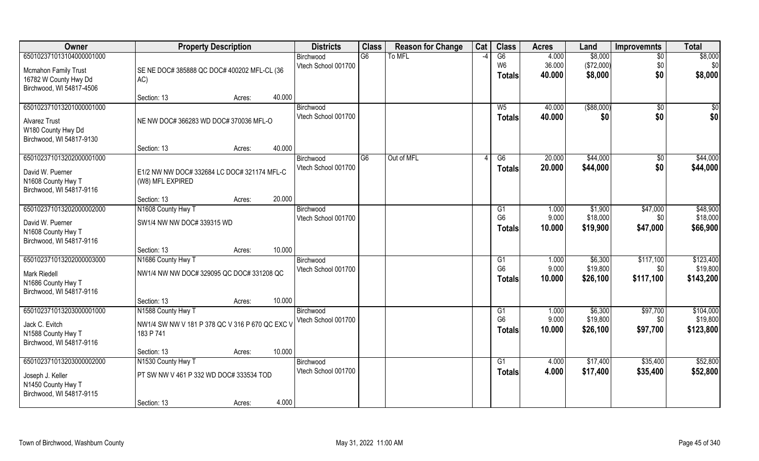| Owner                                          | <b>Property Description</b>                     | <b>Districts</b>                 | <b>Class</b> | <b>Reason for Change</b> | Cat                      | <b>Class</b>    | <b>Acres</b>     | Land                 | <b>Improvemnts</b>    | <b>Total</b>         |
|------------------------------------------------|-------------------------------------------------|----------------------------------|--------------|--------------------------|--------------------------|-----------------|------------------|----------------------|-----------------------|----------------------|
| 650102371013104000001000                       |                                                 | Birchwood                        | G6           | To MFL                   | $\overline{\phantom{a}}$ | $\overline{G6}$ | 4.000            | \$8,000              | $\overline{50}$       | \$8,000              |
| <b>Mcmahon Family Trust</b>                    | SE NE DOC# 385888 QC DOC# 400202 MFL-CL (36     | Vtech School 001700              |              |                          |                          | W <sub>6</sub>  | 36.000           | (\$72,000)           | \$0                   | \$0                  |
| 16782 W County Hwy Dd                          | AC)                                             |                                  |              |                          |                          | <b>Totals</b>   | 40.000           | \$8,000              | \$0                   | \$8,000              |
| Birchwood, WI 54817-4506                       |                                                 |                                  |              |                          |                          |                 |                  |                      |                       |                      |
|                                                | 40.000<br>Section: 13<br>Acres:                 |                                  |              |                          |                          |                 |                  |                      |                       |                      |
| 650102371013201000001000                       |                                                 | Birchwood                        |              |                          |                          | $W_5$           | 40.000           | ( \$88,000)          | $\overline{50}$       | $\frac{1}{6}$        |
| <b>Alvarez Trust</b>                           | NE NW DOC# 366283 WD DOC# 370036 MFL-O          | Vtech School 001700              |              |                          |                          | Totals          | 40.000           | \$0                  | \$0                   | \$0                  |
| W180 County Hwy Dd                             |                                                 |                                  |              |                          |                          |                 |                  |                      |                       |                      |
| Birchwood, WI 54817-9130                       |                                                 |                                  |              |                          |                          |                 |                  |                      |                       |                      |
|                                                | 40.000<br>Section: 13<br>Acres:                 |                                  |              |                          |                          |                 |                  |                      |                       |                      |
| 650102371013202000001000                       |                                                 | Birchwood<br>Vtech School 001700 | G6           | Out of MFL               |                          | G6              | 20.000<br>20.000 | \$44,000<br>\$44,000 | $\sqrt[6]{30}$<br>\$0 | \$44,000<br>\$44,000 |
| David W. Puerner                               | E1/2 NW NW DOC# 332684 LC DOC# 321174 MFL-C     |                                  |              |                          |                          | <b>Totals</b>   |                  |                      |                       |                      |
| N1608 County Hwy T                             | (W8) MFL EXPIRED                                |                                  |              |                          |                          |                 |                  |                      |                       |                      |
| Birchwood, WI 54817-9116                       | 20.000<br>Section: 13<br>Acres:                 |                                  |              |                          |                          |                 |                  |                      |                       |                      |
| 650102371013202000002000                       | N1608 County Hwy T                              | Birchwood                        |              |                          |                          | G1              | 1.000            | \$1,900              | \$47,000              | \$48,900             |
|                                                |                                                 | Vtech School 001700              |              |                          |                          | G <sub>6</sub>  | 9.000            | \$18,000             | \$0                   | \$18,000             |
| David W. Puerner                               | SW1/4 NW NW DOC# 339315 WD                      |                                  |              |                          |                          | <b>Totals</b>   | 10.000           | \$19,900             | \$47,000              | \$66,900             |
| N1608 County Hwy T<br>Birchwood, WI 54817-9116 |                                                 |                                  |              |                          |                          |                 |                  |                      |                       |                      |
|                                                | 10.000<br>Section: 13<br>Acres:                 |                                  |              |                          |                          |                 |                  |                      |                       |                      |
| 650102371013202000003000                       | N1686 County Hwy T                              | Birchwood                        |              |                          |                          | G <sub>1</sub>  | 1.000            | \$6,300              | \$117,100             | \$123,400            |
| <b>Mark Riedell</b>                            | NW1/4 NW NW DOC# 329095 QC DOC# 331208 QC       | Vtech School 001700              |              |                          |                          | G <sub>6</sub>  | 9.000            | \$19,800             | \$0                   | \$19,800             |
| N1686 County Hwy T                             |                                                 |                                  |              |                          |                          | Totals          | 10.000           | \$26,100             | \$117,100             | \$143,200            |
| Birchwood, WI 54817-9116                       |                                                 |                                  |              |                          |                          |                 |                  |                      |                       |                      |
|                                                | 10.000<br>Section: 13<br>Acres:                 |                                  |              |                          |                          |                 |                  |                      |                       |                      |
| 650102371013203000001000                       | N1588 County Hwy T                              | Birchwood                        |              |                          |                          | G1              | 1.000            | \$6,300              | \$97,700              | \$104,000            |
| Jack C. Evitch                                 | NW1/4 SW NW V 181 P 378 QC V 316 P 670 QC EXC V | Vtech School 001700              |              |                          |                          | G <sub>6</sub>  | 9.000            | \$19,800             | \$0                   | \$19,800             |
| N1588 County Hwy T                             | 183 P 741                                       |                                  |              |                          |                          | <b>Totals</b>   | 10.000           | \$26,100             | \$97,700              | \$123,800            |
| Birchwood, WI 54817-9116                       |                                                 |                                  |              |                          |                          |                 |                  |                      |                       |                      |
|                                                | 10.000<br>Section: 13<br>Acres:                 |                                  |              |                          |                          |                 |                  |                      |                       |                      |
| 650102371013203000002000                       | N1530 County Hwy T                              | Birchwood                        |              |                          |                          | G1              | 4.000            | \$17,400             | \$35,400              | \$52,800             |
| Joseph J. Keller                               | PT SW NW V 461 P 332 WD DOC# 333534 TOD         | Vtech School 001700              |              |                          |                          | <b>Totals</b>   | 4.000            | \$17,400             | \$35,400              | \$52,800             |
| N1450 County Hwy T                             |                                                 |                                  |              |                          |                          |                 |                  |                      |                       |                      |
| Birchwood, WI 54817-9115                       |                                                 |                                  |              |                          |                          |                 |                  |                      |                       |                      |
|                                                | 4.000<br>Section: 13<br>Acres:                  |                                  |              |                          |                          |                 |                  |                      |                       |                      |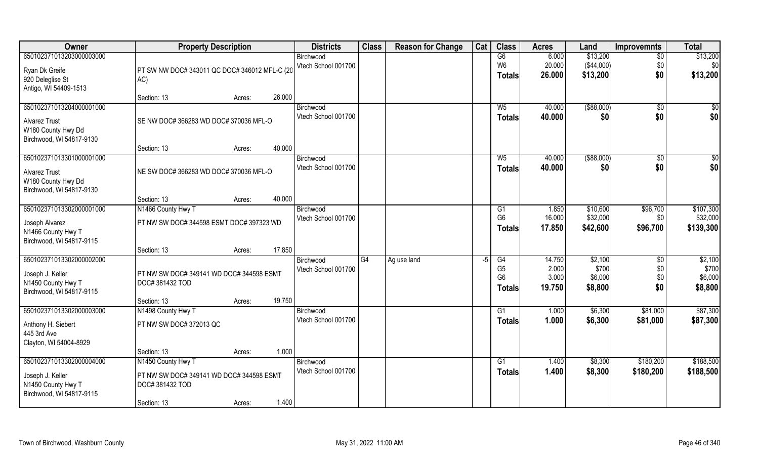| \$13,200<br>\$13,200<br>650102371013203000003000<br>G6<br>6.000<br>$\overline{50}$<br>Birchwood<br>20.000<br>( \$44,000)<br>Vtech School 001700<br>W <sub>6</sub><br>\$0<br>\$0<br>PT SW NW DOC# 343011 QC DOC# 346012 MFL-C (20<br>Ryan Dk Greife<br>\$0<br>\$13,200<br>\$13,200<br>26.000<br><b>Totals</b><br>920 Deleglise St<br>AC)<br>Antigo, WI 54409-1513<br>26.000<br>Section: 13<br>Acres:<br>( \$88,000)<br>650102371013204000001000<br>40.000<br>Birchwood<br>$W_5$<br>\$0<br>\$0<br>\$0<br>Vtech School 001700<br>\$0<br>40.000<br>\$0<br>Totals<br>SE NW DOC# 366283 WD DOC# 370036 MFL-O<br><b>Alvarez Trust</b><br>W180 County Hwy Dd<br>Birchwood, WI 54817-9130<br>40.000<br>Section: 13<br>Acres:<br>650102371013301000001000<br>$($ \$88,000)<br>\$0<br>40.000<br>$\sqrt{6}$<br>$W_5$<br>Birchwood<br>\$0<br>\$0<br>Vtech School 001700<br>\$0<br>40.000<br><b>Totals</b><br>NE SW DOC# 366283 WD DOC# 370036 MFL-O<br><b>Alvarez Trust</b><br>W180 County Hwy Dd<br>Birchwood, WI 54817-9130<br>40.000<br>Section: 13<br>Acres:<br>650102371013302000001000<br>\$96,700<br>\$107,300<br>N1466 County Hwy T<br>1.850<br>\$10,600<br>Birchwood<br>G <sub>1</sub><br>G <sub>6</sub><br>16.000<br>\$32,000<br>\$32,000<br>Vtech School 001700<br>\$0<br>PT NW SW DOC# 344598 ESMT DOC# 397323 WD<br>Joseph Alvarez<br>\$96,700<br>\$139,300<br>17.850<br>\$42,600<br><b>Totals</b><br>N1466 County Hwy T<br>Birchwood, WI 54817-9115<br>17.850<br>Section: 13<br>Acres:<br>\$2,100<br>650102371013302000002000<br>14.750<br>\$2,100<br>G4<br>G4<br>\$0<br>Ag use land<br>-5<br>Birchwood<br>G <sub>5</sub><br>\$700<br>2.000<br>\$700<br>\$0<br>Vtech School 001700<br>Joseph J. Keller<br>PT NW SW DOC# 349141 WD DOC# 344598 ESMT<br>G <sub>6</sub><br>\$0<br>3.000<br>\$6,000<br>\$6,000<br>N1450 County Hwy T<br>DOC#381432 TOD<br>\$0<br>\$8,800<br>19.750<br>\$8,800<br>Totals<br>Birchwood, WI 54817-9115<br>19.750<br>Section: 13<br>Acres: | Owner                    | <b>Property Description</b> | <b>Districts</b> | <b>Class</b> | <b>Reason for Change</b> | Cat | <b>Class</b> | <b>Acres</b> | Land    | <b>Improvemnts</b> | <b>Total</b> |
|---------------------------------------------------------------------------------------------------------------------------------------------------------------------------------------------------------------------------------------------------------------------------------------------------------------------------------------------------------------------------------------------------------------------------------------------------------------------------------------------------------------------------------------------------------------------------------------------------------------------------------------------------------------------------------------------------------------------------------------------------------------------------------------------------------------------------------------------------------------------------------------------------------------------------------------------------------------------------------------------------------------------------------------------------------------------------------------------------------------------------------------------------------------------------------------------------------------------------------------------------------------------------------------------------------------------------------------------------------------------------------------------------------------------------------------------------------------------------------------------------------------------------------------------------------------------------------------------------------------------------------------------------------------------------------------------------------------------------------------------------------------------------------------------------------------------------------------------------------------------------------------------------------------------------------------------------------------------|--------------------------|-----------------------------|------------------|--------------|--------------------------|-----|--------------|--------------|---------|--------------------|--------------|
|                                                                                                                                                                                                                                                                                                                                                                                                                                                                                                                                                                                                                                                                                                                                                                                                                                                                                                                                                                                                                                                                                                                                                                                                                                                                                                                                                                                                                                                                                                                                                                                                                                                                                                                                                                                                                                                                                                                                                                     |                          |                             |                  |              |                          |     |              |              |         |                    |              |
|                                                                                                                                                                                                                                                                                                                                                                                                                                                                                                                                                                                                                                                                                                                                                                                                                                                                                                                                                                                                                                                                                                                                                                                                                                                                                                                                                                                                                                                                                                                                                                                                                                                                                                                                                                                                                                                                                                                                                                     |                          |                             |                  |              |                          |     |              |              |         |                    |              |
|                                                                                                                                                                                                                                                                                                                                                                                                                                                                                                                                                                                                                                                                                                                                                                                                                                                                                                                                                                                                                                                                                                                                                                                                                                                                                                                                                                                                                                                                                                                                                                                                                                                                                                                                                                                                                                                                                                                                                                     |                          |                             |                  |              |                          |     |              |              |         |                    |              |
|                                                                                                                                                                                                                                                                                                                                                                                                                                                                                                                                                                                                                                                                                                                                                                                                                                                                                                                                                                                                                                                                                                                                                                                                                                                                                                                                                                                                                                                                                                                                                                                                                                                                                                                                                                                                                                                                                                                                                                     |                          |                             |                  |              |                          |     |              |              |         |                    |              |
|                                                                                                                                                                                                                                                                                                                                                                                                                                                                                                                                                                                                                                                                                                                                                                                                                                                                                                                                                                                                                                                                                                                                                                                                                                                                                                                                                                                                                                                                                                                                                                                                                                                                                                                                                                                                                                                                                                                                                                     |                          |                             |                  |              |                          |     |              |              |         |                    |              |
|                                                                                                                                                                                                                                                                                                                                                                                                                                                                                                                                                                                                                                                                                                                                                                                                                                                                                                                                                                                                                                                                                                                                                                                                                                                                                                                                                                                                                                                                                                                                                                                                                                                                                                                                                                                                                                                                                                                                                                     |                          |                             |                  |              |                          |     |              |              |         |                    |              |
|                                                                                                                                                                                                                                                                                                                                                                                                                                                                                                                                                                                                                                                                                                                                                                                                                                                                                                                                                                                                                                                                                                                                                                                                                                                                                                                                                                                                                                                                                                                                                                                                                                                                                                                                                                                                                                                                                                                                                                     |                          |                             |                  |              |                          |     |              |              |         |                    |              |
|                                                                                                                                                                                                                                                                                                                                                                                                                                                                                                                                                                                                                                                                                                                                                                                                                                                                                                                                                                                                                                                                                                                                                                                                                                                                                                                                                                                                                                                                                                                                                                                                                                                                                                                                                                                                                                                                                                                                                                     |                          |                             |                  |              |                          |     |              |              |         |                    |              |
|                                                                                                                                                                                                                                                                                                                                                                                                                                                                                                                                                                                                                                                                                                                                                                                                                                                                                                                                                                                                                                                                                                                                                                                                                                                                                                                                                                                                                                                                                                                                                                                                                                                                                                                                                                                                                                                                                                                                                                     |                          |                             |                  |              |                          |     |              |              |         |                    |              |
|                                                                                                                                                                                                                                                                                                                                                                                                                                                                                                                                                                                                                                                                                                                                                                                                                                                                                                                                                                                                                                                                                                                                                                                                                                                                                                                                                                                                                                                                                                                                                                                                                                                                                                                                                                                                                                                                                                                                                                     |                          |                             |                  |              |                          |     |              |              |         |                    |              |
|                                                                                                                                                                                                                                                                                                                                                                                                                                                                                                                                                                                                                                                                                                                                                                                                                                                                                                                                                                                                                                                                                                                                                                                                                                                                                                                                                                                                                                                                                                                                                                                                                                                                                                                                                                                                                                                                                                                                                                     |                          |                             |                  |              |                          |     |              |              |         |                    |              |
|                                                                                                                                                                                                                                                                                                                                                                                                                                                                                                                                                                                                                                                                                                                                                                                                                                                                                                                                                                                                                                                                                                                                                                                                                                                                                                                                                                                                                                                                                                                                                                                                                                                                                                                                                                                                                                                                                                                                                                     |                          |                             |                  |              |                          |     |              |              |         |                    |              |
|                                                                                                                                                                                                                                                                                                                                                                                                                                                                                                                                                                                                                                                                                                                                                                                                                                                                                                                                                                                                                                                                                                                                                                                                                                                                                                                                                                                                                                                                                                                                                                                                                                                                                                                                                                                                                                                                                                                                                                     |                          |                             |                  |              |                          |     |              |              |         |                    |              |
|                                                                                                                                                                                                                                                                                                                                                                                                                                                                                                                                                                                                                                                                                                                                                                                                                                                                                                                                                                                                                                                                                                                                                                                                                                                                                                                                                                                                                                                                                                                                                                                                                                                                                                                                                                                                                                                                                                                                                                     |                          |                             |                  |              |                          |     |              |              |         |                    |              |
|                                                                                                                                                                                                                                                                                                                                                                                                                                                                                                                                                                                                                                                                                                                                                                                                                                                                                                                                                                                                                                                                                                                                                                                                                                                                                                                                                                                                                                                                                                                                                                                                                                                                                                                                                                                                                                                                                                                                                                     |                          |                             |                  |              |                          |     |              |              |         |                    |              |
|                                                                                                                                                                                                                                                                                                                                                                                                                                                                                                                                                                                                                                                                                                                                                                                                                                                                                                                                                                                                                                                                                                                                                                                                                                                                                                                                                                                                                                                                                                                                                                                                                                                                                                                                                                                                                                                                                                                                                                     |                          |                             |                  |              |                          |     |              |              |         |                    |              |
|                                                                                                                                                                                                                                                                                                                                                                                                                                                                                                                                                                                                                                                                                                                                                                                                                                                                                                                                                                                                                                                                                                                                                                                                                                                                                                                                                                                                                                                                                                                                                                                                                                                                                                                                                                                                                                                                                                                                                                     |                          |                             |                  |              |                          |     |              |              |         |                    |              |
|                                                                                                                                                                                                                                                                                                                                                                                                                                                                                                                                                                                                                                                                                                                                                                                                                                                                                                                                                                                                                                                                                                                                                                                                                                                                                                                                                                                                                                                                                                                                                                                                                                                                                                                                                                                                                                                                                                                                                                     |                          |                             |                  |              |                          |     |              |              |         |                    |              |
|                                                                                                                                                                                                                                                                                                                                                                                                                                                                                                                                                                                                                                                                                                                                                                                                                                                                                                                                                                                                                                                                                                                                                                                                                                                                                                                                                                                                                                                                                                                                                                                                                                                                                                                                                                                                                                                                                                                                                                     |                          |                             |                  |              |                          |     |              |              |         |                    |              |
|                                                                                                                                                                                                                                                                                                                                                                                                                                                                                                                                                                                                                                                                                                                                                                                                                                                                                                                                                                                                                                                                                                                                                                                                                                                                                                                                                                                                                                                                                                                                                                                                                                                                                                                                                                                                                                                                                                                                                                     |                          |                             |                  |              |                          |     |              |              |         |                    |              |
|                                                                                                                                                                                                                                                                                                                                                                                                                                                                                                                                                                                                                                                                                                                                                                                                                                                                                                                                                                                                                                                                                                                                                                                                                                                                                                                                                                                                                                                                                                                                                                                                                                                                                                                                                                                                                                                                                                                                                                     |                          |                             |                  |              |                          |     |              |              |         |                    |              |
|                                                                                                                                                                                                                                                                                                                                                                                                                                                                                                                                                                                                                                                                                                                                                                                                                                                                                                                                                                                                                                                                                                                                                                                                                                                                                                                                                                                                                                                                                                                                                                                                                                                                                                                                                                                                                                                                                                                                                                     |                          |                             |                  |              |                          |     |              |              |         |                    |              |
|                                                                                                                                                                                                                                                                                                                                                                                                                                                                                                                                                                                                                                                                                                                                                                                                                                                                                                                                                                                                                                                                                                                                                                                                                                                                                                                                                                                                                                                                                                                                                                                                                                                                                                                                                                                                                                                                                                                                                                     |                          |                             |                  |              |                          |     |              |              |         |                    |              |
|                                                                                                                                                                                                                                                                                                                                                                                                                                                                                                                                                                                                                                                                                                                                                                                                                                                                                                                                                                                                                                                                                                                                                                                                                                                                                                                                                                                                                                                                                                                                                                                                                                                                                                                                                                                                                                                                                                                                                                     | 650102371013302000003000 | N1498 County Hwy T          | Birchwood        |              |                          |     | G1           | 1.000        | \$6,300 | \$81,000           | \$87,300     |
| \$87,300<br>Vtech School 001700<br>1.000<br>\$6,300<br>\$81,000<br><b>Totals</b><br>Anthony H. Siebert<br>PT NW SW DOC# 372013 QC                                                                                                                                                                                                                                                                                                                                                                                                                                                                                                                                                                                                                                                                                                                                                                                                                                                                                                                                                                                                                                                                                                                                                                                                                                                                                                                                                                                                                                                                                                                                                                                                                                                                                                                                                                                                                                   |                          |                             |                  |              |                          |     |              |              |         |                    |              |
| 445 3rd Ave                                                                                                                                                                                                                                                                                                                                                                                                                                                                                                                                                                                                                                                                                                                                                                                                                                                                                                                                                                                                                                                                                                                                                                                                                                                                                                                                                                                                                                                                                                                                                                                                                                                                                                                                                                                                                                                                                                                                                         |                          |                             |                  |              |                          |     |              |              |         |                    |              |
| Clayton, WI 54004-8929                                                                                                                                                                                                                                                                                                                                                                                                                                                                                                                                                                                                                                                                                                                                                                                                                                                                                                                                                                                                                                                                                                                                                                                                                                                                                                                                                                                                                                                                                                                                                                                                                                                                                                                                                                                                                                                                                                                                              |                          |                             |                  |              |                          |     |              |              |         |                    |              |
| 1.000<br>Section: 13<br>Acres:                                                                                                                                                                                                                                                                                                                                                                                                                                                                                                                                                                                                                                                                                                                                                                                                                                                                                                                                                                                                                                                                                                                                                                                                                                                                                                                                                                                                                                                                                                                                                                                                                                                                                                                                                                                                                                                                                                                                      |                          |                             |                  |              |                          |     |              |              |         |                    |              |
| 650102371013302000004000<br>\$180,200<br>\$188,500<br>N1450 County Hwy T<br>G1<br>1.400<br>\$8,300<br>Birchwood                                                                                                                                                                                                                                                                                                                                                                                                                                                                                                                                                                                                                                                                                                                                                                                                                                                                                                                                                                                                                                                                                                                                                                                                                                                                                                                                                                                                                                                                                                                                                                                                                                                                                                                                                                                                                                                     |                          |                             |                  |              |                          |     |              |              |         |                    |              |
| Vtech School 001700<br>\$8,300<br>1.400<br>\$180,200<br>\$188,500<br>Totals<br>Joseph J. Keller<br>PT NW SW DOC# 349141 WD DOC# 344598 ESMT                                                                                                                                                                                                                                                                                                                                                                                                                                                                                                                                                                                                                                                                                                                                                                                                                                                                                                                                                                                                                                                                                                                                                                                                                                                                                                                                                                                                                                                                                                                                                                                                                                                                                                                                                                                                                         |                          |                             |                  |              |                          |     |              |              |         |                    |              |
| N1450 County Hwy T<br>DOC#381432 TOD                                                                                                                                                                                                                                                                                                                                                                                                                                                                                                                                                                                                                                                                                                                                                                                                                                                                                                                                                                                                                                                                                                                                                                                                                                                                                                                                                                                                                                                                                                                                                                                                                                                                                                                                                                                                                                                                                                                                |                          |                             |                  |              |                          |     |              |              |         |                    |              |
| Birchwood, WI 54817-9115<br>1.400<br>Section: 13<br>Acres:                                                                                                                                                                                                                                                                                                                                                                                                                                                                                                                                                                                                                                                                                                                                                                                                                                                                                                                                                                                                                                                                                                                                                                                                                                                                                                                                                                                                                                                                                                                                                                                                                                                                                                                                                                                                                                                                                                          |                          |                             |                  |              |                          |     |              |              |         |                    |              |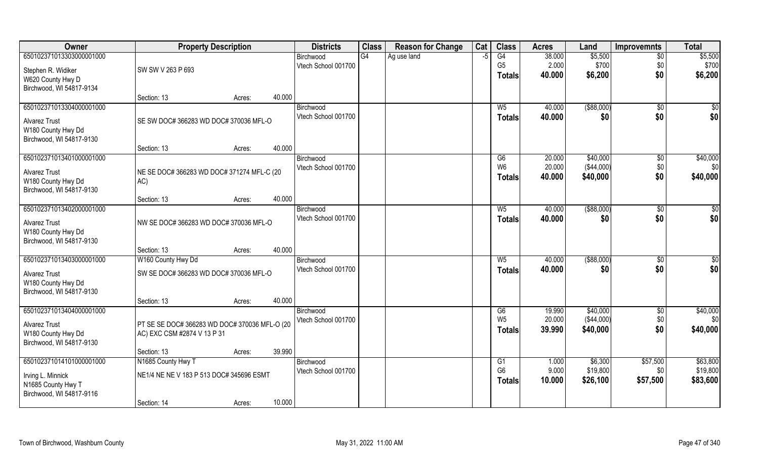| Owner                    | <b>Property Description</b>                   |                  | <b>Districts</b>    | <b>Class</b> | <b>Reason for Change</b> | Cat | <b>Class</b>   | <b>Acres</b> | Land          | <b>Improvemnts</b> | <b>Total</b> |
|--------------------------|-----------------------------------------------|------------------|---------------------|--------------|--------------------------|-----|----------------|--------------|---------------|--------------------|--------------|
| 650102371013303000001000 |                                               |                  | Birchwood           | G4           | Ag use land              | -5  | G4             | 38.000       | \$5,500       | $\overline{50}$    | \$5,500      |
| Stephen R. Widiker       | SW SW V 263 P 693                             |                  | Vtech School 001700 |              |                          |     | G <sub>5</sub> | 2.000        | \$700         | \$0                | \$700        |
| W620 County Hwy D        |                                               |                  |                     |              |                          |     | Totals         | 40.000       | \$6,200       | \$0                | \$6,200      |
| Birchwood, WI 54817-9134 |                                               |                  |                     |              |                          |     |                |              |               |                    |              |
|                          | Section: 13                                   | 40.000<br>Acres: |                     |              |                          |     |                |              |               |                    |              |
| 650102371013304000001000 |                                               |                  | Birchwood           |              |                          |     | $W_5$          | 40.000       | ( \$88,000)   | \$0                | \$0          |
| <b>Alvarez Trust</b>     | SE SW DOC# 366283 WD DOC# 370036 MFL-O        |                  | Vtech School 001700 |              |                          |     | Totals         | 40.000       | \$0           | \$0                | \$0          |
| W180 County Hwy Dd       |                                               |                  |                     |              |                          |     |                |              |               |                    |              |
| Birchwood, WI 54817-9130 |                                               |                  |                     |              |                          |     |                |              |               |                    |              |
|                          | Section: 13                                   | 40.000<br>Acres: |                     |              |                          |     |                |              |               |                    |              |
| 650102371013401000001000 |                                               |                  | Birchwood           |              |                          |     | G6             | 20.000       | \$40,000      | $\sqrt[6]{3}$      | \$40,000     |
| <b>Alvarez Trust</b>     | NE SE DOC# 366283 WD DOC# 371274 MFL-C (20    |                  | Vtech School 001700 |              |                          |     | W <sub>6</sub> | 20.000       | ( \$44,000)   | \$0                | \$0          |
| W180 County Hwy Dd       | AC)                                           |                  |                     |              |                          |     | <b>Totals</b>  | 40.000       | \$40,000      | \$0                | \$40,000     |
| Birchwood, WI 54817-9130 |                                               |                  |                     |              |                          |     |                |              |               |                    |              |
|                          | Section: 13                                   | 40.000<br>Acres: |                     |              |                          |     |                |              |               |                    |              |
| 650102371013402000001000 |                                               |                  | Birchwood           |              |                          |     | $W_5$          | 40.000       | ( \$88,000)   | \$0                | \$0          |
| <b>Alvarez Trust</b>     | NW SE DOC# 366283 WD DOC# 370036 MFL-O        |                  | Vtech School 001700 |              |                          |     | <b>Totals</b>  | 40.000       | \$0           | \$0                | \$0          |
| W180 County Hwy Dd       |                                               |                  |                     |              |                          |     |                |              |               |                    |              |
| Birchwood, WI 54817-9130 |                                               |                  |                     |              |                          |     |                |              |               |                    |              |
|                          | Section: 13                                   | 40.000<br>Acres: |                     |              |                          |     |                |              |               |                    |              |
| 650102371013403000001000 | W160 County Hwy Dd                            |                  | Birchwood           |              |                          |     | W <sub>5</sub> | 40.000       | $($ \$88,000) | \$0                | \$0          |
| <b>Alvarez Trust</b>     | SW SE DOC# 366283 WD DOC# 370036 MFL-O        |                  | Vtech School 001700 |              |                          |     | <b>Totals</b>  | 40.000       | \$0           | \$0                | \$0          |
| W180 County Hwy Dd       |                                               |                  |                     |              |                          |     |                |              |               |                    |              |
| Birchwood, WI 54817-9130 |                                               |                  |                     |              |                          |     |                |              |               |                    |              |
|                          | Section: 13                                   | 40.000<br>Acres: |                     |              |                          |     |                |              |               |                    |              |
| 650102371013404000001000 |                                               |                  | Birchwood           |              |                          |     | G6             | 19.990       | \$40,000      | $\sqrt{$0}$        | \$40,000     |
| <b>Alvarez Trust</b>     | PT SE SE DOC# 366283 WD DOC# 370036 MFL-O (20 |                  | Vtech School 001700 |              |                          |     | W <sub>5</sub> | 20.000       | ( \$44,000)   | \$0                | \$0          |
| W180 County Hwy Dd       | AC) EXC CSM #2874 V 13 P 31                   |                  |                     |              |                          |     | <b>Totals</b>  | 39.990       | \$40,000      | \$0                | \$40,000     |
| Birchwood, WI 54817-9130 |                                               |                  |                     |              |                          |     |                |              |               |                    |              |
|                          | Section: 13                                   | 39.990<br>Acres: |                     |              |                          |     |                |              |               |                    |              |
| 650102371014101000001000 | N1685 County Hwy T                            |                  | Birchwood           |              |                          |     | G1             | 1.000        | \$6,300       | \$57,500           | \$63,800     |
| Irving L. Minnick        | NE1/4 NE NE V 183 P 513 DOC# 345696 ESMT      |                  | Vtech School 001700 |              |                          |     | G <sub>6</sub> | 9.000        | \$19,800      | \$0                | \$19,800     |
| N1685 County Hwy T       |                                               |                  |                     |              |                          |     | <b>Totals</b>  | 10.000       | \$26,100      | \$57,500           | \$83,600     |
| Birchwood, WI 54817-9116 |                                               |                  |                     |              |                          |     |                |              |               |                    |              |
|                          | Section: 14                                   | 10.000<br>Acres: |                     |              |                          |     |                |              |               |                    |              |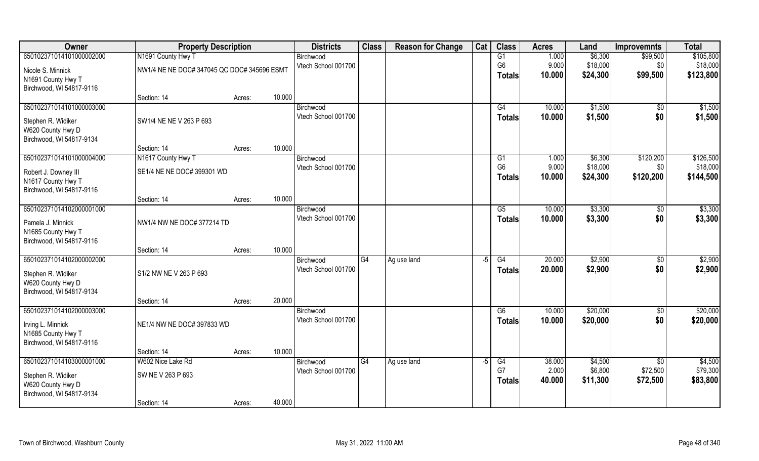| Owner                    | <b>Property Description</b>                 |        |        | <b>Districts</b>    | <b>Class</b> | <b>Reason for Change</b> | Cat  | <b>Class</b>   | <b>Acres</b> | Land     | <b>Improvemnts</b> | <b>Total</b> |
|--------------------------|---------------------------------------------|--------|--------|---------------------|--------------|--------------------------|------|----------------|--------------|----------|--------------------|--------------|
| 650102371014101000002000 | N1691 County Hwy T                          |        |        | Birchwood           |              |                          |      | G1             | 1.000        | \$6,300  | \$99,500           | \$105,800    |
| Nicole S. Minnick        | NW1/4 NE NE DOC# 347045 QC DOC# 345696 ESMT |        |        | Vtech School 001700 |              |                          |      | G <sub>6</sub> | 9.000        | \$18,000 | \$0                | \$18,000     |
| N1691 County Hwy T       |                                             |        |        |                     |              |                          |      | <b>Totals</b>  | 10.000       | \$24,300 | \$99,500           | \$123,800    |
| Birchwood, WI 54817-9116 |                                             |        |        |                     |              |                          |      |                |              |          |                    |              |
|                          | Section: 14                                 | Acres: | 10.000 |                     |              |                          |      |                |              |          |                    |              |
| 650102371014101000003000 |                                             |        |        | Birchwood           |              |                          |      | G4             | 10.000       | \$1,500  | \$0                | \$1,500      |
| Stephen R. Widiker       | SW1/4 NE NE V 263 P 693                     |        |        | Vtech School 001700 |              |                          |      | <b>Totals</b>  | 10.000       | \$1,500  | \$0                | \$1,500      |
| W620 County Hwy D        |                                             |        |        |                     |              |                          |      |                |              |          |                    |              |
| Birchwood, WI 54817-9134 |                                             |        |        |                     |              |                          |      |                |              |          |                    |              |
|                          | Section: 14                                 | Acres: | 10.000 |                     |              |                          |      |                |              |          |                    |              |
| 650102371014101000004000 | N1617 County Hwy T                          |        |        | Birchwood           |              |                          |      | G1             | 1.000        | \$6,300  | \$120,200          | \$126,500    |
| Robert J. Downey III     | SE1/4 NE NE DOC# 399301 WD                  |        |        | Vtech School 001700 |              |                          |      | G <sub>6</sub> | 9.000        | \$18,000 | \$0\$              | \$18,000     |
| N1617 County Hwy T       |                                             |        |        |                     |              |                          |      | <b>Totals</b>  | 10.000       | \$24,300 | \$120,200          | \$144,500    |
| Birchwood, WI 54817-9116 |                                             |        |        |                     |              |                          |      |                |              |          |                    |              |
|                          | Section: 14                                 | Acres: | 10.000 |                     |              |                          |      |                |              |          |                    |              |
| 650102371014102000001000 |                                             |        |        | Birchwood           |              |                          |      | G5             | 10.000       | \$3,300  | \$0                | \$3,300      |
| Pamela J. Minnick        | NW1/4 NW NE DOC# 377214 TD                  |        |        | Vtech School 001700 |              |                          |      | <b>Totals</b>  | 10.000       | \$3,300  | \$0                | \$3,300      |
| N1685 County Hwy T       |                                             |        |        |                     |              |                          |      |                |              |          |                    |              |
| Birchwood, WI 54817-9116 |                                             |        |        |                     |              |                          |      |                |              |          |                    |              |
|                          | Section: 14                                 | Acres: | 10.000 |                     |              |                          |      |                |              |          |                    |              |
| 650102371014102000002000 |                                             |        |        | Birchwood           | G4           | Ag use land              | $-5$ | G4             | 20.000       | \$2,900  | $\sqrt[6]{}$       | \$2,900      |
| Stephen R. Widiker       | S1/2 NW NE V 263 P 693                      |        |        | Vtech School 001700 |              |                          |      | <b>Totals</b>  | 20.000       | \$2,900  | \$0                | \$2,900      |
| W620 County Hwy D        |                                             |        |        |                     |              |                          |      |                |              |          |                    |              |
| Birchwood, WI 54817-9134 |                                             |        |        |                     |              |                          |      |                |              |          |                    |              |
|                          | Section: 14                                 | Acres: | 20.000 |                     |              |                          |      |                |              |          |                    |              |
| 650102371014102000003000 |                                             |        |        | Birchwood           |              |                          |      | G6             | 10.000       | \$20,000 | $\overline{50}$    | \$20,000     |
| Irving L. Minnick        | NE1/4 NW NE DOC# 397833 WD                  |        |        | Vtech School 001700 |              |                          |      | <b>Totals</b>  | 10.000       | \$20,000 | \$0                | \$20,000     |
| N1685 County Hwy T       |                                             |        |        |                     |              |                          |      |                |              |          |                    |              |
| Birchwood, WI 54817-9116 |                                             |        |        |                     |              |                          |      |                |              |          |                    |              |
|                          | Section: 14                                 | Acres: | 10.000 |                     |              |                          |      |                |              |          |                    |              |
| 650102371014103000001000 | W602 Nice Lake Rd                           |        |        | Birchwood           | G4           | Ag use land              | $-5$ | G4             | 38.000       | \$4,500  | $\overline{50}$    | \$4,500      |
| Stephen R. Widiker       | SW NE V 263 P 693                           |        |        | Vtech School 001700 |              |                          |      | G7             | 2.000        | \$6,800  | \$72,500           | \$79,300     |
| W620 County Hwy D        |                                             |        |        |                     |              |                          |      | <b>Totals</b>  | 40.000       | \$11,300 | \$72,500           | \$83,800     |
| Birchwood, WI 54817-9134 |                                             |        |        |                     |              |                          |      |                |              |          |                    |              |
|                          | Section: 14                                 | Acres: | 40.000 |                     |              |                          |      |                |              |          |                    |              |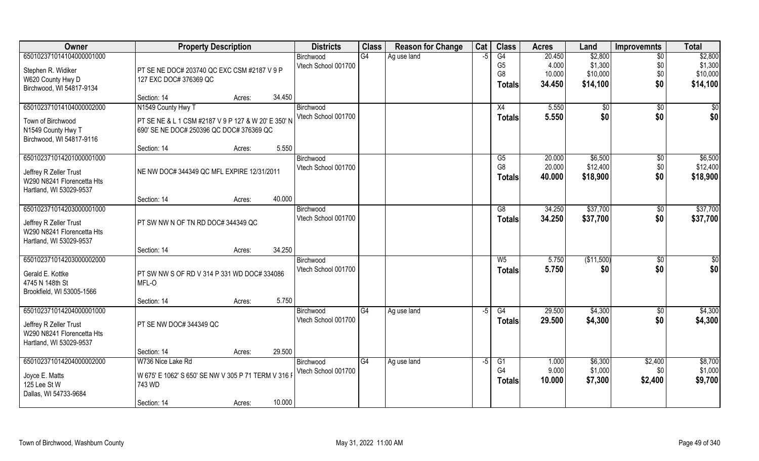| <b>Owner</b>               | <b>Property Description</b>                         | <b>Districts</b> | <b>Class</b>        | <b>Reason for Change</b> | Cat         | <b>Class</b> | <b>Acres</b>   | Land   | <b>Improvemnts</b> | <b>Total</b>    |          |
|----------------------------|-----------------------------------------------------|------------------|---------------------|--------------------------|-------------|--------------|----------------|--------|--------------------|-----------------|----------|
| 650102371014104000001000   |                                                     |                  | Birchwood           | G4                       | Ag use land | -5           | G4             | 20.450 | \$2,800            | $\overline{50}$ | \$2,800  |
| Stephen R. Widiker         | PT SE NE DOC# 203740 QC EXC CSM #2187 V 9 P         |                  | Vtech School 001700 |                          |             |              | G <sub>5</sub> | 4.000  | \$1,300            | \$0             | \$1,300  |
| W620 County Hwy D          | 127 EXC DOC# 376369 QC                              |                  |                     |                          |             |              | G <sub>8</sub> | 10.000 | \$10,000           | \$0             | \$10,000 |
| Birchwood, WI 54817-9134   |                                                     |                  |                     |                          |             |              | <b>Totals</b>  | 34.450 | \$14,100           | \$0             | \$14,100 |
|                            | Section: 14                                         | 34.450<br>Acres: |                     |                          |             |              |                |        |                    |                 |          |
| 650102371014104000002000   | N1549 County Hwy T                                  |                  | Birchwood           |                          |             |              | X4             | 5.550  | \$0                | \$0             | \$0      |
| Town of Birchwood          | PT SE NE & L 1 CSM #2187 V 9 P 127 & W 20' E 350' N |                  | Vtech School 001700 |                          |             |              | Totals         | 5.550  | \$0                | \$0             | \$0      |
| N1549 County Hwy T         | 690' SE NE DOC# 250396 QC DOC# 376369 QC            |                  |                     |                          |             |              |                |        |                    |                 |          |
| Birchwood, WI 54817-9116   |                                                     |                  |                     |                          |             |              |                |        |                    |                 |          |
|                            | Section: 14                                         | 5.550<br>Acres:  |                     |                          |             |              |                |        |                    |                 |          |
| 650102371014201000001000   |                                                     |                  | Birchwood           |                          |             |              | G <sub>5</sub> | 20.000 | \$6,500            | $\sqrt{6}$      | \$6,500  |
| Jeffrey R Zeller Trust     | NE NW DOC# 344349 QC MFL EXPIRE 12/31/2011          |                  | Vtech School 001700 |                          |             |              | G <sub>8</sub> | 20.000 | \$12,400           | \$0             | \$12,400 |
| W290 N8241 Florencetta Hts |                                                     |                  |                     |                          |             |              | <b>Totals</b>  | 40.000 | \$18,900           | \$0             | \$18,900 |
| Hartland, WI 53029-9537    |                                                     |                  |                     |                          |             |              |                |        |                    |                 |          |
|                            | Section: 14                                         | 40.000<br>Acres: |                     |                          |             |              |                |        |                    |                 |          |
| 650102371014203000001000   |                                                     |                  | Birchwood           |                          |             |              | G8             | 34.250 | \$37,700           | \$0             | \$37,700 |
| Jeffrey R Zeller Trust     | PT SW NW N OF TN RD DOC# 344349 QC                  |                  | Vtech School 001700 |                          |             |              | <b>Totals</b>  | 34.250 | \$37,700           | \$0             | \$37,700 |
| W290 N8241 Florencetta Hts |                                                     |                  |                     |                          |             |              |                |        |                    |                 |          |
| Hartland, WI 53029-9537    |                                                     |                  |                     |                          |             |              |                |        |                    |                 |          |
|                            | Section: 14                                         | 34.250<br>Acres: |                     |                          |             |              |                |        |                    |                 |          |
| 650102371014203000002000   |                                                     |                  | Birchwood           |                          |             |              | W <sub>5</sub> | 5.750  | (\$11,500)         | \$0             | \$0      |
| Gerald E. Kottke           | PT SW NW S OF RD V 314 P 331 WD DOC# 334086         |                  | Vtech School 001700 |                          |             |              | <b>Totals</b>  | 5.750  | \$0                | \$0             | \$0      |
| 4745 N 148th St            | MFL-O                                               |                  |                     |                          |             |              |                |        |                    |                 |          |
| Brookfield, WI 53005-1566  |                                                     |                  |                     |                          |             |              |                |        |                    |                 |          |
|                            | Section: 14                                         | 5.750<br>Acres:  |                     |                          |             |              |                |        |                    |                 |          |
| 650102371014204000001000   |                                                     |                  | Birchwood           | G4                       | Ag use land | $-5$         | G4             | 29.500 | \$4,300            | \$0             | \$4,300  |
|                            |                                                     |                  | Vtech School 001700 |                          |             |              | <b>Totals</b>  | 29.500 | \$4,300            | \$0             | \$4,300  |
| Jeffrey R Zeller Trust     | PT SE NW DOC# 344349 QC                             |                  |                     |                          |             |              |                |        |                    |                 |          |
| W290 N8241 Florencetta Hts |                                                     |                  |                     |                          |             |              |                |        |                    |                 |          |
| Hartland, WI 53029-9537    | Section: 14                                         | 29.500<br>Acres: |                     |                          |             |              |                |        |                    |                 |          |
| 650102371014204000002000   | W736 Nice Lake Rd                                   |                  | Birchwood           | G4                       | Ag use land | $-5$         | G <sub>1</sub> | 1.000  | \$6,300            | \$2,400         | \$8,700  |
|                            |                                                     |                  | Vtech School 001700 |                          |             |              | G <sub>4</sub> | 9.000  | \$1,000            | \$0             | \$1,000  |
| Joyce E. Matts             | W 675' E 1062' S 650' SE NW V 305 P 71 TERM V 316   |                  |                     |                          |             |              | <b>Totals</b>  | 10.000 | \$7,300            | \$2,400         | \$9,700  |
| 125 Lee St W               | 743 WD                                              |                  |                     |                          |             |              |                |        |                    |                 |          |
| Dallas, WI 54733-9684      |                                                     |                  |                     |                          |             |              |                |        |                    |                 |          |
|                            | Section: 14                                         | 10.000<br>Acres: |                     |                          |             |              |                |        |                    |                 |          |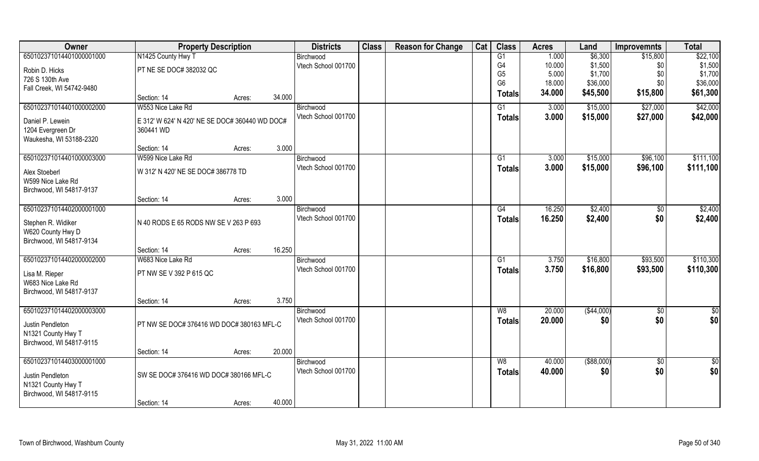| Owner                     | <b>Property Description</b>                    |                                                               |        | <b>Districts</b>    | <b>Class</b> | <b>Reason for Change</b> | Cat | <b>Class</b>   | <b>Acres</b> | Land        | <b>Improvemnts</b> | <b>Total</b>  |
|---------------------------|------------------------------------------------|---------------------------------------------------------------|--------|---------------------|--------------|--------------------------|-----|----------------|--------------|-------------|--------------------|---------------|
| 650102371014401000001000  | N1425 County Hwy T                             |                                                               |        | Birchwood           |              |                          |     | G1             | 1.000        | \$6,300     | \$15,800           | \$22,100      |
| Robin D. Hicks            | PT NE SE DOC# 382032 QC                        |                                                               |        | Vtech School 001700 |              |                          |     | G4             | 10.000       | \$1,500     | \$0                | \$1,500       |
| 726 S 130th Ave           |                                                |                                                               |        |                     |              |                          |     | G <sub>5</sub> | 5.000        | \$1,700     | \$0                | \$1,700       |
| Fall Creek, WI 54742-9480 |                                                |                                                               |        |                     |              |                          |     | G <sub>6</sub> | 18.000       | \$36,000    | \$0                | \$36,000      |
|                           | Section: 14                                    | Acres:                                                        | 34.000 |                     |              |                          |     | <b>Totals</b>  | 34.000       | \$45,500    | \$15,800           | \$61,300      |
| 650102371014401000002000  | W553 Nice Lake Rd                              |                                                               |        | Birchwood           |              |                          |     | G1             | 3.000        | \$15,000    | \$27,000           | \$42,000      |
| Daniel P. Lewein          | E 312' W 624' N 420' NE SE DOC# 360440 WD DOC# |                                                               |        | Vtech School 001700 |              |                          |     | <b>Totals</b>  | 3.000        | \$15,000    | \$27,000           | \$42,000      |
| 1204 Evergreen Dr         | 360441 WD                                      |                                                               |        |                     |              |                          |     |                |              |             |                    |               |
| Waukesha, WI 53188-2320   |                                                |                                                               |        |                     |              |                          |     |                |              |             |                    |               |
|                           | Section: 14                                    | Acres:                                                        | 3.000  |                     |              |                          |     |                |              |             |                    |               |
| 650102371014401000003000  | W599 Nice Lake Rd                              |                                                               |        | Birchwood           |              |                          |     | G1             | 3.000        | \$15,000    | \$96,100           | \$111,100     |
| Alex Stoeberl             | W 312' N 420' NE SE DOC# 386778 TD             |                                                               |        | Vtech School 001700 |              |                          |     | <b>Totals</b>  | 3.000        | \$15,000    | \$96,100           | \$111,100     |
| W599 Nice Lake Rd         |                                                |                                                               |        |                     |              |                          |     |                |              |             |                    |               |
| Birchwood, WI 54817-9137  |                                                |                                                               |        |                     |              |                          |     |                |              |             |                    |               |
|                           | Section: 14                                    | Acres:                                                        | 3.000  |                     |              |                          |     |                |              |             |                    |               |
| 650102371014402000001000  |                                                |                                                               |        | Birchwood           |              |                          |     | G4             | 16.250       | \$2,400     | $\sqrt[6]{}$       | \$2,400       |
| Stephen R. Widiker        | N 40 RODS E 65 RODS NW SE V 263 P 693          |                                                               |        | Vtech School 001700 |              |                          |     | <b>Totals</b>  | 16.250       | \$2,400     | \$0                | \$2,400       |
| W620 County Hwy D         |                                                |                                                               |        |                     |              |                          |     |                |              |             |                    |               |
| Birchwood, WI 54817-9134  |                                                |                                                               |        |                     |              |                          |     |                |              |             |                    |               |
|                           | Section: 14                                    | Acres:                                                        | 16.250 |                     |              |                          |     |                |              |             |                    |               |
| 650102371014402000002000  | W683 Nice Lake Rd                              |                                                               |        | Birchwood           |              |                          |     | G1             | 3.750        | \$16,800    | \$93,500           | \$110,300     |
| Lisa M. Rieper            | PT NW SE V 392 P 615 QC                        |                                                               |        | Vtech School 001700 |              |                          |     | <b>Totals</b>  | 3.750        | \$16,800    | \$93,500           | \$110,300     |
| W683 Nice Lake Rd         |                                                |                                                               |        |                     |              |                          |     |                |              |             |                    |               |
| Birchwood, WI 54817-9137  |                                                |                                                               |        |                     |              |                          |     |                |              |             |                    |               |
|                           | Section: 14                                    | Acres:                                                        | 3.750  |                     |              |                          |     |                |              |             |                    |               |
| 650102371014402000003000  |                                                |                                                               |        | Birchwood           |              |                          |     | W8             | 20.000       | (\$44,000)  | $\sqrt{6}$         | $\frac{1}{2}$ |
| Justin Pendleton          | PT NW SE DOC# 376416 WD DOC# 380163 MFL-C      |                                                               |        | Vtech School 001700 |              |                          |     | <b>Totals</b>  | 20.000       | \$0         | \$0                | \$0           |
| N1321 County Hwy T        |                                                |                                                               |        |                     |              |                          |     |                |              |             |                    |               |
| Birchwood, WI 54817-9115  |                                                |                                                               |        |                     |              |                          |     |                |              |             |                    |               |
|                           | Section: 14                                    | Acres:                                                        | 20.000 |                     |              |                          |     |                |              |             |                    |               |
| 650102371014403000001000  |                                                |                                                               |        | Birchwood           |              |                          |     | W8             | 40.000       | ( \$88,000) | $\overline{50}$    | $\frac{1}{2}$ |
| Justin Pendleton          |                                                | Vtech School 001700<br>SW SE DOC# 376416 WD DOC# 380166 MFL-C |        |                     |              |                          |     | <b>Totals</b>  | 40.000       | \$0         | \$0                | \$0           |
| N1321 County Hwy T        |                                                |                                                               |        |                     |              |                          |     |                |              |             |                    |               |
| Birchwood, WI 54817-9115  |                                                |                                                               |        |                     |              |                          |     |                |              |             |                    |               |
|                           | Section: 14                                    | Acres:                                                        | 40.000 |                     |              |                          |     |                |              |             |                    |               |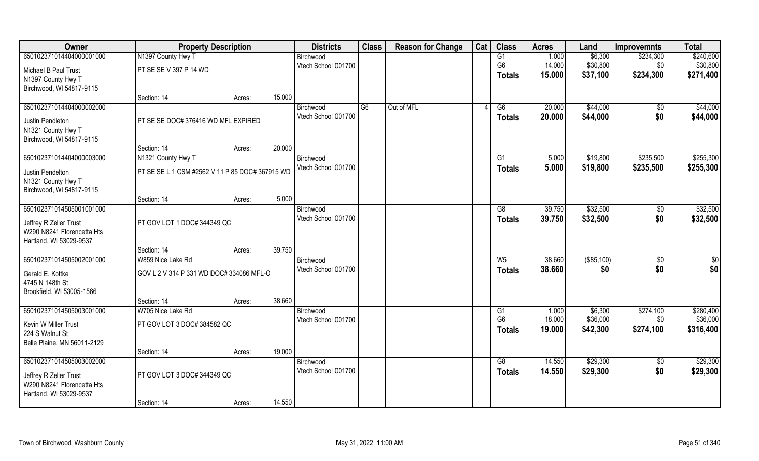| Owner                       | <b>Property Description</b>                     |                             |        | <b>Districts</b>    | <b>Class</b> | <b>Reason for Change</b> | Cat | <b>Class</b>   | <b>Acres</b> | Land         | <b>Improvemnts</b> | <b>Total</b> |
|-----------------------------|-------------------------------------------------|-----------------------------|--------|---------------------|--------------|--------------------------|-----|----------------|--------------|--------------|--------------------|--------------|
| 650102371014404000001000    | N1397 County Hwy T                              |                             |        | Birchwood           |              |                          |     | G1             | 1.000        | \$6,300      | \$234,300          | \$240,600    |
| Michael B Paul Trust        | PT SE SE V 397 P 14 WD                          |                             |        | Vtech School 001700 |              |                          |     | G <sub>6</sub> | 14.000       | \$30,800     | \$0                | \$30,800     |
| N1397 County Hwy T          |                                                 |                             |        |                     |              |                          |     | <b>Totals</b>  | 15.000       | \$37,100     | \$234,300          | \$271,400    |
| Birchwood, WI 54817-9115    |                                                 |                             |        |                     |              |                          |     |                |              |              |                    |              |
|                             | Section: 14                                     | Acres:                      | 15.000 |                     |              |                          |     |                |              |              |                    |              |
| 650102371014404000002000    |                                                 |                             |        | Birchwood           | G6           | Out of MFL               |     | G6             | 20.000       | \$44,000     | \$0                | \$44,000     |
| Justin Pendleton            | PT SE SE DOC# 376416 WD MFL EXPIRED             |                             |        | Vtech School 001700 |              |                          |     | <b>Totals</b>  | 20.000       | \$44,000     | \$0                | \$44,000     |
| N1321 County Hwy T          |                                                 |                             |        |                     |              |                          |     |                |              |              |                    |              |
| Birchwood, WI 54817-9115    |                                                 |                             |        |                     |              |                          |     |                |              |              |                    |              |
|                             | Section: 14                                     | Acres:                      | 20.000 |                     |              |                          |     |                |              |              |                    |              |
| 650102371014404000003000    | N1321 County Hwy T                              |                             |        | Birchwood           |              |                          |     | G1             | 5.000        | \$19,800     | \$235,500          | \$255,300    |
| Justin Pendelton            | PT SE SE L 1 CSM #2562 V 11 P 85 DOC# 367915 WD |                             |        | Vtech School 001700 |              |                          |     | <b>Totals</b>  | 5.000        | \$19,800     | \$235,500          | \$255,300    |
| N1321 County Hwy T          |                                                 |                             |        |                     |              |                          |     |                |              |              |                    |              |
| Birchwood, WI 54817-9115    |                                                 |                             |        |                     |              |                          |     |                |              |              |                    |              |
|                             | Section: 14                                     | Acres:                      | 5.000  |                     |              |                          |     |                |              |              |                    |              |
| 650102371014505001001000    |                                                 |                             |        | Birchwood           |              |                          |     | G8             | 39.750       | \$32,500     | \$0                | \$32,500     |
| Jeffrey R Zeller Trust      | PT GOV LOT 1 DOC# 344349 QC                     |                             |        | Vtech School 001700 |              |                          |     | <b>Totals</b>  | 39.750       | \$32,500     | \$0                | \$32,500     |
| W290 N8241 Florencetta Hts  |                                                 |                             |        |                     |              |                          |     |                |              |              |                    |              |
| Hartland, WI 53029-9537     |                                                 |                             |        |                     |              |                          |     |                |              |              |                    |              |
|                             | Section: 14                                     | Acres:                      | 39.750 |                     |              |                          |     |                |              |              |                    |              |
| 650102371014505002001000    | W859 Nice Lake Rd                               |                             |        | Birchwood           |              |                          |     | W <sub>5</sub> | 38.660       | ( \$85, 100) | \$0                | \$0          |
| Gerald E. Kottke            | GOV L 2 V 314 P 331 WD DOC# 334086 MFL-O        |                             |        | Vtech School 001700 |              |                          |     | <b>Totals</b>  | 38.660       | \$0          | \$0                | \$0          |
| 4745 N 148th St             |                                                 |                             |        |                     |              |                          |     |                |              |              |                    |              |
| Brookfield, WI 53005-1566   |                                                 |                             |        |                     |              |                          |     |                |              |              |                    |              |
|                             | Section: 14                                     | Acres:                      | 38.660 |                     |              |                          |     |                |              |              |                    |              |
| 650102371014505003001000    | W705 Nice Lake Rd                               |                             |        | Birchwood           |              |                          |     | G1             | 1.000        | \$6,300      | \$274,100          | \$280,400    |
| Kevin W Miller Trust        | PT GOV LOT 3 DOC# 384582 QC                     |                             |        | Vtech School 001700 |              |                          |     | G <sub>6</sub> | 18.000       | \$36,000     | \$0                | \$36,000     |
| 224 S Walnut St             |                                                 |                             |        |                     |              |                          |     | <b>Totals</b>  | 19.000       | \$42,300     | \$274,100          | \$316,400    |
| Belle Plaine, MN 56011-2129 |                                                 |                             |        |                     |              |                          |     |                |              |              |                    |              |
|                             | Section: 14                                     | Acres:                      | 19.000 |                     |              |                          |     |                |              |              |                    |              |
| 650102371014505003002000    |                                                 |                             |        | Birchwood           |              |                          |     | G8             | 14.550       | \$29,300     | $\overline{50}$    | \$29,300     |
| Jeffrey R Zeller Trust      |                                                 | PT GOV LOT 3 DOC# 344349 QC |        | Vtech School 001700 |              |                          |     | <b>Totals</b>  | 14.550       | \$29,300     | \$0                | \$29,300     |
| W290 N8241 Florencetta Hts  |                                                 |                             |        |                     |              |                          |     |                |              |              |                    |              |
| Hartland, WI 53029-9537     |                                                 |                             |        |                     |              |                          |     |                |              |              |                    |              |
|                             | Section: 14                                     | Acres:                      | 14.550 |                     |              |                          |     |                |              |              |                    |              |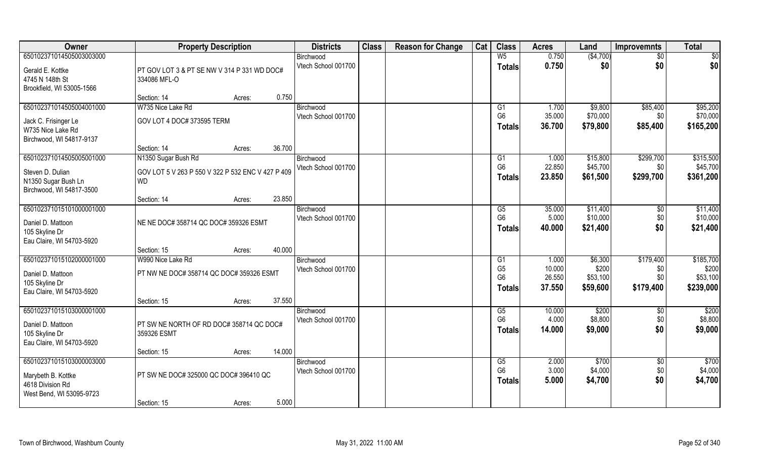| Owner                     | <b>Property Description</b>                       |                  | <b>Districts</b>    | <b>Class</b> | <b>Reason for Change</b> | Cat | <b>Class</b>   | <b>Acres</b> | Land                | <b>Improvemnts</b> | <b>Total</b> |
|---------------------------|---------------------------------------------------|------------------|---------------------|--------------|--------------------------|-----|----------------|--------------|---------------------|--------------------|--------------|
| 650102371014505003003000  |                                                   |                  | Birchwood           |              |                          |     | $W_5$          | 0.750        | ( \$4,700)          | \$0                | \$0          |
| Gerald E. Kottke          | PT GOV LOT 3 & PT SE NW V 314 P 331 WD DOC#       |                  | Vtech School 001700 |              |                          |     | <b>Totals</b>  | 0.750        | \$0                 | \$0                | \$0          |
| 4745 N 148th St           | 334086 MFL-O                                      |                  |                     |              |                          |     |                |              |                     |                    |              |
| Brookfield, WI 53005-1566 |                                                   |                  |                     |              |                          |     |                |              |                     |                    |              |
|                           | Section: 14                                       | 0.750<br>Acres:  |                     |              |                          |     |                |              |                     |                    |              |
| 650102371014505004001000  | W735 Nice Lake Rd                                 |                  | Birchwood           |              |                          |     | G1             | 1.700        | \$9,800             | \$85,400           | \$95,200     |
| Jack C. Frisinger Le      | GOV LOT 4 DOC# 373595 TERM                        |                  | Vtech School 001700 |              |                          |     | G <sub>6</sub> | 35.000       | \$70,000            | \$0                | \$70,000     |
| W735 Nice Lake Rd         |                                                   |                  |                     |              |                          |     | <b>Totals</b>  | 36.700       | \$79,800            | \$85,400           | \$165,200    |
| Birchwood, WI 54817-9137  |                                                   |                  |                     |              |                          |     |                |              |                     |                    |              |
|                           | Section: 14                                       | 36.700<br>Acres: |                     |              |                          |     |                |              |                     |                    |              |
| 650102371014505005001000  | N1350 Sugar Bush Rd                               |                  | Birchwood           |              |                          |     | G1             | 1.000        | \$15,800            | \$299,700          | \$315,500    |
| Steven D. Dulian          | GOV LOT 5 V 263 P 550 V 322 P 532 ENC V 427 P 409 |                  | Vtech School 001700 |              |                          |     | G <sub>6</sub> | 22.850       | \$45,700            | \$0                | \$45,700     |
| N1350 Sugar Bush Ln       | <b>WD</b>                                         |                  |                     |              |                          |     | <b>Totals</b>  | 23.850       | \$61,500            | \$299,700          | \$361,200    |
| Birchwood, WI 54817-3500  |                                                   |                  |                     |              |                          |     |                |              |                     |                    |              |
|                           | Section: 14                                       | 23.850<br>Acres: |                     |              |                          |     |                |              |                     |                    |              |
| 650102371015101000001000  |                                                   |                  | Birchwood           |              |                          |     | G5             | 35.000       | \$11,400            | \$0                | \$11,400     |
|                           |                                                   |                  | Vtech School 001700 |              |                          |     | G <sub>6</sub> | 5.000        | \$10,000            | \$0                | \$10,000     |
| Daniel D. Mattoon         | NE NE DOC# 358714 QC DOC# 359326 ESMT             |                  |                     |              |                          |     | <b>Totals</b>  | 40.000       | \$21,400            | \$0                | \$21,400     |
| 105 Skyline Dr            |                                                   |                  |                     |              |                          |     |                |              |                     |                    |              |
| Eau Claire, WI 54703-5920 | Section: 15                                       | 40.000           |                     |              |                          |     |                |              |                     |                    |              |
| 650102371015102000001000  | W990 Nice Lake Rd                                 | Acres:           | Birchwood           |              |                          |     | G1             | 1.000        | \$6,300             | \$179,400          | \$185,700    |
|                           |                                                   |                  | Vtech School 001700 |              |                          |     | G <sub>5</sub> | 10.000       | \$200               | \$0                | \$200        |
| Daniel D. Mattoon         | PT NW NE DOC# 358714 QC DOC# 359326 ESMT          |                  |                     |              |                          |     | G <sub>6</sub> | 26.550       | \$53,100            | \$0                | \$53,100     |
| 105 Skyline Dr            |                                                   |                  |                     |              |                          |     | <b>Totals</b>  | 37.550       | \$59,600            | \$179,400          | \$239,000    |
| Eau Claire, WI 54703-5920 |                                                   |                  |                     |              |                          |     |                |              |                     |                    |              |
|                           | Section: 15                                       | 37.550<br>Acres: |                     |              |                          |     |                |              |                     |                    |              |
| 650102371015103000001000  |                                                   |                  | Birchwood           |              |                          |     | G5             | 10.000       | $$200$ <sup>T</sup> | $\overline{50}$    | \$200        |
| Daniel D. Mattoon         | PT SW NE NORTH OF RD DOC# 358714 QC DOC#          |                  | Vtech School 001700 |              |                          |     | G <sub>6</sub> | 4.000        | \$8,800             | \$0                | \$8,800      |
| 105 Skyline Dr            | 359326 ESMT                                       |                  |                     |              |                          |     | <b>Totals</b>  | 14.000       | \$9,000             | \$0                | \$9,000      |
| Eau Claire, WI 54703-5920 |                                                   |                  |                     |              |                          |     |                |              |                     |                    |              |
|                           | Section: 15                                       | 14.000<br>Acres: |                     |              |                          |     |                |              |                     |                    |              |
| 650102371015103000003000  |                                                   |                  | Birchwood           |              |                          |     | G5             | 2.000        | \$700               | $\overline{60}$    | \$700        |
| Marybeth B. Kottke        | PT SW NE DOC# 325000 QC DOC# 396410 QC            |                  | Vtech School 001700 |              |                          |     | G <sub>6</sub> | 3.000        | \$4,000             | \$0                | \$4,000      |
| 4618 Division Rd          |                                                   |                  |                     |              |                          |     | <b>Totals</b>  | 5.000        | \$4,700             | \$0                | \$4,700      |
| West Bend, WI 53095-9723  |                                                   |                  |                     |              |                          |     |                |              |                     |                    |              |
|                           | Section: 15                                       | 5.000<br>Acres:  |                     |              |                          |     |                |              |                     |                    |              |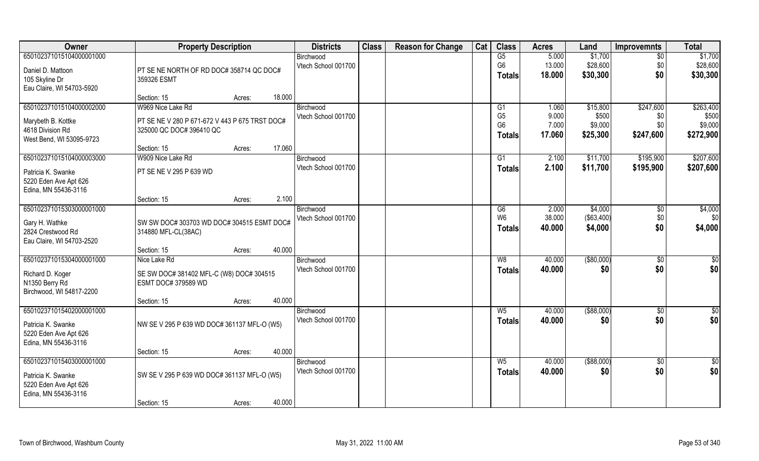| <b>Owner</b>                        | <b>Property Description</b>                                       |        |        | <b>Districts</b>                 | <b>Class</b> | <b>Reason for Change</b> | Cat | <b>Class</b>                     | <b>Acres</b>   | Land             | <b>Improvemnts</b> | <b>Total</b>     |
|-------------------------------------|-------------------------------------------------------------------|--------|--------|----------------------------------|--------------|--------------------------|-----|----------------------------------|----------------|------------------|--------------------|------------------|
| 650102371015104000001000            |                                                                   |        |        | Birchwood                        |              |                          |     | G5                               | 5.000          | \$1,700          | $\overline{50}$    | \$1,700          |
| Daniel D. Mattoon                   | PT SE NE NORTH OF RD DOC# 358714 QC DOC#                          |        |        | Vtech School 001700              |              |                          |     | G <sub>6</sub>                   | 13.000         | \$28,600         | \$0                | \$28,600         |
| 105 Skyline Dr                      | 359326 ESMT                                                       |        |        |                                  |              |                          |     | <b>Totals</b>                    | 18.000         | \$30,300         | \$0                | \$30,300         |
| Eau Claire, WI 54703-5920           |                                                                   |        |        |                                  |              |                          |     |                                  |                |                  |                    |                  |
|                                     | Section: 15                                                       | Acres: | 18.000 |                                  |              |                          |     |                                  |                |                  |                    |                  |
| 650102371015104000002000            | W969 Nice Lake Rd                                                 |        |        | Birchwood                        |              |                          |     | G <sub>1</sub>                   | 1.060          | \$15,800         | \$247,600          | \$263,400        |
| Marybeth B. Kottke                  | PT SE NE V 280 P 671-672 V 443 P 675 TRST DOC#                    |        |        | Vtech School 001700              |              |                          |     | G <sub>5</sub><br>G <sub>6</sub> | 9.000<br>7.000 | \$500<br>\$9,000 | \$0<br>\$0         | \$500<br>\$9,000 |
| 4618 Division Rd                    | 325000 QC DOC# 396410 QC                                          |        |        |                                  |              |                          |     | <b>Totals</b>                    | 17.060         | \$25,300         | \$247,600          | \$272,900        |
| West Bend, WI 53095-9723            |                                                                   |        |        |                                  |              |                          |     |                                  |                |                  |                    |                  |
| 650102371015104000003000            | Section: 15<br>W909 Nice Lake Rd                                  | Acres: | 17.060 |                                  |              |                          |     | G1                               | 2.100          | \$11,700         | \$195,900          | \$207,600        |
|                                     |                                                                   |        |        | Birchwood<br>Vtech School 001700 |              |                          |     | <b>Totals</b>                    | 2.100          | \$11,700         | \$195,900          | \$207,600        |
| Patricia K. Swanke                  | PT SE NE V 295 P 639 WD                                           |        |        |                                  |              |                          |     |                                  |                |                  |                    |                  |
| 5220 Eden Ave Apt 626               |                                                                   |        |        |                                  |              |                          |     |                                  |                |                  |                    |                  |
| Edina, MN 55436-3116                | Section: 15                                                       | Acres: | 2.100  |                                  |              |                          |     |                                  |                |                  |                    |                  |
| 650102371015303000001000            |                                                                   |        |        | Birchwood                        |              |                          |     | G6                               | 2.000          | \$4,000          | \$0                | \$4,000          |
|                                     |                                                                   |        |        | Vtech School 001700              |              |                          |     | W <sub>6</sub>                   | 38.000         | ( \$63,400)      | \$0                | \$0              |
| Gary H. Wathke<br>2824 Crestwood Rd | SW SW DOC# 303703 WD DOC# 304515 ESMT DOC#<br>314880 MFL-CL(38AC) |        |        |                                  |              |                          |     | <b>Totals</b>                    | 40.000         | \$4,000          | \$0                | \$4,000          |
| Eau Claire, WI 54703-2520           |                                                                   |        |        |                                  |              |                          |     |                                  |                |                  |                    |                  |
|                                     | Section: 15                                                       | Acres: | 40.000 |                                  |              |                          |     |                                  |                |                  |                    |                  |
| 650102371015304000001000            | Nice Lake Rd                                                      |        |        | Birchwood                        |              |                          |     | W8                               | 40.000         | ( \$80,000)      | $\sqrt[6]{30}$     | \$0              |
| Richard D. Koger                    | SE SW DOC# 381402 MFL-C (W8) DOC# 304515                          |        |        | Vtech School 001700              |              |                          |     | <b>Totals</b>                    | 40.000         | \$0              | \$0                | \$0              |
| N1350 Berry Rd                      | ESMT DOC# 379589 WD                                               |        |        |                                  |              |                          |     |                                  |                |                  |                    |                  |
| Birchwood, WI 54817-2200            |                                                                   |        |        |                                  |              |                          |     |                                  |                |                  |                    |                  |
|                                     | Section: 15                                                       | Acres: | 40.000 |                                  |              |                          |     |                                  |                |                  |                    |                  |
| 650102371015402000001000            |                                                                   |        |        | Birchwood                        |              |                          |     | $W_5$                            | 40.000         | ( \$88,000)      | \$0                | $\frac{6}{3}$    |
| Patricia K. Swanke                  | NW SE V 295 P 639 WD DOC# 361137 MFL-O (W5)                       |        |        | Vtech School 001700              |              |                          |     | <b>Totals</b>                    | 40.000         | \$0              | \$0                | \$0              |
| 5220 Eden Ave Apt 626               |                                                                   |        |        |                                  |              |                          |     |                                  |                |                  |                    |                  |
| Edina, MN 55436-3116                |                                                                   |        |        |                                  |              |                          |     |                                  |                |                  |                    |                  |
|                                     | Section: 15                                                       | Acres: | 40.000 |                                  |              |                          |     |                                  |                |                  |                    |                  |
| 650102371015403000001000            |                                                                   |        |        | Birchwood                        |              |                          |     | $W_5$                            | 40.000         | ( \$88,000)      | $\sqrt{$0}$        | $\overline{50}$  |
| Patricia K. Swanke                  | SW SE V 295 P 639 WD DOC# 361137 MFL-O (W5)                       |        |        | Vtech School 001700              |              |                          |     | <b>Totals</b>                    | 40.000         | \$0              | \$0                | \$0              |
| 5220 Eden Ave Apt 626               |                                                                   |        |        |                                  |              |                          |     |                                  |                |                  |                    |                  |
| Edina, MN 55436-3116                |                                                                   |        |        |                                  |              |                          |     |                                  |                |                  |                    |                  |
|                                     | Section: 15                                                       | Acres: | 40.000 |                                  |              |                          |     |                                  |                |                  |                    |                  |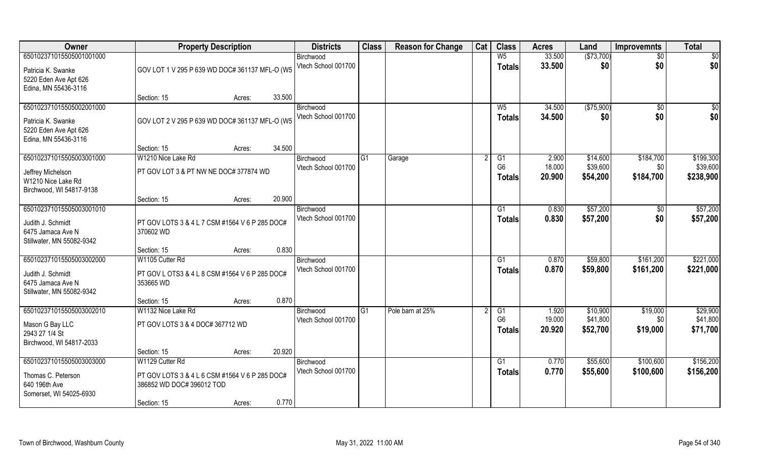| Owner                                                                                           | <b>Property Description</b>                                                                                   | <b>Districts</b> | <b>Class</b>                     | <b>Reason for Change</b> | Cat              | <b>Class</b> | <b>Acres</b>                          | Land                      | <b>Improvemnts</b>               | <b>Total</b>                  |                                    |
|-------------------------------------------------------------------------------------------------|---------------------------------------------------------------------------------------------------------------|------------------|----------------------------------|--------------------------|------------------|--------------|---------------------------------------|---------------------------|----------------------------------|-------------------------------|------------------------------------|
| 650102371015505001001000<br>Patricia K. Swanke<br>5220 Eden Ave Apt 626                         | GOV LOT 1 V 295 P 639 WD DOC# 361137 MFL-O (W5                                                                |                  | Birchwood<br>Vtech School 001700 |                          |                  |              | $W_5$<br><b>Totals</b>                | 33.500<br>33.500          | (\$73,700)<br>\$0                | $\sqrt{$0}$<br>\$0            | \$0<br>\$0                         |
| Edina, MN 55436-3116                                                                            | Section: 15                                                                                                   | 33.500<br>Acres: |                                  |                          |                  |              |                                       |                           |                                  |                               |                                    |
| 650102371015505002001000<br>Patricia K. Swanke<br>5220 Eden Ave Apt 626<br>Edina, MN 55436-3116 | GOV LOT 2 V 295 P 639 WD DOC# 361137 MFL-O (W5)                                                               |                  | Birchwood<br>Vtech School 001700 |                          |                  |              | $W_5$<br>Totals                       | 34.500<br>34.500          | (\$75,900)<br>\$0                | \$0<br>\$0                    | \$0<br>\$0                         |
|                                                                                                 | Section: 15                                                                                                   | 34.500<br>Acres: |                                  |                          |                  |              |                                       |                           |                                  |                               |                                    |
| 650102371015505003001000<br>Jeffrey Michelson<br>W1210 Nice Lake Rd<br>Birchwood, WI 54817-9138 | W1210 Nice Lake Rd<br>PT GOV LOT 3 & PT NW NE DOC# 377874 WD                                                  |                  | Birchwood<br>Vtech School 001700 | G1                       | Garage           |              | G1<br>G <sub>6</sub><br><b>Totals</b> | 2.900<br>18.000<br>20.900 | \$14,600<br>\$39,600<br>\$54,200 | \$184,700<br>\$0<br>\$184,700 | \$199,300<br>\$39,600<br>\$238,900 |
|                                                                                                 | Section: 15                                                                                                   | 20.900<br>Acres: |                                  |                          |                  |              |                                       |                           |                                  |                               |                                    |
| 650102371015505003001010<br>Judith J. Schmidt<br>6475 Jamaca Ave N<br>Stillwater, MN 55082-9342 | PT GOV LOTS 3 & 4 L 7 CSM #1564 V 6 P 285 DOC#<br>370602 WD                                                   |                  | Birchwood<br>Vtech School 001700 |                          |                  |              | G1<br><b>Totals</b>                   | 0.830<br>0.830            | \$57,200<br>\$57,200             | \$0<br>\$0                    | \$57,200<br>\$57,200               |
|                                                                                                 | Section: 15                                                                                                   | 0.830<br>Acres:  |                                  |                          |                  |              |                                       |                           |                                  |                               |                                    |
| 650102371015505003002000<br>Judith J. Schmidt<br>6475 Jamaca Ave N<br>Stillwater, MN 55082-9342 | W1105 Cutter Rd<br>PT GOV L OTS3 & 4 L 8 CSM #1564 V 6 P 285 DOC#<br>353665 WD                                |                  | Birchwood<br>Vtech School 001700 |                          |                  |              | G1<br><b>Totals</b>                   | 0.870<br>0.870            | \$59,800<br>\$59,800             | \$161,200<br>\$161,200        | \$221,000<br>\$221,000             |
|                                                                                                 | Section: 15                                                                                                   | 0.870<br>Acres:  |                                  |                          |                  |              |                                       |                           |                                  |                               |                                    |
| 650102371015505003002010<br>Mason G Bay LLC<br>2943 27 1/4 St<br>Birchwood, WI 54817-2033       | W1132 Nice Lake Rd<br>PT GOV LOTS 3 & 4 DOC# 367712 WD                                                        |                  | Birchwood<br>Vtech School 001700 | G1                       | Pole barn at 25% |              | G1<br>G <sub>6</sub><br>Totals        | 1.920<br>19.000<br>20.920 | \$10,900<br>\$41,800<br>\$52,700 | \$19,000<br>\$0<br>\$19,000   | \$29,900<br>\$41,800<br>\$71,700   |
|                                                                                                 | Section: 15                                                                                                   | 20.920<br>Acres: |                                  |                          |                  |              |                                       |                           |                                  |                               |                                    |
| 650102371015505003003000<br>Thomas C. Peterson<br>640 196th Ave<br>Somerset, WI 54025-6930      | W1129 Cutter Rd<br>PT GOV LOTS 3 & 4 L 6 CSM #1564 V 6 P 285 DOC#<br>386852 WD DOC# 396012 TOD<br>Section: 15 | 0.770<br>Acres:  | Birchwood<br>Vtech School 001700 |                          |                  |              | G1<br><b>Totals</b>                   | 0.770<br>0.770            | \$55,600<br>\$55,600             | \$100,600<br>\$100,600        | \$156,200<br>\$156,200             |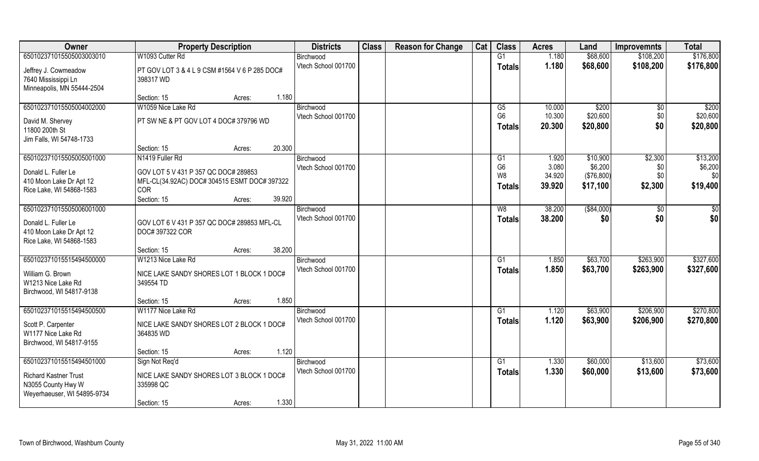| Owner                        | <b>Property Description</b>                   | <b>Districts</b>    | <b>Class</b> | <b>Reason for Change</b> | Cat | <b>Class</b>         | <b>Acres</b>     | Land        | <b>Improvemnts</b> | <b>Total</b>   |
|------------------------------|-----------------------------------------------|---------------------|--------------|--------------------------|-----|----------------------|------------------|-------------|--------------------|----------------|
| 650102371015505003003010     | W1093 Cutter Rd                               | Birchwood           |              |                          |     | G1                   | 1.180            | \$68,600    | \$108,200          | \$176,800      |
| Jeffrey J. Cowmeadow         | PT GOV LOT 3 & 4 L 9 CSM #1564 V 6 P 285 DOC# | Vtech School 001700 |              |                          |     | <b>Totals</b>        | 1.180            | \$68,600    | \$108,200          | \$176,800      |
| 7640 Mississippi Ln          | 398317 WD                                     |                     |              |                          |     |                      |                  |             |                    |                |
| Minneapolis, MN 55444-2504   |                                               |                     |              |                          |     |                      |                  |             |                    |                |
|                              | 1.180<br>Section: 15<br>Acres:                |                     |              |                          |     |                      |                  |             |                    |                |
| 650102371015505004002000     | W1059 Nice Lake Rd                            | Birchwood           |              |                          |     | G5                   | 10.000           | \$200       | \$0                | \$200          |
| David M. Shervey             | PT SW NE & PT GOV LOT 4 DOC# 379796 WD        | Vtech School 001700 |              |                          |     | G <sub>6</sub>       | 10.300           | \$20,600    | \$0                | \$20,600       |
| 11800 200th St               |                                               |                     |              |                          |     | <b>Totals</b>        | 20.300           | \$20,800    | \$0                | \$20,800       |
| Jim Falls, WI 54748-1733     |                                               |                     |              |                          |     |                      |                  |             |                    |                |
|                              | 20.300<br>Section: 15<br>Acres:               |                     |              |                          |     |                      |                  |             |                    |                |
| 650102371015505005001000     | N1419 Fuller Rd                               | Birchwood           |              |                          |     | G1                   | 1.920            | \$10,900    | \$2,300            | \$13,200       |
| Donald L. Fuller Le          | GOV LOT 5 V 431 P 357 QC DOC# 289853          | Vtech School 001700 |              |                          |     | G <sub>6</sub><br>W8 | 3.080            | \$6,200     | \$0                | \$6,200<br>\$0 |
| 410 Moon Lake Dr Apt 12      | MFL-CL(34.92AC) DOC# 304515 ESMT DOC# 397322  |                     |              |                          |     |                      | 34.920<br>39.920 | (\$76,800)  | \$0                |                |
| Rice Lake, WI 54868-1583     | <b>COR</b>                                    |                     |              |                          |     | <b>Totals</b>        |                  | \$17,100    | \$2,300            | \$19,400       |
|                              | 39.920<br>Section: 15<br>Acres:               |                     |              |                          |     |                      |                  |             |                    |                |
| 650102371015505006001000     |                                               | Birchwood           |              |                          |     | W8                   | 38.200           | ( \$84,000) | $\sqrt{50}$        | $\frac{6}{3}$  |
| Donald L. Fuller Le          | GOV LOT 6 V 431 P 357 QC DOC# 289853 MFL-CL   | Vtech School 001700 |              |                          |     | <b>Totals</b>        | 38.200           | \$0         | \$0                | \$0            |
| 410 Moon Lake Dr Apt 12      | DOC# 397322 COR                               |                     |              |                          |     |                      |                  |             |                    |                |
| Rice Lake, WI 54868-1583     |                                               |                     |              |                          |     |                      |                  |             |                    |                |
|                              | 38.200<br>Section: 15<br>Acres:               |                     |              |                          |     |                      |                  |             |                    |                |
| 650102371015515494500000     | W1213 Nice Lake Rd                            | Birchwood           |              |                          |     | G1                   | 1.850            | \$63,700    | \$263,900          | \$327,600      |
| William G. Brown             | NICE LAKE SANDY SHORES LOT 1 BLOCK 1 DOC#     | Vtech School 001700 |              |                          |     | <b>Totals</b>        | 1.850            | \$63,700    | \$263,900          | \$327,600      |
| W1213 Nice Lake Rd           | 349554 TD                                     |                     |              |                          |     |                      |                  |             |                    |                |
| Birchwood, WI 54817-9138     |                                               |                     |              |                          |     |                      |                  |             |                    |                |
|                              | 1.850<br>Section: 15<br>Acres:                |                     |              |                          |     |                      |                  |             |                    |                |
| 650102371015515494500500     | W1177 Nice Lake Rd                            | Birchwood           |              |                          |     | $\overline{G1}$      | 1.120            | \$63,900    | \$206,900          | \$270,800      |
| Scott P. Carpenter           | NICE LAKE SANDY SHORES LOT 2 BLOCK 1 DOC#     | Vtech School 001700 |              |                          |     | <b>Totals</b>        | 1.120            | \$63,900    | \$206,900          | \$270,800      |
| W1177 Nice Lake Rd           | 364835 WD                                     |                     |              |                          |     |                      |                  |             |                    |                |
| Birchwood, WI 54817-9155     |                                               |                     |              |                          |     |                      |                  |             |                    |                |
|                              | 1.120<br>Section: 15<br>Acres:                |                     |              |                          |     |                      |                  |             |                    |                |
| 650102371015515494501000     | Sign Not Reg'd                                | Birchwood           |              |                          |     | G1                   | 1.330            | \$60,000    | \$13,600           | \$73,600       |
| <b>Richard Kastner Trust</b> | NICE LAKE SANDY SHORES LOT 3 BLOCK 1 DOC#     | Vtech School 001700 |              |                          |     | <b>Totals</b>        | 1.330            | \$60,000    | \$13,600           | \$73,600       |
| N3055 County Hwy W           | 335998 QC                                     |                     |              |                          |     |                      |                  |             |                    |                |
| Weyerhaeuser, WI 54895-9734  |                                               |                     |              |                          |     |                      |                  |             |                    |                |
|                              | 1.330<br>Section: 15<br>Acres:                |                     |              |                          |     |                      |                  |             |                    |                |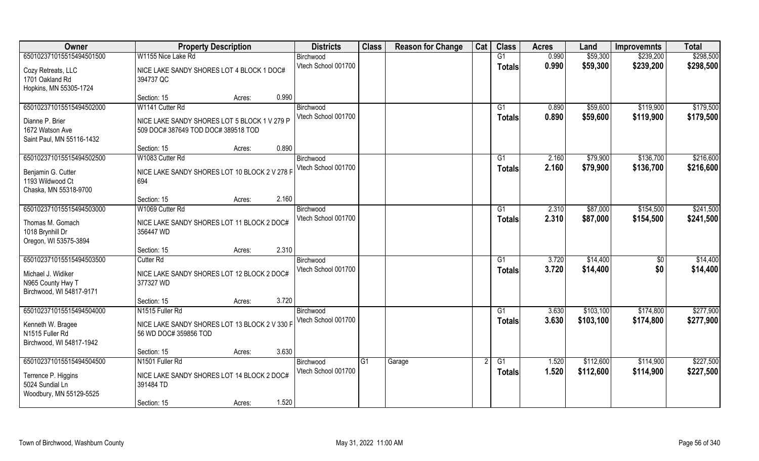| Owner                     | <b>Property Description</b>                   | <b>Districts</b>    | <b>Class</b> | <b>Reason for Change</b> | Cat | <b>Class</b>    | <b>Acres</b> | Land      | <b>Improvemnts</b> | <b>Total</b> |
|---------------------------|-----------------------------------------------|---------------------|--------------|--------------------------|-----|-----------------|--------------|-----------|--------------------|--------------|
| 650102371015515494501500  | W1155 Nice Lake Rd                            | Birchwood           |              |                          |     | G1              | 0.990        | \$59,300  | \$239,200          | \$298,500    |
| Cozy Retreats, LLC        | NICE LAKE SANDY SHORES LOT 4 BLOCK 1 DOC#     | Vtech School 001700 |              |                          |     | <b>Totals</b>   | 0.990        | \$59,300  | \$239,200          | \$298,500    |
| 1701 Oakland Rd           | 394737 QC                                     |                     |              |                          |     |                 |              |           |                    |              |
| Hopkins, MN 55305-1724    |                                               |                     |              |                          |     |                 |              |           |                    |              |
|                           | 0.990<br>Section: 15<br>Acres:                |                     |              |                          |     |                 |              |           |                    |              |
| 650102371015515494502000  | W1141 Cutter Rd                               | Birchwood           |              |                          |     | G <sub>1</sub>  | 0.890        | \$59,600  | \$119,900          | \$179,500    |
| Dianne P. Brier           | NICE LAKE SANDY SHORES LOT 5 BLOCK 1 V 279 P  | Vtech School 001700 |              |                          |     | <b>Totals</b>   | 0.890        | \$59,600  | \$119,900          | \$179,500    |
| 1672 Watson Ave           | 509 DOC# 387649 TOD DOC# 389518 TOD           |                     |              |                          |     |                 |              |           |                    |              |
| Saint Paul, MN 55116-1432 |                                               |                     |              |                          |     |                 |              |           |                    |              |
|                           | 0.890<br>Section: 15<br>Acres:                |                     |              |                          |     |                 |              |           |                    |              |
| 650102371015515494502500  | W1083 Cutter Rd                               | Birchwood           |              |                          |     | G1              | 2.160        | \$79,900  | \$136,700          | \$216,600    |
| Benjamin G. Cutter        | NICE LAKE SANDY SHORES LOT 10 BLOCK 2 V 278 F | Vtech School 001700 |              |                          |     | <b>Totals</b>   | 2.160        | \$79,900  | \$136,700          | \$216,600    |
| 1193 Wildwood Ct          | 694                                           |                     |              |                          |     |                 |              |           |                    |              |
| Chaska, MN 55318-9700     |                                               |                     |              |                          |     |                 |              |           |                    |              |
|                           | 2.160<br>Section: 15<br>Acres:                |                     |              |                          |     |                 |              |           |                    |              |
| 650102371015515494503000  | W1069 Cutter Rd                               | Birchwood           |              |                          |     | G1              | 2.310        | \$87,000  | \$154,500          | \$241,500    |
| Thomas M. Gomach          | NICE LAKE SANDY SHORES LOT 11 BLOCK 2 DOC#    | Vtech School 001700 |              |                          |     | <b>Totals</b>   | 2.310        | \$87,000  | \$154,500          | \$241,500    |
| 1018 Brynhill Dr          | 356447 WD                                     |                     |              |                          |     |                 |              |           |                    |              |
| Oregon, WI 53575-3894     |                                               |                     |              |                          |     |                 |              |           |                    |              |
|                           | 2.310<br>Section: 15<br>Acres:                |                     |              |                          |     |                 |              |           |                    |              |
| 650102371015515494503500  | <b>Cutter Rd</b>                              | Birchwood           |              |                          |     | G1              | 3.720        | \$14,400  | \$0                | \$14,400     |
| Michael J. Widiker        | NICE LAKE SANDY SHORES LOT 12 BLOCK 2 DOC#    | Vtech School 001700 |              |                          |     | <b>Totals</b>   | 3.720        | \$14,400  | \$0                | \$14,400     |
| N965 County Hwy T         | 377327 WD                                     |                     |              |                          |     |                 |              |           |                    |              |
| Birchwood, WI 54817-9171  |                                               |                     |              |                          |     |                 |              |           |                    |              |
|                           | 3.720<br>Section: 15<br>Acres:                |                     |              |                          |     |                 |              |           |                    |              |
| 650102371015515494504000  | N1515 Fuller Rd                               | Birchwood           |              |                          |     | $\overline{G1}$ | 3.630        | \$103,100 | \$174,800          | \$277,900    |
| Kenneth W. Bragee         | NICE LAKE SANDY SHORES LOT 13 BLOCK 2 V 330 F | Vtech School 001700 |              |                          |     | <b>Totals</b>   | 3.630        | \$103,100 | \$174,800          | \$277,900    |
| N1515 Fuller Rd           | 56 WD DOC# 359856 TOD                         |                     |              |                          |     |                 |              |           |                    |              |
| Birchwood, WI 54817-1942  |                                               |                     |              |                          |     |                 |              |           |                    |              |
|                           | 3.630<br>Section: 15<br>Acres:                |                     |              |                          |     |                 |              |           |                    |              |
| 650102371015515494504500  | N1501 Fuller Rd                               | Birchwood           | G1           | Garage                   |     | G1              | 1.520        | \$112,600 | \$114,900          | \$227,500    |
| Terrence P. Higgins       | NICE LAKE SANDY SHORES LOT 14 BLOCK 2 DOC#    | Vtech School 001700 |              |                          |     | <b>Totals</b>   | 1.520        | \$112,600 | \$114,900          | \$227,500    |
| 5024 Sundial Ln           | 391484 TD                                     |                     |              |                          |     |                 |              |           |                    |              |
| Woodbury, MN 55129-5525   |                                               |                     |              |                          |     |                 |              |           |                    |              |
|                           | 1.520<br>Section: 15<br>Acres:                |                     |              |                          |     |                 |              |           |                    |              |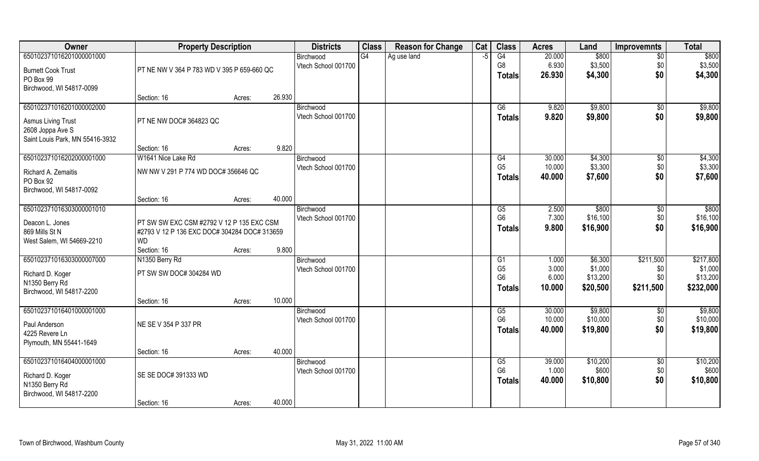| Owner                           | <b>Property Description</b>                  |        |        | <b>Districts</b>    | <b>Class</b> | <b>Reason for Change</b> | Cat  | <b>Class</b>                     | <b>Acres</b>   | Land                | <b>Improvemnts</b> | <b>Total</b>        |
|---------------------------------|----------------------------------------------|--------|--------|---------------------|--------------|--------------------------|------|----------------------------------|----------------|---------------------|--------------------|---------------------|
| 650102371016201000001000        |                                              |        |        | Birchwood           | G4           | Ag use land              | $-5$ | G4                               | 20.000         | \$800               | $\sqrt{6}$         | \$800               |
| <b>Burnett Cook Trust</b>       | PT NE NW V 364 P 783 WD V 395 P 659-660 QC   |        |        | Vtech School 001700 |              |                          |      | G <sub>8</sub>                   | 6.930          | \$3,500             | \$0                | \$3,500             |
| PO Box 99                       |                                              |        |        |                     |              |                          |      | <b>Totals</b>                    | 26.930         | \$4,300             | \$0                | \$4,300             |
| Birchwood, WI 54817-0099        |                                              |        |        |                     |              |                          |      |                                  |                |                     |                    |                     |
|                                 | Section: 16                                  | Acres: | 26.930 |                     |              |                          |      |                                  |                |                     |                    |                     |
| 650102371016201000002000        |                                              |        |        | Birchwood           |              |                          |      | G6                               | 9.820          | \$9,800             | $\sqrt{$0}$        | \$9,800             |
| <b>Asmus Living Trust</b>       | PT NE NW DOC# 364823 QC                      |        |        | Vtech School 001700 |              |                          |      | <b>Totals</b>                    | 9.820          | \$9,800             | \$0                | \$9,800             |
| 2608 Joppa Ave S                |                                              |        |        |                     |              |                          |      |                                  |                |                     |                    |                     |
| Saint Louis Park, MN 55416-3932 |                                              |        |        |                     |              |                          |      |                                  |                |                     |                    |                     |
|                                 | Section: 16                                  | Acres: | 9.820  |                     |              |                          |      |                                  |                |                     |                    |                     |
| 650102371016202000001000        | W1641 Nice Lake Rd                           |        |        | Birchwood           |              |                          |      | G4                               | 30.000         | \$4,300             | \$0                | \$4,300             |
| Richard A. Zemaitis             | NW NW V 291 P 774 WD DOC# 356646 QC          |        |        | Vtech School 001700 |              |                          |      | G <sub>5</sub>                   | 10.000         | \$3,300             | \$0                | \$3,300             |
| PO Box 92                       |                                              |        |        |                     |              |                          |      | Totals                           | 40.000         | \$7,600             | \$0                | \$7,600             |
| Birchwood, WI 54817-0092        |                                              |        |        |                     |              |                          |      |                                  |                |                     |                    |                     |
|                                 | Section: 16                                  | Acres: | 40.000 |                     |              |                          |      |                                  |                |                     |                    |                     |
| 650102371016303000001010        |                                              |        |        | Birchwood           |              |                          |      | G5                               | 2.500          | \$800               | $\sqrt[6]{3}$      | \$800               |
| Deacon L. Jones                 | PT SW SW EXC CSM #2792 V 12 P 135 EXC CSM    |        |        | Vtech School 001700 |              |                          |      | G <sub>6</sub>                   | 7.300          | \$16,100            | \$0                | \$16,100            |
| 869 Mills St N                  | #2793 V 12 P 136 EXC DOC# 304284 DOC# 313659 |        |        |                     |              |                          |      | <b>Totals</b>                    | 9.800          | \$16,900            | \$0                | \$16,900            |
| West Salem, WI 54669-2210       | <b>WD</b>                                    |        |        |                     |              |                          |      |                                  |                |                     |                    |                     |
|                                 | Section: 16                                  | Acres: | 9.800  |                     |              |                          |      |                                  |                |                     |                    |                     |
| 650102371016303000007000        | N1350 Berry Rd                               |        |        | Birchwood           |              |                          |      | G1                               | 1.000          | \$6,300             | \$211,500          | \$217,800           |
| Richard D. Koger                | PT SW SW DOC# 304284 WD                      |        |        | Vtech School 001700 |              |                          |      | G <sub>5</sub><br>G <sub>6</sub> | 3.000<br>6.000 | \$1,000<br>\$13,200 | \$0<br>\$0         | \$1,000<br>\$13,200 |
| N1350 Berry Rd                  |                                              |        |        |                     |              |                          |      | <b>Totals</b>                    | 10.000         | \$20,500            | \$211,500          | \$232,000           |
| Birchwood, WI 54817-2200        |                                              |        |        |                     |              |                          |      |                                  |                |                     |                    |                     |
|                                 | Section: 16                                  | Acres: | 10.000 |                     |              |                          |      |                                  |                |                     |                    |                     |
| 650102371016401000001000        |                                              |        |        | Birchwood           |              |                          |      | G5                               | 30.000         | \$9,800             | \$0                | \$9,800             |
| Paul Anderson                   | NE SE V 354 P 337 PR                         |        |        | Vtech School 001700 |              |                          |      | G <sub>6</sub>                   | 10.000         | \$10,000            | \$0                | \$10,000            |
| 4225 Revere Ln                  |                                              |        |        |                     |              |                          |      | <b>Totals</b>                    | 40.000         | \$19,800            | \$0                | \$19,800            |
| Plymouth, MN 55441-1649         |                                              |        |        |                     |              |                          |      |                                  |                |                     |                    |                     |
|                                 | Section: 16                                  | Acres: | 40.000 |                     |              |                          |      |                                  |                |                     |                    |                     |
| 650102371016404000001000        |                                              |        |        | Birchwood           |              |                          |      | G5                               | 39.000         | \$10,200            | $\sqrt{$0}$        | \$10,200            |
| Richard D. Koger                | SE SE DOC# 391333 WD                         |        |        | Vtech School 001700 |              |                          |      | G <sub>6</sub>                   | 1.000          | \$600               | \$0                | \$600               |
| N1350 Berry Rd                  |                                              |        |        |                     |              |                          |      | <b>Totals</b>                    | 40.000         | \$10,800            | \$0                | \$10,800            |
| Birchwood, WI 54817-2200        |                                              |        |        |                     |              |                          |      |                                  |                |                     |                    |                     |
|                                 | Section: 16                                  | Acres: | 40.000 |                     |              |                          |      |                                  |                |                     |                    |                     |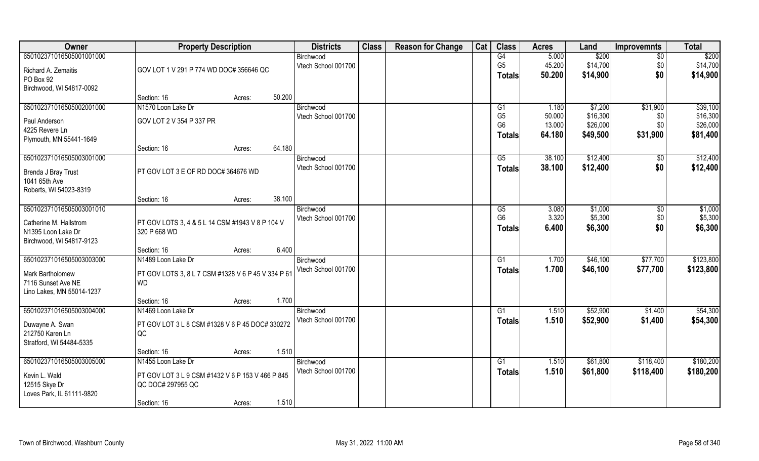| Owner                     | <b>Property Description</b>                        |                                                 |        | <b>Districts</b>                 | <b>Class</b> | <b>Reason for Change</b> | Cat | <b>Class</b>                     | <b>Acres</b>     | Land                 | <b>Improvemnts</b> | <b>Total</b>         |
|---------------------------|----------------------------------------------------|-------------------------------------------------|--------|----------------------------------|--------------|--------------------------|-----|----------------------------------|------------------|----------------------|--------------------|----------------------|
| 650102371016505001001000  |                                                    |                                                 |        | Birchwood                        |              |                          |     | G4                               | 5.000            | \$200                | $\overline{50}$    | \$200                |
| Richard A. Zemaitis       | GOV LOT 1 V 291 P 774 WD DOC# 356646 QC            |                                                 |        | Vtech School 001700              |              |                          |     | G <sub>5</sub>                   | 45.200           | \$14,700             | \$0                | \$14,700             |
| PO Box 92                 |                                                    |                                                 |        |                                  |              |                          |     | <b>Totals</b>                    | 50.200           | \$14,900             | \$0                | \$14,900             |
| Birchwood, WI 54817-0092  |                                                    |                                                 |        |                                  |              |                          |     |                                  |                  |                      |                    |                      |
|                           | Section: 16                                        | Acres:                                          | 50.200 |                                  |              |                          |     |                                  |                  |                      |                    |                      |
| 650102371016505002001000  | N1570 Loon Lake Dr                                 |                                                 |        | Birchwood                        |              |                          |     | G1                               | 1.180            | \$7,200              | \$31,900           | \$39,100             |
| Paul Anderson             | GOV LOT 2 V 354 P 337 PR                           |                                                 |        | Vtech School 001700              |              |                          |     | G <sub>5</sub><br>G <sub>6</sub> | 50.000<br>13.000 | \$16,300<br>\$26,000 | \$0<br>\$0         | \$16,300<br>\$26,000 |
| 4225 Revere Ln            |                                                    |                                                 |        |                                  |              |                          |     | <b>Totals</b>                    | 64.180           | \$49,500             | \$31,900           | \$81,400             |
| Plymouth, MN 55441-1649   |                                                    |                                                 |        |                                  |              |                          |     |                                  |                  |                      |                    |                      |
|                           | Section: 16                                        | Acres:                                          | 64.180 |                                  |              |                          |     |                                  |                  |                      |                    |                      |
| 650102371016505003001000  |                                                    |                                                 |        | Birchwood                        |              |                          |     | G5                               | 38.100           | \$12,400             | $\sqrt[6]{30}$     | \$12,400             |
| Brenda J Bray Trust       | PT GOV LOT 3 E OF RD DOC#364676 WD                 |                                                 |        | Vtech School 001700              |              |                          |     | <b>Totals</b>                    | 38.100           | \$12,400             | \$0                | \$12,400             |
| 1041 65th Ave             |                                                    |                                                 |        |                                  |              |                          |     |                                  |                  |                      |                    |                      |
| Roberts, WI 54023-8319    |                                                    |                                                 |        |                                  |              |                          |     |                                  |                  |                      |                    |                      |
|                           | Section: 16                                        | Acres:                                          | 38.100 |                                  |              |                          |     |                                  |                  |                      |                    |                      |
| 650102371016505003001010  |                                                    |                                                 |        | Birchwood<br>Vtech School 001700 |              |                          |     | G5<br>G <sub>6</sub>             | 3.080<br>3.320   | \$1,000<br>\$5,300   | \$0<br>\$0         | \$1,000              |
| Catherine M. Hallstrom    |                                                    | PT GOV LOTS 3, 4 & 5 L 14 CSM #1943 V 8 P 104 V |        |                                  |              |                          |     |                                  | 6.400            | \$6,300              | \$0                | \$5,300<br>\$6,300   |
| N1395 Loon Lake Dr        | 320 P 668 WD                                       |                                                 |        |                                  |              |                          |     | <b>Totals</b>                    |                  |                      |                    |                      |
| Birchwood, WI 54817-9123  |                                                    |                                                 |        |                                  |              |                          |     |                                  |                  |                      |                    |                      |
|                           | Section: 16                                        | Acres:                                          | 6.400  |                                  |              |                          |     |                                  |                  |                      |                    |                      |
| 650102371016505003003000  | N1489 Loon Lake Dr                                 |                                                 |        | Birchwood                        |              |                          |     | G <sub>1</sub>                   | 1.700            | \$46,100             | \$77,700           | \$123,800            |
| Mark Bartholomew          | PT GOV LOTS 3, 8 L 7 CSM #1328 V 6 P 45 V 334 P 61 |                                                 |        | Vtech School 001700              |              |                          |     | <b>Totals</b>                    | 1.700            | \$46,100             | \$77,700           | \$123,800            |
| 7116 Sunset Ave NE        | <b>WD</b>                                          |                                                 |        |                                  |              |                          |     |                                  |                  |                      |                    |                      |
| Lino Lakes, MN 55014-1237 |                                                    |                                                 |        |                                  |              |                          |     |                                  |                  |                      |                    |                      |
|                           | Section: 16                                        | Acres:                                          | 1.700  |                                  |              |                          |     |                                  |                  |                      |                    |                      |
| 650102371016505003004000  | N1469 Loon Lake Dr                                 |                                                 |        | Birchwood<br>Vtech School 001700 |              |                          |     | G1                               | 1.510            | \$52,900             | \$1,400            | \$54,300             |
| Duwayne A. Swan           | PT GOV LOT 3 L 8 CSM #1328 V 6 P 45 DOC# 330272    |                                                 |        |                                  |              |                          |     | <b>Totals</b>                    | 1.510            | \$52,900             | \$1,400            | \$54,300             |
| 212750 Karen Ln           | QC                                                 |                                                 |        |                                  |              |                          |     |                                  |                  |                      |                    |                      |
| Stratford, WI 54484-5335  |                                                    |                                                 |        |                                  |              |                          |     |                                  |                  |                      |                    |                      |
|                           | Section: 16                                        | Acres:                                          | 1.510  |                                  |              |                          |     |                                  |                  |                      |                    |                      |
| 650102371016505003005000  | N1455 Loon Lake Dr                                 |                                                 |        | Birchwood                        |              |                          |     | G1                               | 1.510            | \$61,800             | \$118,400          | \$180,200            |
| Kevin L. Wald             | PT GOV LOT 3 L 9 CSM #1432 V 6 P 153 V 466 P 845   |                                                 |        | Vtech School 001700              |              |                          |     | <b>Totals</b>                    | 1.510            | \$61,800             | \$118,400          | \$180,200            |
| 12515 Skye Dr             | QC DOC# 297955 QC                                  |                                                 |        |                                  |              |                          |     |                                  |                  |                      |                    |                      |
| Loves Park, IL 61111-9820 |                                                    |                                                 |        |                                  |              |                          |     |                                  |                  |                      |                    |                      |
|                           | Section: 16                                        | Acres:                                          | 1.510  |                                  |              |                          |     |                                  |                  |                      |                    |                      |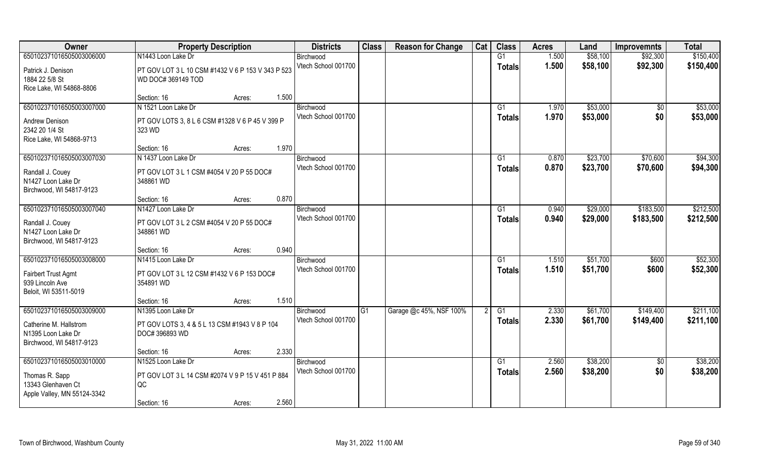| 650102371016505003006000<br>N1443 Loon Lake Dr<br>G1<br>1.500<br>\$58,100<br>\$92,300<br>\$150,400<br>Birchwood<br>Vtech School 001700<br>1.500<br>\$58,100<br>\$92,300<br>\$150,400<br><b>Totals</b><br>Patrick J. Denison<br>PT GOV LOT 3 L 10 CSM #1432 V 6 P 153 V 343 P 523<br>1884 22 5/8 St<br>WD DOC#369149 TOD<br>Rice Lake, WI 54868-8806<br>1.500<br>Section: 16<br>Acres:<br>650102371016505003007000<br>N 1521 Loon Lake Dr<br>\$53,000<br>Birchwood<br>G1<br>1.970<br>$\overline{50}$<br>\$53,000<br>\$0<br>Vtech School 001700<br>1.970<br><b>Totals</b><br>Andrew Denison<br>PT GOV LOTS 3, 8 L 6 CSM #1328 V 6 P 45 V 399 P<br>2342 20 1/4 St<br>323 WD<br>Rice Lake, WI 54868-9713<br>1.970<br>Section: 16<br>Acres:<br>650102371016505003007030<br>\$23,700<br>\$70,600<br>N 1437 Loon Lake Dr<br>G1<br>0.870<br>Birchwood<br>Vtech School 001700<br>0.870<br>\$23,700<br>\$70,600<br><b>Totals</b><br>Randall J. Couey<br>PT GOV LOT 3 L 1 CSM #4054 V 20 P 55 DOC#<br>348861 WD<br>N1427 Loon Lake Dr<br>Birchwood, WI 54817-9123<br>0.870<br>Section: 16<br>Acres:<br>650102371016505003007040<br>N1427 Loon Lake Dr<br>\$29,000<br>\$183,500<br>G1<br>0.940<br>Birchwood<br>Vtech School 001700<br>0.940<br>\$29,000<br>\$183,500<br><b>Totals</b><br>PT GOV LOT 3 L 2 CSM #4054 V 20 P 55 DOC#<br>Randall J. Couey<br>N1427 Loon Lake Dr<br>348861 WD<br>Birchwood, WI 54817-9123<br>0.940<br>Section: 16<br>Acres:<br>650102371016505003008000<br>N1415 Loon Lake Dr<br>G1<br>1.510<br>\$51,700<br>\$600<br>Birchwood<br>Vtech School 001700<br>1.510<br>\$51,700<br>\$600<br><b>Totals</b><br>Fairbert Trust Agmt<br>PT GOV LOT 3 L 12 CSM #1432 V 6 P 153 DOC#<br>939 Lincoln Ave<br>354891 WD<br>Beloit, WI 53511-5019<br>1.510<br>Section: 16<br>Acres:<br>650102371016505003009000<br>N1395 Loon Lake Dr<br>G1<br>Garage @c 45%, NSF 100%<br>G1<br>2.330<br>\$61,700<br>\$149,400<br>Birchwood<br>Vtech School 001700<br>2.330<br>\$61,700<br>\$149,400<br><b>Totals</b><br>Catherine M. Hallstrom<br>PT GOV LOTS 3, 4 & 5 L 13 CSM #1943 V 8 P 104<br>N1395 Loon Lake Dr<br>DOC# 396893 WD<br>Birchwood, WI 54817-9123<br>2.330<br>Section: 16<br>Acres: | Owner | <b>Property Description</b> | <b>Districts</b> | <b>Class</b> | <b>Reason for Change</b> | Cat | <b>Class</b> | <b>Acres</b> | Land | <b>Improvemnts</b> | <b>Total</b> |
|-----------------------------------------------------------------------------------------------------------------------------------------------------------------------------------------------------------------------------------------------------------------------------------------------------------------------------------------------------------------------------------------------------------------------------------------------------------------------------------------------------------------------------------------------------------------------------------------------------------------------------------------------------------------------------------------------------------------------------------------------------------------------------------------------------------------------------------------------------------------------------------------------------------------------------------------------------------------------------------------------------------------------------------------------------------------------------------------------------------------------------------------------------------------------------------------------------------------------------------------------------------------------------------------------------------------------------------------------------------------------------------------------------------------------------------------------------------------------------------------------------------------------------------------------------------------------------------------------------------------------------------------------------------------------------------------------------------------------------------------------------------------------------------------------------------------------------------------------------------------------------------------------------------------------------------------------------------------------------------------------------------------------------------------------------------------------------------------------------------------------------------------------------------------------------------------|-------|-----------------------------|------------------|--------------|--------------------------|-----|--------------|--------------|------|--------------------|--------------|
|                                                                                                                                                                                                                                                                                                                                                                                                                                                                                                                                                                                                                                                                                                                                                                                                                                                                                                                                                                                                                                                                                                                                                                                                                                                                                                                                                                                                                                                                                                                                                                                                                                                                                                                                                                                                                                                                                                                                                                                                                                                                                                                                                                                         |       |                             |                  |              |                          |     |              |              |      |                    |              |
| \$53,000<br>\$53,000<br>\$94,300<br>\$94,300<br>\$212,500<br>\$212,500                                                                                                                                                                                                                                                                                                                                                                                                                                                                                                                                                                                                                                                                                                                                                                                                                                                                                                                                                                                                                                                                                                                                                                                                                                                                                                                                                                                                                                                                                                                                                                                                                                                                                                                                                                                                                                                                                                                                                                                                                                                                                                                  |       |                             |                  |              |                          |     |              |              |      |                    |              |
|                                                                                                                                                                                                                                                                                                                                                                                                                                                                                                                                                                                                                                                                                                                                                                                                                                                                                                                                                                                                                                                                                                                                                                                                                                                                                                                                                                                                                                                                                                                                                                                                                                                                                                                                                                                                                                                                                                                                                                                                                                                                                                                                                                                         |       |                             |                  |              |                          |     |              |              |      |                    |              |
|                                                                                                                                                                                                                                                                                                                                                                                                                                                                                                                                                                                                                                                                                                                                                                                                                                                                                                                                                                                                                                                                                                                                                                                                                                                                                                                                                                                                                                                                                                                                                                                                                                                                                                                                                                                                                                                                                                                                                                                                                                                                                                                                                                                         |       |                             |                  |              |                          |     |              |              |      |                    |              |
|                                                                                                                                                                                                                                                                                                                                                                                                                                                                                                                                                                                                                                                                                                                                                                                                                                                                                                                                                                                                                                                                                                                                                                                                                                                                                                                                                                                                                                                                                                                                                                                                                                                                                                                                                                                                                                                                                                                                                                                                                                                                                                                                                                                         |       |                             |                  |              |                          |     |              |              |      |                    |              |
|                                                                                                                                                                                                                                                                                                                                                                                                                                                                                                                                                                                                                                                                                                                                                                                                                                                                                                                                                                                                                                                                                                                                                                                                                                                                                                                                                                                                                                                                                                                                                                                                                                                                                                                                                                                                                                                                                                                                                                                                                                                                                                                                                                                         |       |                             |                  |              |                          |     |              |              |      |                    |              |
|                                                                                                                                                                                                                                                                                                                                                                                                                                                                                                                                                                                                                                                                                                                                                                                                                                                                                                                                                                                                                                                                                                                                                                                                                                                                                                                                                                                                                                                                                                                                                                                                                                                                                                                                                                                                                                                                                                                                                                                                                                                                                                                                                                                         |       |                             |                  |              |                          |     |              |              |      |                    |              |
|                                                                                                                                                                                                                                                                                                                                                                                                                                                                                                                                                                                                                                                                                                                                                                                                                                                                                                                                                                                                                                                                                                                                                                                                                                                                                                                                                                                                                                                                                                                                                                                                                                                                                                                                                                                                                                                                                                                                                                                                                                                                                                                                                                                         |       |                             |                  |              |                          |     |              |              |      |                    |              |
|                                                                                                                                                                                                                                                                                                                                                                                                                                                                                                                                                                                                                                                                                                                                                                                                                                                                                                                                                                                                                                                                                                                                                                                                                                                                                                                                                                                                                                                                                                                                                                                                                                                                                                                                                                                                                                                                                                                                                                                                                                                                                                                                                                                         |       |                             |                  |              |                          |     |              |              |      |                    |              |
|                                                                                                                                                                                                                                                                                                                                                                                                                                                                                                                                                                                                                                                                                                                                                                                                                                                                                                                                                                                                                                                                                                                                                                                                                                                                                                                                                                                                                                                                                                                                                                                                                                                                                                                                                                                                                                                                                                                                                                                                                                                                                                                                                                                         |       |                             |                  |              |                          |     |              |              |      |                    |              |
|                                                                                                                                                                                                                                                                                                                                                                                                                                                                                                                                                                                                                                                                                                                                                                                                                                                                                                                                                                                                                                                                                                                                                                                                                                                                                                                                                                                                                                                                                                                                                                                                                                                                                                                                                                                                                                                                                                                                                                                                                                                                                                                                                                                         |       |                             |                  |              |                          |     |              |              |      |                    |              |
|                                                                                                                                                                                                                                                                                                                                                                                                                                                                                                                                                                                                                                                                                                                                                                                                                                                                                                                                                                                                                                                                                                                                                                                                                                                                                                                                                                                                                                                                                                                                                                                                                                                                                                                                                                                                                                                                                                                                                                                                                                                                                                                                                                                         |       |                             |                  |              |                          |     |              |              |      |                    |              |
|                                                                                                                                                                                                                                                                                                                                                                                                                                                                                                                                                                                                                                                                                                                                                                                                                                                                                                                                                                                                                                                                                                                                                                                                                                                                                                                                                                                                                                                                                                                                                                                                                                                                                                                                                                                                                                                                                                                                                                                                                                                                                                                                                                                         |       |                             |                  |              |                          |     |              |              |      |                    |              |
|                                                                                                                                                                                                                                                                                                                                                                                                                                                                                                                                                                                                                                                                                                                                                                                                                                                                                                                                                                                                                                                                                                                                                                                                                                                                                                                                                                                                                                                                                                                                                                                                                                                                                                                                                                                                                                                                                                                                                                                                                                                                                                                                                                                         |       |                             |                  |              |                          |     |              |              |      |                    |              |
|                                                                                                                                                                                                                                                                                                                                                                                                                                                                                                                                                                                                                                                                                                                                                                                                                                                                                                                                                                                                                                                                                                                                                                                                                                                                                                                                                                                                                                                                                                                                                                                                                                                                                                                                                                                                                                                                                                                                                                                                                                                                                                                                                                                         |       |                             |                  |              |                          |     |              |              |      |                    |              |
|                                                                                                                                                                                                                                                                                                                                                                                                                                                                                                                                                                                                                                                                                                                                                                                                                                                                                                                                                                                                                                                                                                                                                                                                                                                                                                                                                                                                                                                                                                                                                                                                                                                                                                                                                                                                                                                                                                                                                                                                                                                                                                                                                                                         |       |                             |                  |              |                          |     |              |              |      |                    |              |
|                                                                                                                                                                                                                                                                                                                                                                                                                                                                                                                                                                                                                                                                                                                                                                                                                                                                                                                                                                                                                                                                                                                                                                                                                                                                                                                                                                                                                                                                                                                                                                                                                                                                                                                                                                                                                                                                                                                                                                                                                                                                                                                                                                                         |       |                             |                  |              |                          |     |              |              |      |                    |              |
|                                                                                                                                                                                                                                                                                                                                                                                                                                                                                                                                                                                                                                                                                                                                                                                                                                                                                                                                                                                                                                                                                                                                                                                                                                                                                                                                                                                                                                                                                                                                                                                                                                                                                                                                                                                                                                                                                                                                                                                                                                                                                                                                                                                         |       |                             |                  |              |                          |     |              |              |      |                    |              |
| \$52,300<br>\$52,300<br>\$211,100<br>\$211,100                                                                                                                                                                                                                                                                                                                                                                                                                                                                                                                                                                                                                                                                                                                                                                                                                                                                                                                                                                                                                                                                                                                                                                                                                                                                                                                                                                                                                                                                                                                                                                                                                                                                                                                                                                                                                                                                                                                                                                                                                                                                                                                                          |       |                             |                  |              |                          |     |              |              |      |                    |              |
|                                                                                                                                                                                                                                                                                                                                                                                                                                                                                                                                                                                                                                                                                                                                                                                                                                                                                                                                                                                                                                                                                                                                                                                                                                                                                                                                                                                                                                                                                                                                                                                                                                                                                                                                                                                                                                                                                                                                                                                                                                                                                                                                                                                         |       |                             |                  |              |                          |     |              |              |      |                    |              |
|                                                                                                                                                                                                                                                                                                                                                                                                                                                                                                                                                                                                                                                                                                                                                                                                                                                                                                                                                                                                                                                                                                                                                                                                                                                                                                                                                                                                                                                                                                                                                                                                                                                                                                                                                                                                                                                                                                                                                                                                                                                                                                                                                                                         |       |                             |                  |              |                          |     |              |              |      |                    |              |
|                                                                                                                                                                                                                                                                                                                                                                                                                                                                                                                                                                                                                                                                                                                                                                                                                                                                                                                                                                                                                                                                                                                                                                                                                                                                                                                                                                                                                                                                                                                                                                                                                                                                                                                                                                                                                                                                                                                                                                                                                                                                                                                                                                                         |       |                             |                  |              |                          |     |              |              |      |                    |              |
|                                                                                                                                                                                                                                                                                                                                                                                                                                                                                                                                                                                                                                                                                                                                                                                                                                                                                                                                                                                                                                                                                                                                                                                                                                                                                                                                                                                                                                                                                                                                                                                                                                                                                                                                                                                                                                                                                                                                                                                                                                                                                                                                                                                         |       |                             |                  |              |                          |     |              |              |      |                    |              |
|                                                                                                                                                                                                                                                                                                                                                                                                                                                                                                                                                                                                                                                                                                                                                                                                                                                                                                                                                                                                                                                                                                                                                                                                                                                                                                                                                                                                                                                                                                                                                                                                                                                                                                                                                                                                                                                                                                                                                                                                                                                                                                                                                                                         |       |                             |                  |              |                          |     |              |              |      |                    |              |
|                                                                                                                                                                                                                                                                                                                                                                                                                                                                                                                                                                                                                                                                                                                                                                                                                                                                                                                                                                                                                                                                                                                                                                                                                                                                                                                                                                                                                                                                                                                                                                                                                                                                                                                                                                                                                                                                                                                                                                                                                                                                                                                                                                                         |       |                             |                  |              |                          |     |              |              |      |                    |              |
|                                                                                                                                                                                                                                                                                                                                                                                                                                                                                                                                                                                                                                                                                                                                                                                                                                                                                                                                                                                                                                                                                                                                                                                                                                                                                                                                                                                                                                                                                                                                                                                                                                                                                                                                                                                                                                                                                                                                                                                                                                                                                                                                                                                         |       |                             |                  |              |                          |     |              |              |      |                    |              |
|                                                                                                                                                                                                                                                                                                                                                                                                                                                                                                                                                                                                                                                                                                                                                                                                                                                                                                                                                                                                                                                                                                                                                                                                                                                                                                                                                                                                                                                                                                                                                                                                                                                                                                                                                                                                                                                                                                                                                                                                                                                                                                                                                                                         |       |                             |                  |              |                          |     |              |              |      |                    |              |
|                                                                                                                                                                                                                                                                                                                                                                                                                                                                                                                                                                                                                                                                                                                                                                                                                                                                                                                                                                                                                                                                                                                                                                                                                                                                                                                                                                                                                                                                                                                                                                                                                                                                                                                                                                                                                                                                                                                                                                                                                                                                                                                                                                                         |       |                             |                  |              |                          |     |              |              |      |                    |              |
|                                                                                                                                                                                                                                                                                                                                                                                                                                                                                                                                                                                                                                                                                                                                                                                                                                                                                                                                                                                                                                                                                                                                                                                                                                                                                                                                                                                                                                                                                                                                                                                                                                                                                                                                                                                                                                                                                                                                                                                                                                                                                                                                                                                         |       |                             |                  |              |                          |     |              |              |      |                    |              |
| 650102371016505003010000<br>N1525 Loon Lake Dr<br>\$38,200<br>G1<br>2.560<br>\$38,200<br>$\sqrt{6}$<br>Birchwood                                                                                                                                                                                                                                                                                                                                                                                                                                                                                                                                                                                                                                                                                                                                                                                                                                                                                                                                                                                                                                                                                                                                                                                                                                                                                                                                                                                                                                                                                                                                                                                                                                                                                                                                                                                                                                                                                                                                                                                                                                                                        |       |                             |                  |              |                          |     |              |              |      |                    |              |
| \$0<br>Vtech School 001700<br>2.560<br>\$38,200<br>\$38,200<br><b>Totals</b>                                                                                                                                                                                                                                                                                                                                                                                                                                                                                                                                                                                                                                                                                                                                                                                                                                                                                                                                                                                                                                                                                                                                                                                                                                                                                                                                                                                                                                                                                                                                                                                                                                                                                                                                                                                                                                                                                                                                                                                                                                                                                                            |       |                             |                  |              |                          |     |              |              |      |                    |              |
| PT GOV LOT 3 L 14 CSM #2074 V 9 P 15 V 451 P 884<br>Thomas R. Sapp                                                                                                                                                                                                                                                                                                                                                                                                                                                                                                                                                                                                                                                                                                                                                                                                                                                                                                                                                                                                                                                                                                                                                                                                                                                                                                                                                                                                                                                                                                                                                                                                                                                                                                                                                                                                                                                                                                                                                                                                                                                                                                                      |       |                             |                  |              |                          |     |              |              |      |                    |              |
| 13343 Glenhaven Ct<br>QC                                                                                                                                                                                                                                                                                                                                                                                                                                                                                                                                                                                                                                                                                                                                                                                                                                                                                                                                                                                                                                                                                                                                                                                                                                                                                                                                                                                                                                                                                                                                                                                                                                                                                                                                                                                                                                                                                                                                                                                                                                                                                                                                                                |       |                             |                  |              |                          |     |              |              |      |                    |              |
| Apple Valley, MN 55124-3342<br>2.560<br>Section: 16<br>Acres:                                                                                                                                                                                                                                                                                                                                                                                                                                                                                                                                                                                                                                                                                                                                                                                                                                                                                                                                                                                                                                                                                                                                                                                                                                                                                                                                                                                                                                                                                                                                                                                                                                                                                                                                                                                                                                                                                                                                                                                                                                                                                                                           |       |                             |                  |              |                          |     |              |              |      |                    |              |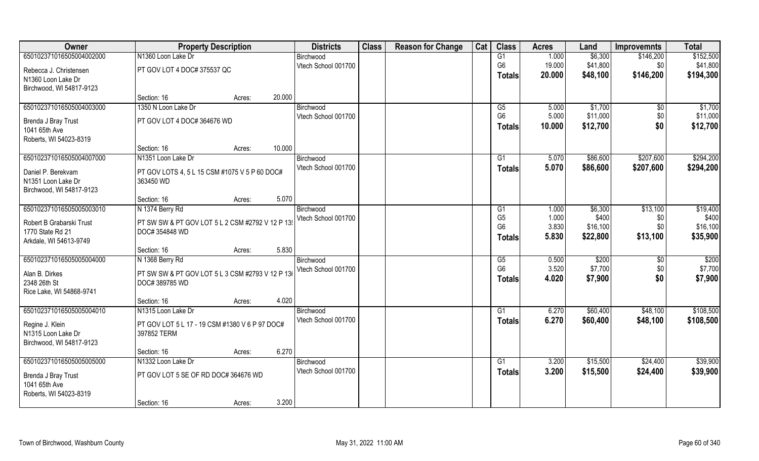| Owner                    | <b>Property Description</b>                      |        | <b>Districts</b> | <b>Class</b>                     | <b>Reason for Change</b> | Cat | <b>Class</b> | <b>Acres</b>                     | Land           | <b>Improvemnts</b> | <b>Total</b> |                   |
|--------------------------|--------------------------------------------------|--------|------------------|----------------------------------|--------------------------|-----|--------------|----------------------------------|----------------|--------------------|--------------|-------------------|
| 650102371016505004002000 | N1360 Loon Lake Dr                               |        |                  | Birchwood                        |                          |     |              | G1                               | 1.000          | \$6,300            | \$146,200    | \$152,500         |
| Rebecca J. Christensen   | PT GOV LOT 4 DOC# 375537 QC                      |        |                  | Vtech School 001700              |                          |     |              | G <sub>6</sub>                   | 19.000         | \$41,800           | \$0          | \$41,800          |
| N1360 Loon Lake Dr       |                                                  |        |                  |                                  |                          |     |              | <b>Totals</b>                    | 20.000         | \$48,100           | \$146,200    | \$194,300         |
| Birchwood, WI 54817-9123 |                                                  |        |                  |                                  |                          |     |              |                                  |                |                    |              |                   |
|                          | Section: 16                                      | Acres: | 20.000           |                                  |                          |     |              |                                  |                |                    |              |                   |
| 650102371016505004003000 | 1350 N Loon Lake Dr                              |        |                  | Birchwood                        |                          |     |              | G5                               | 5.000          | \$1,700            | $\sqrt{$0}$  | \$1,700           |
| Brenda J Bray Trust      | PT GOV LOT 4 DOC# 364676 WD                      |        |                  | Vtech School 001700              |                          |     |              | G <sub>6</sub>                   | 5.000          | \$11,000           | \$0          | \$11,000          |
| 1041 65th Ave            |                                                  |        |                  |                                  |                          |     |              | <b>Totals</b>                    | 10.000         | \$12,700           | \$0          | \$12,700          |
| Roberts, WI 54023-8319   |                                                  |        |                  |                                  |                          |     |              |                                  |                |                    |              |                   |
|                          | Section: 16                                      | Acres: | 10.000           |                                  |                          |     |              |                                  |                |                    |              |                   |
| 650102371016505004007000 | N1351 Loon Lake Dr                               |        |                  | Birchwood                        |                          |     |              | G1                               | 5.070          | \$86,600           | \$207,600    | \$294,200         |
| Daniel P. Berekvam       | PT GOV LOTS 4, 5 L 15 CSM #1075 V 5 P 60 DOC#    |        |                  | Vtech School 001700              |                          |     |              | <b>Totals</b>                    | 5.070          | \$86,600           | \$207,600    | \$294,200         |
| N1351 Loon Lake Dr       | 363450 WD                                        |        |                  |                                  |                          |     |              |                                  |                |                    |              |                   |
| Birchwood, WI 54817-9123 |                                                  |        |                  |                                  |                          |     |              |                                  |                |                    |              |                   |
|                          | Section: 16                                      | Acres: | 5.070            |                                  |                          |     |              |                                  |                |                    |              |                   |
| 650102371016505005003010 | N 1374 Berry Rd                                  |        |                  | Birchwood                        |                          |     |              | G <sub>1</sub>                   | 1.000          | \$6,300            | \$13,100     | \$19,400          |
| Robert B Grabarski Trust | PT SW SW & PT GOV LOT 5 L 2 CSM #2792 V 12 P 13  |        |                  | Vtech School 001700              |                          |     |              | G <sub>5</sub><br>G <sub>6</sub> | 1.000<br>3.830 | \$400<br>\$16,100  | \$0<br>\$0   | \$400<br>\$16,100 |
| 1770 State Rd 21         | DOC# 354848 WD                                   |        |                  |                                  |                          |     |              | <b>Totals</b>                    | 5.830          | \$22,800           | \$13,100     | \$35,900          |
| Arkdale, WI 54613-9749   |                                                  |        |                  |                                  |                          |     |              |                                  |                |                    |              |                   |
|                          | Section: 16                                      | Acres: | 5.830            |                                  |                          |     |              |                                  |                |                    |              |                   |
| 650102371016505005004000 | N 1368 Berry Rd                                  |        |                  | Birchwood                        |                          |     |              | G5<br>G <sub>6</sub>             | 0.500<br>3.520 | \$200<br>\$7,700   | \$0          | \$200<br>\$7,700  |
| Alan B. Dirkes           | PT SW SW & PT GOV LOT 5 L 3 CSM #2793 V 12 P 136 |        |                  | Vtech School 001700              |                          |     |              |                                  | 4.020          | \$7,900            | \$0<br>\$0   | \$7,900           |
| 2348 26th St             | DOC# 389785 WD                                   |        |                  |                                  |                          |     |              | Totals                           |                |                    |              |                   |
| Rice Lake, WI 54868-9741 |                                                  |        |                  |                                  |                          |     |              |                                  |                |                    |              |                   |
|                          | Section: 16                                      | Acres: | 4.020            |                                  |                          |     |              |                                  |                |                    |              |                   |
| 650102371016505005004010 | N1315 Loon Lake Dr                               |        |                  | Birchwood                        |                          |     |              | G1                               | 6.270          | \$60,400           | \$48,100     | \$108,500         |
| Regine J. Klein          | PT GOV LOT 5 L 17 - 19 CSM #1380 V 6 P 97 DOC#   |        |                  | Vtech School 001700              |                          |     |              | <b>Totals</b>                    | 6.270          | \$60,400           | \$48,100     | \$108,500         |
| N1315 Loon Lake Dr       | 397852 TERM                                      |        |                  |                                  |                          |     |              |                                  |                |                    |              |                   |
| Birchwood, WI 54817-9123 |                                                  |        |                  |                                  |                          |     |              |                                  |                |                    |              |                   |
|                          | Section: 16                                      | Acres: | 6.270            |                                  |                          |     |              |                                  |                |                    |              |                   |
| 650102371016505005005000 | N1332 Loon Lake Dr                               |        |                  | Birchwood<br>Vtech School 001700 |                          |     |              | G1                               | 3.200          | \$15,500           | \$24,400     | \$39,900          |
| Brenda J Bray Trust      | PT GOV LOT 5 SE OF RD DOC# 364676 WD             |        |                  |                                  |                          |     |              | <b>Totals</b>                    | 3.200          | \$15,500           | \$24,400     | \$39,900          |
| 1041 65th Ave            |                                                  |        |                  |                                  |                          |     |              |                                  |                |                    |              |                   |
| Roberts, WI 54023-8319   |                                                  |        |                  |                                  |                          |     |              |                                  |                |                    |              |                   |
|                          | Section: 16                                      | Acres: | 3.200            |                                  |                          |     |              |                                  |                |                    |              |                   |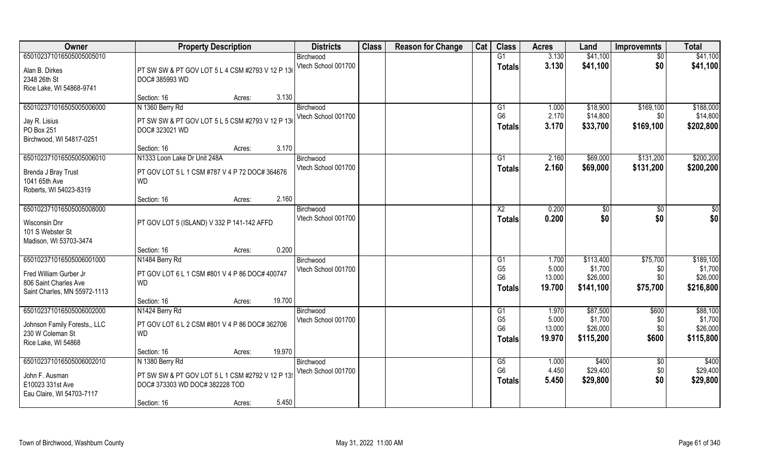| Owner                        | <b>Property Description</b>                     | <b>Districts</b>    | <b>Class</b> | <b>Reason for Change</b> | Cat | <b>Class</b>                     | <b>Acres</b>    | Land                | <b>Improvemnts</b> | <b>Total</b>        |
|------------------------------|-------------------------------------------------|---------------------|--------------|--------------------------|-----|----------------------------------|-----------------|---------------------|--------------------|---------------------|
| 650102371016505005005010     |                                                 | Birchwood           |              |                          |     | G1                               | 3.130           | \$41,100            | \$0                | \$41,100            |
| Alan B. Dirkes               | PT SW SW & PT GOV LOT 5 L 4 CSM #2793 V 12 P 13 | Vtech School 001700 |              |                          |     | <b>Totals</b>                    | 3.130           | \$41,100            | \$0                | \$41,100            |
| 2348 26th St                 | DOC# 385993 WD                                  |                     |              |                          |     |                                  |                 |                     |                    |                     |
| Rice Lake, WI 54868-9741     |                                                 |                     |              |                          |     |                                  |                 |                     |                    |                     |
|                              | 3.130<br>Section: 16<br>Acres:                  |                     |              |                          |     |                                  |                 |                     |                    |                     |
| 650102371016505005006000     | N 1360 Berry Rd                                 | Birchwood           |              |                          |     | G <sub>1</sub>                   | 1.000           | \$18,900            | \$169,100          | \$188,000           |
| Jay R. Lisius                | PT SW SW & PT GOV LOT 5 L 5 CSM #2793 V 12 P 13 | Vtech School 001700 |              |                          |     | G <sub>6</sub>                   | 2.170           | \$14,800            | \$0                | \$14,800            |
| PO Box 251                   | DOC# 323021 WD                                  |                     |              |                          |     | <b>Totals</b>                    | 3.170           | \$33,700            | \$169,100          | \$202,800           |
| Birchwood, WI 54817-0251     |                                                 |                     |              |                          |     |                                  |                 |                     |                    |                     |
|                              | 3.170<br>Section: 16<br>Acres:                  |                     |              |                          |     |                                  |                 |                     |                    |                     |
| 650102371016505005006010     | N1333 Loon Lake Dr Unit 248A                    | Birchwood           |              |                          |     | G1                               | 2.160           | \$69,000            | \$131,200          | \$200,200           |
| Brenda J Bray Trust          | PT GOV LOT 5 L 1 CSM #787 V 4 P 72 DOC# 364676  | Vtech School 001700 |              |                          |     | <b>Totals</b>                    | 2.160           | \$69,000            | \$131,200          | \$200,200           |
| 1041 65th Ave                | <b>WD</b>                                       |                     |              |                          |     |                                  |                 |                     |                    |                     |
| Roberts, WI 54023-8319       |                                                 |                     |              |                          |     |                                  |                 |                     |                    |                     |
|                              | 2.160<br>Section: 16<br>Acres:                  |                     |              |                          |     |                                  |                 |                     |                    |                     |
| 650102371016505005008000     |                                                 | Birchwood           |              |                          |     | X <sub>2</sub>                   | 0.200           | \$0                 | $\sqrt{50}$        | $\frac{6}{3}$       |
| Wisconsin Dnr                | PT GOV LOT 5 (ISLAND) V 332 P 141-142 AFFD      | Vtech School 001700 |              |                          |     | <b>Totals</b>                    | 0.200           | \$0                 | \$0                | \$0                 |
| 101 S Webster St             |                                                 |                     |              |                          |     |                                  |                 |                     |                    |                     |
| Madison, WI 53703-3474       |                                                 |                     |              |                          |     |                                  |                 |                     |                    |                     |
|                              | 0.200<br>Section: 16<br>Acres:                  |                     |              |                          |     |                                  |                 |                     |                    |                     |
| 650102371016505006001000     | N1484 Berry Rd                                  | Birchwood           |              |                          |     | G1                               | 1.700           | \$113,400           | \$75,700           | \$189,100           |
| Fred William Gurber Jr       | PT GOV LOT 6 L 1 CSM #801 V 4 P 86 DOC# 400747  | Vtech School 001700 |              |                          |     | G <sub>5</sub><br>G <sub>6</sub> | 5.000<br>13.000 | \$1,700<br>\$26,000 | \$0<br>\$0         | \$1,700<br>\$26,000 |
| 806 Saint Charles Ave        | <b>WD</b>                                       |                     |              |                          |     | <b>Totals</b>                    | 19.700          | \$141,100           | \$75,700           | \$216,800           |
| Saint Charles, MN 55972-1113 |                                                 |                     |              |                          |     |                                  |                 |                     |                    |                     |
|                              | 19.700<br>Section: 16<br>Acres:                 |                     |              |                          |     |                                  |                 |                     |                    |                     |
| 650102371016505006002000     | N1424 Berry Rd                                  | Birchwood           |              |                          |     | G1                               | 1.970           | \$87,500            | \$600              | \$88,100            |
| Johnson Family Forests,, LLC | PT GOV LOT 6 L 2 CSM #801 V 4 P 86 DOC# 362706  | Vtech School 001700 |              |                          |     | G <sub>5</sub><br>G <sub>6</sub> | 5.000<br>13.000 | \$1,700<br>\$26,000 | \$0<br>\$0         | \$1,700<br>\$26,000 |
| 230 W Coleman St             | <b>WD</b>                                       |                     |              |                          |     | <b>Totals</b>                    | 19.970          | \$115,200           | \$600              | \$115,800           |
| Rice Lake, WI 54868          |                                                 |                     |              |                          |     |                                  |                 |                     |                    |                     |
|                              | 19.970<br>Section: 16<br>Acres:                 |                     |              |                          |     |                                  |                 |                     |                    |                     |
| 650102371016505006002010     | N 1380 Berry Rd                                 | Birchwood           |              |                          |     | G5<br>G <sub>6</sub>             | 1.000<br>4.450  | \$400               | $\overline{60}$    | \$400<br>\$29,400   |
| John F. Ausman               | PT SW SW & PT GOV LOT 5 L 1 CSM #2792 V 12 P 13 | Vtech School 001700 |              |                          |     |                                  |                 | \$29,400            | \$0                |                     |
| E10023 331st Ave             | DOC# 373303 WD DOC# 382228 TOD                  |                     |              |                          |     | <b>Totals</b>                    | 5.450           | \$29,800            | \$0                | \$29,800            |
| Eau Claire, WI 54703-7117    |                                                 |                     |              |                          |     |                                  |                 |                     |                    |                     |
|                              | 5.450<br>Section: 16<br>Acres:                  |                     |              |                          |     |                                  |                 |                     |                    |                     |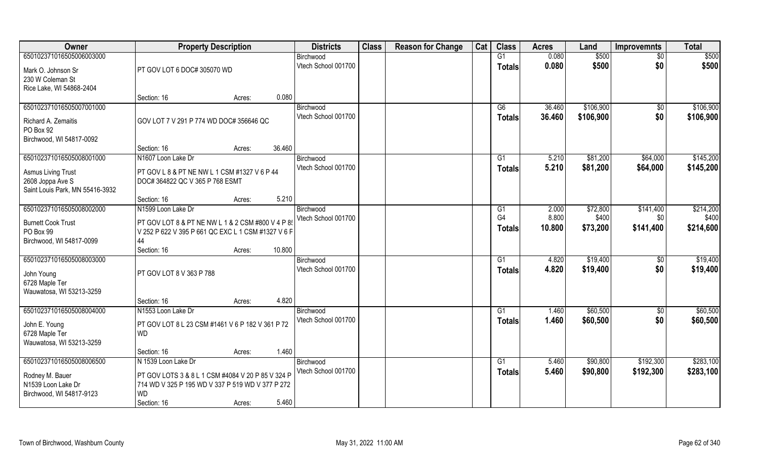| Owner                                          | <b>Property Description</b>                                   |        |        | <b>Districts</b>                 | <b>Class</b> | <b>Reason for Change</b> | Cat | <b>Class</b>         | <b>Acres</b>   | Land                 | <b>Improvemnts</b>    | <b>Total</b>         |
|------------------------------------------------|---------------------------------------------------------------|--------|--------|----------------------------------|--------------|--------------------------|-----|----------------------|----------------|----------------------|-----------------------|----------------------|
| 650102371016505006003000                       |                                                               |        |        | Birchwood                        |              |                          |     | G1                   | 0.080          | \$500                | $\overline{50}$       | \$500                |
| Mark O. Johnson Sr                             | PT GOV LOT 6 DOC# 305070 WD                                   |        |        | Vtech School 001700              |              |                          |     | <b>Totals</b>        | 0.080          | \$500                | \$0                   | \$500                |
| 230 W Coleman St                               |                                                               |        |        |                                  |              |                          |     |                      |                |                      |                       |                      |
| Rice Lake, WI 54868-2404                       |                                                               |        |        |                                  |              |                          |     |                      |                |                      |                       |                      |
|                                                | Section: 16                                                   | Acres: | 0.080  |                                  |              |                          |     |                      |                |                      |                       |                      |
| 650102371016505007001000                       |                                                               |        |        | Birchwood                        |              |                          |     | G6                   | 36.460         | \$106,900            | $\sqrt{$0}$           | \$106,900            |
| Richard A. Zemaitis                            | GOV LOT 7 V 291 P 774 WD DOC# 356646 QC                       |        |        | Vtech School 001700              |              |                          |     | Totals               | 36.460         | \$106,900            | \$0                   | \$106,900            |
| PO Box 92                                      |                                                               |        |        |                                  |              |                          |     |                      |                |                      |                       |                      |
| Birchwood, WI 54817-0092                       |                                                               |        |        |                                  |              |                          |     |                      |                |                      |                       |                      |
|                                                | Section: 16                                                   | Acres: | 36.460 |                                  |              |                          |     |                      |                |                      |                       |                      |
| 650102371016505008001000                       | N1607 Loon Lake Dr                                            |        |        | Birchwood                        |              |                          |     | G1                   | 5.210          | \$81,200             | \$64,000              | \$145,200            |
| <b>Asmus Living Trust</b>                      | PT GOV L 8 & PT NE NW L 1 CSM #1327 V 6 P 44                  |        |        | Vtech School 001700              |              |                          |     | <b>Totals</b>        | 5.210          | \$81,200             | \$64,000              | \$145,200            |
| 2608 Joppa Ave S                               | DOC# 364822 QC V 365 P 768 ESMT                               |        |        |                                  |              |                          |     |                      |                |                      |                       |                      |
| Saint Louis Park, MN 55416-3932                |                                                               |        |        |                                  |              |                          |     |                      |                |                      |                       |                      |
|                                                | Section: 16                                                   | Acres: | 5.210  |                                  |              |                          |     |                      |                |                      |                       |                      |
| 650102371016505008002000                       | N1599 Loon Lake Dr                                            |        |        | Birchwood<br>Vtech School 001700 |              |                          |     | G1<br>G <sub>4</sub> | 2.000<br>8.800 | \$72,800<br>\$400    | \$141,400             | \$214,200<br>\$400   |
| <b>Burnett Cook Trust</b>                      | PT GOV LOT 8 & PT NE NW L 1 & 2 CSM #800 V 4 P 8              |        |        |                                  |              |                          |     |                      | 10.800         | \$73,200             | \$0<br>\$141,400      | \$214,600            |
| PO Box 99                                      | V 252 P 622 V 395 P 661 QC EXC L 1 CSM #1327 V 6 P            |        |        |                                  |              |                          |     | <b>Totals</b>        |                |                      |                       |                      |
| Birchwood, WI 54817-0099                       | 44                                                            |        |        |                                  |              |                          |     |                      |                |                      |                       |                      |
|                                                | Section: 16                                                   | Acres: | 10.800 |                                  |              |                          |     |                      |                |                      |                       |                      |
| 650102371016505008003000                       |                                                               |        |        | Birchwood<br>Vtech School 001700 |              |                          |     | G1                   | 4.820<br>4.820 | \$19,400<br>\$19,400 | $\sqrt[6]{30}$<br>\$0 | \$19,400<br>\$19,400 |
| John Young                                     | PT GOV LOT 8 V 363 P 788                                      |        |        |                                  |              |                          |     | <b>Totals</b>        |                |                      |                       |                      |
| 6728 Maple Ter                                 |                                                               |        |        |                                  |              |                          |     |                      |                |                      |                       |                      |
| Wauwatosa, WI 53213-3259                       |                                                               |        | 4.820  |                                  |              |                          |     |                      |                |                      |                       |                      |
| 650102371016505008004000                       | Section: 16<br>N1553 Loon Lake Dr                             | Acres: |        | Birchwood                        |              |                          |     | G1                   | 1.460          | \$60,500             | $\sqrt{6}$            | \$60,500             |
|                                                |                                                               |        |        | Vtech School 001700              |              |                          |     | <b>Totals</b>        | 1.460          | \$60,500             | \$0                   | \$60,500             |
| John E. Young                                  | PT GOV LOT 8 L 23 CSM #1461 V 6 P 182 V 361 P 72              |        |        |                                  |              |                          |     |                      |                |                      |                       |                      |
| 6728 Maple Ter                                 | <b>WD</b>                                                     |        |        |                                  |              |                          |     |                      |                |                      |                       |                      |
| Wauwatosa, WI 53213-3259                       | Section: 16                                                   |        | 1.460  |                                  |              |                          |     |                      |                |                      |                       |                      |
| 650102371016505008006500                       | N 1539 Loon Lake Dr                                           | Acres: |        | Birchwood                        |              |                          |     | G1                   | 5.460          | \$90,800             | \$192,300             | \$283,100            |
|                                                |                                                               |        |        | Vtech School 001700              |              |                          |     | Totals               | 5.460          | \$90,800             | \$192,300             | \$283,100            |
| Rodney M. Bauer                                | PT GOV LOTS 3 & 8 L 1 CSM #4084 V 20 P 85 V 324 P             |        |        |                                  |              |                          |     |                      |                |                      |                       |                      |
| N1539 Loon Lake Dr<br>Birchwood, WI 54817-9123 | 714 WD V 325 P 195 WD V 337 P 519 WD V 377 P 272<br><b>WD</b> |        |        |                                  |              |                          |     |                      |                |                      |                       |                      |
|                                                | Section: 16                                                   | Acres: | 5.460  |                                  |              |                          |     |                      |                |                      |                       |                      |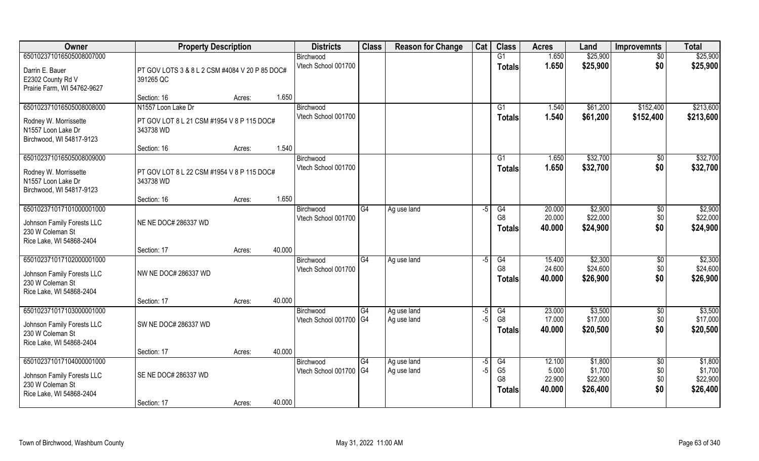| Owner                                          | <b>Property Description</b>                    |                  | <b>Districts</b>                 | <b>Class</b> | <b>Reason for Change</b> | Cat  | <b>Class</b>    | <b>Acres</b> | Land     | <b>Improvemnts</b> | <b>Total</b> |
|------------------------------------------------|------------------------------------------------|------------------|----------------------------------|--------------|--------------------------|------|-----------------|--------------|----------|--------------------|--------------|
| 650102371016505008007000                       |                                                |                  | Birchwood                        |              |                          |      | G1              | 1.650        | \$25,900 | $\overline{50}$    | \$25,900     |
| Darrin E. Bauer                                | PT GOV LOTS 3 & 8 L 2 CSM #4084 V 20 P 85 DOC# |                  | Vtech School 001700              |              |                          |      | <b>Totals</b>   | 1.650        | \$25,900 | \$0                | \$25,900     |
| E2302 County Rd V                              | 391265 QC                                      |                  |                                  |              |                          |      |                 |              |          |                    |              |
| Prairie Farm, WI 54762-9627                    |                                                |                  |                                  |              |                          |      |                 |              |          |                    |              |
|                                                | Section: 16                                    | 1.650<br>Acres:  |                                  |              |                          |      |                 |              |          |                    |              |
| 650102371016505008008000                       | N1557 Loon Lake Dr                             |                  | Birchwood                        |              |                          |      | G1              | 1.540        | \$61,200 | \$152,400          | \$213,600    |
| Rodney W. Morrissette                          | PT GOV LOT 8 L 21 CSM #1954 V 8 P 115 DOC#     |                  | Vtech School 001700              |              |                          |      | <b>Totals</b>   | 1.540        | \$61,200 | \$152,400          | \$213,600    |
| N1557 Loon Lake Dr                             | 343738 WD                                      |                  |                                  |              |                          |      |                 |              |          |                    |              |
| Birchwood, WI 54817-9123                       |                                                |                  |                                  |              |                          |      |                 |              |          |                    |              |
|                                                | Section: 16                                    | 1.540<br>Acres:  |                                  |              |                          |      |                 |              |          |                    |              |
| 650102371016505008009000                       |                                                |                  | Birchwood<br>Vtech School 001700 |              |                          |      | G1              | 1.650        | \$32,700 | \$0                | \$32,700     |
| Rodney W. Morrissette                          | PT GOV LOT 8 L 22 CSM #1954 V 8 P 115 DOC#     |                  |                                  |              |                          |      | <b>Totals</b>   | 1.650        | \$32,700 | \$0                | \$32,700     |
| N1557 Loon Lake Dr                             | 343738 WD                                      |                  |                                  |              |                          |      |                 |              |          |                    |              |
| Birchwood, WI 54817-9123                       |                                                | 1.650            |                                  |              |                          |      |                 |              |          |                    |              |
| 650102371017101000001000                       | Section: 16                                    | Acres:           | Birchwood                        | G4           | Ag use land              | -5   | G4              | 20.000       | \$2,900  | \$0                | \$2,900      |
|                                                |                                                |                  | Vtech School 001700              |              |                          |      | G <sub>8</sub>  | 20.000       | \$22,000 | \$0                | \$22,000     |
| Johnson Family Forests LLC                     | NE NE DOC# 286337 WD                           |                  |                                  |              |                          |      | <b>Totals</b>   | 40.000       | \$24,900 | \$0                | \$24,900     |
| 230 W Coleman St                               |                                                |                  |                                  |              |                          |      |                 |              |          |                    |              |
| Rice Lake, WI 54868-2404                       | Section: 17                                    | 40.000<br>Acres: |                                  |              |                          |      |                 |              |          |                    |              |
| 650102371017102000001000                       |                                                |                  | Birchwood                        | G4           | Ag use land              | -5   | $\overline{G4}$ | 15.400       | \$2,300  | $\overline{50}$    | \$2,300      |
|                                                |                                                |                  | Vtech School 001700              |              |                          |      | G <sub>8</sub>  | 24.600       | \$24,600 | \$0                | \$24,600     |
| Johnson Family Forests LLC<br>230 W Coleman St | NW NE DOC# 286337 WD                           |                  |                                  |              |                          |      | <b>Totals</b>   | 40.000       | \$26,900 | \$0                | \$26,900     |
| Rice Lake, WI 54868-2404                       |                                                |                  |                                  |              |                          |      |                 |              |          |                    |              |
|                                                | Section: 17                                    | 40.000<br>Acres: |                                  |              |                          |      |                 |              |          |                    |              |
| 650102371017103000001000                       |                                                |                  | Birchwood                        | G4           | Ag use land              | $-5$ | G4              | 23.000       | \$3,500  | \$0                | \$3,500      |
| Johnson Family Forests LLC                     | SW NE DOC# 286337 WD                           |                  | Vtech School 001700   G4         |              | Ag use land              | $-5$ | G <sub>8</sub>  | 17.000       | \$17,000 | \$0                | \$17,000     |
| 230 W Coleman St                               |                                                |                  |                                  |              |                          |      | <b>Totals</b>   | 40.000       | \$20,500 | \$0                | \$20,500     |
| Rice Lake, WI 54868-2404                       |                                                |                  |                                  |              |                          |      |                 |              |          |                    |              |
|                                                | Section: 17                                    | 40.000<br>Acres: |                                  |              |                          |      |                 |              |          |                    |              |
| 650102371017104000001000                       |                                                |                  | Birchwood                        | G4           | Ag use land              | -5   | G4              | 12.100       | \$1,800  | $\overline{50}$    | \$1,800      |
| Johnson Family Forests LLC                     | SE NE DOC# 286337 WD                           |                  | Vtech School 001700 G4           |              | Ag use land              | $-5$ | G <sub>5</sub>  | 5.000        | \$1,700  | \$0                | \$1,700      |
| 230 W Coleman St                               |                                                |                  |                                  |              |                          |      | G <sub>8</sub>  | 22.900       | \$22,900 | \$0                | \$22,900     |
| Rice Lake, WI 54868-2404                       |                                                |                  |                                  |              |                          |      | <b>Totals</b>   | 40.000       | \$26,400 | \$0                | \$26,400     |
|                                                | Section: 17                                    | 40.000<br>Acres: |                                  |              |                          |      |                 |              |          |                    |              |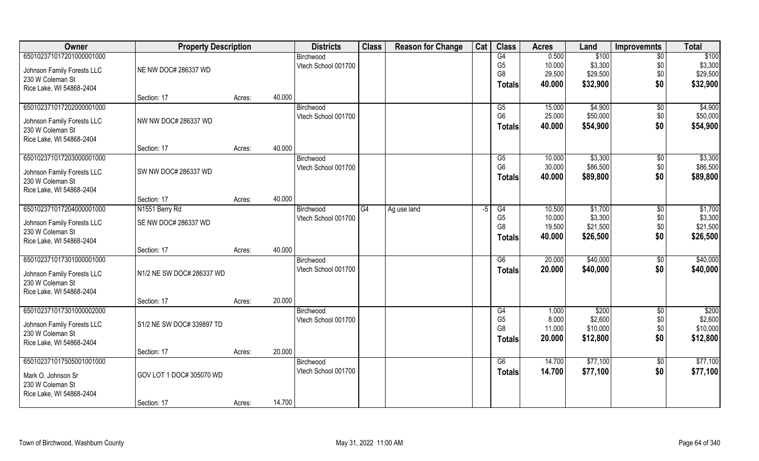| Owner                      | <b>Property Description</b> |        |        | <b>Districts</b>    | <b>Class</b> | <b>Reason for Change</b> | Cat | <b>Class</b>   | <b>Acres</b> | Land     | <b>Improvemnts</b> | <b>Total</b> |
|----------------------------|-----------------------------|--------|--------|---------------------|--------------|--------------------------|-----|----------------|--------------|----------|--------------------|--------------|
| 650102371017201000001000   |                             |        |        | Birchwood           |              |                          |     | G4             | 0.500        | \$100    | $\sqrt{6}$         | \$100        |
| Johnson Family Forests LLC | NE NW DOC# 286337 WD        |        |        | Vtech School 001700 |              |                          |     | G <sub>5</sub> | 10.000       | \$3,300  | \$0                | \$3,300      |
| 230 W Coleman St           |                             |        |        |                     |              |                          |     | G8             | 29.500       | \$29,500 | \$0                | \$29,500     |
| Rice Lake, WI 54868-2404   |                             |        |        |                     |              |                          |     | <b>Totals</b>  | 40.000       | \$32,900 | \$0                | \$32,900     |
|                            | Section: 17                 | Acres: | 40.000 |                     |              |                          |     |                |              |          |                    |              |
| 650102371017202000001000   |                             |        |        | Birchwood           |              |                          |     | G5             | 15.000       | \$4,900  | $\sqrt{$0}$        | \$4,900      |
| Johnson Family Forests LLC | NW NW DOC# 286337 WD        |        |        | Vtech School 001700 |              |                          |     | G <sub>6</sub> | 25.000       | \$50,000 | \$0                | \$50,000     |
| 230 W Coleman St           |                             |        |        |                     |              |                          |     | <b>Totals</b>  | 40.000       | \$54,900 | \$0                | \$54,900     |
| Rice Lake, WI 54868-2404   |                             |        |        |                     |              |                          |     |                |              |          |                    |              |
|                            | Section: 17                 | Acres: | 40.000 |                     |              |                          |     |                |              |          |                    |              |
| 650102371017203000001000   |                             |        |        | Birchwood           |              |                          |     | G5             | 10.000       | \$3,300  | $\sqrt{50}$        | \$3,300      |
| Johnson Family Forests LLC | SW NW DOC# 286337 WD        |        |        | Vtech School 001700 |              |                          |     | G <sub>6</sub> | 30.000       | \$86,500 | \$0                | \$86,500     |
| 230 W Coleman St           |                             |        |        |                     |              |                          |     | Totals         | 40.000       | \$89,800 | \$0                | \$89,800     |
| Rice Lake, WI 54868-2404   |                             |        |        |                     |              |                          |     |                |              |          |                    |              |
|                            | Section: 17                 | Acres: | 40.000 |                     |              |                          |     |                |              |          |                    |              |
| 650102371017204000001000   | N1551 Berry Rd              |        |        | Birchwood           | G4           | Ag use land              | -5  | G4             | 10.500       | \$1,700  | \$0                | \$1,700      |
| Johnson Family Forests LLC | SE NW DOC# 286337 WD        |        |        | Vtech School 001700 |              |                          |     | G <sub>5</sub> | 10.000       | \$3,300  | \$0                | \$3,300      |
| 230 W Coleman St           |                             |        |        |                     |              |                          |     | G8             | 19.500       | \$21,500 | \$0                | \$21,500     |
| Rice Lake, WI 54868-2404   |                             |        |        |                     |              |                          |     | <b>Totals</b>  | 40.000       | \$26,500 | \$0                | \$26,500     |
|                            | Section: 17                 | Acres: | 40.000 |                     |              |                          |     |                |              |          |                    |              |
| 650102371017301000001000   |                             |        |        | Birchwood           |              |                          |     | G6             | 20.000       | \$40,000 | $\sqrt[6]{30}$     | \$40,000     |
| Johnson Family Forests LLC | N1/2 NE SW DOC# 286337 WD   |        |        | Vtech School 001700 |              |                          |     | <b>Totals</b>  | 20.000       | \$40,000 | \$0                | \$40,000     |
| 230 W Coleman St           |                             |        |        |                     |              |                          |     |                |              |          |                    |              |
| Rice Lake, WI 54868-2404   |                             |        |        |                     |              |                          |     |                |              |          |                    |              |
|                            | Section: 17                 | Acres: | 20.000 |                     |              |                          |     |                |              |          |                    |              |
| 650102371017301000002000   |                             |        |        | Birchwood           |              |                          |     | G4             | 1.000        | \$200    | \$0                | \$200        |
| Johnson Family Forests LLC | S1/2 NE SW DOC# 339897 TD   |        |        | Vtech School 001700 |              |                          |     | G <sub>5</sub> | 8.000        | \$2,600  | \$0                | \$2,600      |
| 230 W Coleman St           |                             |        |        |                     |              |                          |     | G <sub>8</sub> | 11.000       | \$10,000 | \$0                | \$10,000     |
| Rice Lake, WI 54868-2404   |                             |        |        |                     |              |                          |     | <b>Totals</b>  | 20.000       | \$12,800 | \$0                | \$12,800     |
|                            | Section: 17                 | Acres: | 20.000 |                     |              |                          |     |                |              |          |                    |              |
| 650102371017505001001000   |                             |        |        | Birchwood           |              |                          |     | G6             | 14.700       | \$77,100 | $\sqrt{$0}$        | \$77,100     |
| Mark O. Johnson Sr         | GOV LOT 1 DOC# 305070 WD    |        |        | Vtech School 001700 |              |                          |     | <b>Totals</b>  | 14.700       | \$77,100 | \$0                | \$77,100     |
| 230 W Coleman St           |                             |        |        |                     |              |                          |     |                |              |          |                    |              |
| Rice Lake, WI 54868-2404   |                             |        |        |                     |              |                          |     |                |              |          |                    |              |
|                            | Section: 17                 | Acres: | 14.700 |                     |              |                          |     |                |              |          |                    |              |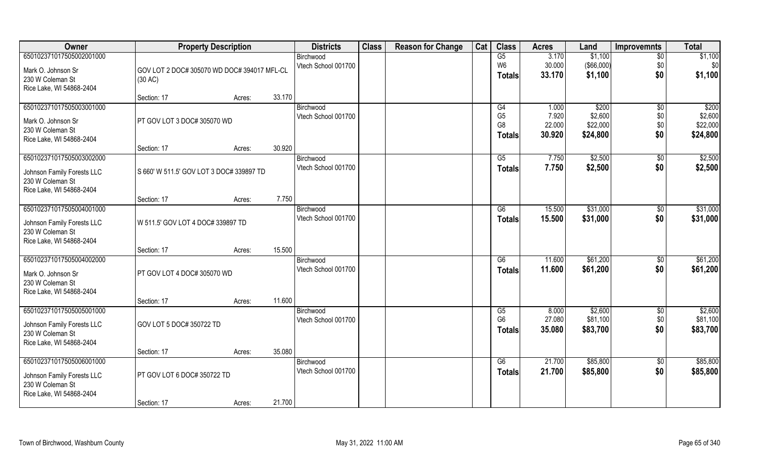| Owner                                        | <b>Property Description</b>                 |                  | <b>Districts</b>                 | <b>Class</b> | <b>Reason for Change</b> | Cat | <b>Class</b>        | <b>Acres</b>     | Land                   | <b>Improvemnts</b>     | <b>Total</b>         |
|----------------------------------------------|---------------------------------------------|------------------|----------------------------------|--------------|--------------------------|-----|---------------------|------------------|------------------------|------------------------|----------------------|
| 650102371017505002001000                     |                                             |                  | Birchwood                        |              |                          |     | G5                  | 3.170            | \$1,100                | $\overline{50}$        | \$1,100              |
| Mark O. Johnson Sr                           | GOV LOT 2 DOC# 305070 WD DOC# 394017 MFL-CL |                  | Vtech School 001700              |              |                          |     | W6<br><b>Totals</b> | 30.000<br>33.170 | ( \$66,000)<br>\$1,100 | \$0<br>\$0             | \$0<br>\$1,100       |
| 230 W Coleman St                             | (30 AC)                                     |                  |                                  |              |                          |     |                     |                  |                        |                        |                      |
| Rice Lake, WI 54868-2404                     | Section: 17                                 | 33.170<br>Acres: |                                  |              |                          |     |                     |                  |                        |                        |                      |
| 650102371017505003001000                     |                                             |                  | Birchwood                        |              |                          |     | G4                  | 1.000            | \$200                  | \$0                    | \$200                |
| Mark O. Johnson Sr                           | PT GOV LOT 3 DOC# 305070 WD                 |                  | Vtech School 001700              |              |                          |     | G <sub>5</sub>      | 7.920            | \$2,600                | \$0                    | \$2,600              |
| 230 W Coleman St                             |                                             |                  |                                  |              |                          |     | G <sub>8</sub>      | 22.000<br>30.920 | \$22,000<br>\$24,800   | \$0<br>\$0             | \$22,000<br>\$24,800 |
| Rice Lake, WI 54868-2404                     |                                             |                  |                                  |              |                          |     | <b>Totals</b>       |                  |                        |                        |                      |
|                                              | Section: 17                                 | 30.920<br>Acres: |                                  |              |                          |     |                     |                  |                        |                        |                      |
| 650102371017505003002000                     |                                             |                  | Birchwood<br>Vtech School 001700 |              |                          |     | G5<br><b>Totals</b> | 7.750<br>7.750   | \$2,500<br>\$2,500     | $\sqrt[6]{3}$<br>\$0   | \$2,500<br>\$2,500   |
| Johnson Family Forests LLC                   | S 660' W 511.5' GOV LOT 3 DOC# 339897 TD    |                  |                                  |              |                          |     |                     |                  |                        |                        |                      |
| 230 W Coleman St<br>Rice Lake, WI 54868-2404 |                                             |                  |                                  |              |                          |     |                     |                  |                        |                        |                      |
|                                              | Section: 17                                 | Acres:           | 7.750                            |              |                          |     |                     |                  |                        |                        |                      |
| 650102371017505004001000                     |                                             |                  | Birchwood                        |              |                          |     | G6                  | 15.500           | \$31,000               | \$0                    | \$31,000             |
| Johnson Family Forests LLC                   | W 511.5' GOV LOT 4 DOC# 339897 TD           |                  | Vtech School 001700              |              |                          |     | <b>Totals</b>       | 15.500           | \$31,000               | \$0                    | \$31,000             |
| 230 W Coleman St                             |                                             |                  |                                  |              |                          |     |                     |                  |                        |                        |                      |
| Rice Lake, WI 54868-2404                     |                                             |                  |                                  |              |                          |     |                     |                  |                        |                        |                      |
| 650102371017505004002000                     | Section: 17                                 | 15.500<br>Acres: |                                  |              |                          |     | G6                  | 11.600           | \$61,200               |                        | \$61,200             |
|                                              |                                             |                  | Birchwood<br>Vtech School 001700 |              |                          |     | <b>Totals</b>       | 11.600           | \$61,200               | $\sqrt[6]{30}$<br>\$0  | \$61,200             |
| Mark O. Johnson Sr                           | PT GOV LOT 4 DOC# 305070 WD                 |                  |                                  |              |                          |     |                     |                  |                        |                        |                      |
| 230 W Coleman St<br>Rice Lake, WI 54868-2404 |                                             |                  |                                  |              |                          |     |                     |                  |                        |                        |                      |
|                                              | Section: 17                                 | 11.600<br>Acres: |                                  |              |                          |     |                     |                  |                        |                        |                      |
| 650102371017505005001000                     |                                             |                  | Birchwood                        |              |                          |     | G5                  | 8.000            | \$2,600                | $\overline{50}$        | \$2,600              |
| Johnson Family Forests LLC                   | GOV LOT 5 DOC# 350722 TD                    |                  | Vtech School 001700              |              |                          |     | G <sub>6</sub>      | 27.080           | \$81,100               | \$0                    | \$81,100             |
| 230 W Coleman St                             |                                             |                  |                                  |              |                          |     | <b>Totals</b>       | 35.080           | \$83,700               | \$0                    | \$83,700             |
| Rice Lake, WI 54868-2404                     |                                             |                  |                                  |              |                          |     |                     |                  |                        |                        |                      |
|                                              | Section: 17                                 | 35.080<br>Acres: |                                  |              |                          |     |                     |                  |                        |                        |                      |
| 650102371017505006001000                     |                                             |                  | Birchwood<br>Vtech School 001700 |              |                          |     | G6<br><b>Totals</b> | 21.700<br>21.700 | \$85,800<br>\$85,800   | $\overline{50}$<br>\$0 | \$85,800<br>\$85,800 |
| Johnson Family Forests LLC                   | PT GOV LOT 6 DOC# 350722 TD                 |                  |                                  |              |                          |     |                     |                  |                        |                        |                      |
| 230 W Coleman St<br>Rice Lake, WI 54868-2404 |                                             |                  |                                  |              |                          |     |                     |                  |                        |                        |                      |
|                                              | Section: 17                                 | 21.700<br>Acres: |                                  |              |                          |     |                     |                  |                        |                        |                      |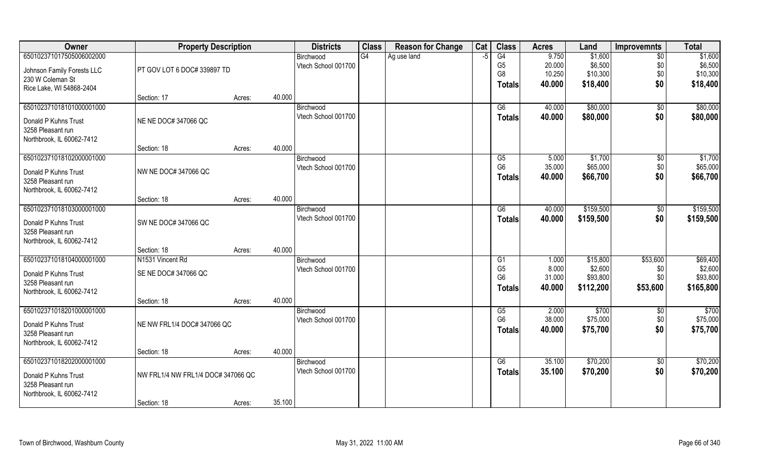| Owner                      | <b>Property Description</b>        |        |           | <b>Districts</b>    | <b>Class</b> | <b>Reason for Change</b> | Cat | <b>Class</b>   | <b>Acres</b> | Land      | <b>Improvemnts</b> | <b>Total</b> |
|----------------------------|------------------------------------|--------|-----------|---------------------|--------------|--------------------------|-----|----------------|--------------|-----------|--------------------|--------------|
| 650102371017505006002000   |                                    |        | Birchwood |                     | G4           | Ag use land              | -5  | G4             | 9.750        | \$1,600   | $\sqrt{6}$         | \$1,600      |
| Johnson Family Forests LLC | PT GOV LOT 6 DOC# 339897 TD        |        |           | Vtech School 001700 |              |                          |     | G <sub>5</sub> | 20.000       | \$6,500   | \$0                | \$6,500      |
| 230 W Coleman St           |                                    |        |           |                     |              |                          |     | G8             | 10.250       | \$10,300  | \$0                | \$10,300     |
| Rice Lake, WI 54868-2404   |                                    |        |           |                     |              |                          |     | Totals         | 40.000       | \$18,400  | \$0                | \$18,400     |
|                            | Section: 17                        | Acres: | 40.000    |                     |              |                          |     |                |              |           |                    |              |
| 650102371018101000001000   |                                    |        | Birchwood |                     |              |                          |     | G6             | 40.000       | \$80,000  | $\overline{50}$    | \$80,000     |
| Donald P Kuhns Trust       | NE NE DOC# 347066 QC               |        |           | Vtech School 001700 |              |                          |     | <b>Totals</b>  | 40.000       | \$80,000  | \$0                | \$80,000     |
| 3258 Pleasant run          |                                    |        |           |                     |              |                          |     |                |              |           |                    |              |
| Northbrook, IL 60062-7412  |                                    |        |           |                     |              |                          |     |                |              |           |                    |              |
|                            | Section: 18                        | Acres: | 40.000    |                     |              |                          |     |                |              |           |                    |              |
| 650102371018102000001000   |                                    |        | Birchwood |                     |              |                          |     | G5             | 5.000        | \$1,700   | $\sqrt{50}$        | \$1,700      |
| Donald P Kuhns Trust       | NW NE DOC# 347066 QC               |        |           | Vtech School 001700 |              |                          |     | G <sub>6</sub> | 35.000       | \$65,000  | \$0                | \$65,000     |
| 3258 Pleasant run          |                                    |        |           |                     |              |                          |     | Totals         | 40.000       | \$66,700  | \$0                | \$66,700     |
| Northbrook, IL 60062-7412  |                                    |        |           |                     |              |                          |     |                |              |           |                    |              |
|                            | Section: 18                        | Acres: | 40.000    |                     |              |                          |     |                |              |           |                    |              |
| 650102371018103000001000   |                                    |        | Birchwood |                     |              |                          |     | G6             | 40.000       | \$159,500 | \$0                | \$159,500    |
| Donald P Kuhns Trust       | SW NE DOC# 347066 QC               |        |           | Vtech School 001700 |              |                          |     | Totals         | 40.000       | \$159,500 | \$0                | \$159,500    |
| 3258 Pleasant run          |                                    |        |           |                     |              |                          |     |                |              |           |                    |              |
| Northbrook, IL 60062-7412  |                                    |        |           |                     |              |                          |     |                |              |           |                    |              |
|                            | Section: 18                        | Acres: | 40.000    |                     |              |                          |     |                |              |           |                    |              |
| 650102371018104000001000   | N <sub>1531</sub> Vincent Rd       |        | Birchwood |                     |              |                          |     | G1             | 1.000        | \$15,800  | \$53,600           | \$69,400     |
| Donald P Kuhns Trust       | SE NE DOC# 347066 QC               |        |           | Vtech School 001700 |              |                          |     | G <sub>5</sub> | 8.000        | \$2,600   | \$0                | \$2,600      |
| 3258 Pleasant run          |                                    |        |           |                     |              |                          |     | G <sub>6</sub> | 31.000       | \$93,800  | \$0                | \$93,800     |
| Northbrook, IL 60062-7412  |                                    |        |           |                     |              |                          |     | Totals         | 40.000       | \$112,200 | \$53,600           | \$165,800    |
|                            | Section: 18                        | Acres: | 40.000    |                     |              |                          |     |                |              |           |                    |              |
| 650102371018201000001000   |                                    |        | Birchwood |                     |              |                          |     | G5             | 2.000        | \$700     | \$0                | \$700        |
| Donald P Kuhns Trust       | NE NW FRL1/4 DOC# 347066 QC        |        |           | Vtech School 001700 |              |                          |     | G <sub>6</sub> | 38.000       | \$75,000  | \$0                | \$75,000     |
| 3258 Pleasant run          |                                    |        |           |                     |              |                          |     | <b>Totals</b>  | 40.000       | \$75,700  | \$0                | \$75,700     |
| Northbrook, IL 60062-7412  |                                    |        |           |                     |              |                          |     |                |              |           |                    |              |
|                            | Section: 18                        | Acres: | 40.000    |                     |              |                          |     |                |              |           |                    |              |
| 650102371018202000001000   |                                    |        | Birchwood |                     |              |                          |     | G6             | 35.100       | \$70,200  | $\overline{50}$    | \$70,200     |
| Donald P Kuhns Trust       | NW FRL1/4 NW FRL1/4 DOC# 347066 QC |        |           | Vtech School 001700 |              |                          |     | <b>Totals</b>  | 35.100       | \$70,200  | \$0                | \$70,200     |
| 3258 Pleasant run          |                                    |        |           |                     |              |                          |     |                |              |           |                    |              |
| Northbrook, IL 60062-7412  |                                    |        |           |                     |              |                          |     |                |              |           |                    |              |
|                            | Section: 18                        | Acres: | 35.100    |                     |              |                          |     |                |              |           |                    |              |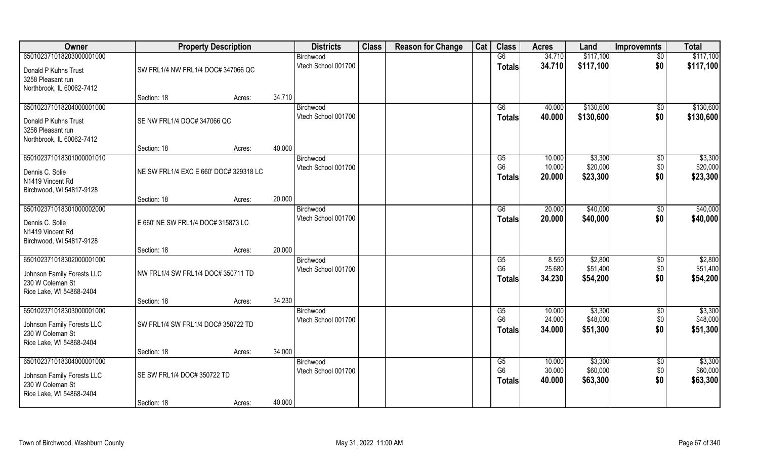| Owner                                        | <b>Property Description</b>            |        |        | <b>Districts</b>                 | <b>Class</b> | <b>Reason for Change</b> | Cat | <b>Class</b>         | <b>Acres</b>    | Land                | <b>Improvemnts</b> | <b>Total</b>        |
|----------------------------------------------|----------------------------------------|--------|--------|----------------------------------|--------------|--------------------------|-----|----------------------|-----------------|---------------------|--------------------|---------------------|
| 650102371018203000001000                     |                                        |        |        | Birchwood                        |              |                          |     | G6                   | 34.710          | \$117,100           | $\sqrt{$0}$        | \$117,100           |
| Donald P Kuhns Trust<br>3258 Pleasant run    | SW FRL1/4 NW FRL1/4 DOC# 347066 QC     |        |        | Vtech School 001700              |              |                          |     | <b>Totals</b>        | 34.710          | \$117,100           | \$0                | \$117,100           |
| Northbrook, IL 60062-7412                    |                                        |        |        |                                  |              |                          |     |                      |                 |                     |                    |                     |
|                                              | Section: 18                            | Acres: | 34.710 |                                  |              |                          |     |                      |                 |                     |                    |                     |
| 650102371018204000001000                     |                                        |        |        | Birchwood                        |              |                          |     | G6                   | 40.000          | \$130,600           | $\sqrt{$0}$        | \$130,600           |
| Donald P Kuhns Trust                         | SE NW FRL1/4 DOC# 347066 QC            |        |        | Vtech School 001700              |              |                          |     | Totals               | 40.000          | \$130,600           | \$0                | \$130,600           |
| 3258 Pleasant run                            |                                        |        |        |                                  |              |                          |     |                      |                 |                     |                    |                     |
| Northbrook, IL 60062-7412                    |                                        |        |        |                                  |              |                          |     |                      |                 |                     |                    |                     |
|                                              | Section: 18                            | Acres: | 40.000 |                                  |              |                          |     |                      |                 |                     |                    |                     |
| 650102371018301000001010                     |                                        |        |        | Birchwood                        |              |                          |     | G5                   | 10.000          | \$3,300             | \$0                | \$3,300             |
| Dennis C. Solie                              | NE SW FRL1/4 EXC E 660' DOC# 329318 LC |        |        | Vtech School 001700              |              |                          |     | G <sub>6</sub>       | 10.000          | \$20,000            | \$0                | \$20,000            |
| N1419 Vincent Rd                             |                                        |        |        |                                  |              |                          |     | Totals               | 20.000          | \$23,300            | \$0                | \$23,300            |
| Birchwood, WI 54817-9128                     |                                        |        |        |                                  |              |                          |     |                      |                 |                     |                    |                     |
|                                              | Section: 18                            | Acres: | 20.000 |                                  |              |                          |     |                      |                 |                     |                    |                     |
| 650102371018301000002000                     |                                        |        |        | Birchwood                        |              |                          |     | G6                   | 20.000          | \$40,000            | $\sqrt[6]{3}$      | \$40,000            |
| Dennis C. Solie                              | E 660' NE SW FRL1/4 DOC# 315873 LC     |        |        | Vtech School 001700              |              |                          |     | <b>Totals</b>        | 20.000          | \$40,000            | \$0                | \$40,000            |
| N1419 Vincent Rd                             |                                        |        |        |                                  |              |                          |     |                      |                 |                     |                    |                     |
| Birchwood, WI 54817-9128                     |                                        |        |        |                                  |              |                          |     |                      |                 |                     |                    |                     |
|                                              | Section: 18                            | Acres: | 20.000 |                                  |              |                          |     |                      |                 |                     |                    |                     |
| 650102371018302000001000                     |                                        |        |        | Birchwood<br>Vtech School 001700 |              |                          |     | G5<br>G <sub>6</sub> | 8.550<br>25.680 | \$2,800<br>\$51,400 | \$0<br>\$0         | \$2,800<br>\$51,400 |
| Johnson Family Forests LLC                   | NW FRL1/4 SW FRL1/4 DOC# 350711 TD     |        |        |                                  |              |                          |     | Totals               | 34.230          | \$54,200            | \$0                | \$54,200            |
| 230 W Coleman St                             |                                        |        |        |                                  |              |                          |     |                      |                 |                     |                    |                     |
| Rice Lake, WI 54868-2404                     |                                        |        |        |                                  |              |                          |     |                      |                 |                     |                    |                     |
| 650102371018303000001000                     | Section: 18                            | Acres: | 34.230 |                                  |              |                          |     | G5                   | 10.000          | \$3,300             |                    | \$3,300             |
|                                              |                                        |        |        | Birchwood<br>Vtech School 001700 |              |                          |     | G <sub>6</sub>       | 24.000          | \$48,000            | $\sqrt{$0}$<br>\$0 | \$48,000            |
| Johnson Family Forests LLC                   | SW FRL1/4 SW FRL1/4 DOC# 350722 TD     |        |        |                                  |              |                          |     | Totals               | 34.000          | \$51,300            | \$0                | \$51,300            |
| 230 W Coleman St                             |                                        |        |        |                                  |              |                          |     |                      |                 |                     |                    |                     |
| Rice Lake, WI 54868-2404                     | Section: 18                            |        | 34.000 |                                  |              |                          |     |                      |                 |                     |                    |                     |
| 650102371018304000001000                     |                                        | Acres: |        | Birchwood                        |              |                          |     | G5                   | 10.000          | \$3,300             | $\sqrt{$0}$        | \$3,300             |
|                                              |                                        |        |        | Vtech School 001700              |              |                          |     | G <sub>6</sub>       | 30.000          | \$60,000            | \$0                | \$60,000            |
| Johnson Family Forests LLC                   | SE SW FRL1/4 DOC# 350722 TD            |        |        |                                  |              |                          |     | <b>Totals</b>        | 40.000          | \$63,300            | \$0                | \$63,300            |
| 230 W Coleman St<br>Rice Lake, WI 54868-2404 |                                        |        |        |                                  |              |                          |     |                      |                 |                     |                    |                     |
|                                              | Section: 18                            | Acres: | 40.000 |                                  |              |                          |     |                      |                 |                     |                    |                     |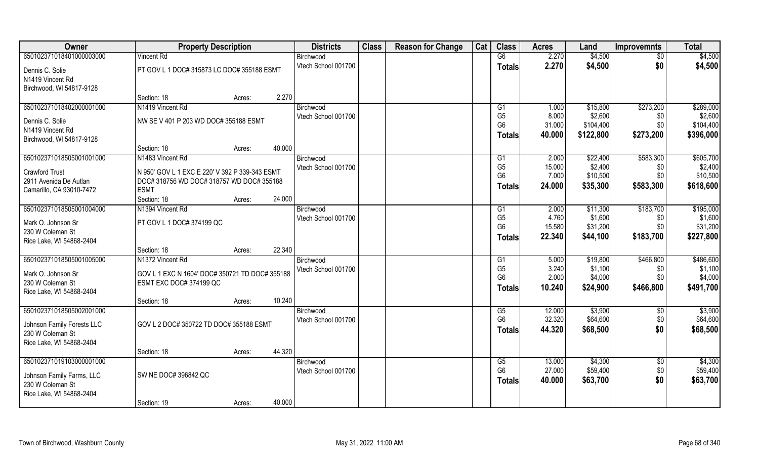| Owner                      | <b>Property Description</b>                    |        |        | <b>Districts</b>    | <b>Class</b> | <b>Reason for Change</b> | Cat | <b>Class</b>                     | <b>Acres</b>    | Land                 | <b>Improvemnts</b> | <b>Total</b>          |
|----------------------------|------------------------------------------------|--------|--------|---------------------|--------------|--------------------------|-----|----------------------------------|-----------------|----------------------|--------------------|-----------------------|
| 650102371018401000003000   | <b>Vincent Rd</b>                              |        |        | Birchwood           |              |                          |     | G6                               | 2.270           | \$4,500              | \$0                | \$4,500               |
| Dennis C. Solie            | PT GOV L 1 DOC# 315873 LC DOC# 355188 ESMT     |        |        | Vtech School 001700 |              |                          |     | <b>Totals</b>                    | 2.270           | \$4,500              | \$0                | \$4,500               |
| N1419 Vincent Rd           |                                                |        |        |                     |              |                          |     |                                  |                 |                      |                    |                       |
| Birchwood, WI 54817-9128   |                                                |        |        |                     |              |                          |     |                                  |                 |                      |                    |                       |
|                            | Section: 18                                    | Acres: | 2.270  |                     |              |                          |     |                                  |                 |                      |                    |                       |
| 650102371018402000001000   | N1419 Vincent Rd                               |        |        | Birchwood           |              |                          |     | G1                               | 1.000           | \$15,800             | \$273,200          | \$289,000             |
| Dennis C. Solie            | NW SE V 401 P 203 WD DOC# 355188 ESMT          |        |        | Vtech School 001700 |              |                          |     | G <sub>5</sub><br>G <sub>6</sub> | 8.000<br>31.000 | \$2,600              | \$0<br>\$0         | \$2,600               |
| N1419 Vincent Rd           |                                                |        |        |                     |              |                          |     |                                  |                 | \$104,400            |                    | \$104,400             |
| Birchwood, WI 54817-9128   |                                                |        |        |                     |              |                          |     | <b>Totals</b>                    | 40.000          | \$122,800            | \$273,200          | \$396,000             |
|                            | Section: 18                                    | Acres: | 40.000 |                     |              |                          |     |                                  |                 |                      |                    |                       |
| 650102371018505001001000   | N1483 Vincent Rd                               |        |        | Birchwood           |              |                          |     | G1                               | 2.000           | \$22,400             | \$583,300          | \$605,700             |
| <b>Crawford Trust</b>      | N 950' GOV L 1 EXC E 220' V 392 P 339-343 ESMT |        |        | Vtech School 001700 |              |                          |     | G <sub>5</sub><br>G <sub>6</sub> | 15.000          | \$2,400              | \$0<br>\$0         | \$2,400               |
| 2911 Avenida De Autlan     | DOC# 318756 WD DOC# 318757 WD DOC# 355188      |        |        |                     |              |                          |     |                                  | 7.000<br>24.000 | \$10,500             |                    | \$10,500              |
| Camarillo, CA 93010-7472   | <b>ESMT</b>                                    |        |        |                     |              |                          |     | <b>Totals</b>                    |                 | \$35,300             | \$583,300          | \$618,600             |
|                            | Section: 18                                    | Acres: | 24.000 |                     |              |                          |     |                                  |                 |                      |                    |                       |
| 650102371018505001004000   | N1394 Vincent Rd                               |        |        | Birchwood           |              |                          |     | G1                               | 2.000           | \$11,300             | \$183,700          | \$195,000             |
| Mark O. Johnson Sr         | PT GOV L 1 DOC# 374199 QC                      |        |        | Vtech School 001700 |              |                          |     | G <sub>5</sub><br>G <sub>6</sub> | 4.760<br>15.580 | \$1,600              | \$0                | \$1,600               |
| 230 W Coleman St           |                                                |        |        |                     |              |                          |     |                                  | 22.340          | \$31,200<br>\$44,100 | \$0<br>\$183,700   | \$31,200<br>\$227,800 |
| Rice Lake, WI 54868-2404   |                                                |        |        |                     |              |                          |     | <b>Totals</b>                    |                 |                      |                    |                       |
|                            | Section: 18                                    | Acres: | 22.340 |                     |              |                          |     |                                  |                 |                      |                    |                       |
| 650102371018505001005000   | N1372 Vincent Rd                               |        |        | Birchwood           |              |                          |     | G1                               | 5.000           | \$19,800             | \$466,800          | \$486,600             |
| Mark O. Johnson Sr         | GOV L 1 EXC N 1604' DOC# 350721 TD DOC# 355188 |        |        | Vtech School 001700 |              |                          |     | G <sub>5</sub><br>G <sub>6</sub> | 3.240<br>2.000  | \$1,100<br>\$4,000   | \$0<br>\$0         | \$1,100<br>\$4,000    |
| 230 W Coleman St           | ESMT EXC DOC# 374199 QC                        |        |        |                     |              |                          |     | <b>Totals</b>                    | 10.240          | \$24,900             | \$466,800          | \$491,700             |
| Rice Lake, WI 54868-2404   |                                                |        |        |                     |              |                          |     |                                  |                 |                      |                    |                       |
|                            | Section: 18                                    | Acres: | 10.240 |                     |              |                          |     |                                  |                 |                      |                    |                       |
| 650102371018505002001000   |                                                |        |        | Birchwood           |              |                          |     | G5                               | 12.000          | \$3,900              | $\sqrt{6}$         | \$3,900               |
| Johnson Family Forests LLC | GOV L 2 DOC# 350722 TD DOC# 355188 ESMT        |        |        | Vtech School 001700 |              |                          |     | G <sub>6</sub>                   | 32.320          | \$64,600             | \$0                | \$64,600              |
| 230 W Coleman St           |                                                |        |        |                     |              |                          |     | <b>Totals</b>                    | 44.320          | \$68,500             | \$0                | \$68,500              |
| Rice Lake, WI 54868-2404   |                                                |        |        |                     |              |                          |     |                                  |                 |                      |                    |                       |
|                            | Section: 18                                    | Acres: | 44.320 |                     |              |                          |     |                                  |                 |                      |                    |                       |
| 650102371019103000001000   |                                                |        |        | Birchwood           |              |                          |     | G5                               | 13.000          | \$4,300              | $\overline{50}$    | \$4,300               |
| Johnson Family Farms, LLC  | SW NE DOC# 396842 QC                           |        |        | Vtech School 001700 |              |                          |     | G <sub>6</sub>                   | 27.000          | \$59,400             | \$0                | \$59,400              |
| 230 W Coleman St           |                                                |        |        |                     |              |                          |     | <b>Totals</b>                    | 40.000          | \$63,700             | \$0                | \$63,700              |
| Rice Lake, WI 54868-2404   |                                                |        |        |                     |              |                          |     |                                  |                 |                      |                    |                       |
|                            | Section: 19                                    | Acres: | 40.000 |                     |              |                          |     |                                  |                 |                      |                    |                       |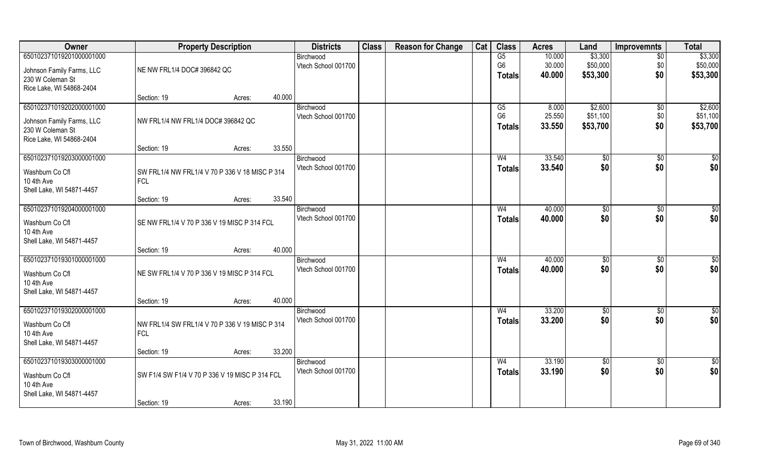| Owner                                                                                                 | <b>Property Description</b>                                   |        |        | <b>Districts</b>                 | <b>Class</b> | <b>Reason for Change</b> | Cat | <b>Class</b>                          | <b>Acres</b>               | Land                            | <b>Improvemnts</b>            | <b>Total</b>                    |
|-------------------------------------------------------------------------------------------------------|---------------------------------------------------------------|--------|--------|----------------------------------|--------------|--------------------------|-----|---------------------------------------|----------------------------|---------------------------------|-------------------------------|---------------------------------|
| 650102371019201000001000<br>Johnson Family Farms, LLC<br>230 W Coleman St                             | NE NW FRL1/4 DOC# 396842 QC                                   |        |        | Birchwood<br>Vtech School 001700 |              |                          |     | G5<br>G <sub>6</sub><br><b>Totals</b> | 10.000<br>30.000<br>40.000 | \$3,300<br>\$50,000<br>\$53,300 | $\overline{50}$<br>\$0<br>\$0 | \$3,300<br>\$50,000<br>\$53,300 |
| Rice Lake, WI 54868-2404                                                                              | Section: 19                                                   | Acres: | 40.000 |                                  |              |                          |     |                                       |                            |                                 |                               |                                 |
| 650102371019202000001000<br>Johnson Family Farms, LLC<br>230 W Coleman St<br>Rice Lake, WI 54868-2404 | NW FRL1/4 NW FRL1/4 DOC# 396842 QC                            |        |        | Birchwood<br>Vtech School 001700 |              |                          |     | G5<br>G <sub>6</sub><br><b>Totals</b> | 8.000<br>25.550<br>33.550  | \$2,600<br>\$51,100<br>\$53,700 | $\overline{50}$<br>\$0<br>\$0 | \$2,600<br>\$51,100<br>\$53,700 |
|                                                                                                       | Section: 19                                                   | Acres: | 33.550 |                                  |              |                          |     |                                       |                            |                                 |                               |                                 |
| 650102371019203000001000<br>Washburn Co Cfl<br>10 4th Ave<br>Shell Lake, WI 54871-4457                | SW FRL1/4 NW FRL1/4 V 70 P 336 V 18 MISC P 314<br><b>FCL</b>  |        |        | Birchwood<br>Vtech School 001700 |              |                          |     | W <sub>4</sub><br><b>Totals</b>       | 33.540<br>33.540           | \$0<br>\$0                      | \$0<br>\$0                    | \$0<br>\$0                      |
|                                                                                                       | Section: 19                                                   | Acres: | 33.540 |                                  |              |                          |     |                                       |                            |                                 |                               |                                 |
| 650102371019204000001000<br>Washburn Co Cfl<br>10 4th Ave<br>Shell Lake, WI 54871-4457                | SE NW FRL1/4 V 70 P 336 V 19 MISC P 314 FCL                   |        |        | Birchwood<br>Vtech School 001700 |              |                          |     | W4<br><b>Totals</b>                   | 40.000<br>40.000           | $\sqrt[6]{3}$<br>\$0            | $\sqrt[6]{30}$<br>\$0         | \$0<br>\$0                      |
|                                                                                                       | Section: 19                                                   | Acres: | 40.000 |                                  |              |                          |     |                                       |                            |                                 |                               |                                 |
| 650102371019301000001000<br>Washburn Co Cfl<br>10 4th Ave<br>Shell Lake, WI 54871-4457                | NE SW FRL1/4 V 70 P 336 V 19 MISC P 314 FCL                   |        |        | Birchwood<br>Vtech School 001700 |              |                          |     | W <sub>4</sub><br><b>Totals</b>       | 40.000<br>40.000           | \$0<br>\$0                      | $\sqrt[6]{30}$<br>\$0         | $\overline{50}$<br>\$0          |
|                                                                                                       | Section: 19                                                   | Acres: | 40.000 |                                  |              |                          |     |                                       |                            |                                 |                               |                                 |
| 650102371019302000001000<br>Washburn Co Cfl<br>10 4th Ave<br>Shell Lake, WI 54871-4457                | NW FRL1/4 SW FRL1/4 V 70 P 336 V 19 MISC P 314<br><b>FCL</b>  |        |        | Birchwood<br>Vtech School 001700 |              |                          |     | W <sub>4</sub><br><b>Totals</b>       | 33.200<br>33.200           | \$0<br>\$0                      | \$0<br>\$0                    | \$0<br>\$0                      |
|                                                                                                       | Section: 19                                                   | Acres: | 33.200 |                                  |              |                          |     |                                       |                            |                                 |                               |                                 |
| 650102371019303000001000<br>Washburn Co Cfl<br>10 4th Ave<br>Shell Lake, WI 54871-4457                | SW F1/4 SW F1/4 V 70 P 336 V 19 MISC P 314 FCL<br>Section: 19 | Acres: | 33.190 | Birchwood<br>Vtech School 001700 |              |                          |     | W <sub>4</sub><br><b>Totals</b>       | 33.190<br>33.190           | $\overline{50}$<br>\$0          | $\overline{50}$<br>\$0        | $\overline{50}$<br>\$0          |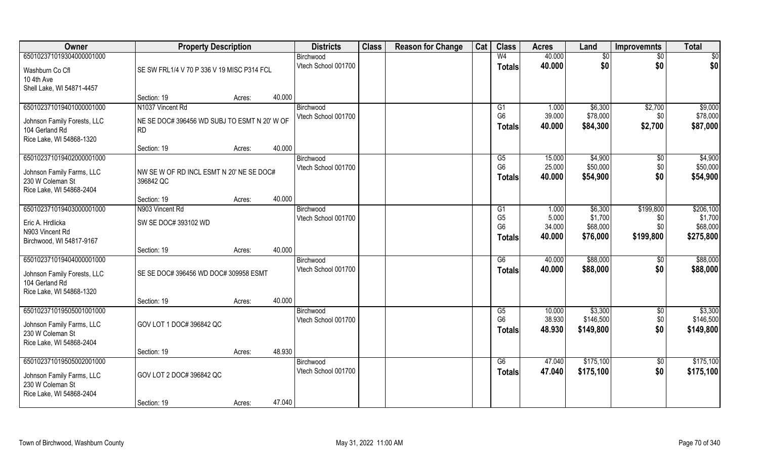| Owner                       | <b>Property Description</b>                  |        |        | <b>Districts</b>                 | <b>Class</b> | <b>Reason for Change</b> | Cat | <b>Class</b>                     | <b>Acres</b>     | Land                 | <b>Improvemnts</b> | <b>Total</b>         |
|-----------------------------|----------------------------------------------|--------|--------|----------------------------------|--------------|--------------------------|-----|----------------------------------|------------------|----------------------|--------------------|----------------------|
| 650102371019304000001000    |                                              |        |        | Birchwood                        |              |                          |     | W <sub>4</sub>                   | 40.000           | \$0                  | $\sqrt{$0}$        | \$0                  |
| Washburn Co Cfl             | SE SW FRL1/4 V 70 P 336 V 19 MISC P314 FCL   |        |        | Vtech School 001700              |              |                          |     | <b>Totals</b>                    | 40.000           | \$0                  | \$0                | \$0                  |
| 10 4th Ave                  |                                              |        |        |                                  |              |                          |     |                                  |                  |                      |                    |                      |
| Shell Lake, WI 54871-4457   |                                              |        |        |                                  |              |                          |     |                                  |                  |                      |                    |                      |
|                             | Section: 19                                  | Acres: | 40.000 |                                  |              |                          |     |                                  |                  |                      |                    |                      |
| 650102371019401000001000    | N1037 Vincent Rd                             |        |        | Birchwood                        |              |                          |     | G1                               | 1.000            | \$6,300              | \$2,700            | \$9,000              |
| Johnson Family Forests, LLC | NE SE DOC# 396456 WD SUBJ TO ESMT N 20' W OF |        |        | Vtech School 001700              |              |                          |     | G <sub>6</sub>                   | 39.000           | \$78,000             | \$0 <sub>1</sub>   | \$78,000             |
| 104 Gerland Rd              | <b>RD</b>                                    |        |        |                                  |              |                          |     | <b>Totals</b>                    | 40.000           | \$84,300             | \$2,700            | \$87,000             |
| Rice Lake, WI 54868-1320    |                                              |        |        |                                  |              |                          |     |                                  |                  |                      |                    |                      |
|                             | Section: 19                                  | Acres: | 40.000 |                                  |              |                          |     |                                  |                  |                      |                    |                      |
| 650102371019402000001000    |                                              |        |        | Birchwood                        |              |                          |     | G5                               | 15.000           | \$4,900              | $\sqrt[6]{30}$     | \$4,900              |
| Johnson Family Farms, LLC   | NW SE W OF RD INCL ESMT N 20' NE SE DOC#     |        |        | Vtech School 001700              |              |                          |     | G <sub>6</sub>                   | 25.000           | \$50,000             | \$0                | \$50,000             |
| 230 W Coleman St            | 396842 QC                                    |        |        |                                  |              |                          |     | <b>Totals</b>                    | 40.000           | \$54,900             | \$0                | \$54,900             |
| Rice Lake, WI 54868-2404    |                                              |        |        |                                  |              |                          |     |                                  |                  |                      |                    |                      |
|                             | Section: 19                                  | Acres: | 40.000 |                                  |              |                          |     |                                  |                  |                      |                    |                      |
| 650102371019403000001000    | N903 Vincent Rd                              |        |        | Birchwood                        |              |                          |     | G1                               | 1.000            | \$6,300              | \$199,800          | \$206,100            |
| Eric A. Hrdlicka            | SW SE DOC# 393102 WD                         |        |        | Vtech School 001700              |              |                          |     | G <sub>5</sub><br>G <sub>6</sub> | 5.000<br>34.000  | \$1,700<br>\$68,000  | \$0<br>\$0\$       | \$1,700<br>\$68,000  |
| N903 Vincent Rd             |                                              |        |        |                                  |              |                          |     | <b>Totals</b>                    | 40.000           | \$76,000             | \$199,800          | \$275,800            |
| Birchwood, WI 54817-9167    |                                              |        |        |                                  |              |                          |     |                                  |                  |                      |                    |                      |
|                             | Section: 19                                  | Acres: | 40.000 |                                  |              |                          |     |                                  |                  |                      |                    |                      |
| 650102371019404000001000    |                                              |        |        | Birchwood                        |              |                          |     | $\overline{G6}$                  | 40.000           | \$88,000             | \$0                | \$88,000             |
| Johnson Family Forests, LLC | SE SE DOC# 396456 WD DOC# 309958 ESMT        |        |        | Vtech School 001700              |              |                          |     | <b>Totals</b>                    | 40.000           | \$88,000             | \$0                | \$88,000             |
| 104 Gerland Rd              |                                              |        |        |                                  |              |                          |     |                                  |                  |                      |                    |                      |
| Rice Lake, WI 54868-1320    |                                              |        |        |                                  |              |                          |     |                                  |                  |                      |                    |                      |
|                             | Section: 19                                  | Acres: | 40.000 |                                  |              |                          |     |                                  |                  |                      |                    |                      |
| 650102371019505001001000    |                                              |        |        | Birchwood                        |              |                          |     | G5<br>G <sub>6</sub>             | 10.000<br>38.930 | \$3,300<br>\$146,500 | $\sqrt{$0}$<br>\$0 | \$3,300<br>\$146,500 |
| Johnson Family Farms, LLC   | GOV LOT 1 DOC# 396842 QC                     |        |        | Vtech School 001700              |              |                          |     |                                  | 48.930           | \$149,800            | \$0                | \$149,800            |
| 230 W Coleman St            |                                              |        |        |                                  |              |                          |     | <b>Totals</b>                    |                  |                      |                    |                      |
| Rice Lake, WI 54868-2404    |                                              |        |        |                                  |              |                          |     |                                  |                  |                      |                    |                      |
|                             | Section: 19                                  | Acres: | 48.930 |                                  |              |                          |     |                                  |                  |                      |                    |                      |
| 650102371019505002001000    |                                              |        |        | Birchwood<br>Vtech School 001700 |              |                          |     | G6                               | 47.040           | \$175,100            | $\sqrt{$0}$        | \$175,100            |
| Johnson Family Farms, LLC   | GOV LOT 2 DOC# 396842 QC                     |        |        |                                  |              |                          |     | <b>Totals</b>                    | 47.040           | \$175,100            | \$0                | \$175,100            |
| 230 W Coleman St            |                                              |        |        |                                  |              |                          |     |                                  |                  |                      |                    |                      |
| Rice Lake, WI 54868-2404    |                                              |        |        |                                  |              |                          |     |                                  |                  |                      |                    |                      |
|                             | Section: 19                                  | Acres: | 47.040 |                                  |              |                          |     |                                  |                  |                      |                    |                      |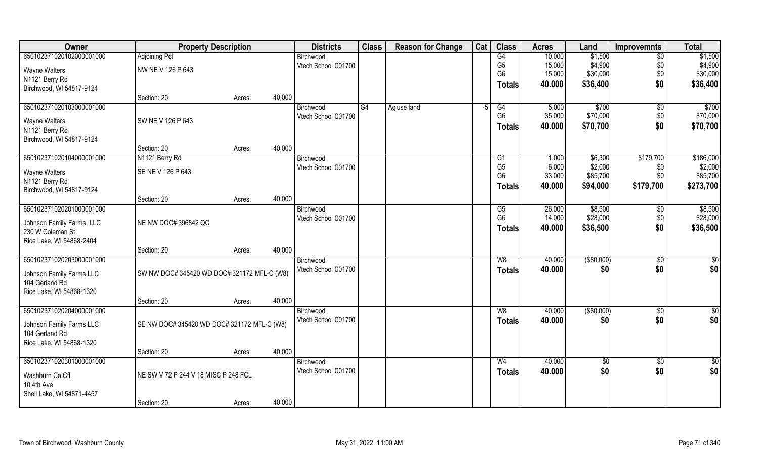| Owner                     | <b>Property Description</b>                 |        |        | <b>Districts</b>                 | <b>Class</b> | <b>Reason for Change</b> | Cat | <b>Class</b>                     | <b>Acres</b>     | Land                | <b>Improvemnts</b> | <b>Total</b>           |
|---------------------------|---------------------------------------------|--------|--------|----------------------------------|--------------|--------------------------|-----|----------------------------------|------------------|---------------------|--------------------|------------------------|
| 650102371020102000001000  | <b>Adjoining Pcl</b>                        |        |        | Birchwood                        |              |                          |     | G4                               | 10.000           | \$1,500             | $\sqrt{6}$         | \$1,500                |
| Wayne Walters             | NW NE V 126 P 643                           |        |        | Vtech School 001700              |              |                          |     | G <sub>5</sub>                   | 15.000           | \$4,900             | \$0                | \$4,900                |
| N1121 Berry Rd            |                                             |        |        |                                  |              |                          |     | G <sub>6</sub>                   | 15.000           | \$30,000            | \$0                | \$30,000               |
| Birchwood, WI 54817-9124  |                                             |        |        |                                  |              |                          |     | <b>Totals</b>                    | 40.000           | \$36,400            | \$0                | \$36,400               |
|                           | Section: 20                                 | Acres: | 40.000 |                                  |              |                          |     |                                  |                  |                     |                    |                        |
| 650102371020103000001000  |                                             |        |        | Birchwood                        | G4           | Ag use land              | -5  | G4                               | 5.000            | \$700               | $\sqrt{$0}$        | \$700                  |
| Wayne Walters             | SW NE V 126 P 643                           |        |        | Vtech School 001700              |              |                          |     | G <sub>6</sub>                   | 35.000           | \$70,000            | \$0                | \$70,000               |
| N1121 Berry Rd            |                                             |        |        |                                  |              |                          |     | <b>Totals</b>                    | 40.000           | \$70,700            | \$0                | \$70,700               |
| Birchwood, WI 54817-9124  |                                             |        |        |                                  |              |                          |     |                                  |                  |                     |                    |                        |
|                           | Section: 20                                 | Acres: | 40.000 |                                  |              |                          |     |                                  |                  |                     |                    |                        |
| 650102371020104000001000  | N1121 Berry Rd                              |        |        | Birchwood                        |              |                          |     | G1                               | 1.000            | \$6,300             | \$179,700          | \$186,000              |
| Wayne Walters             | SE NE V 126 P 643                           |        |        | Vtech School 001700              |              |                          |     | G <sub>5</sub><br>G <sub>6</sub> | 6.000<br>33.000  | \$2,000<br>\$85,700 | \$0<br>\$0         | \$2,000<br>\$85,700    |
| N1121 Berry Rd            |                                             |        |        |                                  |              |                          |     |                                  | 40,000           | \$94,000            | \$179,700          | \$273,700              |
| Birchwood, WI 54817-9124  |                                             |        |        |                                  |              |                          |     | <b>Totals</b>                    |                  |                     |                    |                        |
|                           | Section: 20                                 | Acres: | 40.000 |                                  |              |                          |     |                                  |                  |                     |                    |                        |
| 650102371020201000001000  |                                             |        |        | Birchwood                        |              |                          |     | G5                               | 26.000           | \$8,500             | $\sqrt[6]{3}$      | \$8,500                |
| Johnson Family Farms, LLC | NE NW DOC# 396842 QC                        |        |        | Vtech School 001700              |              |                          |     | G <sub>6</sub>                   | 14.000<br>40.000 | \$28,000            | \$0<br>\$0         | \$28,000               |
| 230 W Coleman St          |                                             |        |        |                                  |              |                          |     | <b>Totals</b>                    |                  | \$36,500            |                    | \$36,500               |
| Rice Lake, WI 54868-2404  |                                             |        |        |                                  |              |                          |     |                                  |                  |                     |                    |                        |
|                           | Section: 20                                 | Acres: | 40.000 |                                  |              |                          |     |                                  |                  |                     |                    |                        |
| 650102371020203000001000  |                                             |        |        | Birchwood                        |              |                          |     | $\overline{W8}$                  | 40.000           | $($ \$80,000)       | $\overline{50}$    | $\sqrt{50}$            |
| Johnson Family Farms LLC  | SW NW DOC# 345420 WD DOC# 321172 MFL-C (W8) |        |        | Vtech School 001700              |              |                          |     | <b>Totals</b>                    | 40.000           | \$0                 | \$0                | \$0                    |
| 104 Gerland Rd            |                                             |        |        |                                  |              |                          |     |                                  |                  |                     |                    |                        |
| Rice Lake, WI 54868-1320  |                                             |        |        |                                  |              |                          |     |                                  |                  |                     |                    |                        |
|                           | Section: 20                                 | Acres: | 40.000 |                                  |              |                          |     |                                  |                  |                     |                    |                        |
| 650102371020204000001000  |                                             |        |        | Birchwood<br>Vtech School 001700 |              |                          |     | W8                               | 40.000           | ( \$80,000)         | $\sqrt{$0}$        | \$0<br>\$0             |
| Johnson Family Farms LLC  | SE NW DOC# 345420 WD DOC# 321172 MFL-C (W8) |        |        |                                  |              |                          |     | <b>Totals</b>                    | 40.000           | \$0                 | \$0                |                        |
| 104 Gerland Rd            |                                             |        |        |                                  |              |                          |     |                                  |                  |                     |                    |                        |
| Rice Lake, WI 54868-1320  |                                             |        |        |                                  |              |                          |     |                                  |                  |                     |                    |                        |
| 650102371020301000001000  | Section: 20                                 | Acres: | 40.000 |                                  |              |                          |     | W <sub>4</sub>                   | 40.000           |                     |                    |                        |
|                           |                                             |        |        | Birchwood<br>Vtech School 001700 |              |                          |     |                                  | 40.000           | $\sqrt{$0}$<br>\$0  | $\sqrt{$0}$<br>\$0 | $\overline{50}$<br>\$0 |
| Washburn Co Cfl           | NE SW V 72 P 244 V 18 MISC P 248 FCL        |        |        |                                  |              |                          |     | <b>Totals</b>                    |                  |                     |                    |                        |
| 10 4th Ave                |                                             |        |        |                                  |              |                          |     |                                  |                  |                     |                    |                        |
| Shell Lake, WI 54871-4457 | Section: 20                                 |        | 40.000 |                                  |              |                          |     |                                  |                  |                     |                    |                        |
|                           |                                             | Acres: |        |                                  |              |                          |     |                                  |                  |                     |                    |                        |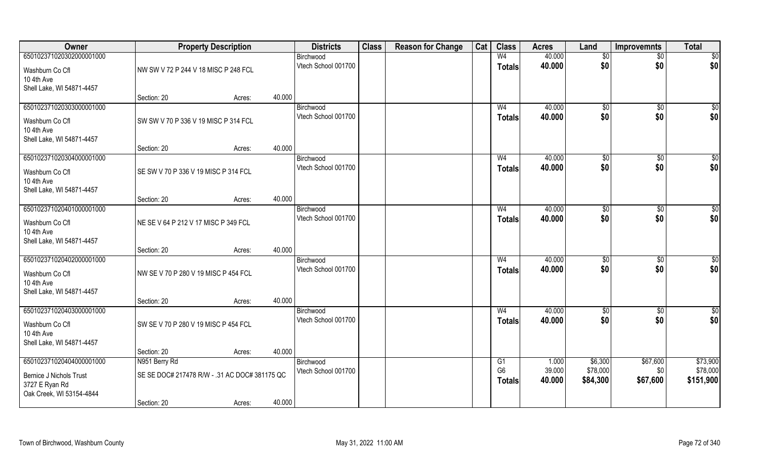| Owner                     |                                               | <b>Property Description</b> |        | <b>Districts</b>                 | <b>Class</b> | <b>Reason for Change</b> | Cat | <b>Class</b>         | <b>Acres</b>    | Land                | <b>Improvemnts</b> | <b>Total</b>         |
|---------------------------|-----------------------------------------------|-----------------------------|--------|----------------------------------|--------------|--------------------------|-----|----------------------|-----------------|---------------------|--------------------|----------------------|
| 650102371020302000001000  |                                               |                             |        | Birchwood                        |              |                          |     | W <sub>4</sub>       | 40.000          | \$0                 | $\overline{50}$    | \$0                  |
| Washburn Co Cfl           | NW SW V 72 P 244 V 18 MISC P 248 FCL          |                             |        | Vtech School 001700              |              |                          |     | <b>Totals</b>        | 40.000          | \$0                 | \$0                | \$0                  |
| 10 4th Ave                |                                               |                             |        |                                  |              |                          |     |                      |                 |                     |                    |                      |
| Shell Lake, WI 54871-4457 |                                               |                             |        |                                  |              |                          |     |                      |                 |                     |                    |                      |
|                           | Section: 20                                   | Acres:                      | 40.000 |                                  |              |                          |     |                      |                 |                     |                    |                      |
| 650102371020303000001000  |                                               |                             |        | Birchwood                        |              |                          |     | W <sub>4</sub>       | 40.000          | \$0                 | \$0                | $\sqrt{50}$          |
| Washburn Co Cfl           | SW SW V 70 P 336 V 19 MISC P 314 FCL          |                             |        | Vtech School 001700              |              |                          |     | <b>Totals</b>        | 40.000          | \$0                 | \$0                | \$0                  |
| 10 4th Ave                |                                               |                             |        |                                  |              |                          |     |                      |                 |                     |                    |                      |
| Shell Lake, WI 54871-4457 |                                               |                             |        |                                  |              |                          |     |                      |                 |                     |                    |                      |
|                           | Section: 20                                   | Acres:                      | 40.000 |                                  |              |                          |     |                      |                 |                     |                    |                      |
| 650102371020304000001000  |                                               |                             |        | Birchwood                        |              |                          |     | W <sub>4</sub>       | 40.000          | \$0                 | $\sqrt[6]{3}$      | \$0                  |
| Washburn Co Cfl           | SE SW V 70 P 336 V 19 MISC P 314 FCL          |                             |        | Vtech School 001700              |              |                          |     | <b>Totals</b>        | 40.000          | \$0                 | \$0                | \$0                  |
| 10 4th Ave                |                                               |                             |        |                                  |              |                          |     |                      |                 |                     |                    |                      |
| Shell Lake, WI 54871-4457 |                                               |                             |        |                                  |              |                          |     |                      |                 |                     |                    |                      |
|                           | Section: 20                                   | Acres:                      | 40.000 |                                  |              |                          |     |                      |                 |                     |                    |                      |
| 650102371020401000001000  |                                               |                             |        | Birchwood                        |              |                          |     | W <sub>4</sub>       | 40.000          | $\frac{1}{20}$      | \$0                | \$0                  |
| Washburn Co Cfl           | NE SE V 64 P 212 V 17 MISC P 349 FCL          |                             |        | Vtech School 001700              |              |                          |     | <b>Totals</b>        | 40.000          | \$0                 | \$0                | \$0                  |
| 10 4th Ave                |                                               |                             |        |                                  |              |                          |     |                      |                 |                     |                    |                      |
| Shell Lake, WI 54871-4457 |                                               |                             |        |                                  |              |                          |     |                      |                 |                     |                    |                      |
|                           | Section: 20                                   | Acres:                      | 40.000 |                                  |              |                          |     |                      |                 |                     |                    |                      |
| 650102371020402000001000  |                                               |                             |        | Birchwood                        |              |                          |     | W <sub>4</sub>       | 40.000          | $\sqrt[6]{3}$       | $\sqrt[6]{30}$     | \$0                  |
| Washburn Co Cfl           | NW SE V 70 P 280 V 19 MISC P 454 FCL          |                             |        | Vtech School 001700              |              |                          |     | <b>Totals</b>        | 40.000          | \$0                 | \$0                | \$0                  |
| 10 4th Ave                |                                               |                             |        |                                  |              |                          |     |                      |                 |                     |                    |                      |
| Shell Lake, WI 54871-4457 |                                               |                             |        |                                  |              |                          |     |                      |                 |                     |                    |                      |
|                           | Section: 20                                   | Acres:                      | 40.000 |                                  |              |                          |     |                      |                 |                     |                    |                      |
| 650102371020403000001000  |                                               |                             |        | Birchwood<br>Vtech School 001700 |              |                          |     | W <sub>4</sub>       | 40.000          | $\overline{60}$     | \$0                | \$0<br>\$0           |
| Washburn Co Cfl           | SW SE V 70 P 280 V 19 MISC P 454 FCL          |                             |        |                                  |              |                          |     | <b>Totals</b>        | 40.000          | \$0                 | \$0                |                      |
| 10 4th Ave                |                                               |                             |        |                                  |              |                          |     |                      |                 |                     |                    |                      |
| Shell Lake, WI 54871-4457 |                                               |                             |        |                                  |              |                          |     |                      |                 |                     |                    |                      |
|                           | Section: 20                                   | Acres:                      | 40.000 |                                  |              |                          |     |                      |                 |                     |                    |                      |
| 650102371020404000001000  | N951 Berry Rd                                 |                             |        | Birchwood<br>Vtech School 001700 |              |                          |     | G1<br>G <sub>6</sub> | 1.000<br>39.000 | \$6,300<br>\$78,000 | \$67,600<br>\$0    | \$73,900<br>\$78,000 |
| Bernice J Nichols Trust   | SE SE DOC# 217478 R/W - .31 AC DOC# 381175 QC |                             |        |                                  |              |                          |     | <b>Totals</b>        | 40.000          | \$84,300            | \$67,600           | \$151,900            |
| 3727 E Ryan Rd            |                                               |                             |        |                                  |              |                          |     |                      |                 |                     |                    |                      |
| Oak Creek, WI 53154-4844  |                                               |                             |        |                                  |              |                          |     |                      |                 |                     |                    |                      |
|                           | Section: 20                                   | Acres:                      | 40.000 |                                  |              |                          |     |                      |                 |                     |                    |                      |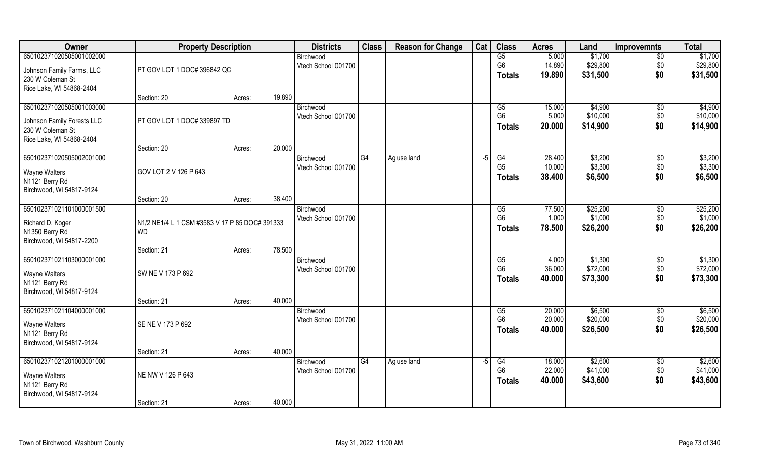| Owner                      | <b>Property Description</b>                    |                  | <b>Districts</b>    | <b>Class</b> | <b>Reason for Change</b> | Cat  | <b>Class</b>   | <b>Acres</b> | Land     | <b>Improvemnts</b> | <b>Total</b> |
|----------------------------|------------------------------------------------|------------------|---------------------|--------------|--------------------------|------|----------------|--------------|----------|--------------------|--------------|
| 650102371020505001002000   |                                                |                  | Birchwood           |              |                          |      | G5             | 5.000        | \$1,700  | $\overline{50}$    | \$1,700      |
| Johnson Family Farms, LLC  | PT GOV LOT 1 DOC# 396842 QC                    |                  | Vtech School 001700 |              |                          |      | G <sub>6</sub> | 14.890       | \$29,800 | \$0                | \$29,800     |
| 230 W Coleman St           |                                                |                  |                     |              |                          |      | <b>Totals</b>  | 19.890       | \$31,500 | \$0                | \$31,500     |
| Rice Lake, WI 54868-2404   |                                                |                  |                     |              |                          |      |                |              |          |                    |              |
|                            | Section: 20                                    | 19.890<br>Acres: |                     |              |                          |      |                |              |          |                    |              |
| 650102371020505001003000   |                                                |                  | Birchwood           |              |                          |      | G5             | 15.000       | \$4,900  | \$0                | \$4,900      |
| Johnson Family Forests LLC | PT GOV LOT 1 DOC# 339897 TD                    |                  | Vtech School 001700 |              |                          |      | G <sub>6</sub> | 5.000        | \$10,000 | \$0                | \$10,000     |
| 230 W Coleman St           |                                                |                  |                     |              |                          |      | <b>Totals</b>  | 20.000       | \$14,900 | \$0                | \$14,900     |
| Rice Lake, WI 54868-2404   |                                                |                  |                     |              |                          |      |                |              |          |                    |              |
|                            | Section: 20                                    | 20.000<br>Acres: |                     |              |                          |      |                |              |          |                    |              |
| 650102371020505002001000   |                                                |                  | Birchwood           | G4           | Ag use land              | $-5$ | G4             | 28.400       | \$3,200  | $\sqrt[6]{3}$      | \$3,200      |
| <b>Wayne Walters</b>       | GOV LOT 2 V 126 P 643                          |                  | Vtech School 001700 |              |                          |      | G <sub>5</sub> | 10.000       | \$3,300  | \$0                | \$3,300      |
| N1121 Berry Rd             |                                                |                  |                     |              |                          |      | <b>Totals</b>  | 38.400       | \$6,500  | \$0                | \$6,500      |
| Birchwood, WI 54817-9124   |                                                |                  |                     |              |                          |      |                |              |          |                    |              |
|                            | Section: 20                                    | 38.400<br>Acres: |                     |              |                          |      |                |              |          |                    |              |
| 650102371021101000001500   |                                                |                  | Birchwood           |              |                          |      | G5             | 77.500       | \$25,200 | \$0                | \$25,200     |
| Richard D. Koger           | N1/2 NE1/4 L 1 CSM #3583 V 17 P 85 DOC# 391333 |                  | Vtech School 001700 |              |                          |      | G <sub>6</sub> | 1.000        | \$1,000  | \$0                | \$1,000      |
| N1350 Berry Rd             | <b>WD</b>                                      |                  |                     |              |                          |      | <b>Totals</b>  | 78.500       | \$26,200 | \$0                | \$26,200     |
| Birchwood, WI 54817-2200   |                                                |                  |                     |              |                          |      |                |              |          |                    |              |
|                            | Section: 21                                    | 78.500<br>Acres: |                     |              |                          |      |                |              |          |                    |              |
| 650102371021103000001000   |                                                |                  | Birchwood           |              |                          |      | G5             | 4.000        | \$1,300  | $\sqrt[6]{30}$     | \$1,300      |
| <b>Wayne Walters</b>       | SW NE V 173 P 692                              |                  | Vtech School 001700 |              |                          |      | G <sub>6</sub> | 36.000       | \$72,000 | \$0                | \$72,000     |
| N1121 Berry Rd             |                                                |                  |                     |              |                          |      | <b>Totals</b>  | 40.000       | \$73,300 | \$0                | \$73,300     |
| Birchwood, WI 54817-9124   |                                                |                  |                     |              |                          |      |                |              |          |                    |              |
|                            | Section: 21                                    | 40.000<br>Acres: |                     |              |                          |      |                |              |          |                    |              |
| 650102371021104000001000   |                                                |                  | Birchwood           |              |                          |      | G5             | 20.000       | \$6,500  | $\overline{50}$    | \$6,500      |
| Wayne Walters              | SE NE V 173 P 692                              |                  | Vtech School 001700 |              |                          |      | G <sub>6</sub> | 20.000       | \$20,000 | \$0                | \$20,000     |
| N1121 Berry Rd             |                                                |                  |                     |              |                          |      | <b>Totals</b>  | 40.000       | \$26,500 | \$0                | \$26,500     |
| Birchwood, WI 54817-9124   |                                                |                  |                     |              |                          |      |                |              |          |                    |              |
|                            | Section: 21                                    | 40.000<br>Acres: |                     |              |                          |      |                |              |          |                    |              |
| 650102371021201000001000   |                                                |                  | Birchwood           | G4           | Ag use land              | $-5$ | G4             | 18.000       | \$2,600  | $\overline{50}$    | \$2,600      |
| Wayne Walters              | NE NW V 126 P 643                              |                  | Vtech School 001700 |              |                          |      | G <sub>6</sub> | 22.000       | \$41,000 | \$0                | \$41,000     |
| N1121 Berry Rd             |                                                |                  |                     |              |                          |      | <b>Totals</b>  | 40.000       | \$43,600 | \$0                | \$43,600     |
| Birchwood, WI 54817-9124   |                                                |                  |                     |              |                          |      |                |              |          |                    |              |
|                            | Section: 21                                    | 40.000<br>Acres: |                     |              |                          |      |                |              |          |                    |              |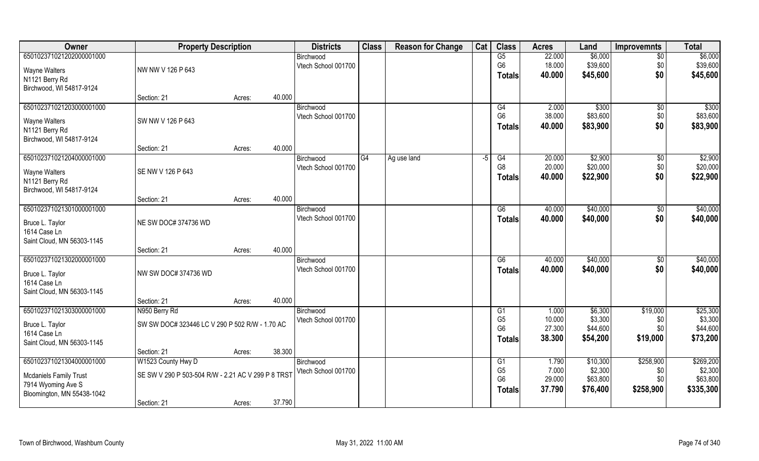| Owner                         | <b>Property Description</b>                    |                                                    |        | <b>Districts</b>                 | <b>Class</b> | <b>Reason for Change</b> | Cat  | <b>Class</b>         | <b>Acres</b>    | Land               | <b>Improvemnts</b> | <b>Total</b>        |
|-------------------------------|------------------------------------------------|----------------------------------------------------|--------|----------------------------------|--------------|--------------------------|------|----------------------|-----------------|--------------------|--------------------|---------------------|
| 650102371021202000001000      |                                                |                                                    |        | Birchwood                        |              |                          |      | G5                   | 22.000          | \$6,000            | $\sqrt{6}$         | \$6,000             |
| <b>Wayne Walters</b>          | NW NW V 126 P 643                              |                                                    |        | Vtech School 001700              |              |                          |      | G <sub>6</sub>       | 18.000          | \$39,600           | \$0                | \$39,600            |
| N1121 Berry Rd                |                                                |                                                    |        |                                  |              |                          |      | <b>Totals</b>        | 40.000          | \$45,600           | \$0                | \$45,600            |
| Birchwood, WI 54817-9124      |                                                |                                                    |        |                                  |              |                          |      |                      |                 |                    |                    |                     |
|                               | Section: 21                                    | Acres:                                             | 40.000 |                                  |              |                          |      |                      |                 |                    |                    |                     |
| 650102371021203000001000      |                                                |                                                    |        | Birchwood                        |              |                          |      | G4                   | 2.000           | \$300              | \$0                | \$300               |
| Wayne Walters                 | SW NW V 126 P 643                              |                                                    |        | Vtech School 001700              |              |                          |      | G <sub>6</sub>       | 38.000          | \$83,600           | \$0                | \$83,600            |
| N1121 Berry Rd                |                                                |                                                    |        |                                  |              |                          |      | <b>Totals</b>        | 40.000          | \$83,900           | \$0                | \$83,900            |
| Birchwood, WI 54817-9124      |                                                |                                                    |        |                                  |              |                          |      |                      |                 |                    |                    |                     |
|                               | Section: 21                                    | Acres:                                             | 40.000 |                                  |              |                          |      |                      |                 |                    |                    |                     |
| 650102371021204000001000      |                                                |                                                    |        | Birchwood                        | G4           | Ag use land              | $-5$ | G4                   | 20.000          | \$2,900            | $\sqrt[6]{3}$      | \$2,900             |
| <b>Wayne Walters</b>          | SE NW V 126 P 643                              |                                                    |        | Vtech School 001700              |              |                          |      | G <sub>8</sub>       | 20.000          | \$20,000           | \$0                | \$20,000            |
| N1121 Berry Rd                |                                                |                                                    |        |                                  |              |                          |      | <b>Totals</b>        | 40.000          | \$22,900           | \$0                | \$22,900            |
| Birchwood, WI 54817-9124      |                                                |                                                    |        |                                  |              |                          |      |                      |                 |                    |                    |                     |
|                               | Section: 21                                    | Acres:                                             | 40.000 |                                  |              |                          |      |                      |                 |                    |                    |                     |
| 650102371021301000001000      |                                                |                                                    |        | Birchwood                        |              |                          |      | G6                   | 40.000          | \$40,000           | $\sqrt[6]{3}$      | \$40,000            |
| Bruce L. Taylor               | NE SW DOC# 374736 WD                           |                                                    |        | Vtech School 001700              |              |                          |      | <b>Totals</b>        | 40.000          | \$40,000           | \$0                | \$40,000            |
| 1614 Case Ln                  |                                                |                                                    |        |                                  |              |                          |      |                      |                 |                    |                    |                     |
| Saint Cloud, MN 56303-1145    |                                                |                                                    |        |                                  |              |                          |      |                      |                 |                    |                    |                     |
|                               | Section: 21                                    | Acres:                                             | 40.000 |                                  |              |                          |      |                      |                 |                    |                    |                     |
| 650102371021302000001000      |                                                |                                                    |        | Birchwood                        |              |                          |      | $\overline{G6}$      | 40.000          | \$40,000           | \$0                | \$40,000            |
| Bruce L. Taylor               | NW SW DOC# 374736 WD                           |                                                    |        | Vtech School 001700              |              |                          |      | <b>Totals</b>        | 40.000          | \$40,000           | \$0                | \$40,000            |
| 1614 Case Ln                  |                                                |                                                    |        |                                  |              |                          |      |                      |                 |                    |                    |                     |
| Saint Cloud, MN 56303-1145    |                                                |                                                    |        |                                  |              |                          |      |                      |                 |                    |                    |                     |
|                               | Section: 21                                    | Acres:                                             | 40.000 |                                  |              |                          |      |                      |                 |                    |                    |                     |
| 650102371021303000001000      | N950 Berry Rd                                  |                                                    |        | Birchwood<br>Vtech School 001700 |              |                          |      | G1<br>G <sub>5</sub> | 1.000<br>10.000 | \$6,300<br>\$3,300 | \$19,000<br>\$0    | \$25,300<br>\$3,300 |
| Bruce L. Taylor               | SW SW DOC# 323446 LC V 290 P 502 R/W - 1.70 AC |                                                    |        |                                  |              |                          |      | G <sub>6</sub>       | 27.300          | \$44,600           | \$0\$              | \$44,600            |
| 1614 Case Ln                  |                                                |                                                    |        |                                  |              |                          |      | <b>Totals</b>        | 38.300          | \$54,200           | \$19,000           | \$73,200            |
| Saint Cloud, MN 56303-1145    |                                                |                                                    |        |                                  |              |                          |      |                      |                 |                    |                    |                     |
| 650102371021304000001000      | Section: 21<br>W1523 County Hwy D              | Acres:                                             | 38.300 | Birchwood                        |              |                          |      | G1                   | 1.790           | \$10,300           | \$258,900          | \$269,200           |
|                               |                                                |                                                    |        | Vtech School 001700              |              |                          |      | G <sub>5</sub>       | 7.000           | \$2,300            | \$0                | \$2,300             |
| <b>Mcdaniels Family Trust</b> |                                                | SE SW V 290 P 503-504 R/W - 2.21 AC V 299 P 8 TRST |        |                                  |              |                          |      | G <sub>6</sub>       | 29.000          | \$63,800           | \$0                | \$63,800            |
| 7914 Wyoming Ave S            |                                                |                                                    |        |                                  |              |                          |      | Totals               | 37.790          | \$76,400           | \$258,900          | \$335,300           |
| Bloomington, MN 55438-1042    |                                                |                                                    | 37.790 |                                  |              |                          |      |                      |                 |                    |                    |                     |
|                               | Section: 21                                    | Acres:                                             |        |                                  |              |                          |      |                      |                 |                    |                    |                     |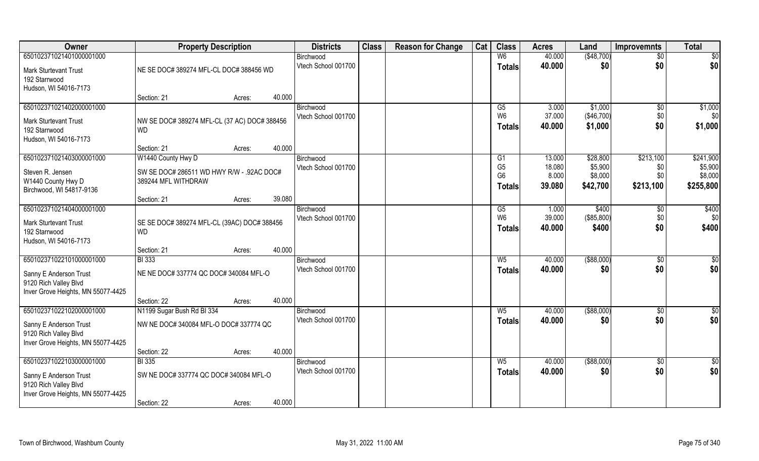| Owner                                                                                              | <b>Property Description</b>                                      | <b>Districts</b>                 | <b>Class</b> | <b>Reason for Change</b> | Cat | <b>Class</b>                               | <b>Acres</b>              | Land                           | <b>Improvemnts</b>          | <b>Total</b>                    |
|----------------------------------------------------------------------------------------------------|------------------------------------------------------------------|----------------------------------|--------------|--------------------------|-----|--------------------------------------------|---------------------------|--------------------------------|-----------------------------|---------------------------------|
| 650102371021401000001000                                                                           |                                                                  | Birchwood                        |              |                          |     | W6                                         | 40.000                    | (\$48,700)                     | $\sqrt{$0}$                 | $\overline{50}$                 |
| Mark Sturtevant Trust<br>192 Starrwood<br>Hudson, WI 54016-7173                                    | NE SE DOC# 389274 MFL-CL DOC# 388456 WD                          | Vtech School 001700              |              |                          |     | <b>Totals</b>                              | 40.000                    | \$0                            | \$0                         | \$0                             |
|                                                                                                    | 40.000<br>Section: 21<br>Acres:                                  |                                  |              |                          |     |                                            |                           |                                |                             |                                 |
| 650102371021402000001000                                                                           |                                                                  | Birchwood                        |              |                          |     | $\overline{G5}$                            | 3.000                     | \$1,000                        | $\sqrt[6]{}$                | \$1,000                         |
| <b>Mark Sturtevant Trust</b><br>192 Starrwood<br>Hudson, WI 54016-7173                             | NW SE DOC# 389274 MFL-CL (37 AC) DOC# 388456<br><b>WD</b>        | Vtech School 001700              |              |                          |     | W <sub>6</sub><br><b>Totals</b>            | 37.000<br>40.000          | (\$46,700)<br>\$1,000          | \$0<br>\$0                  | \$0<br>\$1,000                  |
|                                                                                                    | 40.000<br>Section: 21<br>Acres:                                  |                                  |              |                          |     |                                            |                           |                                |                             |                                 |
| 650102371021403000001000                                                                           | W1440 County Hwy D                                               | Birchwood                        |              |                          |     | G1                                         | 13.000                    | \$28,800                       | \$213,100                   | \$241,900                       |
| Steven R. Jensen<br>W1440 County Hwy D<br>Birchwood, WI 54817-9136                                 | SW SE DOC# 286511 WD HWY R/W - .92AC DOC#<br>389244 MFL WITHDRAW | Vtech School 001700              |              |                          |     | G <sub>5</sub><br>G <sub>6</sub><br>Totals | 18.080<br>8.000<br>39.080 | \$5,900<br>\$8,000<br>\$42,700 | \$0<br>\$0<br>\$213,100     | \$5,900<br>\$8,000<br>\$255,800 |
|                                                                                                    | 39.080<br>Section: 21<br>Acres:                                  |                                  |              |                          |     |                                            |                           |                                |                             |                                 |
| 650102371021404000001000<br><b>Mark Sturtevant Trust</b><br>192 Starrwood<br>Hudson, WI 54016-7173 | SE SE DOC# 389274 MFL-CL (39AC) DOC# 388456<br><b>WD</b>         | Birchwood<br>Vtech School 001700 |              |                          |     | G5<br>W <sub>6</sub><br><b>Totals</b>      | 1.000<br>39.000<br>40.000 | \$400<br>(\$85,800)<br>\$400   | $\sqrt[6]{3}$<br>\$0<br>\$0 | \$400<br>\$0<br>\$400           |
|                                                                                                    | 40.000<br>Section: 21<br>Acres:                                  |                                  |              |                          |     |                                            |                           |                                |                             |                                 |
| 650102371022101000001000                                                                           | <b>BI</b> 333                                                    | Birchwood                        |              |                          |     | $W_5$                                      | 40.000                    | $($ \$88,000)                  | \$0                         | $\overline{50}$                 |
| Sanny E Anderson Trust<br>9120 Rich Valley Blvd<br>Inver Grove Heights, MN 55077-4425              | NE NE DOC# 337774 QC DOC# 340084 MFL-O                           | Vtech School 001700              |              |                          |     | <b>Totals</b>                              | 40.000                    | \$0                            | \$0                         | \$0                             |
|                                                                                                    | 40.000<br>Section: 22<br>Acres:                                  |                                  |              |                          |     |                                            |                           |                                |                             |                                 |
| 650102371022102000001000                                                                           | N1199 Sugar Bush Rd BI 334                                       | Birchwood                        |              |                          |     | $W_5$                                      | 40.000                    | ( \$88,000)                    | \$0                         | \$0                             |
| Sanny E Anderson Trust<br>9120 Rich Valley Blvd<br>Inver Grove Heights, MN 55077-4425              | NW NE DOC# 340084 MFL-O DOC# 337774 QC                           | Vtech School 001700              |              |                          |     | <b>Totals</b>                              | 40.000                    | \$0                            | \$0                         | \$0                             |
|                                                                                                    | 40.000<br>Section: 22<br>Acres:                                  |                                  |              |                          |     |                                            |                           |                                |                             |                                 |
| 650102371022103000001000                                                                           | <b>BI</b> 335                                                    | Birchwood                        |              |                          |     | $W_5$                                      | 40.000                    | $($ \$88,000)                  | $\sqrt{$0}$                 | \$0                             |
| Sanny E Anderson Trust<br>9120 Rich Valley Blvd<br>Inver Grove Heights, MN 55077-4425              | SW NE DOC# 337774 QC DOC# 340084 MFL-O                           | Vtech School 001700              |              |                          |     | <b>Totals</b>                              | 40.000                    | \$0                            | \$0                         | \$0                             |
|                                                                                                    | 40.000<br>Section: 22<br>Acres:                                  |                                  |              |                          |     |                                            |                           |                                |                             |                                 |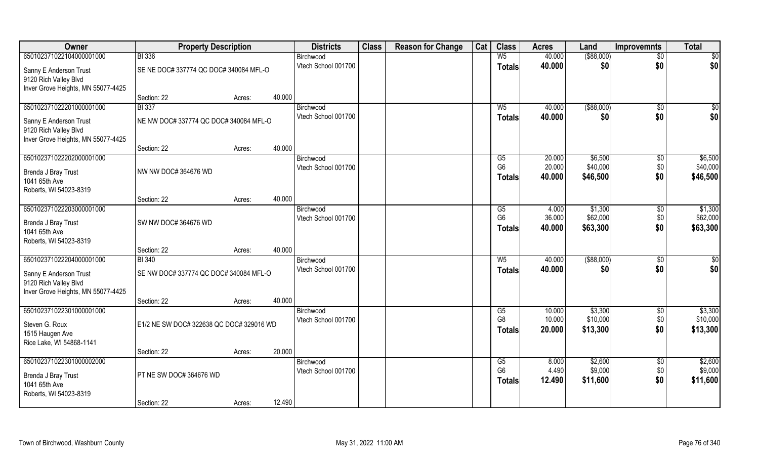| Owner                                | <b>Property Description</b>              |        |        | <b>Districts</b>    | <b>Class</b> | <b>Reason for Change</b> | Cat | <b>Class</b>         | <b>Acres</b>   | Land               | <b>Improvemnts</b> | <b>Total</b>       |
|--------------------------------------|------------------------------------------|--------|--------|---------------------|--------------|--------------------------|-----|----------------------|----------------|--------------------|--------------------|--------------------|
| 650102371022104000001000             | <b>BI</b> 336                            |        |        | Birchwood           |              |                          |     | $W_5$                | 40.000         | $($ \$88,000)      | $\overline{50}$    | $\overline{50}$    |
| Sanny E Anderson Trust               | SE NE DOC# 337774 QC DOC# 340084 MFL-O   |        |        | Vtech School 001700 |              |                          |     | <b>Totals</b>        | 40.000         | \$0                | \$0                | \$0                |
| 9120 Rich Valley Blvd                |                                          |        |        |                     |              |                          |     |                      |                |                    |                    |                    |
| Inver Grove Heights, MN 55077-4425   |                                          |        |        |                     |              |                          |     |                      |                |                    |                    |                    |
|                                      | Section: 22                              | Acres: | 40.000 |                     |              |                          |     |                      |                |                    |                    |                    |
| 650102371022201000001000             | <b>BI</b> 337                            |        |        | Birchwood           |              |                          |     | $W_5$                | 40.000         | ( \$88,000)        | $\overline{50}$    | $\frac{1}{6}$      |
| Sanny E Anderson Trust               | NE NW DOC# 337774 QC DOC# 340084 MFL-O   |        |        | Vtech School 001700 |              |                          |     | Totals               | 40.000         | \$0                | \$0                | \$0                |
| 9120 Rich Valley Blvd                |                                          |        |        |                     |              |                          |     |                      |                |                    |                    |                    |
| Inver Grove Heights, MN 55077-4425   |                                          |        |        |                     |              |                          |     |                      |                |                    |                    |                    |
| 650102371022202000001000             | Section: 22                              | Acres: | 40.000 | Birchwood           |              |                          |     | G5                   | 20.000         | \$6,500            | $\sqrt{6}$         | \$6,500            |
|                                      |                                          |        |        | Vtech School 001700 |              |                          |     | G <sub>6</sub>       | 20.000         | \$40,000           | \$0                | \$40,000           |
| Brenda J Bray Trust                  | NW NW DOC# 364676 WD                     |        |        |                     |              |                          |     | <b>Totals</b>        | 40.000         | \$46,500           | \$0                | \$46,500           |
| 1041 65th Ave                        |                                          |        |        |                     |              |                          |     |                      |                |                    |                    |                    |
| Roberts, WI 54023-8319               | Section: 22                              | Acres: | 40.000 |                     |              |                          |     |                      |                |                    |                    |                    |
| 650102371022203000001000             |                                          |        |        | Birchwood           |              |                          |     | G5                   | 4.000          | \$1,300            | $\sqrt[6]{3}$      | \$1,300            |
|                                      |                                          |        |        | Vtech School 001700 |              |                          |     | G <sub>6</sub>       | 36.000         | \$62,000           | \$0                | \$62,000           |
| Brenda J Bray Trust<br>1041 65th Ave | SW NW DOC# 364676 WD                     |        |        |                     |              |                          |     | <b>Totals</b>        | 40.000         | \$63,300           | \$0                | \$63,300           |
| Roberts, WI 54023-8319               |                                          |        |        |                     |              |                          |     |                      |                |                    |                    |                    |
|                                      | Section: 22                              | Acres: | 40.000 |                     |              |                          |     |                      |                |                    |                    |                    |
| 650102371022204000001000             | <b>BI</b> 340                            |        |        | Birchwood           |              |                          |     | $W_5$                | 40.000         | $($ \$88,000)      | \$0                | \$0                |
| Sanny E Anderson Trust               | SE NW DOC# 337774 QC DOC# 340084 MFL-O   |        |        | Vtech School 001700 |              |                          |     | <b>Totals</b>        | 40.000         | \$0                | \$0                | \$0                |
| 9120 Rich Valley Blvd                |                                          |        |        |                     |              |                          |     |                      |                |                    |                    |                    |
| Inver Grove Heights, MN 55077-4425   |                                          |        |        |                     |              |                          |     |                      |                |                    |                    |                    |
|                                      | Section: 22                              | Acres: | 40.000 |                     |              |                          |     |                      |                |                    |                    |                    |
| 650102371022301000001000             |                                          |        |        | Birchwood           |              |                          |     | G5                   | 10.000         | \$3,300            | \$0                | \$3,300            |
| Steven G. Roux                       | E1/2 NE SW DOC# 322638 QC DOC# 329016 WD |        |        | Vtech School 001700 |              |                          |     | G <sub>8</sub>       | 10.000         | \$10,000           | \$0                | \$10,000           |
| 1515 Haugen Ave                      |                                          |        |        |                     |              |                          |     | <b>Totals</b>        | 20.000         | \$13,300           | \$0                | \$13,300           |
| Rice Lake, WI 54868-1141             |                                          |        |        |                     |              |                          |     |                      |                |                    |                    |                    |
|                                      | Section: 22                              | Acres: | 20.000 |                     |              |                          |     |                      |                |                    |                    |                    |
| 650102371022301000002000             |                                          |        |        | Birchwood           |              |                          |     | G5<br>G <sub>6</sub> | 8.000<br>4.490 | \$2,600<br>\$9,000 | $\overline{50}$    | \$2,600<br>\$9,000 |
| Brenda J Bray Trust                  | PT NE SW DOC# 364676 WD                  |        |        | Vtech School 001700 |              |                          |     | <b>Totals</b>        | 12.490         | \$11,600           | \$0<br>\$0         | \$11,600           |
| 1041 65th Ave                        |                                          |        |        |                     |              |                          |     |                      |                |                    |                    |                    |
| Roberts, WI 54023-8319               |                                          |        |        |                     |              |                          |     |                      |                |                    |                    |                    |
|                                      | Section: 22                              | Acres: | 12.490 |                     |              |                          |     |                      |                |                    |                    |                    |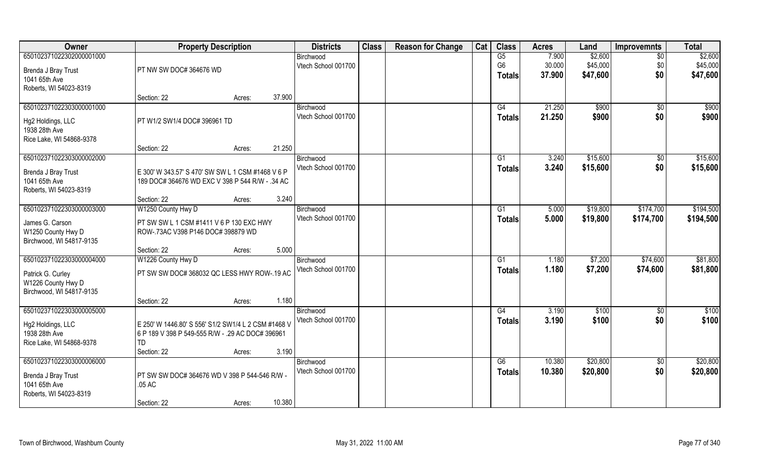| Owner                                     | <b>Property Description</b>                                                                          |                                          | <b>Districts</b>                 | <b>Class</b> | <b>Reason for Change</b> | Cat | <b>Class</b>   | <b>Acres</b>     | Land           | <b>Improvemnts</b> | <b>Total</b>   |
|-------------------------------------------|------------------------------------------------------------------------------------------------------|------------------------------------------|----------------------------------|--------------|--------------------------|-----|----------------|------------------|----------------|--------------------|----------------|
| 650102371022302000001000                  |                                                                                                      |                                          | Birchwood                        |              |                          |     | G5             | 7.900            | \$2,600        | $\overline{50}$    | \$2,600        |
| Brenda J Bray Trust                       | PT NW SW DOC# 364676 WD                                                                              |                                          | Vtech School 001700              |              |                          |     | G <sub>6</sub> | 30.000           | \$45,000       | \$0                | \$45,000       |
| 1041 65th Ave                             |                                                                                                      |                                          |                                  |              |                          |     | Totals         | 37.900           | \$47,600       | \$0                | \$47,600       |
| Roberts, WI 54023-8319                    |                                                                                                      |                                          |                                  |              |                          |     |                |                  |                |                    |                |
|                                           | Section: 22                                                                                          | 37.900<br>Acres:                         |                                  |              |                          |     |                |                  |                |                    |                |
| 650102371022303000001000                  |                                                                                                      |                                          | Birchwood<br>Vtech School 001700 |              |                          |     | G4             | 21.250<br>21.250 | \$900<br>\$900 | \$0<br>\$0         | \$900<br>\$900 |
| Hg2 Holdings, LLC                         | PT W1/2 SW1/4 DOC# 396961 TD                                                                         |                                          |                                  |              |                          |     | <b>Totals</b>  |                  |                |                    |                |
| 1938 28th Ave                             |                                                                                                      |                                          |                                  |              |                          |     |                |                  |                |                    |                |
| Rice Lake, WI 54868-9378                  | Section: 22                                                                                          | 21.250<br>Acres:                         |                                  |              |                          |     |                |                  |                |                    |                |
| 650102371022303000002000                  |                                                                                                      |                                          | Birchwood                        |              |                          |     | G1             | 3.240            | \$15,600       | $\sqrt[6]{3}$      | \$15,600       |
|                                           |                                                                                                      |                                          | Vtech School 001700              |              |                          |     | <b>Totals</b>  | 3.240            | \$15,600       | \$0                | \$15,600       |
| Brenda J Bray Trust<br>1041 65th Ave      | E 300' W 343.57' S 470' SW SW L 1 CSM #1468 V 6 P<br>189 DOC# 364676 WD EXC V 398 P 544 R/W - .34 AC |                                          |                                  |              |                          |     |                |                  |                |                    |                |
| Roberts, WI 54023-8319                    |                                                                                                      |                                          |                                  |              |                          |     |                |                  |                |                    |                |
|                                           | Section: 22                                                                                          | 3.240<br>Acres:                          |                                  |              |                          |     |                |                  |                |                    |                |
| 650102371022303000003000                  | W1250 County Hwy D                                                                                   |                                          | Birchwood<br>Vtech School 001700 |              |                          |     | G <sub>1</sub> | 5.000            | \$19,800       | \$174,700          | \$194,500      |
| James G. Carson                           |                                                                                                      | PT SW SW L 1 CSM #1411 V 6 P 130 EXC HWY |                                  |              |                          |     | <b>Totals</b>  | 5.000            | \$19,800       | \$174,700          | \$194,500      |
| W1250 County Hwy D                        | ROW-.73AC V398 P146 DOC# 398879 WD                                                                   |                                          |                                  |              |                          |     |                |                  |                |                    |                |
| Birchwood, WI 54817-9135                  |                                                                                                      |                                          |                                  |              |                          |     |                |                  |                |                    |                |
|                                           | Section: 22                                                                                          | 5.000<br>Acres:                          |                                  |              |                          |     |                |                  |                |                    |                |
| 650102371022303000004000                  | W1226 County Hwy D                                                                                   |                                          | Birchwood<br>Vtech School 001700 |              |                          |     | G1             | 1.180            | \$7,200        | \$74,600           | \$81,800       |
| Patrick G. Curley                         | PT SW SW DOC# 368032 QC LESS HWY ROW-.19 AC                                                          |                                          |                                  |              |                          |     | <b>Totals</b>  | 1.180            | \$7,200        | \$74,600           | \$81,800       |
| W1226 County Hwy D                        |                                                                                                      |                                          |                                  |              |                          |     |                |                  |                |                    |                |
| Birchwood, WI 54817-9135                  | Section: 22                                                                                          | 1.180                                    |                                  |              |                          |     |                |                  |                |                    |                |
| 650102371022303000005000                  |                                                                                                      | Acres:                                   | Birchwood                        |              |                          |     | G4             | 3.190            | \$100          | \$0                | \$100          |
|                                           |                                                                                                      |                                          | Vtech School 001700              |              |                          |     | <b>Totals</b>  | 3.190            | \$100          | \$0                | \$100          |
| Hg2 Holdings, LLC                         | E 250' W 1446.80' S 556' S1/2 SW1/4 L 2 CSM #1468 V                                                  |                                          |                                  |              |                          |     |                |                  |                |                    |                |
| 1938 28th Ave<br>Rice Lake, WI 54868-9378 | 6 P 189 V 398 P 549-555 R/W - .29 AC DOC# 396961<br><b>TD</b>                                        |                                          |                                  |              |                          |     |                |                  |                |                    |                |
|                                           | Section: 22                                                                                          | 3.190<br>Acres:                          |                                  |              |                          |     |                |                  |                |                    |                |
| 650102371022303000006000                  |                                                                                                      |                                          | Birchwood                        |              |                          |     | G6             | 10.380           | \$20,800       | $\overline{50}$    | \$20,800       |
| Brenda J Bray Trust                       | PT SW SW DOC# 364676 WD V 398 P 544-546 R/W -                                                        |                                          | Vtech School 001700              |              |                          |     | Totals         | 10.380           | \$20,800       | \$0                | \$20,800       |
| 1041 65th Ave                             | .05 AC                                                                                               |                                          |                                  |              |                          |     |                |                  |                |                    |                |
| Roberts, WI 54023-8319                    |                                                                                                      |                                          |                                  |              |                          |     |                |                  |                |                    |                |
|                                           | Section: 22                                                                                          | 10.380<br>Acres:                         |                                  |              |                          |     |                |                  |                |                    |                |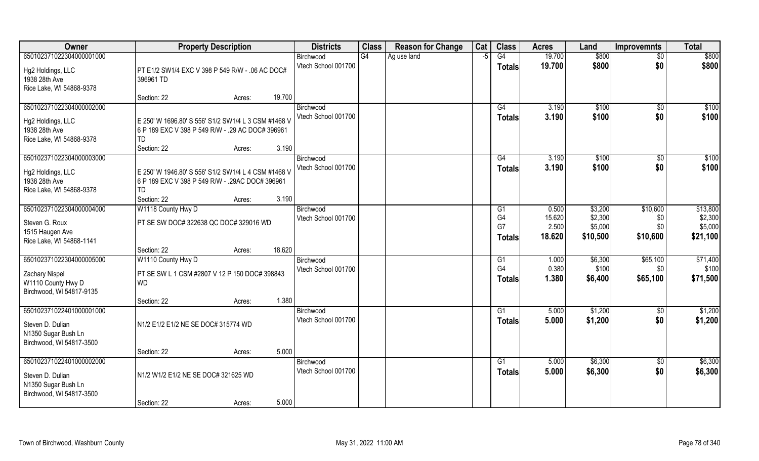| Owner                              | <b>Property Description</b>                                  |                  | <b>Districts</b>    | <b>Class</b> | <b>Reason for Change</b> | Cat | <b>Class</b>    | <b>Acres</b> | Land     | <b>Improvemnts</b> | <b>Total</b> |
|------------------------------------|--------------------------------------------------------------|------------------|---------------------|--------------|--------------------------|-----|-----------------|--------------|----------|--------------------|--------------|
| 650102371022304000001000           |                                                              |                  | Birchwood           | G4           | Ag use land              | -5  | G4              | 19.700       | \$800    | $\overline{30}$    | \$800        |
| Hg2 Holdings, LLC<br>1938 28th Ave | PT E1/2 SW1/4 EXC V 398 P 549 R/W - .06 AC DOC#<br>396961 TD |                  | Vtech School 001700 |              |                          |     | <b>Totals</b>   | 19.700       | \$800    | \$0                | \$800        |
| Rice Lake, WI 54868-9378           |                                                              |                  |                     |              |                          |     |                 |              |          |                    |              |
|                                    | Section: 22                                                  | 19.700<br>Acres: |                     |              |                          |     |                 |              |          |                    |              |
| 650102371022304000002000           |                                                              |                  | Birchwood           |              |                          |     | G4              | 3.190        | \$100    | $\overline{50}$    | \$100        |
| Hg2 Holdings, LLC                  | E 250' W 1696.80' S 556' S1/2 SW1/4 L 3 CSM #1468 V          |                  | Vtech School 001700 |              |                          |     | Totals          | 3.190        | \$100    | \$0                | \$100        |
| 1938 28th Ave                      | 6 P 189 EXC V 398 P 549 R/W - .29 AC DOC# 396961             |                  |                     |              |                          |     |                 |              |          |                    |              |
| Rice Lake, WI 54868-9378           | TD                                                           |                  |                     |              |                          |     |                 |              |          |                    |              |
|                                    | Section: 22                                                  | 3.190<br>Acres:  |                     |              |                          |     |                 |              |          |                    |              |
| 650102371022304000003000           |                                                              |                  | Birchwood           |              |                          |     | G4              | 3.190        | \$100    | $\sqrt[6]{30}$     | \$100        |
| Hg2 Holdings, LLC                  | E 250' W 1946.80' S 556' S1/2 SW1/4 L 4 CSM #1468 V          |                  | Vtech School 001700 |              |                          |     | <b>Totals</b>   | 3.190        | \$100    | \$0                | \$100        |
| 1938 28th Ave                      | 6 P 189 EXC V 398 P 549 R/W - .29AC DOC# 396961              |                  |                     |              |                          |     |                 |              |          |                    |              |
| Rice Lake, WI 54868-9378           | <b>TD</b>                                                    |                  |                     |              |                          |     |                 |              |          |                    |              |
|                                    | Section: 22                                                  | 3.190<br>Acres:  |                     |              |                          |     |                 |              |          |                    |              |
| 650102371022304000004000           | W1118 County Hwy D                                           |                  | Birchwood           |              |                          |     | G <sub>1</sub>  | 0.500        | \$3,200  | \$10,600           | \$13,800     |
| Steven G. Roux                     | PT SE SW DOC# 322638 QC DOC# 329016 WD                       |                  | Vtech School 001700 |              |                          |     | G <sub>4</sub>  | 15.620       | \$2,300  | \$0                | \$2,300      |
| 1515 Haugen Ave                    |                                                              |                  |                     |              |                          |     | G7              | 2.500        | \$5,000  | \$0                | \$5,000      |
| Rice Lake, WI 54868-1141           |                                                              |                  |                     |              |                          |     | <b>Totals</b>   | 18.620       | \$10,500 | \$10,600           | \$21,100     |
|                                    | Section: 22                                                  | 18.620<br>Acres: |                     |              |                          |     |                 |              |          |                    |              |
| 650102371022304000005000           | W1110 County Hwy D                                           |                  | Birchwood           |              |                          |     | G1              | 1.000        | \$6,300  | \$65,100           | \$71,400     |
| <b>Zachary Nispel</b>              | PT SE SW L 1 CSM #2807 V 12 P 150 DOC# 398843                |                  | Vtech School 001700 |              |                          |     | G <sub>4</sub>  | 0.380        | \$100    | \$0                | \$100        |
| W1110 County Hwy D                 | <b>WD</b>                                                    |                  |                     |              |                          |     | Totals          | 1.380        | \$6,400  | \$65,100           | \$71,500     |
| Birchwood, WI 54817-9135           |                                                              |                  |                     |              |                          |     |                 |              |          |                    |              |
|                                    | Section: 22                                                  | 1.380<br>Acres:  |                     |              |                          |     |                 |              |          |                    |              |
| 650102371022401000001000           |                                                              |                  | Birchwood           |              |                          |     | G1              | 5.000        | \$1,200  | \$0                | \$1,200      |
| Steven D. Dulian                   | N1/2 E1/2 E1/2 NE SE DOC# 315774 WD                          |                  | Vtech School 001700 |              |                          |     | <b>Totals</b>   | 5.000        | \$1,200  | \$0                | \$1,200      |
| N1350 Sugar Bush Ln                |                                                              |                  |                     |              |                          |     |                 |              |          |                    |              |
| Birchwood, WI 54817-3500           |                                                              |                  |                     |              |                          |     |                 |              |          |                    |              |
|                                    | Section: 22                                                  | 5.000<br>Acres:  |                     |              |                          |     |                 |              |          |                    |              |
| 650102371022401000002000           |                                                              |                  | Birchwood           |              |                          |     | $\overline{G1}$ | 5.000        | \$6,300  | $\overline{50}$    | \$6,300      |
| Steven D. Dulian                   | N1/2 W1/2 E1/2 NE SE DOC# 321625 WD                          |                  | Vtech School 001700 |              |                          |     | <b>Totals</b>   | 5.000        | \$6,300  | \$0                | \$6,300      |
| N1350 Sugar Bush Ln                |                                                              |                  |                     |              |                          |     |                 |              |          |                    |              |
| Birchwood, WI 54817-3500           |                                                              |                  |                     |              |                          |     |                 |              |          |                    |              |
|                                    | Section: 22                                                  | 5.000<br>Acres:  |                     |              |                          |     |                 |              |          |                    |              |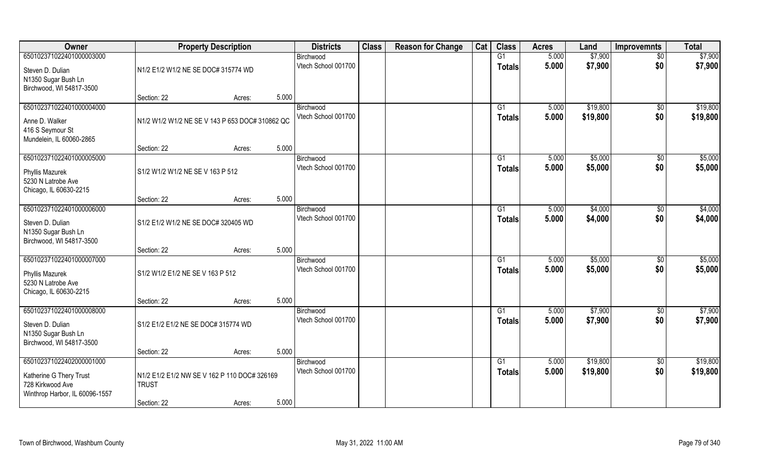| 650102371022401000003000<br>5.000<br>\$7,900<br>G1<br>$\sqrt{$0}$<br>Birchwood<br>Vtech School 001700<br>5.000<br>\$7,900<br>\$0<br>\$7,900<br>Totals<br>N1/2 E1/2 W1/2 NE SE DOC# 315774 WD<br>Steven D. Dulian<br>N1350 Sugar Bush Ln<br>Birchwood, WI 54817-3500<br>5.000<br>Section: 22<br>Acres:<br>650102371022401000004000<br>5.000<br>\$19,800<br>G1<br>$\sqrt{$0}$<br>Birchwood<br>Vtech School 001700<br>5.000<br>\$19,800<br>\$0<br>\$19,800<br>Totals<br>N1/2 W1/2 W1/2 NE SE V 143 P 653 DOC# 310862 QC<br>Anne D. Walker<br>416 S Seymour St<br>Mundelein, IL 60060-2865<br>5.000<br>Section: 22<br>Acres:<br>650102371022401000005000<br>\$5,000<br>G1<br>5.000<br>\$0<br>Birchwood<br>Vtech School 001700<br>\$0<br>5.000<br>\$5,000<br><b>Totals</b><br>S1/2 W1/2 W1/2 NE SE V 163 P 512<br>Phyllis Mazurek<br>5230 N Latrobe Ave<br>Chicago, IL 60630-2215<br>5.000<br>Section: 22<br>Acres:<br>650102371022401000006000<br>\$4,000<br>G1<br>5.000<br>$\sqrt[6]{3}$<br>Birchwood<br>Vtech School 001700<br>5.000<br>\$4,000<br>\$0<br>Totals<br>S1/2 E1/2 W1/2 NE SE DOC# 320405 WD<br>Steven D. Dulian<br>N1350 Sugar Bush Ln<br>Birchwood, WI 54817-3500<br>5.000<br>Section: 22<br>Acres:<br>650102371022401000007000<br>5.000<br>\$5,000<br>G1<br>$\sqrt[6]{30}$<br>Birchwood<br>5.000<br>\$5,000<br>\$0<br>Vtech School 001700<br><b>Totals</b><br>S1/2 W1/2 E1/2 NE SE V 163 P 512<br>Phyllis Mazurek<br>5230 N Latrobe Ave<br>Chicago, IL 60630-2215<br>5.000<br>Section: 22<br>Acres: | Owner                    | <b>Property Description</b> |                                              |  | <b>Districts</b> | <b>Class</b> | <b>Reason for Change</b> | Cat | <b>Class</b> | <b>Acres</b> | Land    | <b>Improvemnts</b> | <b>Total</b> |
|-----------------------------------------------------------------------------------------------------------------------------------------------------------------------------------------------------------------------------------------------------------------------------------------------------------------------------------------------------------------------------------------------------------------------------------------------------------------------------------------------------------------------------------------------------------------------------------------------------------------------------------------------------------------------------------------------------------------------------------------------------------------------------------------------------------------------------------------------------------------------------------------------------------------------------------------------------------------------------------------------------------------------------------------------------------------------------------------------------------------------------------------------------------------------------------------------------------------------------------------------------------------------------------------------------------------------------------------------------------------------------------------------------------------------------------------------------------------------------------------------------------------|--------------------------|-----------------------------|----------------------------------------------|--|------------------|--------------|--------------------------|-----|--------------|--------------|---------|--------------------|--------------|
|                                                                                                                                                                                                                                                                                                                                                                                                                                                                                                                                                                                                                                                                                                                                                                                                                                                                                                                                                                                                                                                                                                                                                                                                                                                                                                                                                                                                                                                                                                                 |                          |                             |                                              |  |                  |              |                          |     |              |              |         |                    | \$7,900      |
|                                                                                                                                                                                                                                                                                                                                                                                                                                                                                                                                                                                                                                                                                                                                                                                                                                                                                                                                                                                                                                                                                                                                                                                                                                                                                                                                                                                                                                                                                                                 |                          |                             |                                              |  |                  |              |                          |     |              |              |         |                    |              |
| \$19,800<br>\$5,000<br>\$5,000<br>\$4,000<br>\$4,000<br>\$5,000<br>\$5,000                                                                                                                                                                                                                                                                                                                                                                                                                                                                                                                                                                                                                                                                                                                                                                                                                                                                                                                                                                                                                                                                                                                                                                                                                                                                                                                                                                                                                                      |                          |                             |                                              |  |                  |              |                          |     |              |              |         |                    |              |
|                                                                                                                                                                                                                                                                                                                                                                                                                                                                                                                                                                                                                                                                                                                                                                                                                                                                                                                                                                                                                                                                                                                                                                                                                                                                                                                                                                                                                                                                                                                 |                          |                             |                                              |  |                  |              |                          |     |              |              |         |                    |              |
|                                                                                                                                                                                                                                                                                                                                                                                                                                                                                                                                                                                                                                                                                                                                                                                                                                                                                                                                                                                                                                                                                                                                                                                                                                                                                                                                                                                                                                                                                                                 |                          |                             |                                              |  |                  |              |                          |     |              |              |         |                    |              |
|                                                                                                                                                                                                                                                                                                                                                                                                                                                                                                                                                                                                                                                                                                                                                                                                                                                                                                                                                                                                                                                                                                                                                                                                                                                                                                                                                                                                                                                                                                                 |                          |                             |                                              |  |                  |              |                          |     |              |              |         |                    |              |
|                                                                                                                                                                                                                                                                                                                                                                                                                                                                                                                                                                                                                                                                                                                                                                                                                                                                                                                                                                                                                                                                                                                                                                                                                                                                                                                                                                                                                                                                                                                 |                          |                             |                                              |  |                  |              |                          |     |              |              |         |                    |              |
|                                                                                                                                                                                                                                                                                                                                                                                                                                                                                                                                                                                                                                                                                                                                                                                                                                                                                                                                                                                                                                                                                                                                                                                                                                                                                                                                                                                                                                                                                                                 |                          |                             |                                              |  |                  |              |                          |     |              |              |         |                    |              |
|                                                                                                                                                                                                                                                                                                                                                                                                                                                                                                                                                                                                                                                                                                                                                                                                                                                                                                                                                                                                                                                                                                                                                                                                                                                                                                                                                                                                                                                                                                                 |                          |                             |                                              |  |                  |              |                          |     |              |              |         |                    |              |
|                                                                                                                                                                                                                                                                                                                                                                                                                                                                                                                                                                                                                                                                                                                                                                                                                                                                                                                                                                                                                                                                                                                                                                                                                                                                                                                                                                                                                                                                                                                 |                          |                             |                                              |  |                  |              |                          |     |              |              |         |                    |              |
|                                                                                                                                                                                                                                                                                                                                                                                                                                                                                                                                                                                                                                                                                                                                                                                                                                                                                                                                                                                                                                                                                                                                                                                                                                                                                                                                                                                                                                                                                                                 |                          |                             |                                              |  |                  |              |                          |     |              |              |         |                    |              |
|                                                                                                                                                                                                                                                                                                                                                                                                                                                                                                                                                                                                                                                                                                                                                                                                                                                                                                                                                                                                                                                                                                                                                                                                                                                                                                                                                                                                                                                                                                                 |                          |                             |                                              |  |                  |              |                          |     |              |              |         |                    |              |
|                                                                                                                                                                                                                                                                                                                                                                                                                                                                                                                                                                                                                                                                                                                                                                                                                                                                                                                                                                                                                                                                                                                                                                                                                                                                                                                                                                                                                                                                                                                 |                          |                             |                                              |  |                  |              |                          |     |              |              |         |                    |              |
|                                                                                                                                                                                                                                                                                                                                                                                                                                                                                                                                                                                                                                                                                                                                                                                                                                                                                                                                                                                                                                                                                                                                                                                                                                                                                                                                                                                                                                                                                                                 |                          |                             |                                              |  |                  |              |                          |     |              |              |         |                    |              |
|                                                                                                                                                                                                                                                                                                                                                                                                                                                                                                                                                                                                                                                                                                                                                                                                                                                                                                                                                                                                                                                                                                                                                                                                                                                                                                                                                                                                                                                                                                                 |                          |                             |                                              |  |                  |              |                          |     |              |              |         |                    |              |
|                                                                                                                                                                                                                                                                                                                                                                                                                                                                                                                                                                                                                                                                                                                                                                                                                                                                                                                                                                                                                                                                                                                                                                                                                                                                                                                                                                                                                                                                                                                 |                          |                             |                                              |  |                  |              |                          |     |              |              |         |                    |              |
|                                                                                                                                                                                                                                                                                                                                                                                                                                                                                                                                                                                                                                                                                                                                                                                                                                                                                                                                                                                                                                                                                                                                                                                                                                                                                                                                                                                                                                                                                                                 |                          |                             |                                              |  |                  |              |                          |     |              |              |         |                    |              |
|                                                                                                                                                                                                                                                                                                                                                                                                                                                                                                                                                                                                                                                                                                                                                                                                                                                                                                                                                                                                                                                                                                                                                                                                                                                                                                                                                                                                                                                                                                                 |                          |                             |                                              |  |                  |              |                          |     |              |              |         |                    |              |
|                                                                                                                                                                                                                                                                                                                                                                                                                                                                                                                                                                                                                                                                                                                                                                                                                                                                                                                                                                                                                                                                                                                                                                                                                                                                                                                                                                                                                                                                                                                 |                          |                             |                                              |  |                  |              |                          |     |              |              |         |                    |              |
|                                                                                                                                                                                                                                                                                                                                                                                                                                                                                                                                                                                                                                                                                                                                                                                                                                                                                                                                                                                                                                                                                                                                                                                                                                                                                                                                                                                                                                                                                                                 |                          |                             |                                              |  |                  |              |                          |     |              |              |         |                    |              |
|                                                                                                                                                                                                                                                                                                                                                                                                                                                                                                                                                                                                                                                                                                                                                                                                                                                                                                                                                                                                                                                                                                                                                                                                                                                                                                                                                                                                                                                                                                                 |                          |                             |                                              |  |                  |              |                          |     |              |              |         |                    |              |
|                                                                                                                                                                                                                                                                                                                                                                                                                                                                                                                                                                                                                                                                                                                                                                                                                                                                                                                                                                                                                                                                                                                                                                                                                                                                                                                                                                                                                                                                                                                 |                          |                             |                                              |  |                  |              |                          |     |              |              |         |                    |              |
|                                                                                                                                                                                                                                                                                                                                                                                                                                                                                                                                                                                                                                                                                                                                                                                                                                                                                                                                                                                                                                                                                                                                                                                                                                                                                                                                                                                                                                                                                                                 | 650102371022401000008000 |                             |                                              |  | Birchwood        |              |                          |     | G1           | 5.000        | \$7,900 | $\sqrt{$0}$        | \$7,900      |
| \$7,900<br>\$0<br>\$7,900<br>Vtech School 001700<br>5.000<br><b>Totals</b>                                                                                                                                                                                                                                                                                                                                                                                                                                                                                                                                                                                                                                                                                                                                                                                                                                                                                                                                                                                                                                                                                                                                                                                                                                                                                                                                                                                                                                      |                          |                             |                                              |  |                  |              |                          |     |              |              |         |                    |              |
| Steven D. Dulian<br>S1/2 E1/2 E1/2 NE SE DOC# 315774 WD                                                                                                                                                                                                                                                                                                                                                                                                                                                                                                                                                                                                                                                                                                                                                                                                                                                                                                                                                                                                                                                                                                                                                                                                                                                                                                                                                                                                                                                         |                          |                             |                                              |  |                  |              |                          |     |              |              |         |                    |              |
| N1350 Sugar Bush Ln                                                                                                                                                                                                                                                                                                                                                                                                                                                                                                                                                                                                                                                                                                                                                                                                                                                                                                                                                                                                                                                                                                                                                                                                                                                                                                                                                                                                                                                                                             |                          |                             |                                              |  |                  |              |                          |     |              |              |         |                    |              |
| Birchwood, WI 54817-3500<br>5.000<br>Section: 22<br>Acres:                                                                                                                                                                                                                                                                                                                                                                                                                                                                                                                                                                                                                                                                                                                                                                                                                                                                                                                                                                                                                                                                                                                                                                                                                                                                                                                                                                                                                                                      |                          |                             |                                              |  |                  |              |                          |     |              |              |         |                    |              |
| 650102371022402000001000<br>\$19,800<br>$\overline{G1}$<br>5.000<br>\$19,800<br>$\sqrt{$0}$<br>Birchwood                                                                                                                                                                                                                                                                                                                                                                                                                                                                                                                                                                                                                                                                                                                                                                                                                                                                                                                                                                                                                                                                                                                                                                                                                                                                                                                                                                                                        |                          |                             |                                              |  |                  |              |                          |     |              |              |         |                    |              |
| Vtech School 001700<br>\$0<br>5.000<br>\$19,800<br>\$19,800<br>Totals                                                                                                                                                                                                                                                                                                                                                                                                                                                                                                                                                                                                                                                                                                                                                                                                                                                                                                                                                                                                                                                                                                                                                                                                                                                                                                                                                                                                                                           |                          |                             |                                              |  |                  |              |                          |     |              |              |         |                    |              |
| Katherine G Thery Trust                                                                                                                                                                                                                                                                                                                                                                                                                                                                                                                                                                                                                                                                                                                                                                                                                                                                                                                                                                                                                                                                                                                                                                                                                                                                                                                                                                                                                                                                                         |                          |                             | N1/2 E1/2 E1/2 NW SE V 162 P 110 DOC# 326169 |  |                  |              |                          |     |              |              |         |                    |              |
| 728 Kirkwood Ave<br><b>TRUST</b>                                                                                                                                                                                                                                                                                                                                                                                                                                                                                                                                                                                                                                                                                                                                                                                                                                                                                                                                                                                                                                                                                                                                                                                                                                                                                                                                                                                                                                                                                |                          |                             |                                              |  |                  |              |                          |     |              |              |         |                    |              |
| Winthrop Harbor, IL 60096-1557<br>5.000<br>Section: 22<br>Acres:                                                                                                                                                                                                                                                                                                                                                                                                                                                                                                                                                                                                                                                                                                                                                                                                                                                                                                                                                                                                                                                                                                                                                                                                                                                                                                                                                                                                                                                |                          |                             |                                              |  |                  |              |                          |     |              |              |         |                    |              |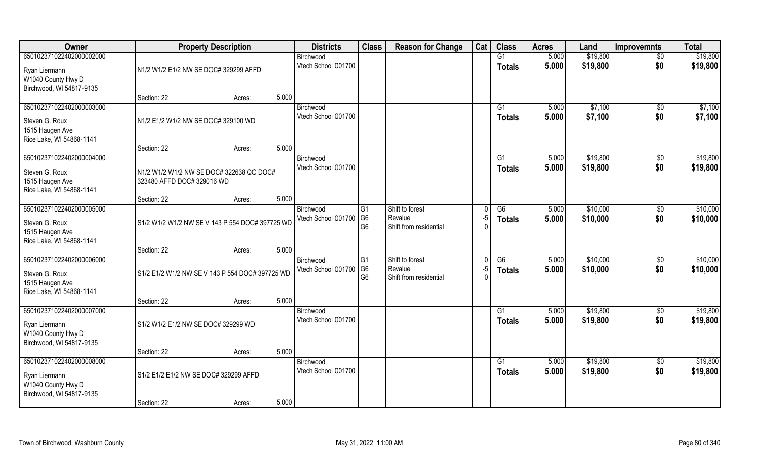| Owner                                                                                       | <b>Property Description</b>                                            |                 | <b>Districts</b>                 | <b>Class</b>                                       | <b>Reason for Change</b>                             | Cat            | <b>Class</b>                     | <b>Acres</b>   | Land                 | <b>Improvemnts</b>     | <b>Total</b>         |
|---------------------------------------------------------------------------------------------|------------------------------------------------------------------------|-----------------|----------------------------------|----------------------------------------------------|------------------------------------------------------|----------------|----------------------------------|----------------|----------------------|------------------------|----------------------|
| 650102371022402000002000<br>Ryan Liermann                                                   | N1/2 W1/2 E1/2 NW SE DOC# 329299 AFFD                                  |                 | Birchwood<br>Vtech School 001700 |                                                    |                                                      |                | $\overline{G1}$<br>Totals        | 5.000<br>5.000 | \$19,800<br>\$19,800 | $\overline{50}$<br>\$0 | \$19,800<br>\$19,800 |
| W1040 County Hwy D<br>Birchwood, WI 54817-9135                                              | Section: 22                                                            | 5.000<br>Acres: |                                  |                                                    |                                                      |                |                                  |                |                      |                        |                      |
| 650102371022402000003000<br>Steven G. Roux<br>1515 Haugen Ave                               | N1/2 E1/2 W1/2 NW SE DOC# 329100 WD                                    |                 | Birchwood<br>Vtech School 001700 |                                                    |                                                      |                | $\overline{G1}$<br>Totals        | 5.000<br>5.000 | \$7,100<br>\$7,100   | \$0<br>\$0             | \$7,100<br>\$7,100   |
| Rice Lake, WI 54868-1141                                                                    | Section: 22                                                            | 5.000<br>Acres: |                                  |                                                    |                                                      |                |                                  |                |                      |                        |                      |
| 650102371022402000004000<br>Steven G. Roux<br>1515 Haugen Ave<br>Rice Lake, WI 54868-1141   | N1/2 W1/2 W1/2 NW SE DOC# 322638 QC DOC#<br>323480 AFFD DOC# 329016 WD |                 | Birchwood<br>Vtech School 001700 |                                                    |                                                      |                | G1<br><b>Totals</b>              | 5.000<br>5.000 | \$19,800<br>\$19,800 | \$0<br>\$0             | \$19,800<br>\$19,800 |
|                                                                                             | Section: 22                                                            | 5.000<br>Acres: |                                  |                                                    |                                                      |                |                                  |                |                      |                        |                      |
| 650102371022402000005000<br>Steven G. Roux<br>1515 Haugen Ave<br>Rice Lake, WI 54868-1141   | S1/2 W1/2 W1/2 NW SE V 143 P 554 DOC# 397725 WD                        |                 | Birchwood<br>Vtech School 001700 | G <sub>1</sub><br>G <sub>6</sub><br>G <sub>6</sub> | Shift to forest<br>Revalue<br>Shift from residential | -5<br>$\Omega$ | G6<br><b>Totals</b>              | 5.000<br>5.000 | \$10,000<br>\$10,000 | $\sqrt[6]{3}$<br>\$0   | \$10,000<br>\$10,000 |
|                                                                                             | Section: 22                                                            | 5.000<br>Acres: |                                  |                                                    |                                                      |                |                                  |                |                      |                        |                      |
| 650102371022402000006000<br>Steven G. Roux<br>1515 Haugen Ave<br>Rice Lake, WI 54868-1141   | S1/2 E1/2 W1/2 NW SE V 143 P 554 DOC# 397725 WD                        |                 | Birchwood<br>Vtech School 001700 | G1<br>G <sub>6</sub><br>G <sub>6</sub>             | Shift to forest<br>Revalue<br>Shift from residential | $-5$           | $\overline{G6}$<br><b>Totals</b> | 5.000<br>5.000 | \$10,000<br>\$10,000 | $\sqrt[6]{30}$<br>\$0  | \$10,000<br>\$10,000 |
|                                                                                             | Section: 22                                                            | 5.000<br>Acres: |                                  |                                                    |                                                      |                |                                  |                |                      |                        |                      |
| 650102371022402000007000<br>Ryan Liermann<br>W1040 County Hwy D<br>Birchwood, WI 54817-9135 | S1/2 W1/2 E1/2 NW SE DOC# 329299 WD                                    |                 | Birchwood<br>Vtech School 001700 |                                                    |                                                      |                | G1<br><b>Totals</b>              | 5.000<br>5.000 | \$19,800<br>\$19,800 | \$0<br>\$0             | \$19,800<br>\$19,800 |
|                                                                                             | Section: 22                                                            | 5.000<br>Acres: |                                  |                                                    |                                                      |                |                                  |                |                      |                        |                      |
| 650102371022402000008000<br>Ryan Liermann<br>W1040 County Hwy D<br>Birchwood, WI 54817-9135 | S1/2 E1/2 E1/2 NW SE DOC# 329299 AFFD                                  |                 | Birchwood<br>Vtech School 001700 |                                                    |                                                      |                | G1<br>Totals                     | 5.000<br>5.000 | \$19,800<br>\$19,800 | $\overline{50}$<br>\$0 | \$19,800<br>\$19,800 |
|                                                                                             | Section: 22                                                            | 5.000<br>Acres: |                                  |                                                    |                                                      |                |                                  |                |                      |                        |                      |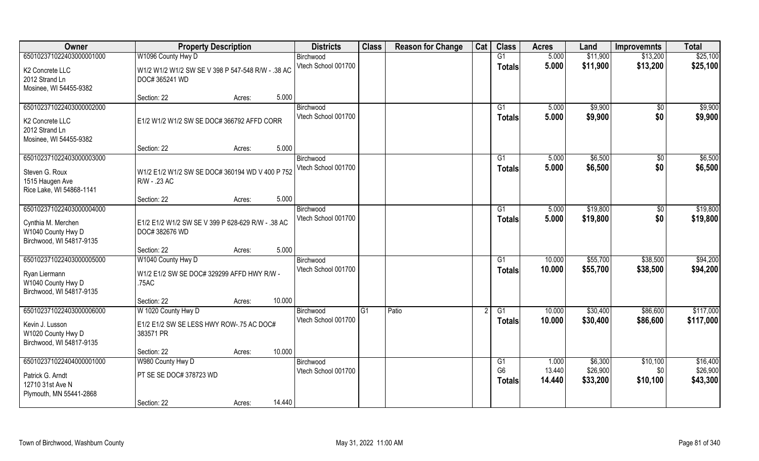| Owner                                                                                            | <b>Property Description</b>                                                  |        | <b>Districts</b>                 | <b>Class</b> | <b>Reason for Change</b> | Cat | <b>Class</b>                          | <b>Acres</b>              | Land                            | <b>Improvemnts</b>            | <b>Total</b>                     |
|--------------------------------------------------------------------------------------------------|------------------------------------------------------------------------------|--------|----------------------------------|--------------|--------------------------|-----|---------------------------------------|---------------------------|---------------------------------|-------------------------------|----------------------------------|
| 650102371022403000001000                                                                         | W1096 County Hwy D                                                           |        | Birchwood                        |              |                          |     | G1                                    | 5.000                     | \$11,900                        | \$13,200                      | \$25,100                         |
| K2 Concrete LLC<br>2012 Strand Ln<br>Mosinee, WI 54455-9382                                      | W1/2 W1/2 W1/2 SW SE V 398 P 547-548 R/W - .38 AC<br>DOC# 365241 WD          |        | Vtech School 001700              |              |                          |     | <b>Totals</b>                         | 5.000                     | \$11,900                        | \$13,200                      | \$25,100                         |
|                                                                                                  | Section: 22<br>Acres:                                                        | 5.000  |                                  |              |                          |     |                                       |                           |                                 |                               |                                  |
| 650102371022403000002000<br>K2 Concrete LLC<br>2012 Strand Ln<br>Mosinee, WI 54455-9382          | E1/2 W1/2 W1/2 SW SE DOC# 366792 AFFD CORR                                   |        | Birchwood<br>Vtech School 001700 |              |                          |     | G1<br>Totals                          | 5.000<br>5.000            | \$9,900<br>\$9,900              | $\overline{50}$<br>\$0        | \$9,900<br>\$9,900               |
|                                                                                                  | Section: 22<br>Acres:                                                        | 5.000  |                                  |              |                          |     |                                       |                           |                                 |                               |                                  |
| 650102371022403000003000<br>Steven G. Roux<br>1515 Haugen Ave<br>Rice Lake, WI 54868-1141        | W1/2 E1/2 W1/2 SW SE DOC# 360194 WD V 400 P 752<br>R/W - .23 AC              |        | Birchwood<br>Vtech School 001700 |              |                          |     | G1<br><b>Totals</b>                   | 5.000<br>5.000            | \$6,500<br>\$6,500              | $\overline{50}$<br>\$0        | \$6,500<br>\$6,500               |
|                                                                                                  | Section: 22<br>Acres:                                                        | 5.000  |                                  |              |                          |     |                                       |                           |                                 |                               |                                  |
| 650102371022403000004000<br>Cynthia M. Merchen<br>W1040 County Hwy D<br>Birchwood, WI 54817-9135 | E1/2 E1/2 W1/2 SW SE V 399 P 628-629 R/W - .38 AC<br>DOC# 382676 WD          |        | Birchwood<br>Vtech School 001700 |              |                          |     | G1<br><b>Totals</b>                   | 5.000<br>5.000            | \$19,800<br>\$19,800            | \$0<br>\$0                    | \$19,800<br>\$19,800             |
|                                                                                                  | Section: 22<br>Acres:                                                        | 5.000  |                                  |              |                          |     |                                       |                           |                                 |                               |                                  |
| 650102371022403000005000<br>Ryan Liermann<br>W1040 County Hwy D<br>Birchwood, WI 54817-9135      | W1040 County Hwy D<br>W1/2 E1/2 SW SE DOC# 329299 AFFD HWY R/W -<br>.75AC    |        | Birchwood<br>Vtech School 001700 |              |                          |     | G1<br><b>Totals</b>                   | 10.000<br>10.000          | \$55,700<br>\$55,700            | \$38,500<br>\$38,500          | \$94,200<br>\$94,200             |
|                                                                                                  | Section: 22<br>Acres:                                                        | 10.000 |                                  |              |                          |     |                                       |                           |                                 |                               |                                  |
| 650102371022403000006000<br>Kevin J. Lusson<br>W1020 County Hwy D<br>Birchwood, WI 54817-9135    | W 1020 County Hwy D<br>E1/2 E1/2 SW SE LESS HWY ROW-.75 AC DOC#<br>383571 PR |        | Birchwood<br>Vtech School 001700 | G1           | Patio                    |     | G1<br>Totals                          | 10.000<br>10.000          | \$30,400<br>\$30,400            | \$86,600<br>\$86,600          | \$117,000<br>\$117,000           |
|                                                                                                  | Section: 22<br>Acres:                                                        | 10.000 |                                  |              |                          |     |                                       |                           |                                 |                               |                                  |
| 650102371022404000001000<br>Patrick G. Arndt<br>12710 31st Ave N<br>Plymouth, MN 55441-2868      | W980 County Hwy D<br>PT SE SE DOC# 378723 WD<br>Section: 22<br>Acres:        | 14.440 | Birchwood<br>Vtech School 001700 |              |                          |     | G1<br>G <sub>6</sub><br><b>Totals</b> | 1.000<br>13.440<br>14.440 | \$6,300<br>\$26,900<br>\$33,200 | \$10,100<br>\$0\$<br>\$10,100 | \$16,400<br>\$26,900<br>\$43,300 |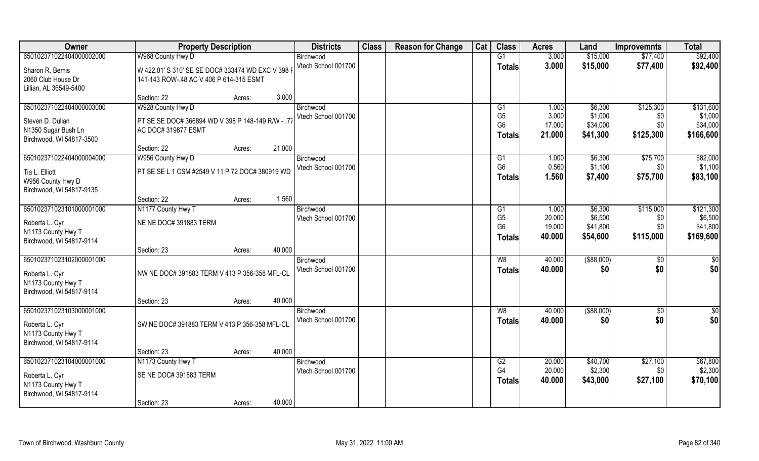| Owner                    | <b>Property Description</b>                       |        | <b>Districts</b>                 | <b>Class</b> | <b>Reason for Change</b> | Cat | <b>Class</b>                     | <b>Acres</b>     | Land                | <b>Improvemnts</b> | <b>Total</b>         |
|--------------------------|---------------------------------------------------|--------|----------------------------------|--------------|--------------------------|-----|----------------------------------|------------------|---------------------|--------------------|----------------------|
| 650102371022404000002000 | W968 County Hwy D                                 |        | Birchwood                        |              |                          |     | G1                               | 3.000            | \$15,000            | \$77,400           | \$92,400             |
| Sharon R. Bemis          | W 422.01' S 310' SE SE DOC# 333474 WD EXC V 398 I |        | Vtech School 001700              |              |                          |     | <b>Totals</b>                    | 3.000            | \$15,000            | \$77,400           | \$92,400             |
| 2060 Club House Dr       | 141-143 ROW-.48 AC V 406 P 614-315 ESMT           |        |                                  |              |                          |     |                                  |                  |                     |                    |                      |
| Lillian, AL 36549-5400   |                                                   |        |                                  |              |                          |     |                                  |                  |                     |                    |                      |
|                          | Section: 22<br>Acres:                             | 3.000  |                                  |              |                          |     |                                  |                  |                     |                    |                      |
| 650102371022404000003000 | W928 County Hwy D                                 |        | Birchwood                        |              |                          |     | G1                               | 1.000            | \$6,300             | \$125,300          | \$131,600            |
| Steven D. Dulian         | PT SE SE DOC# 366894 WD V 398 P 148-149 R/W - .77 |        | Vtech School 001700              |              |                          |     | G <sub>5</sub><br>G <sub>6</sub> | 3.000<br>17.000  | \$1,000<br>\$34,000 | \$0<br>\$0         | \$1,000<br>\$34,000  |
| N1350 Sugar Bush Ln      | AC DOC# 319877 ESMT                               |        |                                  |              |                          |     |                                  | 21.000           | \$41,300            | \$125,300          | \$166,600            |
| Birchwood, WI 54817-3500 |                                                   |        |                                  |              |                          |     | Totals                           |                  |                     |                    |                      |
|                          | Section: 22<br>Acres:                             | 21.000 |                                  |              |                          |     |                                  |                  |                     |                    |                      |
| 650102371022404000004000 | W956 County Hwy D                                 |        | Birchwood                        |              |                          |     | G1                               | 1.000            | \$6,300             | \$75,700           | \$82,000             |
| Tia L. Elliott           | PT SE SE L 1 CSM #2549 V 11 P 72 DOC# 380919 WD   |        | Vtech School 001700              |              |                          |     | G <sub>6</sub>                   | 0.560            | \$1,100             | \$0                | \$1,100              |
| W956 County Hwy D        |                                                   |        |                                  |              |                          |     | <b>Totals</b>                    | 1.560            | \$7,400             | \$75,700           | \$83,100             |
| Birchwood, WI 54817-9135 |                                                   |        |                                  |              |                          |     |                                  |                  |                     |                    |                      |
|                          | Section: 22<br>Acres:                             | 1.560  |                                  |              |                          |     |                                  |                  |                     |                    |                      |
| 650102371023101000001000 | N1177 County Hwy T                                |        | Birchwood                        |              |                          |     | G1<br>G <sub>5</sub>             | 1.000            | \$6,300             | \$115,000          | \$121,300            |
| Roberta L. Cyr           | NE NE DOC# 391883 TERM                            |        | Vtech School 001700              |              |                          |     | G <sub>6</sub>                   | 20.000<br>19.000 | \$6,500<br>\$41,800 | \$0<br>\$0         | \$6,500<br>\$41,800  |
| N1173 County Hwy T       |                                                   |        |                                  |              |                          |     | <b>Totals</b>                    | 40.000           | \$54,600            | \$115,000          | \$169,600            |
| Birchwood, WI 54817-9114 |                                                   |        |                                  |              |                          |     |                                  |                  |                     |                    |                      |
|                          | Section: 23<br>Acres:                             | 40.000 |                                  |              |                          |     |                                  |                  |                     |                    |                      |
| 650102371023102000001000 |                                                   |        | Birchwood                        |              |                          |     | W8                               | 40.000           | $($ \$88,000)       | \$0                | \$0                  |
| Roberta L. Cyr           | NW NE DOC# 391883 TERM V 413 P 356-358 MFL-CL     |        | Vtech School 001700              |              |                          |     | <b>Totals</b>                    | 40.000           | \$0                 | \$0                | \$0                  |
| N1173 County Hwy T       |                                                   |        |                                  |              |                          |     |                                  |                  |                     |                    |                      |
| Birchwood, WI 54817-9114 |                                                   |        |                                  |              |                          |     |                                  |                  |                     |                    |                      |
|                          | Section: 23<br>Acres:                             | 40.000 |                                  |              |                          |     |                                  |                  |                     |                    |                      |
| 650102371023103000001000 |                                                   |        | Birchwood<br>Vtech School 001700 |              |                          |     | W8                               | 40.000           | ( \$88,000)         | \$0<br>\$0         | $\frac{6}{3}$<br>\$0 |
| Roberta L. Cyr           | SW NE DOC# 391883 TERM V 413 P 356-358 MFL-CL     |        |                                  |              |                          |     | <b>Totals</b>                    | 40.000           | \$0                 |                    |                      |
| N1173 County Hwy T       |                                                   |        |                                  |              |                          |     |                                  |                  |                     |                    |                      |
| Birchwood, WI 54817-9114 |                                                   |        |                                  |              |                          |     |                                  |                  |                     |                    |                      |
|                          | Section: 23<br>Acres:                             | 40.000 |                                  |              |                          |     |                                  |                  |                     |                    |                      |
| 650102371023104000001000 | N1173 County Hwy T                                |        | Birchwood<br>Vtech School 001700 |              |                          |     | G2<br>G <sub>4</sub>             | 20.000<br>20.000 | \$40,700<br>\$2,300 | \$27,100<br>\$0    | \$67,800<br>\$2,300  |
| Roberta L. Cyr           | SE NE DOC# 391883 TERM                            |        |                                  |              |                          |     | Totals                           | 40.000           | \$43,000            | \$27,100           | \$70,100             |
| N1173 County Hwy T       |                                                   |        |                                  |              |                          |     |                                  |                  |                     |                    |                      |
| Birchwood, WI 54817-9114 |                                                   |        |                                  |              |                          |     |                                  |                  |                     |                    |                      |
|                          | Section: 23<br>Acres:                             | 40.000 |                                  |              |                          |     |                                  |                  |                     |                    |                      |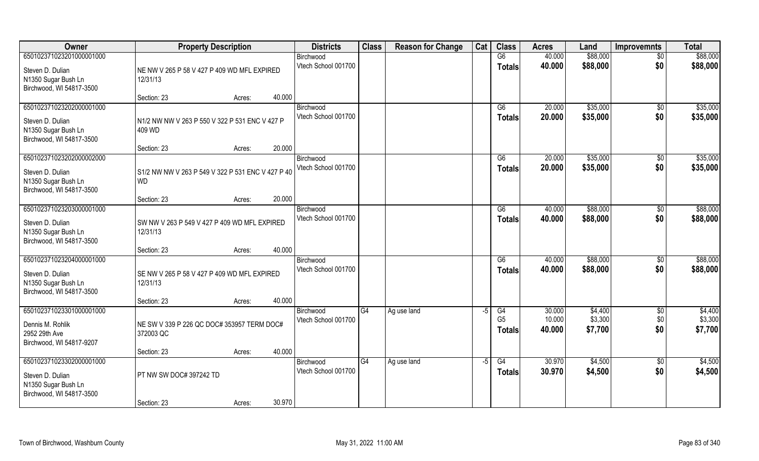| Owner                                           | <b>Property Description</b>                       |        |        | <b>Districts</b>    | <b>Class</b> | <b>Reason for Change</b> | Cat  | <b>Class</b>    | <b>Acres</b> | Land     | <b>Improvemnts</b> | <b>Total</b> |
|-------------------------------------------------|---------------------------------------------------|--------|--------|---------------------|--------------|--------------------------|------|-----------------|--------------|----------|--------------------|--------------|
| 650102371023201000001000                        |                                                   |        |        | Birchwood           |              |                          |      | G6              | 40.000       | \$88,000 | $\overline{50}$    | \$88,000     |
| Steven D. Dulian                                | NE NW V 265 P 58 V 427 P 409 WD MFL EXPIRED       |        |        | Vtech School 001700 |              |                          |      | <b>Totals</b>   | 40.000       | \$88,000 | \$0                | \$88,000     |
| N1350 Sugar Bush Ln<br>Birchwood, WI 54817-3500 | 12/31/13                                          |        |        |                     |              |                          |      |                 |              |          |                    |              |
|                                                 | Section: 23                                       | Acres: | 40.000 |                     |              |                          |      |                 |              |          |                    |              |
| 650102371023202000001000                        |                                                   |        |        | Birchwood           |              |                          |      | G6              | 20.000       | \$35,000 | $\overline{50}$    | \$35,000     |
| Steven D. Dulian                                | N1/2 NW NW V 263 P 550 V 322 P 531 ENC V 427 P    |        |        | Vtech School 001700 |              |                          |      | <b>Totals</b>   | 20.000       | \$35,000 | \$0                | \$35,000     |
| N1350 Sugar Bush Ln                             | 409 WD                                            |        |        |                     |              |                          |      |                 |              |          |                    |              |
| Birchwood, WI 54817-3500                        |                                                   |        |        |                     |              |                          |      |                 |              |          |                    |              |
|                                                 | Section: 23                                       | Acres: | 20.000 |                     |              |                          |      |                 |              |          |                    |              |
| 650102371023202000002000                        |                                                   |        |        | Birchwood           |              |                          |      | G6              | 20.000       | \$35,000 | \$0                | \$35,000     |
| Steven D. Dulian                                | S1/2 NW NW V 263 P 549 V 322 P 531 ENC V 427 P 40 |        |        | Vtech School 001700 |              |                          |      | <b>Totals</b>   | 20.000       | \$35,000 | \$0                | \$35,000     |
| N1350 Sugar Bush Ln                             | <b>WD</b>                                         |        |        |                     |              |                          |      |                 |              |          |                    |              |
| Birchwood, WI 54817-3500                        |                                                   |        |        |                     |              |                          |      |                 |              |          |                    |              |
|                                                 | Section: 23                                       | Acres: | 20.000 |                     |              |                          |      |                 |              |          |                    |              |
| 650102371023203000001000                        |                                                   |        |        | Birchwood           |              |                          |      | G6              | 40.000       | \$88,000 | $\sqrt[6]{30}$     | \$88,000     |
| Steven D. Dulian                                | SW NW V 263 P 549 V 427 P 409 WD MFL EXPIRED      |        |        | Vtech School 001700 |              |                          |      | <b>Totals</b>   | 40.000       | \$88,000 | \$0                | \$88,000     |
| N1350 Sugar Bush Ln                             | 12/31/13                                          |        |        |                     |              |                          |      |                 |              |          |                    |              |
| Birchwood, WI 54817-3500                        |                                                   |        |        |                     |              |                          |      |                 |              |          |                    |              |
|                                                 | Section: 23                                       | Acres: | 40.000 |                     |              |                          |      |                 |              |          |                    |              |
| 650102371023204000001000                        |                                                   |        |        | Birchwood           |              |                          |      | $\overline{G6}$ | 40.000       | \$88,000 | \$0                | \$88,000     |
| Steven D. Dulian                                | SE NW V 265 P 58 V 427 P 409 WD MFL EXPIRED       |        |        | Vtech School 001700 |              |                          |      | <b>Totals</b>   | 40.000       | \$88,000 | \$0                | \$88,000     |
| N1350 Sugar Bush Ln                             | 12/31/13                                          |        |        |                     |              |                          |      |                 |              |          |                    |              |
| Birchwood, WI 54817-3500                        |                                                   |        |        |                     |              |                          |      |                 |              |          |                    |              |
|                                                 | Section: 23                                       | Acres: | 40.000 |                     |              |                          |      |                 |              |          |                    |              |
| 650102371023301000001000                        |                                                   |        |        | Birchwood           | G4           | Ag use land              | $-5$ | G4              | 30.000       | \$4,400  | $\sqrt{6}$         | \$4,400      |
| Dennis M. Rohlik                                | NE SW V 339 P 226 QC DOC# 353957 TERM DOC#        |        |        | Vtech School 001700 |              |                          |      | G <sub>5</sub>  | 10.000       | \$3,300  | \$0                | \$3,300      |
| 2952 29th Ave                                   | 372003 QC                                         |        |        |                     |              |                          |      | <b>Totals</b>   | 40.000       | \$7,700  | \$0                | \$7,700      |
| Birchwood, WI 54817-9207                        |                                                   |        |        |                     |              |                          |      |                 |              |          |                    |              |
|                                                 | Section: 23                                       | Acres: | 40.000 |                     |              |                          |      |                 |              |          |                    |              |
| 650102371023302000001000                        |                                                   |        |        | Birchwood           | G4           | Ag use land              | $-5$ | G4              | 30.970       | \$4,500  | $\overline{50}$    | \$4,500      |
| Steven D. Dulian                                | PT NW SW DOC# 397242 TD                           |        |        | Vtech School 001700 |              |                          |      | <b>Totals</b>   | 30.970       | \$4,500  | \$0                | \$4,500      |
| N1350 Sugar Bush Ln                             |                                                   |        |        |                     |              |                          |      |                 |              |          |                    |              |
| Birchwood, WI 54817-3500                        |                                                   |        |        |                     |              |                          |      |                 |              |          |                    |              |
|                                                 | Section: 23                                       | Acres: | 30.970 |                     |              |                          |      |                 |              |          |                    |              |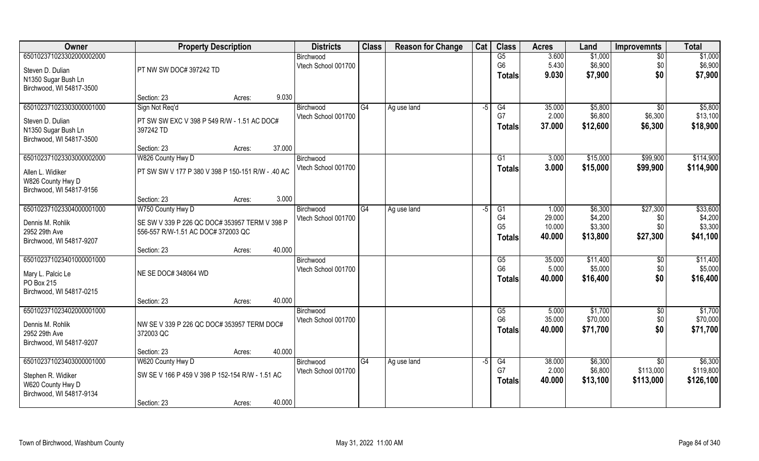| Owner                    | <b>Property Description</b>                       |                  | <b>Districts</b>    | <b>Class</b> | <b>Reason for Change</b> | Cat  | <b>Class</b>   | <b>Acres</b> | Land     | <b>Improvemnts</b> | <b>Total</b> |
|--------------------------|---------------------------------------------------|------------------|---------------------|--------------|--------------------------|------|----------------|--------------|----------|--------------------|--------------|
| 650102371023302000002000 |                                                   |                  | Birchwood           |              |                          |      | G5             | 3.600        | \$1,000  | $\sqrt{6}$         | \$1,000      |
| Steven D. Dulian         | PT NW SW DOC# 397242 TD                           |                  | Vtech School 001700 |              |                          |      | G <sub>6</sub> | 5.430        | \$6,900  | \$0                | \$6,900      |
| N1350 Sugar Bush Ln      |                                                   |                  |                     |              |                          |      | <b>Totals</b>  | 9.030        | \$7,900  | \$0                | \$7,900      |
| Birchwood, WI 54817-3500 |                                                   |                  |                     |              |                          |      |                |              |          |                    |              |
|                          | Section: 23                                       | 9.030<br>Acres:  |                     |              |                          |      |                |              |          |                    |              |
| 650102371023303000001000 | Sign Not Req'd                                    |                  | Birchwood           | G4           | Ag use land              | $-5$ | G4             | 35.000       | \$5,800  | \$0                | \$5,800      |
| Steven D. Dulian         | PT SW SW EXC V 398 P 549 R/W - 1.51 AC DOC#       |                  | Vtech School 001700 |              |                          |      | G7             | 2.000        | \$6,800  | \$6,300            | \$13,100     |
| N1350 Sugar Bush Ln      | 397242 TD                                         |                  |                     |              |                          |      | <b>Totals</b>  | 37.000       | \$12,600 | \$6,300            | \$18,900     |
| Birchwood, WI 54817-3500 |                                                   |                  |                     |              |                          |      |                |              |          |                    |              |
|                          | Section: 23                                       | 37.000<br>Acres: |                     |              |                          |      |                |              |          |                    |              |
| 650102371023303000002000 | W826 County Hwy D                                 |                  | Birchwood           |              |                          |      | G1             | 3.000        | \$15,000 | \$99,900           | \$114,900    |
| Allen L. Widiker         | PT SW SW V 177 P 380 V 398 P 150-151 R/W - .40 AC |                  | Vtech School 001700 |              |                          |      | <b>Totals</b>  | 3.000        | \$15,000 | \$99,900           | \$114,900    |
| W826 County Hwy D        |                                                   |                  |                     |              |                          |      |                |              |          |                    |              |
| Birchwood, WI 54817-9156 |                                                   |                  |                     |              |                          |      |                |              |          |                    |              |
|                          | Section: 23                                       | 3.000<br>Acres:  |                     |              |                          |      |                |              |          |                    |              |
| 650102371023304000001000 | W750 County Hwy D                                 |                  | Birchwood           | G4           | Ag use land              | -5   | G1             | 1.000        | \$6,300  | \$27,300           | \$33,600     |
| Dennis M. Rohlik         | SE SW V 339 P 226 QC DOC# 353957 TERM V 398 P     |                  | Vtech School 001700 |              |                          |      | G <sub>4</sub> | 29.000       | \$4,200  | \$0                | \$4,200      |
| 2952 29th Ave            | 556-557 R/W-1.51 AC DOC# 372003 QC                |                  |                     |              |                          |      | G <sub>5</sub> | 10.000       | \$3,300  | \$0\$              | \$3,300      |
| Birchwood, WI 54817-9207 |                                                   |                  |                     |              |                          |      | <b>Totals</b>  | 40.000       | \$13,800 | \$27,300           | \$41,100     |
|                          | Section: 23                                       | 40.000<br>Acres: |                     |              |                          |      |                |              |          |                    |              |
| 650102371023401000001000 |                                                   |                  | Birchwood           |              |                          |      | G5             | 35.000       | \$11,400 | \$0                | \$11,400     |
| Mary L. Palcic Le        | NE SE DOC# 348064 WD                              |                  | Vtech School 001700 |              |                          |      | G <sub>6</sub> | 5.000        | \$5,000  | \$0                | \$5,000      |
| PO Box 215               |                                                   |                  |                     |              |                          |      | Totals         | 40.000       | \$16,400 | \$0                | \$16,400     |
| Birchwood, WI 54817-0215 |                                                   |                  |                     |              |                          |      |                |              |          |                    |              |
|                          | Section: 23                                       | 40.000<br>Acres: |                     |              |                          |      |                |              |          |                    |              |
| 650102371023402000001000 |                                                   |                  | Birchwood           |              |                          |      | G5             | 5.000        | \$1,700  | $\sqrt{$0}$        | \$1,700      |
| Dennis M. Rohlik         | NW SE V 339 P 226 QC DOC# 353957 TERM DOC#        |                  | Vtech School 001700 |              |                          |      | G <sub>6</sub> | 35.000       | \$70,000 | \$0                | \$70,000     |
| 2952 29th Ave            | 372003 QC                                         |                  |                     |              |                          |      | <b>Totals</b>  | 40,000       | \$71,700 | \$0                | \$71,700     |
| Birchwood, WI 54817-9207 |                                                   |                  |                     |              |                          |      |                |              |          |                    |              |
|                          | Section: 23                                       | 40.000<br>Acres: |                     |              |                          |      |                |              |          |                    |              |
| 650102371023403000001000 | W620 County Hwy D                                 |                  | Birchwood           | G4           | Ag use land              | $-5$ | G4             | 38.000       | \$6,300  | $\overline{30}$    | \$6,300      |
| Stephen R. Widiker       | SW SE V 166 P 459 V 398 P 152-154 R/W - 1.51 AC   |                  | Vtech School 001700 |              |                          |      | G7             | 2.000        | \$6,800  | \$113,000          | \$119,800    |
| W620 County Hwy D        |                                                   |                  |                     |              |                          |      | <b>Totals</b>  | 40.000       | \$13,100 | \$113,000          | \$126,100    |
| Birchwood, WI 54817-9134 |                                                   |                  |                     |              |                          |      |                |              |          |                    |              |
|                          | Section: 23                                       | 40.000<br>Acres: |                     |              |                          |      |                |              |          |                    |              |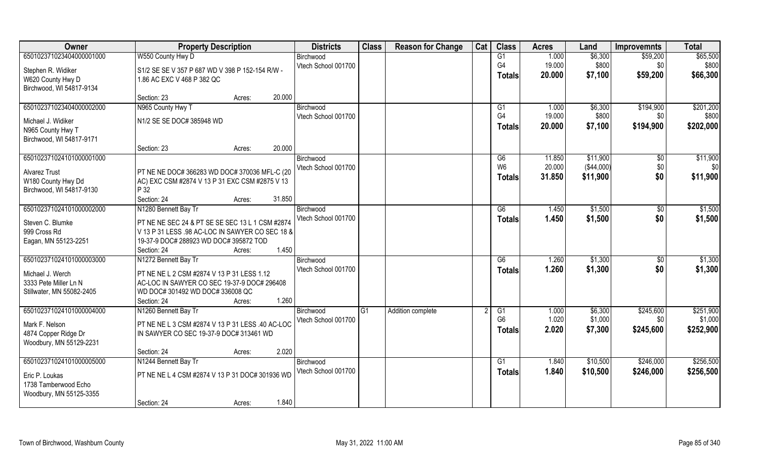| Owner                     | <b>Property Description</b>                      | <b>Districts</b>    | <b>Class</b> | <b>Reason for Change</b> | Cat | <b>Class</b>    | <b>Acres</b> | Land       | <b>Improvemnts</b> | <b>Total</b> |
|---------------------------|--------------------------------------------------|---------------------|--------------|--------------------------|-----|-----------------|--------------|------------|--------------------|--------------|
| 650102371023404000001000  | W550 County Hwy D                                | Birchwood           |              |                          |     | G1              | 1.000        | \$6,300    | \$59,200           | \$65,500     |
| Stephen R. Widiker        | S1/2 SE SE V 357 P 687 WD V 398 P 152-154 R/W -  | Vtech School 001700 |              |                          |     | G4              | 19.000       | \$800      | \$0                | \$800        |
| W620 County Hwy D         | 1.86 AC EXC V 468 P 382 QC                       |                     |              |                          |     | <b>Totals</b>   | 20.000       | \$7,100    | \$59,200           | \$66,300     |
| Birchwood, WI 54817-9134  |                                                  |                     |              |                          |     |                 |              |            |                    |              |
|                           | 20.000<br>Section: 23<br>Acres:                  |                     |              |                          |     |                 |              |            |                    |              |
| 650102371023404000002000  | N965 County Hwy T                                | Birchwood           |              |                          |     | G1              | 1.000        | \$6,300    | \$194,900          | \$201,200    |
| Michael J. Widiker        | N1/2 SE SE DOC# 385948 WD                        | Vtech School 001700 |              |                          |     | G <sub>4</sub>  | 19.000       | \$800      | \$0 <sub>1</sub>   | \$800        |
| N965 County Hwy T         |                                                  |                     |              |                          |     | <b>Totals</b>   | 20.000       | \$7,100    | \$194,900          | \$202,000    |
| Birchwood, WI 54817-9171  |                                                  |                     |              |                          |     |                 |              |            |                    |              |
|                           | 20.000<br>Section: 23<br>Acres:                  |                     |              |                          |     |                 |              |            |                    |              |
| 650102371024101000001000  |                                                  | Birchwood           |              |                          |     | G6              | 11.850       | \$11,900   | $\sqrt[6]{30}$     | \$11,900     |
| <b>Alvarez Trust</b>      | PT NE NE DOC# 366283 WD DOC# 370036 MFL-C (20    | Vtech School 001700 |              |                          |     | W <sub>6</sub>  | 20.000       | (\$44,000) | \$0                | \$0          |
| W180 County Hwy Dd        | AC) EXC CSM #2874 V 13 P 31 EXC CSM #2875 V 13   |                     |              |                          |     | Totals          | 31.850       | \$11,900   | \$0                | \$11,900     |
| Birchwood, WI 54817-9130  | P 32                                             |                     |              |                          |     |                 |              |            |                    |              |
|                           | 31.850<br>Section: 24<br>Acres:                  |                     |              |                          |     |                 |              |            |                    |              |
| 650102371024101000002000  | N1280 Bennett Bay Tr                             | Birchwood           |              |                          |     | G6              | 1.450        | \$1,500    | $\sqrt[6]{3}$      | \$1,500      |
| Steven C. Blumke          | PT NE NE SEC 24 & PT SE SE SEC 13 L 1 CSM #2874  | Vtech School 001700 |              |                          |     | <b>Totals</b>   | 1.450        | \$1,500    | \$0                | \$1,500      |
| 999 Cross Rd              | V 13 P 31 LESS .98 AC-LOC IN SAWYER CO SEC 18 &  |                     |              |                          |     |                 |              |            |                    |              |
| Eagan, MN 55123-2251      | 19-37-9 DOC# 288923 WD DOC# 395872 TOD           |                     |              |                          |     |                 |              |            |                    |              |
|                           | 1.450<br>Section: 24<br>Acres:                   |                     |              |                          |     |                 |              |            |                    |              |
| 650102371024101000003000  | N1272 Bennett Bay Tr                             | Birchwood           |              |                          |     | $\overline{G6}$ | 1.260        | \$1,300    | \$0                | \$1,300      |
| Michael J. Werch          | PT NE NE L 2 CSM #2874 V 13 P 31 LESS 1.12       | Vtech School 001700 |              |                          |     | <b>Totals</b>   | 1.260        | \$1,300    | \$0                | \$1,300      |
| 3333 Pete Miller Ln N     | AC-LOC IN SAWYER CO SEC 19-37-9 DOC# 296408      |                     |              |                          |     |                 |              |            |                    |              |
| Stillwater, MN 55082-2405 | WD DOC# 301492 WD DOC# 336008 QC                 |                     |              |                          |     |                 |              |            |                    |              |
|                           | 1.260<br>Section: 24<br>Acres:                   |                     |              |                          |     |                 |              |            |                    |              |
| 650102371024101000004000  | N1260 Bennett Bay Tr                             | Birchwood           | G1           | Addition complete        |     | G1              | 1.000        | \$6,300    | \$245,600          | \$251,900    |
| Mark F. Nelson            | PT NE NE L 3 CSM #2874 V 13 P 31 LESS .40 AC-LOC | Vtech School 001700 |              |                          |     | G <sub>6</sub>  | 1.020        | \$1,000    | \$0                | \$1,000      |
| 4874 Copper Ridge Dr      | IN SAWYER CO SEC 19-37-9 DOC# 313461 WD          |                     |              |                          |     | <b>Totals</b>   | 2.020        | \$7,300    | \$245,600          | \$252,900    |
| Woodbury, MN 55129-2231   |                                                  |                     |              |                          |     |                 |              |            |                    |              |
|                           | 2.020<br>Section: 24<br>Acres:                   |                     |              |                          |     |                 |              |            |                    |              |
| 650102371024101000005000  | N1244 Bennett Bay Tr                             | Birchwood           |              |                          |     | $\overline{G1}$ | 1.840        | \$10,500   | \$246,000          | \$256,500    |
| Eric P. Loukas            | PT NE NE L 4 CSM #2874 V 13 P 31 DOC# 301936 WD  | Vtech School 001700 |              |                          |     | <b>Totals</b>   | 1.840        | \$10,500   | \$246,000          | \$256,500    |
| 1738 Tamberwood Echo      |                                                  |                     |              |                          |     |                 |              |            |                    |              |
| Woodbury, MN 55125-3355   |                                                  |                     |              |                          |     |                 |              |            |                    |              |
|                           | 1.840<br>Section: 24<br>Acres:                   |                     |              |                          |     |                 |              |            |                    |              |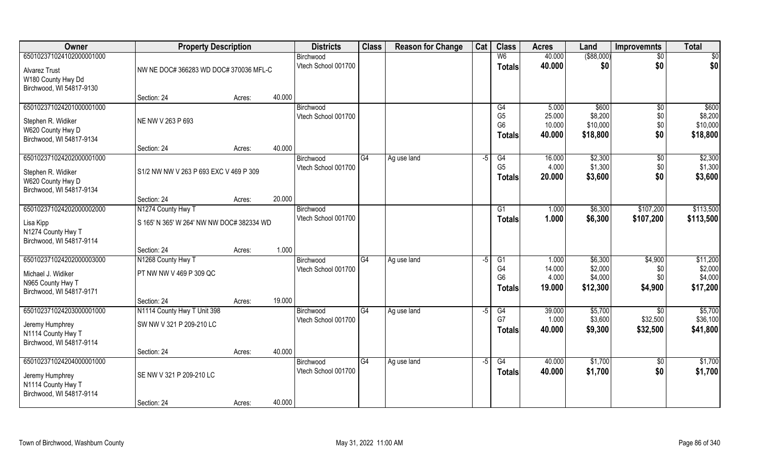| Owner                                          | <b>Property Description</b>                | <b>Districts</b> | <b>Class</b>                     | <b>Reason for Change</b> | Cat         | <b>Class</b> | <b>Acres</b>                     | Land             | <b>Improvemnts</b>  | <b>Total</b>      |                     |
|------------------------------------------------|--------------------------------------------|------------------|----------------------------------|--------------------------|-------------|--------------|----------------------------------|------------------|---------------------|-------------------|---------------------|
| 650102371024102000001000                       |                                            |                  | Birchwood                        |                          |             |              | W <sub>6</sub>                   | 40.000           | $($ \$88,000)       | $\overline{50}$   | \$0                 |
| <b>Alvarez Trust</b>                           | NW NE DOC# 366283 WD DOC# 370036 MFL-C     |                  | Vtech School 001700              |                          |             |              | <b>Totals</b>                    | 40.000           | \$0                 | \$0               | \$0                 |
| W180 County Hwy Dd<br>Birchwood, WI 54817-9130 |                                            |                  |                                  |                          |             |              |                                  |                  |                     |                   |                     |
|                                                | Section: 24                                | Acres:           | 40.000                           |                          |             |              |                                  |                  |                     |                   |                     |
| 650102371024201000001000                       |                                            |                  | Birchwood                        |                          |             |              | G4                               | 5.000            | \$600               | $\overline{50}$   | \$600               |
| Stephen R. Widiker                             | NE NW V 263 P 693                          |                  | Vtech School 001700              |                          |             |              | G <sub>5</sub><br>G <sub>6</sub> | 25.000<br>10.000 | \$8,200<br>\$10,000 | \$0<br>\$0        | \$8,200<br>\$10,000 |
| W620 County Hwy D<br>Birchwood, WI 54817-9134  |                                            |                  |                                  |                          |             |              | <b>Totals</b>                    | 40.000           | \$18,800            | \$0               | \$18,800            |
|                                                | Section: 24                                | Acres:           | 40.000                           |                          |             |              |                                  |                  |                     |                   |                     |
| 650102371024202000001000                       |                                            |                  | Birchwood                        | G4                       | Ag use land | -5           | G4                               | 16.000           | \$2,300             | $\sqrt[6]{}$      | \$2,300             |
| Stephen R. Widiker                             | S1/2 NW NW V 263 P 693 EXC V 469 P 309     |                  | Vtech School 001700              |                          |             |              | G <sub>5</sub>                   | 4.000<br>20.000  | \$1,300<br>\$3,600  | \$0<br>\$0        | \$1,300<br>\$3,600  |
| W620 County Hwy D                              |                                            |                  |                                  |                          |             |              | Totals                           |                  |                     |                   |                     |
| Birchwood, WI 54817-9134                       | Section: 24                                | Acres:           | 20.000                           |                          |             |              |                                  |                  |                     |                   |                     |
| 650102371024202000002000                       | N1274 County Hwy T                         |                  | Birchwood                        |                          |             |              | G <sub>1</sub>                   | 1.000            | \$6,300             | \$107,200         | \$113,500           |
| Lisa Kipp                                      | S 165' N 365' W 264' NW NW DOC# 382334 WD  |                  | Vtech School 001700              |                          |             |              | <b>Totals</b>                    | 1.000            | \$6,300             | \$107,200         | \$113,500           |
| N1274 County Hwy T                             |                                            |                  |                                  |                          |             |              |                                  |                  |                     |                   |                     |
| Birchwood, WI 54817-9114                       | Section: 24                                | Acres:           | 1.000                            |                          |             |              |                                  |                  |                     |                   |                     |
| 650102371024202000003000                       | N1268 County Hwy T                         |                  | Birchwood                        | G4                       | Ag use land | -5           | G1                               | 1.000            | \$6,300             | \$4,900           | \$11,200            |
| Michael J. Widiker                             | PT NW NW V 469 P 309 QC                    |                  | Vtech School 001700              |                          |             |              | G <sub>4</sub>                   | 14.000           | \$2,000             | \$0               | \$2,000             |
| N965 County Hwy T                              |                                            |                  |                                  |                          |             |              | G <sub>6</sub>                   | 4.000<br>19.000  | \$4,000             | \$0<br>\$4,900    | \$4,000<br>\$17,200 |
| Birchwood, WI 54817-9171                       |                                            |                  |                                  |                          |             |              | <b>Totals</b>                    |                  | \$12,300            |                   |                     |
| 650102371024203000001000                       | Section: 24<br>N1114 County Hwy T Unit 398 | Acres:           | 19.000<br>Birchwood              | G4                       | Ag use land | -5           | G4                               | 39.000           | \$5,700             | \$0               | \$5,700             |
|                                                |                                            |                  | Vtech School 001700              |                          |             |              | G7                               | 1.000            | \$3,600             | \$32,500          | \$36,100            |
| Jeremy Humphrey<br>N1114 County Hwy T          | SW NW V 321 P 209-210 LC                   |                  |                                  |                          |             |              | <b>Totals</b>                    | 40.000           | \$9,300             | \$32,500          | \$41,800            |
| Birchwood, WI 54817-9114                       |                                            |                  |                                  |                          |             |              |                                  |                  |                     |                   |                     |
|                                                | Section: 24                                | Acres:           | 40.000                           |                          |             |              |                                  |                  |                     |                   |                     |
| 650102371024204000001000                       |                                            |                  | Birchwood<br>Vtech School 001700 | G4                       | Ag use land | -5           | G4                               | 40.000           | \$1,700             | $\sqrt{6}$<br>\$0 | \$1,700             |
| Jeremy Humphrey                                | SE NW V 321 P 209-210 LC                   |                  |                                  |                          |             |              | <b>Totals</b>                    | 40.000           | \$1,700             |                   | \$1,700             |
| N1114 County Hwy T<br>Birchwood, WI 54817-9114 |                                            |                  |                                  |                          |             |              |                                  |                  |                     |                   |                     |
|                                                | Section: 24                                | Acres:           | 40.000                           |                          |             |              |                                  |                  |                     |                   |                     |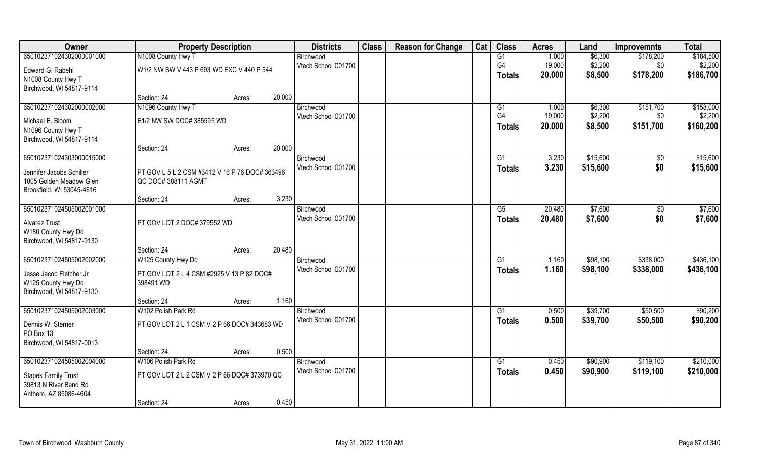| 650102371024302000001000<br>N1008 County Hwy T<br>$\overline{G1}$<br>1.000<br>\$6,300<br>\$184,500<br>Birchwood<br>\$178,200<br>G <sub>4</sub><br>19.000<br>\$2,200<br>\$2,200<br>Vtech School 001700<br>\$0<br>W1/2 NW SW V 443 P 693 WD EXC V 440 P 544<br>Edward G. Rabehl<br>\$178,200<br>20.000<br>\$8,500<br>\$186,700<br><b>Totals</b><br>N1008 County Hwy T<br>Birchwood, WI 54817-9114<br>20.000<br>Section: 24<br>Acres:<br>650102371024302000002000<br>N1096 County Hwy T<br>1.000<br>\$6,300<br>\$151,700<br>\$158,000<br>G1<br>Birchwood<br>G <sub>4</sub><br>19.000<br>\$2,200<br>\$2,200<br>Vtech School 001700<br>\$0<br>E1/2 NW SW DOC# 385595 WD<br>Michael E. Bloom<br>20.000<br>\$8,500<br>\$151,700<br>\$160,200<br><b>Totals</b><br>N1096 County Hwy T<br>Birchwood, WI 54817-9114<br>20.000<br>Section: 24<br>Acres:<br>\$15,600<br>650102371024303000015000<br>\$15,600<br>G1<br>3.230<br>$\sqrt[6]{30}$<br>Birchwood<br>Vtech School 001700<br>\$0<br>3.230<br>\$15,600<br>\$15,600<br><b>Totals</b><br>PT GOV L 5 L 2 CSM #3412 V 16 P 76 DOC# 363496<br>Jennifer Jacobs Schiller<br>1005 Golden Meadow Glen<br>QC DOC#388111 AGMT<br>Brookfield, WI 53045-4616<br>3.230<br>Section: 24<br>Acres:<br>650102371024505002001000<br>\$7,600<br>\$7,600<br>20.480<br>G5<br>\$0<br>Birchwood<br>Vtech School 001700<br>\$7,600<br>\$0<br>20.480<br>\$7,600<br><b>Totals</b><br>PT GOV LOT 2 DOC# 379552 WD<br><b>Alvarez Trust</b><br>W180 County Hwy Dd<br>Birchwood, WI 54817-9130<br>20.480<br>Section: 24<br>Acres:<br>650102371024505002002000<br>\$98,100<br>\$338,000<br>\$436,100<br>W125 County Hwy Dd<br>G1<br>1.160<br>Birchwood<br>Vtech School 001700<br>1.160<br>\$98,100<br>\$338,000<br>\$436,100<br><b>Totals</b><br>PT GOV LOT 2 L 4 CSM #2925 V 13 P 82 DOC#<br>Jesse Jacob Fletcher Jr<br>W125 County Hwy Dd<br>398491 WD<br>Birchwood, WI 54817-9130<br>1.160<br>Section: 24<br>Acres:<br>\$90,200<br>W102 Polish Park Rd<br>\$39,700<br>\$50,500<br>650102371024505002003000<br>G1<br>0.500<br>Birchwood<br>Vtech School 001700<br>0.500<br>\$39,700<br>\$50,500<br>\$90,200<br><b>Totals</b><br>PT GOV LOT 2 L 1 CSM V 2 P 66 DOC# 343683 WD<br>Dennis W. Sterner<br>PO Box 13<br>Birchwood, WI 54817-0013 | Owner | <b>Property Description</b> |                                              |       | <b>Districts</b> | <b>Class</b> | <b>Reason for Change</b> | Cat | <b>Class</b> | <b>Acres</b> | Land | <b>Improvemnts</b> | <b>Total</b> |
|--------------------------------------------------------------------------------------------------------------------------------------------------------------------------------------------------------------------------------------------------------------------------------------------------------------------------------------------------------------------------------------------------------------------------------------------------------------------------------------------------------------------------------------------------------------------------------------------------------------------------------------------------------------------------------------------------------------------------------------------------------------------------------------------------------------------------------------------------------------------------------------------------------------------------------------------------------------------------------------------------------------------------------------------------------------------------------------------------------------------------------------------------------------------------------------------------------------------------------------------------------------------------------------------------------------------------------------------------------------------------------------------------------------------------------------------------------------------------------------------------------------------------------------------------------------------------------------------------------------------------------------------------------------------------------------------------------------------------------------------------------------------------------------------------------------------------------------------------------------------------------------------------------------------------------------------------------------------------------------------------------------------------------------------------------------------------------------------------------------------------------------------------------------------------------------------------------------------------------------------------------|-------|-----------------------------|----------------------------------------------|-------|------------------|--------------|--------------------------|-----|--------------|--------------|------|--------------------|--------------|
|                                                                                                                                                                                                                                                                                                                                                                                                                                                                                                                                                                                                                                                                                                                                                                                                                                                                                                                                                                                                                                                                                                                                                                                                                                                                                                                                                                                                                                                                                                                                                                                                                                                                                                                                                                                                                                                                                                                                                                                                                                                                                                                                                                                                                                                        |       |                             |                                              |       |                  |              |                          |     |              |              |      |                    |              |
|                                                                                                                                                                                                                                                                                                                                                                                                                                                                                                                                                                                                                                                                                                                                                                                                                                                                                                                                                                                                                                                                                                                                                                                                                                                                                                                                                                                                                                                                                                                                                                                                                                                                                                                                                                                                                                                                                                                                                                                                                                                                                                                                                                                                                                                        |       |                             |                                              |       |                  |              |                          |     |              |              |      |                    |              |
|                                                                                                                                                                                                                                                                                                                                                                                                                                                                                                                                                                                                                                                                                                                                                                                                                                                                                                                                                                                                                                                                                                                                                                                                                                                                                                                                                                                                                                                                                                                                                                                                                                                                                                                                                                                                                                                                                                                                                                                                                                                                                                                                                                                                                                                        |       |                             |                                              |       |                  |              |                          |     |              |              |      |                    |              |
|                                                                                                                                                                                                                                                                                                                                                                                                                                                                                                                                                                                                                                                                                                                                                                                                                                                                                                                                                                                                                                                                                                                                                                                                                                                                                                                                                                                                                                                                                                                                                                                                                                                                                                                                                                                                                                                                                                                                                                                                                                                                                                                                                                                                                                                        |       |                             |                                              |       |                  |              |                          |     |              |              |      |                    |              |
|                                                                                                                                                                                                                                                                                                                                                                                                                                                                                                                                                                                                                                                                                                                                                                                                                                                                                                                                                                                                                                                                                                                                                                                                                                                                                                                                                                                                                                                                                                                                                                                                                                                                                                                                                                                                                                                                                                                                                                                                                                                                                                                                                                                                                                                        |       |                             |                                              |       |                  |              |                          |     |              |              |      |                    |              |
|                                                                                                                                                                                                                                                                                                                                                                                                                                                                                                                                                                                                                                                                                                                                                                                                                                                                                                                                                                                                                                                                                                                                                                                                                                                                                                                                                                                                                                                                                                                                                                                                                                                                                                                                                                                                                                                                                                                                                                                                                                                                                                                                                                                                                                                        |       |                             |                                              |       |                  |              |                          |     |              |              |      |                    |              |
|                                                                                                                                                                                                                                                                                                                                                                                                                                                                                                                                                                                                                                                                                                                                                                                                                                                                                                                                                                                                                                                                                                                                                                                                                                                                                                                                                                                                                                                                                                                                                                                                                                                                                                                                                                                                                                                                                                                                                                                                                                                                                                                                                                                                                                                        |       |                             |                                              |       |                  |              |                          |     |              |              |      |                    |              |
|                                                                                                                                                                                                                                                                                                                                                                                                                                                                                                                                                                                                                                                                                                                                                                                                                                                                                                                                                                                                                                                                                                                                                                                                                                                                                                                                                                                                                                                                                                                                                                                                                                                                                                                                                                                                                                                                                                                                                                                                                                                                                                                                                                                                                                                        |       |                             |                                              |       |                  |              |                          |     |              |              |      |                    |              |
|                                                                                                                                                                                                                                                                                                                                                                                                                                                                                                                                                                                                                                                                                                                                                                                                                                                                                                                                                                                                                                                                                                                                                                                                                                                                                                                                                                                                                                                                                                                                                                                                                                                                                                                                                                                                                                                                                                                                                                                                                                                                                                                                                                                                                                                        |       |                             |                                              |       |                  |              |                          |     |              |              |      |                    |              |
|                                                                                                                                                                                                                                                                                                                                                                                                                                                                                                                                                                                                                                                                                                                                                                                                                                                                                                                                                                                                                                                                                                                                                                                                                                                                                                                                                                                                                                                                                                                                                                                                                                                                                                                                                                                                                                                                                                                                                                                                                                                                                                                                                                                                                                                        |       |                             |                                              |       |                  |              |                          |     |              |              |      |                    |              |
|                                                                                                                                                                                                                                                                                                                                                                                                                                                                                                                                                                                                                                                                                                                                                                                                                                                                                                                                                                                                                                                                                                                                                                                                                                                                                                                                                                                                                                                                                                                                                                                                                                                                                                                                                                                                                                                                                                                                                                                                                                                                                                                                                                                                                                                        |       |                             |                                              |       |                  |              |                          |     |              |              |      |                    |              |
|                                                                                                                                                                                                                                                                                                                                                                                                                                                                                                                                                                                                                                                                                                                                                                                                                                                                                                                                                                                                                                                                                                                                                                                                                                                                                                                                                                                                                                                                                                                                                                                                                                                                                                                                                                                                                                                                                                                                                                                                                                                                                                                                                                                                                                                        |       |                             |                                              |       |                  |              |                          |     |              |              |      |                    |              |
|                                                                                                                                                                                                                                                                                                                                                                                                                                                                                                                                                                                                                                                                                                                                                                                                                                                                                                                                                                                                                                                                                                                                                                                                                                                                                                                                                                                                                                                                                                                                                                                                                                                                                                                                                                                                                                                                                                                                                                                                                                                                                                                                                                                                                                                        |       |                             |                                              |       |                  |              |                          |     |              |              |      |                    |              |
|                                                                                                                                                                                                                                                                                                                                                                                                                                                                                                                                                                                                                                                                                                                                                                                                                                                                                                                                                                                                                                                                                                                                                                                                                                                                                                                                                                                                                                                                                                                                                                                                                                                                                                                                                                                                                                                                                                                                                                                                                                                                                                                                                                                                                                                        |       |                             |                                              |       |                  |              |                          |     |              |              |      |                    |              |
|                                                                                                                                                                                                                                                                                                                                                                                                                                                                                                                                                                                                                                                                                                                                                                                                                                                                                                                                                                                                                                                                                                                                                                                                                                                                                                                                                                                                                                                                                                                                                                                                                                                                                                                                                                                                                                                                                                                                                                                                                                                                                                                                                                                                                                                        |       |                             |                                              |       |                  |              |                          |     |              |              |      |                    |              |
|                                                                                                                                                                                                                                                                                                                                                                                                                                                                                                                                                                                                                                                                                                                                                                                                                                                                                                                                                                                                                                                                                                                                                                                                                                                                                                                                                                                                                                                                                                                                                                                                                                                                                                                                                                                                                                                                                                                                                                                                                                                                                                                                                                                                                                                        |       |                             |                                              |       |                  |              |                          |     |              |              |      |                    |              |
|                                                                                                                                                                                                                                                                                                                                                                                                                                                                                                                                                                                                                                                                                                                                                                                                                                                                                                                                                                                                                                                                                                                                                                                                                                                                                                                                                                                                                                                                                                                                                                                                                                                                                                                                                                                                                                                                                                                                                                                                                                                                                                                                                                                                                                                        |       |                             |                                              |       |                  |              |                          |     |              |              |      |                    |              |
|                                                                                                                                                                                                                                                                                                                                                                                                                                                                                                                                                                                                                                                                                                                                                                                                                                                                                                                                                                                                                                                                                                                                                                                                                                                                                                                                                                                                                                                                                                                                                                                                                                                                                                                                                                                                                                                                                                                                                                                                                                                                                                                                                                                                                                                        |       |                             |                                              |       |                  |              |                          |     |              |              |      |                    |              |
|                                                                                                                                                                                                                                                                                                                                                                                                                                                                                                                                                                                                                                                                                                                                                                                                                                                                                                                                                                                                                                                                                                                                                                                                                                                                                                                                                                                                                                                                                                                                                                                                                                                                                                                                                                                                                                                                                                                                                                                                                                                                                                                                                                                                                                                        |       |                             |                                              |       |                  |              |                          |     |              |              |      |                    |              |
|                                                                                                                                                                                                                                                                                                                                                                                                                                                                                                                                                                                                                                                                                                                                                                                                                                                                                                                                                                                                                                                                                                                                                                                                                                                                                                                                                                                                                                                                                                                                                                                                                                                                                                                                                                                                                                                                                                                                                                                                                                                                                                                                                                                                                                                        |       |                             |                                              |       |                  |              |                          |     |              |              |      |                    |              |
|                                                                                                                                                                                                                                                                                                                                                                                                                                                                                                                                                                                                                                                                                                                                                                                                                                                                                                                                                                                                                                                                                                                                                                                                                                                                                                                                                                                                                                                                                                                                                                                                                                                                                                                                                                                                                                                                                                                                                                                                                                                                                                                                                                                                                                                        |       |                             |                                              |       |                  |              |                          |     |              |              |      |                    |              |
|                                                                                                                                                                                                                                                                                                                                                                                                                                                                                                                                                                                                                                                                                                                                                                                                                                                                                                                                                                                                                                                                                                                                                                                                                                                                                                                                                                                                                                                                                                                                                                                                                                                                                                                                                                                                                                                                                                                                                                                                                                                                                                                                                                                                                                                        |       |                             |                                              |       |                  |              |                          |     |              |              |      |                    |              |
|                                                                                                                                                                                                                                                                                                                                                                                                                                                                                                                                                                                                                                                                                                                                                                                                                                                                                                                                                                                                                                                                                                                                                                                                                                                                                                                                                                                                                                                                                                                                                                                                                                                                                                                                                                                                                                                                                                                                                                                                                                                                                                                                                                                                                                                        |       |                             |                                              |       |                  |              |                          |     |              |              |      |                    |              |
|                                                                                                                                                                                                                                                                                                                                                                                                                                                                                                                                                                                                                                                                                                                                                                                                                                                                                                                                                                                                                                                                                                                                                                                                                                                                                                                                                                                                                                                                                                                                                                                                                                                                                                                                                                                                                                                                                                                                                                                                                                                                                                                                                                                                                                                        |       |                             |                                              |       |                  |              |                          |     |              |              |      |                    |              |
|                                                                                                                                                                                                                                                                                                                                                                                                                                                                                                                                                                                                                                                                                                                                                                                                                                                                                                                                                                                                                                                                                                                                                                                                                                                                                                                                                                                                                                                                                                                                                                                                                                                                                                                                                                                                                                                                                                                                                                                                                                                                                                                                                                                                                                                        |       |                             |                                              |       |                  |              |                          |     |              |              |      |                    |              |
|                                                                                                                                                                                                                                                                                                                                                                                                                                                                                                                                                                                                                                                                                                                                                                                                                                                                                                                                                                                                                                                                                                                                                                                                                                                                                                                                                                                                                                                                                                                                                                                                                                                                                                                                                                                                                                                                                                                                                                                                                                                                                                                                                                                                                                                        |       |                             |                                              |       |                  |              |                          |     |              |              |      |                    |              |
|                                                                                                                                                                                                                                                                                                                                                                                                                                                                                                                                                                                                                                                                                                                                                                                                                                                                                                                                                                                                                                                                                                                                                                                                                                                                                                                                                                                                                                                                                                                                                                                                                                                                                                                                                                                                                                                                                                                                                                                                                                                                                                                                                                                                                                                        |       |                             |                                              |       |                  |              |                          |     |              |              |      |                    |              |
|                                                                                                                                                                                                                                                                                                                                                                                                                                                                                                                                                                                                                                                                                                                                                                                                                                                                                                                                                                                                                                                                                                                                                                                                                                                                                                                                                                                                                                                                                                                                                                                                                                                                                                                                                                                                                                                                                                                                                                                                                                                                                                                                                                                                                                                        |       |                             |                                              |       |                  |              |                          |     |              |              |      |                    |              |
|                                                                                                                                                                                                                                                                                                                                                                                                                                                                                                                                                                                                                                                                                                                                                                                                                                                                                                                                                                                                                                                                                                                                                                                                                                                                                                                                                                                                                                                                                                                                                                                                                                                                                                                                                                                                                                                                                                                                                                                                                                                                                                                                                                                                                                                        |       | Section: 24                 | Acres:                                       | 0.500 |                  |              |                          |     |              |              |      |                    |              |
| 650102371024505002004000<br>\$210,000<br>W106 Polish Park Rd<br>Birchwood<br>G1<br>0.450<br>\$90,900<br>\$119,100                                                                                                                                                                                                                                                                                                                                                                                                                                                                                                                                                                                                                                                                                                                                                                                                                                                                                                                                                                                                                                                                                                                                                                                                                                                                                                                                                                                                                                                                                                                                                                                                                                                                                                                                                                                                                                                                                                                                                                                                                                                                                                                                      |       |                             |                                              |       |                  |              |                          |     |              |              |      |                    |              |
| Vtech School 001700<br>0.450<br>\$210,000<br>\$90,900<br>\$119,100<br><b>Totals</b>                                                                                                                                                                                                                                                                                                                                                                                                                                                                                                                                                                                                                                                                                                                                                                                                                                                                                                                                                                                                                                                                                                                                                                                                                                                                                                                                                                                                                                                                                                                                                                                                                                                                                                                                                                                                                                                                                                                                                                                                                                                                                                                                                                    |       |                             |                                              |       |                  |              |                          |     |              |              |      |                    |              |
| <b>Stapek Family Trust</b>                                                                                                                                                                                                                                                                                                                                                                                                                                                                                                                                                                                                                                                                                                                                                                                                                                                                                                                                                                                                                                                                                                                                                                                                                                                                                                                                                                                                                                                                                                                                                                                                                                                                                                                                                                                                                                                                                                                                                                                                                                                                                                                                                                                                                             |       |                             | PT GOV LOT 2 L 2 CSM V 2 P 66 DOC# 373970 QC |       |                  |              |                          |     |              |              |      |                    |              |
| 39813 N River Bend Rd                                                                                                                                                                                                                                                                                                                                                                                                                                                                                                                                                                                                                                                                                                                                                                                                                                                                                                                                                                                                                                                                                                                                                                                                                                                                                                                                                                                                                                                                                                                                                                                                                                                                                                                                                                                                                                                                                                                                                                                                                                                                                                                                                                                                                                  |       |                             |                                              |       |                  |              |                          |     |              |              |      |                    |              |
| Anthem, AZ 85086-4604<br>0.450<br>Section: 24<br>Acres:                                                                                                                                                                                                                                                                                                                                                                                                                                                                                                                                                                                                                                                                                                                                                                                                                                                                                                                                                                                                                                                                                                                                                                                                                                                                                                                                                                                                                                                                                                                                                                                                                                                                                                                                                                                                                                                                                                                                                                                                                                                                                                                                                                                                |       |                             |                                              |       |                  |              |                          |     |              |              |      |                    |              |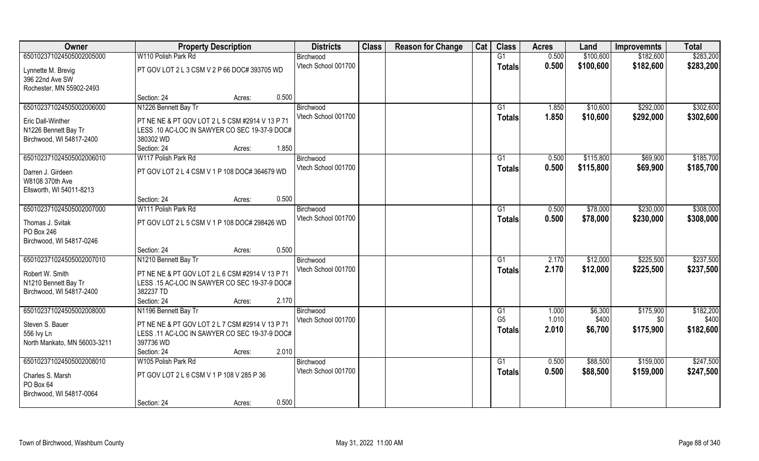| Owner                        | <b>Property Description</b>                     | <b>Districts</b>    | <b>Class</b> | <b>Reason for Change</b> | Cat | <b>Class</b>         | <b>Acres</b>   | Land             | <b>Improvemnts</b> | <b>Total</b>       |
|------------------------------|-------------------------------------------------|---------------------|--------------|--------------------------|-----|----------------------|----------------|------------------|--------------------|--------------------|
| 650102371024505002005000     | W110 Polish Park Rd                             | Birchwood           |              |                          |     | G1                   | 0.500          | \$100,600        | \$182,600          | \$283,200          |
| Lynnette M. Brevig           | PT GOV LOT 2 L 3 CSM V 2 P 66 DOC# 393705 WD    | Vtech School 001700 |              |                          |     | Totals               | 0.500          | \$100,600        | \$182,600          | \$283,200          |
| 396 22nd Ave SW              |                                                 |                     |              |                          |     |                      |                |                  |                    |                    |
| Rochester, MN 55902-2493     |                                                 |                     |              |                          |     |                      |                |                  |                    |                    |
|                              | 0.500<br>Section: 24<br>Acres:                  |                     |              |                          |     |                      |                |                  |                    |                    |
| 650102371024505002006000     | N1226 Bennett Bay Tr                            | Birchwood           |              |                          |     | G <sub>1</sub>       | 1.850          | \$10,600         | \$292,000          | \$302,600          |
| Eric Dall-Winther            | PT NE NE & PT GOV LOT 2 L 5 CSM #2914 V 13 P 71 | Vtech School 001700 |              |                          |     | Totals               | 1.850          | \$10,600         | \$292,000          | \$302,600          |
| N1226 Bennett Bay Tr         | LESS .10 AC-LOC IN SAWYER CO SEC 19-37-9 DOC#   |                     |              |                          |     |                      |                |                  |                    |                    |
| Birchwood, WI 54817-2400     | 380302 WD                                       |                     |              |                          |     |                      |                |                  |                    |                    |
|                              | Section: 24<br>1.850<br>Acres:                  |                     |              |                          |     |                      |                |                  |                    |                    |
| 650102371024505002006010     | W117 Polish Park Rd                             | Birchwood           |              |                          |     | G1                   | 0.500          | \$115,800        | \$69,900           | \$185,700          |
| Darren J. Girdeen            | PT GOV LOT 2 L 4 CSM V 1 P 108 DOC# 364679 WD   | Vtech School 001700 |              |                          |     | <b>Totals</b>        | 0.500          | \$115,800        | \$69,900           | \$185,700          |
| W8108 370th Ave              |                                                 |                     |              |                          |     |                      |                |                  |                    |                    |
| Ellsworth, WI 54011-8213     |                                                 |                     |              |                          |     |                      |                |                  |                    |                    |
|                              | 0.500<br>Section: 24<br>Acres:                  |                     |              |                          |     |                      |                |                  |                    |                    |
| 650102371024505002007000     | W111 Polish Park Rd                             | Birchwood           |              |                          |     | G <sub>1</sub>       | 0.500          | \$78,000         | \$230,000          | \$308,000          |
| Thomas J. Svitak             | PT GOV LOT 2 L 5 CSM V 1 P 108 DOC# 298426 WD   | Vtech School 001700 |              |                          |     | <b>Totals</b>        | 0.500          | \$78,000         | \$230,000          | \$308,000          |
| PO Box 246                   |                                                 |                     |              |                          |     |                      |                |                  |                    |                    |
| Birchwood, WI 54817-0246     |                                                 |                     |              |                          |     |                      |                |                  |                    |                    |
|                              | 0.500<br>Section: 24<br>Acres:                  |                     |              |                          |     |                      |                |                  |                    |                    |
| 650102371024505002007010     | N1210 Bennett Bay Tr                            | Birchwood           |              |                          |     | G1                   | 2.170          | \$12,000         | \$225,500          | \$237,500          |
| Robert W. Smith              | PT NE NE & PT GOV LOT 2 L 6 CSM #2914 V 13 P 71 | Vtech School 001700 |              |                          |     | <b>Totals</b>        | 2.170          | \$12,000         | \$225,500          | \$237,500          |
| N1210 Bennett Bay Tr         | LESS .15 AC-LOC IN SAWYER CO SEC 19-37-9 DOC#   |                     |              |                          |     |                      |                |                  |                    |                    |
| Birchwood, WI 54817-2400     | 382237 TD                                       |                     |              |                          |     |                      |                |                  |                    |                    |
|                              | 2.170<br>Section: 24<br>Acres:                  |                     |              |                          |     |                      |                |                  |                    |                    |
| 650102371024505002008000     | N1196 Bennett Bay Tr                            | Birchwood           |              |                          |     | G1<br>G <sub>5</sub> | 1.000<br>1.010 | \$6,300<br>\$400 | \$175,900          | \$182,200<br>\$400 |
| Steven S. Bauer              | PT NE NE & PT GOV LOT 2 L 7 CSM #2914 V 13 P 71 | Vtech School 001700 |              |                          |     |                      | 2.010          | \$6,700          | \$0<br>\$175,900   | \$182,600          |
| 556 lvy Ln                   | LESS .11 AC-LOC IN SAWYER CO SEC 19-37-9 DOC#   |                     |              |                          |     | <b>Totals</b>        |                |                  |                    |                    |
| North Mankato, MN 56003-3211 | 397736 WD                                       |                     |              |                          |     |                      |                |                  |                    |                    |
|                              | 2.010<br>Section: 24<br>Acres:                  |                     |              |                          |     |                      |                |                  |                    |                    |
| 650102371024505002008010     | W105 Polish Park Rd                             | Birchwood           |              |                          |     | G1                   | 0.500          | \$88,500         | \$159,000          | \$247,500          |
| Charles S. Marsh             | PT GOV LOT 2 L 6 CSM V 1 P 108 V 285 P 36       | Vtech School 001700 |              |                          |     | <b>Totals</b>        | 0.500          | \$88,500         | \$159,000          | \$247,500          |
| PO Box 64                    |                                                 |                     |              |                          |     |                      |                |                  |                    |                    |
| Birchwood, WI 54817-0064     |                                                 |                     |              |                          |     |                      |                |                  |                    |                    |
|                              | 0.500<br>Section: 24<br>Acres:                  |                     |              |                          |     |                      |                |                  |                    |                    |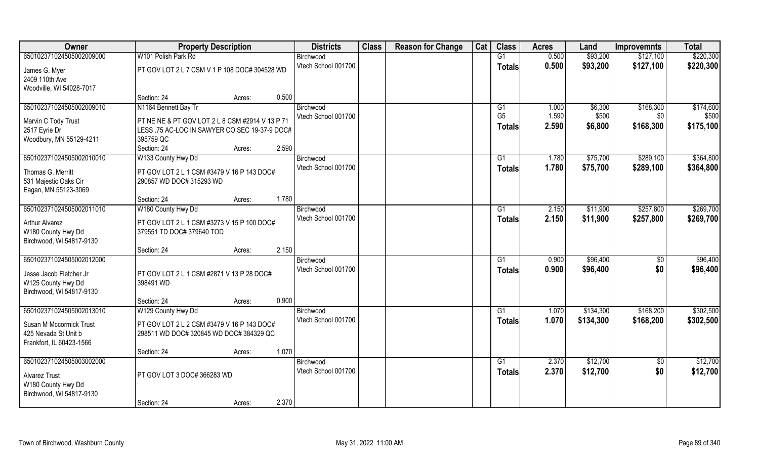| Owner                    | <b>Property Description</b>                     | <b>Districts</b>                 | <b>Class</b> | <b>Reason for Change</b> | Cat | <b>Class</b>    | <b>Acres</b>   | Land                   | <b>Improvemnts</b>     | <b>Total</b> |
|--------------------------|-------------------------------------------------|----------------------------------|--------------|--------------------------|-----|-----------------|----------------|------------------------|------------------------|--------------|
| 650102371024505002009000 | W101 Polish Park Rd                             | Birchwood                        |              |                          |     | G1              | 0.500          | \$93,200               | \$127,100              | \$220,300    |
| James G. Myer            | PT GOV LOT 2 L 7 CSM V 1 P 108 DOC# 304528 WD   | Vtech School 001700              |              |                          |     | <b>Totals</b>   | 0.500          | \$93,200               | \$127,100              | \$220,300    |
| 2409 110th Ave           |                                                 |                                  |              |                          |     |                 |                |                        |                        |              |
| Woodville, WI 54028-7017 |                                                 |                                  |              |                          |     |                 |                |                        |                        |              |
|                          | Section: 24<br>0.500<br>Acres:                  |                                  |              |                          |     |                 |                |                        |                        |              |
| 650102371024505002009010 | N1164 Bennett Bay Tr                            | Birchwood                        |              |                          |     | G1              | 1.000          | \$6,300                | \$168,300              | \$174,600    |
| Marvin C Tody Trust      | PT NE NE & PT GOV LOT 2 L 8 CSM #2914 V 13 P 71 | Vtech School 001700              |              |                          |     | G <sub>5</sub>  | 1.590          | \$500                  | \$0                    | \$500        |
| 2517 Eyrie Dr            | LESS .75 AC-LOC IN SAWYER CO SEC 19-37-9 DOC#   |                                  |              |                          |     | <b>Totals</b>   | 2.590          | \$6,800                | \$168,300              | \$175,100    |
| Woodbury, MN 55129-4211  | 395759 QC                                       |                                  |              |                          |     |                 |                |                        |                        |              |
|                          | 2.590<br>Section: 24<br>Acres:                  |                                  |              |                          |     |                 |                |                        |                        |              |
| 650102371024505002010010 | W133 County Hwy Dd                              | Birchwood                        |              |                          |     | G1              | 1.780          | \$75,700               | \$289,100              | \$364,800    |
| Thomas G. Merritt        | PT GOV LOT 2 L 1 CSM #3479 V 16 P 143 DOC#      | Vtech School 001700              |              |                          |     | <b>Totals</b>   | 1.780          | \$75,700               | \$289,100              | \$364,800    |
| 531 Majestic Oaks Cir    | 290857 WD DOC# 315293 WD                        |                                  |              |                          |     |                 |                |                        |                        |              |
| Eagan, MN 55123-3069     |                                                 |                                  |              |                          |     |                 |                |                        |                        |              |
|                          | 1.780<br>Section: 24<br>Acres:                  |                                  |              |                          |     |                 |                |                        |                        |              |
| 650102371024505002011010 | W180 County Hwy Dd                              | Birchwood                        |              |                          |     | G1              | 2.150          | \$11,900               | \$257,800              | \$269,700    |
| <b>Arthur Alvarez</b>    | PT GOV LOT 2 L 1 CSM #3273 V 15 P 100 DOC#      | Vtech School 001700              |              |                          |     | <b>Totals</b>   | 2.150          | \$11,900               | \$257,800              | \$269,700    |
| W180 County Hwy Dd       | 379551 TD DOC# 379640 TOD                       |                                  |              |                          |     |                 |                |                        |                        |              |
| Birchwood, WI 54817-9130 |                                                 |                                  |              |                          |     |                 |                |                        |                        |              |
|                          | 2.150<br>Section: 24<br>Acres:                  |                                  |              |                          |     |                 |                |                        |                        |              |
| 650102371024505002012000 |                                                 | Birchwood<br>Vtech School 001700 |              |                          |     | G1              | 0.900          | \$96,400               | \$0                    | \$96,400     |
| Jesse Jacob Fletcher Jr  | PT GOV LOT 2 L 1 CSM #2871 V 13 P 28 DOC#       |                                  |              |                          |     | <b>Totals</b>   | 0.900          | \$96,400               | \$0                    | \$96,400     |
| W125 County Hwy Dd       | 398491 WD                                       |                                  |              |                          |     |                 |                |                        |                        |              |
| Birchwood, WI 54817-9130 |                                                 |                                  |              |                          |     |                 |                |                        |                        |              |
| 650102371024505002013010 | 0.900<br>Section: 24<br>Acres:                  |                                  |              |                          |     |                 |                |                        |                        | \$302,500    |
|                          | W129 County Hwy Dd                              | Birchwood<br>Vtech School 001700 |              |                          |     | G1              | 1.070<br>1.070 | \$134,300<br>\$134,300 | \$168,200<br>\$168,200 | \$302,500    |
| Susan M Mccormick Trust  | PT GOV LOT 2 L 2 CSM #3479 V 16 P 143 DOC#      |                                  |              |                          |     | <b>Totals</b>   |                |                        |                        |              |
| 425 Nevada St Unit b     | 298511 WD DOC# 320845 WD DOC# 384329 QC         |                                  |              |                          |     |                 |                |                        |                        |              |
| Frankfort, IL 60423-1566 | 1.070                                           |                                  |              |                          |     |                 |                |                        |                        |              |
| 650102371024505003002000 | Section: 24<br>Acres:                           | Birchwood                        |              |                          |     | $\overline{G1}$ | 2.370          | \$12,700               | $\overline{50}$        | \$12,700     |
|                          |                                                 | Vtech School 001700              |              |                          |     | <b>Totals</b>   | 2.370          | \$12,700               | \$0                    | \$12,700     |
| <b>Alvarez Trust</b>     | PT GOV LOT 3 DOC# 366283 WD                     |                                  |              |                          |     |                 |                |                        |                        |              |
| W180 County Hwy Dd       |                                                 |                                  |              |                          |     |                 |                |                        |                        |              |
| Birchwood, WI 54817-9130 | 2.370                                           |                                  |              |                          |     |                 |                |                        |                        |              |
|                          | Section: 24<br>Acres:                           |                                  |              |                          |     |                 |                |                        |                        |              |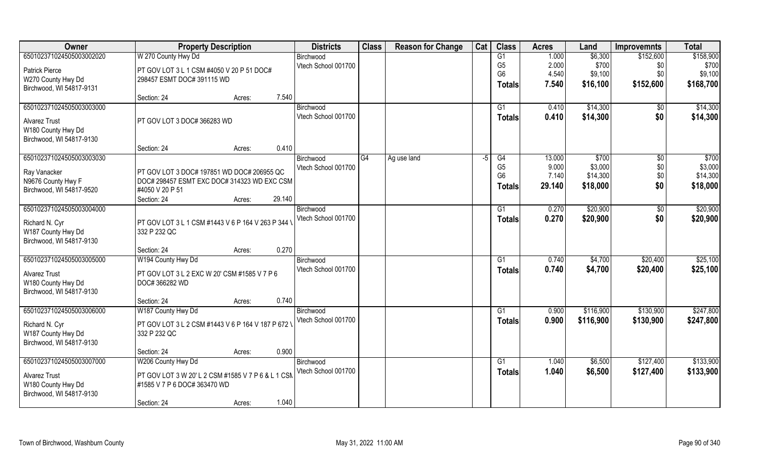| Owner                    | <b>Property Description</b>                        |                  | <b>Districts</b>    | <b>Class</b> | <b>Reason for Change</b> | Cat | <b>Class</b>    | <b>Acres</b> | Land      | <b>Improvemnts</b> | <b>Total</b> |
|--------------------------|----------------------------------------------------|------------------|---------------------|--------------|--------------------------|-----|-----------------|--------------|-----------|--------------------|--------------|
| 650102371024505003002020 | W 270 County Hwy Dd                                |                  | Birchwood           |              |                          |     | $\overline{G1}$ | 1.000        | \$6,300   | \$152,600          | \$158,900    |
| <b>Patrick Pierce</b>    | PT GOV LOT 3 L 1 CSM #4050 V 20 P 51 DOC#          |                  | Vtech School 001700 |              |                          |     | G <sub>5</sub>  | 2.000        | \$700     | \$0                | \$700        |
| W270 County Hwy Dd       | 298457 ESMT DOC# 391115 WD                         |                  |                     |              |                          |     | G <sub>6</sub>  | 4.540        | \$9,100   | \$0\$              | \$9,100      |
| Birchwood, WI 54817-9131 |                                                    |                  |                     |              |                          |     | <b>Totals</b>   | 7.540        | \$16,100  | \$152,600          | \$168,700    |
|                          | Section: 24                                        | 7.540<br>Acres:  |                     |              |                          |     |                 |              |           |                    |              |
| 650102371024505003003000 |                                                    |                  | Birchwood           |              |                          |     | G <sub>1</sub>  | 0.410        | \$14,300  | \$0                | \$14,300     |
| <b>Alvarez Trust</b>     | PT GOV LOT 3 DOC# 366283 WD                        |                  | Vtech School 001700 |              |                          |     | <b>Totals</b>   | 0.410        | \$14,300  | \$0                | \$14,300     |
| W180 County Hwy Dd       |                                                    |                  |                     |              |                          |     |                 |              |           |                    |              |
| Birchwood, WI 54817-9130 |                                                    |                  |                     |              |                          |     |                 |              |           |                    |              |
|                          | Section: 24                                        | 0.410<br>Acres:  |                     |              |                          |     |                 |              |           |                    |              |
| 650102371024505003003030 |                                                    |                  | Birchwood           | G4           | Ag use land              | -5  | G4              | 13.000       | \$700     | $\sqrt[6]{}$       | \$700        |
| Ray Vanacker             | PT GOV LOT 3 DOC# 197851 WD DOC# 206955 QC         |                  | Vtech School 001700 |              |                          |     | G <sub>5</sub>  | 9.000        | \$3,000   | \$0\$              | \$3,000      |
| N9676 County Hwy F       | DOC# 298457 ESMT EXC DOC# 314323 WD EXC CSM        |                  |                     |              |                          |     | G <sub>6</sub>  | 7.140        | \$14,300  | \$0                | \$14,300     |
| Birchwood, WI 54817-9520 | #4050 V 20 P 51                                    |                  |                     |              |                          |     | <b>Totals</b>   | 29.140       | \$18,000  | \$0                | \$18,000     |
|                          | Section: 24                                        | 29.140<br>Acres: |                     |              |                          |     |                 |              |           |                    |              |
| 650102371024505003004000 |                                                    |                  | Birchwood           |              |                          |     | G1              | 0.270        | \$20,900  | \$0                | \$20,900     |
| Richard N. Cyr           | PT GOV LOT 3 L 1 CSM #1443 V 6 P 164 V 263 P 344 V |                  | Vtech School 001700 |              |                          |     | <b>Totals</b>   | 0.270        | \$20,900  | \$0                | \$20,900     |
| W187 County Hwy Dd       | 332 P 232 QC                                       |                  |                     |              |                          |     |                 |              |           |                    |              |
| Birchwood, WI 54817-9130 |                                                    |                  |                     |              |                          |     |                 |              |           |                    |              |
|                          | Section: 24                                        | 0.270<br>Acres:  |                     |              |                          |     |                 |              |           |                    |              |
| 650102371024505003005000 | W194 County Hwy Dd                                 |                  | Birchwood           |              |                          |     | G1              | 0.740        | \$4,700   | \$20,400           | \$25,100     |
| <b>Alvarez Trust</b>     | PT GOV LOT 3 L 2 EXC W 20' CSM #1585 V 7 P 6       |                  | Vtech School 001700 |              |                          |     | <b>Totals</b>   | 0.740        | \$4,700   | \$20,400           | \$25,100     |
| W180 County Hwy Dd       | DOC# 366282 WD                                     |                  |                     |              |                          |     |                 |              |           |                    |              |
| Birchwood, WI 54817-9130 |                                                    |                  |                     |              |                          |     |                 |              |           |                    |              |
|                          | Section: 24                                        | 0.740<br>Acres:  |                     |              |                          |     |                 |              |           |                    |              |
| 650102371024505003006000 | W187 County Hwy Dd                                 |                  | Birchwood           |              |                          |     | $\overline{G1}$ | 0.900        | \$116,900 | \$130,900          | \$247,800    |
| Richard N. Cyr           | PT GOV LOT 3 L 2 CSM #1443 V 6 P 164 V 187 P 672 V |                  | Vtech School 001700 |              |                          |     | <b>Totals</b>   | 0.900        | \$116,900 | \$130,900          | \$247,800    |
| W187 County Hwy Dd       | 332 P 232 QC                                       |                  |                     |              |                          |     |                 |              |           |                    |              |
| Birchwood, WI 54817-9130 |                                                    |                  |                     |              |                          |     |                 |              |           |                    |              |
|                          | Section: 24                                        | 0.900<br>Acres:  |                     |              |                          |     |                 |              |           |                    |              |
| 650102371024505003007000 | W206 County Hwy Dd                                 |                  | Birchwood           |              |                          |     | G1              | 1.040        | \$6,500   | \$127,400          | \$133,900    |
| <b>Alvarez Trust</b>     | PT GOV LOT 3 W 20' L 2 CSM #1585 V 7 P 6 & L 1 CSM |                  | Vtech School 001700 |              |                          |     | <b>Totals</b>   | 1.040        | \$6,500   | \$127,400          | \$133,900    |
| W180 County Hwy Dd       | #1585 V 7 P 6 DOC# 363470 WD                       |                  |                     |              |                          |     |                 |              |           |                    |              |
| Birchwood, WI 54817-9130 |                                                    |                  |                     |              |                          |     |                 |              |           |                    |              |
|                          | Section: 24                                        | 1.040<br>Acres:  |                     |              |                          |     |                 |              |           |                    |              |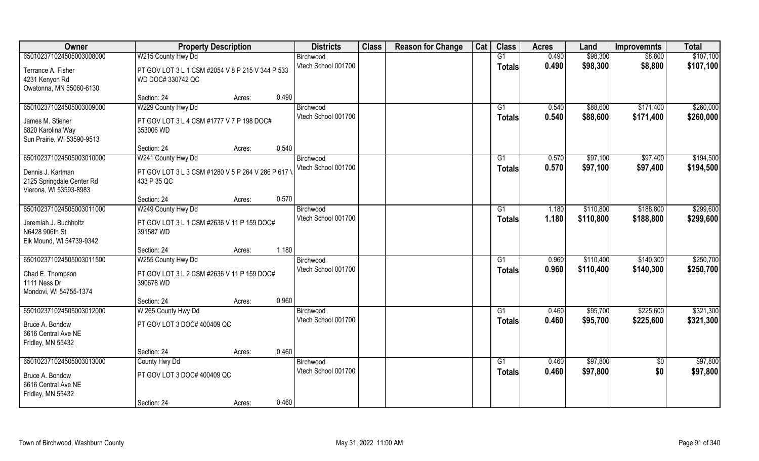| Owner                                                               | <b>Property Description</b>                                           |        | <b>Districts</b>    | <b>Class</b> | <b>Reason for Change</b> | Cat | <b>Class</b>    | <b>Acres</b> | Land      | <b>Improvemnts</b> | <b>Total</b> |
|---------------------------------------------------------------------|-----------------------------------------------------------------------|--------|---------------------|--------------|--------------------------|-----|-----------------|--------------|-----------|--------------------|--------------|
| 650102371024505003008000                                            | W215 County Hwy Dd                                                    |        | Birchwood           |              |                          |     | G1              | 0.490        | \$98,300  | \$8,800            | \$107,100    |
| Terrance A. Fisher<br>4231 Kenyon Rd                                | PT GOV LOT 3 L 1 CSM #2054 V 8 P 215 V 344 P 533<br>WD DOC# 330742 QC |        | Vtech School 001700 |              |                          |     | <b>Totals</b>   | 0.490        | \$98,300  | \$8,800            | \$107,100    |
| Owatonna, MN 55060-6130                                             |                                                                       |        |                     |              |                          |     |                 |              |           |                    |              |
|                                                                     | Section: 24                                                           | Acres: | 0.490               |              |                          |     |                 |              |           |                    |              |
| 650102371024505003009000                                            | W229 County Hwy Dd                                                    |        | Birchwood           |              |                          |     | G1              | 0.540        | \$88,600  | \$171,400          | \$260,000    |
| James M. Stiener                                                    | PT GOV LOT 3 L 4 CSM #1777 V 7 P 198 DOC#                             |        | Vtech School 001700 |              |                          |     | <b>Totals</b>   | 0.540        | \$88,600  | \$171,400          | \$260,000    |
| 6820 Karolina Way                                                   | 353006 WD                                                             |        |                     |              |                          |     |                 |              |           |                    |              |
| Sun Prairie, WI 53590-9513                                          |                                                                       |        |                     |              |                          |     |                 |              |           |                    |              |
|                                                                     | Section: 24                                                           | Acres: | 0.540               |              |                          |     |                 |              |           |                    |              |
| 650102371024505003010000                                            | W241 County Hwy Dd                                                    |        | Birchwood           |              |                          |     | G1              | 0.570        | \$97,100  | \$97,400           | \$194,500    |
| Dennis J. Kartman                                                   | PT GOV LOT 3 L 3 CSM #1280 V 5 P 264 V 286 P 617 \                    |        | Vtech School 001700 |              |                          |     | <b>Totals</b>   | 0.570        | \$97,100  | \$97,400           | \$194,500    |
| 2125 Springdale Center Rd                                           | 433 P 35 QC                                                           |        |                     |              |                          |     |                 |              |           |                    |              |
| Vierona, WI 53593-8983                                              |                                                                       |        |                     |              |                          |     |                 |              |           |                    |              |
|                                                                     | Section: 24                                                           | Acres: | 0.570               |              |                          |     |                 |              |           |                    |              |
| 650102371024505003011000                                            | W249 County Hwy Dd                                                    |        | Birchwood           |              |                          |     | G1              | 1.180        | \$110,800 | \$188,800          | \$299,600    |
| Jeremiah J. Buchholtz<br>N6428 906th St<br>Elk Mound, WI 54739-9342 | PT GOV LOT 3 L 1 CSM #2636 V 11 P 159 DOC#<br>391587 WD               |        | Vtech School 001700 |              |                          |     | <b>Totals</b>   | 1.180        | \$110,800 | \$188,800          | \$299,600    |
|                                                                     | Section: 24                                                           | Acres: | 1.180               |              |                          |     |                 |              |           |                    |              |
| 650102371024505003011500                                            | W255 County Hwy Dd                                                    |        | Birchwood           |              |                          |     | G1              | 0.960        | \$110,400 | \$140,300          | \$250,700    |
|                                                                     |                                                                       |        | Vtech School 001700 |              |                          |     | <b>Totals</b>   | 0.960        | \$110,400 | \$140,300          | \$250,700    |
| Chad E. Thompson<br>1111 Ness Dr                                    | PT GOV LOT 3 L 2 CSM #2636 V 11 P 159 DOC#<br>390678 WD               |        |                     |              |                          |     |                 |              |           |                    |              |
| Mondovi, WI 54755-1374                                              |                                                                       |        |                     |              |                          |     |                 |              |           |                    |              |
|                                                                     | Section: 24                                                           | Acres: | 0.960               |              |                          |     |                 |              |           |                    |              |
| 650102371024505003012000                                            | W 265 County Hwy Dd                                                   |        | Birchwood           |              |                          |     | G1              | 0.460        | \$95,700  | \$225,600          | \$321,300    |
|                                                                     |                                                                       |        | Vtech School 001700 |              |                          |     | <b>Totals</b>   | 0.460        | \$95,700  | \$225,600          | \$321,300    |
| Bruce A. Bondow<br>6616 Central Ave NE                              | PT GOV LOT 3 DOC# 400409 QC                                           |        |                     |              |                          |     |                 |              |           |                    |              |
| Fridley, MN 55432                                                   |                                                                       |        |                     |              |                          |     |                 |              |           |                    |              |
|                                                                     | Section: 24                                                           | Acres: | 0.460               |              |                          |     |                 |              |           |                    |              |
| 650102371024505003013000                                            | County Hwy Dd                                                         |        | Birchwood           |              |                          |     | $\overline{G1}$ | 0.460        | \$97,800  | $\overline{50}$    | \$97,800     |
|                                                                     |                                                                       |        | Vtech School 001700 |              |                          |     | <b>Totals</b>   | 0.460        | \$97,800  | \$0                | \$97,800     |
| Bruce A. Bondow<br>6616 Central Ave NE                              | PT GOV LOT 3 DOC# 400409 QC                                           |        |                     |              |                          |     |                 |              |           |                    |              |
| Fridley, MN 55432                                                   |                                                                       |        |                     |              |                          |     |                 |              |           |                    |              |
|                                                                     | Section: 24                                                           | Acres: | 0.460               |              |                          |     |                 |              |           |                    |              |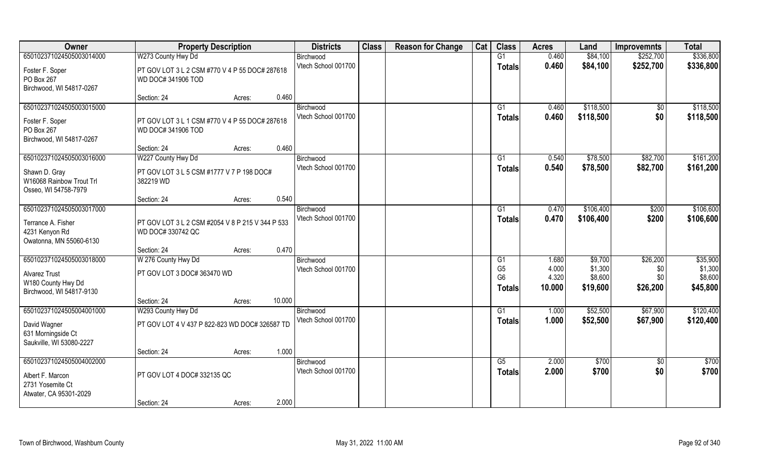| Owner                                                             | <b>Property Description</b>                                           |        |        | <b>Districts</b>                 | <b>Class</b> | <b>Reason for Change</b> | Cat | <b>Class</b>        | <b>Acres</b>   | Land                   | <b>Improvemnts</b> | <b>Total</b>           |
|-------------------------------------------------------------------|-----------------------------------------------------------------------|--------|--------|----------------------------------|--------------|--------------------------|-----|---------------------|----------------|------------------------|--------------------|------------------------|
| 650102371024505003014000                                          | W273 County Hwy Dd                                                    |        |        | Birchwood                        |              |                          |     | G1                  | 0.460          | \$84,100               | \$252,700          | \$336,800              |
| Foster F. Soper<br>PO Box 267<br>Birchwood, WI 54817-0267         | PT GOV LOT 3 L 2 CSM #770 V 4 P 55 DOC# 287618<br>WD DOC# 341906 TOD  |        |        | Vtech School 001700              |              |                          |     | <b>Totals</b>       | 0.460          | \$84,100               | \$252,700          | \$336,800              |
|                                                                   | Section: 24                                                           | Acres: | 0.460  |                                  |              |                          |     |                     |                |                        |                    |                        |
| 650102371024505003015000<br>Foster F. Soper                       | PT GOV LOT 3 L 1 CSM #770 V 4 P 55 DOC# 287618                        |        |        | Birchwood<br>Vtech School 001700 |              |                          |     | G1<br><b>Totals</b> | 0.460<br>0.460 | \$118,500<br>\$118,500 | $\sqrt{$0}$<br>\$0 | \$118,500<br>\$118,500 |
| PO Box 267<br>Birchwood, WI 54817-0267                            | WD DOC# 341906 TOD                                                    |        |        |                                  |              |                          |     |                     |                |                        |                    |                        |
|                                                                   | Section: 24                                                           | Acres: | 0.460  |                                  |              |                          |     |                     |                |                        |                    |                        |
| 650102371024505003016000                                          | W227 County Hwy Dd                                                    |        |        | Birchwood                        |              |                          |     | G1                  | 0.540          | \$78,500               | \$82,700           | \$161,200              |
| Shawn D. Gray<br>W16068 Rainbow Trout Trl<br>Osseo, WI 54758-7979 | PT GOV LOT 3 L 5 CSM #1777 V 7 P 198 DOC#<br>382219 WD                |        |        | Vtech School 001700              |              |                          |     | <b>Totals</b>       | 0.540          | \$78,500               | \$82,700           | \$161,200              |
|                                                                   | Section: 24                                                           | Acres: | 0.540  |                                  |              |                          |     |                     |                |                        |                    |                        |
| 650102371024505003017000                                          |                                                                       |        |        | Birchwood                        |              |                          |     | G1                  | 0.470          | \$106,400              | \$200              | \$106,600              |
| Terrance A. Fisher<br>4231 Kenyon Rd<br>Owatonna, MN 55060-6130   | PT GOV LOT 3 L 2 CSM #2054 V 8 P 215 V 344 P 533<br>WD DOC# 330742 QC |        |        | Vtech School 001700              |              |                          |     | <b>Totals</b>       | 0.470          | \$106,400              | \$200              | \$106,600              |
|                                                                   | Section: 24                                                           | Acres: | 0.470  |                                  |              |                          |     |                     |                |                        |                    |                        |
| 650102371024505003018000                                          | W 276 County Hwy Dd                                                   |        |        | Birchwood                        |              |                          |     | G1                  | 1.680          | \$9,700                | \$26,200           | \$35,900               |
| Alvarez Trust                                                     | PT GOV LOT 3 DOC# 363470 WD                                           |        |        | Vtech School 001700              |              |                          |     | G <sub>5</sub>      | 4.000          | \$1,300                | \$0                | \$1,300                |
| W180 County Hwy Dd                                                |                                                                       |        |        |                                  |              |                          |     | G <sub>6</sub>      | 4.320          | \$8,600                | \$0                | \$8,600                |
| Birchwood, WI 54817-9130                                          |                                                                       |        |        |                                  |              |                          |     | <b>Totals</b>       | 10.000         | \$19,600               | \$26,200           | \$45,800               |
|                                                                   | Section: 24                                                           | Acres: | 10.000 |                                  |              |                          |     |                     |                |                        |                    |                        |
| 650102371024505004001000                                          | W293 County Hwy Dd                                                    |        |        | Birchwood                        |              |                          |     | G1                  | 1.000          | \$52,500               | \$67,900           | \$120,400              |
| David Wagner<br>631 Morningside Ct<br>Saukville, WI 53080-2227    | PT GOV LOT 4 V 437 P 822-823 WD DOC# 326587 TD                        |        |        | Vtech School 001700              |              |                          |     | <b>Totals</b>       | 1.000          | \$52,500               | \$67,900           | \$120,400              |
|                                                                   | Section: 24                                                           | Acres: | 1.000  |                                  |              |                          |     |                     |                |                        |                    |                        |
| 650102371024505004002000                                          |                                                                       |        |        | Birchwood                        |              |                          |     | G5                  | 2.000          | \$700                  | $\sqrt{$0}$        | $\sqrt{3700}$          |
| Albert F. Marcon<br>2731 Yosemite Ct<br>Atwater, CA 95301-2029    | PT GOV LOT 4 DOC# 332135 QC                                           |        |        | Vtech School 001700              |              |                          |     | Totals              | 2.000          | \$700                  | \$0                | \$700                  |
|                                                                   | Section: 24                                                           | Acres: | 2.000  |                                  |              |                          |     |                     |                |                        |                    |                        |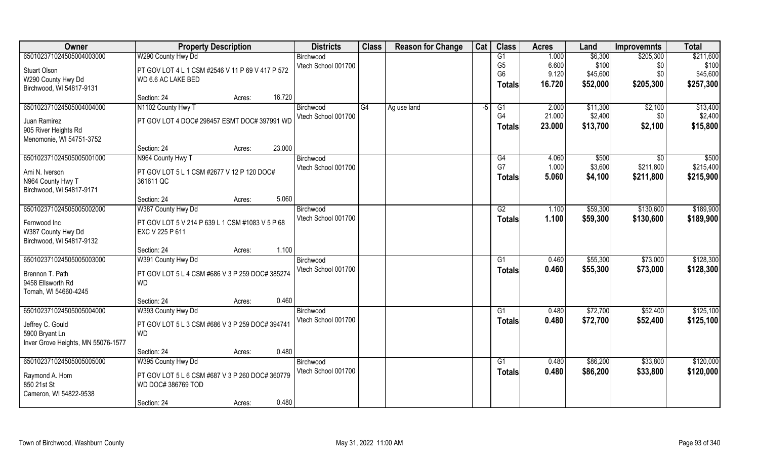| Owner                              | <b>Property Description</b>                      |                  | <b>Districts</b>    | <b>Class</b> | <b>Reason for Change</b> | Cat | <b>Class</b>    | <b>Acres</b> | Land     | <b>Improvemnts</b> | <b>Total</b> |
|------------------------------------|--------------------------------------------------|------------------|---------------------|--------------|--------------------------|-----|-----------------|--------------|----------|--------------------|--------------|
| 650102371024505004003000           | W290 County Hwy Dd                               |                  | Birchwood           |              |                          |     | $\overline{G1}$ | 1.000        | \$6,300  | \$205,300          | \$211,600    |
| <b>Stuart Olson</b>                | PT GOV LOT 4 L 1 CSM #2546 V 11 P 69 V 417 P 572 |                  | Vtech School 001700 |              |                          |     | G <sub>5</sub>  | 6.600        | \$100    | \$0                | \$100        |
| W290 County Hwy Dd                 | WD 6.6 AC LAKE BED                               |                  |                     |              |                          |     | G <sub>6</sub>  | 9.120        | \$45,600 | \$0                | \$45,600     |
| Birchwood, WI 54817-9131           |                                                  |                  |                     |              |                          |     | <b>Totals</b>   | 16.720       | \$52,000 | \$205,300          | \$257,300    |
|                                    | Section: 24                                      | 16.720<br>Acres: |                     |              |                          |     |                 |              |          |                    |              |
| 650102371024505004004000           | N1102 County Hwy T                               |                  | Birchwood           | G4           | Ag use land              | -5  | G1              | 2.000        | \$11,300 | \$2,100            | \$13,400     |
| Juan Ramirez                       | PT GOV LOT 4 DOC# 298457 ESMT DOC# 397991 WD     |                  | Vtech School 001700 |              |                          |     | G <sub>4</sub>  | 21.000       | \$2,400  | \$0                | \$2,400      |
| 905 River Heights Rd               |                                                  |                  |                     |              |                          |     | <b>Totals</b>   | 23.000       | \$13,700 | \$2,100            | \$15,800     |
| Menomonie, WI 54751-3752           |                                                  |                  |                     |              |                          |     |                 |              |          |                    |              |
|                                    | Section: 24                                      | 23.000<br>Acres: |                     |              |                          |     |                 |              |          |                    |              |
| 650102371024505005001000           | N964 County Hwy T                                |                  | Birchwood           |              |                          |     | G4              | 4.060        | \$500    | $\overline{50}$    | \$500        |
| Ami N. Iverson                     | PT GOV LOT 5 L 1 CSM #2677 V 12 P 120 DOC#       |                  | Vtech School 001700 |              |                          |     | G7              | 1.000        | \$3,600  | \$211,800          | \$215,400    |
| N964 County Hwy T                  | 361611 QC                                        |                  |                     |              |                          |     | <b>Totals</b>   | 5.060        | \$4,100  | \$211,800          | \$215,900    |
| Birchwood, WI 54817-9171           |                                                  |                  |                     |              |                          |     |                 |              |          |                    |              |
|                                    | Section: 24                                      | 5.060<br>Acres:  |                     |              |                          |     |                 |              |          |                    |              |
| 650102371024505005002000           | W387 County Hwy Dd                               |                  | Birchwood           |              |                          |     | G2              | 1.100        | \$59,300 | \$130,600          | \$189,900    |
| Fernwood Inc                       | PT GOV LOT 5 V 214 P 639 L 1 CSM #1083 V 5 P 68  |                  | Vtech School 001700 |              |                          |     | <b>Totals</b>   | 1.100        | \$59,300 | \$130,600          | \$189,900    |
| W387 County Hwy Dd                 | EXC V 225 P 611                                  |                  |                     |              |                          |     |                 |              |          |                    |              |
| Birchwood, WI 54817-9132           |                                                  |                  |                     |              |                          |     |                 |              |          |                    |              |
|                                    | Section: 24                                      | 1.100<br>Acres:  |                     |              |                          |     |                 |              |          |                    |              |
| 650102371024505005003000           | W391 County Hwy Dd                               |                  | Birchwood           |              |                          |     | G1              | 0.460        | \$55,300 | \$73,000           | \$128,300    |
| Brennon T. Path                    | PT GOV LOT 5 L 4 CSM #686 V 3 P 259 DOC# 385274  |                  | Vtech School 001700 |              |                          |     | <b>Totals</b>   | 0.460        | \$55,300 | \$73,000           | \$128,300    |
| 9458 Ellsworth Rd                  | <b>WD</b>                                        |                  |                     |              |                          |     |                 |              |          |                    |              |
| Tomah, WI 54660-4245               |                                                  |                  |                     |              |                          |     |                 |              |          |                    |              |
|                                    | Section: 24                                      | 0.460<br>Acres:  |                     |              |                          |     |                 |              |          |                    |              |
| 650102371024505005004000           | W393 County Hwy Dd                               |                  | Birchwood           |              |                          |     | $\overline{G1}$ | 0.480        | \$72,700 | \$52,400           | \$125,100    |
| Jeffrey C. Gould                   | PT GOV LOT 5 L 3 CSM #686 V 3 P 259 DOC# 394741  |                  | Vtech School 001700 |              |                          |     | <b>Totals</b>   | 0.480        | \$72,700 | \$52,400           | \$125,100    |
| 5900 Bryant Ln                     | <b>WD</b>                                        |                  |                     |              |                          |     |                 |              |          |                    |              |
| Inver Grove Heights, MN 55076-1577 |                                                  |                  |                     |              |                          |     |                 |              |          |                    |              |
|                                    | Section: 24                                      | 0.480<br>Acres:  |                     |              |                          |     |                 |              |          |                    |              |
| 650102371024505005005000           | W395 County Hwy Dd                               |                  | Birchwood           |              |                          |     | G1              | 0.480        | \$86,200 | \$33,800           | \$120,000    |
| Raymond A. Hom                     | PT GOV LOT 5 L 6 CSM #687 V 3 P 260 DOC# 360779  |                  | Vtech School 001700 |              |                          |     | <b>Totals</b>   | 0.480        | \$86,200 | \$33,800           | \$120,000    |
| 850 21st St                        | WD DOC# 386769 TOD                               |                  |                     |              |                          |     |                 |              |          |                    |              |
| Cameron, WI 54822-9538             |                                                  |                  |                     |              |                          |     |                 |              |          |                    |              |
|                                    | Section: 24                                      | 0.480<br>Acres:  |                     |              |                          |     |                 |              |          |                    |              |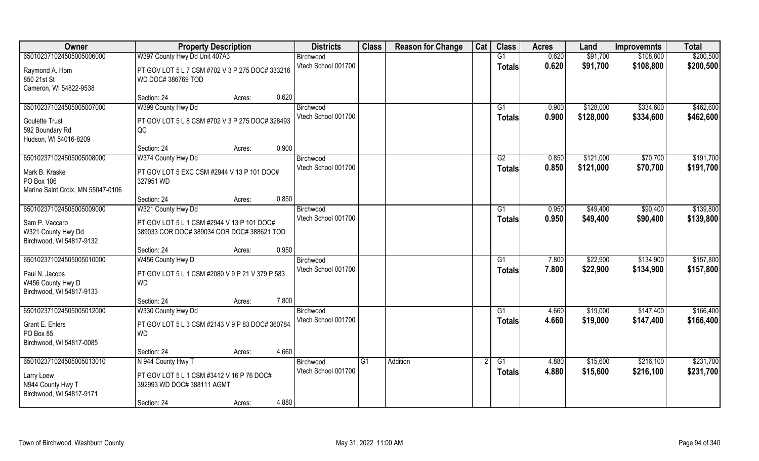| Owner                             | <b>Property Description</b>                                           |                 | <b>Districts</b>    | <b>Class</b> | <b>Reason for Change</b> | Cat | <b>Class</b>    | <b>Acres</b> | Land      | <b>Improvemnts</b> | <b>Total</b> |
|-----------------------------------|-----------------------------------------------------------------------|-----------------|---------------------|--------------|--------------------------|-----|-----------------|--------------|-----------|--------------------|--------------|
| 650102371024505005006000          | W397 County Hwy Dd Unit 407A3                                         |                 | Birchwood           |              |                          |     | G1              | 0.620        | \$91,700  | \$108,800          | \$200,500    |
| Raymond A. Hom<br>850 21st St     | PT GOV LOT 5 L 7 CSM #702 V 3 P 275 DOC# 333216<br>WD DOC# 386769 TOD |                 | Vtech School 001700 |              |                          |     | <b>Totals</b>   | 0.620        | \$91,700  | \$108,800          | \$200,500    |
| Cameron, WI 54822-9538            | Section: 24                                                           | 0.620<br>Acres: |                     |              |                          |     |                 |              |           |                    |              |
| 650102371024505005007000          | W399 County Hwy Dd                                                    |                 | Birchwood           |              |                          |     | G <sub>1</sub>  | 0.900        | \$128,000 | \$334,600          | \$462,600    |
|                                   |                                                                       |                 | Vtech School 001700 |              |                          |     | <b>Totals</b>   | 0.900        | \$128,000 | \$334,600          | \$462,600    |
| <b>Goulette Trust</b>             | PT GOV LOT 5 L 8 CSM #702 V 3 P 275 DOC# 328493                       |                 |                     |              |                          |     |                 |              |           |                    |              |
| 592 Boundary Rd                   | QC                                                                    |                 |                     |              |                          |     |                 |              |           |                    |              |
| Hudson, WI 54016-8209             | Section: 24                                                           | 0.900<br>Acres: |                     |              |                          |     |                 |              |           |                    |              |
| 650102371024505005008000          | W374 County Hwy Dd                                                    |                 | Birchwood           |              |                          |     | G2              | 0.850        | \$121,000 | \$70,700           | \$191,700    |
|                                   |                                                                       |                 | Vtech School 001700 |              |                          |     | <b>Totals</b>   | 0.850        | \$121,000 | \$70,700           | \$191,700    |
| Mark B. Kraske                    | PT GOV LOT 5 EXC CSM #2944 V 13 P 101 DOC#                            |                 |                     |              |                          |     |                 |              |           |                    |              |
| PO Box 106                        | 327951 WD                                                             |                 |                     |              |                          |     |                 |              |           |                    |              |
| Marine Saint Croix, MN 55047-0106 |                                                                       | 0.850           |                     |              |                          |     |                 |              |           |                    |              |
| 650102371024505005009000          | Section: 24<br>W321 County Hwy Dd                                     | Acres:          | Birchwood           |              |                          |     | G1              | 0.950        | \$49,400  | \$90,400           | \$139,800    |
|                                   |                                                                       |                 | Vtech School 001700 |              |                          |     |                 | 0.950        | \$49,400  |                    |              |
| Sam P. Vaccaro                    | PT GOV LOT 5 L 1 CSM #2944 V 13 P 101 DOC#                            |                 |                     |              |                          |     | <b>Totals</b>   |              |           | \$90,400           | \$139,800    |
| W321 County Hwy Dd                | 389033 COR DOC# 389034 COR DOC# 388621 TOD                            |                 |                     |              |                          |     |                 |              |           |                    |              |
| Birchwood, WI 54817-9132          |                                                                       |                 |                     |              |                          |     |                 |              |           |                    |              |
|                                   | Section: 24                                                           | 0.950<br>Acres: |                     |              |                          |     |                 |              |           |                    |              |
| 650102371024505005010000          | W456 County Hwy D                                                     |                 | Birchwood           |              |                          |     | G1              | 7.800        | \$22,900  | \$134,900          | \$157,800    |
| Paul N. Jacobs                    | PT GOV LOT 5 L 1 CSM #2080 V 9 P 21 V 379 P 583                       |                 | Vtech School 001700 |              |                          |     | <b>Totals</b>   | 7.800        | \$22,900  | \$134,900          | \$157,800    |
| W456 County Hwy D                 | <b>WD</b>                                                             |                 |                     |              |                          |     |                 |              |           |                    |              |
| Birchwood, WI 54817-9133          |                                                                       |                 |                     |              |                          |     |                 |              |           |                    |              |
|                                   | Section: 24                                                           | 7.800<br>Acres: |                     |              |                          |     |                 |              |           |                    |              |
| 650102371024505005012000          | W330 County Hwy Dd                                                    |                 | Birchwood           |              |                          |     | $\overline{G1}$ | 4.660        | \$19,000  | \$147,400          | \$166,400    |
| Grant E. Ehlers                   | PT GOV LOT 5 L 3 CSM #2143 V 9 P 83 DOC# 360784                       |                 | Vtech School 001700 |              |                          |     | <b>Totals</b>   | 4.660        | \$19,000  | \$147,400          | \$166,400    |
| PO Box 85                         | <b>WD</b>                                                             |                 |                     |              |                          |     |                 |              |           |                    |              |
| Birchwood, WI 54817-0085          |                                                                       |                 |                     |              |                          |     |                 |              |           |                    |              |
|                                   | Section: 24                                                           | 4.660<br>Acres: |                     |              |                          |     |                 |              |           |                    |              |
| 650102371024505005013010          | N 944 County Hwy T                                                    |                 | Birchwood           | G1           | Addition                 |     | G1              | 4.880        | \$15,600  | \$216,100          | \$231,700    |
| Larry Loew                        | PT GOV LOT 5 L 1 CSM #3412 V 16 P 76 DOC#                             |                 | Vtech School 001700 |              |                          |     | <b>Totals</b>   | 4.880        | \$15,600  | \$216,100          | \$231,700    |
| N944 County Hwy T                 | 392993 WD DOC# 388111 AGMT                                            |                 |                     |              |                          |     |                 |              |           |                    |              |
| Birchwood, WI 54817-9171          |                                                                       |                 |                     |              |                          |     |                 |              |           |                    |              |
|                                   | Section: 24                                                           | 4.880<br>Acres: |                     |              |                          |     |                 |              |           |                    |              |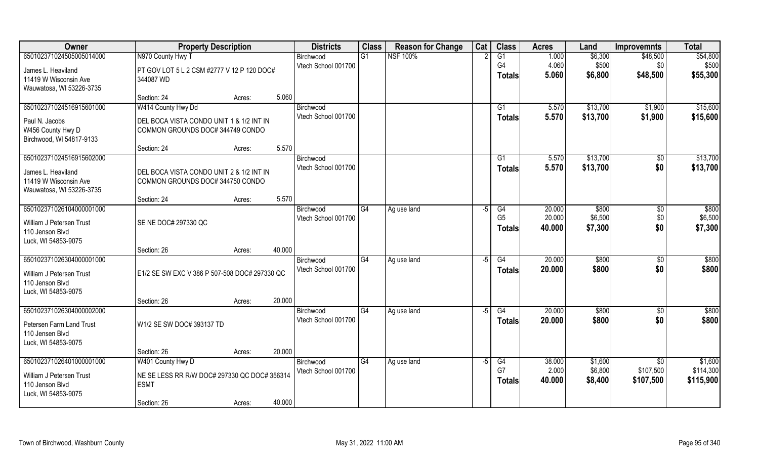| Owner                                       | <b>Property Description</b>                   |        |        | <b>Districts</b>                 | <b>Class</b> | <b>Reason for Change</b> | Cat  | <b>Class</b>   | <b>Acres</b>   | Land     | <b>Improvemnts</b>    | <b>Total</b> |
|---------------------------------------------|-----------------------------------------------|--------|--------|----------------------------------|--------------|--------------------------|------|----------------|----------------|----------|-----------------------|--------------|
| 650102371024505005014000                    | N970 County Hwy T                             |        |        | Birchwood                        | G1           | <b>NSF 100%</b>          |      | G1             | 1.000          | \$6,300  | \$48,500              | \$54,800     |
| James L. Heaviland                          | PT GOV LOT 5 L 2 CSM #2777 V 12 P 120 DOC#    |        |        | Vtech School 001700              |              |                          |      | G4             | 4.060          | \$500    | \$0                   | \$500        |
| 11419 W Wisconsin Ave                       | 344087 WD                                     |        |        |                                  |              |                          |      | <b>Totals</b>  | 5.060          | \$6,800  | \$48,500              | \$55,300     |
| Wauwatosa, WI 53226-3735                    |                                               |        |        |                                  |              |                          |      |                |                |          |                       |              |
|                                             | Section: 24                                   | Acres: | 5.060  |                                  |              |                          |      |                |                |          |                       |              |
| 650102371024516915601000                    | W414 County Hwy Dd                            |        |        | Birchwood                        |              |                          |      | G <sub>1</sub> | 5.570          | \$13,700 | \$1,900               | \$15,600     |
| Paul N. Jacobs                              | DEL BOCA VISTA CONDO UNIT 1 & 1/2 INT IN      |        |        | Vtech School 001700              |              |                          |      | <b>Totals</b>  | 5.570          | \$13,700 | \$1,900               | \$15,600     |
| W456 County Hwy D                           | COMMON GROUNDS DOC# 344749 CONDO              |        |        |                                  |              |                          |      |                |                |          |                       |              |
| Birchwood, WI 54817-9133                    |                                               |        |        |                                  |              |                          |      |                |                |          |                       |              |
| 650102371024516915602000                    | Section: 24                                   | Acres: | 5.570  |                                  |              |                          |      |                |                | \$13,700 |                       | \$13,700     |
|                                             |                                               |        |        | Birchwood<br>Vtech School 001700 |              |                          |      | G1             | 5.570<br>5.570 | \$13,700 | $\sqrt[6]{30}$<br>\$0 | \$13,700     |
| James L. Heaviland                          | DEL BOCA VISTA CONDO UNIT 2 & 1/2 INT IN      |        |        |                                  |              |                          |      | <b>Totals</b>  |                |          |                       |              |
| 11419 W Wisconsin Ave                       | COMMON GROUNDS DOC# 344750 CONDO              |        |        |                                  |              |                          |      |                |                |          |                       |              |
| Wauwatosa, WI 53226-3735                    |                                               |        | 5.570  |                                  |              |                          |      |                |                |          |                       |              |
| 650102371026104000001000                    | Section: 24                                   | Acres: |        | Birchwood                        | G4           | Ag use land              | -5   | G4             | 20.000         | \$800    | \$0                   | \$800        |
|                                             |                                               |        |        | Vtech School 001700              |              |                          |      | G <sub>5</sub> | 20.000         | \$6,500  | \$0                   | \$6,500      |
| William J Petersen Trust                    | SE NE DOC# 297330 QC                          |        |        |                                  |              |                          |      | <b>Totals</b>  | 40.000         | \$7,300  | \$0                   | \$7,300      |
| 110 Jenson Blvd                             |                                               |        |        |                                  |              |                          |      |                |                |          |                       |              |
| Luck, WI 54853-9075                         | Section: 26                                   | Acres: | 40.000 |                                  |              |                          |      |                |                |          |                       |              |
| 650102371026304000001000                    |                                               |        |        | Birchwood                        | G4           | Ag use land              | -5   | G4             | 20.000         | \$800    | $\sqrt{6}$            | \$800        |
|                                             |                                               |        |        | Vtech School 001700              |              |                          |      | <b>Totals</b>  | 20.000         | \$800    | \$0                   | \$800        |
| William J Petersen Trust<br>110 Jenson Blvd | E1/2 SE SW EXC V 386 P 507-508 DOC# 297330 QC |        |        |                                  |              |                          |      |                |                |          |                       |              |
| Luck, WI 54853-9075                         |                                               |        |        |                                  |              |                          |      |                |                |          |                       |              |
|                                             | Section: 26                                   | Acres: | 20.000 |                                  |              |                          |      |                |                |          |                       |              |
| 650102371026304000002000                    |                                               |        |        | Birchwood                        | G4           | Ag use land              | $-5$ | G4             | 20.000         | \$800    | $\sqrt{$0}$           | \$800        |
| Petersen Farm Land Trust                    | W1/2 SE SW DOC# 393137 TD                     |        |        | Vtech School 001700              |              |                          |      | <b>Totals</b>  | 20.000         | \$800    | \$0                   | \$800        |
| 110 Jensen Blvd                             |                                               |        |        |                                  |              |                          |      |                |                |          |                       |              |
| Luck, WI 54853-9075                         |                                               |        |        |                                  |              |                          |      |                |                |          |                       |              |
|                                             | Section: 26                                   | Acres: | 20.000 |                                  |              |                          |      |                |                |          |                       |              |
| 650102371026401000001000                    | W401 County Hwy D                             |        |        | Birchwood                        | G4           | Ag use land              | -5   | G4             | 38.000         | \$1,600  | \$0                   | \$1,600      |
| William J Petersen Trust                    | NE SE LESS RR R/W DOC# 297330 QC DOC# 356314  |        |        | Vtech School 001700              |              |                          |      | G7             | 2.000          | \$6,800  | \$107,500             | \$114,300    |
| 110 Jenson Blvd                             | <b>ESMT</b>                                   |        |        |                                  |              |                          |      | <b>Totals</b>  | 40.000         | \$8,400  | \$107,500             | \$115,900    |
| Luck, WI 54853-9075                         |                                               |        |        |                                  |              |                          |      |                |                |          |                       |              |
|                                             | Section: 26                                   | Acres: | 40.000 |                                  |              |                          |      |                |                |          |                       |              |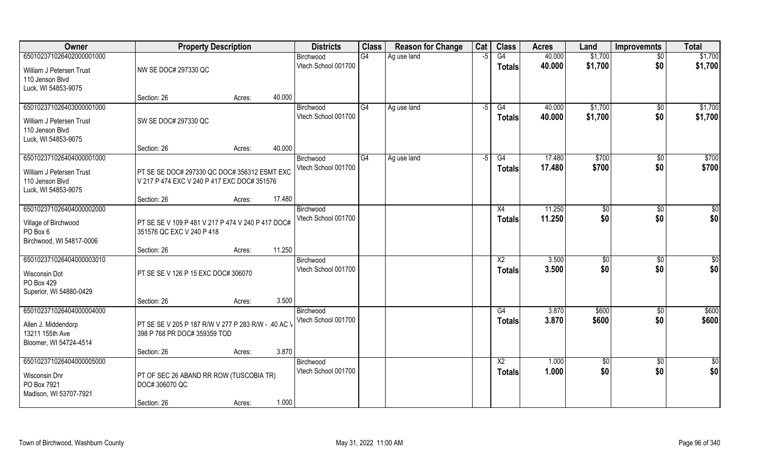| Owner                            | <b>Property Description</b>                                                    |        |        | <b>Districts</b>                 | <b>Class</b> | <b>Reason for Change</b> | Cat  | <b>Class</b>    | <b>Acres</b>     | Land           | <b>Improvemnts</b> | <b>Total</b>    |
|----------------------------------|--------------------------------------------------------------------------------|--------|--------|----------------------------------|--------------|--------------------------|------|-----------------|------------------|----------------|--------------------|-----------------|
| 650102371026402000001000         |                                                                                |        |        | Birchwood                        | G4           | Ag use land              | $-5$ | G4              | 40.000           | \$1,700        | $\sqrt{$0}$        | \$1,700         |
| William J Petersen Trust         | NW SE DOC# 297330 QC                                                           |        |        | Vtech School 001700              |              |                          |      | <b>Totals</b>   | 40.000           | \$1,700        | \$0                | \$1,700         |
| 110 Jenson Blvd                  |                                                                                |        |        |                                  |              |                          |      |                 |                  |                |                    |                 |
| Luck, WI 54853-9075              |                                                                                |        |        |                                  |              |                          |      |                 |                  |                |                    |                 |
|                                  | Section: 26                                                                    | Acres: | 40.000 |                                  |              |                          |      |                 |                  |                |                    |                 |
| 650102371026403000001000         |                                                                                |        |        | Birchwood                        | G4           | Ag use land              | -5   | G4              | 40.000           | \$1,700        | $\sqrt{$0}$        | \$1,700         |
| William J Petersen Trust         | SW SE DOC# 297330 QC                                                           |        |        | Vtech School 001700              |              |                          |      | Totals          | 40.000           | \$1,700        | \$0                | \$1,700         |
| 110 Jenson Blvd                  |                                                                                |        |        |                                  |              |                          |      |                 |                  |                |                    |                 |
| Luck, WI 54853-9075              |                                                                                |        |        |                                  |              |                          |      |                 |                  |                |                    |                 |
|                                  | Section: 26                                                                    | Acres: | 40.000 |                                  |              |                          |      |                 |                  |                |                    |                 |
| 650102371026404000001000         |                                                                                |        |        | Birchwood<br>Vtech School 001700 | G4           | Ag use land              | -5   | G4              | 17.480<br>17.480 | \$700<br>\$700 | $\sqrt{50}$<br>\$0 | \$700<br>\$700  |
| William J Petersen Trust         | PT SE SE DOC# 297330 QC DOC# 356312 ESMT EXC                                   |        |        |                                  |              |                          |      | <b>Totals</b>   |                  |                |                    |                 |
| 110 Jenson Blvd                  | V 217 P 474 EXC V 240 P 417 EXC DOC# 351576                                    |        |        |                                  |              |                          |      |                 |                  |                |                    |                 |
| Luck, WI 54853-9075              | Section: 26                                                                    | Acres: | 17.480 |                                  |              |                          |      |                 |                  |                |                    |                 |
| 650102371026404000002000         |                                                                                |        |        | Birchwood                        |              |                          |      | X4              | 11.250           | \$0            | $\sqrt[6]{3}$      | $\sqrt{50}$     |
|                                  |                                                                                |        |        | Vtech School 001700              |              |                          |      | <b>Totals</b>   | 11.250           | \$0            | \$0                | \$0             |
| Village of Birchwood<br>PO Box 6 | PT SE SE V 109 P 481 V 217 P 474 V 240 P 417 DOC#<br>351576 QC EXC V 240 P 418 |        |        |                                  |              |                          |      |                 |                  |                |                    |                 |
| Birchwood, WI 54817-0006         |                                                                                |        |        |                                  |              |                          |      |                 |                  |                |                    |                 |
|                                  | Section: 26                                                                    | Acres: | 11.250 |                                  |              |                          |      |                 |                  |                |                    |                 |
| 650102371026404000003010         |                                                                                |        |        | Birchwood                        |              |                          |      | X <sub>2</sub>  | 3.500            | \$0            | $\sqrt[6]{30}$     | \$0             |
| Wisconsin Dot                    | PT SE SE V 126 P 15 EXC DOC# 306070                                            |        |        | Vtech School 001700              |              |                          |      | <b>Totals</b>   | 3.500            | \$0            | \$0                | \$0             |
| PO Box 429                       |                                                                                |        |        |                                  |              |                          |      |                 |                  |                |                    |                 |
| Superior, WI 54880-0429          |                                                                                |        |        |                                  |              |                          |      |                 |                  |                |                    |                 |
|                                  | Section: 26                                                                    | Acres: | 3.500  |                                  |              |                          |      |                 |                  |                |                    |                 |
| 650102371026404000004000         |                                                                                |        |        | Birchwood                        |              |                          |      | G4              | 3.870            | \$600          | $\overline{60}$    | \$600           |
| Allen J. Middendorp              | PT SE SE V 205 P 187 R/W V 277 P 283 R/W - .40 AC \                            |        |        | Vtech School 001700              |              |                          |      | <b>Totals</b>   | 3.870            | \$600          | \$0                | \$600           |
| 13211 155th Ave                  | 398 P 768 PR DOC# 359359 TOD                                                   |        |        |                                  |              |                          |      |                 |                  |                |                    |                 |
| Bloomer, WI 54724-4514           |                                                                                |        |        |                                  |              |                          |      |                 |                  |                |                    |                 |
|                                  | Section: 26                                                                    | Acres: | 3.870  |                                  |              |                          |      |                 |                  |                |                    |                 |
| 650102371026404000005000         |                                                                                |        |        | Birchwood<br>Vtech School 001700 |              |                          |      | $\overline{X2}$ | 1.000            | $\sqrt{50}$    | $\overline{50}$    | $\overline{50}$ |
| Wisconsin Dnr                    | PT OF SEC 26 ABAND RR ROW (TUSCOBIA TR)                                        |        |        |                                  |              |                          |      | Totals          | 1.000            | \$0            | \$0                | \$0             |
| PO Box 7921                      | DOC# 306070 QC                                                                 |        |        |                                  |              |                          |      |                 |                  |                |                    |                 |
| Madison, WI 53707-7921           | Section: 26                                                                    |        | 1.000  |                                  |              |                          |      |                 |                  |                |                    |                 |
|                                  |                                                                                | Acres: |        |                                  |              |                          |      |                 |                  |                |                    |                 |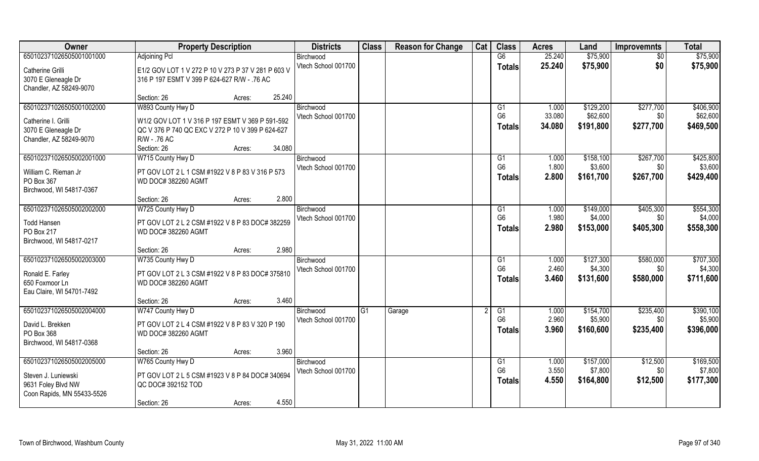| Owner                      | <b>Property Description</b>                        |        |        | <b>Districts</b>    | <b>Class</b> | <b>Reason for Change</b> | Cat | <b>Class</b>   | <b>Acres</b> | Land      | <b>Improvemnts</b> | <b>Total</b> |
|----------------------------|----------------------------------------------------|--------|--------|---------------------|--------------|--------------------------|-----|----------------|--------------|-----------|--------------------|--------------|
| 650102371026505001001000   | <b>Adjoining Pcl</b>                               |        |        | Birchwood           |              |                          |     | G6             | 25.240       | \$75,900  | $\sqrt{6}$         | \$75,900     |
| Catherine Grilli           | E1/2 GOV LOT 1 V 272 P 10 V 273 P 37 V 281 P 603 V |        |        | Vtech School 001700 |              |                          |     | <b>Totals</b>  | 25.240       | \$75,900  | \$0                | \$75,900     |
| 3070 E Gleneagle Dr        | 316 P 197 ESMT V 399 P 624-627 R/W - .76 AC        |        |        |                     |              |                          |     |                |              |           |                    |              |
| Chandler, AZ 58249-9070    |                                                    |        |        |                     |              |                          |     |                |              |           |                    |              |
|                            | Section: 26                                        | Acres: | 25.240 |                     |              |                          |     |                |              |           |                    |              |
| 650102371026505001002000   | W893 County Hwy D                                  |        |        | Birchwood           |              |                          |     | G1             | 1.000        | \$129,200 | \$277,700          | \$406,900    |
| Catherine I. Grilli        | W1/2 GOV LOT 1 V 316 P 197 ESMT V 369 P 591-592    |        |        | Vtech School 001700 |              |                          |     | G <sub>6</sub> | 33.080       | \$62,600  | \$0                | \$62,600     |
| 3070 E Gleneagle Dr        | QC V 376 P 740 QC EXC V 272 P 10 V 399 P 624-627   |        |        |                     |              |                          |     | <b>Totals</b>  | 34.080       | \$191,800 | \$277,700          | \$469,500    |
| Chandler, AZ 58249-9070    | R/W - .76 AC                                       |        |        |                     |              |                          |     |                |              |           |                    |              |
|                            | Section: 26                                        | Acres: | 34.080 |                     |              |                          |     |                |              |           |                    |              |
| 650102371026505002001000   | W715 County Hwy D                                  |        |        | Birchwood           |              |                          |     | G1             | 1.000        | \$158,100 | \$267,700          | \$425,800    |
| William C. Rieman Jr       | PT GOV LOT 2 L 1 CSM #1922 V 8 P 83 V 316 P 573    |        |        | Vtech School 001700 |              |                          |     | G <sub>6</sub> | 1.800        | \$3,600   | \$0                | \$3,600      |
| PO Box 367                 | WD DOC# 382260 AGMT                                |        |        |                     |              |                          |     | <b>Totals</b>  | 2.800        | \$161,700 | \$267,700          | \$429,400    |
| Birchwood, WI 54817-0367   |                                                    |        |        |                     |              |                          |     |                |              |           |                    |              |
|                            | Section: 26                                        | Acres: | 2.800  |                     |              |                          |     |                |              |           |                    |              |
| 650102371026505002002000   | W725 County Hwy D                                  |        |        | Birchwood           |              |                          |     | G1             | 1.000        | \$149,000 | \$405,300          | \$554,300    |
| <b>Todd Hansen</b>         | PT GOV LOT 2 L 2 CSM #1922 V 8 P 83 DOC# 382259    |        |        | Vtech School 001700 |              |                          |     | G <sub>6</sub> | 1.980        | \$4,000   | \$0                | \$4,000      |
| PO Box 217                 | <b>WD DOC# 382260 AGMT</b>                         |        |        |                     |              |                          |     | <b>Totals</b>  | 2.980        | \$153,000 | \$405,300          | \$558,300    |
| Birchwood, WI 54817-0217   |                                                    |        |        |                     |              |                          |     |                |              |           |                    |              |
|                            | Section: 26                                        | Acres: | 2.980  |                     |              |                          |     |                |              |           |                    |              |
| 650102371026505002003000   | W735 County Hwy D                                  |        |        | Birchwood           |              |                          |     | G1             | 1.000        | \$127,300 | \$580,000          | \$707,300    |
| Ronald E. Farley           | PT GOV LOT 2 L 3 CSM #1922 V 8 P 83 DOC# 375810    |        |        | Vtech School 001700 |              |                          |     | G <sub>6</sub> | 2.460        | \$4,300   | \$0                | \$4,300      |
| 650 Foxmoor Ln             | WD DOC# 382260 AGMT                                |        |        |                     |              |                          |     | Totals         | 3.460        | \$131,600 | \$580,000          | \$711,600    |
| Eau Claire, WI 54701-7492  |                                                    |        |        |                     |              |                          |     |                |              |           |                    |              |
|                            | Section: 26                                        | Acres: | 3.460  |                     |              |                          |     |                |              |           |                    |              |
| 650102371026505002004000   | W747 County Hwy D                                  |        |        | Birchwood           | G1           | Garage                   |     | G1             | 1.000        | \$154,700 | \$235,400          | \$390,100    |
| David L. Brekken           | PT GOV LOT 2 L 4 CSM #1922 V 8 P 83 V 320 P 190    |        |        | Vtech School 001700 |              |                          |     | G <sub>6</sub> | 2.960        | \$5,900   | \$0                | \$5,900      |
| PO Box 368                 | WD DOC# 382260 AGMT                                |        |        |                     |              |                          |     | <b>Totals</b>  | 3.960        | \$160,600 | \$235,400          | \$396,000    |
| Birchwood, WI 54817-0368   |                                                    |        |        |                     |              |                          |     |                |              |           |                    |              |
|                            | Section: 26                                        | Acres: | 3.960  |                     |              |                          |     |                |              |           |                    |              |
| 650102371026505002005000   | W765 County Hwy D                                  |        |        | Birchwood           |              |                          |     | G1             | 1.000        | \$157,000 | \$12,500           | \$169,500    |
| Steven J. Luniewski        | PT GOV LOT 2 L 5 CSM #1923 V 8 P 84 DOC# 340694    |        |        | Vtech School 001700 |              |                          |     | G <sub>6</sub> | 3.550        | \$7,800   | \$0\$              | \$7,800      |
| 9631 Foley Blvd NW         | QC DOC# 392152 TOD                                 |        |        |                     |              |                          |     | Totals         | 4.550        | \$164,800 | \$12,500           | \$177,300    |
| Coon Rapids, MN 55433-5526 |                                                    |        |        |                     |              |                          |     |                |              |           |                    |              |
|                            | Section: 26                                        | Acres: | 4.550  |                     |              |                          |     |                |              |           |                    |              |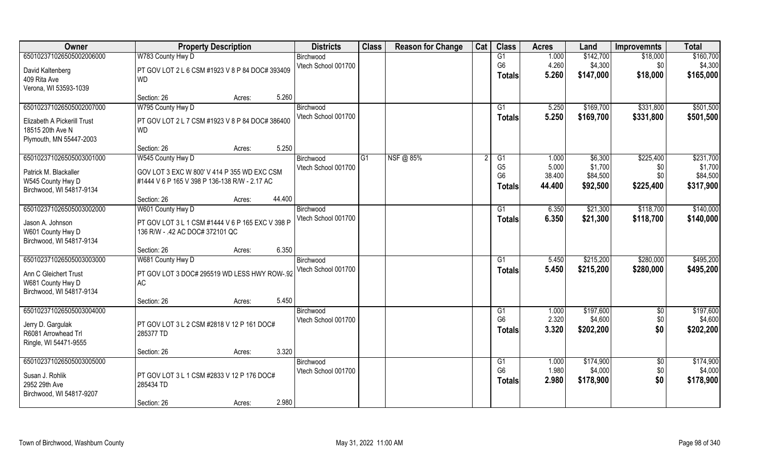| Owner                                    | <b>Property Description</b>                             |                  | <b>Districts</b>    | <b>Class</b> | <b>Reason for Change</b> | Cat | <b>Class</b>    | <b>Acres</b> | Land      | <b>Improvemnts</b> | <b>Total</b> |
|------------------------------------------|---------------------------------------------------------|------------------|---------------------|--------------|--------------------------|-----|-----------------|--------------|-----------|--------------------|--------------|
| 650102371026505002006000                 | W783 County Hwy D                                       |                  | Birchwood           |              |                          |     | G1              | 1.000        | \$142,700 | \$18,000           | \$160,700    |
| David Kaltenberg                         | PT GOV LOT 2 L 6 CSM #1923 V 8 P 84 DOC# 393409         |                  | Vtech School 001700 |              |                          |     | G <sub>6</sub>  | 4.260        | \$4,300   | \$0                | \$4,300      |
| 409 Rita Ave                             | <b>WD</b>                                               |                  |                     |              |                          |     | <b>Totals</b>   | 5.260        | \$147,000 | \$18,000           | \$165,000    |
| Verona, WI 53593-1039                    |                                                         |                  |                     |              |                          |     |                 |              |           |                    |              |
|                                          | Section: 26                                             | 5.260<br>Acres:  |                     |              |                          |     |                 |              |           |                    |              |
| 650102371026505002007000                 | W795 County Hwy D                                       |                  | Birchwood           |              |                          |     | $\overline{G1}$ | 5.250        | \$169,700 | \$331,800          | \$501,500    |
| Elizabeth A Pickerill Trust              | PT GOV LOT 2 L 7 CSM #1923 V 8 P 84 DOC# 386400         |                  | Vtech School 001700 |              |                          |     | Totals          | 5.250        | \$169,700 | \$331,800          | \$501,500    |
| 18515 20th Ave N                         | <b>WD</b>                                               |                  |                     |              |                          |     |                 |              |           |                    |              |
| Plymouth, MN 55447-2003                  |                                                         |                  |                     |              |                          |     |                 |              |           |                    |              |
|                                          | Section: 26                                             | 5.250<br>Acres:  |                     |              |                          |     |                 |              |           |                    |              |
| 650102371026505003001000                 | W545 County Hwy D                                       |                  | Birchwood           | G1           | NSF@ 85%                 |     | G1              | 1.000        | \$6,300   | \$225,400          | \$231,700    |
| Patrick M. Blackaller                    | GOV LOT 3 EXC W 800' V 414 P 355 WD EXC CSM             |                  | Vtech School 001700 |              |                          |     | G <sub>5</sub>  | 5.000        | \$1,700   | \$0                | \$1,700      |
| W545 County Hwy D                        | #1444 V 6 P 165 V 398 P 136-138 R/W - 2.17 AC           |                  |                     |              |                          |     | G <sub>6</sub>  | 38.400       | \$84,500  | \$0                | \$84,500     |
| Birchwood, WI 54817-9134                 |                                                         |                  |                     |              |                          |     | <b>Totals</b>   | 44.400       | \$92,500  | \$225,400          | \$317,900    |
|                                          | Section: 26                                             | 44.400<br>Acres: |                     |              |                          |     |                 |              |           |                    |              |
| 650102371026505003002000                 | W601 County Hwy D                                       |                  | Birchwood           |              |                          |     | G1              | 6.350        | \$21,300  | \$118,700          | \$140,000    |
| Jason A. Johnson                         | PT GOV LOT 3 L 1 CSM #1444 V 6 P 165 EXC V 398 P        |                  | Vtech School 001700 |              |                          |     | <b>Totals</b>   | 6.350        | \$21,300  | \$118,700          | \$140,000    |
| W601 County Hwy D                        | 136 R/W - .42 AC DOC# 372101 QC                         |                  |                     |              |                          |     |                 |              |           |                    |              |
| Birchwood, WI 54817-9134                 |                                                         |                  |                     |              |                          |     |                 |              |           |                    |              |
|                                          | Section: 26                                             | 6.350<br>Acres:  |                     |              |                          |     |                 |              |           |                    |              |
| 650102371026505003003000                 | W681 County Hwy D                                       |                  | Birchwood           |              |                          |     | G1              | 5.450        | \$215,200 | \$280,000          | \$495,200    |
| Ann C Gleichert Trust                    | PT GOV LOT 3 DOC# 295519 WD LESS HWY ROW-.92            |                  | Vtech School 001700 |              |                          |     | <b>Totals</b>   | 5.450        | \$215,200 | \$280,000          | \$495,200    |
| W681 County Hwy D                        | <b>AC</b>                                               |                  |                     |              |                          |     |                 |              |           |                    |              |
| Birchwood, WI 54817-9134                 |                                                         |                  |                     |              |                          |     |                 |              |           |                    |              |
|                                          | Section: 26                                             | 5.450<br>Acres:  |                     |              |                          |     |                 |              |           |                    |              |
| 650102371026505003004000                 |                                                         |                  | Birchwood           |              |                          |     | G1              | 1.000        | \$197,600 | \$0                | \$197,600    |
|                                          | PT GOV LOT 3 L 2 CSM #2818 V 12 P 161 DOC#              |                  | Vtech School 001700 |              |                          |     | G <sub>6</sub>  | 2.320        | \$4,600   | \$0                | \$4,600      |
| Jerry D. Gargulak<br>R6081 Arrowhead Trl | 285377 TD                                               |                  |                     |              |                          |     | <b>Totals</b>   | 3.320        | \$202,200 | \$0                | \$202,200    |
| Ringle, WI 54471-9555                    |                                                         |                  |                     |              |                          |     |                 |              |           |                    |              |
|                                          | Section: 26                                             | 3.320<br>Acres:  |                     |              |                          |     |                 |              |           |                    |              |
| 650102371026505003005000                 |                                                         |                  | Birchwood           |              |                          |     | G1              | 1.000        | \$174,900 | $\overline{50}$    | \$174,900    |
|                                          |                                                         |                  | Vtech School 001700 |              |                          |     | G <sub>6</sub>  | 1.980        | \$4,000   | \$0                | \$4,000      |
| Susan J. Rohlik<br>2952 29th Ave         | PT GOV LOT 3 L 1 CSM #2833 V 12 P 176 DOC#<br>285434 TD |                  |                     |              |                          |     | <b>Totals</b>   | 2.980        | \$178,900 | \$0                | \$178,900    |
| Birchwood, WI 54817-9207                 |                                                         |                  |                     |              |                          |     |                 |              |           |                    |              |
|                                          | Section: 26                                             | 2.980<br>Acres:  |                     |              |                          |     |                 |              |           |                    |              |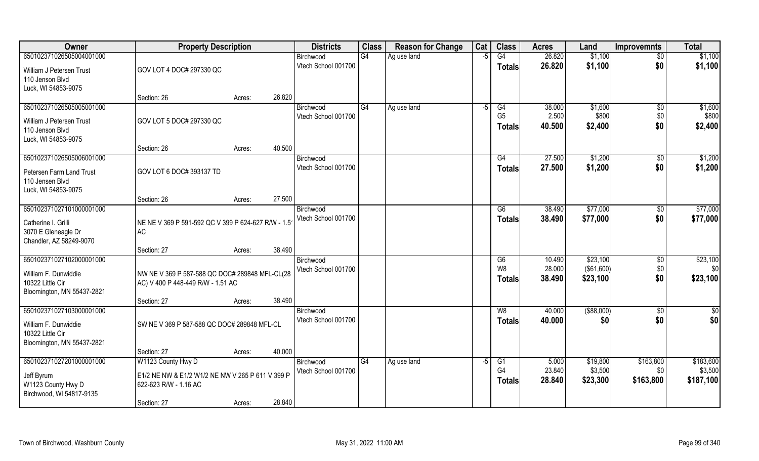| Owner                                    | <b>Property Description</b>                                                         |        | <b>Districts</b>                 | <b>Class</b> | <b>Reason for Change</b> | Cat  | <b>Class</b>   | <b>Acres</b> | Land        | <b>Improvemnts</b> | <b>Total</b> |
|------------------------------------------|-------------------------------------------------------------------------------------|--------|----------------------------------|--------------|--------------------------|------|----------------|--------------|-------------|--------------------|--------------|
| 650102371026505004001000                 |                                                                                     |        | Birchwood                        | G4           | Ag use land              | $-5$ | G4             | 26.820       | \$1,100     | $\sqrt{6}$         | \$1,100      |
| William J Petersen Trust                 | GOV LOT 4 DOC# 297330 QC                                                            |        | Vtech School 001700              |              |                          |      | Totals         | 26.820       | \$1,100     | \$0                | \$1,100      |
| 110 Jenson Blvd                          |                                                                                     |        |                                  |              |                          |      |                |              |             |                    |              |
| Luck, WI 54853-9075                      |                                                                                     |        |                                  |              |                          |      |                |              |             |                    |              |
|                                          | Section: 26                                                                         | Acres: | 26.820                           |              |                          |      |                |              |             |                    |              |
| 650102371026505005001000                 |                                                                                     |        | Birchwood                        | G4           | Ag use land              | -5   | G4             | 38.000       | \$1,600     | \$0                | \$1,600      |
| William J Petersen Trust                 | GOV LOT 5 DOC# 297330 QC                                                            |        | Vtech School 001700              |              |                          |      | G <sub>5</sub> | 2.500        | \$800       | \$0                | \$800        |
| 110 Jenson Blvd                          |                                                                                     |        |                                  |              |                          |      | <b>Totals</b>  | 40.500       | \$2,400     | \$0                | \$2,400      |
| Luck, WI 54853-9075                      |                                                                                     |        |                                  |              |                          |      |                |              |             |                    |              |
|                                          | Section: 26                                                                         | Acres: | 40.500                           |              |                          |      |                |              |             |                    |              |
| 650102371026505006001000                 |                                                                                     |        | Birchwood<br>Vtech School 001700 |              |                          |      | G4             | 27.500       | \$1,200     | \$0                | \$1,200      |
| Petersen Farm Land Trust                 | GOV LOT 6 DOC# 393137 TD                                                            |        |                                  |              |                          |      | <b>Totals</b>  | 27.500       | \$1,200     | \$0                | \$1,200      |
| 110 Jensen Blvd                          |                                                                                     |        |                                  |              |                          |      |                |              |             |                    |              |
| Luck, WI 54853-9075                      |                                                                                     |        | 27.500                           |              |                          |      |                |              |             |                    |              |
| 650102371027101000001000                 | Section: 26                                                                         | Acres: | Birchwood                        |              |                          |      | G6             | 38.490       | \$77,000    | $\sqrt[6]{3}$      | \$77,000     |
|                                          |                                                                                     |        | Vtech School 001700              |              |                          |      | <b>Totals</b>  | 38.490       | \$77,000    | \$0                | \$77,000     |
| Catherine I. Grilli                      | NE NE V 369 P 591-592 QC V 399 P 624-627 R/W - 1.5                                  |        |                                  |              |                          |      |                |              |             |                    |              |
| 3070 E Gleneagle Dr                      | <b>AC</b>                                                                           |        |                                  |              |                          |      |                |              |             |                    |              |
| Chandler, AZ 58249-9070                  | Section: 27                                                                         | Acres: | 38.490                           |              |                          |      |                |              |             |                    |              |
| 650102371027102000001000                 |                                                                                     |        | Birchwood                        |              |                          |      | G6             | 10.490       | \$23,100    | \$0                | \$23,100     |
|                                          |                                                                                     |        | Vtech School 001700              |              |                          |      | W <sub>8</sub> | 28.000       | (\$61,600)  | \$0                | \$0          |
| William F. Dunwiddie<br>10322 Little Cir | NW NE V 369 P 587-588 QC DOC# 289848 MFL-CL(28<br>AC) V 400 P 448-449 R/W - 1.51 AC |        |                                  |              |                          |      | <b>Totals</b>  | 38.490       | \$23,100    | \$0                | \$23,100     |
| Bloomington, MN 55437-2821               |                                                                                     |        |                                  |              |                          |      |                |              |             |                    |              |
|                                          | Section: 27                                                                         | Acres: | 38.490                           |              |                          |      |                |              |             |                    |              |
| 650102371027103000001000                 |                                                                                     |        | Birchwood                        |              |                          |      | W8             | 40.000       | ( \$88,000) | $\sqrt{$0}$        | \$0          |
| William F. Dunwiddie                     | SW NE V 369 P 587-588 QC DOC# 289848 MFL-CL                                         |        | Vtech School 001700              |              |                          |      | <b>Totals</b>  | 40.000       | \$0         | \$0                | \$0          |
| 10322 Little Cir                         |                                                                                     |        |                                  |              |                          |      |                |              |             |                    |              |
| Bloomington, MN 55437-2821               |                                                                                     |        |                                  |              |                          |      |                |              |             |                    |              |
|                                          | Section: 27                                                                         | Acres: | 40.000                           |              |                          |      |                |              |             |                    |              |
| 650102371027201000001000                 | W1123 County Hwy D                                                                  |        | Birchwood                        | G4           | Ag use land              | $-5$ | G1             | 5.000        | \$19,800    | \$163,800          | \$183,600    |
| Jeff Byrum                               | E1/2 NE NW & E1/2 W1/2 NE NW V 265 P 611 V 399 P                                    |        | Vtech School 001700              |              |                          |      | G <sub>4</sub> | 23.840       | \$3,500     | \$0                | \$3,500      |
| W1123 County Hwy D                       | 622-623 R/W - 1.16 AC                                                               |        |                                  |              |                          |      | <b>Totals</b>  | 28.840       | \$23,300    | \$163,800          | \$187,100    |
| Birchwood, WI 54817-9135                 |                                                                                     |        |                                  |              |                          |      |                |              |             |                    |              |
|                                          | Section: 27                                                                         | Acres: | 28.840                           |              |                          |      |                |              |             |                    |              |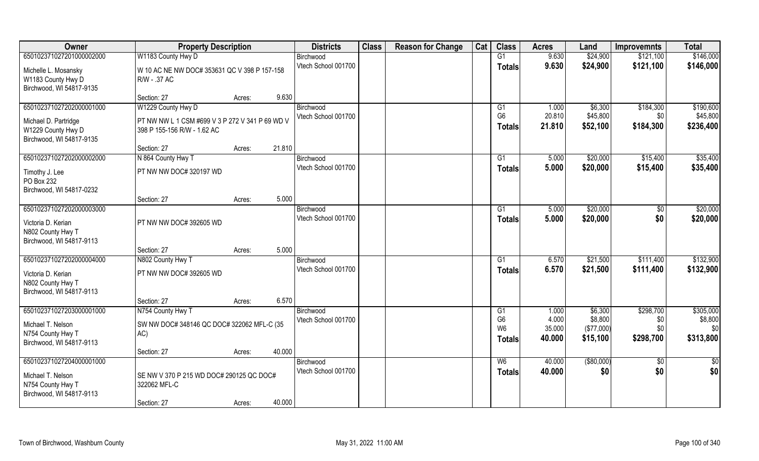| Owner                                                                                          | <b>Property Description</b>                                                    |        |        | <b>Districts</b>                 | <b>Class</b> | <b>Reason for Change</b> | Cat | <b>Class</b>                     | <b>Acres</b>     | Land                  | <b>Improvemnts</b>     | <b>Total</b>          |
|------------------------------------------------------------------------------------------------|--------------------------------------------------------------------------------|--------|--------|----------------------------------|--------------|--------------------------|-----|----------------------------------|------------------|-----------------------|------------------------|-----------------------|
| 650102371027201000002000                                                                       | W1183 County Hwy D                                                             |        |        | Birchwood                        |              |                          |     | G1                               | 9.630            | \$24,900              | \$121,100              | \$146,000             |
| Michelle L. Mosansky<br>W1183 County Hwy D<br>Birchwood, WI 54817-9135                         | W 10 AC NE NW DOC# 353631 QC V 398 P 157-158<br>R/W - .37 AC                   |        |        | Vtech School 001700              |              |                          |     | <b>Totals</b>                    | 9.630            | \$24,900              | \$121,100              | \$146,000             |
|                                                                                                | Section: 27                                                                    | Acres: | 9.630  |                                  |              |                          |     |                                  |                  |                       |                        |                       |
| 650102371027202000001000                                                                       | W1229 County Hwy D                                                             |        |        | Birchwood<br>Vtech School 001700 |              |                          |     | G <sub>1</sub><br>G <sub>6</sub> | 1.000<br>20.810  | \$6,300<br>\$45,800   | \$184,300<br>\$0       | \$190,600<br>\$45,800 |
| Michael D. Partridge<br>W1229 County Hwy D<br>Birchwood, WI 54817-9135                         | PT NW NW L 1 CSM #699 V 3 P 272 V 341 P 69 WD V<br>398 P 155-156 R/W - 1.62 AC |        |        |                                  |              |                          |     | <b>Totals</b>                    | 21.810           | \$52,100              | \$184,300              | \$236,400             |
|                                                                                                | Section: 27                                                                    | Acres: | 21.810 |                                  |              |                          |     |                                  |                  |                       |                        |                       |
| 650102371027202000002000                                                                       | N 864 County Hwy T                                                             |        |        | Birchwood                        |              |                          |     | G1                               | 5.000            | \$20,000              | \$15,400               | \$35,400              |
| Timothy J. Lee<br>PO Box 232<br>Birchwood, WI 54817-0232                                       | PT NW NW DOC# 320197 WD                                                        |        |        | Vtech School 001700              |              |                          |     | <b>Totals</b>                    | 5.000            | \$20,000              | \$15,400               | \$35,400              |
|                                                                                                | Section: 27                                                                    | Acres: | 5.000  |                                  |              |                          |     |                                  |                  |                       |                        |                       |
| 650102371027202000003000                                                                       |                                                                                |        |        | Birchwood                        |              |                          |     | G1                               | 5.000            | \$20,000              | \$0                    | \$20,000              |
| Victoria D. Kerian<br>N802 County Hwy T<br>Birchwood, WI 54817-9113                            | PT NW NW DOC# 392605 WD                                                        |        |        | Vtech School 001700              |              |                          |     | <b>Totals</b>                    | 5.000            | \$20,000              | \$0                    | \$20,000              |
|                                                                                                | Section: 27                                                                    | Acres: | 5.000  |                                  |              |                          |     |                                  |                  |                       |                        |                       |
| 650102371027202000004000                                                                       | N802 County Hwy T                                                              |        |        | Birchwood                        |              |                          |     | G1                               | 6.570            | \$21,500              | \$111,400              | \$132,900             |
| Victoria D. Kerian<br>N802 County Hwy T                                                        | PT NW NW DOC# 392605 WD                                                        |        |        | Vtech School 001700              |              |                          |     | <b>Totals</b>                    | 6.570            | \$21,500              | \$111,400              | \$132,900             |
| Birchwood, WI 54817-9113                                                                       |                                                                                |        |        |                                  |              |                          |     |                                  |                  |                       |                        |                       |
|                                                                                                | Section: 27                                                                    | Acres: | 6.570  |                                  |              |                          |     |                                  |                  |                       |                        |                       |
| 650102371027203000001000                                                                       | N754 County Hwy T                                                              |        |        | Birchwood                        |              |                          |     | G1                               | 1.000            | \$6,300               | \$298,700              | \$305,000             |
| Michael T. Nelson                                                                              | SW NW DOC# 348146 QC DOC# 322062 MFL-C (35                                     |        |        | Vtech School 001700              |              |                          |     | G <sub>6</sub><br>W <sub>6</sub> | 4.000<br>35.000  | \$8,800<br>(\$77,000) | \$0<br>\$0             | \$8,800<br>\$0        |
| N754 County Hwy T                                                                              | AC)                                                                            |        |        |                                  |              |                          |     | <b>Totals</b>                    | 40.000           | \$15,100              | \$298,700              | \$313,800             |
| Birchwood, WI 54817-9113                                                                       |                                                                                |        |        |                                  |              |                          |     |                                  |                  |                       |                        |                       |
|                                                                                                | Section: 27                                                                    | Acres: | 40.000 |                                  |              |                          |     |                                  |                  |                       |                        |                       |
| 650102371027204000001000<br>Michael T. Nelson<br>N754 County Hwy T<br>Birchwood, WI 54817-9113 | SE NW V 370 P 215 WD DOC# 290125 QC DOC#<br>322062 MFL-C                       |        |        | Birchwood<br>Vtech School 001700 |              |                          |     | W6<br><b>Totals</b>              | 40.000<br>40.000 | ( \$80,000)<br>\$0    | $\overline{60}$<br>\$0 | \$0<br>\$0            |
|                                                                                                | Section: 27                                                                    | Acres: | 40.000 |                                  |              |                          |     |                                  |                  |                       |                        |                       |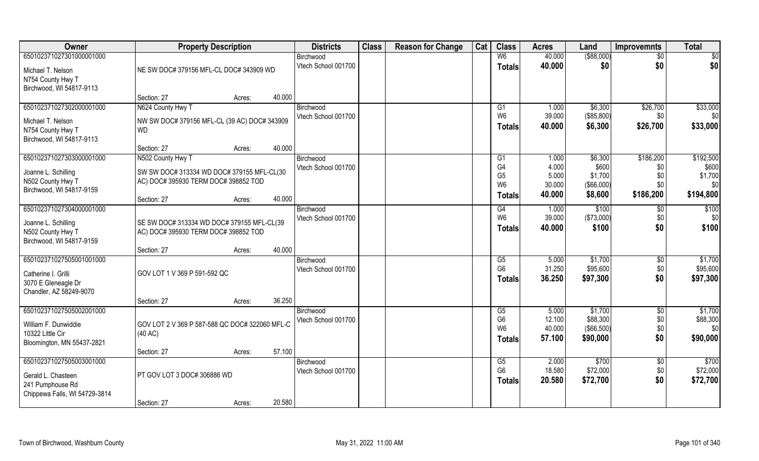| Owner                         | <b>Property Description</b>                    |        | <b>Districts</b>    | <b>Class</b> | <b>Reason for Change</b> | Cat | <b>Class</b>                     | <b>Acres</b>     | Land                   | <b>Improvemnts</b> | <b>Total</b>    |
|-------------------------------|------------------------------------------------|--------|---------------------|--------------|--------------------------|-----|----------------------------------|------------------|------------------------|--------------------|-----------------|
| 650102371027301000001000      |                                                |        | Birchwood           |              |                          |     | W6                               | 40.000           | ( \$88,000)            | \$0                | \$0             |
| Michael T. Nelson             | NE SW DOC# 379156 MFL-CL DOC# 343909 WD        |        | Vtech School 001700 |              |                          |     | <b>Totals</b>                    | 40.000           | \$0                    | \$0                | \$0             |
| N754 County Hwy T             |                                                |        |                     |              |                          |     |                                  |                  |                        |                    |                 |
| Birchwood, WI 54817-9113      |                                                |        |                     |              |                          |     |                                  |                  |                        |                    |                 |
|                               | Section: 27                                    | Acres: | 40.000              |              |                          |     |                                  |                  |                        |                    |                 |
| 650102371027302000001000      | N624 County Hwy T                              |        | Birchwood           |              |                          |     | G1                               | 1.000            | \$6,300                | \$26,700           | \$33,000        |
| Michael T. Nelson             | NW SW DOC# 379156 MFL-CL (39 AC) DOC# 343909   |        | Vtech School 001700 |              |                          |     | W <sub>6</sub>                   | 39.000           | (\$85,800)             | \$0                | \$0             |
| N754 County Hwy T             | <b>WD</b>                                      |        |                     |              |                          |     | <b>Totals</b>                    | 40,000           | \$6,300                | \$26,700           | \$33,000        |
| Birchwood, WI 54817-9113      |                                                |        |                     |              |                          |     |                                  |                  |                        |                    |                 |
|                               | Section: 27                                    | Acres: | 40.000              |              |                          |     |                                  |                  |                        |                    |                 |
| 650102371027303000001000      | N502 County Hwy T                              |        | Birchwood           |              |                          |     | G1                               | 1.000            | \$6,300                | \$186,200          | \$192,500       |
| Joanne L. Schilling           | SW SW DOC# 313334 WD DOC# 379155 MFL-CL(30     |        | Vtech School 001700 |              |                          |     | G4                               | 4.000            | \$600                  | \$0                | \$600           |
| N502 County Hwy T             | AC) DOC# 395930 TERM DOC# 398852 TOD           |        |                     |              |                          |     | G <sub>5</sub><br>W <sub>6</sub> | 5.000<br>30.000  | \$1,700<br>(\$66,000)  | \$0<br>\$0         | \$1,700<br>\$0  |
| Birchwood, WI 54817-9159      |                                                |        |                     |              |                          |     |                                  | 40.000           | \$8,600                | \$186,200          | \$194,800       |
|                               | Section: 27                                    | Acres: | 40.000              |              |                          |     | <b>Totals</b>                    |                  |                        |                    |                 |
| 650102371027304000001000      |                                                |        | Birchwood           |              |                          |     | G4                               | 1.000            | \$100                  | \$0                | \$100           |
| Joanne L. Schilling           | SE SW DOC# 313334 WD DOC# 379155 MFL-CL(39     |        | Vtech School 001700 |              |                          |     | W <sub>6</sub>                   | 39.000           | (\$73,000)             | \$0                | \$0             |
| N502 County Hwy T             | AC) DOC# 395930 TERM DOC# 398852 TOD           |        |                     |              |                          |     | <b>Totals</b>                    | 40.000           | \$100                  | \$0                | \$100           |
| Birchwood, WI 54817-9159      |                                                |        |                     |              |                          |     |                                  |                  |                        |                    |                 |
|                               | Section: 27                                    | Acres: | 40.000              |              |                          |     |                                  |                  |                        |                    |                 |
| 650102371027505001001000      |                                                |        | Birchwood           |              |                          |     | G5                               | 5.000            | \$1,700                | $\sqrt[6]{30}$     | \$1,700         |
| Catherine I. Grilli           | GOV LOT 1 V 369 P 591-592 QC                   |        | Vtech School 001700 |              |                          |     | G <sub>6</sub>                   | 31.250           | \$95,600               | \$0                | \$95,600        |
| 3070 E Gleneagle Dr           |                                                |        |                     |              |                          |     | <b>Totals</b>                    | 36.250           | \$97,300               | \$0                | \$97,300        |
| Chandler, AZ 58249-9070       |                                                |        |                     |              |                          |     |                                  |                  |                        |                    |                 |
|                               | Section: 27                                    | Acres: | 36.250              |              |                          |     |                                  |                  |                        |                    |                 |
| 650102371027505002001000      |                                                |        | Birchwood           |              |                          |     | G5                               | 5.000            | \$1,700                | $\overline{50}$    | \$1,700         |
| William F. Dunwiddie          | GOV LOT 2 V 369 P 587-588 QC DOC# 322060 MFL-C |        | Vtech School 001700 |              |                          |     | G <sub>6</sub><br>W <sub>6</sub> | 12.100<br>40.000 | \$88,300               | \$0\$              | \$88,300<br>\$0 |
| 10322 Little Cir              | (40 AC)                                        |        |                     |              |                          |     |                                  | 57.100           | (\$66,500)<br>\$90,000 | \$0<br>\$0         | \$90,000        |
| Bloomington, MN 55437-2821    |                                                |        |                     |              |                          |     | <b>Totals</b>                    |                  |                        |                    |                 |
|                               | Section: 27                                    | Acres: | 57.100              |              |                          |     |                                  |                  |                        |                    |                 |
| 650102371027505003001000      |                                                |        | Birchwood           |              |                          |     | G5                               | 2.000            | \$700                  | $\overline{60}$    | \$700           |
| Gerald L. Chasteen            | PT GOV LOT 3 DOC# 306886 WD                    |        | Vtech School 001700 |              |                          |     | G <sub>6</sub>                   | 18.580           | \$72,000               | \$0                | \$72,000        |
| 241 Pumphouse Rd              |                                                |        |                     |              |                          |     | <b>Totals</b>                    | 20.580           | \$72,700               | \$0                | \$72,700        |
| Chippewa Falls, WI 54729-3814 |                                                |        |                     |              |                          |     |                                  |                  |                        |                    |                 |
|                               | Section: 27                                    | Acres: | 20.580              |              |                          |     |                                  |                  |                        |                    |                 |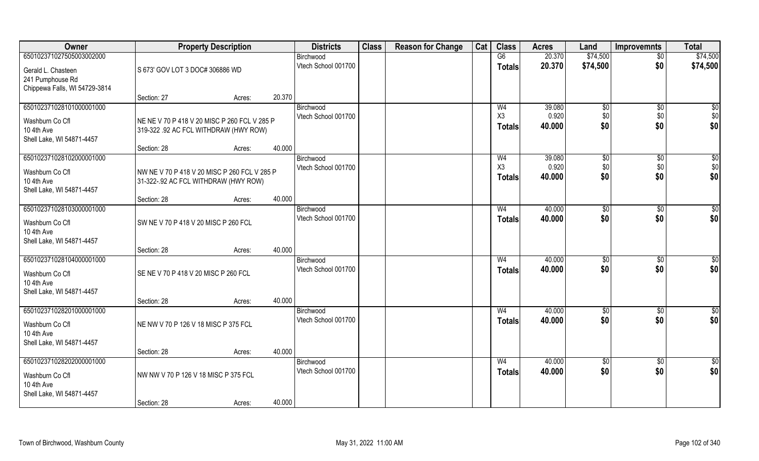| Owner                                             |                                              | <b>Property Description</b> |        | <b>Districts</b>    | <b>Class</b> | <b>Reason for Change</b> | Cat | <b>Class</b>   | <b>Acres</b> | Land          | <b>Improvemnts</b> | <b>Total</b>    |
|---------------------------------------------------|----------------------------------------------|-----------------------------|--------|---------------------|--------------|--------------------------|-----|----------------|--------------|---------------|--------------------|-----------------|
| 650102371027505003002000                          |                                              |                             |        | Birchwood           |              |                          |     | G6             | 20.370       | \$74,500      | $\overline{50}$    | \$74,500        |
| Gerald L. Chasteen                                | S 673' GOV LOT 3 DOC# 306886 WD              |                             |        | Vtech School 001700 |              |                          |     | <b>Totals</b>  | 20.370       | \$74,500      | \$0                | \$74,500        |
| 241 Pumphouse Rd<br>Chippewa Falls, WI 54729-3814 |                                              |                             |        |                     |              |                          |     |                |              |               |                    |                 |
|                                                   | Section: 27                                  | Acres:                      | 20.370 |                     |              |                          |     |                |              |               |                    |                 |
| 650102371028101000001000                          |                                              |                             |        | Birchwood           |              |                          |     | W <sub>4</sub> | 39.080       | $\sqrt[6]{}$  | $\overline{50}$    | $\sqrt{50}$     |
| Washburn Co Cfl                                   | NE NE V 70 P 418 V 20 MISC P 260 FCL V 285 P |                             |        | Vtech School 001700 |              |                          |     | X3             | 0.920        | \$0<br>\$0    | \$0                | $$0$<br>\$0     |
| 10 4th Ave                                        | 319-322 .92 AC FCL WITHDRAW (HWY ROW)        |                             |        |                     |              |                          |     | <b>Totals</b>  | 40.000       |               | \$0                |                 |
| Shell Lake, WI 54871-4457                         |                                              |                             |        |                     |              |                          |     |                |              |               |                    |                 |
| 650102371028102000001000                          | Section: 28                                  | Acres:                      | 40.000 | Birchwood           |              |                          |     | W <sub>4</sub> | 39.080       | \$0           | \$0                | \$0             |
|                                                   |                                              |                             |        | Vtech School 001700 |              |                          |     | X3             | 0.920        | \$0           | \$0                | \$0             |
| Washburn Co Cfl<br>10 4th Ave                     | NW NE V 70 P 418 V 20 MISC P 260 FCL V 285 P |                             |        |                     |              |                          |     | <b>Totals</b>  | 40.000       | \$0           | \$0                | \$0             |
| Shell Lake, WI 54871-4457                         | 31-322-.92 AC FCL WITHDRAW (HWY ROW)         |                             |        |                     |              |                          |     |                |              |               |                    |                 |
|                                                   | Section: 28                                  | Acres:                      | 40.000 |                     |              |                          |     |                |              |               |                    |                 |
| 650102371028103000001000                          |                                              |                             |        | Birchwood           |              |                          |     | W <sub>4</sub> | 40.000       | $\sqrt[6]{3}$ | $\sqrt[6]{30}$     | \$0             |
| Washburn Co Cfl<br>10 4th Ave                     | SW NE V 70 P 418 V 20 MISC P 260 FCL         |                             |        | Vtech School 001700 |              |                          |     | <b>Totals</b>  | 40.000       | \$0           | \$0                | \$0             |
| Shell Lake, WI 54871-4457                         | Section: 28                                  | Acres:                      | 40.000 |                     |              |                          |     |                |              |               |                    |                 |
| 650102371028104000001000                          |                                              |                             |        | Birchwood           |              |                          |     | W <sub>4</sub> | 40.000       | \$0           | $\sqrt[6]{30}$     | \$0             |
| Washburn Co Cfl                                   | SE NE V 70 P 418 V 20 MISC P 260 FCL         |                             |        | Vtech School 001700 |              |                          |     | <b>Totals</b>  | 40.000       | \$0           | \$0                | \$0             |
| 10 4th Ave                                        |                                              |                             |        |                     |              |                          |     |                |              |               |                    |                 |
| Shell Lake, WI 54871-4457                         |                                              |                             |        |                     |              |                          |     |                |              |               |                    |                 |
|                                                   | Section: 28                                  | Acres:                      | 40.000 |                     |              |                          |     |                |              |               |                    |                 |
| 650102371028201000001000                          |                                              |                             |        | Birchwood           |              |                          |     | W <sub>4</sub> | 40.000       | \$0           | \$0                | $\overline{50}$ |
| Washburn Co Cfl                                   | NE NW V 70 P 126 V 18 MISC P 375 FCL         |                             |        | Vtech School 001700 |              |                          |     | <b>Totals</b>  | 40.000       | \$0           | \$0                | \$0             |
| 10 4th Ave                                        |                                              |                             |        |                     |              |                          |     |                |              |               |                    |                 |
| Shell Lake, WI 54871-4457                         | Section: 28                                  | Acres:                      | 40.000 |                     |              |                          |     |                |              |               |                    |                 |
| 650102371028202000001000                          |                                              |                             |        | Birchwood           |              |                          |     | W <sub>4</sub> | 40.000       | \$0           | $\overline{30}$    | \$0             |
|                                                   | NW NW V 70 P 126 V 18 MISC P 375 FCL         |                             |        | Vtech School 001700 |              |                          |     | Totals         | 40.000       | \$0           | \$0                | \$0             |
| Washburn Co Cfl<br>10 4th Ave                     |                                              |                             |        |                     |              |                          |     |                |              |               |                    |                 |
| Shell Lake, WI 54871-4457                         |                                              |                             |        |                     |              |                          |     |                |              |               |                    |                 |
|                                                   | Section: 28                                  | Acres:                      | 40.000 |                     |              |                          |     |                |              |               |                    |                 |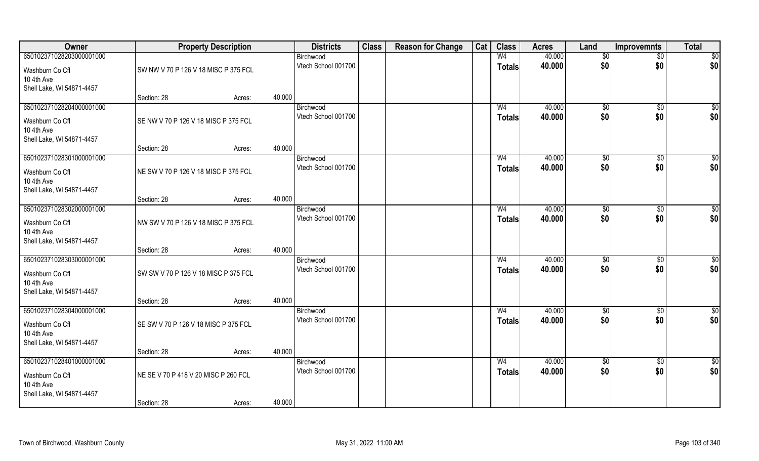| Owner                         |                                      | <b>Property Description</b> |        | <b>Districts</b>                 | <b>Class</b> | <b>Reason for Change</b> | Cat | <b>Class</b>   | <b>Acres</b> | Land            | Improvemnts     | <b>Total</b>    |
|-------------------------------|--------------------------------------|-----------------------------|--------|----------------------------------|--------------|--------------------------|-----|----------------|--------------|-----------------|-----------------|-----------------|
| 650102371028203000001000      |                                      |                             |        | Birchwood                        |              |                          |     | W <sub>4</sub> | 40.000       | \$0             | $\overline{50}$ | $\overline{50}$ |
| Washburn Co Cfl               | SW NW V 70 P 126 V 18 MISC P 375 FCL |                             |        | Vtech School 001700              |              |                          |     | <b>Totals</b>  | 40.000       | \$0             | \$0             | \$0             |
| 10 4th Ave                    |                                      |                             |        |                                  |              |                          |     |                |              |                 |                 |                 |
| Shell Lake, WI 54871-4457     |                                      |                             |        |                                  |              |                          |     |                |              |                 |                 |                 |
|                               | Section: 28                          | Acres:                      | 40.000 |                                  |              |                          |     |                |              |                 |                 |                 |
| 650102371028204000001000      |                                      |                             |        | Birchwood                        |              |                          |     | W <sub>4</sub> | 40.000       | $\sqrt[6]{}$    | $\sqrt{$0}$     | $\sqrt{50}$     |
| Washburn Co Cfl               | SE NW V 70 P 126 V 18 MISC P 375 FCL |                             |        | Vtech School 001700              |              |                          |     | <b>Totals</b>  | 40.000       | \$0             | \$0             | \$0             |
| 10 4th Ave                    |                                      |                             |        |                                  |              |                          |     |                |              |                 |                 |                 |
| Shell Lake, WI 54871-4457     |                                      |                             | 40.000 |                                  |              |                          |     |                |              |                 |                 |                 |
| 650102371028301000001000      | Section: 28                          | Acres:                      |        | Birchwood                        |              |                          |     | W <sub>4</sub> | 40.000       | \$0             | $\sqrt[6]{30}$  | $\sqrt{50}$     |
|                               |                                      |                             |        | Vtech School 001700              |              |                          |     | <b>Totals</b>  | 40.000       | \$0             | \$0             | \$0             |
| Washburn Co Cfl               | NE SW V 70 P 126 V 18 MISC P 375 FCL |                             |        |                                  |              |                          |     |                |              |                 |                 |                 |
| 10 4th Ave                    |                                      |                             |        |                                  |              |                          |     |                |              |                 |                 |                 |
| Shell Lake, WI 54871-4457     | Section: 28                          | Acres:                      | 40.000 |                                  |              |                          |     |                |              |                 |                 |                 |
| 650102371028302000001000      |                                      |                             |        | Birchwood                        |              |                          |     | W <sub>4</sub> | 40.000       | $\frac{1}{20}$  | $\sqrt[6]{3}$   | \$0             |
|                               |                                      |                             |        | Vtech School 001700              |              |                          |     | <b>Totals</b>  | 40.000       | \$0             | \$0             | \$0             |
| Washburn Co Cfl<br>10 4th Ave | NW SW V 70 P 126 V 18 MISC P 375 FCL |                             |        |                                  |              |                          |     |                |              |                 |                 |                 |
| Shell Lake, WI 54871-4457     |                                      |                             |        |                                  |              |                          |     |                |              |                 |                 |                 |
|                               | Section: 28                          | Acres:                      | 40.000 |                                  |              |                          |     |                |              |                 |                 |                 |
| 650102371028303000001000      |                                      |                             |        | Birchwood                        |              |                          |     | W <sub>4</sub> | 40.000       | $\sqrt[6]{3}$   | $\sqrt[6]{3}$   | \$0             |
| Washburn Co Cfl               | SW SW V 70 P 126 V 18 MISC P 375 FCL |                             |        | Vtech School 001700              |              |                          |     | <b>Totals</b>  | 40.000       | \$0             | \$0             | \$0             |
| 10 4th Ave                    |                                      |                             |        |                                  |              |                          |     |                |              |                 |                 |                 |
| Shell Lake, WI 54871-4457     |                                      |                             |        |                                  |              |                          |     |                |              |                 |                 |                 |
|                               | Section: 28                          | Acres:                      | 40.000 |                                  |              |                          |     |                |              |                 |                 |                 |
| 650102371028304000001000      |                                      |                             |        | Birchwood                        |              |                          |     | W <sub>4</sub> | 40.000       | \$0             | \$0             | $\frac{6}{3}$   |
| Washburn Co Cfl               | SE SW V 70 P 126 V 18 MISC P 375 FCL |                             |        | Vtech School 001700              |              |                          |     | <b>Totals</b>  | 40.000       | \$0             | \$0             | \$0             |
| 10 4th Ave                    |                                      |                             |        |                                  |              |                          |     |                |              |                 |                 |                 |
| Shell Lake, WI 54871-4457     |                                      |                             |        |                                  |              |                          |     |                |              |                 |                 |                 |
|                               | Section: 28                          | Acres:                      | 40.000 |                                  |              |                          |     |                |              |                 |                 |                 |
| 650102371028401000001000      |                                      |                             |        | Birchwood<br>Vtech School 001700 |              |                          |     | W <sub>4</sub> | 40.000       | $\overline{50}$ | $\sqrt{$0}$     | \$0             |
| Washburn Co Cfl               | NE SE V 70 P 418 V 20 MISC P 260 FCL |                             |        |                                  |              |                          |     | <b>Totals</b>  | 40.000       | \$0             | \$0             | \$0             |
| 10 4th Ave                    |                                      |                             |        |                                  |              |                          |     |                |              |                 |                 |                 |
| Shell Lake, WI 54871-4457     |                                      |                             |        |                                  |              |                          |     |                |              |                 |                 |                 |
|                               | Section: 28                          | Acres:                      | 40.000 |                                  |              |                          |     |                |              |                 |                 |                 |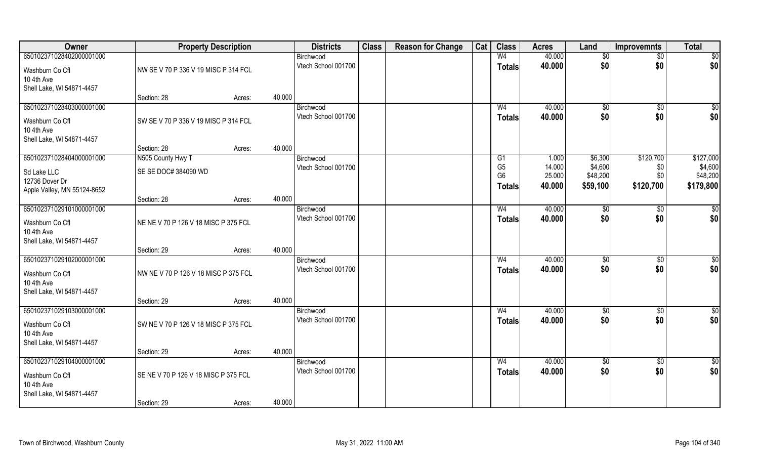| Owner                                   | <b>Property Description</b>          |        |        | <b>Districts</b>                 | <b>Class</b> | <b>Reason for Change</b> | Cat | <b>Class</b>         | <b>Acres</b>     | Land               | <b>Improvemnts</b> | <b>Total</b>         |
|-----------------------------------------|--------------------------------------|--------|--------|----------------------------------|--------------|--------------------------|-----|----------------------|------------------|--------------------|--------------------|----------------------|
| 650102371028402000001000                |                                      |        |        | Birchwood                        |              |                          |     | W <sub>4</sub>       | 40.000           | \$0                | $\sqrt{$0}$        | \$0                  |
| Washburn Co Cfl                         | NW SE V 70 P 336 V 19 MISC P 314 FCL |        |        | Vtech School 001700              |              |                          |     | <b>Totals</b>        | 40.000           | \$0                | \$0                | \$0                  |
| 10 4th Ave                              |                                      |        |        |                                  |              |                          |     |                      |                  |                    |                    |                      |
| Shell Lake, WI 54871-4457               |                                      |        |        |                                  |              |                          |     |                      |                  |                    |                    |                      |
|                                         | Section: 28                          | Acres: | 40.000 |                                  |              |                          |     |                      |                  |                    |                    |                      |
| 650102371028403000001000                |                                      |        |        | Birchwood                        |              |                          |     | W <sub>4</sub>       | 40.000           | $\sqrt[6]{}$       | $\sqrt{$0}$        | \$0                  |
| Washburn Co Cfl                         | SW SE V 70 P 336 V 19 MISC P 314 FCL |        |        | Vtech School 001700              |              |                          |     | Totals               | 40.000           | \$0                | \$0                | \$0                  |
| 10 4th Ave                              |                                      |        |        |                                  |              |                          |     |                      |                  |                    |                    |                      |
| Shell Lake, WI 54871-4457               |                                      |        |        |                                  |              |                          |     |                      |                  |                    |                    |                      |
|                                         | Section: 28                          | Acres: | 40.000 |                                  |              |                          |     |                      |                  |                    |                    |                      |
| 650102371028404000001000                | N505 County Hwy T                    |        |        | Birchwood                        |              |                          |     | G1<br>G <sub>5</sub> | 1.000<br>14.000  | \$6,300<br>\$4,600 | \$120,700          | \$127,000<br>\$4,600 |
| Sd Lake LLC                             | SE SE DOC# 384090 WD                 |        |        | Vtech School 001700              |              |                          |     | G <sub>6</sub>       | 25.000           | \$48,200           | \$0<br>\$0         | \$48,200             |
| 12736 Dover Dr                          |                                      |        |        |                                  |              |                          |     | Totals               | 40.000           | \$59,100           | \$120,700          | \$179,800            |
| Apple Valley, MN 55124-8652             |                                      |        |        |                                  |              |                          |     |                      |                  |                    |                    |                      |
|                                         | Section: 28                          | Acres: | 40.000 |                                  |              |                          |     |                      |                  |                    |                    |                      |
| 650102371029101000001000                |                                      |        |        | Birchwood<br>Vtech School 001700 |              |                          |     | W <sub>4</sub>       | 40.000<br>40.000 | \$0<br>\$0         | \$0<br>\$0         | \$0                  |
| Washburn Co Cfl                         | NE NE V 70 P 126 V 18 MISC P 375 FCL |        |        |                                  |              |                          |     | <b>Totals</b>        |                  |                    |                    | \$0                  |
| 10 4th Ave                              |                                      |        |        |                                  |              |                          |     |                      |                  |                    |                    |                      |
| Shell Lake, WI 54871-4457               | Section: 29                          |        | 40.000 |                                  |              |                          |     |                      |                  |                    |                    |                      |
| 650102371029102000001000                |                                      | Acres: |        | Birchwood                        |              |                          |     | W <sub>4</sub>       | 40.000           | \$0                | $\overline{50}$    | $\sqrt{50}$          |
|                                         |                                      |        |        | Vtech School 001700              |              |                          |     | <b>Totals</b>        | 40.000           | \$0                | \$0                | \$0                  |
| Washburn Co Cfl                         | NW NE V 70 P 126 V 18 MISC P 375 FCL |        |        |                                  |              |                          |     |                      |                  |                    |                    |                      |
| 10 4th Ave<br>Shell Lake, WI 54871-4457 |                                      |        |        |                                  |              |                          |     |                      |                  |                    |                    |                      |
|                                         | Section: 29                          | Acres: | 40.000 |                                  |              |                          |     |                      |                  |                    |                    |                      |
| 650102371029103000001000                |                                      |        |        | Birchwood                        |              |                          |     | W <sub>4</sub>       | 40.000           | \$0                | $\sqrt{$0}$        | \$0                  |
|                                         |                                      |        |        | Vtech School 001700              |              |                          |     | <b>Totals</b>        | 40.000           | \$0                | \$0                | \$0                  |
| Washburn Co Cfl<br>10 4th Ave           | SW NE V 70 P 126 V 18 MISC P 375 FCL |        |        |                                  |              |                          |     |                      |                  |                    |                    |                      |
| Shell Lake, WI 54871-4457               |                                      |        |        |                                  |              |                          |     |                      |                  |                    |                    |                      |
|                                         | Section: 29                          | Acres: | 40.000 |                                  |              |                          |     |                      |                  |                    |                    |                      |
| 650102371029104000001000                |                                      |        |        | Birchwood                        |              |                          |     | W <sub>4</sub>       | 40.000           | $\sqrt{6}$         | $\sqrt{$0}$        | $\overline{50}$      |
|                                         | SE NE V 70 P 126 V 18 MISC P 375 FCL |        |        | Vtech School 001700              |              |                          |     | <b>Totals</b>        | 40.000           | \$0                | \$0                | \$0                  |
| Washburn Co Cfl<br>10 4th Ave           |                                      |        |        |                                  |              |                          |     |                      |                  |                    |                    |                      |
| Shell Lake, WI 54871-4457               |                                      |        |        |                                  |              |                          |     |                      |                  |                    |                    |                      |
|                                         | Section: 29                          | Acres: | 40.000 |                                  |              |                          |     |                      |                  |                    |                    |                      |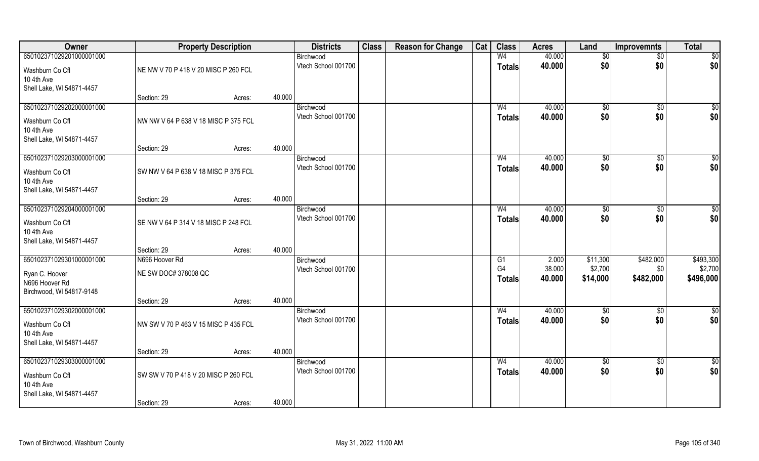| Owner                                   | <b>Property Description</b>          |        |        | <b>Districts</b>                 | <b>Class</b> | <b>Reason for Change</b> | Cat | <b>Class</b>   | <b>Acres</b>     | Land        | <b>Improvemnts</b>   | <b>Total</b>       |
|-----------------------------------------|--------------------------------------|--------|--------|----------------------------------|--------------|--------------------------|-----|----------------|------------------|-------------|----------------------|--------------------|
| 650102371029201000001000                |                                      |        |        | Birchwood                        |              |                          |     | W <sub>4</sub> | 40.000           | $\sqrt{6}$  | $\sqrt{$0}$          | \$0                |
| Washburn Co Cfl                         | NE NW V 70 P 418 V 20 MISC P 260 FCL |        |        | Vtech School 001700              |              |                          |     | <b>Totals</b>  | 40.000           | \$0         | \$0                  | \$0                |
| 10 4th Ave                              |                                      |        |        |                                  |              |                          |     |                |                  |             |                      |                    |
| Shell Lake, WI 54871-4457               |                                      |        | 40.000 |                                  |              |                          |     |                |                  |             |                      |                    |
| 650102371029202000001000                | Section: 29                          | Acres: |        | Birchwood                        |              |                          |     | W <sub>4</sub> | 40.000           | $\sqrt{50}$ | \$0                  | $\overline{50}$    |
|                                         |                                      |        |        | Vtech School 001700              |              |                          |     | <b>Totals</b>  | 40.000           | \$0         | \$0                  | \$0                |
| Washburn Co Cfl<br>10 4th Ave           | NW NW V 64 P 638 V 18 MISC P 375 FCL |        |        |                                  |              |                          |     |                |                  |             |                      |                    |
| Shell Lake, WI 54871-4457               |                                      |        |        |                                  |              |                          |     |                |                  |             |                      |                    |
|                                         | Section: 29                          | Acres: | 40.000 |                                  |              |                          |     |                |                  |             |                      |                    |
| 650102371029203000001000                |                                      |        |        | Birchwood                        |              |                          |     | W <sub>4</sub> | 40.000           | \$0         | $\overline{50}$      | $\sqrt{50}$        |
| Washburn Co Cfl                         | SW NW V 64 P 638 V 18 MISC P 375 FCL |        |        | Vtech School 001700              |              |                          |     | <b>Totals</b>  | 40.000           | \$0         | \$0                  | \$0                |
| 10 4th Ave                              |                                      |        |        |                                  |              |                          |     |                |                  |             |                      |                    |
| Shell Lake, WI 54871-4457               |                                      |        |        |                                  |              |                          |     |                |                  |             |                      |                    |
|                                         | Section: 29                          | Acres: | 40.000 |                                  |              |                          |     |                |                  |             |                      |                    |
| 650102371029204000001000                |                                      |        |        | Birchwood<br>Vtech School 001700 |              |                          |     | W <sub>4</sub> | 40.000<br>40.000 | \$0<br>\$0  | $\sqrt[6]{3}$<br>\$0 | $\sqrt{50}$<br>\$0 |
| Washburn Co Cfl                         | SE NW V 64 P 314 V 18 MISC P 248 FCL |        |        |                                  |              |                          |     | <b>Totals</b>  |                  |             |                      |                    |
| 10 4th Ave<br>Shell Lake, WI 54871-4457 |                                      |        |        |                                  |              |                          |     |                |                  |             |                      |                    |
|                                         | Section: 29                          | Acres: | 40.000 |                                  |              |                          |     |                |                  |             |                      |                    |
| 650102371029301000001000                | N696 Hoover Rd                       |        |        | Birchwood                        |              |                          |     | G1             | 2.000            | \$11,300    | \$482,000            | \$493,300          |
| Ryan C. Hoover                          | NE SW DOC# 378008 QC                 |        |        | Vtech School 001700              |              |                          |     | G <sub>4</sub> | 38.000           | \$2,700     | \$0                  | \$2,700            |
| N696 Hoover Rd                          |                                      |        |        |                                  |              |                          |     | <b>Totals</b>  | 40.000           | \$14,000    | \$482,000            | \$496,000          |
| Birchwood, WI 54817-9148                |                                      |        |        |                                  |              |                          |     |                |                  |             |                      |                    |
|                                         | Section: 29                          | Acres: | 40.000 |                                  |              |                          |     |                |                  |             |                      |                    |
| 650102371029302000001000                |                                      |        |        | Birchwood                        |              |                          |     | W <sub>4</sub> | 40.000           | \$0         | \$0                  | \$0                |
| Washburn Co Cfl                         | NW SW V 70 P 463 V 15 MISC P 435 FCL |        |        | Vtech School 001700              |              |                          |     | <b>Totals</b>  | 40.000           | \$0         | \$0                  | \$0                |
| 10 4th Ave                              |                                      |        |        |                                  |              |                          |     |                |                  |             |                      |                    |
| Shell Lake, WI 54871-4457               |                                      |        |        |                                  |              |                          |     |                |                  |             |                      |                    |
| 650102371029303000001000                | Section: 29                          | Acres: | 40.000 | Birchwood                        |              |                          |     | W <sub>4</sub> | 40.000           | $\sqrt{6}$  | $\sqrt{$0}$          | $\overline{50}$    |
|                                         |                                      |        |        | Vtech School 001700              |              |                          |     | <b>Totals</b>  | 40.000           | \$0         | \$0                  | \$0                |
| Washburn Co Cfl<br>10 4th Ave           | SW SW V 70 P 418 V 20 MISC P 260 FCL |        |        |                                  |              |                          |     |                |                  |             |                      |                    |
| Shell Lake, WI 54871-4457               |                                      |        |        |                                  |              |                          |     |                |                  |             |                      |                    |
|                                         | Section: 29                          | Acres: | 40.000 |                                  |              |                          |     |                |                  |             |                      |                    |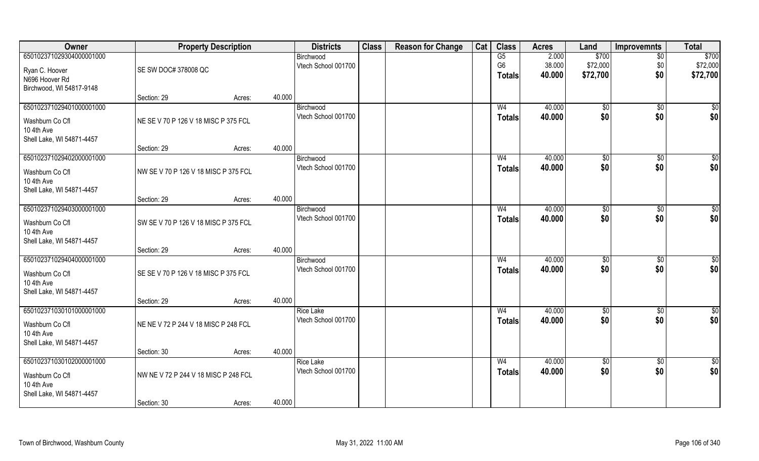| Owner                         |                                      | <b>Property Description</b> |        | <b>Districts</b>                        | <b>Class</b> | <b>Reason for Change</b> | Cat | <b>Class</b>   | <b>Acres</b>     | Land                   | <b>Improvemnts</b> | <b>Total</b> |
|-------------------------------|--------------------------------------|-----------------------------|--------|-----------------------------------------|--------------|--------------------------|-----|----------------|------------------|------------------------|--------------------|--------------|
| 650102371029304000001000      |                                      |                             |        | Birchwood                               |              |                          |     | G5             | 2.000            | \$700                  | $\overline{50}$    | \$700        |
| Ryan C. Hoover                | SE SW DOC# 378008 QC                 |                             |        | Vtech School 001700                     |              |                          |     | G <sub>6</sub> | 38.000           | \$72,000               | \$0                | \$72,000     |
| N696 Hoover Rd                |                                      |                             |        |                                         |              |                          |     | <b>Totals</b>  | 40.000           | \$72,700               | \$0                | \$72,700     |
| Birchwood, WI 54817-9148      |                                      |                             |        |                                         |              |                          |     |                |                  |                        |                    |              |
|                               | Section: 29                          | Acres:                      | 40.000 |                                         |              |                          |     |                |                  |                        |                    |              |
| 650102371029401000001000      |                                      |                             |        | Birchwood                               |              |                          |     | W <sub>4</sub> | 40.000           | $\sqrt[6]{}$           | $\sqrt{$0}$        | \$0          |
| Washburn Co Cfl               | NE SE V 70 P 126 V 18 MISC P 375 FCL |                             |        | Vtech School 001700                     |              |                          |     | <b>Totals</b>  | 40.000           | \$0                    | \$0                | \$0          |
| 10 4th Ave                    |                                      |                             |        |                                         |              |                          |     |                |                  |                        |                    |              |
| Shell Lake, WI 54871-4457     |                                      |                             | 40.000 |                                         |              |                          |     |                |                  |                        |                    |              |
| 650102371029402000001000      | Section: 29                          | Acres:                      |        | Birchwood                               |              |                          |     | W <sub>4</sub> | 40.000           | \$0                    | $\sqrt[6]{30}$     | $\sqrt{50}$  |
|                               |                                      |                             |        | Vtech School 001700                     |              |                          |     | <b>Totals</b>  | 40.000           | \$0                    | \$0                | \$0          |
| Washburn Co Cfl               | NW SE V 70 P 126 V 18 MISC P 375 FCL |                             |        |                                         |              |                          |     |                |                  |                        |                    |              |
| 10 4th Ave                    |                                      |                             |        |                                         |              |                          |     |                |                  |                        |                    |              |
| Shell Lake, WI 54871-4457     | Section: 29                          | Acres:                      | 40.000 |                                         |              |                          |     |                |                  |                        |                    |              |
| 650102371029403000001000      |                                      |                             |        | Birchwood                               |              |                          |     | W <sub>4</sub> | 40.000           | $\frac{1}{20}$         | $\sqrt[6]{3}$      | \$0          |
|                               | SW SE V 70 P 126 V 18 MISC P 375 FCL |                             |        | Vtech School 001700                     |              |                          |     | <b>Totals</b>  | 40.000           | \$0                    | \$0                | \$0          |
| Washburn Co Cfl<br>10 4th Ave |                                      |                             |        |                                         |              |                          |     |                |                  |                        |                    |              |
| Shell Lake, WI 54871-4457     |                                      |                             |        |                                         |              |                          |     |                |                  |                        |                    |              |
|                               | Section: 29                          | Acres:                      | 40.000 |                                         |              |                          |     |                |                  |                        |                    |              |
| 650102371029404000001000      |                                      |                             |        | Birchwood                               |              |                          |     | W <sub>4</sub> | 40.000           | $\sqrt[6]{3}$          | $\sqrt[6]{3}$      | \$0          |
| Washburn Co Cfl               | SE SE V 70 P 126 V 18 MISC P 375 FCL |                             |        | Vtech School 001700                     |              |                          |     | <b>Totals</b>  | 40.000           | \$0                    | \$0                | \$0          |
| 10 4th Ave                    |                                      |                             |        |                                         |              |                          |     |                |                  |                        |                    |              |
| Shell Lake, WI 54871-4457     |                                      |                             |        |                                         |              |                          |     |                |                  |                        |                    |              |
|                               | Section: 29                          | Acres:                      | 40.000 |                                         |              |                          |     |                |                  |                        |                    |              |
| 650102371030101000001000      |                                      |                             |        | <b>Rice Lake</b>                        |              |                          |     | W <sub>4</sub> | 40.000           | \$0                    | \$0                | \$0          |
| Washburn Co Cfl               | NE NE V 72 P 244 V 18 MISC P 248 FCL |                             |        | Vtech School 001700                     |              |                          |     | <b>Totals</b>  | 40.000           | \$0                    | \$0                | \$0          |
| 10 4th Ave                    |                                      |                             |        |                                         |              |                          |     |                |                  |                        |                    |              |
| Shell Lake, WI 54871-4457     |                                      |                             |        |                                         |              |                          |     |                |                  |                        |                    |              |
|                               | Section: 30                          | Acres:                      | 40.000 |                                         |              |                          |     |                |                  |                        |                    |              |
| 650102371030102000001000      |                                      |                             |        | <b>Rice Lake</b><br>Vtech School 001700 |              |                          |     | W <sub>4</sub> | 40.000<br>40.000 | $\overline{50}$<br>\$0 | $\sqrt{$0}$<br>\$0 | \$0<br>\$0   |
| Washburn Co Cfl               | NW NE V 72 P 244 V 18 MISC P 248 FCL |                             |        |                                         |              |                          |     | <b>Totals</b>  |                  |                        |                    |              |
| 10 4th Ave                    |                                      |                             |        |                                         |              |                          |     |                |                  |                        |                    |              |
| Shell Lake, WI 54871-4457     | Section: 30                          | Acres:                      | 40.000 |                                         |              |                          |     |                |                  |                        |                    |              |
|                               |                                      |                             |        |                                         |              |                          |     |                |                  |                        |                    |              |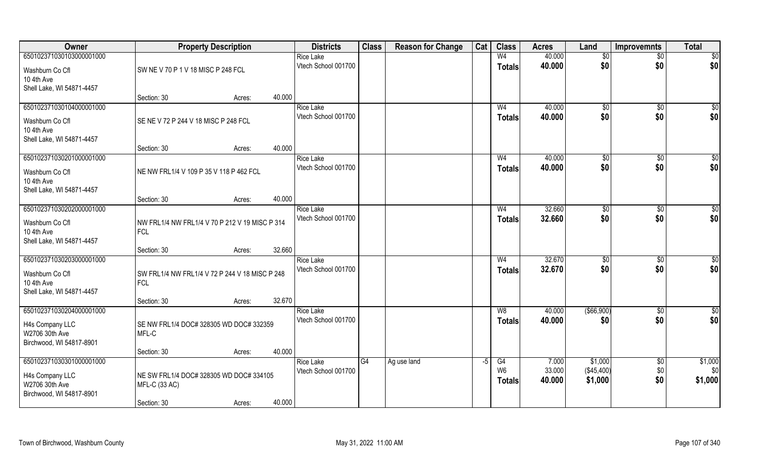| Owner                                                         | <b>Property Description</b>                                  |        |        | <b>Districts</b>    | <b>Class</b> | <b>Reason for Change</b> | Cat  | <b>Class</b>                    | <b>Acres</b>     | Land                  | <b>Improvemnts</b> | <b>Total</b>    |
|---------------------------------------------------------------|--------------------------------------------------------------|--------|--------|---------------------|--------------|--------------------------|------|---------------------------------|------------------|-----------------------|--------------------|-----------------|
| 650102371030103000001000                                      |                                                              |        |        | <b>Rice Lake</b>    |              |                          |      | W <sub>4</sub>                  | 40.000           | $\sqrt{6}$            | $\overline{50}$    | $\overline{50}$ |
| Washburn Co Cfl<br>10 4th Ave                                 | SW NE V 70 P 1 V 18 MISC P 248 FCL                           |        |        | Vtech School 001700 |              |                          |      | <b>Totals</b>                   | 40.000           | \$0                   | \$0                | \$0             |
| Shell Lake, WI 54871-4457                                     |                                                              |        |        |                     |              |                          |      |                                 |                  |                       |                    |                 |
|                                                               | Section: 30                                                  | Acres: | 40.000 |                     |              |                          |      |                                 |                  |                       |                    |                 |
| 650102371030104000001000                                      |                                                              |        |        | <b>Rice Lake</b>    |              |                          |      | W <sub>4</sub>                  | 40.000           | \$0                   | \$0                | $\sqrt{50}$     |
| Washburn Co Cfl                                               | SE NE V 72 P 244 V 18 MISC P 248 FCL                         |        |        | Vtech School 001700 |              |                          |      | <b>Totals</b>                   | 40.000           | \$0                   | \$0                | \$0             |
| 10 4th Ave                                                    |                                                              |        |        |                     |              |                          |      |                                 |                  |                       |                    |                 |
| Shell Lake, WI 54871-4457                                     |                                                              |        |        |                     |              |                          |      |                                 |                  |                       |                    |                 |
|                                                               | Section: 30                                                  | Acres: | 40.000 |                     |              |                          |      |                                 |                  |                       |                    |                 |
| 650102371030201000001000                                      |                                                              |        |        | <b>Rice Lake</b>    |              |                          |      | W <sub>4</sub>                  | 40.000           | \$0                   | \$0                | \$0             |
| Washburn Co Cfl                                               | NE NW FRL1/4 V 109 P 35 V 118 P 462 FCL                      |        |        | Vtech School 001700 |              |                          |      | <b>Totals</b>                   | 40.000           | \$0                   | \$0                | \$0             |
| 10 4th Ave                                                    |                                                              |        |        |                     |              |                          |      |                                 |                  |                       |                    |                 |
| Shell Lake, WI 54871-4457                                     |                                                              |        |        |                     |              |                          |      |                                 |                  |                       |                    |                 |
|                                                               | Section: 30                                                  | Acres: | 40.000 |                     |              |                          |      |                                 |                  |                       |                    |                 |
| 650102371030202000001000                                      |                                                              |        |        | <b>Rice Lake</b>    |              |                          |      | W4                              | 32.660           | $\sqrt[6]{3}$         | \$0                | \$0             |
| Washburn Co Cfl<br>10 4th Ave<br>Shell Lake, WI 54871-4457    | NW FRL1/4 NW FRL1/4 V 70 P 212 V 19 MISC P 314<br><b>FCL</b> |        |        | Vtech School 001700 |              |                          |      | <b>Totals</b>                   | 32.660           | \$0                   | \$0                | \$0             |
|                                                               | Section: 30                                                  | Acres: | 32.660 |                     |              |                          |      |                                 |                  |                       |                    |                 |
| 650102371030203000001000                                      |                                                              |        |        | <b>Rice Lake</b>    |              |                          |      | W <sub>4</sub>                  | 32.670           | \$0                   | \$0                | $\overline{50}$ |
|                                                               |                                                              |        |        | Vtech School 001700 |              |                          |      | <b>Totals</b>                   | 32.670           | \$0                   | \$0                | \$0             |
| Washburn Co Cfl<br>10 4th Ave                                 | SW FRL1/4 NW FRL1/4 V 72 P 244 V 18 MISC P 248<br><b>FCL</b> |        |        |                     |              |                          |      |                                 |                  |                       |                    |                 |
| Shell Lake, WI 54871-4457                                     |                                                              |        |        |                     |              |                          |      |                                 |                  |                       |                    |                 |
|                                                               | Section: 30                                                  | Acres: | 32.670 |                     |              |                          |      |                                 |                  |                       |                    |                 |
| 650102371030204000001000                                      |                                                              |        |        | <b>Rice Lake</b>    |              |                          |      | W8                              | 40.000           | (\$66,900)            | \$0                | \$0             |
| H4s Company LLC<br>W2706 30th Ave<br>Birchwood, WI 54817-8901 | SE NW FRL1/4 DOC# 328305 WD DOC# 332359<br>MFL-C             |        |        | Vtech School 001700 |              |                          |      | <b>Totals</b>                   | 40.000           | \$0                   | \$0                | \$0             |
|                                                               | Section: 30                                                  | Acres: | 40.000 |                     |              |                          |      |                                 |                  |                       |                    |                 |
| 650102371030301000001000                                      |                                                              |        |        | <b>Rice Lake</b>    | G4           | Ag use land              | $-5$ | G4                              | 7.000            | \$1,000               | \$0                | \$1,000         |
| H4s Company LLC<br>W2706 30th Ave<br>Birchwood, WI 54817-8901 | NE SW FRL1/4 DOC# 328305 WD DOC# 334105<br>MFL-C (33 AC)     |        |        | Vtech School 001700 |              |                          |      | W <sub>6</sub><br><b>Totals</b> | 33.000<br>40.000 | (\$45,400)<br>\$1,000 | \$0<br>\$0         | \$0<br>\$1,000  |
|                                                               | Section: 30                                                  | Acres: | 40.000 |                     |              |                          |      |                                 |                  |                       |                    |                 |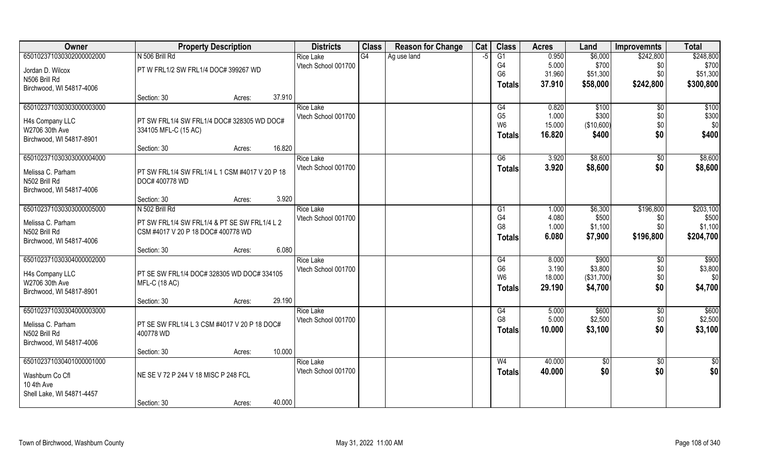| Owner                     | <b>Property Description</b>                    |                  | <b>Districts</b>    | <b>Class</b>    | <b>Reason for Change</b> | Cat | <b>Class</b>    | <b>Acres</b> | Land       | <b>Improvemnts</b> | <b>Total</b> |
|---------------------------|------------------------------------------------|------------------|---------------------|-----------------|--------------------------|-----|-----------------|--------------|------------|--------------------|--------------|
| 650102371030302000002000  | N 506 Brill Rd                                 |                  | <b>Rice Lake</b>    | $\overline{G4}$ | Ag use land              | -5  | $\overline{G1}$ | 0.950        | \$6,000    | \$242,800          | \$248,800    |
| Jordan D. Wilcox          | PT W FRL1/2 SW FRL1/4 DOC# 399267 WD           |                  | Vtech School 001700 |                 |                          |     | G4              | 5.000        | \$700      | \$0                | \$700        |
| N506 Brill Rd             |                                                |                  |                     |                 |                          |     | G <sub>6</sub>  | 31.960       | \$51,300   | \$0                | \$51,300     |
| Birchwood, WI 54817-4006  |                                                |                  |                     |                 |                          |     | Totals          | 37.910       | \$58,000   | \$242,800          | \$300,800    |
|                           | Section: 30                                    | 37.910<br>Acres: |                     |                 |                          |     |                 |              |            |                    |              |
| 650102371030303000003000  |                                                |                  | <b>Rice Lake</b>    |                 |                          |     | G4              | 0.820        | \$100      | \$0                | \$100        |
| H4s Company LLC           | PT SW FRL1/4 SW FRL1/4 DOC# 328305 WD DOC#     |                  | Vtech School 001700 |                 |                          |     | G <sub>5</sub>  | 1.000        | \$300      | \$0                | \$300        |
| W2706 30th Ave            | 334105 MFL-C (15 AC)                           |                  |                     |                 |                          |     | W <sub>6</sub>  | 15.000       | (\$10,600) | \$0                | \$0          |
| Birchwood, WI 54817-8901  |                                                |                  |                     |                 |                          |     | <b>Totals</b>   | 16.820       | \$400      | \$0                | \$400        |
|                           | Section: 30                                    | 16.820<br>Acres: |                     |                 |                          |     |                 |              |            |                    |              |
| 650102371030303000004000  |                                                |                  | <b>Rice Lake</b>    |                 |                          |     | G6              | 3.920        | \$8,600    | $\sqrt[6]{30}$     | \$8,600      |
| Melissa C. Parham         | PT SW FRL1/4 SW FRL1/4 L 1 CSM #4017 V 20 P 18 |                  | Vtech School 001700 |                 |                          |     | <b>Totals</b>   | 3.920        | \$8,600    | \$0                | \$8,600      |
| N502 Brill Rd             | DOC# 400778 WD                                 |                  |                     |                 |                          |     |                 |              |            |                    |              |
| Birchwood, WI 54817-4006  |                                                |                  |                     |                 |                          |     |                 |              |            |                    |              |
|                           | Section: 30                                    | 3.920<br>Acres:  |                     |                 |                          |     |                 |              |            |                    |              |
| 650102371030303000005000  | N 502 Brill Rd                                 |                  | <b>Rice Lake</b>    |                 |                          |     | G1              | 1.000        | \$6,300    | \$196,800          | \$203,100    |
| Melissa C. Parham         | PT SW FRL1/4 SW FRL1/4 & PT SE SW FRL1/4 L 2   |                  | Vtech School 001700 |                 |                          |     | G4              | 4.080        | \$500      | \$0                | \$500        |
| N502 Brill Rd             | CSM #4017 V 20 P 18 DOC# 400778 WD             |                  |                     |                 |                          |     | G <sub>8</sub>  | 1.000        | \$1,100    | \$0\$              | \$1,100      |
| Birchwood, WI 54817-4006  |                                                |                  |                     |                 |                          |     | <b>Totals</b>   | 6.080        | \$7,900    | \$196,800          | \$204,700    |
|                           | Section: 30                                    | 6.080<br>Acres:  |                     |                 |                          |     |                 |              |            |                    |              |
| 650102371030304000002000  |                                                |                  | <b>Rice Lake</b>    |                 |                          |     | G4              | 8.000        | \$900      | \$0                | \$900        |
| H4s Company LLC           | PT SE SW FRL1/4 DOC# 328305 WD DOC# 334105     |                  | Vtech School 001700 |                 |                          |     | G <sub>6</sub>  | 3.190        | \$3,800    | \$0                | \$3,800      |
| W2706 30th Ave            | <b>MFL-C (18 AC)</b>                           |                  |                     |                 |                          |     | W <sub>6</sub>  | 18.000       | (\$31,700) | \$0                | \$0          |
| Birchwood, WI 54817-8901  |                                                |                  |                     |                 |                          |     | <b>Totals</b>   | 29.190       | \$4,700    | \$0                | \$4,700      |
|                           | Section: 30                                    | 29.190<br>Acres: |                     |                 |                          |     |                 |              |            |                    |              |
| 650102371030304000003000  |                                                |                  | <b>Rice Lake</b>    |                 |                          |     | G4              | 5.000        | \$600      | \$0                | \$600        |
| Melissa C. Parham         | PT SE SW FRL1/4 L 3 CSM #4017 V 20 P 18 DOC#   |                  | Vtech School 001700 |                 |                          |     | G <sub>8</sub>  | 5.000        | \$2,500    | \$0                | \$2,500      |
| N502 Brill Rd             | 400778 WD                                      |                  |                     |                 |                          |     | <b>Totals</b>   | 10.000       | \$3,100    | \$0                | \$3,100      |
| Birchwood, WI 54817-4006  |                                                |                  |                     |                 |                          |     |                 |              |            |                    |              |
|                           | Section: 30                                    | 10.000<br>Acres: |                     |                 |                          |     |                 |              |            |                    |              |
| 650102371030401000001000  |                                                |                  | <b>Rice Lake</b>    |                 |                          |     | W <sub>4</sub>  | 40.000       | \$0        | $\sqrt{$0}$        | \$0          |
| Washburn Co Cfl           | NE SE V 72 P 244 V 18 MISC P 248 FCL           |                  | Vtech School 001700 |                 |                          |     | <b>Totals</b>   | 40.000       | \$0        | \$0                | \$0          |
| 10 4th Ave                |                                                |                  |                     |                 |                          |     |                 |              |            |                    |              |
| Shell Lake, WI 54871-4457 |                                                |                  |                     |                 |                          |     |                 |              |            |                    |              |
|                           | Section: 30                                    | 40.000<br>Acres: |                     |                 |                          |     |                 |              |            |                    |              |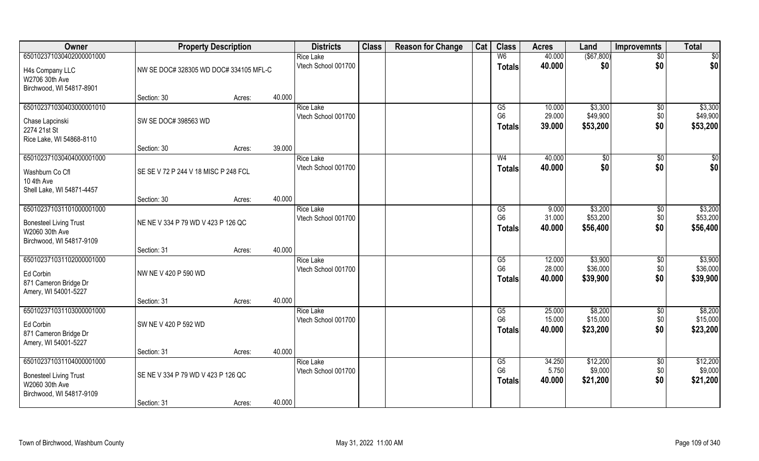| Owner                                                                                                   | <b>Property Description</b>            |        |        | <b>Districts</b>                        | <b>Class</b> | <b>Reason for Change</b> | Cat | <b>Class</b>                                      | <b>Acres</b>               | Land                            | <b>Improvemnts</b>            | <b>Total</b>                    |
|---------------------------------------------------------------------------------------------------------|----------------------------------------|--------|--------|-----------------------------------------|--------------|--------------------------|-----|---------------------------------------------------|----------------------------|---------------------------------|-------------------------------|---------------------------------|
| 650102371030402000001000<br>H4s Company LLC<br>W2706 30th Ave                                           | NW SE DOC# 328305 WD DOC# 334105 MFL-C |        |        | <b>Rice Lake</b><br>Vtech School 001700 |              |                          |     | W <sub>6</sub><br><b>Totals</b>                   | 40.000<br>40.000           | $($ \$67,800)<br>\$0            | $\overline{50}$<br>\$0        | \$0<br>\$0                      |
| Birchwood, WI 54817-8901                                                                                | Section: 30                            | Acres: | 40.000 |                                         |              |                          |     |                                                   |                            |                                 |                               |                                 |
| 650102371030403000001010<br>Chase Lapcinski<br>2274 21st St<br>Rice Lake, WI 54868-8110                 | SW SE DOC# 398563 WD                   |        |        | <b>Rice Lake</b><br>Vtech School 001700 |              |                          |     | G5<br>G <sub>6</sub><br>Totals                    | 10.000<br>29.000<br>39.000 | \$3,300<br>\$49,900<br>\$53,200 | $\overline{50}$<br>\$0<br>\$0 | \$3,300<br>\$49,900<br>\$53,200 |
|                                                                                                         | Section: 30                            | Acres: | 39.000 |                                         |              |                          |     |                                                   |                            |                                 |                               |                                 |
| 650102371030404000001000<br>Washburn Co Cfl<br>10 4th Ave<br>Shell Lake, WI 54871-4457                  | SE SE V 72 P 244 V 18 MISC P 248 FCL   |        |        | <b>Rice Lake</b><br>Vtech School 001700 |              |                          |     | W <sub>4</sub><br><b>Totals</b>                   | 40.000<br>40.000           | \$0<br>\$0                      | $\sqrt[6]{30}$<br>\$0         | \$0<br>\$0                      |
|                                                                                                         | Section: 30                            | Acres: | 40.000 |                                         |              |                          |     |                                                   |                            |                                 |                               |                                 |
| 650102371031101000001000<br><b>Bonesteel Living Trust</b><br>W2060 30th Ave<br>Birchwood, WI 54817-9109 | NE NE V 334 P 79 WD V 423 P 126 QC     |        |        | <b>Rice Lake</b><br>Vtech School 001700 |              |                          |     | G <sub>5</sub><br>G <sub>6</sub><br><b>Totals</b> | 9.000<br>31.000<br>40.000  | \$3,200<br>\$53,200<br>\$56,400 | \$0<br>\$0<br>\$0             | \$3,200<br>\$53,200<br>\$56,400 |
|                                                                                                         | Section: 31                            | Acres: | 40.000 |                                         |              |                          |     |                                                   |                            |                                 |                               |                                 |
| 650102371031102000001000<br>Ed Corbin<br>871 Cameron Bridge Dr<br>Amery, WI 54001-5227                  | NW NE V 420 P 590 WD                   |        |        | <b>Rice Lake</b><br>Vtech School 001700 |              |                          |     | G5<br>G <sub>6</sub><br>Totals                    | 12.000<br>28.000<br>40.000 | \$3,900<br>\$36,000<br>\$39,900 | $\sqrt[6]{30}$<br>\$0<br>\$0  | \$3,900<br>\$36,000<br>\$39,900 |
|                                                                                                         | Section: 31                            | Acres: | 40.000 |                                         |              |                          |     |                                                   |                            |                                 |                               |                                 |
| 650102371031103000001000<br>Ed Corbin<br>871 Cameron Bridge Dr<br>Amery, WI 54001-5227                  | SW NE V 420 P 592 WD                   |        |        | <b>Rice Lake</b><br>Vtech School 001700 |              |                          |     | G5<br>G <sub>6</sub><br><b>Totals</b>             | 25.000<br>15.000<br>40.000 | \$8,200<br>\$15,000<br>\$23,200 | \$0<br>\$0<br>\$0             | \$8,200<br>\$15,000<br>\$23,200 |
|                                                                                                         | Section: 31                            | Acres: | 40.000 |                                         |              |                          |     |                                                   |                            |                                 |                               |                                 |
| 650102371031104000001000<br><b>Bonesteel Living Trust</b><br>W2060 30th Ave<br>Birchwood, WI 54817-9109 | SE NE V 334 P 79 WD V 423 P 126 QC     |        | 40.000 | <b>Rice Lake</b><br>Vtech School 001700 |              |                          |     | G5<br>G <sub>6</sub><br><b>Totals</b>             | 34.250<br>5.750<br>40.000  | \$12,200<br>\$9,000<br>\$21,200 | $\sqrt{6}$<br>\$0<br>\$0      | \$12,200<br>\$9,000<br>\$21,200 |
|                                                                                                         | Section: 31                            | Acres: |        |                                         |              |                          |     |                                                   |                            |                                 |                               |                                 |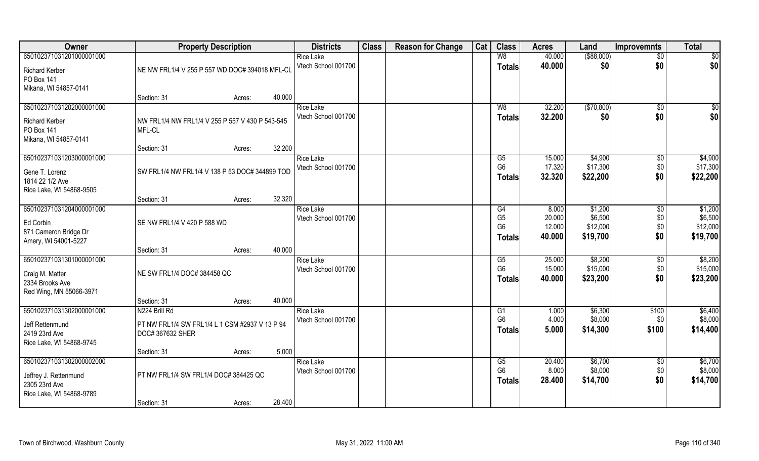| Owner                    | <b>Property Description</b>                     |        |        | <b>Districts</b>    | <b>Class</b> | <b>Reason for Change</b> | Cat | <b>Class</b>           | <b>Acres</b> | Land        | <b>Improvemnts</b> | <b>Total</b> |
|--------------------------|-------------------------------------------------|--------|--------|---------------------|--------------|--------------------------|-----|------------------------|--------------|-------------|--------------------|--------------|
| 650102371031201000001000 |                                                 |        |        | <b>Rice Lake</b>    |              |                          |     | W8                     | 40.000       | ( \$88,000) | $\sqrt{$0}$        | $\sqrt{50}$  |
| <b>Richard Kerber</b>    | NE NW FRL1/4 V 255 P 557 WD DOC# 394018 MFL-CL  |        |        | Vtech School 001700 |              |                          |     | <b>Totals</b>          | 40.000       | \$0         | \$0                | \$0          |
| PO Box 141               |                                                 |        |        |                     |              |                          |     |                        |              |             |                    |              |
| Mikana, WI 54857-0141    |                                                 |        |        |                     |              |                          |     |                        |              |             |                    |              |
|                          | Section: 31                                     | Acres: | 40.000 |                     |              |                          |     |                        |              |             |                    |              |
| 650102371031202000001000 |                                                 |        |        | <b>Rice Lake</b>    |              |                          |     | W8                     | 32.200       | (\$70,800)  | \$0                | \$0          |
| <b>Richard Kerber</b>    | NW FRL1/4 NW FRL1/4 V 255 P 557 V 430 P 543-545 |        |        | Vtech School 001700 |              |                          |     | Totals                 | 32.200       | \$0         | \$0                | \$0          |
| PO Box 141               | MFL-CL                                          |        |        |                     |              |                          |     |                        |              |             |                    |              |
| Mikana, WI 54857-0141    |                                                 |        |        |                     |              |                          |     |                        |              |             |                    |              |
|                          | Section: 31                                     | Acres: | 32.200 |                     |              |                          |     |                        |              |             |                    |              |
| 650102371031203000001000 |                                                 |        |        | <b>Rice Lake</b>    |              |                          |     | G5                     | 15.000       | \$4,900     | $\sqrt[6]{3}$      | \$4,900      |
| Gene T. Lorenz           | SW FRL1/4 NW FRL1/4 V 138 P 53 DOC# 344899 TOD  |        |        | Vtech School 001700 |              |                          |     | G <sub>6</sub>         | 17.320       | \$17,300    | \$0                | \$17,300     |
| 1814 22 1/2 Ave          |                                                 |        |        |                     |              |                          |     | <b>Totals</b>          | 32.320       | \$22,200    | \$0                | \$22,200     |
| Rice Lake, WI 54868-9505 |                                                 |        |        |                     |              |                          |     |                        |              |             |                    |              |
|                          | Section: 31                                     | Acres: | 32.320 |                     |              |                          |     |                        |              |             |                    |              |
| 650102371031204000001000 |                                                 |        |        | <b>Rice Lake</b>    |              |                          |     | G4                     | 8.000        | \$1,200     | $\sqrt[6]{3}$      | \$1,200      |
| Ed Corbin                | SE NW FRL1/4 V 420 P 588 WD                     |        |        | Vtech School 001700 |              |                          |     | G <sub>5</sub>         | 20.000       | \$6,500     | \$0                | \$6,500      |
| 871 Cameron Bridge Dr    |                                                 |        |        |                     |              |                          |     | G <sub>6</sub>         | 12.000       | \$12,000    | \$0                | \$12,000     |
| Amery, WI 54001-5227     |                                                 |        |        |                     |              |                          |     | <b>Totals</b>          | 40.000       | \$19,700    | \$0                | \$19,700     |
|                          | Section: 31                                     | Acres: | 40.000 |                     |              |                          |     |                        |              |             |                    |              |
| 650102371031301000001000 |                                                 |        |        | <b>Rice Lake</b>    |              |                          |     | $\overline{\text{G5}}$ | 25.000       | \$8,200     | \$0                | \$8,200      |
| Craig M. Matter          | NE SW FRL1/4 DOC# 384458 QC                     |        |        | Vtech School 001700 |              |                          |     | G <sub>6</sub>         | 15.000       | \$15,000    | \$0                | \$15,000     |
| 2334 Brooks Ave          |                                                 |        |        |                     |              |                          |     | <b>Totals</b>          | 40.000       | \$23,200    | \$0                | \$23,200     |
| Red Wing, MN 55066-3971  |                                                 |        |        |                     |              |                          |     |                        |              |             |                    |              |
|                          | Section: 31                                     | Acres: | 40.000 |                     |              |                          |     |                        |              |             |                    |              |
| 650102371031302000001000 | N224 Brill Rd                                   |        |        | <b>Rice Lake</b>    |              |                          |     | G1                     | 1.000        | \$6,300     | \$100              | \$6,400      |
| Jeff Rettenmund          | PT NW FRL1/4 SW FRL1/4 L 1 CSM #2937 V 13 P 94  |        |        | Vtech School 001700 |              |                          |     | G <sub>6</sub>         | 4.000        | \$8,000     | \$0                | \$8,000      |
| 2419 23rd Ave            | DOC# 367632 SHER                                |        |        |                     |              |                          |     | <b>Totals</b>          | 5.000        | \$14,300    | \$100              | \$14,400     |
| Rice Lake, WI 54868-9745 |                                                 |        |        |                     |              |                          |     |                        |              |             |                    |              |
|                          | Section: 31                                     | Acres: | 5.000  |                     |              |                          |     |                        |              |             |                    |              |
| 650102371031302000002000 |                                                 |        |        | <b>Rice Lake</b>    |              |                          |     | G5<br>G <sub>6</sub>   | 20.400       | \$6,700     | $\overline{50}$    | \$6,700      |
| Jeffrey J. Rettenmund    | PT NW FRL1/4 SW FRL1/4 DOC# 384425 QC           |        |        | Vtech School 001700 |              |                          |     |                        | 8.000        | \$8,000     | \$0                | \$8,000      |
| 2305 23rd Ave            |                                                 |        |        |                     |              |                          |     | <b>Totals</b>          | 28.400       | \$14,700    | \$0                | \$14,700     |
| Rice Lake, WI 54868-9789 |                                                 |        |        |                     |              |                          |     |                        |              |             |                    |              |
|                          | Section: 31                                     | Acres: | 28.400 |                     |              |                          |     |                        |              |             |                    |              |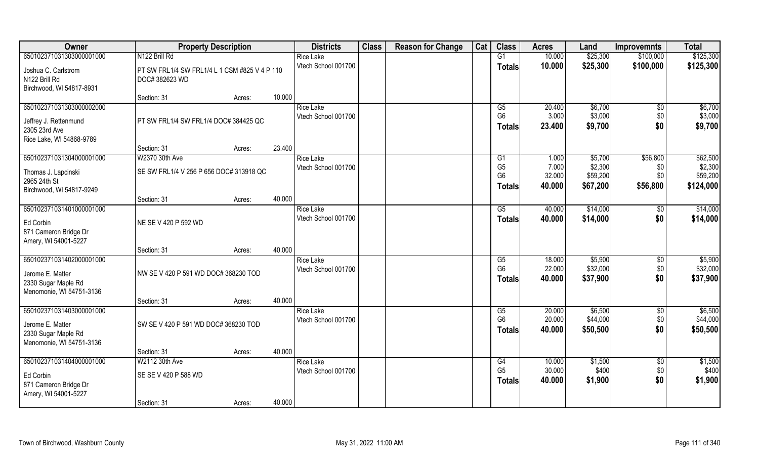| Owner                                                                                           | <b>Property Description</b>                                     |                  | <b>Districts</b>                        | <b>Class</b> | <b>Reason for Change</b> | Cat | <b>Class</b>                                            | <b>Acres</b>                       | Land                                       | <b>Improvemnts</b>                 | <b>Total</b>                                 |
|-------------------------------------------------------------------------------------------------|-----------------------------------------------------------------|------------------|-----------------------------------------|--------------|--------------------------|-----|---------------------------------------------------------|------------------------------------|--------------------------------------------|------------------------------------|----------------------------------------------|
| 650102371031303000001000                                                                        | N122 Brill Rd                                                   |                  | <b>Rice Lake</b>                        |              |                          |     | G1                                                      | 10.000                             | \$25,300                                   | \$100,000                          | \$125,300                                    |
| Joshua C. Carlstrom<br>N122 Brill Rd<br>Birchwood, WI 54817-8931                                | PT SW FRL1/4 SW FRL1/4 L 1 CSM #825 V 4 P 110<br>DOC# 382623 WD |                  | Vtech School 001700                     |              |                          |     | <b>Totals</b>                                           | 10.000                             | \$25,300                                   | \$100,000                          | \$125,300                                    |
|                                                                                                 | Section: 31                                                     | 10.000<br>Acres: |                                         |              |                          |     |                                                         |                                    |                                            |                                    |                                              |
| 650102371031303000002000<br>Jeffrey J. Rettenmund<br>2305 23rd Ave<br>Rice Lake, WI 54868-9789  | PT SW FRL1/4 SW FRL1/4 DOC# 384425 QC                           |                  | <b>Rice Lake</b><br>Vtech School 001700 |              |                          |     | G5<br>G <sub>6</sub><br><b>Totals</b>                   | 20.400<br>3.000<br>23.400          | \$6,700<br>\$3,000<br>\$9,700              | \$0<br>\$0<br>\$0                  | \$6,700<br>\$3,000<br>\$9,700                |
|                                                                                                 | Section: 31                                                     | 23.400<br>Acres: |                                         |              |                          |     |                                                         |                                    |                                            |                                    |                                              |
| 650102371031304000001000<br>Thomas J. Lapcinski<br>2965 24th St<br>Birchwood, WI 54817-9249     | W2370 30th Ave<br>SE SW FRL1/4 V 256 P 656 DOC# 313918 QC       |                  | <b>Rice Lake</b><br>Vtech School 001700 |              |                          |     | G1<br>G <sub>5</sub><br>G <sub>6</sub><br><b>Totals</b> | 1.000<br>7.000<br>32.000<br>40.000 | \$5,700<br>\$2,300<br>\$59,200<br>\$67,200 | \$56,800<br>\$0<br>\$0<br>\$56,800 | \$62,500<br>\$2,300<br>\$59,200<br>\$124,000 |
|                                                                                                 | Section: 31                                                     | 40.000<br>Acres: |                                         |              |                          |     |                                                         |                                    |                                            |                                    |                                              |
| 650102371031401000001000<br>Ed Corbin<br>871 Cameron Bridge Dr<br>Amery, WI 54001-5227          | NE SE V 420 P 592 WD                                            |                  | <b>Rice Lake</b><br>Vtech School 001700 |              |                          |     | G5<br><b>Totals</b>                                     | 40.000<br>40.000                   | \$14,000<br>\$14,000                       | \$0<br>\$0                         | \$14,000<br>\$14,000                         |
|                                                                                                 | Section: 31                                                     | 40.000<br>Acres: |                                         |              |                          |     |                                                         |                                    |                                            |                                    |                                              |
| 650102371031402000001000<br>Jerome E. Matter<br>2330 Sugar Maple Rd<br>Menomonie, WI 54751-3136 | NW SE V 420 P 591 WD DOC# 368230 TOD                            |                  | <b>Rice Lake</b><br>Vtech School 001700 |              |                          |     | G5<br>G <sub>6</sub><br><b>Totals</b>                   | 18.000<br>22.000<br>40.000         | \$5,900<br>\$32,000<br>\$37,900            | $\sqrt[6]{30}$<br>\$0<br>\$0       | \$5,900<br>\$32,000<br>\$37,900              |
|                                                                                                 | Section: 31                                                     | 40.000<br>Acres: |                                         |              |                          |     |                                                         |                                    |                                            |                                    |                                              |
| 650102371031403000001000<br>Jerome E. Matter<br>2330 Sugar Maple Rd<br>Menomonie, WI 54751-3136 | SW SE V 420 P 591 WD DOC# 368230 TOD                            |                  | <b>Rice Lake</b><br>Vtech School 001700 |              |                          |     | G5<br>G <sub>6</sub><br><b>Totals</b>                   | 20.000<br>20.000<br>40.000         | \$6,500<br>\$44,000<br>\$50,500            | $\overline{50}$<br>\$0<br>\$0      | \$6,500<br>\$44,000<br>\$50,500              |
|                                                                                                 | Section: 31                                                     | 40.000<br>Acres: |                                         |              |                          |     |                                                         |                                    |                                            |                                    |                                              |
| 650102371031404000001000<br>Ed Corbin<br>871 Cameron Bridge Dr<br>Amery, WI 54001-5227          | W2112 30th Ave<br>SE SE V 420 P 588 WD<br>Section: 31           | 40.000           | <b>Rice Lake</b><br>Vtech School 001700 |              |                          |     | G4<br>G <sub>5</sub><br><b>Totals</b>                   | 10.000<br>30.000<br>40.000         | \$1,500<br>\$400<br>\$1,900                | $\overline{50}$<br>\$0<br>\$0      | \$1,500<br>\$400<br>\$1,900                  |
|                                                                                                 |                                                                 | Acres:           |                                         |              |                          |     |                                                         |                                    |                                            |                                    |                                              |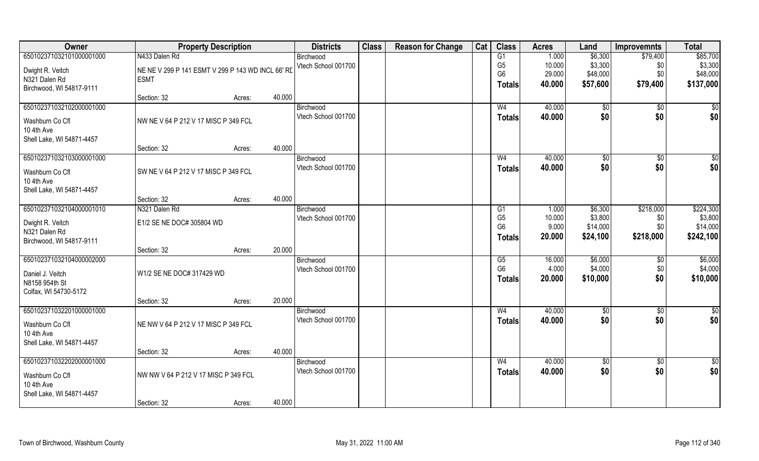| Owner                     | <b>Property Description</b>                       |        |        | <b>Districts</b>    | <b>Class</b> | <b>Reason for Change</b> | Cat | <b>Class</b>                     | <b>Acres</b>    | Land                | <b>Improvemnts</b> | <b>Total</b>        |
|---------------------------|---------------------------------------------------|--------|--------|---------------------|--------------|--------------------------|-----|----------------------------------|-----------------|---------------------|--------------------|---------------------|
| 650102371032101000001000  | N433 Dalen Rd                                     |        |        | Birchwood           |              |                          |     | G1                               | 1.000           | \$6,300             | \$79,400           | \$85,700            |
| Dwight R. Veitch          | NE NE V 299 P 141 ESMT V 299 P 143 WD INCL 66' RD |        |        | Vtech School 001700 |              |                          |     | G <sub>5</sub>                   | 10.000          | \$3,300             | \$0                | \$3,300             |
| N321 Dalen Rd             | <b>ESMT</b>                                       |        |        |                     |              |                          |     | G <sub>6</sub>                   | 29.000          | \$48,000            | \$0                | \$48,000            |
| Birchwood, WI 54817-9111  |                                                   |        |        |                     |              |                          |     | Totals                           | 40.000          | \$57,600            | \$79,400           | \$137,000           |
|                           | Section: 32                                       | Acres: | 40.000 |                     |              |                          |     |                                  |                 |                     |                    |                     |
| 650102371032102000001000  |                                                   |        |        | Birchwood           |              |                          |     | W <sub>4</sub>                   | 40.000          | $\sqrt[6]{}$        | \$0                | \$0                 |
| Washburn Co Cfl           | NW NE V 64 P 212 V 17 MISC P 349 FCL              |        |        | Vtech School 001700 |              |                          |     | <b>Totals</b>                    | 40.000          | \$0                 | \$0                | \$0                 |
| 10 4th Ave                |                                                   |        |        |                     |              |                          |     |                                  |                 |                     |                    |                     |
| Shell Lake, WI 54871-4457 |                                                   |        |        |                     |              |                          |     |                                  |                 |                     |                    |                     |
|                           | Section: 32                                       | Acres: | 40.000 |                     |              |                          |     |                                  |                 |                     |                    |                     |
| 650102371032103000001000  |                                                   |        |        | Birchwood           |              |                          |     | W <sub>4</sub>                   | 40.000          | \$0                 | $\sqrt[6]{30}$     | \$0                 |
| Washburn Co Cfl           | SW NE V 64 P 212 V 17 MISC P 349 FCL              |        |        | Vtech School 001700 |              |                          |     | <b>Totals</b>                    | 40.000          | \$0                 | \$0                | \$0                 |
| 10 4th Ave                |                                                   |        |        |                     |              |                          |     |                                  |                 |                     |                    |                     |
| Shell Lake, WI 54871-4457 |                                                   |        |        |                     |              |                          |     |                                  |                 |                     |                    |                     |
|                           | Section: 32                                       | Acres: | 40.000 |                     |              |                          |     |                                  |                 |                     |                    |                     |
| 650102371032104000001010  | N321 Dalen Rd                                     |        |        | Birchwood           |              |                          |     | G1                               | 1.000           | \$6,300             | \$218,000          | \$224,300           |
| Dwight R. Veitch          | E1/2 SE NE DOC# 305804 WD                         |        |        | Vtech School 001700 |              |                          |     | G <sub>5</sub><br>G <sub>6</sub> | 10.000<br>9.000 | \$3,800<br>\$14,000 | \$0<br>\$0         | \$3,800<br>\$14,000 |
| N321 Dalen Rd             |                                                   |        |        |                     |              |                          |     | <b>Totals</b>                    | 20.000          | \$24,100            | \$218,000          | \$242,100           |
| Birchwood, WI 54817-9111  |                                                   |        |        |                     |              |                          |     |                                  |                 |                     |                    |                     |
|                           | Section: 32                                       | Acres: | 20.000 |                     |              |                          |     |                                  |                 |                     |                    |                     |
| 650102371032104000002000  |                                                   |        |        | Birchwood           |              |                          |     | G5<br>G <sub>6</sub>             | 16.000          | \$6,000             | $\overline{50}$    | \$6,000             |
| Daniel J. Veitch          | W1/2 SE NE DOC# 317429 WD                         |        |        | Vtech School 001700 |              |                          |     |                                  | 4.000<br>20.000 | \$4,000             | \$0<br>\$0         | \$4,000             |
| N8158 954th St            |                                                   |        |        |                     |              |                          |     | Totals                           |                 | \$10,000            |                    | \$10,000            |
| Colfax, WI 54730-5172     |                                                   |        |        |                     |              |                          |     |                                  |                 |                     |                    |                     |
|                           | Section: 32                                       | Acres: | 20.000 |                     |              |                          |     |                                  |                 |                     |                    |                     |
| 650102371032201000001000  |                                                   |        |        | Birchwood           |              |                          |     | W <sub>4</sub>                   | 40.000          | \$0                 | \$0                | \$0                 |
| Washburn Co Cfl           | NE NW V 64 P 212 V 17 MISC P 349 FCL              |        |        | Vtech School 001700 |              |                          |     | <b>Totals</b>                    | 40.000          | \$0                 | \$0                | \$0                 |
| 10 4th Ave                |                                                   |        |        |                     |              |                          |     |                                  |                 |                     |                    |                     |
| Shell Lake, WI 54871-4457 |                                                   |        |        |                     |              |                          |     |                                  |                 |                     |                    |                     |
|                           | Section: 32                                       | Acres: | 40.000 |                     |              |                          |     |                                  |                 |                     |                    |                     |
| 650102371032202000001000  |                                                   |        |        | Birchwood           |              |                          |     | W <sub>4</sub>                   | 40.000          | \$0                 | $\overline{30}$    | \$0                 |
| Washburn Co Cfl           | NW NW V 64 P 212 V 17 MISC P 349 FCL              |        |        | Vtech School 001700 |              |                          |     | <b>Totals</b>                    | 40.000          | \$0                 | \$0                | \$0                 |
| 10 4th Ave                |                                                   |        |        |                     |              |                          |     |                                  |                 |                     |                    |                     |
| Shell Lake, WI 54871-4457 |                                                   |        |        |                     |              |                          |     |                                  |                 |                     |                    |                     |
|                           | Section: 32                                       | Acres: | 40.000 |                     |              |                          |     |                                  |                 |                     |                    |                     |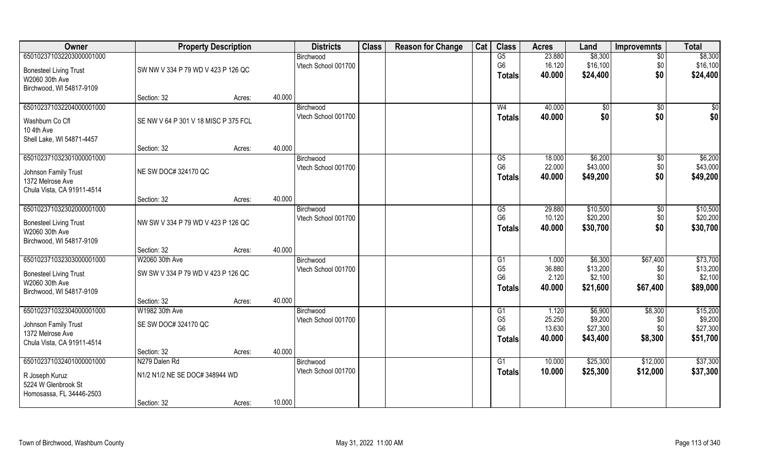| Owner                         | <b>Property Description</b>          |        |        | <b>Districts</b>    | <b>Class</b> | <b>Reason for Change</b> | Cat | <b>Class</b>                     | <b>Acres</b>     | Land     | <b>Improvemnts</b> | <b>Total</b> |
|-------------------------------|--------------------------------------|--------|--------|---------------------|--------------|--------------------------|-----|----------------------------------|------------------|----------|--------------------|--------------|
| 650102371032203000001000      |                                      |        |        | Birchwood           |              |                          |     | G5                               | 23.880           | \$8,300  | $\sqrt{6}$         | \$8,300      |
| <b>Bonesteel Living Trust</b> | SW NW V 334 P 79 WD V 423 P 126 QC   |        |        | Vtech School 001700 |              |                          |     | G <sub>6</sub>                   | 16.120           | \$16,100 | \$0                | \$16,100     |
| W2060 30th Ave                |                                      |        |        |                     |              |                          |     | Totals                           | 40.000           | \$24,400 | \$0                | \$24,400     |
| Birchwood, WI 54817-9109      |                                      |        |        |                     |              |                          |     |                                  |                  |          |                    |              |
|                               | Section: 32                          | Acres: | 40.000 |                     |              |                          |     |                                  |                  |          |                    |              |
| 650102371032204000001000      |                                      |        |        | Birchwood           |              |                          |     | W <sub>4</sub>                   | 40.000           | \$0      | \$0                | \$0          |
| Washburn Co Cfl               | SE NW V 64 P 301 V 18 MISC P 375 FCL |        |        | Vtech School 001700 |              |                          |     | Totals                           | 40.000           | \$0      | \$0                | \$0          |
| 10 4th Ave                    |                                      |        |        |                     |              |                          |     |                                  |                  |          |                    |              |
| Shell Lake, WI 54871-4457     |                                      |        |        |                     |              |                          |     |                                  |                  |          |                    |              |
|                               | Section: 32                          | Acres: | 40.000 |                     |              |                          |     |                                  |                  |          |                    |              |
| 650102371032301000001000      |                                      |        |        | Birchwood           |              |                          |     | G5                               | 18.000           | \$6,200  | $\sqrt[6]{3}$      | \$6,200      |
| Johnson Family Trust          | NE SW DOC# 324170 QC                 |        |        | Vtech School 001700 |              |                          |     | G <sub>6</sub>                   | 22.000           | \$43,000 | \$0                | \$43,000     |
| 1372 Melrose Ave              |                                      |        |        |                     |              |                          |     | <b>Totals</b>                    | 40.000           | \$49,200 | \$0                | \$49,200     |
| Chula Vista, CA 91911-4514    |                                      |        |        |                     |              |                          |     |                                  |                  |          |                    |              |
|                               | Section: 32                          | Acres: | 40.000 |                     |              |                          |     |                                  |                  |          |                    |              |
| 650102371032302000001000      |                                      |        |        | Birchwood           |              |                          |     | G5                               | 29.880           | \$10,500 | $\sqrt[6]{3}$      | \$10,500     |
| <b>Bonesteel Living Trust</b> | NW SW V 334 P 79 WD V 423 P 126 QC   |        |        | Vtech School 001700 |              |                          |     | G <sub>6</sub>                   | 10.120           | \$20,200 | \$0                | \$20,200     |
| W2060 30th Ave                |                                      |        |        |                     |              |                          |     | <b>Totals</b>                    | 40.000           | \$30,700 | \$0                | \$30,700     |
| Birchwood, WI 54817-9109      |                                      |        |        |                     |              |                          |     |                                  |                  |          |                    |              |
|                               | Section: 32                          | Acres: | 40.000 |                     |              |                          |     |                                  |                  |          |                    |              |
| 650102371032303000001000      | W2060 30th Ave                       |        |        | Birchwood           |              |                          |     | G1                               | 1.000            | \$6,300  | \$67,400           | \$73,700     |
| <b>Bonesteel Living Trust</b> | SW SW V 334 P 79 WD V 423 P 126 QC   |        |        | Vtech School 001700 |              |                          |     | G <sub>5</sub>                   | 36.880           | \$13,200 | \$0                | \$13,200     |
| W2060 30th Ave                |                                      |        |        |                     |              |                          |     | G <sub>6</sub>                   | 2.120            | \$2,100  | \$0                | \$2,100      |
| Birchwood, WI 54817-9109      |                                      |        |        |                     |              |                          |     | <b>Totals</b>                    | 40.000           | \$21,600 | \$67,400           | \$89,000     |
|                               | Section: 32                          | Acres: | 40.000 |                     |              |                          |     |                                  |                  |          |                    |              |
| 650102371032304000001000      | W1982 30th Ave                       |        |        | Birchwood           |              |                          |     | G1                               | 1.120            | \$6,900  | \$8,300            | \$15,200     |
| Johnson Family Trust          | SE SW DOC# 324170 QC                 |        |        | Vtech School 001700 |              |                          |     | G <sub>5</sub><br>G <sub>6</sub> | 25.250           | \$9,200  | \$0                | \$9,200      |
| 1372 Melrose Ave              |                                      |        |        |                     |              |                          |     |                                  | 13.630<br>40.000 | \$27,300 | \$0                | \$27,300     |
| Chula Vista, CA 91911-4514    |                                      |        |        |                     |              |                          |     | <b>Totals</b>                    |                  | \$43,400 | \$8,300            | \$51,700     |
|                               | Section: 32                          | Acres: | 40.000 |                     |              |                          |     |                                  |                  |          |                    |              |
| 650102371032401000001000      | N279 Dalen Rd                        |        |        | Birchwood           |              |                          |     | G1                               | 10.000           | \$25,300 | \$12,000           | \$37,300     |
| R Joseph Kuruz                | N1/2 N1/2 NE SE DOC# 348944 WD       |        |        | Vtech School 001700 |              |                          |     | Totals                           | 10.000           | \$25,300 | \$12,000           | \$37,300     |
| 5224 W Glenbrook St           |                                      |        |        |                     |              |                          |     |                                  |                  |          |                    |              |
| Homosassa, FL 34446-2503      |                                      |        |        |                     |              |                          |     |                                  |                  |          |                    |              |
|                               | Section: 32                          | Acres: | 10.000 |                     |              |                          |     |                                  |                  |          |                    |              |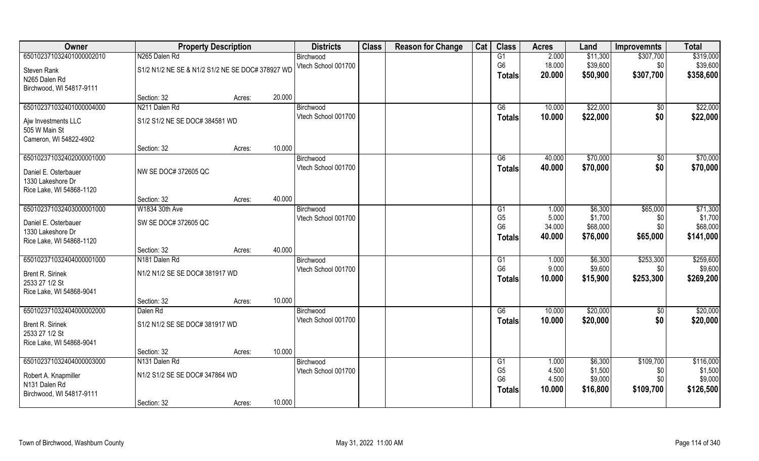| Owner                    | <b>Property Description</b>                      |        |        | <b>Districts</b>    | <b>Class</b> | <b>Reason for Change</b> | Cat | <b>Class</b>   | <b>Acres</b>    | Land     | <b>Improvemnts</b> | <b>Total</b>         |
|--------------------------|--------------------------------------------------|--------|--------|---------------------|--------------|--------------------------|-----|----------------|-----------------|----------|--------------------|----------------------|
| 650102371032401000002010 | N265 Dalen Rd                                    |        |        | Birchwood           |              |                          |     | G1             | 2.000           | \$11,300 | \$307,700          | \$319,000            |
| Steven Rank              | S1/2 N1/2 NE SE & N1/2 S1/2 NE SE DOC# 378927 WD |        |        | Vtech School 001700 |              |                          |     | G <sub>6</sub> | 18.000          | \$39,600 | \$0                | \$39,600             |
| N265 Dalen Rd            |                                                  |        |        |                     |              |                          |     | <b>Totals</b>  | 20.000          | \$50,900 | \$307,700          | \$358,600            |
| Birchwood, WI 54817-9111 |                                                  |        |        |                     |              |                          |     |                |                 |          |                    |                      |
|                          | Section: 32                                      | Acres: | 20.000 |                     |              |                          |     |                |                 |          |                    |                      |
| 650102371032401000004000 | N211 Dalen Rd                                    |        |        | Birchwood           |              |                          |     | G6             | 10.000          | \$22,000 | \$0                | \$22,000             |
| Ajw Investments LLC      | S1/2 S1/2 NE SE DOC# 384581 WD                   |        |        | Vtech School 001700 |              |                          |     | <b>Totals</b>  | 10.000          | \$22,000 | \$0                | \$22,000             |
| 505 W Main St            |                                                  |        |        |                     |              |                          |     |                |                 |          |                    |                      |
| Cameron, WI 54822-4902   |                                                  |        |        |                     |              |                          |     |                |                 |          |                    |                      |
|                          | Section: 32                                      | Acres: | 10.000 |                     |              |                          |     |                |                 |          |                    |                      |
| 650102371032402000001000 |                                                  |        |        | Birchwood           |              |                          |     | G6             | 40.000          | \$70,000 | \$0                | \$70,000             |
| Daniel E. Osterbauer     | NW SE DOC# 372605 QC                             |        |        | Vtech School 001700 |              |                          |     | <b>Totals</b>  | 40.000          | \$70,000 | \$0                | \$70,000             |
| 1330 Lakeshore Dr        |                                                  |        |        |                     |              |                          |     |                |                 |          |                    |                      |
| Rice Lake, WI 54868-1120 |                                                  |        |        |                     |              |                          |     |                |                 |          |                    |                      |
|                          | Section: 32                                      | Acres: | 40.000 |                     |              |                          |     |                |                 |          |                    |                      |
| 650102371032403000001000 | W1834 30th Ave                                   |        |        | Birchwood           |              |                          |     | G <sub>1</sub> | 1.000           | \$6,300  | \$65,000           | \$71,300             |
| Daniel E. Osterbauer     | SW SE DOC# 372605 QC                             |        |        | Vtech School 001700 |              |                          |     | G <sub>5</sub> | 5.000           | \$1,700  | \$0                | \$1,700              |
| 1330 Lakeshore Dr        |                                                  |        |        |                     |              |                          |     | G <sub>6</sub> | 34.000          | \$68,000 | \$0\$              | \$68,000             |
| Rice Lake, WI 54868-1120 |                                                  |        |        |                     |              |                          |     | <b>Totals</b>  | 40.000          | \$76,000 | \$65,000           | \$141,000            |
|                          | Section: 32                                      | Acres: | 40.000 |                     |              |                          |     |                |                 |          |                    |                      |
| 650102371032404000001000 | N181 Dalen Rd                                    |        |        | Birchwood           |              |                          |     | G1             | 1.000           | \$6,300  | \$253,300          | \$259,600            |
| Brent R. Sirinek         | N1/2 N1/2 SE SE DOC# 381917 WD                   |        |        | Vtech School 001700 |              |                          |     | G <sub>6</sub> | 9.000           | \$9,600  | \$0                | \$9,600              |
| 2533 27 1/2 St           |                                                  |        |        |                     |              |                          |     | Totals         | 10.000          | \$15,900 | \$253,300          | \$269,200            |
| Rice Lake, WI 54868-9041 |                                                  |        |        |                     |              |                          |     |                |                 |          |                    |                      |
|                          | Section: 32                                      | Acres: | 10.000 |                     |              |                          |     |                |                 |          |                    |                      |
| 650102371032404000002000 | Dalen Rd                                         |        |        | Birchwood           |              |                          |     | G6             | 10.000          | \$20,000 | $\overline{30}$    | \$20,000             |
| Brent R. Sirinek         | S1/2 N1/2 SE SE DOC# 381917 WD                   |        |        | Vtech School 001700 |              |                          |     | <b>Totals</b>  | 10.000          | \$20,000 | \$0                | \$20,000             |
| 2533 27 1/2 St           |                                                  |        |        |                     |              |                          |     |                |                 |          |                    |                      |
| Rice Lake, WI 54868-9041 |                                                  |        |        |                     |              |                          |     |                |                 |          |                    |                      |
|                          | Section: 32                                      | Acres: | 10.000 |                     |              |                          |     |                |                 |          |                    |                      |
| 650102371032404000003000 | N131 Dalen Rd                                    |        |        | Birchwood           |              |                          |     | G1             | 1.000           | \$6,300  | \$109,700          | \$116,000            |
| Robert A. Knapmiller     | N1/2 S1/2 SE SE DOC# 347864 WD                   |        |        | Vtech School 001700 |              |                          |     | G <sub>5</sub> | 4.500           | \$1,500  | \$0                | \$1,500              |
| N131 Dalen Rd            |                                                  |        |        |                     |              |                          |     | G <sub>6</sub> | 4.500<br>10.000 | \$9,000  | \$0<br>\$109,700   | \$9,000<br>\$126,500 |
| Birchwood, WI 54817-9111 |                                                  |        |        |                     |              |                          |     | Totals         |                 | \$16,800 |                    |                      |
|                          | Section: 32                                      | Acres: | 10.000 |                     |              |                          |     |                |                 |          |                    |                      |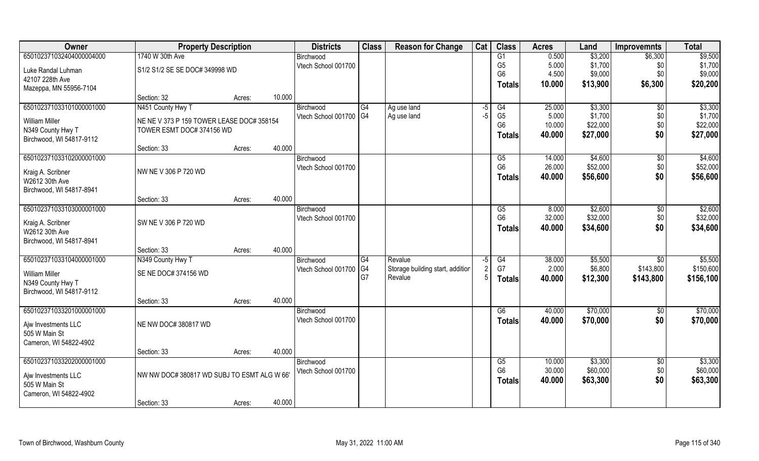| Owner                    | <b>Property Description</b>                | <b>Districts</b> | <b>Class</b>           | <b>Reason for Change</b> | Cat                              | <b>Class</b> | <b>Acres</b>    | Land   | <b>Improvemnts</b> | <b>Total</b>    |           |
|--------------------------|--------------------------------------------|------------------|------------------------|--------------------------|----------------------------------|--------------|-----------------|--------|--------------------|-----------------|-----------|
| 650102371032404000004000 | 1740 W 30th Ave                            |                  | Birchwood              |                          |                                  |              | G1              | 0.500  | \$3,200            | \$6,300         | \$9,500   |
| Luke Randal Luhman       | S1/2 S1/2 SE SE DOC# 349998 WD             |                  | Vtech School 001700    |                          |                                  |              | G <sub>5</sub>  | 5.000  | \$1,700            | \$0             | \$1,700   |
| 42107 228th Ave          |                                            |                  |                        |                          |                                  |              | G <sub>6</sub>  | 4.500  | \$9,000            | \$0             | \$9,000   |
| Mazeppa, MN 55956-7104   |                                            |                  |                        |                          |                                  |              | <b>Totals</b>   | 10.000 | \$13,900           | \$6,300         | \$20,200  |
|                          | Section: 32                                | 10.000<br>Acres: |                        |                          |                                  |              |                 |        |                    |                 |           |
| 650102371033101000001000 | N451 County Hwy T                          |                  | Birchwood              | G4                       | Ag use land                      | -5           | G4              | 25.000 | \$3,300            | \$0             | \$3,300   |
| <b>William Miller</b>    | NE NE V 373 P 159 TOWER LEASE DOC# 358154  |                  | Vtech School 001700 G4 |                          | Ag use land                      | -5           | G <sub>5</sub>  | 5.000  | \$1,700            | \$0             | \$1,700   |
| N349 County Hwy T        | TOWER ESMT DOC# 374156 WD                  |                  |                        |                          |                                  |              | G <sub>6</sub>  | 10.000 | \$22,000           | \$0             | \$22,000  |
| Birchwood, WI 54817-9112 |                                            |                  |                        |                          |                                  |              | <b>Totals</b>   | 40.000 | \$27,000           | \$0             | \$27,000  |
|                          | Section: 33                                | 40.000<br>Acres: |                        |                          |                                  |              |                 |        |                    |                 |           |
| 650102371033102000001000 |                                            |                  | Birchwood              |                          |                                  |              | G5              | 14.000 | \$4,600            | $\sqrt[6]{3}$   | \$4,600   |
| Kraig A. Scribner        | NW NE V 306 P 720 WD                       |                  | Vtech School 001700    |                          |                                  |              | G <sub>6</sub>  | 26.000 | \$52,000           | \$0             | \$52,000  |
| W2612 30th Ave           |                                            |                  |                        |                          |                                  |              | <b>Totals</b>   | 40.000 | \$56,600           | \$0             | \$56,600  |
| Birchwood, WI 54817-8941 |                                            |                  |                        |                          |                                  |              |                 |        |                    |                 |           |
|                          | Section: 33                                | 40.000<br>Acres: |                        |                          |                                  |              |                 |        |                    |                 |           |
| 650102371033103000001000 |                                            |                  | Birchwood              |                          |                                  |              | G5              | 8.000  | \$2,600            | \$0             | \$2,600   |
| Kraig A. Scribner        | SW NE V 306 P 720 WD                       |                  | Vtech School 001700    |                          |                                  |              | G <sub>6</sub>  | 32.000 | \$32,000           | \$0             | \$32,000  |
| W2612 30th Ave           |                                            |                  |                        |                          |                                  |              | <b>Totals</b>   | 40.000 | \$34,600           | \$0             | \$34,600  |
| Birchwood, WI 54817-8941 |                                            |                  |                        |                          |                                  |              |                 |        |                    |                 |           |
|                          | Section: 33                                | 40.000<br>Acres: |                        |                          |                                  |              |                 |        |                    |                 |           |
| 650102371033104000001000 | N349 County Hwy T                          |                  | Birchwood              | G4                       | Revalue                          | $-5$         | $\overline{G4}$ | 38.000 | \$5,500            | \$0             | \$5,500   |
| <b>William Miller</b>    | SE NE DOC# 374156 WD                       |                  | Vtech School 001700    | $\overline{\text{G4}}$   | Storage building start, addition |              | G7              | 2.000  | \$6,800            | \$143,800       | \$150,600 |
| N349 County Hwy T        |                                            |                  |                        | G7                       | Revalue                          |              | <b>Totals</b>   | 40.000 | \$12,300           | \$143,800       | \$156,100 |
| Birchwood, WI 54817-9112 |                                            |                  |                        |                          |                                  |              |                 |        |                    |                 |           |
|                          | Section: 33                                | 40.000<br>Acres: |                        |                          |                                  |              |                 |        |                    |                 |           |
| 650102371033201000001000 |                                            |                  | Birchwood              |                          |                                  |              | G6              | 40.000 | \$70,000           | \$0             | \$70,000  |
| Aiw Investments LLC      | NE NW DOC# 380817 WD                       |                  | Vtech School 001700    |                          |                                  |              | <b>Totals</b>   | 40.000 | \$70,000           | \$0             | \$70,000  |
| 505 W Main St            |                                            |                  |                        |                          |                                  |              |                 |        |                    |                 |           |
| Cameron, WI 54822-4902   |                                            |                  |                        |                          |                                  |              |                 |        |                    |                 |           |
|                          | Section: 33                                | 40.000<br>Acres: |                        |                          |                                  |              |                 |        |                    |                 |           |
| 650102371033202000001000 |                                            |                  | Birchwood              |                          |                                  |              | G5              | 10.000 | \$3,300            | $\overline{50}$ | \$3,300   |
| Ajw Investments LLC      | NW NW DOC#380817 WD SUBJ TO ESMT ALG W 66' |                  | Vtech School 001700    |                          |                                  |              | G <sub>6</sub>  | 30.000 | \$60,000           | \$0             | \$60,000  |
| 505 W Main St            |                                            |                  |                        |                          |                                  |              | <b>Totals</b>   | 40.000 | \$63,300           | \$0             | \$63,300  |
| Cameron, WI 54822-4902   |                                            |                  |                        |                          |                                  |              |                 |        |                    |                 |           |
|                          | Section: 33                                | 40.000<br>Acres: |                        |                          |                                  |              |                 |        |                    |                 |           |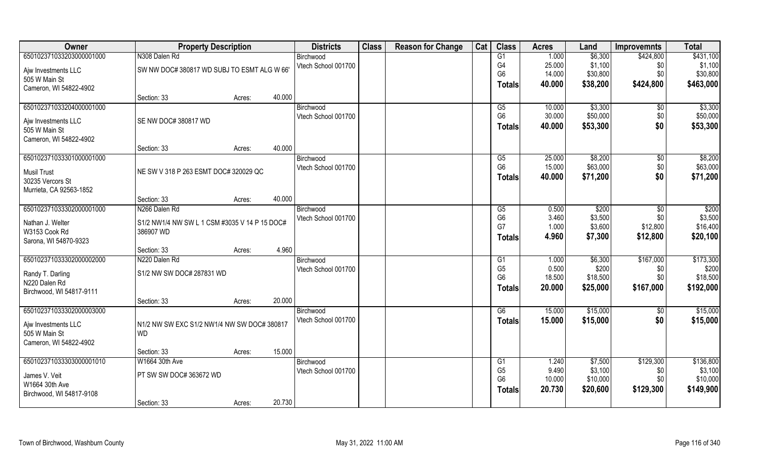| Owner                    | <b>Property Description</b>                   |        |        | <b>Districts</b>    | <b>Class</b> | <b>Reason for Change</b> | Cat | <b>Class</b>   | <b>Acres</b> | Land     | <b>Improvemnts</b> | <b>Total</b> |
|--------------------------|-----------------------------------------------|--------|--------|---------------------|--------------|--------------------------|-----|----------------|--------------|----------|--------------------|--------------|
| 650102371033203000001000 | N308 Dalen Rd                                 |        |        | Birchwood           |              |                          |     | G1             | 1.000        | \$6,300  | \$424,800          | \$431,100    |
| Ajw Investments LLC      | SW NW DOC#380817 WD SUBJ TO ESMT ALG W 66'    |        |        | Vtech School 001700 |              |                          |     | G4             | 25.000       | \$1,100  | \$0                | \$1,100      |
| 505 W Main St            |                                               |        |        |                     |              |                          |     | G <sub>6</sub> | 14.000       | \$30,800 | \$0                | \$30,800     |
| Cameron, WI 54822-4902   |                                               |        |        |                     |              |                          |     | <b>Totals</b>  | 40.000       | \$38,200 | \$424,800          | \$463,000    |
|                          | Section: 33                                   | Acres: | 40.000 |                     |              |                          |     |                |              |          |                    |              |
| 650102371033204000001000 |                                               |        |        | Birchwood           |              |                          |     | G5             | 10.000       | \$3,300  | \$0                | \$3,300      |
| Ajw Investments LLC      | SE NW DOC# 380817 WD                          |        |        | Vtech School 001700 |              |                          |     | G <sub>6</sub> | 30.000       | \$50,000 | \$0                | \$50,000     |
| 505 W Main St            |                                               |        |        |                     |              |                          |     | <b>Totals</b>  | 40.000       | \$53,300 | \$0                | \$53,300     |
| Cameron, WI 54822-4902   |                                               |        |        |                     |              |                          |     |                |              |          |                    |              |
|                          | Section: 33                                   | Acres: | 40.000 |                     |              |                          |     |                |              |          |                    |              |
| 650102371033301000001000 |                                               |        |        | Birchwood           |              |                          |     | G5             | 25.000       | \$8,200  | \$0                | \$8,200      |
| <b>Musil Trust</b>       | NE SW V 318 P 263 ESMT DOC# 320029 QC         |        |        | Vtech School 001700 |              |                          |     | G <sub>6</sub> | 15.000       | \$63,000 | \$0                | \$63,000     |
| 30235 Vercors St         |                                               |        |        |                     |              |                          |     | <b>Totals</b>  | 40.000       | \$71,200 | \$0                | \$71,200     |
| Murrieta, CA 92563-1852  |                                               |        |        |                     |              |                          |     |                |              |          |                    |              |
|                          | Section: 33                                   | Acres: | 40.000 |                     |              |                          |     |                |              |          |                    |              |
| 650102371033302000001000 | N266 Dalen Rd                                 |        |        | Birchwood           |              |                          |     | G5             | 0.500        | \$200    | \$0                | \$200        |
| Nathan J. Welter         | S1/2 NW1/4 NW SW L 1 CSM #3035 V 14 P 15 DOC# |        |        | Vtech School 001700 |              |                          |     | G <sub>6</sub> | 3.460        | \$3,500  | \$0                | \$3,500      |
| W3153 Cook Rd            | 386907 WD                                     |        |        |                     |              |                          |     | G7             | 1.000        | \$3,600  | \$12,800           | \$16,400     |
| Sarona, WI 54870-9323    |                                               |        |        |                     |              |                          |     | <b>Totals</b>  | 4.960        | \$7,300  | \$12,800           | \$20,100     |
|                          | Section: 33                                   | Acres: | 4.960  |                     |              |                          |     |                |              |          |                    |              |
| 650102371033302000002000 | N220 Dalen Rd                                 |        |        | Birchwood           |              |                          |     | G1             | 1.000        | \$6,300  | \$167,000          | \$173,300    |
| Randy T. Darling         | S1/2 NW SW DOC# 287831 WD                     |        |        | Vtech School 001700 |              |                          |     | G <sub>5</sub> | 0.500        | \$200    | \$0                | \$200        |
| N220 Dalen Rd            |                                               |        |        |                     |              |                          |     | G <sub>6</sub> | 18.500       | \$18,500 | \$0                | \$18,500     |
| Birchwood, WI 54817-9111 |                                               |        |        |                     |              |                          |     | <b>Totals</b>  | 20.000       | \$25,000 | \$167,000          | \$192,000    |
|                          | Section: 33                                   | Acres: | 20.000 |                     |              |                          |     |                |              |          |                    |              |
| 650102371033302000003000 |                                               |        |        | Birchwood           |              |                          |     | G6             | 15.000       | \$15,000 | $\sqrt{6}$         | \$15,000     |
| Ajw Investments LLC      | N1/2 NW SW EXC S1/2 NW1/4 NW SW DOC# 380817   |        |        | Vtech School 001700 |              |                          |     | <b>Totals</b>  | 15.000       | \$15,000 | \$0                | \$15,000     |
| 505 W Main St            | <b>WD</b>                                     |        |        |                     |              |                          |     |                |              |          |                    |              |
| Cameron, WI 54822-4902   |                                               |        |        |                     |              |                          |     |                |              |          |                    |              |
|                          | Section: 33                                   | Acres: | 15.000 |                     |              |                          |     |                |              |          |                    |              |
| 650102371033303000001010 | W1664 30th Ave                                |        |        | Birchwood           |              |                          |     | G1             | 1.240        | \$7,500  | \$129,300          | \$136,800    |
| James V. Veit            | PT SW SW DOC# 363672 WD                       |        |        | Vtech School 001700 |              |                          |     | G <sub>5</sub> | 9.490        | \$3,100  | \$0                | \$3,100      |
| W1664 30th Ave           |                                               |        |        |                     |              |                          |     | G <sub>6</sub> | 10.000       | \$10,000 | \$0                | \$10,000     |
| Birchwood, WI 54817-9108 |                                               |        |        |                     |              |                          |     | <b>Totals</b>  | 20.730       | \$20,600 | \$129,300          | \$149,900    |
|                          | Section: 33                                   | Acres: | 20.730 |                     |              |                          |     |                |              |          |                    |              |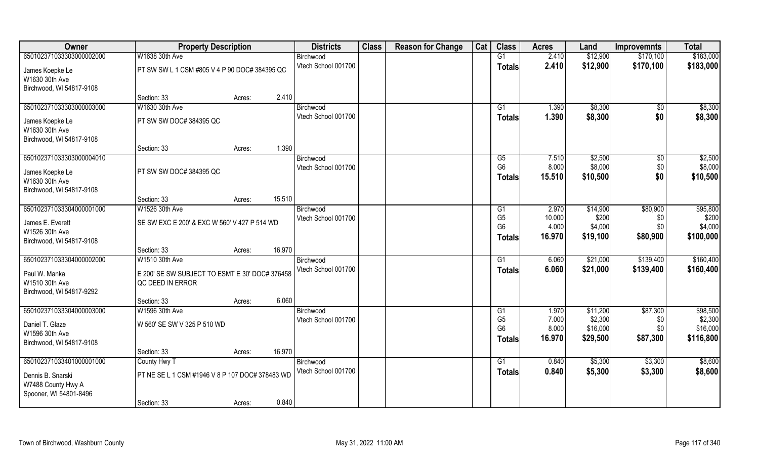| Owner                                      | <b>Property Description</b>                     |                  | <b>Districts</b>    | <b>Class</b> | <b>Reason for Change</b> | Cat | <b>Class</b>                     | <b>Acres</b>    | Land               | <b>Improvemnts</b> | <b>Total</b>        |
|--------------------------------------------|-------------------------------------------------|------------------|---------------------|--------------|--------------------------|-----|----------------------------------|-----------------|--------------------|--------------------|---------------------|
| 650102371033303000002000                   | W1638 30th Ave                                  |                  | Birchwood           |              |                          |     | G1                               | 2.410           | \$12,900           | \$170,100          | \$183,000           |
| James Koepke Le                            | PT SW SW L 1 CSM #805 V 4 P 90 DOC# 384395 QC   |                  | Vtech School 001700 |              |                          |     | <b>Totals</b>                    | 2.410           | \$12,900           | \$170,100          | \$183,000           |
| W1630 30th Ave                             |                                                 |                  |                     |              |                          |     |                                  |                 |                    |                    |                     |
| Birchwood, WI 54817-9108                   |                                                 |                  |                     |              |                          |     |                                  |                 |                    |                    |                     |
|                                            | Section: 33                                     | 2.410<br>Acres:  |                     |              |                          |     |                                  |                 |                    |                    |                     |
| 650102371033303000003000                   | W1630 30th Ave                                  |                  | Birchwood           |              |                          |     | G1                               | 1.390           | \$8,300            | $\sqrt{$0}$        | \$8,300             |
| James Koepke Le                            | PT SW SW DOC# 384395 QC                         |                  | Vtech School 001700 |              |                          |     | Totals                           | 1.390           | \$8,300            | \$0                | \$8,300             |
| W1630 30th Ave                             |                                                 |                  |                     |              |                          |     |                                  |                 |                    |                    |                     |
| Birchwood, WI 54817-9108                   |                                                 |                  |                     |              |                          |     |                                  |                 |                    |                    |                     |
|                                            | Section: 33                                     | 1.390<br>Acres:  |                     |              |                          |     |                                  |                 |                    |                    |                     |
| 650102371033303000004010                   |                                                 |                  | Birchwood           |              |                          |     | G5<br>G <sub>6</sub>             | 7.510           | \$2,500<br>\$8,000 | $\sqrt[6]{30}$     | \$2,500             |
| James Koepke Le                            | PT SW SW DOC# 384395 QC                         |                  | Vtech School 001700 |              |                          |     | <b>Totals</b>                    | 8.000<br>15.510 | \$10,500           | \$0<br>\$0         | \$8,000<br>\$10,500 |
| W1630 30th Ave                             |                                                 |                  |                     |              |                          |     |                                  |                 |                    |                    |                     |
| Birchwood, WI 54817-9108                   |                                                 |                  |                     |              |                          |     |                                  |                 |                    |                    |                     |
| 650102371033304000001000                   | Section: 33<br>W1526 30th Ave                   | 15.510<br>Acres: | Birchwood           |              |                          |     |                                  | 2.970           | \$14,900           | \$80,900           | \$95,800            |
|                                            |                                                 |                  | Vtech School 001700 |              |                          |     | G <sub>1</sub><br>G <sub>5</sub> | 10.000          | \$200              | \$0                | \$200               |
| James E. Everett                           | SE SW EXC E 200' & EXC W 560' V 427 P 514 WD    |                  |                     |              |                          |     | G <sub>6</sub>                   | 4.000           | \$4,000            | \$0                | \$4,000             |
| W1526 30th Ave                             |                                                 |                  |                     |              |                          |     | <b>Totals</b>                    | 16.970          | \$19,100           | \$80,900           | \$100,000           |
| Birchwood, WI 54817-9108                   | Section: 33                                     | 16.970<br>Acres: |                     |              |                          |     |                                  |                 |                    |                    |                     |
| 650102371033304000002000                   | W1510 30th Ave                                  |                  | Birchwood           |              |                          |     | G1                               | 6.060           | \$21,000           | \$139,400          | \$160,400           |
|                                            |                                                 |                  | Vtech School 001700 |              |                          |     | <b>Totals</b>                    | 6.060           | \$21,000           | \$139,400          | \$160,400           |
| Paul W. Manka                              | E 200' SE SW SUBJECT TO ESMT E 30' DOC# 376458  |                  |                     |              |                          |     |                                  |                 |                    |                    |                     |
| W1510 30th Ave<br>Birchwood, WI 54817-9292 | QC DEED IN ERROR                                |                  |                     |              |                          |     |                                  |                 |                    |                    |                     |
|                                            | Section: 33                                     | 6.060<br>Acres:  |                     |              |                          |     |                                  |                 |                    |                    |                     |
| 650102371033304000003000                   | W1596 30th Ave                                  |                  | Birchwood           |              |                          |     | G1                               | 1.970           | \$11,200           | \$87,300           | \$98,500            |
| Daniel T. Glaze                            | W 560' SE SW V 325 P 510 WD                     |                  | Vtech School 001700 |              |                          |     | G <sub>5</sub>                   | 7.000           | \$2,300            | \$0                | \$2,300             |
| W1596 30th Ave                             |                                                 |                  |                     |              |                          |     | G <sub>6</sub>                   | 8.000           | \$16,000           | \$0                | \$16,000            |
| Birchwood, WI 54817-9108                   |                                                 |                  |                     |              |                          |     | Totals                           | 16.970          | \$29,500           | \$87,300           | \$116,800           |
|                                            | Section: 33                                     | 16.970<br>Acres: |                     |              |                          |     |                                  |                 |                    |                    |                     |
| 650102371033401000001000                   | County Hwy T                                    |                  | Birchwood           |              |                          |     | G1                               | 0.840           | \$5,300            | \$3,300            | \$8,600             |
| Dennis B. Snarski                          | PT NE SE L 1 CSM #1946 V 8 P 107 DOC# 378483 WD |                  | Vtech School 001700 |              |                          |     | <b>Totals</b>                    | 0.840           | \$5,300            | \$3,300            | \$8,600             |
| W7488 County Hwy A                         |                                                 |                  |                     |              |                          |     |                                  |                 |                    |                    |                     |
| Spooner, WI 54801-8496                     |                                                 |                  |                     |              |                          |     |                                  |                 |                    |                    |                     |
|                                            | Section: 33                                     | 0.840<br>Acres:  |                     |              |                          |     |                                  |                 |                    |                    |                     |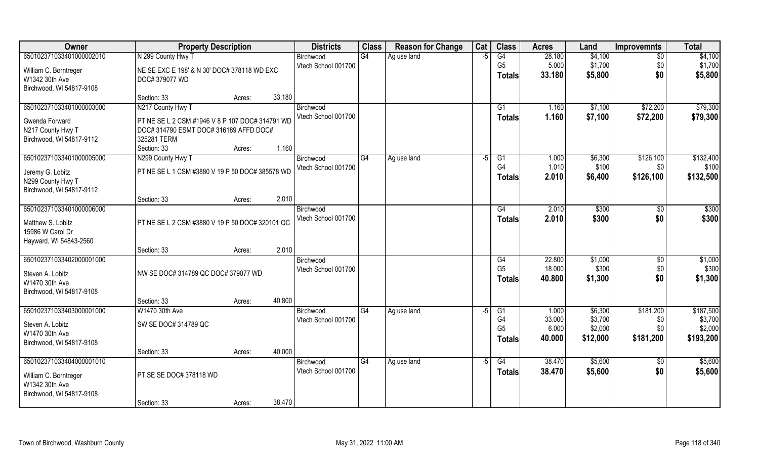| Owner                                      | <b>Property Description</b>                     |        |        | <b>Districts</b>                 | <b>Class</b> | <b>Reason for Change</b> | Cat  | <b>Class</b>         | <b>Acres</b>     | Land               | <b>Improvemnts</b>   | <b>Total</b>         |
|--------------------------------------------|-------------------------------------------------|--------|--------|----------------------------------|--------------|--------------------------|------|----------------------|------------------|--------------------|----------------------|----------------------|
| 650102371033401000002010                   | N 299 County Hwy T                              |        |        | Birchwood                        | G4           | Ag use land              | $-5$ | G4                   | 28.180           | \$4,100            | $\sqrt{6}$           | \$4,100              |
| William C. Borntreger                      | NE SE EXC E 198' & N 30' DOC# 378118 WD EXC     |        |        | Vtech School 001700              |              |                          |      | G <sub>5</sub>       | 5.000            | \$1,700            | \$0                  | \$1,700              |
| W1342 30th Ave                             | DOC# 379077 WD                                  |        |        |                                  |              |                          |      | <b>Totals</b>        | 33.180           | \$5,800            | \$0                  | \$5,800              |
| Birchwood, WI 54817-9108                   |                                                 |        |        |                                  |              |                          |      |                      |                  |                    |                      |                      |
|                                            | Section: 33                                     | Acres: | 33.180 |                                  |              |                          |      |                      |                  |                    |                      |                      |
| 650102371033401000003000                   | N217 County Hwy T                               |        |        | Birchwood<br>Vtech School 001700 |              |                          |      | G1<br><b>Totals</b>  | 1.160<br>1.160   | \$7,100<br>\$7,100 | \$72,200<br>\$72,200 | \$79,300<br>\$79,300 |
| Gwenda Forward                             | PT NE SE L 2 CSM #1946 V 8 P 107 DOC# 314791 WD |        |        |                                  |              |                          |      |                      |                  |                    |                      |                      |
| N217 County Hwy T                          | DOC# 314790 ESMT DOC# 316189 AFFD DOC#          |        |        |                                  |              |                          |      |                      |                  |                    |                      |                      |
| Birchwood, WI 54817-9112                   | 325281 TERM<br>Section: 33                      | Acres: | 1.160  |                                  |              |                          |      |                      |                  |                    |                      |                      |
| 650102371033401000005000                   | N299 County Hwy T                               |        |        | Birchwood                        | G4           | Ag use land              | -5   | G1                   | 1.000            | \$6,300            | \$126,100            | \$132,400            |
|                                            |                                                 |        |        | Vtech School 001700              |              |                          |      | G <sub>4</sub>       | 1.010            | \$100              | \$0                  | \$100                |
| Jeremy G. Lobitz<br>N299 County Hwy T      | PT NE SE L 1 CSM #3880 V 19 P 50 DOC# 385578 WD |        |        |                                  |              |                          |      | <b>Totals</b>        | 2.010            | \$6,400            | \$126,100            | \$132,500            |
| Birchwood, WI 54817-9112                   |                                                 |        |        |                                  |              |                          |      |                      |                  |                    |                      |                      |
|                                            | Section: 33                                     | Acres: | 2.010  |                                  |              |                          |      |                      |                  |                    |                      |                      |
| 650102371033401000006000                   |                                                 |        |        | Birchwood                        |              |                          |      | G4                   | 2.010            | \$300              | \$0                  | \$300                |
| Matthew S. Lobitz                          | PT NE SE L 2 CSM #3880 V 19 P 50 DOC# 320101 QC |        |        | Vtech School 001700              |              |                          |      | <b>Totals</b>        | 2.010            | \$300              | \$0                  | \$300                |
| 15986 W Carol Dr                           |                                                 |        |        |                                  |              |                          |      |                      |                  |                    |                      |                      |
| Hayward, WI 54843-2560                     |                                                 |        |        |                                  |              |                          |      |                      |                  |                    |                      |                      |
|                                            | Section: 33                                     | Acres: | 2.010  |                                  |              |                          |      |                      |                  |                    |                      |                      |
| 650102371033402000001000                   |                                                 |        |        | Birchwood                        |              |                          |      | G4<br>G <sub>5</sub> | 22.800<br>18.000 | \$1,000<br>\$300   | \$0                  | \$1,000<br>\$300     |
| Steven A. Lobitz                           | NW SE DOC# 314789 QC DOC# 379077 WD             |        |        | Vtech School 001700              |              |                          |      | <b>Totals</b>        | 40.800           | \$1,300            | \$0<br>\$0           | \$1,300              |
| W1470 30th Ave                             |                                                 |        |        |                                  |              |                          |      |                      |                  |                    |                      |                      |
| Birchwood, WI 54817-9108                   |                                                 |        |        |                                  |              |                          |      |                      |                  |                    |                      |                      |
| 650102371033403000001000                   | Section: 33<br>W1470 30th Ave                   | Acres: | 40.800 | Birchwood                        | G4           | Ag use land              | $-5$ | G1                   | 1.000            | \$6,300            | \$181,200            | \$187,500            |
|                                            |                                                 |        |        | Vtech School 001700              |              |                          |      | G <sub>4</sub>       | 33.000           | \$3,700            | \$0                  | \$3,700              |
| Steven A. Lobitz                           | SW SE DOC# 314789 QC                            |        |        |                                  |              |                          |      | G <sub>5</sub>       | 6.000            | \$2,000            | \$0                  | \$2,000              |
| W1470 30th Ave<br>Birchwood, WI 54817-9108 |                                                 |        |        |                                  |              |                          |      | <b>Totals</b>        | 40.000           | \$12,000           | \$181,200            | \$193,200            |
|                                            | Section: 33                                     | Acres: | 40.000 |                                  |              |                          |      |                      |                  |                    |                      |                      |
| 650102371033404000001010                   |                                                 |        |        | Birchwood                        | G4           | Ag use land              | $-5$ | G4                   | 38.470           | \$5,600            | $\sqrt[6]{}$         | \$5,600              |
| William C. Borntreger                      | PT SE SE DOC# 378118 WD                         |        |        | Vtech School 001700              |              |                          |      | <b>Totals</b>        | 38.470           | \$5,600            | \$0                  | \$5,600              |
| W1342 30th Ave                             |                                                 |        |        |                                  |              |                          |      |                      |                  |                    |                      |                      |
| Birchwood, WI 54817-9108                   |                                                 |        |        |                                  |              |                          |      |                      |                  |                    |                      |                      |
|                                            | Section: 33                                     | Acres: | 38.470 |                                  |              |                          |      |                      |                  |                    |                      |                      |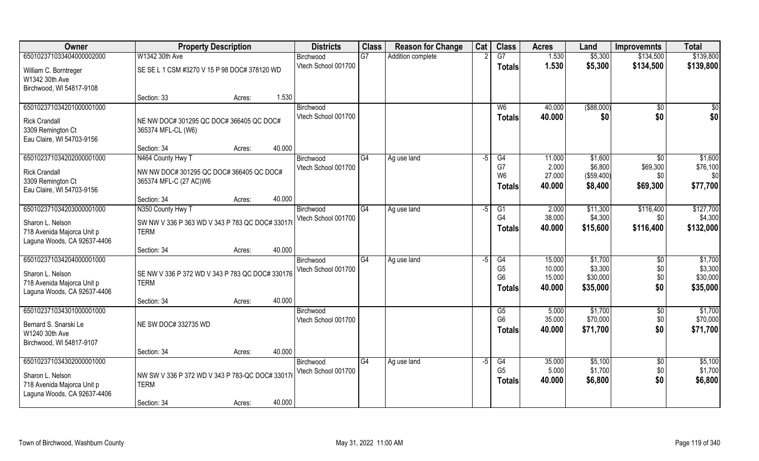| Owner                                                                                                     | <b>Property Description</b>                                                                       | <b>Districts</b>                 | <b>Class</b> | <b>Reason for Change</b> | Cat  | <b>Class</b>                                                  | <b>Acres</b>                         | Land                                        | <b>Improvemnts</b>                             | <b>Total</b>                               |
|-----------------------------------------------------------------------------------------------------------|---------------------------------------------------------------------------------------------------|----------------------------------|--------------|--------------------------|------|---------------------------------------------------------------|--------------------------------------|---------------------------------------------|------------------------------------------------|--------------------------------------------|
| 650102371033404000002000                                                                                  | W1342 30th Ave                                                                                    | Birchwood                        | G7           | Addition complete        |      | $\overline{G7}$                                               | 1.530                                | \$5,300                                     | \$134,500                                      | \$139,800                                  |
| William C. Borntreger<br>W1342 30th Ave<br>Birchwood, WI 54817-9108                                       | SE SE L 1 CSM #3270 V 15 P 98 DOC# 378120 WD                                                      | Vtech School 001700              |              |                          |      | <b>Totals</b>                                                 | 1.530                                | \$5,300                                     | \$134,500                                      | \$139,800                                  |
|                                                                                                           | 1.530<br>Section: 33<br>Acres:                                                                    |                                  |              |                          |      |                                                               |                                      |                                             |                                                |                                            |
| 650102371034201000001000<br><b>Rick Crandall</b><br>3309 Remington Ct<br>Eau Claire, WI 54703-9156        | NE NW DOC# 301295 QC DOC# 366405 QC DOC#<br>365374 MFL-CL (W6)                                    | Birchwood<br>Vtech School 001700 |              |                          |      | W <sub>6</sub><br>Totals                                      | 40.000<br>40.000                     | ( \$88,000)<br>\$0                          | \$0<br>\$0                                     | \$0<br>\$0                                 |
|                                                                                                           | 40.000<br>Section: 34<br>Acres:                                                                   |                                  |              |                          |      |                                                               |                                      |                                             |                                                |                                            |
| 650102371034202000001000<br><b>Rick Crandall</b><br>3309 Remington Ct<br>Eau Claire, WI 54703-9156        | N464 County Hwy T<br>NW NW DOC# 301295 QC DOC# 366405 QC DOC#<br>365374 MFL-C (27 AC)W6           | Birchwood<br>Vtech School 001700 | G4           | Ag use land              | $-5$ | G4<br>G7<br>W <sub>6</sub><br>Totals                          | 11.000<br>2.000<br>27.000<br>40.000  | \$1,600<br>\$6,800<br>(\$59,400)<br>\$8,400 | $\overline{50}$<br>\$69,300<br>\$0<br>\$69,300 | \$1,600<br>\$76,100<br>\$0<br>\$77,700     |
|                                                                                                           | 40.000<br>Section: 34<br>Acres:                                                                   |                                  |              |                          |      |                                                               |                                      |                                             |                                                |                                            |
| 650102371034203000001000<br>Sharon L. Nelson<br>718 Avenida Majorca Unit p<br>Laguna Woods, CA 92637-4406 | N350 County Hwy T<br>SW NW V 336 P 363 WD V 343 P 783 QC DOC# 330176<br><b>TERM</b>               | Birchwood<br>Vtech School 001700 | G4           | Ag use land              | -5   | G1<br>G4<br><b>Totals</b>                                     | 2.000<br>38.000<br>40.000            | \$11,300<br>\$4,300<br>\$15,600             | \$116,400<br>\$0<br>\$116,400                  | \$127,700<br>\$4,300<br>\$132,000          |
|                                                                                                           | 40.000<br>Section: 34<br>Acres:                                                                   |                                  |              |                          |      |                                                               |                                      |                                             |                                                |                                            |
| 650102371034204000001000<br>Sharon L. Nelson<br>718 Avenida Majorca Unit p<br>Laguna Woods, CA 92637-4406 | SE NW V 336 P 372 WD V 343 P 783 QC DOC# 330176<br><b>TERM</b>                                    | Birchwood<br>Vtech School 001700 | G4           | Ag use land              | $-5$ | $\overline{G4}$<br>G <sub>5</sub><br>G <sub>6</sub><br>Totals | 15.000<br>10.000<br>15.000<br>40.000 | \$1,700<br>\$3,300<br>\$30,000<br>\$35,000  | $\sqrt{6}$<br>\$0<br>\$0<br>\$0                | \$1,700<br>\$3,300<br>\$30,000<br>\$35,000 |
|                                                                                                           | 40.000<br>Section: 34<br>Acres:                                                                   |                                  |              |                          |      |                                                               |                                      |                                             |                                                |                                            |
| 650102371034301000001000<br>Bernard S. Snarski Le<br>W1240 30th Ave<br>Birchwood, WI 54817-9107           | NE SW DOC# 332735 WD                                                                              | Birchwood<br>Vtech School 001700 |              |                          |      | G5<br>G <sub>6</sub><br><b>Totals</b>                         | 5.000<br>35.000<br>40.000            | \$1,700<br>\$70,000<br>\$71,700             | \$0<br>\$0<br>\$0                              | \$1,700<br>\$70,000<br>\$71,700            |
|                                                                                                           | 40.000<br>Section: 34<br>Acres:                                                                   |                                  |              |                          |      |                                                               |                                      |                                             |                                                |                                            |
| 650102371034302000001000<br>Sharon L. Nelson<br>718 Avenida Majorca Unit p<br>Laguna Woods, CA 92637-4406 | NW SW V 336 P 372 WD V 343 P 783-QC DOC# 330176<br><b>TERM</b><br>40.000<br>Section: 34<br>Acres: | Birchwood<br>Vtech School 001700 | G4           | Ag use land              | $-5$ | G4<br>G <sub>5</sub><br><b>Totals</b>                         | 35.000<br>5.000<br>40.000            | \$5,100<br>\$1,700<br>\$6,800               | $\overline{50}$<br>\$0<br>\$0                  | \$5,100<br>\$1,700<br>\$6,800              |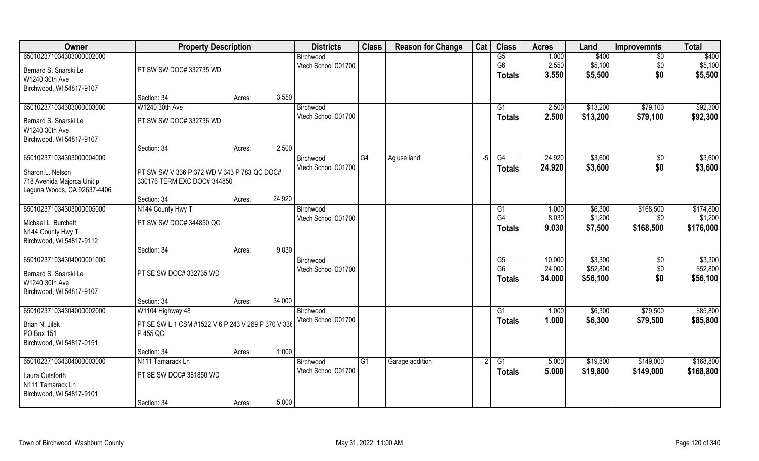| Owner                       | <b>Property Description</b>                        |        |        | <b>Districts</b>                 | <b>Class</b>   | <b>Reason for Change</b> | Cat | <b>Class</b>         | <b>Acres</b>     | Land                | <b>Improvemnts</b> | <b>Total</b>         |
|-----------------------------|----------------------------------------------------|--------|--------|----------------------------------|----------------|--------------------------|-----|----------------------|------------------|---------------------|--------------------|----------------------|
| 650102371034303000002000    |                                                    |        |        | Birchwood                        |                |                          |     | G5                   | 1.000            | \$400               | $\overline{50}$    | \$400                |
| Bernard S. Snarski Le       | PT SW SW DOC# 332735 WD                            |        |        | Vtech School 001700              |                |                          |     | G <sub>6</sub>       | 2.550            | \$5,100             | \$0                | \$5,100              |
| W1240 30th Ave              |                                                    |        |        |                                  |                |                          |     | Totals               | 3.550            | \$5,500             | \$0                | \$5,500              |
| Birchwood, WI 54817-9107    |                                                    |        |        |                                  |                |                          |     |                      |                  |                     |                    |                      |
|                             | Section: 34                                        | Acres: | 3.550  |                                  |                |                          |     |                      |                  |                     |                    |                      |
| 650102371034303000003000    | W1240 30th Ave                                     |        |        | Birchwood                        |                |                          |     | G1                   | 2.500            | \$13,200            | \$79,100           | \$92,300             |
| Bernard S. Snarski Le       | PT SW SW DOC# 332736 WD                            |        |        | Vtech School 001700              |                |                          |     | Totals               | 2.500            | \$13,200            | \$79,100           | \$92,300             |
| W1240 30th Ave              |                                                    |        |        |                                  |                |                          |     |                      |                  |                     |                    |                      |
| Birchwood, WI 54817-9107    |                                                    |        |        |                                  |                |                          |     |                      |                  |                     |                    |                      |
|                             | Section: 34                                        | Acres: | 2.500  |                                  |                |                          |     |                      |                  |                     |                    |                      |
| 650102371034303000004000    |                                                    |        |        | Birchwood                        | G4             | Ag use land              | -5  | G4                   | 24.920           | \$3,600             | \$0                | \$3,600              |
| Sharon L. Nelson            | PT SW SW V 336 P 372 WD V 343 P 783 QC DOC#        |        |        | Vtech School 001700              |                |                          |     | <b>Totals</b>        | 24.920           | \$3,600             | \$0                | \$3,600              |
| 718 Avenida Majorca Unit p  | 330176 TERM EXC DOC# 344850                        |        |        |                                  |                |                          |     |                      |                  |                     |                    |                      |
| Laguna Woods, CA 92637-4406 |                                                    |        |        |                                  |                |                          |     |                      |                  |                     |                    |                      |
|                             | Section: 34                                        | Acres: | 24.920 |                                  |                |                          |     |                      |                  |                     |                    |                      |
| 650102371034303000005000    | N144 County Hwy T                                  |        |        | Birchwood<br>Vtech School 001700 |                |                          |     | G1<br>G <sub>4</sub> | 1.000<br>8.030   | \$6,300<br>\$1,200  | \$168,500          | \$174,800            |
| Michael L. Burchett         | PT SW SW DOC# 344850 QC                            |        |        |                                  |                |                          |     |                      | 9.030            | \$7,500             | \$0<br>\$168,500   | \$1,200<br>\$176,000 |
| N144 County Hwy T           |                                                    |        |        |                                  |                |                          |     | <b>Totals</b>        |                  |                     |                    |                      |
| Birchwood, WI 54817-9112    |                                                    |        |        |                                  |                |                          |     |                      |                  |                     |                    |                      |
|                             | Section: 34                                        | Acres: | 9.030  |                                  |                |                          |     |                      |                  |                     |                    |                      |
| 650102371034304000001000    |                                                    |        |        | Birchwood                        |                |                          |     | G5<br>G <sub>6</sub> | 10.000<br>24.000 | \$3,300<br>\$52,800 | \$0<br>\$0         | \$3,300<br>\$52,800  |
| Bernard S. Snarski Le       | PT SE SW DOC# 332735 WD                            |        |        | Vtech School 001700              |                |                          |     |                      | 34.000           | \$56,100            | \$0                | \$56,100             |
| W1240 30th Ave              |                                                    |        |        |                                  |                |                          |     | <b>Totals</b>        |                  |                     |                    |                      |
| Birchwood, WI 54817-9107    |                                                    |        |        |                                  |                |                          |     |                      |                  |                     |                    |                      |
|                             | Section: 34                                        | Acres: | 34.000 |                                  |                |                          |     |                      |                  |                     |                    |                      |
| 650102371034304000002000    | W1104 Highway 48                                   |        |        | Birchwood<br>Vtech School 001700 |                |                          |     | $\overline{G1}$      | 1.000            | \$6,300             | \$79,500           | \$85,800             |
| Brian N. Jilek              | PT SE SW L 1 CSM #1522 V 6 P 243 V 269 P 370 V 336 |        |        |                                  |                |                          |     | <b>Totals</b>        | 1.000            | \$6,300             | \$79,500           | \$85,800             |
| PO Box 151                  | P 455 QC                                           |        |        |                                  |                |                          |     |                      |                  |                     |                    |                      |
| Birchwood, WI 54817-0151    |                                                    |        |        |                                  |                |                          |     |                      |                  |                     |                    |                      |
|                             | Section: 34                                        | Acres: | 1.000  |                                  |                |                          |     |                      |                  |                     |                    |                      |
| 650102371034304000003000    | N <sub>111</sub> Tamarack Ln                       |        |        | Birchwood<br>Vtech School 001700 | G <sub>1</sub> | Garage addition          |     | G1                   | 5.000            | \$19,800            | \$149,000          | \$168,800            |
| Laura Cutsforth             | PT SE SW DOC# 381850 WD                            |        |        |                                  |                |                          |     | Totals               | 5.000            | \$19,800            | \$149,000          | \$168,800            |
| N111 Tamarack Ln            |                                                    |        |        |                                  |                |                          |     |                      |                  |                     |                    |                      |
| Birchwood, WI 54817-9101    |                                                    |        |        |                                  |                |                          |     |                      |                  |                     |                    |                      |
|                             | Section: 34                                        | Acres: | 5.000  |                                  |                |                          |     |                      |                  |                     |                    |                      |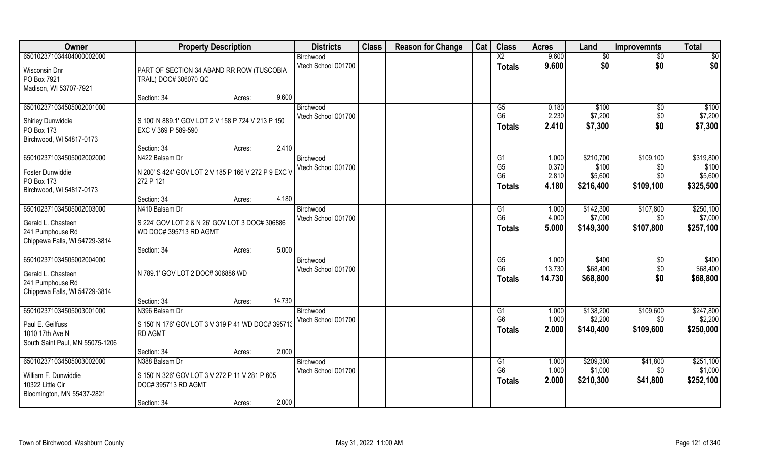| 9.600<br>650102371034404000002000<br>$\overline{X2}$<br>\$0<br>$\overline{50}$<br>$\overline{50}$<br>Birchwood<br>\$0<br>\$0<br>9.600<br>\$0<br>Vtech School 001700<br><b>Totals</b><br>Wisconsin Dnr<br>PART OF SECTION 34 ABAND RR ROW (TUSCOBIA<br>PO Box 7921<br>TRAIL) DOC# 306070 QC<br>Madison, WI 53707-7921<br>9.600<br>Section: 34<br>Acres:<br>650102371034505002001000<br>\$100<br>$\overline{G5}$<br>0.180<br>\$100<br>$\overline{50}$<br>Birchwood<br>G <sub>6</sub><br>2.230<br>\$7,200<br>\$7,200<br>Vtech School 001700<br>\$0<br>S 100' N 889.1' GOV LOT 2 V 158 P 724 V 213 P 150<br>Shirley Dunwiddie<br>\$0<br>2.410<br>\$7,300<br>\$7,300<br><b>Totals</b><br>PO Box 173<br>EXC V 369 P 589-590<br>Birchwood, WI 54817-0173<br>2.410<br>Section: 34<br>Acres:<br>650102371034505002002000<br>\$210,700<br>\$109,100<br>\$319,800<br>N422 Balsam Dr<br>1.000<br>G <sub>1</sub><br>Birchwood<br>G <sub>5</sub><br>0.370<br>Vtech School 001700<br>\$100<br>\$0<br>N 200' S 424' GOV LOT 2 V 185 P 166 V 272 P 9 EXC V<br>Foster Dunwiddie<br>G <sub>6</sub><br>\$5,600<br>2.810<br>\$0<br>\$5,600<br>272 P 121<br>PO Box 173<br>\$325,500<br>4.180<br>\$109,100<br>\$216,400<br><b>Totals</b><br>Birchwood, WI 54817-0173<br>4.180<br>Section: 34<br>Acres:<br>650102371034505002003000<br>N410 Balsam Dr<br>\$142,300<br>\$107,800<br>\$250,100<br>1.000<br>Birchwood<br>G1<br>G <sub>6</sub><br>4.000<br>\$7,000<br>\$7,000<br>Vtech School 001700<br>\$0<br>S 224' GOV LOT 2 & N 26' GOV LOT 3 DOC# 306886<br>Gerald L. Chasteen<br>\$107,800<br>5.000<br>\$149,300<br>\$257,100<br><b>Totals</b><br>WD DOC#395713 RD AGMT<br>241 Pumphouse Rd<br>Chippewa Falls, WI 54729-3814<br>5.000<br>Section: 34<br>Acres:<br>650102371034505002004000<br>\$400<br>1.000<br>\$400<br>G5<br>\$0<br>Birchwood<br>G <sub>6</sub><br>\$68,400<br>13.730<br>\$0<br>\$68,400<br>Vtech School 001700<br>N 789.1' GOV LOT 2 DOC# 306886 WD<br>Gerald L. Chasteen<br>\$0<br>\$68,800<br>14.730<br>\$68,800<br><b>Totals</b><br>241 Pumphouse Rd<br>Chippewa Falls, WI 54729-3814<br>14.730<br>Section: 34<br>Acres:<br>\$247,800<br>650102371034505003001000<br>G1<br>\$138,200<br>\$109,600<br>N396 Balsam Dr<br>1.000<br>Birchwood<br>G <sub>6</sub><br>1.000<br>\$2,200<br>\$2,200<br>\$0<br>Vtech School 001700<br>Paul E. Geilfuss<br>S 150' N 176' GOV LOT 3 V 319 P 41 WD DOC# 395713<br>2.000<br>\$109,600<br>\$250,000<br>\$140,400<br>Totals<br>1010 17th Ave N<br><b>RD AGMT</b><br>South Saint Paul, MN 55075-1206<br>2.000<br>Section: 34<br>Acres:<br>650102371034505003002000<br>\$209,300<br>\$251,100<br>N388 Balsam Dr<br>1.000<br>\$41,800<br>Birchwood<br>G <sub>1</sub><br>G <sub>6</sub><br>\$1,000<br>\$1,000<br>1.000<br>\$0<br>Vtech School 001700<br>William F. Dunwiddie<br>S 150' N 326' GOV LOT 3 V 272 P 11 V 281 P 605<br>2.000<br>\$41,800<br>\$252,100<br>\$210,300<br><b>Totals</b> | Owner            | <b>Property Description</b> | <b>Districts</b> | <b>Class</b> | <b>Reason for Change</b> | Cat | <b>Class</b> | <b>Acres</b> | Land | <b>Improvemnts</b> | Total |
|----------------------------------------------------------------------------------------------------------------------------------------------------------------------------------------------------------------------------------------------------------------------------------------------------------------------------------------------------------------------------------------------------------------------------------------------------------------------------------------------------------------------------------------------------------------------------------------------------------------------------------------------------------------------------------------------------------------------------------------------------------------------------------------------------------------------------------------------------------------------------------------------------------------------------------------------------------------------------------------------------------------------------------------------------------------------------------------------------------------------------------------------------------------------------------------------------------------------------------------------------------------------------------------------------------------------------------------------------------------------------------------------------------------------------------------------------------------------------------------------------------------------------------------------------------------------------------------------------------------------------------------------------------------------------------------------------------------------------------------------------------------------------------------------------------------------------------------------------------------------------------------------------------------------------------------------------------------------------------------------------------------------------------------------------------------------------------------------------------------------------------------------------------------------------------------------------------------------------------------------------------------------------------------------------------------------------------------------------------------------------------------------------------------------------------------------------------------------------------------------------------------------------------------------------------------------------------------------------------------------------------------------------------------------------------------------------------------------------------------------------------------------------------------------------------------------------------------------------------------------------------------------------------------------------|------------------|-----------------------------|------------------|--------------|--------------------------|-----|--------------|--------------|------|--------------------|-------|
|                                                                                                                                                                                                                                                                                                                                                                                                                                                                                                                                                                                                                                                                                                                                                                                                                                                                                                                                                                                                                                                                                                                                                                                                                                                                                                                                                                                                                                                                                                                                                                                                                                                                                                                                                                                                                                                                                                                                                                                                                                                                                                                                                                                                                                                                                                                                                                                                                                                                                                                                                                                                                                                                                                                                                                                                                                                                                                                            |                  |                             |                  |              |                          |     |              |              |      |                    |       |
|                                                                                                                                                                                                                                                                                                                                                                                                                                                                                                                                                                                                                                                                                                                                                                                                                                                                                                                                                                                                                                                                                                                                                                                                                                                                                                                                                                                                                                                                                                                                                                                                                                                                                                                                                                                                                                                                                                                                                                                                                                                                                                                                                                                                                                                                                                                                                                                                                                                                                                                                                                                                                                                                                                                                                                                                                                                                                                                            |                  |                             |                  |              |                          |     |              |              |      |                    |       |
|                                                                                                                                                                                                                                                                                                                                                                                                                                                                                                                                                                                                                                                                                                                                                                                                                                                                                                                                                                                                                                                                                                                                                                                                                                                                                                                                                                                                                                                                                                                                                                                                                                                                                                                                                                                                                                                                                                                                                                                                                                                                                                                                                                                                                                                                                                                                                                                                                                                                                                                                                                                                                                                                                                                                                                                                                                                                                                                            |                  |                             |                  |              |                          |     |              |              |      |                    |       |
|                                                                                                                                                                                                                                                                                                                                                                                                                                                                                                                                                                                                                                                                                                                                                                                                                                                                                                                                                                                                                                                                                                                                                                                                                                                                                                                                                                                                                                                                                                                                                                                                                                                                                                                                                                                                                                                                                                                                                                                                                                                                                                                                                                                                                                                                                                                                                                                                                                                                                                                                                                                                                                                                                                                                                                                                                                                                                                                            |                  |                             |                  |              |                          |     |              |              |      |                    |       |
|                                                                                                                                                                                                                                                                                                                                                                                                                                                                                                                                                                                                                                                                                                                                                                                                                                                                                                                                                                                                                                                                                                                                                                                                                                                                                                                                                                                                                                                                                                                                                                                                                                                                                                                                                                                                                                                                                                                                                                                                                                                                                                                                                                                                                                                                                                                                                                                                                                                                                                                                                                                                                                                                                                                                                                                                                                                                                                                            |                  |                             |                  |              |                          |     |              |              |      |                    |       |
| \$100                                                                                                                                                                                                                                                                                                                                                                                                                                                                                                                                                                                                                                                                                                                                                                                                                                                                                                                                                                                                                                                                                                                                                                                                                                                                                                                                                                                                                                                                                                                                                                                                                                                                                                                                                                                                                                                                                                                                                                                                                                                                                                                                                                                                                                                                                                                                                                                                                                                                                                                                                                                                                                                                                                                                                                                                                                                                                                                      |                  |                             |                  |              |                          |     |              |              |      |                    |       |
|                                                                                                                                                                                                                                                                                                                                                                                                                                                                                                                                                                                                                                                                                                                                                                                                                                                                                                                                                                                                                                                                                                                                                                                                                                                                                                                                                                                                                                                                                                                                                                                                                                                                                                                                                                                                                                                                                                                                                                                                                                                                                                                                                                                                                                                                                                                                                                                                                                                                                                                                                                                                                                                                                                                                                                                                                                                                                                                            |                  |                             |                  |              |                          |     |              |              |      |                    |       |
|                                                                                                                                                                                                                                                                                                                                                                                                                                                                                                                                                                                                                                                                                                                                                                                                                                                                                                                                                                                                                                                                                                                                                                                                                                                                                                                                                                                                                                                                                                                                                                                                                                                                                                                                                                                                                                                                                                                                                                                                                                                                                                                                                                                                                                                                                                                                                                                                                                                                                                                                                                                                                                                                                                                                                                                                                                                                                                                            |                  |                             |                  |              |                          |     |              |              |      |                    |       |
|                                                                                                                                                                                                                                                                                                                                                                                                                                                                                                                                                                                                                                                                                                                                                                                                                                                                                                                                                                                                                                                                                                                                                                                                                                                                                                                                                                                                                                                                                                                                                                                                                                                                                                                                                                                                                                                                                                                                                                                                                                                                                                                                                                                                                                                                                                                                                                                                                                                                                                                                                                                                                                                                                                                                                                                                                                                                                                                            |                  |                             |                  |              |                          |     |              |              |      |                    |       |
|                                                                                                                                                                                                                                                                                                                                                                                                                                                                                                                                                                                                                                                                                                                                                                                                                                                                                                                                                                                                                                                                                                                                                                                                                                                                                                                                                                                                                                                                                                                                                                                                                                                                                                                                                                                                                                                                                                                                                                                                                                                                                                                                                                                                                                                                                                                                                                                                                                                                                                                                                                                                                                                                                                                                                                                                                                                                                                                            |                  |                             |                  |              |                          |     |              |              |      |                    |       |
|                                                                                                                                                                                                                                                                                                                                                                                                                                                                                                                                                                                                                                                                                                                                                                                                                                                                                                                                                                                                                                                                                                                                                                                                                                                                                                                                                                                                                                                                                                                                                                                                                                                                                                                                                                                                                                                                                                                                                                                                                                                                                                                                                                                                                                                                                                                                                                                                                                                                                                                                                                                                                                                                                                                                                                                                                                                                                                                            |                  |                             |                  |              |                          |     |              |              |      |                    |       |
|                                                                                                                                                                                                                                                                                                                                                                                                                                                                                                                                                                                                                                                                                                                                                                                                                                                                                                                                                                                                                                                                                                                                                                                                                                                                                                                                                                                                                                                                                                                                                                                                                                                                                                                                                                                                                                                                                                                                                                                                                                                                                                                                                                                                                                                                                                                                                                                                                                                                                                                                                                                                                                                                                                                                                                                                                                                                                                                            |                  |                             |                  |              |                          |     |              |              |      |                    |       |
|                                                                                                                                                                                                                                                                                                                                                                                                                                                                                                                                                                                                                                                                                                                                                                                                                                                                                                                                                                                                                                                                                                                                                                                                                                                                                                                                                                                                                                                                                                                                                                                                                                                                                                                                                                                                                                                                                                                                                                                                                                                                                                                                                                                                                                                                                                                                                                                                                                                                                                                                                                                                                                                                                                                                                                                                                                                                                                                            |                  |                             |                  |              |                          |     |              |              |      |                    |       |
|                                                                                                                                                                                                                                                                                                                                                                                                                                                                                                                                                                                                                                                                                                                                                                                                                                                                                                                                                                                                                                                                                                                                                                                                                                                                                                                                                                                                                                                                                                                                                                                                                                                                                                                                                                                                                                                                                                                                                                                                                                                                                                                                                                                                                                                                                                                                                                                                                                                                                                                                                                                                                                                                                                                                                                                                                                                                                                                            |                  |                             |                  |              |                          |     |              |              |      |                    |       |
|                                                                                                                                                                                                                                                                                                                                                                                                                                                                                                                                                                                                                                                                                                                                                                                                                                                                                                                                                                                                                                                                                                                                                                                                                                                                                                                                                                                                                                                                                                                                                                                                                                                                                                                                                                                                                                                                                                                                                                                                                                                                                                                                                                                                                                                                                                                                                                                                                                                                                                                                                                                                                                                                                                                                                                                                                                                                                                                            |                  |                             |                  |              |                          |     |              |              |      |                    |       |
|                                                                                                                                                                                                                                                                                                                                                                                                                                                                                                                                                                                                                                                                                                                                                                                                                                                                                                                                                                                                                                                                                                                                                                                                                                                                                                                                                                                                                                                                                                                                                                                                                                                                                                                                                                                                                                                                                                                                                                                                                                                                                                                                                                                                                                                                                                                                                                                                                                                                                                                                                                                                                                                                                                                                                                                                                                                                                                                            |                  |                             |                  |              |                          |     |              |              |      |                    |       |
|                                                                                                                                                                                                                                                                                                                                                                                                                                                                                                                                                                                                                                                                                                                                                                                                                                                                                                                                                                                                                                                                                                                                                                                                                                                                                                                                                                                                                                                                                                                                                                                                                                                                                                                                                                                                                                                                                                                                                                                                                                                                                                                                                                                                                                                                                                                                                                                                                                                                                                                                                                                                                                                                                                                                                                                                                                                                                                                            |                  |                             |                  |              |                          |     |              |              |      |                    |       |
|                                                                                                                                                                                                                                                                                                                                                                                                                                                                                                                                                                                                                                                                                                                                                                                                                                                                                                                                                                                                                                                                                                                                                                                                                                                                                                                                                                                                                                                                                                                                                                                                                                                                                                                                                                                                                                                                                                                                                                                                                                                                                                                                                                                                                                                                                                                                                                                                                                                                                                                                                                                                                                                                                                                                                                                                                                                                                                                            |                  |                             |                  |              |                          |     |              |              |      |                    |       |
|                                                                                                                                                                                                                                                                                                                                                                                                                                                                                                                                                                                                                                                                                                                                                                                                                                                                                                                                                                                                                                                                                                                                                                                                                                                                                                                                                                                                                                                                                                                                                                                                                                                                                                                                                                                                                                                                                                                                                                                                                                                                                                                                                                                                                                                                                                                                                                                                                                                                                                                                                                                                                                                                                                                                                                                                                                                                                                                            |                  |                             |                  |              |                          |     |              |              |      |                    |       |
|                                                                                                                                                                                                                                                                                                                                                                                                                                                                                                                                                                                                                                                                                                                                                                                                                                                                                                                                                                                                                                                                                                                                                                                                                                                                                                                                                                                                                                                                                                                                                                                                                                                                                                                                                                                                                                                                                                                                                                                                                                                                                                                                                                                                                                                                                                                                                                                                                                                                                                                                                                                                                                                                                                                                                                                                                                                                                                                            |                  |                             |                  |              |                          |     |              |              |      |                    |       |
|                                                                                                                                                                                                                                                                                                                                                                                                                                                                                                                                                                                                                                                                                                                                                                                                                                                                                                                                                                                                                                                                                                                                                                                                                                                                                                                                                                                                                                                                                                                                                                                                                                                                                                                                                                                                                                                                                                                                                                                                                                                                                                                                                                                                                                                                                                                                                                                                                                                                                                                                                                                                                                                                                                                                                                                                                                                                                                                            |                  |                             |                  |              |                          |     |              |              |      |                    |       |
|                                                                                                                                                                                                                                                                                                                                                                                                                                                                                                                                                                                                                                                                                                                                                                                                                                                                                                                                                                                                                                                                                                                                                                                                                                                                                                                                                                                                                                                                                                                                                                                                                                                                                                                                                                                                                                                                                                                                                                                                                                                                                                                                                                                                                                                                                                                                                                                                                                                                                                                                                                                                                                                                                                                                                                                                                                                                                                                            |                  |                             |                  |              |                          |     |              |              |      |                    |       |
|                                                                                                                                                                                                                                                                                                                                                                                                                                                                                                                                                                                                                                                                                                                                                                                                                                                                                                                                                                                                                                                                                                                                                                                                                                                                                                                                                                                                                                                                                                                                                                                                                                                                                                                                                                                                                                                                                                                                                                                                                                                                                                                                                                                                                                                                                                                                                                                                                                                                                                                                                                                                                                                                                                                                                                                                                                                                                                                            |                  |                             |                  |              |                          |     |              |              |      |                    |       |
|                                                                                                                                                                                                                                                                                                                                                                                                                                                                                                                                                                                                                                                                                                                                                                                                                                                                                                                                                                                                                                                                                                                                                                                                                                                                                                                                                                                                                                                                                                                                                                                                                                                                                                                                                                                                                                                                                                                                                                                                                                                                                                                                                                                                                                                                                                                                                                                                                                                                                                                                                                                                                                                                                                                                                                                                                                                                                                                            |                  |                             |                  |              |                          |     |              |              |      |                    |       |
|                                                                                                                                                                                                                                                                                                                                                                                                                                                                                                                                                                                                                                                                                                                                                                                                                                                                                                                                                                                                                                                                                                                                                                                                                                                                                                                                                                                                                                                                                                                                                                                                                                                                                                                                                                                                                                                                                                                                                                                                                                                                                                                                                                                                                                                                                                                                                                                                                                                                                                                                                                                                                                                                                                                                                                                                                                                                                                                            |                  |                             |                  |              |                          |     |              |              |      |                    |       |
|                                                                                                                                                                                                                                                                                                                                                                                                                                                                                                                                                                                                                                                                                                                                                                                                                                                                                                                                                                                                                                                                                                                                                                                                                                                                                                                                                                                                                                                                                                                                                                                                                                                                                                                                                                                                                                                                                                                                                                                                                                                                                                                                                                                                                                                                                                                                                                                                                                                                                                                                                                                                                                                                                                                                                                                                                                                                                                                            |                  |                             |                  |              |                          |     |              |              |      |                    |       |
|                                                                                                                                                                                                                                                                                                                                                                                                                                                                                                                                                                                                                                                                                                                                                                                                                                                                                                                                                                                                                                                                                                                                                                                                                                                                                                                                                                                                                                                                                                                                                                                                                                                                                                                                                                                                                                                                                                                                                                                                                                                                                                                                                                                                                                                                                                                                                                                                                                                                                                                                                                                                                                                                                                                                                                                                                                                                                                                            |                  |                             |                  |              |                          |     |              |              |      |                    |       |
|                                                                                                                                                                                                                                                                                                                                                                                                                                                                                                                                                                                                                                                                                                                                                                                                                                                                                                                                                                                                                                                                                                                                                                                                                                                                                                                                                                                                                                                                                                                                                                                                                                                                                                                                                                                                                                                                                                                                                                                                                                                                                                                                                                                                                                                                                                                                                                                                                                                                                                                                                                                                                                                                                                                                                                                                                                                                                                                            |                  |                             |                  |              |                          |     |              |              |      |                    |       |
|                                                                                                                                                                                                                                                                                                                                                                                                                                                                                                                                                                                                                                                                                                                                                                                                                                                                                                                                                                                                                                                                                                                                                                                                                                                                                                                                                                                                                                                                                                                                                                                                                                                                                                                                                                                                                                                                                                                                                                                                                                                                                                                                                                                                                                                                                                                                                                                                                                                                                                                                                                                                                                                                                                                                                                                                                                                                                                                            |                  |                             |                  |              |                          |     |              |              |      |                    |       |
|                                                                                                                                                                                                                                                                                                                                                                                                                                                                                                                                                                                                                                                                                                                                                                                                                                                                                                                                                                                                                                                                                                                                                                                                                                                                                                                                                                                                                                                                                                                                                                                                                                                                                                                                                                                                                                                                                                                                                                                                                                                                                                                                                                                                                                                                                                                                                                                                                                                                                                                                                                                                                                                                                                                                                                                                                                                                                                                            |                  |                             |                  |              |                          |     |              |              |      |                    |       |
|                                                                                                                                                                                                                                                                                                                                                                                                                                                                                                                                                                                                                                                                                                                                                                                                                                                                                                                                                                                                                                                                                                                                                                                                                                                                                                                                                                                                                                                                                                                                                                                                                                                                                                                                                                                                                                                                                                                                                                                                                                                                                                                                                                                                                                                                                                                                                                                                                                                                                                                                                                                                                                                                                                                                                                                                                                                                                                                            |                  |                             |                  |              |                          |     |              |              |      |                    |       |
|                                                                                                                                                                                                                                                                                                                                                                                                                                                                                                                                                                                                                                                                                                                                                                                                                                                                                                                                                                                                                                                                                                                                                                                                                                                                                                                                                                                                                                                                                                                                                                                                                                                                                                                                                                                                                                                                                                                                                                                                                                                                                                                                                                                                                                                                                                                                                                                                                                                                                                                                                                                                                                                                                                                                                                                                                                                                                                                            |                  |                             |                  |              |                          |     |              |              |      |                    |       |
|                                                                                                                                                                                                                                                                                                                                                                                                                                                                                                                                                                                                                                                                                                                                                                                                                                                                                                                                                                                                                                                                                                                                                                                                                                                                                                                                                                                                                                                                                                                                                                                                                                                                                                                                                                                                                                                                                                                                                                                                                                                                                                                                                                                                                                                                                                                                                                                                                                                                                                                                                                                                                                                                                                                                                                                                                                                                                                                            |                  |                             |                  |              |                          |     |              |              |      |                    |       |
|                                                                                                                                                                                                                                                                                                                                                                                                                                                                                                                                                                                                                                                                                                                                                                                                                                                                                                                                                                                                                                                                                                                                                                                                                                                                                                                                                                                                                                                                                                                                                                                                                                                                                                                                                                                                                                                                                                                                                                                                                                                                                                                                                                                                                                                                                                                                                                                                                                                                                                                                                                                                                                                                                                                                                                                                                                                                                                                            | 10322 Little Cir | DOC# 395713 RD AGMT         |                  |              |                          |     |              |              |      |                    |       |
| Bloomington, MN 55437-2821<br>2.000<br>Section: 34<br>Acres:                                                                                                                                                                                                                                                                                                                                                                                                                                                                                                                                                                                                                                                                                                                                                                                                                                                                                                                                                                                                                                                                                                                                                                                                                                                                                                                                                                                                                                                                                                                                                                                                                                                                                                                                                                                                                                                                                                                                                                                                                                                                                                                                                                                                                                                                                                                                                                                                                                                                                                                                                                                                                                                                                                                                                                                                                                                               |                  |                             |                  |              |                          |     |              |              |      |                    |       |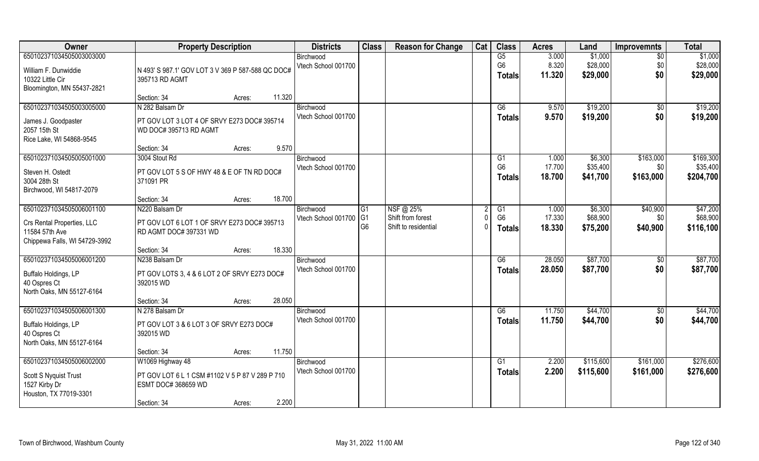| Owner                         | <b>Property Description</b>                       | <b>Districts</b>    | <b>Class</b>   | <b>Reason for Change</b> | Cat | <b>Class</b>   | <b>Acres</b> | Land      | <b>Improvemnts</b> | <b>Total</b> |
|-------------------------------|---------------------------------------------------|---------------------|----------------|--------------------------|-----|----------------|--------------|-----------|--------------------|--------------|
| 650102371034505003003000      |                                                   | Birchwood           |                |                          |     | G5             | 3.000        | \$1,000   | $\overline{50}$    | \$1,000      |
| William F. Dunwiddie          | N 493' S 987.1' GOV LOT 3 V 369 P 587-588 QC DOC# | Vtech School 001700 |                |                          |     | G <sub>6</sub> | 8.320        | \$28,000  | \$0                | \$28,000     |
| 10322 Little Cir              | 395713 RD AGMT                                    |                     |                |                          |     | <b>Totals</b>  | 11.320       | \$29,000  | \$0                | \$29,000     |
| Bloomington, MN 55437-2821    |                                                   |                     |                |                          |     |                |              |           |                    |              |
|                               | 11.320<br>Section: 34<br>Acres:                   |                     |                |                          |     |                |              |           |                    |              |
| 650102371034505003005000      | N 282 Balsam Dr                                   | Birchwood           |                |                          |     | G6             | 9.570        | \$19,200  | \$0                | \$19,200     |
| James J. Goodpaster           | PT GOV LOT 3 LOT 4 OF SRVY E273 DOC# 395714       | Vtech School 001700 |                |                          |     | <b>Totals</b>  | 9.570        | \$19,200  | \$0                | \$19,200     |
| 2057 15th St                  | WD DOC# 395713 RD AGMT                            |                     |                |                          |     |                |              |           |                    |              |
| Rice Lake, WI 54868-9545      |                                                   |                     |                |                          |     |                |              |           |                    |              |
|                               | 9.570<br>Section: 34<br>Acres:                    |                     |                |                          |     |                |              |           |                    |              |
| 650102371034505005001000      | 3004 Stout Rd                                     | Birchwood           |                |                          |     | G <sub>1</sub> | 1.000        | \$6,300   | \$163,000          | \$169,300    |
| Steven H. Ostedt              | PT GOV LOT 5 S OF HWY 48 & E OF TN RD DOC#        | Vtech School 001700 |                |                          |     | G <sub>6</sub> | 17.700       | \$35,400  | \$0                | \$35,400     |
| 3004 28th St                  | 371091 PR                                         |                     |                |                          |     | <b>Totals</b>  | 18.700       | \$41,700  | \$163,000          | \$204,700    |
| Birchwood, WI 54817-2079      |                                                   |                     |                |                          |     |                |              |           |                    |              |
|                               | 18.700<br>Section: 34<br>Acres:                   |                     |                |                          |     |                |              |           |                    |              |
| 650102371034505006001100      | N220 Balsam Dr                                    | Birchwood           | G <sub>1</sub> | NSF@ 25%                 |     | G1             | 1.000        | \$6,300   | \$40,900           | \$47,200     |
| Crs Rental Properties, LLC    | PT GOV LOT 6 LOT 1 OF SRVY E273 DOC# 395713       | Vtech School 001700 | G <sub>1</sub> | Shift from forest        |     | G <sub>6</sub> | 17.330       | \$68,900  | \$0                | \$68,900     |
| 11584 57th Ave                | RD AGMT DOC# 397331 WD                            |                     | G <sub>6</sub> | Shift to residential     |     | <b>Totals</b>  | 18.330       | \$75,200  | \$40,900           | \$116,100    |
| Chippewa Falls, WI 54729-3992 |                                                   |                     |                |                          |     |                |              |           |                    |              |
|                               | 18.330<br>Section: 34<br>Acres:                   |                     |                |                          |     |                |              |           |                    |              |
| 650102371034505006001200      | N238 Balsam Dr                                    | Birchwood           |                |                          |     | G6             | 28.050       | \$87,700  | \$0                | \$87,700     |
| Buffalo Holdings, LP          | PT GOV LOTS 3, 4 & 6 LOT 2 OF SRVY E273 DOC#      | Vtech School 001700 |                |                          |     | <b>Totals</b>  | 28.050       | \$87,700  | \$0                | \$87,700     |
| 40 Ospres Ct                  | 392015 WD                                         |                     |                |                          |     |                |              |           |                    |              |
| North Oaks, MN 55127-6164     |                                                   |                     |                |                          |     |                |              |           |                    |              |
|                               | 28.050<br>Section: 34<br>Acres:                   |                     |                |                          |     |                |              |           |                    |              |
| 650102371034505006001300      | N 278 Balsam Dr                                   | Birchwood           |                |                          |     | G6             | 11.750       | \$44,700  | \$0                | \$44,700     |
| Buffalo Holdings, LP          | PT GOV LOT 3 & 6 LOT 3 OF SRVY E273 DOC#          | Vtech School 001700 |                |                          |     | <b>Totals</b>  | 11.750       | \$44,700  | \$0                | \$44,700     |
| 40 Ospres Ct                  | 392015 WD                                         |                     |                |                          |     |                |              |           |                    |              |
| North Oaks, MN 55127-6164     |                                                   |                     |                |                          |     |                |              |           |                    |              |
|                               | 11.750<br>Section: 34<br>Acres:                   |                     |                |                          |     |                |              |           |                    |              |
| 650102371034505006002000      | W1069 Highway 48                                  | Birchwood           |                |                          |     | G <sub>1</sub> | 2.200        | \$115,600 | \$161,000          | \$276,600    |
| Scott S Nyquist Trust         | PT GOV LOT 6 L 1 CSM #1102 V 5 P 87 V 289 P 710   | Vtech School 001700 |                |                          |     | Totals         | 2.200        | \$115,600 | \$161,000          | \$276,600    |
| 1527 Kirby Dr                 | ESMT DOC# 368659 WD                               |                     |                |                          |     |                |              |           |                    |              |
| Houston, TX 77019-3301        |                                                   |                     |                |                          |     |                |              |           |                    |              |
|                               | 2.200<br>Section: 34<br>Acres:                    |                     |                |                          |     |                |              |           |                    |              |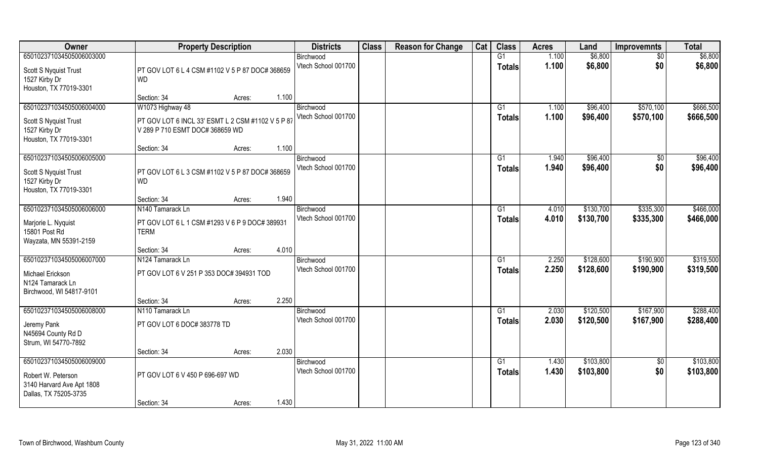| Owner                                                                                                | <b>Property Description</b>                                                                              |       | <b>Districts</b>                 | <b>Class</b> | <b>Reason for Change</b> | Cat | <b>Class</b>                    | <b>Acres</b>   | Land                   | <b>Improvemnts</b>     | <b>Total</b>           |
|------------------------------------------------------------------------------------------------------|----------------------------------------------------------------------------------------------------------|-------|----------------------------------|--------------|--------------------------|-----|---------------------------------|----------------|------------------------|------------------------|------------------------|
| 650102371034505006003000                                                                             |                                                                                                          |       | Birchwood                        |              |                          |     | G1                              | 1.100          | \$6,800                | $\overline{50}$        | \$6,800                |
| Scott S Nyquist Trust<br>1527 Kirby Dr<br>Houston, TX 77019-3301                                     | PT GOV LOT 6 L 4 CSM #1102 V 5 P 87 DOC# 368659<br><b>WD</b>                                             |       | Vtech School 001700              |              |                          |     | <b>Totals</b>                   | 1.100          | \$6,800                | \$0                    | \$6,800                |
|                                                                                                      | Section: 34<br>Acres:                                                                                    | 1.100 |                                  |              |                          |     |                                 |                |                        |                        |                        |
| 650102371034505006004000<br>Scott S Nyquist Trust<br>1527 Kirby Dr<br>Houston, TX 77019-3301         | W1073 Highway 48<br>PT GOV LOT 6 INCL 33' ESMT L 2 CSM #1102 V 5 P 87<br>V 289 P 710 ESMT DOC# 368659 WD |       | Birchwood<br>Vtech School 001700 |              |                          |     | G <sub>1</sub><br>Totals        | 1.100<br>1.100 | \$96,400<br>\$96,400   | \$570,100<br>\$570,100 | \$666,500<br>\$666,500 |
|                                                                                                      | Section: 34<br>Acres:                                                                                    | 1.100 |                                  |              |                          |     |                                 |                |                        |                        |                        |
| 650102371034505006005000                                                                             |                                                                                                          |       | Birchwood                        |              |                          |     | G1                              | 1.940          | \$96,400               | $\sqrt[6]{3}$          | \$96,400               |
| Scott S Nyquist Trust<br>1527 Kirby Dr<br>Houston, TX 77019-3301                                     | PT GOV LOT 6 L 3 CSM #1102 V 5 P 87 DOC# 368659<br><b>WD</b>                                             |       | Vtech School 001700              |              |                          |     | <b>Totals</b>                   | 1.940          | \$96,400               | \$0                    | \$96,400               |
|                                                                                                      | Section: 34<br>Acres:                                                                                    | 1.940 |                                  |              |                          |     |                                 |                |                        |                        |                        |
| 650102371034505006006000<br>Marjorie L. Nyquist<br>15801 Post Rd<br>Wayzata, MN 55391-2159           | N <sub>140</sub> Tamarack Ln<br>PT GOV LOT 6 L 1 CSM #1293 V 6 P 9 DOC# 389931<br><b>TERM</b>            |       | Birchwood<br>Vtech School 001700 |              |                          |     | G <sub>1</sub><br><b>Totals</b> | 4.010<br>4.010 | \$130,700<br>\$130,700 | \$335,300<br>\$335,300 | \$466,000<br>\$466,000 |
|                                                                                                      | Section: 34<br>Acres:                                                                                    | 4.010 |                                  |              |                          |     |                                 |                |                        |                        |                        |
| 650102371034505006007000<br>Michael Erickson<br>N124 Tamarack Ln<br>Birchwood, WI 54817-9101         | N124 Tamarack Ln<br>PT GOV LOT 6 V 251 P 353 DOC# 394931 TOD                                             |       | Birchwood<br>Vtech School 001700 |              |                          |     | G1<br><b>Totals</b>             | 2.250<br>2.250 | \$128,600<br>\$128,600 | \$190,900<br>\$190,900 | \$319,500<br>\$319,500 |
|                                                                                                      | Section: 34<br>Acres:                                                                                    | 2.250 |                                  |              |                          |     |                                 |                |                        |                        |                        |
| 650102371034505006008000<br>Jeremy Pank<br>N45694 County Rd D<br>Strum, WI 54770-7892                | N110 Tamarack Ln<br>PT GOV LOT 6 DOC# 383778 TD                                                          |       | Birchwood<br>Vtech School 001700 |              |                          |     | G1<br><b>Totals</b>             | 2.030<br>2.030 | \$120,500<br>\$120,500 | \$167,900<br>\$167,900 | \$288,400<br>\$288,400 |
|                                                                                                      | Section: 34<br>Acres:                                                                                    | 2.030 |                                  |              |                          |     |                                 |                |                        |                        |                        |
| 650102371034505006009000<br>Robert W. Peterson<br>3140 Harvard Ave Apt 1808<br>Dallas, TX 75205-3735 | PT GOV LOT 6 V 450 P 696-697 WD                                                                          |       | Birchwood<br>Vtech School 001700 |              |                          |     | G1<br>Totals                    | 1.430<br>1.430 | \$103,800<br>\$103,800 | \$0<br>\$0             | \$103,800<br>\$103,800 |
|                                                                                                      | Section: 34<br>Acres:                                                                                    | 1.430 |                                  |              |                          |     |                                 |                |                        |                        |                        |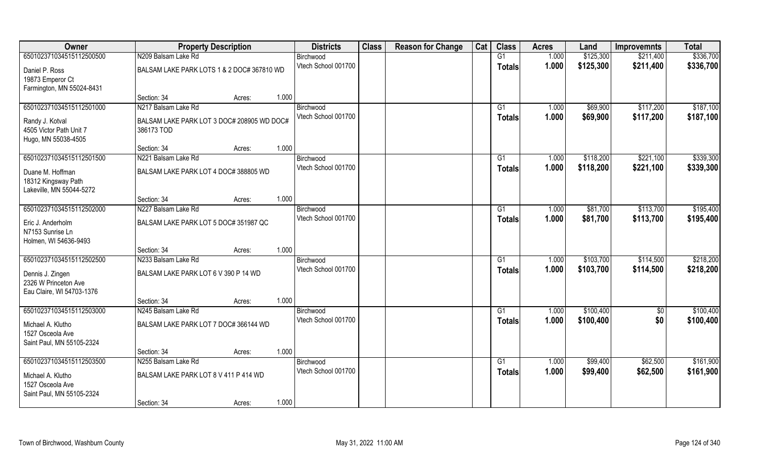| Owner                                    | <b>Property Description</b>                |        |       | <b>Districts</b>                 | <b>Class</b> | <b>Reason for Change</b> | Cat | <b>Class</b>  | <b>Acres</b> | Land      | <b>Improvemnts</b> | <b>Total</b> |
|------------------------------------------|--------------------------------------------|--------|-------|----------------------------------|--------------|--------------------------|-----|---------------|--------------|-----------|--------------------|--------------|
| 650102371034515112500500                 | N209 Balsam Lake Rd                        |        |       | Birchwood                        |              |                          |     | G1            | 1.000        | \$125,300 | \$211,400          | \$336,700    |
| Daniel P. Ross                           | BALSAM LAKE PARK LOTS 1 & 2 DOC# 367810 WD |        |       | Vtech School 001700              |              |                          |     | <b>Totals</b> | 1.000        | \$125,300 | \$211,400          | \$336,700    |
| 19873 Emperor Ct                         |                                            |        |       |                                  |              |                          |     |               |              |           |                    |              |
| Farmington, MN 55024-8431                |                                            |        |       |                                  |              |                          |     |               |              |           |                    |              |
|                                          | Section: 34                                | Acres: | 1.000 |                                  |              |                          |     |               |              |           |                    |              |
| 650102371034515112501000                 | N217 Balsam Lake Rd                        |        |       | Birchwood                        |              |                          |     | G1            | 1.000        | \$69,900  | \$117,200          | \$187,100    |
| Randy J. Kotval                          | BALSAM LAKE PARK LOT 3 DOC# 208905 WD DOC# |        |       | Vtech School 001700              |              |                          |     | <b>Totals</b> | 1.000        | \$69,900  | \$117,200          | \$187,100    |
| 4505 Victor Path Unit 7                  | 386173 TOD                                 |        |       |                                  |              |                          |     |               |              |           |                    |              |
| Hugo, MN 55038-4505                      |                                            |        |       |                                  |              |                          |     |               |              |           |                    |              |
|                                          | Section: 34                                | Acres: | 1.000 |                                  |              |                          |     |               |              |           |                    |              |
| 650102371034515112501500                 | N221 Balsam Lake Rd                        |        |       | Birchwood<br>Vtech School 001700 |              |                          |     | G1            | 1.000        | \$118,200 | \$221,100          | \$339,300    |
| Duane M. Hoffman                         | BALSAM LAKE PARK LOT 4 DOC# 388805 WD      |        |       |                                  |              |                          |     | <b>Totals</b> | 1.000        | \$118,200 | \$221,100          | \$339,300    |
| 18312 Kingsway Path                      |                                            |        |       |                                  |              |                          |     |               |              |           |                    |              |
| Lakeville, MN 55044-5272                 |                                            |        |       |                                  |              |                          |     |               |              |           |                    |              |
| 650102371034515112502000                 | Section: 34<br>N227 Balsam Lake Rd         | Acres: | 1.000 | Birchwood                        |              |                          |     | G1            | 1.000        | \$81,700  | \$113,700          | \$195,400    |
|                                          |                                            |        |       | Vtech School 001700              |              |                          |     | <b>Totals</b> | 1.000        | \$81,700  | \$113,700          | \$195,400    |
| Eric J. Anderholm                        | BALSAM LAKE PARK LOT 5 DOC# 351987 QC      |        |       |                                  |              |                          |     |               |              |           |                    |              |
| N7153 Sunrise Ln                         |                                            |        |       |                                  |              |                          |     |               |              |           |                    |              |
| Holmen, WI 54636-9493                    | Section: 34                                | Acres: | 1.000 |                                  |              |                          |     |               |              |           |                    |              |
| 650102371034515112502500                 | N233 Balsam Lake Rd                        |        |       | Birchwood                        |              |                          |     | G1            | 1.000        | \$103,700 | \$114,500          | \$218,200    |
|                                          |                                            |        |       | Vtech School 001700              |              |                          |     | <b>Totals</b> | 1.000        | \$103,700 | \$114,500          | \$218,200    |
| Dennis J. Zingen<br>2326 W Princeton Ave | BALSAM LAKE PARK LOT 6 V 390 P 14 WD       |        |       |                                  |              |                          |     |               |              |           |                    |              |
| Eau Claire, WI 54703-1376                |                                            |        |       |                                  |              |                          |     |               |              |           |                    |              |
|                                          | Section: 34                                | Acres: | 1.000 |                                  |              |                          |     |               |              |           |                    |              |
| 650102371034515112503000                 | N245 Balsam Lake Rd                        |        |       | Birchwood                        |              |                          |     | G1            | 1.000        | \$100,400 | $\overline{50}$    | \$100,400    |
| Michael A. Klutho                        | BALSAM LAKE PARK LOT 7 DOC# 366144 WD      |        |       | Vtech School 001700              |              |                          |     | <b>Totals</b> | 1.000        | \$100,400 | \$0                | \$100,400    |
| 1527 Osceola Ave                         |                                            |        |       |                                  |              |                          |     |               |              |           |                    |              |
| Saint Paul, MN 55105-2324                |                                            |        |       |                                  |              |                          |     |               |              |           |                    |              |
|                                          | Section: 34                                | Acres: | 1.000 |                                  |              |                          |     |               |              |           |                    |              |
| 650102371034515112503500                 | N255 Balsam Lake Rd                        |        |       | Birchwood                        |              |                          |     | G1            | 1.000        | \$99,400  | \$62,500           | \$161,900    |
| Michael A. Klutho                        | BALSAM LAKE PARK LOT 8 V 411 P 414 WD      |        |       | Vtech School 001700              |              |                          |     | <b>Totals</b> | 1.000        | \$99,400  | \$62,500           | \$161,900    |
| 1527 Osceola Ave                         |                                            |        |       |                                  |              |                          |     |               |              |           |                    |              |
| Saint Paul, MN 55105-2324                |                                            |        |       |                                  |              |                          |     |               |              |           |                    |              |
|                                          | Section: 34                                | Acres: | 1.000 |                                  |              |                          |     |               |              |           |                    |              |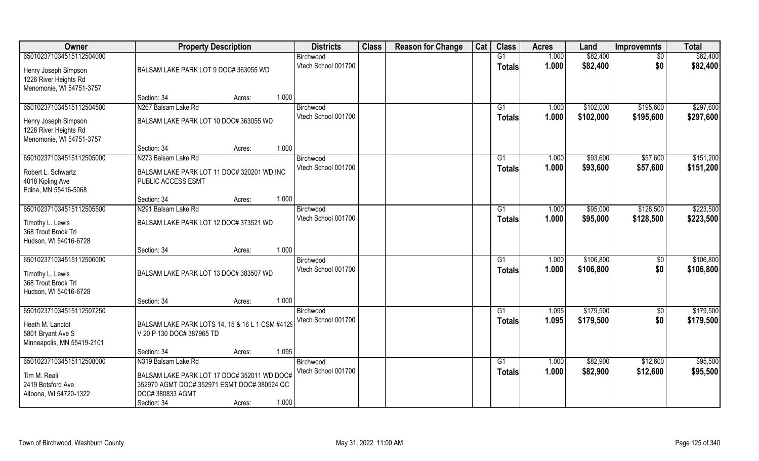| <b>Owner</b>                                                                                          | <b>Property Description</b>                                                                                                                      | <b>Districts</b>                 | <b>Class</b> | <b>Reason for Change</b> | Cat | <b>Class</b>                    | <b>Acres</b>   | Land                   | <b>Improvemnts</b>     | <b>Total</b>           |
|-------------------------------------------------------------------------------------------------------|--------------------------------------------------------------------------------------------------------------------------------------------------|----------------------------------|--------------|--------------------------|-----|---------------------------------|----------------|------------------------|------------------------|------------------------|
| 650102371034515112504000                                                                              |                                                                                                                                                  | Birchwood                        |              |                          |     | G1                              | 1.000          | \$82,400               | $\overline{50}$        | \$82,400               |
| Henry Joseph Simpson<br>1226 River Heights Rd<br>Menomonie, WI 54751-3757                             | BALSAM LAKE PARK LOT 9 DOC# 363055 WD                                                                                                            | Vtech School 001700              |              |                          |     | <b>Totals</b>                   | 1.000          | \$82,400               | \$0                    | \$82,400               |
|                                                                                                       | 1.000<br>Section: 34<br>Acres:                                                                                                                   |                                  |              |                          |     |                                 |                |                        |                        |                        |
| 650102371034515112504500<br>Henry Joseph Simpson<br>1226 River Heights Rd<br>Menomonie, WI 54751-3757 | N267 Balsam Lake Rd<br>BALSAM LAKE PARK LOT 10 DOC# 363055 WD                                                                                    | Birchwood<br>Vtech School 001700 |              |                          |     | G <sub>1</sub><br><b>Totals</b> | 1.000<br>1.000 | \$102,000<br>\$102,000 | \$195,600<br>\$195,600 | \$297,600<br>\$297,600 |
|                                                                                                       | 1.000<br>Section: 34<br>Acres:                                                                                                                   |                                  |              |                          |     |                                 |                |                        |                        |                        |
| 650102371034515112505000                                                                              | N273 Balsam Lake Rd                                                                                                                              | Birchwood                        |              |                          |     | G1                              | 1.000          | \$93,600               | \$57,600               | \$151,200              |
| Robert L. Schwartz<br>4018 Kipling Ave<br>Edina, MN 55416-5068                                        | BALSAM LAKE PARK LOT 11 DOC# 320201 WD INC<br>PUBLIC ACCESS ESMT                                                                                 | Vtech School 001700              |              |                          |     | <b>Totals</b>                   | 1.000          | \$93,600               | \$57,600               | \$151,200              |
|                                                                                                       | 1.000<br>Section: 34<br>Acres:                                                                                                                   |                                  |              |                          |     |                                 |                |                        |                        |                        |
| 650102371034515112505500                                                                              | N291 Balsam Lake Rd                                                                                                                              | Birchwood                        |              |                          |     | G <sub>1</sub>                  | 1.000          | \$95,000               | \$128,500              | \$223,500              |
| Timothy L. Lewis<br>368 Trout Brook Trl<br>Hudson, WI 54016-6728                                      | BALSAM LAKE PARK LOT 12 DOC# 373521 WD                                                                                                           | Vtech School 001700              |              |                          |     | <b>Totals</b>                   | 1.000          | \$95,000               | \$128,500              | \$223,500              |
|                                                                                                       | 1.000<br>Section: 34<br>Acres:                                                                                                                   |                                  |              |                          |     |                                 |                |                        |                        |                        |
| 650102371034515112506000<br>Timothy L. Lewis<br>368 Trout Brook Trl<br>Hudson, WI 54016-6728          | BALSAM LAKE PARK LOT 13 DOC# 383507 WD                                                                                                           | Birchwood<br>Vtech School 001700 |              |                          |     | G1<br><b>Totals</b>             | 1.000<br>1.000 | \$106,800<br>\$106,800 | \$0<br>\$0             | \$106,800<br>\$106,800 |
|                                                                                                       | 1.000<br>Section: 34<br>Acres:                                                                                                                   |                                  |              |                          |     |                                 |                |                        |                        |                        |
| 650102371034515112507250                                                                              |                                                                                                                                                  | Birchwood                        |              |                          |     | G1                              | 1.095          | \$179,500              | $\overline{50}$        | \$179,500              |
| Heath M. Lanctot<br>5801 Bryant Ave S<br>Minneapolis, MN 55419-2101                                   | BALSAM LAKE PARK LOTS 14, 15 & 16 L 1 CSM #4129<br>V 20 P 130 DOC# 387965 TD                                                                     | Vtech School 001700              |              |                          |     | <b>Totals</b>                   | 1.095          | \$179,500              | \$0                    | \$179,500              |
|                                                                                                       | 1.095<br>Section: 34<br>Acres:                                                                                                                   |                                  |              |                          |     |                                 |                |                        |                        |                        |
| 650102371034515112508000                                                                              | N319 Balsam Lake Rd                                                                                                                              | Birchwood<br>Vtech School 001700 |              |                          |     | G <sub>1</sub>                  | 1.000<br>1.000 | \$82,900               | \$12,600               | \$95,500               |
| Tim M. Reali<br>2419 Botsford Ave<br>Altoona, WI 54720-1322                                           | BALSAM LAKE PARK LOT 17 DOC# 352011 WD DOC#<br>352970 AGMT DOC# 352971 ESMT DOC# 380524 QC<br>DOC# 380833 AGMT<br>1.000<br>Section: 34<br>Acres: |                                  |              |                          |     | <b>Totals</b>                   |                | \$82,900               | \$12,600               | \$95,500               |
|                                                                                                       |                                                                                                                                                  |                                  |              |                          |     |                                 |                |                        |                        |                        |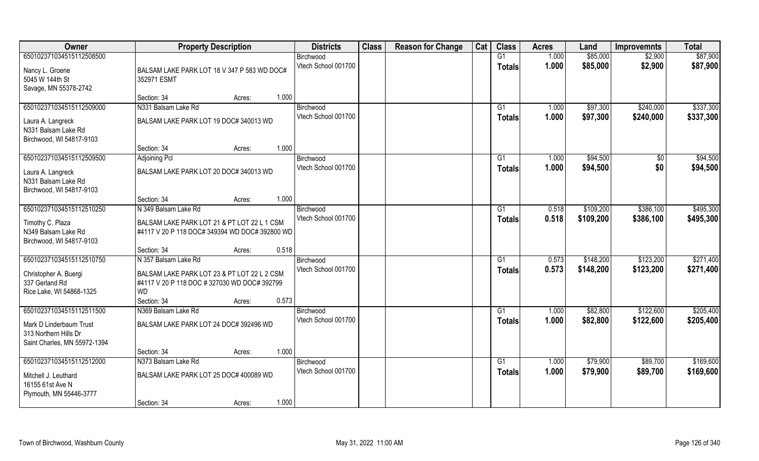| Owner                        | <b>Property Description</b>                    | <b>Districts</b>    | <b>Class</b> | <b>Reason for Change</b> | Cat | <b>Class</b>    | <b>Acres</b> | Land      | <b>Improvemnts</b> | <b>Total</b> |
|------------------------------|------------------------------------------------|---------------------|--------------|--------------------------|-----|-----------------|--------------|-----------|--------------------|--------------|
| 650102371034515112508500     |                                                | Birchwood           |              |                          |     | G1              | 1.000        | \$85,000  | \$2,900            | \$87,900     |
| Nancy L. Groene              | BALSAM LAKE PARK LOT 18 V 347 P 583 WD DOC#    | Vtech School 001700 |              |                          |     | <b>Totals</b>   | 1.000        | \$85,000  | \$2,900            | \$87,900     |
| 5045 W 144th St              | 352971 ESMT                                    |                     |              |                          |     |                 |              |           |                    |              |
| Savage, MN 55378-2742        |                                                |                     |              |                          |     |                 |              |           |                    |              |
|                              | 1.000<br>Section: 34<br>Acres:                 |                     |              |                          |     |                 |              |           |                    |              |
| 650102371034515112509000     | N331 Balsam Lake Rd                            | Birchwood           |              |                          |     | G1              | 1.000        | \$97,300  | \$240,000          | \$337,300    |
| Laura A. Langreck            | BALSAM LAKE PARK LOT 19 DOC# 340013 WD         | Vtech School 001700 |              |                          |     | Totals          | 1.000        | \$97,300  | \$240,000          | \$337,300    |
| N331 Balsam Lake Rd          |                                                |                     |              |                          |     |                 |              |           |                    |              |
| Birchwood, WI 54817-9103     |                                                |                     |              |                          |     |                 |              |           |                    |              |
|                              | 1.000<br>Section: 34<br>Acres:                 |                     |              |                          |     |                 |              |           |                    |              |
| 650102371034515112509500     | <b>Adjoining Pcl</b>                           | Birchwood           |              |                          |     | G1              | 1.000        | \$94,500  | $\sqrt[6]{30}$     | \$94,500     |
| Laura A. Langreck            | BALSAM LAKE PARK LOT 20 DOC# 340013 WD         | Vtech School 001700 |              |                          |     | <b>Totals</b>   | 1.000        | \$94,500  | \$0                | \$94,500     |
| N331 Balsam Lake Rd          |                                                |                     |              |                          |     |                 |              |           |                    |              |
| Birchwood, WI 54817-9103     |                                                |                     |              |                          |     |                 |              |           |                    |              |
|                              | 1.000<br>Section: 34<br>Acres:                 |                     |              |                          |     |                 |              |           |                    |              |
| 650102371034515112510250     | N 349 Balsam Lake Rd                           | Birchwood           |              |                          |     | G <sub>1</sub>  | 0.518        | \$109,200 | \$386,100          | \$495,300    |
| Timothy C. Plaza             | BALSAM LAKE PARK LOT 21 & PT LOT 22 L 1 CSM    | Vtech School 001700 |              |                          |     | <b>Totals</b>   | 0.518        | \$109,200 | \$386,100          | \$495,300    |
| N349 Balsam Lake Rd          | #4117 V 20 P 118 DOC# 349394 WD DOC# 392800 WD |                     |              |                          |     |                 |              |           |                    |              |
| Birchwood, WI 54817-9103     |                                                |                     |              |                          |     |                 |              |           |                    |              |
|                              | 0.518<br>Section: 34<br>Acres:                 |                     |              |                          |     |                 |              |           |                    |              |
| 650102371034515112510750     | N 357 Balsam Lake Rd                           | Birchwood           |              |                          |     | G1              | 0.573        | \$148,200 | \$123,200          | \$271,400    |
| Christopher A. Buergi        | BALSAM LAKE PARK LOT 23 & PT LOT 22 L 2 CSM    | Vtech School 001700 |              |                          |     | <b>Totals</b>   | 0.573        | \$148,200 | \$123,200          | \$271,400    |
| 337 Gerland Rd               | #4117 V 20 P 118 DOC #327030 WD DOC#392799     |                     |              |                          |     |                 |              |           |                    |              |
| Rice Lake, WI 54868-1325     | WD.                                            |                     |              |                          |     |                 |              |           |                    |              |
|                              | 0.573<br>Section: 34<br>Acres:                 |                     |              |                          |     |                 |              |           |                    |              |
| 650102371034515112511500     | N369 Balsam Lake Rd                            | Birchwood           |              |                          |     | G1              | 1.000        | \$82,800  | \$122,600          | \$205,400    |
| Mark D Linderbaum Trust      | BALSAM LAKE PARK LOT 24 DOC# 392496 WD         | Vtech School 001700 |              |                          |     | <b>Totals</b>   | 1.000        | \$82,800  | \$122,600          | \$205,400    |
| 313 Northern Hills Dr        |                                                |                     |              |                          |     |                 |              |           |                    |              |
| Saint Charles, MN 55972-1394 |                                                |                     |              |                          |     |                 |              |           |                    |              |
|                              | 1.000<br>Section: 34<br>Acres:                 |                     |              |                          |     |                 |              |           |                    |              |
| 650102371034515112512000     | N373 Balsam Lake Rd                            | Birchwood           |              |                          |     | $\overline{G1}$ | 1.000        | \$79,900  | \$89,700           | \$169,600    |
| Mitchell J. Leuthard         | BALSAM LAKE PARK LOT 25 DOC# 400089 WD         | Vtech School 001700 |              |                          |     | <b>Totals</b>   | 1.000        | \$79,900  | \$89,700           | \$169,600    |
| 16155 61st Ave N             |                                                |                     |              |                          |     |                 |              |           |                    |              |
| Plymouth, MN 55446-3777      |                                                |                     |              |                          |     |                 |              |           |                    |              |
|                              | 1.000<br>Section: 34<br>Acres:                 |                     |              |                          |     |                 |              |           |                    |              |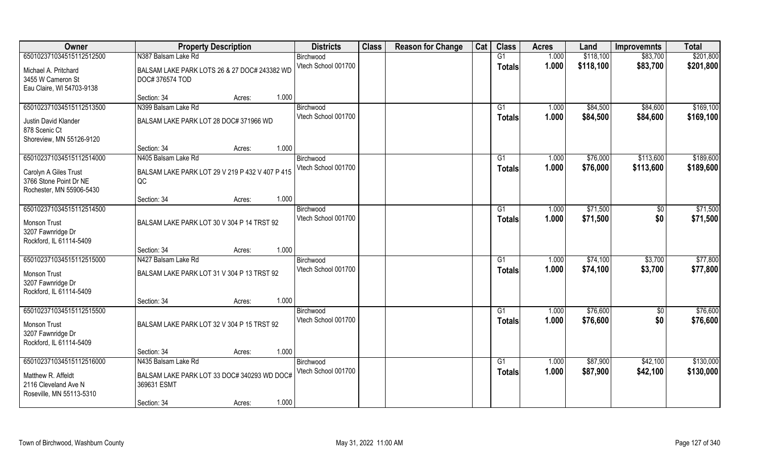| Owner                     | <b>Property Description</b>                           | <b>Districts</b>                 | <b>Class</b> | <b>Reason for Change</b> | Cat | <b>Class</b>  | <b>Acres</b>   | Land                 | <b>Improvemnts</b>     | <b>Total</b> |
|---------------------------|-------------------------------------------------------|----------------------------------|--------------|--------------------------|-----|---------------|----------------|----------------------|------------------------|--------------|
| 650102371034515112512500  | N387 Balsam Lake Rd                                   | Birchwood                        |              |                          |     | G1            | 1.000          | \$118,100            | \$83,700               | \$201,800    |
| Michael A. Pritchard      | BALSAM LAKE PARK LOTS 26 & 27 DOC# 243382 WD          | Vtech School 001700              |              |                          |     | <b>Totals</b> | 1.000          | \$118,100            | \$83,700               | \$201,800    |
| 3455 W Cameron St         | DOC#376574 TOD                                        |                                  |              |                          |     |               |                |                      |                        |              |
| Eau Claire, WI 54703-9138 |                                                       |                                  |              |                          |     |               |                |                      |                        |              |
|                           | 1.000<br>Section: 34<br>Acres:                        |                                  |              |                          |     |               |                |                      |                        |              |
| 650102371034515112513500  | N399 Balsam Lake Rd                                   | Birchwood                        |              |                          |     | G1            | 1.000          | \$84,500             | \$84,600               | \$169,100    |
| Justin David Klander      | BALSAM LAKE PARK LOT 28 DOC# 371966 WD                | Vtech School 001700              |              |                          |     | Totals        | 1.000          | \$84,500             | \$84,600               | \$169,100    |
| 878 Scenic Ct             |                                                       |                                  |              |                          |     |               |                |                      |                        |              |
| Shoreview, MN 55126-9120  |                                                       |                                  |              |                          |     |               |                |                      |                        |              |
|                           | 1.000<br>Section: 34<br>Acres:                        |                                  |              |                          |     |               |                |                      |                        |              |
| 650102371034515112514000  | N405 Balsam Lake Rd                                   | Birchwood                        |              |                          |     | G1            | 1.000          | \$76,000             | \$113,600              | \$189,600    |
| Carolyn A Giles Trust     | BALSAM LAKE PARK LOT 29 V 219 P 432 V 407 P 415       | Vtech School 001700              |              |                          |     | <b>Totals</b> | 1.000          | \$76,000             | \$113,600              | \$189,600    |
| 3766 Stone Point Dr NE    | QC                                                    |                                  |              |                          |     |               |                |                      |                        |              |
| Rochester, MN 55906-5430  |                                                       |                                  |              |                          |     |               |                |                      |                        |              |
|                           | 1.000<br>Section: 34<br>Acres:                        |                                  |              |                          |     |               |                |                      |                        |              |
| 650102371034515112514500  |                                                       | Birchwood                        |              |                          |     | G1            | 1.000          | \$71,500             | $\sqrt[6]{3}$          | \$71,500     |
| Monson Trust              | BALSAM LAKE PARK LOT 30 V 304 P 14 TRST 92            | Vtech School 001700              |              |                          |     | <b>Totals</b> | 1.000          | \$71,500             | \$0                    | \$71,500     |
| 3207 Fawnridge Dr         |                                                       |                                  |              |                          |     |               |                |                      |                        |              |
| Rockford, IL 61114-5409   |                                                       |                                  |              |                          |     |               |                |                      |                        |              |
|                           | 1.000<br>Section: 34<br>Acres:                        |                                  |              |                          |     |               |                |                      |                        |              |
| 650102371034515112515000  | N427 Balsam Lake Rd                                   | Birchwood                        |              |                          |     | G1            | 1.000          | \$74,100             | \$3,700                | \$77,800     |
| Monson Trust              | BALSAM LAKE PARK LOT 31 V 304 P 13 TRST 92            | Vtech School 001700              |              |                          |     | <b>Totals</b> | 1.000          | \$74,100             | \$3,700                | \$77,800     |
| 3207 Fawnridge Dr         |                                                       |                                  |              |                          |     |               |                |                      |                        |              |
| Rockford, IL 61114-5409   |                                                       |                                  |              |                          |     |               |                |                      |                        |              |
|                           | 1.000<br>Section: 34<br>Acres:                        |                                  |              |                          |     |               |                |                      |                        |              |
| 650102371034515112515500  |                                                       | Birchwood<br>Vtech School 001700 |              |                          |     | G1            | 1.000<br>1.000 | \$76,600<br>\$76,600 | $\overline{60}$<br>\$0 | \$76,600     |
| <b>Monson Trust</b>       | BALSAM LAKE PARK LOT 32 V 304 P 15 TRST 92            |                                  |              |                          |     | <b>Totals</b> |                |                      |                        | \$76,600     |
| 3207 Fawnridge Dr         |                                                       |                                  |              |                          |     |               |                |                      |                        |              |
| Rockford, IL 61114-5409   |                                                       |                                  |              |                          |     |               |                |                      |                        |              |
| 650102371034515112516000  | 1.000<br>Section: 34<br>Acres:<br>N435 Balsam Lake Rd |                                  |              |                          |     | G1            | 1.000          | \$87,900             | \$42,100               | \$130,000    |
|                           |                                                       | Birchwood<br>Vtech School 001700 |              |                          |     |               | 1.000          | \$87,900             | \$42,100               | \$130,000    |
| Matthew R. Affeldt        | BALSAM LAKE PARK LOT 33 DOC# 340293 WD DOC#           |                                  |              |                          |     | Totals        |                |                      |                        |              |
| 2116 Cleveland Ave N      | 369631 ESMT                                           |                                  |              |                          |     |               |                |                      |                        |              |
| Roseville, MN 55113-5310  |                                                       |                                  |              |                          |     |               |                |                      |                        |              |
|                           | 1.000<br>Section: 34<br>Acres:                        |                                  |              |                          |     |               |                |                      |                        |              |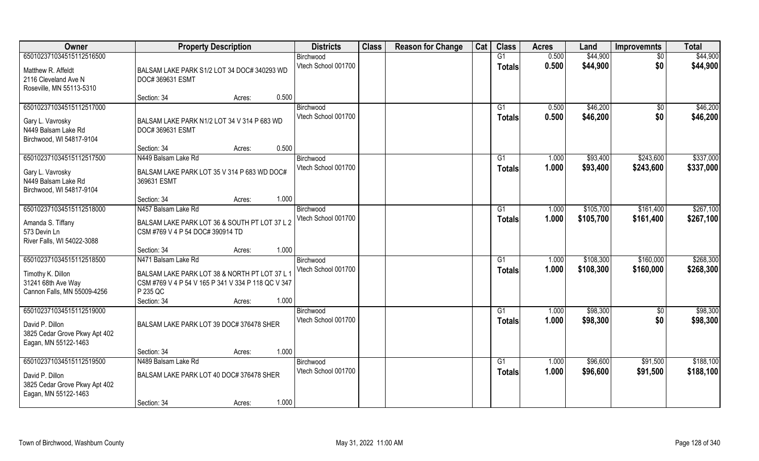| Owner                                   | <b>Property Description</b>                                                                         |       | <b>Districts</b>                 | <b>Class</b> | <b>Reason for Change</b> | Cat | <b>Class</b>    | <b>Acres</b> | Land      | <b>Improvemnts</b> | <b>Total</b> |
|-----------------------------------------|-----------------------------------------------------------------------------------------------------|-------|----------------------------------|--------------|--------------------------|-----|-----------------|--------------|-----------|--------------------|--------------|
| 650102371034515112516500                |                                                                                                     |       | Birchwood                        |              |                          |     | G1              | 0.500        | \$44,900  | \$0                | \$44,900     |
| Matthew R. Affeldt                      | BALSAM LAKE PARK S1/2 LOT 34 DOC# 340293 WD                                                         |       | Vtech School 001700              |              |                          |     | <b>Totals</b>   | 0.500        | \$44,900  | \$0                | \$44,900     |
| 2116 Cleveland Ave N                    | DOC# 369631 ESMT                                                                                    |       |                                  |              |                          |     |                 |              |           |                    |              |
| Roseville, MN 55113-5310                |                                                                                                     |       |                                  |              |                          |     |                 |              |           |                    |              |
|                                         | Section: 34<br>Acres:                                                                               | 0.500 |                                  |              |                          |     |                 |              |           |                    |              |
| 650102371034515112517000                |                                                                                                     |       | Birchwood                        |              |                          |     | G1              | 0.500        | \$46,200  | \$0                | \$46,200     |
| Gary L. Vavrosky                        | BALSAM LAKE PARK N1/2 LOT 34 V 314 P 683 WD                                                         |       | Vtech School 001700              |              |                          |     | Totals          | 0.500        | \$46,200  | \$0                | \$46,200     |
| N449 Balsam Lake Rd                     | DOC# 369631 ESMT                                                                                    |       |                                  |              |                          |     |                 |              |           |                    |              |
| Birchwood, WI 54817-9104                |                                                                                                     |       |                                  |              |                          |     |                 |              |           |                    |              |
|                                         | Section: 34<br>Acres:                                                                               | 0.500 |                                  |              |                          |     |                 |              |           |                    |              |
| 650102371034515112517500                | N449 Balsam Lake Rd                                                                                 |       | Birchwood<br>Vtech School 001700 |              |                          |     | G1              | 1.000        | \$93,400  | \$243,600          | \$337,000    |
| Gary L. Vavrosky                        | BALSAM LAKE PARK LOT 35 V 314 P 683 WD DOC#                                                         |       |                                  |              |                          |     | <b>Totals</b>   | 1.000        | \$93,400  | \$243,600          | \$337,000    |
| N449 Balsam Lake Rd                     | 369631 ESMT                                                                                         |       |                                  |              |                          |     |                 |              |           |                    |              |
| Birchwood, WI 54817-9104                |                                                                                                     |       |                                  |              |                          |     |                 |              |           |                    |              |
| 650102371034515112518000                | Section: 34<br>Acres:<br>N457 Balsam Lake Rd                                                        | 1.000 | Birchwood                        |              |                          |     | G <sub>1</sub>  | 1.000        | \$105,700 | \$161,400          | \$267,100    |
|                                         |                                                                                                     |       | Vtech School 001700              |              |                          |     | <b>Totals</b>   | 1.000        | \$105,700 | \$161,400          | \$267,100    |
| Amanda S. Tiffany                       | BALSAM LAKE PARK LOT 36 & SOUTH PT LOT 37 L 2                                                       |       |                                  |              |                          |     |                 |              |           |                    |              |
| 573 Devin Ln                            | CSM #769 V 4 P 54 DOC# 390914 TD                                                                    |       |                                  |              |                          |     |                 |              |           |                    |              |
| River Falls, WI 54022-3088              | Section: 34<br>Acres:                                                                               | 1.000 |                                  |              |                          |     |                 |              |           |                    |              |
| 650102371034515112518500                | N471 Balsam Lake Rd                                                                                 |       | Birchwood                        |              |                          |     | G1              | 1.000        | \$108,300 | \$160,000          | \$268,300    |
|                                         |                                                                                                     |       | Vtech School 001700              |              |                          |     | <b>Totals</b>   | 1.000        | \$108,300 | \$160,000          | \$268,300    |
| Timothy K. Dillon<br>31241 68th Ave Way | BALSAM LAKE PARK LOT 38 & NORTH PT LOT 37 L 1<br>CSM #769 V 4 P 54 V 165 P 341 V 334 P 118 QC V 347 |       |                                  |              |                          |     |                 |              |           |                    |              |
| Cannon Falls, MN 55009-4256             | P 235 QC                                                                                            |       |                                  |              |                          |     |                 |              |           |                    |              |
|                                         | Section: 34<br>Acres:                                                                               | 1.000 |                                  |              |                          |     |                 |              |           |                    |              |
| 650102371034515112519000                |                                                                                                     |       | Birchwood                        |              |                          |     | G1              | 1.000        | \$98,300  | \$0                | \$98,300     |
| David P. Dillon                         | BALSAM LAKE PARK LOT 39 DOC# 376478 SHER                                                            |       | Vtech School 001700              |              |                          |     | <b>Totals</b>   | 1.000        | \$98,300  | \$0                | \$98,300     |
| 3825 Cedar Grove Pkwy Apt 402           |                                                                                                     |       |                                  |              |                          |     |                 |              |           |                    |              |
| Eagan, MN 55122-1463                    |                                                                                                     |       |                                  |              |                          |     |                 |              |           |                    |              |
|                                         | Section: 34<br>Acres:                                                                               | 1.000 |                                  |              |                          |     |                 |              |           |                    |              |
| 650102371034515112519500                | N489 Balsam Lake Rd                                                                                 |       | Birchwood                        |              |                          |     | $\overline{G1}$ | 1.000        | \$96,600  | \$91,500           | \$188,100    |
| David P. Dillon                         | BALSAM LAKE PARK LOT 40 DOC# 376478 SHER                                                            |       | Vtech School 001700              |              |                          |     | <b>Totals</b>   | 1.000        | \$96,600  | \$91,500           | \$188,100    |
| 3825 Cedar Grove Pkwy Apt 402           |                                                                                                     |       |                                  |              |                          |     |                 |              |           |                    |              |
| Eagan, MN 55122-1463                    |                                                                                                     |       |                                  |              |                          |     |                 |              |           |                    |              |
|                                         | Section: 34<br>Acres:                                                                               | 1.000 |                                  |              |                          |     |                 |              |           |                    |              |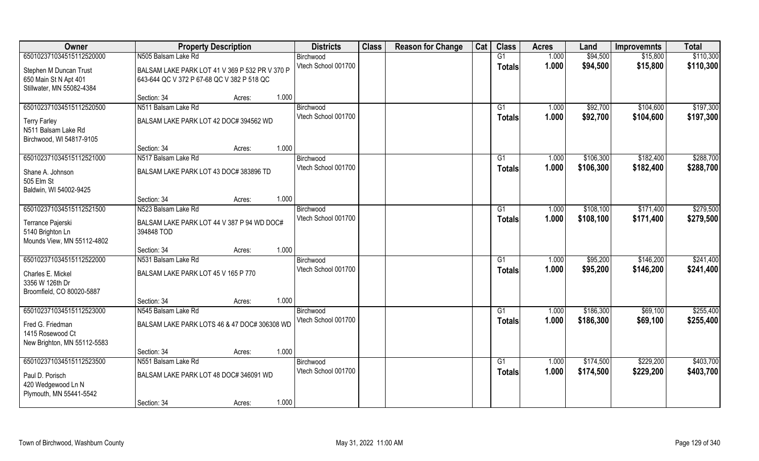| Owner                       | <b>Property Description</b>                    |       | <b>Districts</b>    | <b>Class</b> | <b>Reason for Change</b> | Cat | <b>Class</b>    | <b>Acres</b> | Land      | <b>Improvemnts</b> | <b>Total</b> |
|-----------------------------|------------------------------------------------|-------|---------------------|--------------|--------------------------|-----|-----------------|--------------|-----------|--------------------|--------------|
| 650102371034515112520000    | N505 Balsam Lake Rd                            |       | Birchwood           |              |                          |     | G1              | 1.000        | \$94,500  | \$15,800           | \$110,300    |
| Stephen M Duncan Trust      | BALSAM LAKE PARK LOT 41 V 369 P 532 PR V 370 P |       | Vtech School 001700 |              |                          |     | <b>Totals</b>   | 1.000        | \$94,500  | \$15,800           | \$110,300    |
| 650 Main St N Apt 401       | 643-644 QC V 372 P 67-68 QC V 382 P 518 QC     |       |                     |              |                          |     |                 |              |           |                    |              |
| Stillwater, MN 55082-4384   |                                                |       |                     |              |                          |     |                 |              |           |                    |              |
|                             | Section: 34<br>Acres:                          | 1.000 |                     |              |                          |     |                 |              |           |                    |              |
| 650102371034515112520500    | N511 Balsam Lake Rd                            |       | Birchwood           |              |                          |     | G1              | 1.000        | \$92,700  | \$104,600          | \$197,300    |
| <b>Terry Farley</b>         | BALSAM LAKE PARK LOT 42 DOC# 394562 WD         |       | Vtech School 001700 |              |                          |     | Totals          | 1.000        | \$92,700  | \$104,600          | \$197,300    |
| N511 Balsam Lake Rd         |                                                |       |                     |              |                          |     |                 |              |           |                    |              |
| Birchwood, WI 54817-9105    |                                                |       |                     |              |                          |     |                 |              |           |                    |              |
|                             | Section: 34<br>Acres:                          | 1.000 |                     |              |                          |     |                 |              |           |                    |              |
| 650102371034515112521000    | N517 Balsam Lake Rd                            |       | Birchwood           |              |                          |     | G1              | 1.000        | \$106,300 | \$182,400          | \$288,700    |
| Shane A. Johnson            | BALSAM LAKE PARK LOT 43 DOC# 383896 TD         |       | Vtech School 001700 |              |                          |     | <b>Totals</b>   | 1.000        | \$106,300 | \$182,400          | \$288,700    |
| 505 Elm St                  |                                                |       |                     |              |                          |     |                 |              |           |                    |              |
| Baldwin, WI 54002-9425      |                                                |       |                     |              |                          |     |                 |              |           |                    |              |
|                             | Section: 34<br>Acres:                          | 1.000 |                     |              |                          |     |                 |              |           |                    |              |
| 650102371034515112521500    | N523 Balsam Lake Rd                            |       | Birchwood           |              |                          |     | G1              | 1.000        | \$108,100 | \$171,400          | \$279,500    |
| Terrance Pajerski           | BALSAM LAKE PARK LOT 44 V 387 P 94 WD DOC#     |       | Vtech School 001700 |              |                          |     | <b>Totals</b>   | 1.000        | \$108,100 | \$171,400          | \$279,500    |
| 5140 Brighton Ln            | 394848 TOD                                     |       |                     |              |                          |     |                 |              |           |                    |              |
| Mounds View, MN 55112-4802  |                                                |       |                     |              |                          |     |                 |              |           |                    |              |
|                             | Section: 34<br>Acres:                          | 1.000 |                     |              |                          |     |                 |              |           |                    |              |
| 650102371034515112522000    | N531 Balsam Lake Rd                            |       | Birchwood           |              |                          |     | G1              | 1.000        | \$95,200  | \$146,200          | \$241,400    |
| Charles E. Mickel           | BALSAM LAKE PARK LOT 45 V 165 P 770            |       | Vtech School 001700 |              |                          |     | <b>Totals</b>   | 1.000        | \$95,200  | \$146,200          | \$241,400    |
| 3356 W 126th Dr             |                                                |       |                     |              |                          |     |                 |              |           |                    |              |
| Broomfield, CO 80020-5887   |                                                |       |                     |              |                          |     |                 |              |           |                    |              |
|                             | Section: 34<br>Acres:                          | 1.000 |                     |              |                          |     |                 |              |           |                    |              |
| 650102371034515112523000    | N545 Balsam Lake Rd                            |       | Birchwood           |              |                          |     | G1              | 1.000        | \$186,300 | \$69,100           | \$255,400    |
| Fred G. Friedman            | BALSAM LAKE PARK LOTS 46 & 47 DOC# 306308 WD   |       | Vtech School 001700 |              |                          |     | <b>Totals</b>   | 1.000        | \$186,300 | \$69,100           | \$255,400    |
| 1415 Rosewood Ct            |                                                |       |                     |              |                          |     |                 |              |           |                    |              |
| New Brighton, MN 55112-5583 |                                                |       |                     |              |                          |     |                 |              |           |                    |              |
|                             | Section: 34<br>Acres:                          | 1.000 |                     |              |                          |     |                 |              |           |                    |              |
| 650102371034515112523500    | N551 Balsam Lake Rd                            |       | Birchwood           |              |                          |     | $\overline{G1}$ | 1.000        | \$174,500 | \$229,200          | \$403,700    |
| Paul D. Porisch             | BALSAM LAKE PARK LOT 48 DOC# 346091 WD         |       | Vtech School 001700 |              |                          |     | <b>Totals</b>   | 1.000        | \$174,500 | \$229,200          | \$403,700    |
| 420 Wedgewood Ln N          |                                                |       |                     |              |                          |     |                 |              |           |                    |              |
| Plymouth, MN 55441-5542     |                                                |       |                     |              |                          |     |                 |              |           |                    |              |
|                             | Section: 34<br>Acres:                          | 1.000 |                     |              |                          |     |                 |              |           |                    |              |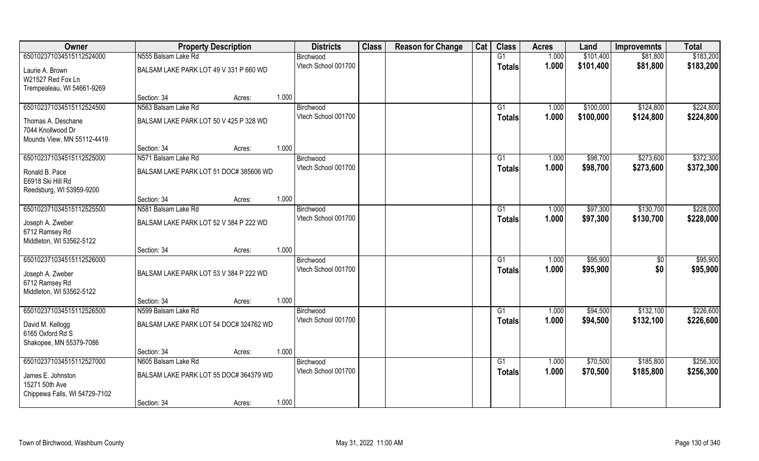| Owner                         | <b>Property Description</b>            |        |       | <b>Districts</b>    | <b>Class</b> | <b>Reason for Change</b> | Cat | <b>Class</b>  | <b>Acres</b> | Land      | <b>Improvemnts</b> | <b>Total</b> |
|-------------------------------|----------------------------------------|--------|-------|---------------------|--------------|--------------------------|-----|---------------|--------------|-----------|--------------------|--------------|
| 650102371034515112524000      | N555 Balsam Lake Rd                    |        |       | Birchwood           |              |                          |     | G1            | 1.000        | \$101,400 | \$81,800           | \$183,200    |
| Laurie A. Brown               | BALSAM LAKE PARK LOT 49 V 331 P 660 WD |        |       | Vtech School 001700 |              |                          |     | <b>Totals</b> | 1.000        | \$101,400 | \$81,800           | \$183,200    |
| W21527 Red Fox Ln             |                                        |        |       |                     |              |                          |     |               |              |           |                    |              |
| Trempealeau, WI 54661-9269    |                                        |        |       |                     |              |                          |     |               |              |           |                    |              |
|                               | Section: 34                            | Acres: | 1.000 |                     |              |                          |     |               |              |           |                    |              |
| 650102371034515112524500      | N563 Balsam Lake Rd                    |        |       | Birchwood           |              |                          |     | G1            | 1.000        | \$100,000 | \$124,800          | \$224,800    |
| Thomas A. Deschane            | BALSAM LAKE PARK LOT 50 V 425 P 328 WD |        |       | Vtech School 001700 |              |                          |     | <b>Totals</b> | 1.000        | \$100,000 | \$124,800          | \$224,800    |
| 7044 Knollwood Dr             |                                        |        |       |                     |              |                          |     |               |              |           |                    |              |
| Mounds View, MN 55112-4419    |                                        |        |       |                     |              |                          |     |               |              |           |                    |              |
|                               | Section: 34                            | Acres: | 1.000 |                     |              |                          |     |               |              |           |                    |              |
| 650102371034515112525000      | N571 Balsam Lake Rd                    |        |       | Birchwood           |              |                          |     | G1            | 1.000        | \$98,700  | \$273,600          | \$372,300    |
| Ronald B. Pace                | BALSAM LAKE PARK LOT 51 DOC# 385606 WD |        |       | Vtech School 001700 |              |                          |     | <b>Totals</b> | 1.000        | \$98,700  | \$273,600          | \$372,300    |
| E6918 Ski Hill Rd             |                                        |        |       |                     |              |                          |     |               |              |           |                    |              |
| Reedsburg, WI 53959-9200      |                                        |        |       |                     |              |                          |     |               |              |           |                    |              |
|                               | Section: 34                            | Acres: | 1.000 |                     |              |                          |     |               |              |           |                    |              |
| 650102371034515112525500      | N581 Balsam Lake Rd                    |        |       | Birchwood           |              |                          |     | G1            | 1.000        | \$97,300  | \$130,700          | \$228,000    |
| Joseph A. Zweber              | BALSAM LAKE PARK LOT 52 V 384 P 222 WD |        |       | Vtech School 001700 |              |                          |     | <b>Totals</b> | 1.000        | \$97,300  | \$130,700          | \$228,000    |
| 6712 Ramsey Rd                |                                        |        |       |                     |              |                          |     |               |              |           |                    |              |
| Middleton, WI 53562-5122      |                                        |        |       |                     |              |                          |     |               |              |           |                    |              |
|                               | Section: 34                            | Acres: | 1.000 |                     |              |                          |     |               |              |           |                    |              |
| 650102371034515112526000      |                                        |        |       | Birchwood           |              |                          |     | G1            | 1.000        | \$95,900  | \$0                | \$95,900     |
| Joseph A. Zweber              | BALSAM LAKE PARK LOT 53 V 384 P 222 WD |        |       | Vtech School 001700 |              |                          |     | <b>Totals</b> | 1.000        | \$95,900  | \$0                | \$95,900     |
| 6712 Ramsey Rd                |                                        |        |       |                     |              |                          |     |               |              |           |                    |              |
| Middleton, WI 53562-5122      |                                        |        |       |                     |              |                          |     |               |              |           |                    |              |
|                               | Section: 34                            | Acres: | 1.000 |                     |              |                          |     |               |              |           |                    |              |
| 650102371034515112526500      | N599 Balsam Lake Rd                    |        |       | Birchwood           |              |                          |     | G1            | 1.000        | \$94,500  | \$132,100          | \$226,600    |
| David M. Kellogg              | BALSAM LAKE PARK LOT 54 DOC# 324762 WD |        |       | Vtech School 001700 |              |                          |     | <b>Totals</b> | 1.000        | \$94,500  | \$132,100          | \$226,600    |
| 6165 Oxford Rd S              |                                        |        |       |                     |              |                          |     |               |              |           |                    |              |
| Shakopee, MN 55379-7086       |                                        |        |       |                     |              |                          |     |               |              |           |                    |              |
|                               | Section: 34                            | Acres: | 1.000 |                     |              |                          |     |               |              |           |                    |              |
| 650102371034515112527000      | N605 Balsam Lake Rd                    |        |       | Birchwood           |              |                          |     | G1            | 1.000        | \$70,500  | \$185,800          | \$256,300    |
| James E. Johnston             | BALSAM LAKE PARK LOT 55 DOC# 364379 WD |        |       | Vtech School 001700 |              |                          |     | <b>Totals</b> | 1.000        | \$70,500  | \$185,800          | \$256,300    |
| 15271 50th Ave                |                                        |        |       |                     |              |                          |     |               |              |           |                    |              |
| Chippewa Falls, WI 54729-7102 |                                        |        |       |                     |              |                          |     |               |              |           |                    |              |
|                               | Section: 34                            | Acres: | 1.000 |                     |              |                          |     |               |              |           |                    |              |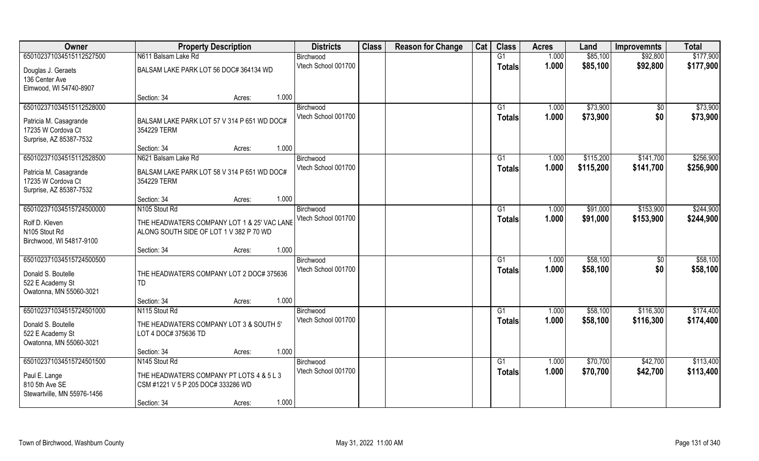| Owner                                       | <b>Property Description</b>                     | <b>Districts</b>                 | <b>Class</b> | <b>Reason for Change</b> | Cat | <b>Class</b>  | <b>Acres</b> | Land      | <b>Improvemnts</b> | <b>Total</b> |
|---------------------------------------------|-------------------------------------------------|----------------------------------|--------------|--------------------------|-----|---------------|--------------|-----------|--------------------|--------------|
| 650102371034515112527500                    | N611 Balsam Lake Rd                             | Birchwood                        |              |                          |     | G1            | 1.000        | \$85,100  | \$92,800           | \$177,900    |
| Douglas J. Geraets                          | BALSAM LAKE PARK LOT 56 DOC# 364134 WD          | Vtech School 001700              |              |                          |     | <b>Totals</b> | 1.000        | \$85,100  | \$92,800           | \$177,900    |
| 136 Center Ave                              |                                                 |                                  |              |                          |     |               |              |           |                    |              |
| Elmwood, WI 54740-8907                      |                                                 |                                  |              |                          |     |               |              |           |                    |              |
|                                             | 1.000<br>Section: 34<br>Acres:                  |                                  |              |                          |     |               |              |           |                    |              |
| 650102371034515112528000                    |                                                 | Birchwood                        |              |                          |     | G1            | 1.000        | \$73,900  | \$0                | \$73,900     |
| Patricia M. Casagrande                      | BALSAM LAKE PARK LOT 57 V 314 P 651 WD DOC#     | Vtech School 001700              |              |                          |     | Totals        | 1.000        | \$73,900  | \$0                | \$73,900     |
| 17235 W Cordova Ct                          | 354229 TERM                                     |                                  |              |                          |     |               |              |           |                    |              |
| Surprise, AZ 85387-7532                     |                                                 |                                  |              |                          |     |               |              |           |                    |              |
|                                             | 1.000<br>Section: 34<br>Acres:                  |                                  |              |                          |     |               |              |           |                    |              |
| 650102371034515112528500                    | N621 Balsam Lake Rd                             | Birchwood<br>Vtech School 001700 |              |                          |     | G1            | 1.000        | \$115,200 | \$141,700          | \$256,900    |
| Patricia M. Casagrande                      | BALSAM LAKE PARK LOT 58 V 314 P 651 WD DOC#     |                                  |              |                          |     | <b>Totals</b> | 1.000        | \$115,200 | \$141,700          | \$256,900    |
| 17235 W Cordova Ct                          | 354229 TERM                                     |                                  |              |                          |     |               |              |           |                    |              |
| Surprise, AZ 85387-7532                     |                                                 |                                  |              |                          |     |               |              |           |                    |              |
| 650102371034515724500000                    | 1.000<br>Section: 34<br>Acres:<br>N105 Stout Rd | Birchwood                        |              |                          |     | G1            | 1.000        | \$91,000  | \$153,900          | \$244,900    |
|                                             |                                                 | Vtech School 001700              |              |                          |     | <b>Totals</b> | 1.000        | \$91,000  | \$153,900          | \$244,900    |
| Rolf D. Kleven                              | THE HEADWATERS COMPANY LOT 1 & 25' VAC LANE     |                                  |              |                          |     |               |              |           |                    |              |
| N105 Stout Rd                               | ALONG SOUTH SIDE OF LOT 1 V 382 P 70 WD         |                                  |              |                          |     |               |              |           |                    |              |
| Birchwood, WI 54817-9100                    | 1.000<br>Section: 34<br>Acres:                  |                                  |              |                          |     |               |              |           |                    |              |
| 650102371034515724500500                    |                                                 | Birchwood                        |              |                          |     | G1            | 1.000        | \$58,100  | \$0                | \$58,100     |
|                                             |                                                 | Vtech School 001700              |              |                          |     | <b>Totals</b> | 1.000        | \$58,100  | \$0                | \$58,100     |
| Donald S. Boutelle                          | THE HEADWATERS COMPANY LOT 2 DOC# 375636        |                                  |              |                          |     |               |              |           |                    |              |
| 522 E Academy St<br>Owatonna, MN 55060-3021 | TD                                              |                                  |              |                          |     |               |              |           |                    |              |
|                                             | 1.000<br>Section: 34<br>Acres:                  |                                  |              |                          |     |               |              |           |                    |              |
| 650102371034515724501000                    | N115 Stout Rd                                   | Birchwood                        |              |                          |     | G1            | 1.000        | \$58,100  | \$116,300          | \$174,400    |
| Donald S. Boutelle                          | THE HEADWATERS COMPANY LOT 3 & SOUTH 5'         | Vtech School 001700              |              |                          |     | <b>Totals</b> | 1.000        | \$58,100  | \$116,300          | \$174,400    |
| 522 E Academy St                            | LOT 4 DOC# 375636 TD                            |                                  |              |                          |     |               |              |           |                    |              |
| Owatonna, MN 55060-3021                     |                                                 |                                  |              |                          |     |               |              |           |                    |              |
|                                             | 1.000<br>Section: 34<br>Acres:                  |                                  |              |                          |     |               |              |           |                    |              |
| 650102371034515724501500                    | N <sub>145</sub> Stout Rd                       | Birchwood                        |              |                          |     | G1            | 1.000        | \$70,700  | \$42,700           | \$113,400    |
| Paul E. Lange                               | THE HEADWATERS COMPANY PT LOTS 4 & 5 L 3        | Vtech School 001700              |              |                          |     | Totals        | 1.000        | \$70,700  | \$42,700           | \$113,400    |
| 810 5th Ave SE                              | CSM #1221 V 5 P 205 DOC# 333286 WD              |                                  |              |                          |     |               |              |           |                    |              |
| Stewartville, MN 55976-1456                 |                                                 |                                  |              |                          |     |               |              |           |                    |              |
|                                             | 1.000<br>Section: 34<br>Acres:                  |                                  |              |                          |     |               |              |           |                    |              |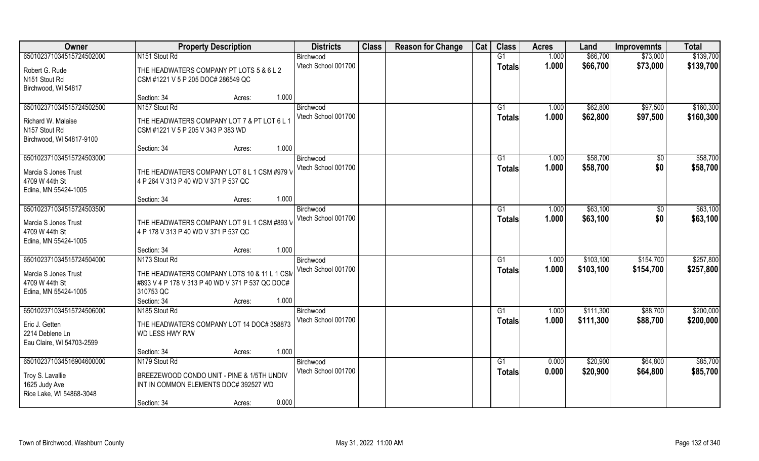| Owner                     | <b>Property Description</b>                      | <b>Districts</b>    | <b>Class</b> | <b>Reason for Change</b> | Cat | <b>Class</b>   | <b>Acres</b> | Land      | <b>Improvemnts</b> | <b>Total</b> |
|---------------------------|--------------------------------------------------|---------------------|--------------|--------------------------|-----|----------------|--------------|-----------|--------------------|--------------|
| 650102371034515724502000  | N151 Stout Rd                                    | Birchwood           |              |                          |     | G1             | 1.000        | \$66,700  | \$73,000           | \$139,700    |
| Robert G. Rude            | THE HEADWATERS COMPANY PT LOTS 5 & 6 L 2         | Vtech School 001700 |              |                          |     | <b>Totals</b>  | 1.000        | \$66,700  | \$73,000           | \$139,700    |
| N151 Stout Rd             | CSM #1221 V 5 P 205 DOC# 286549 QC               |                     |              |                          |     |                |              |           |                    |              |
| Birchwood, WI 54817       |                                                  |                     |              |                          |     |                |              |           |                    |              |
|                           | 1.000<br>Section: 34<br>Acres:                   |                     |              |                          |     |                |              |           |                    |              |
| 650102371034515724502500  | N157 Stout Rd                                    | Birchwood           |              |                          |     | G <sub>1</sub> | 1.000        | \$62,800  | \$97,500           | \$160,300    |
| Richard W. Malaise        | THE HEADWATERS COMPANY LOT 7 & PT LOT 6 L 1      | Vtech School 001700 |              |                          |     | Totals         | 1.000        | \$62,800  | \$97,500           | \$160,300    |
| N157 Stout Rd             | CSM #1221 V 5 P 205 V 343 P 383 WD               |                     |              |                          |     |                |              |           |                    |              |
| Birchwood, WI 54817-9100  |                                                  |                     |              |                          |     |                |              |           |                    |              |
|                           | 1.000<br>Section: 34<br>Acres:                   |                     |              |                          |     |                |              |           |                    |              |
| 650102371034515724503000  |                                                  | Birchwood           |              |                          |     | G1             | 1.000        | \$58,700  | \$0                | \$58,700     |
| Marcia S Jones Trust      | THE HEADWATERS COMPANY LOT 8 L 1 CSM #979 V      | Vtech School 001700 |              |                          |     | <b>Totals</b>  | 1.000        | \$58,700  | \$0                | \$58,700     |
| 4709 W 44th St            | 4 P 264 V 313 P 40 WD V 371 P 537 QC             |                     |              |                          |     |                |              |           |                    |              |
| Edina, MN 55424-1005      |                                                  |                     |              |                          |     |                |              |           |                    |              |
|                           | 1.000<br>Section: 34<br>Acres:                   |                     |              |                          |     |                |              |           |                    |              |
| 650102371034515724503500  |                                                  | Birchwood           |              |                          |     | G <sub>1</sub> | 1.000        | \$63,100  | \$0                | \$63,100     |
| Marcia S Jones Trust      | THE HEADWATERS COMPANY LOT 9 L 1 CSM #893 V      | Vtech School 001700 |              |                          |     | <b>Totals</b>  | 1.000        | \$63,100  | \$0                | \$63,100     |
| 4709 W 44th St            | 4 P 178 V 313 P 40 WD V 371 P 537 QC             |                     |              |                          |     |                |              |           |                    |              |
| Edina, MN 55424-1005      |                                                  |                     |              |                          |     |                |              |           |                    |              |
|                           | 1.000<br>Section: 34<br>Acres:                   |                     |              |                          |     |                |              |           |                    |              |
| 650102371034515724504000  | N173 Stout Rd                                    | Birchwood           |              |                          |     | G1             | 1.000        | \$103,100 | \$154,700          | \$257,800    |
| Marcia S Jones Trust      | THE HEADWATERS COMPANY LOTS 10 & 11 L 1 CSM      | Vtech School 001700 |              |                          |     | <b>Totals</b>  | 1.000        | \$103,100 | \$154,700          | \$257,800    |
| 4709 W 44th St            | #893 V 4 P 178 V 313 P 40 WD V 371 P 537 QC DOC# |                     |              |                          |     |                |              |           |                    |              |
| Edina, MN 55424-1005      | 310753 QC                                        |                     |              |                          |     |                |              |           |                    |              |
|                           | 1.000<br>Section: 34<br>Acres:                   |                     |              |                          |     |                |              |           |                    |              |
| 650102371034515724506000  | N185 Stout Rd                                    | Birchwood           |              |                          |     | G1             | 1.000        | \$111,300 | \$88,700           | \$200,000    |
| Eric J. Getten            | THE HEADWATERS COMPANY LOT 14 DOC# 358873        | Vtech School 001700 |              |                          |     | <b>Totals</b>  | 1.000        | \$111,300 | \$88,700           | \$200,000    |
| 2214 Deblene Ln           | WD LESS HWY R/W                                  |                     |              |                          |     |                |              |           |                    |              |
| Eau Claire, WI 54703-2599 |                                                  |                     |              |                          |     |                |              |           |                    |              |
|                           | 1.000<br>Section: 34<br>Acres:                   |                     |              |                          |     |                |              |           |                    |              |
| 650102371034516904600000  | N179 Stout Rd                                    | Birchwood           |              |                          |     | G1             | 0.000        | \$20,900  | \$64,800           | \$85,700     |
| Troy S. Lavallie          | BREEZEWOOD CONDO UNIT - PINE & 1/5TH UNDIV       | Vtech School 001700 |              |                          |     | <b>Totals</b>  | 0.000        | \$20,900  | \$64,800           | \$85,700     |
| 1625 Judy Ave             | INT IN COMMON ELEMENTS DOC# 392527 WD            |                     |              |                          |     |                |              |           |                    |              |
| Rice Lake, WI 54868-3048  |                                                  |                     |              |                          |     |                |              |           |                    |              |
|                           | 0.000<br>Section: 34<br>Acres:                   |                     |              |                          |     |                |              |           |                    |              |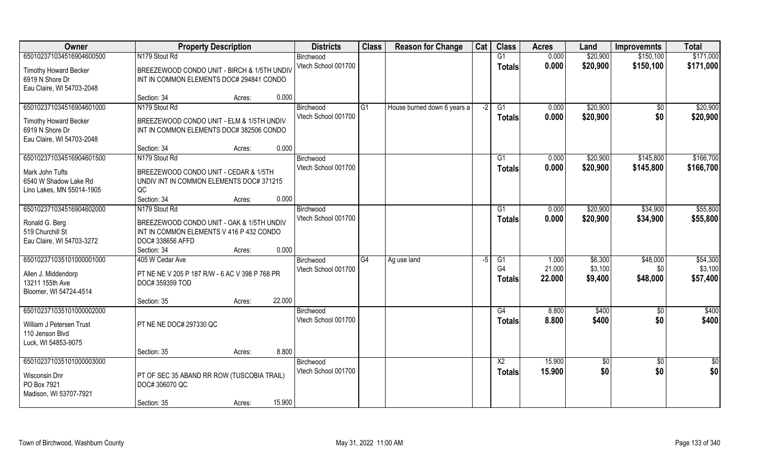| Owner                        | <b>Property Description</b>                    |                  | <b>Districts</b>    | <b>Class</b>   | <b>Reason for Change</b>    | Cat  | <b>Class</b>    | <b>Acres</b> | Land            | <b>Improvemnts</b> | <b>Total</b> |
|------------------------------|------------------------------------------------|------------------|---------------------|----------------|-----------------------------|------|-----------------|--------------|-----------------|--------------------|--------------|
| 650102371034516904600500     | N179 Stout Rd                                  |                  | Birchwood           |                |                             |      | G1              | 0.000        | \$20,900        | \$150,100          | \$171,000    |
| <b>Timothy Howard Becker</b> | BREEZEWOOD CONDO UNIT - BIRCH & 1/5TH UNDIV    |                  | Vtech School 001700 |                |                             |      | <b>Totals</b>   | 0.000        | \$20,900        | \$150,100          | \$171,000    |
| 6919 N Shore Dr              | INT IN COMMON ELEMENTS DOC# 294841 CONDO       |                  |                     |                |                             |      |                 |              |                 |                    |              |
| Eau Claire, WI 54703-2048    |                                                |                  |                     |                |                             |      |                 |              |                 |                    |              |
|                              | Section: 34                                    | 0.000<br>Acres:  |                     |                |                             |      |                 |              |                 |                    |              |
| 650102371034516904601000     | N179 Stout Rd                                  |                  | Birchwood           | G <sub>1</sub> | House burned down 6 years a | $-2$ | G1              | 0.000        | \$20,900        | \$0                | \$20,900     |
| <b>Timothy Howard Becker</b> | BREEZEWOOD CONDO UNIT - ELM & 1/5TH UNDIV      |                  | Vtech School 001700 |                |                             |      | <b>Totals</b>   | 0.000        | \$20,900        | \$0                | \$20,900     |
| 6919 N Shore Dr              | INT IN COMMON ELEMENTS DOC# 382506 CONDO       |                  |                     |                |                             |      |                 |              |                 |                    |              |
| Eau Claire, WI 54703-2048    |                                                |                  |                     |                |                             |      |                 |              |                 |                    |              |
|                              | Section: 34                                    | 0.000<br>Acres:  |                     |                |                             |      |                 |              |                 |                    |              |
| 650102371034516904601500     | N179 Stout Rd                                  |                  | Birchwood           |                |                             |      | G1              | 0.000        | \$20,900        | \$145,800          | \$166,700    |
| Mark John Tufts              | BREEZEWOOD CONDO UNIT - CEDAR & 1/5TH          |                  | Vtech School 001700 |                |                             |      | <b>Totals</b>   | 0.000        | \$20,900        | \$145,800          | \$166,700    |
| 6540 W Shadow Lake Rd        | UNDIV INT IN COMMON ELEMENTS DOC# 371215       |                  |                     |                |                             |      |                 |              |                 |                    |              |
| Lino Lakes, MN 55014-1905    | QC                                             |                  |                     |                |                             |      |                 |              |                 |                    |              |
|                              | Section: 34                                    | 0.000<br>Acres:  |                     |                |                             |      |                 |              |                 |                    |              |
| 650102371034516904602000     | N179 Stout Rd                                  |                  | Birchwood           |                |                             |      | G1              | 0.000        | \$20,900        | \$34,900           | \$55,800     |
| Ronald G. Berg               | BREEZEWOOD CONDO UNIT - OAK & 1/5TH UNDIV      |                  | Vtech School 001700 |                |                             |      | <b>Totals</b>   | 0.000        | \$20,900        | \$34,900           | \$55,800     |
| 519 Churchill St             | INT IN COMMON ELEMENTS V 416 P 432 CONDO       |                  |                     |                |                             |      |                 |              |                 |                    |              |
| Eau Claire, WI 54703-3272    | DOC# 338656 AFFD                               |                  |                     |                |                             |      |                 |              |                 |                    |              |
|                              | Section: 34                                    | 0.000<br>Acres:  |                     |                |                             |      |                 |              |                 |                    |              |
| 650102371035101000001000     | 405 W Cedar Ave                                |                  | Birchwood           | G4             | Ag use land                 | $-5$ | G1              | 1.000        | \$6,300         | \$48,000           | \$54,300     |
| Allen J. Middendorp          | PT NE NE V 205 P 187 R/W - 6 AC V 398 P 768 PR |                  | Vtech School 001700 |                |                             |      | G <sub>4</sub>  | 21.000       | \$3,100         | \$0                | \$3,100      |
| 13211 155th Ave              | DOC# 359359 TOD                                |                  |                     |                |                             |      | <b>Totals</b>   | 22.000       | \$9,400         | \$48,000           | \$57,400     |
| Bloomer, WI 54724-4514       |                                                |                  |                     |                |                             |      |                 |              |                 |                    |              |
|                              | Section: 35                                    | 22.000<br>Acres: |                     |                |                             |      |                 |              |                 |                    |              |
| 650102371035101000002000     |                                                |                  | Birchwood           |                |                             |      | G4              | 8.800        | \$400           | $\sqrt{6}$         | \$400        |
| William J Petersen Trust     | PT NE NE DOC# 297330 QC                        |                  | Vtech School 001700 |                |                             |      | <b>Totals</b>   | 8.800        | \$400           | \$0                | \$400        |
| 110 Jenson Blvd              |                                                |                  |                     |                |                             |      |                 |              |                 |                    |              |
| Luck, WI 54853-9075          |                                                |                  |                     |                |                             |      |                 |              |                 |                    |              |
|                              | Section: 35                                    | 8.800<br>Acres:  |                     |                |                             |      |                 |              |                 |                    |              |
| 650102371035101000003000     |                                                |                  | Birchwood           |                |                             |      | $\overline{X2}$ | 15.900       | $\overline{50}$ | $\overline{60}$    | \$0          |
| Wisconsin Dnr                | PT OF SEC 35 ABAND RR ROW (TUSCOBIA TRAIL)     |                  | Vtech School 001700 |                |                             |      | <b>Totals</b>   | 15.900       | \$0             | \$0                | \$0          |
| PO Box 7921                  | DOC# 306070 QC                                 |                  |                     |                |                             |      |                 |              |                 |                    |              |
| Madison, WI 53707-7921       |                                                |                  |                     |                |                             |      |                 |              |                 |                    |              |
|                              | Section: 35                                    | 15.900<br>Acres: |                     |                |                             |      |                 |              |                 |                    |              |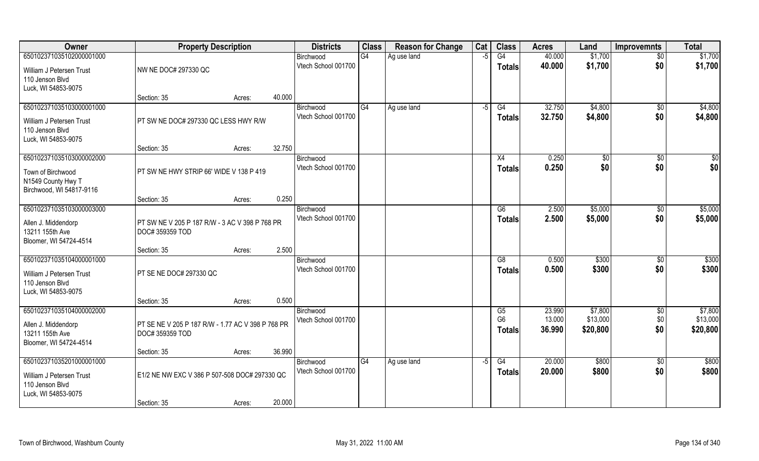| Owner                    | <b>Property Description</b>                       |        | <b>Districts</b> | <b>Class</b>                     | <b>Reason for Change</b> | Cat         | <b>Class</b> | <b>Acres</b>         | Land             | <b>Improvemnts</b>  | <b>Total</b>       |                     |
|--------------------------|---------------------------------------------------|--------|------------------|----------------------------------|--------------------------|-------------|--------------|----------------------|------------------|---------------------|--------------------|---------------------|
| 650102371035102000001000 |                                                   |        |                  | Birchwood                        | G4                       | Ag use land | $-5$         | G4                   | 40.000           | \$1,700             | $\sqrt{$0}$        | \$1,700             |
| William J Petersen Trust | NW NE DOC# 297330 QC                              |        |                  | Vtech School 001700              |                          |             |              | <b>Totals</b>        | 40.000           | \$1,700             | \$0                | \$1,700             |
| 110 Jenson Blvd          |                                                   |        |                  |                                  |                          |             |              |                      |                  |                     |                    |                     |
| Luck, WI 54853-9075      |                                                   |        |                  |                                  |                          |             |              |                      |                  |                     |                    |                     |
|                          | Section: 35                                       | Acres: | 40.000           |                                  |                          |             |              |                      |                  |                     |                    |                     |
| 650102371035103000001000 |                                                   |        |                  | Birchwood                        | G4                       | Ag use land | -5           | G4                   | 32.750           | \$4,800             | $\sqrt{$0}$        | \$4,800             |
| William J Petersen Trust | PT SW NE DOC# 297330 QC LESS HWY R/W              |        |                  | Vtech School 001700              |                          |             |              | Totals               | 32.750           | \$4,800             | \$0                | \$4,800             |
| 110 Jenson Blvd          |                                                   |        |                  |                                  |                          |             |              |                      |                  |                     |                    |                     |
| Luck, WI 54853-9075      |                                                   |        |                  |                                  |                          |             |              |                      |                  |                     |                    |                     |
|                          | Section: 35                                       | Acres: | 32.750           |                                  |                          |             |              |                      |                  |                     |                    |                     |
| 650102371035103000002000 |                                                   |        |                  | Birchwood                        |                          |             |              | X4                   | 0.250            | $\sqrt[6]{2}$       | $\sqrt{50}$        | \$0                 |
| Town of Birchwood        | PT SW NE HWY STRIP 66' WIDE V 138 P 419           |        |                  | Vtech School 001700              |                          |             |              | <b>Totals</b>        | 0.250            | \$0                 | \$0                | \$0                 |
| N1549 County Hwy T       |                                                   |        |                  |                                  |                          |             |              |                      |                  |                     |                    |                     |
| Birchwood, WI 54817-9116 |                                                   |        |                  |                                  |                          |             |              |                      |                  |                     |                    |                     |
|                          | Section: 35                                       | Acres: | 0.250            |                                  |                          |             |              |                      |                  |                     |                    |                     |
| 650102371035103000003000 |                                                   |        |                  | Birchwood                        |                          |             |              | G6                   | 2.500            | \$5,000             | $\sqrt[6]{3}$      | \$5,000             |
| Allen J. Middendorp      | PT SW NE V 205 P 187 R/W - 3 AC V 398 P 768 PR    |        |                  | Vtech School 001700              |                          |             |              | <b>Totals</b>        | 2.500            | \$5,000             | \$0                | \$5,000             |
| 13211 155th Ave          | DOC# 359359 TOD                                   |        |                  |                                  |                          |             |              |                      |                  |                     |                    |                     |
| Bloomer, WI 54724-4514   |                                                   |        |                  |                                  |                          |             |              |                      |                  |                     |                    |                     |
|                          | Section: 35                                       | Acres: | 2.500            |                                  |                          |             |              |                      |                  |                     |                    |                     |
| 650102371035104000001000 |                                                   |        |                  | Birchwood                        |                          |             |              | G8                   | 0.500            | \$300               | $\sqrt[6]{30}$     | \$300               |
| William J Petersen Trust | PT SE NE DOC# 297330 QC                           |        |                  | Vtech School 001700              |                          |             |              | <b>Totals</b>        | 0.500            | \$300               | \$0                | \$300               |
| 110 Jenson Blvd          |                                                   |        |                  |                                  |                          |             |              |                      |                  |                     |                    |                     |
| Luck, WI 54853-9075      |                                                   |        |                  |                                  |                          |             |              |                      |                  |                     |                    |                     |
|                          | Section: 35                                       | Acres: | 0.500            |                                  |                          |             |              |                      |                  |                     |                    |                     |
| 650102371035104000002000 |                                                   |        |                  | Birchwood                        |                          |             |              | G5<br>G <sub>6</sub> | 23.990<br>13.000 | \$7,800<br>\$13,000 | $\sqrt{$0}$<br>\$0 | \$7,800<br>\$13,000 |
| Allen J. Middendorp      | PT SE NE V 205 P 187 R/W - 1.77 AC V 398 P 768 PR |        |                  | Vtech School 001700              |                          |             |              |                      | 36.990           | \$20,800            | \$0                | \$20,800            |
| 13211 155th Ave          | DOC# 359359 TOD                                   |        |                  |                                  |                          |             |              | Totals               |                  |                     |                    |                     |
| Bloomer, WI 54724-4514   |                                                   |        |                  |                                  |                          |             |              |                      |                  |                     |                    |                     |
|                          | Section: 35                                       | Acres: | 36.990           |                                  |                          |             |              |                      |                  |                     |                    |                     |
| 650102371035201000001000 |                                                   |        |                  | Birchwood<br>Vtech School 001700 | G4                       | Ag use land | $-5$         | G4                   | 20.000           | \$800               | $\overline{50}$    | \$800               |
| William J Petersen Trust | E1/2 NE NW EXC V 386 P 507-508 DOC# 297330 QC     |        |                  |                                  |                          |             |              | Totals               | 20.000           | \$800               | \$0                | \$800               |
| 110 Jenson Blvd          |                                                   |        |                  |                                  |                          |             |              |                      |                  |                     |                    |                     |
| Luck, WI 54853-9075      |                                                   |        |                  |                                  |                          |             |              |                      |                  |                     |                    |                     |
|                          | Section: 35                                       | Acres: | 20.000           |                                  |                          |             |              |                      |                  |                     |                    |                     |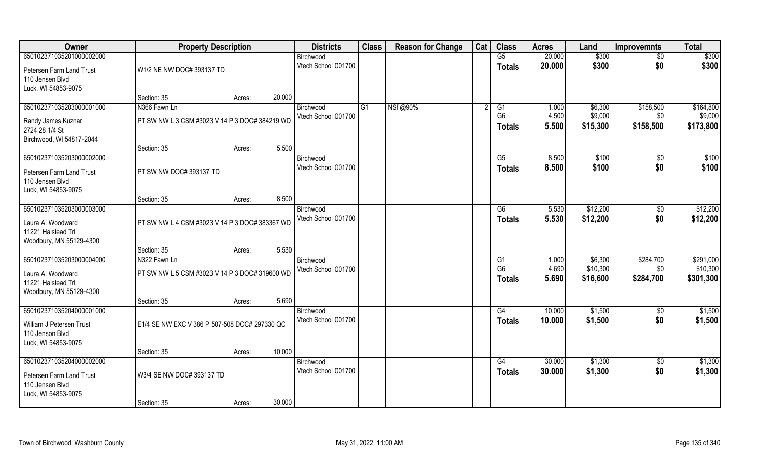| Owner                                   | <b>Property Description</b>                    |        |        | <b>Districts</b>                 | <b>Class</b> | <b>Reason for Change</b> | Cat | <b>Class</b>   | <b>Acres</b> | Land     | <b>Improvemnts</b> | <b>Total</b> |
|-----------------------------------------|------------------------------------------------|--------|--------|----------------------------------|--------------|--------------------------|-----|----------------|--------------|----------|--------------------|--------------|
| 650102371035201000002000                |                                                |        |        | Birchwood                        |              |                          |     | G5             | 20.000       | \$300    | $\sqrt{6}$         | \$300        |
| Petersen Farm Land Trust                | W1/2 NE NW DOC# 393137 TD                      |        |        | Vtech School 001700              |              |                          |     | <b>Totals</b>  | 20.000       | \$300    | \$0                | \$300        |
| 110 Jensen Blvd                         |                                                |        |        |                                  |              |                          |     |                |              |          |                    |              |
| Luck, WI 54853-9075                     |                                                |        |        |                                  |              |                          |     |                |              |          |                    |              |
|                                         | Section: 35                                    | Acres: | 20.000 |                                  |              |                          |     |                |              |          |                    |              |
| 650102371035203000001000                | N366 Fawn Ln                                   |        |        | Birchwood                        | G1           | NSf@90%                  |     | G1             | 1.000        | \$6,300  | \$158,500          | \$164,800    |
| Randy James Kuznar                      | PT SW NW L 3 CSM #3023 V 14 P 3 DOC# 384219 WD |        |        | Vtech School 001700              |              |                          |     | G <sub>6</sub> | 4.500        | \$9,000  | \$0                | \$9,000      |
| 2724 28 1/4 St                          |                                                |        |        |                                  |              |                          |     | <b>Totals</b>  | 5.500        | \$15,300 | \$158,500          | \$173,800    |
| Birchwood, WI 54817-2044                |                                                |        |        |                                  |              |                          |     |                |              |          |                    |              |
|                                         | Section: 35                                    | Acres: | 5.500  |                                  |              |                          |     |                |              |          |                    |              |
| 650102371035203000002000                |                                                |        |        | Birchwood<br>Vtech School 001700 |              |                          |     | G5             | 8.500        | \$100    | $\sqrt{50}$        | \$100        |
| Petersen Farm Land Trust                | PT SW NW DOC# 393137 TD                        |        |        |                                  |              |                          |     | <b>Totals</b>  | 8.500        | \$100    | \$0                | \$100        |
| 110 Jensen Blvd                         |                                                |        |        |                                  |              |                          |     |                |              |          |                    |              |
| Luck, WI 54853-9075                     |                                                |        |        |                                  |              |                          |     |                |              |          |                    |              |
| 650102371035203000003000                | Section: 35                                    | Acres: | 8.500  | Birchwood                        |              |                          |     | G6             | 5.530        | \$12,200 | $\sqrt[6]{3}$      | \$12,200     |
|                                         |                                                |        |        | Vtech School 001700              |              |                          |     | <b>Totals</b>  | 5.530        | \$12,200 | \$0                | \$12,200     |
| Laura A. Woodward                       | PT SW NW L 4 CSM #3023 V 14 P 3 DOC# 383367 WD |        |        |                                  |              |                          |     |                |              |          |                    |              |
| 11221 Halstead Trl                      |                                                |        |        |                                  |              |                          |     |                |              |          |                    |              |
| Woodbury, MN 55129-4300                 | Section: 35                                    | Acres: | 5.530  |                                  |              |                          |     |                |              |          |                    |              |
| 650102371035203000004000                | N322 Fawn Ln                                   |        |        | Birchwood                        |              |                          |     | G1             | 1.000        | \$6,300  | \$284,700          | \$291,000    |
|                                         |                                                |        |        | Vtech School 001700              |              |                          |     | G <sub>6</sub> | 4.690        | \$10,300 | \$0                | \$10,300     |
| Laura A. Woodward<br>11221 Halstead Trl | PT SW NW L 5 CSM #3023 V 14 P 3 DOC# 319600 WD |        |        |                                  |              |                          |     | <b>Totals</b>  | 5.690        | \$16,600 | \$284,700          | \$301,300    |
| Woodbury, MN 55129-4300                 |                                                |        |        |                                  |              |                          |     |                |              |          |                    |              |
|                                         | Section: 35                                    | Acres: | 5.690  |                                  |              |                          |     |                |              |          |                    |              |
| 650102371035204000001000                |                                                |        |        | Birchwood                        |              |                          |     | G4             | 10.000       | \$1,500  | \$0                | \$1,500      |
| William J Petersen Trust                | E1/4 SE NW EXC V 386 P 507-508 DOC# 297330 QC  |        |        | Vtech School 001700              |              |                          |     | <b>Totals</b>  | 10.000       | \$1,500  | \$0                | \$1,500      |
| 110 Jenson Blvd                         |                                                |        |        |                                  |              |                          |     |                |              |          |                    |              |
| Luck, WI 54853-9075                     |                                                |        |        |                                  |              |                          |     |                |              |          |                    |              |
|                                         | Section: 35                                    | Acres: | 10.000 |                                  |              |                          |     |                |              |          |                    |              |
| 650102371035204000002000                |                                                |        |        | Birchwood                        |              |                          |     | G4             | 30.000       | \$1,300  | $\sqrt{$0}$        | \$1,300      |
| Petersen Farm Land Trust                | W3/4 SE NW DOC# 393137 TD                      |        |        | Vtech School 001700              |              |                          |     | <b>Totals</b>  | 30.000       | \$1,300  | \$0                | \$1,300      |
| 110 Jensen Blvd                         |                                                |        |        |                                  |              |                          |     |                |              |          |                    |              |
| Luck, WI 54853-9075                     |                                                |        |        |                                  |              |                          |     |                |              |          |                    |              |
|                                         | Section: 35                                    | Acres: | 30.000 |                                  |              |                          |     |                |              |          |                    |              |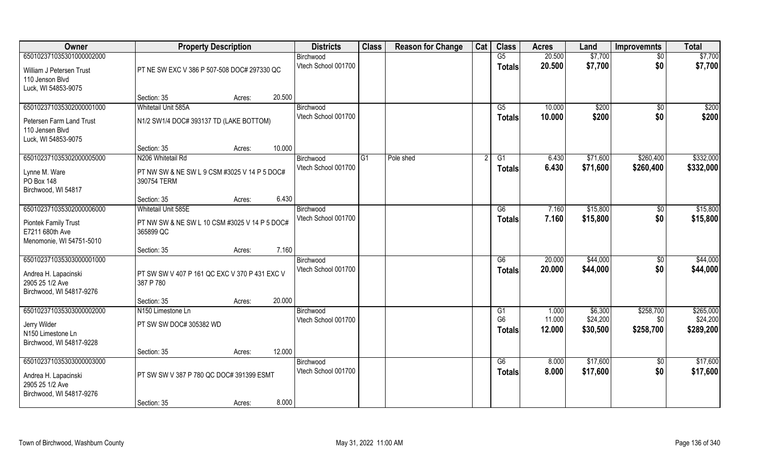| Owner                       | <b>Property Description</b>                   |                  | <b>Districts</b>    | <b>Class</b> | <b>Reason for Change</b> | Cat | <b>Class</b>    | <b>Acres</b> | Land     | <b>Improvemnts</b> | <b>Total</b> |
|-----------------------------|-----------------------------------------------|------------------|---------------------|--------------|--------------------------|-----|-----------------|--------------|----------|--------------------|--------------|
| 650102371035301000002000    |                                               |                  | Birchwood           |              |                          |     | G5              | 20.500       | \$7,700  | $\overline{50}$    | \$7,700      |
| William J Petersen Trust    | PT NE SW EXC V 386 P 507-508 DOC# 297330 QC   |                  | Vtech School 001700 |              |                          |     | <b>Totals</b>   | 20.500       | \$7,700  | \$0                | \$7,700      |
| 110 Jenson Blvd             |                                               |                  |                     |              |                          |     |                 |              |          |                    |              |
| Luck, WI 54853-9075         |                                               |                  |                     |              |                          |     |                 |              |          |                    |              |
|                             | Section: 35                                   | 20.500<br>Acres: |                     |              |                          |     |                 |              |          |                    |              |
| 650102371035302000001000    | Whitetail Unit 585A                           |                  | Birchwood           |              |                          |     | $\overline{G5}$ | 10.000       | \$200    | \$0                | \$200        |
| Petersen Farm Land Trust    | N1/2 SW1/4 DOC# 393137 TD (LAKE BOTTOM)       |                  | Vtech School 001700 |              |                          |     | <b>Totals</b>   | 10.000       | \$200    | \$0                | \$200        |
| 110 Jensen Blvd             |                                               |                  |                     |              |                          |     |                 |              |          |                    |              |
| Luck, WI 54853-9075         |                                               |                  |                     |              |                          |     |                 |              |          |                    |              |
|                             | Section: 35                                   | 10.000<br>Acres: |                     |              |                          |     |                 |              |          |                    |              |
| 650102371035302000005000    | N206 Whitetail Rd                             |                  | Birchwood           | G1           | Pole shed                |     | G1              | 6.430        | \$71,600 | \$260,400          | \$332,000    |
| Lynne M. Ware               | PT NW SW & NE SW L 9 CSM #3025 V 14 P 5 DOC#  |                  | Vtech School 001700 |              |                          |     | <b>Totals</b>   | 6.430        | \$71,600 | \$260,400          | \$332,000    |
| PO Box 148                  | 390754 TERM                                   |                  |                     |              |                          |     |                 |              |          |                    |              |
| Birchwood, WI 54817         |                                               |                  |                     |              |                          |     |                 |              |          |                    |              |
|                             | Section: 35                                   | 6.430<br>Acres:  |                     |              |                          |     |                 |              |          |                    |              |
| 650102371035302000006000    | Whitetail Unit 585E                           |                  | Birchwood           |              |                          |     | G6              | 7.160        | \$15,800 | $\sqrt[6]{3}$      | \$15,800     |
| <b>Piontek Family Trust</b> | PT NW SW & NE SW L 10 CSM #3025 V 14 P 5 DOC# |                  | Vtech School 001700 |              |                          |     | <b>Totals</b>   | 7.160        | \$15,800 | \$0                | \$15,800     |
| E7211 680th Ave             | 365899 QC                                     |                  |                     |              |                          |     |                 |              |          |                    |              |
| Menomonie, WI 54751-5010    |                                               |                  |                     |              |                          |     |                 |              |          |                    |              |
|                             | Section: 35                                   | 7.160<br>Acres:  |                     |              |                          |     |                 |              |          |                    |              |
| 650102371035303000001000    |                                               |                  | Birchwood           |              |                          |     | $\overline{G6}$ | 20.000       | \$44,000 | $\sqrt[6]{30}$     | \$44,000     |
| Andrea H. Lapacinski        | PT SW SW V 407 P 161 QC EXC V 370 P 431 EXC V |                  | Vtech School 001700 |              |                          |     | <b>Totals</b>   | 20.000       | \$44,000 | \$0                | \$44,000     |
| 2905 25 1/2 Ave             | 387 P 780                                     |                  |                     |              |                          |     |                 |              |          |                    |              |
| Birchwood, WI 54817-9276    |                                               |                  |                     |              |                          |     |                 |              |          |                    |              |
|                             | Section: 35                                   | 20.000<br>Acres: |                     |              |                          |     |                 |              |          |                    |              |
| 650102371035303000002000    | N150 Limestone Ln                             |                  | Birchwood           |              |                          |     | G1              | 1.000        | \$6,300  | \$258,700          | \$265,000    |
| Jerry Wilder                | PT SW SW DOC# 305382 WD                       |                  | Vtech School 001700 |              |                          |     | G <sub>6</sub>  | 11.000       | \$24,200 | \$0                | \$24,200     |
| N150 Limestone Ln           |                                               |                  |                     |              |                          |     | <b>Totals</b>   | 12.000       | \$30,500 | \$258,700          | \$289,200    |
| Birchwood, WI 54817-9228    |                                               |                  |                     |              |                          |     |                 |              |          |                    |              |
|                             | Section: 35                                   | 12.000<br>Acres: |                     |              |                          |     |                 |              |          |                    |              |
| 650102371035303000003000    |                                               |                  | Birchwood           |              |                          |     | G6              | 8.000        | \$17,600 | \$0                | \$17,600     |
| Andrea H. Lapacinski        | PT SW SW V 387 P 780 QC DOC# 391399 ESMT      |                  | Vtech School 001700 |              |                          |     | Totals          | 8.000        | \$17,600 | \$0                | \$17,600     |
| 2905 25 1/2 Ave             |                                               |                  |                     |              |                          |     |                 |              |          |                    |              |
| Birchwood, WI 54817-9276    |                                               |                  |                     |              |                          |     |                 |              |          |                    |              |
|                             | Section: 35                                   | 8.000<br>Acres:  |                     |              |                          |     |                 |              |          |                    |              |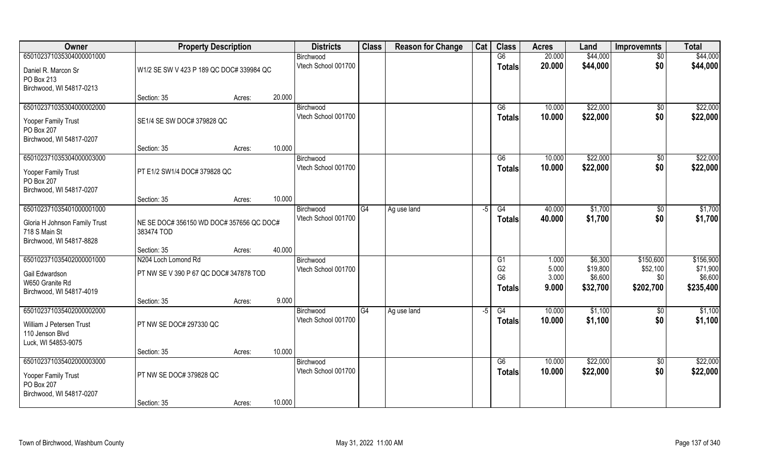| Owner                                                                      | <b>Property Description</b>                            |        | <b>Districts</b>    | <b>Class</b> | <b>Reason for Change</b> | Cat | <b>Class</b>   | <b>Acres</b> | Land     | <b>Improvemnts</b> | <b>Total</b> |
|----------------------------------------------------------------------------|--------------------------------------------------------|--------|---------------------|--------------|--------------------------|-----|----------------|--------------|----------|--------------------|--------------|
| 650102371035304000001000                                                   |                                                        |        | Birchwood           |              |                          |     | G6             | 20.000       | \$44,000 | $\overline{50}$    | \$44,000     |
| Daniel R. Marcon Sr<br>PO Box 213                                          | W1/2 SE SW V 423 P 189 QC DOC# 339984 QC               |        | Vtech School 001700 |              |                          |     | <b>Totals</b>  | 20.000       | \$44,000 | \$0                | \$44,000     |
| Birchwood, WI 54817-0213                                                   |                                                        |        |                     |              |                          |     |                |              |          |                    |              |
|                                                                            | Section: 35                                            | Acres: | 20.000              |              |                          |     |                |              |          |                    |              |
| 650102371035304000002000                                                   |                                                        |        | Birchwood           |              |                          |     | G6             | 10.000       | \$22,000 | $\sqrt{$0}$        | \$22,000     |
| Yooper Family Trust<br>PO Box 207                                          | SE1/4 SE SW DOC# 379828 QC                             |        | Vtech School 001700 |              |                          |     | <b>Totals</b>  | 10.000       | \$22,000 | \$0                | \$22,000     |
| Birchwood, WI 54817-0207                                                   | Section: 35                                            | Acres: | 10.000              |              |                          |     |                |              |          |                    |              |
| 650102371035304000003000                                                   |                                                        |        | Birchwood           |              |                          |     | G6             | 10.000       | \$22,000 | $\sqrt[6]{3}$      | \$22,000     |
| Yooper Family Trust<br>PO Box 207                                          | PT E1/2 SW1/4 DOC# 379828 QC                           |        | Vtech School 001700 |              |                          |     | <b>Totals</b>  | 10.000       | \$22,000 | \$0                | \$22,000     |
| Birchwood, WI 54817-0207                                                   | Section: 35                                            | Acres: | 10.000              |              |                          |     |                |              |          |                    |              |
| 650102371035401000001000                                                   |                                                        |        | Birchwood           | G4           | Ag use land              | -5  | G4             | 40.000       | \$1,700  | \$0                | \$1,700      |
| Gloria H Johnson Family Trust<br>718 S Main St<br>Birchwood, WI 54817-8828 | NE SE DOC# 356150 WD DOC# 357656 QC DOC#<br>383474 TOD |        | Vtech School 001700 |              |                          |     | <b>Totals</b>  | 40.000       | \$1,700  | \$0                | \$1,700      |
|                                                                            | Section: 35                                            | Acres: | 40.000              |              |                          |     |                |              |          |                    |              |
| 650102371035402000001000                                                   | N204 Loch Lomond Rd                                    |        | Birchwood           |              |                          |     | G1             | 1.000        | \$6,300  | \$150,600          | \$156,900    |
| Gail Edwardson                                                             | PT NW SE V 390 P 67 QC DOC# 347878 TOD                 |        | Vtech School 001700 |              |                          |     | G <sub>2</sub> | 5.000        | \$19,800 | \$52,100           | \$71,900     |
| W650 Granite Rd                                                            |                                                        |        |                     |              |                          |     | G <sub>6</sub> | 3.000        | \$6,600  | \$0                | \$6,600      |
| Birchwood, WI 54817-4019                                                   |                                                        |        |                     |              |                          |     | <b>Totals</b>  | 9.000        | \$32,700 | \$202,700          | \$235,400    |
|                                                                            | Section: 35                                            | Acres: | 9.000               |              |                          |     |                |              |          |                    |              |
| 650102371035402000002000                                                   |                                                        |        | Birchwood           | G4           | Ag use land              | -5  | G4             | 10.000       | \$1,100  | \$0                | \$1,100      |
| William J Petersen Trust<br>110 Jenson Blvd<br>Luck, WI 54853-9075         | PT NW SE DOC# 297330 QC                                |        | Vtech School 001700 |              |                          |     | <b>Totals</b>  | 10.000       | \$1,100  | \$0                | \$1,100      |
|                                                                            | Section: 35                                            | Acres: | 10.000              |              |                          |     |                |              |          |                    |              |
| 650102371035402000003000                                                   |                                                        |        | Birchwood           |              |                          |     | G6             | 10.000       | \$22,000 | $\sqrt{$0}$        | \$22,000     |
| Yooper Family Trust<br>PO Box 207<br>Birchwood, WI 54817-0207              | PT NW SE DOC# 379828 QC                                |        | Vtech School 001700 |              |                          |     | <b>Totals</b>  | 10.000       | \$22,000 | \$0                | \$22,000     |
|                                                                            | Section: 35                                            | Acres: | 10.000              |              |                          |     |                |              |          |                    |              |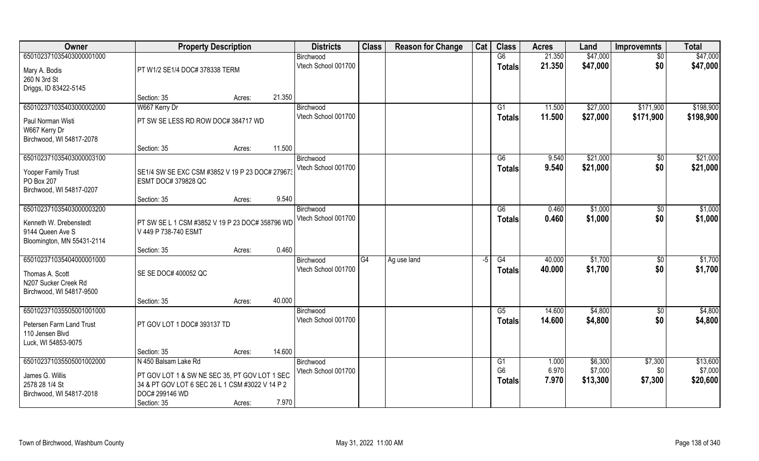| Owner                      | <b>Property Description</b>                     |                                                 | <b>Districts</b>                 | <b>Class</b> | <b>Reason for Change</b> | Cat  | <b>Class</b>         | <b>Acres</b>   | Land               | <b>Improvemnts</b> | <b>Total</b>        |
|----------------------------|-------------------------------------------------|-------------------------------------------------|----------------------------------|--------------|--------------------------|------|----------------------|----------------|--------------------|--------------------|---------------------|
| 650102371035403000001000   |                                                 |                                                 | Birchwood                        |              |                          |      | G6                   | 21.350         | \$47,000           | $\sqrt{6}$         | \$47,000            |
| Mary A. Bodis              | PT W1/2 SE1/4 DOC# 378338 TERM                  |                                                 | Vtech School 001700              |              |                          |      | <b>Totals</b>        | 21.350         | \$47,000           | \$0                | \$47,000            |
| 260 N 3rd St               |                                                 |                                                 |                                  |              |                          |      |                      |                |                    |                    |                     |
| Driggs, ID 83422-5145      |                                                 |                                                 |                                  |              |                          |      |                      |                |                    |                    |                     |
|                            | Section: 35                                     | 21.350<br>Acres:                                |                                  |              |                          |      |                      |                |                    |                    |                     |
| 650102371035403000002000   | W667 Kerry Dr                                   |                                                 | Birchwood                        |              |                          |      | G1                   | 11.500         | \$27,000           | \$171,900          | \$198,900           |
| Paul Norman Wisti          | PT SW SE LESS RD ROW DOC# 384717 WD             |                                                 | Vtech School 001700              |              |                          |      | Totals               | 11.500         | \$27,000           | \$171,900          | \$198,900           |
| W667 Kerry Dr              |                                                 |                                                 |                                  |              |                          |      |                      |                |                    |                    |                     |
| Birchwood, WI 54817-2078   |                                                 |                                                 |                                  |              |                          |      |                      |                |                    |                    |                     |
|                            | Section: 35                                     | 11.500<br>Acres:                                |                                  |              |                          |      |                      |                |                    |                    |                     |
| 650102371035403000003100   |                                                 |                                                 | Birchwood                        |              |                          |      | G6                   | 9.540          | \$21,000           | \$0                | \$21,000            |
| Yooper Family Trust        | SE1/4 SW SE EXC CSM #3852 V 19 P 23 DOC# 279673 |                                                 | Vtech School 001700              |              |                          |      | <b>Totals</b>        | 9.540          | \$21,000           | \$0                | \$21,000            |
| PO Box 207                 | ESMT DOC# 379828 QC                             |                                                 |                                  |              |                          |      |                      |                |                    |                    |                     |
| Birchwood, WI 54817-0207   |                                                 |                                                 |                                  |              |                          |      |                      |                |                    |                    |                     |
|                            | Section: 35                                     | Acres:                                          | 9.540                            |              |                          |      |                      |                |                    |                    |                     |
| 650102371035403000003200   |                                                 |                                                 | Birchwood<br>Vtech School 001700 |              |                          |      | G6                   | 0.460          | \$1,000            | $\sqrt[6]{3}$      | \$1,000             |
| Kenneth W. Drebenstedt     |                                                 | PT SW SE L 1 CSM #3852 V 19 P 23 DOC# 358796 WD |                                  |              |                          |      | <b>Totals</b>        | 0.460          | \$1,000            | \$0                | \$1,000             |
| 9144 Queen Ave S           | V 449 P 738-740 ESMT                            |                                                 |                                  |              |                          |      |                      |                |                    |                    |                     |
| Bloomington, MN 55431-2114 |                                                 |                                                 |                                  |              |                          |      |                      |                |                    |                    |                     |
|                            | Section: 35                                     | Acres:                                          | 0.460                            |              |                          |      |                      |                |                    |                    |                     |
| 650102371035404000001000   |                                                 |                                                 | Birchwood                        | G4           | Ag use land              | $-5$ | G4                   | 40.000         | \$1,700            | \$0                | \$1,700             |
| Thomas A. Scott            | SE SE DOC# 400052 QC                            |                                                 | Vtech School 001700              |              |                          |      | Totals               | 40.000         | \$1,700            | \$0                | \$1,700             |
| N207 Sucker Creek Rd       |                                                 |                                                 |                                  |              |                          |      |                      |                |                    |                    |                     |
| Birchwood, WI 54817-9500   |                                                 |                                                 |                                  |              |                          |      |                      |                |                    |                    |                     |
|                            | Section: 35                                     | 40.000<br>Acres:                                |                                  |              |                          |      |                      |                |                    |                    |                     |
| 650102371035505001001000   |                                                 |                                                 | Birchwood                        |              |                          |      | G5                   | 14.600         | \$4,800            | $\sqrt{6}$         | \$4,800             |
| Petersen Farm Land Trust   | PT GOV LOT 1 DOC# 393137 TD                     |                                                 | Vtech School 001700              |              |                          |      | <b>Totals</b>        | 14.600         | \$4,800            | \$0                | \$4,800             |
| 110 Jensen Blvd            |                                                 |                                                 |                                  |              |                          |      |                      |                |                    |                    |                     |
| Luck, WI 54853-9075        |                                                 |                                                 |                                  |              |                          |      |                      |                |                    |                    |                     |
|                            | Section: 35                                     | 14.600<br>Acres:                                |                                  |              |                          |      |                      |                |                    |                    |                     |
| 650102371035505001002000   | N 450 Balsam Lake Rd                            |                                                 | Birchwood<br>Vtech School 001700 |              |                          |      | G1<br>G <sub>6</sub> | 1.000<br>6.970 | \$6,300<br>\$7,000 | \$7,300            | \$13,600<br>\$7,000 |
| James G. Willis            |                                                 | PT GOV LOT 1 & SW NE SEC 35, PT GOV LOT 1 SEC   |                                  |              |                          |      |                      | 7.970          |                    | \$0                |                     |
| 2578 28 1/4 St             | 34 & PT GOV LOT 6 SEC 26 L 1 CSM #3022 V 14 P 2 |                                                 |                                  |              |                          |      | Totals               |                | \$13,300           | \$7,300            | \$20,600            |
| Birchwood, WI 54817-2018   | DOC# 299146 WD                                  |                                                 |                                  |              |                          |      |                      |                |                    |                    |                     |
|                            | Section: 35                                     | Acres:                                          | 7.970                            |              |                          |      |                      |                |                    |                    |                     |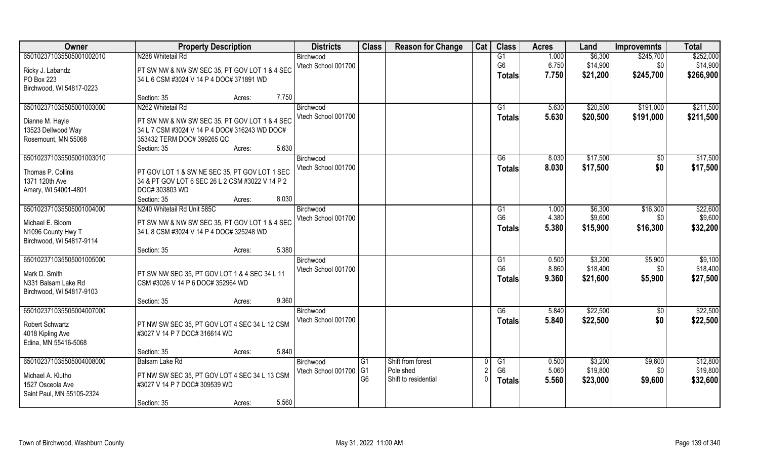| Owner                     | <b>Property Description</b>                     | <b>Districts</b>    | <b>Class</b>   | <b>Reason for Change</b> | Cat | <b>Class</b>   | <b>Acres</b> | Land     | <b>Improvemnts</b> | <b>Total</b> |
|---------------------------|-------------------------------------------------|---------------------|----------------|--------------------------|-----|----------------|--------------|----------|--------------------|--------------|
| 650102371035505001002010  | N288 Whitetail Rd                               | Birchwood           |                |                          |     | G1             | 1.000        | \$6,300  | \$245,700          | \$252,000    |
| Ricky J. Labandz          | PT SW NW & NW SW SEC 35, PT GOV LOT 1 & 4 SEC   | Vtech School 001700 |                |                          |     | G <sub>6</sub> | 6.750        | \$14,900 | \$0                | \$14,900     |
| PO Box 223                | 34 L 6 CSM #3024 V 14 P 4 DOC# 371891 WD        |                     |                |                          |     | <b>Totals</b>  | 7.750        | \$21,200 | \$245,700          | \$266,900    |
| Birchwood, WI 54817-0223  |                                                 |                     |                |                          |     |                |              |          |                    |              |
|                           | 7.750<br>Section: 35<br>Acres:                  |                     |                |                          |     |                |              |          |                    |              |
| 650102371035505001003000  | N262 Whitetail Rd                               | Birchwood           |                |                          |     | G <sub>1</sub> | 5.630        | \$20,500 | \$191,000          | \$211,500    |
| Dianne M. Hayle           | PT SW NW & NW SW SEC 35, PT GOV LOT 1 & 4 SEC   | Vtech School 001700 |                |                          |     | <b>Totals</b>  | 5.630        | \$20,500 | \$191,000          | \$211,500    |
| 13523 Dellwood Way        | 34 L 7 CSM #3024 V 14 P 4 DOC# 316243 WD DOC#   |                     |                |                          |     |                |              |          |                    |              |
| Rosemount, MN 55068       | 353432 TERM DOC# 399265 QC                      |                     |                |                          |     |                |              |          |                    |              |
|                           | 5.630<br>Section: 35<br>Acres:                  |                     |                |                          |     |                |              |          |                    |              |
| 650102371035505001003010  |                                                 | Birchwood           |                |                          |     | G6             | 8.030        | \$17,500 | $\sqrt[6]{30}$     | \$17,500     |
|                           |                                                 | Vtech School 001700 |                |                          |     | <b>Totals</b>  | 8.030        | \$17,500 | \$0                | \$17,500     |
| Thomas P. Collins         | PT GOV LOT 1 & SW NE SEC 35, PT GOV LOT 1 SEC   |                     |                |                          |     |                |              |          |                    |              |
| 1371 120th Ave            | 34 & PT GOV LOT 6 SEC 26 L 2 CSM #3022 V 14 P 2 |                     |                |                          |     |                |              |          |                    |              |
| Amery, WI 54001-4801      | DOC# 303803 WD<br>8.030<br>Section: 35          |                     |                |                          |     |                |              |          |                    |              |
| 650102371035505001004000  | Acres:<br>N240 Whitetail Rd Unit 585C           | Birchwood           |                |                          |     | G1             | 1.000        | \$6,300  | \$16,300           | \$22,600     |
|                           |                                                 | Vtech School 001700 |                |                          |     | G <sub>6</sub> | 4.380        | \$9,600  | \$0                | \$9,600      |
| Michael E. Bloom          | PT SW NW & NW SW SEC 35, PT GOV LOT 1 & 4 SEC   |                     |                |                          |     |                | 5.380        | \$15,900 | \$16,300           | \$32,200     |
| N1096 County Hwy T        | 34 L 8 CSM #3024 V 14 P 4 DOC# 325248 WD        |                     |                |                          |     | <b>Totals</b>  |              |          |                    |              |
| Birchwood, WI 54817-9114  |                                                 |                     |                |                          |     |                |              |          |                    |              |
|                           | 5.380<br>Section: 35<br>Acres:                  |                     |                |                          |     |                |              |          |                    |              |
| 650102371035505001005000  |                                                 | Birchwood           |                |                          |     | G1             | 0.500        | \$3,200  | \$5,900            | \$9,100      |
| Mark D. Smith             | PT SW NW SEC 35, PT GOV LOT 1 & 4 SEC 34 L 11   | Vtech School 001700 |                |                          |     | G <sub>6</sub> | 8.860        | \$18,400 | \$0                | \$18,400     |
| N331 Balsam Lake Rd       | CSM #3026 V 14 P 6 DOC# 352964 WD               |                     |                |                          |     | <b>Totals</b>  | 9.360        | \$21,600 | \$5,900            | \$27,500     |
| Birchwood, WI 54817-9103  |                                                 |                     |                |                          |     |                |              |          |                    |              |
|                           | 9.360<br>Section: 35<br>Acres:                  |                     |                |                          |     |                |              |          |                    |              |
| 650102371035505004007000  |                                                 | Birchwood           |                |                          |     | G6             | 5.840        | \$22,500 | \$0                | \$22,500     |
| <b>Robert Schwartz</b>    | PT NW SW SEC 35, PT GOV LOT 4 SEC 34 L 12 CSM   | Vtech School 001700 |                |                          |     | <b>Totals</b>  | 5.840        | \$22,500 | \$0                | \$22,500     |
| 4018 Kipling Ave          | #3027 V 14 P 7 DOC# 316614 WD                   |                     |                |                          |     |                |              |          |                    |              |
| Edina, MN 55416-5068      |                                                 |                     |                |                          |     |                |              |          |                    |              |
|                           | 5.840<br>Section: 35<br>Acres:                  |                     |                |                          |     |                |              |          |                    |              |
| 650102371035505004008000  | Balsam Lake Rd                                  | Birchwood           | G1             | Shift from forest        |     | G1             | 0.500        | \$3,200  | \$9,600            | \$12,800     |
|                           |                                                 | Vtech School 001700 | G <sub>1</sub> | Pole shed                |     | G <sub>6</sub> | 5.060        | \$19,800 | \$0                | \$19,800     |
| Michael A. Klutho         | PT NW SW SEC 35, PT GOV LOT 4 SEC 34 L 13 CSM   |                     | G <sub>6</sub> | Shift to residential     |     | Totals         | 5.560        | \$23,000 | \$9,600            | \$32,600     |
| 1527 Osceola Ave          | #3027 V 14 P 7 DOC# 309539 WD                   |                     |                |                          |     |                |              |          |                    |              |
| Saint Paul, MN 55105-2324 | 5.560                                           |                     |                |                          |     |                |              |          |                    |              |
|                           | Section: 35<br>Acres:                           |                     |                |                          |     |                |              |          |                    |              |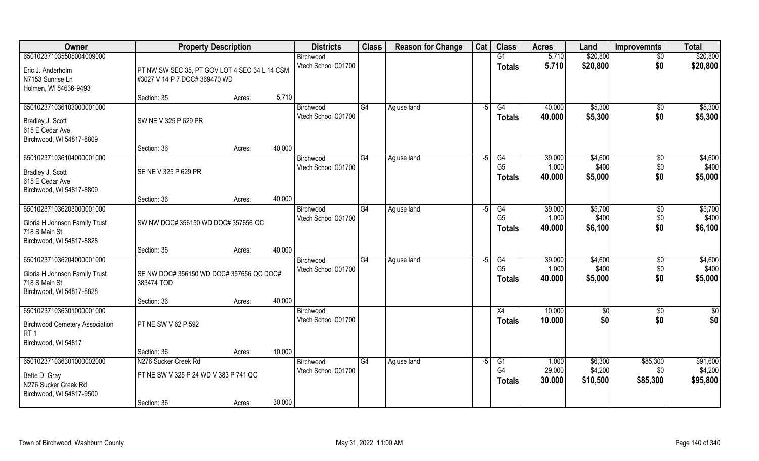| <b>Owner</b>                                                                                           | <b>Property Description</b>                            |                  | <b>Districts</b>                 | <b>Class</b> | <b>Reason for Change</b> | Cat  | <b>Class</b>                          | <b>Acres</b>              | Land                        | <b>Improvemnts</b>           | <b>Total</b>                |
|--------------------------------------------------------------------------------------------------------|--------------------------------------------------------|------------------|----------------------------------|--------------|--------------------------|------|---------------------------------------|---------------------------|-----------------------------|------------------------------|-----------------------------|
| 650102371035505004009000<br>Eric J. Anderholm                                                          | PT NW SW SEC 35, PT GOV LOT 4 SEC 34 L 14 CSM          |                  | Birchwood<br>Vtech School 001700 |              |                          |      | G1<br><b>Totals</b>                   | 5.710<br>5.710            | \$20,800<br>\$20,800        | $\overline{50}$<br>\$0       | \$20,800<br>\$20,800        |
| N7153 Sunrise Ln<br>Holmen, WI 54636-9493                                                              | #3027 V 14 P 7 DOC# 369470 WD                          | 5.710            |                                  |              |                          |      |                                       |                           |                             |                              |                             |
| 650102371036103000001000                                                                               | Section: 35                                            | Acres:           |                                  | G4           |                          |      | G4                                    | 40.000                    | \$5,300                     |                              |                             |
| Bradley J. Scott<br>615 E Cedar Ave<br>Birchwood, WI 54817-8809                                        | SW NE V 325 P 629 PR                                   |                  | Birchwood<br>Vtech School 001700 |              | Ag use land              | $-5$ | <b>Totals</b>                         | 40.000                    | \$5,300                     | $\overline{50}$<br>\$0       | \$5,300<br>\$5,300          |
|                                                                                                        | Section: 36                                            | 40.000<br>Acres: |                                  |              |                          |      |                                       |                           |                             |                              |                             |
| 650102371036104000001000<br>Bradley J. Scott<br>615 E Cedar Ave<br>Birchwood, WI 54817-8809            | SE NE V 325 P 629 PR                                   |                  | Birchwood<br>Vtech School 001700 | G4           | Ag use land              | $-5$ | G4<br>G <sub>5</sub><br><b>Totals</b> | 39.000<br>1.000<br>40.000 | \$4,600<br>\$400<br>\$5,000 | $\sqrt[6]{30}$<br>\$0<br>\$0 | \$4,600<br>\$400<br>\$5,000 |
|                                                                                                        | Section: 36                                            | 40.000<br>Acres: |                                  |              |                          |      |                                       |                           |                             |                              |                             |
| 650102371036203000001000<br>Gloria H Johnson Family Trust<br>718 S Main St                             | SW NW DOC# 356150 WD DOC# 357656 QC                    |                  | Birchwood<br>Vtech School 001700 | G4           | Ag use land              | $-5$ | G4<br>G <sub>5</sub><br><b>Totals</b> | 39.000<br>1.000<br>40.000 | \$5,700<br>\$400<br>\$6,100 | \$0<br>\$0<br>\$0            | \$5,700<br>\$400<br>\$6,100 |
| Birchwood, WI 54817-8828                                                                               | Section: 36                                            | 40.000<br>Acres: |                                  |              |                          |      |                                       |                           |                             |                              |                             |
| 650102371036204000001000<br>Gloria H Johnson Family Trust<br>718 S Main St<br>Birchwood, WI 54817-8828 | SE NW DOC# 356150 WD DOC# 357656 QC DOC#<br>383474 TOD |                  | Birchwood<br>Vtech School 001700 | G4           | Ag use land              | $-5$ | G4<br>G <sub>5</sub><br>Totals        | 39.000<br>1.000<br>40.000 | \$4,600<br>\$400<br>\$5,000 | \$0<br>\$0<br>\$0            | \$4,600<br>\$400<br>\$5,000 |
|                                                                                                        | Section: 36                                            | 40.000<br>Acres: |                                  |              |                          |      |                                       |                           |                             |                              |                             |
| 650102371036301000001000                                                                               |                                                        |                  | Birchwood                        |              |                          |      | X4                                    | 10.000                    | \$0                         | \$0                          | $\frac{6}{3}$               |
| <b>Birchwood Cemetery Association</b><br>RT <sub>1</sub><br>Birchwood, WI 54817                        | PT NE SW V 62 P 592                                    |                  | Vtech School 001700              |              |                          |      | <b>Totals</b>                         | 10.000                    | \$0                         | \$0                          | \$0                         |
|                                                                                                        | Section: 36                                            | 10.000<br>Acres: |                                  |              |                          |      |                                       |                           |                             |                              |                             |
| 650102371036301000002000                                                                               | N276 Sucker Creek Rd                                   |                  | Birchwood                        | G4           | Ag use land              | -5   | G1                                    | 1.000                     | \$6,300                     | \$85,300                     | \$91,600                    |
| Bette D. Gray<br>N276 Sucker Creek Rd<br>Birchwood, WI 54817-9500                                      | PT NE SW V 325 P 24 WD V 383 P 741 QC                  |                  | Vtech School 001700              |              |                          |      | G4<br><b>Totals</b>                   | 29.000<br>30.000          | \$4,200<br>\$10,500         | \$0<br>\$85,300              | \$4,200<br>\$95,800         |
|                                                                                                        | Section: 36                                            | 30.000<br>Acres: |                                  |              |                          |      |                                       |                           |                             |                              |                             |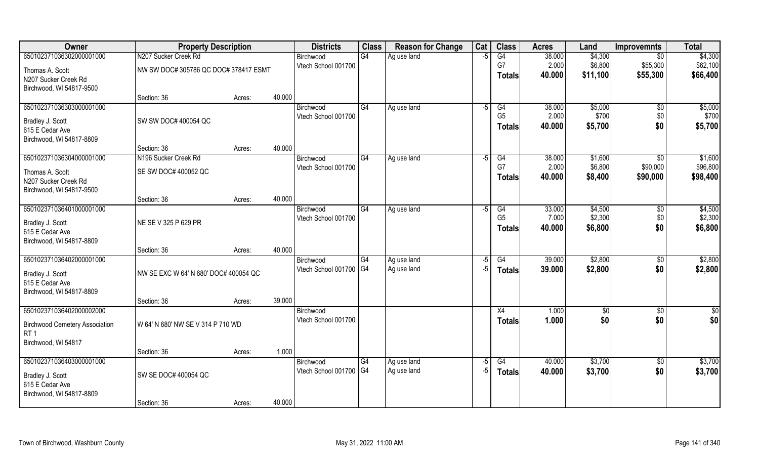| Owner                                 | <b>Property Description</b>           |        |        | <b>Districts</b>                    | <b>Class</b> | <b>Reason for Change</b>   | Cat          | <b>Class</b>         | <b>Acres</b>    | Land             | <b>Improvemnts</b> | <b>Total</b>     |
|---------------------------------------|---------------------------------------|--------|--------|-------------------------------------|--------------|----------------------------|--------------|----------------------|-----------------|------------------|--------------------|------------------|
| 650102371036302000001000              | N207 Sucker Creek Rd                  |        |        | Birchwood                           | G4           | Ag use land                | -5           | G4                   | 38.000          | \$4,300          | \$0                | \$4,300          |
| Thomas A. Scott                       | NW SW DOC# 305786 QC DOC# 378417 ESMT |        |        | Vtech School 001700                 |              |                            |              | G7                   | 2.000           | \$6,800          | \$55,300           | \$62,100         |
| N207 Sucker Creek Rd                  |                                       |        |        |                                     |              |                            |              | Totals               | 40.000          | \$11,100         | \$55,300           | \$66,400         |
| Birchwood, WI 54817-9500              |                                       |        |        |                                     |              |                            |              |                      |                 |                  |                    |                  |
|                                       | Section: 36                           | Acres: | 40.000 |                                     |              |                            |              |                      |                 |                  |                    |                  |
| 650102371036303000001000              |                                       |        |        | Birchwood                           | G4           | Ag use land                | -5           | G4<br>G <sub>5</sub> | 38.000          | \$5,000<br>\$700 | $\overline{50}$    | \$5,000<br>\$700 |
| Bradley J. Scott                      | SW SW DOC# 400054 QC                  |        |        | Vtech School 001700                 |              |                            |              | <b>Totals</b>        | 2.000<br>40.000 | \$5,700          | \$0<br>\$0         | \$5,700          |
| 615 E Cedar Ave                       |                                       |        |        |                                     |              |                            |              |                      |                 |                  |                    |                  |
| Birchwood, WI 54817-8809              |                                       |        | 40.000 |                                     |              |                            |              |                      |                 |                  |                    |                  |
| 650102371036304000001000              | Section: 36<br>N196 Sucker Creek Rd   | Acres: |        | Birchwood                           | G4           | Ag use land                | -5           | G4                   | 38.000          | \$1,600          | $\sqrt{6}$         | \$1,600          |
|                                       |                                       |        |        | Vtech School 001700                 |              |                            |              | G7                   | 2.000           | \$6,800          | \$90,000           | \$96,800         |
| Thomas A. Scott                       | SE SW DOC# 400052 QC                  |        |        |                                     |              |                            |              | <b>Totals</b>        | 40.000          | \$8,400          | \$90,000           | \$98,400         |
| N207 Sucker Creek Rd                  |                                       |        |        |                                     |              |                            |              |                      |                 |                  |                    |                  |
| Birchwood, WI 54817-9500              | Section: 36                           | Acres: | 40.000 |                                     |              |                            |              |                      |                 |                  |                    |                  |
| 650102371036401000001000              |                                       |        |        | Birchwood                           | G4           | Ag use land                | -5           | G4                   | 33.000          | \$4,500          | \$0                | \$4,500          |
|                                       |                                       |        |        | Vtech School 001700                 |              |                            |              | G <sub>5</sub>       | 7.000           | \$2,300          | \$0                | \$2,300          |
| Bradley J. Scott<br>615 E Cedar Ave   | NE SE V 325 P 629 PR                  |        |        |                                     |              |                            |              | <b>Totals</b>        | 40.000          | \$6,800          | \$0                | \$6,800          |
| Birchwood, WI 54817-8809              |                                       |        |        |                                     |              |                            |              |                      |                 |                  |                    |                  |
|                                       | Section: 36                           | Acres: | 40.000 |                                     |              |                            |              |                      |                 |                  |                    |                  |
| 650102371036402000001000              |                                       |        |        | Birchwood                           | G4           | Ag use land                | -5           | $\overline{G4}$      | 39.000          | \$2,800          | $\sqrt[6]{3}$      | \$2,800          |
| Bradley J. Scott                      | NW SE EXC W 64' N 680' DOC# 400054 QC |        |        | Vtech School 001700 G4              |              | Ag use land                | -5           | <b>Totals</b>        | 39.000          | \$2,800          | \$0                | \$2,800          |
| 615 E Cedar Ave                       |                                       |        |        |                                     |              |                            |              |                      |                 |                  |                    |                  |
| Birchwood, WI 54817-8809              |                                       |        |        |                                     |              |                            |              |                      |                 |                  |                    |                  |
|                                       | Section: 36                           | Acres: | 39.000 |                                     |              |                            |              |                      |                 |                  |                    |                  |
| 650102371036402000002000              |                                       |        |        | Birchwood                           |              |                            |              | X4                   | 1.000           | \$0              | \$0                | \$0              |
| <b>Birchwood Cemetery Association</b> | W 64' N 680' NW SE V 314 P 710 WD     |        |        | Vtech School 001700                 |              |                            |              | <b>Totals</b>        | 1.000           | \$0              | \$0                | \$0              |
| RT <sub>1</sub>                       |                                       |        |        |                                     |              |                            |              |                      |                 |                  |                    |                  |
| Birchwood, WI 54817                   |                                       |        |        |                                     |              |                            |              |                      |                 |                  |                    |                  |
|                                       | Section: 36                           | Acres: | 1.000  |                                     |              |                            |              |                      |                 |                  |                    |                  |
| 650102371036403000001000              |                                       |        |        | Birchwood<br>Vtech School 001700 G4 | G4           | Ag use land<br>Ag use land | $-5$<br>$-5$ | G4                   | 40.000          | \$3,700          | $\overline{50}$    | \$3,700          |
| Bradley J. Scott                      | SW SE DOC# 400054 QC                  |        |        |                                     |              |                            |              | <b>Totals</b>        | 40.000          | \$3,700          | \$0                | \$3,700          |
| 615 E Cedar Ave                       |                                       |        |        |                                     |              |                            |              |                      |                 |                  |                    |                  |
| Birchwood, WI 54817-8809              |                                       |        | 40.000 |                                     |              |                            |              |                      |                 |                  |                    |                  |
|                                       | Section: 36                           | Acres: |        |                                     |              |                            |              |                      |                 |                  |                    |                  |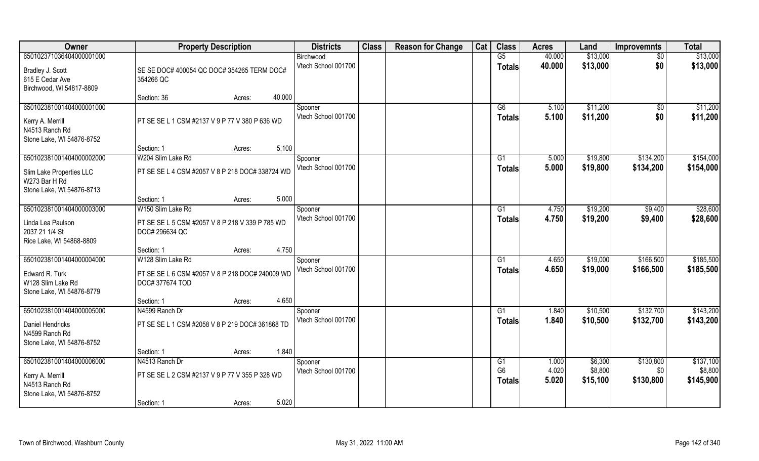| Owner                     | <b>Property Description</b>                     |        | <b>Districts</b>    | <b>Class</b> | <b>Reason for Change</b> | Cat | <b>Class</b>   | <b>Acres</b> | Land     | <b>Improvemnts</b> | <b>Total</b> |
|---------------------------|-------------------------------------------------|--------|---------------------|--------------|--------------------------|-----|----------------|--------------|----------|--------------------|--------------|
| 650102371036404000001000  |                                                 |        | Birchwood           |              |                          |     | G5             | 40.000       | \$13,000 | $\sqrt{6}$         | \$13,000     |
| Bradley J. Scott          | SE SE DOC# 400054 QC DOC# 354265 TERM DOC#      |        | Vtech School 001700 |              |                          |     | <b>Totals</b>  | 40.000       | \$13,000 | \$0                | \$13,000     |
| 615 E Cedar Ave           | 354266 QC                                       |        |                     |              |                          |     |                |              |          |                    |              |
| Birchwood, WI 54817-8809  |                                                 |        |                     |              |                          |     |                |              |          |                    |              |
|                           | Section: 36<br>Acres:                           | 40.000 |                     |              |                          |     |                |              |          |                    |              |
| 650102381001404000001000  |                                                 |        | Spooner             |              |                          |     | G6             | 5.100        | \$11,200 | \$0                | \$11,200     |
| Kerry A. Merrill          | PT SE SE L 1 CSM #2137 V 9 P 77 V 380 P 636 WD  |        | Vtech School 001700 |              |                          |     | Totals         | 5.100        | \$11,200 | \$0                | \$11,200     |
| N4513 Ranch Rd            |                                                 |        |                     |              |                          |     |                |              |          |                    |              |
| Stone Lake, WI 54876-8752 |                                                 |        |                     |              |                          |     |                |              |          |                    |              |
|                           | Section: 1<br>Acres:                            | 5.100  |                     |              |                          |     |                |              |          |                    |              |
| 650102381001404000002000  | W204 Slim Lake Rd                               |        | Spooner             |              |                          |     | G1             | 5.000        | \$19,800 | \$134,200          | \$154,000    |
| Slim Lake Properties LLC  | PT SE SE L 4 CSM #2057 V 8 P 218 DOC# 338724 WD |        | Vtech School 001700 |              |                          |     | <b>Totals</b>  | 5.000        | \$19,800 | \$134,200          | \$154,000    |
| W273 Bar H Rd             |                                                 |        |                     |              |                          |     |                |              |          |                    |              |
| Stone Lake, WI 54876-8713 |                                                 |        |                     |              |                          |     |                |              |          |                    |              |
|                           | Section: 1<br>Acres:                            | 5.000  |                     |              |                          |     |                |              |          |                    |              |
| 650102381001404000003000  | W150 Slim Lake Rd                               |        | Spooner             |              |                          |     | G1             | 4.750        | \$19,200 | \$9,400            | \$28,600     |
| Linda Lea Paulson         | PT SE SE L 5 CSM #2057 V 8 P 218 V 339 P 785 WD |        | Vtech School 001700 |              |                          |     | <b>Totals</b>  | 4.750        | \$19,200 | \$9,400            | \$28,600     |
| 2037 21 1/4 St            | DOC# 296634 QC                                  |        |                     |              |                          |     |                |              |          |                    |              |
| Rice Lake, WI 54868-8809  |                                                 |        |                     |              |                          |     |                |              |          |                    |              |
|                           | Section: 1<br>Acres:                            | 4.750  |                     |              |                          |     |                |              |          |                    |              |
| 650102381001404000004000  | W128 Slim Lake Rd                               |        | Spooner             |              |                          |     | G1             | 4.650        | \$19,000 | \$166,500          | \$185,500    |
| Edward R. Turk            | PT SE SE L 6 CSM #2057 V 8 P 218 DOC# 240009 WD |        | Vtech School 001700 |              |                          |     | <b>Totals</b>  | 4.650        | \$19,000 | \$166,500          | \$185,500    |
| W128 Slim Lake Rd         | DOC#377674 TOD                                  |        |                     |              |                          |     |                |              |          |                    |              |
| Stone Lake, WI 54876-8779 |                                                 |        |                     |              |                          |     |                |              |          |                    |              |
|                           | Section: 1<br>Acres:                            | 4.650  |                     |              |                          |     |                |              |          |                    |              |
| 650102381001404000005000  | N4599 Ranch Dr                                  |        | Spooner             |              |                          |     | G1             | 1.840        | \$10,500 | \$132,700          | \$143,200    |
| Daniel Hendricks          | PT SE SE L 1 CSM #2058 V 8 P 219 DOC# 361868 TD |        | Vtech School 001700 |              |                          |     | <b>Totals</b>  | 1.840        | \$10,500 | \$132,700          | \$143,200    |
| N4599 Ranch Rd            |                                                 |        |                     |              |                          |     |                |              |          |                    |              |
| Stone Lake, WI 54876-8752 |                                                 |        |                     |              |                          |     |                |              |          |                    |              |
|                           | Section: 1<br>Acres:                            | 1.840  |                     |              |                          |     |                |              |          |                    |              |
| 650102381001404000006000  | N4513 Ranch Dr                                  |        | Spooner             |              |                          |     | G1             | 1.000        | \$6,300  | \$130,800          | \$137,100    |
| Kerry A. Merrill          | PT SE SE L 2 CSM #2137 V 9 P 77 V 355 P 328 WD  |        | Vtech School 001700 |              |                          |     | G <sub>6</sub> | 4.020        | \$8,800  | \$0                | \$8,800      |
| N4513 Ranch Rd            |                                                 |        |                     |              |                          |     | <b>Totals</b>  | 5.020        | \$15,100 | \$130,800          | \$145,900    |
| Stone Lake, WI 54876-8752 |                                                 |        |                     |              |                          |     |                |              |          |                    |              |
|                           | Section: 1<br>Acres:                            | 5.020  |                     |              |                          |     |                |              |          |                    |              |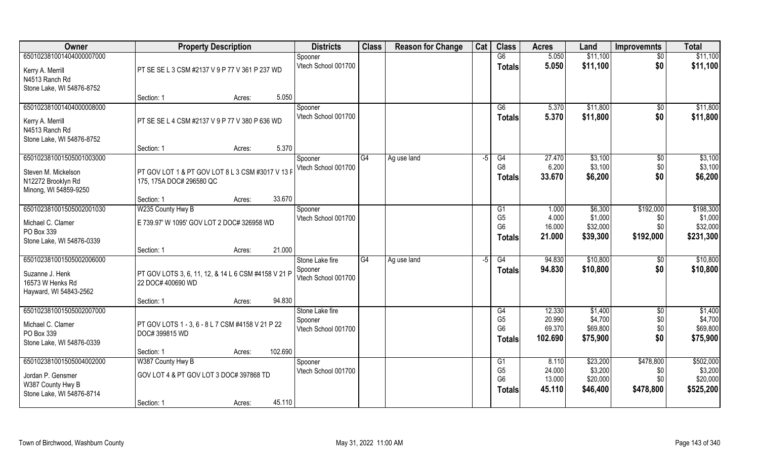| Owner                     | <b>Property Description</b>                         |                   | <b>Districts</b>               | <b>Class</b> | <b>Reason for Change</b> | Cat  | <b>Class</b>                     | <b>Acres</b>     | Land                | <b>Improvemnts</b> | <b>Total</b>        |
|---------------------------|-----------------------------------------------------|-------------------|--------------------------------|--------------|--------------------------|------|----------------------------------|------------------|---------------------|--------------------|---------------------|
| 650102381001404000007000  |                                                     |                   | Spooner                        |              |                          |      | G6                               | 5.050            | \$11,100            | $\sqrt{6}$         | \$11,100            |
| Kerry A. Merrill          | PT SE SE L 3 CSM #2137 V 9 P 77 V 361 P 237 WD      |                   | Vtech School 001700            |              |                          |      | <b>Totals</b>                    | 5.050            | \$11,100            | \$0                | \$11,100            |
| N4513 Ranch Rd            |                                                     |                   |                                |              |                          |      |                                  |                  |                     |                    |                     |
| Stone Lake, WI 54876-8752 |                                                     |                   |                                |              |                          |      |                                  |                  |                     |                    |                     |
|                           | Section: 1                                          | Acres:            | 5.050                          |              |                          |      |                                  |                  |                     |                    |                     |
| 650102381001404000008000  |                                                     |                   | Spooner                        |              |                          |      | G6                               | 5.370            | \$11,800            | \$0                | \$11,800            |
| Kerry A. Merrill          | PT SE SE L 4 CSM #2137 V 9 P 77 V 380 P 636 WD      |                   | Vtech School 001700            |              |                          |      | <b>Totals</b>                    | 5.370            | \$11,800            | \$0                | \$11,800            |
| N4513 Ranch Rd            |                                                     |                   |                                |              |                          |      |                                  |                  |                     |                    |                     |
| Stone Lake, WI 54876-8752 |                                                     |                   |                                |              |                          |      |                                  |                  |                     |                    |                     |
|                           | Section: 1                                          | Acres:            | 5.370                          |              |                          |      |                                  |                  |                     |                    |                     |
| 650102381001505001003000  |                                                     |                   | Spooner                        | G4           | Ag use land              | $-5$ | G4                               | 27.470           | \$3,100             | $\sqrt[6]{30}$     | \$3,100             |
| Steven M. Mickelson       | PT GOV LOT 1 & PT GOV LOT 8 L 3 CSM #3017 V 13 F    |                   | Vtech School 001700            |              |                          |      | G <sub>8</sub>                   | 6.200            | \$3,100             | \$0                | \$3,100             |
| N12272 Brooklyn Rd        | 175, 175A DOC# 296580 QC                            |                   |                                |              |                          |      | <b>Totals</b>                    | 33.670           | \$6,200             | \$0                | \$6,200             |
| Minong, WI 54859-9250     |                                                     |                   |                                |              |                          |      |                                  |                  |                     |                    |                     |
|                           | Section: 1                                          | 33.670<br>Acres:  |                                |              |                          |      |                                  |                  |                     |                    |                     |
| 650102381001505002001030  | W235 County Hwy B                                   |                   | Spooner                        |              |                          |      | G1                               | 1.000            | \$6,300             | \$192,000          | \$198,300           |
| Michael C. Clamer         | E 739.97' W 1095' GOV LOT 2 DOC# 326958 WD          |                   | Vtech School 001700            |              |                          |      | G <sub>5</sub><br>G <sub>6</sub> | 4.000<br>16.000  | \$1,000<br>\$32,000 | \$0<br>\$0         | \$1,000<br>\$32,000 |
| PO Box 339                |                                                     |                   |                                |              |                          |      | <b>Totals</b>                    | 21.000           | \$39,300            | \$192,000          | \$231,300           |
| Stone Lake, WI 54876-0339 |                                                     |                   |                                |              |                          |      |                                  |                  |                     |                    |                     |
|                           | Section: 1                                          | 21.000<br>Acres:  |                                |              |                          |      |                                  |                  |                     |                    |                     |
| 650102381001505002006000  |                                                     |                   | Stone Lake fire                | G4           | Ag use land              | $-5$ | G4                               | 94.830           | \$10,800            | $\sqrt[6]{30}$     | \$10,800            |
| Suzanne J. Henk           | PT GOV LOTS 3, 6, 11, 12, & 14 L 6 CSM #4158 V 21 P |                   | Spooner<br>Vtech School 001700 |              |                          |      | Totals                           | 94.830           | \$10,800            | \$0                | \$10,800            |
| 16573 W Henks Rd          | 22 DOC# 400690 WD                                   |                   |                                |              |                          |      |                                  |                  |                     |                    |                     |
| Hayward, WI 54843-2562    |                                                     |                   |                                |              |                          |      |                                  |                  |                     |                    |                     |
|                           | Section: 1                                          | 94.830<br>Acres:  |                                |              |                          |      |                                  |                  |                     |                    |                     |
| 650102381001505002007000  |                                                     |                   | Stone Lake fire                |              |                          |      | G4                               | 12.330           | \$1,400             | $\sqrt{$0}$        | \$1,400             |
| Michael C. Clamer         | PT GOV LOTS 1 - 3, 6 - 8 L 7 CSM #4158 V 21 P 22    |                   | Spooner<br>Vtech School 001700 |              |                          |      | G <sub>5</sub><br>G <sub>6</sub> | 20.990<br>69.370 | \$4,700<br>\$69,800 | \$0<br>\$0         | \$4,700<br>\$69,800 |
| PO Box 339                | DOC# 399815 WD                                      |                   |                                |              |                          |      | <b>Totals</b>                    | 102.690          | \$75,900            | \$0                | \$75,900            |
| Stone Lake, WI 54876-0339 |                                                     |                   |                                |              |                          |      |                                  |                  |                     |                    |                     |
|                           | Section: 1                                          | 102.690<br>Acres: |                                |              |                          |      |                                  |                  |                     |                    |                     |
| 650102381001505004002000  | W387 County Hwy B                                   |                   | Spooner                        |              |                          |      | G1                               | 8.110            | \$23,200            | \$478,800          | \$502,000           |
| Jordan P. Gensmer         | GOV LOT 4 & PT GOV LOT 3 DOC# 397868 TD             |                   | Vtech School 001700            |              |                          |      | G <sub>5</sub><br>G <sub>6</sub> | 24.000<br>13.000 | \$3,200<br>\$20,000 | \$0<br>\$0         | \$3,200<br>\$20,000 |
| W387 County Hwy B         |                                                     |                   |                                |              |                          |      | Totals                           | 45.110           | \$46,400            | \$478,800          | \$525,200           |
| Stone Lake, WI 54876-8714 |                                                     |                   |                                |              |                          |      |                                  |                  |                     |                    |                     |
|                           | Section: 1                                          | Acres:            | 45.110                         |              |                          |      |                                  |                  |                     |                    |                     |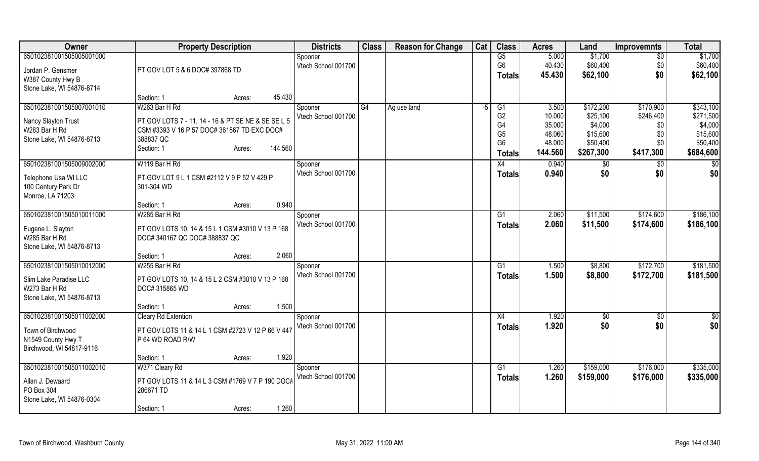| Owner                     | <b>Property Description</b>                        |                   | <b>Districts</b>    | <b>Class</b> | <b>Reason for Change</b> | Cat | <b>Class</b>   | <b>Acres</b> | Land          | <b>Improvemnts</b> | <b>Total</b>    |
|---------------------------|----------------------------------------------------|-------------------|---------------------|--------------|--------------------------|-----|----------------|--------------|---------------|--------------------|-----------------|
| 650102381001505005001000  |                                                    |                   | Spooner             |              |                          |     | G5             | 5.000        | \$1,700       | $\overline{50}$    | \$1,700         |
| Jordan P. Gensmer         | PT GOV LOT 5 & 6 DOC# 397868 TD                    |                   | Vtech School 001700 |              |                          |     | G <sub>6</sub> | 40.430       | \$60,400      | \$0                | \$60,400        |
| W387 County Hwy B         |                                                    |                   |                     |              |                          |     | Totals         | 45.430       | \$62,100      | \$0                | \$62,100        |
| Stone Lake, WI 54876-8714 |                                                    |                   |                     |              |                          |     |                |              |               |                    |                 |
|                           | Section: 1                                         | 45.430<br>Acres:  |                     |              |                          |     |                |              |               |                    |                 |
| 650102381001505007001010  | W263 Bar H Rd                                      |                   | Spooner             | G4           | Ag use land              | -5  | G1             | 3.500        | \$172,200     | \$170,900          | \$343,100       |
|                           |                                                    |                   | Vtech School 001700 |              |                          |     | G <sub>2</sub> | 10.000       | \$25,100      | \$246,400          | \$271,500       |
| Nancy Slayton Trust       | PT GOV LOTS 7 - 11, 14 - 16 & PT SE NE & SE SE L 5 |                   |                     |              |                          |     | G4             | 35.000       | \$4,000       | \$0                | \$4,000         |
| W263 Bar H Rd             | CSM #3393 V 16 P 57 DOC# 361867 TD EXC DOC#        |                   |                     |              |                          |     | G <sub>5</sub> | 48.060       | \$15,600      | \$0                | \$15,600        |
| Stone Lake, WI 54876-8713 | 388837 QC                                          |                   |                     |              |                          |     | G <sub>6</sub> | 48.000       | \$50,400      | \$0                | \$50,400        |
|                           | Section: 1                                         | 144.560<br>Acres: |                     |              |                          |     | <b>Totals</b>  | 144.560      | \$267,300     | \$417,300          | \$684,600       |
| 650102381001505009002000  | W119 Bar H Rd                                      |                   | Spooner             |              |                          |     | X4             | 0.940        | $\frac{1}{6}$ | $\overline{50}$    | $\overline{50}$ |
| Telephone Usa WI LLC      | PT GOV LOT 9 L 1 CSM #2112 V 9 P 52 V 429 P        |                   | Vtech School 001700 |              |                          |     | <b>Totals</b>  | 0.940        | \$0           | \$0                | \$0             |
| 100 Century Park Dr       | 301-304 WD                                         |                   |                     |              |                          |     |                |              |               |                    |                 |
| Monroe, LA 71203          |                                                    |                   |                     |              |                          |     |                |              |               |                    |                 |
|                           | Section: 1                                         | 0.940<br>Acres:   |                     |              |                          |     |                |              |               |                    |                 |
| 650102381001505010011000  | W285 Bar H Rd                                      |                   | Spooner             |              |                          |     | G1             | 2.060        | \$11,500      | \$174,600          | \$186,100       |
|                           |                                                    |                   | Vtech School 001700 |              |                          |     | <b>Totals</b>  | 2.060        | \$11,500      | \$174,600          | \$186,100       |
| Eugene L. Slayton         | PT GOV LOTS 10, 14 & 15 L 1 CSM #3010 V 13 P 168   |                   |                     |              |                          |     |                |              |               |                    |                 |
| W285 Bar H Rd             | DOC# 340167 QC DOC# 388837 QC                      |                   |                     |              |                          |     |                |              |               |                    |                 |
| Stone Lake, WI 54876-8713 |                                                    |                   |                     |              |                          |     |                |              |               |                    |                 |
|                           | Section: 1                                         | 2.060<br>Acres:   |                     |              |                          |     |                |              |               |                    |                 |
| 650102381001505010012000  | W255 Bar H Rd                                      |                   | Spooner             |              |                          |     | G1             | 1.500        | \$8,800       | \$172,700          | \$181,500       |
| Slim Lake Paradise LLC    | PT GOV LOTS 10, 14 & 15 L 2 CSM #3010 V 13 P 168   |                   | Vtech School 001700 |              |                          |     | <b>Totals</b>  | 1.500        | \$8,800       | \$172,700          | \$181,500       |
| W273 Bar H Rd             | DOC# 315865 WD                                     |                   |                     |              |                          |     |                |              |               |                    |                 |
| Stone Lake, WI 54876-8713 |                                                    |                   |                     |              |                          |     |                |              |               |                    |                 |
|                           | Section: 1                                         | 1.500<br>Acres:   |                     |              |                          |     |                |              |               |                    |                 |
| 650102381001505011002000  | <b>Cleary Rd Extention</b>                         |                   | Spooner             |              |                          |     | X4             | 1.920        | \$0           | \$0                | \$0             |
| Town of Birchwood         | PT GOV LOTS 11 & 14 L 1 CSM #2723 V 12 P 66 V 447  |                   | Vtech School 001700 |              |                          |     | <b>Totals</b>  | 1.920        | \$0           | \$0                | \$0             |
| N1549 County Hwy T        | P 64 WD ROAD R/W                                   |                   |                     |              |                          |     |                |              |               |                    |                 |
| Birchwood, WI 54817-9116  |                                                    |                   |                     |              |                          |     |                |              |               |                    |                 |
|                           | Section: 1                                         | 1.920<br>Acres:   |                     |              |                          |     |                |              |               |                    |                 |
| 650102381001505011002010  | W371 Cleary Rd                                     |                   | Spooner             |              |                          |     | G1             | 1.260        | \$159,000     | \$176,000          | \$335,000       |
|                           |                                                    |                   | Vtech School 001700 |              |                          |     | <b>Totals</b>  | 1.260        | \$159,000     | \$176,000          | \$335,000       |
| Allan J. Dewaard          | PT GOV LOTS 11 & 14 L 3 CSM #1769 V 7 P 190 DOC#   |                   |                     |              |                          |     |                |              |               |                    |                 |
| PO Box 304                | 286671 TD                                          |                   |                     |              |                          |     |                |              |               |                    |                 |
| Stone Lake, WI 54876-0304 |                                                    |                   |                     |              |                          |     |                |              |               |                    |                 |
|                           | Section: 1                                         | 1.260<br>Acres:   |                     |              |                          |     |                |              |               |                    |                 |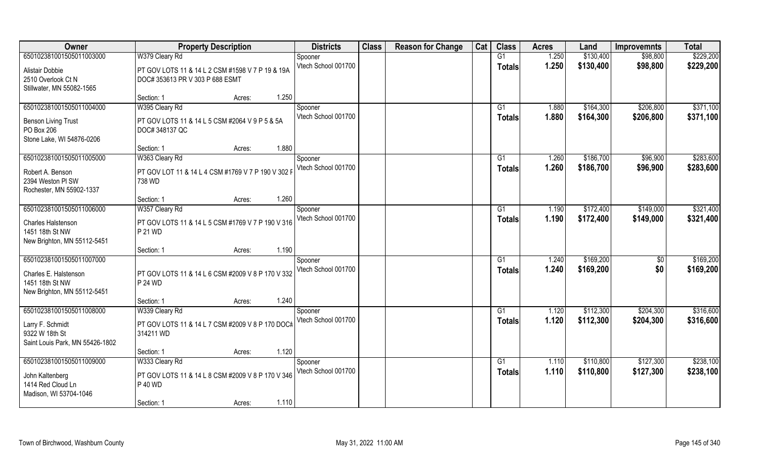| Owner                           | <b>Property Description</b>                        | <b>Districts</b>    | <b>Class</b> | <b>Reason for Change</b> | Cat | <b>Class</b>  | <b>Acres</b> | Land      | <b>Improvemnts</b> | <b>Total</b> |
|---------------------------------|----------------------------------------------------|---------------------|--------------|--------------------------|-----|---------------|--------------|-----------|--------------------|--------------|
| 650102381001505011003000        | W379 Cleary Rd                                     | Spooner             |              |                          |     | G1            | 1.250        | \$130,400 | \$98,800           | \$229,200    |
| Alistair Dobbie                 | PT GOV LOTS 11 & 14 L 2 CSM #1598 V 7 P 19 & 19A   | Vtech School 001700 |              |                          |     | <b>Totals</b> | 1.250        | \$130,400 | \$98,800           | \$229,200    |
| 2510 Overlook Ct N              | DOC# 353613 PR V 303 P 688 ESMT                    |                     |              |                          |     |               |              |           |                    |              |
| Stillwater, MN 55082-1565       |                                                    |                     |              |                          |     |               |              |           |                    |              |
|                                 | 1.250<br>Section: 1<br>Acres:                      |                     |              |                          |     |               |              |           |                    |              |
| 650102381001505011004000        | W395 Cleary Rd                                     | Spooner             |              |                          |     | G1            | 1.880        | \$164,300 | \$206,800          | \$371,100    |
| <b>Benson Living Trust</b>      | PT GOV LOTS 11 & 14 L 5 CSM #2064 V 9 P 5 & 5A     | Vtech School 001700 |              |                          |     | Totals        | 1.880        | \$164,300 | \$206,800          | \$371,100    |
| PO Box 206                      | DOC# 348137 QC                                     |                     |              |                          |     |               |              |           |                    |              |
| Stone Lake, WI 54876-0206       |                                                    |                     |              |                          |     |               |              |           |                    |              |
|                                 | 1.880<br>Section: 1<br>Acres:                      |                     |              |                          |     |               |              |           |                    |              |
| 650102381001505011005000        | W363 Cleary Rd                                     | Spooner             |              |                          |     | G1            | 1.260        | \$186,700 | \$96,900           | \$283,600    |
| Robert A. Benson                | PT GOV LOT 11 & 14 L 4 CSM #1769 V 7 P 190 V 302 F | Vtech School 001700 |              |                          |     | <b>Totals</b> | 1.260        | \$186,700 | \$96,900           | \$283,600    |
| 2394 Weston PI SW               | 738 WD                                             |                     |              |                          |     |               |              |           |                    |              |
| Rochester, MN 55902-1337        |                                                    |                     |              |                          |     |               |              |           |                    |              |
|                                 | 1.260<br>Section: 1<br>Acres:                      |                     |              |                          |     |               |              |           |                    |              |
| 650102381001505011006000        | W357 Cleary Rd                                     | Spooner             |              |                          |     | G1            | 1.190        | \$172,400 | \$149,000          | \$321,400    |
| Charles Halstenson              | PT GOV LOTS 11 & 14 L 5 CSM #1769 V 7 P 190 V 316  | Vtech School 001700 |              |                          |     | <b>Totals</b> | 1.190        | \$172,400 | \$149,000          | \$321,400    |
| 1451 18th St NW                 | P 21 WD                                            |                     |              |                          |     |               |              |           |                    |              |
| New Brighton, MN 55112-5451     |                                                    |                     |              |                          |     |               |              |           |                    |              |
|                                 | 1.190<br>Section: 1<br>Acres:                      |                     |              |                          |     |               |              |           |                    |              |
| 650102381001505011007000        |                                                    | Spooner             |              |                          |     | G1            | 1.240        | \$169,200 | $\sqrt[6]{3}$      | \$169,200    |
| Charles E. Halstenson           | PT GOV LOTS 11 & 14 L 6 CSM #2009 V 8 P 170 V 332  | Vtech School 001700 |              |                          |     | Totals        | 1.240        | \$169,200 | \$0                | \$169,200    |
| 1451 18th St NW                 | P 24 WD                                            |                     |              |                          |     |               |              |           |                    |              |
| New Brighton, MN 55112-5451     |                                                    |                     |              |                          |     |               |              |           |                    |              |
|                                 | 1.240<br>Section: 1<br>Acres:                      |                     |              |                          |     |               |              |           |                    |              |
| 650102381001505011008000        | W339 Cleary Rd                                     | Spooner             |              |                          |     | G1            | 1.120        | \$112,300 | \$204,300          | \$316,600    |
| Larry F. Schmidt                | PT GOV LOTS 11 & 14 L 7 CSM #2009 V 8 P 170 DOC#   | Vtech School 001700 |              |                          |     | <b>Totals</b> | 1.120        | \$112,300 | \$204,300          | \$316,600    |
| 9322 W 18th St                  | 314211 WD                                          |                     |              |                          |     |               |              |           |                    |              |
| Saint Louis Park, MN 55426-1802 |                                                    |                     |              |                          |     |               |              |           |                    |              |
|                                 | 1.120<br>Section: 1<br>Acres:                      |                     |              |                          |     |               |              |           |                    |              |
| 650102381001505011009000        | W333 Cleary Rd                                     | Spooner             |              |                          |     | G1            | 1.110        | \$110,800 | \$127,300          | \$238,100    |
| John Kaltenberg                 | PT GOV LOTS 11 & 14 L 8 CSM #2009 V 8 P 170 V 346  | Vtech School 001700 |              |                          |     | <b>Totals</b> | 1.110        | \$110,800 | \$127,300          | \$238,100    |
| 1414 Red Cloud Ln               | P 40 WD                                            |                     |              |                          |     |               |              |           |                    |              |
| Madison, WI 53704-1046          |                                                    |                     |              |                          |     |               |              |           |                    |              |
|                                 | 1.110<br>Section: 1<br>Acres:                      |                     |              |                          |     |               |              |           |                    |              |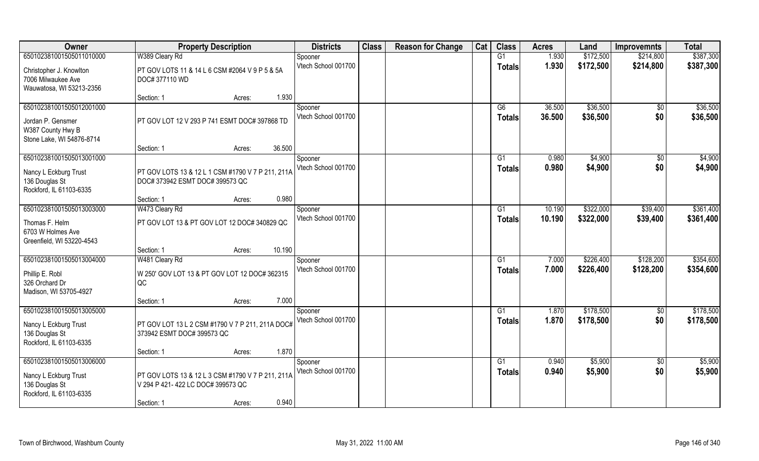| Owner                     | <b>Property Description</b>                       | <b>Districts</b>               | <b>Class</b> | <b>Reason for Change</b> | Cat | <b>Class</b>    | <b>Acres</b> | Land      | <b>Improvemnts</b> | <b>Total</b> |
|---------------------------|---------------------------------------------------|--------------------------------|--------------|--------------------------|-----|-----------------|--------------|-----------|--------------------|--------------|
| 650102381001505011010000  | W389 Cleary Rd                                    | Spooner                        |              |                          |     | G1              | 1.930        | \$172,500 | \$214,800          | \$387,300    |
| Christopher J. Knowlton   | PT GOV LOTS 11 & 14 L 6 CSM #2064 V 9 P 5 & 5A    | Vtech School 001700            |              |                          |     | <b>Totals</b>   | 1.930        | \$172,500 | \$214,800          | \$387,300    |
| 7006 Milwaukee Ave        | DOC# 377110 WD                                    |                                |              |                          |     |                 |              |           |                    |              |
| Wauwatosa, WI 53213-2356  |                                                   |                                |              |                          |     |                 |              |           |                    |              |
|                           | Section: 1<br>Acres:                              | 1.930                          |              |                          |     |                 |              |           |                    |              |
| 650102381001505012001000  |                                                   | Spooner                        |              |                          |     | G6              | 36.500       | \$36,500  | \$0                | \$36,500     |
| Jordan P. Gensmer         | PT GOV LOT 12 V 293 P 741 ESMT DOC# 397868 TD     | Vtech School 001700            |              |                          |     | <b>Totals</b>   | 36.500       | \$36,500  | \$0                | \$36,500     |
| W387 County Hwy B         |                                                   |                                |              |                          |     |                 |              |           |                    |              |
| Stone Lake, WI 54876-8714 |                                                   |                                |              |                          |     |                 |              |           |                    |              |
|                           | 36.500<br>Section: 1<br>Acres:                    |                                |              |                          |     |                 |              |           |                    |              |
| 650102381001505013001000  |                                                   | Spooner<br>Vtech School 001700 |              |                          |     | G1              | 0.980        | \$4,900   | \$0                | \$4,900      |
| Nancy L Eckburg Trust     | PT GOV LOTS 13 & 12 L 1 CSM #1790 V 7 P 211, 211A |                                |              |                          |     | <b>Totals</b>   | 0.980        | \$4,900   | \$0                | \$4,900      |
| 136 Douglas St            | DOC# 373942 ESMT DOC# 399573 QC                   |                                |              |                          |     |                 |              |           |                    |              |
| Rockford, IL 61103-6335   |                                                   |                                |              |                          |     |                 |              |           |                    |              |
|                           | Section: 1<br>Acres:                              | 0.980                          |              |                          |     |                 |              |           |                    |              |
| 650102381001505013003000  | W473 Cleary Rd                                    | Spooner<br>Vtech School 001700 |              |                          |     | G1              | 10.190       | \$322,000 | \$39,400           | \$361,400    |
| Thomas F. Helm            | PT GOV LOT 13 & PT GOV LOT 12 DOC# 340829 QC      |                                |              |                          |     | <b>Totals</b>   | 10.190       | \$322,000 | \$39,400           | \$361,400    |
| 6703 W Holmes Ave         |                                                   |                                |              |                          |     |                 |              |           |                    |              |
| Greenfield, WI 53220-4543 |                                                   |                                |              |                          |     |                 |              |           |                    |              |
|                           | Section: 1<br>Acres:                              | 10.190                         |              |                          |     |                 |              |           |                    |              |
| 650102381001505013004000  | W481 Cleary Rd                                    | Spooner<br>Vtech School 001700 |              |                          |     | G1              | 7.000        | \$226,400 | \$128,200          | \$354,600    |
| Phillip E. Robl           | W 250' GOV LOT 13 & PT GOV LOT 12 DOC# 362315     |                                |              |                          |     | <b>Totals</b>   | 7.000        | \$226,400 | \$128,200          | \$354,600    |
| 326 Orchard Dr            | QC                                                |                                |              |                          |     |                 |              |           |                    |              |
| Madison, WI 53705-4927    |                                                   |                                |              |                          |     |                 |              |           |                    |              |
|                           | Section: 1<br>Acres:                              | 7.000                          |              |                          |     |                 |              |           |                    |              |
| 650102381001505013005000  |                                                   | Spooner<br>Vtech School 001700 |              |                          |     | $\overline{G1}$ | 1.870        | \$178,500 | \$0<br>\$0         | \$178,500    |
| Nancy L Eckburg Trust     | PT GOV LOT 13 L 2 CSM #1790 V 7 P 211, 211A DOC#  |                                |              |                          |     | <b>Totals</b>   | 1.870        | \$178,500 |                    | \$178,500    |
| 136 Douglas St            | 373942 ESMT DOC# 399573 QC                        |                                |              |                          |     |                 |              |           |                    |              |
| Rockford, IL 61103-6335   |                                                   |                                |              |                          |     |                 |              |           |                    |              |
|                           | Section: 1<br>Acres:                              | 1.870                          |              |                          |     |                 |              |           |                    |              |
| 650102381001505013006000  |                                                   | Spooner<br>Vtech School 001700 |              |                          |     | G1              | 0.940        | \$5,900   | $\overline{30}$    | \$5,900      |
| Nancy L Eckburg Trust     | PT GOV LOTS 13 & 12 L 3 CSM #1790 V 7 P 211, 211A |                                |              |                          |     | Totals          | 0.940        | \$5,900   | \$0                | \$5,900      |
| 136 Douglas St            | V 294 P 421-422 LC DOC# 399573 QC                 |                                |              |                          |     |                 |              |           |                    |              |
| Rockford, IL 61103-6335   |                                                   |                                |              |                          |     |                 |              |           |                    |              |
|                           | Section: 1<br>Acres:                              | 0.940                          |              |                          |     |                 |              |           |                    |              |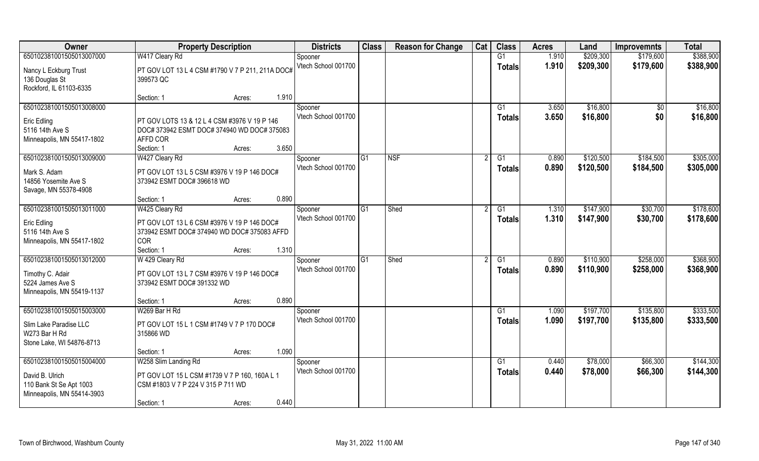| Owner                                                                    | <b>Property Description</b>                                                                                                              | <b>Districts</b>               | <b>Class</b>   | <b>Reason for Change</b> | Cat | <b>Class</b>             | <b>Acres</b>   | Land                 | <b>Improvemnts</b> | <b>Total</b>         |
|--------------------------------------------------------------------------|------------------------------------------------------------------------------------------------------------------------------------------|--------------------------------|----------------|--------------------------|-----|--------------------------|----------------|----------------------|--------------------|----------------------|
| 650102381001505013007000                                                 | W417 Cleary Rd                                                                                                                           | Spooner                        |                |                          |     | G1                       | 1.910          | \$209,300            | \$179,600          | \$388,900            |
| Nancy L Eckburg Trust<br>136 Douglas St<br>Rockford, IL 61103-6335       | PT GOV LOT 13 L 4 CSM #1790 V 7 P 211, 211A DOC#<br>399573 QC                                                                            | Vtech School 001700            |                |                          |     | <b>Totals</b>            | 1.910          | \$209,300            | \$179,600          | \$388,900            |
|                                                                          | 1.910<br>Section: 1<br>Acres:                                                                                                            |                                |                |                          |     |                          |                |                      |                    |                      |
| 650102381001505013008000                                                 |                                                                                                                                          | Spooner<br>Vtech School 001700 |                |                          |     | G <sub>1</sub><br>Totals | 3.650<br>3.650 | \$16,800<br>\$16,800 | \$0<br>\$0         | \$16,800<br>\$16,800 |
| Eric Edling<br>5116 14th Ave S<br>Minneapolis, MN 55417-1802             | PT GOV LOTS 13 & 12 L 4 CSM #3976 V 19 P 146<br>DOC# 373942 ESMT DOC# 374940 WD DOC# 375083<br>AFFD COR<br>3.650<br>Section: 1<br>Acres: |                                |                |                          |     |                          |                |                      |                    |                      |
| 650102381001505013009000                                                 | W427 Cleary Rd                                                                                                                           | Spooner                        | lG1            | <b>NSF</b>               |     | G1                       | 0.890          | \$120,500            | \$184,500          | \$305,000            |
| Mark S. Adam<br>14856 Yosemite Ave S<br>Savage, MN 55378-4908            | PT GOV LOT 13 L 5 CSM #3976 V 19 P 146 DOC#<br>373942 ESMT DOC# 396618 WD                                                                | Vtech School 001700            |                |                          |     | <b>Totals</b>            | 0.890          | \$120,500            | \$184,500          | \$305,000            |
|                                                                          | 0.890<br>Section: 1<br>Acres:                                                                                                            |                                |                |                          |     |                          |                |                      |                    |                      |
| 650102381001505013011000                                                 | W425 Cleary Rd                                                                                                                           | Spooner                        | G1             | Shed                     |     | G1                       | 1.310          | \$147,900            | \$30,700           | \$178,600            |
| <b>Eric Edling</b><br>5116 14th Ave S<br>Minneapolis, MN 55417-1802      | PT GOV LOT 13 L 6 CSM #3976 V 19 P 146 DOC#<br>373942 ESMT DOC# 374940 WD DOC# 375083 AFFD<br><b>COR</b>                                 | Vtech School 001700            |                |                          |     | <b>Totals</b>            | 1.310          | \$147,900            | \$30,700           | \$178,600            |
|                                                                          | 1.310<br>Section: 1<br>Acres:                                                                                                            |                                |                |                          |     |                          |                |                      |                    |                      |
| 650102381001505013012000                                                 | W 429 Cleary Rd                                                                                                                          | Spooner                        | G <sub>1</sub> | Shed                     |     | G1                       | 0.890          | \$110,900            | \$258,000          | \$368,900            |
| Timothy C. Adair<br>5224 James Ave S<br>Minneapolis, MN 55419-1137       | PT GOV LOT 13 L 7 CSM #3976 V 19 P 146 DOC#<br>373942 ESMT DOC# 391332 WD                                                                | Vtech School 001700            |                |                          |     | <b>Totals</b>            | 0.890          | \$110,900            | \$258,000          | \$368,900            |
|                                                                          | 0.890<br>Section: 1<br>Acres:                                                                                                            |                                |                |                          |     |                          |                |                      |                    |                      |
| 650102381001505015003000                                                 | W269 Bar H Rd                                                                                                                            | Spooner                        |                |                          |     | $\overline{G1}$          | 1.090          | \$197,700            | \$135,800          | \$333,500            |
| Slim Lake Paradise LLC<br>W273 Bar H Rd<br>Stone Lake, WI 54876-8713     | PT GOV LOT 15 L 1 CSM #1749 V 7 P 170 DOC#<br>315866 WD                                                                                  | Vtech School 001700            |                |                          |     | <b>Totals</b>            | 1.090          | \$197,700            | \$135,800          | \$333,500            |
|                                                                          | 1.090<br>Section: 1<br>Acres:                                                                                                            |                                |                |                          |     |                          |                |                      |                    |                      |
| 650102381001505015004000                                                 | W258 Slim Landing Rd                                                                                                                     | Spooner                        |                |                          |     | G1                       | 0.440          | \$78,000             | \$66,300           | \$144,300            |
| David B. Ulrich<br>110 Bank St Se Apt 1003<br>Minneapolis, MN 55414-3903 | PT GOV LOT 15 L CSM #1739 V 7 P 160, 160A L 1<br>CSM #1803 V 7 P 224 V 315 P 711 WD                                                      | Vtech School 001700            |                |                          |     | <b>Totals</b>            | 0.440          | \$78,000             | \$66,300           | \$144,300            |
|                                                                          | 0.440<br>Section: 1<br>Acres:                                                                                                            |                                |                |                          |     |                          |                |                      |                    |                      |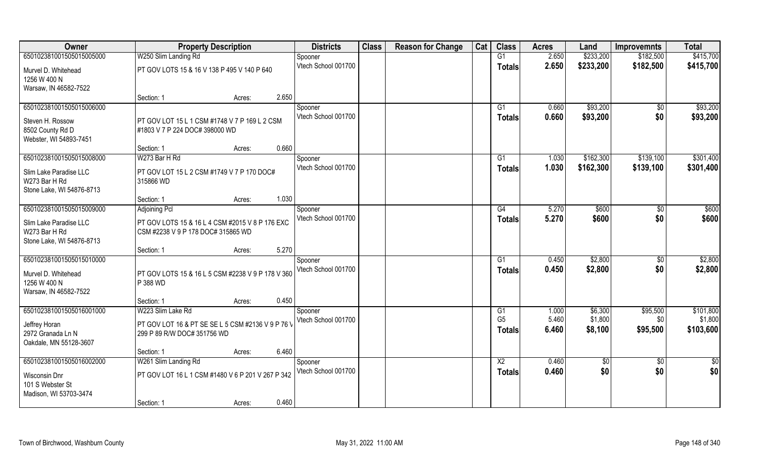| Owner                               | <b>Property Description</b>                                                      | <b>Districts</b>    | <b>Class</b> | <b>Reason for Change</b> | Cat | <b>Class</b>    | <b>Acres</b> | Land      | <b>Improvemnts</b> | <b>Total</b> |
|-------------------------------------|----------------------------------------------------------------------------------|---------------------|--------------|--------------------------|-----|-----------------|--------------|-----------|--------------------|--------------|
| 650102381001505015005000            | W250 Slim Landing Rd                                                             | Spooner             |              |                          |     | G1              | 2.650        | \$233,200 | \$182,500          | \$415,700    |
| Murvel D. Whitehead<br>1256 W 400 N | PT GOV LOTS 15 & 16 V 138 P 495 V 140 P 640                                      | Vtech School 001700 |              |                          |     | <b>Totals</b>   | 2.650        | \$233,200 | \$182,500          | \$415,700    |
| Warsaw, IN 46582-7522               |                                                                                  |                     |              |                          |     |                 |              |           |                    |              |
|                                     | 2.650<br>Section: 1<br>Acres:                                                    |                     |              |                          |     |                 |              |           |                    |              |
| 650102381001505015006000            |                                                                                  | Spooner             |              |                          |     | G1              | 0.660        | \$93,200  | $\overline{50}$    | \$93,200     |
| Steven H. Rossow                    | PT GOV LOT 15 L 1 CSM #1748 V 7 P 169 L 2 CSM                                    | Vtech School 001700 |              |                          |     | <b>Totals</b>   | 0.660        | \$93,200  | \$0                | \$93,200     |
| 8502 County Rd D                    | #1803 V 7 P 224 DOC# 398000 WD                                                   |                     |              |                          |     |                 |              |           |                    |              |
| Webster, WI 54893-7451              |                                                                                  |                     |              |                          |     |                 |              |           |                    |              |
|                                     | 0.660<br>Section: 1<br>Acres:                                                    |                     |              |                          |     |                 |              |           |                    |              |
| 650102381001505015008000            | W273 Bar H Rd                                                                    | Spooner             |              |                          |     | G1              | 1.030        | \$162,300 | \$139,100          | \$301,400    |
| Slim Lake Paradise LLC              | PT GOV LOT 15 L 2 CSM #1749 V 7 P 170 DOC#                                       | Vtech School 001700 |              |                          |     | <b>Totals</b>   | 1.030        | \$162,300 | \$139,100          | \$301,400    |
| W273 Bar H Rd                       | 315866 WD                                                                        |                     |              |                          |     |                 |              |           |                    |              |
| Stone Lake, WI 54876-8713           |                                                                                  |                     |              |                          |     |                 |              |           |                    |              |
|                                     | 1.030<br>Section: 1<br>Acres:                                                    |                     |              |                          |     |                 |              |           |                    |              |
| 650102381001505015009000            | <b>Adjoining Pcl</b>                                                             | Spooner             |              |                          |     | G4              | 5.270        | \$600     | \$0                | \$600        |
| Slim Lake Paradise LLC              | PT GOV LOTS 15 & 16 L 4 CSM #2015 V 8 P 176 EXC                                  | Vtech School 001700 |              |                          |     | <b>Totals</b>   | 5.270        | \$600     | \$0                | \$600        |
| W273 Bar H Rd                       | CSM #2238 V 9 P 178 DOC# 315865 WD                                               |                     |              |                          |     |                 |              |           |                    |              |
| Stone Lake, WI 54876-8713           |                                                                                  |                     |              |                          |     |                 |              |           |                    |              |
|                                     | 5.270<br>Section: 1<br>Acres:                                                    |                     |              |                          |     |                 |              |           |                    |              |
| 650102381001505015010000            |                                                                                  | Spooner             |              |                          |     | G1              | 0.450        | \$2,800   | \$0                | \$2,800      |
| Murvel D. Whitehead                 | PT GOV LOTS 15 & 16 L 5 CSM #2238 V 9 P 178 V 360                                | Vtech School 001700 |              |                          |     | <b>Totals</b>   | 0.450        | \$2,800   | \$0                | \$2,800      |
| 1256 W 400 N                        | P 388 WD                                                                         |                     |              |                          |     |                 |              |           |                    |              |
| Warsaw, IN 46582-7522               |                                                                                  |                     |              |                          |     |                 |              |           |                    |              |
|                                     | 0.450<br>Section: 1<br>Acres:                                                    |                     |              |                          |     |                 |              |           |                    |              |
| 650102381001505016001000            | W223 Slim Lake Rd                                                                | Spooner             |              |                          |     | G1              | 1.000        | \$6,300   | \$95,500           | \$101,800    |
|                                     |                                                                                  | Vtech School 001700 |              |                          |     | G <sub>5</sub>  | 5.460        | \$1,800   | \$0                | \$1,800      |
| Jeffrey Horan<br>2972 Granada Ln N  | PT GOV LOT 16 & PT SE SE L 5 CSM #2136 V 9 P 76 V<br>299 P 89 R/W DOC# 351756 WD |                     |              |                          |     | <b>Totals</b>   | 6.460        | \$8,100   | \$95,500           | \$103,600    |
| Oakdale, MN 55128-3607              |                                                                                  |                     |              |                          |     |                 |              |           |                    |              |
|                                     | 6.460<br>Section: 1<br>Acres:                                                    |                     |              |                          |     |                 |              |           |                    |              |
| 650102381001505016002000            | W261 Slim Landing Rd                                                             | Spooner             |              |                          |     | $\overline{X2}$ | 0.460        | \$0       | $\sqrt{6}$         | \$0          |
|                                     |                                                                                  | Vtech School 001700 |              |                          |     | <b>Totals</b>   | 0.460        | \$0       | \$0                | \$0          |
| Wisconsin Dnr                       | PT GOV LOT 16 L 1 CSM #1480 V 6 P 201 V 267 P 342                                |                     |              |                          |     |                 |              |           |                    |              |
| 101 S Webster St                    |                                                                                  |                     |              |                          |     |                 |              |           |                    |              |
| Madison, WI 53703-3474              | 0.460                                                                            |                     |              |                          |     |                 |              |           |                    |              |
|                                     | Section: 1<br>Acres:                                                             |                     |              |                          |     |                 |              |           |                    |              |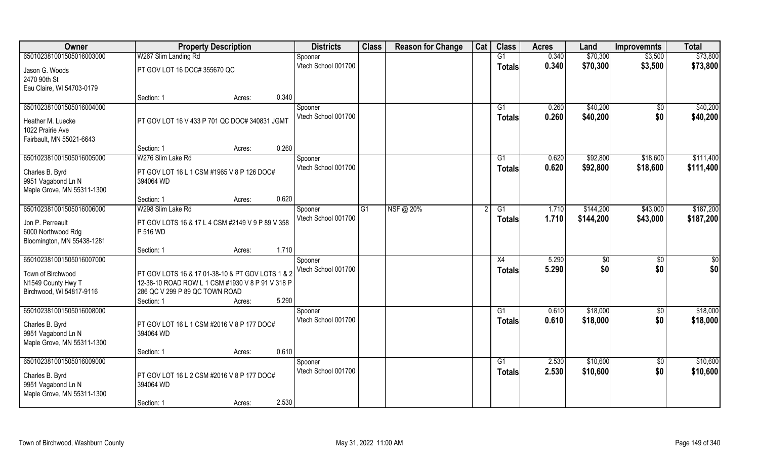| Owner                      | <b>Property Description</b>                      |                 | <b>Districts</b>    | <b>Class</b>   | <b>Reason for Change</b> | Cat | <b>Class</b>  | <b>Acres</b> | Land      | <b>Improvemnts</b> | <b>Total</b> |
|----------------------------|--------------------------------------------------|-----------------|---------------------|----------------|--------------------------|-----|---------------|--------------|-----------|--------------------|--------------|
| 650102381001505016003000   | W267 Slim Landing Rd                             |                 | Spooner             |                |                          |     | G1            | 0.340        | \$70,300  | \$3,500            | \$73,800     |
| Jason G. Woods             | PT GOV LOT 16 DOC# 355670 QC                     |                 | Vtech School 001700 |                |                          |     | <b>Totals</b> | 0.340        | \$70,300  | \$3,500            | \$73,800     |
| 2470 90th St               |                                                  |                 |                     |                |                          |     |               |              |           |                    |              |
| Eau Claire, WI 54703-0179  |                                                  |                 |                     |                |                          |     |               |              |           |                    |              |
|                            | Section: 1                                       | 0.340<br>Acres: |                     |                |                          |     |               |              |           |                    |              |
| 650102381001505016004000   |                                                  |                 | Spooner             |                |                          |     | G1            | 0.260        | \$40,200  | $\overline{50}$    | \$40,200     |
| Heather M. Luecke          | PT GOV LOT 16 V 433 P 701 QC DOC# 340831 JGMT    |                 | Vtech School 001700 |                |                          |     | Totals        | 0.260        | \$40,200  | \$0                | \$40,200     |
| 1022 Prairie Ave           |                                                  |                 |                     |                |                          |     |               |              |           |                    |              |
| Fairbault, MN 55021-6643   |                                                  |                 |                     |                |                          |     |               |              |           |                    |              |
|                            | Section: 1                                       | 0.260<br>Acres: |                     |                |                          |     |               |              |           |                    |              |
| 650102381001505016005000   | W276 Slim Lake Rd                                |                 | Spooner             |                |                          |     | G1            | 0.620        | \$92,800  | \$18,600           | \$111,400    |
| Charles B. Byrd            | PT GOV LOT 16 L 1 CSM #1965 V 8 P 126 DOC#       |                 | Vtech School 001700 |                |                          |     | <b>Totals</b> | 0.620        | \$92,800  | \$18,600           | \$111,400    |
| 9951 Vagabond Ln N         | 394064 WD                                        |                 |                     |                |                          |     |               |              |           |                    |              |
| Maple Grove, MN 55311-1300 |                                                  |                 |                     |                |                          |     |               |              |           |                    |              |
|                            | Section: 1                                       | 0.620<br>Acres: |                     |                |                          |     |               |              |           |                    |              |
| 650102381001505016006000   | W298 Slim Lake Rd                                |                 | Spooner             | G <sub>1</sub> | NSF@ 20%                 |     | G1            | 1.710        | \$144,200 | \$43,000           | \$187,200    |
| Jon P. Perreault           | PT GOV LOTS 16 & 17 L 4 CSM #2149 V 9 P 89 V 358 |                 | Vtech School 001700 |                |                          |     | <b>Totals</b> | 1.710        | \$144,200 | \$43,000           | \$187,200    |
| 6000 Northwood Rdg         | P 516 WD                                         |                 |                     |                |                          |     |               |              |           |                    |              |
| Bloomington, MN 55438-1281 |                                                  |                 |                     |                |                          |     |               |              |           |                    |              |
|                            | Section: 1                                       | 1.710<br>Acres: |                     |                |                          |     |               |              |           |                    |              |
| 650102381001505016007000   |                                                  |                 | Spooner             |                |                          |     | X4            | 5.290        | \$0       | $\sqrt[6]{3}$      | \$0          |
| Town of Birchwood          | PT GOV LOTS 16 & 17 01-38-10 & PT GOV LOTS 1 & 2 |                 | Vtech School 001700 |                |                          |     | Totals        | 5.290        | \$0       | \$0                | \$0          |
| N1549 County Hwy T         | 12-38-10 ROAD ROW L 1 CSM #1930 V 8 P 91 V 318 P |                 |                     |                |                          |     |               |              |           |                    |              |
| Birchwood, WI 54817-9116   | 286 QC V 299 P 89 QC TOWN ROAD                   |                 |                     |                |                          |     |               |              |           |                    |              |
|                            | Section: 1                                       | 5.290<br>Acres: |                     |                |                          |     |               |              |           |                    |              |
| 650102381001505016008000   |                                                  |                 | Spooner             |                |                          |     | G1            | 0.610        | \$18,000  | $\overline{30}$    | \$18,000     |
| Charles B. Byrd            | PT GOV LOT 16 L 1 CSM #2016 V 8 P 177 DOC#       |                 | Vtech School 001700 |                |                          |     | <b>Totals</b> | 0.610        | \$18,000  | \$0                | \$18,000     |
| 9951 Vagabond Ln N         | 394064 WD                                        |                 |                     |                |                          |     |               |              |           |                    |              |
| Maple Grove, MN 55311-1300 |                                                  |                 |                     |                |                          |     |               |              |           |                    |              |
|                            | Section: 1                                       | 0.610<br>Acres: |                     |                |                          |     |               |              |           |                    |              |
| 650102381001505016009000   |                                                  |                 | Spooner             |                |                          |     | G1            | 2.530        | \$10,600  | $\sqrt{$0}$        | \$10,600     |
| Charles B. Byrd            | PT GOV LOT 16 L 2 CSM #2016 V 8 P 177 DOC#       |                 | Vtech School 001700 |                |                          |     | <b>Totals</b> | 2.530        | \$10,600  | \$0                | \$10,600     |
| 9951 Vagabond Ln N         | 394064 WD                                        |                 |                     |                |                          |     |               |              |           |                    |              |
| Maple Grove, MN 55311-1300 |                                                  |                 |                     |                |                          |     |               |              |           |                    |              |
|                            | Section: 1                                       | 2.530<br>Acres: |                     |                |                          |     |               |              |           |                    |              |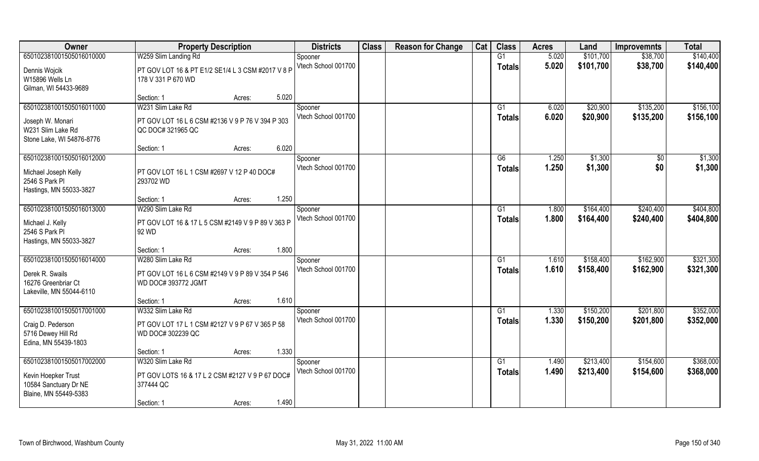| Owner                     | <b>Property Description</b>                       | <b>Districts</b>               | <b>Class</b> | <b>Reason for Change</b> | Cat | <b>Class</b>    | <b>Acres</b> | Land      | <b>Improvemnts</b> | <b>Total</b> |
|---------------------------|---------------------------------------------------|--------------------------------|--------------|--------------------------|-----|-----------------|--------------|-----------|--------------------|--------------|
| 650102381001505016010000  | W259 Slim Landing Rd                              | Spooner                        |              |                          |     | G1              | 5.020        | \$101,700 | \$38,700           | \$140,400    |
| Dennis Wojcik             | PT GOV LOT 16 & PT E1/2 SE1/4 L 3 CSM #2017 V 8 P | Vtech School 001700            |              |                          |     | <b>Totals</b>   | 5.020        | \$101,700 | \$38,700           | \$140,400    |
| W15896 Wells Ln           | 178 V 331 P 670 WD                                |                                |              |                          |     |                 |              |           |                    |              |
| Gilman, WI 54433-9689     |                                                   |                                |              |                          |     |                 |              |           |                    |              |
|                           | 5.020<br>Section: 1<br>Acres:                     |                                |              |                          |     |                 |              |           |                    |              |
| 650102381001505016011000  | W231 Slim Lake Rd                                 | Spooner                        |              |                          |     | G1              | 6.020        | \$20,900  | \$135,200          | \$156,100    |
| Joseph W. Monari          | PT GOV LOT 16 L 6 CSM #2136 V 9 P 76 V 394 P 303  | Vtech School 001700            |              |                          |     | Totals          | 6.020        | \$20,900  | \$135,200          | \$156,100    |
| W231 Slim Lake Rd         | QC DOC# 321965 QC                                 |                                |              |                          |     |                 |              |           |                    |              |
| Stone Lake, WI 54876-8776 |                                                   |                                |              |                          |     |                 |              |           |                    |              |
|                           | 6.020<br>Section: 1<br>Acres:                     |                                |              |                          |     |                 |              |           |                    |              |
| 650102381001505016012000  |                                                   | Spooner                        |              |                          |     | G6              | 1.250        | \$1,300   | \$0                | \$1,300      |
| Michael Joseph Kelly      | PT GOV LOT 16 L 1 CSM #2697 V 12 P 40 DOC#        | Vtech School 001700            |              |                          |     | <b>Totals</b>   | 1.250        | \$1,300   | \$0                | \$1,300      |
| 2546 S Park PI            | 293702 WD                                         |                                |              |                          |     |                 |              |           |                    |              |
| Hastings, MN 55033-3827   |                                                   |                                |              |                          |     |                 |              |           |                    |              |
|                           | 1.250<br>Section: 1<br>Acres:                     |                                |              |                          |     |                 |              |           |                    |              |
| 650102381001505016013000  | W290 Slim Lake Rd                                 | Spooner                        |              |                          |     | G1              | 1.800        | \$164,400 | \$240,400          | \$404,800    |
| Michael J. Kelly          | PT GOV LOT 16 & 17 L 5 CSM #2149 V 9 P 89 V 363 P | Vtech School 001700            |              |                          |     | <b>Totals</b>   | 1.800        | \$164,400 | \$240,400          | \$404,800    |
| 2546 S Park PI            | 92 WD                                             |                                |              |                          |     |                 |              |           |                    |              |
| Hastings, MN 55033-3827   |                                                   |                                |              |                          |     |                 |              |           |                    |              |
|                           | 1.800<br>Section: 1<br>Acres:                     |                                |              |                          |     |                 |              |           |                    |              |
| 650102381001505016014000  | W280 Slim Lake Rd                                 | Spooner                        |              |                          |     | G1              | 1.610        | \$158,400 | \$162,900          | \$321,300    |
| Derek R. Swails           | PT GOV LOT 16 L 6 CSM #2149 V 9 P 89 V 354 P 546  | Vtech School 001700            |              |                          |     | <b>Totals</b>   | 1.610        | \$158,400 | \$162,900          | \$321,300    |
| 16276 Greenbriar Ct       | WD DOC# 393772 JGMT                               |                                |              |                          |     |                 |              |           |                    |              |
| Lakeville, MN 55044-6110  |                                                   |                                |              |                          |     |                 |              |           |                    |              |
|                           | 1.610<br>Section: 1<br>Acres:                     |                                |              |                          |     |                 |              |           |                    |              |
| 650102381001505017001000  | W332 Slim Lake Rd                                 | Spooner<br>Vtech School 001700 |              |                          |     | $\overline{G1}$ | 1.330        | \$150,200 | \$201,800          | \$352,000    |
| Craig D. Pederson         | PT GOV LOT 17 L 1 CSM #2127 V 9 P 67 V 365 P 58   |                                |              |                          |     | <b>Totals</b>   | 1.330        | \$150,200 | \$201,800          | \$352,000    |
| 5716 Dewey Hill Rd        | WD DOC# 302239 QC                                 |                                |              |                          |     |                 |              |           |                    |              |
| Edina, MN 55439-1803      |                                                   |                                |              |                          |     |                 |              |           |                    |              |
|                           | 1.330<br>Section: 1<br>Acres:                     |                                |              |                          |     |                 |              |           |                    |              |
| 650102381001505017002000  | W320 Slim Lake Rd                                 | Spooner                        |              |                          |     | G1              | 1.490        | \$213,400 | \$154,600          | \$368,000    |
| Kevin Hoepker Trust       | PT GOV LOTS 16 & 17 L 2 CSM #2127 V 9 P 67 DOC#   | Vtech School 001700            |              |                          |     | <b>Totals</b>   | 1.490        | \$213,400 | \$154,600          | \$368,000    |
| 10584 Sanctuary Dr NE     | 377444 QC                                         |                                |              |                          |     |                 |              |           |                    |              |
| Blaine, MN 55449-5383     |                                                   |                                |              |                          |     |                 |              |           |                    |              |
|                           | 1.490<br>Section: 1<br>Acres:                     |                                |              |                          |     |                 |              |           |                    |              |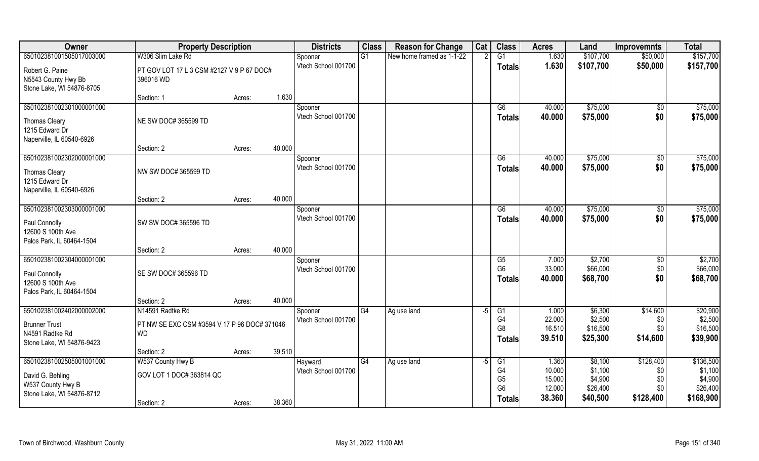| Owner                                                                                            | <b>Property Description</b>                                                   |        |        | <b>Districts</b>               | <b>Class</b> | <b>Reason for Change</b>  | Cat  | <b>Class</b>                                                       | <b>Acres</b>                                  | Land                                                  | <b>Improvemnts</b>                            | <b>Total</b>                                             |
|--------------------------------------------------------------------------------------------------|-------------------------------------------------------------------------------|--------|--------|--------------------------------|--------------|---------------------------|------|--------------------------------------------------------------------|-----------------------------------------------|-------------------------------------------------------|-----------------------------------------------|----------------------------------------------------------|
| 650102381001505017003000                                                                         | W306 Slim Lake Rd                                                             |        |        | Spooner                        | G1           | New home framed as 1-1-22 |      | G1                                                                 | 1.630                                         | \$107,700                                             | \$50,000                                      | \$157,700                                                |
| Robert G. Paine<br>N5543 County Hwy Bb<br>Stone Lake, WI 54876-8705                              | PT GOV LOT 17 L 3 CSM #2127 V 9 P 67 DOC#<br>396016 WD                        |        |        | Vtech School 001700            |              |                           |      | <b>Totals</b>                                                      | 1.630                                         | \$107,700                                             | \$50,000                                      | \$157,700                                                |
|                                                                                                  | Section: 1                                                                    | Acres: | 1.630  |                                |              |                           |      |                                                                    |                                               |                                                       |                                               |                                                          |
| 650102381002301000001000                                                                         |                                                                               |        |        | Spooner                        |              |                           |      | G6                                                                 | 40.000                                        | \$75,000                                              | \$0                                           | \$75,000                                                 |
| <b>Thomas Cleary</b><br>1215 Edward Dr<br>Naperville, IL 60540-6926                              | NE SW DOC# 365599 TD                                                          |        |        | Vtech School 001700            |              |                           |      | Totals                                                             | 40.000                                        | \$75,000                                              | \$0                                           | \$75,000                                                 |
|                                                                                                  | Section: 2                                                                    | Acres: | 40.000 |                                |              |                           |      |                                                                    |                                               |                                                       |                                               |                                                          |
| 650102381002302000001000                                                                         |                                                                               |        |        | Spooner                        |              |                           |      | G6                                                                 | 40.000                                        | \$75,000                                              | \$0                                           | \$75,000                                                 |
| <b>Thomas Cleary</b><br>1215 Edward Dr                                                           | NW SW DOC# 365599 TD                                                          |        |        | Vtech School 001700            |              |                           |      | <b>Totals</b>                                                      | 40.000                                        | \$75,000                                              | \$0                                           | \$75,000                                                 |
| Naperville, IL 60540-6926                                                                        | Section: 2                                                                    | Acres: | 40.000 |                                |              |                           |      |                                                                    |                                               |                                                       |                                               |                                                          |
| 650102381002303000001000                                                                         |                                                                               |        |        | Spooner                        |              |                           |      | G6                                                                 | 40.000                                        | \$75,000                                              | $\sqrt[6]{3}$                                 | \$75,000                                                 |
| Paul Connolly<br>12600 S 100th Ave<br>Palos Park, IL 60464-1504                                  | SW SW DOC# 365596 TD                                                          |        |        | Vtech School 001700            |              |                           |      | <b>Totals</b>                                                      | 40.000                                        | \$75,000                                              | \$0                                           | \$75,000                                                 |
|                                                                                                  | Section: 2                                                                    | Acres: | 40.000 |                                |              |                           |      |                                                                    |                                               |                                                       |                                               |                                                          |
| 650102381002304000001000<br>Paul Connolly<br>12600 S 100th Ave<br>Palos Park, IL 60464-1504      | SE SW DOC# 365596 TD                                                          |        |        | Spooner<br>Vtech School 001700 |              |                           |      | G5<br>G <sub>6</sub><br><b>Totals</b>                              | 7.000<br>33.000<br>40.000                     | \$2,700<br>\$66,000<br>\$68,700                       | \$0<br>\$0<br>\$0                             | \$2,700<br>\$66,000<br>\$68,700                          |
|                                                                                                  | Section: 2                                                                    | Acres: | 40.000 |                                |              |                           |      |                                                                    |                                               |                                                       |                                               |                                                          |
| 650102381002402000002000<br><b>Brunner Trust</b><br>N4591 Radtke Rd<br>Stone Lake, WI 54876-9423 | N14591 Radtke Rd<br>PT NW SE EXC CSM #3594 V 17 P 96 DOC# 371046<br><b>WD</b> |        |        | Spooner<br>Vtech School 001700 | G4           | Ag use land               | $-5$ | G1<br>G4<br>G <sub>8</sub><br><b>Totals</b>                        | 1.000<br>22.000<br>16.510<br>39.510           | \$6,300<br>\$2,500<br>\$16,500<br>\$25,300            | \$14,600<br>\$0<br>\$0\$<br>\$14,600          | \$20,900<br>\$2,500<br>\$16,500<br>\$39,900              |
|                                                                                                  | Section: 2                                                                    | Acres: | 39.510 |                                |              |                           |      |                                                                    |                                               |                                                       |                                               |                                                          |
| 650102381002505001001000<br>David G. Behling<br>W537 County Hwy B<br>Stone Lake, WI 54876-8712   | W537 County Hwy B<br>GOV LOT 1 DOC# 363814 QC<br>Section: 2                   | Acres: | 38.360 | Hayward<br>Vtech School 001700 | G4           | Ag use land               | $-5$ | G1<br>G <sub>4</sub><br>G <sub>5</sub><br>G <sub>6</sub><br>Totals | 1.360<br>10.000<br>15.000<br>12.000<br>38.360 | \$8,100<br>\$1,100<br>\$4,900<br>\$26,400<br>\$40,500 | \$128,400<br>\$0<br>\$0<br>\$0\$<br>\$128,400 | \$136,500<br>\$1,100<br>\$4,900<br>\$26,400<br>\$168,900 |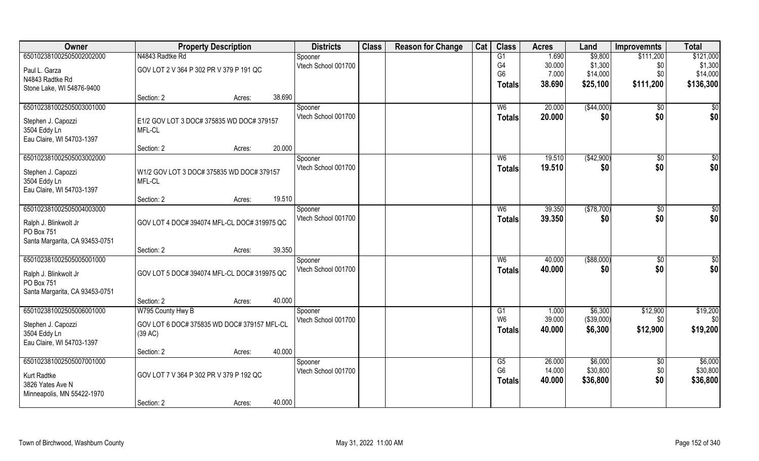| Owner                          | <b>Property Description</b>                 |        |        | <b>Districts</b>    | <b>Class</b> | <b>Reason for Change</b> | Cat | <b>Class</b>   | <b>Acres</b> | Land        | <b>Improvemnts</b> | <b>Total</b> |
|--------------------------------|---------------------------------------------|--------|--------|---------------------|--------------|--------------------------|-----|----------------|--------------|-------------|--------------------|--------------|
| 650102381002505002002000       | N4843 Radtke Rd                             |        |        | Spooner             |              |                          |     | G1             | 1.690        | \$9,800     | \$111,200          | \$121,000    |
| Paul L. Garza                  | GOV LOT 2 V 364 P 302 PR V 379 P 191 QC     |        |        | Vtech School 001700 |              |                          |     | G4             | 30.000       | \$1,300     | \$0                | \$1,300      |
| N4843 Radtke Rd                |                                             |        |        |                     |              |                          |     | G <sub>6</sub> | 7.000        | \$14,000    | \$0\$              | \$14,000     |
| Stone Lake, WI 54876-9400      |                                             |        |        |                     |              |                          |     | <b>Totals</b>  | 38.690       | \$25,100    | \$111,200          | \$136,300    |
|                                | Section: 2                                  | Acres: | 38.690 |                     |              |                          |     |                |              |             |                    |              |
| 650102381002505003001000       |                                             |        |        | Spooner             |              |                          |     | W <sub>6</sub> | 20.000       | ( \$44,000) | \$0                | \$0          |
| Stephen J. Capozzi             | E1/2 GOV LOT 3 DOC# 375835 WD DOC# 379157   |        |        | Vtech School 001700 |              |                          |     | Totals         | 20.000       | \$0         | \$0                | \$0          |
| 3504 Eddy Ln                   | MFL-CL                                      |        |        |                     |              |                          |     |                |              |             |                    |              |
| Eau Claire, WI 54703-1397      |                                             |        |        |                     |              |                          |     |                |              |             |                    |              |
|                                | Section: 2                                  | Acres: | 20.000 |                     |              |                          |     |                |              |             |                    |              |
| 650102381002505003002000       |                                             |        |        | Spooner             |              |                          |     | W <sub>6</sub> | 19.510       | (\$42,900)  | $\overline{50}$    | $\sqrt{50}$  |
| Stephen J. Capozzi             | W1/2 GOV LOT 3 DOC# 375835 WD DOC# 379157   |        |        | Vtech School 001700 |              |                          |     | <b>Totals</b>  | 19.510       | \$0         | \$0                | \$0          |
| 3504 Eddy Ln                   | MFL-CL                                      |        |        |                     |              |                          |     |                |              |             |                    |              |
| Eau Claire, WI 54703-1397      |                                             |        |        |                     |              |                          |     |                |              |             |                    |              |
|                                | Section: 2                                  | Acres: | 19.510 |                     |              |                          |     |                |              |             |                    |              |
| 650102381002505004003000       |                                             |        |        | Spooner             |              |                          |     | W <sub>6</sub> | 39.350       | (\$78,700)  | \$0                | $\sqrt{50}$  |
| Ralph J. Blinkwolt Jr          | GOV LOT 4 DOC# 394074 MFL-CL DOC# 319975 QC |        |        | Vtech School 001700 |              |                          |     | <b>Totals</b>  | 39.350       | \$0         | \$0                | \$0          |
| PO Box 751                     |                                             |        |        |                     |              |                          |     |                |              |             |                    |              |
| Santa Margarita, CA 93453-0751 |                                             |        |        |                     |              |                          |     |                |              |             |                    |              |
|                                | Section: 2                                  | Acres: | 39.350 |                     |              |                          |     |                |              |             |                    |              |
| 650102381002505005001000       |                                             |        |        | Spooner             |              |                          |     | W <sub>6</sub> | 40.000       | ( \$88,000) | \$0                | \$0          |
| Ralph J. Blinkwolt Jr          | GOV LOT 5 DOC# 394074 MFL-CL DOC# 319975 QC |        |        | Vtech School 001700 |              |                          |     | <b>Totals</b>  | 40.000       | \$0         | \$0                | \$0          |
| PO Box 751                     |                                             |        |        |                     |              |                          |     |                |              |             |                    |              |
| Santa Margarita, CA 93453-0751 |                                             |        |        |                     |              |                          |     |                |              |             |                    |              |
|                                | Section: 2                                  | Acres: | 40.000 |                     |              |                          |     |                |              |             |                    |              |
| 650102381002505006001000       | W795 County Hwy B                           |        |        | Spooner             |              |                          |     | G1             | 1.000        | \$6,300     | \$12,900           | \$19,200     |
| Stephen J. Capozzi             | GOV LOT 6 DOC# 375835 WD DOC# 379157 MFL-CL |        |        | Vtech School 001700 |              |                          |     | W <sub>6</sub> | 39.000       | (\$39,000)  | \$0                | \$0          |
| 3504 Eddy Ln                   | (39 AC)                                     |        |        |                     |              |                          |     | <b>Totals</b>  | 40,000       | \$6,300     | \$12,900           | \$19,200     |
| Eau Claire, WI 54703-1397      |                                             |        |        |                     |              |                          |     |                |              |             |                    |              |
|                                | Section: 2                                  | Acres: | 40.000 |                     |              |                          |     |                |              |             |                    |              |
| 650102381002505007001000       |                                             |        |        | Spooner             |              |                          |     | G5             | 26.000       | \$6,000     | $\overline{50}$    | \$6,000      |
| Kurt Radtke                    | GOV LOT 7 V 364 P 302 PR V 379 P 192 QC     |        |        | Vtech School 001700 |              |                          |     | G <sub>6</sub> | 14.000       | \$30,800    | \$0                | \$30,800     |
| 3826 Yates Ave N               |                                             |        |        |                     |              |                          |     | <b>Totals</b>  | 40.000       | \$36,800    | \$0                | \$36,800     |
| Minneapolis, MN 55422-1970     |                                             |        |        |                     |              |                          |     |                |              |             |                    |              |
|                                | Section: 2                                  | Acres: | 40.000 |                     |              |                          |     |                |              |             |                    |              |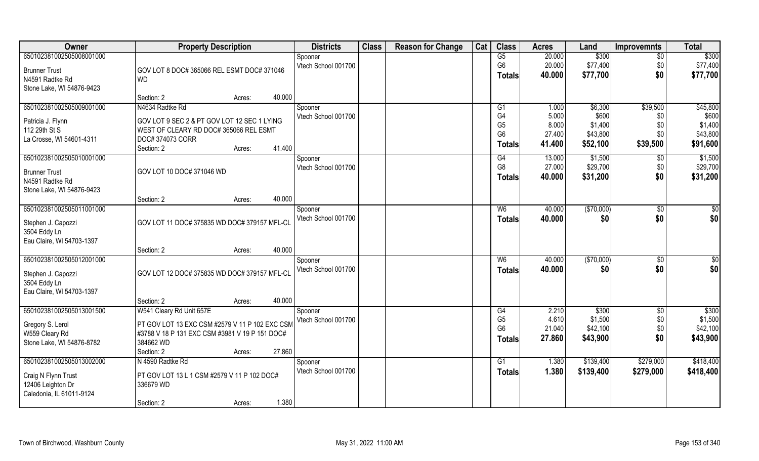| Owner                                    | <b>Property Description</b>                    |        | <b>Districts</b>    | <b>Class</b> | <b>Reason for Change</b> | Cat | <b>Class</b>   | <b>Acres</b> | Land       | <b>Improvemnts</b> | <b>Total</b> |
|------------------------------------------|------------------------------------------------|--------|---------------------|--------------|--------------------------|-----|----------------|--------------|------------|--------------------|--------------|
| 650102381002505008001000                 |                                                |        | Spooner             |              |                          |     | G5             | 20.000       | \$300      | $\overline{50}$    | \$300        |
| <b>Brunner Trust</b>                     | GOV LOT 8 DOC# 365066 REL ESMT DOC# 371046     |        | Vtech School 001700 |              |                          |     | G <sub>6</sub> | 20.000       | \$77,400   | \$0                | \$77,400     |
| N4591 Radtke Rd                          | <b>WD</b>                                      |        |                     |              |                          |     | <b>Totals</b>  | 40.000       | \$77,700   | \$0                | \$77,700     |
| Stone Lake, WI 54876-9423                |                                                |        |                     |              |                          |     |                |              |            |                    |              |
|                                          | Section: 2<br>Acres:                           | 40.000 |                     |              |                          |     |                |              |            |                    |              |
| 650102381002505009001000                 | N4634 Radtke Rd                                |        | Spooner             |              |                          |     | G <sub>1</sub> | 1.000        | \$6,300    | \$39,500           | \$45,800     |
| Patricia J. Flynn                        | GOV LOT 9 SEC 2 & PT GOV LOT 12 SEC 1 LYING    |        | Vtech School 001700 |              |                          |     | G4             | 5.000        | \$600      | \$0                | \$600        |
| 112 29th St S                            | WEST OF CLEARY RD DOC# 365066 REL ESMT         |        |                     |              |                          |     | G <sub>5</sub> | 8.000        | \$1,400    | \$0                | \$1,400      |
| La Crosse, WI 54601-4311                 | DOC# 374073 CORR                               |        |                     |              |                          |     | G <sub>6</sub> | 27.400       | \$43,800   | \$0                | \$43,800     |
|                                          | Section: 2<br>Acres:                           | 41.400 |                     |              |                          |     | <b>Totals</b>  | 41.400       | \$52,100   | \$39,500           | \$91,600     |
| 650102381002505010001000                 |                                                |        | Spooner             |              |                          |     | G4             | 13.000       | \$1,500    | \$0                | \$1,500      |
| <b>Brunner Trust</b>                     | GOV LOT 10 DOC# 371046 WD                      |        | Vtech School 001700 |              |                          |     | G <sub>8</sub> | 27.000       | \$29,700   | \$0                | \$29,700     |
| N4591 Radtke Rd                          |                                                |        |                     |              |                          |     | <b>Totals</b>  | 40.000       | \$31,200   | \$0                | \$31,200     |
| Stone Lake, WI 54876-9423                |                                                |        |                     |              |                          |     |                |              |            |                    |              |
|                                          | Section: 2<br>Acres:                           | 40.000 |                     |              |                          |     |                |              |            |                    |              |
| 650102381002505011001000                 |                                                |        | Spooner             |              |                          |     | W <sub>6</sub> | 40.000       | (\$70,000) | \$0                | \$0          |
| Stephen J. Capozzi                       | GOV LOT 11 DOC# 375835 WD DOC# 379157 MFL-CL   |        | Vtech School 001700 |              |                          |     | <b>Totals</b>  | 40.000       | \$0        | \$0                | \$0          |
| 3504 Eddy Ln                             |                                                |        |                     |              |                          |     |                |              |            |                    |              |
| Eau Claire, WI 54703-1397                |                                                |        |                     |              |                          |     |                |              |            |                    |              |
|                                          | Section: 2<br>Acres:                           | 40.000 |                     |              |                          |     |                |              |            |                    |              |
| 650102381002505012001000                 |                                                |        | Spooner             |              |                          |     | W <sub>6</sub> | 40.000       | (\$70,000) | \$0                | \$0          |
| Stephen J. Capozzi                       | GOV LOT 12 DOC# 375835 WD DOC# 379157 MFL-CL   |        | Vtech School 001700 |              |                          |     | <b>Totals</b>  | 40.000       | \$0        | \$0                | \$0          |
| 3504 Eddy Ln                             |                                                |        |                     |              |                          |     |                |              |            |                    |              |
| Eau Claire, WI 54703-1397                |                                                |        |                     |              |                          |     |                |              |            |                    |              |
|                                          | Section: 2<br>Acres:                           | 40.000 |                     |              |                          |     |                |              |            |                    |              |
| 650102381002505013001500                 | W541 Cleary Rd Unit 657E                       |        | Spooner             |              |                          |     | G4             | 2.210        | \$300      | $\overline{50}$    | \$300        |
| Gregory S. Lerol                         | PT GOV LOT 13 EXC CSM #2579 V 11 P 102 EXC CSM |        | Vtech School 001700 |              |                          |     | G <sub>5</sub> | 4.610        | \$1,500    | \$0                | \$1,500      |
| W559 Cleary Rd                           | #3788 V 18 P 131 EXC CSM #3981 V 19 P 151 DOC# |        |                     |              |                          |     | G <sub>6</sub> | 21.040       | \$42,100   | \$0                | \$42,100     |
| Stone Lake, WI 54876-8782                | 384662 WD                                      |        |                     |              |                          |     | Totals         | 27.860       | \$43,900   | \$0                | \$43,900     |
|                                          | Section: 2<br>Acres:                           | 27.860 |                     |              |                          |     |                |              |            |                    |              |
| 650102381002505013002000                 | N 4590 Radtke Rd                               |        | Spooner             |              |                          |     | G1             | 1.380        | \$139,400  | \$279,000          | \$418,400    |
|                                          | PT GOV LOT 13 L 1 CSM #2579 V 11 P 102 DOC#    |        | Vtech School 001700 |              |                          |     | Totals         | 1.380        | \$139,400  | \$279,000          | \$418,400    |
| Craig N Flynn Trust<br>12406 Leighton Dr | 336679 WD                                      |        |                     |              |                          |     |                |              |            |                    |              |
| Caledonia, IL 61011-9124                 |                                                |        |                     |              |                          |     |                |              |            |                    |              |
|                                          | Section: 2<br>Acres:                           | 1.380  |                     |              |                          |     |                |              |            |                    |              |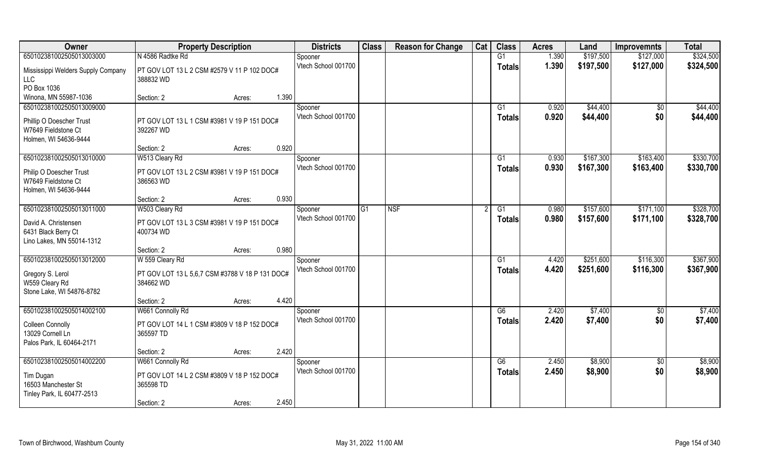| Owner                                                                    | <b>Property Description</b>                                                     | <b>Districts</b>               | <b>Class</b> | <b>Reason for Change</b> | Cat | <b>Class</b>  | <b>Acres</b>   | Land                   | <b>Improvemnts</b>     | <b>Total</b>           |
|--------------------------------------------------------------------------|---------------------------------------------------------------------------------|--------------------------------|--------------|--------------------------|-----|---------------|----------------|------------------------|------------------------|------------------------|
| 650102381002505013003000                                                 | N 4586 Radtke Rd                                                                | Spooner                        |              |                          |     | G1            | 1.390          | \$197,500              | \$127,000              | \$324,500              |
| Mississippi Welders Supply Company<br>LLC                                | PT GOV LOT 13 L 2 CSM #2579 V 11 P 102 DOC#<br>388832 WD                        | Vtech School 001700            |              |                          |     | <b>Totals</b> | 1.390          | \$197,500              | \$127,000              | \$324,500              |
| PO Box 1036<br>Winona, MN 55987-1036                                     | 1.390<br>Section: 2                                                             |                                |              |                          |     |               |                |                        |                        |                        |
| 650102381002505013009000                                                 | Acres:                                                                          | Spooner                        |              |                          |     | G1            | 0.920          | \$44,400               | \$0                    | \$44,400               |
| Phillip O Doescher Trust<br>W7649 Fieldstone Ct<br>Holmen, WI 54636-9444 | PT GOV LOT 13 L 1 CSM #3981 V 19 P 151 DOC#<br>392267 WD                        | Vtech School 001700            |              |                          |     | Totals        | 0.920          | \$44,400               | \$0                    | \$44,400               |
|                                                                          | 0.920<br>Section: 2<br>Acres:                                                   |                                |              |                          |     |               |                |                        |                        |                        |
| 650102381002505013010000                                                 | W513 Cleary Rd                                                                  | Spooner                        |              |                          |     | G1            | 0.930          | \$167,300              | \$163,400              | \$330,700              |
| Philip O Doescher Trust<br>W7649 Fieldstone Ct<br>Holmen, WI 54636-9444  | PT GOV LOT 13 L 2 CSM #3981 V 19 P 151 DOC#<br>386563 WD                        | Vtech School 001700            |              |                          |     | <b>Totals</b> | 0.930          | \$167,300              | \$163,400              | \$330,700              |
|                                                                          | 0.930<br>Section: 2<br>Acres:                                                   |                                |              |                          |     |               |                |                        |                        |                        |
| 650102381002505013011000                                                 | W503 Cleary Rd                                                                  | Spooner                        | G1           | <b>NSF</b>               |     | G1            | 0.980          | \$157,600              | \$171,100              | \$328,700              |
| David A. Christensen<br>6431 Black Berry Ct<br>Lino Lakes, MN 55014-1312 | PT GOV LOT 13 L 3 CSM #3981 V 19 P 151 DOC#<br>400734 WD                        | Vtech School 001700            |              |                          |     | <b>Totals</b> | 0.980          | \$157,600              | \$171,100              | \$328,700              |
|                                                                          | 0.980<br>Section: 2<br>Acres:                                                   |                                |              |                          |     |               |                |                        |                        |                        |
| 650102381002505013012000<br>Gregory S. Lerol<br>W559 Cleary Rd           | W 559 Cleary Rd<br>PT GOV LOT 13 L 5,6,7 CSM #3788 V 18 P 131 DOC#<br>384662 WD | Spooner<br>Vtech School 001700 |              |                          |     | G1<br>Totals  | 4.420<br>4.420 | \$251,600<br>\$251,600 | \$116,300<br>\$116,300 | \$367,900<br>\$367,900 |
| Stone Lake, WI 54876-8782                                                | 4.420                                                                           |                                |              |                          |     |               |                |                        |                        |                        |
| 650102381002505014002100                                                 | Section: 2<br>Acres:<br>W661 Connolly Rd                                        | Spooner                        |              |                          |     | G6            | 2.420          | \$7,400                | $\overline{60}$        | \$7,400                |
| <b>Colleen Connolly</b><br>13029 Cornell Ln<br>Palos Park, IL 60464-2171 | PT GOV LOT 14 L 1 CSM #3809 V 18 P 152 DOC#<br>365597 TD                        | Vtech School 001700            |              |                          |     | <b>Totals</b> | 2.420          | \$7,400                | \$0                    | \$7,400                |
|                                                                          | 2.420<br>Section: 2<br>Acres:                                                   |                                |              |                          |     |               |                |                        |                        |                        |
| 650102381002505014002200                                                 | W661 Connolly Rd                                                                | Spooner                        |              |                          |     | G6            | 2.450          | \$8,900                | $\overline{50}$        | \$8,900                |
| Tim Dugan<br>16503 Manchester St<br>Tinley Park, IL 60477-2513           | PT GOV LOT 14 L 2 CSM #3809 V 18 P 152 DOC#<br>365598 TD                        | Vtech School 001700            |              |                          |     | Totals        | 2.450          | \$8,900                | \$0                    | \$8,900                |
|                                                                          | 2.450<br>Section: 2<br>Acres:                                                   |                                |              |                          |     |               |                |                        |                        |                        |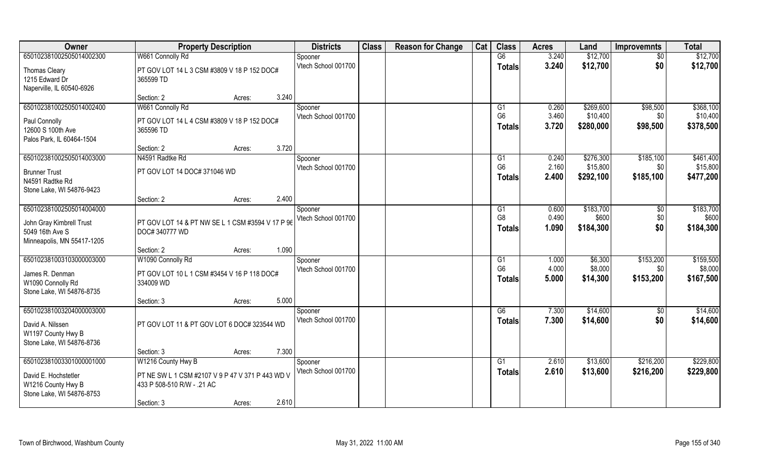| Owner                                                                                                 | <b>Property Description</b>                                                    | <b>Districts</b>               | <b>Class</b> | <b>Reason for Change</b> | Cat | <b>Class</b>                                      | <b>Acres</b>            | Land                               | <b>Improvemnts</b>            | <b>Total</b>                       |
|-------------------------------------------------------------------------------------------------------|--------------------------------------------------------------------------------|--------------------------------|--------------|--------------------------|-----|---------------------------------------------------|-------------------------|------------------------------------|-------------------------------|------------------------------------|
| 650102381002505014002300                                                                              | W661 Connolly Rd                                                               | Spooner                        |              |                          |     | G6                                                | 3.240                   | \$12,700                           | $\sqrt{6}$                    | \$12,700                           |
| Thomas Cleary<br>1215 Edward Dr<br>Naperville, IL 60540-6926                                          | PT GOV LOT 14 L 3 CSM #3809 V 18 P 152 DOC#<br>365599 TD                       | Vtech School 001700            |              |                          |     | <b>Totals</b>                                     | 3.240                   | \$12,700                           | \$0                           | \$12,700                           |
|                                                                                                       | 3.240<br>Section: 2<br>Acres:                                                  |                                |              |                          |     |                                                   |                         |                                    |                               |                                    |
| 650102381002505014002400<br>Paul Connolly                                                             | W661 Connolly Rd<br>PT GOV LOT 14 L 4 CSM #3809 V 18 P 152 DOC#                | Spooner<br>Vtech School 001700 |              |                          |     | G1<br>G <sub>6</sub><br><b>Totals</b>             | 0.260<br>3.460<br>3.720 | \$269,600<br>\$10,400<br>\$280,000 | \$98,500<br>\$0<br>\$98,500   | \$368,100<br>\$10,400<br>\$378,500 |
| 12600 S 100th Ave<br>Palos Park, IL 60464-1504                                                        | 365596 TD                                                                      |                                |              |                          |     |                                                   |                         |                                    |                               |                                    |
| 650102381002505014003000                                                                              | 3.720<br>Section: 2<br>Acres:<br>N4591 Radtke Rd                               |                                |              |                          |     |                                                   | 0.240                   | \$276,300                          | \$185,100                     | \$461,400                          |
| <b>Brunner Trust</b><br>N4591 Radtke Rd<br>Stone Lake, WI 54876-9423                                  | PT GOV LOT 14 DOC# 371046 WD                                                   | Spooner<br>Vtech School 001700 |              |                          |     | G1<br>G <sub>6</sub><br><b>Totals</b>             | 2.160<br>2.400          | \$15,800<br>\$292,100              | \$0<br>\$185,100              | \$15,800<br>\$477,200              |
|                                                                                                       | 2.400<br>Section: 2<br>Acres:                                                  |                                |              |                          |     |                                                   |                         |                                    |                               |                                    |
| 650102381002505014004000<br>John Gray Kimbrell Trust<br>5049 16th Ave S<br>Minneapolis, MN 55417-1205 | PT GOV LOT 14 & PT NW SE L 1 CSM #3594 V 17 P 96<br>DOC# 340777 WD             | Spooner<br>Vtech School 001700 |              |                          |     | G <sub>1</sub><br>G <sub>8</sub><br><b>Totals</b> | 0.600<br>0.490<br>1.090 | \$183,700<br>\$600<br>\$184,300    | \$0<br>\$0<br>\$0             | \$183,700<br>\$600<br>\$184,300    |
|                                                                                                       | 1.090<br>Section: 2<br>Acres:                                                  |                                |              |                          |     |                                                   |                         |                                    |                               |                                    |
| 650102381003103000003000<br>James R. Denman<br>W1090 Connolly Rd<br>Stone Lake, WI 54876-8735         | W1090 Connolly Rd<br>PT GOV LOT 10 L 1 CSM #3454 V 16 P 118 DOC#<br>334009 WD  | Spooner<br>Vtech School 001700 |              |                          |     | G1<br>G <sub>6</sub><br>Totals                    | 1.000<br>4.000<br>5.000 | \$6,300<br>\$8,000<br>\$14,300     | \$153,200<br>\$0<br>\$153,200 | \$159,500<br>\$8,000<br>\$167,500  |
|                                                                                                       | 5.000<br>Section: 3<br>Acres:                                                  |                                |              |                          |     |                                                   |                         |                                    |                               |                                    |
| 650102381003204000003000<br>David A. Nilssen<br>W1197 County Hwy B<br>Stone Lake, WI 54876-8736       | PT GOV LOT 11 & PT GOV LOT 6 DOC# 323544 WD                                    | Spooner<br>Vtech School 001700 |              |                          |     | G6<br><b>Totals</b>                               | 7.300<br>7.300          | \$14,600<br>\$14,600               | \$0<br>\$0                    | \$14,600<br>\$14,600               |
|                                                                                                       | 7.300<br>Section: 3<br>Acres:                                                  |                                |              |                          |     |                                                   |                         |                                    |                               |                                    |
| 650102381003301000001000                                                                              | W1216 County Hwy B                                                             | Spooner                        |              |                          |     | G1                                                | 2.610                   | \$13,600                           | \$216,200                     | \$229,800                          |
| David E. Hochstetler<br>W1216 County Hwy B<br>Stone Lake, WI 54876-8753                               | PT NE SW L 1 CSM #2107 V 9 P 47 V 371 P 443 WD V<br>433 P 508-510 R/W - .21 AC | Vtech School 001700            |              |                          |     | <b>Totals</b>                                     | 2.610                   | \$13,600                           | \$216,200                     | \$229,800                          |
|                                                                                                       | 2.610<br>Section: 3<br>Acres:                                                  |                                |              |                          |     |                                                   |                         |                                    |                               |                                    |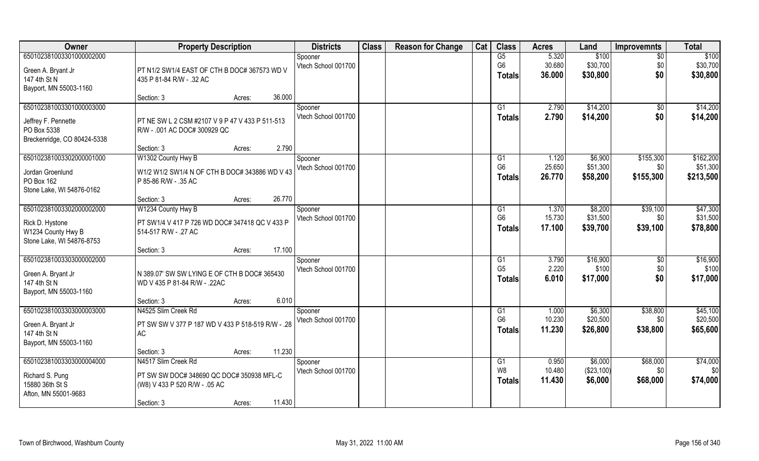| Owner                       | <b>Property Description</b>                       | <b>Districts</b>    | <b>Class</b> | <b>Reason for Change</b> | Cat | <b>Class</b>   | <b>Acres</b> | Land       | <b>Improvemnts</b> | <b>Total</b> |
|-----------------------------|---------------------------------------------------|---------------------|--------------|--------------------------|-----|----------------|--------------|------------|--------------------|--------------|
| 650102381003301000002000    |                                                   | Spooner             |              |                          |     | G5             | 5.320        | \$100      | $\overline{50}$    | \$100        |
| Green A. Bryant Jr          | PT N1/2 SW1/4 EAST OF CTH B DOC# 367573 WD V      | Vtech School 001700 |              |                          |     | G <sub>6</sub> | 30.680       | \$30,700   | \$0                | \$30,700     |
| 147 4th St N                | 435 P 81-84 R/W - .32 AC                          |                     |              |                          |     | <b>Totals</b>  | 36.000       | \$30,800   | \$0                | \$30,800     |
| Bayport, MN 55003-1160      |                                                   |                     |              |                          |     |                |              |            |                    |              |
|                             | 36.000<br>Section: 3<br>Acres:                    |                     |              |                          |     |                |              |            |                    |              |
| 650102381003301000003000    |                                                   | Spooner             |              |                          |     | G <sub>1</sub> | 2.790        | \$14,200   | \$0                | \$14,200     |
| Jeffrey F. Pennette         | PT NE SW L 2 CSM #2107 V 9 P 47 V 433 P 511-513   | Vtech School 001700 |              |                          |     | <b>Totals</b>  | 2.790        | \$14,200   | \$0                | \$14,200     |
| PO Box 5338                 | R/W - .001 AC DOC# 300929 QC                      |                     |              |                          |     |                |              |            |                    |              |
| Breckenridge, CO 80424-5338 |                                                   |                     |              |                          |     |                |              |            |                    |              |
|                             | 2.790<br>Section: 3<br>Acres:                     |                     |              |                          |     |                |              |            |                    |              |
| 650102381003302000001000    | W1302 County Hwy B                                | Spooner             |              |                          |     | G1             | 1.120        | \$6,900    | \$155,300          | \$162,200    |
| Jordan Groenlund            | W1/2 W1/2 SW1/4 N OF CTH B DOC# 343886 WD V 43    | Vtech School 001700 |              |                          |     | G <sub>6</sub> | 25.650       | \$51,300   | \$0                | \$51,300     |
| PO Box 162                  | P 85-86 R/W - .35 AC                              |                     |              |                          |     | <b>Totals</b>  | 26.770       | \$58,200   | \$155,300          | \$213,500    |
| Stone Lake, WI 54876-0162   |                                                   |                     |              |                          |     |                |              |            |                    |              |
|                             | 26,770<br>Section: 3<br>Acres:                    |                     |              |                          |     |                |              |            |                    |              |
| 650102381003302000002000    | W1234 County Hwy B                                | Spooner             |              |                          |     | G1             | 1.370        | \$8,200    | \$39,100           | \$47,300     |
| Rick D. Hystone             | PT SW1/4 V 417 P 726 WD DOC# 347418 QC V 433 P    | Vtech School 001700 |              |                          |     | G <sub>6</sub> | 15.730       | \$31,500   | \$0                | \$31,500     |
| W1234 County Hwy B          | 514-517 R/W - .27 AC                              |                     |              |                          |     | <b>Totals</b>  | 17.100       | \$39,700   | \$39,100           | \$78,800     |
| Stone Lake, WI 54876-8753   |                                                   |                     |              |                          |     |                |              |            |                    |              |
|                             | 17.100<br>Section: 3<br>Acres:                    |                     |              |                          |     |                |              |            |                    |              |
| 650102381003303000002000    |                                                   | Spooner             |              |                          |     | G1             | 3.790        | \$16,900   | $\sqrt[6]{30}$     | \$16,900     |
| Green A. Bryant Jr          | N 389.07' SW SW LYING E OF CTH B DOC# 365430      | Vtech School 001700 |              |                          |     | G <sub>5</sub> | 2.220        | \$100      | \$0                | \$100        |
| 147 4th St N                | WD V 435 P 81-84 R/W - .22AC                      |                     |              |                          |     | <b>Totals</b>  | 6.010        | \$17,000   | \$0                | \$17,000     |
| Bayport, MN 55003-1160      |                                                   |                     |              |                          |     |                |              |            |                    |              |
|                             | 6.010<br>Section: 3<br>Acres:                     |                     |              |                          |     |                |              |            |                    |              |
| 650102381003303000003000    | N4525 Slim Creek Rd                               | Spooner             |              |                          |     | G1             | 1.000        | \$6,300    | \$38,800           | \$45,100     |
| Green A. Bryant Jr          | PT SW SW V 377 P 187 WD V 433 P 518-519 R/W - .28 | Vtech School 001700 |              |                          |     | G <sub>6</sub> | 10.230       | \$20,500   | \$0                | \$20,500     |
| 147 4th St N                | <b>AC</b>                                         |                     |              |                          |     | Totals         | 11.230       | \$26,800   | \$38,800           | \$65,600     |
| Bayport, MN 55003-1160      |                                                   |                     |              |                          |     |                |              |            |                    |              |
|                             | 11.230<br>Section: 3<br>Acres:                    |                     |              |                          |     |                |              |            |                    |              |
| 650102381003303000004000    | N4517 Slim Creek Rd                               | Spooner             |              |                          |     | G <sub>1</sub> | 0.950        | \$6,000    | \$68,000           | \$74,000     |
| Richard S. Pung             | PT SW SW DOC# 348690 QC DOC# 350938 MFL-C         | Vtech School 001700 |              |                          |     | W8             | 10.480       | (\$23,100) | \$0                | \$0          |
| 15880 36th St S             | (W8) V 433 P 520 R/W - .05 AC                     |                     |              |                          |     | <b>Totals</b>  | 11.430       | \$6,000    | \$68,000           | \$74,000     |
| Afton, MN 55001-9683        |                                                   |                     |              |                          |     |                |              |            |                    |              |
|                             | 11.430<br>Section: 3<br>Acres:                    |                     |              |                          |     |                |              |            |                    |              |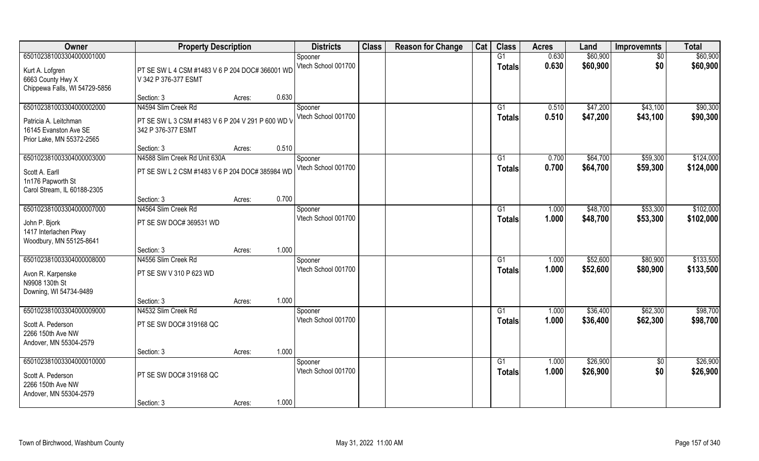| Owner                         | <b>Property Description</b>                       |        |       | <b>Districts</b>    | <b>Class</b> | <b>Reason for Change</b> | Cat | <b>Class</b>    | <b>Acres</b> | Land     | <b>Improvemnts</b> | <b>Total</b> |
|-------------------------------|---------------------------------------------------|--------|-------|---------------------|--------------|--------------------------|-----|-----------------|--------------|----------|--------------------|--------------|
| 650102381003304000001000      |                                                   |        |       | Spooner             |              |                          |     | G1              | 0.630        | \$60,900 | \$0                | \$60,900     |
| Kurt A. Lofgren               | PT SE SW L 4 CSM #1483 V 6 P 204 DOC# 366001 WD   |        |       | Vtech School 001700 |              |                          |     | <b>Totals</b>   | 0.630        | \$60,900 | \$0                | \$60,900     |
| 6663 County Hwy X             | V 342 P 376-377 ESMT                              |        |       |                     |              |                          |     |                 |              |          |                    |              |
| Chippewa Falls, WI 54729-5856 |                                                   |        |       |                     |              |                          |     |                 |              |          |                    |              |
|                               | Section: 3                                        | Acres: | 0.630 |                     |              |                          |     |                 |              |          |                    |              |
| 650102381003304000002000      | N4594 Slim Creek Rd                               |        |       | Spooner             |              |                          |     | G <sub>1</sub>  | 0.510        | \$47,200 | \$43,100           | \$90,300     |
| Patricia A. Leitchman         | PT SE SW L 3 CSM #1483 V 6 P 204 V 291 P 600 WD \ |        |       | Vtech School 001700 |              |                          |     | <b>Totals</b>   | 0.510        | \$47,200 | \$43,100           | \$90,300     |
| 16145 Evanston Ave SE         | 342 P 376-377 ESMT                                |        |       |                     |              |                          |     |                 |              |          |                    |              |
| Prior Lake, MN 55372-2565     |                                                   |        |       |                     |              |                          |     |                 |              |          |                    |              |
|                               | Section: 3                                        | Acres: | 0.510 |                     |              |                          |     |                 |              |          |                    |              |
| 650102381003304000003000      | N4588 Slim Creek Rd Unit 630A                     |        |       | Spooner             |              |                          |     | G1              | 0.700        | \$64,700 | \$59,300           | \$124,000    |
| Scott A. Earll                | PT SE SW L 2 CSM #1483 V 6 P 204 DOC# 385984 WD   |        |       | Vtech School 001700 |              |                          |     | <b>Totals</b>   | 0.700        | \$64,700 | \$59,300           | \$124,000    |
| 1n176 Papworth St             |                                                   |        |       |                     |              |                          |     |                 |              |          |                    |              |
| Carol Stream, IL 60188-2305   |                                                   |        |       |                     |              |                          |     |                 |              |          |                    |              |
|                               | Section: 3                                        | Acres: | 0.700 |                     |              |                          |     |                 |              |          |                    |              |
| 650102381003304000007000      | N4564 Slim Creek Rd                               |        |       | Spooner             |              |                          |     | G1              | 1.000        | \$48,700 | \$53,300           | \$102,000    |
| John P. Bjork                 | PT SE SW DOC# 369531 WD                           |        |       | Vtech School 001700 |              |                          |     | <b>Totals</b>   | 1.000        | \$48,700 | \$53,300           | \$102,000    |
| 1417 Interlachen Pkwy         |                                                   |        |       |                     |              |                          |     |                 |              |          |                    |              |
| Woodbury, MN 55125-8641       |                                                   |        |       |                     |              |                          |     |                 |              |          |                    |              |
|                               | Section: 3                                        | Acres: | 1.000 |                     |              |                          |     |                 |              |          |                    |              |
| 650102381003304000008000      | N4556 Slim Creek Rd                               |        |       | Spooner             |              |                          |     | G1              | 1.000        | \$52,600 | \$80,900           | \$133,500    |
| Avon R. Karpenske             | PT SE SW V 310 P 623 WD                           |        |       | Vtech School 001700 |              |                          |     | <b>Totals</b>   | 1.000        | \$52,600 | \$80,900           | \$133,500    |
| N9908 130th St                |                                                   |        |       |                     |              |                          |     |                 |              |          |                    |              |
| Downing, WI 54734-9489        |                                                   |        |       |                     |              |                          |     |                 |              |          |                    |              |
|                               | Section: 3                                        | Acres: | 1.000 |                     |              |                          |     |                 |              |          |                    |              |
| 650102381003304000009000      | N4532 Slim Creek Rd                               |        |       | Spooner             |              |                          |     | $\overline{G1}$ | 1.000        | \$36,400 | \$62,300           | \$98,700     |
| Scott A. Pederson             | PT SE SW DOC# 319168 QC                           |        |       | Vtech School 001700 |              |                          |     | <b>Totals</b>   | 1.000        | \$36,400 | \$62,300           | \$98,700     |
| 2266 150th Ave NW             |                                                   |        |       |                     |              |                          |     |                 |              |          |                    |              |
| Andover, MN 55304-2579        |                                                   |        |       |                     |              |                          |     |                 |              |          |                    |              |
|                               | Section: 3                                        | Acres: | 1.000 |                     |              |                          |     |                 |              |          |                    |              |
| 650102381003304000010000      |                                                   |        |       | Spooner             |              |                          |     | G1              | 1.000        | \$26,900 | $\overline{50}$    | \$26,900     |
| Scott A. Pederson             | PT SE SW DOC# 319168 QC                           |        |       | Vtech School 001700 |              |                          |     | <b>Totals</b>   | 1.000        | \$26,900 | \$0                | \$26,900     |
| 2266 150th Ave NW             |                                                   |        |       |                     |              |                          |     |                 |              |          |                    |              |
| Andover, MN 55304-2579        |                                                   |        |       |                     |              |                          |     |                 |              |          |                    |              |
|                               | Section: 3                                        | Acres: | 1.000 |                     |              |                          |     |                 |              |          |                    |              |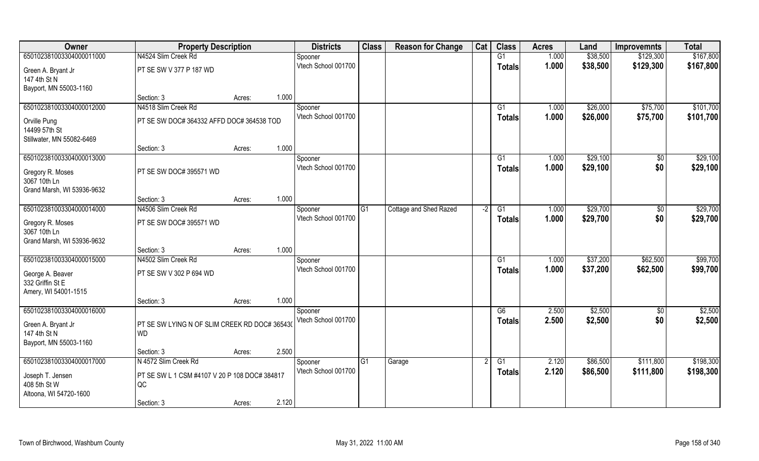| Owner                                    | <b>Property Description</b>                   |        |       | <b>Districts</b>               | <b>Class</b> | <b>Reason for Change</b>      | Cat  | <b>Class</b>   | <b>Acres</b>   | Land                 | <b>Improvemnts</b> | <b>Total</b>         |
|------------------------------------------|-----------------------------------------------|--------|-------|--------------------------------|--------------|-------------------------------|------|----------------|----------------|----------------------|--------------------|----------------------|
| 650102381003304000011000                 | N4524 Slim Creek Rd                           |        |       | Spooner                        |              |                               |      | G1             | 1.000          | \$38,500             | \$129,300          | \$167,800            |
| Green A. Bryant Jr<br>147 4th St N       | PT SE SW V 377 P 187 WD                       |        |       | Vtech School 001700            |              |                               |      | <b>Totals</b>  | 1.000          | \$38,500             | \$129,300          | \$167,800            |
| Bayport, MN 55003-1160                   |                                               |        |       |                                |              |                               |      |                |                |                      |                    |                      |
|                                          | Section: 3                                    | Acres: | 1.000 |                                |              |                               |      |                |                |                      |                    |                      |
| 650102381003304000012000                 | N4518 Slim Creek Rd                           |        |       | Spooner                        |              |                               |      | G <sub>1</sub> | 1.000          | \$26,000             | \$75,700           | \$101,700            |
| Orville Pung                             | PT SE SW DOC# 364332 AFFD DOC# 364538 TOD     |        |       | Vtech School 001700            |              |                               |      | <b>Totals</b>  | 1.000          | \$26,000             | \$75,700           | \$101,700            |
| 14499 57th St                            |                                               |        |       |                                |              |                               |      |                |                |                      |                    |                      |
| Stillwater, MN 55082-6469                |                                               |        |       |                                |              |                               |      |                |                |                      |                    |                      |
|                                          | Section: 3                                    | Acres: | 1.000 |                                |              |                               |      |                |                |                      |                    |                      |
| 650102381003304000013000                 |                                               |        |       | Spooner                        |              |                               |      | G1             | 1.000          | \$29,100             | \$0                | \$29,100             |
| Gregory R. Moses                         | PT SE SW DOC# 395571 WD                       |        |       | Vtech School 001700            |              |                               |      | <b>Totals</b>  | 1.000          | \$29,100             | \$0                | \$29,100             |
| 3067 10th Ln                             |                                               |        |       |                                |              |                               |      |                |                |                      |                    |                      |
| Grand Marsh, WI 53936-9632               |                                               |        |       |                                |              |                               |      |                |                |                      |                    |                      |
|                                          | Section: 3                                    | Acres: | 1.000 |                                |              |                               |      |                |                |                      |                    |                      |
| 650102381003304000014000                 | N4506 Slim Creek Rd                           |        |       | Spooner<br>Vtech School 001700 | G1           | <b>Cottage and Shed Razed</b> | $-2$ | G1             | 1.000<br>1.000 | \$29,700<br>\$29,700 | \$0<br>\$0         | \$29,700<br>\$29,700 |
| Gregory R. Moses                         | PT SE SW DOC# 395571 WD                       |        |       |                                |              |                               |      | <b>Totals</b>  |                |                      |                    |                      |
| 3067 10th Ln                             |                                               |        |       |                                |              |                               |      |                |                |                      |                    |                      |
| Grand Marsh, WI 53936-9632               | Section: 3                                    | Acres: | 1.000 |                                |              |                               |      |                |                |                      |                    |                      |
| 650102381003304000015000                 | N4502 Slim Creek Rd                           |        |       | Spooner                        |              |                               |      | G1             | 1.000          | \$37,200             | \$62,500           | \$99,700             |
|                                          |                                               |        |       | Vtech School 001700            |              |                               |      | <b>Totals</b>  | 1.000          | \$37,200             | \$62,500           | \$99,700             |
| George A. Beaver                         | PT SE SW V 302 P 694 WD                       |        |       |                                |              |                               |      |                |                |                      |                    |                      |
| 332 Griffin St E<br>Amery, WI 54001-1515 |                                               |        |       |                                |              |                               |      |                |                |                      |                    |                      |
|                                          | Section: 3                                    | Acres: | 1.000 |                                |              |                               |      |                |                |                      |                    |                      |
| 650102381003304000016000                 |                                               |        |       | Spooner                        |              |                               |      | G6             | 2.500          | \$2,500              | $\sqrt{6}$         | \$2,500              |
| Green A. Bryant Jr                       | PT SE SW LYING N OF SLIM CREEK RD DOC# 365430 |        |       | Vtech School 001700            |              |                               |      | <b>Totals</b>  | 2.500          | \$2,500              | \$0                | \$2,500              |
| 147 4th St N                             | <b>WD</b>                                     |        |       |                                |              |                               |      |                |                |                      |                    |                      |
| Bayport, MN 55003-1160                   |                                               |        |       |                                |              |                               |      |                |                |                      |                    |                      |
|                                          | Section: 3                                    | Acres: | 2.500 |                                |              |                               |      |                |                |                      |                    |                      |
| 650102381003304000017000                 | N 4572 Slim Creek Rd                          |        |       | Spooner                        | G1           | Garage                        |      | G1             | 2.120          | \$86,500             | \$111,800          | \$198,300            |
| Joseph T. Jensen                         | PT SE SW L 1 CSM #4107 V 20 P 108 DOC# 384817 |        |       | Vtech School 001700            |              |                               |      | Totals         | 2.120          | \$86,500             | \$111,800          | \$198,300            |
| 408 5th St W                             | QC                                            |        |       |                                |              |                               |      |                |                |                      |                    |                      |
| Altoona, WI 54720-1600                   |                                               |        |       |                                |              |                               |      |                |                |                      |                    |                      |
|                                          | Section: 3                                    | Acres: | 2.120 |                                |              |                               |      |                |                |                      |                    |                      |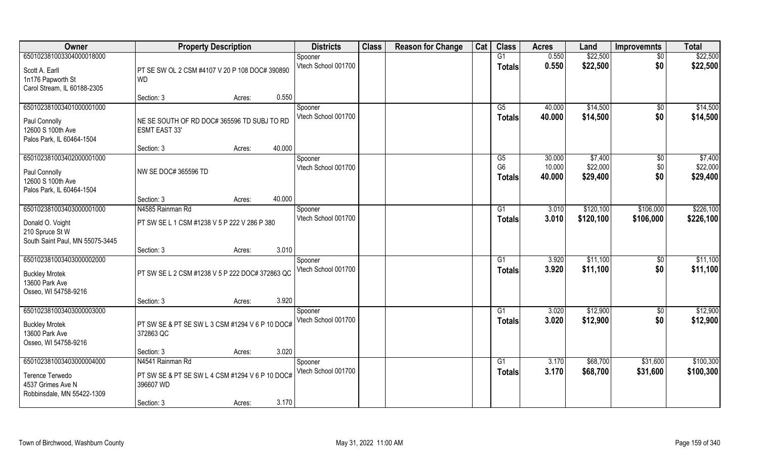| Owner                                                                                                 | <b>Property Description</b>                                                                    |                  | <b>Districts</b>               | <b>Class</b> | <b>Reason for Change</b> | Cat | <b>Class</b>                          | <b>Acres</b>               | Land                            | <b>Improvemnts</b>          | <b>Total</b>                    |
|-------------------------------------------------------------------------------------------------------|------------------------------------------------------------------------------------------------|------------------|--------------------------------|--------------|--------------------------|-----|---------------------------------------|----------------------------|---------------------------------|-----------------------------|---------------------------------|
| 650102381003304000018000                                                                              |                                                                                                |                  | Spooner                        |              |                          |     | G1                                    | 0.550                      | \$22,500                        | $\overline{50}$             | \$22,500                        |
| Scott A. Earll<br>1n176 Papworth St<br>Carol Stream, IL 60188-2305                                    | PT SE SW OL 2 CSM #4107 V 20 P 108 DOC# 390890<br><b>WD</b>                                    |                  | Vtech School 001700            |              |                          |     | <b>Totals</b>                         | 0.550                      | \$22,500                        | \$0                         | \$22,500                        |
|                                                                                                       | Section: 3                                                                                     | 0.550<br>Acres:  |                                |              |                          |     |                                       |                            |                                 |                             |                                 |
| 650102381003401000001000<br>Paul Connolly<br>12600 S 100th Ave<br>Palos Park, IL 60464-1504           | NE SE SOUTH OF RD DOC# 365596 TD SUBJ TO RD<br><b>ESMT EAST 33'</b>                            |                  | Spooner<br>Vtech School 001700 |              |                          |     | G5<br><b>Totals</b>                   | 40.000<br>40.000           | \$14,500<br>\$14,500            | \$0<br>\$0                  | \$14,500<br>\$14,500            |
|                                                                                                       | Section: 3                                                                                     | 40.000<br>Acres: |                                |              |                          |     |                                       |                            |                                 |                             |                                 |
| 650102381003402000001000<br>Paul Connolly<br>12600 S 100th Ave<br>Palos Park, IL 60464-1504           | NW SE DOC# 365596 TD                                                                           |                  | Spooner<br>Vtech School 001700 |              |                          |     | G5<br>G <sub>6</sub><br><b>Totals</b> | 30.000<br>10.000<br>40.000 | \$7,400<br>\$22,000<br>\$29,400 | $\sqrt[6]{3}$<br>\$0<br>\$0 | \$7,400<br>\$22,000<br>\$29,400 |
|                                                                                                       | Section: 3                                                                                     | 40.000<br>Acres: |                                |              |                          |     |                                       |                            |                                 |                             |                                 |
| 650102381003403000001000                                                                              | N4585 Rainman Rd                                                                               |                  | Spooner                        |              |                          |     | G <sub>1</sub>                        | 3.010                      | \$120,100                       | \$106,000                   | \$226,100                       |
| Donald O. Voight<br>210 Spruce St W<br>South Saint Paul, MN 55075-3445                                | PT SW SE L 1 CSM #1238 V 5 P 222 V 286 P 380                                                   |                  | Vtech School 001700            |              |                          |     | <b>Totals</b>                         | 3.010                      | \$120,100                       | \$106,000                   | \$226,100                       |
|                                                                                                       | Section: 3                                                                                     | 3.010<br>Acres:  |                                |              |                          |     |                                       |                            |                                 |                             |                                 |
| 650102381003403000002000<br><b>Buckley Mrotek</b><br>13600 Park Ave<br>Osseo, WI 54758-9216           | PT SW SE L 2 CSM #1238 V 5 P 222 DOC# 372863 QC                                                |                  | Spooner<br>Vtech School 001700 |              |                          |     | G1<br><b>Totals</b>                   | 3.920<br>3.920             | \$11,100<br>\$11,100            | $\sqrt[6]{30}$<br>\$0       | \$11,100<br>\$11,100            |
|                                                                                                       | Section: 3                                                                                     | 3.920<br>Acres:  |                                |              |                          |     |                                       |                            |                                 |                             |                                 |
| 650102381003403000003000<br><b>Buckley Mrotek</b><br>13600 Park Ave<br>Osseo, WI 54758-9216           | PT SW SE & PT SE SW L 3 CSM #1294 V 6 P 10 DOC#<br>372863 QC                                   |                  | Spooner<br>Vtech School 001700 |              |                          |     | G1<br><b>Totals</b>                   | 3.020<br>3.020             | \$12,900<br>\$12,900            | $\sqrt{$0}$<br>\$0          | \$12,900<br>\$12,900            |
|                                                                                                       | Section: 3                                                                                     | 3.020<br>Acres:  |                                |              |                          |     |                                       |                            |                                 |                             |                                 |
| 650102381003403000004000<br><b>Terence Terwedo</b><br>4537 Grimes Ave N<br>Robbinsdale, MN 55422-1309 | N4541 Rainman Rd<br>PT SW SE & PT SE SW L 4 CSM #1294 V 6 P 10 DOC#<br>396607 WD<br>Section: 3 | 3.170<br>Acres:  | Spooner<br>Vtech School 001700 |              |                          |     | G1<br>Totals                          | 3.170<br>3.170             | \$68,700<br>\$68,700            | \$31,600<br>\$31,600        | \$100,300<br>\$100,300          |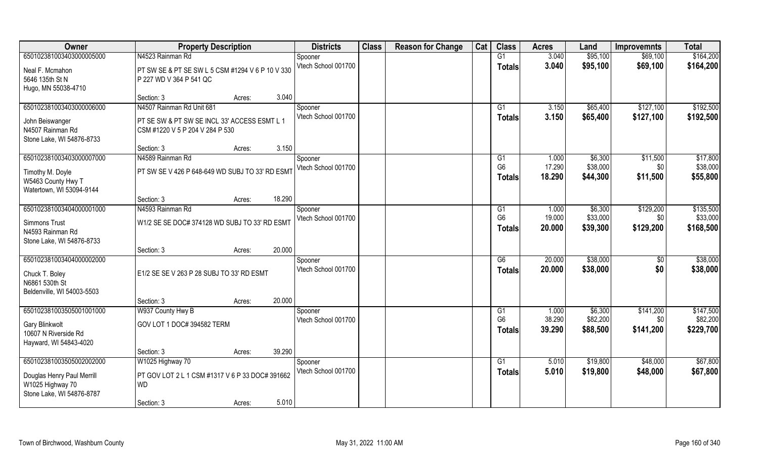| Owner                      | <b>Property Description</b>                      |        |        | <b>Districts</b>    | <b>Class</b> | <b>Reason for Change</b> | Cat | <b>Class</b>         | <b>Acres</b> | Land     | <b>Improvemnts</b> | <b>Total</b> |
|----------------------------|--------------------------------------------------|--------|--------|---------------------|--------------|--------------------------|-----|----------------------|--------------|----------|--------------------|--------------|
| 650102381003403000005000   | N4523 Rainman Rd                                 |        |        | Spooner             |              |                          |     | G1                   | 3.040        | \$95,100 | \$69,100           | \$164,200    |
| Neal F. Mcmahon            | PT SW SE & PT SE SW L 5 CSM #1294 V 6 P 10 V 330 |        |        | Vtech School 001700 |              |                          |     | <b>Totals</b>        | 3.040        | \$95,100 | \$69,100           | \$164,200    |
| 5646 135th St N            | P 227 WD V 364 P 541 QC                          |        |        |                     |              |                          |     |                      |              |          |                    |              |
| Hugo, MN 55038-4710        |                                                  |        |        |                     |              |                          |     |                      |              |          |                    |              |
|                            | Section: 3                                       | Acres: | 3.040  |                     |              |                          |     |                      |              |          |                    |              |
| 650102381003403000006000   | N4507 Rainman Rd Unit 681                        |        |        | Spooner             |              |                          |     | G <sub>1</sub>       | 3.150        | \$65,400 | \$127,100          | \$192,500    |
| John Beiswanger            | PT SE SW & PT SW SE INCL 33' ACCESS ESMT L 1     |        |        | Vtech School 001700 |              |                          |     | <b>Totals</b>        | 3.150        | \$65,400 | \$127,100          | \$192,500    |
| N4507 Rainman Rd           | CSM #1220 V 5 P 204 V 284 P 530                  |        |        |                     |              |                          |     |                      |              |          |                    |              |
| Stone Lake, WI 54876-8733  |                                                  |        |        |                     |              |                          |     |                      |              |          |                    |              |
|                            | Section: 3                                       | Acres: | 3.150  |                     |              |                          |     |                      |              |          |                    |              |
| 650102381003403000007000   | N4589 Rainman Rd                                 |        |        | Spooner             |              |                          |     | G1                   | 1.000        | \$6,300  | \$11,500           | \$17,800     |
| Timothy M. Doyle           | PT SW SE V 426 P 648-649 WD SUBJ TO 33' RD ESM1  |        |        | Vtech School 001700 |              |                          |     | G <sub>6</sub>       | 17.290       | \$38,000 | \$0                | \$38,000     |
| W5463 County Hwy T         |                                                  |        |        |                     |              |                          |     | <b>Totals</b>        | 18.290       | \$44,300 | \$11,500           | \$55,800     |
| Watertown, WI 53094-9144   |                                                  |        |        |                     |              |                          |     |                      |              |          |                    |              |
|                            | Section: 3                                       | Acres: | 18.290 |                     |              |                          |     |                      |              |          |                    |              |
| 650102381003404000001000   | N4593 Rainman Rd                                 |        |        | Spooner             |              |                          |     | G1                   | 1.000        | \$6,300  | \$129,200          | \$135,500    |
| Simmons Trust              | W1/2 SE SE DOC# 374128 WD SUBJ TO 33' RD ESMT    |        |        | Vtech School 001700 |              |                          |     | G <sub>6</sub>       | 19.000       | \$33,000 | \$0                | \$33,000     |
| N4593 Rainman Rd           |                                                  |        |        |                     |              |                          |     | <b>Totals</b>        | 20.000       | \$39,300 | \$129,200          | \$168,500    |
| Stone Lake, WI 54876-8733  |                                                  |        |        |                     |              |                          |     |                      |              |          |                    |              |
|                            | Section: 3                                       | Acres: | 20.000 |                     |              |                          |     |                      |              |          |                    |              |
| 650102381003404000002000   |                                                  |        |        | Spooner             |              |                          |     | G6                   | 20.000       | \$38,000 | $\sqrt[6]{}$       | \$38,000     |
| Chuck T. Boley             | E1/2 SE SE V 263 P 28 SUBJ TO 33' RD ESMT        |        |        | Vtech School 001700 |              |                          |     | <b>Totals</b>        | 20.000       | \$38,000 | \$0                | \$38,000     |
| N6861 530th St             |                                                  |        |        |                     |              |                          |     |                      |              |          |                    |              |
| Beldenville, WI 54003-5503 |                                                  |        |        |                     |              |                          |     |                      |              |          |                    |              |
|                            | Section: 3                                       | Acres: | 20.000 |                     |              |                          |     |                      |              |          |                    |              |
| 650102381003505001001000   | W937 County Hwy B                                |        |        | Spooner             |              |                          |     | G1<br>G <sub>6</sub> | 1.000        | \$6,300  | \$141,200          | \$147,500    |
| Gary Blinkwolt             | GOV LOT 1 DOC# 394582 TERM                       |        |        | Vtech School 001700 |              |                          |     |                      | 38.290       | \$82,200 | \$0                | \$82,200     |
| 10607 N Riverside Rd       |                                                  |        |        |                     |              |                          |     | <b>Totals</b>        | 39.290       | \$88,500 | \$141,200          | \$229,700    |
| Hayward, WI 54843-4020     |                                                  |        |        |                     |              |                          |     |                      |              |          |                    |              |
|                            | Section: 3                                       | Acres: | 39.290 |                     |              |                          |     |                      |              |          |                    |              |
| 650102381003505002002000   | W1025 Highway 70                                 |        |        | Spooner             |              |                          |     | G <sub>1</sub>       | 5.010        | \$19,800 | \$48,000           | \$67,800     |
| Douglas Henry Paul Merrill | PT GOV LOT 2 L 1 CSM #1317 V 6 P 33 DOC# 391662  |        |        | Vtech School 001700 |              |                          |     | <b>Totals</b>        | 5.010        | \$19,800 | \$48,000           | \$67,800     |
| W1025 Highway 70           | <b>WD</b>                                        |        |        |                     |              |                          |     |                      |              |          |                    |              |
| Stone Lake, WI 54876-8787  |                                                  |        |        |                     |              |                          |     |                      |              |          |                    |              |
|                            | Section: 3                                       | Acres: | 5.010  |                     |              |                          |     |                      |              |          |                    |              |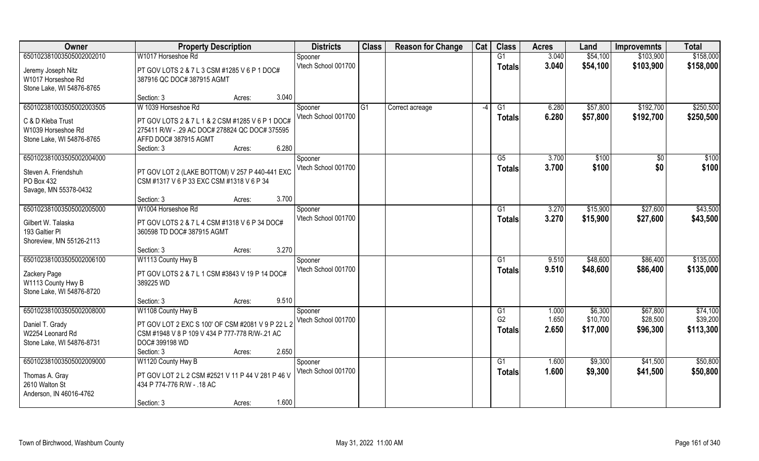| Owner                                      | <b>Property Description</b>                                                |        |       | <b>Districts</b>               | <b>Class</b> | <b>Reason for Change</b> | Cat  | <b>Class</b>   | <b>Acres</b>   | Land                 | <b>Improvemnts</b>     | <b>Total</b>           |
|--------------------------------------------|----------------------------------------------------------------------------|--------|-------|--------------------------------|--------------|--------------------------|------|----------------|----------------|----------------------|------------------------|------------------------|
| 650102381003505002002010                   | W1017 Horseshoe Rd                                                         |        |       | Spooner                        |              |                          |      | G1             | 3.040          | \$54,100             | \$103,900              | \$158,000              |
| Jeremy Joseph Nitz<br>W1017 Horseshoe Rd   | PT GOV LOTS 2 & 7 L 3 CSM #1285 V 6 P 1 DOC#<br>387916 QC DOC# 387915 AGMT |        |       | Vtech School 001700            |              |                          |      | <b>Totals</b>  | 3.040          | \$54,100             | \$103,900              | \$158,000              |
| Stone Lake, WI 54876-8765                  |                                                                            |        |       |                                |              |                          |      |                |                |                      |                        |                        |
|                                            | Section: 3                                                                 | Acres: | 3.040 |                                |              |                          |      |                |                |                      |                        |                        |
| 650102381003505002003505                   | W 1039 Horseshoe Rd                                                        |        |       | Spooner<br>Vtech School 001700 | G1           | Correct acreage          | $-4$ | G1<br>Totals   | 6.280<br>6.280 | \$57,800<br>\$57,800 | \$192,700<br>\$192,700 | \$250,500<br>\$250,500 |
| C & D Kleba Trust                          | PT GOV LOTS 2 & 7 L 1 & 2 CSM #1285 V 6 P 1 DOC#                           |        |       |                                |              |                          |      |                |                |                      |                        |                        |
| W1039 Horseshoe Rd                         | 275411 R/W - .29 AC DOC# 278824 QC DOC# 375595                             |        |       |                                |              |                          |      |                |                |                      |                        |                        |
| Stone Lake, WI 54876-8765                  | AFFD DOC# 387915 AGMT                                                      |        |       |                                |              |                          |      |                |                |                      |                        |                        |
|                                            | Section: 3                                                                 | Acres: | 6.280 |                                |              |                          |      |                |                |                      |                        |                        |
| 650102381003505002004000                   |                                                                            |        |       | Spooner                        |              |                          |      | G5             | 3.700          | \$100                | \$0                    | \$100                  |
| Steven A. Friendshuh                       | PT GOV LOT 2 (LAKE BOTTOM) V 257 P 440-441 EXC                             |        |       | Vtech School 001700            |              |                          |      | <b>Totals</b>  | 3.700          | \$100                | \$0                    | \$100                  |
| PO Box 432                                 | CSM #1317 V 6 P 33 EXC CSM #1318 V 6 P 34                                  |        |       |                                |              |                          |      |                |                |                      |                        |                        |
| Savage, MN 55378-0432                      |                                                                            |        |       |                                |              |                          |      |                |                |                      |                        |                        |
|                                            | Section: 3                                                                 | Acres: | 3.700 |                                |              |                          |      |                |                |                      |                        |                        |
| 650102381003505002005000                   | W1004 Horseshoe Rd                                                         |        |       | Spooner                        |              |                          |      | G1             | 3.270          | \$15,900             | \$27,600               | \$43,500               |
| Gilbert W. Talaska                         | PT GOV LOTS 2 & 7 L 4 CSM #1318 V 6 P 34 DOC#                              |        |       | Vtech School 001700            |              |                          |      | <b>Totals</b>  | 3.270          | \$15,900             | \$27,600               | \$43,500               |
| 193 Galtier PI<br>Shoreview, MN 55126-2113 | 360598 TD DOC# 387915 AGMT                                                 |        |       |                                |              |                          |      |                |                |                      |                        |                        |
|                                            | Section: 3                                                                 | Acres: | 3.270 |                                |              |                          |      |                |                |                      |                        |                        |
| 650102381003505002006100                   | W1113 County Hwy B                                                         |        |       | Spooner                        |              |                          |      | G1             | 9.510          | \$48,600             | \$86,400               | \$135,000              |
|                                            |                                                                            |        |       | Vtech School 001700            |              |                          |      | <b>Totals</b>  | 9.510          | \$48,600             | \$86,400               | \$135,000              |
| Zackery Page                               | PT GOV LOTS 2 & 7 L 1 CSM #3843 V 19 P 14 DOC#                             |        |       |                                |              |                          |      |                |                |                      |                        |                        |
| W1113 County Hwy B                         | 389225 WD                                                                  |        |       |                                |              |                          |      |                |                |                      |                        |                        |
| Stone Lake, WI 54876-8720                  |                                                                            |        |       |                                |              |                          |      |                |                |                      |                        |                        |
|                                            | Section: 3                                                                 | Acres: | 9.510 |                                |              |                          |      |                |                |                      |                        |                        |
| 650102381003505002008000                   | W1108 County Hwy B                                                         |        |       | Spooner                        |              |                          |      | G1             | 1.000          | \$6,300              | \$67,800               | \$74,100               |
| Daniel T. Grady                            | PT GOV LOT 2 EXC S 100' OF CSM #2081 V 9 P 22 L 2                          |        |       | Vtech School 001700            |              |                          |      | G <sub>2</sub> | 1.650          | \$10,700             | \$28,500               | \$39,200               |
| W2254 Leonard Rd                           | CSM #1948 V 8 P 109 V 434 P 777-778 R/W-.21 AC                             |        |       |                                |              |                          |      | <b>Totals</b>  | 2.650          | \$17,000             | \$96,300               | \$113,300              |
| Stone Lake, WI 54876-8731                  | DOC# 399198 WD                                                             |        |       |                                |              |                          |      |                |                |                      |                        |                        |
|                                            | Section: 3                                                                 | Acres: | 2.650 |                                |              |                          |      |                |                |                      |                        |                        |
| 650102381003505002009000                   | W1120 County Hwy B                                                         |        |       | Spooner                        |              |                          |      | G1             | 1.600          | \$9,300              | \$41,500               | \$50,800               |
| Thomas A. Gray                             | PT GOV LOT 2 L 2 CSM #2521 V 11 P 44 V 281 P 46 V                          |        |       | Vtech School 001700            |              |                          |      | <b>Totals</b>  | 1.600          | \$9,300              | \$41,500               | \$50,800               |
| 2610 Walton St                             | 434 P 774-776 R/W - .18 AC                                                 |        |       |                                |              |                          |      |                |                |                      |                        |                        |
| Anderson, IN 46016-4762                    |                                                                            |        |       |                                |              |                          |      |                |                |                      |                        |                        |
|                                            | Section: 3                                                                 | Acres: | 1.600 |                                |              |                          |      |                |                |                      |                        |                        |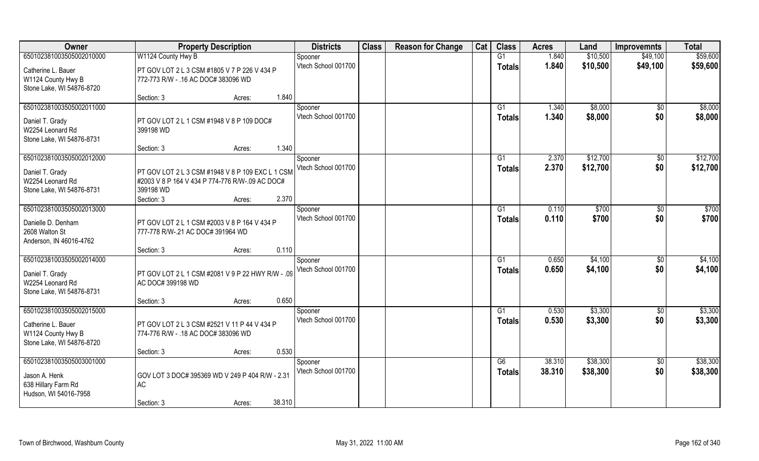| Owner                     | <b>Property Description</b>                       | <b>Districts</b>    | <b>Class</b> | <b>Reason for Change</b> | Cat | <b>Class</b>    | <b>Acres</b> | Land     | <b>Improvemnts</b> | <b>Total</b> |
|---------------------------|---------------------------------------------------|---------------------|--------------|--------------------------|-----|-----------------|--------------|----------|--------------------|--------------|
| 650102381003505002010000  | W1124 County Hwy B                                | Spooner             |              |                          |     | G1              | 1.840        | \$10,500 | \$49,100           | \$59,600     |
| Catherine L. Bauer        | PT GOV LOT 2 L 3 CSM #1805 V 7 P 226 V 434 P      | Vtech School 001700 |              |                          |     | <b>Totals</b>   | 1.840        | \$10,500 | \$49,100           | \$59,600     |
| W1124 County Hwy B        | 772-773 R/W - .16 AC DOC# 383096 WD               |                     |              |                          |     |                 |              |          |                    |              |
| Stone Lake, WI 54876-8720 |                                                   |                     |              |                          |     |                 |              |          |                    |              |
|                           | 1.840<br>Section: 3<br>Acres:                     |                     |              |                          |     |                 |              |          |                    |              |
| 650102381003505002011000  |                                                   | Spooner             |              |                          |     | G1              | 1.340        | \$8,000  | \$0                | \$8,000      |
| Daniel T. Grady           | PT GOV LOT 2 L 1 CSM #1948 V 8 P 109 DOC#         | Vtech School 001700 |              |                          |     | Totals          | 1.340        | \$8,000  | \$0                | \$8,000      |
| W2254 Leonard Rd          | 399198 WD                                         |                     |              |                          |     |                 |              |          |                    |              |
| Stone Lake, WI 54876-8731 |                                                   |                     |              |                          |     |                 |              |          |                    |              |
|                           | 1.340<br>Section: 3<br>Acres:                     |                     |              |                          |     |                 |              |          |                    |              |
| 650102381003505002012000  |                                                   | Spooner             |              |                          |     | G1              | 2.370        | \$12,700 | \$0                | \$12,700     |
| Daniel T. Grady           | PT GOV LOT 2 L 3 CSM #1948 V 8 P 109 EXC L 1 CSM  | Vtech School 001700 |              |                          |     | <b>Totals</b>   | 2.370        | \$12,700 | \$0                | \$12,700     |
| W2254 Leonard Rd          | #2003 V 8 P 164 V 434 P 774-776 R/W-.09 AC DOC#   |                     |              |                          |     |                 |              |          |                    |              |
| Stone Lake, WI 54876-8731 | 399198 WD                                         |                     |              |                          |     |                 |              |          |                    |              |
|                           | 2.370<br>Section: 3<br>Acres:                     |                     |              |                          |     |                 |              |          |                    |              |
| 650102381003505002013000  |                                                   | Spooner             |              |                          |     | G1              | 0.110        | \$700    | \$0                | \$700        |
| Danielle D. Denham        | PT GOV LOT 2 L 1 CSM #2003 V 8 P 164 V 434 P      | Vtech School 001700 |              |                          |     | <b>Totals</b>   | 0.110        | \$700    | \$0                | \$700        |
| 2608 Walton St            | 777-778 R/W-.21 AC DOC# 391964 WD                 |                     |              |                          |     |                 |              |          |                    |              |
| Anderson, IN 46016-4762   |                                                   |                     |              |                          |     |                 |              |          |                    |              |
|                           | 0.110<br>Section: 3<br>Acres:                     |                     |              |                          |     |                 |              |          |                    |              |
| 650102381003505002014000  |                                                   | Spooner             |              |                          |     | G1              | 0.650        | \$4,100  | $\overline{50}$    | \$4,100      |
| Daniel T. Grady           | PT GOV LOT 2 L 1 CSM #2081 V 9 P 22 HWY R/W - .09 | Vtech School 001700 |              |                          |     | <b>Totals</b>   | 0.650        | \$4,100  | \$0                | \$4,100      |
| W2254 Leonard Rd          | AC DOC# 399198 WD                                 |                     |              |                          |     |                 |              |          |                    |              |
| Stone Lake, WI 54876-8731 |                                                   |                     |              |                          |     |                 |              |          |                    |              |
|                           | 0.650<br>Section: 3<br>Acres:                     |                     |              |                          |     |                 |              |          |                    |              |
| 650102381003505002015000  |                                                   | Spooner             |              |                          |     | $\overline{G1}$ | 0.530        | \$3,300  | \$0                | \$3,300      |
| Catherine L. Bauer        | PT GOV LOT 2 L 3 CSM #2521 V 11 P 44 V 434 P      | Vtech School 001700 |              |                          |     | <b>Totals</b>   | 0.530        | \$3,300  | \$0                | \$3,300      |
| W1124 County Hwy B        | 774-776 R/W - .18 AC DOC# 383096 WD               |                     |              |                          |     |                 |              |          |                    |              |
| Stone Lake, WI 54876-8720 |                                                   |                     |              |                          |     |                 |              |          |                    |              |
|                           | 0.530<br>Section: 3<br>Acres:                     |                     |              |                          |     |                 |              |          |                    |              |
| 650102381003505003001000  |                                                   | Spooner             |              |                          |     | G6              | 38.310       | \$38,300 | $\overline{50}$    | \$38,300     |
| Jason A. Henk             | GOV LOT 3 DOC# 395369 WD V 249 P 404 R/W - 2.31   | Vtech School 001700 |              |                          |     | Totals          | 38.310       | \$38,300 | \$0                | \$38,300     |
| 638 Hillary Farm Rd       | <b>AC</b>                                         |                     |              |                          |     |                 |              |          |                    |              |
| Hudson, WI 54016-7958     |                                                   |                     |              |                          |     |                 |              |          |                    |              |
|                           | 38.310<br>Section: 3<br>Acres:                    |                     |              |                          |     |                 |              |          |                    |              |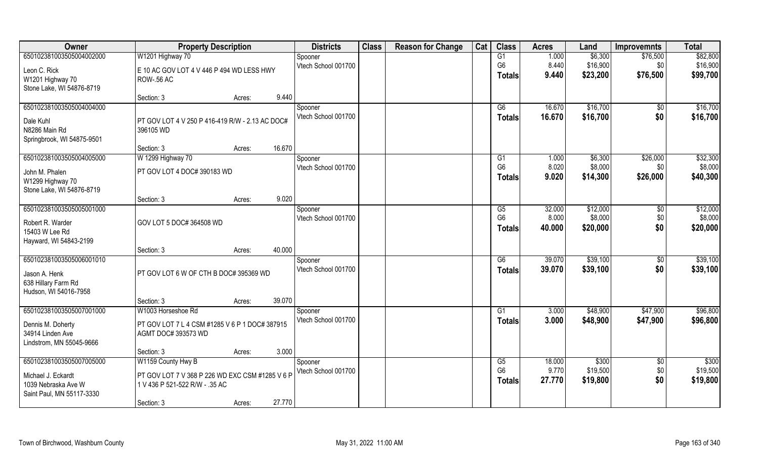| Owner                      | <b>Property Description</b>                     |        |        | <b>Districts</b>    | <b>Class</b> | <b>Reason for Change</b> | Cat | <b>Class</b>         | <b>Acres</b>    | Land     | <b>Improvemnts</b> | <b>Total</b>      |
|----------------------------|-------------------------------------------------|--------|--------|---------------------|--------------|--------------------------|-----|----------------------|-----------------|----------|--------------------|-------------------|
| 650102381003505004002000   | W1201 Highway 70                                |        |        | Spooner             |              |                          |     | G1                   | 1.000           | \$6,300  | \$76,500           | \$82,800          |
| Leon C. Rick               | E 10 AC GOV LOT 4 V 446 P 494 WD LESS HWY       |        |        | Vtech School 001700 |              |                          |     | G <sub>6</sub>       | 8.440           | \$16,900 | \$0                | \$16,900          |
| W1201 Highway 70           | <b>ROW-.56 AC</b>                               |        |        |                     |              |                          |     | <b>Totals</b>        | 9.440           | \$23,200 | \$76,500           | \$99,700          |
| Stone Lake, WI 54876-8719  |                                                 |        |        |                     |              |                          |     |                      |                 |          |                    |                   |
|                            | Section: 3                                      | Acres: | 9.440  |                     |              |                          |     |                      |                 |          |                    |                   |
| 650102381003505004004000   |                                                 |        |        | Spooner             |              |                          |     | G6                   | 16.670          | \$16,700 | \$0                | \$16,700          |
| Dale Kuhl                  | PT GOV LOT 4 V 250 P 416-419 R/W - 2.13 AC DOC# |        |        | Vtech School 001700 |              |                          |     | Totals               | 16.670          | \$16,700 | \$0                | \$16,700          |
| N8286 Main Rd              | 396105 WD                                       |        |        |                     |              |                          |     |                      |                 |          |                    |                   |
| Springbrook, WI 54875-9501 |                                                 |        |        |                     |              |                          |     |                      |                 |          |                    |                   |
|                            | Section: 3                                      | Acres: | 16.670 |                     |              |                          |     |                      |                 |          |                    |                   |
| 650102381003505004005000   | W 1299 Highway 70                               |        |        | Spooner             |              |                          |     | G1                   | 1.000           | \$6,300  | \$26,000           | \$32,300          |
| John M. Phalen             | PT GOV LOT 4 DOC# 390183 WD                     |        |        | Vtech School 001700 |              |                          |     | G <sub>6</sub>       | 8.020           | \$8,000  | \$0\$              | \$8,000           |
| W1299 Highway 70           |                                                 |        |        |                     |              |                          |     | <b>Totals</b>        | 9.020           | \$14,300 | \$26,000           | \$40,300          |
| Stone Lake, WI 54876-8719  |                                                 |        |        |                     |              |                          |     |                      |                 |          |                    |                   |
|                            | Section: 3                                      | Acres: | 9.020  |                     |              |                          |     |                      |                 |          |                    |                   |
| 650102381003505005001000   |                                                 |        |        | Spooner             |              |                          |     | G5                   | 32.000          | \$12,000 | \$0                | \$12,000          |
| Robert R. Warder           | GOV LOT 5 DOC# 364508 WD                        |        |        | Vtech School 001700 |              |                          |     | G <sub>6</sub>       | 8.000           | \$8,000  | \$0                | \$8,000           |
| 15403 W Lee Rd             |                                                 |        |        |                     |              |                          |     | <b>Totals</b>        | 40.000          | \$20,000 | \$0                | \$20,000          |
| Hayward, WI 54843-2199     |                                                 |        |        |                     |              |                          |     |                      |                 |          |                    |                   |
|                            | Section: 3                                      | Acres: | 40.000 |                     |              |                          |     |                      |                 |          |                    |                   |
| 650102381003505006001010   |                                                 |        |        | Spooner             |              |                          |     | $\overline{G6}$      | 39.070          | \$39,100 | \$0                | \$39,100          |
| Jason A. Henk              | PT GOV LOT 6 W OF CTH B DOC# 395369 WD          |        |        | Vtech School 001700 |              |                          |     | <b>Totals</b>        | 39.070          | \$39,100 | \$0                | \$39,100          |
| 638 Hillary Farm Rd        |                                                 |        |        |                     |              |                          |     |                      |                 |          |                    |                   |
| Hudson, WI 54016-7958      |                                                 |        |        |                     |              |                          |     |                      |                 |          |                    |                   |
|                            | Section: 3                                      | Acres: | 39.070 |                     |              |                          |     |                      |                 |          |                    |                   |
| 650102381003505007001000   | W1003 Horseshoe Rd                              |        |        | Spooner             |              |                          |     | G1                   | 3.000           | \$48,900 | \$47,900           | \$96,800          |
| Dennis M. Doherty          | PT GOV LOT 7 L 4 CSM #1285 V 6 P 1 DOC# 387915  |        |        | Vtech School 001700 |              |                          |     | <b>Totals</b>        | 3.000           | \$48,900 | \$47,900           | \$96,800          |
| 34914 Linden Ave           | AGMT DOC# 393573 WD                             |        |        |                     |              |                          |     |                      |                 |          |                    |                   |
| Lindstrom, MN 55045-9666   |                                                 |        |        |                     |              |                          |     |                      |                 |          |                    |                   |
|                            | Section: 3                                      | Acres: | 3.000  |                     |              |                          |     |                      |                 |          |                    |                   |
| 650102381003505007005000   | W1159 County Hwy B                              |        |        | Spooner             |              |                          |     | G5<br>G <sub>6</sub> | 18,000<br>9.770 | \$300    | $\overline{50}$    | \$300<br>\$19,500 |
| Michael J. Eckardt         | PT GOV LOT 7 V 368 P 226 WD EXC CSM #1285 V 6 P |        |        | Vtech School 001700 |              |                          |     |                      | 27.770          | \$19,500 | \$0<br>\$0         |                   |
| 1039 Nebraska Ave W        | 1 V 436 P 521-522 R/W - .35 AC                  |        |        |                     |              |                          |     | Totals               |                 | \$19,800 |                    | \$19,800          |
| Saint Paul, MN 55117-3330  |                                                 |        |        |                     |              |                          |     |                      |                 |          |                    |                   |
|                            | Section: 3                                      | Acres: | 27.770 |                     |              |                          |     |                      |                 |          |                    |                   |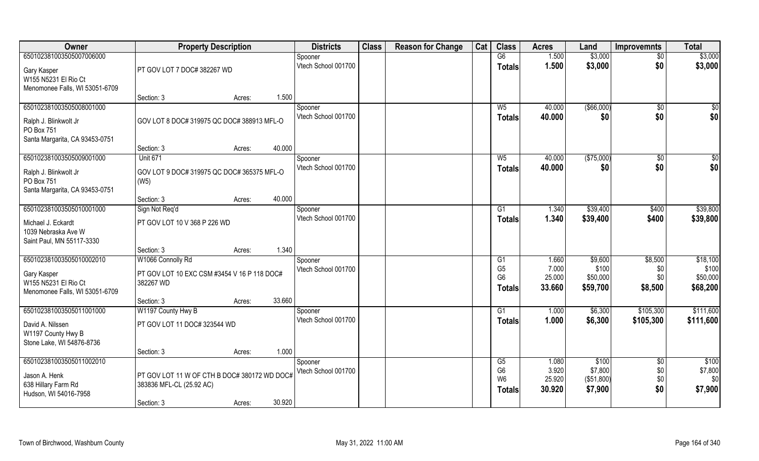| Owner                                                                                             | <b>Property Description</b>                                                   |                  | <b>Districts</b>               | <b>Class</b> | <b>Reason for Change</b> | Cat | <b>Class</b>                                            | <b>Acres</b>                       | Land                                      | <b>Improvemnts</b>               | <b>Total</b>                              |
|---------------------------------------------------------------------------------------------------|-------------------------------------------------------------------------------|------------------|--------------------------------|--------------|--------------------------|-----|---------------------------------------------------------|------------------------------------|-------------------------------------------|----------------------------------|-------------------------------------------|
| 650102381003505007006000                                                                          |                                                                               |                  | Spooner                        |              |                          |     | G6                                                      | 1.500                              | \$3,000                                   | $\overline{50}$                  | \$3,000                                   |
| Gary Kasper<br>W155 N5231 El Rio Ct<br>Menomonee Falls, WI 53051-6709                             | PT GOV LOT 7 DOC# 382267 WD                                                   |                  | Vtech School 001700            |              |                          |     | <b>Totals</b>                                           | 1.500                              | \$3,000                                   | \$0                              | \$3,000                                   |
|                                                                                                   | Section: 3                                                                    | 1.500<br>Acres:  |                                |              |                          |     |                                                         |                                    |                                           |                                  |                                           |
| 650102381003505008001000<br>Ralph J. Blinkwolt Jr<br>PO Box 751                                   | GOV LOT 8 DOC# 319975 QC DOC# 388913 MFL-O                                    |                  | Spooner<br>Vtech School 001700 |              |                          |     | $W_5$<br><b>Totals</b>                                  | 40.000<br>40.000                   | ( \$66,000)<br>\$0                        | \$0<br>\$0                       | $\frac{6}{3}$<br>\$0                      |
| Santa Margarita, CA 93453-0751                                                                    |                                                                               |                  |                                |              |                          |     |                                                         |                                    |                                           |                                  |                                           |
|                                                                                                   | Section: 3                                                                    | 40.000<br>Acres: |                                |              |                          |     |                                                         |                                    |                                           |                                  |                                           |
| 650102381003505009001000                                                                          | <b>Unit 671</b>                                                               |                  | Spooner                        |              |                          |     | $W_5$                                                   | 40.000                             | (\$75,000)                                | \$0                              | $\overline{50}$                           |
| Ralph J. Blinkwolt Jr<br>PO Box 751<br>Santa Margarita, CA 93453-0751                             | GOV LOT 9 DOC# 319975 QC DOC# 365375 MFL-O<br>(W5)                            |                  | Vtech School 001700            |              |                          |     | <b>Totals</b>                                           | 40.000                             | \$0                                       | \$0                              | \$0                                       |
|                                                                                                   | Section: 3                                                                    | 40.000<br>Acres: |                                |              |                          |     |                                                         |                                    |                                           |                                  |                                           |
| 650102381003505010001000                                                                          | Sign Not Req'd                                                                |                  | Spooner                        |              |                          |     | G1                                                      | 1.340                              | \$39,400                                  | \$400                            | \$39,800                                  |
| Michael J. Eckardt<br>1039 Nebraska Ave W<br>Saint Paul, MN 55117-3330                            | PT GOV LOT 10 V 368 P 226 WD                                                  |                  | Vtech School 001700            |              |                          |     | <b>Totals</b>                                           | 1.340                              | \$39,400                                  | \$400                            | \$39,800                                  |
|                                                                                                   | Section: 3                                                                    | 1.340<br>Acres:  |                                |              |                          |     |                                                         |                                    |                                           |                                  |                                           |
| 650102381003505010002010<br>Gary Kasper<br>W155 N5231 El Rio Ct<br>Menomonee Falls, WI 53051-6709 | W1066 Connolly Rd<br>PT GOV LOT 10 EXC CSM #3454 V 16 P 118 DOC#<br>382267 WD |                  | Spooner<br>Vtech School 001700 |              |                          |     | G1<br>G <sub>5</sub><br>G <sub>6</sub><br><b>Totals</b> | 1.660<br>7.000<br>25.000<br>33.660 | \$9,600<br>\$100<br>\$50,000<br>\$59,700  | \$8,500<br>\$0<br>\$0<br>\$8,500 | \$18,100<br>\$100<br>\$50,000<br>\$68,200 |
|                                                                                                   | Section: 3                                                                    | 33.660<br>Acres: |                                |              |                          |     |                                                         |                                    |                                           |                                  |                                           |
| 650102381003505011001000<br>David A. Nilssen<br>W1197 County Hwy B<br>Stone Lake, WI 54876-8736   | W1197 County Hwy B<br>PT GOV LOT 11 DOC# 323544 WD                            |                  | Spooner<br>Vtech School 001700 |              |                          |     | G1<br><b>Totals</b>                                     | 1.000<br>1.000                     | \$6,300<br>\$6,300                        | \$105,300<br>\$105,300           | \$111,600<br>\$111,600                    |
|                                                                                                   | Section: 3                                                                    | 1.000<br>Acres:  |                                |              |                          |     |                                                         |                                    |                                           |                                  |                                           |
| 650102381003505011002010<br>Jason A. Henk<br>638 Hillary Farm Rd<br>Hudson, WI 54016-7958         | PT GOV LOT 11 W OF CTH B DOC# 380172 WD DOC#<br>383836 MFL-CL (25.92 AC)      |                  | Spooner<br>Vtech School 001700 |              |                          |     | G5<br>G <sub>6</sub><br>W <sub>6</sub><br><b>Totals</b> | 1.080<br>3.920<br>25.920<br>30.920 | \$100<br>\$7,800<br>(\$51,800)<br>\$7,900 | $\sqrt{6}$<br>\$0<br>\$0<br>\$0  | \$100<br>\$7,800<br>\$0<br>\$7,900        |
|                                                                                                   | Section: 3                                                                    | 30.920<br>Acres: |                                |              |                          |     |                                                         |                                    |                                           |                                  |                                           |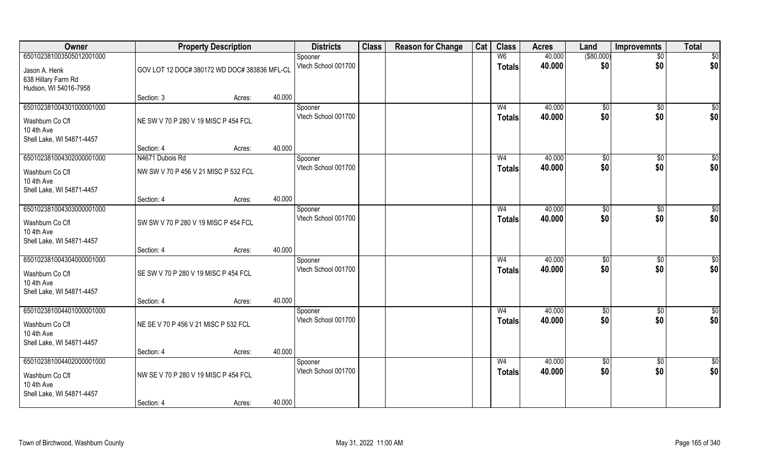| Owner                                                                                  |                                                         | <b>Property Description</b> |        | <b>Districts</b>               | <b>Class</b> | <b>Reason for Change</b> | Cat | <b>Class</b>                    | <b>Acres</b>     | Land                   | <b>Improvemnts</b>     | <b>Total</b>           |
|----------------------------------------------------------------------------------------|---------------------------------------------------------|-----------------------------|--------|--------------------------------|--------------|--------------------------|-----|---------------------------------|------------------|------------------------|------------------------|------------------------|
| 650102381003505012001000<br>Jason A. Henk<br>638 Hillary Farm Rd                       | GOV LOT 12 DOC# 380172 WD DOC# 383836 MFL-CL            |                             |        | Spooner<br>Vtech School 001700 |              |                          |     | W <sub>6</sub><br><b>Totals</b> | 40.000<br>40.000 | $($ \$80,000)<br>\$0   | $\overline{50}$<br>\$0 | $\overline{50}$<br>\$0 |
| Hudson, WI 54016-7958                                                                  | Section: 3                                              | Acres:                      | 40.000 |                                |              |                          |     |                                 |                  |                        |                        |                        |
| 650102381004301000001000<br>Washburn Co Cfl<br>10 4th Ave<br>Shell Lake, WI 54871-4457 | NE SW V 70 P 280 V 19 MISC P 454 FCL                    |                             |        | Spooner<br>Vtech School 001700 |              |                          |     | W <sub>4</sub><br><b>Totals</b> | 40.000<br>40.000 | $\sqrt[6]{}$<br>\$0    | $\sqrt{6}$<br>\$0      | \$0<br>\$0             |
|                                                                                        | Section: 4                                              | Acres:                      | 40.000 |                                |              |                          |     |                                 |                  |                        |                        |                        |
| 650102381004302000001000<br>Washburn Co Cfl<br>10 4th Ave<br>Shell Lake, WI 54871-4457 | N4671 Dubois Rd<br>NW SW V 70 P 456 V 21 MISC P 532 FCL |                             |        | Spooner<br>Vtech School 001700 |              |                          |     | W <sub>4</sub><br><b>Totals</b> | 40.000<br>40.000 | \$0<br>\$0             | $\sqrt[6]{30}$<br>\$0  | \$0<br>\$0             |
|                                                                                        | Section: 4                                              | Acres:                      | 40.000 |                                |              |                          |     |                                 |                  |                        |                        |                        |
| 650102381004303000001000<br>Washburn Co Cfl<br>10 4th Ave<br>Shell Lake, WI 54871-4457 | SW SW V 70 P 280 V 19 MISC P 454 FCL                    |                             |        | Spooner<br>Vtech School 001700 |              |                          |     | W <sub>4</sub><br><b>Totals</b> | 40.000<br>40.000 | $\frac{1}{20}$<br>\$0  | $\sqrt[6]{3}$<br>\$0   | \$0<br>\$0             |
|                                                                                        | Section: 4                                              | Acres:                      | 40.000 |                                |              |                          |     |                                 |                  |                        |                        |                        |
| 650102381004304000001000<br>Washburn Co Cfl<br>10 4th Ave<br>Shell Lake, WI 54871-4457 | SE SW V 70 P 280 V 19 MISC P 454 FCL                    |                             |        | Spooner<br>Vtech School 001700 |              |                          |     | W <sub>4</sub><br><b>Totals</b> | 40.000<br>40.000 | \$0<br>\$0             | $\sqrt[6]{3}$<br>\$0   | \$0<br>\$0             |
|                                                                                        | Section: 4                                              | Acres:                      | 40.000 |                                |              |                          |     |                                 |                  |                        |                        |                        |
| 650102381004401000001000<br>Washburn Co Cfl<br>10 4th Ave<br>Shell Lake, WI 54871-4457 | NE SE V 70 P 456 V 21 MISC P 532 FCL                    |                             |        | Spooner<br>Vtech School 001700 |              |                          |     | W <sub>4</sub><br><b>Totals</b> | 40.000<br>40.000 | \$0<br>\$0             | \$0<br>\$0             | \$0<br>\$0             |
|                                                                                        | Section: 4                                              | Acres:                      | 40.000 |                                |              |                          |     |                                 |                  |                        |                        |                        |
| 650102381004402000001000<br>Washburn Co Cfl<br>10 4th Ave<br>Shell Lake, WI 54871-4457 | NW SE V 70 P 280 V 19 MISC P 454 FCL<br>Section: 4      | Acres:                      | 40.000 | Spooner<br>Vtech School 001700 |              |                          |     | W <sub>4</sub><br><b>Totals</b> | 40.000<br>40.000 | $\overline{50}$<br>\$0 | $\overline{50}$<br>\$0 | \$0<br>\$0             |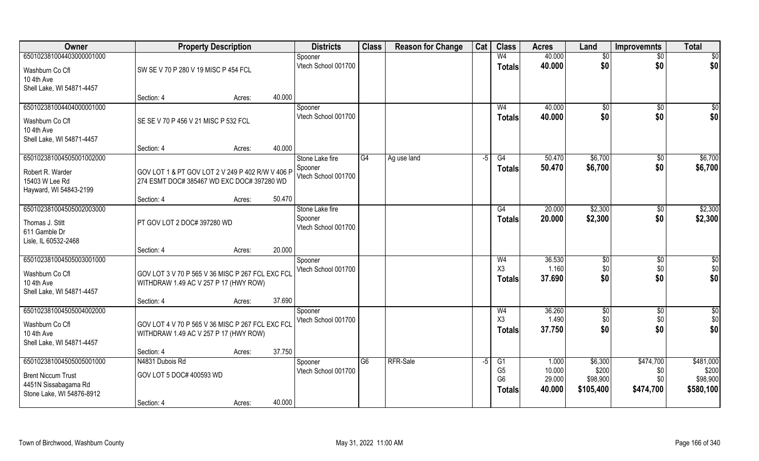| Owner                                 | <b>Property Description</b>                                                               |                  | <b>Districts</b>               | <b>Class</b>    | <b>Reason for Change</b> | Cat | <b>Class</b>   | <b>Acres</b> | Land          | <b>Improvemnts</b> | <b>Total</b>    |
|---------------------------------------|-------------------------------------------------------------------------------------------|------------------|--------------------------------|-----------------|--------------------------|-----|----------------|--------------|---------------|--------------------|-----------------|
| 650102381004403000001000              |                                                                                           |                  | Spooner                        |                 |                          |     | W <sub>4</sub> | 40.000       | \$0           | $\overline{50}$    | $\overline{50}$ |
| Washburn Co Cfl                       | SW SE V 70 P 280 V 19 MISC P 454 FCL                                                      |                  | Vtech School 001700            |                 |                          |     | <b>Totals</b>  | 40.000       | \$0           | \$0                | \$0             |
| 10 4th Ave                            |                                                                                           |                  |                                |                 |                          |     |                |              |               |                    |                 |
| Shell Lake, WI 54871-4457             |                                                                                           |                  |                                |                 |                          |     |                |              |               |                    |                 |
|                                       | Section: 4                                                                                | 40.000<br>Acres: |                                |                 |                          |     |                |              |               |                    |                 |
| 650102381004404000001000              |                                                                                           |                  | Spooner                        |                 |                          |     | W <sub>4</sub> | 40.000       | $\sqrt[6]{}$  | $\overline{50}$    | \$0             |
| Washburn Co Cfl                       | SE SE V 70 P 456 V 21 MISC P 532 FCL                                                      |                  | Vtech School 001700            |                 |                          |     | Totals         | 40.000       | \$0           | \$0                | \$0             |
| 10 4th Ave                            |                                                                                           |                  |                                |                 |                          |     |                |              |               |                    |                 |
| Shell Lake, WI 54871-4457             |                                                                                           |                  |                                |                 |                          |     |                |              |               |                    |                 |
|                                       | Section: 4                                                                                | 40.000<br>Acres: |                                |                 |                          |     |                |              |               |                    |                 |
| 650102381004505001002000              |                                                                                           |                  | Stone Lake fire                | G4              | Ag use land              | -5  | G4             | 50.470       | \$6,700       | $\sqrt[6]{30}$     | \$6,700         |
| Robert R. Warder                      | GOV LOT 1 & PT GOV LOT 2 V 249 P 402 R/W V 406 P                                          |                  | Spooner<br>Vtech School 001700 |                 |                          |     | Totals         | 50.470       | \$6,700       | \$0                | \$6,700         |
| 15403 W Lee Rd                        | 274 ESMT DOC# 385467 WD EXC DOC# 397280 WD                                                |                  |                                |                 |                          |     |                |              |               |                    |                 |
| Hayward, WI 54843-2199                |                                                                                           | 50.470           |                                |                 |                          |     |                |              |               |                    |                 |
| 650102381004505002003000              | Section: 4                                                                                | Acres:           | Stone Lake fire                |                 |                          |     | G4             | 20.000       | \$2,300       | \$0                | \$2,300         |
|                                       |                                                                                           |                  | Spooner                        |                 |                          |     | <b>Totals</b>  | 20.000       | \$2,300       | \$0                | \$2,300         |
| Thomas J. Stitt                       | PT GOV LOT 2 DOC# 397280 WD                                                               |                  | Vtech School 001700            |                 |                          |     |                |              |               |                    |                 |
| 611 Gamble Dr<br>Lisle, IL 60532-2468 |                                                                                           |                  |                                |                 |                          |     |                |              |               |                    |                 |
|                                       | Section: 4                                                                                | 20.000<br>Acres: |                                |                 |                          |     |                |              |               |                    |                 |
| 650102381004505003001000              |                                                                                           |                  | Spooner                        |                 |                          |     | W <sub>4</sub> | 36.530       | $\sqrt[6]{3}$ | \$0                | \$0             |
|                                       |                                                                                           |                  | Vtech School 001700            |                 |                          |     | X3             | 1.160        | \$0           | \$0                | \$0             |
| Washburn Co Cfl<br>10 4th Ave         | GOV LOT 3 V 70 P 565 V 36 MISC P 267 FCL EXC FCL<br>WITHDRAW 1.49 AC V 257 P 17 (HWY ROW) |                  |                                |                 |                          |     | Totals         | 37.690       | \$0           | \$0                | \$0             |
| Shell Lake, WI 54871-4457             |                                                                                           |                  |                                |                 |                          |     |                |              |               |                    |                 |
|                                       | Section: 4                                                                                | 37.690<br>Acres: |                                |                 |                          |     |                |              |               |                    |                 |
| 650102381004505004002000              |                                                                                           |                  | Spooner                        |                 |                          |     | W <sub>4</sub> | 36.260       | \$0           | \$0                | $\frac{6}{3}$   |
| Washburn Co Cfl                       | GOV LOT 4 V 70 P 565 V 36 MISC P 267 FCL EXC FCL                                          |                  | Vtech School 001700            |                 |                          |     | X3             | 1.490        | \$0           | \$0                | \$0             |
| 10 4th Ave                            | WITHDRAW 1.49 AC V 257 P 17 (HWY ROW)                                                     |                  |                                |                 |                          |     | <b>Totals</b>  | 37.750       | \$0           | \$0                | \$0             |
| Shell Lake, WI 54871-4457             |                                                                                           |                  |                                |                 |                          |     |                |              |               |                    |                 |
|                                       | Section: 4                                                                                | 37.750<br>Acres: |                                |                 |                          |     |                |              |               |                    |                 |
| 650102381004505005001000              | N4831 Dubois Rd                                                                           |                  | Spooner                        | $\overline{G6}$ | RFR-Sale                 | -5  | G1             | 1.000        | \$6,300       | \$474,700          | \$481,000       |
| <b>Brent Niccum Trust</b>             | GOV LOT 5 DOC# 400593 WD                                                                  |                  | Vtech School 001700            |                 |                          |     | G <sub>5</sub> | 10.000       | \$200         | \$0                | \$200           |
| 4451N Sissabagama Rd                  |                                                                                           |                  |                                |                 |                          |     | G <sub>6</sub> | 29.000       | \$98,900      | \$0                | \$98,900        |
| Stone Lake, WI 54876-8912             |                                                                                           |                  |                                |                 |                          |     | <b>Totals</b>  | 40.000       | \$105,400     | \$474,700          | \$580,100       |
|                                       | Section: 4                                                                                | 40.000<br>Acres: |                                |                 |                          |     |                |              |               |                    |                 |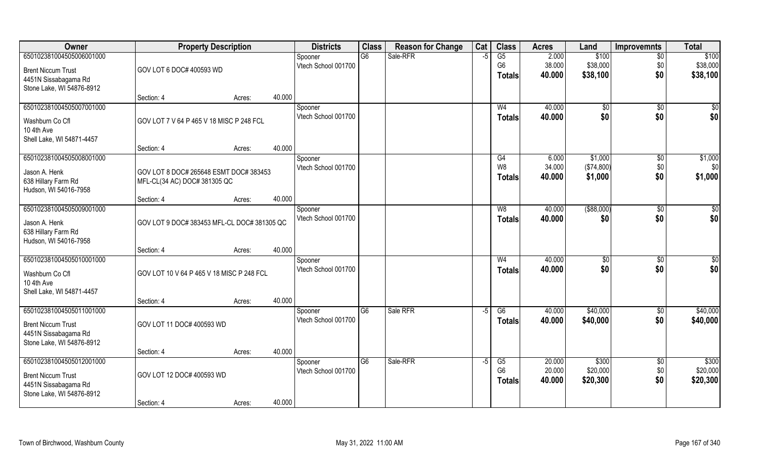| 650102381004505006001000<br>G6<br>Sale-RFR<br>G5<br>2.000<br>\$100<br>$\overline{50}$<br>Spooner<br>$-5$<br>G <sub>6</sub><br>38.000<br>\$38,000<br>Vtech School 001700<br>\$0<br>GOV LOT 6 DOC# 400593 WD<br><b>Brent Niccum Trust</b><br>\$0<br>40.000<br>\$38,100<br><b>Totals</b><br>4451N Sissabagama Rd | \$100<br>\$38,000<br>\$38,100 |
|---------------------------------------------------------------------------------------------------------------------------------------------------------------------------------------------------------------------------------------------------------------------------------------------------------------|-------------------------------|
|                                                                                                                                                                                                                                                                                                               |                               |
|                                                                                                                                                                                                                                                                                                               |                               |
|                                                                                                                                                                                                                                                                                                               |                               |
| Stone Lake, WI 54876-8912                                                                                                                                                                                                                                                                                     |                               |
| 40.000<br>Section: 4<br>Acres:                                                                                                                                                                                                                                                                                |                               |
| 650102381004505007001000<br>40.000<br>W <sub>4</sub><br>\$0<br>\$0<br>Spooner<br>\$0<br>Vtech School 001700<br>40.000<br>\$0                                                                                                                                                                                  | \$0<br>\$0                    |
| <b>Totals</b><br>GOV LOT 7 V 64 P 465 V 18 MISC P 248 FCL<br>Washburn Co Cfl                                                                                                                                                                                                                                  |                               |
| 10 4th Ave<br>Shell Lake, WI 54871-4457                                                                                                                                                                                                                                                                       |                               |
| 40.000<br>Section: 4<br>Acres:                                                                                                                                                                                                                                                                                |                               |
| 650102381004505008001000<br>\$1,000<br>G4<br>6.000<br>$\sqrt[6]{3}$<br>Spooner                                                                                                                                                                                                                                | \$1,000                       |
| W <sub>8</sub><br>Vtech School 001700<br>34.000<br>(\$74,800)<br>\$0<br>GOV LOT 8 DOC# 265648 ESMT DOC# 383453<br>Jason A. Henk                                                                                                                                                                               | \$0                           |
| \$1,000<br>\$0<br>40.000<br><b>Totals</b><br>638 Hillary Farm Rd<br>MFL-CL(34 AC) DOC# 381305 QC                                                                                                                                                                                                              | \$1,000                       |
| Hudson, WI 54016-7958                                                                                                                                                                                                                                                                                         |                               |
| 40.000<br>Section: 4<br>Acres:                                                                                                                                                                                                                                                                                |                               |
| 650102381004505009001000<br>40.000<br>( \$88,000)<br>$\sqrt[6]{3}$<br>W <sub>8</sub><br>Spooner                                                                                                                                                                                                               | \$0                           |
| Vtech School 001700<br>\$0<br>40.000<br>\$0<br><b>Totals</b><br>GOV LOT 9 DOC# 383453 MFL-CL DOC# 381305 QC<br>Jason A. Henk                                                                                                                                                                                  | \$0                           |
| 638 Hillary Farm Rd                                                                                                                                                                                                                                                                                           |                               |
| Hudson, WI 54016-7958<br>40.000                                                                                                                                                                                                                                                                               |                               |
| Section: 4<br>Acres:<br>650102381004505010001000<br>40.000<br>W <sub>4</sub><br>$\sqrt[6]{3}$<br>\$0<br>Spooner                                                                                                                                                                                               | \$0                           |
| Vtech School 001700<br>40.000<br>\$0<br>\$0<br><b>Totals</b>                                                                                                                                                                                                                                                  | \$0                           |
| GOV LOT 10 V 64 P 465 V 18 MISC P 248 FCL<br>Washburn Co Cfl<br>10 4th Ave                                                                                                                                                                                                                                    |                               |
| Shell Lake, WI 54871-4457                                                                                                                                                                                                                                                                                     |                               |
| 40.000<br>Section: 4<br>Acres:                                                                                                                                                                                                                                                                                |                               |
| \$40,000<br>650102381004505011001000<br>G <sub>6</sub><br>Sale RFR<br>G6<br>40.000<br>$\sqrt{$0}$<br>$-5$<br>Spooner                                                                                                                                                                                          | \$40,000                      |
| \$0<br>Vtech School 001700<br>\$40,000<br>40.000<br><b>Totals</b><br>GOV LOT 11 DOC# 400593 WD<br><b>Brent Niccum Trust</b>                                                                                                                                                                                   | \$40,000                      |
| 4451N Sissabagama Rd                                                                                                                                                                                                                                                                                          |                               |
| Stone Lake, WI 54876-8912                                                                                                                                                                                                                                                                                     |                               |
| 40.000<br>Section: 4<br>Acres:                                                                                                                                                                                                                                                                                |                               |
| 650102381004505012001000<br>Sale-RFR<br>20.000<br>\$300<br>G6<br>G5<br>$\overline{50}$<br>$-5$<br>Spooner<br>G <sub>6</sub><br>\$20,000<br>20.000<br>\$0<br>Vtech School 001700                                                                                                                               | \$300<br>\$20,000             |
| GOV LOT 12 DOC# 400593 WD<br><b>Brent Niccum Trust</b><br>\$0<br>40.000<br>\$20,300<br><b>Totals</b>                                                                                                                                                                                                          | \$20,300                      |
| 4451N Sissabagama Rd                                                                                                                                                                                                                                                                                          |                               |
| Stone Lake, WI 54876-8912<br>40.000<br>Section: 4<br>Acres:                                                                                                                                                                                                                                                   |                               |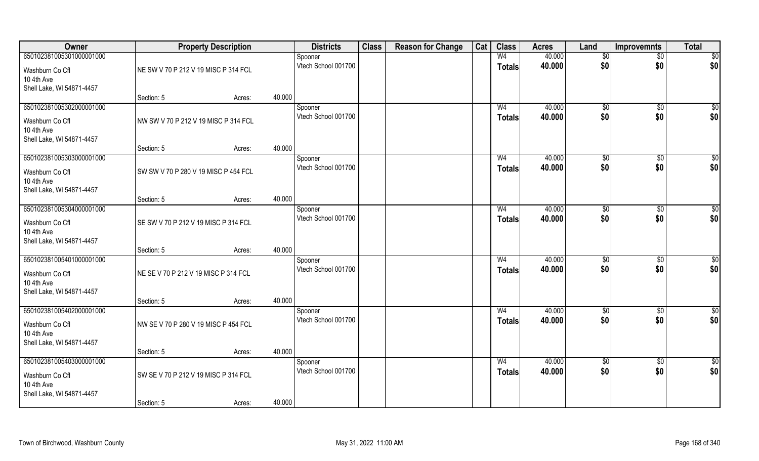| Owner                                                                                  |                                                    | <b>Property Description</b> |        | <b>Districts</b>               | <b>Class</b> | <b>Reason for Change</b> | Cat | <b>Class</b>                    | <b>Acres</b>     | Land                   | <b>Improvemnts</b>     | <b>Total</b>         |
|----------------------------------------------------------------------------------------|----------------------------------------------------|-----------------------------|--------|--------------------------------|--------------|--------------------------|-----|---------------------------------|------------------|------------------------|------------------------|----------------------|
| 650102381005301000001000<br>Washburn Co Cfl<br>10 4th Ave                              | NE SW V 70 P 212 V 19 MISC P 314 FCL               |                             |        | Spooner<br>Vtech School 001700 |              |                          |     | W <sub>4</sub><br><b>Totals</b> | 40.000<br>40.000 | \$0<br>\$0             | $\overline{50}$<br>\$0 | \$0<br>\$0           |
| Shell Lake, WI 54871-4457                                                              | Section: 5                                         | Acres:                      | 40.000 |                                |              |                          |     |                                 |                  |                        |                        |                      |
| 650102381005302000001000<br>Washburn Co Cfl<br>10 4th Ave<br>Shell Lake, WI 54871-4457 | NW SW V 70 P 212 V 19 MISC P 314 FCL               |                             |        | Spooner<br>Vtech School 001700 |              |                          |     | W <sub>4</sub><br><b>Totals</b> | 40.000<br>40.000 | \$0<br>\$0             | $\overline{50}$<br>\$0 | $\sqrt{50}$<br>\$0   |
| 650102381005303000001000                                                               | Section: 5                                         | Acres:                      | 40.000 | Spooner                        |              |                          |     | W <sub>4</sub>                  | 40.000           | \$0                    | \$0                    | $\overline{50}$      |
| Washburn Co Cfl<br>10 4th Ave<br>Shell Lake, WI 54871-4457                             | SW SW V 70 P 280 V 19 MISC P 454 FCL               |                             |        | Vtech School 001700            |              |                          |     | <b>Totals</b>                   | 40.000           | \$0                    | \$0                    | \$0                  |
|                                                                                        | Section: 5                                         | Acres:                      | 40.000 |                                |              |                          |     |                                 |                  |                        |                        |                      |
| 650102381005304000001000<br>Washburn Co Cfl<br>10 4th Ave<br>Shell Lake, WI 54871-4457 | SE SW V 70 P 212 V 19 MISC P 314 FCL               |                             |        | Spooner<br>Vtech School 001700 |              |                          |     | W <sub>4</sub><br><b>Totals</b> | 40.000<br>40.000 | $\sqrt[6]{3}$<br>\$0   | $\sqrt[6]{3}$<br>\$0   | \$<br>\$0            |
|                                                                                        | Section: 5                                         | Acres:                      | 40.000 |                                |              |                          |     |                                 |                  |                        |                        |                      |
| 650102381005401000001000<br>Washburn Co Cfl<br>10 4th Ave<br>Shell Lake, WI 54871-4457 | NE SE V 70 P 212 V 19 MISC P 314 FCL               |                             |        | Spooner<br>Vtech School 001700 |              |                          |     | W <sub>4</sub><br><b>Totals</b> | 40.000<br>40.000 | $\sqrt[6]{3}$<br>\$0   | $\sqrt[6]{3}$<br>\$0   | \$<br>\$0            |
|                                                                                        | Section: 5                                         | Acres:                      | 40.000 |                                |              |                          |     | W <sub>4</sub>                  |                  |                        |                        |                      |
| 650102381005402000001000<br>Washburn Co Cfl<br>10 4th Ave<br>Shell Lake, WI 54871-4457 | NW SE V 70 P 280 V 19 MISC P 454 FCL               |                             |        | Spooner<br>Vtech School 001700 |              |                          |     | <b>Totals</b>                   | 40.000<br>40.000 | \$0<br>\$0             | \$0<br>\$0             | $\frac{6}{3}$<br>\$0 |
|                                                                                        | Section: 5                                         | Acres:                      | 40.000 |                                |              |                          |     |                                 |                  |                        |                        |                      |
| 650102381005403000001000<br>Washburn Co Cfl<br>10 4th Ave<br>Shell Lake, WI 54871-4457 | SW SE V 70 P 212 V 19 MISC P 314 FCL<br>Section: 5 | Acres:                      | 40.000 | Spooner<br>Vtech School 001700 |              |                          |     | W <sub>4</sub><br><b>Totals</b> | 40.000<br>40.000 | $\overline{50}$<br>\$0 | $\overline{50}$<br>\$0 | \$0<br>\$0           |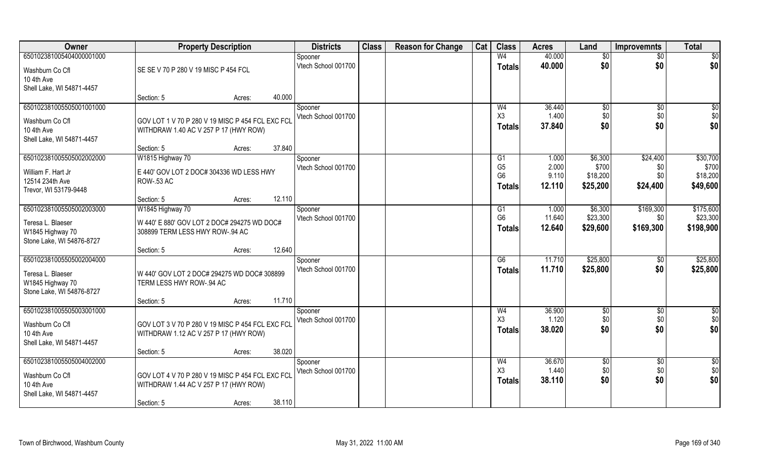| Owner                     | <b>Property Description</b>                      |                  | <b>Districts</b>    | <b>Class</b> | <b>Reason for Change</b> | Cat | <b>Class</b>                     | <b>Acres</b>   | Land              | <b>Improvemnts</b> | <b>Total</b>      |
|---------------------------|--------------------------------------------------|------------------|---------------------|--------------|--------------------------|-----|----------------------------------|----------------|-------------------|--------------------|-------------------|
| 650102381005404000001000  |                                                  |                  | Spooner             |              |                          |     | W <sub>4</sub>                   | 40.000         | \$0               | $\overline{50}$    | $\overline{50}$   |
| Washburn Co Cfl           | SE SE V 70 P 280 V 19 MISC P 454 FCL             |                  | Vtech School 001700 |              |                          |     | <b>Totals</b>                    | 40.000         | \$0               | \$0                | \$0               |
| 10 4th Ave                |                                                  |                  |                     |              |                          |     |                                  |                |                   |                    |                   |
| Shell Lake, WI 54871-4457 |                                                  |                  |                     |              |                          |     |                                  |                |                   |                    |                   |
|                           | Section: 5                                       | Acres:           | 40.000              |              |                          |     |                                  |                |                   |                    |                   |
| 650102381005505001001000  |                                                  |                  | Spooner             |              |                          |     | W <sub>4</sub>                   | 36.440         | \$0               | \$0                | \$0               |
| Washburn Co Cfl           | GOV LOT 1 V 70 P 280 V 19 MISC P 454 FCL EXC FCI |                  | Vtech School 001700 |              |                          |     | X3                               | 1.400          | \$0<br>\$0        | \$0                | \$0<br>\$0        |
| 10 4th Ave                | WITHDRAW 1.40 AC V 257 P 17 (HWY ROW)            |                  |                     |              |                          |     | <b>Totals</b>                    | 37,840         |                   | \$0                |                   |
| Shell Lake, WI 54871-4457 |                                                  |                  |                     |              |                          |     |                                  |                |                   |                    |                   |
|                           | Section: 5                                       | Acres:           | 37.840              |              |                          |     |                                  |                |                   |                    |                   |
| 650102381005505002002000  | W1815 Highway 70                                 |                  | Spooner             |              |                          |     | G <sub>1</sub>                   | 1.000          | \$6,300           | \$24,400           | \$30,700          |
| William F. Hart Jr        | E 440' GOV LOT 2 DOC# 304336 WD LESS HWY         |                  | Vtech School 001700 |              |                          |     | G <sub>5</sub><br>G <sub>6</sub> | 2.000<br>9.110 | \$700<br>\$18,200 | \$0<br>\$0         | \$700<br>\$18,200 |
| 12514 234th Ave           | <b>ROW-.53 AC</b>                                |                  |                     |              |                          |     |                                  | 12.110         | \$25,200          | \$24,400           | \$49,600          |
| Trevor, WI 53179-9448     |                                                  |                  |                     |              |                          |     | Totals                           |                |                   |                    |                   |
|                           | Section: 5                                       | Acres:           | 12.110              |              |                          |     |                                  |                |                   |                    |                   |
| 650102381005505002003000  | W1845 Highway 70                                 |                  | Spooner             |              |                          |     | G <sub>1</sub>                   | 1.000          | \$6,300           | \$169,300          | \$175,600         |
| Teresa L. Blaeser         | W 440' E 880' GOV LOT 2 DOC# 294275 WD DOC#      |                  | Vtech School 001700 |              |                          |     | G <sub>6</sub>                   | 11.640         | \$23,300          | \$0                | \$23,300          |
| W1845 Highway 70          | 308899 TERM LESS HWY ROW-.94 AC                  |                  |                     |              |                          |     | <b>Totals</b>                    | 12.640         | \$29,600          | \$169,300          | \$198,900         |
| Stone Lake, WI 54876-8727 |                                                  |                  |                     |              |                          |     |                                  |                |                   |                    |                   |
|                           | Section: 5                                       | Acres:           | 12.640              |              |                          |     |                                  |                |                   |                    |                   |
| 650102381005505002004000  |                                                  |                  | Spooner             |              |                          |     | G6                               | 11.710         | \$25,800          | \$0                | \$25,800          |
| Teresa L. Blaeser         | W 440' GOV LOT 2 DOC# 294275 WD DOC# 308899      |                  | Vtech School 001700 |              |                          |     | <b>Totals</b>                    | 11.710         | \$25,800          | \$0                | \$25,800          |
| W1845 Highway 70          | TERM LESS HWY ROW-.94 AC                         |                  |                     |              |                          |     |                                  |                |                   |                    |                   |
| Stone Lake, WI 54876-8727 |                                                  |                  |                     |              |                          |     |                                  |                |                   |                    |                   |
|                           | Section: 5                                       | 11.710<br>Acres: |                     |              |                          |     |                                  |                |                   |                    |                   |
| 650102381005505003001000  |                                                  |                  | Spooner             |              |                          |     | W <sub>4</sub>                   | 36.900         | $\sqrt{6}$        | $\overline{50}$    | \$0               |
| Washburn Co Cfl           | GOV LOT 3 V 70 P 280 V 19 MISC P 454 FCL EXC FCL |                  | Vtech School 001700 |              |                          |     | X3                               | 1.120          | \$0               | \$0                | \$0               |
| 10 4th Ave                | WITHDRAW 1.12 AC V 257 P 17 (HWY ROW)            |                  |                     |              |                          |     | <b>Totals</b>                    | 38.020         | \$0               | \$0                | \$0               |
| Shell Lake, WI 54871-4457 |                                                  |                  |                     |              |                          |     |                                  |                |                   |                    |                   |
|                           | Section: 5                                       | Acres:           | 38.020              |              |                          |     |                                  |                |                   |                    |                   |
| 650102381005505004002000  |                                                  |                  | Spooner             |              |                          |     | W <sub>4</sub>                   | 36.670         | \$0               | $\overline{50}$    | $\frac{6}{3}$     |
| Washburn Co Cfl           | GOV LOT 4 V 70 P 280 V 19 MISC P 454 FCL EXC FCL |                  | Vtech School 001700 |              |                          |     | X3                               | 1.440          | \$0               | \$0                | \$0               |
| 10 4th Ave                | WITHDRAW 1.44 AC V 257 P 17 (HWY ROW)            |                  |                     |              |                          |     | <b>Totals</b>                    | 38.110         | \$0               | \$0                | \$0               |
| Shell Lake, WI 54871-4457 |                                                  |                  |                     |              |                          |     |                                  |                |                   |                    |                   |
|                           | Section: 5                                       | Acres:           | 38.110              |              |                          |     |                                  |                |                   |                    |                   |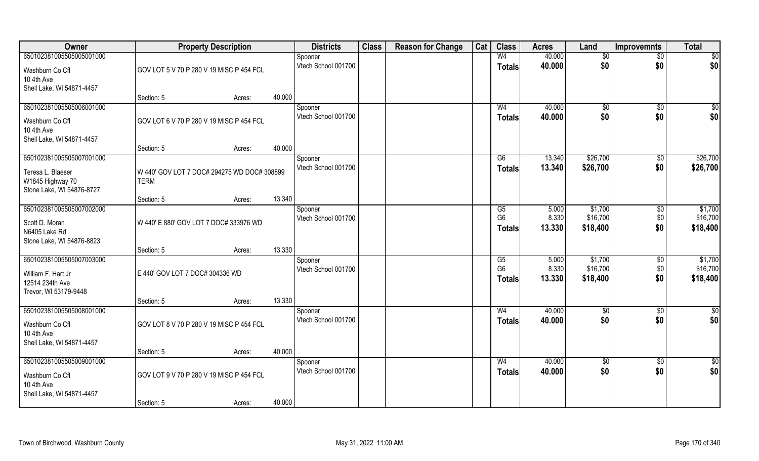| 40.000<br>650102381005505005001000<br>W <sub>4</sub><br>$\overline{50}$<br>$\overline{50}$<br>Spooner<br>\$0<br>\$0<br>Vtech School 001700<br>40.000<br>\$0<br>\$0<br><b>Totals</b><br>GOV LOT 5 V 70 P 280 V 19 MISC P 454 FCL<br>Washburn Co Cfl<br>10 4th Ave<br>Shell Lake, WI 54871-4457<br>40.000<br>Section: 5<br>Acres:<br>650102381005505006001000<br>40.000<br>$\sqrt{50}$<br>W <sub>4</sub><br>$\sqrt[6]{}$<br>$\sqrt{$0}$<br>Spooner<br>\$0<br>Vtech School 001700<br>\$0<br>\$0<br>40.000<br><b>Totals</b><br>GOV LOT 6 V 70 P 280 V 19 MISC P 454 FCL<br>Washburn Co Cfl<br>10 4th Ave<br>Shell Lake, WI 54871-4457<br>40.000<br>Section: 5<br>Acres:<br>\$26,700<br>650102381005505007001000<br>\$26,700<br>G6<br>13.340<br>$\sqrt[6]{3}$<br>Spooner<br>Vtech School 001700<br>\$0<br>13.340<br>\$26,700<br>\$26,700<br><b>Totals</b><br>Teresa L. Blaeser<br>W 440' GOV LOT 7 DOC# 294275 WD DOC# 308899<br>W1845 Highway 70<br><b>TERM</b><br>Stone Lake, WI 54876-8727<br>13.340<br>Section: 5<br>Acres:<br>650102381005505007002000<br>\$1,700<br>\$1,700<br>5.000<br>\$0<br>G5<br>Spooner<br>G <sub>6</sub><br>8.330<br>\$16,700<br>\$16,700<br>\$0<br>Vtech School 001700<br>W 440' E 880' GOV LOT 7 DOC# 333976 WD<br>Scott D. Moran<br>\$0<br>\$18,400<br>\$18,400<br>13.330<br><b>Totals</b><br>N6405 Lake Rd<br>Stone Lake, WI 54876-8823<br>13.330<br>Section: 5<br>Acres:<br>\$1,700<br>5.000<br>\$1,700<br>G5<br>$\sqrt[6]{3}$<br>Spooner<br>G <sub>6</sub><br>\$16,700<br>\$16,700<br>8.330<br>\$0<br>Vtech School 001700<br>E 440' GOV LOT 7 DOC# 304336 WD<br>William F. Hart Jr<br>\$0<br>13.330<br>\$18,400<br>\$18,400<br>Totals<br>12514 234th Ave<br>Trevor, WI 53179-9448<br>13.330<br>Section: 5<br>Acres:<br>650102381005505008001000<br>40.000<br>$\frac{6}{3}$<br>W <sub>4</sub><br>\$0<br>\$0<br>Spooner<br>\$0<br>\$0<br>Vtech School 001700<br>\$0<br>40.000<br><b>Totals</b><br>GOV LOT 8 V 70 P 280 V 19 MISC P 454 FCL<br>Washburn Co Cfl<br>10 4th Ave<br>Shell Lake, WI 54871-4457<br>40.000<br>Section: 5<br>Acres:<br>650102381005505009001000<br>W <sub>4</sub><br>40.000<br>$\overline{50}$<br>$\overline{50}$<br>$\overline{50}$<br>Spooner<br>\$0<br>Vtech School 001700<br>\$0<br>\$0<br>40.000<br><b>Totals</b><br>GOV LOT 9 V 70 P 280 V 19 MISC P 454 FCL<br>Washburn Co Cfl<br>10 4th Ave<br>Shell Lake, WI 54871-4457 | Owner                    |            | <b>Property Description</b> |        | <b>Districts</b> | <b>Class</b> | <b>Reason for Change</b> | Cat | <b>Class</b> | <b>Acres</b> | Land | <b>Improvemnts</b> | <b>Total</b> |
|------------------------------------------------------------------------------------------------------------------------------------------------------------------------------------------------------------------------------------------------------------------------------------------------------------------------------------------------------------------------------------------------------------------------------------------------------------------------------------------------------------------------------------------------------------------------------------------------------------------------------------------------------------------------------------------------------------------------------------------------------------------------------------------------------------------------------------------------------------------------------------------------------------------------------------------------------------------------------------------------------------------------------------------------------------------------------------------------------------------------------------------------------------------------------------------------------------------------------------------------------------------------------------------------------------------------------------------------------------------------------------------------------------------------------------------------------------------------------------------------------------------------------------------------------------------------------------------------------------------------------------------------------------------------------------------------------------------------------------------------------------------------------------------------------------------------------------------------------------------------------------------------------------------------------------------------------------------------------------------------------------------------------------------------------------------------------------------------------------------------------------------------------------------------------------------------------------------------------------------------------------------------------------------------------------------------------------------------------------------------------------|--------------------------|------------|-----------------------------|--------|------------------|--------------|--------------------------|-----|--------------|--------------|------|--------------------|--------------|
|                                                                                                                                                                                                                                                                                                                                                                                                                                                                                                                                                                                                                                                                                                                                                                                                                                                                                                                                                                                                                                                                                                                                                                                                                                                                                                                                                                                                                                                                                                                                                                                                                                                                                                                                                                                                                                                                                                                                                                                                                                                                                                                                                                                                                                                                                                                                                                                    |                          |            |                             |        |                  |              |                          |     |              |              |      |                    |              |
|                                                                                                                                                                                                                                                                                                                                                                                                                                                                                                                                                                                                                                                                                                                                                                                                                                                                                                                                                                                                                                                                                                                                                                                                                                                                                                                                                                                                                                                                                                                                                                                                                                                                                                                                                                                                                                                                                                                                                                                                                                                                                                                                                                                                                                                                                                                                                                                    |                          |            |                             |        |                  |              |                          |     |              |              |      |                    |              |
|                                                                                                                                                                                                                                                                                                                                                                                                                                                                                                                                                                                                                                                                                                                                                                                                                                                                                                                                                                                                                                                                                                                                                                                                                                                                                                                                                                                                                                                                                                                                                                                                                                                                                                                                                                                                                                                                                                                                                                                                                                                                                                                                                                                                                                                                                                                                                                                    |                          |            |                             |        |                  |              |                          |     |              |              |      |                    |              |
|                                                                                                                                                                                                                                                                                                                                                                                                                                                                                                                                                                                                                                                                                                                                                                                                                                                                                                                                                                                                                                                                                                                                                                                                                                                                                                                                                                                                                                                                                                                                                                                                                                                                                                                                                                                                                                                                                                                                                                                                                                                                                                                                                                                                                                                                                                                                                                                    |                          |            |                             |        |                  |              |                          |     |              |              |      |                    |              |
|                                                                                                                                                                                                                                                                                                                                                                                                                                                                                                                                                                                                                                                                                                                                                                                                                                                                                                                                                                                                                                                                                                                                                                                                                                                                                                                                                                                                                                                                                                                                                                                                                                                                                                                                                                                                                                                                                                                                                                                                                                                                                                                                                                                                                                                                                                                                                                                    |                          |            |                             |        |                  |              |                          |     |              |              |      |                    |              |
|                                                                                                                                                                                                                                                                                                                                                                                                                                                                                                                                                                                                                                                                                                                                                                                                                                                                                                                                                                                                                                                                                                                                                                                                                                                                                                                                                                                                                                                                                                                                                                                                                                                                                                                                                                                                                                                                                                                                                                                                                                                                                                                                                                                                                                                                                                                                                                                    |                          |            |                             |        |                  |              |                          |     |              |              |      |                    |              |
|                                                                                                                                                                                                                                                                                                                                                                                                                                                                                                                                                                                                                                                                                                                                                                                                                                                                                                                                                                                                                                                                                                                                                                                                                                                                                                                                                                                                                                                                                                                                                                                                                                                                                                                                                                                                                                                                                                                                                                                                                                                                                                                                                                                                                                                                                                                                                                                    |                          |            |                             |        |                  |              |                          |     |              |              |      |                    |              |
|                                                                                                                                                                                                                                                                                                                                                                                                                                                                                                                                                                                                                                                                                                                                                                                                                                                                                                                                                                                                                                                                                                                                                                                                                                                                                                                                                                                                                                                                                                                                                                                                                                                                                                                                                                                                                                                                                                                                                                                                                                                                                                                                                                                                                                                                                                                                                                                    |                          |            |                             |        |                  |              |                          |     |              |              |      |                    |              |
|                                                                                                                                                                                                                                                                                                                                                                                                                                                                                                                                                                                                                                                                                                                                                                                                                                                                                                                                                                                                                                                                                                                                                                                                                                                                                                                                                                                                                                                                                                                                                                                                                                                                                                                                                                                                                                                                                                                                                                                                                                                                                                                                                                                                                                                                                                                                                                                    |                          |            |                             |        |                  |              |                          |     |              |              |      |                    |              |
|                                                                                                                                                                                                                                                                                                                                                                                                                                                                                                                                                                                                                                                                                                                                                                                                                                                                                                                                                                                                                                                                                                                                                                                                                                                                                                                                                                                                                                                                                                                                                                                                                                                                                                                                                                                                                                                                                                                                                                                                                                                                                                                                                                                                                                                                                                                                                                                    |                          |            |                             |        |                  |              |                          |     |              |              |      |                    |              |
|                                                                                                                                                                                                                                                                                                                                                                                                                                                                                                                                                                                                                                                                                                                                                                                                                                                                                                                                                                                                                                                                                                                                                                                                                                                                                                                                                                                                                                                                                                                                                                                                                                                                                                                                                                                                                                                                                                                                                                                                                                                                                                                                                                                                                                                                                                                                                                                    |                          |            |                             |        |                  |              |                          |     |              |              |      |                    |              |
|                                                                                                                                                                                                                                                                                                                                                                                                                                                                                                                                                                                                                                                                                                                                                                                                                                                                                                                                                                                                                                                                                                                                                                                                                                                                                                                                                                                                                                                                                                                                                                                                                                                                                                                                                                                                                                                                                                                                                                                                                                                                                                                                                                                                                                                                                                                                                                                    |                          |            |                             |        |                  |              |                          |     |              |              |      |                    |              |
|                                                                                                                                                                                                                                                                                                                                                                                                                                                                                                                                                                                                                                                                                                                                                                                                                                                                                                                                                                                                                                                                                                                                                                                                                                                                                                                                                                                                                                                                                                                                                                                                                                                                                                                                                                                                                                                                                                                                                                                                                                                                                                                                                                                                                                                                                                                                                                                    |                          |            |                             |        |                  |              |                          |     |              |              |      |                    |              |
|                                                                                                                                                                                                                                                                                                                                                                                                                                                                                                                                                                                                                                                                                                                                                                                                                                                                                                                                                                                                                                                                                                                                                                                                                                                                                                                                                                                                                                                                                                                                                                                                                                                                                                                                                                                                                                                                                                                                                                                                                                                                                                                                                                                                                                                                                                                                                                                    |                          |            |                             |        |                  |              |                          |     |              |              |      |                    |              |
|                                                                                                                                                                                                                                                                                                                                                                                                                                                                                                                                                                                                                                                                                                                                                                                                                                                                                                                                                                                                                                                                                                                                                                                                                                                                                                                                                                                                                                                                                                                                                                                                                                                                                                                                                                                                                                                                                                                                                                                                                                                                                                                                                                                                                                                                                                                                                                                    |                          |            |                             |        |                  |              |                          |     |              |              |      |                    |              |
|                                                                                                                                                                                                                                                                                                                                                                                                                                                                                                                                                                                                                                                                                                                                                                                                                                                                                                                                                                                                                                                                                                                                                                                                                                                                                                                                                                                                                                                                                                                                                                                                                                                                                                                                                                                                                                                                                                                                                                                                                                                                                                                                                                                                                                                                                                                                                                                    |                          |            |                             |        |                  |              |                          |     |              |              |      |                    |              |
|                                                                                                                                                                                                                                                                                                                                                                                                                                                                                                                                                                                                                                                                                                                                                                                                                                                                                                                                                                                                                                                                                                                                                                                                                                                                                                                                                                                                                                                                                                                                                                                                                                                                                                                                                                                                                                                                                                                                                                                                                                                                                                                                                                                                                                                                                                                                                                                    |                          |            |                             |        |                  |              |                          |     |              |              |      |                    |              |
|                                                                                                                                                                                                                                                                                                                                                                                                                                                                                                                                                                                                                                                                                                                                                                                                                                                                                                                                                                                                                                                                                                                                                                                                                                                                                                                                                                                                                                                                                                                                                                                                                                                                                                                                                                                                                                                                                                                                                                                                                                                                                                                                                                                                                                                                                                                                                                                    |                          |            |                             |        |                  |              |                          |     |              |              |      |                    |              |
|                                                                                                                                                                                                                                                                                                                                                                                                                                                                                                                                                                                                                                                                                                                                                                                                                                                                                                                                                                                                                                                                                                                                                                                                                                                                                                                                                                                                                                                                                                                                                                                                                                                                                                                                                                                                                                                                                                                                                                                                                                                                                                                                                                                                                                                                                                                                                                                    | 650102381005505007003000 |            |                             |        |                  |              |                          |     |              |              |      |                    |              |
|                                                                                                                                                                                                                                                                                                                                                                                                                                                                                                                                                                                                                                                                                                                                                                                                                                                                                                                                                                                                                                                                                                                                                                                                                                                                                                                                                                                                                                                                                                                                                                                                                                                                                                                                                                                                                                                                                                                                                                                                                                                                                                                                                                                                                                                                                                                                                                                    |                          |            |                             |        |                  |              |                          |     |              |              |      |                    |              |
|                                                                                                                                                                                                                                                                                                                                                                                                                                                                                                                                                                                                                                                                                                                                                                                                                                                                                                                                                                                                                                                                                                                                                                                                                                                                                                                                                                                                                                                                                                                                                                                                                                                                                                                                                                                                                                                                                                                                                                                                                                                                                                                                                                                                                                                                                                                                                                                    |                          |            |                             |        |                  |              |                          |     |              |              |      |                    |              |
|                                                                                                                                                                                                                                                                                                                                                                                                                                                                                                                                                                                                                                                                                                                                                                                                                                                                                                                                                                                                                                                                                                                                                                                                                                                                                                                                                                                                                                                                                                                                                                                                                                                                                                                                                                                                                                                                                                                                                                                                                                                                                                                                                                                                                                                                                                                                                                                    |                          |            |                             |        |                  |              |                          |     |              |              |      |                    |              |
|                                                                                                                                                                                                                                                                                                                                                                                                                                                                                                                                                                                                                                                                                                                                                                                                                                                                                                                                                                                                                                                                                                                                                                                                                                                                                                                                                                                                                                                                                                                                                                                                                                                                                                                                                                                                                                                                                                                                                                                                                                                                                                                                                                                                                                                                                                                                                                                    |                          |            |                             |        |                  |              |                          |     |              |              |      |                    |              |
|                                                                                                                                                                                                                                                                                                                                                                                                                                                                                                                                                                                                                                                                                                                                                                                                                                                                                                                                                                                                                                                                                                                                                                                                                                                                                                                                                                                                                                                                                                                                                                                                                                                                                                                                                                                                                                                                                                                                                                                                                                                                                                                                                                                                                                                                                                                                                                                    |                          |            |                             |        |                  |              |                          |     |              |              |      |                    |              |
|                                                                                                                                                                                                                                                                                                                                                                                                                                                                                                                                                                                                                                                                                                                                                                                                                                                                                                                                                                                                                                                                                                                                                                                                                                                                                                                                                                                                                                                                                                                                                                                                                                                                                                                                                                                                                                                                                                                                                                                                                                                                                                                                                                                                                                                                                                                                                                                    |                          |            |                             |        |                  |              |                          |     |              |              |      |                    |              |
|                                                                                                                                                                                                                                                                                                                                                                                                                                                                                                                                                                                                                                                                                                                                                                                                                                                                                                                                                                                                                                                                                                                                                                                                                                                                                                                                                                                                                                                                                                                                                                                                                                                                                                                                                                                                                                                                                                                                                                                                                                                                                                                                                                                                                                                                                                                                                                                    |                          |            |                             |        |                  |              |                          |     |              |              |      |                    |              |
|                                                                                                                                                                                                                                                                                                                                                                                                                                                                                                                                                                                                                                                                                                                                                                                                                                                                                                                                                                                                                                                                                                                                                                                                                                                                                                                                                                                                                                                                                                                                                                                                                                                                                                                                                                                                                                                                                                                                                                                                                                                                                                                                                                                                                                                                                                                                                                                    |                          |            |                             |        |                  |              |                          |     |              |              |      |                    |              |
|                                                                                                                                                                                                                                                                                                                                                                                                                                                                                                                                                                                                                                                                                                                                                                                                                                                                                                                                                                                                                                                                                                                                                                                                                                                                                                                                                                                                                                                                                                                                                                                                                                                                                                                                                                                                                                                                                                                                                                                                                                                                                                                                                                                                                                                                                                                                                                                    |                          |            |                             |        |                  |              |                          |     |              |              |      |                    |              |
|                                                                                                                                                                                                                                                                                                                                                                                                                                                                                                                                                                                                                                                                                                                                                                                                                                                                                                                                                                                                                                                                                                                                                                                                                                                                                                                                                                                                                                                                                                                                                                                                                                                                                                                                                                                                                                                                                                                                                                                                                                                                                                                                                                                                                                                                                                                                                                                    |                          |            |                             |        |                  |              |                          |     |              |              |      |                    |              |
|                                                                                                                                                                                                                                                                                                                                                                                                                                                                                                                                                                                                                                                                                                                                                                                                                                                                                                                                                                                                                                                                                                                                                                                                                                                                                                                                                                                                                                                                                                                                                                                                                                                                                                                                                                                                                                                                                                                                                                                                                                                                                                                                                                                                                                                                                                                                                                                    |                          |            |                             |        |                  |              |                          |     |              |              |      |                    |              |
|                                                                                                                                                                                                                                                                                                                                                                                                                                                                                                                                                                                                                                                                                                                                                                                                                                                                                                                                                                                                                                                                                                                                                                                                                                                                                                                                                                                                                                                                                                                                                                                                                                                                                                                                                                                                                                                                                                                                                                                                                                                                                                                                                                                                                                                                                                                                                                                    |                          |            |                             |        |                  |              |                          |     |              |              |      |                    |              |
| Acres:                                                                                                                                                                                                                                                                                                                                                                                                                                                                                                                                                                                                                                                                                                                                                                                                                                                                                                                                                                                                                                                                                                                                                                                                                                                                                                                                                                                                                                                                                                                                                                                                                                                                                                                                                                                                                                                                                                                                                                                                                                                                                                                                                                                                                                                                                                                                                                             |                          | Section: 5 |                             | 40.000 |                  |              |                          |     |              |              |      |                    |              |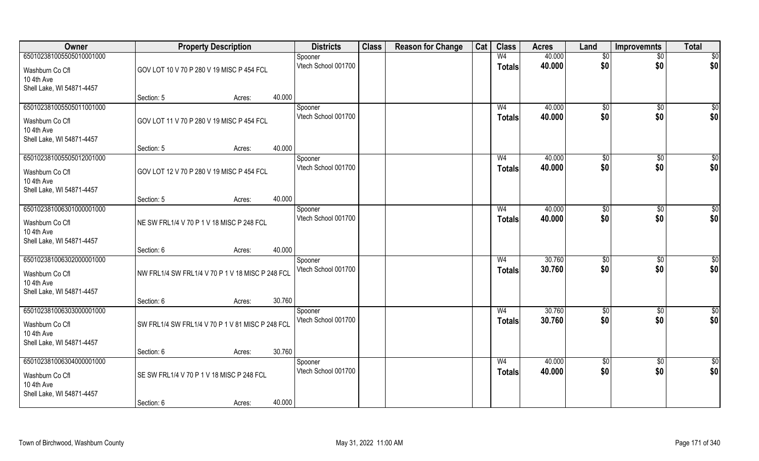| Owner                                                                                  | <b>Property Description</b>                      |        |        | <b>Districts</b>               | <b>Class</b> | <b>Reason for Change</b> | Cat | <b>Class</b>                    | <b>Acres</b>     | Land                 | <b>Improvemnts</b>   | <b>Total</b>    |
|----------------------------------------------------------------------------------------|--------------------------------------------------|--------|--------|--------------------------------|--------------|--------------------------|-----|---------------------------------|------------------|----------------------|----------------------|-----------------|
| 650102381005505010001000                                                               |                                                  |        |        | Spooner                        |              |                          |     | W <sub>4</sub>                  | 40.000           | \$0                  | $\overline{50}$      | $\overline{50}$ |
| Washburn Co Cfl<br>10 4th Ave                                                          | GOV LOT 10 V 70 P 280 V 19 MISC P 454 FCL        |        |        | Vtech School 001700            |              |                          |     | <b>Totals</b>                   | 40.000           | \$0                  | \$0                  | \$0             |
| Shell Lake, WI 54871-4457                                                              | Section: 5                                       | Acres: | 40.000 |                                |              |                          |     |                                 |                  |                      |                      |                 |
| 650102381005505011001000                                                               |                                                  |        |        | Spooner                        |              |                          |     | W <sub>4</sub>                  | 40.000           | $\sqrt[6]{}$         | $\sqrt{6}$           | \$0             |
| Washburn Co Cfl<br>10 4th Ave                                                          | GOV LOT 11 V 70 P 280 V 19 MISC P 454 FCL        |        |        | Vtech School 001700            |              |                          |     | <b>Totals</b>                   | 40.000           | \$0                  | \$0                  | \$0             |
| Shell Lake, WI 54871-4457                                                              |                                                  |        | 40.000 |                                |              |                          |     |                                 |                  |                      |                      |                 |
| 650102381005505012001000                                                               | Section: 5                                       | Acres: |        | Spooner                        |              |                          |     | W <sub>4</sub>                  | 40.000           | \$0                  | $\sqrt[6]{30}$       | \$0             |
| Washburn Co Cfl<br>10 4th Ave<br>Shell Lake, WI 54871-4457                             | GOV LOT 12 V 70 P 280 V 19 MISC P 454 FCL        |        |        | Vtech School 001700            |              |                          |     | <b>Totals</b>                   | 40.000           | \$0                  | \$0                  | \$0             |
|                                                                                        | Section: 5                                       | Acres: | 40.000 |                                |              |                          |     |                                 |                  |                      |                      |                 |
| 650102381006301000001000                                                               |                                                  |        |        | Spooner                        |              |                          |     | W <sub>4</sub>                  | 40.000           | $\frac{1}{20}$       | $\sqrt[6]{3}$        | \$0             |
| Washburn Co Cfl<br>10 4th Ave<br>Shell Lake, WI 54871-4457                             | NE SW FRL1/4 V 70 P 1 V 18 MISC P 248 FCL        |        |        | Vtech School 001700            |              |                          |     | <b>Totals</b>                   | 40.000           | \$0                  | \$0                  | \$0             |
|                                                                                        | Section: 6                                       | Acres: | 40.000 |                                |              |                          |     |                                 |                  |                      |                      |                 |
| 650102381006302000001000<br>Washburn Co Cfl<br>10 4th Ave<br>Shell Lake, WI 54871-4457 | NW FRL1/4 SW FRL1/4 V 70 P 1 V 18 MISC P 248 FCL |        |        | Spooner<br>Vtech School 001700 |              |                          |     | W <sub>4</sub><br><b>Totals</b> | 30.760<br>30.760 | $\sqrt[6]{3}$<br>\$0 | $\sqrt[6]{3}$<br>\$0 | \$0<br>\$0      |
|                                                                                        | Section: 6                                       | Acres: | 30.760 |                                |              |                          |     |                                 |                  |                      |                      |                 |
| 650102381006303000001000                                                               |                                                  |        |        | Spooner                        |              |                          |     | W <sub>4</sub>                  | 30.760           | \$0                  | \$0                  | $\frac{6}{3}$   |
| Washburn Co Cfl<br>10 4th Ave<br>Shell Lake, WI 54871-4457                             | SW FRL1/4 SW FRL1/4 V 70 P 1 V 81 MISC P 248 FCL |        |        | Vtech School 001700            |              |                          |     | <b>Totals</b>                   | 30.760           | \$0                  | \$0                  | \$0             |
|                                                                                        | Section: 6                                       | Acres: | 30.760 |                                |              |                          |     |                                 |                  |                      |                      |                 |
| 650102381006304000001000                                                               |                                                  |        |        | Spooner                        |              |                          |     | W <sub>4</sub>                  | 40.000           | $\overline{50}$      | $\overline{50}$      | \$0             |
| Washburn Co Cfl<br>10 4th Ave<br>Shell Lake, WI 54871-4457                             | SE SW FRL1/4 V 70 P 1 V 18 MISC P 248 FCL        |        |        | Vtech School 001700            |              |                          |     | <b>Totals</b>                   | 40.000           | \$0                  | \$0                  | \$0             |
|                                                                                        | Section: 6                                       | Acres: | 40.000 |                                |              |                          |     |                                 |                  |                      |                      |                 |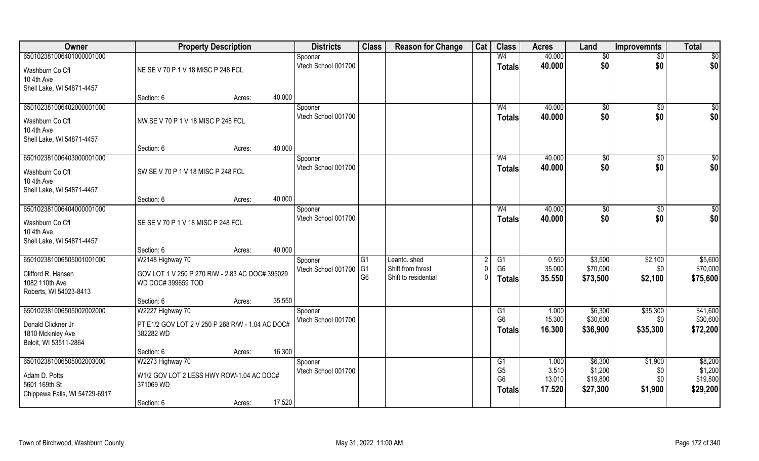| Owner                                   | <b>Property Description</b>                      |        |        | <b>Districts</b>               | <b>Class</b>   | <b>Reason for Change</b> | Cat | <b>Class</b>         | <b>Acres</b>     | Land               | <b>Improvemnts</b> | <b>Total</b>       |
|-----------------------------------------|--------------------------------------------------|--------|--------|--------------------------------|----------------|--------------------------|-----|----------------------|------------------|--------------------|--------------------|--------------------|
| 650102381006401000001000                |                                                  |        |        | Spooner                        |                |                          |     | W <sub>4</sub>       | 40.000           | \$0                | $\sqrt{6}$         | $\sqrt{50}$        |
| Washburn Co Cfl                         | NE SE V 70 P 1 V 18 MISC P 248 FCL               |        |        | Vtech School 001700            |                |                          |     | <b>Totals</b>        | 40.000           | \$0                | \$0                | \$0                |
| 10 4th Ave                              |                                                  |        |        |                                |                |                          |     |                      |                  |                    |                    |                    |
| Shell Lake, WI 54871-4457               |                                                  |        |        |                                |                |                          |     |                      |                  |                    |                    |                    |
|                                         | Section: 6                                       | Acres: | 40.000 |                                |                |                          |     |                      |                  |                    |                    |                    |
| 650102381006402000001000                |                                                  |        |        | Spooner<br>Vtech School 001700 |                |                          |     | W <sub>4</sub>       | 40.000<br>40.000 | \$0<br>\$0         | \$0<br>\$0         | \$0                |
| Washburn Co Cfl                         | NW SE V 70 P 1 V 18 MISC P 248 FCL               |        |        |                                |                |                          |     | Totals               |                  |                    |                    | \$0                |
| 10 4th Ave                              |                                                  |        |        |                                |                |                          |     |                      |                  |                    |                    |                    |
| Shell Lake, WI 54871-4457               |                                                  |        | 40.000 |                                |                |                          |     |                      |                  |                    |                    |                    |
| 650102381006403000001000                | Section: 6                                       | Acres: |        | Spooner                        |                |                          |     | W <sub>4</sub>       | 40.000           | \$0                | \$0                | $\sqrt{50}$        |
|                                         |                                                  |        |        | Vtech School 001700            |                |                          |     | <b>Totals</b>        | 40.000           | \$0                | \$0                | \$0                |
| Washburn Co Cfl                         | SW SE V 70 P 1 V 18 MISC P 248 FCL               |        |        |                                |                |                          |     |                      |                  |                    |                    |                    |
| 10 4th Ave<br>Shell Lake, WI 54871-4457 |                                                  |        |        |                                |                |                          |     |                      |                  |                    |                    |                    |
|                                         | Section: 6                                       | Acres: | 40.000 |                                |                |                          |     |                      |                  |                    |                    |                    |
| 650102381006404000001000                |                                                  |        |        | Spooner                        |                |                          |     | W <sub>4</sub>       | 40.000           | $ $ \$0            | $\sqrt[6]{3}$      | \$0                |
|                                         |                                                  |        |        | Vtech School 001700            |                |                          |     | <b>Totals</b>        | 40.000           | \$0                | \$0                | \$0                |
| Washburn Co Cfl<br>10 4th Ave           | SE SE V 70 P 1 V 18 MISC P 248 FCL               |        |        |                                |                |                          |     |                      |                  |                    |                    |                    |
| Shell Lake, WI 54871-4457               |                                                  |        |        |                                |                |                          |     |                      |                  |                    |                    |                    |
|                                         | Section: 6                                       | Acres: | 40.000 |                                |                |                          |     |                      |                  |                    |                    |                    |
| 650102381006505001001000                | W2148 Highway 70                                 |        |        | Spooner                        | G1             | Leanto. shed             |     | G1                   | 0.550            | \$3,500            | \$2,100            | \$5,600            |
| Clifford R. Hansen                      | GOV LOT 1 V 250 P 270 R/W - 2.83 AC DOC# 395029  |        |        | Vtech School 001700            | G <sub>1</sub> | Shift from forest        |     | G <sub>6</sub>       | 35.000           | \$70,000           | \$0                | \$70,000           |
| 1082 110th Ave                          | WD DOC# 399659 TOD                               |        |        |                                | G <sub>6</sub> | Shift to residential     |     | Totals               | 35.550           | \$73,500           | \$2,100            | \$75,600           |
| Roberts, WI 54023-8413                  |                                                  |        |        |                                |                |                          |     |                      |                  |                    |                    |                    |
|                                         | Section: 6                                       | Acres: | 35.550 |                                |                |                          |     |                      |                  |                    |                    |                    |
| 650102381006505002002000                | W2227 Highway 70                                 |        |        | Spooner                        |                |                          |     | G1                   | 1.000            | \$6,300            | \$35,300           | \$41,600           |
| Donald Clickner Jr                      | PT E1/2 GOV LOT 2 V 250 P 268 R/W - 1.04 AC DOC# |        |        | Vtech School 001700            |                |                          |     | G <sub>6</sub>       | 15.300           | \$30,600           | \$0                | \$30,600           |
| 1810 Mckinley Ave                       | 382282 WD                                        |        |        |                                |                |                          |     | <b>Totals</b>        | 16.300           | \$36,900           | \$35,300           | \$72,200           |
| Beloit, WI 53511-2864                   |                                                  |        |        |                                |                |                          |     |                      |                  |                    |                    |                    |
|                                         | Section: 6                                       | Acres: | 16.300 |                                |                |                          |     |                      |                  |                    |                    |                    |
| 650102381006505002003000                | W2273 Highway 70                                 |        |        | Spooner<br>Vtech School 001700 |                |                          |     | G1<br>G <sub>5</sub> | 1.000<br>3.510   | \$6,300<br>\$1,200 | \$1,900<br>\$0     | \$8,200<br>\$1,200 |
| Adam D. Potts                           | W1/2 GOV LOT 2 LESS HWY ROW-1.04 AC DOC#         |        |        |                                |                |                          |     | G <sub>6</sub>       | 13.010           | \$19,800           | \$0                | \$19,800           |
| 5601 169th St                           | 371069 WD                                        |        |        |                                |                |                          |     | <b>Totals</b>        | 17.520           | \$27,300           | \$1,900            | \$29,200           |
| Chippewa Falls, WI 54729-6917           | Section: 6                                       | Acres: | 17.520 |                                |                |                          |     |                      |                  |                    |                    |                    |
|                                         |                                                  |        |        |                                |                |                          |     |                      |                  |                    |                    |                    |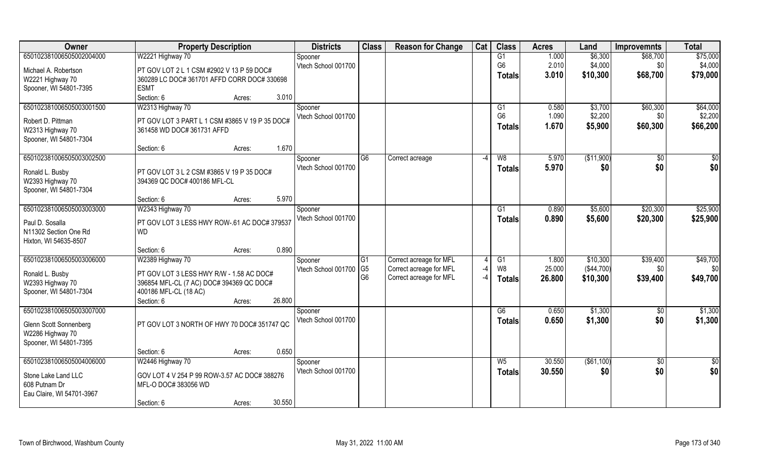| Owner                     | <b>Property Description</b>                    | <b>Districts</b>    | <b>Class</b>   | <b>Reason for Change</b> | Cat  | <b>Class</b>   | <b>Acres</b> | Land        | <b>Improvemnts</b> | <b>Total</b> |
|---------------------------|------------------------------------------------|---------------------|----------------|--------------------------|------|----------------|--------------|-------------|--------------------|--------------|
| 650102381006505002004000  | W2221 Highway 70                               | Spooner             |                |                          |      | G1             | 1.000        | \$6,300     | \$68,700           | \$75,000     |
| Michael A. Robertson      | PT GOV LOT 2 L 1 CSM #2902 V 13 P 59 DOC#      | Vtech School 001700 |                |                          |      | G <sub>6</sub> | 2.010        | \$4,000     | \$0                | \$4,000      |
| W2221 Highway 70          | 360289 LC DOC# 361701 AFFD CORR DOC# 330698    |                     |                |                          |      | <b>Totals</b>  | 3.010        | \$10,300    | \$68,700           | \$79,000     |
| Spooner, WI 54801-7395    | <b>ESMT</b>                                    |                     |                |                          |      |                |              |             |                    |              |
|                           | 3.010<br>Section: 6<br>Acres:                  |                     |                |                          |      |                |              |             |                    |              |
| 650102381006505003001500  | W2313 Highway 70                               | Spooner             |                |                          |      | G1             | 0.580        | \$3,700     | \$60,300           | \$64,000     |
| Robert D. Pittman         | PT GOV LOT 3 PART L 1 CSM #3865 V 19 P 35 DOC# | Vtech School 001700 |                |                          |      | G <sub>6</sub> | 1.090        | \$2,200     | \$0                | \$2,200      |
| W2313 Highway 70          | 361458 WD DOC# 361731 AFFD                     |                     |                |                          |      | <b>Totals</b>  | 1.670        | \$5,900     | \$60,300           | \$66,200     |
| Spooner, WI 54801-7304    |                                                |                     |                |                          |      |                |              |             |                    |              |
|                           | 1.670<br>Section: 6<br>Acres:                  |                     |                |                          |      |                |              |             |                    |              |
| 650102381006505003002500  |                                                | Spooner             | G <sub>6</sub> | Correct acreage          | $-4$ | W8             | 5.970        | (\$11,900)  | $\sqrt{6}$         | \$0          |
| Ronald L. Busby           | PT GOV LOT 3 L 2 CSM #3865 V 19 P 35 DOC#      | Vtech School 001700 |                |                          |      | <b>Totals</b>  | 5.970        | \$0         | \$0                | \$0          |
| W2393 Highway 70          | 394369 QC DOC# 400186 MFL-CL                   |                     |                |                          |      |                |              |             |                    |              |
| Spooner, WI 54801-7304    |                                                |                     |                |                          |      |                |              |             |                    |              |
|                           | 5.970<br>Section: 6<br>Acres:                  |                     |                |                          |      |                |              |             |                    |              |
| 650102381006505003003000  | W2343 Highway 70                               | Spooner             |                |                          |      | G1             | 0.890        | \$5,600     | \$20,300           | \$25,900     |
| Paul D. Sosalla           | PT GOV LOT 3 LESS HWY ROW-.61 AC DOC# 379537   | Vtech School 001700 |                |                          |      | <b>Totals</b>  | 0.890        | \$5,600     | \$20,300           | \$25,900     |
| N11302 Section One Rd     | <b>WD</b>                                      |                     |                |                          |      |                |              |             |                    |              |
| Hixton, WI 54635-8507     |                                                |                     |                |                          |      |                |              |             |                    |              |
|                           | 0.890<br>Section: 6<br>Acres:                  |                     |                |                          |      |                |              |             |                    |              |
| 650102381006505003006000  | W2389 Highway 70                               | Spooner             | G1             | Correct acreage for MFL  |      | G1             | 1.800        | \$10,300    | \$39,400           | \$49,700     |
| Ronald L. Busby           | PT GOV LOT 3 LESS HWY R/W - 1.58 AC DOC#       | Vtech School 001700 | G <sub>5</sub> | Correct acreage for MFL  |      | W <sub>8</sub> | 25.000       | (\$44,700)  | \$0                | \$0          |
| W2393 Highway 70          | 396854 MFL-CL (7 AC) DOC# 394369 QC DOC#       |                     | G <sub>6</sub> | Correct acreage for MFL  | $-4$ | <b>Totals</b>  | 26.800       | \$10,300    | \$39,400           | \$49,700     |
| Spooner, WI 54801-7304    | 400186 MFL-CL (18 AC)                          |                     |                |                          |      |                |              |             |                    |              |
|                           | 26.800<br>Section: 6<br>Acres:                 |                     |                |                          |      |                |              |             |                    |              |
| 650102381006505003007000  |                                                | Spooner             |                |                          |      | G6             | 0.650        | \$1,300     | $\sqrt{$0}$        | \$1,300      |
| Glenn Scott Sonnenberg    | PT GOV LOT 3 NORTH OF HWY 70 DOC# 351747 QC    | Vtech School 001700 |                |                          |      | <b>Totals</b>  | 0.650        | \$1,300     | \$0                | \$1,300      |
| W2286 Highway 70          |                                                |                     |                |                          |      |                |              |             |                    |              |
| Spooner, WI 54801-7395    |                                                |                     |                |                          |      |                |              |             |                    |              |
|                           | 0.650<br>Section: 6<br>Acres:                  |                     |                |                          |      |                |              |             |                    |              |
| 650102381006505004006000  | W2446 Highway 70                               | Spooner             |                |                          |      | $W_5$          | 30.550       | ( \$61,100) | $\overline{50}$    | \$0          |
| Stone Lake Land LLC       | GOV LOT 4 V 254 P 99 ROW-3.57 AC DOC# 388276   | Vtech School 001700 |                |                          |      | Totals         | 30.550       | \$0         | \$0                | \$0          |
| 608 Putnam Dr             | MFL-O DOC# 383056 WD                           |                     |                |                          |      |                |              |             |                    |              |
| Eau Claire, WI 54701-3967 |                                                |                     |                |                          |      |                |              |             |                    |              |
|                           | 30.550<br>Section: 6<br>Acres:                 |                     |                |                          |      |                |              |             |                    |              |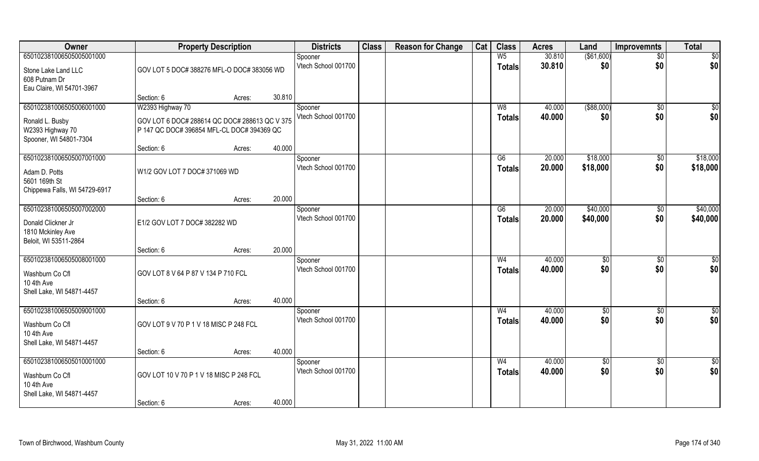| Owner                                                                                  |                                                                                             | <b>Property Description</b> |        | <b>Districts</b>               | <b>Class</b> | <b>Reason for Change</b> | Cat | <b>Class</b>                    | <b>Acres</b>     | Land                   | <b>Improvemnts</b>     | <b>Total</b>           |
|----------------------------------------------------------------------------------------|---------------------------------------------------------------------------------------------|-----------------------------|--------|--------------------------------|--------------|--------------------------|-----|---------------------------------|------------------|------------------------|------------------------|------------------------|
| 650102381006505005001000                                                               |                                                                                             |                             |        | Spooner                        |              |                          |     | W <sub>5</sub>                  | 30.810           | $($ \$61,600)          | $\overline{50}$        | $\overline{50}$        |
| Stone Lake Land LLC<br>608 Putnam Dr<br>Eau Claire, WI 54701-3967                      | GOV LOT 5 DOC# 388276 MFL-O DOC# 383056 WD                                                  |                             |        | Vtech School 001700            |              |                          |     | <b>Totals</b>                   | 30.810           | \$0                    | \$0                    | \$0                    |
|                                                                                        | Section: 6                                                                                  | Acres:                      | 30.810 |                                |              |                          |     |                                 |                  |                        |                        |                        |
| 650102381006505006001000                                                               | W2393 Highway 70                                                                            |                             |        | Spooner                        |              |                          |     | W8                              | 40.000           | ( \$88,000)            | $\sqrt{6}$             | $\sqrt{50}$            |
| Ronald L. Busby<br>W2393 Highway 70<br>Spooner, WI 54801-7304                          | GOV LOT 6 DOC# 288614 QC DOC# 288613 QC V 375<br>P 147 QC DOC# 396854 MFL-CL DOC# 394369 QC |                             |        | Vtech School 001700            |              |                          |     | <b>Totals</b>                   | 40.000           | \$0                    | \$0                    | \$0                    |
|                                                                                        | Section: 6                                                                                  | Acres:                      | 40.000 |                                |              |                          |     |                                 |                  |                        |                        |                        |
| 650102381006505007001000                                                               |                                                                                             |                             |        | Spooner                        |              |                          |     | G6                              | 20.000           | \$18,000               | $\sqrt[6]{3}$          | \$18,000               |
| Adam D. Potts<br>5601 169th St<br>Chippewa Falls, WI 54729-6917                        | W1/2 GOV LOT 7 DOC# 371069 WD                                                               |                             |        | Vtech School 001700            |              |                          |     | <b>Totals</b>                   | 20.000           | \$18,000               | \$0                    | \$18,000               |
|                                                                                        | Section: 6                                                                                  | Acres:                      | 20.000 |                                |              |                          |     |                                 |                  |                        |                        |                        |
| 650102381006505007002000                                                               |                                                                                             |                             |        | Spooner                        |              |                          |     | G6                              | 20.000           | \$40,000               | $\sqrt[6]{3}$          | \$40,000               |
| Donald Clickner Jr<br>1810 Mckinley Ave<br>Beloit, WI 53511-2864                       | E1/2 GOV LOT 7 DOC# 382282 WD                                                               |                             |        | Vtech School 001700            |              |                          |     | <b>Totals</b>                   | 20.000           | \$40,000               | \$0                    | \$40,000               |
|                                                                                        | Section: 6                                                                                  | Acres:                      | 20.000 |                                |              |                          |     |                                 |                  |                        |                        |                        |
| 650102381006505008001000<br>Washburn Co Cfl<br>10 4th Ave<br>Shell Lake, WI 54871-4457 | GOV LOT 8 V 64 P 87 V 134 P 710 FCL                                                         |                             |        | Spooner<br>Vtech School 001700 |              |                          |     | W <sub>4</sub><br><b>Totals</b> | 40.000<br>40.000 | \$0<br>\$0             | $\sqrt[6]{30}$<br>\$0  | \$0<br>\$0             |
|                                                                                        | Section: 6                                                                                  | Acres:                      | 40.000 |                                |              |                          |     |                                 |                  |                        |                        |                        |
| 650102381006505009001000<br>Washburn Co Cfl<br>10 4th Ave<br>Shell Lake, WI 54871-4457 | GOV LOT 9 V 70 P 1 V 18 MISC P 248 FCL                                                      |                             |        | Spooner<br>Vtech School 001700 |              |                          |     | W <sub>4</sub><br><b>Totals</b> | 40.000<br>40.000 | \$0<br>\$0             | \$0<br>\$0             | \$0<br>\$0             |
|                                                                                        | Section: 6                                                                                  | Acres:                      | 40.000 |                                |              |                          |     |                                 |                  |                        |                        |                        |
| 650102381006505010001000<br>Washburn Co Cfl<br>10 4th Ave<br>Shell Lake, WI 54871-4457 | GOV LOT 10 V 70 P 1 V 18 MISC P 248 FCL                                                     |                             |        | Spooner<br>Vtech School 001700 |              |                          |     | W <sub>4</sub><br><b>Totals</b> | 40.000<br>40.000 | $\overline{50}$<br>\$0 | $\overline{50}$<br>\$0 | $\overline{50}$<br>\$0 |
|                                                                                        | Section: 6                                                                                  | Acres:                      | 40.000 |                                |              |                          |     |                                 |                  |                        |                        |                        |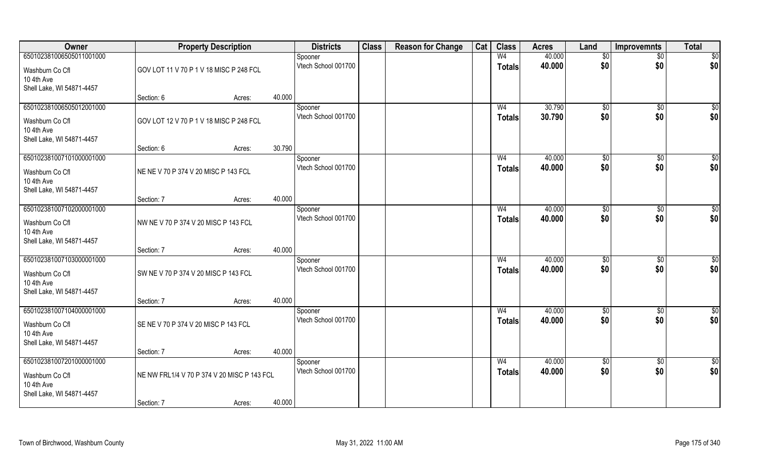| Owner                                                                                  |                                                           | <b>Property Description</b> |        | <b>Districts</b>               | <b>Class</b> | <b>Reason for Change</b> | Cat | <b>Class</b>                    | <b>Acres</b>     | Land                   | <b>Improvemnts</b>     | <b>Total</b>           |
|----------------------------------------------------------------------------------------|-----------------------------------------------------------|-----------------------------|--------|--------------------------------|--------------|--------------------------|-----|---------------------------------|------------------|------------------------|------------------------|------------------------|
| 650102381006505011001000<br>Washburn Co Cfl<br>10 4th Ave                              | GOV LOT 11 V 70 P 1 V 18 MISC P 248 FCL                   |                             |        | Spooner<br>Vtech School 001700 |              |                          |     | W <sub>4</sub><br><b>Totals</b> | 40.000<br>40.000 | $\sqrt[6]{}$<br>\$0    | $\overline{50}$<br>\$0 | \$0<br>\$0             |
| Shell Lake, WI 54871-4457                                                              | Section: 6                                                | Acres:                      | 40.000 |                                |              |                          |     |                                 |                  |                        |                        |                        |
| 650102381006505012001000<br>Washburn Co Cfl<br>10 4th Ave<br>Shell Lake, WI 54871-4457 | GOV LOT 12 V 70 P 1 V 18 MISC P 248 FCL                   |                             |        | Spooner<br>Vtech School 001700 |              |                          |     | W <sub>4</sub><br><b>Totals</b> | 30.790<br>30.790 | \$0<br>\$0             | $\overline{50}$<br>\$0 | $\sqrt{50}$<br>\$0     |
|                                                                                        | Section: 6                                                | Acres:                      | 30.790 |                                |              |                          |     |                                 |                  |                        |                        |                        |
| 650102381007101000001000<br>Washburn Co Cfl<br>10 4th Ave<br>Shell Lake, WI 54871-4457 | NE NE V 70 P 374 V 20 MISC P 143 FCL                      |                             |        | Spooner<br>Vtech School 001700 |              |                          |     | W <sub>4</sub><br><b>Totals</b> | 40.000<br>40.000 | \$0<br>\$0             | \$0<br>\$0             | $\overline{50}$<br>\$0 |
|                                                                                        | Section: 7                                                | Acres:                      | 40.000 |                                |              |                          |     |                                 |                  |                        |                        |                        |
| 650102381007102000001000<br>Washburn Co Cfl<br>10 4th Ave<br>Shell Lake, WI 54871-4457 | NW NE V 70 P 374 V 20 MISC P 143 FCL                      |                             |        | Spooner<br>Vtech School 001700 |              |                          |     | W <sub>4</sub><br><b>Totals</b> | 40.000<br>40.000 | $\sqrt[6]{3}$<br>\$0   | $\sqrt[6]{3}$<br>\$0   | \$<br>\$0              |
|                                                                                        | Section: 7                                                | Acres:                      | 40.000 |                                |              |                          |     |                                 |                  |                        |                        |                        |
| 650102381007103000001000<br>Washburn Co Cfl<br>10 4th Ave<br>Shell Lake, WI 54871-4457 | SW NE V 70 P 374 V 20 MISC P 143 FCL                      |                             |        | Spooner<br>Vtech School 001700 |              |                          |     | W <sub>4</sub><br><b>Totals</b> | 40.000<br>40.000 | $\sqrt[6]{3}$<br>\$0   | $\sqrt[6]{3}$<br>\$0   | \$<br>\$0              |
|                                                                                        | Section: 7                                                | Acres:                      | 40.000 |                                |              |                          |     |                                 |                  |                        |                        |                        |
| 650102381007104000001000<br>Washburn Co Cfl<br>10 4th Ave<br>Shell Lake, WI 54871-4457 | SE NE V 70 P 374 V 20 MISC P 143 FCL                      |                             |        | Spooner<br>Vtech School 001700 |              |                          |     | W <sub>4</sub><br><b>Totals</b> | 40.000<br>40.000 | \$0<br>\$0             | \$0<br>\$0             | $\frac{6}{3}$<br>\$0   |
|                                                                                        | Section: 7                                                | Acres:                      | 40.000 |                                |              |                          |     |                                 |                  |                        |                        |                        |
| 650102381007201000001000<br>Washburn Co Cfl<br>10 4th Ave<br>Shell Lake, WI 54871-4457 | NE NW FRL1/4 V 70 P 374 V 20 MISC P 143 FCL<br>Section: 7 | Acres:                      | 40.000 | Spooner<br>Vtech School 001700 |              |                          |     | W <sub>4</sub><br><b>Totals</b> | 40.000<br>40.000 | $\overline{50}$<br>\$0 | $\overline{50}$<br>\$0 | \$0<br>\$0             |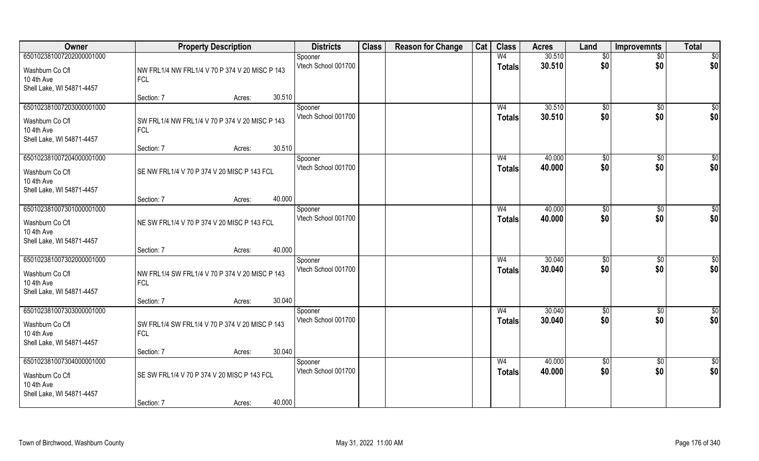| Owner                                                                                  | <b>Property Description</b>                                  |                  | <b>Districts</b>               | <b>Class</b> | <b>Reason for Change</b> | Cat | <b>Class</b>                    | <b>Acres</b>     | Land                   | <b>Improvemnts</b>     | <b>Total</b>         |
|----------------------------------------------------------------------------------------|--------------------------------------------------------------|------------------|--------------------------------|--------------|--------------------------|-----|---------------------------------|------------------|------------------------|------------------------|----------------------|
| 650102381007202000001000                                                               |                                                              |                  | Spooner<br>Vtech School 001700 |              |                          |     | W <sub>4</sub><br><b>Totals</b> | 30.510<br>30.510 | $\overline{50}$<br>\$0 | $\overline{50}$<br>\$0 | \$0<br>\$0           |
| Washburn Co Cfl<br>10 4th Ave<br>Shell Lake, WI 54871-4457                             | NW FRL1/4 NW FRL1/4 V 70 P 374 V 20 MISC P 143<br><b>FCL</b> |                  |                                |              |                          |     |                                 |                  |                        |                        |                      |
|                                                                                        | Section: 7                                                   | 30.510<br>Acres: |                                |              |                          |     |                                 |                  |                        |                        |                      |
| 650102381007203000001000<br>Washburn Co Cfl<br>10 4th Ave                              | SW FRL1/4 NW FRL1/4 V 70 P 374 V 20 MISC P 143<br><b>FCL</b> |                  | Spooner<br>Vtech School 001700 |              |                          |     | W <sub>4</sub><br><b>Totals</b> | 30.510<br>30.510 | \$0<br>\$0             | $\overline{50}$<br>\$0 | $\sqrt{50}$<br>\$0   |
| Shell Lake, WI 54871-4457                                                              | Section: 7                                                   | 30.510<br>Acres: |                                |              |                          |     |                                 |                  |                        |                        |                      |
| 650102381007204000001000                                                               |                                                              |                  | Spooner                        |              |                          |     | W <sub>4</sub>                  | 40.000           | \$0                    | \$0                    | $\overline{50}$      |
| Washburn Co Cfl<br>10 4th Ave<br>Shell Lake, WI 54871-4457                             | SE NW FRL1/4 V 70 P 374 V 20 MISC P 143 FCL                  |                  | Vtech School 001700            |              |                          |     | <b>Totals</b>                   | 40.000           | \$0                    | \$0                    | \$0                  |
|                                                                                        | Section: 7                                                   | 40.000<br>Acres: |                                |              |                          |     |                                 |                  |                        |                        |                      |
| 650102381007301000001000                                                               |                                                              |                  | Spooner                        |              |                          |     | W <sub>4</sub>                  | 40.000           | $\sqrt[6]{3}$          | $\frac{1}{20}$         | \$0                  |
| Washburn Co Cfl<br>10 4th Ave<br>Shell Lake, WI 54871-4457                             | NE SW FRL1/4 V 70 P 374 V 20 MISC P 143 FCL                  |                  | Vtech School 001700            |              |                          |     | Totals                          | 40.000           | \$0                    | \$0                    | \$0                  |
|                                                                                        | Section: 7                                                   | 40.000<br>Acres: |                                |              |                          |     |                                 |                  |                        |                        |                      |
| 650102381007302000001000<br>Washburn Co Cfl<br>10 4th Ave<br>Shell Lake, WI 54871-4457 | NW FRL1/4 SW FRL1/4 V 70 P 374 V 20 MISC P 143<br><b>FCL</b> |                  | Spooner<br>Vtech School 001700 |              |                          |     | W <sub>4</sub><br><b>Totals</b> | 30.040<br>30.040 | $\sqrt[6]{3}$<br>\$0   | \$0<br>\$0             | \$<br>\$0            |
|                                                                                        | Section: 7                                                   | 30.040<br>Acres: |                                |              |                          |     |                                 |                  |                        |                        |                      |
| 650102381007303000001000<br>Washburn Co Cfl<br>10 4th Ave<br>Shell Lake, WI 54871-4457 | SW FRL1/4 SW FRL1/4 V 70 P 374 V 20 MISC P 143<br><b>FCL</b> |                  | Spooner<br>Vtech School 001700 |              |                          |     | W <sub>4</sub><br><b>Totals</b> | 30.040<br>30.040 | \$0<br>\$0             | \$0<br>\$0             | $\frac{6}{3}$<br>\$0 |
|                                                                                        | Section: 7                                                   | 30.040<br>Acres: |                                |              |                          |     |                                 |                  |                        |                        |                      |
| 650102381007304000001000<br>Washburn Co Cfl<br>10 4th Ave<br>Shell Lake, WI 54871-4457 | SE SW FRL1/4 V 70 P 374 V 20 MISC P 143 FCL                  |                  | Spooner<br>Vtech School 001700 |              |                          |     | W <sub>4</sub><br><b>Totals</b> | 40.000<br>40.000 | $\overline{50}$<br>\$0 | $\overline{50}$<br>\$0 | \$0<br>\$0           |
|                                                                                        | Section: 7                                                   | 40.000<br>Acres: |                                |              |                          |     |                                 |                  |                        |                        |                      |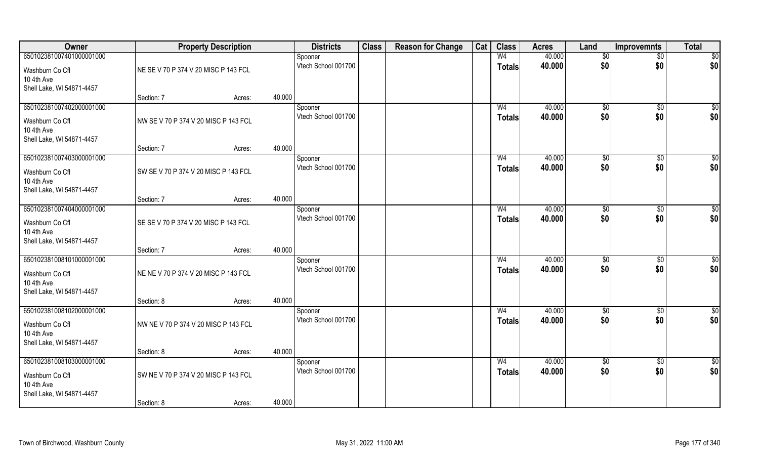| Owner                                   |                                      | <b>Property Description</b> |        | <b>Districts</b>               | <b>Class</b> | <b>Reason for Change</b> | Cat | <b>Class</b>   | <b>Acres</b> | Land                | <b>Improvemnts</b> | <b>Total</b> |
|-----------------------------------------|--------------------------------------|-----------------------------|--------|--------------------------------|--------------|--------------------------|-----|----------------|--------------|---------------------|--------------------|--------------|
| 650102381007401000001000                |                                      |                             |        | Spooner                        |              |                          |     | W <sub>4</sub> | 40.000       | \$0                 | $\sqrt{$0}$        | \$0          |
| Washburn Co Cfl                         | NE SE V 70 P 374 V 20 MISC P 143 FCL |                             |        | Vtech School 001700            |              |                          |     | <b>Totals</b>  | 40.000       | \$0                 | \$0                | \$0          |
| 10 4th Ave                              |                                      |                             |        |                                |              |                          |     |                |              |                     |                    |              |
| Shell Lake, WI 54871-4457               |                                      |                             |        |                                |              |                          |     |                |              |                     |                    |              |
| 650102381007402000001000                | Section: 7                           | Acres:                      | 40.000 |                                |              |                          |     | W <sub>4</sub> | 40.000       |                     |                    |              |
|                                         |                                      |                             |        | Spooner<br>Vtech School 001700 |              |                          |     | Totals         | 40.000       | $\sqrt[6]{}$<br>\$0 | $\sqrt{$0}$<br>\$0 | \$0<br>\$0   |
| Washburn Co Cfl                         | NW SE V 70 P 374 V 20 MISC P 143 FCL |                             |        |                                |              |                          |     |                |              |                     |                    |              |
| 10 4th Ave<br>Shell Lake, WI 54871-4457 |                                      |                             |        |                                |              |                          |     |                |              |                     |                    |              |
|                                         | Section: 7                           | Acres:                      | 40.000 |                                |              |                          |     |                |              |                     |                    |              |
| 650102381007403000001000                |                                      |                             |        | Spooner                        |              |                          |     | W <sub>4</sub> | 40.000       | \$0                 | $\overline{50}$    | $\sqrt{50}$  |
| Washburn Co Cfl                         | SW SE V 70 P 374 V 20 MISC P 143 FCL |                             |        | Vtech School 001700            |              |                          |     | <b>Totals</b>  | 40.000       | \$0                 | \$0                | \$0          |
| 10 4th Ave                              |                                      |                             |        |                                |              |                          |     |                |              |                     |                    |              |
| Shell Lake, WI 54871-4457               |                                      |                             |        |                                |              |                          |     |                |              |                     |                    |              |
|                                         | Section: 7                           | Acres:                      | 40.000 |                                |              |                          |     |                |              |                     |                    |              |
| 650102381007404000001000                |                                      |                             |        | Spooner                        |              |                          |     | W <sub>4</sub> | 40.000       | $\frac{1}{20}$      | \$0                | \$0          |
| Washburn Co Cfl                         | SE SE V 70 P 374 V 20 MISC P 143 FCL |                             |        | Vtech School 001700            |              |                          |     | <b>Totals</b>  | 40.000       | \$0                 | \$0                | \$0          |
| 10 4th Ave                              |                                      |                             |        |                                |              |                          |     |                |              |                     |                    |              |
| Shell Lake, WI 54871-4457               | Section: 7                           | Acres:                      | 40.000 |                                |              |                          |     |                |              |                     |                    |              |
| 650102381008101000001000                |                                      |                             |        | Spooner                        |              |                          |     | W <sub>4</sub> | 40.000       | \$0                 | $\overline{50}$    | $\sqrt{50}$  |
| Washburn Co Cfl                         | NE NE V 70 P 374 V 20 MISC P 143 FCL |                             |        | Vtech School 001700            |              |                          |     | <b>Totals</b>  | 40.000       | \$0                 | \$0                | \$0          |
| 10 4th Ave                              |                                      |                             |        |                                |              |                          |     |                |              |                     |                    |              |
| Shell Lake, WI 54871-4457               |                                      |                             |        |                                |              |                          |     |                |              |                     |                    |              |
|                                         | Section: 8                           | Acres:                      | 40.000 |                                |              |                          |     |                |              |                     |                    |              |
| 650102381008102000001000                |                                      |                             |        | Spooner                        |              |                          |     | W <sub>4</sub> | 40.000       | \$0                 | $\sqrt{$0}$        | \$0          |
| Washburn Co Cfl                         | NW NE V 70 P 374 V 20 MISC P 143 FCL |                             |        | Vtech School 001700            |              |                          |     | <b>Totals</b>  | 40.000       | \$0                 | \$0                | \$0          |
| 10 4th Ave                              |                                      |                             |        |                                |              |                          |     |                |              |                     |                    |              |
| Shell Lake, WI 54871-4457               |                                      |                             |        |                                |              |                          |     |                |              |                     |                    |              |
| 650102381008103000001000                | Section: 8                           | Acres:                      | 40.000 | Spooner                        |              |                          |     | W <sub>4</sub> | 40.000       | $\sqrt{6}$          | $\sqrt{$0}$        | \$0          |
|                                         |                                      |                             |        | Vtech School 001700            |              |                          |     | <b>Totals</b>  | 40.000       | \$0                 | \$0                | \$0          |
| Washburn Co Cfl<br>10 4th Ave           | SW NE V 70 P 374 V 20 MISC P 143 FCL |                             |        |                                |              |                          |     |                |              |                     |                    |              |
| Shell Lake, WI 54871-4457               |                                      |                             |        |                                |              |                          |     |                |              |                     |                    |              |
|                                         | Section: 8                           | Acres:                      | 40.000 |                                |              |                          |     |                |              |                     |                    |              |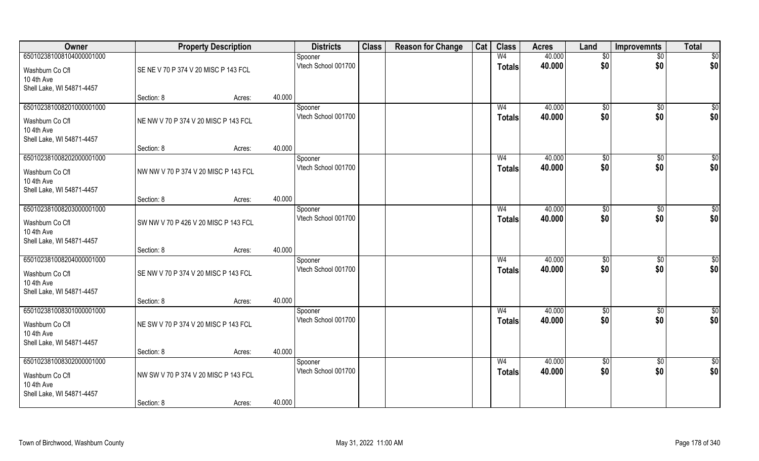| Owner                         |                                      | <b>Property Description</b> |        | <b>Districts</b>               | <b>Class</b> | <b>Reason for Change</b> | Cat | <b>Class</b>   | <b>Acres</b> | Land            | <b>Improvemnts</b>    | <b>Total</b>    |
|-------------------------------|--------------------------------------|-----------------------------|--------|--------------------------------|--------------|--------------------------|-----|----------------|--------------|-----------------|-----------------------|-----------------|
| 650102381008104000001000      |                                      |                             |        | Spooner                        |              |                          |     | W <sub>4</sub> | 40.000       | \$0             | $\overline{50}$       | $\overline{50}$ |
| Washburn Co Cfl<br>10 4th Ave | SE NE V 70 P 374 V 20 MISC P 143 FCL |                             |        | Vtech School 001700            |              |                          |     | <b>Totals</b>  | 40.000       | \$0             | \$0                   | \$0             |
| Shell Lake, WI 54871-4457     |                                      |                             |        |                                |              |                          |     |                |              |                 |                       |                 |
|                               | Section: 8                           | Acres:                      | 40.000 |                                |              |                          |     |                |              |                 |                       |                 |
| 650102381008201000001000      |                                      |                             |        | Spooner                        |              |                          |     | W <sub>4</sub> | 40.000       | $\sqrt[6]{}$    | $\sqrt{$0}$           | $\sqrt{50}$     |
| Washburn Co Cfl               | NE NW V 70 P 374 V 20 MISC P 143 FCL |                             |        | Vtech School 001700            |              |                          |     | <b>Totals</b>  | 40.000       | \$0             | \$0                   | \$0             |
| 10 4th Ave                    |                                      |                             |        |                                |              |                          |     |                |              |                 |                       |                 |
| Shell Lake, WI 54871-4457     |                                      |                             |        |                                |              |                          |     |                |              |                 |                       |                 |
| 650102381008202000001000      | Section: 8                           | Acres:                      | 40.000 |                                |              |                          |     | W <sub>4</sub> | 40.000       |                 |                       | $\sqrt{50}$     |
|                               |                                      |                             |        | Spooner<br>Vtech School 001700 |              |                          |     |                | 40.000       | \$0<br>\$0      | $\sqrt[6]{30}$<br>\$0 | \$0             |
| Washburn Co Cfl               | NW NW V 70 P 374 V 20 MISC P 143 FCL |                             |        |                                |              |                          |     | <b>Totals</b>  |              |                 |                       |                 |
| 10 4th Ave                    |                                      |                             |        |                                |              |                          |     |                |              |                 |                       |                 |
| Shell Lake, WI 54871-4457     | Section: 8                           | Acres:                      | 40.000 |                                |              |                          |     |                |              |                 |                       |                 |
| 650102381008203000001000      |                                      |                             |        | Spooner                        |              |                          |     | W <sub>4</sub> | 40.000       | $\frac{1}{20}$  | $\sqrt[6]{3}$         | \$0             |
|                               |                                      |                             |        | Vtech School 001700            |              |                          |     | <b>Totals</b>  | 40.000       | \$0             | \$0                   | \$0             |
| Washburn Co Cfl<br>10 4th Ave | SW NW V 70 P 426 V 20 MISC P 143 FCL |                             |        |                                |              |                          |     |                |              |                 |                       |                 |
| Shell Lake, WI 54871-4457     |                                      |                             |        |                                |              |                          |     |                |              |                 |                       |                 |
|                               | Section: 8                           | Acres:                      | 40.000 |                                |              |                          |     |                |              |                 |                       |                 |
| 650102381008204000001000      |                                      |                             |        | Spooner                        |              |                          |     | W <sub>4</sub> | 40.000       | \$0             | $\sqrt[6]{3}$         | \$0             |
| Washburn Co Cfl               | SE NW V 70 P 374 V 20 MISC P 143 FCL |                             |        | Vtech School 001700            |              |                          |     | <b>Totals</b>  | 40.000       | \$0             | \$0                   | \$0             |
| 10 4th Ave                    |                                      |                             |        |                                |              |                          |     |                |              |                 |                       |                 |
| Shell Lake, WI 54871-4457     |                                      |                             |        |                                |              |                          |     |                |              |                 |                       |                 |
|                               | Section: 8                           | Acres:                      | 40.000 |                                |              |                          |     |                |              |                 |                       |                 |
| 650102381008301000001000      |                                      |                             |        | Spooner                        |              |                          |     | W <sub>4</sub> | 40.000       | \$0             | \$0                   | \$0             |
| Washburn Co Cfl               | NE SW V 70 P 374 V 20 MISC P 143 FCL |                             |        | Vtech School 001700            |              |                          |     | <b>Totals</b>  | 40.000       | \$0             | \$0                   | \$0             |
| 10 4th Ave                    |                                      |                             |        |                                |              |                          |     |                |              |                 |                       |                 |
| Shell Lake, WI 54871-4457     |                                      |                             |        |                                |              |                          |     |                |              |                 |                       |                 |
|                               | Section: 8                           | Acres:                      | 40.000 |                                |              |                          |     |                |              |                 |                       |                 |
| 650102381008302000001000      |                                      |                             |        | Spooner                        |              |                          |     | W <sub>4</sub> | 40.000       | $\overline{50}$ | $\sqrt{$0}$           | \$0             |
| Washburn Co Cfl               | NW SW V 70 P 374 V 20 MISC P 143 FCL |                             |        | Vtech School 001700            |              |                          |     | <b>Totals</b>  | 40.000       | \$0             | \$0                   | \$0             |
| 10 4th Ave                    |                                      |                             |        |                                |              |                          |     |                |              |                 |                       |                 |
| Shell Lake, WI 54871-4457     |                                      |                             |        |                                |              |                          |     |                |              |                 |                       |                 |
|                               | Section: 8                           | Acres:                      | 40.000 |                                |              |                          |     |                |              |                 |                       |                 |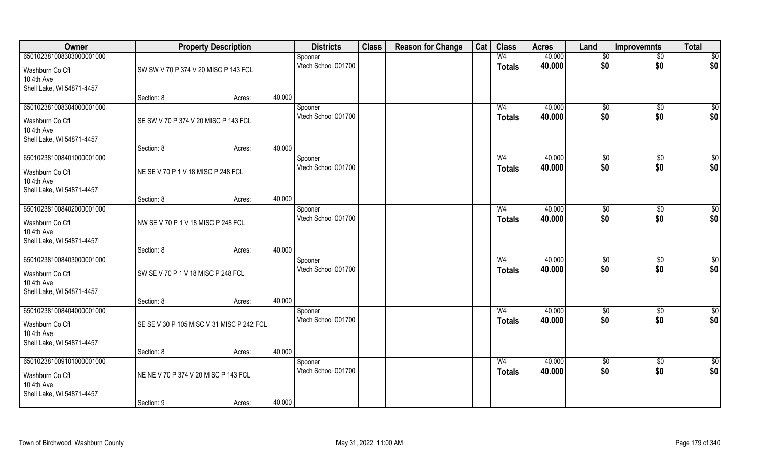| Owner                                                      |                                           | <b>Property Description</b> |        | <b>Districts</b>               | <b>Class</b> | <b>Reason for Change</b> | Cat | <b>Class</b>                    | <b>Acres</b>     | Land                | <b>Improvemnts</b> | <b>Total</b>           |
|------------------------------------------------------------|-------------------------------------------|-----------------------------|--------|--------------------------------|--------------|--------------------------|-----|---------------------------------|------------------|---------------------|--------------------|------------------------|
| 650102381008303000001000                                   |                                           |                             |        | Spooner                        |              |                          |     | W <sub>4</sub>                  | 40.000           | \$0                 | $\overline{50}$    | $\overline{50}$        |
| Washburn Co Cfl<br>10 4th Ave<br>Shell Lake, WI 54871-4457 | SW SW V 70 P 374 V 20 MISC P 143 FCL      |                             |        | Vtech School 001700            |              |                          |     | <b>Totals</b>                   | 40.000           | \$0                 | \$0                | \$0                    |
|                                                            | Section: 8                                | Acres:                      | 40.000 |                                |              |                          |     |                                 |                  |                     |                    |                        |
| 650102381008304000001000<br>Washburn Co Cfl                | SE SW V 70 P 374 V 20 MISC P 143 FCL      |                             |        | Spooner<br>Vtech School 001700 |              |                          |     | W <sub>4</sub><br><b>Totals</b> | 40.000<br>40.000 | $\sqrt[6]{}$<br>\$0 | $\sqrt{50}$<br>\$0 | $\sqrt{50}$<br>\$0     |
| 10 4th Ave<br>Shell Lake, WI 54871-4457                    |                                           |                             | 40.000 |                                |              |                          |     |                                 |                  |                     |                    |                        |
| 650102381008401000001000                                   | Section: 8                                | Acres:                      |        |                                |              |                          |     | W <sub>4</sub>                  | 40.000           |                     |                    | $\sqrt{50}$            |
| Washburn Co Cfl<br>10 4th Ave<br>Shell Lake, WI 54871-4457 | NE SE V 70 P 1 V 18 MISC P 248 FCL        |                             |        | Spooner<br>Vtech School 001700 |              |                          |     | <b>Totals</b>                   | 40.000           | \$0<br>\$0          | \$0<br>\$0         | \$0                    |
|                                                            | Section: 8                                | Acres:                      | 40.000 |                                |              |                          |     |                                 |                  |                     |                    |                        |
| 650102381008402000001000                                   |                                           |                             |        | Spooner                        |              |                          |     | W4                              | 40.000           | $\sqrt[6]{3}$       | $\sqrt[6]{3}$      | \$0                    |
| Washburn Co Cfl<br>10 4th Ave<br>Shell Lake, WI 54871-4457 | NW SE V 70 P 1 V 18 MISC P 248 FCL        |                             |        | Vtech School 001700            |              |                          |     | <b>Totals</b>                   | 40.000           | \$0                 | \$0                | \$0                    |
|                                                            | Section: 8                                | Acres:                      | 40.000 |                                |              |                          |     |                                 |                  |                     |                    |                        |
| 650102381008403000001000<br>Washburn Co Cfl<br>10 4th Ave  | SW SE V 70 P 1 V 18 MISC P 248 FCL        |                             |        | Spooner<br>Vtech School 001700 |              |                          |     | W <sub>4</sub><br><b>Totals</b> | 40.000<br>40.000 | \$0<br>\$0          | \$0<br>\$0         | $\overline{50}$<br>\$0 |
| Shell Lake, WI 54871-4457                                  | Section: 8                                | Acres:                      | 40.000 |                                |              |                          |     |                                 |                  |                     |                    |                        |
| 650102381008404000001000                                   |                                           |                             |        | Spooner                        |              |                          |     | W <sub>4</sub>                  | 40.000           | \$0                 | \$0                | \$0                    |
| Washburn Co Cfl<br>10 4th Ave<br>Shell Lake, WI 54871-4457 | SE SE V 30 P 105 MISC V 31 MISC P 242 FCL |                             |        | Vtech School 001700            |              |                          |     | <b>Totals</b>                   | 40.000           | \$0                 | \$0                | \$0                    |
|                                                            | Section: 8                                | Acres:                      | 40.000 |                                |              |                          |     |                                 |                  |                     |                    |                        |
| 650102381009101000001000                                   |                                           |                             |        | Spooner                        |              |                          |     | W <sub>4</sub>                  | 40.000           | $\overline{50}$     | $\overline{50}$    | \$0                    |
| Washburn Co Cfl<br>10 4th Ave<br>Shell Lake, WI 54871-4457 | NE NE V 70 P 374 V 20 MISC P 143 FCL      |                             |        | Vtech School 001700            |              |                          |     | <b>Totals</b>                   | 40.000           | \$0                 | \$0                | \$0                    |
|                                                            | Section: 9                                | Acres:                      | 40.000 |                                |              |                          |     |                                 |                  |                     |                    |                        |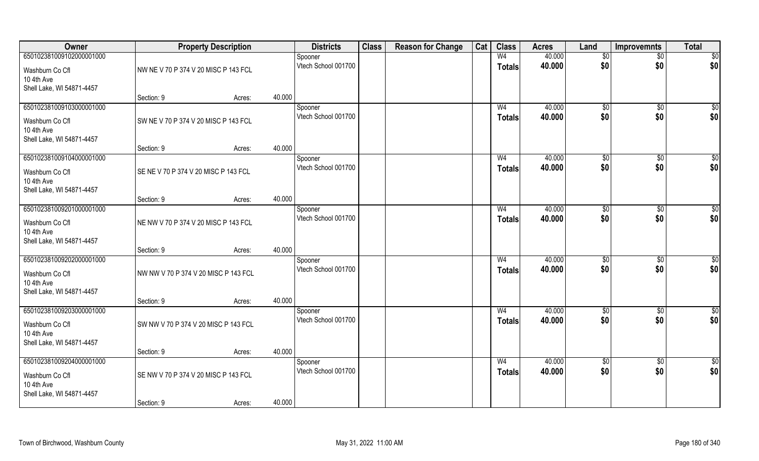| Owner                         |                                      | <b>Property Description</b> |        | <b>Districts</b>    | <b>Class</b> | <b>Reason for Change</b> | Cat | <b>Class</b>   | <b>Acres</b> | Land            | <b>Improvemnts</b> | <b>Total</b>    |
|-------------------------------|--------------------------------------|-----------------------------|--------|---------------------|--------------|--------------------------|-----|----------------|--------------|-----------------|--------------------|-----------------|
| 650102381009102000001000      |                                      |                             |        | Spooner             |              |                          |     | W <sub>4</sub> | 40.000       | $\sqrt[6]{}$    | $\overline{50}$    | \$0             |
| Washburn Co Cfl               | NW NE V 70 P 374 V 20 MISC P 143 FCL |                             |        | Vtech School 001700 |              |                          |     | <b>Totals</b>  | 40.000       | \$0             | \$0                | \$0             |
| 10 4th Ave                    |                                      |                             |        |                     |              |                          |     |                |              |                 |                    |                 |
| Shell Lake, WI 54871-4457     | Section: 9                           |                             | 40.000 |                     |              |                          |     |                |              |                 |                    |                 |
| 650102381009103000001000      |                                      | Acres:                      |        | Spooner             |              |                          |     | W <sub>4</sub> | 40.000       | \$0             | $\overline{50}$    | $\sqrt{50}$     |
|                               |                                      |                             |        | Vtech School 001700 |              |                          |     | <b>Totals</b>  | 40.000       | \$0             | \$0                | \$0             |
| Washburn Co Cfl<br>10 4th Ave | SW NE V 70 P 374 V 20 MISC P 143 FCL |                             |        |                     |              |                          |     |                |              |                 |                    |                 |
| Shell Lake, WI 54871-4457     |                                      |                             |        |                     |              |                          |     |                |              |                 |                    |                 |
|                               | Section: 9                           | Acres:                      | 40.000 |                     |              |                          |     |                |              |                 |                    |                 |
| 650102381009104000001000      |                                      |                             |        | Spooner             |              |                          |     | W <sub>4</sub> | 40.000       | \$0             | \$0                | $\overline{50}$ |
| Washburn Co Cfl               | SE NE V 70 P 374 V 20 MISC P 143 FCL |                             |        | Vtech School 001700 |              |                          |     | <b>Totals</b>  | 40.000       | \$0             | \$0                | \$0             |
| 10 4th Ave                    |                                      |                             |        |                     |              |                          |     |                |              |                 |                    |                 |
| Shell Lake, WI 54871-4457     |                                      |                             |        |                     |              |                          |     |                |              |                 |                    |                 |
| 650102381009201000001000      | Section: 9                           | Acres:                      | 40.000 | Spooner             |              |                          |     | W <sub>4</sub> | 40.000       | $\sqrt[6]{3}$   | $\sqrt[6]{3}$      | \$              |
|                               |                                      |                             |        | Vtech School 001700 |              |                          |     | <b>Totals</b>  | 40.000       | \$0             | \$0                | \$0             |
| Washburn Co Cfl<br>10 4th Ave | NE NW V 70 P 374 V 20 MISC P 143 FCL |                             |        |                     |              |                          |     |                |              |                 |                    |                 |
| Shell Lake, WI 54871-4457     |                                      |                             |        |                     |              |                          |     |                |              |                 |                    |                 |
|                               | Section: 9                           | Acres:                      | 40.000 |                     |              |                          |     |                |              |                 |                    |                 |
| 650102381009202000001000      |                                      |                             |        | Spooner             |              |                          |     | W <sub>4</sub> | 40.000       | $\sqrt[6]{3}$   | $\sqrt[6]{3}$      | \$              |
| Washburn Co Cfl               | NW NW V 70 P 374 V 20 MISC P 143 FCL |                             |        | Vtech School 001700 |              |                          |     | <b>Totals</b>  | 40.000       | \$0             | \$0                | \$0             |
| 10 4th Ave                    |                                      |                             |        |                     |              |                          |     |                |              |                 |                    |                 |
| Shell Lake, WI 54871-4457     |                                      |                             |        |                     |              |                          |     |                |              |                 |                    |                 |
| 650102381009203000001000      | Section: 9                           | Acres:                      | 40.000 | Spooner             |              |                          |     | W <sub>4</sub> | 40.000       | \$0             | \$0                | $\frac{6}{3}$   |
|                               |                                      |                             |        | Vtech School 001700 |              |                          |     | <b>Totals</b>  | 40.000       | \$0             | \$0                | \$0             |
| Washburn Co Cfl<br>10 4th Ave | SW NW V 70 P 374 V 20 MISC P 143 FCL |                             |        |                     |              |                          |     |                |              |                 |                    |                 |
| Shell Lake, WI 54871-4457     |                                      |                             |        |                     |              |                          |     |                |              |                 |                    |                 |
|                               | Section: 9                           | Acres:                      | 40.000 |                     |              |                          |     |                |              |                 |                    |                 |
| 650102381009204000001000      |                                      |                             |        | Spooner             |              |                          |     | W <sub>4</sub> | 40.000       | $\overline{50}$ | $\overline{50}$    | \$0             |
| Washburn Co Cfl               | SE NW V 70 P 374 V 20 MISC P 143 FCL |                             |        | Vtech School 001700 |              |                          |     | <b>Totals</b>  | 40.000       | \$0             | \$0                | \$0             |
| 10 4th Ave                    |                                      |                             |        |                     |              |                          |     |                |              |                 |                    |                 |
| Shell Lake, WI 54871-4457     |                                      |                             |        |                     |              |                          |     |                |              |                 |                    |                 |
|                               | Section: 9                           | Acres:                      | 40.000 |                     |              |                          |     |                |              |                 |                    |                 |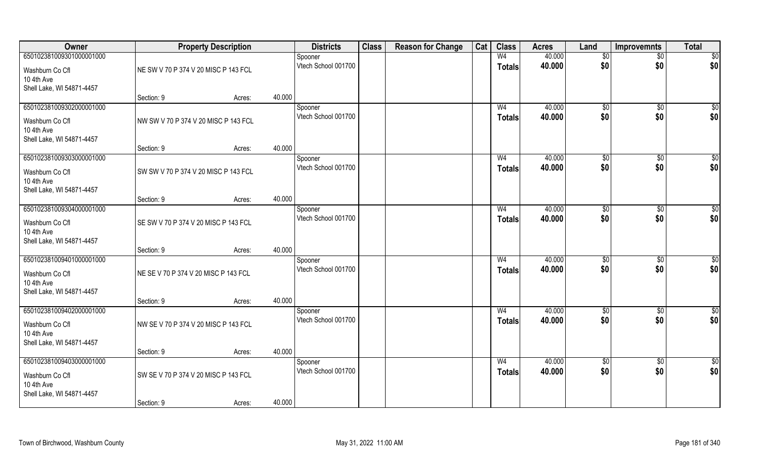| Owner                                                                                  |                                      | <b>Property Description</b> |        | <b>Districts</b>               | <b>Class</b> | <b>Reason for Change</b> | Cat | <b>Class</b>                    | <b>Acres</b>     | Land                   | <b>Improvemnts</b>    | <b>Total</b>         |
|----------------------------------------------------------------------------------------|--------------------------------------|-----------------------------|--------|--------------------------------|--------------|--------------------------|-----|---------------------------------|------------------|------------------------|-----------------------|----------------------|
| 650102381009301000001000                                                               |                                      |                             |        | Spooner                        |              |                          |     | W <sub>4</sub>                  | 40.000           | \$0                    | $\overline{50}$       | $\overline{50}$      |
| Washburn Co Cfl<br>10 4th Ave                                                          | NE SW V 70 P 374 V 20 MISC P 143 FCL |                             |        | Vtech School 001700            |              |                          |     | <b>Totals</b>                   | 40.000           | \$0                    | \$0                   | \$0                  |
| Shell Lake, WI 54871-4457                                                              | Section: 9                           | Acres:                      | 40.000 |                                |              |                          |     |                                 |                  |                        |                       |                      |
| 650102381009302000001000<br>Washburn Co Cfl                                            | NW SW V 70 P 374 V 20 MISC P 143 FCL |                             |        | Spooner<br>Vtech School 001700 |              |                          |     | W <sub>4</sub><br><b>Totals</b> | 40.000<br>40.000 | $\sqrt[6]{}$<br>\$0    | $\sqrt{$0}$<br>\$0    | $\sqrt{50}$<br>\$0   |
| 10 4th Ave<br>Shell Lake, WI 54871-4457                                                |                                      |                             |        |                                |              |                          |     |                                 |                  |                        |                       |                      |
|                                                                                        | Section: 9                           | Acres:                      | 40.000 |                                |              |                          |     |                                 |                  |                        |                       |                      |
| 650102381009303000001000<br>Washburn Co Cfl<br>10 4th Ave<br>Shell Lake, WI 54871-4457 | SW SW V 70 P 374 V 20 MISC P 143 FCL |                             |        | Spooner<br>Vtech School 001700 |              |                          |     | W <sub>4</sub><br><b>Totals</b> | 40.000<br>40.000 | \$0<br>\$0             | $\sqrt[6]{30}$<br>\$0 | \$0<br>\$0           |
|                                                                                        | Section: 9                           | Acres:                      | 40.000 |                                |              |                          |     |                                 |                  |                        |                       |                      |
| 650102381009304000001000                                                               |                                      |                             |        | Spooner                        |              |                          |     | W <sub>4</sub>                  | 40.000           | $\frac{1}{20}$         | $\sqrt[6]{3}$         | \$0                  |
| Washburn Co Cfl<br>10 4th Ave<br>Shell Lake, WI 54871-4457                             | SE SW V 70 P 374 V 20 MISC P 143 FCL |                             |        | Vtech School 001700            |              |                          |     | <b>Totals</b>                   | 40.000           | \$0                    | \$0                   | \$0                  |
|                                                                                        | Section: 9                           | Acres:                      | 40.000 |                                |              |                          |     |                                 |                  |                        |                       |                      |
| 650102381009401000001000<br>Washburn Co Cfl<br>10 4th Ave<br>Shell Lake, WI 54871-4457 | NE SE V 70 P 374 V 20 MISC P 143 FCL |                             |        | Spooner<br>Vtech School 001700 |              |                          |     | W <sub>4</sub><br><b>Totals</b> | 40.000<br>40.000 | \$0<br>\$0             | $\sqrt[6]{3}$<br>\$0  | \$0<br>\$0           |
|                                                                                        | Section: 9                           | Acres:                      | 40.000 |                                |              |                          |     |                                 |                  |                        |                       |                      |
| 650102381009402000001000<br>Washburn Co Cfl<br>10 4th Ave<br>Shell Lake, WI 54871-4457 | NW SE V 70 P 374 V 20 MISC P 143 FCL |                             |        | Spooner<br>Vtech School 001700 |              |                          |     | W <sub>4</sub><br><b>Totals</b> | 40.000<br>40.000 | \$0<br>\$0             | \$0<br>\$0            | $\frac{6}{3}$<br>\$0 |
|                                                                                        | Section: 9                           | Acres:                      | 40.000 |                                |              |                          |     |                                 |                  |                        |                       |                      |
| 650102381009403000001000<br>Washburn Co Cfl                                            | SW SE V 70 P 374 V 20 MISC P 143 FCL |                             |        | Spooner<br>Vtech School 001700 |              |                          |     | W <sub>4</sub><br><b>Totals</b> | 40.000<br>40.000 | $\overline{50}$<br>\$0 | $\sqrt{$0}$<br>\$0    | \$0<br>\$0           |
| 10 4th Ave<br>Shell Lake, WI 54871-4457                                                |                                      |                             |        |                                |              |                          |     |                                 |                  |                        |                       |                      |
|                                                                                        | Section: 9                           | Acres:                      | 40.000 |                                |              |                          |     |                                 |                  |                        |                       |                      |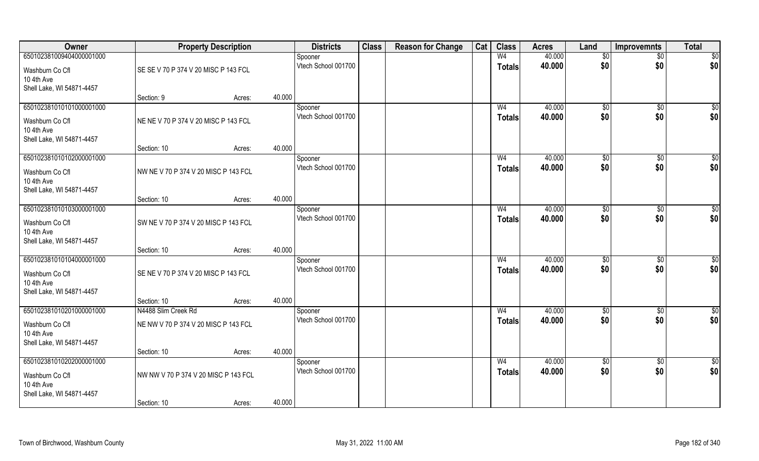| Owner                                                                                  |                                                             | <b>Property Description</b> |        | <b>Districts</b>               | <b>Class</b> | <b>Reason for Change</b> | Cat | <b>Class</b>                    | <b>Acres</b>     | Land                   | Improvemnts           | <b>Total</b>         |
|----------------------------------------------------------------------------------------|-------------------------------------------------------------|-----------------------------|--------|--------------------------------|--------------|--------------------------|-----|---------------------------------|------------------|------------------------|-----------------------|----------------------|
| 650102381009404000001000                                                               |                                                             |                             |        | Spooner                        |              |                          |     | W <sub>4</sub>                  | 40.000           | \$0                    | $\overline{50}$       | $\overline{50}$      |
| Washburn Co Cfl<br>10 4th Ave<br>Shell Lake, WI 54871-4457                             | SE SE V 70 P 374 V 20 MISC P 143 FCL                        |                             |        | Vtech School 001700            |              |                          |     | <b>Totals</b>                   | 40.000           | \$0                    | \$0                   | \$0                  |
|                                                                                        | Section: 9                                                  | Acres:                      | 40.000 |                                |              |                          |     |                                 |                  |                        |                       |                      |
| 650102381010101000001000<br>Washburn Co Cfl<br>10 4th Ave<br>Shell Lake, WI 54871-4457 | NE NE V 70 P 374 V 20 MISC P 143 FCL                        |                             |        | Spooner<br>Vtech School 001700 |              |                          |     | W <sub>4</sub><br><b>Totals</b> | 40.000<br>40.000 | $\sqrt[6]{}$<br>\$0    | $\sqrt{$0}$<br>\$0    | $\sqrt{50}$<br>\$0   |
|                                                                                        | Section: 10                                                 | Acres:                      | 40.000 |                                |              |                          |     |                                 |                  |                        |                       |                      |
| 650102381010102000001000<br>Washburn Co Cfl<br>10 4th Ave<br>Shell Lake, WI 54871-4457 | NW NE V 70 P 374 V 20 MISC P 143 FCL                        |                             |        | Spooner<br>Vtech School 001700 |              |                          |     | W <sub>4</sub><br><b>Totals</b> | 40.000<br>40.000 | \$0<br>\$0             | $\sqrt[6]{30}$<br>\$0 | \$0<br>\$0           |
|                                                                                        | Section: 10                                                 | Acres:                      | 40.000 |                                |              |                          |     |                                 |                  |                        |                       |                      |
| 650102381010103000001000<br>Washburn Co Cfl<br>10 4th Ave                              | SW NE V 70 P 374 V 20 MISC P 143 FCL                        |                             |        | Spooner<br>Vtech School 001700 |              |                          |     | W <sub>4</sub><br><b>Totals</b> | 40.000<br>40.000 | $\frac{1}{20}$<br>\$0  | $\sqrt[6]{3}$<br>\$0  | \$0<br>\$0           |
| Shell Lake, WI 54871-4457                                                              | Section: 10                                                 | Acres:                      | 40.000 |                                |              |                          |     |                                 |                  |                        |                       |                      |
| 650102381010104000001000<br>Washburn Co Cfl<br>10 4th Ave<br>Shell Lake, WI 54871-4457 | SE NE V 70 P 374 V 20 MISC P 143 FCL                        |                             |        | Spooner<br>Vtech School 001700 |              |                          |     | W <sub>4</sub><br><b>Totals</b> | 40.000<br>40.000 | $\sqrt[6]{3}$<br>\$0   | $\sqrt[6]{3}$<br>\$0  | \$0<br>\$0           |
|                                                                                        | Section: 10                                                 | Acres:                      | 40.000 |                                |              |                          |     |                                 |                  |                        |                       |                      |
| 650102381010201000001000<br>Washburn Co Cfl<br>10 4th Ave<br>Shell Lake, WI 54871-4457 | N4488 Slim Creek Rd<br>NE NW V 70 P 374 V 20 MISC P 143 FCL |                             |        | Spooner<br>Vtech School 001700 |              |                          |     | W <sub>4</sub><br><b>Totals</b> | 40.000<br>40.000 | \$0<br>\$0             | \$0<br>\$0            | $\frac{6}{3}$<br>\$0 |
|                                                                                        | Section: 10                                                 | Acres:                      | 40.000 |                                |              |                          |     |                                 |                  |                        |                       |                      |
| 650102381010202000001000<br>Washburn Co Cfl<br>10 4th Ave<br>Shell Lake, WI 54871-4457 | NW NW V 70 P 374 V 20 MISC P 143 FCL<br>Section: 10         | Acres:                      | 40.000 | Spooner<br>Vtech School 001700 |              |                          |     | W <sub>4</sub><br><b>Totals</b> | 40.000<br>40.000 | $\overline{50}$<br>\$0 | $\sqrt{$0}$<br>\$0    | \$0<br>\$0           |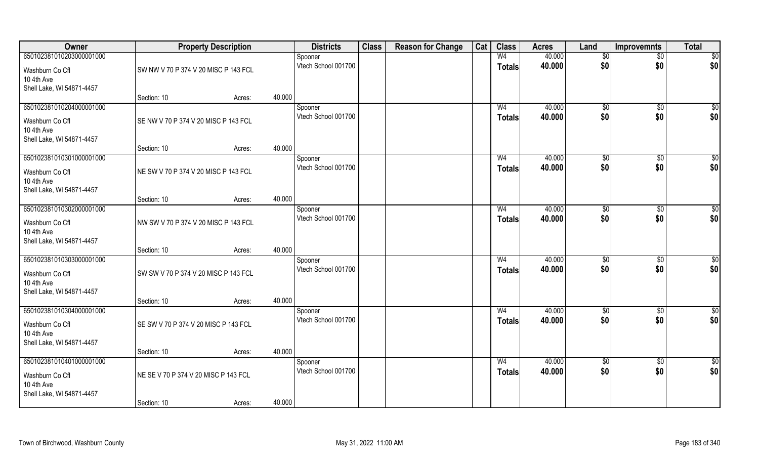| Owner                                   |                                      | <b>Property Description</b> |        | <b>Districts</b>               | <b>Class</b> | <b>Reason for Change</b> | Cat | <b>Class</b>   | <b>Acres</b> | Land                | <b>Improvemnts</b> | <b>Total</b>    |
|-----------------------------------------|--------------------------------------|-----------------------------|--------|--------------------------------|--------------|--------------------------|-----|----------------|--------------|---------------------|--------------------|-----------------|
| 650102381010203000001000                |                                      |                             |        | Spooner                        |              |                          |     | W <sub>4</sub> | 40.000       | \$0                 | $\sqrt{$0}$        | \$0             |
| Washburn Co Cfl                         | SW NW V 70 P 374 V 20 MISC P 143 FCL |                             |        | Vtech School 001700            |              |                          |     | <b>Totals</b>  | 40.000       | \$0                 | \$0                | \$0             |
| 10 4th Ave                              |                                      |                             |        |                                |              |                          |     |                |              |                     |                    |                 |
| Shell Lake, WI 54871-4457               |                                      |                             |        |                                |              |                          |     |                |              |                     |                    |                 |
| 650102381010204000001000                | Section: 10                          | Acres:                      | 40.000 |                                |              |                          |     | W <sub>4</sub> | 40.000       |                     |                    |                 |
|                                         |                                      |                             |        | Spooner<br>Vtech School 001700 |              |                          |     | Totals         | 40.000       | $\sqrt[6]{}$<br>\$0 | $\sqrt{$0}$<br>\$0 | \$0<br>\$0      |
| Washburn Co Cfl                         | SE NW V 70 P 374 V 20 MISC P 143 FCL |                             |        |                                |              |                          |     |                |              |                     |                    |                 |
| 10 4th Ave<br>Shell Lake, WI 54871-4457 |                                      |                             |        |                                |              |                          |     |                |              |                     |                    |                 |
|                                         | Section: 10                          | Acres:                      | 40.000 |                                |              |                          |     |                |              |                     |                    |                 |
| 650102381010301000001000                |                                      |                             |        | Spooner                        |              |                          |     | W <sub>4</sub> | 40.000       | \$0                 | $\overline{50}$    | $\sqrt{50}$     |
| Washburn Co Cfl                         | NE SW V 70 P 374 V 20 MISC P 143 FCL |                             |        | Vtech School 001700            |              |                          |     | <b>Totals</b>  | 40.000       | \$0                 | \$0                | \$0             |
| 10 4th Ave                              |                                      |                             |        |                                |              |                          |     |                |              |                     |                    |                 |
| Shell Lake, WI 54871-4457               |                                      |                             |        |                                |              |                          |     |                |              |                     |                    |                 |
|                                         | Section: 10                          | Acres:                      | 40.000 |                                |              |                          |     |                |              |                     |                    |                 |
| 650102381010302000001000                |                                      |                             |        | Spooner                        |              |                          |     | W <sub>4</sub> | 40.000       | $\frac{1}{20}$      | \$0                | \$0             |
| Washburn Co Cfl                         | NW SW V 70 P 374 V 20 MISC P 143 FCL |                             |        | Vtech School 001700            |              |                          |     | <b>Totals</b>  | 40.000       | \$0                 | \$0                | \$0             |
| 10 4th Ave                              |                                      |                             |        |                                |              |                          |     |                |              |                     |                    |                 |
| Shell Lake, WI 54871-4457               |                                      |                             |        |                                |              |                          |     |                |              |                     |                    |                 |
| 650102381010303000001000                | Section: 10                          | Acres:                      | 40.000 | Spooner                        |              |                          |     | W <sub>4</sub> | 40.000       | \$0                 | $\overline{50}$    | $\sqrt{50}$     |
|                                         |                                      |                             |        | Vtech School 001700            |              |                          |     | <b>Totals</b>  | 40.000       | \$0                 | \$0                | \$0             |
| Washburn Co Cfl                         | SW SW V 70 P 374 V 20 MISC P 143 FCL |                             |        |                                |              |                          |     |                |              |                     |                    |                 |
| 10 4th Ave<br>Shell Lake, WI 54871-4457 |                                      |                             |        |                                |              |                          |     |                |              |                     |                    |                 |
|                                         | Section: 10                          | Acres:                      | 40.000 |                                |              |                          |     |                |              |                     |                    |                 |
| 650102381010304000001000                |                                      |                             |        | Spooner                        |              |                          |     | W <sub>4</sub> | 40.000       | \$0                 | $\sqrt{$0}$        | \$0             |
| Washburn Co Cfl                         | SE SW V 70 P 374 V 20 MISC P 143 FCL |                             |        | Vtech School 001700            |              |                          |     | <b>Totals</b>  | 40.000       | \$0                 | \$0                | \$0             |
| 10 4th Ave                              |                                      |                             |        |                                |              |                          |     |                |              |                     |                    |                 |
| Shell Lake, WI 54871-4457               |                                      |                             |        |                                |              |                          |     |                |              |                     |                    |                 |
|                                         | Section: 10                          | Acres:                      | 40.000 |                                |              |                          |     |                |              |                     |                    |                 |
| 650102381010401000001000                |                                      |                             |        | Spooner                        |              |                          |     | W <sub>4</sub> | 40.000       | $\sqrt{6}$          | $\sqrt{$0}$        | $\overline{50}$ |
| Washburn Co Cfl                         | NE SE V 70 P 374 V 20 MISC P 143 FCL |                             |        | Vtech School 001700            |              |                          |     | <b>Totals</b>  | 40.000       | \$0                 | \$0                | \$0             |
| 10 4th Ave                              |                                      |                             |        |                                |              |                          |     |                |              |                     |                    |                 |
| Shell Lake, WI 54871-4457               |                                      |                             | 40.000 |                                |              |                          |     |                |              |                     |                    |                 |
|                                         | Section: 10                          | Acres:                      |        |                                |              |                          |     |                |              |                     |                    |                 |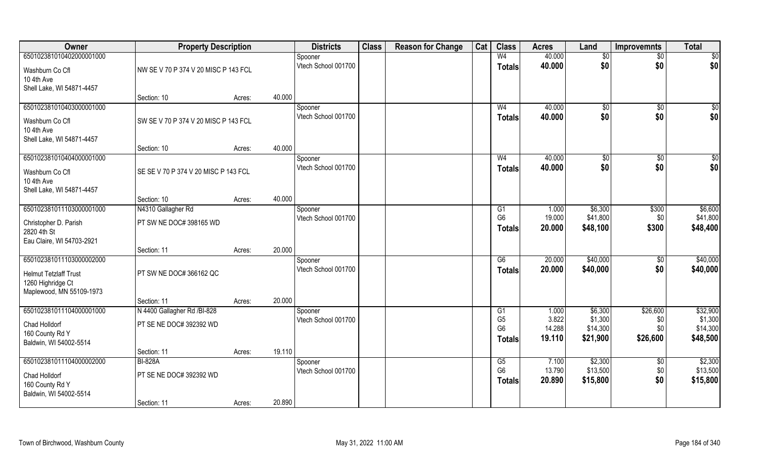| Owner                        | <b>Property Description</b>          |        |        | <b>Districts</b>               | <b>Class</b> | <b>Reason for Change</b> | Cat | <b>Class</b>                     | <b>Acres</b>    | Land                | <b>Improvemnts</b>     | <b>Total</b>        |
|------------------------------|--------------------------------------|--------|--------|--------------------------------|--------------|--------------------------|-----|----------------------------------|-----------------|---------------------|------------------------|---------------------|
| 650102381010402000001000     |                                      |        |        | Spooner                        |              |                          |     | W <sub>4</sub>                   | 40.000          | \$0                 | $\sqrt{$0}$            | $\sqrt{50}$         |
| Washburn Co Cfl              | NW SE V 70 P 374 V 20 MISC P 143 FCL |        |        | Vtech School 001700            |              |                          |     | <b>Totals</b>                    | 40.000          | \$0                 | \$0                    | \$0                 |
| 10 4th Ave                   |                                      |        |        |                                |              |                          |     |                                  |                 |                     |                        |                     |
| Shell Lake, WI 54871-4457    |                                      |        |        |                                |              |                          |     |                                  |                 |                     |                        |                     |
|                              | Section: 10                          | Acres: | 40.000 |                                |              |                          |     |                                  |                 |                     |                        |                     |
| 650102381010403000001000     |                                      |        |        | Spooner                        |              |                          |     | W <sub>4</sub>                   | 40.000          | \$0                 | \$0                    | $\sqrt{50}$         |
| Washburn Co Cfl              | SW SE V 70 P 374 V 20 MISC P 143 FCL |        |        | Vtech School 001700            |              |                          |     | Totals                           | 40.000          | \$0                 | \$0                    | \$0                 |
| 10 4th Ave                   |                                      |        |        |                                |              |                          |     |                                  |                 |                     |                        |                     |
| Shell Lake, WI 54871-4457    |                                      |        |        |                                |              |                          |     |                                  |                 |                     |                        |                     |
|                              | Section: 10                          | Acres: | 40.000 |                                |              |                          |     |                                  |                 |                     |                        |                     |
| 650102381010404000001000     |                                      |        |        | Spooner                        |              |                          |     | W <sub>4</sub>                   | 40.000          | \$0                 | \$0                    | $\sqrt{50}$         |
| Washburn Co Cfl              | SE SE V 70 P 374 V 20 MISC P 143 FCL |        |        | Vtech School 001700            |              |                          |     | <b>Totals</b>                    | 40.000          | \$0                 | \$0                    | \$0                 |
| 10 4th Ave                   |                                      |        |        |                                |              |                          |     |                                  |                 |                     |                        |                     |
| Shell Lake, WI 54871-4457    |                                      |        |        |                                |              |                          |     |                                  |                 |                     |                        |                     |
|                              | Section: 10                          | Acres: | 40.000 |                                |              |                          |     |                                  |                 |                     |                        |                     |
| 650102381011103000001000     | N4310 Gallagher Rd                   |        |        | Spooner                        |              |                          |     | G1                               | 1.000           | \$6,300             | \$300                  | \$6,600             |
| Christopher D. Parish        | PT SW NE DOC# 398165 WD              |        |        | Vtech School 001700            |              |                          |     | G <sub>6</sub>                   | 19.000          | \$41,800            | \$0                    | \$41,800            |
| 2820 4th St                  |                                      |        |        |                                |              |                          |     | <b>Totals</b>                    | 20.000          | \$48,100            | \$300                  | \$48,400            |
| Eau Claire, WI 54703-2921    |                                      |        |        |                                |              |                          |     |                                  |                 |                     |                        |                     |
|                              | Section: 11                          | Acres: | 20.000 |                                |              |                          |     |                                  |                 |                     |                        |                     |
| 650102381011103000002000     |                                      |        |        | Spooner                        |              |                          |     | $\overline{G6}$                  | 20.000          | \$40,000            | \$0                    | \$40,000            |
| <b>Helmut Tetzlaff Trust</b> | PT SW NE DOC# 366162 QC              |        |        | Vtech School 001700            |              |                          |     | <b>Totals</b>                    | 20.000          | \$40,000            | \$0                    | \$40,000            |
| 1260 Highridge Ct            |                                      |        |        |                                |              |                          |     |                                  |                 |                     |                        |                     |
| Maplewood, MN 55109-1973     |                                      |        |        |                                |              |                          |     |                                  |                 |                     |                        |                     |
|                              | Section: 11                          | Acres: | 20.000 |                                |              |                          |     |                                  |                 |                     |                        |                     |
| 650102381011104000001000     | N 4400 Gallagher Rd /BI-828          |        |        | Spooner                        |              |                          |     | G1                               | 1.000           | \$6,300             | \$26,600               | \$32,900            |
| Chad Holldorf                | PT SE NE DOC# 392392 WD              |        |        | Vtech School 001700            |              |                          |     | G <sub>5</sub><br>G <sub>6</sub> | 3.822<br>14.288 | \$1,300<br>\$14,300 | \$0<br>\$0             | \$1,300<br>\$14,300 |
| 160 County Rd Y              |                                      |        |        |                                |              |                          |     | <b>Totals</b>                    | 19.110          | \$21,900            | \$26,600               | \$48,500            |
| Baldwin, WI 54002-5514       |                                      |        |        |                                |              |                          |     |                                  |                 |                     |                        |                     |
|                              | Section: 11                          | Acres: | 19.110 |                                |              |                          |     |                                  |                 |                     |                        |                     |
| 650102381011104000002000     | <b>BI-828A</b>                       |        |        | Spooner<br>Vtech School 001700 |              |                          |     | G5<br>G <sub>6</sub>             | 7.100<br>13.790 | \$2,300<br>\$13,500 | $\overline{50}$<br>\$0 | \$2,300<br>\$13,500 |
| Chad Holldorf                | PT SE NE DOC# 392392 WD              |        |        |                                |              |                          |     |                                  | 20.890          | \$15,800            | \$0                    | \$15,800            |
| 160 County Rd Y              |                                      |        |        |                                |              |                          |     | <b>Totals</b>                    |                 |                     |                        |                     |
| Baldwin, WI 54002-5514       |                                      |        |        |                                |              |                          |     |                                  |                 |                     |                        |                     |
|                              | Section: 11                          | Acres: | 20.890 |                                |              |                          |     |                                  |                 |                     |                        |                     |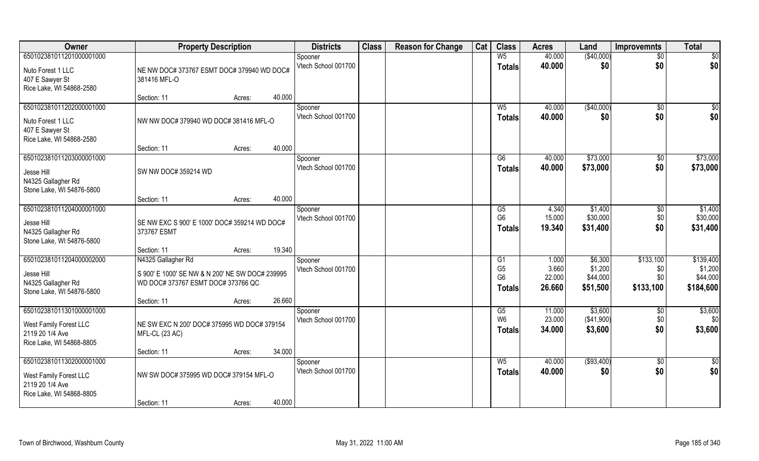| Owner                                                                                             | <b>Property Description</b>                                                                                                |                  | <b>Districts</b>               | <b>Class</b> | <b>Reason for Change</b> | Cat | <b>Class</b>                                            | <b>Acres</b>                       | Land                                       | <b>Improvemnts</b>                   | <b>Total</b>                                  |
|---------------------------------------------------------------------------------------------------|----------------------------------------------------------------------------------------------------------------------------|------------------|--------------------------------|--------------|--------------------------|-----|---------------------------------------------------------|------------------------------------|--------------------------------------------|--------------------------------------|-----------------------------------------------|
| 650102381011201000001000                                                                          |                                                                                                                            |                  | Spooner                        |              |                          |     | W <sub>5</sub>                                          | 40.000                             | (\$40,000)                                 | $\overline{50}$                      | $\overline{50}$                               |
| Nuto Forest 1 LLC<br>407 E Sawyer St<br>Rice Lake, WI 54868-2580                                  | NE NW DOC# 373767 ESMT DOC# 379940 WD DOC#<br>381416 MFL-O                                                                 |                  | Vtech School 001700            |              |                          |     | <b>Totals</b>                                           | 40.000                             | \$0                                        | \$0                                  | \$0                                           |
|                                                                                                   | Section: 11                                                                                                                | 40.000<br>Acres: |                                |              |                          |     |                                                         |                                    |                                            |                                      |                                               |
| 650102381011202000001000<br>Nuto Forest 1 LLC<br>407 E Sawyer St<br>Rice Lake, WI 54868-2580      | NW NW DOC# 379940 WD DOC# 381416 MFL-O                                                                                     |                  | Spooner<br>Vtech School 001700 |              |                          |     | $W_5$<br><b>Totals</b>                                  | 40.000<br>40.000                   | (\$40,000)<br>\$0                          | $\overline{50}$<br>\$0               | $\sqrt{50}$<br>\$0                            |
|                                                                                                   | Section: 11                                                                                                                | 40.000<br>Acres: |                                |              |                          |     |                                                         |                                    |                                            |                                      |                                               |
| 650102381011203000001000<br>Jesse Hill<br>N4325 Gallagher Rd<br>Stone Lake, WI 54876-5800         | SW NW DOC# 359214 WD                                                                                                       |                  | Spooner<br>Vtech School 001700 |              |                          |     | G6<br><b>Totals</b>                                     | 40.000<br>40.000                   | \$73,000<br>\$73,000                       | $\sqrt[6]{3}$<br>\$0                 | \$73,000<br>\$73,000                          |
|                                                                                                   | Section: 11                                                                                                                | 40.000<br>Acres: |                                |              |                          |     |                                                         |                                    |                                            |                                      |                                               |
| 650102381011204000001000<br>Jesse Hill<br>N4325 Gallagher Rd<br>Stone Lake, WI 54876-5800         | SE NW EXC S 900' E 1000' DOC# 359214 WD DOC#<br>373767 ESMT                                                                |                  | Spooner<br>Vtech School 001700 |              |                          |     | G5<br>G <sub>6</sub><br><b>Totals</b>                   | 4.340<br>15.000<br>19.340          | \$1,400<br>\$30,000<br>\$31,400            | \$0<br>\$0<br>\$0                    | \$1,400<br>\$30,000<br>\$31,400               |
|                                                                                                   | Section: 11                                                                                                                | 19.340<br>Acres: |                                |              |                          |     |                                                         |                                    |                                            |                                      |                                               |
| 650102381011204000002000<br>Jesse Hill<br>N4325 Gallagher Rd<br>Stone Lake, WI 54876-5800         | N4325 Gallagher Rd<br>S 900' E 1000' SE NW & N 200' NE SW DOC# 239995<br>WD DOC# 373767 ESMT DOC# 373766 QC<br>Section: 11 | 26.660<br>Acres: | Spooner<br>Vtech School 001700 |              |                          |     | G1<br>G <sub>5</sub><br>G <sub>6</sub><br><b>Totals</b> | 1.000<br>3.660<br>22.000<br>26.660 | \$6,300<br>\$1,200<br>\$44,000<br>\$51,500 | \$133,100<br>\$0<br>\$0<br>\$133,100 | \$139,400<br>\$1,200<br>\$44,000<br>\$184,600 |
| 650102381011301000001000                                                                          |                                                                                                                            |                  | Spooner                        |              |                          |     | G5                                                      | 11.000                             | \$3,600                                    | \$0                                  | \$3,600                                       |
| West Family Forest LLC<br>2119 20 1/4 Ave<br>Rice Lake, WI 54868-8805                             | NE SW EXC N 200' DOC# 375995 WD DOC# 379154<br>MFL-CL (23 AC)                                                              |                  | Vtech School 001700            |              |                          |     | W <sub>6</sub><br><b>Totals</b>                         | 23.000<br>34.000                   | (\$41,900)<br>\$3,600                      | \$0<br>\$0                           | \$0<br>\$3,600                                |
|                                                                                                   | Section: 11                                                                                                                | 34.000<br>Acres: |                                |              |                          |     |                                                         |                                    |                                            |                                      |                                               |
| 650102381011302000001000<br>West Family Forest LLC<br>2119 20 1/4 Ave<br>Rice Lake, WI 54868-8805 | NW SW DOC# 375995 WD DOC# 379154 MFL-O<br>Section: 11                                                                      | 40.000<br>Acres: | Spooner<br>Vtech School 001700 |              |                          |     | $W_5$<br><b>Totals</b>                                  | 40.000<br>40.000                   | ( \$93,400)<br>\$0                         | $\overline{50}$<br>\$0               | $\overline{50}$<br>\$0                        |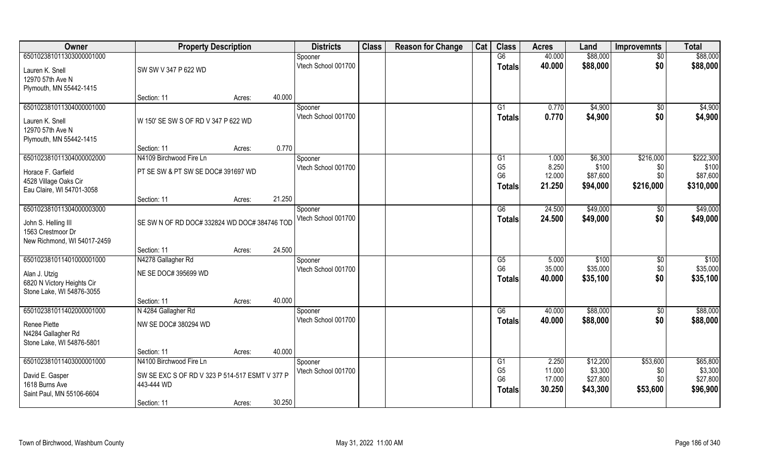| Owner                                              | <b>Property Description</b>                    |        |        | <b>Districts</b>               | <b>Class</b> | <b>Reason for Change</b> | Cat | <b>Class</b>         | <b>Acres</b>     | Land                | <b>Improvemnts</b> | <b>Total</b>        |
|----------------------------------------------------|------------------------------------------------|--------|--------|--------------------------------|--------------|--------------------------|-----|----------------------|------------------|---------------------|--------------------|---------------------|
| 650102381011303000001000                           |                                                |        |        | Spooner                        |              |                          |     | G6                   | 40.000           | \$88,000            | $\overline{50}$    | \$88,000            |
| Lauren K. Snell                                    | SW SW V 347 P 622 WD                           |        |        | Vtech School 001700            |              |                          |     | <b>Totals</b>        | 40.000           | \$88,000            | \$0                | \$88,000            |
| 12970 57th Ave N                                   |                                                |        |        |                                |              |                          |     |                      |                  |                     |                    |                     |
| Plymouth, MN 55442-1415                            |                                                |        |        |                                |              |                          |     |                      |                  |                     |                    |                     |
|                                                    | Section: 11                                    | Acres: | 40.000 |                                |              |                          |     |                      |                  |                     |                    |                     |
| 650102381011304000001000                           |                                                |        |        | Spooner                        |              |                          |     | G1                   | 0.770            | \$4,900             | $\sqrt{6}$         | \$4,900             |
| Lauren K. Snell                                    | W 150' SE SW S OF RD V 347 P 622 WD            |        |        | Vtech School 001700            |              |                          |     | <b>Totals</b>        | 0.770            | \$4,900             | \$0                | \$4,900             |
| 12970 57th Ave N                                   |                                                |        |        |                                |              |                          |     |                      |                  |                     |                    |                     |
| Plymouth, MN 55442-1415                            |                                                |        |        |                                |              |                          |     |                      |                  |                     |                    |                     |
|                                                    | Section: 11                                    | Acres: | 0.770  |                                |              |                          |     |                      |                  |                     |                    |                     |
| 650102381011304000002000                           | N4109 Birchwood Fire Ln                        |        |        | Spooner                        |              |                          |     | G1                   | 1.000            | \$6,300             | \$216,000          | \$222,300           |
|                                                    |                                                |        |        | Vtech School 001700            |              |                          |     | G <sub>5</sub>       | 8.250            | \$100               | \$0                | \$100               |
| Horace F. Garfield                                 | PT SE SW & PT SW SE DOC# 391697 WD             |        |        |                                |              |                          |     | G <sub>6</sub>       | 12.000           | \$87,600            | \$0                | \$87,600            |
| 4528 Village Oaks Cir<br>Eau Claire, WI 54701-3058 |                                                |        |        |                                |              |                          |     | Totals               | 21.250           | \$94,000            | \$216,000          | \$310,000           |
|                                                    | Section: 11                                    | Acres: | 21.250 |                                |              |                          |     |                      |                  |                     |                    |                     |
| 650102381011304000003000                           |                                                |        |        | Spooner                        |              |                          |     | G6                   | 24.500           | \$49,000            | \$0                | \$49,000            |
|                                                    |                                                |        |        | Vtech School 001700            |              |                          |     | <b>Totals</b>        | 24.500           | \$49,000            | \$0                | \$49,000            |
| John S. Helling III                                | SE SW N OF RD DOC# 332824 WD DOC# 384746 TOD   |        |        |                                |              |                          |     |                      |                  |                     |                    |                     |
| 1563 Crestmoor Dr<br>New Richmond, WI 54017-2459   |                                                |        |        |                                |              |                          |     |                      |                  |                     |                    |                     |
|                                                    | Section: 11                                    | Acres: | 24.500 |                                |              |                          |     |                      |                  |                     |                    |                     |
| 650102381011401000001000                           | N4278 Gallagher Rd                             |        |        | Spooner                        |              |                          |     | G5                   | 5.000            | \$100               | $\sqrt[6]{30}$     | \$100               |
|                                                    |                                                |        |        | Vtech School 001700            |              |                          |     | G <sub>6</sub>       | 35.000           | \$35,000            | \$0                | \$35,000            |
| Alan J. Utzig                                      | NE SE DOC# 395699 WD                           |        |        |                                |              |                          |     | <b>Totals</b>        | 40.000           | \$35,100            | \$0                | \$35,100            |
| 6820 N Victory Heights Cir                         |                                                |        |        |                                |              |                          |     |                      |                  |                     |                    |                     |
| Stone Lake, WI 54876-3055                          | Section: 11                                    |        | 40.000 |                                |              |                          |     |                      |                  |                     |                    |                     |
| 650102381011402000001000                           | N 4284 Gallagher Rd                            | Acres: |        |                                |              |                          |     | G6                   | 40.000           | \$88,000            |                    | \$88,000            |
|                                                    |                                                |        |        | Spooner<br>Vtech School 001700 |              |                          |     |                      | 40.000           | \$88,000            | \$0<br>\$0         | \$88,000            |
| Renee Piette                                       | NW SE DOC# 380294 WD                           |        |        |                                |              |                          |     | <b>Totals</b>        |                  |                     |                    |                     |
| N4284 Gallagher Rd                                 |                                                |        |        |                                |              |                          |     |                      |                  |                     |                    |                     |
| Stone Lake, WI 54876-5801                          |                                                |        |        |                                |              |                          |     |                      |                  |                     |                    |                     |
|                                                    | Section: 11                                    | Acres: | 40.000 |                                |              |                          |     |                      |                  |                     |                    |                     |
| 650102381011403000001000                           | N4100 Birchwood Fire Ln                        |        |        | Spooner                        |              |                          |     | G1<br>G <sub>5</sub> | 2.250            | \$12,200            | \$53,600           | \$65,800            |
| David E. Gasper                                    | SW SE EXC S OF RD V 323 P 514-517 ESMT V 377 P |        |        | Vtech School 001700            |              |                          |     | G <sub>6</sub>       | 11.000<br>17.000 | \$3,300<br>\$27,800 | \$0<br>\$0         | \$3,300<br>\$27,800 |
| 1618 Burns Ave                                     | 443-444 WD                                     |        |        |                                |              |                          |     |                      | 30.250           | \$43,300            | \$53,600           | \$96,900            |
| Saint Paul, MN 55106-6604                          |                                                |        |        |                                |              |                          |     | Totals               |                  |                     |                    |                     |
|                                                    | Section: 11                                    | Acres: | 30.250 |                                |              |                          |     |                      |                  |                     |                    |                     |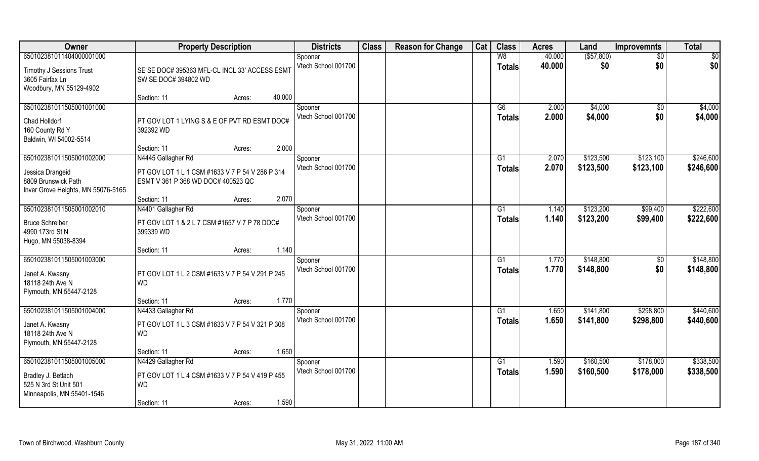| Owner                                                                                                     | <b>Property Description</b>                                                                                                                   | <b>Districts</b>               | <b>Class</b> | <b>Reason for Change</b> | Cat | <b>Class</b>        | <b>Acres</b>   | Land                   | <b>Improvemnts</b>     | <b>Total</b>           |
|-----------------------------------------------------------------------------------------------------------|-----------------------------------------------------------------------------------------------------------------------------------------------|--------------------------------|--------------|--------------------------|-----|---------------------|----------------|------------------------|------------------------|------------------------|
| 650102381011404000001000                                                                                  |                                                                                                                                               | Spooner                        |              |                          |     | W8                  | 40.000         | ( \$57, 800)           | $\sqrt{$0}$            | $\overline{50}$        |
| <b>Timothy J Sessions Trust</b><br>3605 Fairfax Ln<br>Woodbury, MN 55129-4902                             | SE SE DOC# 395363 MFL-CL INCL 33' ACCESS ESMT<br>SW SE DOC# 394802 WD                                                                         | Vtech School 001700            |              |                          |     | <b>Totals</b>       | 40.000         | \$0                    | \$0                    | \$0                    |
|                                                                                                           | 40.000<br>Section: 11<br>Acres:                                                                                                               |                                |              |                          |     |                     |                |                        |                        |                        |
| 650102381011505001001000<br>Chad Holldorf<br>160 County Rd Y<br>Baldwin, WI 54002-5514                    | PT GOV LOT 1 LYING S & E OF PVT RD ESMT DOC#<br>392392 WD                                                                                     | Spooner<br>Vtech School 001700 |              |                          |     | G6<br>Totals        | 2.000<br>2.000 | \$4,000<br>\$4,000     | \$0<br>\$0             | \$4,000<br>\$4,000     |
|                                                                                                           | 2.000<br>Section: 11<br>Acres:                                                                                                                |                                |              |                          |     |                     |                |                        |                        |                        |
| 650102381011505001002000<br>Jessica Drangeid<br>8809 Brunswick Path<br>Inver Grove Heights, MN 55076-5165 | N4445 Gallagher Rd<br>PT GOV LOT 1 L 1 CSM #1633 V 7 P 54 V 286 P 314<br>ESMT V 361 P 368 WD DOC# 400523 QC<br>2.070<br>Section: 11<br>Acres: | Spooner<br>Vtech School 001700 |              |                          |     | G1<br><b>Totals</b> | 2.070<br>2.070 | \$123,500<br>\$123,500 | \$123,100<br>\$123,100 | \$246,600<br>\$246,600 |
| 650102381011505001002010                                                                                  | N4401 Gallagher Rd                                                                                                                            | Spooner                        |              |                          |     | G1                  | 1.140          | \$123,200              | \$99,400               | \$222,600              |
| <b>Bruce Schreiber</b><br>4990 173rd St N<br>Hugo, MN 55038-8394                                          | PT GOV LOT 1 & 2 L 7 CSM #1657 V 7 P 78 DOC#<br>399339 WD                                                                                     | Vtech School 001700            |              |                          |     | <b>Totals</b>       | 1.140          | \$123,200              | \$99,400               | \$222,600              |
|                                                                                                           | 1.140<br>Section: 11<br>Acres:                                                                                                                |                                |              |                          |     |                     |                |                        |                        |                        |
| 650102381011505001003000<br>Janet A. Kwasny<br>18118 24th Ave N<br>Plymouth, MN 55447-2128                | PT GOV LOT 1 L 2 CSM #1633 V 7 P 54 V 291 P 245<br><b>WD</b>                                                                                  | Spooner<br>Vtech School 001700 |              |                          |     | G1<br><b>Totals</b> | 1.770<br>1.770 | \$148,800<br>\$148,800 | \$0<br>\$0             | \$148,800<br>\$148,800 |
|                                                                                                           | 1.770<br>Section: 11<br>Acres:                                                                                                                |                                |              |                          |     |                     |                |                        |                        |                        |
| 650102381011505001004000<br>Janet A. Kwasny<br>18118 24th Ave N<br>Plymouth, MN 55447-2128                | N4433 Gallagher Rd<br>PT GOV LOT 1 L 3 CSM #1633 V 7 P 54 V 321 P 308<br><b>WD</b>                                                            | Spooner<br>Vtech School 001700 |              |                          |     | G1<br><b>Totals</b> | 1.650<br>1.650 | \$141,800<br>\$141,800 | \$298,800<br>\$298,800 | \$440,600<br>\$440,600 |
|                                                                                                           | 1.650<br>Section: 11<br>Acres:                                                                                                                |                                |              |                          |     |                     |                |                        |                        |                        |
| 650102381011505001005000<br>Bradley J. Betlach<br>525 N 3rd St Unit 501<br>Minneapolis, MN 55401-1546     | N4429 Gallagher Rd<br>PT GOV LOT 1 L 4 CSM #1633 V 7 P 54 V 419 P 455<br><b>WD</b><br>1.590<br>Section: 11<br>Acres:                          | Spooner<br>Vtech School 001700 |              |                          |     | G1<br>Totals        | 1.590<br>1.590 | \$160,500<br>\$160,500 | \$178,000<br>\$178,000 | \$338,500<br>\$338,500 |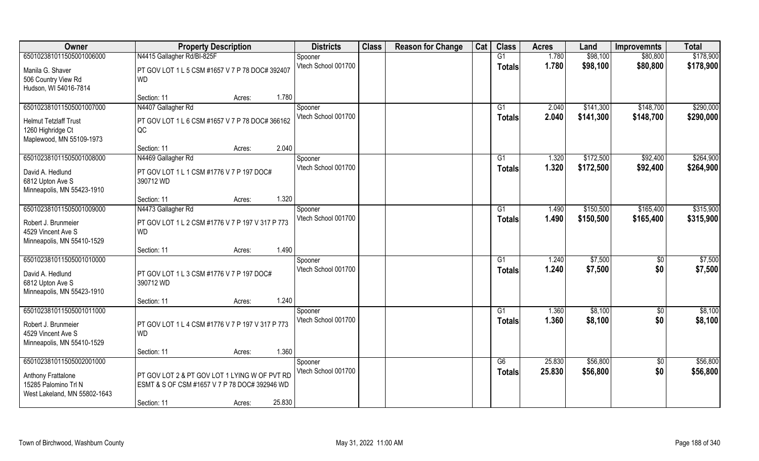| Owner                        | <b>Property Description</b>                      |        | <b>Districts</b>               | <b>Class</b> | <b>Reason for Change</b> | Cat | <b>Class</b>    | <b>Acres</b>     | Land                 | <b>Improvemnts</b>     | <b>Total</b>         |
|------------------------------|--------------------------------------------------|--------|--------------------------------|--------------|--------------------------|-----|-----------------|------------------|----------------------|------------------------|----------------------|
| 650102381011505001006000     | N4415 Gallagher Rd/BI-825F                       |        | Spooner                        |              |                          |     | G1              | 1.780            | \$98,100             | \$80,800               | \$178,900            |
| Manila G. Shaver             | PT GOV LOT 1 L 5 CSM #1657 V 7 P 78 DOC# 392407  |        | Vtech School 001700            |              |                          |     | <b>Totals</b>   | 1.780            | \$98,100             | \$80,800               | \$178,900            |
| 506 Country View Rd          | WD                                               |        |                                |              |                          |     |                 |                  |                      |                        |                      |
| Hudson, WI 54016-7814        |                                                  |        |                                |              |                          |     |                 |                  |                      |                        |                      |
|                              | Section: 11<br>Acres:                            | 1.780  |                                |              |                          |     |                 |                  |                      |                        |                      |
| 650102381011505001007000     | N4407 Gallagher Rd                               |        | Spooner                        |              |                          |     | G <sub>1</sub>  | 2.040            | \$141,300            | \$148,700              | \$290,000            |
| <b>Helmut Tetzlaff Trust</b> | PT GOV LOT 1 L 6 CSM #1657 V 7 P 78 DOC# 366162  |        | Vtech School 001700            |              |                          |     | <b>Totals</b>   | 2.040            | \$141,300            | \$148,700              | \$290,000            |
| 1260 Highridge Ct            | QC                                               |        |                                |              |                          |     |                 |                  |                      |                        |                      |
| Maplewood, MN 55109-1973     |                                                  |        |                                |              |                          |     |                 |                  |                      |                        |                      |
|                              | Section: 11<br>Acres:                            | 2.040  |                                |              |                          |     |                 |                  |                      |                        |                      |
| 650102381011505001008000     | N4469 Gallagher Rd                               |        | Spooner                        |              |                          |     | G1              | 1.320            | \$172,500            | \$92,400               | \$264,900            |
| David A. Hedlund             | PT GOV LOT 1 L 1 CSM #1776 V 7 P 197 DOC#        |        | Vtech School 001700            |              |                          |     | <b>Totals</b>   | 1.320            | \$172,500            | \$92,400               | \$264,900            |
| 6812 Upton Ave S             | 390712 WD                                        |        |                                |              |                          |     |                 |                  |                      |                        |                      |
| Minneapolis, MN 55423-1910   |                                                  |        |                                |              |                          |     |                 |                  |                      |                        |                      |
|                              | Section: 11<br>Acres:                            | 1.320  |                                |              |                          |     |                 |                  |                      |                        |                      |
| 650102381011505001009000     | N4473 Gallagher Rd                               |        | Spooner                        |              |                          |     | G1              | 1.490            | \$150,500            | \$165,400              | \$315,900            |
| Robert J. Brunmeier          | PT GOV LOT 1 L 2 CSM #1776 V 7 P 197 V 317 P 773 |        | Vtech School 001700            |              |                          |     | <b>Totals</b>   | 1.490            | \$150,500            | \$165,400              | \$315,900            |
| 4529 Vincent Ave S           | <b>WD</b>                                        |        |                                |              |                          |     |                 |                  |                      |                        |                      |
| Minneapolis, MN 55410-1529   |                                                  |        |                                |              |                          |     |                 |                  |                      |                        |                      |
|                              | Section: 11<br>Acres:                            | 1.490  |                                |              |                          |     |                 |                  |                      |                        |                      |
| 650102381011505001010000     |                                                  |        | Spooner                        |              |                          |     | G1              | 1.240            | \$7,500              | \$0                    | \$7,500              |
| David A. Hedlund             | PT GOV LOT 1 L 3 CSM #1776 V 7 P 197 DOC#        |        | Vtech School 001700            |              |                          |     | <b>Totals</b>   | 1.240            | \$7,500              | \$0                    | \$7,500              |
| 6812 Upton Ave S             | 390712 WD                                        |        |                                |              |                          |     |                 |                  |                      |                        |                      |
| Minneapolis, MN 55423-1910   |                                                  |        |                                |              |                          |     |                 |                  |                      |                        |                      |
|                              | Section: 11<br>Acres:                            | 1.240  |                                |              |                          |     |                 |                  |                      |                        |                      |
| 650102381011505001011000     |                                                  |        | Spooner<br>Vtech School 001700 |              |                          |     | $\overline{G1}$ | 1.360            | \$8,100              | $\overline{60}$        | \$8,100              |
| Robert J. Brunmeier          | PT GOV LOT 1 L 4 CSM #1776 V 7 P 197 V 317 P 773 |        |                                |              |                          |     | <b>Totals</b>   | 1.360            | \$8,100              | \$0                    | \$8,100              |
| 4529 Vincent Ave S           | <b>WD</b>                                        |        |                                |              |                          |     |                 |                  |                      |                        |                      |
| Minneapolis, MN 55410-1529   |                                                  |        |                                |              |                          |     |                 |                  |                      |                        |                      |
|                              | Section: 11<br>Acres:                            | 1.360  |                                |              |                          |     |                 |                  |                      |                        |                      |
| 650102381011505002001000     |                                                  |        | Spooner<br>Vtech School 001700 |              |                          |     | G6              | 25.830<br>25.830 | \$56,800<br>\$56,800 | $\overline{50}$<br>\$0 | \$56,800<br>\$56,800 |
| Anthony Frattalone           | PT GOV LOT 2 & PT GOV LOT 1 LYING W OF PVT RD    |        |                                |              |                          |     | <b>Totals</b>   |                  |                      |                        |                      |
| 15285 Palomino Trl N         | ESMT & S OF CSM #1657 V 7 P 78 DOC# 392946 WD    |        |                                |              |                          |     |                 |                  |                      |                        |                      |
| West Lakeland, MN 55802-1643 |                                                  |        |                                |              |                          |     |                 |                  |                      |                        |                      |
|                              | Section: 11<br>Acres:                            | 25.830 |                                |              |                          |     |                 |                  |                      |                        |                      |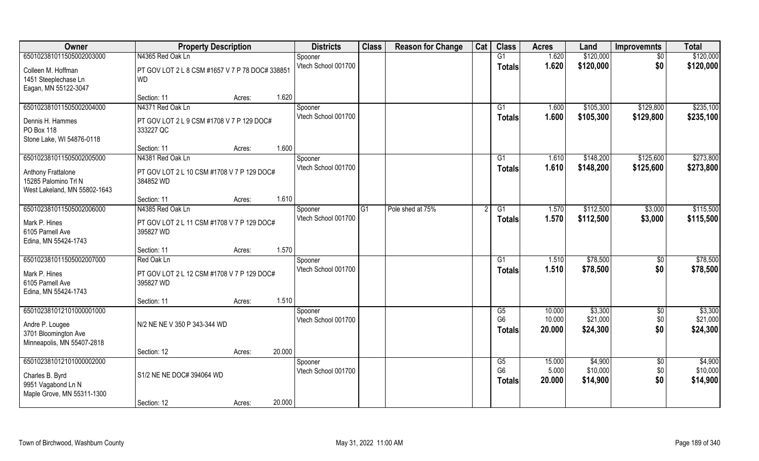| Owner                                                                                             | <b>Property Description</b>                                                |        |        | <b>Districts</b>               | <b>Class</b> | <b>Reason for Change</b> | Cat | <b>Class</b>                          | <b>Acres</b>               | Land                            | <b>Improvemnts</b>            | <b>Total</b>                    |
|---------------------------------------------------------------------------------------------------|----------------------------------------------------------------------------|--------|--------|--------------------------------|--------------|--------------------------|-----|---------------------------------------|----------------------------|---------------------------------|-------------------------------|---------------------------------|
| 650102381011505002003000                                                                          | N4365 Red Oak Ln                                                           |        |        | Spooner                        |              |                          |     | G1                                    | 1.620                      | \$120,000                       | $\sqrt{6}$                    | \$120,000                       |
| Colleen M. Hoffman<br>1451 Steeplechase Ln<br>Eagan, MN 55122-3047                                | PT GOV LOT 2 L 8 CSM #1657 V 7 P 78 DOC# 338851<br>WD                      |        |        | Vtech School 001700            |              |                          |     | <b>Totals</b>                         | 1.620                      | \$120,000                       | \$0                           | \$120,000                       |
|                                                                                                   | Section: 11                                                                | Acres: | 1.620  |                                |              |                          |     |                                       |                            |                                 |                               |                                 |
| 650102381011505002004000<br>Dennis H. Hammes<br>PO Box 118                                        | N4371 Red Oak Ln<br>PT GOV LOT 2 L 9 CSM #1708 V 7 P 129 DOC#<br>333227 QC |        |        | Spooner<br>Vtech School 001700 |              |                          |     | G <sub>1</sub><br><b>Totals</b>       | 1.600<br>1.600             | \$105,300<br>\$105,300          | \$129,800<br>\$129,800        | \$235,100<br>\$235,100          |
| Stone Lake, WI 54876-0118                                                                         | Section: 11                                                                | Acres: | 1.600  |                                |              |                          |     |                                       |                            |                                 |                               |                                 |
| 650102381011505002005000                                                                          | N4381 Red Oak Ln                                                           |        |        | Spooner                        |              |                          |     | G1                                    | 1.610                      | \$148,200                       | \$125,600                     | \$273,800                       |
| Anthony Frattalone<br>15285 Palomino Trl N<br>West Lakeland, MN 55802-1643                        | PT GOV LOT 2 L 10 CSM #1708 V 7 P 129 DOC#<br>384852 WD                    |        |        | Vtech School 001700            |              |                          |     | <b>Totals</b>                         | 1.610                      | \$148,200                       | \$125,600                     | \$273,800                       |
|                                                                                                   | Section: 11                                                                | Acres: | 1.610  |                                |              |                          |     |                                       |                            |                                 |                               |                                 |
| 650102381011505002006000                                                                          | N4385 Red Oak Ln                                                           |        |        | Spooner                        | G1           | Pole shed at 75%         |     | G1                                    | 1.570                      | \$112,500                       | \$3,000                       | \$115,500                       |
| Mark P. Hines<br>6105 Parnell Ave<br>Edina, MN 55424-1743                                         | PT GOV LOT 2 L 11 CSM #1708 V 7 P 129 DOC#<br>395827 WD                    |        |        | Vtech School 001700            |              |                          |     | <b>Totals</b>                         | 1.570                      | \$112,500                       | \$3,000                       | \$115,500                       |
|                                                                                                   | Section: 11                                                                | Acres: | 1.570  |                                |              |                          |     |                                       |                            |                                 |                               |                                 |
| 650102381011505002007000                                                                          | Red Oak Ln                                                                 |        |        | Spooner                        |              |                          |     | G1                                    | 1.510                      | \$78,500                        | \$0                           | \$78,500                        |
| Mark P. Hines<br>6105 Parnell Ave<br>Edina, MN 55424-1743                                         | PT GOV LOT 2 L 12 CSM #1708 V 7 P 129 DOC#<br>395827 WD                    |        |        | Vtech School 001700            |              |                          |     | <b>Totals</b>                         | 1.510                      | \$78,500                        | \$0                           | \$78,500                        |
|                                                                                                   | Section: 11                                                                | Acres: | 1.510  |                                |              |                          |     |                                       |                            |                                 |                               |                                 |
| 650102381012101000001000<br>Andre P. Lougee<br>3701 Bloomington Ave<br>Minneapolis, MN 55407-2818 | N/2 NE NE V 350 P 343-344 WD                                               |        |        | Spooner<br>Vtech School 001700 |              |                          |     | G5<br>G <sub>6</sub><br><b>Totals</b> | 10.000<br>10.000<br>20,000 | \$3,300<br>\$21,000<br>\$24,300 | $\overline{60}$<br>\$0<br>\$0 | \$3,300<br>\$21,000<br>\$24,300 |
|                                                                                                   | Section: 12                                                                | Acres: | 20.000 |                                |              |                          |     |                                       |                            |                                 |                               |                                 |
| 650102381012101000002000<br>Charles B. Byrd<br>9951 Vagabond Ln N<br>Maple Grove, MN 55311-1300   | S1/2 NE NE DOC# 394064 WD                                                  |        |        | Spooner<br>Vtech School 001700 |              |                          |     | G5<br>G <sub>6</sub><br><b>Totals</b> | 15.000<br>5.000<br>20.000  | \$4,900<br>\$10,000<br>\$14,900 | $\overline{50}$<br>\$0<br>\$0 | \$4,900<br>\$10,000<br>\$14,900 |
|                                                                                                   | Section: 12                                                                | Acres: | 20.000 |                                |              |                          |     |                                       |                            |                                 |                               |                                 |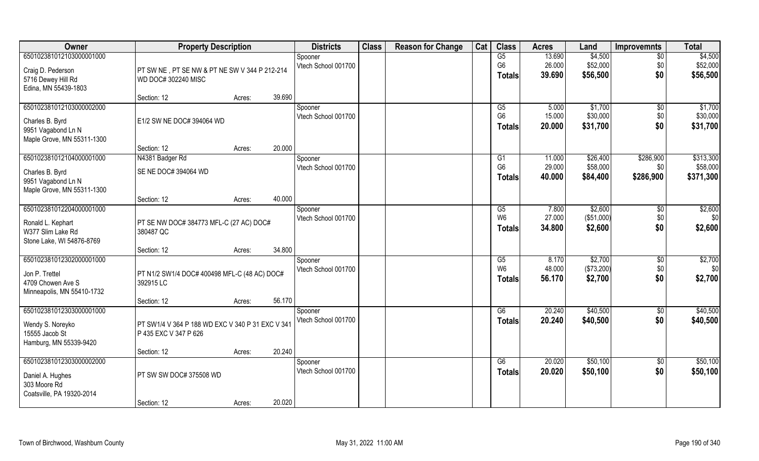| Owner                      | <b>Property Description</b>                      |                  | <b>Districts</b>    | <b>Class</b> | <b>Reason for Change</b> | Cat | <b>Class</b>   | <b>Acres</b> | Land        | <b>Improvemnts</b> | <b>Total</b> |
|----------------------------|--------------------------------------------------|------------------|---------------------|--------------|--------------------------|-----|----------------|--------------|-------------|--------------------|--------------|
| 650102381012103000001000   |                                                  |                  | Spooner             |              |                          |     | G5             | 13.690       | \$4,500     | $\overline{50}$    | \$4,500      |
| Craig D. Pederson          | PT SW NE, PT SE NW & PT NE SW V 344 P 212-214    |                  | Vtech School 001700 |              |                          |     | G <sub>6</sub> | 26.000       | \$52,000    | \$0                | \$52,000     |
| 5716 Dewey Hill Rd         | WD DOC# 302240 MISC                              |                  |                     |              |                          |     | Totals         | 39.690       | \$56,500    | \$0                | \$56,500     |
| Edina, MN 55439-1803       |                                                  |                  |                     |              |                          |     |                |              |             |                    |              |
|                            | Section: 12                                      | 39.690<br>Acres: |                     |              |                          |     |                |              |             |                    |              |
| 650102381012103000002000   |                                                  |                  | Spooner             |              |                          |     | G5             | 5.000        | \$1,700     | $\overline{50}$    | \$1,700      |
| Charles B. Byrd            | E1/2 SW NE DOC# 394064 WD                        |                  | Vtech School 001700 |              |                          |     | G <sub>6</sub> | 15.000       | \$30,000    | \$0                | \$30,000     |
| 9951 Vagabond Ln N         |                                                  |                  |                     |              |                          |     | <b>Totals</b>  | 20.000       | \$31,700    | \$0                | \$31,700     |
| Maple Grove, MN 55311-1300 |                                                  |                  |                     |              |                          |     |                |              |             |                    |              |
|                            | Section: 12                                      | 20.000<br>Acres: |                     |              |                          |     |                |              |             |                    |              |
| 650102381012104000001000   | N4381 Badger Rd                                  |                  | Spooner             |              |                          |     | G1             | 11.000       | \$26,400    | \$286,900          | \$313,300    |
| Charles B. Byrd            | SE NE DOC# 394064 WD                             |                  | Vtech School 001700 |              |                          |     | G <sub>6</sub> | 29.000       | \$58,000    | \$0                | \$58,000     |
| 9951 Vagabond Ln N         |                                                  |                  |                     |              |                          |     | <b>Totals</b>  | 40.000       | \$84,400    | \$286,900          | \$371,300    |
| Maple Grove, MN 55311-1300 |                                                  |                  |                     |              |                          |     |                |              |             |                    |              |
|                            | Section: 12                                      | 40.000<br>Acres: |                     |              |                          |     |                |              |             |                    |              |
| 650102381012204000001000   |                                                  |                  | Spooner             |              |                          |     | G <sub>5</sub> | 7.800        | \$2,600     | \$0                | \$2,600      |
| Ronald L. Kephart          | PT SE NW DOC# 384773 MFL-C (27 AC) DOC#          |                  | Vtech School 001700 |              |                          |     | W <sub>6</sub> | 27.000       | ( \$51,000) | \$0                | \$0          |
| W377 Slim Lake Rd          | 380487 QC                                        |                  |                     |              |                          |     | <b>Totals</b>  | 34,800       | \$2,600     | \$0                | \$2,600      |
| Stone Lake, WI 54876-8769  |                                                  |                  |                     |              |                          |     |                |              |             |                    |              |
|                            | Section: 12                                      | 34.800<br>Acres: |                     |              |                          |     |                |              |             |                    |              |
| 650102381012302000001000   |                                                  |                  | Spooner             |              |                          |     | G5             | 8.170        | \$2,700     | \$0                | \$2,700      |
| Jon P. Trettel             | PT N1/2 SW1/4 DOC# 400498 MFL-C (48 AC) DOC#     |                  | Vtech School 001700 |              |                          |     | W <sub>6</sub> | 48.000       | (\$73,200)  | \$0                | \$0          |
| 4709 Chowen Ave S          | 392915LC                                         |                  |                     |              |                          |     | Totals         | 56.170       | \$2,700     | \$0                | \$2,700      |
| Minneapolis, MN 55410-1732 |                                                  |                  |                     |              |                          |     |                |              |             |                    |              |
|                            | Section: 12                                      | 56.170<br>Acres: |                     |              |                          |     |                |              |             |                    |              |
| 650102381012303000001000   |                                                  |                  | Spooner             |              |                          |     | G6             | 20.240       | \$40,500    | \$0                | \$40,500     |
| Wendy S. Noreyko           | PT SW1/4 V 364 P 188 WD EXC V 340 P 31 EXC V 341 |                  | Vtech School 001700 |              |                          |     | <b>Totals</b>  | 20.240       | \$40,500    | \$0                | \$40,500     |
| 15555 Jacob St             | P 435 EXC V 347 P 626                            |                  |                     |              |                          |     |                |              |             |                    |              |
| Hamburg, MN 55339-9420     |                                                  |                  |                     |              |                          |     |                |              |             |                    |              |
|                            | Section: 12                                      | 20.240<br>Acres: |                     |              |                          |     |                |              |             |                    |              |
| 650102381012303000002000   |                                                  |                  | Spooner             |              |                          |     | G6             | 20.020       | \$50,100    | $\sqrt{6}$         | \$50,100     |
| Daniel A. Hughes           | PT SW SW DOC# 375508 WD                          |                  | Vtech School 001700 |              |                          |     | Totals         | 20.020       | \$50,100    | \$0                | \$50,100     |
| 303 Moore Rd               |                                                  |                  |                     |              |                          |     |                |              |             |                    |              |
| Coatsville, PA 19320-2014  |                                                  |                  |                     |              |                          |     |                |              |             |                    |              |
|                            | Section: 12                                      | 20.020<br>Acres: |                     |              |                          |     |                |              |             |                    |              |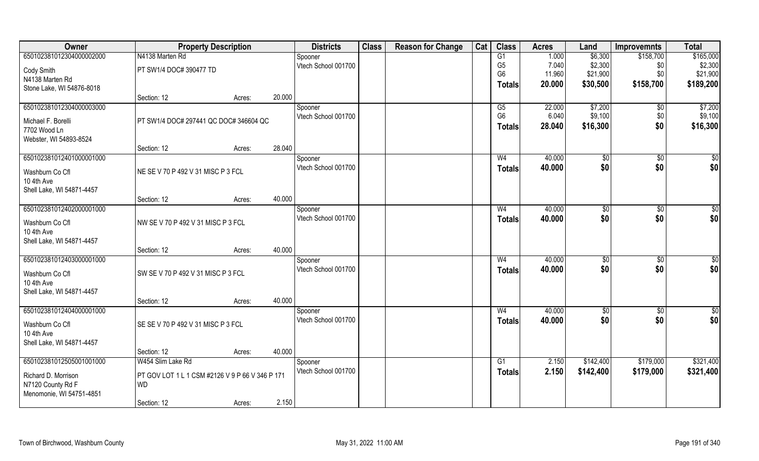| Owner                     | <b>Property Description</b>            |                                                 |        | <b>Districts</b>               | <b>Class</b> | <b>Reason for Change</b> | Cat | <b>Class</b>    | <b>Acres</b> | Land        | <b>Improvemnts</b> | <b>Total</b> |
|---------------------------|----------------------------------------|-------------------------------------------------|--------|--------------------------------|--------------|--------------------------|-----|-----------------|--------------|-------------|--------------------|--------------|
| 650102381012304000002000  | N4138 Marten Rd                        |                                                 |        | Spooner                        |              |                          |     | $\overline{G1}$ | 1.000        | \$6,300     | \$158,700          | \$165,000    |
| Cody Smith                | PT SW1/4 DOC# 390477 TD                |                                                 |        | Vtech School 001700            |              |                          |     | G <sub>5</sub>  | 7.040        | \$2,300     | \$0                | \$2,300      |
| N4138 Marten Rd           |                                        |                                                 |        |                                |              |                          |     | G <sub>6</sub>  | 11.960       | \$21,900    | \$0                | \$21,900     |
| Stone Lake, WI 54876-8018 |                                        |                                                 |        |                                |              |                          |     | <b>Totals</b>   | 20.000       | \$30,500    | \$158,700          | \$189,200    |
|                           | Section: 12                            | Acres:                                          | 20.000 |                                |              |                          |     |                 |              |             |                    |              |
| 650102381012304000003000  |                                        |                                                 |        | Spooner                        |              |                          |     | G5              | 22.000       | \$7,200     | \$0                | \$7,200      |
| Michael F. Borelli        | PT SW1/4 DOC# 297441 QC DOC# 346604 QC |                                                 |        | Vtech School 001700            |              |                          |     | G <sub>6</sub>  | 6.040        | \$9,100     | \$0                | \$9,100      |
| 7702 Wood Ln              |                                        |                                                 |        |                                |              |                          |     | <b>Totals</b>   | 28.040       | \$16,300    | \$0                | \$16,300     |
| Webster, WI 54893-8524    |                                        |                                                 |        |                                |              |                          |     |                 |              |             |                    |              |
|                           | Section: 12                            | Acres:                                          | 28.040 |                                |              |                          |     |                 |              |             |                    |              |
| 650102381012401000001000  |                                        |                                                 |        | Spooner                        |              |                          |     | W <sub>4</sub>  | 40.000       | \$0         | \$0                | \$0          |
| Washburn Co Cfl           | NE SE V 70 P 492 V 31 MISC P 3 FCL     |                                                 |        | Vtech School 001700            |              |                          |     | <b>Totals</b>   | 40.000       | \$0         | \$0                | \$0          |
| 10 4th Ave                |                                        |                                                 |        |                                |              |                          |     |                 |              |             |                    |              |
| Shell Lake, WI 54871-4457 |                                        |                                                 |        |                                |              |                          |     |                 |              |             |                    |              |
|                           | Section: 12                            | Acres:                                          | 40.000 |                                |              |                          |     |                 |              |             |                    |              |
| 650102381012402000001000  |                                        |                                                 |        | Spooner                        |              |                          |     | W <sub>4</sub>  | 40.000       | \$0         | \$0                | \$0          |
| Washburn Co Cfl           | NW SEV 70 P 492 V 31 MISC P 3 FCL      |                                                 |        | Vtech School 001700            |              |                          |     | <b>Totals</b>   | 40.000       | \$0         | \$0                | \$0          |
| 10 4th Ave                |                                        |                                                 |        |                                |              |                          |     |                 |              |             |                    |              |
| Shell Lake, WI 54871-4457 |                                        |                                                 |        |                                |              |                          |     |                 |              |             |                    |              |
|                           | Section: 12                            | Acres:                                          | 40.000 |                                |              |                          |     |                 |              |             |                    |              |
| 650102381012403000001000  |                                        |                                                 |        | Spooner                        |              |                          |     | W <sub>4</sub>  | 40.000       | \$0         | \$0                | \$0          |
| Washburn Co Cfl           | SW SE V 70 P 492 V 31 MISC P 3 FCL     |                                                 |        | Vtech School 001700            |              |                          |     | <b>Totals</b>   | 40.000       | \$0         | \$0                | \$0          |
| 10 4th Ave                |                                        |                                                 |        |                                |              |                          |     |                 |              |             |                    |              |
| Shell Lake, WI 54871-4457 |                                        |                                                 |        |                                |              |                          |     |                 |              |             |                    |              |
|                           | Section: 12                            | Acres:                                          | 40.000 |                                |              |                          |     |                 |              |             |                    |              |
| 650102381012404000001000  |                                        |                                                 |        | Spooner                        |              |                          |     | W <sub>4</sub>  | 40.000       | $\sqrt{50}$ | $\sqrt{$0}$        | \$0          |
| Washburn Co Cfl           | SE SE V 70 P 492 V 31 MISC P 3 FCL     |                                                 |        | Vtech School 001700            |              |                          |     | <b>Totals</b>   | 40.000       | \$0         | \$0                | \$0          |
| 10 4th Ave                |                                        |                                                 |        |                                |              |                          |     |                 |              |             |                    |              |
| Shell Lake, WI 54871-4457 |                                        |                                                 |        |                                |              |                          |     |                 |              |             |                    |              |
|                           | Section: 12                            | Acres:                                          | 40.000 |                                |              |                          |     |                 |              |             |                    |              |
| 650102381012505001001000  | W454 Slim Lake Rd                      |                                                 |        | Spooner<br>Vtech School 001700 |              |                          |     | G1              | 2.150        | \$142,400   | \$179,000          | \$321,400    |
| Richard D. Morrison       |                                        | PT GOV LOT 1 L 1 CSM #2126 V 9 P 66 V 346 P 171 |        |                                |              |                          |     | <b>Totals</b>   | 2.150        | \$142,400   | \$179,000          | \$321,400    |
| N7120 County Rd F         | <b>WD</b>                              |                                                 |        |                                |              |                          |     |                 |              |             |                    |              |
| Menomonie, WI 54751-4851  |                                        |                                                 |        |                                |              |                          |     |                 |              |             |                    |              |
|                           | Section: 12                            | Acres:                                          | 2.150  |                                |              |                          |     |                 |              |             |                    |              |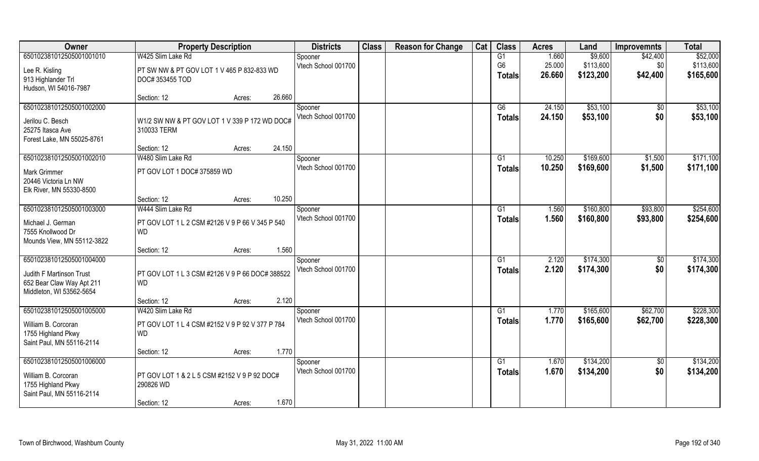| Owner                      | <b>Property Description</b>                     |        |        | <b>Districts</b>    | <b>Class</b> | <b>Reason for Change</b> | Cat | <b>Class</b>   | <b>Acres</b> | Land      | <b>Improvemnts</b> | <b>Total</b> |
|----------------------------|-------------------------------------------------|--------|--------|---------------------|--------------|--------------------------|-----|----------------|--------------|-----------|--------------------|--------------|
| 650102381012505001001010   | W425 Slim Lake Rd                               |        |        | Spooner             |              |                          |     | G1             | 1.660        | \$9,600   | \$42,400           | \$52,000     |
| Lee R. Kisling             | PT SW NW & PT GOV LOT 1 V 465 P 832-833 WD      |        |        | Vtech School 001700 |              |                          |     | G <sub>6</sub> | 25.000       | \$113,600 | \$0                | \$113,600    |
| 913 Highlander Trl         | DOC# 353455 TOD                                 |        |        |                     |              |                          |     | <b>Totals</b>  | 26.660       | \$123,200 | \$42,400           | \$165,600    |
| Hudson, WI 54016-7987      |                                                 |        |        |                     |              |                          |     |                |              |           |                    |              |
|                            | Section: 12                                     | Acres: | 26.660 |                     |              |                          |     |                |              |           |                    |              |
| 650102381012505001002000   |                                                 |        |        | Spooner             |              |                          |     | G6             | 24.150       | \$53,100  | \$0                | \$53,100     |
| Jerilou C. Besch           | W1/2 SW NW & PT GOV LOT 1 V 339 P 172 WD DOC#   |        |        | Vtech School 001700 |              |                          |     | Totals         | 24.150       | \$53,100  | \$0                | \$53,100     |
| 25275 Itasca Ave           | 310033 TERM                                     |        |        |                     |              |                          |     |                |              |           |                    |              |
| Forest Lake, MN 55025-8761 |                                                 |        |        |                     |              |                          |     |                |              |           |                    |              |
|                            | Section: 12                                     | Acres: | 24.150 |                     |              |                          |     |                |              |           |                    |              |
| 650102381012505001002010   | W480 Slim Lake Rd                               |        |        | Spooner             |              |                          |     | G1             | 10.250       | \$169,600 | \$1,500            | \$171,100    |
| <b>Mark Grimmer</b>        | PT GOV LOT 1 DOC# 375859 WD                     |        |        | Vtech School 001700 |              |                          |     | <b>Totals</b>  | 10.250       | \$169,600 | \$1,500            | \$171,100    |
| 20446 Victoria Ln NW       |                                                 |        |        |                     |              |                          |     |                |              |           |                    |              |
| Elk River, MN 55330-8500   |                                                 |        |        |                     |              |                          |     |                |              |           |                    |              |
|                            | Section: 12                                     | Acres: | 10.250 |                     |              |                          |     |                |              |           |                    |              |
| 650102381012505001003000   | W444 Slim Lake Rd                               |        |        | Spooner             |              |                          |     | G1             | 1.560        | \$160,800 | \$93,800           | \$254,600    |
| Michael J. German          | PT GOV LOT 1 L 2 CSM #2126 V 9 P 66 V 345 P 540 |        |        | Vtech School 001700 |              |                          |     | <b>Totals</b>  | 1.560        | \$160,800 | \$93,800           | \$254,600    |
| 7555 Knollwood Dr          | <b>WD</b>                                       |        |        |                     |              |                          |     |                |              |           |                    |              |
| Mounds View, MN 55112-3822 |                                                 |        |        |                     |              |                          |     |                |              |           |                    |              |
|                            | Section: 12                                     | Acres: | 1.560  |                     |              |                          |     |                |              |           |                    |              |
| 650102381012505001004000   |                                                 |        |        | Spooner             |              |                          |     | G1             | 2.120        | \$174,300 | $\overline{50}$    | \$174,300    |
| Judith F Martinson Trust   | PT GOV LOT 1 L 3 CSM #2126 V 9 P 66 DOC# 388522 |        |        | Vtech School 001700 |              |                          |     | <b>Totals</b>  | 2.120        | \$174,300 | \$0                | \$174,300    |
| 652 Bear Claw Way Apt 211  | <b>WD</b>                                       |        |        |                     |              |                          |     |                |              |           |                    |              |
| Middleton, WI 53562-5654   |                                                 |        |        |                     |              |                          |     |                |              |           |                    |              |
|                            | Section: 12                                     | Acres: | 2.120  |                     |              |                          |     |                |              |           |                    |              |
| 650102381012505001005000   | W420 Slim Lake Rd                               |        |        | Spooner             |              |                          |     | G1             | 1.770        | \$165,600 | \$62,700           | \$228,300    |
| William B. Corcoran        | PT GOV LOT 1 L 4 CSM #2152 V 9 P 92 V 377 P 784 |        |        | Vtech School 001700 |              |                          |     | <b>Totals</b>  | 1.770        | \$165,600 | \$62,700           | \$228,300    |
| 1755 Highland Pkwy         | <b>WD</b>                                       |        |        |                     |              |                          |     |                |              |           |                    |              |
| Saint Paul, MN 55116-2114  |                                                 |        |        |                     |              |                          |     |                |              |           |                    |              |
|                            | Section: 12                                     | Acres: | 1.770  |                     |              |                          |     |                |              |           |                    |              |
| 650102381012505001006000   |                                                 |        |        | Spooner             |              |                          |     | G1             | 1.670        | \$134,200 | $\overline{50}$    | \$134,200    |
| William B. Corcoran        | PT GOV LOT 1 & 2 L 5 CSM #2152 V 9 P 92 DOC#    |        |        | Vtech School 001700 |              |                          |     | Totals         | 1.670        | \$134,200 | \$0                | \$134,200    |
| 1755 Highland Pkwy         | 290826 WD                                       |        |        |                     |              |                          |     |                |              |           |                    |              |
| Saint Paul, MN 55116-2114  |                                                 |        |        |                     |              |                          |     |                |              |           |                    |              |
|                            | Section: 12                                     | Acres: | 1.670  |                     |              |                          |     |                |              |           |                    |              |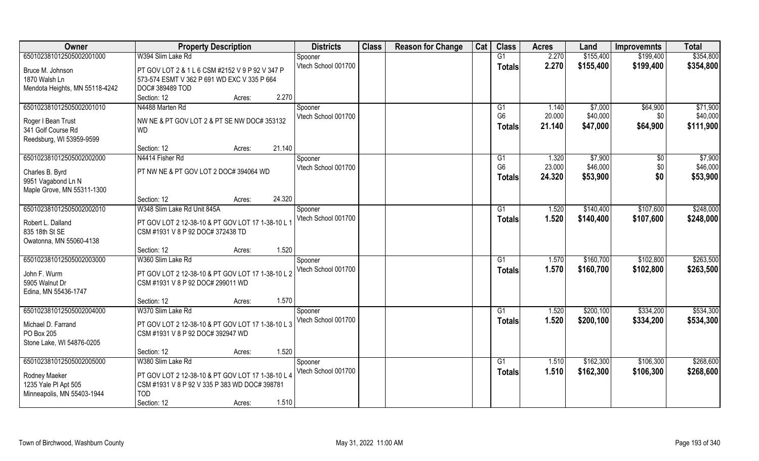| 650102381012505002001000<br>W394 Slim Lake Rd<br>2.270<br>\$155,400<br>\$354,800<br>G1<br>\$199,400<br>Spooner<br>Vtech School 001700<br>2.270<br>\$155,400<br>\$199,400<br>\$354,800<br><b>Totals</b><br>Bruce M. Johnson<br>PT GOV LOT 2 & 1 L 6 CSM #2152 V 9 P 92 V 347 P<br>1870 Walsh Ln<br>573-574 ESMT V 362 P 691 WD EXC V 335 P 664<br>Mendota Heights, MN 55118-4242<br>DOC#389489 TOD |  |
|---------------------------------------------------------------------------------------------------------------------------------------------------------------------------------------------------------------------------------------------------------------------------------------------------------------------------------------------------------------------------------------------------|--|
|                                                                                                                                                                                                                                                                                                                                                                                                   |  |
|                                                                                                                                                                                                                                                                                                                                                                                                   |  |
|                                                                                                                                                                                                                                                                                                                                                                                                   |  |
|                                                                                                                                                                                                                                                                                                                                                                                                   |  |
| 2.270<br>Section: 12<br>Acres:                                                                                                                                                                                                                                                                                                                                                                    |  |
| 650102381012505002001010<br>N4488 Marten Rd<br>\$64,900<br>\$71,900<br>1.140<br>\$7,000<br>Spooner<br>G1                                                                                                                                                                                                                                                                                          |  |
| G <sub>6</sub><br>Vtech School 001700<br>20.000<br>\$40,000<br>\$40,000<br>\$0                                                                                                                                                                                                                                                                                                                    |  |
| Roger I Bean Trust<br>NW NE & PT GOV LOT 2 & PT SE NW DOC# 353132<br>\$64,900<br>\$111,900<br>21.140<br>\$47,000<br><b>Totals</b>                                                                                                                                                                                                                                                                 |  |
| 341 Golf Course Rd<br><b>WD</b>                                                                                                                                                                                                                                                                                                                                                                   |  |
| Reedsburg, WI 53959-9599                                                                                                                                                                                                                                                                                                                                                                          |  |
| 21.140<br>Section: 12<br>Acres:                                                                                                                                                                                                                                                                                                                                                                   |  |
| 650102381012505002002000<br>\$7,900<br>1.320<br>\$7,900<br>N4414 Fisher Rd<br>G <sub>1</sub><br>\$0<br>Spooner                                                                                                                                                                                                                                                                                    |  |
| G <sub>6</sub><br>\$46,000<br>23.000<br>\$0<br>\$46,000<br>Vtech School 001700<br>PT NW NE & PT GOV LOT 2 DOC# 394064 WD<br>Charles B. Byrd                                                                                                                                                                                                                                                       |  |
| \$53,900<br>\$0<br>24.320<br>\$53,900<br><b>Totals</b><br>9951 Vagabond Ln N                                                                                                                                                                                                                                                                                                                      |  |
| Maple Grove, MN 55311-1300                                                                                                                                                                                                                                                                                                                                                                        |  |
| 24.320<br>Section: 12<br>Acres:                                                                                                                                                                                                                                                                                                                                                                   |  |
| 650102381012505002002010<br>W348 Slim Lake Rd Unit 845A<br>\$140,400<br>\$107,600<br>\$248,000<br>1.520<br>G <sub>1</sub><br>Spooner                                                                                                                                                                                                                                                              |  |
| Vtech School 001700<br>1.520<br>\$140,400<br>\$107,600<br>\$248,000<br><b>Totals</b><br>PT GOV LOT 2 12-38-10 & PT GOV LOT 17 1-38-10 L 1<br>Robert L. Dalland                                                                                                                                                                                                                                    |  |
| 835 18th St SE<br>CSM #1931 V 8 P 92 DOC# 372438 TD                                                                                                                                                                                                                                                                                                                                               |  |
| Owatonna, MN 55060-4138                                                                                                                                                                                                                                                                                                                                                                           |  |
| 1.520<br>Section: 12<br>Acres:                                                                                                                                                                                                                                                                                                                                                                    |  |
| \$263,500<br>650102381012505002003000<br>W360 Slim Lake Rd<br>\$160,700<br>\$102,800<br>G1<br>1.570<br>Spooner                                                                                                                                                                                                                                                                                    |  |
| Vtech School 001700<br>\$160,700<br>\$102,800<br>1.570<br>\$263,500<br><b>Totals</b>                                                                                                                                                                                                                                                                                                              |  |
| PT GOV LOT 2 12-38-10 & PT GOV LOT 17 1-38-10 L 2<br>John F. Wurm                                                                                                                                                                                                                                                                                                                                 |  |
| 5905 Walnut Dr<br>CSM #1931 V 8 P 92 DOC# 299011 WD                                                                                                                                                                                                                                                                                                                                               |  |
| Edina, MN 55436-1747                                                                                                                                                                                                                                                                                                                                                                              |  |
| 1.570<br>Section: 12<br>Acres:                                                                                                                                                                                                                                                                                                                                                                    |  |
| \$200,100<br>\$334,200<br>\$534,300<br>650102381012505002004000<br>W370 Slim Lake Rd<br>1.520<br>G1<br>Spooner                                                                                                                                                                                                                                                                                    |  |
| Vtech School 001700<br>1.520<br>\$334,200<br>\$200,100<br>\$534,300<br><b>Totals</b><br>Michael D. Farrand<br>PT GOV LOT 2 12-38-10 & PT GOV LOT 17 1-38-10 L 3                                                                                                                                                                                                                                   |  |
| PO Box 205<br>CSM #1931 V 8 P 92 DOC# 392947 WD                                                                                                                                                                                                                                                                                                                                                   |  |
| Stone Lake, WI 54876-0205                                                                                                                                                                                                                                                                                                                                                                         |  |
| 1.520<br>Section: 12<br>Acres:                                                                                                                                                                                                                                                                                                                                                                    |  |
| 650102381012505002005000<br>\$162,300<br>\$106,300<br>\$268,600<br>W380 Slim Lake Rd<br>G1<br>1.510<br>Spooner                                                                                                                                                                                                                                                                                    |  |
| Vtech School 001700<br>\$162,300<br>1.510<br>\$106,300<br>\$268,600<br>Totals<br>PT GOV LOT 2 12-38-10 & PT GOV LOT 17 1-38-10 L 4<br>Rodney Maeker                                                                                                                                                                                                                                               |  |
| 1235 Yale Pl Apt 505<br>CSM #1931 V 8 P 92 V 335 P 383 WD DOC# 398781                                                                                                                                                                                                                                                                                                                             |  |
| Minneapolis, MN 55403-1944<br><b>TOD</b>                                                                                                                                                                                                                                                                                                                                                          |  |
| 1.510<br>Section: 12<br>Acres:                                                                                                                                                                                                                                                                                                                                                                    |  |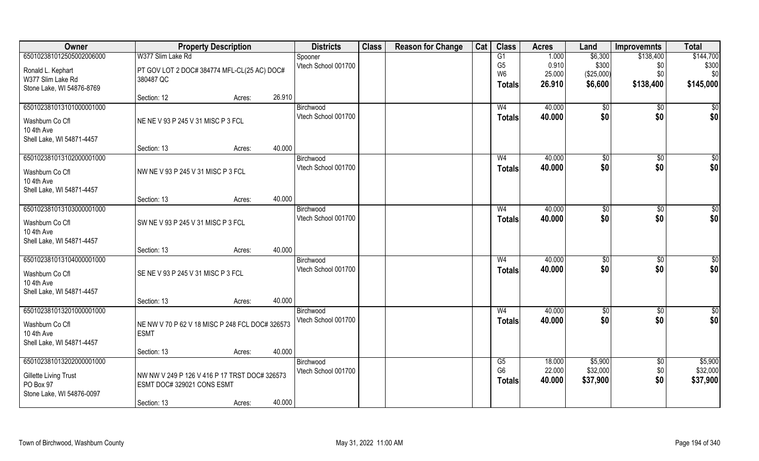| Owner                     | <b>Property Description</b>                     |        |        | <b>Districts</b>    | <b>Class</b> | <b>Reason for Change</b> | Cat | <b>Class</b>   | <b>Acres</b> | Land          | <b>Improvemnts</b> | <b>Total</b>    |
|---------------------------|-------------------------------------------------|--------|--------|---------------------|--------------|--------------------------|-----|----------------|--------------|---------------|--------------------|-----------------|
| 650102381012505002006000  | W377 Slim Lake Rd                               |        |        | Spooner             |              |                          |     | G1             | 1.000        | \$6,300       | \$138,400          | \$144,700       |
| Ronald L. Kephart         | PT GOV LOT 2 DOC# 384774 MFL-CL(25 AC) DOC#     |        |        | Vtech School 001700 |              |                          |     | G <sub>5</sub> | 0.910        | \$300         | \$0                | \$300           |
| W377 Slim Lake Rd         | 380487 QC                                       |        |        |                     |              |                          |     | W <sub>6</sub> | 25.000       | (\$25,000)    | \$0                | \$0             |
| Stone Lake, WI 54876-8769 |                                                 |        |        |                     |              |                          |     | <b>Totals</b>  | 26.910       | \$6,600       | \$138,400          | \$145,000       |
|                           | Section: 12                                     | Acres: | 26.910 |                     |              |                          |     |                |              |               |                    |                 |
| 650102381013101000001000  |                                                 |        |        | Birchwood           |              |                          |     | W <sub>4</sub> | 40.000       | \$0           | \$0                | \$0             |
| Washburn Co Cfl           | NE NE V 93 P 245 V 31 MISC P 3 FCL              |        |        | Vtech School 001700 |              |                          |     | <b>Totals</b>  | 40.000       | \$0           | \$0                | \$0             |
| 10 4th Ave                |                                                 |        |        |                     |              |                          |     |                |              |               |                    |                 |
| Shell Lake, WI 54871-4457 |                                                 |        |        |                     |              |                          |     |                |              |               |                    |                 |
|                           | Section: 13                                     | Acres: | 40.000 |                     |              |                          |     |                |              |               |                    |                 |
| 650102381013102000001000  |                                                 |        |        | Birchwood           |              |                          |     | W <sub>4</sub> | 40.000       | \$0           | $\sqrt[6]{30}$     | \$0             |
| Washburn Co Cfl           | NW NE V 93 P 245 V 31 MISC P 3 FCL              |        |        | Vtech School 001700 |              |                          |     | <b>Totals</b>  | 40.000       | \$0           | \$0                | \$0             |
| 10 4th Ave                |                                                 |        |        |                     |              |                          |     |                |              |               |                    |                 |
| Shell Lake, WI 54871-4457 |                                                 |        |        |                     |              |                          |     |                |              |               |                    |                 |
|                           | Section: 13                                     | Acres: | 40.000 |                     |              |                          |     |                |              |               |                    |                 |
| 650102381013103000001000  |                                                 |        |        | Birchwood           |              |                          |     | W <sub>4</sub> | 40.000       | $\sqrt[6]{3}$ | $\sqrt[6]{30}$     | \$0             |
| Washburn Co Cfl           | SW NE V 93 P 245 V 31 MISC P 3 FCL              |        |        | Vtech School 001700 |              |                          |     | <b>Totals</b>  | 40.000       | \$0           | \$0                | \$0             |
| 10 4th Ave                |                                                 |        |        |                     |              |                          |     |                |              |               |                    |                 |
| Shell Lake, WI 54871-4457 |                                                 |        |        |                     |              |                          |     |                |              |               |                    |                 |
|                           | Section: 13                                     | Acres: | 40.000 |                     |              |                          |     |                |              |               |                    |                 |
| 650102381013104000001000  |                                                 |        |        | Birchwood           |              |                          |     | W <sub>4</sub> | 40.000       | \$0           | $\sqrt[6]{30}$     | \$0             |
| Washburn Co Cfl           | SE NE V 93 P 245 V 31 MISC P 3 FCL              |        |        | Vtech School 001700 |              |                          |     | Totals         | 40.000       | \$0           | \$0                | \$0             |
| 10 4th Ave                |                                                 |        |        |                     |              |                          |     |                |              |               |                    |                 |
| Shell Lake, WI 54871-4457 |                                                 |        |        |                     |              |                          |     |                |              |               |                    |                 |
|                           | Section: 13                                     | Acres: | 40.000 |                     |              |                          |     |                |              |               |                    |                 |
| 650102381013201000001000  |                                                 |        |        | Birchwood           |              |                          |     | W <sub>4</sub> | 40.000       | $\sqrt{6}$    | \$0                | $\overline{50}$ |
| Washburn Co Cfl           | NE NW V 70 P 62 V 18 MISC P 248 FCL DOC# 326573 |        |        | Vtech School 001700 |              |                          |     | <b>Totals</b>  | 40.000       | \$0           | \$0                | \$0             |
| 10 4th Ave                | <b>ESMT</b>                                     |        |        |                     |              |                          |     |                |              |               |                    |                 |
| Shell Lake, WI 54871-4457 |                                                 |        |        |                     |              |                          |     |                |              |               |                    |                 |
|                           | Section: 13                                     | Acres: | 40.000 |                     |              |                          |     |                |              |               |                    |                 |
| 650102381013202000001000  |                                                 |        |        | Birchwood           |              |                          |     | G5             | 18.000       | \$5,900       | \$0                | \$5,900         |
| Gillette Living Trust     | NW NW V 249 P 126 V 416 P 17 TRST DOC# 326573   |        |        | Vtech School 001700 |              |                          |     | G <sub>6</sub> | 22.000       | \$32,000      | \$0                | \$32,000        |
| PO Box 97                 | ESMT DOC# 329021 CONS ESMT                      |        |        |                     |              |                          |     | <b>Totals</b>  | 40.000       | \$37,900      | \$0                | \$37,900        |
| Stone Lake, WI 54876-0097 |                                                 |        |        |                     |              |                          |     |                |              |               |                    |                 |
|                           | Section: 13                                     | Acres: | 40.000 |                     |              |                          |     |                |              |               |                    |                 |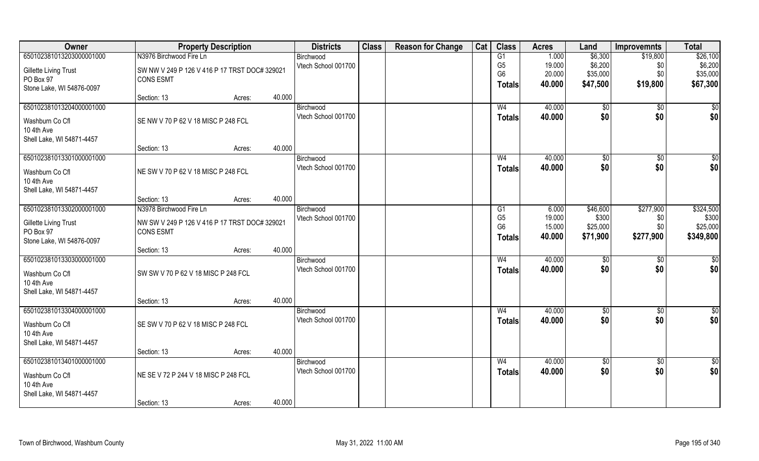| 650102381013203000001000<br>N3976 Birchwood Fire Ln<br>1.000<br>\$6,300<br>\$19,800<br>Birchwood<br>G1<br>G <sub>5</sub><br>19.000<br>\$6,200<br>\$6,200<br>Vtech School 001700<br>\$0<br><b>Gillette Living Trust</b><br>SW NW V 249 P 126 V 416 P 17 TRST DOC# 329021<br>G <sub>6</sub><br>20.000<br>\$35,000<br>\$0<br>\$35,000<br>PO Box 97<br><b>CONS ESMT</b><br>\$47,500<br>\$19,800<br>\$67,300<br>40.000<br>Totals<br>Stone Lake, WI 54876-0097<br>40.000<br>Section: 13<br>Acres:<br>650102381013204000001000<br>40.000<br>$\sqrt[6]{}$<br>Birchwood<br>W <sub>4</sub><br>\$0<br>\$0<br>\$0<br>\$0<br>Vtech School 001700<br>40.000<br><b>Totals</b><br>SE NW V 70 P 62 V 18 MISC P 248 FCL<br>Washburn Co Cfl<br>10 4th Ave<br>Shell Lake, WI 54871-4457<br>40.000<br>Section: 13<br>Acres:<br>650102381013301000001000<br>40.000<br>\$0<br>\$0<br>W <sub>4</sub><br>$\sqrt[6]{30}$<br>Birchwood<br>\$0<br>\$0<br>\$0<br>Vtech School 001700<br>40.000<br><b>Totals</b><br>NE SW V 70 P 62 V 18 MISC P 248 FCL<br>Washburn Co Cfl<br>10 4th Ave<br>Shell Lake, WI 54871-4457<br>40.000<br>Section: 13<br>Acres:<br>650102381013302000001000<br>\$277,900<br>N3978 Birchwood Fire Ln<br>\$46,600<br>6.000<br>Birchwood<br>G <sub>1</sub><br>G <sub>5</sub><br>19.000<br>\$300<br>\$300<br>Vtech School 001700<br>\$0<br>NW SW V 249 P 126 V 416 P 17 TRST DOC# 329021<br><b>Gillette Living Trust</b><br>G <sub>6</sub><br>15.000<br>\$0<br>\$25,000<br>\$25,000<br>PO Box 97<br><b>CONS ESMT</b><br>\$277,900<br>\$349,800<br>40.000<br>\$71,900<br><b>Totals</b><br>Stone Lake, WI 54876-0097<br>40.000<br>Section: 13<br>Acres:<br>650102381013303000001000<br>W <sub>4</sub><br>40.000<br>$\frac{1}{20}$<br>$\sqrt[6]{30}$<br>\$0<br>Birchwood<br>\$0<br>\$0<br>\$0<br>Vtech School 001700<br>40.000<br><b>Totals</b><br>SW SW V 70 P 62 V 18 MISC P 248 FCL<br>Washburn Co Cfl<br>10 4th Ave<br>Shell Lake, WI 54871-4457<br>40.000<br>Section: 13<br>Acres:<br>650102381013304000001000<br>40.000<br>$\frac{6}{3}$<br>W <sub>4</sub><br>\$0<br>\$0<br>Birchwood<br>\$0<br>\$0<br>\$0<br>Vtech School 001700<br>40.000<br><b>Totals</b><br>SE SW V 70 P 62 V 18 MISC P 248 FCL<br>Washburn Co Cfl<br>10 4th Ave<br>Shell Lake, WI 54871-4457<br>40.000<br>Section: 13<br>Acres: | Owner | <b>Property Description</b> | <b>Districts</b> | <b>Class</b> | <b>Reason for Change</b> | Cat | <b>Class</b> | <b>Acres</b> | Land | <b>Improvemnts</b> | <b>Total</b> |
|------------------------------------------------------------------------------------------------------------------------------------------------------------------------------------------------------------------------------------------------------------------------------------------------------------------------------------------------------------------------------------------------------------------------------------------------------------------------------------------------------------------------------------------------------------------------------------------------------------------------------------------------------------------------------------------------------------------------------------------------------------------------------------------------------------------------------------------------------------------------------------------------------------------------------------------------------------------------------------------------------------------------------------------------------------------------------------------------------------------------------------------------------------------------------------------------------------------------------------------------------------------------------------------------------------------------------------------------------------------------------------------------------------------------------------------------------------------------------------------------------------------------------------------------------------------------------------------------------------------------------------------------------------------------------------------------------------------------------------------------------------------------------------------------------------------------------------------------------------------------------------------------------------------------------------------------------------------------------------------------------------------------------------------------------------------------------------------------------------------------------------------------------------------------------------------------------------------------------------------------------------------------------------------------|-------|-----------------------------|------------------|--------------|--------------------------|-----|--------------|--------------|------|--------------------|--------------|
| \$0<br>\$324,500                                                                                                                                                                                                                                                                                                                                                                                                                                                                                                                                                                                                                                                                                                                                                                                                                                                                                                                                                                                                                                                                                                                                                                                                                                                                                                                                                                                                                                                                                                                                                                                                                                                                                                                                                                                                                                                                                                                                                                                                                                                                                                                                                                                                                                                                               |       |                             |                  |              |                          |     |              |              |      |                    | \$26,100     |
|                                                                                                                                                                                                                                                                                                                                                                                                                                                                                                                                                                                                                                                                                                                                                                                                                                                                                                                                                                                                                                                                                                                                                                                                                                                                                                                                                                                                                                                                                                                                                                                                                                                                                                                                                                                                                                                                                                                                                                                                                                                                                                                                                                                                                                                                                                |       |                             |                  |              |                          |     |              |              |      |                    |              |
|                                                                                                                                                                                                                                                                                                                                                                                                                                                                                                                                                                                                                                                                                                                                                                                                                                                                                                                                                                                                                                                                                                                                                                                                                                                                                                                                                                                                                                                                                                                                                                                                                                                                                                                                                                                                                                                                                                                                                                                                                                                                                                                                                                                                                                                                                                |       |                             |                  |              |                          |     |              |              |      |                    |              |
|                                                                                                                                                                                                                                                                                                                                                                                                                                                                                                                                                                                                                                                                                                                                                                                                                                                                                                                                                                                                                                                                                                                                                                                                                                                                                                                                                                                                                                                                                                                                                                                                                                                                                                                                                                                                                                                                                                                                                                                                                                                                                                                                                                                                                                                                                                |       |                             |                  |              |                          |     |              |              |      |                    |              |
|                                                                                                                                                                                                                                                                                                                                                                                                                                                                                                                                                                                                                                                                                                                                                                                                                                                                                                                                                                                                                                                                                                                                                                                                                                                                                                                                                                                                                                                                                                                                                                                                                                                                                                                                                                                                                                                                                                                                                                                                                                                                                                                                                                                                                                                                                                |       |                             |                  |              |                          |     |              |              |      |                    |              |
|                                                                                                                                                                                                                                                                                                                                                                                                                                                                                                                                                                                                                                                                                                                                                                                                                                                                                                                                                                                                                                                                                                                                                                                                                                                                                                                                                                                                                                                                                                                                                                                                                                                                                                                                                                                                                                                                                                                                                                                                                                                                                                                                                                                                                                                                                                |       |                             |                  |              |                          |     |              |              |      |                    |              |
|                                                                                                                                                                                                                                                                                                                                                                                                                                                                                                                                                                                                                                                                                                                                                                                                                                                                                                                                                                                                                                                                                                                                                                                                                                                                                                                                                                                                                                                                                                                                                                                                                                                                                                                                                                                                                                                                                                                                                                                                                                                                                                                                                                                                                                                                                                |       |                             |                  |              |                          |     |              |              |      |                    |              |
|                                                                                                                                                                                                                                                                                                                                                                                                                                                                                                                                                                                                                                                                                                                                                                                                                                                                                                                                                                                                                                                                                                                                                                                                                                                                                                                                                                                                                                                                                                                                                                                                                                                                                                                                                                                                                                                                                                                                                                                                                                                                                                                                                                                                                                                                                                |       |                             |                  |              |                          |     |              |              |      |                    |              |
|                                                                                                                                                                                                                                                                                                                                                                                                                                                                                                                                                                                                                                                                                                                                                                                                                                                                                                                                                                                                                                                                                                                                                                                                                                                                                                                                                                                                                                                                                                                                                                                                                                                                                                                                                                                                                                                                                                                                                                                                                                                                                                                                                                                                                                                                                                |       |                             |                  |              |                          |     |              |              |      |                    |              |
|                                                                                                                                                                                                                                                                                                                                                                                                                                                                                                                                                                                                                                                                                                                                                                                                                                                                                                                                                                                                                                                                                                                                                                                                                                                                                                                                                                                                                                                                                                                                                                                                                                                                                                                                                                                                                                                                                                                                                                                                                                                                                                                                                                                                                                                                                                |       |                             |                  |              |                          |     |              |              |      |                    |              |
|                                                                                                                                                                                                                                                                                                                                                                                                                                                                                                                                                                                                                                                                                                                                                                                                                                                                                                                                                                                                                                                                                                                                                                                                                                                                                                                                                                                                                                                                                                                                                                                                                                                                                                                                                                                                                                                                                                                                                                                                                                                                                                                                                                                                                                                                                                |       |                             |                  |              |                          |     |              |              |      |                    |              |
|                                                                                                                                                                                                                                                                                                                                                                                                                                                                                                                                                                                                                                                                                                                                                                                                                                                                                                                                                                                                                                                                                                                                                                                                                                                                                                                                                                                                                                                                                                                                                                                                                                                                                                                                                                                                                                                                                                                                                                                                                                                                                                                                                                                                                                                                                                |       |                             |                  |              |                          |     |              |              |      |                    |              |
|                                                                                                                                                                                                                                                                                                                                                                                                                                                                                                                                                                                                                                                                                                                                                                                                                                                                                                                                                                                                                                                                                                                                                                                                                                                                                                                                                                                                                                                                                                                                                                                                                                                                                                                                                                                                                                                                                                                                                                                                                                                                                                                                                                                                                                                                                                |       |                             |                  |              |                          |     |              |              |      |                    |              |
|                                                                                                                                                                                                                                                                                                                                                                                                                                                                                                                                                                                                                                                                                                                                                                                                                                                                                                                                                                                                                                                                                                                                                                                                                                                                                                                                                                                                                                                                                                                                                                                                                                                                                                                                                                                                                                                                                                                                                                                                                                                                                                                                                                                                                                                                                                |       |                             |                  |              |                          |     |              |              |      |                    |              |
|                                                                                                                                                                                                                                                                                                                                                                                                                                                                                                                                                                                                                                                                                                                                                                                                                                                                                                                                                                                                                                                                                                                                                                                                                                                                                                                                                                                                                                                                                                                                                                                                                                                                                                                                                                                                                                                                                                                                                                                                                                                                                                                                                                                                                                                                                                |       |                             |                  |              |                          |     |              |              |      |                    |              |
|                                                                                                                                                                                                                                                                                                                                                                                                                                                                                                                                                                                                                                                                                                                                                                                                                                                                                                                                                                                                                                                                                                                                                                                                                                                                                                                                                                                                                                                                                                                                                                                                                                                                                                                                                                                                                                                                                                                                                                                                                                                                                                                                                                                                                                                                                                |       |                             |                  |              |                          |     |              |              |      |                    |              |
|                                                                                                                                                                                                                                                                                                                                                                                                                                                                                                                                                                                                                                                                                                                                                                                                                                                                                                                                                                                                                                                                                                                                                                                                                                                                                                                                                                                                                                                                                                                                                                                                                                                                                                                                                                                                                                                                                                                                                                                                                                                                                                                                                                                                                                                                                                |       |                             |                  |              |                          |     |              |              |      |                    |              |
|                                                                                                                                                                                                                                                                                                                                                                                                                                                                                                                                                                                                                                                                                                                                                                                                                                                                                                                                                                                                                                                                                                                                                                                                                                                                                                                                                                                                                                                                                                                                                                                                                                                                                                                                                                                                                                                                                                                                                                                                                                                                                                                                                                                                                                                                                                |       |                             |                  |              |                          |     |              |              |      |                    |              |
|                                                                                                                                                                                                                                                                                                                                                                                                                                                                                                                                                                                                                                                                                                                                                                                                                                                                                                                                                                                                                                                                                                                                                                                                                                                                                                                                                                                                                                                                                                                                                                                                                                                                                                                                                                                                                                                                                                                                                                                                                                                                                                                                                                                                                                                                                                |       |                             |                  |              |                          |     |              |              |      |                    |              |
|                                                                                                                                                                                                                                                                                                                                                                                                                                                                                                                                                                                                                                                                                                                                                                                                                                                                                                                                                                                                                                                                                                                                                                                                                                                                                                                                                                                                                                                                                                                                                                                                                                                                                                                                                                                                                                                                                                                                                                                                                                                                                                                                                                                                                                                                                                |       |                             |                  |              |                          |     |              |              |      |                    |              |
|                                                                                                                                                                                                                                                                                                                                                                                                                                                                                                                                                                                                                                                                                                                                                                                                                                                                                                                                                                                                                                                                                                                                                                                                                                                                                                                                                                                                                                                                                                                                                                                                                                                                                                                                                                                                                                                                                                                                                                                                                                                                                                                                                                                                                                                                                                |       |                             |                  |              |                          |     |              |              |      |                    |              |
|                                                                                                                                                                                                                                                                                                                                                                                                                                                                                                                                                                                                                                                                                                                                                                                                                                                                                                                                                                                                                                                                                                                                                                                                                                                                                                                                                                                                                                                                                                                                                                                                                                                                                                                                                                                                                                                                                                                                                                                                                                                                                                                                                                                                                                                                                                |       |                             |                  |              |                          |     |              |              |      |                    |              |
|                                                                                                                                                                                                                                                                                                                                                                                                                                                                                                                                                                                                                                                                                                                                                                                                                                                                                                                                                                                                                                                                                                                                                                                                                                                                                                                                                                                                                                                                                                                                                                                                                                                                                                                                                                                                                                                                                                                                                                                                                                                                                                                                                                                                                                                                                                |       |                             |                  |              |                          |     |              |              |      |                    |              |
|                                                                                                                                                                                                                                                                                                                                                                                                                                                                                                                                                                                                                                                                                                                                                                                                                                                                                                                                                                                                                                                                                                                                                                                                                                                                                                                                                                                                                                                                                                                                                                                                                                                                                                                                                                                                                                                                                                                                                                                                                                                                                                                                                                                                                                                                                                |       |                             |                  |              |                          |     |              |              |      |                    |              |
|                                                                                                                                                                                                                                                                                                                                                                                                                                                                                                                                                                                                                                                                                                                                                                                                                                                                                                                                                                                                                                                                                                                                                                                                                                                                                                                                                                                                                                                                                                                                                                                                                                                                                                                                                                                                                                                                                                                                                                                                                                                                                                                                                                                                                                                                                                |       |                             |                  |              |                          |     |              |              |      |                    |              |
|                                                                                                                                                                                                                                                                                                                                                                                                                                                                                                                                                                                                                                                                                                                                                                                                                                                                                                                                                                                                                                                                                                                                                                                                                                                                                                                                                                                                                                                                                                                                                                                                                                                                                                                                                                                                                                                                                                                                                                                                                                                                                                                                                                                                                                                                                                |       |                             |                  |              |                          |     |              |              |      |                    |              |
|                                                                                                                                                                                                                                                                                                                                                                                                                                                                                                                                                                                                                                                                                                                                                                                                                                                                                                                                                                                                                                                                                                                                                                                                                                                                                                                                                                                                                                                                                                                                                                                                                                                                                                                                                                                                                                                                                                                                                                                                                                                                                                                                                                                                                                                                                                |       |                             |                  |              |                          |     |              |              |      |                    |              |
|                                                                                                                                                                                                                                                                                                                                                                                                                                                                                                                                                                                                                                                                                                                                                                                                                                                                                                                                                                                                                                                                                                                                                                                                                                                                                                                                                                                                                                                                                                                                                                                                                                                                                                                                                                                                                                                                                                                                                                                                                                                                                                                                                                                                                                                                                                |       |                             |                  |              |                          |     |              |              |      |                    |              |
|                                                                                                                                                                                                                                                                                                                                                                                                                                                                                                                                                                                                                                                                                                                                                                                                                                                                                                                                                                                                                                                                                                                                                                                                                                                                                                                                                                                                                                                                                                                                                                                                                                                                                                                                                                                                                                                                                                                                                                                                                                                                                                                                                                                                                                                                                                |       |                             |                  |              |                          |     |              |              |      |                    |              |
| 650102381013401000001000<br>W <sub>4</sub><br>40.000<br>$\overline{50}$<br>$\overline{50}$<br>\$0<br>Birchwood                                                                                                                                                                                                                                                                                                                                                                                                                                                                                                                                                                                                                                                                                                                                                                                                                                                                                                                                                                                                                                                                                                                                                                                                                                                                                                                                                                                                                                                                                                                                                                                                                                                                                                                                                                                                                                                                                                                                                                                                                                                                                                                                                                                 |       |                             |                  |              |                          |     |              |              |      |                    |              |
| \$0<br>\$0<br>\$0<br>Vtech School 001700<br>40.000<br><b>Totals</b>                                                                                                                                                                                                                                                                                                                                                                                                                                                                                                                                                                                                                                                                                                                                                                                                                                                                                                                                                                                                                                                                                                                                                                                                                                                                                                                                                                                                                                                                                                                                                                                                                                                                                                                                                                                                                                                                                                                                                                                                                                                                                                                                                                                                                            |       |                             |                  |              |                          |     |              |              |      |                    |              |
| NE SE V 72 P 244 V 18 MISC P 248 FCL<br>Washburn Co Cfl                                                                                                                                                                                                                                                                                                                                                                                                                                                                                                                                                                                                                                                                                                                                                                                                                                                                                                                                                                                                                                                                                                                                                                                                                                                                                                                                                                                                                                                                                                                                                                                                                                                                                                                                                                                                                                                                                                                                                                                                                                                                                                                                                                                                                                        |       |                             |                  |              |                          |     |              |              |      |                    |              |
| 10 4th Ave                                                                                                                                                                                                                                                                                                                                                                                                                                                                                                                                                                                                                                                                                                                                                                                                                                                                                                                                                                                                                                                                                                                                                                                                                                                                                                                                                                                                                                                                                                                                                                                                                                                                                                                                                                                                                                                                                                                                                                                                                                                                                                                                                                                                                                                                                     |       |                             |                  |              |                          |     |              |              |      |                    |              |
| Shell Lake, WI 54871-4457<br>40.000<br>Section: 13<br>Acres:                                                                                                                                                                                                                                                                                                                                                                                                                                                                                                                                                                                                                                                                                                                                                                                                                                                                                                                                                                                                                                                                                                                                                                                                                                                                                                                                                                                                                                                                                                                                                                                                                                                                                                                                                                                                                                                                                                                                                                                                                                                                                                                                                                                                                                   |       |                             |                  |              |                          |     |              |              |      |                    |              |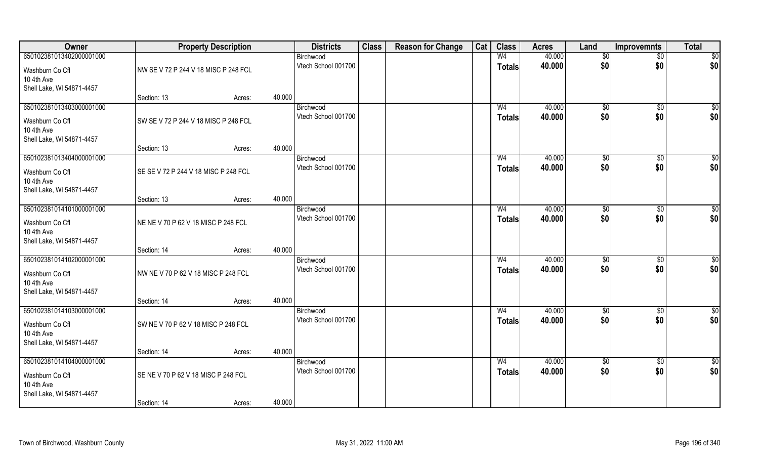| Owner                                                                                  |                                      | <b>Property Description</b> |        | <b>Districts</b>                 | <b>Class</b> | <b>Reason for Change</b> | Cat | <b>Class</b>                    | <b>Acres</b>     | Land            | <b>Improvemnts</b> | <b>Total</b>         |
|----------------------------------------------------------------------------------------|--------------------------------------|-----------------------------|--------|----------------------------------|--------------|--------------------------|-----|---------------------------------|------------------|-----------------|--------------------|----------------------|
| 650102381013402000001000                                                               |                                      |                             |        | Birchwood                        |              |                          |     | W <sub>4</sub>                  | 40.000           | \$0             | $\overline{50}$    | \$0                  |
| Washburn Co Cfl<br>10 4th Ave<br>Shell Lake, WI 54871-4457                             | NW SE V 72 P 244 V 18 MISC P 248 FCL |                             |        | Vtech School 001700              |              |                          |     | <b>Totals</b>                   | 40.000           | \$0             | \$0                | \$0                  |
|                                                                                        | Section: 13                          | Acres:                      | 40.000 |                                  |              |                          |     |                                 |                  |                 |                    |                      |
| 650102381013403000001000                                                               |                                      |                             |        | Birchwood                        |              |                          |     | W <sub>4</sub>                  | 40.000           | \$0             | $\overline{50}$    | $\sqrt{50}$          |
| Washburn Co Cfl<br>10 4th Ave<br>Shell Lake, WI 54871-4457                             | SW SE V 72 P 244 V 18 MISC P 248 FCL |                             |        | Vtech School 001700              |              |                          |     | <b>Totals</b>                   | 40.000           | \$0             | \$0                | \$0                  |
|                                                                                        | Section: 13                          | Acres:                      | 40.000 |                                  |              |                          |     |                                 |                  |                 |                    |                      |
| 650102381013404000001000                                                               |                                      |                             |        | Birchwood                        |              |                          |     | W <sub>4</sub>                  | 40.000           | \$0             | \$0                | $\overline{50}$      |
| Washburn Co Cfl<br>10 4th Ave<br>Shell Lake, WI 54871-4457                             | SE SE V 72 P 244 V 18 MISC P 248 FCL |                             |        | Vtech School 001700              |              |                          |     | <b>Totals</b>                   | 40.000           | \$0             | \$0                | \$0                  |
|                                                                                        | Section: 13                          | Acres:                      | 40.000 |                                  |              |                          |     |                                 |                  |                 |                    |                      |
| 650102381014101000001000                                                               |                                      |                             |        | Birchwood                        |              |                          |     | W <sub>4</sub>                  | 40.000           | $\sqrt[6]{3}$   | $\frac{1}{20}$     | \$                   |
| Washburn Co Cfl<br>10 4th Ave<br>Shell Lake, WI 54871-4457                             | NE NE V 70 P 62 V 18 MISC P 248 FCL  |                             |        | Vtech School 001700              |              |                          |     | <b>Totals</b>                   | 40.000           | \$0             | \$0                | \$0                  |
|                                                                                        | Section: 14                          | Acres:                      | 40.000 |                                  |              |                          |     |                                 |                  |                 |                    |                      |
| 650102381014102000001000<br>Washburn Co Cfl<br>10 4th Ave<br>Shell Lake, WI 54871-4457 | NW NE V 70 P 62 V 18 MISC P 248 FCL  |                             |        | Birchwood<br>Vtech School 001700 |              |                          |     | W <sub>4</sub><br>Totals        | 40.000<br>40.000 | \$0<br>\$0      | \$0<br>\$0         | \$0<br>\$0           |
|                                                                                        | Section: 14                          | Acres:                      | 40.000 |                                  |              |                          |     |                                 |                  |                 |                    |                      |
| 650102381014103000001000<br>Washburn Co Cfl<br>10 4th Ave<br>Shell Lake, WI 54871-4457 | SW NE V 70 P 62 V 18 MISC P 248 FCL  |                             |        | Birchwood<br>Vtech School 001700 |              |                          |     | W <sub>4</sub><br><b>Totals</b> | 40.000<br>40.000 | \$0<br>\$0      | \$0<br>\$0         | $\frac{6}{3}$<br>\$0 |
|                                                                                        | Section: 14                          | Acres:                      | 40.000 |                                  |              |                          |     |                                 |                  |                 |                    |                      |
| 650102381014104000001000                                                               |                                      |                             |        | Birchwood                        |              |                          |     | W <sub>4</sub>                  | 40.000           | $\overline{50}$ | $\overline{50}$    | \$0                  |
| Washburn Co Cfl<br>10 4th Ave<br>Shell Lake, WI 54871-4457                             | SE NE V 70 P 62 V 18 MISC P 248 FCL  |                             |        | Vtech School 001700              |              |                          |     | <b>Totals</b>                   | 40.000           | \$0             | \$0                | \$0                  |
|                                                                                        | Section: 14                          | Acres:                      | 40.000 |                                  |              |                          |     |                                 |                  |                 |                    |                      |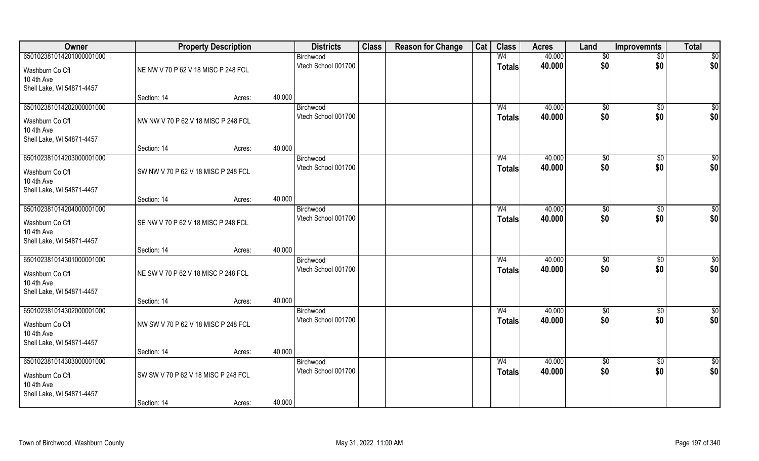| Owner                                                                                  |                                                    | <b>Property Description</b> |        | <b>Districts</b>                 | <b>Class</b> | <b>Reason for Change</b> | Cat | <b>Class</b>                    | <b>Acres</b>     | Land               | <b>Improvemnts</b>     | <b>Total</b>       |
|----------------------------------------------------------------------------------------|----------------------------------------------------|-----------------------------|--------|----------------------------------|--------------|--------------------------|-----|---------------------------------|------------------|--------------------|------------------------|--------------------|
| 650102381014201000001000<br>Washburn Co Cfl<br>10 4th Ave                              | NE NW V 70 P 62 V 18 MISC P 248 FCL                |                             |        | Birchwood<br>Vtech School 001700 |              |                          |     | W <sub>4</sub><br><b>Totals</b> | 40.000<br>40.000 | $\sqrt{6}$<br>\$0  | $\sqrt{$0}$<br>\$0     | \$0<br>\$0         |
| Shell Lake, WI 54871-4457                                                              | Section: 14                                        | Acres:                      | 40.000 |                                  |              |                          |     |                                 |                  |                    |                        |                    |
| 650102381014202000001000<br>Washburn Co Cfl<br>10 4th Ave<br>Shell Lake, WI 54871-4457 | NW NW V 70 P 62 V 18 MISC P 248 FCL                |                             |        | Birchwood<br>Vtech School 001700 |              |                          |     | W <sub>4</sub><br><b>Totals</b> | 40.000<br>40.000 | $\sqrt{50}$<br>\$0 | \$0<br>\$0             | \$0<br>\$0         |
|                                                                                        | Section: 14                                        | Acres:                      | 40.000 |                                  |              |                          |     |                                 |                  |                    |                        |                    |
| 650102381014203000001000<br>Washburn Co Cfl<br>10 4th Ave<br>Shell Lake, WI 54871-4457 | SW NW V 70 P 62 V 18 MISC P 248 FCL                |                             |        | Birchwood<br>Vtech School 001700 |              |                          |     | W <sub>4</sub><br><b>Totals</b> | 40.000<br>40.000 | \$0<br>\$0         | $\overline{50}$<br>\$0 | $\sqrt{50}$<br>\$0 |
|                                                                                        | Section: 14                                        | Acres:                      | 40.000 |                                  |              |                          |     |                                 |                  |                    |                        |                    |
| 650102381014204000001000<br>Washburn Co Cfl<br>10 4th Ave<br>Shell Lake, WI 54871-4457 | SE NW V 70 P 62 V 18 MISC P 248 FCL                |                             |        | Birchwood<br>Vtech School 001700 |              |                          |     | W <sub>4</sub><br><b>Totals</b> | 40.000<br>40.000 | \$0<br>\$0         | $\sqrt[6]{3}$<br>\$0   | $\sqrt{50}$<br>\$0 |
|                                                                                        | Section: 14                                        | Acres:                      | 40.000 |                                  |              |                          |     |                                 |                  |                    |                        |                    |
| 650102381014301000001000<br>Washburn Co Cfl<br>10 4th Ave<br>Shell Lake, WI 54871-4457 | NE SW V 70 P 62 V 18 MISC P 248 FCL                |                             |        | Birchwood<br>Vtech School 001700 |              |                          |     | W <sub>4</sub><br><b>Totals</b> | 40.000<br>40.000 | \$0<br>\$0         | \$0<br>\$0             | $\sqrt{50}$<br>\$0 |
|                                                                                        | Section: 14                                        | Acres:                      | 40.000 |                                  |              |                          |     |                                 |                  |                    |                        |                    |
| 650102381014302000001000<br>Washburn Co Cfl<br>10 4th Ave<br>Shell Lake, WI 54871-4457 | NW SW V 70 P 62 V 18 MISC P 248 FCL                |                             |        | Birchwood<br>Vtech School 001700 |              |                          |     | W <sub>4</sub><br><b>Totals</b> | 40.000<br>40.000 | \$0<br>\$0         | $\sqrt{$0}$<br>\$0     | \$0<br>\$0         |
|                                                                                        | Section: 14                                        | Acres:                      | 40.000 |                                  |              |                          |     |                                 |                  |                    |                        |                    |
| 650102381014303000001000<br>Washburn Co Cfl<br>10 4th Ave<br>Shell Lake, WI 54871-4457 | SW SW V 70 P 62 V 18 MISC P 248 FCL<br>Section: 14 |                             | 40.000 | Birchwood<br>Vtech School 001700 |              |                          |     | W <sub>4</sub><br><b>Totals</b> | 40.000<br>40.000 | $\sqrt{6}$<br>\$0  | $\sqrt{$0}$<br>\$0     | \$0<br>\$0         |
|                                                                                        |                                                    | Acres:                      |        |                                  |              |                          |     |                                 |                  |                    |                        |                    |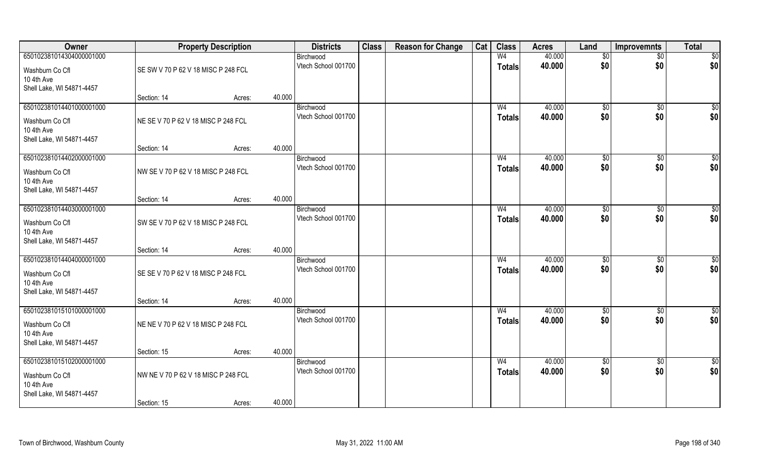| Owner                                                                                  |                                     | <b>Property Description</b> |        | <b>Districts</b>                 | <b>Class</b> | <b>Reason for Change</b> | Cat | <b>Class</b>             | <b>Acres</b>     | Land            | <b>Improvemnts</b> | <b>Total</b>    |
|----------------------------------------------------------------------------------------|-------------------------------------|-----------------------------|--------|----------------------------------|--------------|--------------------------|-----|--------------------------|------------------|-----------------|--------------------|-----------------|
| 650102381014304000001000                                                               |                                     |                             |        | Birchwood                        |              |                          |     | W <sub>4</sub>           | 40.000           | \$0             | $\overline{50}$    | \$0             |
| Washburn Co Cfl<br>10 4th Ave<br>Shell Lake, WI 54871-4457                             | SE SW V 70 P 62 V 18 MISC P 248 FCL |                             |        | Vtech School 001700              |              |                          |     | <b>Totals</b>            | 40.000           | \$0             | \$0                | \$0             |
|                                                                                        | Section: 14                         | Acres:                      | 40.000 |                                  |              |                          |     |                          |                  |                 |                    |                 |
| 650102381014401000001000                                                               |                                     |                             |        | Birchwood                        |              |                          |     | W <sub>4</sub>           | 40.000           | \$0             | $\overline{50}$    | $\sqrt{50}$     |
| Washburn Co Cfl<br>10 4th Ave<br>Shell Lake, WI 54871-4457                             | NE SE V 70 P 62 V 18 MISC P 248 FCL |                             |        | Vtech School 001700              |              |                          |     | <b>Totals</b>            | 40.000           | \$0             | \$0                | \$0             |
|                                                                                        | Section: 14                         | Acres:                      | 40.000 |                                  |              |                          |     |                          |                  |                 |                    |                 |
| 650102381014402000001000                                                               |                                     |                             |        | Birchwood                        |              |                          |     | W <sub>4</sub>           | 40.000           | \$0             | \$0                | $\overline{50}$ |
| Washburn Co Cfl<br>10 4th Ave<br>Shell Lake, WI 54871-4457                             | NW SE V 70 P 62 V 18 MISC P 248 FCL |                             |        | Vtech School 001700              |              |                          |     | <b>Totals</b>            | 40.000           | \$0             | \$0                | \$0             |
|                                                                                        | Section: 14                         | Acres:                      | 40.000 |                                  |              |                          |     |                          |                  |                 |                    |                 |
| 650102381014403000001000                                                               |                                     |                             |        | Birchwood                        |              |                          |     | W <sub>4</sub>           | 40.000           | $\sqrt[6]{3}$   | $\frac{1}{20}$     | \$              |
| Washburn Co Cfl<br>10 4th Ave<br>Shell Lake, WI 54871-4457                             | SW SE V 70 P 62 V 18 MISC P 248 FCL |                             |        | Vtech School 001700              |              |                          |     | <b>Totals</b>            | 40.000           | \$0             | \$0                | \$0             |
|                                                                                        | Section: 14                         | Acres:                      | 40.000 |                                  |              |                          |     |                          |                  |                 |                    |                 |
| 650102381014404000001000<br>Washburn Co Cfl<br>10 4th Ave<br>Shell Lake, WI 54871-4457 | SE SE V 70 P 62 V 18 MISC P 248 FCL |                             |        | Birchwood<br>Vtech School 001700 |              |                          |     | W <sub>4</sub><br>Totals | 40.000<br>40.000 | \$0<br>\$0      | \$0<br>\$0         | \$0<br>\$0      |
|                                                                                        | Section: 14                         | Acres:                      | 40.000 |                                  |              |                          |     |                          |                  |                 |                    |                 |
| 650102381015101000001000                                                               |                                     |                             |        | Birchwood                        |              |                          |     | W <sub>4</sub>           | 40.000           | \$0             | \$0                | $\frac{6}{3}$   |
| Washburn Co Cfl<br>10 4th Ave<br>Shell Lake, WI 54871-4457                             | NE NE V 70 P 62 V 18 MISC P 248 FCL |                             |        | Vtech School 001700              |              |                          |     | <b>Totals</b>            | 40.000           | \$0             | \$0                | \$0             |
|                                                                                        | Section: 15                         | Acres:                      | 40.000 |                                  |              |                          |     |                          |                  |                 |                    |                 |
| 650102381015102000001000                                                               |                                     |                             |        | Birchwood                        |              |                          |     | W <sub>4</sub>           | 40.000           | $\overline{50}$ | $\overline{50}$    | \$0             |
| Washburn Co Cfl<br>10 4th Ave<br>Shell Lake, WI 54871-4457                             | NW NE V 70 P 62 V 18 MISC P 248 FCL |                             |        | Vtech School 001700              |              |                          |     | <b>Totals</b>            | 40.000           | \$0             | \$0                | \$0             |
|                                                                                        | Section: 15                         | Acres:                      | 40.000 |                                  |              |                          |     |                          |                  |                 |                    |                 |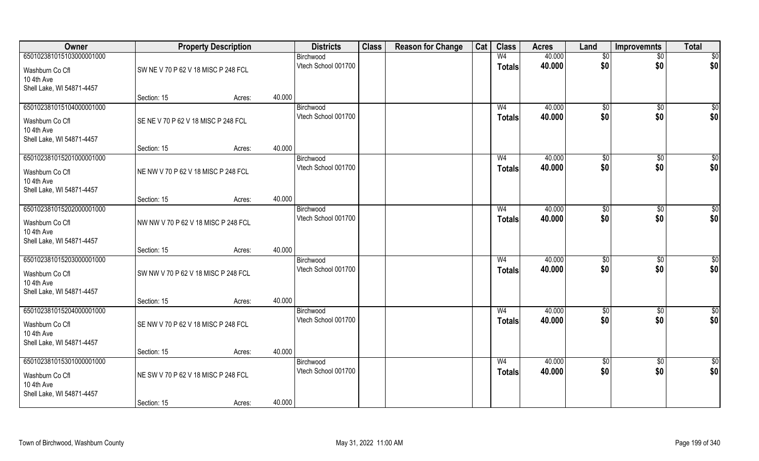| Owner                     |                                     | <b>Property Description</b> |        | <b>Districts</b>                 | <b>Class</b> | <b>Reason for Change</b> | Cat | <b>Class</b>   | <b>Acres</b> | Land              | <b>Improvemnts</b> | <b>Total</b> |
|---------------------------|-------------------------------------|-----------------------------|--------|----------------------------------|--------------|--------------------------|-----|----------------|--------------|-------------------|--------------------|--------------|
| 650102381015103000001000  |                                     |                             |        | Birchwood                        |              |                          |     | W <sub>4</sub> | 40.000       | $\sqrt{6}$        | $\sqrt{$0}$        | \$0          |
| Washburn Co Cfl           | SW NE V 70 P 62 V 18 MISC P 248 FCL |                             |        | Vtech School 001700              |              |                          |     | <b>Totals</b>  | 40.000       | \$0               | \$0                | \$0          |
| 10 4th Ave                |                                     |                             |        |                                  |              |                          |     |                |              |                   |                    |              |
| Shell Lake, WI 54871-4457 | Section: 15                         | Acres:                      | 40.000 |                                  |              |                          |     |                |              |                   |                    |              |
| 650102381015104000001000  |                                     |                             |        | Birchwood                        |              |                          |     | W <sub>4</sub> | 40.000       | $\sqrt{50}$       | \$0                | \$0          |
| Washburn Co Cfl           | SE NE V 70 P 62 V 18 MISC P 248 FCL |                             |        | Vtech School 001700              |              |                          |     | <b>Totals</b>  | 40.000       | \$0               | \$0                | \$0          |
| 10 4th Ave                |                                     |                             |        |                                  |              |                          |     |                |              |                   |                    |              |
| Shell Lake, WI 54871-4457 |                                     |                             |        |                                  |              |                          |     |                |              |                   |                    |              |
|                           | Section: 15                         | Acres:                      | 40.000 |                                  |              |                          |     |                |              |                   |                    |              |
| 650102381015201000001000  |                                     |                             |        | Birchwood                        |              |                          |     | W <sub>4</sub> | 40.000       | \$0               | $\overline{50}$    | $\sqrt{50}$  |
| Washburn Co Cfl           | NE NW V 70 P 62 V 18 MISC P 248 FCL |                             |        | Vtech School 001700              |              |                          |     | <b>Totals</b>  | 40.000       | \$0               | \$0                | \$0          |
| 10 4th Ave                |                                     |                             |        |                                  |              |                          |     |                |              |                   |                    |              |
| Shell Lake, WI 54871-4457 | Section: 15                         | Acres:                      | 40.000 |                                  |              |                          |     |                |              |                   |                    |              |
| 650102381015202000001000  |                                     |                             |        | Birchwood                        |              |                          |     | W <sub>4</sub> | 40.000       | \$0               | $\sqrt[6]{3}$      | $\sqrt{50}$  |
| Washburn Co Cfl           | NW NW V 70 P 62 V 18 MISC P 248 FCL |                             |        | Vtech School 001700              |              |                          |     | <b>Totals</b>  | 40.000       | \$0               | \$0                | \$0          |
| 10 4th Ave                |                                     |                             |        |                                  |              |                          |     |                |              |                   |                    |              |
| Shell Lake, WI 54871-4457 |                                     |                             |        |                                  |              |                          |     |                |              |                   |                    |              |
|                           | Section: 15                         | Acres:                      | 40.000 |                                  |              |                          |     |                |              |                   |                    |              |
| 650102381015203000001000  |                                     |                             |        | Birchwood                        |              |                          |     | W <sub>4</sub> | 40.000       | \$0               | \$0                | $\sqrt{50}$  |
| Washburn Co Cfl           | SW NW V 70 P 62 V 18 MISC P 248 FCL |                             |        | Vtech School 001700              |              |                          |     | <b>Totals</b>  | 40.000       | \$0               | \$0                | \$0          |
| 10 4th Ave                |                                     |                             |        |                                  |              |                          |     |                |              |                   |                    |              |
| Shell Lake, WI 54871-4457 | Section: 15                         | Acres:                      | 40.000 |                                  |              |                          |     |                |              |                   |                    |              |
| 650102381015204000001000  |                                     |                             |        | Birchwood                        |              |                          |     | W <sub>4</sub> | 40.000       | \$0               | $\sqrt{$0}$        | \$0          |
| Washburn Co Cfl           | SE NW V 70 P 62 V 18 MISC P 248 FCL |                             |        | Vtech School 001700              |              |                          |     | <b>Totals</b>  | 40.000       | \$0               | \$0                | \$0          |
| 10 4th Ave                |                                     |                             |        |                                  |              |                          |     |                |              |                   |                    |              |
| Shell Lake, WI 54871-4457 |                                     |                             |        |                                  |              |                          |     |                |              |                   |                    |              |
|                           | Section: 15                         | Acres:                      | 40.000 |                                  |              |                          |     |                |              |                   |                    |              |
| 650102381015301000001000  |                                     |                             |        | Birchwood<br>Vtech School 001700 |              |                          |     | W <sub>4</sub> | 40.000       | $\sqrt{6}$<br>\$0 | $\sqrt{$0}$        | \$0          |
| Washburn Co Cfl           | NE SW V 70 P 62 V 18 MISC P 248 FCL |                             |        |                                  |              |                          |     | <b>Totals</b>  | 40.000       |                   | \$0                | \$0          |
| 10 4th Ave                |                                     |                             |        |                                  |              |                          |     |                |              |                   |                    |              |
| Shell Lake, WI 54871-4457 | Section: 15                         | Acres:                      | 40.000 |                                  |              |                          |     |                |              |                   |                    |              |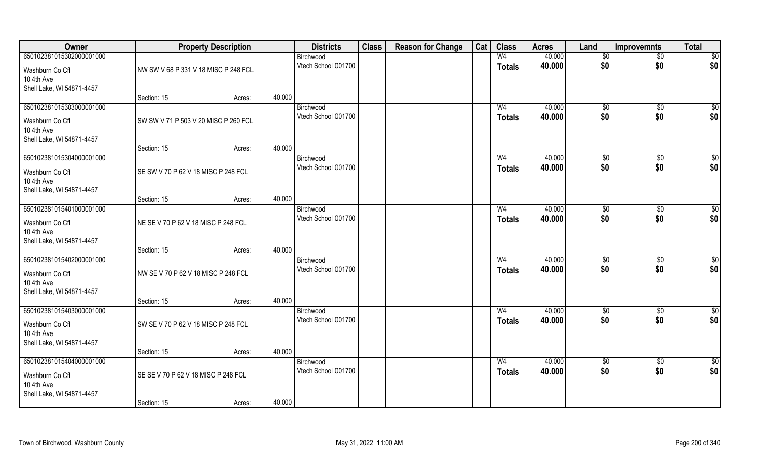| Owner                                                                                  |                                      | <b>Property Description</b> |        | <b>Districts</b>                 | <b>Class</b> | <b>Reason for Change</b> | Cat | <b>Class</b>                    | <b>Acres</b>     | Land                   | <b>Improvemnts</b>    | <b>Total</b>           |
|----------------------------------------------------------------------------------------|--------------------------------------|-----------------------------|--------|----------------------------------|--------------|--------------------------|-----|---------------------------------|------------------|------------------------|-----------------------|------------------------|
| 650102381015302000001000                                                               |                                      |                             |        | Birchwood                        |              |                          |     | W <sub>4</sub>                  | 40.000           | \$0                    | $\overline{50}$       | $\overline{50}$        |
| Washburn Co Cfl<br>10 4th Ave<br>Shell Lake, WI 54871-4457                             | NW SW V 68 P 331 V 18 MISC P 248 FCL |                             |        | Vtech School 001700              |              |                          |     | <b>Totals</b>                   | 40.000           | \$0                    | \$0                   | \$0                    |
|                                                                                        | Section: 15                          | Acres:                      | 40.000 |                                  |              |                          |     |                                 |                  |                        |                       |                        |
| 650102381015303000001000<br>Washburn Co Cfl<br>10 4th Ave<br>Shell Lake, WI 54871-4457 | SW SW V 71 P 503 V 20 MISC P 260 FCL |                             |        | Birchwood<br>Vtech School 001700 |              |                          |     | W <sub>4</sub><br><b>Totals</b> | 40.000<br>40.000 | $\sqrt[6]{}$<br>\$0    | $\sqrt{50}$<br>\$0    | $\sqrt{50}$<br>\$0     |
|                                                                                        | Section: 15                          | Acres:                      | 40.000 |                                  |              |                          |     |                                 |                  |                        |                       |                        |
| 650102381015304000001000                                                               |                                      |                             |        | Birchwood                        |              |                          |     | W <sub>4</sub>                  | 40.000           | \$0                    | $\sqrt[6]{30}$        | $\sqrt{50}$            |
| Washburn Co Cfl<br>10 4th Ave<br>Shell Lake, WI 54871-4457                             | SE SW V 70 P 62 V 18 MISC P 248 FCL  |                             |        | Vtech School 001700              |              |                          |     | <b>Totals</b>                   | 40.000           | \$0                    | \$0                   | \$0                    |
|                                                                                        | Section: 15                          | Acres:                      | 40.000 |                                  |              |                          |     |                                 |                  |                        |                       |                        |
| 650102381015401000001000                                                               |                                      |                             |        | Birchwood                        |              |                          |     | W4                              | 40.000           | $\sqrt[6]{3}$          | $\sqrt[6]{30}$        | \$0                    |
| Washburn Co Cfl<br>10 4th Ave<br>Shell Lake, WI 54871-4457                             | NE SE V 70 P 62 V 18 MISC P 248 FCL  |                             |        | Vtech School 001700              |              |                          |     | <b>Totals</b>                   | 40.000           | \$0                    | \$0                   | \$0                    |
|                                                                                        | Section: 15                          | Acres:                      | 40.000 |                                  |              |                          |     |                                 |                  |                        |                       |                        |
| 650102381015402000001000<br>Washburn Co Cfl<br>10 4th Ave<br>Shell Lake, WI 54871-4457 | NW SE V 70 P 62 V 18 MISC P 248 FCL  |                             |        | Birchwood<br>Vtech School 001700 |              |                          |     | W <sub>4</sub><br><b>Totals</b> | 40.000<br>40.000 | \$0<br>\$0             | $\sqrt[6]{30}$<br>\$0 | $\overline{50}$<br>\$0 |
|                                                                                        | Section: 15                          | Acres:                      | 40.000 |                                  |              |                          |     |                                 |                  |                        |                       |                        |
| 650102381015403000001000<br>Washburn Co Cfl<br>10 4th Ave<br>Shell Lake, WI 54871-4457 | SW SE V 70 P 62 V 18 MISC P 248 FCL  |                             |        | Birchwood<br>Vtech School 001700 |              |                          |     | W <sub>4</sub><br><b>Totals</b> | 40.000<br>40.000 | \$0<br>\$0             | \$0<br>\$0            | \$0<br>\$0             |
|                                                                                        | Section: 15                          | Acres:                      | 40.000 |                                  |              |                          |     |                                 |                  |                        |                       |                        |
| 650102381015404000001000<br>Washburn Co Cfl<br>10 4th Ave                              | SE SE V 70 P 62 V 18 MISC P 248 FCL  |                             |        | Birchwood<br>Vtech School 001700 |              |                          |     | W <sub>4</sub><br><b>Totals</b> | 40.000<br>40.000 | $\overline{50}$<br>\$0 | $\sqrt{6}$<br>\$0     | \$0<br>\$0             |
| Shell Lake, WI 54871-4457                                                              | Section: 15                          | Acres:                      | 40.000 |                                  |              |                          |     |                                 |                  |                        |                       |                        |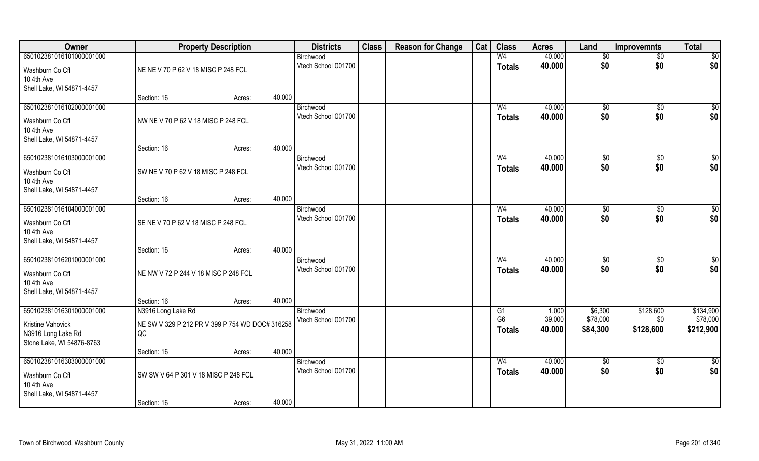| 40.000<br>650102381016101000001000<br>W <sub>4</sub><br>Birchwood<br>$\sqrt{$0}$<br>\$0<br>Vtech School 001700<br>40.000<br>\$0<br>\$0<br><b>Totals</b><br>NE NE V 70 P 62 V 18 MISC P 248 FCL<br>Washburn Co Cfl<br>10 4th Ave<br>Shell Lake, WI 54871-4457<br>40.000<br>Section: 16<br>Acres:<br>650102381016102000001000<br>40.000<br>W <sub>4</sub><br>$\sqrt[6]{}$<br>$\sqrt{$0}$<br>Birchwood<br>40.000<br>\$0<br>\$0<br>Vtech School 001700<br>Totals<br>NW NE V 70 P 62 V 18 MISC P 248 FCL<br>Washburn Co Cfl<br>10 4th Ave<br>Shell Lake, WI 54871-4457<br>40.000<br>Section: 16<br>Acres:<br>650102381016103000001000<br>40.000<br>$\overline{50}$<br>W <sub>4</sub><br>\$0<br>Birchwood<br>\$0<br>\$0<br>Vtech School 001700<br>40.000<br><b>Totals</b><br>SW NE V 70 P 62 V 18 MISC P 248 FCL<br>Washburn Co Cfl<br>10 4th Ave<br>Shell Lake, WI 54871-4457<br>40.000<br>Section: 16<br>Acres:<br>650102381016104000001000<br>40.000<br>W <sub>4</sub><br>$\frac{1}{20}$<br>$\sqrt[6]{3}$<br>Birchwood<br>\$0<br>Vtech School 001700<br>40.000<br>\$0<br><b>Totals</b><br>SE NE V 70 P 62 V 18 MISC P 248 FCL<br>Washburn Co Cfl<br>10 4th Ave<br>Shell Lake, WI 54871-4457<br>40.000<br>Section: 16<br>Acres:<br>650102381016201000001000<br>W <sub>4</sub><br>40.000<br>$\overline{50}$<br>\$0<br>Birchwood<br>40.000<br>\$0<br>Vtech School 001700<br>\$0<br><b>Totals</b><br>NE NW V 72 P 244 V 18 MISC P 248 FCL<br>Washburn Co Cfl<br>10 4th Ave<br>Shell Lake, WI 54871-4457<br>40.000<br>Section: 16<br>Acres:<br>650102381016301000001000<br>N3916 Long Lake Rd<br>\$6,300<br>\$128,600<br>G1<br>1.000<br>Birchwood<br>G <sub>6</sub><br>39.000<br>\$78,000<br>Vtech School 001700<br>\$0<br>NE SW V 329 P 212 PR V 399 P 754 WD DOC# 316258<br>Kristine Vahovick<br>40.000<br>\$84,300<br>\$128,600<br><b>Totals</b><br>N3916 Long Lake Rd<br>QC<br>Stone Lake, WI 54876-8763<br>40.000<br>Section: 16<br>Acres:<br>650102381016303000001000<br>W <sub>4</sub><br>40.000<br>$\sqrt{6}$<br>$\sqrt{$0}$<br>Birchwood<br>\$0<br>\$0<br>Vtech School 001700<br>40.000<br><b>Totals</b><br>SW SW V 64 P 301 V 18 MISC P 248 FCL<br>Washburn Co Cfl<br>10 4th Ave<br>Shell Lake, WI 54871-4457 | Owner |             | <b>Property Description</b> |        | <b>Districts</b> | <b>Class</b> | <b>Reason for Change</b> | Cat | <b>Class</b> | <b>Acres</b> | Land | <b>Improvemnts</b> | <b>Total</b> |
|-----------------------------------------------------------------------------------------------------------------------------------------------------------------------------------------------------------------------------------------------------------------------------------------------------------------------------------------------------------------------------------------------------------------------------------------------------------------------------------------------------------------------------------------------------------------------------------------------------------------------------------------------------------------------------------------------------------------------------------------------------------------------------------------------------------------------------------------------------------------------------------------------------------------------------------------------------------------------------------------------------------------------------------------------------------------------------------------------------------------------------------------------------------------------------------------------------------------------------------------------------------------------------------------------------------------------------------------------------------------------------------------------------------------------------------------------------------------------------------------------------------------------------------------------------------------------------------------------------------------------------------------------------------------------------------------------------------------------------------------------------------------------------------------------------------------------------------------------------------------------------------------------------------------------------------------------------------------------------------------------------------------------------------------------------------------------------------------------------------------------------------------------------------------------------------------------------------------|-------|-------------|-----------------------------|--------|------------------|--------------|--------------------------|-----|--------------|--------------|------|--------------------|--------------|
| \$0 <br>\$0<br>\$0 <br>$\sqrt{50}$<br>\$0 <br>\$0<br>\$0 <br>$\overline{50}$<br>\$0 <br>\$134,900<br>\$78,000<br>\$212,900<br>$\overline{50}$<br>\$0                                                                                                                                                                                                                                                                                                                                                                                                                                                                                                                                                                                                                                                                                                                                                                                                                                                                                                                                                                                                                                                                                                                                                                                                                                                                                                                                                                                                                                                                                                                                                                                                                                                                                                                                                                                                                                                                                                                                                                                                                                                            |       |             |                             |        |                  |              |                          |     |              |              |      |                    | \$0          |
|                                                                                                                                                                                                                                                                                                                                                                                                                                                                                                                                                                                                                                                                                                                                                                                                                                                                                                                                                                                                                                                                                                                                                                                                                                                                                                                                                                                                                                                                                                                                                                                                                                                                                                                                                                                                                                                                                                                                                                                                                                                                                                                                                                                                                 |       |             |                             |        |                  |              |                          |     |              |              |      |                    |              |
|                                                                                                                                                                                                                                                                                                                                                                                                                                                                                                                                                                                                                                                                                                                                                                                                                                                                                                                                                                                                                                                                                                                                                                                                                                                                                                                                                                                                                                                                                                                                                                                                                                                                                                                                                                                                                                                                                                                                                                                                                                                                                                                                                                                                                 |       |             |                             |        |                  |              |                          |     |              |              |      |                    |              |
|                                                                                                                                                                                                                                                                                                                                                                                                                                                                                                                                                                                                                                                                                                                                                                                                                                                                                                                                                                                                                                                                                                                                                                                                                                                                                                                                                                                                                                                                                                                                                                                                                                                                                                                                                                                                                                                                                                                                                                                                                                                                                                                                                                                                                 |       |             |                             |        |                  |              |                          |     |              |              |      |                    |              |
|                                                                                                                                                                                                                                                                                                                                                                                                                                                                                                                                                                                                                                                                                                                                                                                                                                                                                                                                                                                                                                                                                                                                                                                                                                                                                                                                                                                                                                                                                                                                                                                                                                                                                                                                                                                                                                                                                                                                                                                                                                                                                                                                                                                                                 |       |             |                             |        |                  |              |                          |     |              |              |      |                    |              |
|                                                                                                                                                                                                                                                                                                                                                                                                                                                                                                                                                                                                                                                                                                                                                                                                                                                                                                                                                                                                                                                                                                                                                                                                                                                                                                                                                                                                                                                                                                                                                                                                                                                                                                                                                                                                                                                                                                                                                                                                                                                                                                                                                                                                                 |       |             |                             |        |                  |              |                          |     |              |              |      |                    |              |
|                                                                                                                                                                                                                                                                                                                                                                                                                                                                                                                                                                                                                                                                                                                                                                                                                                                                                                                                                                                                                                                                                                                                                                                                                                                                                                                                                                                                                                                                                                                                                                                                                                                                                                                                                                                                                                                                                                                                                                                                                                                                                                                                                                                                                 |       |             |                             |        |                  |              |                          |     |              |              |      |                    |              |
|                                                                                                                                                                                                                                                                                                                                                                                                                                                                                                                                                                                                                                                                                                                                                                                                                                                                                                                                                                                                                                                                                                                                                                                                                                                                                                                                                                                                                                                                                                                                                                                                                                                                                                                                                                                                                                                                                                                                                                                                                                                                                                                                                                                                                 |       |             |                             |        |                  |              |                          |     |              |              |      |                    |              |
|                                                                                                                                                                                                                                                                                                                                                                                                                                                                                                                                                                                                                                                                                                                                                                                                                                                                                                                                                                                                                                                                                                                                                                                                                                                                                                                                                                                                                                                                                                                                                                                                                                                                                                                                                                                                                                                                                                                                                                                                                                                                                                                                                                                                                 |       |             |                             |        |                  |              |                          |     |              |              |      |                    |              |
|                                                                                                                                                                                                                                                                                                                                                                                                                                                                                                                                                                                                                                                                                                                                                                                                                                                                                                                                                                                                                                                                                                                                                                                                                                                                                                                                                                                                                                                                                                                                                                                                                                                                                                                                                                                                                                                                                                                                                                                                                                                                                                                                                                                                                 |       |             |                             |        |                  |              |                          |     |              |              |      |                    |              |
|                                                                                                                                                                                                                                                                                                                                                                                                                                                                                                                                                                                                                                                                                                                                                                                                                                                                                                                                                                                                                                                                                                                                                                                                                                                                                                                                                                                                                                                                                                                                                                                                                                                                                                                                                                                                                                                                                                                                                                                                                                                                                                                                                                                                                 |       |             |                             |        |                  |              |                          |     |              |              |      |                    |              |
|                                                                                                                                                                                                                                                                                                                                                                                                                                                                                                                                                                                                                                                                                                                                                                                                                                                                                                                                                                                                                                                                                                                                                                                                                                                                                                                                                                                                                                                                                                                                                                                                                                                                                                                                                                                                                                                                                                                                                                                                                                                                                                                                                                                                                 |       |             |                             |        |                  |              |                          |     |              |              |      |                    |              |
|                                                                                                                                                                                                                                                                                                                                                                                                                                                                                                                                                                                                                                                                                                                                                                                                                                                                                                                                                                                                                                                                                                                                                                                                                                                                                                                                                                                                                                                                                                                                                                                                                                                                                                                                                                                                                                                                                                                                                                                                                                                                                                                                                                                                                 |       |             |                             |        |                  |              |                          |     |              |              |      |                    |              |
|                                                                                                                                                                                                                                                                                                                                                                                                                                                                                                                                                                                                                                                                                                                                                                                                                                                                                                                                                                                                                                                                                                                                                                                                                                                                                                                                                                                                                                                                                                                                                                                                                                                                                                                                                                                                                                                                                                                                                                                                                                                                                                                                                                                                                 |       |             |                             |        |                  |              |                          |     |              |              |      |                    |              |
|                                                                                                                                                                                                                                                                                                                                                                                                                                                                                                                                                                                                                                                                                                                                                                                                                                                                                                                                                                                                                                                                                                                                                                                                                                                                                                                                                                                                                                                                                                                                                                                                                                                                                                                                                                                                                                                                                                                                                                                                                                                                                                                                                                                                                 |       |             |                             |        |                  |              |                          |     |              |              |      |                    |              |
|                                                                                                                                                                                                                                                                                                                                                                                                                                                                                                                                                                                                                                                                                                                                                                                                                                                                                                                                                                                                                                                                                                                                                                                                                                                                                                                                                                                                                                                                                                                                                                                                                                                                                                                                                                                                                                                                                                                                                                                                                                                                                                                                                                                                                 |       |             |                             |        |                  |              |                          |     |              |              |      |                    |              |
|                                                                                                                                                                                                                                                                                                                                                                                                                                                                                                                                                                                                                                                                                                                                                                                                                                                                                                                                                                                                                                                                                                                                                                                                                                                                                                                                                                                                                                                                                                                                                                                                                                                                                                                                                                                                                                                                                                                                                                                                                                                                                                                                                                                                                 |       |             |                             |        |                  |              |                          |     |              |              |      |                    |              |
|                                                                                                                                                                                                                                                                                                                                                                                                                                                                                                                                                                                                                                                                                                                                                                                                                                                                                                                                                                                                                                                                                                                                                                                                                                                                                                                                                                                                                                                                                                                                                                                                                                                                                                                                                                                                                                                                                                                                                                                                                                                                                                                                                                                                                 |       |             |                             |        |                  |              |                          |     |              |              |      |                    |              |
|                                                                                                                                                                                                                                                                                                                                                                                                                                                                                                                                                                                                                                                                                                                                                                                                                                                                                                                                                                                                                                                                                                                                                                                                                                                                                                                                                                                                                                                                                                                                                                                                                                                                                                                                                                                                                                                                                                                                                                                                                                                                                                                                                                                                                 |       |             |                             |        |                  |              |                          |     |              |              |      |                    |              |
|                                                                                                                                                                                                                                                                                                                                                                                                                                                                                                                                                                                                                                                                                                                                                                                                                                                                                                                                                                                                                                                                                                                                                                                                                                                                                                                                                                                                                                                                                                                                                                                                                                                                                                                                                                                                                                                                                                                                                                                                                                                                                                                                                                                                                 |       |             |                             |        |                  |              |                          |     |              |              |      |                    |              |
|                                                                                                                                                                                                                                                                                                                                                                                                                                                                                                                                                                                                                                                                                                                                                                                                                                                                                                                                                                                                                                                                                                                                                                                                                                                                                                                                                                                                                                                                                                                                                                                                                                                                                                                                                                                                                                                                                                                                                                                                                                                                                                                                                                                                                 |       |             |                             |        |                  |              |                          |     |              |              |      |                    |              |
|                                                                                                                                                                                                                                                                                                                                                                                                                                                                                                                                                                                                                                                                                                                                                                                                                                                                                                                                                                                                                                                                                                                                                                                                                                                                                                                                                                                                                                                                                                                                                                                                                                                                                                                                                                                                                                                                                                                                                                                                                                                                                                                                                                                                                 |       |             |                             |        |                  |              |                          |     |              |              |      |                    |              |
|                                                                                                                                                                                                                                                                                                                                                                                                                                                                                                                                                                                                                                                                                                                                                                                                                                                                                                                                                                                                                                                                                                                                                                                                                                                                                                                                                                                                                                                                                                                                                                                                                                                                                                                                                                                                                                                                                                                                                                                                                                                                                                                                                                                                                 |       |             |                             |        |                  |              |                          |     |              |              |      |                    |              |
|                                                                                                                                                                                                                                                                                                                                                                                                                                                                                                                                                                                                                                                                                                                                                                                                                                                                                                                                                                                                                                                                                                                                                                                                                                                                                                                                                                                                                                                                                                                                                                                                                                                                                                                                                                                                                                                                                                                                                                                                                                                                                                                                                                                                                 |       |             |                             |        |                  |              |                          |     |              |              |      |                    |              |
|                                                                                                                                                                                                                                                                                                                                                                                                                                                                                                                                                                                                                                                                                                                                                                                                                                                                                                                                                                                                                                                                                                                                                                                                                                                                                                                                                                                                                                                                                                                                                                                                                                                                                                                                                                                                                                                                                                                                                                                                                                                                                                                                                                                                                 |       |             |                             |        |                  |              |                          |     |              |              |      |                    |              |
|                                                                                                                                                                                                                                                                                                                                                                                                                                                                                                                                                                                                                                                                                                                                                                                                                                                                                                                                                                                                                                                                                                                                                                                                                                                                                                                                                                                                                                                                                                                                                                                                                                                                                                                                                                                                                                                                                                                                                                                                                                                                                                                                                                                                                 |       |             |                             |        |                  |              |                          |     |              |              |      |                    |              |
|                                                                                                                                                                                                                                                                                                                                                                                                                                                                                                                                                                                                                                                                                                                                                                                                                                                                                                                                                                                                                                                                                                                                                                                                                                                                                                                                                                                                                                                                                                                                                                                                                                                                                                                                                                                                                                                                                                                                                                                                                                                                                                                                                                                                                 |       |             |                             |        |                  |              |                          |     |              |              |      |                    |              |
|                                                                                                                                                                                                                                                                                                                                                                                                                                                                                                                                                                                                                                                                                                                                                                                                                                                                                                                                                                                                                                                                                                                                                                                                                                                                                                                                                                                                                                                                                                                                                                                                                                                                                                                                                                                                                                                                                                                                                                                                                                                                                                                                                                                                                 |       |             |                             |        |                  |              |                          |     |              |              |      |                    |              |
|                                                                                                                                                                                                                                                                                                                                                                                                                                                                                                                                                                                                                                                                                                                                                                                                                                                                                                                                                                                                                                                                                                                                                                                                                                                                                                                                                                                                                                                                                                                                                                                                                                                                                                                                                                                                                                                                                                                                                                                                                                                                                                                                                                                                                 |       |             |                             |        |                  |              |                          |     |              |              |      |                    |              |
|                                                                                                                                                                                                                                                                                                                                                                                                                                                                                                                                                                                                                                                                                                                                                                                                                                                                                                                                                                                                                                                                                                                                                                                                                                                                                                                                                                                                                                                                                                                                                                                                                                                                                                                                                                                                                                                                                                                                                                                                                                                                                                                                                                                                                 |       |             |                             |        |                  |              |                          |     |              |              |      |                    |              |
|                                                                                                                                                                                                                                                                                                                                                                                                                                                                                                                                                                                                                                                                                                                                                                                                                                                                                                                                                                                                                                                                                                                                                                                                                                                                                                                                                                                                                                                                                                                                                                                                                                                                                                                                                                                                                                                                                                                                                                                                                                                                                                                                                                                                                 |       |             |                             |        |                  |              |                          |     |              |              |      |                    |              |
|                                                                                                                                                                                                                                                                                                                                                                                                                                                                                                                                                                                                                                                                                                                                                                                                                                                                                                                                                                                                                                                                                                                                                                                                                                                                                                                                                                                                                                                                                                                                                                                                                                                                                                                                                                                                                                                                                                                                                                                                                                                                                                                                                                                                                 |       |             |                             |        |                  |              |                          |     |              |              |      |                    |              |
|                                                                                                                                                                                                                                                                                                                                                                                                                                                                                                                                                                                                                                                                                                                                                                                                                                                                                                                                                                                                                                                                                                                                                                                                                                                                                                                                                                                                                                                                                                                                                                                                                                                                                                                                                                                                                                                                                                                                                                                                                                                                                                                                                                                                                 |       | Section: 16 | Acres:                      | 40.000 |                  |              |                          |     |              |              |      |                    |              |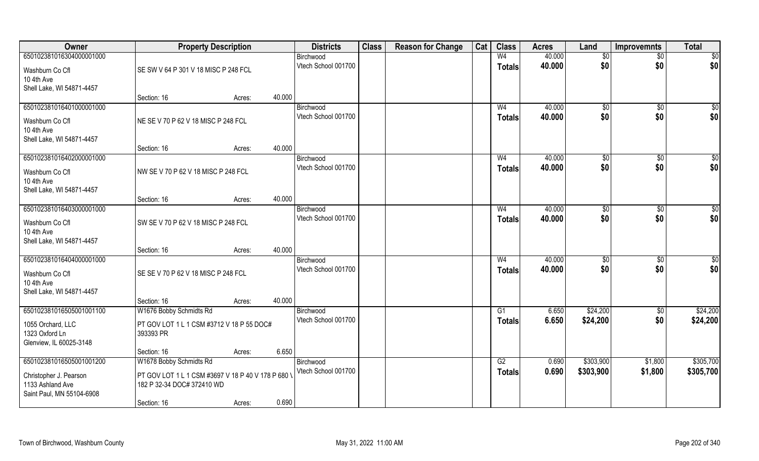| Owner                     | <b>Property Description</b>                        |                  | <b>Districts</b>    | <b>Class</b> | <b>Reason for Change</b> | Cat | <b>Class</b>   | <b>Acres</b> | Land           | <b>Improvemnts</b> | <b>Total</b>    |
|---------------------------|----------------------------------------------------|------------------|---------------------|--------------|--------------------------|-----|----------------|--------------|----------------|--------------------|-----------------|
| 650102381016304000001000  |                                                    |                  | Birchwood           |              |                          |     | W <sub>4</sub> | 40.000       | \$0            | $\overline{50}$    | $\overline{50}$ |
| Washburn Co Cfl           | SE SW V 64 P 301 V 18 MISC P 248 FCL               |                  | Vtech School 001700 |              |                          |     | <b>Totals</b>  | 40.000       | \$0            | \$0                | \$0             |
| 10 4th Ave                |                                                    |                  |                     |              |                          |     |                |              |                |                    |                 |
| Shell Lake, WI 54871-4457 |                                                    |                  |                     |              |                          |     |                |              |                |                    |                 |
|                           | Section: 16                                        | 40.000<br>Acres: |                     |              |                          |     |                |              |                |                    |                 |
| 650102381016401000001000  |                                                    |                  | Birchwood           |              |                          |     | W4             | 40.000       | \$0            | \$0                | \$0             |
| Washburn Co Cfl           | NE SE V 70 P 62 V 18 MISC P 248 FCL                |                  | Vtech School 001700 |              |                          |     | <b>Totals</b>  | 40.000       | \$0            | \$0                | \$0             |
| 10 4th Ave                |                                                    |                  |                     |              |                          |     |                |              |                |                    |                 |
| Shell Lake, WI 54871-4457 |                                                    |                  |                     |              |                          |     |                |              |                |                    |                 |
|                           | Section: 16                                        | 40.000<br>Acres: |                     |              |                          |     |                |              |                |                    |                 |
| 650102381016402000001000  |                                                    |                  | Birchwood           |              |                          |     | W <sub>4</sub> | 40.000       | \$0            | $\sqrt[6]{30}$     | \$0             |
| Washburn Co Cfl           | NW SE V 70 P 62 V 18 MISC P 248 FCL                |                  | Vtech School 001700 |              |                          |     | <b>Totals</b>  | 40.000       | \$0            | \$0                | \$0             |
| 10 4th Ave                |                                                    |                  |                     |              |                          |     |                |              |                |                    |                 |
| Shell Lake, WI 54871-4457 |                                                    |                  |                     |              |                          |     |                |              |                |                    |                 |
|                           | Section: 16                                        | 40.000<br>Acres: |                     |              |                          |     |                |              |                |                    |                 |
| 650102381016403000001000  |                                                    |                  | Birchwood           |              |                          |     | W <sub>4</sub> | 40.000       | $\frac{1}{20}$ | $\sqrt[6]{3}$      | \$0             |
| Washburn Co Cfl           | SW SE V 70 P 62 V 18 MISC P 248 FCL                |                  | Vtech School 001700 |              |                          |     | <b>Totals</b>  | 40.000       | \$0            | \$0                | \$0             |
| 10 4th Ave                |                                                    |                  |                     |              |                          |     |                |              |                |                    |                 |
| Shell Lake, WI 54871-4457 |                                                    |                  |                     |              |                          |     |                |              |                |                    |                 |
|                           | Section: 16                                        | 40.000<br>Acres: |                     |              |                          |     |                |              |                |                    |                 |
| 650102381016404000001000  |                                                    |                  | Birchwood           |              |                          |     | W <sub>4</sub> | 40.000       | $\sqrt[6]{3}$  | $\sqrt[6]{30}$     | \$0             |
| Washburn Co Cfl           | SE SE V 70 P 62 V 18 MISC P 248 FCL                |                  | Vtech School 001700 |              |                          |     | <b>Totals</b>  | 40.000       | \$0            | \$0                | \$0             |
| 10 4th Ave                |                                                    |                  |                     |              |                          |     |                |              |                |                    |                 |
| Shell Lake, WI 54871-4457 |                                                    |                  |                     |              |                          |     |                |              |                |                    |                 |
|                           | Section: 16                                        | 40.000<br>Acres: |                     |              |                          |     |                |              |                |                    |                 |
| 650102381016505001001100  | W1676 Bobby Schmidts Rd                            |                  | Birchwood           |              |                          |     | G1             | 6.650        | \$24,200       | \$0                | \$24,200        |
| 1055 Orchard, LLC         | PT GOV LOT 1 L 1 CSM #3712 V 18 P 55 DOC#          |                  | Vtech School 001700 |              |                          |     | <b>Totals</b>  | 6.650        | \$24,200       | \$0                | \$24,200        |
| 1323 Oxford Ln            | 393393 PR                                          |                  |                     |              |                          |     |                |              |                |                    |                 |
| Glenview, IL 60025-3148   |                                                    |                  |                     |              |                          |     |                |              |                |                    |                 |
|                           | Section: 16                                        | Acres:           | 6.650               |              |                          |     |                |              |                |                    |                 |
| 650102381016505001001200  | W1678 Bobby Schmidts Rd                            |                  | Birchwood           |              |                          |     | G2             | 0.690        | \$303,900      | \$1,800            | \$305,700       |
| Christopher J. Pearson    | PT GOV LOT 1 L 1 CSM #3697 V 18 P 40 V 178 P 680 \ |                  | Vtech School 001700 |              |                          |     | <b>Totals</b>  | 0.690        | \$303,900      | \$1,800            | \$305,700       |
| 1133 Ashland Ave          | 182 P 32-34 DOC# 372410 WD                         |                  |                     |              |                          |     |                |              |                |                    |                 |
| Saint Paul, MN 55104-6908 |                                                    |                  |                     |              |                          |     |                |              |                |                    |                 |
|                           | Section: 16                                        | Acres:           | 0.690               |              |                          |     |                |              |                |                    |                 |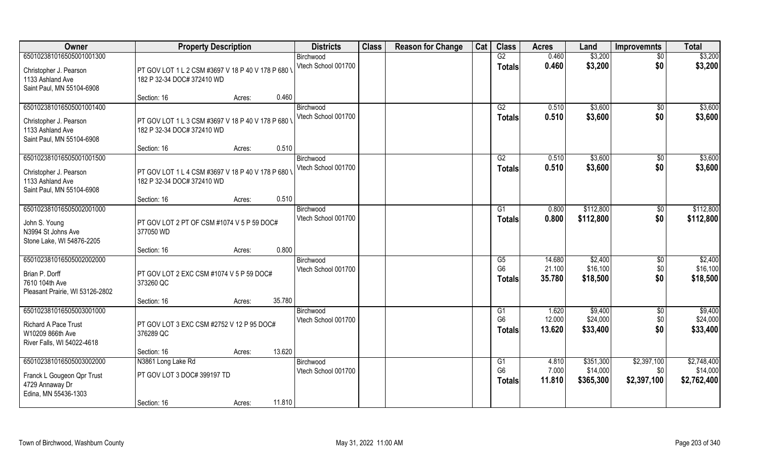| Owner                                                                                                     | <b>Property Description</b>                                                      | <b>Districts</b>                 | <b>Class</b> | <b>Reason for Change</b> | Cat | <b>Class</b>                          | <b>Acres</b>               | Land                               | <b>Improvemnts</b>                | <b>Total</b>                           |
|-----------------------------------------------------------------------------------------------------------|----------------------------------------------------------------------------------|----------------------------------|--------------|--------------------------|-----|---------------------------------------|----------------------------|------------------------------------|-----------------------------------|----------------------------------------|
| 650102381016505001001300                                                                                  |                                                                                  | Birchwood                        |              |                          |     | G2                                    | 0.460                      | \$3,200                            | $\overline{50}$                   | \$3,200                                |
| Christopher J. Pearson<br>1133 Ashland Ave<br>Saint Paul, MN 55104-6908                                   | PT GOV LOT 1 L 2 CSM #3697 V 18 P 40 V 178 P 680 \<br>182 P 32-34 DOC# 372410 WD | Vtech School 001700              |              |                          |     | <b>Totals</b>                         | 0.460                      | \$3,200                            | \$0                               | \$3,200                                |
|                                                                                                           | 0.460<br>Section: 16<br>Acres:                                                   |                                  |              |                          |     |                                       |                            |                                    |                                   |                                        |
| 650102381016505001001400                                                                                  |                                                                                  | Birchwood                        |              |                          |     | G2                                    | 0.510                      | \$3,600                            | \$0                               | \$3,600                                |
| Christopher J. Pearson<br>1133 Ashland Ave<br>Saint Paul, MN 55104-6908                                   | PT GOV LOT 1 L 3 CSM #3697 V 18 P 40 V 178 P 680 \<br>182 P 32-34 DOC# 372410 WD | Vtech School 001700              |              |                          |     | <b>Totals</b>                         | 0.510                      | \$3,600                            | \$0                               | \$3,600                                |
|                                                                                                           | 0.510<br>Section: 16<br>Acres:                                                   |                                  |              |                          |     |                                       |                            |                                    |                                   |                                        |
| 650102381016505001001500                                                                                  |                                                                                  | Birchwood                        |              |                          |     | G2                                    | 0.510                      | \$3,600                            | $\sqrt{6}$                        | \$3,600                                |
| Christopher J. Pearson<br>1133 Ashland Ave<br>Saint Paul, MN 55104-6908                                   | PT GOV LOT 1 L 4 CSM #3697 V 18 P 40 V 178 P 680 \<br>182 P 32-34 DOC# 372410 WD | Vtech School 001700              |              |                          |     | <b>Totals</b>                         | 0.510                      | \$3,600                            | \$0                               | \$3,600                                |
|                                                                                                           | 0.510<br>Section: 16<br>Acres:                                                   |                                  |              |                          |     |                                       |                            |                                    |                                   |                                        |
| 650102381016505002001000                                                                                  |                                                                                  | Birchwood                        |              |                          |     | G <sub>1</sub>                        | 0.800                      | \$112,800                          | \$0                               | \$112,800                              |
| John S. Young<br>N3994 St Johns Ave<br>Stone Lake, WI 54876-2205                                          | PT GOV LOT 2 PT OF CSM #1074 V 5 P 59 DOC#<br>377050 WD                          | Vtech School 001700              |              |                          |     | <b>Totals</b>                         | 0.800                      | \$112,800                          | \$0                               | \$112,800                              |
|                                                                                                           | 0.800<br>Section: 16<br>Acres:                                                   |                                  |              |                          |     |                                       |                            |                                    |                                   |                                        |
| 650102381016505002002000<br>Brian P. Dorff<br>7610 104th Ave<br>Pleasant Prairie, WI 53126-2802           | PT GOV LOT 2 EXC CSM #1074 V 5 P 59 DOC#<br>373260 QC                            | Birchwood<br>Vtech School 001700 |              |                          |     | G5<br>G <sub>6</sub><br><b>Totals</b> | 14.680<br>21.100<br>35.780 | \$2,400<br>\$16,100<br>\$18,500    | \$0<br>\$0<br>\$0                 | \$2,400<br>\$16,100<br>\$18,500        |
|                                                                                                           | 35.780<br>Section: 16<br>Acres:                                                  |                                  |              |                          |     |                                       |                            |                                    |                                   |                                        |
| 650102381016505003001000<br><b>Richard A Pace Trust</b><br>W10209 866th Ave<br>River Falls, WI 54022-4618 | PT GOV LOT 3 EXC CSM #2752 V 12 P 95 DOC#<br>376289 QC                           | Birchwood<br>Vtech School 001700 |              |                          |     | G1<br>G <sub>6</sub><br><b>Totals</b> | 1.620<br>12.000<br>13.620  | \$9,400<br>\$24,000<br>\$33,400    | \$0<br>\$0<br>\$0                 | \$9,400<br>\$24,000<br>\$33,400        |
|                                                                                                           | 13.620<br>Section: 16<br>Acres:                                                  |                                  |              |                          |     |                                       |                            |                                    |                                   |                                        |
| 650102381016505003002000<br>Franck L Gougeon Qpr Trust<br>4729 Annaway Dr<br>Edina, MN 55436-1303         | N3861 Long Lake Rd<br>PT GOV LOT 3 DOC# 399197 TD                                | Birchwood<br>Vtech School 001700 |              |                          |     | G1<br>G <sub>6</sub><br><b>Totals</b> | 4.810<br>7.000<br>11.810   | \$351,300<br>\$14,000<br>\$365,300 | \$2,397,100<br>\$0<br>\$2,397,100 | \$2,748,400<br>\$14,000<br>\$2,762,400 |
|                                                                                                           | 11.810<br>Section: 16<br>Acres:                                                  |                                  |              |                          |     |                                       |                            |                                    |                                   |                                        |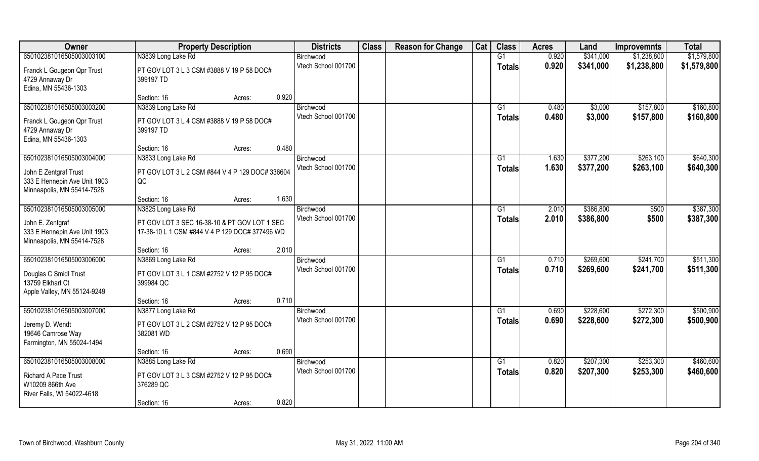| Owner                                                                               | <b>Property Description</b>                                                                    |                 | <b>Districts</b>                 | <b>Class</b> | <b>Reason for Change</b> | Cat | <b>Class</b>        | <b>Acres</b>   | Land               | <b>Improvemnts</b>     | <b>Total</b>           |
|-------------------------------------------------------------------------------------|------------------------------------------------------------------------------------------------|-----------------|----------------------------------|--------------|--------------------------|-----|---------------------|----------------|--------------------|------------------------|------------------------|
| 650102381016505003003100                                                            | N3839 Long Lake Rd                                                                             |                 | Birchwood                        |              |                          |     | $\overline{G1}$     | 0.920          | \$341,000          | \$1,238,800            | \$1,579,800            |
| Franck L Gougeon Qpr Trust<br>4729 Annaway Dr<br>Edina, MN 55436-1303               | PT GOV LOT 3 L 3 CSM #3888 V 19 P 58 DOC#<br>399197 TD                                         |                 | Vtech School 001700              |              |                          |     | <b>Totals</b>       | 0.920          | \$341,000          | \$1,238,800            | \$1,579,800            |
|                                                                                     | Section: 16                                                                                    | 0.920<br>Acres: |                                  |              |                          |     |                     |                |                    |                        |                        |
| 650102381016505003003200                                                            | N3839 Long Lake Rd                                                                             |                 | Birchwood<br>Vtech School 001700 |              |                          |     | G1<br><b>Totals</b> | 0.480<br>0.480 | \$3,000<br>\$3,000 | \$157,800<br>\$157,800 | \$160,800<br>\$160,800 |
| Franck L Gougeon Qpr Trust<br>4729 Annaway Dr<br>Edina, MN 55436-1303               | PT GOV LOT 3 L 4 CSM #3888 V 19 P 58 DOC#<br>399197 TD                                         |                 |                                  |              |                          |     |                     |                |                    |                        |                        |
|                                                                                     | Section: 16                                                                                    | 0.480<br>Acres: |                                  |              |                          |     |                     |                |                    |                        |                        |
| 650102381016505003004000                                                            | N3833 Long Lake Rd                                                                             |                 | Birchwood                        |              |                          |     | G1                  | 1.630          | \$377,200          | \$263,100              | \$640,300              |
| John E Zentgraf Trust<br>333 E Hennepin Ave Unit 1903<br>Minneapolis, MN 55414-7528 | PT GOV LOT 3 L 2 CSM #844 V 4 P 129 DOC# 336604<br>QC                                          |                 | Vtech School 001700              |              |                          |     | <b>Totals</b>       | 1.630          | \$377,200          | \$263,100              | \$640,300              |
|                                                                                     | Section: 16                                                                                    | 1.630<br>Acres: |                                  |              |                          |     |                     |                |                    |                        |                        |
| 650102381016505003005000                                                            | N3825 Long Lake Rd                                                                             |                 | Birchwood                        |              |                          |     | G1                  | 2.010          | \$386,800          | \$500                  | \$387,300              |
| John E. Zentgraf<br>333 E Hennepin Ave Unit 1903<br>Minneapolis, MN 55414-7528      | PT GOV LOT 3 SEC 16-38-10 & PT GOV LOT 1 SEC<br>17-38-10 L 1 CSM #844 V 4 P 129 DOC# 377496 WD |                 | Vtech School 001700              |              |                          |     | <b>Totals</b>       | 2.010          | \$386,800          | \$500                  | \$387,300              |
|                                                                                     | Section: 16                                                                                    | 2.010<br>Acres: |                                  |              |                          |     |                     |                |                    |                        |                        |
| 650102381016505003006000                                                            | N3869 Long Lake Rd                                                                             |                 | Birchwood                        |              |                          |     | G1                  | 0.710          | \$269,600          | \$241,700              | \$511,300              |
| Douglas C Smidl Trust<br>13759 Elkhart Ct<br>Apple Valley, MN 55124-9249            | PT GOV LOT 3 L 1 CSM #2752 V 12 P 95 DOC#<br>399984 QC                                         |                 | Vtech School 001700              |              |                          |     | <b>Totals</b>       | 0.710          | \$269,600          | \$241,700              | \$511,300              |
|                                                                                     | Section: 16                                                                                    | 0.710<br>Acres: |                                  |              |                          |     |                     |                |                    |                        |                        |
| 650102381016505003007000                                                            | N3877 Long Lake Rd                                                                             |                 | Birchwood                        |              |                          |     | G1                  | 0.690          | \$228,600          | \$272,300              | \$500,900              |
| Jeremy D. Wendt<br>19646 Camrose Way<br>Farmington, MN 55024-1494                   | PT GOV LOT 3 L 2 CSM #2752 V 12 P 95 DOC#<br>382081 WD                                         |                 | Vtech School 001700              |              |                          |     | <b>Totals</b>       | 0.690          | \$228,600          | \$272,300              | \$500,900              |
|                                                                                     | Section: 16                                                                                    | 0.690<br>Acres: |                                  |              |                          |     |                     |                |                    |                        |                        |
| 650102381016505003008000                                                            | N3885 Long Lake Rd                                                                             |                 | Birchwood                        |              |                          |     | G1                  | 0.820          | \$207,300          | \$253,300              | \$460,600              |
| Richard A Pace Trust<br>W10209 866th Ave<br>River Falls, WI 54022-4618              | PT GOV LOT 3 L 3 CSM #2752 V 12 P 95 DOC#<br>376289 QC                                         |                 | Vtech School 001700              |              |                          |     | <b>Totals</b>       | 0.820          | \$207,300          | \$253,300              | \$460,600              |
|                                                                                     | Section: 16                                                                                    | 0.820<br>Acres: |                                  |              |                          |     |                     |                |                    |                        |                        |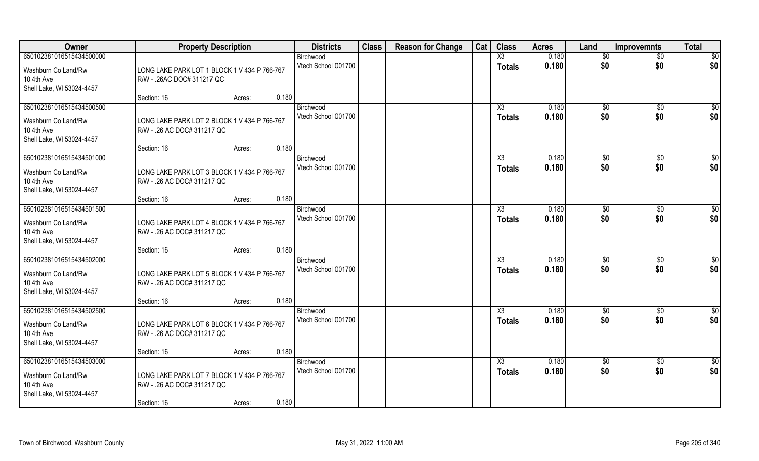| Owner                                                                                      | <b>Property Description</b>                                                                          | <b>Districts</b>                          | <b>Class</b> | <b>Reason for Change</b> | Cat | <b>Class</b>                            | <b>Acres</b>   | Land                  | <b>Improvemnts</b>     | <b>Total</b>           |
|--------------------------------------------------------------------------------------------|------------------------------------------------------------------------------------------------------|-------------------------------------------|--------------|--------------------------|-----|-----------------------------------------|----------------|-----------------------|------------------------|------------------------|
| 650102381016515434500000                                                                   |                                                                                                      | Birchwood                                 |              |                          |     | X3                                      | 0.180          | \$0                   | \$0                    | $\overline{50}$        |
| Washburn Co Land/Rw<br>10 4th Ave<br>Shell Lake, WI 53024-4457                             | LONG LAKE PARK LOT 1 BLOCK 1 V 434 P 766-767<br>R/W - .26AC DOC# 311217 QC                           | Vtech School 001700                       |              |                          |     | <b>Totals</b>                           | 0.180          | \$0                   | \$0                    | \$0                    |
|                                                                                            | Section: 16<br>Acres:                                                                                | 0.180                                     |              |                          |     |                                         |                |                       |                        |                        |
| 650102381016515434500500<br>Washburn Co Land/Rw<br>10 4th Ave<br>Shell Lake, WI 53024-4457 | LONG LAKE PARK LOT 2 BLOCK 1 V 434 P 766-767<br>R/W - .26 AC DOC# 311217 QC                          | Birchwood<br>Vtech School 001700          |              |                          |     | X3<br><b>Totals</b>                     | 0.180<br>0.180 | \$0<br>\$0            | \$0<br>\$0             | $\sqrt{50}$<br>\$0     |
|                                                                                            | Section: 16<br>Acres:                                                                                | 0.180                                     |              |                          |     |                                         |                |                       |                        |                        |
| 650102381016515434501000<br>Washburn Co Land/Rw<br>10 4th Ave<br>Shell Lake, WI 53024-4457 | LONG LAKE PARK LOT 3 BLOCK 1 V 434 P 766-767<br>R/W - .26 AC DOC# 311217 QC                          | Birchwood<br>Vtech School 001700          |              |                          |     | X3<br><b>Totals</b>                     | 0.180<br>0.180 | \$0<br>\$0            | $\sqrt{6}$<br>\$0      | \$0<br>\$0             |
|                                                                                            | Section: 16<br>Acres:                                                                                | 0.180                                     |              |                          |     |                                         |                |                       |                        |                        |
| 650102381016515434501500<br>Washburn Co Land/Rw<br>10 4th Ave<br>Shell Lake, WI 53024-4457 | LONG LAKE PARK LOT 4 BLOCK 1 V 434 P 766-767<br>R/W - .26 AC DOC# 311217 QC                          | Birchwood<br>Vtech School 001700          |              |                          |     | X3<br><b>Totals</b>                     | 0.180<br>0.180 | $\frac{1}{20}$<br>\$0 | \$0<br>\$0             | \$<br>\$0              |
|                                                                                            | Section: 16<br>Acres:                                                                                | 0.180                                     |              |                          |     |                                         |                |                       |                        |                        |
| 650102381016515434502000<br>Washburn Co Land/Rw<br>10 4th Ave<br>Shell Lake, WI 53024-4457 | LONG LAKE PARK LOT 5 BLOCK 1 V 434 P 766-767<br>R/W - .26 AC DOC# 311217 QC                          | Birchwood<br>Vtech School 001700          |              |                          |     | X3<br><b>Totals</b>                     | 0.180<br>0.180 | $\sqrt[6]{3}$<br>\$0  | \$0<br>\$0             | $\overline{50}$<br>\$0 |
| 650102381016515434502500                                                                   | Section: 16<br>Acres:                                                                                | 0.180                                     |              |                          |     | X3                                      | 0.180          | $\overline{60}$       |                        | \$0                    |
| Washburn Co Land/Rw<br>10 4th Ave<br>Shell Lake, WI 53024-4457                             | LONG LAKE PARK LOT 6 BLOCK 1 V 434 P 766-767<br>R/W - .26 AC DOC# 311217 QC                          | Birchwood<br>Vtech School 001700          |              |                          |     | <b>Totals</b>                           | 0.180          | \$0                   | \$0<br>\$0             | \$0                    |
|                                                                                            | Section: 16<br>Acres:                                                                                | 0.180                                     |              |                          |     |                                         |                |                       |                        |                        |
| 650102381016515434503000<br>Washburn Co Land/Rw<br>10 4th Ave<br>Shell Lake, WI 53024-4457 | LONG LAKE PARK LOT 7 BLOCK 1 V 434 P 766-767<br>R/W - .26 AC DOC# 311217 QC<br>Section: 16<br>Acres: | Birchwood<br>Vtech School 001700<br>0.180 |              |                          |     | $\overline{\text{X3}}$<br><b>Totals</b> | 0.180<br>0.180 | \$0<br>\$0            | $\overline{50}$<br>\$0 | \$0<br>\$0             |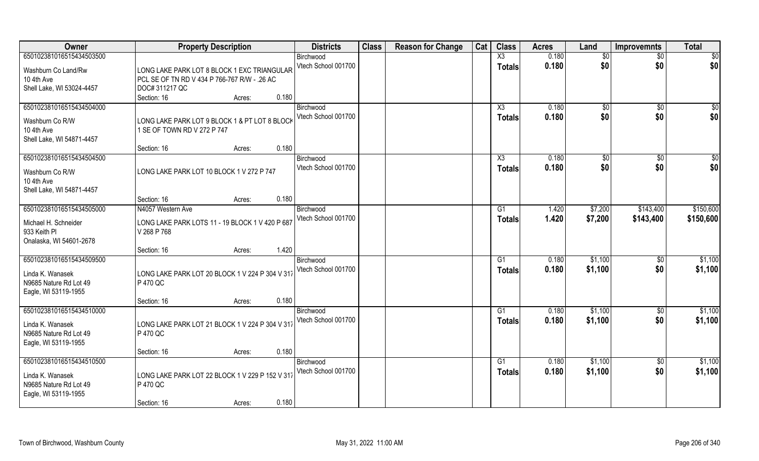| Owner                                                                                          | <b>Property Description</b>                                                                                   | <b>Districts</b>                 | <b>Class</b> | <b>Reason for Change</b> | Cat | <b>Class</b>                    | <b>Acres</b>   | Land                 | <b>Improvemnts</b>     | <b>Total</b>           |
|------------------------------------------------------------------------------------------------|---------------------------------------------------------------------------------------------------------------|----------------------------------|--------------|--------------------------|-----|---------------------------------|----------------|----------------------|------------------------|------------------------|
| 650102381016515434503500                                                                       |                                                                                                               | Birchwood                        |              |                          |     | X3                              | 0.180          | \$0                  | \$0                    | $\overline{50}$        |
| Washburn Co Land/Rw<br>10 4th Ave<br>Shell Lake, WI 53024-4457                                 | LONG LAKE PARK LOT 8 BLOCK 1 EXC TRIANGULAR<br>PCL SE OF TN RD V 434 P 766-767 R/W - .26 AC<br>DOC# 311217 QC | Vtech School 001700              |              |                          |     | <b>Totals</b>                   | 0.180          | \$0                  | \$0                    | \$0                    |
|                                                                                                | 0.180<br>Section: 16<br>Acres:                                                                                |                                  |              |                          |     |                                 |                |                      |                        |                        |
| 650102381016515434504000<br>Washburn Co R/W<br>10 4th Ave<br>Shell Lake, WI 54871-4457         | LONG LAKE PARK LOT 9 BLOCK 1 & PT LOT 8 BLOCK<br>1 SE OF TOWN RD V 272 P 747                                  | Birchwood<br>Vtech School 001700 |              |                          |     | X3<br><b>Totals</b>             | 0.180<br>0.180 | \$0<br>\$0           | \$0<br>\$0             | $\sqrt{50}$<br>\$0     |
|                                                                                                | 0.180<br>Section: 16<br>Acres:                                                                                |                                  |              |                          |     |                                 |                |                      |                        |                        |
| 650102381016515434504500<br>Washburn Co R/W<br>10 4th Ave<br>Shell Lake, WI 54871-4457         | LONG LAKE PARK LOT 10 BLOCK 1 V 272 P 747                                                                     | Birchwood<br>Vtech School 001700 |              |                          |     | X3<br><b>Totals</b>             | 0.180<br>0.180 | $\sqrt[6]{3}$<br>\$0 | $\sqrt{6}$<br>\$0      | \$0<br>\$0             |
|                                                                                                | 0.180<br>Section: 16<br>Acres:                                                                                |                                  |              |                          |     |                                 |                |                      |                        |                        |
| 650102381016515434505000<br>Michael H. Schneider<br>933 Keith Pl<br>Onalaska, WI 54601-2678    | N4057 Western Ave<br>LONG LAKE PARK LOTS 11 - 19 BLOCK 1 V 420 P 687<br>V 268 P 768                           | Birchwood<br>Vtech School 001700 |              |                          |     | G <sub>1</sub><br><b>Totals</b> | 1.420<br>1.420 | \$7,200<br>\$7,200   | \$143,400<br>\$143,400 | \$150,600<br>\$150,600 |
|                                                                                                | 1.420<br>Section: 16<br>Acres:                                                                                |                                  |              |                          |     |                                 |                |                      |                        |                        |
| 650102381016515434509500<br>Linda K. Wanasek<br>N9685 Nature Rd Lot 49<br>Eagle, WI 53119-1955 | LONG LAKE PARK LOT 20 BLOCK 1 V 224 P 304 V 317<br>P 470 QC                                                   | Birchwood<br>Vtech School 001700 |              |                          |     | G1<br><b>Totals</b>             | 0.180<br>0.180 | \$1,100<br>\$1,100   | $\sqrt[6]{30}$<br>\$0  | \$1,100<br>\$1,100     |
|                                                                                                | 0.180<br>Section: 16<br>Acres:                                                                                |                                  |              |                          |     |                                 |                |                      |                        |                        |
| 650102381016515434510000<br>Linda K. Wanasek<br>N9685 Nature Rd Lot 49<br>Eagle, WI 53119-1955 | LONG LAKE PARK LOT 21 BLOCK 1 V 224 P 304 V 317<br>P 470 QC                                                   | Birchwood<br>Vtech School 001700 |              |                          |     | G1<br><b>Totals</b>             | 0.180<br>0.180 | \$1,100<br>\$1,100   | \$0<br>\$0             | \$1,100<br>\$1,100     |
|                                                                                                | 0.180<br>Section: 16<br>Acres:                                                                                |                                  |              |                          |     |                                 |                |                      |                        |                        |
| 650102381016515434510500<br>Linda K. Wanasek<br>N9685 Nature Rd Lot 49<br>Eagle, WI 53119-1955 | LONG LAKE PARK LOT 22 BLOCK 1 V 229 P 152 V 317<br>P 470 QC<br>0.180<br>Section: 16<br>Acres:                 | Birchwood<br>Vtech School 001700 |              |                          |     | G <sub>1</sub><br><b>Totals</b> | 0.180<br>0.180 | \$1,100<br>\$1,100   | $\overline{50}$<br>\$0 | \$1,100<br>\$1,100     |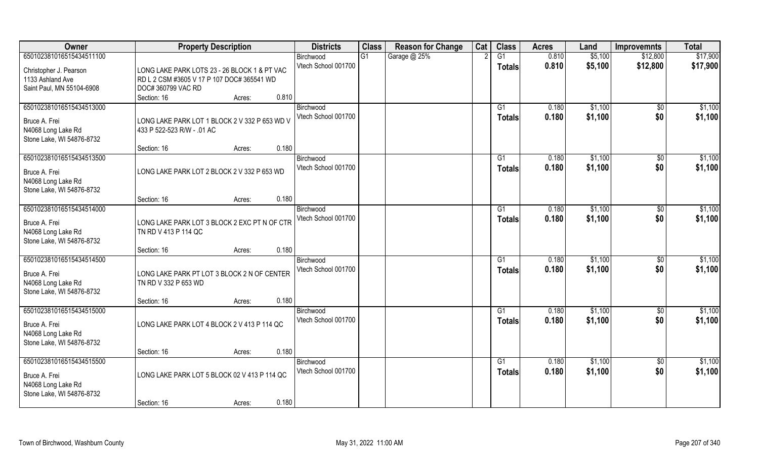| Owner                                                                                        | <b>Property Description</b>                                                                                      | <b>Districts</b>                 | <b>Class</b> | <b>Reason for Change</b> | Cat | <b>Class</b>                     | <b>Acres</b>   | Land               | <b>Improvemnts</b>     | <b>Total</b>       |
|----------------------------------------------------------------------------------------------|------------------------------------------------------------------------------------------------------------------|----------------------------------|--------------|--------------------------|-----|----------------------------------|----------------|--------------------|------------------------|--------------------|
| 650102381016515434511100                                                                     |                                                                                                                  | Birchwood                        | G1           | Garage @ 25%             |     | G1                               | 0.810          | \$5,100            | \$12,800               | \$17,900           |
| Christopher J. Pearson<br>1133 Ashland Ave<br>Saint Paul, MN 55104-6908                      | LONG LAKE PARK LOTS 23 - 26 BLOCK 1 & PT VAC<br>RD L 2 CSM #3605 V 17 P 107 DOC# 365541 WD<br>DOC# 360799 VAC RD | Vtech School 001700              |              |                          |     | <b>Totals</b>                    | 0.810          | \$5,100            | \$12,800               | \$17,900           |
|                                                                                              | 0.810<br>Section: 16<br>Acres:                                                                                   |                                  |              |                          |     |                                  |                |                    |                        |                    |
| 650102381016515434513000<br>Bruce A. Frei<br>N4068 Long Lake Rd<br>Stone Lake, WI 54876-8732 | LONG LAKE PARK LOT 1 BLOCK 2 V 332 P 653 WD V<br>433 P 522-523 R/W - .01 AC                                      | Birchwood<br>Vtech School 001700 |              |                          |     | G1<br>Totals                     | 0.180<br>0.180 | \$1,100<br>\$1,100 | \$0<br>\$0             | \$1,100<br>\$1,100 |
|                                                                                              | 0.180<br>Section: 16<br>Acres:                                                                                   |                                  |              |                          |     |                                  |                |                    |                        |                    |
| 650102381016515434513500<br>Bruce A. Frei<br>N4068 Long Lake Rd<br>Stone Lake, WI 54876-8732 | LONG LAKE PARK LOT 2 BLOCK 2 V 332 P 653 WD                                                                      | Birchwood<br>Vtech School 001700 |              |                          |     | G1<br><b>Totals</b>              | 0.180<br>0.180 | \$1,100<br>\$1,100 | $\sqrt[6]{30}$<br>\$0  | \$1,100<br>\$1,100 |
|                                                                                              | 0.180<br>Section: 16<br>Acres:                                                                                   |                                  |              |                          |     |                                  |                |                    |                        |                    |
| 650102381016515434514000<br>Bruce A. Frei<br>N4068 Long Lake Rd<br>Stone Lake, WI 54876-8732 | LONG LAKE PARK LOT 3 BLOCK 2 EXC PT N OF CTR<br>TN RD V 413 P 114 QC                                             | Birchwood<br>Vtech School 001700 |              |                          |     | G <sub>1</sub><br><b>Totals</b>  | 0.180<br>0.180 | \$1,100<br>\$1,100 | $\sqrt[6]{3}$<br>\$0   | \$1,100<br>\$1,100 |
|                                                                                              | 0.180<br>Section: 16<br>Acres:                                                                                   |                                  |              |                          |     |                                  |                |                    |                        |                    |
| 650102381016515434514500<br>Bruce A. Frei<br>N4068 Long Lake Rd<br>Stone Lake, WI 54876-8732 | LONG LAKE PARK PT LOT 3 BLOCK 2 N OF CENTER<br>TN RD V 332 P 653 WD                                              | Birchwood<br>Vtech School 001700 |              |                          |     | G1<br><b>Totals</b>              | 0.180<br>0.180 | \$1,100<br>\$1,100 | $\sqrt[6]{30}$<br>\$0  | \$1,100<br>\$1,100 |
| 650102381016515434515000                                                                     | 0.180<br>Section: 16<br>Acres:                                                                                   | Birchwood                        |              |                          |     | G1                               | 0.180          | \$1,100            | \$0                    | \$1,100            |
| Bruce A. Frei<br>N4068 Long Lake Rd<br>Stone Lake, WI 54876-8732                             | LONG LAKE PARK LOT 4 BLOCK 2 V 413 P 114 QC                                                                      | Vtech School 001700              |              |                          |     | <b>Totals</b>                    | 0.180          | \$1,100            | \$0                    | \$1,100            |
|                                                                                              | 0.180<br>Section: 16<br>Acres:                                                                                   |                                  |              |                          |     |                                  |                |                    |                        |                    |
| 650102381016515434515500<br>Bruce A. Frei<br>N4068 Long Lake Rd<br>Stone Lake, WI 54876-8732 | LONG LAKE PARK LOT 5 BLOCK 02 V 413 P 114 QC                                                                     | Birchwood<br>Vtech School 001700 |              |                          |     | $\overline{G1}$<br><b>Totals</b> | 0.180<br>0.180 | \$1,100<br>\$1,100 | $\overline{50}$<br>\$0 | \$1,100<br>\$1,100 |
|                                                                                              | 0.180<br>Section: 16<br>Acres:                                                                                   |                                  |              |                          |     |                                  |                |                    |                        |                    |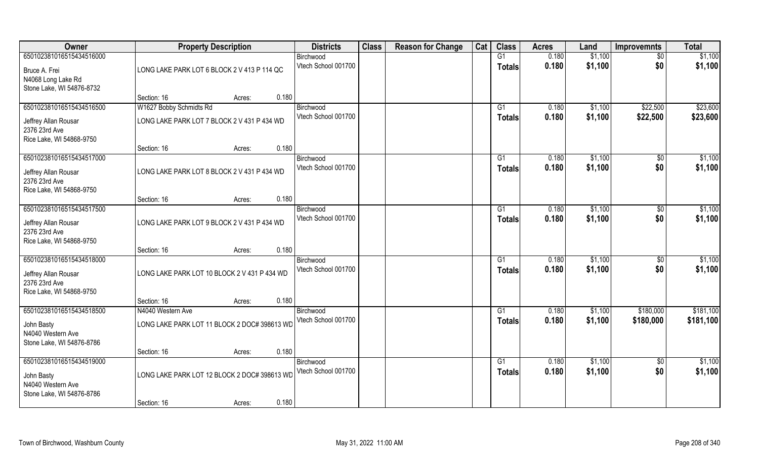| Owner                                 | <b>Property Description</b>                  |        | <b>Districts</b>                 | <b>Class</b> | <b>Reason for Change</b> | Cat | <b>Class</b>    | <b>Acres</b> | Land    | <b>Improvemnts</b> | <b>Total</b> |
|---------------------------------------|----------------------------------------------|--------|----------------------------------|--------------|--------------------------|-----|-----------------|--------------|---------|--------------------|--------------|
| 650102381016515434516000              |                                              |        | Birchwood                        |              |                          |     | G1              | 0.180        | \$1,100 | $\sqrt{6}$         | \$1,100      |
| Bruce A. Frei                         | LONG LAKE PARK LOT 6 BLOCK 2 V 413 P 114 QC  |        | Vtech School 001700              |              |                          |     | <b>Totals</b>   | 0.180        | \$1,100 | \$0                | \$1,100      |
| N4068 Long Lake Rd                    |                                              |        |                                  |              |                          |     |                 |              |         |                    |              |
| Stone Lake, WI 54876-8732             |                                              |        | 0.180                            |              |                          |     |                 |              |         |                    |              |
| 650102381016515434516500              | Section: 16<br>W1627 Bobby Schmidts Rd       | Acres: | Birchwood                        |              |                          |     | G1              | 0.180        | \$1,100 | \$22,500           | \$23,600     |
|                                       |                                              |        | Vtech School 001700              |              |                          |     | <b>Totals</b>   | 0.180        | \$1,100 | \$22,500           | \$23,600     |
| Jeffrey Allan Rousar                  | LONG LAKE PARK LOT 7 BLOCK 2 V 431 P 434 WD  |        |                                  |              |                          |     |                 |              |         |                    |              |
| 2376 23rd Ave                         |                                              |        |                                  |              |                          |     |                 |              |         |                    |              |
| Rice Lake, WI 54868-9750              | Section: 16                                  | Acres: | 0.180                            |              |                          |     |                 |              |         |                    |              |
| 650102381016515434517000              |                                              |        | Birchwood                        |              |                          |     | G1              | 0.180        | \$1,100 | $\sqrt{50}$        | \$1,100      |
|                                       |                                              |        | Vtech School 001700              |              |                          |     | <b>Totals</b>   | 0.180        | \$1,100 | \$0                | \$1,100      |
| Jeffrey Allan Rousar<br>2376 23rd Ave | LONG LAKE PARK LOT 8 BLOCK 2 V 431 P 434 WD  |        |                                  |              |                          |     |                 |              |         |                    |              |
| Rice Lake, WI 54868-9750              |                                              |        |                                  |              |                          |     |                 |              |         |                    |              |
|                                       | Section: 16                                  | Acres: | 0.180                            |              |                          |     |                 |              |         |                    |              |
| 650102381016515434517500              |                                              |        | Birchwood                        |              |                          |     | G1              | 0.180        | \$1,100 | $\sqrt[6]{3}$      | \$1,100      |
| Jeffrey Allan Rousar                  | LONG LAKE PARK LOT 9 BLOCK 2 V 431 P 434 WD  |        | Vtech School 001700              |              |                          |     | <b>Totals</b>   | 0.180        | \$1,100 | \$0                | \$1,100      |
| 2376 23rd Ave                         |                                              |        |                                  |              |                          |     |                 |              |         |                    |              |
| Rice Lake, WI 54868-9750              |                                              |        |                                  |              |                          |     |                 |              |         |                    |              |
|                                       | Section: 16                                  | Acres: | 0.180                            |              |                          |     |                 |              |         |                    |              |
| 650102381016515434518000              |                                              |        | Birchwood                        |              |                          |     | G1              | 0.180        | \$1,100 | $\overline{30}$    | \$1,100      |
| Jeffrey Allan Rousar                  | LONG LAKE PARK LOT 10 BLOCK 2 V 431 P 434 WD |        | Vtech School 001700              |              |                          |     | <b>Totals</b>   | 0.180        | \$1,100 | \$0                | \$1,100      |
| 2376 23rd Ave                         |                                              |        |                                  |              |                          |     |                 |              |         |                    |              |
| Rice Lake, WI 54868-9750              |                                              |        |                                  |              |                          |     |                 |              |         |                    |              |
|                                       | Section: 16                                  | Acres: | 0.180                            |              |                          |     |                 |              |         |                    |              |
| 650102381016515434518500              | N4040 Western Ave                            |        | Birchwood<br>Vtech School 001700 |              |                          |     | G1              | 0.180        | \$1,100 | \$180,000          | \$181,100    |
| John Basty                            | LONG LAKE PARK LOT 11 BLOCK 2 DOC# 398613 WD |        |                                  |              |                          |     | <b>Totals</b>   | 0.180        | \$1,100 | \$180,000          | \$181,100    |
| N4040 Western Ave                     |                                              |        |                                  |              |                          |     |                 |              |         |                    |              |
| Stone Lake, WI 54876-8786             | Section: 16                                  |        | 0.180                            |              |                          |     |                 |              |         |                    |              |
| 650102381016515434519000              |                                              | Acres: | Birchwood                        |              |                          |     | $\overline{G1}$ | 0.180        | \$1,100 | $\sqrt{$0}$        | \$1,100      |
|                                       |                                              |        | Vtech School 001700              |              |                          |     | <b>Totals</b>   | 0.180        | \$1,100 | \$0                | \$1,100      |
| John Basty<br>N4040 Western Ave       | LONG LAKE PARK LOT 12 BLOCK 2 DOC# 398613 WD |        |                                  |              |                          |     |                 |              |         |                    |              |
| Stone Lake, WI 54876-8786             |                                              |        |                                  |              |                          |     |                 |              |         |                    |              |
|                                       | Section: 16                                  | Acres: | 0.180                            |              |                          |     |                 |              |         |                    |              |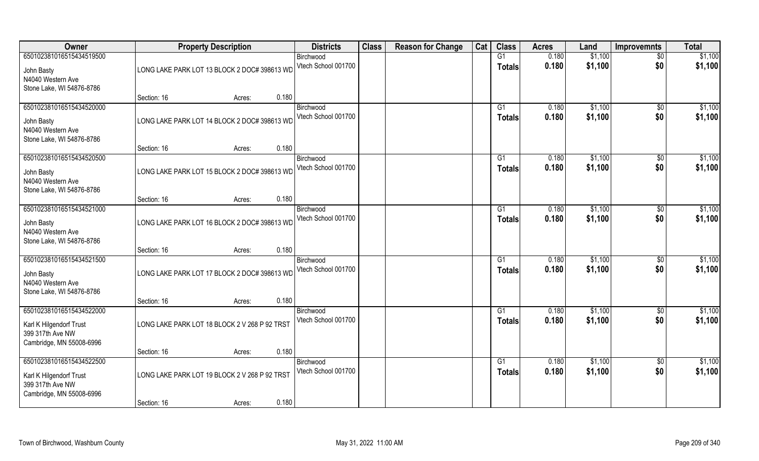| Owner                                       |                                               | <b>Property Description</b> | <b>Districts</b>                 | <b>Class</b> | <b>Reason for Change</b> | Cat | <b>Class</b>    | <b>Acres</b> | Land    | <b>Improvemnts</b> | <b>Total</b> |
|---------------------------------------------|-----------------------------------------------|-----------------------------|----------------------------------|--------------|--------------------------|-----|-----------------|--------------|---------|--------------------|--------------|
| 650102381016515434519500                    |                                               |                             | Birchwood                        |              |                          |     | G1              | 0.180        | \$1,100 | $\overline{50}$    | \$1,100      |
| John Basty<br>N4040 Western Ave             | LONG LAKE PARK LOT 13 BLOCK 2 DOC# 398613 WD  |                             | Vtech School 001700              |              |                          |     | <b>Totals</b>   | 0.180        | \$1,100 | \$0                | \$1,100      |
| Stone Lake, WI 54876-8786                   |                                               |                             |                                  |              |                          |     |                 |              |         |                    |              |
|                                             | Section: 16                                   | Acres:                      | 0.180                            |              |                          |     |                 |              |         |                    |              |
| 650102381016515434520000                    |                                               |                             | Birchwood                        |              |                          |     | G1              | 0.180        | \$1,100 | $\sqrt{$0}$        | \$1,100      |
| John Basty                                  | LONG LAKE PARK LOT 14 BLOCK 2 DOC# 398613 WD  |                             | Vtech School 001700              |              |                          |     | <b>Totals</b>   | 0.180        | \$1,100 | \$0                | \$1,100      |
| N4040 Western Ave                           |                                               |                             |                                  |              |                          |     |                 |              |         |                    |              |
| Stone Lake, WI 54876-8786                   |                                               |                             |                                  |              |                          |     |                 |              |         |                    |              |
|                                             | Section: 16                                   | Acres:                      | 0.180                            |              |                          |     |                 |              |         |                    |              |
| 650102381016515434520500                    |                                               |                             | Birchwood<br>Vtech School 001700 |              |                          |     | G1              | 0.180        | \$1,100 | $\sqrt[6]{3}$      | \$1,100      |
| John Basty                                  | LONG LAKE PARK LOT 15 BLOCK 2 DOC# 398613 WD  |                             |                                  |              |                          |     | <b>Totals</b>   | 0.180        | \$1,100 | \$0                | \$1,100      |
| N4040 Western Ave                           |                                               |                             |                                  |              |                          |     |                 |              |         |                    |              |
| Stone Lake, WI 54876-8786                   | Section: 16                                   | Acres:                      | 0.180                            |              |                          |     |                 |              |         |                    |              |
| 650102381016515434521000                    |                                               |                             | Birchwood                        |              |                          |     | G <sub>1</sub>  | 0.180        | \$1,100 | $\sqrt[6]{3}$      | \$1,100      |
|                                             |                                               |                             | Vtech School 001700              |              |                          |     | <b>Totals</b>   | 0.180        | \$1,100 | \$0                | \$1,100      |
| John Basty<br>N4040 Western Ave             | LONG LAKE PARK LOT 16 BLOCK 2 DOC# 398613 WD  |                             |                                  |              |                          |     |                 |              |         |                    |              |
| Stone Lake, WI 54876-8786                   |                                               |                             |                                  |              |                          |     |                 |              |         |                    |              |
|                                             | Section: 16                                   | Acres:                      | 0.180                            |              |                          |     |                 |              |         |                    |              |
| 650102381016515434521500                    |                                               |                             | Birchwood                        |              |                          |     | G1              | 0.180        | \$1,100 | $\sqrt[6]{3}$      | \$1,100      |
| John Basty                                  | LONG LAKE PARK LOT 17 BLOCK 2 DOC# 398613 WD  |                             | Vtech School 001700              |              |                          |     | <b>Totals</b>   | 0.180        | \$1,100 | \$0                | \$1,100      |
| N4040 Western Ave                           |                                               |                             |                                  |              |                          |     |                 |              |         |                    |              |
| Stone Lake, WI 54876-8786                   |                                               |                             |                                  |              |                          |     |                 |              |         |                    |              |
|                                             | Section: 16                                   | Acres:                      | 0.180                            |              |                          |     |                 |              |         |                    |              |
| 650102381016515434522000                    |                                               |                             | Birchwood<br>Vtech School 001700 |              |                          |     | G1              | 0.180        | \$1,100 | \$0                | \$1,100      |
| Karl K Hilgendorf Trust                     | LONG LAKE PARK LOT 18 BLOCK 2 V 268 P 92 TRST |                             |                                  |              |                          |     | <b>Totals</b>   | 0.180        | \$1,100 | \$0                | \$1,100      |
| 399 317th Ave NW                            |                                               |                             |                                  |              |                          |     |                 |              |         |                    |              |
| Cambridge, MN 55008-6996                    | Section: 16                                   | Acres:                      | 0.180                            |              |                          |     |                 |              |         |                    |              |
| 650102381016515434522500                    |                                               |                             | Birchwood                        |              |                          |     | $\overline{G1}$ | 0.180        | \$1,100 | $\sqrt{$0}$        | \$1,100      |
|                                             | LONG LAKE PARK LOT 19 BLOCK 2 V 268 P 92 TRST |                             | Vtech School 001700              |              |                          |     | <b>Totals</b>   | 0.180        | \$1,100 | \$0                | \$1,100      |
| Karl K Hilgendorf Trust<br>399 317th Ave NW |                                               |                             |                                  |              |                          |     |                 |              |         |                    |              |
| Cambridge, MN 55008-6996                    |                                               |                             |                                  |              |                          |     |                 |              |         |                    |              |
|                                             | Section: 16                                   | Acres:                      | 0.180                            |              |                          |     |                 |              |         |                    |              |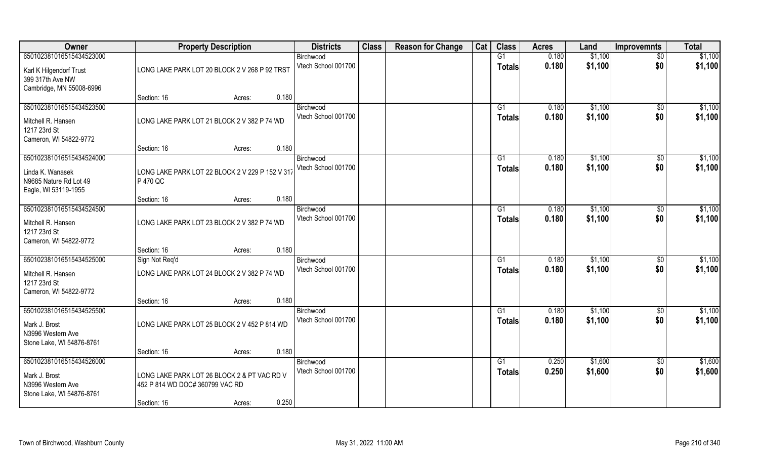| <b>Owner</b>                                                                                   | <b>Property Description</b>                                                                             | <b>Districts</b>                          | <b>Class</b> | <b>Reason for Change</b> | Cat | <b>Class</b>                    | <b>Acres</b>   | Land               | <b>Improvemnts</b>     | <b>Total</b>       |
|------------------------------------------------------------------------------------------------|---------------------------------------------------------------------------------------------------------|-------------------------------------------|--------------|--------------------------|-----|---------------------------------|----------------|--------------------|------------------------|--------------------|
| 650102381016515434523000                                                                       |                                                                                                         | Birchwood                                 |              |                          |     | G1                              | 0.180          | \$1,100            | $\overline{50}$        | \$1,100            |
| Karl K Hilgendorf Trust<br>399 317th Ave NW<br>Cambridge, MN 55008-6996                        | LONG LAKE PARK LOT 20 BLOCK 2 V 268 P 92 TRST                                                           | Vtech School 001700                       |              |                          |     | <b>Totals</b>                   | 0.180          | \$1,100            | \$0                    | \$1,100            |
|                                                                                                | Section: 16<br>Acres:                                                                                   | 0.180                                     |              |                          |     |                                 |                |                    |                        |                    |
| 650102381016515434523500<br>Mitchell R. Hansen<br>1217 23rd St<br>Cameron, WI 54822-9772       | LONG LAKE PARK LOT 21 BLOCK 2 V 382 P 74 WD                                                             | Birchwood<br>Vtech School 001700          |              |                          |     | G1<br>Totals                    | 0.180<br>0.180 | \$1,100<br>\$1,100 | \$0<br>\$0             | \$1,100<br>\$1,100 |
|                                                                                                | Section: 16<br>Acres:                                                                                   | 0.180                                     |              |                          |     |                                 |                |                    |                        |                    |
| 650102381016515434524000<br>Linda K. Wanasek<br>N9685 Nature Rd Lot 49<br>Eagle, WI 53119-1955 | LONG LAKE PARK LOT 22 BLOCK 2 V 229 P 152 V 317<br>P 470 QC                                             | Birchwood<br>Vtech School 001700          |              |                          |     | G1<br><b>Totals</b>             | 0.180<br>0.180 | \$1,100<br>\$1,100 | $\sqrt[6]{3}$<br>\$0   | \$1,100<br>\$1,100 |
|                                                                                                | Section: 16<br>Acres:                                                                                   | 0.180                                     |              |                          |     |                                 |                |                    |                        |                    |
| 650102381016515434524500<br>Mitchell R. Hansen<br>1217 23rd St<br>Cameron, WI 54822-9772       | LONG LAKE PARK LOT 23 BLOCK 2 V 382 P 74 WD                                                             | Birchwood<br>Vtech School 001700          |              |                          |     | G <sub>1</sub><br><b>Totals</b> | 0.180<br>0.180 | \$1,100<br>\$1,100 | \$0<br>\$0             | \$1,100<br>\$1,100 |
|                                                                                                | Section: 16<br>Acres:                                                                                   | 0.180                                     |              |                          |     |                                 |                |                    |                        |                    |
| 650102381016515434525000<br>Mitchell R. Hansen<br>1217 23rd St<br>Cameron, WI 54822-9772       | Sign Not Req'd<br>LONG LAKE PARK LOT 24 BLOCK 2 V 382 P 74 WD                                           | Birchwood<br>Vtech School 001700          |              |                          |     | G1<br><b>Totals</b>             | 0.180<br>0.180 | \$1,100<br>\$1,100 | $\sqrt[6]{30}$<br>\$0  | \$1,100<br>\$1,100 |
|                                                                                                | Section: 16<br>Acres:                                                                                   | 0.180                                     |              |                          |     |                                 |                |                    |                        |                    |
| 650102381016515434525500<br>Mark J. Brost<br>N3996 Western Ave<br>Stone Lake, WI 54876-8761    | LONG LAKE PARK LOT 25 BLOCK 2 V 452 P 814 WD                                                            | Birchwood<br>Vtech School 001700          |              |                          |     | G1<br><b>Totals</b>             | 0.180<br>0.180 | \$1,100<br>\$1,100 | \$0<br>\$0             | \$1,100<br>\$1,100 |
|                                                                                                | Section: 16<br>Acres:                                                                                   | 0.180                                     |              |                          |     |                                 |                |                    |                        |                    |
| 650102381016515434526000<br>Mark J. Brost<br>N3996 Western Ave<br>Stone Lake, WI 54876-8761    | LONG LAKE PARK LOT 26 BLOCK 2 & PT VAC RD V<br>452 P 814 WD DOC# 360799 VAC RD<br>Section: 16<br>Acres: | Birchwood<br>Vtech School 001700<br>0.250 |              |                          |     | G1<br><b>Totals</b>             | 0.250<br>0.250 | \$1,600<br>\$1,600 | $\overline{50}$<br>\$0 | \$1,600<br>\$1,600 |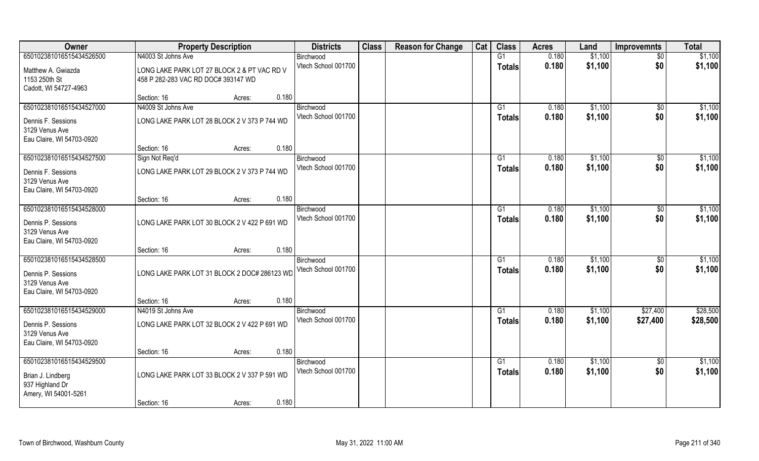| Owner                                                                                         | <b>Property Description</b>                                                        | <b>Districts</b>                 | <b>Class</b> | <b>Reason for Change</b> | Cat | <b>Class</b>        | <b>Acres</b>   | Land               | <b>Improvemnts</b>   | <b>Total</b>       |
|-----------------------------------------------------------------------------------------------|------------------------------------------------------------------------------------|----------------------------------|--------------|--------------------------|-----|---------------------|----------------|--------------------|----------------------|--------------------|
| 650102381016515434526500                                                                      | N4003 St Johns Ave                                                                 | Birchwood                        |              |                          |     | $\overline{G1}$     | 0.180          | \$1,100            | $\overline{50}$      | \$1,100            |
| Matthew A. Gwiazda<br>1153 250th St<br>Cadott, WI 54727-4963                                  | LONG LAKE PARK LOT 27 BLOCK 2 & PT VAC RD V<br>458 P 282-283 VAC RD DOC# 393147 WD | Vtech School 001700              |              |                          |     | <b>Totals</b>       | 0.180          | \$1,100            | \$0                  | \$1,100            |
|                                                                                               | 0.180<br>Section: 16<br>Acres:                                                     |                                  |              |                          |     |                     |                |                    |                      |                    |
| 650102381016515434527000                                                                      | N4009 St Johns Ave                                                                 | Birchwood                        |              |                          |     | G1                  | 0.180          | \$1,100            | $\overline{50}$      | \$1,100            |
| Dennis F. Sessions<br>3129 Venus Ave<br>Eau Claire, WI 54703-0920                             | LONG LAKE PARK LOT 28 BLOCK 2 V 373 P 744 WD                                       | Vtech School 001700              |              |                          |     | <b>Totals</b>       | 0.180          | \$1,100            | \$0                  | \$1,100            |
|                                                                                               | 0.180<br>Section: 16<br>Acres:                                                     |                                  |              |                          |     |                     |                |                    |                      |                    |
| 650102381016515434527500                                                                      | Sign Not Req'd                                                                     | Birchwood                        |              |                          |     | G1                  | 0.180          | \$1,100            | \$0                  | \$1,100            |
| Dennis F. Sessions<br>3129 Venus Ave<br>Eau Claire, WI 54703-0920                             | LONG LAKE PARK LOT 29 BLOCK 2 V 373 P 744 WD                                       | Vtech School 001700              |              |                          |     | <b>Totals</b>       | 0.180          | \$1,100            | \$0                  | \$1,100            |
|                                                                                               | 0.180<br>Section: 16<br>Acres:                                                     |                                  |              |                          |     |                     |                |                    |                      |                    |
| 650102381016515434528000                                                                      |                                                                                    | Birchwood                        |              |                          |     | G1                  | 0.180          | \$1,100            | $\sqrt[6]{3}$        | \$1,100            |
| Dennis P. Sessions<br>3129 Venus Ave<br>Eau Claire, WI 54703-0920                             | LONG LAKE PARK LOT 30 BLOCK 2 V 422 P 691 WD                                       | Vtech School 001700              |              |                          |     | Totals              | 0.180          | \$1,100            | \$0                  | \$1,100            |
|                                                                                               | 0.180<br>Section: 16<br>Acres:                                                     |                                  |              |                          |     |                     |                |                    |                      |                    |
| 650102381016515434528500<br>Dennis P. Sessions<br>3129 Venus Ave<br>Eau Claire, WI 54703-0920 | LONG LAKE PARK LOT 31 BLOCK 2 DOC# 286123 WD                                       | Birchwood<br>Vtech School 001700 |              |                          |     | G1<br><b>Totals</b> | 0.180<br>0.180 | \$1,100<br>\$1,100 | $\sqrt[6]{3}$<br>\$0 | \$1,100<br>\$1,100 |
|                                                                                               | 0.180<br>Section: 16<br>Acres:                                                     |                                  |              |                          |     |                     |                |                    |                      |                    |
| 650102381016515434529000                                                                      | N4019 St Johns Ave                                                                 | Birchwood                        |              |                          |     | G1                  | 0.180          | \$1,100            | \$27,400             | \$28,500           |
| Dennis P. Sessions<br>3129 Venus Ave<br>Eau Claire, WI 54703-0920                             | LONG LAKE PARK LOT 32 BLOCK 2 V 422 P 691 WD                                       | Vtech School 001700              |              |                          |     | <b>Totals</b>       | 0.180          | \$1,100            | \$27,400             | \$28,500           |
|                                                                                               | 0.180<br>Section: 16<br>Acres:                                                     |                                  |              |                          |     |                     |                |                    |                      |                    |
| 650102381016515434529500                                                                      |                                                                                    | Birchwood                        |              |                          |     | G1                  | 0.180          | \$1,100            | $\overline{50}$      | \$1,100            |
| Brian J. Lindberg<br>937 Highland Dr<br>Amery, WI 54001-5261                                  | LONG LAKE PARK LOT 33 BLOCK 2 V 337 P 591 WD                                       | Vtech School 001700              |              |                          |     | <b>Totals</b>       | 0.180          | \$1,100            | \$0                  | \$1,100            |
|                                                                                               | 0.180<br>Section: 16<br>Acres:                                                     |                                  |              |                          |     |                     |                |                    |                      |                    |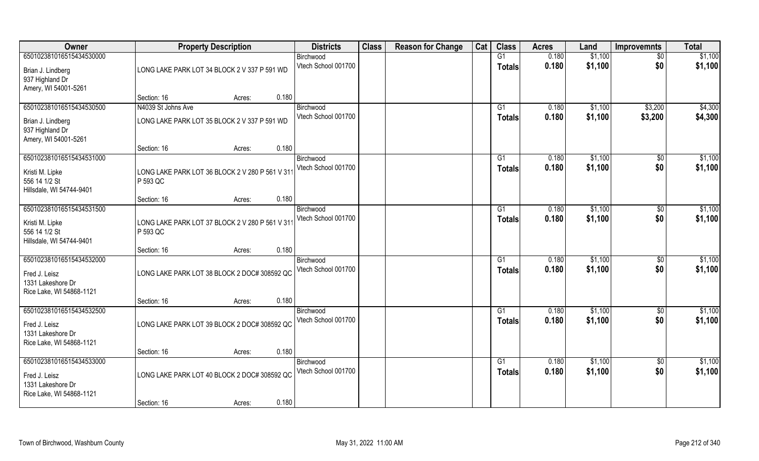| Owner                                                                                      |                                                                    | <b>Property Description</b> |       | <b>Districts</b>                 | <b>Class</b> | <b>Reason for Change</b> | Cat | <b>Class</b>                    | <b>Acres</b>   | Land               | <b>Improvemnts</b>     | <b>Total</b>       |
|--------------------------------------------------------------------------------------------|--------------------------------------------------------------------|-----------------------------|-------|----------------------------------|--------------|--------------------------|-----|---------------------------------|----------------|--------------------|------------------------|--------------------|
| 650102381016515434530000<br>Brian J. Lindberg<br>937 Highland Dr                           | LONG LAKE PARK LOT 34 BLOCK 2 V 337 P 591 WD                       |                             |       | Birchwood<br>Vtech School 001700 |              |                          |     | G1<br><b>Totals</b>             | 0.180<br>0.180 | \$1,100<br>\$1,100 | $\overline{50}$<br>\$0 | \$1,100<br>\$1,100 |
| Amery, WI 54001-5261                                                                       | Section: 16                                                        | Acres:                      | 0.180 |                                  |              |                          |     |                                 |                |                    |                        |                    |
| 650102381016515434530500<br>Brian J. Lindberg<br>937 Highland Dr<br>Amery, WI 54001-5261   | N4039 St Johns Ave<br>LONG LAKE PARK LOT 35 BLOCK 2 V 337 P 591 WD |                             |       | Birchwood<br>Vtech School 001700 |              |                          |     | G1<br><b>Totals</b>             | 0.180<br>0.180 | \$1,100<br>\$1,100 | \$3,200<br>\$3,200     | \$4,300<br>\$4,300 |
|                                                                                            | Section: 16                                                        | Acres:                      | 0.180 |                                  |              |                          |     |                                 |                |                    |                        |                    |
| 650102381016515434531000<br>Kristi M. Lipke<br>556 14 1/2 St<br>Hillsdale, WI 54744-9401   | LONG LAKE PARK LOT 36 BLOCK 2 V 280 P 561 V 31<br>P 593 QC         |                             |       | Birchwood<br>Vtech School 001700 |              |                          |     | G1<br><b>Totals</b>             | 0.180<br>0.180 | \$1,100<br>\$1,100 | $\sqrt[6]{30}$<br>\$0  | \$1,100<br>\$1,100 |
|                                                                                            | Section: 16                                                        | Acres:                      | 0.180 |                                  |              |                          |     |                                 |                |                    |                        |                    |
| 650102381016515434531500<br>Kristi M. Lipke<br>556 14 1/2 St<br>Hillsdale, WI 54744-9401   | LONG LAKE PARK LOT 37 BLOCK 2 V 280 P 561 V 31<br>P 593 QC         |                             |       | Birchwood<br>Vtech School 001700 |              |                          |     | G <sub>1</sub><br><b>Totals</b> | 0.180<br>0.180 | \$1,100<br>\$1,100 | $\sqrt[6]{3}$<br>\$0   | \$1,100<br>\$1,100 |
|                                                                                            | Section: 16                                                        | Acres:                      | 0.180 |                                  |              |                          |     |                                 |                |                    |                        |                    |
| 650102381016515434532000<br>Fred J. Leisz<br>1331 Lakeshore Dr<br>Rice Lake, WI 54868-1121 | LONG LAKE PARK LOT 38 BLOCK 2 DOC# 308592 QC                       |                             |       | Birchwood<br>Vtech School 001700 |              |                          |     | G1<br><b>Totals</b>             | 0.180<br>0.180 | \$1,100<br>\$1,100 | $\sqrt[6]{3}$<br>\$0   | \$1,100<br>\$1,100 |
|                                                                                            | Section: 16                                                        | Acres:                      | 0.180 |                                  |              |                          |     |                                 |                |                    |                        |                    |
| 650102381016515434532500<br>Fred J. Leisz<br>1331 Lakeshore Dr<br>Rice Lake, WI 54868-1121 | LONG LAKE PARK LOT 39 BLOCK 2 DOC# 308592 QC                       |                             |       | Birchwood<br>Vtech School 001700 |              |                          |     | G1<br><b>Totals</b>             | 0.180<br>0.180 | \$1,100<br>\$1,100 | \$0<br>\$0             | \$1,100<br>\$1,100 |
|                                                                                            | Section: 16                                                        | Acres:                      | 0.180 |                                  |              |                          |     |                                 |                |                    |                        |                    |
| 650102381016515434533000<br>Fred J. Leisz<br>1331 Lakeshore Dr<br>Rice Lake, WI 54868-1121 | LONG LAKE PARK LOT 40 BLOCK 2 DOC# 308592 QC                       |                             |       | Birchwood<br>Vtech School 001700 |              |                          |     | G1<br><b>Totals</b>             | 0.180<br>0.180 | \$1,100<br>\$1,100 | $\overline{50}$<br>\$0 | \$1,100<br>\$1,100 |
|                                                                                            | Section: 16                                                        | Acres:                      | 0.180 |                                  |              |                          |     |                                 |                |                    |                        |                    |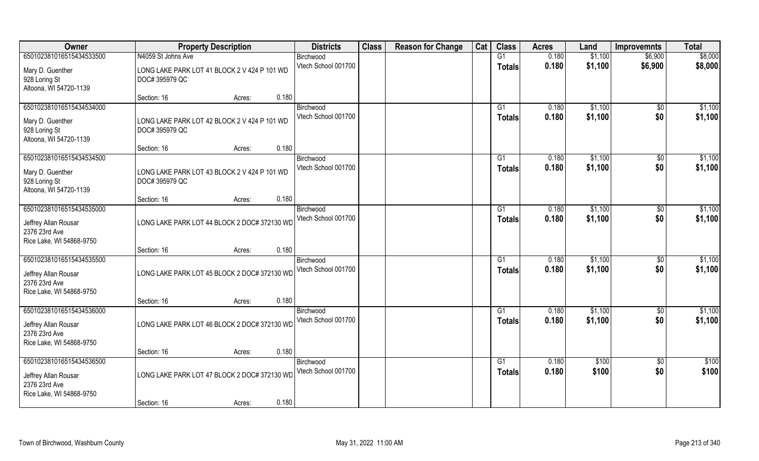| Owner                                                                                         | <b>Property Description</b>                                                    | <b>Districts</b>                 | <b>Class</b> | <b>Reason for Change</b> | Cat | <b>Class</b>                     | <b>Acres</b>   | Land               | <b>Improvemnts</b>    | <b>Total</b>       |
|-----------------------------------------------------------------------------------------------|--------------------------------------------------------------------------------|----------------------------------|--------------|--------------------------|-----|----------------------------------|----------------|--------------------|-----------------------|--------------------|
| 650102381016515434533500                                                                      | N4059 St Johns Ave                                                             | Birchwood                        |              |                          |     | G1                               | 0.180          | \$1,100            | \$6,900               | \$8,000            |
| Mary D. Guenther<br>928 Loring St<br>Altoona, WI 54720-1139                                   | LONG LAKE PARK LOT 41 BLOCK 2 V 424 P 101 WD<br>DOC# 395979 QC                 | Vtech School 001700              |              |                          |     | <b>Totals</b>                    | 0.180          | \$1,100            | \$6,900               | \$8,000            |
|                                                                                               | 0.180<br>Section: 16<br>Acres:                                                 |                                  |              |                          |     |                                  |                |                    |                       |                    |
| 650102381016515434534000<br>Mary D. Guenther<br>928 Loring St<br>Altoona, WI 54720-1139       | LONG LAKE PARK LOT 42 BLOCK 2 V 424 P 101 WD<br>DOC# 395979 QC                 | Birchwood<br>Vtech School 001700 |              |                          |     | G1<br><b>Totals</b>              | 0.180<br>0.180 | \$1,100<br>\$1,100 | \$0<br>\$0            | \$1,100<br>\$1,100 |
|                                                                                               | 0.180<br>Section: 16<br>Acres:                                                 |                                  |              |                          |     |                                  |                |                    |                       |                    |
| 650102381016515434534500<br>Mary D. Guenther<br>928 Loring St<br>Altoona, WI 54720-1139       | LONG LAKE PARK LOT 43 BLOCK 2 V 424 P 101 WD<br>DOC# 395979 QC                 | Birchwood<br>Vtech School 001700 |              |                          |     | G1<br><b>Totals</b>              | 0.180<br>0.180 | \$1,100<br>\$1,100 | $\sqrt[6]{30}$<br>\$0 | \$1,100<br>\$1,100 |
|                                                                                               | 0.180<br>Section: 16<br>Acres:                                                 |                                  |              |                          |     |                                  |                |                    |                       |                    |
| 650102381016515434535000<br>Jeffrey Allan Rousar<br>2376 23rd Ave<br>Rice Lake, WI 54868-9750 | LONG LAKE PARK LOT 44 BLOCK 2 DOC# 372130 WD                                   | Birchwood<br>Vtech School 001700 |              |                          |     | G <sub>1</sub><br><b>Totals</b>  | 0.180<br>0.180 | \$1,100<br>\$1,100 | $\sqrt[6]{3}$<br>\$0  | \$1,100<br>\$1,100 |
|                                                                                               | 0.180<br>Section: 16<br>Acres:                                                 |                                  |              |                          |     |                                  |                |                    |                       |                    |
| 650102381016515434535500<br>Jeffrey Allan Rousar<br>2376 23rd Ave<br>Rice Lake, WI 54868-9750 | LONG LAKE PARK LOT 45 BLOCK 2 DOC# 372130 WD                                   | Birchwood<br>Vtech School 001700 |              |                          |     | G1<br><b>Totals</b>              | 0.180<br>0.180 | \$1,100<br>\$1,100 | $\sqrt[6]{3}$<br>\$0  | \$1,100<br>\$1,100 |
|                                                                                               | 0.180<br>Section: 16<br>Acres:                                                 |                                  |              |                          |     |                                  |                |                    |                       |                    |
| 650102381016515434536000<br>Jeffrey Allan Rousar<br>2376 23rd Ave<br>Rice Lake, WI 54868-9750 | LONG LAKE PARK LOT 46 BLOCK 2 DOC# 372130 WD                                   | Birchwood<br>Vtech School 001700 |              |                          |     | G1<br><b>Totals</b>              | 0.180<br>0.180 | \$1,100<br>\$1,100 | \$0<br>\$0            | \$1,100<br>\$1,100 |
|                                                                                               | 0.180<br>Section: 16<br>Acres:                                                 |                                  |              |                          |     |                                  |                |                    |                       |                    |
| 650102381016515434536500<br>Jeffrey Allan Rousar<br>2376 23rd Ave<br>Rice Lake, WI 54868-9750 | LONG LAKE PARK LOT 47 BLOCK 2 DOC# 372130 WD<br>0.180<br>Section: 16<br>Acres: | Birchwood<br>Vtech School 001700 |              |                          |     | $\overline{G1}$<br><b>Totals</b> | 0.180<br>0.180 | \$100<br>\$100     | $\sqrt{$0}$<br>\$0    | \$100<br>\$100     |
|                                                                                               |                                                                                |                                  |              |                          |     |                                  |                |                    |                       |                    |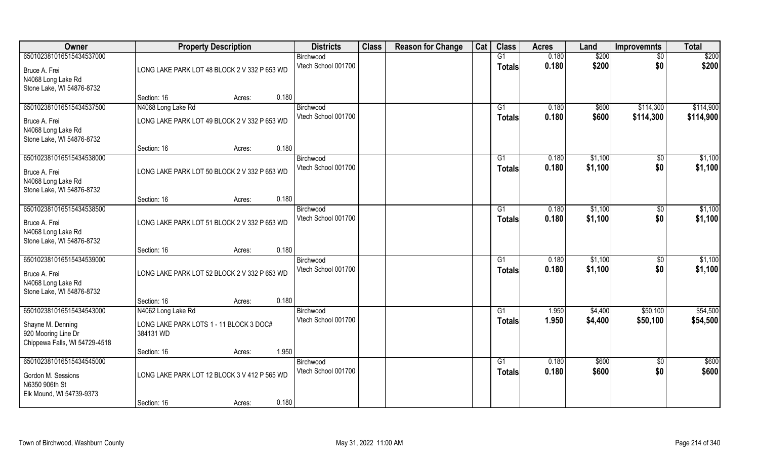| Owner                                                                                                 | <b>Property Description</b>                                                    | <b>Districts</b>                 | <b>Class</b> | <b>Reason for Change</b> | Cat | <b>Class</b>        | <b>Acres</b>   | Land               | <b>Improvemnts</b>     | <b>Total</b>           |
|-------------------------------------------------------------------------------------------------------|--------------------------------------------------------------------------------|----------------------------------|--------------|--------------------------|-----|---------------------|----------------|--------------------|------------------------|------------------------|
| 650102381016515434537000<br>Bruce A. Frei<br>N4068 Long Lake Rd<br>Stone Lake, WI 54876-8732          | LONG LAKE PARK LOT 48 BLOCK 2 V 332 P 653 WD                                   | Birchwood<br>Vtech School 001700 |              |                          |     | G1<br><b>Totals</b> | 0.180<br>0.180 | \$200<br>\$200     | $\sqrt{6}$<br>\$0      | \$200<br>\$200         |
|                                                                                                       | 0.180<br>Section: 16<br>Acres:                                                 |                                  |              |                          |     |                     |                |                    |                        |                        |
| 650102381016515434537500<br>Bruce A. Frei<br>N4068 Long Lake Rd<br>Stone Lake, WI 54876-8732          | N4068 Long Lake Rd<br>LONG LAKE PARK LOT 49 BLOCK 2 V 332 P 653 WD             | Birchwood<br>Vtech School 001700 |              |                          |     | G1<br>Totals        | 0.180<br>0.180 | \$600<br>\$600     | \$114,300<br>\$114,300 | \$114,900<br>\$114,900 |
|                                                                                                       | 0.180<br>Section: 16<br>Acres:                                                 |                                  |              |                          |     |                     |                |                    |                        |                        |
| 650102381016515434538000<br>Bruce A. Frei<br>N4068 Long Lake Rd<br>Stone Lake, WI 54876-8732          | LONG LAKE PARK LOT 50 BLOCK 2 V 332 P 653 WD                                   | Birchwood<br>Vtech School 001700 |              |                          |     | G1<br><b>Totals</b> | 0.180<br>0.180 | \$1,100<br>\$1,100 | \$0<br>\$0             | \$1,100<br>\$1,100     |
|                                                                                                       | 0.180<br>Section: 16<br>Acres:                                                 |                                  |              |                          |     |                     |                |                    |                        |                        |
| 650102381016515434538500<br>Bruce A. Frei<br>N4068 Long Lake Rd<br>Stone Lake, WI 54876-8732          | LONG LAKE PARK LOT 51 BLOCK 2 V 332 P 653 WD                                   | Birchwood<br>Vtech School 001700 |              |                          |     | G1<br><b>Totals</b> | 0.180<br>0.180 | \$1,100<br>\$1,100 | $\sqrt[6]{3}$<br>\$0   | \$1,100<br>\$1,100     |
|                                                                                                       | 0.180<br>Section: 16<br>Acres:                                                 |                                  |              |                          |     |                     |                |                    |                        |                        |
| 650102381016515434539000<br>Bruce A. Frei<br>N4068 Long Lake Rd<br>Stone Lake, WI 54876-8732          | LONG LAKE PARK LOT 52 BLOCK 2 V 332 P 653 WD                                   | Birchwood<br>Vtech School 001700 |              |                          |     | G1<br><b>Totals</b> | 0.180<br>0.180 | \$1,100<br>\$1,100 | \$0<br>\$0             | \$1,100<br>\$1,100     |
|                                                                                                       | 0.180<br>Section: 16<br>Acres:                                                 |                                  |              |                          |     |                     |                |                    |                        |                        |
| 650102381016515434543000<br>Shayne M. Denning<br>920 Mooring Line Dr<br>Chippewa Falls, WI 54729-4518 | N4062 Long Lake Rd<br>LONG LAKE PARK LOTS 1 - 11 BLOCK 3 DOC#<br>384131 WD     | Birchwood<br>Vtech School 001700 |              |                          |     | G1<br><b>Totals</b> | 1.950<br>1.950 | \$4,400<br>\$4,400 | \$50,100<br>\$50,100   | \$54,500<br>\$54,500   |
|                                                                                                       | 1.950<br>Section: 16<br>Acres:                                                 |                                  |              |                          |     |                     |                |                    |                        |                        |
| 650102381016515434545000<br>Gordon M. Sessions<br>N6350 906th St<br>Elk Mound, WI 54739-9373          | LONG LAKE PARK LOT 12 BLOCK 3 V 412 P 565 WD<br>0.180<br>Section: 16<br>Acres: | Birchwood<br>Vtech School 001700 |              |                          |     | G1<br>Totals        | 0.180<br>0.180 | \$600<br>\$600     | $\overline{50}$<br>\$0 | \$600<br>\$600         |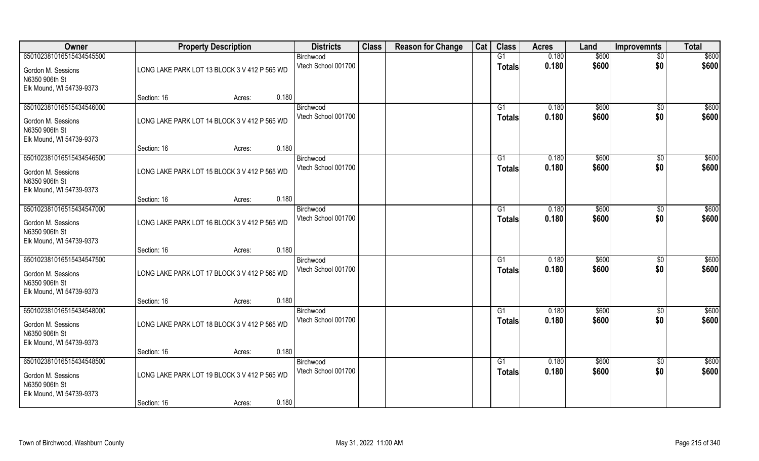| Owner                                                                                        | <b>Property Description</b>                  | <b>Districts</b>                 | <b>Class</b> | <b>Reason for Change</b> | Cat | <b>Class</b>        | <b>Acres</b>   | Land           | <b>Improvemnts</b>     | <b>Total</b>   |
|----------------------------------------------------------------------------------------------|----------------------------------------------|----------------------------------|--------------|--------------------------|-----|---------------------|----------------|----------------|------------------------|----------------|
| 650102381016515434545500                                                                     |                                              | Birchwood                        |              |                          |     | G1                  | 0.180          | \$600          | $\overline{50}$        | \$600          |
| Gordon M. Sessions<br>N6350 906th St<br>Elk Mound, WI 54739-9373                             | LONG LAKE PARK LOT 13 BLOCK 3 V 412 P 565 WD | Vtech School 001700              |              |                          |     | <b>Totals</b>       | 0.180          | \$600          | \$0                    | \$600          |
|                                                                                              | 0.180<br>Section: 16<br>Acres:               |                                  |              |                          |     |                     |                |                |                        |                |
| 650102381016515434546000<br>Gordon M. Sessions<br>N6350 906th St<br>Elk Mound, WI 54739-9373 | LONG LAKE PARK LOT 14 BLOCK 3 V 412 P 565 WD | Birchwood<br>Vtech School 001700 |              |                          |     | G1<br><b>Totals</b> | 0.180<br>0.180 | \$600<br>\$600 | $\overline{50}$<br>\$0 | \$600<br>\$600 |
|                                                                                              | 0.180<br>Section: 16<br>Acres:               |                                  |              |                          |     |                     |                |                |                        |                |
| 650102381016515434546500<br>Gordon M. Sessions<br>N6350 906th St<br>Elk Mound, WI 54739-9373 | LONG LAKE PARK LOT 15 BLOCK 3 V 412 P 565 WD | Birchwood<br>Vtech School 001700 |              |                          |     | G1<br><b>Totals</b> | 0.180<br>0.180 | \$600<br>\$600 | $\sqrt[6]{30}$<br>\$0  | \$600<br>\$600 |
|                                                                                              | 0.180<br>Section: 16<br>Acres:               |                                  |              |                          |     |                     |                |                |                        |                |
| 650102381016515434547000<br>Gordon M. Sessions                                               | LONG LAKE PARK LOT 16 BLOCK 3 V 412 P 565 WD | Birchwood<br>Vtech School 001700 |              |                          |     | G1<br><b>Totals</b> | 0.180<br>0.180 | \$600<br>\$600 | \$0<br>\$0             | \$600<br>\$600 |
| N6350 906th St<br>Elk Mound, WI 54739-9373                                                   | 0.180<br>Section: 16<br>Acres:               |                                  |              |                          |     |                     |                |                |                        |                |
| 650102381016515434547500<br>Gordon M. Sessions<br>N6350 906th St<br>Elk Mound, WI 54739-9373 | LONG LAKE PARK LOT 17 BLOCK 3 V 412 P 565 WD | Birchwood<br>Vtech School 001700 |              |                          |     | G1<br><b>Totals</b> | 0.180<br>0.180 | \$600<br>\$600 | $\sqrt[6]{30}$<br>\$0  | \$600<br>\$600 |
|                                                                                              | 0.180<br>Section: 16<br>Acres:               |                                  |              |                          |     |                     |                |                |                        |                |
| 650102381016515434548000                                                                     |                                              | Birchwood<br>Vtech School 001700 |              |                          |     | G1<br><b>Totals</b> | 0.180<br>0.180 | \$600<br>\$600 | \$0<br>\$0             | \$600<br>\$600 |
| Gordon M. Sessions<br>N6350 906th St<br>Elk Mound, WI 54739-9373                             | LONG LAKE PARK LOT 18 BLOCK 3 V 412 P 565 WD |                                  |              |                          |     |                     |                |                |                        |                |
|                                                                                              | 0.180<br>Section: 16<br>Acres:               |                                  |              |                          |     |                     |                |                |                        |                |
| 650102381016515434548500<br>Gordon M. Sessions<br>N6350 906th St                             | LONG LAKE PARK LOT 19 BLOCK 3 V 412 P 565 WD | Birchwood<br>Vtech School 001700 |              |                          |     | G1<br><b>Totals</b> | 0.180<br>0.180 | \$600<br>\$600 | $\overline{50}$<br>\$0 | \$600<br>\$600 |
| Elk Mound, WI 54739-9373                                                                     | 0.180<br>Section: 16<br>Acres:               |                                  |              |                          |     |                     |                |                |                        |                |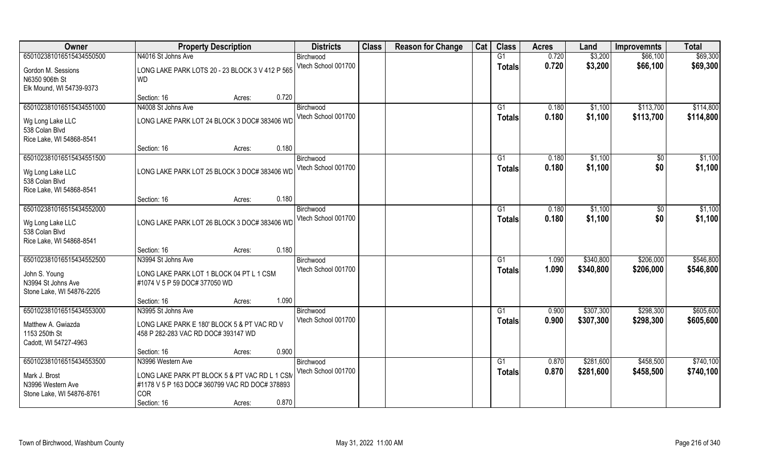| Owner                                                            | <b>Property Description</b>                                                                                   | <b>Districts</b>    | <b>Class</b> | <b>Reason for Change</b> | Cat | <b>Class</b>   | <b>Acres</b> | Land      | <b>Improvemnts</b> | <b>Total</b> |
|------------------------------------------------------------------|---------------------------------------------------------------------------------------------------------------|---------------------|--------------|--------------------------|-----|----------------|--------------|-----------|--------------------|--------------|
| 650102381016515434550500                                         | N4016 St Johns Ave                                                                                            | Birchwood           |              |                          |     | G1             | 0.720        | \$3,200   | \$66,100           | \$69,300     |
| Gordon M. Sessions<br>N6350 906th St                             | LONG LAKE PARK LOTS 20 - 23 BLOCK 3 V 412 P 565<br><b>WD</b>                                                  | Vtech School 001700 |              |                          |     | <b>Totals</b>  | 0.720        | \$3,200   | \$66,100           | \$69,300     |
| Elk Mound, WI 54739-9373                                         | 0.720<br>Section: 16<br>Acres:                                                                                |                     |              |                          |     |                |              |           |                    |              |
| 650102381016515434551000                                         | N4008 St Johns Ave                                                                                            | Birchwood           |              |                          |     | G <sub>1</sub> | 0.180        | \$1,100   | \$113,700          | \$114,800    |
|                                                                  |                                                                                                               | Vtech School 001700 |              |                          |     | Totals         | 0.180        | \$1,100   | \$113,700          | \$114,800    |
| Wg Long Lake LLC<br>538 Colan Blvd<br>Rice Lake, WI 54868-8541   | LONG LAKE PARK LOT 24 BLOCK 3 DOC# 383406 WD                                                                  |                     |              |                          |     |                |              |           |                    |              |
|                                                                  | 0.180<br>Section: 16<br>Acres:                                                                                |                     |              |                          |     |                |              |           |                    |              |
| 650102381016515434551500                                         |                                                                                                               | Birchwood           |              |                          |     | G1             | 0.180        | \$1,100   | \$0                | \$1,100      |
| Wg Long Lake LLC<br>538 Colan Blvd                               | LONG LAKE PARK LOT 25 BLOCK 3 DOC# 383406 WD                                                                  | Vtech School 001700 |              |                          |     | <b>Totals</b>  | 0.180        | \$1,100   | \$0                | \$1,100      |
| Rice Lake, WI 54868-8541                                         | 0.180<br>Section: 16<br>Acres:                                                                                |                     |              |                          |     |                |              |           |                    |              |
| 650102381016515434552000                                         |                                                                                                               | Birchwood           |              |                          |     | G <sub>1</sub> | 0.180        | \$1,100   | \$0                | \$1,100      |
| Wg Long Lake LLC<br>538 Colan Blvd<br>Rice Lake, WI 54868-8541   | LONG LAKE PARK LOT 26 BLOCK 3 DOC# 383406 WD                                                                  | Vtech School 001700 |              |                          |     | <b>Totals</b>  | 0.180        | \$1,100   | \$0                | \$1,100      |
|                                                                  | 0.180<br>Section: 16<br>Acres:                                                                                |                     |              |                          |     |                |              |           |                    |              |
| 650102381016515434552500                                         | N3994 St Johns Ave                                                                                            | Birchwood           |              |                          |     | G1             | 1.090        | \$340,800 | \$206,000          | \$546,800    |
| John S. Young<br>N3994 St Johns Ave<br>Stone Lake, WI 54876-2205 | LONG LAKE PARK LOT 1 BLOCK 04 PT L 1 CSM<br>#1074 V 5 P 59 DOC# 377050 WD                                     | Vtech School 001700 |              |                          |     | <b>Totals</b>  | 1.090        | \$340,800 | \$206,000          | \$546,800    |
|                                                                  | 1.090<br>Section: 16<br>Acres:                                                                                |                     |              |                          |     |                |              |           |                    |              |
| 650102381016515434553000                                         | N3995 St Johns Ave                                                                                            | Birchwood           |              |                          |     | G1             | 0.900        | \$307,300 | \$298,300          | \$605,600    |
| Matthew A. Gwiazda<br>1153 250th St<br>Cadott, WI 54727-4963     | LONG LAKE PARK E 180' BLOCK 5 & PT VAC RD V<br>458 P 282-283 VAC RD DOC# 393147 WD                            | Vtech School 001700 |              |                          |     | <b>Totals</b>  | 0.900        | \$307,300 | \$298,300          | \$605,600    |
|                                                                  | 0.900<br>Section: 16<br>Acres:                                                                                |                     |              |                          |     |                |              |           |                    |              |
| 650102381016515434553500                                         | N3996 Western Ave                                                                                             | Birchwood           |              |                          |     | G1             | 0.870        | \$281,600 | \$458,500          | \$740,100    |
| Mark J. Brost<br>N3996 Western Ave<br>Stone Lake, WI 54876-8761  | LONG LAKE PARK PT BLOCK 5 & PT VAC RD L 1 CSM<br>#1178 V 5 P 163 DOC# 360799 VAC RD DOC# 378893<br><b>COR</b> | Vtech School 001700 |              |                          |     | <b>Totals</b>  | 0.870        | \$281,600 | \$458,500          | \$740,100    |
|                                                                  | 0.870<br>Section: 16<br>Acres:                                                                                |                     |              |                          |     |                |              |           |                    |              |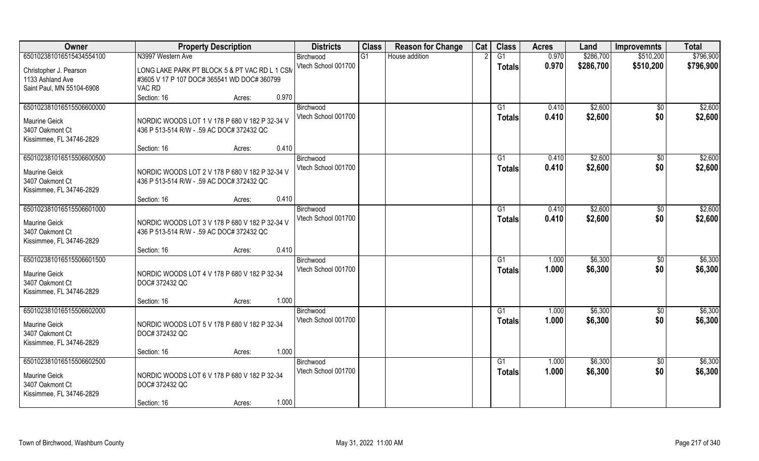| Owner                                                                                           | <b>Property Description</b>                                                                            | <b>Districts</b>                 | <b>Class</b> | <b>Reason for Change</b> | Cat | <b>Class</b>                     | <b>Acres</b>   | Land               | <b>Improvemnts</b>     | <b>Total</b>       |
|-------------------------------------------------------------------------------------------------|--------------------------------------------------------------------------------------------------------|----------------------------------|--------------|--------------------------|-----|----------------------------------|----------------|--------------------|------------------------|--------------------|
| 650102381016515434554100                                                                        | N3997 Western Ave                                                                                      | Birchwood                        | G1           | House addition           |     | $\overline{G1}$                  | 0.970          | \$286,700          | \$510,200              | \$796,900          |
| Christopher J. Pearson<br>1133 Ashland Ave<br>Saint Paul, MN 55104-6908                         | LONG LAKE PARK PT BLOCK 5 & PT VAC RD L 1 CSM<br>#3605 V 17 P 107 DOC# 365541 WD DOC# 360799<br>VAC RD | Vtech School 001700              |              |                          |     | Totals                           | 0.970          | \$286,700          | \$510,200              | \$796,900          |
|                                                                                                 | 0.970<br>Section: 16<br>Acres:                                                                         |                                  |              |                          |     |                                  |                |                    |                        |                    |
| 650102381016515506600000<br>Maurine Geick<br>3407 Oakmont Ct<br>Kissimmee, FL 34746-2829        | NORDIC WOODS LOT 1 V 178 P 680 V 182 P 32-34 V<br>436 P 513-514 R/W - .59 AC DOC# 372432 QC            | Birchwood<br>Vtech School 001700 |              |                          |     | G1<br>Totals                     | 0.410<br>0.410 | \$2,600<br>\$2,600 | \$0<br>\$0             | \$2,600<br>\$2,600 |
|                                                                                                 | 0.410<br>Section: 16<br>Acres:                                                                         |                                  |              |                          |     |                                  |                |                    |                        |                    |
| 650102381016515506600500<br>Maurine Geick<br>3407 Oakmont Ct<br>Kissimmee, FL 34746-2829        | NORDIC WOODS LOT 2 V 178 P 680 V 182 P 32-34 V<br>436 P 513-514 R/W - .59 AC DOC# 372432 QC            | Birchwood<br>Vtech School 001700 |              |                          |     | G1<br><b>Totals</b>              | 0.410<br>0.410 | \$2,600<br>\$2,600 | $\sqrt[6]{30}$<br>\$0  | \$2,600<br>\$2,600 |
|                                                                                                 | 0.410<br>Section: 16<br>Acres:                                                                         |                                  |              |                          |     |                                  |                |                    |                        |                    |
| 650102381016515506601000<br><b>Maurine Geick</b><br>3407 Oakmont Ct<br>Kissimmee, FL 34746-2829 | NORDIC WOODS LOT 3 V 178 P 680 V 182 P 32-34 V<br>436 P 513-514 R/W - .59 AC DOC# 372432 QC            | Birchwood<br>Vtech School 001700 |              |                          |     | G1<br><b>Totals</b>              | 0.410<br>0.410 | \$2,600<br>\$2,600 | $\sqrt[6]{}$<br>\$0    | \$2,600<br>\$2,600 |
|                                                                                                 | 0.410<br>Section: 16<br>Acres:                                                                         |                                  |              |                          |     |                                  |                |                    |                        |                    |
| 650102381016515506601500<br>Maurine Geick<br>3407 Oakmont Ct<br>Kissimmee, FL 34746-2829        | NORDIC WOODS LOT 4 V 178 P 680 V 182 P 32-34<br>DOC# 372432 QC                                         | Birchwood<br>Vtech School 001700 |              |                          |     | G1<br><b>Totals</b>              | 1.000<br>1.000 | \$6,300<br>\$6,300 | $\sqrt[6]{30}$<br>\$0  | \$6,300<br>\$6,300 |
|                                                                                                 | 1.000<br>Section: 16<br>Acres:                                                                         |                                  |              |                          |     |                                  |                |                    |                        |                    |
| 650102381016515506602000<br>Maurine Geick<br>3407 Oakmont Ct<br>Kissimmee, FL 34746-2829        | NORDIC WOODS LOT 5 V 178 P 680 V 182 P 32-34<br>DOC# 372432 QC                                         | Birchwood<br>Vtech School 001700 |              |                          |     | G1<br><b>Totals</b>              | 1.000<br>1.000 | \$6,300<br>\$6,300 | \$0<br>\$0             | \$6,300<br>\$6,300 |
|                                                                                                 | 1.000<br>Section: 16<br>Acres:                                                                         |                                  |              |                          |     |                                  |                |                    |                        |                    |
| 650102381016515506602500<br>Maurine Geick<br>3407 Oakmont Ct<br>Kissimmee, FL 34746-2829        | NORDIC WOODS LOT 6 V 178 P 680 V 182 P 32-34<br>DOC# 372432 QC                                         | Birchwood<br>Vtech School 001700 |              |                          |     | $\overline{G1}$<br><b>Totals</b> | 1.000<br>1.000 | \$6,300<br>\$6,300 | $\overline{30}$<br>\$0 | \$6,300<br>\$6,300 |
|                                                                                                 | 1.000<br>Section: 16<br>Acres:                                                                         |                                  |              |                          |     |                                  |                |                    |                        |                    |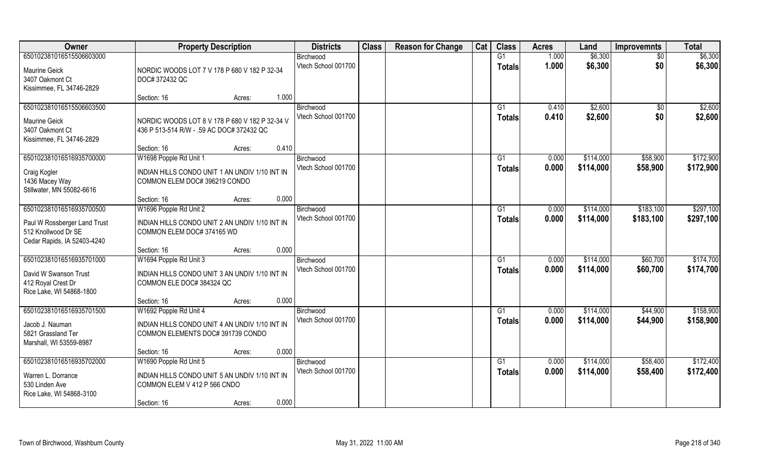| <b>Owner</b>                                                                       | <b>Property Description</b>                                                                 | <b>Districts</b>    | <b>Class</b> | <b>Reason for Change</b> | Cat | <b>Class</b>   | <b>Acres</b> | Land      | <b>Improvemnts</b> | <b>Total</b> |
|------------------------------------------------------------------------------------|---------------------------------------------------------------------------------------------|---------------------|--------------|--------------------------|-----|----------------|--------------|-----------|--------------------|--------------|
| 650102381016515506603000                                                           |                                                                                             | Birchwood           |              |                          |     | G1             | 1.000        | \$6,300   | $\overline{50}$    | \$6,300      |
| Maurine Geick<br>3407 Oakmont Ct                                                   | NORDIC WOODS LOT 7 V 178 P 680 V 182 P 32-34<br>DOC# 372432 QC                              | Vtech School 001700 |              |                          |     | <b>Totals</b>  | 1.000        | \$6,300   | \$0                | \$6,300      |
| Kissimmee, FL 34746-2829                                                           | 1.000<br>Section: 16<br>Acres:                                                              |                     |              |                          |     |                |              |           |                    |              |
| 650102381016515506603500                                                           |                                                                                             | Birchwood           |              |                          |     | G1             | 0.410        | \$2,600   | \$0                | \$2,600      |
| Maurine Geick<br>3407 Oakmont Ct<br>Kissimmee, FL 34746-2829                       | NORDIC WOODS LOT 8 V 178 P 680 V 182 P 32-34 V<br>436 P 513-514 R/W - .59 AC DOC# 372432 QC | Vtech School 001700 |              |                          |     | <b>Totals</b>  | 0.410        | \$2,600   | \$0                | \$2,600      |
|                                                                                    | 0.410<br>Section: 16<br>Acres:                                                              |                     |              |                          |     |                |              |           |                    |              |
| 650102381016516935700000                                                           | W1698 Popple Rd Unit 1                                                                      | Birchwood           |              |                          |     | G1             | 0.000        | \$114,000 | \$58,900           | \$172,900    |
| Craig Kogler<br>1436 Macey Way<br>Stillwater, MN 55082-6616                        | INDIAN HILLS CONDO UNIT 1 AN UNDIV 1/10 INT IN<br>COMMON ELEM DOC# 396219 CONDO             | Vtech School 001700 |              |                          |     | <b>Totals</b>  | 0.000        | \$114,000 | \$58,900           | \$172,900    |
|                                                                                    | 0.000<br>Section: 16<br>Acres:                                                              |                     |              |                          |     |                |              |           |                    |              |
| 650102381016516935700500                                                           | W1696 Popple Rd Unit 2                                                                      | Birchwood           |              |                          |     | G <sub>1</sub> | 0.000        | \$114,000 | \$183,100          | \$297,100    |
| Paul W Rossberger Land Trust<br>512 Knollwood Dr SE<br>Cedar Rapids, IA 52403-4240 | INDIAN HILLS CONDO UNIT 2 AN UNDIV 1/10 INT IN<br>COMMON ELEM DOC# 374165 WD                | Vtech School 001700 |              |                          |     | <b>Totals</b>  | 0.000        | \$114,000 | \$183,100          | \$297,100    |
|                                                                                    | 0.000<br>Section: 16<br>Acres:                                                              |                     |              |                          |     |                |              |           |                    |              |
| 650102381016516935701000                                                           | W1694 Popple Rd Unit 3                                                                      | Birchwood           |              |                          |     | G <sub>1</sub> | 0.000        | \$114,000 | \$60,700           | \$174,700    |
| David W Swanson Trust<br>412 Royal Crest Dr<br>Rice Lake, WI 54868-1800            | INDIAN HILLS CONDO UNIT 3 AN UNDIV 1/10 INT IN<br>COMMON ELE DOC# 384324 QC                 | Vtech School 001700 |              |                          |     | <b>Totals</b>  | 0.000        | \$114,000 | \$60,700           | \$174,700    |
|                                                                                    | 0.000<br>Section: 16<br>Acres:                                                              |                     |              |                          |     |                |              |           |                    |              |
| 650102381016516935701500                                                           | W1692 Popple Rd Unit 4                                                                      | Birchwood           |              |                          |     | G1             | 0.000        | \$114,000 | \$44,900           | \$158,900    |
| Jacob J. Nauman<br>5821 Grassland Ter<br>Marshall, WI 53559-8987                   | INDIAN HILLS CONDO UNIT 4 AN UNDIV 1/10 INT IN<br>COMMON ELEMENTS DOC# 391739 CONDO         | Vtech School 001700 |              |                          |     | <b>Totals</b>  | 0.000        | \$114,000 | \$44,900           | \$158,900    |
|                                                                                    | 0.000<br>Section: 16<br>Acres:                                                              |                     |              |                          |     |                |              |           |                    |              |
| 650102381016516935702000                                                           | W1690 Popple Rd Unit 5                                                                      | Birchwood           |              |                          |     | G1             | 0.000        | \$114,000 | \$58,400           | \$172,400    |
| Warren L. Dorrance<br>530 Linden Ave<br>Rice Lake, WI 54868-3100                   | INDIAN HILLS CONDO UNIT 5 AN UNDIV 1/10 INT IN<br>COMMON ELEM V 412 P 566 CNDO              | Vtech School 001700 |              |                          |     | <b>Totals</b>  | 0.000        | \$114,000 | \$58,400           | \$172,400    |
|                                                                                    | 0.000<br>Section: 16<br>Acres:                                                              |                     |              |                          |     |                |              |           |                    |              |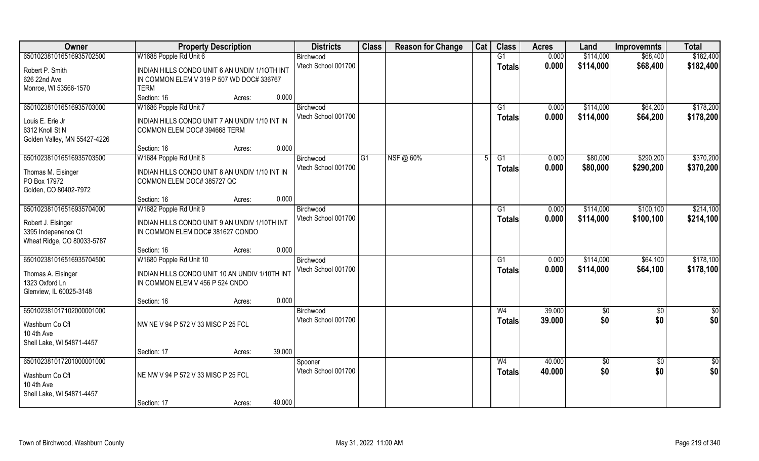| Owner                        | <b>Property Description</b>                    | <b>Districts</b>    | <b>Class</b> | <b>Reason for Change</b> | Cat | <b>Class</b>   | <b>Acres</b> | Land       | <b>Improvemnts</b> | <b>Total</b>  |
|------------------------------|------------------------------------------------|---------------------|--------------|--------------------------|-----|----------------|--------------|------------|--------------------|---------------|
| 650102381016516935702500     | W1688 Popple Rd Unit 6                         | Birchwood           |              |                          |     | G1             | 0.000        | \$114,000  | \$68,400           | \$182,400     |
| Robert P. Smith              | INDIAN HILLS CONDO UNIT 6 AN UNDIV 1/10TH INT  | Vtech School 001700 |              |                          |     | <b>Totals</b>  | 0.000        | \$114,000  | \$68,400           | \$182,400     |
| 626 22nd Ave                 | IN COMMON ELEM V 319 P 507 WD DOC# 336767      |                     |              |                          |     |                |              |            |                    |               |
| Monroe, WI 53566-1570        | <b>TERM</b>                                    |                     |              |                          |     |                |              |            |                    |               |
|                              | 0.000<br>Section: 16<br>Acres:                 |                     |              |                          |     |                |              |            |                    |               |
| 650102381016516935703000     | W1686 Popple Rd Unit 7                         | Birchwood           |              |                          |     | G1             | 0.000        | \$114,000  | \$64,200           | \$178,200     |
| Louis E. Erie Jr             | INDIAN HILLS CONDO UNIT 7 AN UNDIV 1/10 INT IN | Vtech School 001700 |              |                          |     | <b>Totals</b>  | 0.000        | \$114,000  | \$64,200           | \$178,200     |
| 6312 Knoll St N              | COMMON ELEM DOC# 394668 TERM                   |                     |              |                          |     |                |              |            |                    |               |
| Golden Valley, MN 55427-4226 |                                                |                     |              |                          |     |                |              |            |                    |               |
|                              | 0.000<br>Section: 16<br>Acres:                 |                     |              |                          |     |                |              |            |                    |               |
| 650102381016516935703500     | W1684 Popple Rd Unit 8                         | Birchwood           | G1           | NSF@ 60%                 | 5   | G1             | 0.000        | \$80,000   | \$290,200          | \$370,200     |
| Thomas M. Eisinger           | INDIAN HILLS CONDO UNIT 8 AN UNDIV 1/10 INT IN | Vtech School 001700 |              |                          |     | <b>Totals</b>  | 0.000        | \$80,000   | \$290,200          | \$370,200     |
| PO Box 17972                 | COMMON ELEM DOC# 385727 QC                     |                     |              |                          |     |                |              |            |                    |               |
| Golden, CO 80402-7972        |                                                |                     |              |                          |     |                |              |            |                    |               |
|                              | 0.000<br>Section: 16<br>Acres:                 |                     |              |                          |     |                |              |            |                    |               |
| 650102381016516935704000     | W1682 Popple Rd Unit 9                         | Birchwood           |              |                          |     | G1             | 0.000        | \$114,000  | \$100,100          | \$214,100     |
| Robert J. Eisinger           | INDIAN HILLS CONDO UNIT 9 AN UNDIV 1/10TH INT  | Vtech School 001700 |              |                          |     | <b>Totals</b>  | 0.000        | \$114,000  | \$100,100          | \$214,100     |
| 3395 Indepenence Ct          | IN COMMON ELEM DOC# 381627 CONDO               |                     |              |                          |     |                |              |            |                    |               |
| Wheat Ridge, CO 80033-5787   |                                                |                     |              |                          |     |                |              |            |                    |               |
|                              | 0.000<br>Section: 16<br>Acres:                 |                     |              |                          |     |                |              |            |                    |               |
| 650102381016516935704500     | W1680 Popple Rd Unit 10                        | Birchwood           |              |                          |     | G1             | 0.000        | \$114,000  | \$64,100           | \$178,100     |
| Thomas A. Eisinger           | INDIAN HILLS CONDO UNIT 10 AN UNDIV 1/10TH INT | Vtech School 001700 |              |                          |     | <b>Totals</b>  | 0.000        | \$114,000  | \$64,100           | \$178,100     |
| 1323 Oxford Ln               | IN COMMON ELEM V 456 P 524 CNDO                |                     |              |                          |     |                |              |            |                    |               |
| Glenview, IL 60025-3148      |                                                |                     |              |                          |     |                |              |            |                    |               |
|                              | 0.000<br>Section: 16<br>Acres:                 |                     |              |                          |     |                |              |            |                    |               |
| 650102381017102000001000     |                                                | Birchwood           |              |                          |     | W <sub>4</sub> | 39,000       | \$0        | \$0                | $\frac{1}{6}$ |
| Washburn Co Cfl              | NW NE V 94 P 572 V 33 MISC P 25 FCL            | Vtech School 001700 |              |                          |     | <b>Totals</b>  | 39.000       | \$0        | \$0                | \$0           |
| 10 4th Ave                   |                                                |                     |              |                          |     |                |              |            |                    |               |
| Shell Lake, WI 54871-4457    |                                                |                     |              |                          |     |                |              |            |                    |               |
|                              | 39.000<br>Section: 17<br>Acres:                |                     |              |                          |     |                |              |            |                    |               |
| 650102381017201000001000     |                                                | Spooner             |              |                          |     | W <sub>4</sub> | 40.000       | $\sqrt{6}$ | $\overline{50}$    | $\frac{1}{2}$ |
| Washburn Co Cfl              | NE NW V 94 P 572 V 33 MISC P 25 FCL            | Vtech School 001700 |              |                          |     | <b>Totals</b>  | 40.000       | \$0        | \$0                | \$0           |
| 10 4th Ave                   |                                                |                     |              |                          |     |                |              |            |                    |               |
| Shell Lake, WI 54871-4457    |                                                |                     |              |                          |     |                |              |            |                    |               |
|                              | 40.000<br>Section: 17<br>Acres:                |                     |              |                          |     |                |              |            |                    |               |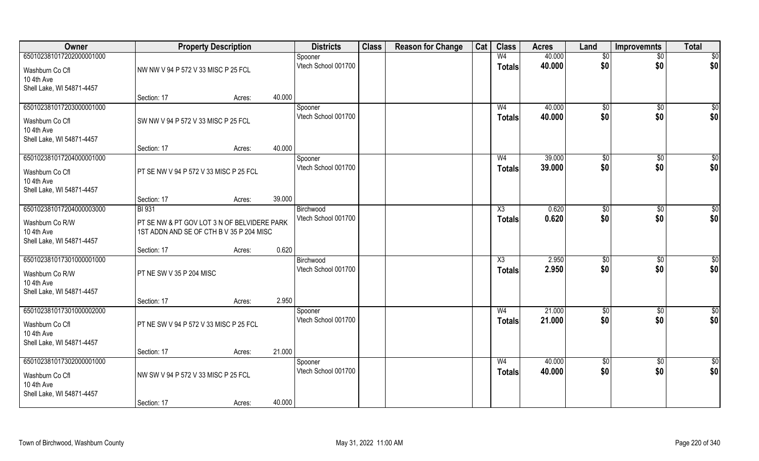| Owner                                                                                  | <b>Property Description</b>                                                             |        |        | <b>Districts</b>                 | <b>Class</b> | <b>Reason for Change</b> | Cat | <b>Class</b>                    | <b>Acres</b>     | Land                | <b>Improvemnts</b>    | <b>Total</b>           |
|----------------------------------------------------------------------------------------|-----------------------------------------------------------------------------------------|--------|--------|----------------------------------|--------------|--------------------------|-----|---------------------------------|------------------|---------------------|-----------------------|------------------------|
| 650102381017202000001000                                                               |                                                                                         |        |        | Spooner                          |              |                          |     | W <sub>4</sub>                  | 40.000           | \$0                 | $\overline{50}$       | $\overline{50}$        |
| Washburn Co Cfl<br>10 4th Ave<br>Shell Lake, WI 54871-4457                             | NW NW V 94 P 572 V 33 MISC P 25 FCL                                                     |        |        | Vtech School 001700              |              |                          |     | <b>Totals</b>                   | 40.000           | \$0                 | \$0                   | \$0                    |
|                                                                                        | Section: 17                                                                             | Acres: | 40.000 |                                  |              |                          |     |                                 |                  |                     |                       |                        |
| 650102381017203000001000<br>Washburn Co Cfl<br>10 4th Ave<br>Shell Lake, WI 54871-4457 | SW NW V 94 P 572 V 33 MISC P 25 FCL                                                     |        |        | Spooner<br>Vtech School 001700   |              |                          |     | W <sub>4</sub><br><b>Totals</b> | 40.000<br>40.000 | $\sqrt[6]{}$<br>\$0 | $\sqrt{50}$<br>\$0    | $\sqrt{50}$<br>\$0     |
|                                                                                        | Section: 17                                                                             | Acres: | 40.000 |                                  |              |                          |     |                                 |                  |                     |                       |                        |
| 650102381017204000001000                                                               |                                                                                         |        |        | Spooner                          |              |                          |     | W <sub>4</sub>                  | 39.000           | \$0                 | $\sqrt[6]{30}$        | $\sqrt{50}$            |
| Washburn Co Cfl<br>10 4th Ave<br>Shell Lake, WI 54871-4457                             | PT SE NW V 94 P 572 V 33 MISC P 25 FCL                                                  |        |        | Vtech School 001700              |              |                          |     | <b>Totals</b>                   | 39.000           | \$0                 | \$0                   | \$0                    |
|                                                                                        | Section: 17                                                                             | Acres: | 39.000 |                                  |              |                          |     |                                 |                  |                     |                       |                        |
| 650102381017204000003000                                                               | <b>BI</b> 931                                                                           |        |        | Birchwood                        |              |                          |     | X3                              | 0.620            | $\sqrt[6]{3}$       | $\sqrt[6]{30}$        | \$0                    |
| Washburn Co R/W<br>10 4th Ave<br>Shell Lake, WI 54871-4457                             | PT SE NW & PT GOV LOT 3 N OF BELVIDERE PARK<br>1ST ADDN AND SE OF CTH B V 35 P 204 MISC |        |        | Vtech School 001700              |              |                          |     | <b>Totals</b>                   | 0.620            | \$0                 | \$0                   | \$0                    |
|                                                                                        | Section: 17                                                                             | Acres: | 0.620  |                                  |              |                          |     |                                 |                  |                     |                       |                        |
| 650102381017301000001000<br>Washburn Co R/W<br>10 4th Ave<br>Shell Lake, WI 54871-4457 | PT NE SW V 35 P 204 MISC                                                                |        |        | Birchwood<br>Vtech School 001700 |              |                          |     | X3<br><b>Totals</b>             | 2.950<br>2.950   | \$0<br>\$0          | $\sqrt[6]{30}$<br>\$0 | $\overline{50}$<br>\$0 |
|                                                                                        | Section: 17                                                                             | Acres: | 2.950  |                                  |              |                          |     |                                 |                  |                     |                       |                        |
| 650102381017301000002000<br>Washburn Co Cfl<br>10 4th Ave<br>Shell Lake, WI 54871-4457 | PT NE SW V 94 P 572 V 33 MISC P 25 FCL                                                  |        |        | Spooner<br>Vtech School 001700   |              |                          |     | W <sub>4</sub><br><b>Totals</b> | 21.000<br>21.000 | \$0<br>\$0          | \$0<br>\$0            | \$0<br>\$0             |
|                                                                                        | Section: 17                                                                             | Acres: | 21.000 |                                  |              |                          |     |                                 |                  |                     |                       |                        |
| 650102381017302000001000                                                               |                                                                                         |        |        | Spooner                          |              |                          |     | W <sub>4</sub>                  | 40.000           | $\overline{50}$     | $\overline{50}$       | \$0                    |
| Washburn Co Cfl<br>10 4th Ave<br>Shell Lake, WI 54871-4457                             | NW SW V 94 P 572 V 33 MISC P 25 FCL                                                     |        |        | Vtech School 001700              |              |                          |     | <b>Totals</b>                   | 40.000           | \$0                 | \$0                   | \$0                    |
|                                                                                        | Section: 17                                                                             | Acres: | 40.000 |                                  |              |                          |     |                                 |                  |                     |                       |                        |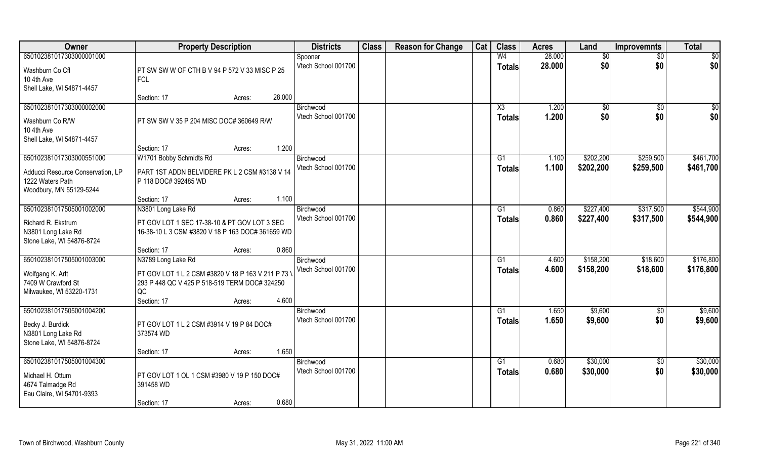| Owner                                                                                                        | <b>Property Description</b>                                                                                                                                       | <b>Districts</b>                 | <b>Class</b> | <b>Reason for Change</b> | Cat | <b>Class</b>                     | <b>Acres</b>   | Land                   | <b>Improvemnts</b>     | <b>Total</b>           |
|--------------------------------------------------------------------------------------------------------------|-------------------------------------------------------------------------------------------------------------------------------------------------------------------|----------------------------------|--------------|--------------------------|-----|----------------------------------|----------------|------------------------|------------------------|------------------------|
| 650102381017303000001000                                                                                     |                                                                                                                                                                   | Spooner                          |              |                          |     | W <sub>4</sub>                   | 28.000         | $\overline{50}$        | $\overline{50}$        | $\overline{50}$        |
| Washburn Co Cfl<br>10 4th Ave<br>Shell Lake, WI 54871-4457                                                   | PT SW SW W OF CTH B V 94 P 572 V 33 MISC P 25<br><b>FCL</b>                                                                                                       | Vtech School 001700              |              |                          |     | <b>Totals</b>                    | 28.000         | \$0                    | \$0                    | \$0                    |
|                                                                                                              | 28.000<br>Section: 17<br>Acres:                                                                                                                                   |                                  |              |                          |     |                                  |                |                        |                        |                        |
| 650102381017303000002000<br>Washburn Co R/W<br>10 4th Ave<br>Shell Lake, WI 54871-4457                       | PT SW SW V 35 P 204 MISC DOC# 360649 R/W                                                                                                                          | Birchwood<br>Vtech School 001700 |              |                          |     | X3<br><b>Totals</b>              | 1.200<br>1.200 | \$0<br>\$0             | \$0<br>\$0             | \$0<br>\$0             |
|                                                                                                              | 1.200<br>Section: 17<br>Acres:                                                                                                                                    |                                  |              |                          |     |                                  |                |                        |                        |                        |
| 650102381017303000551000<br>Adducci Resource Conservation, LP<br>1222 Waters Path<br>Woodbury, MN 55129-5244 | W1701 Bobby Schmidts Rd<br>PART 1ST ADDN BELVIDERE PK L 2 CSM #3138 V 14<br>P 118 DOC# 392485 WD                                                                  | Birchwood<br>Vtech School 001700 |              |                          |     | G1<br><b>Totals</b>              | 1.100<br>1.100 | \$202,200<br>\$202,200 | \$259,500<br>\$259,500 | \$461,700<br>\$461,700 |
|                                                                                                              | 1.100<br>Section: 17<br>Acres:                                                                                                                                    |                                  |              |                          |     |                                  |                |                        |                        |                        |
| 650102381017505001002000<br>Richard R. Ekstrum<br>N3801 Long Lake Rd<br>Stone Lake, WI 54876-8724            | N3801 Long Lake Rd<br>PT GOV LOT 1 SEC 17-38-10 & PT GOV LOT 3 SEC<br>16-38-10 L 3 CSM #3820 V 18 P 163 DOC# 361659 WD                                            | Birchwood<br>Vtech School 001700 |              |                          |     | G1<br><b>Totals</b>              | 0.860<br>0.860 | \$227,400<br>\$227,400 | \$317,500<br>\$317,500 | \$544,900<br>\$544,900 |
|                                                                                                              | 0.860<br>Section: 17<br>Acres:                                                                                                                                    |                                  |              |                          |     |                                  |                |                        |                        |                        |
| 650102381017505001003000<br>Wolfgang K. Arlt<br>7409 W Crawford St<br>Milwaukee, WI 53220-1731               | N3789 Long Lake Rd<br>PT GOV LOT 1 L 2 CSM #3820 V 18 P 163 V 211 P 73 V<br>293 P 448 QC V 425 P 518-519 TERM DOC# 324250<br>QC<br>4.600<br>Section: 17<br>Acres: | Birchwood<br>Vtech School 001700 |              |                          |     | G1<br><b>Totals</b>              | 4.600<br>4.600 | \$158,200<br>\$158,200 | \$18,600<br>\$18,600   | \$176,800<br>\$176,800 |
| 650102381017505001004200<br>Becky J. Burdick<br>N3801 Long Lake Rd<br>Stone Lake, WI 54876-8724              | PT GOV LOT 1 L 2 CSM #3914 V 19 P 84 DOC#<br>373574 WD                                                                                                            | Birchwood<br>Vtech School 001700 |              |                          |     | $\overline{G1}$<br><b>Totals</b> | 1.650<br>1.650 | \$9,600<br>\$9,600     | \$0<br>\$0             | \$9,600<br>\$9,600     |
| 650102381017505001004300                                                                                     | 1.650<br>Section: 17<br>Acres:                                                                                                                                    | Birchwood                        |              |                          |     | G1                               | 0.680          | \$30,000               |                        | \$30,000               |
| Michael H. Ottum<br>4674 Talmadge Rd<br>Eau Claire, WI 54701-9393                                            | PT GOV LOT 1 OL 1 CSM #3980 V 19 P 150 DOC#<br>391458 WD<br>0.680<br>Section: 17<br>Acres:                                                                        | Vtech School 001700              |              |                          |     | Totals                           | 0.680          | \$30,000               | $\overline{50}$<br>\$0 | \$30,000               |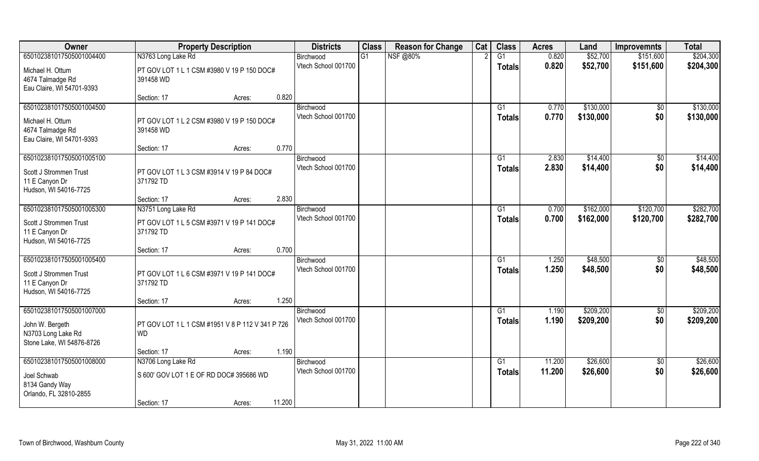| Owner                                                                                          | <b>Property Description</b>                                                   |                  | <b>Districts</b>                 | <b>Class</b> | <b>Reason for Change</b> | Cat | <b>Class</b>        | <b>Acres</b>     | Land                   | <b>Improvemnts</b>     | <b>Total</b>           |
|------------------------------------------------------------------------------------------------|-------------------------------------------------------------------------------|------------------|----------------------------------|--------------|--------------------------|-----|---------------------|------------------|------------------------|------------------------|------------------------|
| 650102381017505001004400                                                                       | N3763 Long Lake Rd                                                            |                  | Birchwood                        | G1           | <b>NSF</b> @80%          |     | G1                  | 0.820            | \$52,700               | \$151,600              | \$204,300              |
| Michael H. Ottum<br>4674 Talmadge Rd<br>Eau Claire, WI 54701-9393                              | PT GOV LOT 1 L 1 CSM #3980 V 19 P 150 DOC#<br>391458 WD                       |                  | Vtech School 001700              |              |                          |     | Totals              | 0.820            | \$52,700               | \$151,600              | \$204,300              |
|                                                                                                | Section: 17                                                                   | Acres:           | 0.820                            |              |                          |     |                     |                  |                        |                        |                        |
| 650102381017505001004500<br>Michael H. Ottum<br>4674 Talmadge Rd<br>Eau Claire, WI 54701-9393  | PT GOV LOT 1 L 2 CSM #3980 V 19 P 150 DOC#<br>391458 WD                       |                  | Birchwood<br>Vtech School 001700 |              |                          |     | G1<br><b>Totals</b> | 0.770<br>0.770   | \$130,000<br>\$130,000 | $\frac{1}{2}$<br>\$0   | \$130,000<br>\$130,000 |
|                                                                                                | Section: 17                                                                   | Acres:           | 0.770                            |              |                          |     |                     |                  |                        |                        |                        |
| 650102381017505001005100<br>Scott J Strommen Trust<br>11 E Canyon Dr<br>Hudson, WI 54016-7725  | PT GOV LOT 1 L 3 CSM #3914 V 19 P 84 DOC#<br>371792 TD                        |                  | Birchwood<br>Vtech School 001700 |              |                          |     | G1<br><b>Totals</b> | 2.830<br>2.830   | \$14,400<br>\$14,400   | \$0<br>\$0             | \$14,400<br>\$14,400   |
|                                                                                                | Section: 17                                                                   | Acres:           | 2.830                            |              |                          |     |                     |                  |                        |                        |                        |
| 650102381017505001005300<br>Scott J Strommen Trust<br>11 E Canyon Dr<br>Hudson, WI 54016-7725  | N3751 Long Lake Rd<br>PT GOV LOT 1 L 5 CSM #3971 V 19 P 141 DOC#<br>371792 TD |                  | Birchwood<br>Vtech School 001700 |              |                          |     | G1<br><b>Totals</b> | 0.700<br>0.700   | \$162,000<br>\$162,000 | \$120,700<br>\$120,700 | \$282,700<br>\$282,700 |
|                                                                                                | Section: 17                                                                   | Acres:           | 0.700                            |              |                          |     |                     |                  |                        |                        |                        |
| 650102381017505001005400<br>Scott J Strommen Trust<br>11 E Canyon Dr<br>Hudson, WI 54016-7725  | PT GOV LOT 1 L 6 CSM #3971 V 19 P 141 DOC#<br>371792 TD                       |                  | Birchwood<br>Vtech School 001700 |              |                          |     | G1<br>Totals        | 1.250<br>1.250   | \$48,500<br>\$48,500   | \$0<br>\$0             | \$48,500<br>\$48,500   |
|                                                                                                | Section: 17                                                                   | Acres:           | 1.250                            |              |                          |     |                     |                  |                        |                        |                        |
| 650102381017505001007000<br>John W. Bergeth<br>N3703 Long Lake Rd<br>Stone Lake, WI 54876-8726 | PT GOV LOT 1 L 1 CSM #1951 V 8 P 112 V 341 P 726<br><b>WD</b>                 |                  | Birchwood<br>Vtech School 001700 |              |                          |     | G1<br><b>Totals</b> | 1.190<br>1.190   | \$209,200<br>\$209,200 | $\frac{1}{6}$<br>\$0   | \$209,200<br>\$209,200 |
|                                                                                                | Section: 17                                                                   | Acres:           | 1.190                            |              |                          |     |                     |                  |                        |                        |                        |
| 650102381017505001008000<br>Joel Schwab<br>8134 Gandy Way<br>Orlando, FL 32810-2855            | N3706 Long Lake Rd<br>S 600' GOV LOT 1 E OF RD DOC# 395686 WD<br>Section: 17  | 11.200<br>Acres: | Birchwood<br>Vtech School 001700 |              |                          |     | G1<br><b>Totals</b> | 11.200<br>11.200 | \$26,600<br>\$26,600   | $\sqrt{$0}$<br>\$0     | \$26,600<br>\$26,600   |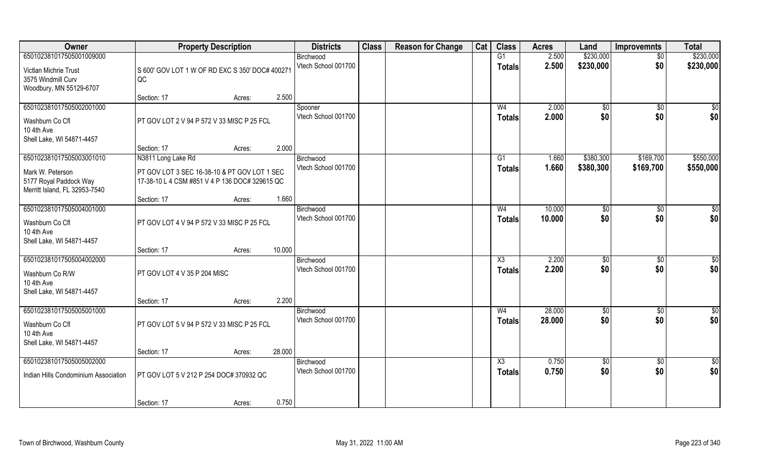| Owner                                                                                                   | <b>Property Description</b>                                                                                                                            | <b>Districts</b>                 | <b>Class</b> | <b>Reason for Change</b> | Cat | <b>Class</b>                     | <b>Acres</b>   | Land                   | <b>Improvemnts</b>     | <b>Total</b>           |
|---------------------------------------------------------------------------------------------------------|--------------------------------------------------------------------------------------------------------------------------------------------------------|----------------------------------|--------------|--------------------------|-----|----------------------------------|----------------|------------------------|------------------------|------------------------|
| 650102381017505001009000                                                                                |                                                                                                                                                        | Birchwood                        |              |                          |     | G1                               | 2.500          | \$230,000              | $\overline{60}$        | \$230,000              |
| Victlan Michrie Trust<br>3575 Windmill Curv<br>Woodbury, MN 55129-6707                                  | S 600' GOV LOT 1 W OF RD EXC S 350' DOC# 40027<br>QC                                                                                                   | Vtech School 001700              |              |                          |     | <b>Totals</b>                    | 2.500          | \$230,000              | \$0                    | \$230,000              |
|                                                                                                         | 2.500<br>Section: 17<br>Acres:                                                                                                                         |                                  |              |                          |     |                                  |                |                        |                        |                        |
| 650102381017505002001000<br>Washburn Co Cfl<br>10 4th Ave<br>Shell Lake, WI 54871-4457                  | PT GOV LOT 2 V 94 P 572 V 33 MISC P 25 FCL                                                                                                             | Spooner<br>Vtech School 001700   |              |                          |     | W <sub>4</sub><br><b>Totals</b>  | 2.000<br>2.000 | \$0<br>\$0             | \$0<br>\$0             | \$0<br>\$0             |
|                                                                                                         | 2.000<br>Section: 17<br>Acres:                                                                                                                         |                                  |              |                          |     |                                  |                |                        |                        |                        |
| 650102381017505003001010<br>Mark W. Peterson<br>5177 Royal Paddock Way<br>Merritt Island, FL 32953-7540 | N3811 Long Lake Rd<br>PT GOV LOT 3 SEC 16-38-10 & PT GOV LOT 1 SEC<br>17-38-10 L 4 CSM #851 V 4 P 136 DOC# 329615 QC<br>1.660<br>Section: 17<br>Acres: | Birchwood<br>Vtech School 001700 |              |                          |     | G1<br><b>Totals</b>              | 1.660<br>1.660 | \$380,300<br>\$380,300 | \$169,700<br>\$169,700 | \$550,000<br>\$550,000 |
| 650102381017505004001000                                                                                |                                                                                                                                                        | Birchwood                        |              |                          |     | W4                               | 10.000         | \$0                    | \$0                    | \$                     |
| Washburn Co Cfl<br>10 4th Ave<br>Shell Lake, WI 54871-4457                                              | PT GOV LOT 4 V 94 P 572 V 33 MISC P 25 FCL                                                                                                             | Vtech School 001700              |              |                          |     | <b>Totals</b>                    | 10.000         | \$0                    | \$0                    | \$0                    |
|                                                                                                         | 10.000<br>Section: 17<br>Acres:                                                                                                                        |                                  |              |                          |     |                                  |                |                        |                        |                        |
| 650102381017505004002000<br>Washburn Co R/W<br>10 4th Ave<br>Shell Lake, WI 54871-4457                  | PT GOV LOT 4 V 35 P 204 MISC<br>2.200<br>Section: 17                                                                                                   | Birchwood<br>Vtech School 001700 |              |                          |     | X3<br><b>Totals</b>              | 2.200<br>2.200 | \$0<br>\$0             | $\overline{50}$<br>\$0 | $\overline{50}$<br>\$0 |
| 650102381017505005001000                                                                                | Acres:                                                                                                                                                 | Birchwood                        |              |                          |     | W <sub>4</sub>                   | 28.000         | \$0                    | \$0                    | $\frac{6}{3}$          |
| Washburn Co Cfl<br>10 4th Ave<br>Shell Lake, WI 54871-4457                                              | PT GOV LOT 5 V 94 P 572 V 33 MISC P 25 FCL                                                                                                             | Vtech School 001700              |              |                          |     | <b>Totals</b>                    | 28.000         | \$0                    | \$0                    | \$0                    |
|                                                                                                         | 28.000<br>Section: 17<br>Acres:                                                                                                                        |                                  |              |                          |     |                                  |                |                        |                        |                        |
| 650102381017505005002000<br>Indian Hills Condominium Association                                        | PT GOV LOT 5 V 212 P 254 DOC# 370932 QC                                                                                                                | Birchwood<br>Vtech School 001700 |              |                          |     | $\overline{\text{X3}}$<br>Totals | 0.750<br>0.750 | \$0<br>\$0             | $\overline{50}$<br>\$0 | \$0<br>\$0             |
|                                                                                                         | 0.750<br>Section: 17<br>Acres:                                                                                                                         |                                  |              |                          |     |                                  |                |                        |                        |                        |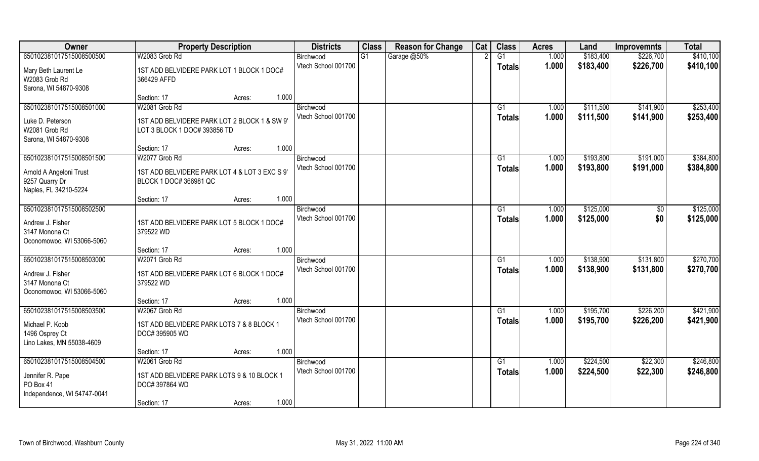| Owner                                                                                       | <b>Property Description</b>                                                  | <b>Districts</b>                 | <b>Class</b> | <b>Reason for Change</b> | Cat | <b>Class</b>        | <b>Acres</b>   | Land                   | <b>Improvemnts</b>     | <b>Total</b>           |
|---------------------------------------------------------------------------------------------|------------------------------------------------------------------------------|----------------------------------|--------------|--------------------------|-----|---------------------|----------------|------------------------|------------------------|------------------------|
| 650102381017515008500500                                                                    | W2083 Grob Rd                                                                | Birchwood                        | G1           | Garage @50%              |     | $\overline{G1}$     | 1.000          | \$183,400              | \$226,700              | \$410,100              |
| Mary Beth Laurent Le<br>W2083 Grob Rd<br>Sarona, WI 54870-9308                              | 1ST ADD BELVIDERE PARK LOT 1 BLOCK 1 DOC#<br>366429 AFFD                     | Vtech School 001700              |              |                          |     | Totals              | 1.000          | \$183,400              | \$226,700              | \$410,100              |
|                                                                                             | 1.000<br>Section: 17<br>Acres:                                               |                                  |              |                          |     |                     |                |                        |                        |                        |
| 650102381017515008501000                                                                    | W2081 Grob Rd                                                                | Birchwood<br>Vtech School 001700 |              |                          |     | G1<br>Totals        | 1.000<br>1.000 | \$111,500<br>\$111,500 | \$141,900<br>\$141,900 | \$253,400<br>\$253,400 |
| Luke D. Peterson<br>W2081 Grob Rd<br>Sarona, WI 54870-9308                                  | 1ST ADD BELVIDERE PARK LOT 2 BLOCK 1 & SW 9'<br>LOT 3 BLOCK 1 DOC# 393856 TD |                                  |              |                          |     |                     |                |                        |                        |                        |
|                                                                                             | 1.000<br>Section: 17<br>Acres:                                               |                                  |              |                          |     |                     |                |                        |                        |                        |
| 650102381017515008501500                                                                    | W2077 Grob Rd                                                                | Birchwood                        |              |                          |     | G1                  | 1.000          | \$193,800              | \$191,000              | \$384,800              |
| Arnold A Angeloni Trust<br>9257 Quarry Dr<br>Naples, FL 34210-5224                          | 1ST ADD BELVIDERE PARK LOT 4 & LOT 3 EXC S 9'<br>BLOCK 1 DOC# 366981 QC      | Vtech School 001700              |              |                          |     | <b>Totals</b>       | 1.000          | \$193,800              | \$191,000              | \$384,800              |
|                                                                                             | 1.000<br>Section: 17<br>Acres:                                               |                                  |              |                          |     |                     |                |                        |                        |                        |
| 650102381017515008502500                                                                    |                                                                              | Birchwood                        |              |                          |     | G1                  | 1.000          | \$125,000              | $\sqrt[6]{3}$          | \$125,000              |
| Andrew J. Fisher<br>3147 Monona Ct<br>Oconomowoc, WI 53066-5060                             | 1ST ADD BELVIDERE PARK LOT 5 BLOCK 1 DOC#<br>379522 WD                       | Vtech School 001700              |              |                          |     | <b>Totals</b>       | 1.000          | \$125,000              | \$0                    | \$125,000              |
|                                                                                             | 1.000<br>Section: 17<br>Acres:                                               |                                  |              |                          |     |                     |                |                        |                        |                        |
| 650102381017515008503000<br>Andrew J. Fisher<br>3147 Monona Ct<br>Oconomowoc, WI 53066-5060 | W2071 Grob Rd<br>1ST ADD BELVIDERE PARK LOT 6 BLOCK 1 DOC#<br>379522 WD      | Birchwood<br>Vtech School 001700 |              |                          |     | G1<br><b>Totals</b> | 1.000<br>1.000 | \$138,900<br>\$138,900 | \$131,800<br>\$131,800 | \$270,700<br>\$270,700 |
|                                                                                             | 1.000<br>Section: 17<br>Acres:                                               |                                  |              |                          |     |                     |                |                        |                        |                        |
| 650102381017515008503500                                                                    | W2067 Grob Rd                                                                | Birchwood                        |              |                          |     | G1                  | 1.000          | \$195,700              | \$226,200              | \$421,900              |
| Michael P. Koob<br>1496 Osprey Ct<br>Lino Lakes, MN 55038-4609                              | 1ST ADD BELVIDERE PARK LOTS 7 & 8 BLOCK 1<br>DOC# 395905 WD                  | Vtech School 001700              |              |                          |     | <b>Totals</b>       | 1.000          | \$195,700              | \$226,200              | \$421,900              |
|                                                                                             | 1.000<br>Section: 17<br>Acres:                                               |                                  |              |                          |     |                     |                |                        |                        |                        |
| 650102381017515008504500<br>Jennifer R. Pape                                                | W2061 Grob Rd<br>1ST ADD BELVIDERE PARK LOTS 9 & 10 BLOCK 1                  | Birchwood<br>Vtech School 001700 |              |                          |     | G1<br>Totals        | 1.000<br>1.000 | \$224,500<br>\$224,500 | \$22,300<br>\$22,300   | \$246,800<br>\$246,800 |
| PO Box 41<br>Independence, WI 54747-0041                                                    | DOC# 397864 WD                                                               |                                  |              |                          |     |                     |                |                        |                        |                        |
|                                                                                             | 1.000<br>Section: 17<br>Acres:                                               |                                  |              |                          |     |                     |                |                        |                        |                        |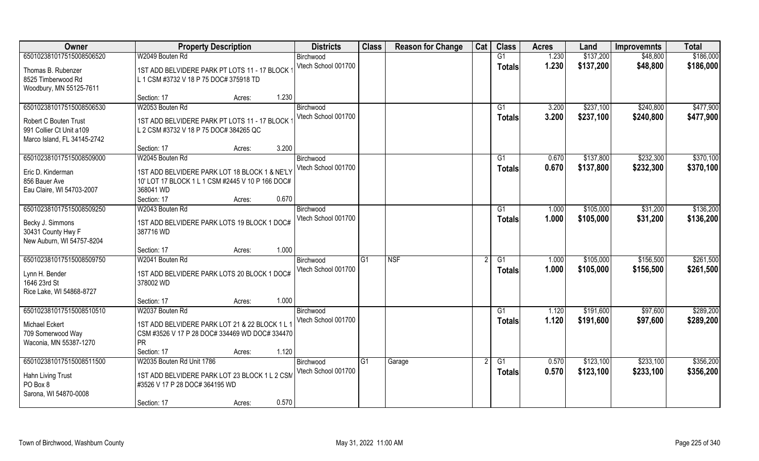| 650102381017515008506520<br>W2049 Bouten Rd<br>\$137,200<br>G1<br>1.230<br>\$48,800<br>Birchwood<br>1.230<br>Vtech School 001700<br>\$137,200<br>\$48,800<br><b>Totals</b><br>Thomas B. Rubenzer<br>1ST ADD BELVIDERE PARK PT LOTS 11 - 17 BLOCK<br>8525 Timberwood Rd<br>L 1 CSM #3732 V 18 P 75 DOC# 375918 TD<br>Woodbury, MN 55125-7611<br>1.230<br>Section: 17<br>Acres:<br>\$237,100<br>650102381017515008506530<br>W2053 Bouten Rd<br>\$240,800<br>G1<br>3.200<br>Birchwood<br>Vtech School 001700<br>3.200<br>\$237,100<br>\$240,800<br>Totals<br>1ST ADD BELVIDERE PARK PT LOTS 11 - 17 BLOCK<br>Robert C Bouten Trust<br>991 Collier Ct Unit a 109<br>L 2 CSM #3732 V 18 P 75 DOC# 384265 QC<br>Marco Island, FL 34145-2742<br>3.200<br>Section: 17<br>Acres:<br>650102381017515008509000<br>\$137,800<br>\$232,300<br>W2045 Bouten Rd<br>G1<br>0.670<br>Birchwood<br>Vtech School 001700<br>0.670<br>\$137,800<br>\$232,300<br><b>Totals</b><br>Eric D. Kinderman<br>1ST ADD BELVIDERE PARK LOT 18 BLOCK 1 & NE'LY<br>856 Bauer Ave<br>10' LOT 17 BLOCK 1 L 1 CSM #2445 V 10 P 166 DOC# | Owner | <b>Property Description</b> | <b>Districts</b> | <b>Class</b> | <b>Reason for Change</b> | Cat | <b>Class</b> | <b>Acres</b> | Land | <b>Improvemnts</b> | <b>Total</b> |
|----------------------------------------------------------------------------------------------------------------------------------------------------------------------------------------------------------------------------------------------------------------------------------------------------------------------------------------------------------------------------------------------------------------------------------------------------------------------------------------------------------------------------------------------------------------------------------------------------------------------------------------------------------------------------------------------------------------------------------------------------------------------------------------------------------------------------------------------------------------------------------------------------------------------------------------------------------------------------------------------------------------------------------------------------------------------------------------------------|-------|-----------------------------|------------------|--------------|--------------------------|-----|--------------|--------------|------|--------------------|--------------|
|                                                                                                                                                                                                                                                                                                                                                                                                                                                                                                                                                                                                                                                                                                                                                                                                                                                                                                                                                                                                                                                                                                    |       |                             |                  |              |                          |     |              |              |      |                    | \$186,000    |
|                                                                                                                                                                                                                                                                                                                                                                                                                                                                                                                                                                                                                                                                                                                                                                                                                                                                                                                                                                                                                                                                                                    |       |                             |                  |              |                          |     |              |              |      |                    | \$186,000    |
|                                                                                                                                                                                                                                                                                                                                                                                                                                                                                                                                                                                                                                                                                                                                                                                                                                                                                                                                                                                                                                                                                                    |       |                             |                  |              |                          |     |              |              |      |                    |              |
|                                                                                                                                                                                                                                                                                                                                                                                                                                                                                                                                                                                                                                                                                                                                                                                                                                                                                                                                                                                                                                                                                                    |       |                             |                  |              |                          |     |              |              |      |                    |              |
|                                                                                                                                                                                                                                                                                                                                                                                                                                                                                                                                                                                                                                                                                                                                                                                                                                                                                                                                                                                                                                                                                                    |       |                             |                  |              |                          |     |              |              |      |                    |              |
|                                                                                                                                                                                                                                                                                                                                                                                                                                                                                                                                                                                                                                                                                                                                                                                                                                                                                                                                                                                                                                                                                                    |       |                             |                  |              |                          |     |              |              |      |                    | \$477,900    |
|                                                                                                                                                                                                                                                                                                                                                                                                                                                                                                                                                                                                                                                                                                                                                                                                                                                                                                                                                                                                                                                                                                    |       |                             |                  |              |                          |     |              |              |      |                    | \$477,900    |
|                                                                                                                                                                                                                                                                                                                                                                                                                                                                                                                                                                                                                                                                                                                                                                                                                                                                                                                                                                                                                                                                                                    |       |                             |                  |              |                          |     |              |              |      |                    |              |
|                                                                                                                                                                                                                                                                                                                                                                                                                                                                                                                                                                                                                                                                                                                                                                                                                                                                                                                                                                                                                                                                                                    |       |                             |                  |              |                          |     |              |              |      |                    |              |
|                                                                                                                                                                                                                                                                                                                                                                                                                                                                                                                                                                                                                                                                                                                                                                                                                                                                                                                                                                                                                                                                                                    |       |                             |                  |              |                          |     |              |              |      |                    |              |
|                                                                                                                                                                                                                                                                                                                                                                                                                                                                                                                                                                                                                                                                                                                                                                                                                                                                                                                                                                                                                                                                                                    |       |                             |                  |              |                          |     |              |              |      |                    | \$370,100    |
|                                                                                                                                                                                                                                                                                                                                                                                                                                                                                                                                                                                                                                                                                                                                                                                                                                                                                                                                                                                                                                                                                                    |       |                             |                  |              |                          |     |              |              |      |                    | \$370,100    |
|                                                                                                                                                                                                                                                                                                                                                                                                                                                                                                                                                                                                                                                                                                                                                                                                                                                                                                                                                                                                                                                                                                    |       |                             |                  |              |                          |     |              |              |      |                    |              |
| Eau Claire, WI 54703-2007                                                                                                                                                                                                                                                                                                                                                                                                                                                                                                                                                                                                                                                                                                                                                                                                                                                                                                                                                                                                                                                                          |       | 368041 WD                   |                  |              |                          |     |              |              |      |                    |              |
| 0.670<br>Section: 17<br>Acres:                                                                                                                                                                                                                                                                                                                                                                                                                                                                                                                                                                                                                                                                                                                                                                                                                                                                                                                                                                                                                                                                     |       |                             |                  |              |                          |     |              |              |      |                    |              |
| 650102381017515008509250<br>\$105,000<br>W2043 Bouten Rd<br>\$31,200<br>G1<br>1.000<br>Birchwood                                                                                                                                                                                                                                                                                                                                                                                                                                                                                                                                                                                                                                                                                                                                                                                                                                                                                                                                                                                                   |       |                             |                  |              |                          |     |              |              |      |                    | \$136,200    |
| Vtech School 001700<br>1.000<br>\$105,000<br>\$31,200<br><b>Totals</b><br>1ST ADD BELVIDERE PARK LOTS 19 BLOCK 1 DOC#<br>Becky J. Simmons                                                                                                                                                                                                                                                                                                                                                                                                                                                                                                                                                                                                                                                                                                                                                                                                                                                                                                                                                          |       |                             |                  |              |                          |     |              |              |      |                    | \$136,200    |
| 30431 County Hwy F<br>387716 WD                                                                                                                                                                                                                                                                                                                                                                                                                                                                                                                                                                                                                                                                                                                                                                                                                                                                                                                                                                                                                                                                    |       |                             |                  |              |                          |     |              |              |      |                    |              |
| New Auburn, WI 54757-8204                                                                                                                                                                                                                                                                                                                                                                                                                                                                                                                                                                                                                                                                                                                                                                                                                                                                                                                                                                                                                                                                          |       |                             |                  |              |                          |     |              |              |      |                    |              |
| 1.000<br>Section: 17<br>Acres:                                                                                                                                                                                                                                                                                                                                                                                                                                                                                                                                                                                                                                                                                                                                                                                                                                                                                                                                                                                                                                                                     |       |                             |                  |              |                          |     |              |              |      |                    |              |
| <b>NSF</b><br>\$105,000<br>\$156,500<br>650102381017515008509750<br>W2041 Bouten Rd<br>G1<br>G1<br>1.000<br>Birchwood                                                                                                                                                                                                                                                                                                                                                                                                                                                                                                                                                                                                                                                                                                                                                                                                                                                                                                                                                                              |       |                             |                  |              |                          |     |              |              |      |                    | \$261,500    |
| Vtech School 001700<br>1.000<br>\$105,000<br>\$156,500<br><b>Totals</b>                                                                                                                                                                                                                                                                                                                                                                                                                                                                                                                                                                                                                                                                                                                                                                                                                                                                                                                                                                                                                            |       |                             |                  |              |                          |     |              |              |      |                    | \$261,500    |
| Lynn H. Bender<br>1ST ADD BELVIDERE PARK LOTS 20 BLOCK 1 DOC#<br>1646 23rd St<br>378002 WD                                                                                                                                                                                                                                                                                                                                                                                                                                                                                                                                                                                                                                                                                                                                                                                                                                                                                                                                                                                                         |       |                             |                  |              |                          |     |              |              |      |                    |              |
| Rice Lake, WI 54868-8727                                                                                                                                                                                                                                                                                                                                                                                                                                                                                                                                                                                                                                                                                                                                                                                                                                                                                                                                                                                                                                                                           |       |                             |                  |              |                          |     |              |              |      |                    |              |
| 1.000<br>Section: 17<br>Acres:                                                                                                                                                                                                                                                                                                                                                                                                                                                                                                                                                                                                                                                                                                                                                                                                                                                                                                                                                                                                                                                                     |       |                             |                  |              |                          |     |              |              |      |                    |              |
| 650102381017515008510510<br>W2037 Bouten Rd<br>G1<br>1.120<br>\$191,600<br>\$97,600<br>Birchwood                                                                                                                                                                                                                                                                                                                                                                                                                                                                                                                                                                                                                                                                                                                                                                                                                                                                                                                                                                                                   |       |                             |                  |              |                          |     |              |              |      |                    | \$289,200    |
| Vtech School 001700<br>1.120<br>\$191,600<br>\$97,600<br><b>Totals</b>                                                                                                                                                                                                                                                                                                                                                                                                                                                                                                                                                                                                                                                                                                                                                                                                                                                                                                                                                                                                                             |       |                             |                  |              |                          |     |              |              |      |                    | \$289,200    |
| Michael Eckert<br>1ST ADD BELVIDERE PARK LOT 21 & 22 BLOCK 1 L<br>CSM #3526 V 17 P 28 DOC# 334469 WD DOC# 334470                                                                                                                                                                                                                                                                                                                                                                                                                                                                                                                                                                                                                                                                                                                                                                                                                                                                                                                                                                                   |       |                             |                  |              |                          |     |              |              |      |                    |              |
| 709 Somerwood Way<br><b>PR</b><br>Waconia, MN 55387-1270                                                                                                                                                                                                                                                                                                                                                                                                                                                                                                                                                                                                                                                                                                                                                                                                                                                                                                                                                                                                                                           |       |                             |                  |              |                          |     |              |              |      |                    |              |
| 1.120<br>Section: 17<br>Acres:                                                                                                                                                                                                                                                                                                                                                                                                                                                                                                                                                                                                                                                                                                                                                                                                                                                                                                                                                                                                                                                                     |       |                             |                  |              |                          |     |              |              |      |                    |              |
| 650102381017515008511500<br>W2035 Bouten Rd Unit 1786<br>\$123,100<br>\$233,100<br>G1<br>G1<br>0.570<br>Birchwood<br>Garage                                                                                                                                                                                                                                                                                                                                                                                                                                                                                                                                                                                                                                                                                                                                                                                                                                                                                                                                                                        |       |                             |                  |              |                          |     |              |              |      |                    | \$356,200    |
| Vtech School 001700<br>0.570<br>\$123,100<br>\$233,100<br><b>Totals</b>                                                                                                                                                                                                                                                                                                                                                                                                                                                                                                                                                                                                                                                                                                                                                                                                                                                                                                                                                                                                                            |       |                             |                  |              |                          |     |              |              |      |                    | \$356,200    |
| <b>Hahn Living Trust</b><br>1ST ADD BELVIDERE PARK LOT 23 BLOCK 1 L 2 CSM                                                                                                                                                                                                                                                                                                                                                                                                                                                                                                                                                                                                                                                                                                                                                                                                                                                                                                                                                                                                                          |       |                             |                  |              |                          |     |              |              |      |                    |              |
| PO Box 8<br>#3526 V 17 P 28 DOC# 364195 WD<br>Sarona, WI 54870-0008                                                                                                                                                                                                                                                                                                                                                                                                                                                                                                                                                                                                                                                                                                                                                                                                                                                                                                                                                                                                                                |       |                             |                  |              |                          |     |              |              |      |                    |              |
| 0.570<br>Section: 17<br>Acres:                                                                                                                                                                                                                                                                                                                                                                                                                                                                                                                                                                                                                                                                                                                                                                                                                                                                                                                                                                                                                                                                     |       |                             |                  |              |                          |     |              |              |      |                    |              |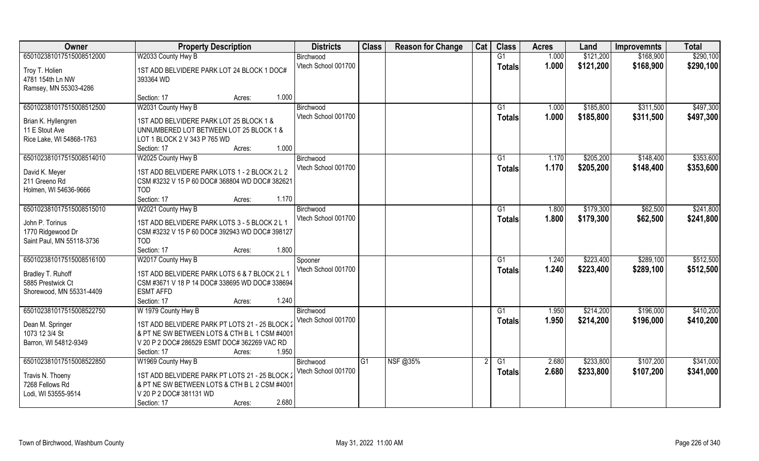| Owner                                          | <b>Property Description</b>                    | <b>Districts</b>               | <b>Class</b> | <b>Reason for Change</b> | Cat | <b>Class</b>  | <b>Acres</b> | Land      | <b>Improvemnts</b> | <b>Total</b> |
|------------------------------------------------|------------------------------------------------|--------------------------------|--------------|--------------------------|-----|---------------|--------------|-----------|--------------------|--------------|
| 650102381017515008512000                       | W2033 County Hwy B                             | Birchwood                      |              |                          |     | G1            | 1.000        | \$121,200 | \$168,900          | \$290,100    |
| Troy T. Holien                                 | 1ST ADD BELVIDERE PARK LOT 24 BLOCK 1 DOC#     | Vtech School 001700            |              |                          |     | <b>Totals</b> | 1.000        | \$121,200 | \$168,900          | \$290,100    |
| 4781 154th Ln NW                               | 393364 WD                                      |                                |              |                          |     |               |              |           |                    |              |
| Ramsey, MN 55303-4286                          |                                                |                                |              |                          |     |               |              |           |                    |              |
|                                                | 1.000<br>Section: 17<br>Acres:                 |                                |              |                          |     |               |              |           |                    |              |
| 650102381017515008512500                       | W2031 County Hwy B                             | Birchwood                      |              |                          |     | G1            | 1.000        | \$185,800 | \$311,500          | \$497,300    |
|                                                |                                                | Vtech School 001700            |              |                          |     | Totals        | 1.000        | \$185,800 | \$311,500          | \$497,300    |
| Brian K. Hyllengren                            | 1ST ADD BELVIDERE PARK LOT 25 BLOCK 1 &        |                                |              |                          |     |               |              |           |                    |              |
| 11 E Stout Ave                                 | UNNUMBERED LOT BETWEEN LOT 25 BLOCK 1 &        |                                |              |                          |     |               |              |           |                    |              |
| Rice Lake, WI 54868-1763                       | LOT 1 BLOCK 2 V 343 P 765 WD<br>1.000          |                                |              |                          |     |               |              |           |                    |              |
|                                                | Section: 17<br>Acres:                          |                                |              |                          |     |               |              |           |                    |              |
| 650102381017515008514010                       | W2025 County Hwy B                             | Birchwood                      |              |                          |     | G1            | 1.170        | \$205,200 | \$148,400          | \$353,600    |
| David K. Meyer                                 | 1ST ADD BELVIDERE PARK LOTS 1 - 2 BLOCK 2 L 2  | Vtech School 001700            |              |                          |     | <b>Totals</b> | 1.170        | \$205,200 | \$148,400          | \$353,600    |
| 211 Greeno Rd                                  | CSM #3232 V 15 P 60 DOC# 368804 WD DOC# 382621 |                                |              |                          |     |               |              |           |                    |              |
| Holmen, WI 54636-9666                          | <b>TOD</b>                                     |                                |              |                          |     |               |              |           |                    |              |
|                                                | 1.170<br>Section: 17<br>Acres:                 |                                |              |                          |     |               |              |           |                    |              |
| 650102381017515008515010                       | W2021 County Hwy B                             | Birchwood                      |              |                          |     | G1            | 1.800        | \$179,300 | \$62,500           | \$241,800    |
| John P. Torinus                                | 1ST ADD BELVIDERE PARK LOTS 3 - 5 BLOCK 2 L 1  | Vtech School 001700            |              |                          |     | <b>Totals</b> | 1.800        | \$179,300 | \$62,500           | \$241,800    |
|                                                | CSM #3232 V 15 P 60 DOC# 392943 WD DOC# 398127 |                                |              |                          |     |               |              |           |                    |              |
| 1770 Ridgewood Dr<br>Saint Paul, MN 55118-3736 | <b>TOD</b>                                     |                                |              |                          |     |               |              |           |                    |              |
|                                                | 1.800<br>Section: 17                           |                                |              |                          |     |               |              |           |                    |              |
| 650102381017515008516100                       | Acres:<br>W2017 County Hwy B                   |                                |              |                          |     | G1            | 1.240        | \$223,400 | \$289,100          | \$512,500    |
|                                                |                                                | Spooner<br>Vtech School 001700 |              |                          |     |               |              |           |                    |              |
| Bradley T. Ruhoff                              | 1ST ADD BELVIDERE PARK LOTS 6 & 7 BLOCK 2 L 1  |                                |              |                          |     | <b>Totals</b> | 1.240        | \$223,400 | \$289,100          | \$512,500    |
| 5885 Prestwick Ct                              | CSM #3671 V 18 P 14 DOC# 338695 WD DOC# 338694 |                                |              |                          |     |               |              |           |                    |              |
| Shorewood, MN 55331-4409                       | <b>ESMT AFFD</b>                               |                                |              |                          |     |               |              |           |                    |              |
|                                                | 1.240<br>Section: 17<br>Acres:                 |                                |              |                          |     |               |              |           |                    |              |
| 650102381017515008522750                       | W 1979 County Hwy B                            | Birchwood                      |              |                          |     | G1            | 1.950        | \$214,200 | \$196,000          | \$410,200    |
| Dean M. Springer                               | 1ST ADD BELVIDERE PARK PT LOTS 21 - 25 BLOCK 2 | Vtech School 001700            |              |                          |     | <b>Totals</b> | 1.950        | \$214,200 | \$196,000          | \$410,200    |
| 1073 12 3/4 St                                 | & PT NE SW BETWEEN LOTS & CTH B L 1 CSM #4001  |                                |              |                          |     |               |              |           |                    |              |
| Barron, WI 54812-9349                          | V 20 P 2 DOC# 286529 ESMT DOC# 362269 VAC RD   |                                |              |                          |     |               |              |           |                    |              |
|                                                | 1.950<br>Section: 17<br>Acres:                 |                                |              |                          |     |               |              |           |                    |              |
| 650102381017515008522850                       | W1969 County Hwy B                             | Birchwood                      | G1           | NSF @35%                 |     | G1            | 2.680        | \$233,800 | \$107,200          | \$341,000    |
|                                                |                                                | Vtech School 001700            |              |                          |     | Totals        | 2.680        | \$233,800 | \$107,200          | \$341,000    |
| Travis N. Thoeny                               | 1ST ADD BELVIDERE PARK PT LOTS 21 - 25 BLOCK:  |                                |              |                          |     |               |              |           |                    |              |
| 7268 Fellows Rd                                | & PT NE SW BETWEEN LOTS & CTH B L 2 CSM #4001  |                                |              |                          |     |               |              |           |                    |              |
| Lodi, WI 53555-9514                            | V 20 P 2 DOC# 381131 WD                        |                                |              |                          |     |               |              |           |                    |              |
|                                                | 2.680<br>Section: 17<br>Acres:                 |                                |              |                          |     |               |              |           |                    |              |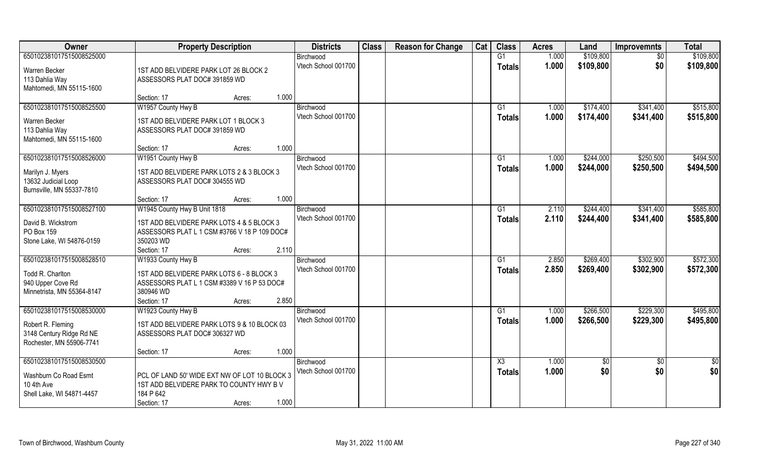| Owner                                   | <b>Property Description</b>                               | <b>Districts</b>                 | <b>Class</b> | <b>Reason for Change</b> | Cat | <b>Class</b>           | <b>Acres</b> | Land      | <b>Improvemnts</b> | <b>Total</b> |
|-----------------------------------------|-----------------------------------------------------------|----------------------------------|--------------|--------------------------|-----|------------------------|--------------|-----------|--------------------|--------------|
| 650102381017515008525000                |                                                           | Birchwood                        |              |                          |     | G1                     | 1.000        | \$109,800 | $\sqrt{6}$         | \$109,800    |
| Warren Becker                           | 1ST ADD BELVIDERE PARK LOT 26 BLOCK 2                     | Vtech School 001700              |              |                          |     | <b>Totals</b>          | 1.000        | \$109,800 | \$0                | \$109,800    |
| 113 Dahlia Way                          | ASSESSORS PLAT DOC# 391859 WD                             |                                  |              |                          |     |                        |              |           |                    |              |
| Mahtomedi, MN 55115-1600                |                                                           |                                  |              |                          |     |                        |              |           |                    |              |
|                                         | 1.000<br>Section: 17<br>Acres:                            |                                  |              |                          |     |                        |              |           |                    |              |
| 650102381017515008525500                | W1957 County Hwy B                                        | Birchwood                        |              |                          |     | G1                     | 1.000        | \$174,400 | \$341,400          | \$515,800    |
|                                         |                                                           | Vtech School 001700              |              |                          |     | Totals                 | 1.000        | \$174,400 | \$341,400          | \$515,800    |
| Warren Becker                           | 1ST ADD BELVIDERE PARK LOT 1 BLOCK 3                      |                                  |              |                          |     |                        |              |           |                    |              |
| 113 Dahlia Way                          | ASSESSORS PLAT DOC# 391859 WD                             |                                  |              |                          |     |                        |              |           |                    |              |
| Mahtomedi, MN 55115-1600                |                                                           |                                  |              |                          |     |                        |              |           |                    |              |
|                                         | 1.000<br>Section: 17<br>Acres:                            |                                  |              |                          |     |                        |              |           |                    |              |
| 650102381017515008526000                | W1951 County Hwy B                                        | Birchwood                        |              |                          |     | G1                     | 1.000        | \$244,000 | \$250,500          | \$494,500    |
| Marilyn J. Myers                        | 1ST ADD BELVIDERE PARK LOTS 2 & 3 BLOCK 3                 | Vtech School 001700              |              |                          |     | <b>Totals</b>          | 1.000        | \$244,000 | \$250,500          | \$494,500    |
| 13632 Judicial Loop                     | ASSESSORS PLAT DOC# 304555 WD                             |                                  |              |                          |     |                        |              |           |                    |              |
| Burnsville, MN 55337-7810               |                                                           |                                  |              |                          |     |                        |              |           |                    |              |
|                                         | 1.000<br>Section: 17<br>Acres:                            |                                  |              |                          |     |                        |              |           |                    |              |
| 650102381017515008527100                | W1945 County Hwy B Unit 1818                              | Birchwood                        |              |                          |     | G1                     | 2.110        | \$244,400 | \$341,400          | \$585,800    |
|                                         |                                                           | Vtech School 001700              |              |                          |     | <b>Totals</b>          | 2.110        | \$244,400 | \$341,400          | \$585,800    |
| David B. Wickstrom                      | 1ST ADD BELVIDERE PARK LOTS 4 & 5 BLOCK 3                 |                                  |              |                          |     |                        |              |           |                    |              |
| PO Box 159<br>Stone Lake, WI 54876-0159 | ASSESSORS PLAT L 1 CSM #3766 V 18 P 109 DOC#<br>350203 WD |                                  |              |                          |     |                        |              |           |                    |              |
|                                         | Section: 17<br>2.110                                      |                                  |              |                          |     |                        |              |           |                    |              |
| 650102381017515008528510                | Acres:                                                    |                                  |              |                          |     | G1                     | 2.850        | \$269,400 | \$302,900          | \$572,300    |
|                                         | W1933 County Hwy B                                        | Birchwood<br>Vtech School 001700 |              |                          |     |                        |              |           |                    |              |
| Todd R. Charlton                        | 1ST ADD BELVIDERE PARK LOTS 6 - 8 BLOCK 3                 |                                  |              |                          |     | Totals                 | 2.850        | \$269,400 | \$302,900          | \$572,300    |
| 940 Upper Cove Rd                       | ASSESSORS PLAT L 1 CSM #3389 V 16 P 53 DOC#               |                                  |              |                          |     |                        |              |           |                    |              |
| Minnetrista, MN 55364-8147              | 380946 WD                                                 |                                  |              |                          |     |                        |              |           |                    |              |
|                                         | 2.850<br>Section: 17<br>Acres:                            |                                  |              |                          |     |                        |              |           |                    |              |
| 650102381017515008530000                | W1923 County Hwy B                                        | Birchwood                        |              |                          |     | G1                     | 1.000        | \$266,500 | \$229,300          | \$495,800    |
| Robert R. Fleming                       | 1ST ADD BELVIDERE PARK LOTS 9 & 10 BLOCK 03               | Vtech School 001700              |              |                          |     | <b>Totals</b>          | 1.000        | \$266,500 | \$229,300          | \$495,800    |
| 3148 Century Ridge Rd NE                | ASSESSORS PLAT DOC# 306327 WD                             |                                  |              |                          |     |                        |              |           |                    |              |
| Rochester, MN 55906-7741                |                                                           |                                  |              |                          |     |                        |              |           |                    |              |
|                                         | 1.000<br>Section: 17<br>Acres:                            |                                  |              |                          |     |                        |              |           |                    |              |
| 650102381017515008530500                |                                                           | Birchwood                        |              |                          |     | $\overline{\text{X3}}$ | 1.000        | \$0       | $\overline{50}$    | \$0          |
|                                         |                                                           | Vtech School 001700              |              |                          |     | <b>Totals</b>          | 1.000        | \$0       | \$0                | \$0          |
| Washburn Co Road Esmt                   | PCL OF LAND 50' WIDE EXT NW OF LOT 10 BLOCK 3             |                                  |              |                          |     |                        |              |           |                    |              |
| 10 4th Ave                              | 1ST ADD BELVIDERE PARK TO COUNTY HWY B V                  |                                  |              |                          |     |                        |              |           |                    |              |
| Shell Lake, WI 54871-4457               | 184 P 642                                                 |                                  |              |                          |     |                        |              |           |                    |              |
|                                         | 1.000<br>Section: 17<br>Acres:                            |                                  |              |                          |     |                        |              |           |                    |              |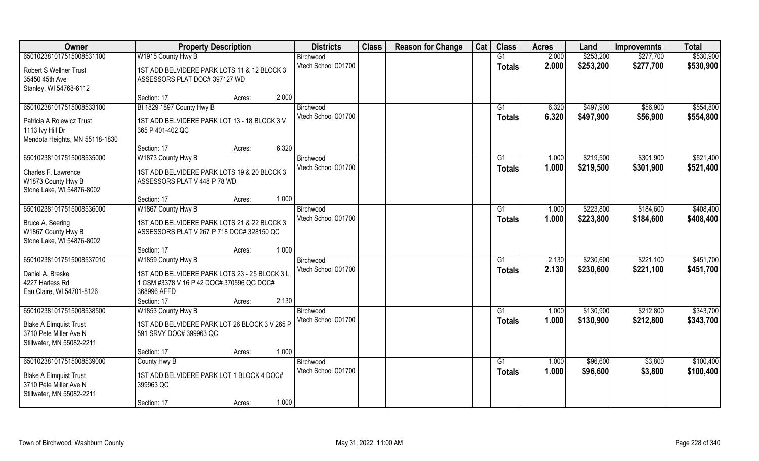| Owner                          | <b>Property Description</b>                   |                 | <b>Districts</b>    | <b>Class</b> | <b>Reason for Change</b> | Cat | <b>Class</b>   | <b>Acres</b> | Land      | <b>Improvemnts</b> | <b>Total</b> |
|--------------------------------|-----------------------------------------------|-----------------|---------------------|--------------|--------------------------|-----|----------------|--------------|-----------|--------------------|--------------|
| 650102381017515008531100       | W1915 County Hwy B                            |                 | Birchwood           |              |                          |     | G1             | 2.000        | \$253,200 | \$277,700          | \$530,900    |
| <b>Robert S Wellner Trust</b>  | 1ST ADD BELVIDERE PARK LOTS 11 & 12 BLOCK 3   |                 | Vtech School 001700 |              |                          |     | <b>Totals</b>  | 2.000        | \$253,200 | \$277,700          | \$530,900    |
| 35450 45th Ave                 | ASSESSORS PLAT DOC# 397127 WD                 |                 |                     |              |                          |     |                |              |           |                    |              |
| Stanley, WI 54768-6112         |                                               |                 |                     |              |                          |     |                |              |           |                    |              |
|                                | Section: 17                                   | 2.000<br>Acres: |                     |              |                          |     |                |              |           |                    |              |
| 650102381017515008533100       | BI 1829 1897 County Hwy B                     |                 | Birchwood           |              |                          |     | G <sub>1</sub> | 6.320        | \$497,900 | \$56,900           | \$554,800    |
| Patricia A Rolewicz Trust      | 1ST ADD BELVIDERE PARK LOT 13 - 18 BLOCK 3 V  |                 | Vtech School 001700 |              |                          |     | Totals         | 6.320        | \$497,900 | \$56,900           | \$554,800    |
| 1113 Ivy Hill Dr               | 365 P 401-402 QC                              |                 |                     |              |                          |     |                |              |           |                    |              |
| Mendota Heights, MN 55118-1830 |                                               |                 |                     |              |                          |     |                |              |           |                    |              |
|                                | Section: 17                                   | 6.320<br>Acres: |                     |              |                          |     |                |              |           |                    |              |
| 650102381017515008535000       | W1873 County Hwy B                            |                 | Birchwood           |              |                          |     | G1             | 1.000        | \$219,500 | \$301,900          | \$521,400    |
| Charles F. Lawrence            | 1ST ADD BELVIDERE PARK LOTS 19 & 20 BLOCK 3   |                 | Vtech School 001700 |              |                          |     | <b>Totals</b>  | 1.000        | \$219,500 | \$301,900          | \$521,400    |
| W1873 County Hwy B             | ASSESSORS PLAT V 448 P 78 WD                  |                 |                     |              |                          |     |                |              |           |                    |              |
| Stone Lake, WI 54876-8002      |                                               |                 |                     |              |                          |     |                |              |           |                    |              |
|                                | Section: 17                                   | 1.000<br>Acres: |                     |              |                          |     |                |              |           |                    |              |
| 650102381017515008536000       | W1867 County Hwy B                            |                 | Birchwood           |              |                          |     | G1             | 1.000        | \$223,800 | \$184,600          | \$408,400    |
| Bruce A. Seering               | 1ST ADD BELVIDERE PARK LOTS 21 & 22 BLOCK 3   |                 | Vtech School 001700 |              |                          |     | <b>Totals</b>  | 1.000        | \$223,800 | \$184,600          | \$408,400    |
| W1867 County Hwy B             | ASSESSORS PLAT V 267 P 718 DOC# 328150 QC     |                 |                     |              |                          |     |                |              |           |                    |              |
| Stone Lake, WI 54876-8002      |                                               |                 |                     |              |                          |     |                |              |           |                    |              |
|                                | Section: 17                                   | 1.000<br>Acres: |                     |              |                          |     |                |              |           |                    |              |
| 650102381017515008537010       | W1859 County Hwy B                            |                 | Birchwood           |              |                          |     | G1             | 2.130        | \$230,600 | \$221,100          | \$451,700    |
| Daniel A. Breske               | 1ST ADD BELVIDERE PARK LOTS 23 - 25 BLOCK 3 L |                 | Vtech School 001700 |              |                          |     | Totals         | 2.130        | \$230,600 | \$221,100          | \$451,700    |
| 4227 Harless Rd                | 1 CSM #3378 V 16 P 42 DOC# 370596 QC DOC#     |                 |                     |              |                          |     |                |              |           |                    |              |
| Eau Claire, WI 54701-8126      | 368996 AFFD                                   |                 |                     |              |                          |     |                |              |           |                    |              |
|                                | Section: 17                                   | 2.130<br>Acres: |                     |              |                          |     |                |              |           |                    |              |
| 650102381017515008538500       | W1853 County Hwy B                            |                 | Birchwood           |              |                          |     | G1             | 1.000        | \$130,900 | \$212,800          | \$343,700    |
| <b>Blake A Elmquist Trust</b>  | 1ST ADD BELVIDERE PARK LOT 26 BLOCK 3 V 265 P |                 | Vtech School 001700 |              |                          |     | <b>Totals</b>  | 1.000        | \$130,900 | \$212,800          | \$343,700    |
| 3710 Pete Miller Ave N         | 591 SRVY DOC# 399963 QC                       |                 |                     |              |                          |     |                |              |           |                    |              |
| Stillwater, MN 55082-2211      |                                               |                 |                     |              |                          |     |                |              |           |                    |              |
|                                | Section: 17                                   | 1.000<br>Acres: |                     |              |                          |     |                |              |           |                    |              |
| 650102381017515008539000       | County Hwy B                                  |                 | Birchwood           |              |                          |     | G1             | 1.000        | \$96,600  | \$3,800            | \$100,400    |
| <b>Blake A Elmquist Trust</b>  | 1ST ADD BELVIDERE PARK LOT 1 BLOCK 4 DOC#     |                 | Vtech School 001700 |              |                          |     | <b>Totals</b>  | 1.000        | \$96,600  | \$3,800            | \$100,400    |
| 3710 Pete Miller Ave N         | 399963 QC                                     |                 |                     |              |                          |     |                |              |           |                    |              |
| Stillwater, MN 55082-2211      |                                               |                 |                     |              |                          |     |                |              |           |                    |              |
|                                | Section: 17                                   | 1.000<br>Acres: |                     |              |                          |     |                |              |           |                    |              |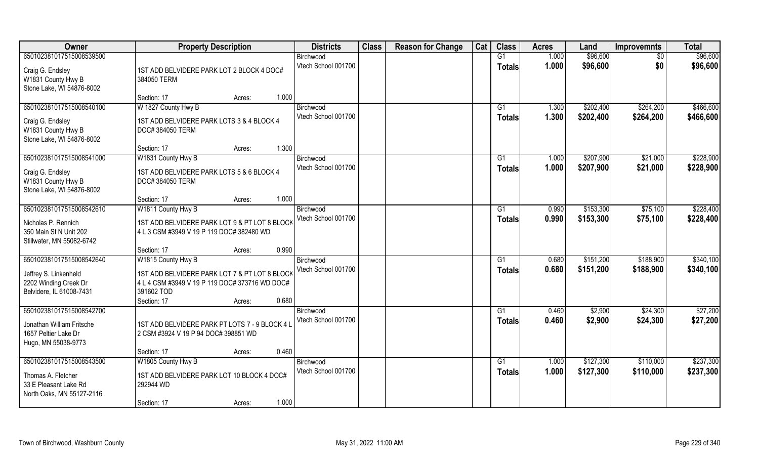| Owner                     | <b>Property Description</b>                    | <b>Districts</b>    | <b>Class</b> | <b>Reason for Change</b> | Cat | <b>Class</b>    | <b>Acres</b> | Land      | <b>Improvemnts</b> | <b>Total</b> |
|---------------------------|------------------------------------------------|---------------------|--------------|--------------------------|-----|-----------------|--------------|-----------|--------------------|--------------|
| 650102381017515008539500  |                                                | Birchwood           |              |                          |     | G1              | 1.000        | \$96,600  | $\overline{50}$    | \$96,600     |
| Craig G. Endsley          | 1ST ADD BELVIDERE PARK LOT 2 BLOCK 4 DOC#      | Vtech School 001700 |              |                          |     | <b>Totals</b>   | 1.000        | \$96,600  | \$0                | \$96,600     |
| W1831 County Hwy B        | 384050 TERM                                    |                     |              |                          |     |                 |              |           |                    |              |
| Stone Lake, WI 54876-8002 |                                                |                     |              |                          |     |                 |              |           |                    |              |
|                           | 1.000<br>Section: 17<br>Acres:                 |                     |              |                          |     |                 |              |           |                    |              |
| 650102381017515008540100  | W 1827 County Hwy B                            | Birchwood           |              |                          |     | G1              | 1.300        | \$202,400 | \$264,200          | \$466,600    |
| Craig G. Endsley          | 1ST ADD BELVIDERE PARK LOTS 3 & 4 BLOCK 4      | Vtech School 001700 |              |                          |     | Totals          | 1.300        | \$202,400 | \$264,200          | \$466,600    |
| W1831 County Hwy B        | DOC# 384050 TERM                               |                     |              |                          |     |                 |              |           |                    |              |
| Stone Lake, WI 54876-8002 |                                                |                     |              |                          |     |                 |              |           |                    |              |
|                           | 1.300<br>Section: 17<br>Acres:                 |                     |              |                          |     |                 |              |           |                    |              |
| 650102381017515008541000  | W1831 County Hwy B                             | Birchwood           |              |                          |     | G1              | 1.000        | \$207,900 | \$21,000           | \$228,900    |
| Craig G. Endsley          | 1ST ADD BELVIDERE PARK LOTS 5 & 6 BLOCK 4      | Vtech School 001700 |              |                          |     | <b>Totals</b>   | 1.000        | \$207,900 | \$21,000           | \$228,900    |
| W1831 County Hwy B        | DOC# 384050 TERM                               |                     |              |                          |     |                 |              |           |                    |              |
| Stone Lake, WI 54876-8002 |                                                |                     |              |                          |     |                 |              |           |                    |              |
|                           | 1.000<br>Section: 17<br>Acres:                 |                     |              |                          |     |                 |              |           |                    |              |
| 650102381017515008542610  | W1811 County Hwy B                             | Birchwood           |              |                          |     | G <sub>1</sub>  | 0.990        | \$153,300 | \$75,100           | \$228,400    |
| Nicholas P. Rennich       | 1ST ADD BELVIDERE PARK LOT 9 & PT LOT 8 BLOCK  | Vtech School 001700 |              |                          |     | <b>Totals</b>   | 0.990        | \$153,300 | \$75,100           | \$228,400    |
| 350 Main St N Unit 202    | 4 L 3 CSM #3949 V 19 P 119 DOC# 382480 WD      |                     |              |                          |     |                 |              |           |                    |              |
| Stillwater, MN 55082-6742 |                                                |                     |              |                          |     |                 |              |           |                    |              |
|                           | 0.990<br>Section: 17<br>Acres:                 |                     |              |                          |     |                 |              |           |                    |              |
| 650102381017515008542640  | W1815 County Hwy B                             | Birchwood           |              |                          |     | G1              | 0.680        | \$151,200 | \$188,900          | \$340,100    |
| Jeffrey S. Linkenheld     | 1ST ADD BELVIDERE PARK LOT 7 & PT LOT 8 BLOCK  | Vtech School 001700 |              |                          |     | <b>Totals</b>   | 0.680        | \$151,200 | \$188,900          | \$340,100    |
| 2202 Winding Creek Dr     | 4 L 4 CSM #3949 V 19 P 119 DOC# 373716 WD DOC# |                     |              |                          |     |                 |              |           |                    |              |
| Belvidere, IL 61008-7431  | 391602 TOD                                     |                     |              |                          |     |                 |              |           |                    |              |
|                           | 0.680<br>Section: 17<br>Acres:                 |                     |              |                          |     |                 |              |           |                    |              |
| 650102381017515008542700  |                                                | Birchwood           |              |                          |     | G1              | 0.460        | \$2,900   | \$24,300           | \$27,200     |
| Jonathan William Fritsche | 1ST ADD BELVIDERE PARK PT LOTS 7 - 9 BLOCK 4 L | Vtech School 001700 |              |                          |     | <b>Totals</b>   | 0.460        | \$2,900   | \$24,300           | \$27,200     |
| 1657 Peltier Lake Dr      | 2 CSM #3924 V 19 P 94 DOC# 398851 WD           |                     |              |                          |     |                 |              |           |                    |              |
| Hugo, MN 55038-9773       |                                                |                     |              |                          |     |                 |              |           |                    |              |
|                           | 0.460<br>Section: 17<br>Acres:                 |                     |              |                          |     |                 |              |           |                    |              |
| 650102381017515008543500  | W1805 County Hwy B                             | Birchwood           |              |                          |     | $\overline{G1}$ | 1.000        | \$127,300 | \$110,000          | \$237,300    |
| Thomas A. Fletcher        | 1ST ADD BELVIDERE PARK LOT 10 BLOCK 4 DOC#     | Vtech School 001700 |              |                          |     | <b>Totals</b>   | 1.000        | \$127,300 | \$110,000          | \$237,300    |
| 33 E Pleasant Lake Rd     | 292944 WD                                      |                     |              |                          |     |                 |              |           |                    |              |
| North Oaks, MN 55127-2116 |                                                |                     |              |                          |     |                 |              |           |                    |              |
|                           | 1.000<br>Section: 17<br>Acres:                 |                     |              |                          |     |                 |              |           |                    |              |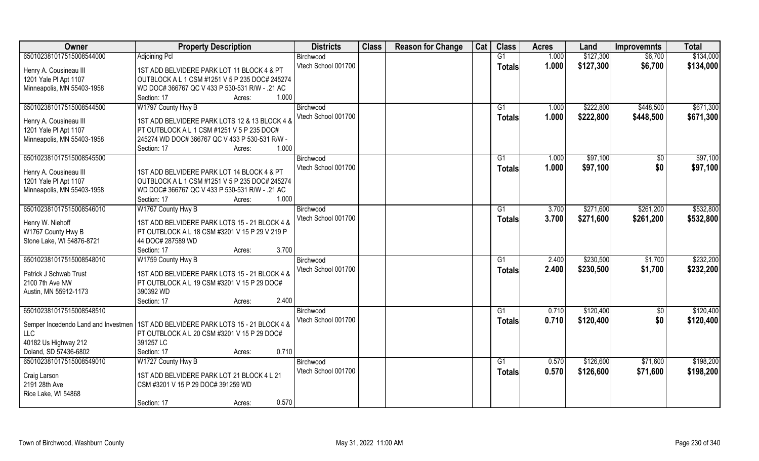| Owner                               | <b>Property Description</b>                                         | <b>Districts</b>    | <b>Class</b> | <b>Reason for Change</b> | Cat | <b>Class</b>    | <b>Acres</b> | Land      | <b>Improvemnts</b> | <b>Total</b> |
|-------------------------------------|---------------------------------------------------------------------|---------------------|--------------|--------------------------|-----|-----------------|--------------|-----------|--------------------|--------------|
| 650102381017515008544000            | <b>Adjoining Pcl</b>                                                | Birchwood           |              |                          |     | G1              | 1.000        | \$127,300 | \$6,700            | \$134,000    |
| Henry A. Cousineau III              | 1ST ADD BELVIDERE PARK LOT 11 BLOCK 4 & PT                          | Vtech School 001700 |              |                          |     | <b>Totals</b>   | 1.000        | \$127,300 | \$6,700            | \$134,000    |
| 1201 Yale Pl Apt 1107               | OUTBLOCK A L 1 CSM #1251 V 5 P 235 DOC# 245274                      |                     |              |                          |     |                 |              |           |                    |              |
| Minneapolis, MN 55403-1958          | WD DOC# 366767 QC V 433 P 530-531 R/W - .21 AC                      |                     |              |                          |     |                 |              |           |                    |              |
|                                     | 1.000<br>Section: 17<br>Acres:                                      |                     |              |                          |     |                 |              |           |                    |              |
| 650102381017515008544500            | W1797 County Hwy B                                                  | Birchwood           |              |                          |     | G1              | 1.000        | \$222,800 | \$448,500          | \$671,300    |
|                                     |                                                                     | Vtech School 001700 |              |                          |     | <b>Totals</b>   | 1.000        | \$222,800 | \$448,500          | \$671,300    |
| Henry A. Cousineau III              | 1ST ADD BELVIDERE PARK LOTS 12 & 13 BLOCK 4 &                       |                     |              |                          |     |                 |              |           |                    |              |
| 1201 Yale PI Apt 1107               | PT OUTBLOCK A L 1 CSM #1251 V 5 P 235 DOC#                          |                     |              |                          |     |                 |              |           |                    |              |
| Minneapolis, MN 55403-1958          | 245274 WD DOC#366767 QC V 433 P 530-531 R/W -                       |                     |              |                          |     |                 |              |           |                    |              |
|                                     | 1.000<br>Section: 17<br>Acres:                                      |                     |              |                          |     |                 |              |           |                    |              |
| 650102381017515008545500            |                                                                     | Birchwood           |              |                          |     | G1              | 1.000        | \$97,100  | $\sqrt[6]{30}$     | \$97,100     |
| Henry A. Cousineau III              | 1ST ADD BELVIDERE PARK LOT 14 BLOCK 4 & PT                          | Vtech School 001700 |              |                          |     | <b>Totals</b>   | 1.000        | \$97,100  | \$0                | \$97,100     |
| 1201 Yale PI Apt 1107               | OUTBLOCK A L 1 CSM #1251 V 5 P 235 DOC# 245274                      |                     |              |                          |     |                 |              |           |                    |              |
| Minneapolis, MN 55403-1958          | WD DOC# 366767 QC V 433 P 530-531 R/W - .21 AC                      |                     |              |                          |     |                 |              |           |                    |              |
|                                     | 1.000<br>Section: 17<br>Acres:                                      |                     |              |                          |     |                 |              |           |                    |              |
| 650102381017515008546010            | W1767 County Hwy B                                                  | Birchwood           |              |                          |     | G1              | 3.700        | \$271,600 | \$261,200          | \$532,800    |
|                                     |                                                                     | Vtech School 001700 |              |                          |     | <b>Totals</b>   | 3.700        | \$271,600 | \$261,200          | \$532,800    |
| Henry W. Niehoff                    | 1ST ADD BELVIDERE PARK LOTS 15 - 21 BLOCK 4 &                       |                     |              |                          |     |                 |              |           |                    |              |
| W1767 County Hwy B                  | PT OUTBLOCK A L 18 CSM #3201 V 15 P 29 V 219 P<br>44 DOC# 287589 WD |                     |              |                          |     |                 |              |           |                    |              |
| Stone Lake, WI 54876-8721           | 3.700<br>Section: 17                                                |                     |              |                          |     |                 |              |           |                    |              |
| 650102381017515008548010            | Acres:<br>W1759 County Hwy B                                        | Birchwood           |              |                          |     | G1              | 2.400        | \$230,500 | \$1,700            | \$232,200    |
|                                     |                                                                     | Vtech School 001700 |              |                          |     |                 |              |           |                    |              |
| Patrick J Schwab Trust              | 1ST ADD BELVIDERE PARK LOTS 15 - 21 BLOCK 4 &                       |                     |              |                          |     | <b>Totals</b>   | 2.400        | \$230,500 | \$1,700            | \$232,200    |
| 2100 7th Ave NW                     | PT OUTBLOCK A L 19 CSM #3201 V 15 P 29 DOC#                         |                     |              |                          |     |                 |              |           |                    |              |
| Austin, MN 55912-1173               | 390392 WD                                                           |                     |              |                          |     |                 |              |           |                    |              |
|                                     | 2.400<br>Section: 17<br>Acres:                                      |                     |              |                          |     |                 |              |           |                    |              |
| 650102381017515008548510            |                                                                     | Birchwood           |              |                          |     | G1              | 0.710        | \$120,400 | $\sqrt{$0}$        | \$120,400    |
| Semper Incedendo Land and Investmen | 1ST ADD BELVIDERE PARK LOTS 15 - 21 BLOCK 4 &                       | Vtech School 001700 |              |                          |     | <b>Totals</b>   | 0.710        | \$120,400 | \$0                | \$120,400    |
| <b>LLC</b>                          | PT OUTBLOCK A L 20 CSM #3201 V 15 P 29 DOC#                         |                     |              |                          |     |                 |              |           |                    |              |
| 40182 Us Highway 212                | 391257 LC                                                           |                     |              |                          |     |                 |              |           |                    |              |
| Doland, SD 57436-6802               | 0.710<br>Section: 17<br>Acres:                                      |                     |              |                          |     |                 |              |           |                    |              |
| 650102381017515008549010            | W1727 County Hwy B                                                  | Birchwood           |              |                          |     | $\overline{G1}$ | 0.570        | \$126,600 | \$71,600           | \$198,200    |
|                                     |                                                                     | Vtech School 001700 |              |                          |     | <b>Totals</b>   | 0.570        | \$126,600 | \$71,600           | \$198,200    |
| Craig Larson                        | 1ST ADD BELVIDERE PARK LOT 21 BLOCK 4 L 21                          |                     |              |                          |     |                 |              |           |                    |              |
| 2191 28th Ave                       | CSM #3201 V 15 P 29 DOC# 391259 WD                                  |                     |              |                          |     |                 |              |           |                    |              |
| Rice Lake, WI 54868                 |                                                                     |                     |              |                          |     |                 |              |           |                    |              |
|                                     | 0.570<br>Section: 17<br>Acres:                                      |                     |              |                          |     |                 |              |           |                    |              |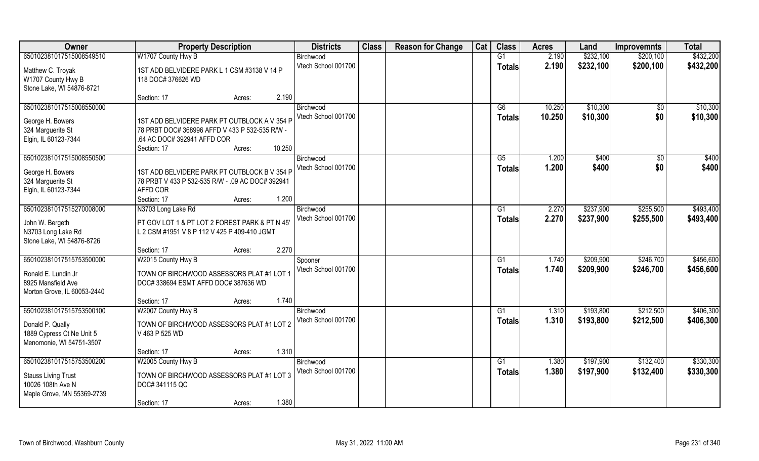| Owner                                           | <b>Property Description</b>                      | <b>Districts</b>    | <b>Class</b> | <b>Reason for Change</b> | Cat | <b>Class</b>  | <b>Acres</b> | Land      | <b>Improvemnts</b> | <b>Total</b> |
|-------------------------------------------------|--------------------------------------------------|---------------------|--------------|--------------------------|-----|---------------|--------------|-----------|--------------------|--------------|
| 650102381017515008549510                        | W1707 County Hwy B                               | Birchwood           |              |                          |     | G1            | 2.190        | \$232,100 | \$200,100          | \$432,200    |
| Matthew C. Troyak                               | 1ST ADD BELVIDERE PARK L 1 CSM #3138 V 14 P      | Vtech School 001700 |              |                          |     | <b>Totals</b> | 2.190        | \$232,100 | \$200,100          | \$432,200    |
| W1707 County Hwy B                              | 118 DOC# 376626 WD                               |                     |              |                          |     |               |              |           |                    |              |
| Stone Lake, WI 54876-8721                       |                                                  |                     |              |                          |     |               |              |           |                    |              |
|                                                 | 2.190<br>Section: 17<br>Acres:                   |                     |              |                          |     |               |              |           |                    |              |
| 650102381017515008550000                        |                                                  | Birchwood           |              |                          |     | G6            | 10.250       | \$10,300  | \$0                | \$10,300     |
| George H. Bowers                                | 1ST ADD BELVIDERE PARK PT OUTBLOCK A V 354 P     | Vtech School 001700 |              |                          |     | Totals        | 10.250       | \$10,300  | \$0                | \$10,300     |
| 324 Marguerite St                               | 78 PRBT DOC# 368996 AFFD V 433 P 532-535 R/W -   |                     |              |                          |     |               |              |           |                    |              |
| Elgin, IL 60123-7344                            | .64 AC DOC# 392941 AFFD COR                      |                     |              |                          |     |               |              |           |                    |              |
|                                                 | 10.250<br>Section: 17<br>Acres:                  |                     |              |                          |     |               |              |           |                    |              |
| 650102381017515008550500                        |                                                  | Birchwood           |              |                          |     | G5            | 1.200        | \$400     | $\sqrt{6}$         | \$400        |
| George H. Bowers                                | 1ST ADD BELVIDERE PARK PT OUTBLOCK B V 354 P     | Vtech School 001700 |              |                          |     | <b>Totals</b> | 1.200        | \$400     | \$0                | \$400        |
| 324 Marguerite St                               | 78 PRBT V 433 P 532-535 R/W - .09 AC DOC# 392941 |                     |              |                          |     |               |              |           |                    |              |
| Elgin, IL 60123-7344                            | AFFD COR                                         |                     |              |                          |     |               |              |           |                    |              |
|                                                 | 1.200<br>Section: 17<br>Acres:                   |                     |              |                          |     |               |              |           |                    |              |
| 650102381017515270008000                        | N3703 Long Lake Rd                               | Birchwood           |              |                          |     | G1            | 2.270        | \$237,900 | \$255,500          | \$493,400    |
|                                                 |                                                  | Vtech School 001700 |              |                          |     | <b>Totals</b> | 2.270        | \$237,900 | \$255,500          | \$493,400    |
| John W. Bergeth                                 | PT GOV LOT 1 & PT LOT 2 FOREST PARK & PT N 45'   |                     |              |                          |     |               |              |           |                    |              |
| N3703 Long Lake Rd<br>Stone Lake, WI 54876-8726 | L 2 CSM #1951 V 8 P 112 V 425 P 409-410 JGMT     |                     |              |                          |     |               |              |           |                    |              |
|                                                 | 2.270<br>Section: 17<br>Acres:                   |                     |              |                          |     |               |              |           |                    |              |
| 650102381017515753500000                        | W2015 County Hwy B                               | Spooner             |              |                          |     | G1            | 1.740        | \$209,900 | \$246,700          | \$456,600    |
|                                                 |                                                  | Vtech School 001700 |              |                          |     | <b>Totals</b> | 1.740        | \$209,900 | \$246,700          | \$456,600    |
| Ronald E. Lundin Jr                             | TOWN OF BIRCHWOOD ASSESSORS PLAT #1 LOT 1        |                     |              |                          |     |               |              |           |                    |              |
| 8925 Mansfield Ave                              | DOC# 338694 ESMT AFFD DOC# 387636 WD             |                     |              |                          |     |               |              |           |                    |              |
| Morton Grove, IL 60053-2440                     |                                                  |                     |              |                          |     |               |              |           |                    |              |
|                                                 | 1.740<br>Section: 17<br>Acres:                   |                     |              |                          |     |               |              |           |                    |              |
| 650102381017515753500100                        | W2007 County Hwy B                               | Birchwood           |              |                          |     | G1            | 1.310        | \$193,800 | \$212,500          | \$406,300    |
| Donald P. Qually                                | TOWN OF BIRCHWOOD ASSESSORS PLAT #1 LOT 2        | Vtech School 001700 |              |                          |     | <b>Totals</b> | 1.310        | \$193,800 | \$212,500          | \$406,300    |
| 1889 Cypress Ct Ne Unit 5                       | V 463 P 525 WD                                   |                     |              |                          |     |               |              |           |                    |              |
| Menomonie, WI 54751-3507                        |                                                  |                     |              |                          |     |               |              |           |                    |              |
|                                                 | 1.310<br>Section: 17<br>Acres:                   |                     |              |                          |     |               |              |           |                    |              |
| 650102381017515753500200                        | W2005 County Hwy B                               | Birchwood           |              |                          |     | G1            | 1.380        | \$197,900 | \$132,400          | \$330,300    |
| <b>Stauss Living Trust</b>                      | TOWN OF BIRCHWOOD ASSESSORS PLAT #1 LOT 3        | Vtech School 001700 |              |                          |     | Totals        | 1.380        | \$197,900 | \$132,400          | \$330,300    |
| 10026 108th Ave N                               | DOC#341115 QC                                    |                     |              |                          |     |               |              |           |                    |              |
| Maple Grove, MN 55369-2739                      |                                                  |                     |              |                          |     |               |              |           |                    |              |
|                                                 | 1.380<br>Section: 17<br>Acres:                   |                     |              |                          |     |               |              |           |                    |              |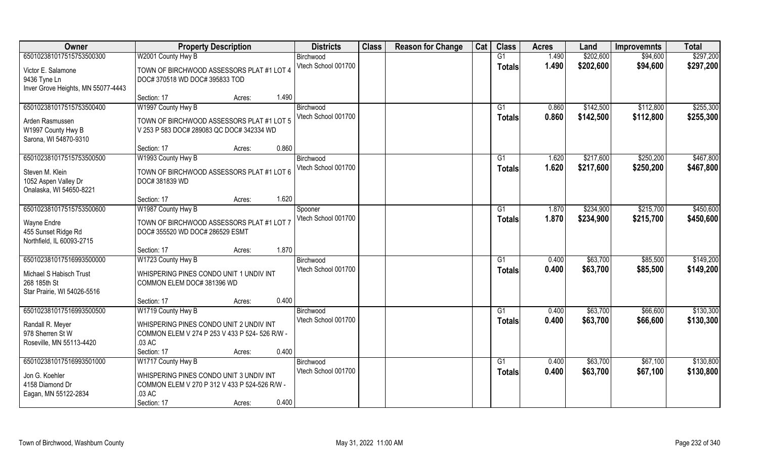| Owner                                       | <b>Property Description</b>                                                  | <b>Districts</b>    | <b>Class</b> | <b>Reason for Change</b> | Cat | <b>Class</b>   | <b>Acres</b> | Land      | <b>Improvemnts</b> | <b>Total</b> |
|---------------------------------------------|------------------------------------------------------------------------------|---------------------|--------------|--------------------------|-----|----------------|--------------|-----------|--------------------|--------------|
| 650102381017515753500300                    | W2001 County Hwy B                                                           | Birchwood           |              |                          |     | G1             | 1.490        | \$202,600 | \$94,600           | \$297,200    |
| Victor E. Salamone                          | TOWN OF BIRCHWOOD ASSESSORS PLAT #1 LOT 4                                    | Vtech School 001700 |              |                          |     | <b>Totals</b>  | 1.490        | \$202,600 | \$94,600           | \$297,200    |
| 9436 Tyne Ln                                | DOC# 370518 WD DOC# 395833 TOD                                               |                     |              |                          |     |                |              |           |                    |              |
| Inver Grove Heights, MN 55077-4443          |                                                                              |                     |              |                          |     |                |              |           |                    |              |
|                                             | 1.490<br>Section: 17<br>Acres:                                               |                     |              |                          |     |                |              |           |                    |              |
| 650102381017515753500400                    | W1997 County Hwy B                                                           | Birchwood           |              |                          |     | G <sub>1</sub> | 0.860        | \$142,500 | \$112,800          | \$255,300    |
| Arden Rasmussen                             | TOWN OF BIRCHWOOD ASSESSORS PLAT #1 LOT 5                                    | Vtech School 001700 |              |                          |     | <b>Totals</b>  | 0.860        | \$142,500 | \$112,800          | \$255,300    |
| W1997 County Hwy B                          | V 253 P 583 DOC# 289083 QC DOC# 342334 WD                                    |                     |              |                          |     |                |              |           |                    |              |
| Sarona, WI 54870-9310                       |                                                                              |                     |              |                          |     |                |              |           |                    |              |
|                                             | 0.860<br>Section: 17<br>Acres:                                               |                     |              |                          |     |                |              |           |                    |              |
| 650102381017515753500500                    | W1993 County Hwy B                                                           | Birchwood           |              |                          |     | G1             | 1.620        | \$217,600 | \$250,200          | \$467,800    |
| Steven M. Klein                             | TOWN OF BIRCHWOOD ASSESSORS PLAT #1 LOT 6                                    | Vtech School 001700 |              |                          |     | <b>Totals</b>  | 1.620        | \$217,600 | \$250,200          | \$467,800    |
| 1052 Aspen Valley Dr                        | DOC#381839 WD                                                                |                     |              |                          |     |                |              |           |                    |              |
| Onalaska, WI 54650-8221                     |                                                                              |                     |              |                          |     |                |              |           |                    |              |
|                                             | 1.620<br>Section: 17<br>Acres:                                               |                     |              |                          |     |                |              |           |                    |              |
| 650102381017515753500600                    | W1987 County Hwy B                                                           | Spooner             |              |                          |     | G <sub>1</sub> | 1.870        | \$234,900 | \$215,700          | \$450,600    |
|                                             |                                                                              | Vtech School 001700 |              |                          |     | <b>Totals</b>  | 1.870        | \$234,900 | \$215,700          | \$450,600    |
| Wayne Endre<br>455 Sunset Ridge Rd          | TOWN OF BIRCHWOOD ASSESSORS PLAT #1 LOT 7<br>DOC# 355520 WD DOC# 286529 ESMT |                     |              |                          |     |                |              |           |                    |              |
| Northfield, IL 60093-2715                   |                                                                              |                     |              |                          |     |                |              |           |                    |              |
|                                             | 1.870<br>Section: 17<br>Acres:                                               |                     |              |                          |     |                |              |           |                    |              |
| 650102381017516993500000                    | W1723 County Hwy B                                                           | Birchwood           |              |                          |     | G1             | 0.400        | \$63,700  | \$85,500           | \$149,200    |
|                                             |                                                                              | Vtech School 001700 |              |                          |     | <b>Totals</b>  | 0.400        | \$63,700  | \$85,500           | \$149,200    |
| Michael S Habisch Trust                     | WHISPERING PINES CONDO UNIT 1 UNDIV INT                                      |                     |              |                          |     |                |              |           |                    |              |
| 268 185th St<br>Star Prairie, WI 54026-5516 | COMMON ELEM DOC# 381396 WD                                                   |                     |              |                          |     |                |              |           |                    |              |
|                                             | 0.400<br>Section: 17<br>Acres:                                               |                     |              |                          |     |                |              |           |                    |              |
| 650102381017516993500500                    | W1719 County Hwy B                                                           | Birchwood           |              |                          |     | G1             | 0.400        | \$63,700  | \$66,600           | \$130,300    |
|                                             |                                                                              | Vtech School 001700 |              |                          |     | <b>Totals</b>  | 0.400        | \$63,700  | \$66,600           | \$130,300    |
| Randall R. Meyer                            | WHISPERING PINES CONDO UNIT 2 UNDIV INT                                      |                     |              |                          |     |                |              |           |                    |              |
| 978 Sherren St W                            | COMMON ELEM V 274 P 253 V 433 P 524- 526 R/W -                               |                     |              |                          |     |                |              |           |                    |              |
| Roseville, MN 55113-4420                    | .03 AC<br>0.400                                                              |                     |              |                          |     |                |              |           |                    |              |
| 650102381017516993501000                    | Section: 17<br>Acres:<br>W1717 County Hwy B                                  | Birchwood           |              |                          |     | G <sub>1</sub> | 0.400        | \$63,700  | \$67,100           | \$130,800    |
|                                             |                                                                              | Vtech School 001700 |              |                          |     |                | 0.400        | \$63,700  | \$67,100           | \$130,800    |
| Jon G. Koehler                              | WHISPERING PINES CONDO UNIT 3 UNDIV INT                                      |                     |              |                          |     | Totals         |              |           |                    |              |
| 4158 Diamond Dr                             | COMMON ELEM V 270 P 312 V 433 P 524-526 R/W -                                |                     |              |                          |     |                |              |           |                    |              |
| Eagan, MN 55122-2834                        | .03 AC                                                                       |                     |              |                          |     |                |              |           |                    |              |
|                                             | 0.400<br>Section: 17<br>Acres:                                               |                     |              |                          |     |                |              |           |                    |              |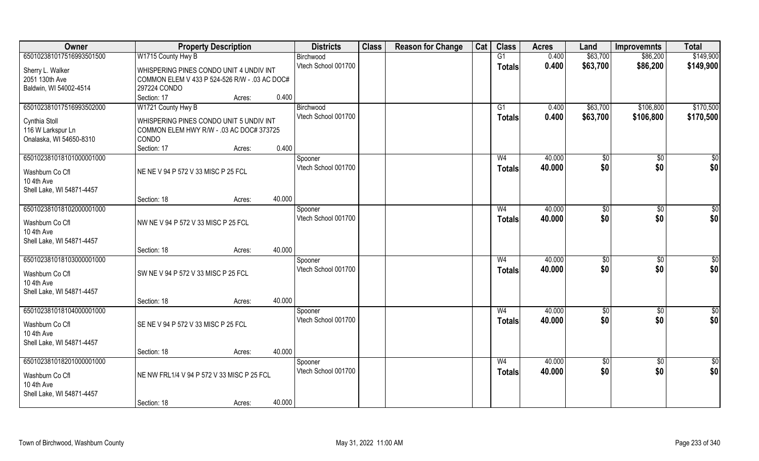| Owner                         |                                               | <b>Property Description</b> |        | <b>Districts</b>               | <b>Class</b> | <b>Reason for Change</b> | Cat | <b>Class</b>    | <b>Acres</b> | Land       | <b>Improvemnts</b> | <b>Total</b>    |
|-------------------------------|-----------------------------------------------|-----------------------------|--------|--------------------------------|--------------|--------------------------|-----|-----------------|--------------|------------|--------------------|-----------------|
| 650102381017516993501500      | W1715 County Hwy B                            |                             |        | Birchwood                      |              |                          |     | $\overline{G1}$ | 0.400        | \$63,700   | \$86,200           | \$149,900       |
| Sherry L. Walker              | WHISPERING PINES CONDO UNIT 4 UNDIV INT       |                             |        | Vtech School 001700            |              |                          |     | Totals          | 0.400        | \$63,700   | \$86,200           | \$149,900       |
| 2051 130th Ave                | COMMON ELEM V 433 P 524-526 R/W - .03 AC DOC# |                             |        |                                |              |                          |     |                 |              |            |                    |                 |
| Baldwin, WI 54002-4514        | 297224 CONDO                                  |                             |        |                                |              |                          |     |                 |              |            |                    |                 |
|                               | Section: 17                                   | Acres:                      | 0.400  |                                |              |                          |     |                 |              |            |                    |                 |
| 650102381017516993502000      | W1721 County Hwy B                            |                             |        | Birchwood                      |              |                          |     | G1              | 0.400        | \$63,700   | \$106,800          | \$170,500       |
| Cynthia Stoll                 | WHISPERING PINES CONDO UNIT 5 UNDIV INT       |                             |        | Vtech School 001700            |              |                          |     | <b>Totals</b>   | 0.400        | \$63,700   | \$106,800          | \$170,500       |
| 116 W Larkspur Ln             | COMMON ELEM HWY R/W - .03 AC DOC# 373725      |                             |        |                                |              |                          |     |                 |              |            |                    |                 |
| Onalaska, WI 54650-8310       | <b>CONDO</b>                                  |                             |        |                                |              |                          |     |                 |              |            |                    |                 |
| 650102381018101000001000      | Section: 17                                   | Acres:                      | 0.400  |                                |              |                          |     | W <sub>4</sub>  | 40.000       |            | $\overline{30}$    | $\sqrt{50}$     |
|                               |                                               |                             |        | Spooner<br>Vtech School 001700 |              |                          |     | <b>Totals</b>   | 40.000       | \$0<br>\$0 | \$0                | \$0             |
| Washburn Co Cfl               | NE NE V 94 P 572 V 33 MISC P 25 FCL           |                             |        |                                |              |                          |     |                 |              |            |                    |                 |
| 10 4th Ave                    |                                               |                             |        |                                |              |                          |     |                 |              |            |                    |                 |
| Shell Lake, WI 54871-4457     | Section: 18                                   | Acres:                      | 40.000 |                                |              |                          |     |                 |              |            |                    |                 |
| 650102381018102000001000      |                                               |                             |        | Spooner                        |              |                          |     | W <sub>4</sub>  | 40.000       | \$0        | $\sqrt[6]{30}$     | $\sqrt{50}$     |
|                               |                                               |                             |        | Vtech School 001700            |              |                          |     | <b>Totals</b>   | 40.000       | \$0        | \$0                | \$0             |
| Washburn Co Cfl<br>10 4th Ave | NW NE V 94 P 572 V 33 MISC P 25 FCL           |                             |        |                                |              |                          |     |                 |              |            |                    |                 |
| Shell Lake, WI 54871-4457     |                                               |                             |        |                                |              |                          |     |                 |              |            |                    |                 |
|                               | Section: 18                                   | Acres:                      | 40.000 |                                |              |                          |     |                 |              |            |                    |                 |
| 650102381018103000001000      |                                               |                             |        | Spooner                        |              |                          |     | W <sub>4</sub>  | 40.000       | \$0        | \$0                | \$0             |
| Washburn Co Cfl               | SW NE V 94 P 572 V 33 MISC P 25 FCL           |                             |        | Vtech School 001700            |              |                          |     | <b>Totals</b>   | 40.000       | \$0        | \$0                | \$0             |
| 10 4th Ave                    |                                               |                             |        |                                |              |                          |     |                 |              |            |                    |                 |
| Shell Lake, WI 54871-4457     |                                               |                             |        |                                |              |                          |     |                 |              |            |                    |                 |
|                               | Section: 18                                   | Acres:                      | 40.000 |                                |              |                          |     |                 |              |            |                    |                 |
| 650102381018104000001000      |                                               |                             |        | Spooner                        |              |                          |     | W <sub>4</sub>  | 40.000       | \$0        | $\sqrt{$0}$        | \$0             |
| Washburn Co Cfl               | SE NE V 94 P 572 V 33 MISC P 25 FCL           |                             |        | Vtech School 001700            |              |                          |     | <b>Totals</b>   | 40.000       | \$0        | \$0                | \$0             |
| 10 4th Ave                    |                                               |                             |        |                                |              |                          |     |                 |              |            |                    |                 |
| Shell Lake, WI 54871-4457     |                                               |                             |        |                                |              |                          |     |                 |              |            |                    |                 |
|                               | Section: 18                                   | Acres:                      | 40.000 |                                |              |                          |     |                 |              |            |                    |                 |
| 650102381018201000001000      |                                               |                             |        | Spooner<br>Vtech School 001700 |              |                          |     | W <sub>4</sub>  | 40.000       | \$0        | $\sqrt{$0}$        | $\overline{50}$ |
| Washburn Co Cfl               | NE NW FRL1/4 V 94 P 572 V 33 MISC P 25 FCL    |                             |        |                                |              |                          |     | <b>Totals</b>   | 40.000       | \$0        | \$0                | \$0             |
| 10 4th Ave                    |                                               |                             |        |                                |              |                          |     |                 |              |            |                    |                 |
| Shell Lake, WI 54871-4457     |                                               |                             |        |                                |              |                          |     |                 |              |            |                    |                 |
|                               | Section: 18                                   | Acres:                      | 40.000 |                                |              |                          |     |                 |              |            |                    |                 |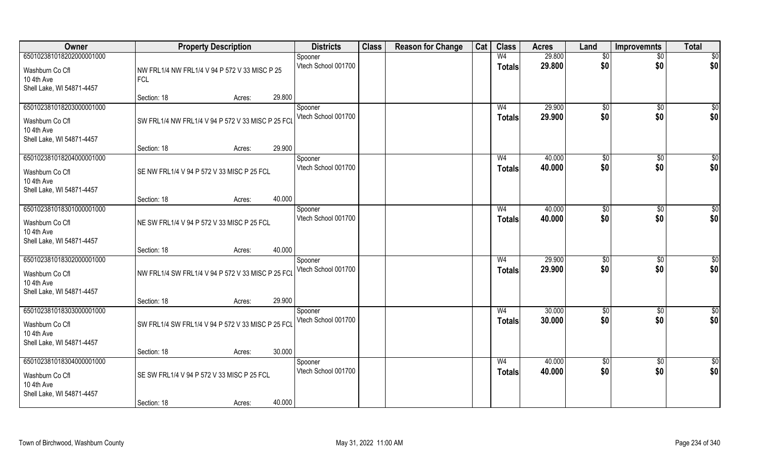| Owner                                                                                  | <b>Property Description</b>                                 |                  | <b>Districts</b>               | <b>Class</b> | <b>Reason for Change</b> | Cat | <b>Class</b>                    | <b>Acres</b>     | Land                   | <b>Improvemnts</b>     | <b>Total</b>         |
|----------------------------------------------------------------------------------------|-------------------------------------------------------------|------------------|--------------------------------|--------------|--------------------------|-----|---------------------------------|------------------|------------------------|------------------------|----------------------|
| 650102381018202000001000<br>Washburn Co Cfl<br>10 4th Ave<br>Shell Lake, WI 54871-4457 | NW FRL1/4 NW FRL1/4 V 94 P 572 V 33 MISC P 25<br><b>FCL</b> |                  | Spooner<br>Vtech School 001700 |              |                          |     | W <sub>4</sub><br><b>Totals</b> | 29.800<br>29.800 | $\overline{50}$<br>\$0 | $\overline{50}$<br>\$0 | \$0<br>\$0           |
|                                                                                        | Section: 18                                                 | 29.800<br>Acres: |                                |              |                          |     |                                 |                  |                        |                        |                      |
| 650102381018203000001000<br>Washburn Co Cfl<br>10 4th Ave<br>Shell Lake, WI 54871-4457 | SW FRL1/4 NW FRL1/4 V 94 P 572 V 33 MISC P 25 FCL           |                  | Spooner<br>Vtech School 001700 |              |                          |     | W <sub>4</sub><br><b>Totals</b> | 29.900<br>29.900 | \$0<br>\$0             | $\overline{50}$<br>\$0 | $\sqrt{50}$<br>\$0   |
| 650102381018204000001000                                                               | Section: 18                                                 | 29.900<br>Acres: | Spooner                        |              |                          |     | W <sub>4</sub>                  | 40.000           | \$0                    | \$0                    | \$0                  |
| Washburn Co Cfl<br>10 4th Ave<br>Shell Lake, WI 54871-4457                             | SE NW FRL1/4 V 94 P 572 V 33 MISC P 25 FCL                  |                  | Vtech School 001700            |              |                          |     | <b>Totals</b>                   | 40.000           | \$0                    | \$0                    | \$0                  |
|                                                                                        | Section: 18                                                 | 40.000<br>Acres: |                                |              |                          |     |                                 |                  |                        |                        |                      |
| 650102381018301000001000<br>Washburn Co Cfl<br>10 4th Ave<br>Shell Lake, WI 54871-4457 | NE SW FRL1/4 V 94 P 572 V 33 MISC P 25 FCL                  |                  | Spooner<br>Vtech School 001700 |              |                          |     | W <sub>4</sub><br><b>Totals</b> | 40.000<br>40.000 | $\sqrt[6]{3}$<br>\$0   | $\sqrt[6]{3}$<br>\$0   | \$<br>\$0            |
|                                                                                        | Section: 18                                                 | 40.000<br>Acres: |                                |              |                          |     |                                 |                  |                        |                        |                      |
| 650102381018302000001000<br>Washburn Co Cfl<br>10 4th Ave<br>Shell Lake, WI 54871-4457 | NW FRL1/4 SW FRL1/4 V 94 P 572 V 33 MISC P 25 FCL           |                  | Spooner<br>Vtech School 001700 |              |                          |     | W <sub>4</sub><br><b>Totals</b> | 29.900<br>29.900 | $\sqrt[6]{3}$<br>\$0   | $\sqrt[6]{3}$<br>\$0   | \$<br>\$0            |
| 650102381018303000001000                                                               | Section: 18                                                 | 29.900<br>Acres: |                                |              |                          |     | W <sub>4</sub>                  |                  |                        |                        |                      |
| Washburn Co Cfl<br>10 4th Ave<br>Shell Lake, WI 54871-4457                             | SW FRL1/4 SW FRL1/4 V 94 P 572 V 33 MISC P 25 FCL           |                  | Spooner<br>Vtech School 001700 |              |                          |     | <b>Totals</b>                   | 30.000<br>30.000 | \$0<br>\$0             | \$0<br>\$0             | $\frac{6}{3}$<br>\$0 |
|                                                                                        | Section: 18                                                 | 30.000<br>Acres: |                                |              |                          |     |                                 |                  |                        |                        |                      |
| 650102381018304000001000<br>Washburn Co Cfl<br>10 4th Ave<br>Shell Lake, WI 54871-4457 | SE SW FRL1/4 V 94 P 572 V 33 MISC P 25 FCL<br>Section: 18   | 40.000<br>Acres: | Spooner<br>Vtech School 001700 |              |                          |     | W <sub>4</sub><br><b>Totals</b> | 40.000<br>40.000 | $\overline{50}$<br>\$0 | $\overline{50}$<br>\$0 | \$0<br>\$0           |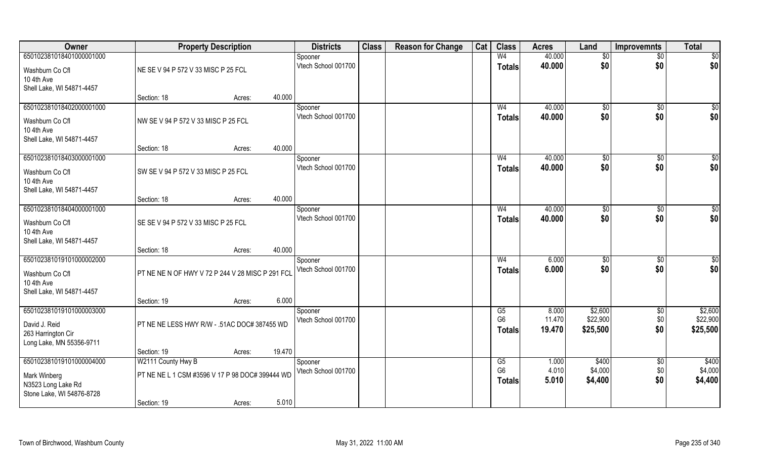| Owner                     |                                                  | <b>Property Description</b> |        | <b>Districts</b>    | <b>Class</b> | <b>Reason for Change</b> | Cat | <b>Class</b>   | <b>Acres</b> | Land     | <b>Improvemnts</b> | <b>Total</b>    |
|---------------------------|--------------------------------------------------|-----------------------------|--------|---------------------|--------------|--------------------------|-----|----------------|--------------|----------|--------------------|-----------------|
| 650102381018401000001000  |                                                  |                             |        | Spooner             |              |                          |     | W <sub>4</sub> | 40.000       | \$0      | $\sqrt{$0}$        | $\overline{50}$ |
| Washburn Co Cfl           | NE SE V 94 P 572 V 33 MISC P 25 FCL              |                             |        | Vtech School 001700 |              |                          |     | <b>Totals</b>  | 40.000       | \$0      | \$0                | \$0             |
| 10 4th Ave                |                                                  |                             |        |                     |              |                          |     |                |              |          |                    |                 |
| Shell Lake, WI 54871-4457 |                                                  |                             |        |                     |              |                          |     |                |              |          |                    |                 |
|                           | Section: 18                                      | Acres:                      | 40.000 |                     |              |                          |     |                |              |          |                    |                 |
| 650102381018402000001000  |                                                  |                             |        | Spooner             |              |                          |     | W <sub>4</sub> | 40.000       | \$0      | \$0                | $\sqrt{50}$     |
| Washburn Co Cfl           | NW SE V 94 P 572 V 33 MISC P 25 FCL              |                             |        | Vtech School 001700 |              |                          |     | Totals         | 40.000       | \$0      | \$0                | \$0             |
| 10 4th Ave                |                                                  |                             |        |                     |              |                          |     |                |              |          |                    |                 |
| Shell Lake, WI 54871-4457 |                                                  |                             |        |                     |              |                          |     |                |              |          |                    |                 |
|                           | Section: 18                                      | Acres:                      | 40.000 |                     |              |                          |     |                |              |          |                    |                 |
| 650102381018403000001000  |                                                  |                             |        | Spooner             |              |                          |     | W <sub>4</sub> | 40.000       | \$0      | $\overline{50}$    | $\sqrt{50}$     |
| Washburn Co Cfl           | SW SE V 94 P 572 V 33 MISC P 25 FCL              |                             |        | Vtech School 001700 |              |                          |     | <b>Totals</b>  | 40.000       | \$0      | \$0                | \$0             |
| 10 4th Ave                |                                                  |                             |        |                     |              |                          |     |                |              |          |                    |                 |
| Shell Lake, WI 54871-4457 |                                                  |                             |        |                     |              |                          |     |                |              |          |                    |                 |
|                           | Section: 18                                      | Acres:                      | 40.000 |                     |              |                          |     |                |              |          |                    |                 |
| 650102381018404000001000  |                                                  |                             |        | Spooner             |              |                          |     | W <sub>4</sub> | 40.000       | \$0      | $\sqrt[6]{3}$      | \$0             |
| Washburn Co Cfl           | SE SE V 94 P 572 V 33 MISC P 25 FCL              |                             |        | Vtech School 001700 |              |                          |     | <b>Totals</b>  | 40.000       | \$0      | \$0                | \$0             |
| 10 4th Ave                |                                                  |                             |        |                     |              |                          |     |                |              |          |                    |                 |
| Shell Lake, WI 54871-4457 |                                                  |                             |        |                     |              |                          |     |                |              |          |                    |                 |
|                           | Section: 18                                      | Acres:                      | 40.000 |                     |              |                          |     |                |              |          |                    |                 |
| 650102381019101000002000  |                                                  |                             |        | Spooner             |              |                          |     | W <sub>4</sub> | 6.000        | \$0      | \$0                | \$0             |
| Washburn Co Cfl           | PT NE NE N OF HWY V 72 P 244 V 28 MISC P 291 FCL |                             |        | Vtech School 001700 |              |                          |     | <b>Totals</b>  | 6.000        | \$0      | \$0                | \$0             |
| 10 4th Ave                |                                                  |                             |        |                     |              |                          |     |                |              |          |                    |                 |
| Shell Lake, WI 54871-4457 |                                                  |                             |        |                     |              |                          |     |                |              |          |                    |                 |
|                           | Section: 19                                      | Acres:                      | 6.000  |                     |              |                          |     |                |              |          |                    |                 |
| 650102381019101000003000  |                                                  |                             |        | Spooner             |              |                          |     | G5             | 8.000        | \$2,600  | $\sqrt{$0}$        | \$2,600         |
| David J. Reid             | PT NE NE LESS HWY R/W - .51AC DOC# 387455 WD     |                             |        | Vtech School 001700 |              |                          |     | G <sub>6</sub> | 11.470       | \$22,900 | \$0                | \$22,900        |
| 263 Harrington Cir        |                                                  |                             |        |                     |              |                          |     | Totals         | 19.470       | \$25,500 | \$0                | \$25,500        |
| Long Lake, MN 55356-9711  |                                                  |                             |        |                     |              |                          |     |                |              |          |                    |                 |
|                           | Section: 19                                      | Acres:                      | 19.470 |                     |              |                          |     |                |              |          |                    |                 |
| 650102381019101000004000  | W2111 County Hwy B                               |                             |        | Spooner             |              |                          |     | G5             | 1.000        | \$400    | \$0                | \$400           |
| Mark Winberg              | PT NE NE L 1 CSM #3596 V 17 P 98 DOC# 399444 WD  |                             |        | Vtech School 001700 |              |                          |     | G <sub>6</sub> | 4.010        | \$4,000  | \$0                | \$4,000         |
| N3523 Long Lake Rd        |                                                  |                             |        |                     |              |                          |     | <b>Totals</b>  | 5.010        | \$4,400  | \$0                | \$4,400         |
| Stone Lake, WI 54876-8728 |                                                  |                             |        |                     |              |                          |     |                |              |          |                    |                 |
|                           | Section: 19                                      | Acres:                      | 5.010  |                     |              |                          |     |                |              |          |                    |                 |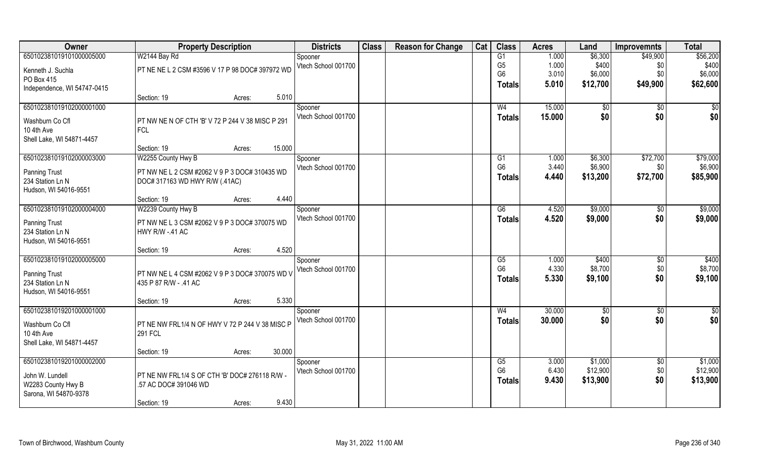| Owner                       | <b>Property Description</b>                      |        | <b>Districts</b>               | <b>Class</b> | <b>Reason for Change</b> | Cat | <b>Class</b>   | <b>Acres</b> | Land            | <b>Improvemnts</b> | <b>Total</b>  |
|-----------------------------|--------------------------------------------------|--------|--------------------------------|--------------|--------------------------|-----|----------------|--------------|-----------------|--------------------|---------------|
| 650102381019101000005000    | W2144 Bay Rd                                     |        | Spooner                        |              |                          |     | G1             | 1.000        | \$6,300         | \$49,900           | \$56,200      |
| Kenneth J. Suchla           | PT NE NE L 2 CSM #3596 V 17 P 98 DOC# 397972 WD  |        | Vtech School 001700            |              |                          |     | G <sub>5</sub> | 1.000        | \$400           | \$0                | \$400         |
| PO Box 415                  |                                                  |        |                                |              |                          |     | G <sub>6</sub> | 3.010        | \$6,000         | \$0                | \$6,000       |
| Independence, WI 54747-0415 |                                                  |        |                                |              |                          |     | <b>Totals</b>  | 5.010        | \$12,700        | \$49,900           | \$62,600      |
|                             | Section: 19<br>Acres:                            | 5.010  |                                |              |                          |     |                |              |                 |                    |               |
| 650102381019102000001000    |                                                  |        | Spooner                        |              |                          |     | W <sub>4</sub> | 15.000       | $\overline{50}$ | $\overline{50}$    | $\frac{1}{6}$ |
| Washburn Co Cfl             | PT NW NE N OF CTH 'B' V 72 P 244 V 38 MISC P 291 |        | Vtech School 001700            |              |                          |     | Totals         | 15.000       | \$0             | \$0                | \$0           |
| 10 4th Ave                  | <b>FCL</b>                                       |        |                                |              |                          |     |                |              |                 |                    |               |
| Shell Lake, WI 54871-4457   |                                                  |        |                                |              |                          |     |                |              |                 |                    |               |
|                             | Section: 19<br>Acres:                            | 15.000 |                                |              |                          |     |                |              |                 |                    |               |
| 650102381019102000003000    | W2255 County Hwy B                               |        | Spooner                        |              |                          |     | G1             | 1.000        | \$6,300         | \$72,700           | \$79,000      |
|                             |                                                  |        | Vtech School 001700            |              |                          |     | G <sub>6</sub> | 3.440        | \$6,900         | \$0                | \$6,900       |
| <b>Panning Trust</b>        | PT NW NE L 2 CSM #2062 V 9 P 3 DOC# 310435 WD    |        |                                |              |                          |     | <b>Totals</b>  | 4.440        | \$13,200        | \$72,700           | \$85,900      |
| 234 Station Ln N            | DOC# 317163 WD HWY R/W (.41AC)                   |        |                                |              |                          |     |                |              |                 |                    |               |
| Hudson, WI 54016-9551       |                                                  | 4.440  |                                |              |                          |     |                |              |                 |                    |               |
| 650102381019102000004000    | Section: 19<br>Acres:                            |        |                                |              |                          |     | G6             |              | \$9,000         |                    | \$9,000       |
|                             | W2239 County Hwy B                               |        | Spooner<br>Vtech School 001700 |              |                          |     |                | 4.520        |                 | \$0                |               |
| <b>Panning Trust</b>        | PT NW NE L 3 CSM #2062 V 9 P 3 DOC# 370075 WD    |        |                                |              |                          |     | <b>Totals</b>  | 4.520        | \$9,000         | \$0                | \$9,000       |
| 234 Station Ln N            | <b>HWY R/W -.41 AC</b>                           |        |                                |              |                          |     |                |              |                 |                    |               |
| Hudson, WI 54016-9551       |                                                  |        |                                |              |                          |     |                |              |                 |                    |               |
|                             | Section: 19<br>Acres:                            | 4.520  |                                |              |                          |     |                |              |                 |                    |               |
| 650102381019102000005000    |                                                  |        | Spooner                        |              |                          |     | G5             | 1.000        | \$400           | \$0                | \$400         |
| Panning Trust               | PT NW NE L 4 CSM #2062 V 9 P 3 DOC# 370075 WD V  |        | Vtech School 001700            |              |                          |     | G <sub>6</sub> | 4.330        | \$8,700         | \$0                | \$8,700       |
| 234 Station Ln N            | 435 P 87 R/W - .41 AC                            |        |                                |              |                          |     | <b>Totals</b>  | 5.330        | \$9,100         | \$0                | \$9,100       |
| Hudson, WI 54016-9551       |                                                  |        |                                |              |                          |     |                |              |                 |                    |               |
|                             | Section: 19<br>Acres:                            | 5.330  |                                |              |                          |     |                |              |                 |                    |               |
| 650102381019201000001000    |                                                  |        | Spooner                        |              |                          |     | W <sub>4</sub> | 30.000       | \$0             | \$0                | $\frac{6}{3}$ |
| Washburn Co Cfl             | PT NE NW FRL1/4 N OF HWY V 72 P 244 V 38 MISC P  |        | Vtech School 001700            |              |                          |     | <b>Totals</b>  | 30.000       | \$0             | \$0                | \$0           |
| 10 4th Ave                  | <b>291 FCL</b>                                   |        |                                |              |                          |     |                |              |                 |                    |               |
| Shell Lake, WI 54871-4457   |                                                  |        |                                |              |                          |     |                |              |                 |                    |               |
|                             | Section: 19<br>Acres:                            | 30.000 |                                |              |                          |     |                |              |                 |                    |               |
| 650102381019201000002000    |                                                  |        | Spooner                        |              |                          |     | G5             | 3.000        | \$1,000         | $\overline{30}$    | \$1,000       |
|                             |                                                  |        | Vtech School 001700            |              |                          |     | G <sub>6</sub> | 6.430        | \$12,900        | \$0                | \$12,900      |
| John W. Lundell             | PT NE NW FRL1/4 S OF CTH 'B' DOC# 276118 R/W -   |        |                                |              |                          |     | Totals         | 9.430        | \$13,900        | \$0                | \$13,900      |
| W2283 County Hwy B          | .57 AC DOC# 391046 WD                            |        |                                |              |                          |     |                |              |                 |                    |               |
| Sarona, WI 54870-9378       |                                                  | 9.430  |                                |              |                          |     |                |              |                 |                    |               |
|                             | Section: 19<br>Acres:                            |        |                                |              |                          |     |                |              |                 |                    |               |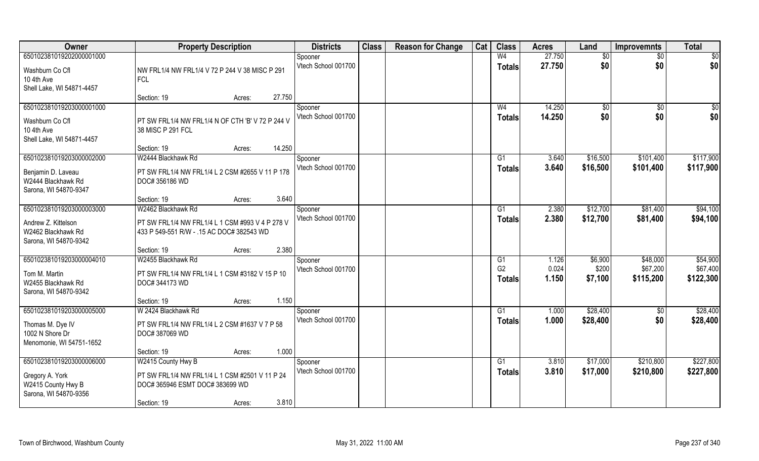| Owner                                       | <b>Property Description</b>                                           |        | <b>Districts</b>               | <b>Class</b> | <b>Reason for Change</b> | Cat | <b>Class</b>         | <b>Acres</b>   | Land             | <b>Improvemnts</b>    | <b>Total</b>          |
|---------------------------------------------|-----------------------------------------------------------------------|--------|--------------------------------|--------------|--------------------------|-----|----------------------|----------------|------------------|-----------------------|-----------------------|
| 650102381019202000001000                    |                                                                       |        | Spooner                        |              |                          |     | W <sub>4</sub>       | 27.750         | \$0              | $\sqrt{6}$            | \$0                   |
| Washburn Co Cfl                             | NW FRL1/4 NW FRL1/4 V 72 P 244 V 38 MISC P 291                        |        | Vtech School 001700            |              |                          |     | <b>Totals</b>        | 27.750         | \$0              | \$0                   | \$0                   |
| 10 4th Ave                                  | <b>FCL</b>                                                            |        |                                |              |                          |     |                      |                |                  |                       |                       |
| Shell Lake, WI 54871-4457                   | Section: 19<br>Acres:                                                 | 27.750 |                                |              |                          |     |                      |                |                  |                       |                       |
| 650102381019203000001000                    |                                                                       |        | Spooner                        |              |                          |     | W <sub>4</sub>       | 14.250         | \$0              | \$0                   | \$0                   |
|                                             |                                                                       |        | Vtech School 001700            |              |                          |     | Totals               | 14.250         | \$0              | \$0                   | \$0                   |
| Washburn Co Cfl<br>10 4th Ave               | PT SW FRL1/4 NW FRL1/4 N OF CTH 'B' V 72 P 244 V<br>38 MISC P 291 FCL |        |                                |              |                          |     |                      |                |                  |                       |                       |
| Shell Lake, WI 54871-4457                   |                                                                       |        |                                |              |                          |     |                      |                |                  |                       |                       |
|                                             | Section: 19<br>Acres:                                                 | 14.250 |                                |              |                          |     |                      |                |                  |                       |                       |
| 650102381019203000002000                    | W2444 Blackhawk Rd                                                    |        | Spooner                        |              |                          |     | G1                   | 3.640          | \$16,500         | \$101,400             | \$117,900             |
| Benjamin D. Laveau                          | PT SW FRL1/4 NW FRL1/4 L 2 CSM #2655 V 11 P 178                       |        | Vtech School 001700            |              |                          |     | <b>Totals</b>        | 3.640          | \$16,500         | \$101,400             | \$117,900             |
| W2444 Blackhawk Rd                          | DOC# 356186 WD                                                        |        |                                |              |                          |     |                      |                |                  |                       |                       |
| Sarona, WI 54870-9347                       | Section: 19<br>Acres:                                                 | 3.640  |                                |              |                          |     |                      |                |                  |                       |                       |
| 650102381019203000003000                    | W2462 Blackhawk Rd                                                    |        | Spooner                        |              |                          |     | G1                   | 2.380          | \$12,700         | \$81,400              | \$94,100              |
| Andrew Z. Kittelson                         | PT SW FRL1/4 NW FRL1/4 L 1 CSM #993 V 4 P 278 V                       |        | Vtech School 001700            |              |                          |     | <b>Totals</b>        | 2.380          | \$12,700         | \$81,400              | \$94,100              |
| W2462 Blackhawk Rd                          | 433 P 549-551 R/W - .15 AC DOC# 382543 WD                             |        |                                |              |                          |     |                      |                |                  |                       |                       |
| Sarona, WI 54870-9342                       |                                                                       |        |                                |              |                          |     |                      |                |                  |                       |                       |
|                                             | Section: 19<br>Acres:                                                 | 2.380  |                                |              |                          |     |                      |                |                  |                       |                       |
| 650102381019203000004010                    | W2455 Blackhawk Rd                                                    |        | Spooner                        |              |                          |     | G1<br>G <sub>2</sub> | 1.126          | \$6,900          | \$48,000              | \$54,900              |
| Tom M. Martin                               | PT SW FRL1/4 NW FRL1/4 L 1 CSM #3182 V 15 P 10                        |        | Vtech School 001700            |              |                          |     | Totals               | 0.024<br>1.150 | \$200<br>\$7,100 | \$67,200<br>\$115,200 | \$67,400<br>\$122,300 |
| W2455 Blackhawk Rd                          | DOC# 344173 WD                                                        |        |                                |              |                          |     |                      |                |                  |                       |                       |
| Sarona, WI 54870-9342                       | Section: 19<br>Acres:                                                 | 1.150  |                                |              |                          |     |                      |                |                  |                       |                       |
| 650102381019203000005000                    | W 2424 Blackhawk Rd                                                   |        | Spooner                        |              |                          |     | G1                   | 1.000          | \$28,400         | $\overline{60}$       | \$28,400              |
| Thomas M. Dye IV                            | PT SW FRL1/4 NW FRL1/4 L 2 CSM #1637 V 7 P 58                         |        | Vtech School 001700            |              |                          |     | <b>Totals</b>        | 1.000          | \$28,400         | \$0                   | \$28,400              |
| 1002 N Shore Dr                             | DOC# 387069 WD                                                        |        |                                |              |                          |     |                      |                |                  |                       |                       |
| Menomonie, WI 54751-1652                    |                                                                       |        |                                |              |                          |     |                      |                |                  |                       |                       |
|                                             | Section: 19<br>Acres:                                                 | 1.000  |                                |              |                          |     |                      |                |                  |                       |                       |
| 650102381019203000006000                    | W2415 County Hwy B                                                    |        | Spooner<br>Vtech School 001700 |              |                          |     | G1                   | 3.810<br>3.810 | \$17,000         | \$210,800             | \$227,800             |
| Gregory A. York                             | PT SW FRL1/4 NW FRL1/4 L 1 CSM #2501 V 11 P 24                        |        |                                |              |                          |     | Totals               |                | \$17,000         | \$210,800             | \$227,800             |
| W2415 County Hwy B<br>Sarona, WI 54870-9356 | DOC# 365946 ESMT DOC# 383699 WD                                       |        |                                |              |                          |     |                      |                |                  |                       |                       |
|                                             | Section: 19<br>Acres:                                                 | 3.810  |                                |              |                          |     |                      |                |                  |                       |                       |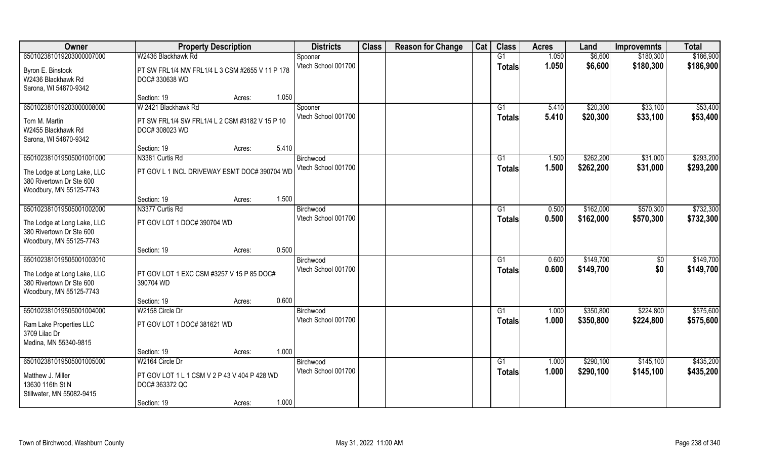| Owner                                         | <b>Property Description</b>                     |        |       | <b>Districts</b>                 | <b>Class</b> | <b>Reason for Change</b> | Cat | <b>Class</b>    | <b>Acres</b> | Land      | <b>Improvemnts</b> | <b>Total</b> |
|-----------------------------------------------|-------------------------------------------------|--------|-------|----------------------------------|--------------|--------------------------|-----|-----------------|--------------|-----------|--------------------|--------------|
| 650102381019203000007000                      | W2436 Blackhawk Rd                              |        |       | Spooner                          |              |                          |     | G1              | 1.050        | \$6,600   | \$180,300          | \$186,900    |
| Byron E. Binstock                             | PT SW FRL1/4 NW FRL1/4 L 3 CSM #2655 V 11 P 178 |        |       | Vtech School 001700              |              |                          |     | <b>Totals</b>   | 1.050        | \$6,600   | \$180,300          | \$186,900    |
| W2436 Blackhawk Rd                            | DOC# 330638 WD                                  |        |       |                                  |              |                          |     |                 |              |           |                    |              |
| Sarona, WI 54870-9342                         |                                                 |        |       |                                  |              |                          |     |                 |              |           |                    |              |
|                                               | Section: 19                                     | Acres: | 1.050 |                                  |              |                          |     |                 |              |           |                    |              |
| 650102381019203000008000                      | W 2421 Blackhawk Rd                             |        |       | Spooner                          |              |                          |     | G1              | 5.410        | \$20,300  | \$33,100           | \$53,400     |
| Tom M. Martin                                 | PT SW FRL1/4 SW FRL1/4 L 2 CSM #3182 V 15 P 10  |        |       | Vtech School 001700              |              |                          |     | <b>Totals</b>   | 5.410        | \$20,300  | \$33,100           | \$53,400     |
| W2455 Blackhawk Rd                            | DOC# 308023 WD                                  |        |       |                                  |              |                          |     |                 |              |           |                    |              |
| Sarona, WI 54870-9342                         |                                                 |        |       |                                  |              |                          |     |                 |              |           |                    |              |
|                                               | Section: 19                                     | Acres: | 5.410 |                                  |              |                          |     |                 |              |           |                    |              |
| 650102381019505001001000                      | N3381 Curtis Rd                                 |        |       | Birchwood                        |              |                          |     | G1              | 1.500        | \$262,200 | \$31,000           | \$293,200    |
| The Lodge at Long Lake, LLC                   | PT GOV L 1 INCL DRIVEWAY ESMT DOC# 390704 WD    |        |       | Vtech School 001700              |              |                          |     | <b>Totals</b>   | 1.500        | \$262,200 | \$31,000           | \$293,200    |
| 380 Rivertown Dr Ste 600                      |                                                 |        |       |                                  |              |                          |     |                 |              |           |                    |              |
| Woodbury, MN 55125-7743                       |                                                 |        |       |                                  |              |                          |     |                 |              |           |                    |              |
|                                               | Section: 19                                     | Acres: | 1.500 |                                  |              |                          |     |                 |              |           |                    |              |
| 650102381019505001002000                      | N3377 Curtis Rd                                 |        |       | Birchwood<br>Vtech School 001700 |              |                          |     | G1              | 0.500        | \$162,000 | \$570,300          | \$732,300    |
| The Lodge at Long Lake, LLC                   | PT GOV LOT 1 DOC# 390704 WD                     |        |       |                                  |              |                          |     | <b>Totals</b>   | 0.500        | \$162,000 | \$570,300          | \$732,300    |
| 380 Rivertown Dr Ste 600                      |                                                 |        |       |                                  |              |                          |     |                 |              |           |                    |              |
| Woodbury, MN 55125-7743                       |                                                 |        |       |                                  |              |                          |     |                 |              |           |                    |              |
| 650102381019505001003010                      | Section: 19                                     | Acres: | 0.500 | Birchwood                        |              |                          |     | G1              | 0.600        | \$149,700 | \$0                | \$149,700    |
|                                               |                                                 |        |       | Vtech School 001700              |              |                          |     | <b>Totals</b>   | 0.600        | \$149,700 | \$0                | \$149,700    |
| The Lodge at Long Lake, LLC                   | PT GOV LOT 1 EXC CSM #3257 V 15 P 85 DOC#       |        |       |                                  |              |                          |     |                 |              |           |                    |              |
| 380 Rivertown Dr Ste 600                      | 390704 WD                                       |        |       |                                  |              |                          |     |                 |              |           |                    |              |
| Woodbury, MN 55125-7743                       |                                                 |        | 0.600 |                                  |              |                          |     |                 |              |           |                    |              |
| 650102381019505001004000                      | Section: 19<br>W2158 Circle Dr                  | Acres: |       | Birchwood                        |              |                          |     | $\overline{G1}$ | 1.000        | \$350,800 | \$224,800          | \$575,600    |
|                                               |                                                 |        |       | Vtech School 001700              |              |                          |     | <b>Totals</b>   | 1.000        | \$350,800 | \$224,800          | \$575,600    |
| Ram Lake Properties LLC                       | PT GOV LOT 1 DOC# 381621 WD                     |        |       |                                  |              |                          |     |                 |              |           |                    |              |
| 3709 Lilac Dr                                 |                                                 |        |       |                                  |              |                          |     |                 |              |           |                    |              |
| Medina, MN 55340-9815                         | Section: 19                                     | Acres: | 1.000 |                                  |              |                          |     |                 |              |           |                    |              |
| 650102381019505001005000                      | W2164 Circle Dr                                 |        |       | Birchwood                        |              |                          |     | G1              | 1.000        | \$290,100 | \$145,100          | \$435,200    |
|                                               |                                                 |        |       | Vtech School 001700              |              |                          |     | <b>Totals</b>   | 1.000        | \$290,100 | \$145,100          | \$435,200    |
| Matthew J. Miller                             | PT GOV LOT 1 L 1 CSM V 2 P 43 V 404 P 428 WD    |        |       |                                  |              |                          |     |                 |              |           |                    |              |
| 13630 116th St N<br>Stillwater, MN 55082-9415 | DOC# 363372 QC                                  |        |       |                                  |              |                          |     |                 |              |           |                    |              |
|                                               | Section: 19                                     | Acres: | 1.000 |                                  |              |                          |     |                 |              |           |                    |              |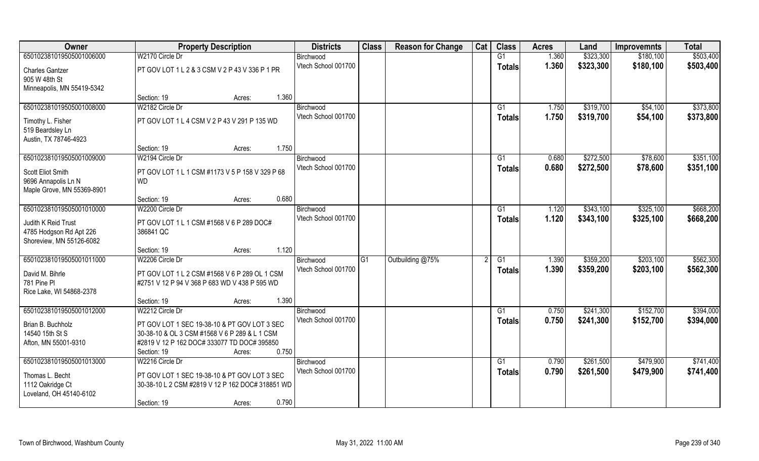| Owner                      | <b>Property Description</b>                      | <b>Districts</b>    | <b>Class</b> | <b>Reason for Change</b> | Cat | <b>Class</b>  | <b>Acres</b> | Land      | <b>Improvemnts</b> | <b>Total</b> |
|----------------------------|--------------------------------------------------|---------------------|--------------|--------------------------|-----|---------------|--------------|-----------|--------------------|--------------|
| 650102381019505001006000   | W2170 Circle Dr                                  | Birchwood           |              |                          |     | G1            | 1.360        | \$323,300 | \$180,100          | \$503,400    |
| <b>Charles Gantzer</b>     | PT GOV LOT 1 L 2 & 3 CSM V 2 P 43 V 336 P 1 PR   | Vtech School 001700 |              |                          |     | <b>Totals</b> | 1.360        | \$323,300 | \$180,100          | \$503,400    |
| 905 W 48th St              |                                                  |                     |              |                          |     |               |              |           |                    |              |
| Minneapolis, MN 55419-5342 |                                                  |                     |              |                          |     |               |              |           |                    |              |
|                            | 1.360<br>Section: 19<br>Acres:                   |                     |              |                          |     |               |              |           |                    |              |
| 650102381019505001008000   | W2182 Circle Dr                                  | Birchwood           |              |                          |     | G1            | 1.750        | \$319,700 | \$54,100           | \$373,800    |
| Timothy L. Fisher          | PT GOV LOT 1 L 4 CSM V 2 P 43 V 291 P 135 WD     | Vtech School 001700 |              |                          |     | Totals        | 1.750        | \$319,700 | \$54,100           | \$373,800    |
| 519 Beardsley Ln           |                                                  |                     |              |                          |     |               |              |           |                    |              |
| Austin, TX 78746-4923      |                                                  |                     |              |                          |     |               |              |           |                    |              |
|                            | 1.750<br>Section: 19<br>Acres:                   |                     |              |                          |     |               |              |           |                    |              |
| 650102381019505001009000   | W2194 Circle Dr                                  | Birchwood           |              |                          |     | G1            | 0.680        | \$272,500 | \$78,600           | \$351,100    |
| Scott Eliot Smith          | PT GOV LOT 1 L 1 CSM #1173 V 5 P 158 V 329 P 68  | Vtech School 001700 |              |                          |     | <b>Totals</b> | 0.680        | \$272,500 | \$78,600           | \$351,100    |
| 9696 Annapolis Ln N        | <b>WD</b>                                        |                     |              |                          |     |               |              |           |                    |              |
| Maple Grove, MN 55369-8901 |                                                  |                     |              |                          |     |               |              |           |                    |              |
|                            | 0.680<br>Section: 19<br>Acres:                   |                     |              |                          |     |               |              |           |                    |              |
| 650102381019505001010000   | W2200 Circle Dr                                  | Birchwood           |              |                          |     | G1            | 1.120        | \$343,100 | \$325,100          | \$668,200    |
| Judith K Reid Trust        | PT GOV LOT 1 L 1 CSM #1568 V 6 P 289 DOC#        | Vtech School 001700 |              |                          |     | <b>Totals</b> | 1.120        | \$343,100 | \$325,100          | \$668,200    |
| 4785 Hodgson Rd Apt 226    | 386841 QC                                        |                     |              |                          |     |               |              |           |                    |              |
| Shoreview, MN 55126-6082   |                                                  |                     |              |                          |     |               |              |           |                    |              |
|                            | 1.120<br>Section: 19<br>Acres:                   |                     |              |                          |     |               |              |           |                    |              |
| 650102381019505001011000   | W2206 Circle Dr                                  | Birchwood           | G1           | Outbuilding @75%         |     | G1            | 1.390        | \$359,200 | \$203,100          | \$562,300    |
| David M. Bihrle            | PT GOV LOT 1 L 2 CSM #1568 V 6 P 289 OL 1 CSM    | Vtech School 001700 |              |                          |     | <b>Totals</b> | 1.390        | \$359,200 | \$203,100          | \$562,300    |
| 781 Pine Pl                | #2751 V 12 P 94 V 368 P 683 WD V 438 P 595 WD    |                     |              |                          |     |               |              |           |                    |              |
| Rice Lake, WI 54868-2378   |                                                  |                     |              |                          |     |               |              |           |                    |              |
|                            | 1.390<br>Section: 19<br>Acres:                   |                     |              |                          |     |               |              |           |                    |              |
| 650102381019505001012000   | W2212 Circle Dr                                  | Birchwood           |              |                          |     | G1            | 0.750        | \$241,300 | \$152,700          | \$394,000    |
| Brian B. Buchholz          | PT GOV LOT 1 SEC 19-38-10 & PT GOV LOT 3 SEC     | Vtech School 001700 |              |                          |     | <b>Totals</b> | 0.750        | \$241,300 | \$152,700          | \$394,000    |
| 14540 15th St S            | 30-38-10 & OL 3 CSM #1568 V 6 P 289 & L 1 CSM    |                     |              |                          |     |               |              |           |                    |              |
| Afton, MN 55001-9310       | #2819 V 12 P 162 DOC# 333077 TD DOC# 395850      |                     |              |                          |     |               |              |           |                    |              |
|                            | 0.750<br>Section: 19<br>Acres:                   |                     |              |                          |     |               |              |           |                    |              |
| 650102381019505001013000   | W2216 Circle Dr                                  | Birchwood           |              |                          |     | G1            | 0.790        | \$261,500 | \$479,900          | \$741,400    |
| Thomas L. Becht            | PT GOV LOT 1 SEC 19-38-10 & PT GOV LOT 3 SEC     | Vtech School 001700 |              |                          |     | Totals        | 0.790        | \$261,500 | \$479,900          | \$741,400    |
| 1112 Oakridge Ct           | 30-38-10 L 2 CSM #2819 V 12 P 162 DOC# 318851 WD |                     |              |                          |     |               |              |           |                    |              |
| Loveland, OH 45140-6102    |                                                  |                     |              |                          |     |               |              |           |                    |              |
|                            | 0.790<br>Section: 19<br>Acres:                   |                     |              |                          |     |               |              |           |                    |              |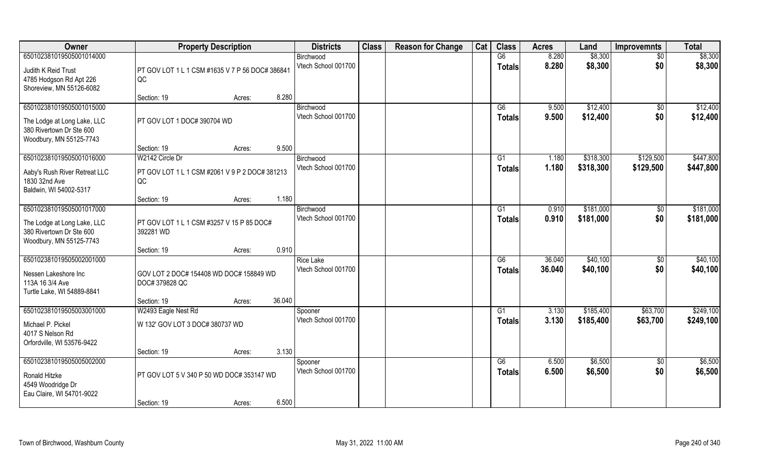| Owner                                          | <b>Property Description</b>                     |        |        | <b>Districts</b>                 | <b>Class</b> | <b>Reason for Change</b> | Cat | <b>Class</b>    | <b>Acres</b> | Land      | <b>Improvemnts</b>   | <b>Total</b> |
|------------------------------------------------|-------------------------------------------------|--------|--------|----------------------------------|--------------|--------------------------|-----|-----------------|--------------|-----------|----------------------|--------------|
| 650102381019505001014000                       |                                                 |        |        | Birchwood                        |              |                          |     | G6              | 8.280        | \$8,300   | \$0                  | \$8,300      |
| Judith K Reid Trust                            | PT GOV LOT 1 L 1 CSM #1635 V 7 P 56 DOC# 386841 |        |        | Vtech School 001700              |              |                          |     | <b>Totals</b>   | 8.280        | \$8,300   | \$0                  | \$8,300      |
| 4785 Hodgson Rd Apt 226                        | QC                                              |        |        |                                  |              |                          |     |                 |              |           |                      |              |
| Shoreview, MN 55126-6082                       |                                                 |        |        |                                  |              |                          |     |                 |              |           |                      |              |
|                                                | Section: 19                                     | Acres: | 8.280  |                                  |              |                          |     |                 |              |           |                      |              |
| 650102381019505001015000                       |                                                 |        |        | Birchwood<br>Vtech School 001700 |              |                          |     | G6              | 9.500        | \$12,400  | \$0                  | \$12,400     |
| The Lodge at Long Lake, LLC                    | PT GOV LOT 1 DOC# 390704 WD                     |        |        |                                  |              |                          |     | <b>Totals</b>   | 9.500        | \$12,400  | \$0                  | \$12,400     |
| 380 Rivertown Dr Ste 600                       |                                                 |        |        |                                  |              |                          |     |                 |              |           |                      |              |
| Woodbury, MN 55125-7743                        |                                                 |        | 9.500  |                                  |              |                          |     |                 |              |           |                      |              |
| 650102381019505001016000                       | Section: 19<br>W2142 Circle Dr                  | Acres: |        | Birchwood                        |              |                          |     | G1              | 1.180        | \$318,300 | \$129,500            | \$447,800    |
|                                                |                                                 |        |        | Vtech School 001700              |              |                          |     | <b>Totals</b>   | 1.180        | \$318,300 | \$129,500            | \$447,800    |
| Aaby's Rush River Retreat LLC                  | PT GOV LOT 1 L 1 CSM #2061 V 9 P 2 DOC# 381213  |        |        |                                  |              |                          |     |                 |              |           |                      |              |
| 1830 32nd Ave<br>Baldwin, WI 54002-5317        | QC                                              |        |        |                                  |              |                          |     |                 |              |           |                      |              |
|                                                | Section: 19                                     | Acres: | 1.180  |                                  |              |                          |     |                 |              |           |                      |              |
| 650102381019505001017000                       |                                                 |        |        | Birchwood                        |              |                          |     | G1              | 0.910        | \$181,000 | $\sqrt[6]{30}$       | \$181,000    |
| The Lodge at Long Lake, LLC                    | PT GOV LOT 1 L 1 CSM #3257 V 15 P 85 DOC#       |        |        | Vtech School 001700              |              |                          |     | <b>Totals</b>   | 0.910        | \$181,000 | \$0                  | \$181,000    |
| 380 Rivertown Dr Ste 600                       | 392281 WD                                       |        |        |                                  |              |                          |     |                 |              |           |                      |              |
| Woodbury, MN 55125-7743                        |                                                 |        |        |                                  |              |                          |     |                 |              |           |                      |              |
|                                                | Section: 19                                     | Acres: | 0.910  |                                  |              |                          |     |                 |              |           |                      |              |
| 650102381019505002001000                       |                                                 |        |        | <b>Rice Lake</b>                 |              |                          |     | $\overline{G6}$ | 36.040       | \$40,100  | $\sqrt[6]{30}$       | \$40,100     |
| Nessen Lakeshore Inc                           | GOV LOT 2 DOC# 154408 WD DOC# 158849 WD         |        |        | Vtech School 001700              |              |                          |     | <b>Totals</b>   | 36.040       | \$40,100  | \$0                  | \$40,100     |
| 113A 16 3/4 Ave                                | DOC# 379828 QC                                  |        |        |                                  |              |                          |     |                 |              |           |                      |              |
| Turtle Lake, WI 54889-8841                     |                                                 |        |        |                                  |              |                          |     |                 |              |           |                      |              |
| 650102381019505003001000                       | Section: 19                                     | Acres: | 36.040 |                                  |              |                          |     | G1              | 3.130        | \$185,400 |                      | \$249,100    |
|                                                | W2493 Eagle Nest Rd                             |        |        | Spooner<br>Vtech School 001700   |              |                          |     | <b>Totals</b>   | 3.130        | \$185,400 | \$63,700<br>\$63,700 | \$249,100    |
| Michael P. Pickel                              | W 132' GOV LOT 3 DOC# 380737 WD                 |        |        |                                  |              |                          |     |                 |              |           |                      |              |
| 4017 S Nelson Rd<br>Orfordville, WI 53576-9422 |                                                 |        |        |                                  |              |                          |     |                 |              |           |                      |              |
|                                                | Section: 19                                     | Acres: | 3.130  |                                  |              |                          |     |                 |              |           |                      |              |
| 650102381019505005002000                       |                                                 |        |        | Spooner                          |              |                          |     | G6              | 6.500        | \$6,500   | $\overline{50}$      | \$6,500      |
| Ronald Hitzke                                  | PT GOV LOT 5 V 340 P 50 WD DOC# 353147 WD       |        |        | Vtech School 001700              |              |                          |     | <b>Totals</b>   | 6.500        | \$6,500   | \$0                  | \$6,500      |
| 4549 Woodridge Dr                              |                                                 |        |        |                                  |              |                          |     |                 |              |           |                      |              |
| Eau Claire, WI 54701-9022                      |                                                 |        |        |                                  |              |                          |     |                 |              |           |                      |              |
|                                                | Section: 19                                     | Acres: | 6.500  |                                  |              |                          |     |                 |              |           |                      |              |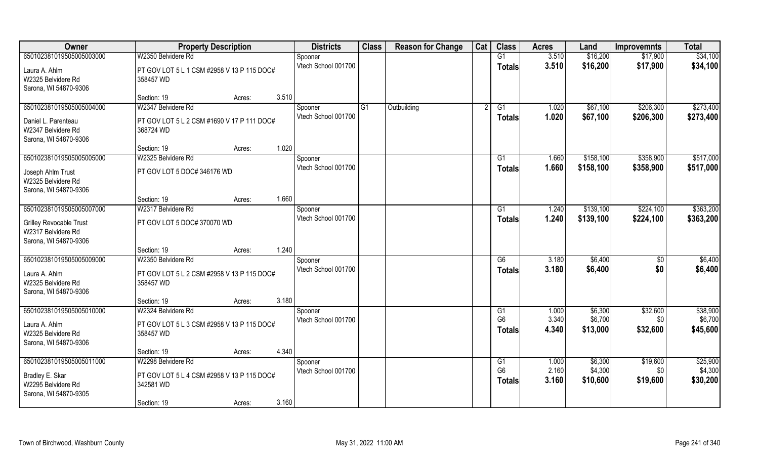| Owner                          | <b>Property Description</b>                |       | <b>Districts</b>    | <b>Class</b>   | <b>Reason for Change</b> | Cat | <b>Class</b>    | <b>Acres</b> | Land      | <b>Improvemnts</b> | <b>Total</b> |
|--------------------------------|--------------------------------------------|-------|---------------------|----------------|--------------------------|-----|-----------------|--------------|-----------|--------------------|--------------|
| 650102381019505005003000       | W2350 Belvidere Rd                         |       | Spooner             |                |                          |     | $\overline{G1}$ | 3.510        | \$16,200  | \$17,900           | \$34,100     |
| Laura A. Ahlm                  | PT GOV LOT 5 L 1 CSM #2958 V 13 P 115 DOC# |       | Vtech School 001700 |                |                          |     | <b>Totals</b>   | 3.510        | \$16,200  | \$17,900           | \$34,100     |
| W2325 Belvidere Rd             | 358457 WD                                  |       |                     |                |                          |     |                 |              |           |                    |              |
| Sarona, WI 54870-9306          |                                            |       |                     |                |                          |     |                 |              |           |                    |              |
|                                | Section: 19<br>Acres:                      | 3.510 |                     |                |                          |     |                 |              |           |                    |              |
| 650102381019505005004000       | W2347 Belvidere Rd                         |       | Spooner             | G <sub>1</sub> | Outbuilding              |     | $\overline{G1}$ | 1.020        | \$67,100  | \$206,300          | \$273,400    |
| Daniel L. Parenteau            | PT GOV LOT 5 L 2 CSM #1690 V 17 P 111 DOC# |       | Vtech School 001700 |                |                          |     | <b>Totals</b>   | 1.020        | \$67,100  | \$206,300          | \$273,400    |
| W2347 Belvidere Rd             | 368724 WD                                  |       |                     |                |                          |     |                 |              |           |                    |              |
| Sarona, WI 54870-9306          |                                            |       |                     |                |                          |     |                 |              |           |                    |              |
|                                | Section: 19<br>Acres:                      | 1.020 |                     |                |                          |     |                 |              |           |                    |              |
| 650102381019505005005000       | W2325 Belvidere Rd                         |       | Spooner             |                |                          |     | G1              | 1.660        | \$158,100 | \$358,900          | \$517,000    |
| Joseph Ahlm Trust              | PT GOV LOT 5 DOC# 346176 WD                |       | Vtech School 001700 |                |                          |     | <b>Totals</b>   | 1.660        | \$158,100 | \$358,900          | \$517,000    |
| W2325 Belvidere Rd             |                                            |       |                     |                |                          |     |                 |              |           |                    |              |
| Sarona, WI 54870-9306          |                                            |       |                     |                |                          |     |                 |              |           |                    |              |
|                                | Section: 19<br>Acres:                      | 1.660 |                     |                |                          |     |                 |              |           |                    |              |
| 650102381019505005007000       | W2317 Belvidere Rd                         |       | Spooner             |                |                          |     | G1              | 1.240        | \$139,100 | \$224,100          | \$363,200    |
| <b>Grilley Revocable Trust</b> | PT GOV LOT 5 DOC# 370070 WD                |       | Vtech School 001700 |                |                          |     | <b>Totals</b>   | 1.240        | \$139,100 | \$224,100          | \$363,200    |
| W2317 Belvidere Rd             |                                            |       |                     |                |                          |     |                 |              |           |                    |              |
| Sarona, WI 54870-9306          |                                            |       |                     |                |                          |     |                 |              |           |                    |              |
|                                | Section: 19<br>Acres:                      | 1.240 |                     |                |                          |     |                 |              |           |                    |              |
| 650102381019505005009000       | W2350 Belvidere Rd                         |       | Spooner             |                |                          |     | G6              | 3.180        | \$6,400   | $\sqrt[6]{}$       | \$6,400      |
| Laura A. Ahlm                  | PT GOV LOT 5 L 2 CSM #2958 V 13 P 115 DOC# |       | Vtech School 001700 |                |                          |     | <b>Totals</b>   | 3.180        | \$6,400   | \$0                | \$6,400      |
| W2325 Belvidere Rd             | 358457 WD                                  |       |                     |                |                          |     |                 |              |           |                    |              |
| Sarona, WI 54870-9306          |                                            |       |                     |                |                          |     |                 |              |           |                    |              |
|                                | Section: 19<br>Acres:                      | 3.180 |                     |                |                          |     |                 |              |           |                    |              |
| 650102381019505005010000       | W2324 Belvidere Rd                         |       | Spooner             |                |                          |     | G1              | 1.000        | \$6,300   | \$32,600           | \$38,900     |
| Laura A. Ahlm                  | PT GOV LOT 5 L 3 CSM #2958 V 13 P 115 DOC# |       | Vtech School 001700 |                |                          |     | G <sub>6</sub>  | 3.340        | \$6,700   | \$0                | \$6,700      |
| W2325 Belvidere Rd             | 358457 WD                                  |       |                     |                |                          |     | <b>Totals</b>   | 4.340        | \$13,000  | \$32,600           | \$45,600     |
| Sarona, WI 54870-9306          |                                            |       |                     |                |                          |     |                 |              |           |                    |              |
|                                | Section: 19<br>Acres:                      | 4.340 |                     |                |                          |     |                 |              |           |                    |              |
| 650102381019505005011000       | W2298 Belvidere Rd                         |       | Spooner             |                |                          |     | G1              | 1.000        | \$6,300   | \$19,600           | \$25,900     |
| Bradley E. Skar                | PT GOV LOT 5 L 4 CSM #2958 V 13 P 115 DOC# |       | Vtech School 001700 |                |                          |     | G <sub>6</sub>  | 2.160        | \$4,300   | \$0                | \$4,300      |
| W2295 Belvidere Rd             | 342581 WD                                  |       |                     |                |                          |     | <b>Totals</b>   | 3.160        | \$10,600  | \$19,600           | \$30,200     |
| Sarona, WI 54870-9305          |                                            |       |                     |                |                          |     |                 |              |           |                    |              |
|                                | Section: 19<br>Acres:                      | 3.160 |                     |                |                          |     |                 |              |           |                    |              |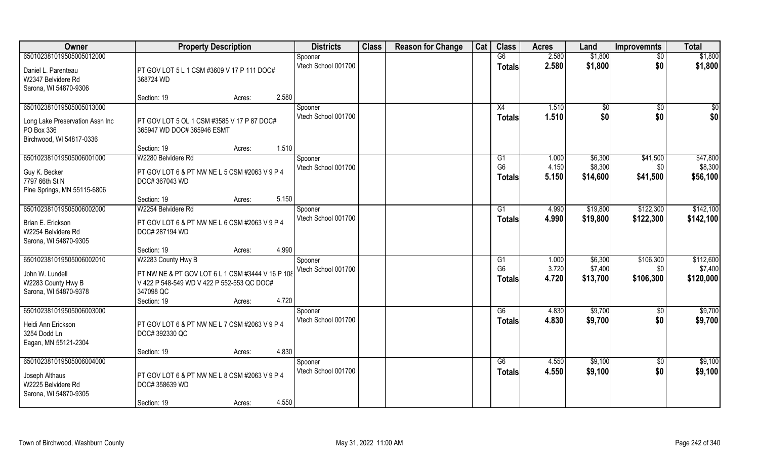| Owner                           | <b>Property Description</b>                      |                 | <b>Districts</b>    | <b>Class</b> | <b>Reason for Change</b> | Cat | <b>Class</b>   | <b>Acres</b> | Land     | <b>Improvemnts</b> | <b>Total</b> |
|---------------------------------|--------------------------------------------------|-----------------|---------------------|--------------|--------------------------|-----|----------------|--------------|----------|--------------------|--------------|
| 650102381019505005012000        |                                                  |                 | Spooner             |              |                          |     | G6             | 2.580        | \$1,800  | \$0                | \$1,800      |
| Daniel L. Parenteau             | PT GOV LOT 5 L 1 CSM #3609 V 17 P 111 DOC#       |                 | Vtech School 001700 |              |                          |     | <b>Totals</b>  | 2.580        | \$1,800  | \$0                | \$1,800      |
| W2347 Belvidere Rd              | 368724 WD                                        |                 |                     |              |                          |     |                |              |          |                    |              |
| Sarona, WI 54870-9306           |                                                  |                 |                     |              |                          |     |                |              |          |                    |              |
|                                 | Section: 19                                      | 2.580<br>Acres: |                     |              |                          |     |                |              |          |                    |              |
| 650102381019505005013000        |                                                  |                 | Spooner             |              |                          |     | X4             | 1.510        | \$0      | \$0                | \$0          |
| Long Lake Preservation Assn Inc | PT GOV LOT 5 OL 1 CSM #3585 V 17 P 87 DOC#       |                 | Vtech School 001700 |              |                          |     | <b>Totals</b>  | 1.510        | \$0      | \$0                | \$0          |
| PO Box 336                      | 365947 WD DOC# 365946 ESMT                       |                 |                     |              |                          |     |                |              |          |                    |              |
| Birchwood, WI 54817-0336        |                                                  |                 |                     |              |                          |     |                |              |          |                    |              |
|                                 | Section: 19                                      | 1.510<br>Acres: |                     |              |                          |     |                |              |          |                    |              |
| 650102381019505006001000        | W2280 Belvidere Rd                               |                 | Spooner             |              |                          |     | G1             | 1.000        | \$6,300  | \$41,500           | \$47,800     |
| Guy K. Becker                   | PT GOV LOT 6 & PT NW NE L 5 CSM #2063 V 9 P 4    |                 | Vtech School 001700 |              |                          |     | G <sub>6</sub> | 4.150        | \$8,300  | \$0                | \$8,300      |
| 7797 66th St N                  | DOC# 367043 WD                                   |                 |                     |              |                          |     | <b>Totals</b>  | 5.150        | \$14,600 | \$41,500           | \$56,100     |
| Pine Springs, MN 55115-6806     |                                                  |                 |                     |              |                          |     |                |              |          |                    |              |
|                                 | Section: 19                                      | 5.150<br>Acres: |                     |              |                          |     |                |              |          |                    |              |
| 650102381019505006002000        | W2254 Belvidere Rd                               |                 | Spooner             |              |                          |     | G1             | 4.990        | \$19,800 | \$122,300          | \$142,100    |
| Brian E. Erickson               | PT GOV LOT 6 & PT NW NE L 6 CSM #2063 V 9 P 4    |                 | Vtech School 001700 |              |                          |     | <b>Totals</b>  | 4.990        | \$19,800 | \$122,300          | \$142,100    |
| W2254 Belvidere Rd              | DOC# 287194 WD                                   |                 |                     |              |                          |     |                |              |          |                    |              |
| Sarona, WI 54870-9305           |                                                  |                 |                     |              |                          |     |                |              |          |                    |              |
|                                 | Section: 19                                      | 4.990<br>Acres: |                     |              |                          |     |                |              |          |                    |              |
| 650102381019505006002010        | W2283 County Hwy B                               |                 | Spooner             |              |                          |     | G1             | 1.000        | \$6,300  | \$106,300          | \$112,600    |
| John W. Lundell                 | PT NW NE & PT GOV LOT 6 L 1 CSM #3444 V 16 P 108 |                 | Vtech School 001700 |              |                          |     | G <sub>6</sub> | 3.720        | \$7,400  | \$0                | \$7,400      |
| W2283 County Hwy B              | V 422 P 548-549 WD V 422 P 552-553 QC DOC#       |                 |                     |              |                          |     | <b>Totals</b>  | 4.720        | \$13,700 | \$106,300          | \$120,000    |
| Sarona, WI 54870-9378           | 347098 QC                                        |                 |                     |              |                          |     |                |              |          |                    |              |
|                                 | Section: 19                                      | 4.720<br>Acres: |                     |              |                          |     |                |              |          |                    |              |
| 650102381019505006003000        |                                                  |                 | Spooner             |              |                          |     | G6             | 4.830        | \$9,700  | \$0                | \$9,700      |
| Heidi Ann Erickson              | PT GOV LOT 6 & PT NW NE L 7 CSM #2063 V 9 P 4    |                 | Vtech School 001700 |              |                          |     | <b>Totals</b>  | 4.830        | \$9,700  | \$0                | \$9,700      |
| 3254 Dodd Ln                    | DOC# 392330 QC                                   |                 |                     |              |                          |     |                |              |          |                    |              |
| Eagan, MN 55121-2304            |                                                  |                 |                     |              |                          |     |                |              |          |                    |              |
|                                 | Section: 19                                      | 4.830<br>Acres: |                     |              |                          |     |                |              |          |                    |              |
| 650102381019505006004000        |                                                  |                 | Spooner             |              |                          |     | G6             | 4.550        | \$9,100  | $\overline{50}$    | \$9,100      |
| Joseph Althaus                  | PT GOV LOT 6 & PT NW NE L 8 CSM #2063 V 9 P 4    |                 | Vtech School 001700 |              |                          |     | <b>Totals</b>  | 4.550        | \$9,100  | \$0                | \$9,100      |
| W2225 Belvidere Rd              | DOC# 358639 WD                                   |                 |                     |              |                          |     |                |              |          |                    |              |
| Sarona, WI 54870-9305           |                                                  |                 |                     |              |                          |     |                |              |          |                    |              |
|                                 | Section: 19                                      | 4.550<br>Acres: |                     |              |                          |     |                |              |          |                    |              |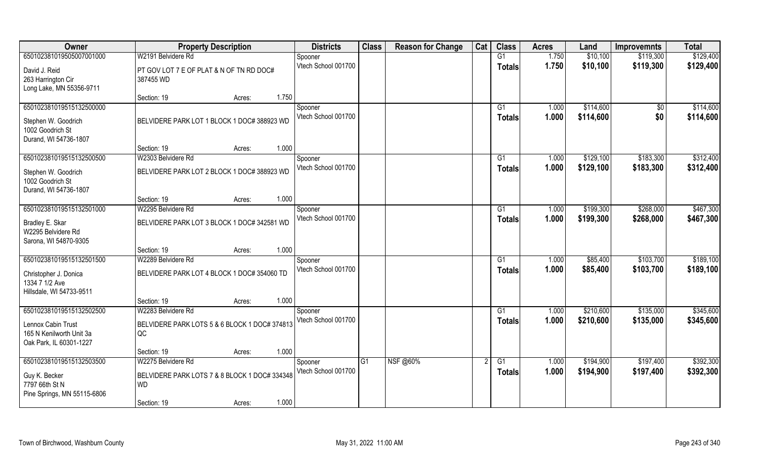| Owner                                                                                           | <b>Property Description</b>                                       | <b>Districts</b>               | <b>Class</b> | <b>Reason for Change</b> | Cat | <b>Class</b>        | <b>Acres</b>   | Land                   | <b>Improvemnts</b>     | <b>Total</b>           |
|-------------------------------------------------------------------------------------------------|-------------------------------------------------------------------|--------------------------------|--------------|--------------------------|-----|---------------------|----------------|------------------------|------------------------|------------------------|
| 650102381019505007001000                                                                        | W2191 Belvidere Rd                                                | Spooner                        |              |                          |     | G1                  | 1.750          | \$10,100               | \$119,300              | \$129,400              |
| David J. Reid<br>263 Harrington Cir<br>Long Lake, MN 55356-9711                                 | PT GOV LOT 7 E OF PLAT & N OF TN RD DOC#<br>387455 WD             | Vtech School 001700            |              |                          |     | <b>Totals</b>       | 1.750          | \$10,100               | \$119,300              | \$129,400              |
|                                                                                                 | 1.750<br>Section: 19<br>Acres:                                    |                                |              |                          |     |                     |                |                        |                        |                        |
| 650102381019515132500000<br>Stephen W. Goodrich<br>1002 Goodrich St<br>Durand, WI 54736-1807    | BELVIDERE PARK LOT 1 BLOCK 1 DOC# 388923 WD                       | Spooner<br>Vtech School 001700 |              |                          |     | G1<br><b>Totals</b> | 1.000<br>1.000 | \$114,600<br>\$114,600 | $\sqrt{$0}$<br>\$0     | \$114,600<br>\$114,600 |
|                                                                                                 | 1.000<br>Section: 19<br>Acres:                                    |                                |              |                          |     |                     |                |                        |                        |                        |
| 650102381019515132500500                                                                        | W2303 Belvidere Rd                                                | Spooner                        |              |                          |     | G1                  | 1.000          | \$129,100              | \$183,300              | \$312,400              |
| Stephen W. Goodrich<br>1002 Goodrich St<br>Durand, WI 54736-1807                                | BELVIDERE PARK LOT 2 BLOCK 1 DOC# 388923 WD                       | Vtech School 001700            |              |                          |     | <b>Totals</b>       | 1.000          | \$129,100              | \$183,300              | \$312,400              |
|                                                                                                 | 1.000<br>Section: 19<br>Acres:                                    |                                |              |                          |     |                     |                |                        |                        |                        |
| 650102381019515132501000                                                                        | W2295 Belvidere Rd                                                | Spooner                        |              |                          |     | G1                  | 1.000          | \$199,300              | \$268,000              | \$467,300              |
| Bradley E. Skar<br>W2295 Belvidere Rd<br>Sarona, WI 54870-9305                                  | BELVIDERE PARK LOT 3 BLOCK 1 DOC# 342581 WD                       | Vtech School 001700            |              |                          |     | <b>Totals</b>       | 1.000          | \$199,300              | \$268,000              | \$467,300              |
|                                                                                                 | 1.000<br>Section: 19<br>Acres:                                    |                                |              |                          |     |                     |                |                        |                        |                        |
| 650102381019515132501500<br>Christopher J. Donica<br>1334 7 1/2 Ave<br>Hillsdale, WI 54733-9511 | W2289 Belvidere Rd<br>BELVIDERE PARK LOT 4 BLOCK 1 DOC# 354060 TD | Spooner<br>Vtech School 001700 |              |                          |     | G1<br><b>Totals</b> | 1.000<br>1.000 | \$85,400<br>\$85,400   | \$103,700<br>\$103,700 | \$189,100<br>\$189,100 |
|                                                                                                 | 1.000<br>Section: 19<br>Acres:                                    |                                |              |                          |     |                     |                |                        |                        |                        |
| 650102381019515132502500                                                                        | W2283 Belvidere Rd                                                | Spooner                        |              |                          |     | G1                  | 1.000          | \$210,600              | \$135,000              | \$345,600              |
| Lennox Cabin Trust<br>165 N Kenilworth Unit 3a<br>Oak Park, IL 60301-1227                       | BELVIDERE PARK LOTS 5 & 6 BLOCK 1 DOC# 374813<br>QC               | Vtech School 001700            |              |                          |     | <b>Totals</b>       | 1.000          | \$210,600              | \$135,000              | \$345,600              |
|                                                                                                 | 1.000<br>Section: 19<br>Acres:                                    |                                |              |                          |     |                     |                |                        |                        |                        |
| 650102381019515132503500                                                                        | W2275 Belvidere Rd                                                | Spooner                        | G1           | <b>NSF</b> @60%          |     | $\overline{G1}$     | 1.000          | \$194,900              | \$197,400              | \$392,300              |
| Guy K. Becker<br>7797 66th St N<br>Pine Springs, MN 55115-6806                                  | BELVIDERE PARK LOTS 7 & 8 BLOCK 1 DOC# 334348<br><b>WD</b>        | Vtech School 001700            |              |                          |     | Totals              | 1.000          | \$194,900              | \$197,400              | \$392,300              |
|                                                                                                 | 1.000<br>Section: 19<br>Acres:                                    |                                |              |                          |     |                     |                |                        |                        |                        |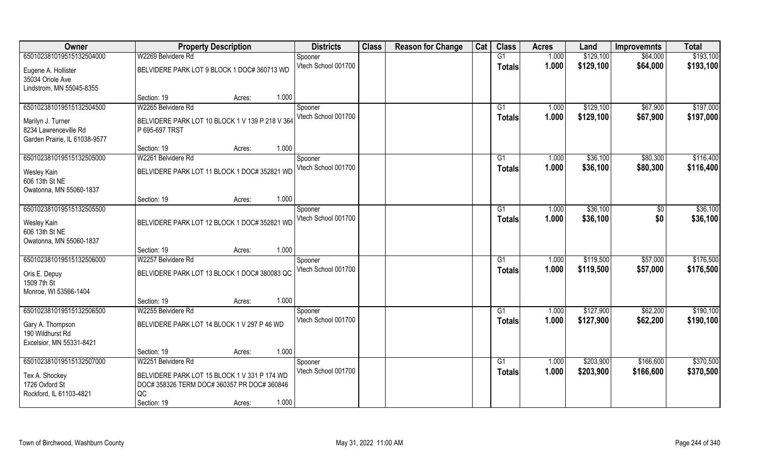| Owner                         | <b>Property Description</b>                     | <b>Districts</b>    | <b>Class</b> | <b>Reason for Change</b> | Cat | <b>Class</b>   | <b>Acres</b> | Land      | <b>Improvemnts</b> | <b>Total</b> |
|-------------------------------|-------------------------------------------------|---------------------|--------------|--------------------------|-----|----------------|--------------|-----------|--------------------|--------------|
| 650102381019515132504000      | W2269 Belvidere Rd                              | Spooner             |              |                          |     | G1             | 1.000        | \$129,100 | \$64,000           | \$193,100    |
| Eugene A. Hollister           | BELVIDERE PARK LOT 9 BLOCK 1 DOC# 360713 WD     | Vtech School 001700 |              |                          |     | <b>Totals</b>  | 1.000        | \$129,100 | \$64,000           | \$193,100    |
| 35034 Oriole Ave              |                                                 |                     |              |                          |     |                |              |           |                    |              |
| Lindstrom, MN 55045-8355      |                                                 |                     |              |                          |     |                |              |           |                    |              |
|                               | 1.000<br>Section: 19<br>Acres:                  |                     |              |                          |     |                |              |           |                    |              |
| 650102381019515132504500      | W2265 Belvidere Rd                              | Spooner             |              |                          |     | G <sub>1</sub> | 1.000        | \$129,100 | \$67,900           | \$197,000    |
| Marilyn J. Turner             | BELVIDERE PARK LOT 10 BLOCK 1 V 139 P 218 V 364 | Vtech School 001700 |              |                          |     | <b>Totals</b>  | 1.000        | \$129,100 | \$67,900           | \$197,000    |
| 8234 Lawrenceville Rd         | P 695-697 TRST                                  |                     |              |                          |     |                |              |           |                    |              |
| Garden Prairie, IL 61038-9577 |                                                 |                     |              |                          |     |                |              |           |                    |              |
|                               | 1.000<br>Section: 19<br>Acres:                  |                     |              |                          |     |                |              |           |                    |              |
| 650102381019515132505000      | W2261 Belvidere Rd                              | Spooner             |              |                          |     | G1             | 1.000        | \$36,100  | \$80,300           | \$116,400    |
| Wesley Kain                   | BELVIDERE PARK LOT 11 BLOCK 1 DOC# 352821 WD    | Vtech School 001700 |              |                          |     | <b>Totals</b>  | 1.000        | \$36,100  | \$80,300           | \$116,400    |
| 606 13th St NE                |                                                 |                     |              |                          |     |                |              |           |                    |              |
| Owatonna, MN 55060-1837       |                                                 |                     |              |                          |     |                |              |           |                    |              |
|                               | 1.000<br>Section: 19<br>Acres:                  |                     |              |                          |     |                |              |           |                    |              |
| 650102381019515132505500      |                                                 | Spooner             |              |                          |     | G1             | 1.000        | \$36,100  | $\sqrt[6]{30}$     | \$36,100     |
| Wesley Kain                   | BELVIDERE PARK LOT 12 BLOCK 1 DOC# 352821 WD    | Vtech School 001700 |              |                          |     | <b>Totals</b>  | 1.000        | \$36,100  | \$0                | \$36,100     |
| 606 13th St NE                |                                                 |                     |              |                          |     |                |              |           |                    |              |
| Owatonna, MN 55060-1837       |                                                 |                     |              |                          |     |                |              |           |                    |              |
|                               | 1.000<br>Section: 19<br>Acres:                  |                     |              |                          |     |                |              |           |                    |              |
| 650102381019515132506000      | W2257 Belvidere Rd                              | Spooner             |              |                          |     | G <sub>1</sub> | 1.000        | \$119,500 | \$57,000           | \$176,500    |
| Oris E. Depuy                 | BELVIDERE PARK LOT 13 BLOCK 1 DOC# 380083 QC    | Vtech School 001700 |              |                          |     | Totals         | 1.000        | \$119,500 | \$57,000           | \$176,500    |
| 1509 7th St                   |                                                 |                     |              |                          |     |                |              |           |                    |              |
| Monroe, WI 53566-1404         |                                                 |                     |              |                          |     |                |              |           |                    |              |
|                               | 1.000<br>Section: 19<br>Acres:                  |                     |              |                          |     |                |              |           |                    |              |
| 650102381019515132506500      | W2255 Belvidere Rd                              | Spooner             |              |                          |     | G1             | 1.000        | \$127,900 | \$62,200           | \$190,100    |
| Gary A. Thompson              | BELVIDERE PARK LOT 14 BLOCK 1 V 297 P 46 WD     | Vtech School 001700 |              |                          |     | <b>Totals</b>  | 1.000        | \$127,900 | \$62,200           | \$190,100    |
| 190 Wildhurst Rd              |                                                 |                     |              |                          |     |                |              |           |                    |              |
| Excelsior, MN 55331-8421      |                                                 |                     |              |                          |     |                |              |           |                    |              |
|                               | 1.000<br>Section: 19<br>Acres:                  |                     |              |                          |     |                |              |           |                    |              |
| 650102381019515132507000      | W2251 Belvidere Rd                              | Spooner             |              |                          |     | G1             | 1.000        | \$203,900 | \$166,600          | \$370,500    |
| Tex A. Shockey                | BELVIDERE PARK LOT 15 BLOCK 1 V 331 P 174 WD    | Vtech School 001700 |              |                          |     | <b>Totals</b>  | 1.000        | \$203,900 | \$166,600          | \$370,500    |
| 1726 Oxford St                | DOC# 358326 TERM DOC# 360357 PR DOC# 360846     |                     |              |                          |     |                |              |           |                    |              |
| Rockford, IL 61103-4821       | QC                                              |                     |              |                          |     |                |              |           |                    |              |
|                               | 1.000<br>Section: 19<br>Acres:                  |                     |              |                          |     |                |              |           |                    |              |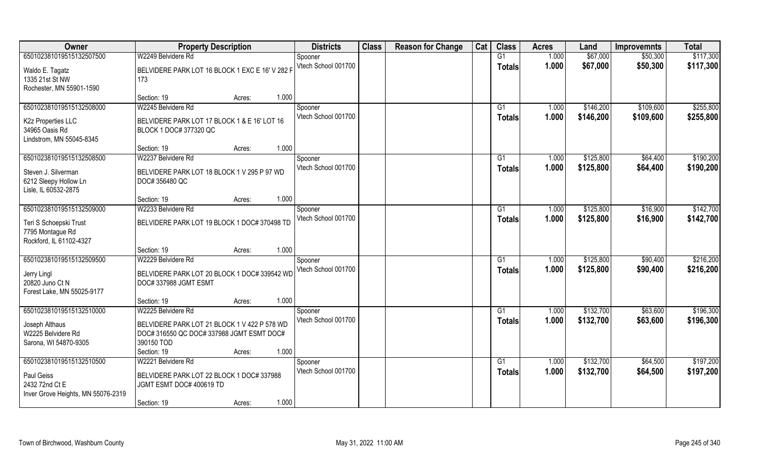| Owner                              | <b>Property Description</b>                          | <b>Districts</b>               | <b>Class</b> | <b>Reason for Change</b> | Cat | <b>Class</b>    | <b>Acres</b> | Land      | <b>Improvemnts</b> | <b>Total</b> |
|------------------------------------|------------------------------------------------------|--------------------------------|--------------|--------------------------|-----|-----------------|--------------|-----------|--------------------|--------------|
| 650102381019515132507500           | W2249 Belvidere Rd                                   | Spooner                        |              |                          |     | G1              | 1.000        | \$67,000  | \$50,300           | \$117,300    |
| Waldo E. Tagatz                    | BELVIDERE PARK LOT 16 BLOCK 1 EXC E 16' V 282 F      | Vtech School 001700            |              |                          |     | <b>Totals</b>   | 1.000        | \$67,000  | \$50,300           | \$117,300    |
| 1335 21st St NW                    | 173                                                  |                                |              |                          |     |                 |              |           |                    |              |
| Rochester, MN 55901-1590           |                                                      |                                |              |                          |     |                 |              |           |                    |              |
|                                    | 1.000<br>Section: 19<br>Acres:                       |                                |              |                          |     |                 |              |           |                    |              |
| 650102381019515132508000           | W2245 Belvidere Rd                                   | Spooner                        |              |                          |     | G <sub>1</sub>  | 1.000        | \$146,200 | \$109,600          | \$255,800    |
| K2z Properties LLC                 | BELVIDERE PARK LOT 17 BLOCK 1 & E 16' LOT 16         | Vtech School 001700            |              |                          |     | <b>Totals</b>   | 1.000        | \$146,200 | \$109,600          | \$255,800    |
| 34965 Oasis Rd                     | BLOCK 1 DOC# 377320 QC                               |                                |              |                          |     |                 |              |           |                    |              |
| Lindstrom, MN 55045-8345           |                                                      |                                |              |                          |     |                 |              |           |                    |              |
|                                    | 1.000<br>Section: 19<br>Acres:                       |                                |              |                          |     |                 |              |           |                    |              |
| 650102381019515132508500           | W2237 Belvidere Rd                                   | Spooner                        |              |                          |     | G1              | 1.000        | \$125,800 | \$64,400           | \$190,200    |
| Steven J. Silverman                | BELVIDERE PARK LOT 18 BLOCK 1 V 295 P 97 WD          | Vtech School 001700            |              |                          |     | <b>Totals</b>   | 1.000        | \$125,800 | \$64,400           | \$190,200    |
| 6212 Sleepy Hollow Ln              | DOC# 356480 QC                                       |                                |              |                          |     |                 |              |           |                    |              |
| Lisle, IL 60532-2875               |                                                      |                                |              |                          |     |                 |              |           |                    |              |
|                                    | 1.000<br>Section: 19<br>Acres:                       |                                |              |                          |     |                 |              |           |                    |              |
| 650102381019515132509000           | W2233 Belvidere Rd                                   | Spooner<br>Vtech School 001700 |              |                          |     | G1              | 1.000        | \$125,800 | \$16,900           | \$142,700    |
| Teri S Schoepski Trust             | BELVIDERE PARK LOT 19 BLOCK 1 DOC# 370498 TD         |                                |              |                          |     | <b>Totals</b>   | 1.000        | \$125,800 | \$16,900           | \$142,700    |
| 7795 Montague Rd                   |                                                      |                                |              |                          |     |                 |              |           |                    |              |
| Rockford, IL 61102-4327            |                                                      |                                |              |                          |     |                 |              |           |                    |              |
| 650102381019515132509500           | 1.000<br>Section: 19<br>Acres:<br>W2229 Belvidere Rd |                                |              |                          |     | G1              | 1.000        | \$125,800 | \$90,400           | \$216,200    |
|                                    |                                                      | Spooner<br>Vtech School 001700 |              |                          |     |                 | 1.000        | \$125,800 | \$90,400           | \$216,200    |
| Jerry Lingl                        | BELVIDERE PARK LOT 20 BLOCK 1 DOC# 339542 WD         |                                |              |                          |     | <b>Totals</b>   |              |           |                    |              |
| 20820 Juno Ct N                    | DOC#337988 JGMT ESMT                                 |                                |              |                          |     |                 |              |           |                    |              |
| Forest Lake, MN 55025-9177         |                                                      |                                |              |                          |     |                 |              |           |                    |              |
| 650102381019515132510000           | 1.000<br>Section: 19<br>Acres:<br>W2225 Belvidere Rd |                                |              |                          |     | $\overline{G1}$ | 1.000        | \$132,700 | \$63,600           | \$196,300    |
|                                    |                                                      | Spooner<br>Vtech School 001700 |              |                          |     | <b>Totals</b>   | 1.000        | \$132,700 | \$63,600           | \$196,300    |
| Joseph Althaus                     | BELVIDERE PARK LOT 21 BLOCK 1 V 422 P 578 WD         |                                |              |                          |     |                 |              |           |                    |              |
| W2225 Belvidere Rd                 | DOC# 316550 QC DOC# 337988 JGMT ESMT DOC#            |                                |              |                          |     |                 |              |           |                    |              |
| Sarona, WI 54870-9305              | 390150 TOD<br>1.000                                  |                                |              |                          |     |                 |              |           |                    |              |
| 650102381019515132510500           | Section: 19<br>Acres:<br>W2221 Belvidere Rd          | Spooner                        |              |                          |     | G1              | 1.000        | \$132,700 | \$64,500           | \$197,200    |
|                                    |                                                      | Vtech School 001700            |              |                          |     | <b>Totals</b>   | 1.000        | \$132,700 | \$64,500           | \$197,200    |
| Paul Geiss                         | BELVIDERE PARK LOT 22 BLOCK 1 DOC# 337988            |                                |              |                          |     |                 |              |           |                    |              |
| 2432 72nd Ct E                     | JGMT ESMT DOC# 400619 TD                             |                                |              |                          |     |                 |              |           |                    |              |
| Inver Grove Heights, MN 55076-2319 | 1.000<br>Section: 19<br>Acres:                       |                                |              |                          |     |                 |              |           |                    |              |
|                                    |                                                      |                                |              |                          |     |                 |              |           |                    |              |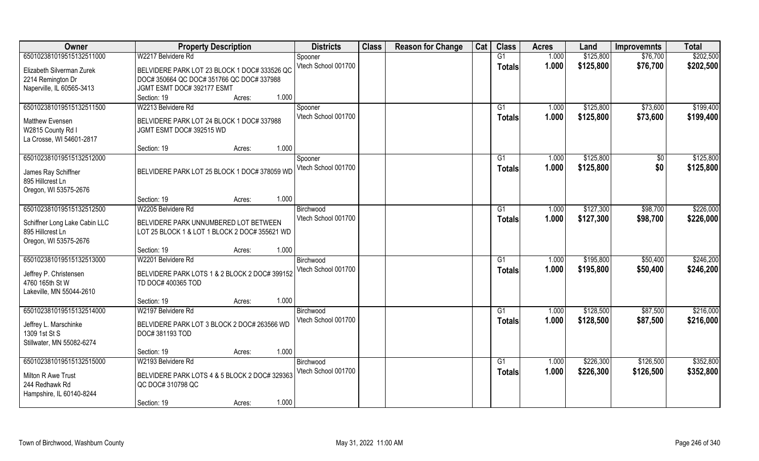| Owner                                     | <b>Property Description</b>                   | <b>Districts</b>    | <b>Class</b> | <b>Reason for Change</b> | Cat | <b>Class</b>   | <b>Acres</b> | Land      | <b>Improvemnts</b> | <b>Total</b> |
|-------------------------------------------|-----------------------------------------------|---------------------|--------------|--------------------------|-----|----------------|--------------|-----------|--------------------|--------------|
| 650102381019515132511000                  | W2217 Belvidere Rd                            | Spooner             |              |                          |     | G1             | 1.000        | \$125,800 | \$76,700           | \$202,500    |
| Elizabeth Silverman Zurek                 | BELVIDERE PARK LOT 23 BLOCK 1 DOC# 333526 QC  | Vtech School 001700 |              |                          |     | <b>Totals</b>  | 1.000        | \$125,800 | \$76,700           | \$202,500    |
| 2214 Remington Dr                         | DOC# 350664 QC DOC# 351766 QC DOC# 337988     |                     |              |                          |     |                |              |           |                    |              |
| Naperville, IL 60565-3413                 | JGMT ESMT DOC# 392177 ESMT                    |                     |              |                          |     |                |              |           |                    |              |
|                                           | 1.000<br>Section: 19<br>Acres:                |                     |              |                          |     |                |              |           |                    |              |
| 650102381019515132511500                  | W2213 Belvidere Rd                            | Spooner             |              |                          |     | G <sub>1</sub> | 1.000        | \$125,800 | \$73,600           | \$199,400    |
| Matthew Evensen                           | BELVIDERE PARK LOT 24 BLOCK 1 DOC# 337988     | Vtech School 001700 |              |                          |     | <b>Totals</b>  | 1.000        | \$125,800 | \$73,600           | \$199,400    |
| W2815 County Rd I                         | JGMT ESMT DOC# 392515 WD                      |                     |              |                          |     |                |              |           |                    |              |
| La Crosse, WI 54601-2817                  |                                               |                     |              |                          |     |                |              |           |                    |              |
|                                           | 1.000<br>Section: 19<br>Acres:                |                     |              |                          |     |                |              |           |                    |              |
| 650102381019515132512000                  |                                               | Spooner             |              |                          |     | G1             | 1.000        | \$125,800 | $\sqrt[6]{3}$      | \$125,800    |
|                                           |                                               | Vtech School 001700 |              |                          |     | <b>Totals</b>  | 1.000        | \$125,800 | \$0                | \$125,800    |
| James Ray Schiffner                       | BELVIDERE PARK LOT 25 BLOCK 1 DOC# 378059 WD  |                     |              |                          |     |                |              |           |                    |              |
| 895 Hillcrest Ln<br>Oregon, WI 53575-2676 |                                               |                     |              |                          |     |                |              |           |                    |              |
|                                           | 1.000<br>Section: 19<br>Acres:                |                     |              |                          |     |                |              |           |                    |              |
| 650102381019515132512500                  | W2205 Belvidere Rd                            | Birchwood           |              |                          |     | G <sub>1</sub> | 1.000        | \$127,300 | \$98,700           | \$226,000    |
|                                           |                                               | Vtech School 001700 |              |                          |     | <b>Totals</b>  | 1.000        | \$127,300 | \$98,700           | \$226,000    |
| Schiffner Long Lake Cabin LLC             | BELVIDERE PARK UNNUMBERED LOT BETWEEN         |                     |              |                          |     |                |              |           |                    |              |
| 895 Hillcrest Ln                          | LOT 25 BLOCK 1 & LOT 1 BLOCK 2 DOC# 355621 WD |                     |              |                          |     |                |              |           |                    |              |
| Oregon, WI 53575-2676                     | 1.000                                         |                     |              |                          |     |                |              |           |                    |              |
| 650102381019515132513000                  | Section: 19<br>Acres:<br>W2201 Belvidere Rd   | Birchwood           |              |                          |     | G1             | 1.000        | \$195,800 | \$50,400           | \$246,200    |
|                                           |                                               | Vtech School 001700 |              |                          |     |                | 1.000        | \$195,800 | \$50,400           | \$246,200    |
| Jeffrey P. Christensen                    | BELVIDERE PARK LOTS 1 & 2 BLOCK 2 DOC# 399152 |                     |              |                          |     | <b>Totals</b>  |              |           |                    |              |
| 4760 165th St W                           | TD DOC# 400365 TOD                            |                     |              |                          |     |                |              |           |                    |              |
| Lakeville, MN 55044-2610                  |                                               |                     |              |                          |     |                |              |           |                    |              |
|                                           | 1.000<br>Section: 19<br>Acres:                |                     |              |                          |     |                |              |           |                    |              |
| 650102381019515132514000                  | W2197 Belvidere Rd                            | Birchwood           |              |                          |     | G1             | 1.000        | \$128,500 | \$87,500           | \$216,000    |
| Jeffrey L. Marschinke                     | BELVIDERE PARK LOT 3 BLOCK 2 DOC# 263566 WD   | Vtech School 001700 |              |                          |     | <b>Totals</b>  | 1.000        | \$128,500 | \$87,500           | \$216,000    |
| 1309 1st St S                             | DOC#381193 TOD                                |                     |              |                          |     |                |              |           |                    |              |
| Stillwater, MN 55082-6274                 |                                               |                     |              |                          |     |                |              |           |                    |              |
|                                           | 1.000<br>Section: 19<br>Acres:                |                     |              |                          |     |                |              |           |                    |              |
| 650102381019515132515000                  | W2193 Belvidere Rd                            | Birchwood           |              |                          |     | G1             | 1.000        | \$226,300 | \$126,500          | \$352,800    |
| Milton R Awe Trust                        | BELVIDERE PARK LOTS 4 & 5 BLOCK 2 DOC# 329363 | Vtech School 001700 |              |                          |     | Totals         | 1.000        | \$226,300 | \$126,500          | \$352,800    |
| 244 Redhawk Rd                            | QC DOC# 310798 QC                             |                     |              |                          |     |                |              |           |                    |              |
| Hampshire, IL 60140-8244                  |                                               |                     |              |                          |     |                |              |           |                    |              |
|                                           | 1.000<br>Section: 19<br>Acres:                |                     |              |                          |     |                |              |           |                    |              |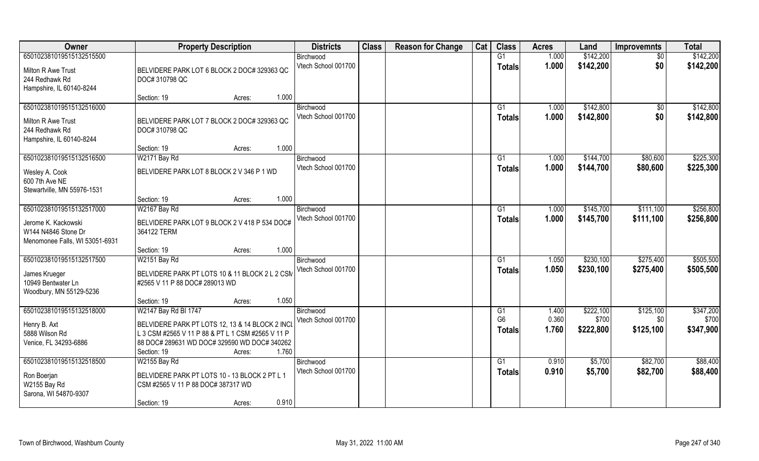| Owner                                                                                        | <b>Property Description</b>                                                                                                                                                                                    | <b>Districts</b>                 | <b>Class</b> | <b>Reason for Change</b> | Cat | <b>Class</b>                          | <b>Acres</b>            | Land                            | <b>Improvemnts</b>            | <b>Total</b>                    |
|----------------------------------------------------------------------------------------------|----------------------------------------------------------------------------------------------------------------------------------------------------------------------------------------------------------------|----------------------------------|--------------|--------------------------|-----|---------------------------------------|-------------------------|---------------------------------|-------------------------------|---------------------------------|
| 650102381019515132515500                                                                     |                                                                                                                                                                                                                | Birchwood                        |              |                          |     | G1                                    | 1.000                   | \$142,200                       | $\overline{50}$               | \$142,200                       |
| Milton R Awe Trust<br>244 Redhawk Rd<br>Hampshire, IL 60140-8244                             | BELVIDERE PARK LOT 6 BLOCK 2 DOC# 329363 QC<br>DOC# 310798 QC                                                                                                                                                  | Vtech School 001700              |              |                          |     | <b>Totals</b>                         | 1.000                   | \$142,200                       | \$0                           | \$142,200                       |
|                                                                                              | 1.000<br>Section: 19<br>Acres:                                                                                                                                                                                 |                                  |              |                          |     |                                       |                         |                                 |                               |                                 |
| 650102381019515132516000<br>Milton R Awe Trust<br>244 Redhawk Rd<br>Hampshire, IL 60140-8244 | BELVIDERE PARK LOT 7 BLOCK 2 DOC# 329363 QC<br>DOC# 310798 QC                                                                                                                                                  | Birchwood<br>Vtech School 001700 |              |                          |     | G <sub>1</sub><br><b>Totals</b>       | 1.000<br>1.000          | \$142,800<br>\$142,800          | \$0<br>\$0                    | \$142,800<br>\$142,800          |
|                                                                                              | 1.000<br>Section: 19<br>Acres:                                                                                                                                                                                 |                                  |              |                          |     |                                       |                         |                                 |                               |                                 |
| 650102381019515132516500                                                                     | W2171 Bay Rd                                                                                                                                                                                                   | Birchwood                        |              |                          |     | G1                                    | 1.000                   | \$144,700                       | \$80,600                      | \$225,300                       |
| Wesley A. Cook<br>600 7th Ave NE<br>Stewartville, MN 55976-1531                              | BELVIDERE PARK LOT 8 BLOCK 2 V 346 P 1 WD                                                                                                                                                                      | Vtech School 001700              |              |                          |     | <b>Totals</b>                         | 1.000                   | \$144,700                       | \$80,600                      | \$225,300                       |
|                                                                                              | 1.000<br>Section: 19<br>Acres:                                                                                                                                                                                 |                                  |              |                          |     |                                       |                         |                                 |                               |                                 |
| 650102381019515132517000                                                                     | W2167 Bay Rd                                                                                                                                                                                                   | Birchwood                        |              |                          |     | G <sub>1</sub>                        | 1.000                   | \$145,700                       | \$111,100                     | \$256,800                       |
| Jerome K. Kackowski<br>W144 N4846 Stone Dr<br>Menomonee Falls, WI 53051-6931                 | BELVIDERE PARK LOT 9 BLOCK 2 V 418 P 534 DOC#<br>364122 TERM                                                                                                                                                   | Vtech School 001700              |              |                          |     | <b>Totals</b>                         | 1.000                   | \$145,700                       | \$111,100                     | \$256,800                       |
|                                                                                              | 1.000<br>Section: 19<br>Acres:                                                                                                                                                                                 |                                  |              |                          |     |                                       |                         |                                 |                               |                                 |
| 650102381019515132517500<br>James Krueger<br>10949 Bentwater Ln<br>Woodbury, MN 55129-5236   | W2151 Bay Rd<br>BELVIDERE PARK PT LOTS 10 & 11 BLOCK 2 L 2 CSN<br>#2565 V 11 P 88 DOC# 289013 WD                                                                                                               | Birchwood<br>Vtech School 001700 |              |                          |     | G1<br><b>Totals</b>                   | 1.050<br>1.050          | \$230,100<br>\$230,100          | \$275,400<br>\$275,400        | \$505,500<br>\$505,500          |
|                                                                                              | 1.050<br>Section: 19<br>Acres:                                                                                                                                                                                 |                                  |              |                          |     |                                       |                         |                                 |                               |                                 |
| 650102381019515132518000<br>Henry B. Axt<br>5888 Wilson Rd<br>Venice, FL 34293-6886          | W2147 Bay Rd BI 1747<br>BELVIDERE PARK PT LOTS 12, 13 & 14 BLOCK 2 INCL<br>L 3 CSM #2565 V 11 P 88 & PT L 1 CSM #2565 V 11 P<br>88 DOC# 289631 WD DOC# 329590 WD DOC# 340262<br>1.760<br>Section: 19<br>Acres: | Birchwood<br>Vtech School 001700 |              |                          |     | G1<br>G <sub>6</sub><br><b>Totals</b> | 1.400<br>0.360<br>1.760 | \$222,100<br>\$700<br>\$222,800 | \$125,100<br>\$0<br>\$125,100 | \$347,200<br>\$700<br>\$347,900 |
| 650102381019515132518500<br>Ron Boerjan<br>W2155 Bay Rd<br>Sarona, WI 54870-9307             | W2155 Bay Rd<br>BELVIDERE PARK PT LOTS 10 - 13 BLOCK 2 PT L 1<br>CSM #2565 V 11 P 88 DOC# 387317 WD<br>0.910<br>Section: 19<br>Acres:                                                                          | Birchwood<br>Vtech School 001700 |              |                          |     | G1<br>Totals                          | 0.910<br>0.910          | \$5,700<br>\$5,700              | \$82,700<br>\$82,700          | \$88,400<br>\$88,400            |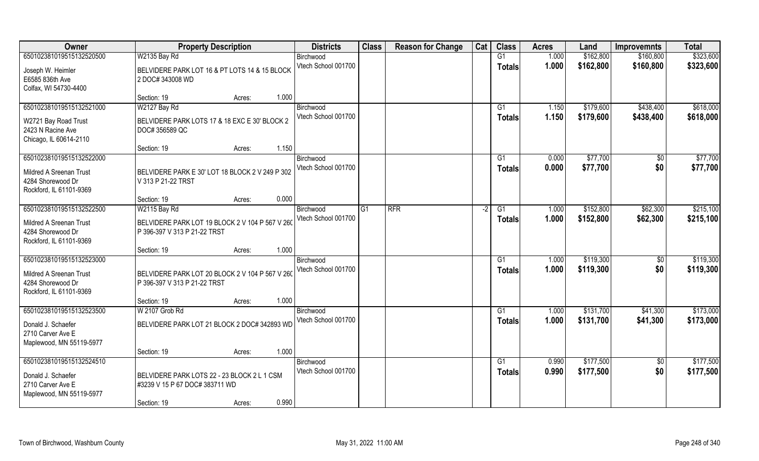| Owner                          | <b>Property Description</b>                     |       | <b>Districts</b>                 | <b>Class</b>    | <b>Reason for Change</b> | Cat  | <b>Class</b>  | <b>Acres</b>   | Land                   | <b>Improvemnts</b>   | <b>Total</b>           |
|--------------------------------|-------------------------------------------------|-------|----------------------------------|-----------------|--------------------------|------|---------------|----------------|------------------------|----------------------|------------------------|
| 650102381019515132520500       | W2135 Bay Rd                                    |       | Birchwood                        |                 |                          |      | G1            | 1.000          | \$162,800              | \$160,800            | \$323,600              |
| Joseph W. Heimler              | BELVIDERE PARK LOT 16 & PT LOTS 14 & 15 BLOCK   |       | Vtech School 001700              |                 |                          |      | <b>Totals</b> | 1.000          | \$162,800              | \$160,800            | \$323,600              |
| E6585 836th Ave                | 2 DOC# 343008 WD                                |       |                                  |                 |                          |      |               |                |                        |                      |                        |
| Colfax, WI 54730-4400          |                                                 |       |                                  |                 |                          |      |               |                |                        |                      |                        |
|                                | Section: 19<br>Acres:                           | 1.000 |                                  |                 |                          |      |               |                |                        |                      |                        |
| 650102381019515132521000       | W2127 Bay Rd                                    |       | Birchwood                        |                 |                          |      | G1            | 1.150          | \$179,600              | \$438,400            | \$618,000              |
| W2721 Bay Road Trust           | BELVIDERE PARK LOTS 17 & 18 EXC E 30' BLOCK 2   |       | Vtech School 001700              |                 |                          |      | Totals        | 1.150          | \$179,600              | \$438,400            | \$618,000              |
| 2423 N Racine Ave              | DOC# 356589 QC                                  |       |                                  |                 |                          |      |               |                |                        |                      |                        |
| Chicago, IL 60614-2110         |                                                 |       |                                  |                 |                          |      |               |                |                        |                      |                        |
|                                | Section: 19<br>Acres:                           | 1.150 |                                  |                 |                          |      |               |                |                        |                      |                        |
| 650102381019515132522000       |                                                 |       | Birchwood                        |                 |                          |      | G1            | 0.000          | \$77,700               | $\sqrt{6}$           | \$77,700               |
| <b>Mildred A Sreenan Trust</b> | BELVIDERE PARK E 30' LOT 18 BLOCK 2 V 249 P 302 |       | Vtech School 001700              |                 |                          |      | <b>Totals</b> | 0.000          | \$77,700               | \$0                  | \$77,700               |
| 4284 Shorewood Dr              | V 313 P 21-22 TRST                              |       |                                  |                 |                          |      |               |                |                        |                      |                        |
| Rockford, IL 61101-9369        |                                                 |       |                                  |                 |                          |      |               |                |                        |                      |                        |
|                                | Section: 19<br>Acres:                           | 0.000 |                                  |                 |                          |      |               |                |                        |                      |                        |
| 650102381019515132522500       | W2115 Bay Rd                                    |       | Birchwood                        | $\overline{G1}$ | <b>RFR</b>               | $-2$ | G1            | 1.000          | \$152,800              | \$62,300             | \$215,100              |
| Mildred A Sreenan Trust        | BELVIDERE PARK LOT 19 BLOCK 2 V 104 P 567 V 260 |       | Vtech School 001700              |                 |                          |      | <b>Totals</b> | 1.000          | \$152,800              | \$62,300             | \$215,100              |
| 4284 Shorewood Dr              | P 396-397 V 313 P 21-22 TRST                    |       |                                  |                 |                          |      |               |                |                        |                      |                        |
| Rockford, IL 61101-9369        |                                                 |       |                                  |                 |                          |      |               |                |                        |                      |                        |
|                                | Section: 19<br>Acres:                           | 1.000 |                                  |                 |                          |      |               |                |                        |                      |                        |
| 650102381019515132523000       |                                                 |       | Birchwood                        |                 |                          |      | G1            | 1.000          | \$119,300              | \$0                  | \$119,300              |
| Mildred A Sreenan Trust        | BELVIDERE PARK LOT 20 BLOCK 2 V 104 P 567 V 260 |       | Vtech School 001700              |                 |                          |      | <b>Totals</b> | 1.000          | \$119,300              | \$0                  | \$119,300              |
| 4284 Shorewood Dr              | P 396-397 V 313 P 21-22 TRST                    |       |                                  |                 |                          |      |               |                |                        |                      |                        |
| Rockford, IL 61101-9369        |                                                 |       |                                  |                 |                          |      |               |                |                        |                      |                        |
|                                | Section: 19<br>Acres:                           | 1.000 |                                  |                 |                          |      |               |                |                        |                      |                        |
| 650102381019515132523500       | W 2107 Grob Rd                                  |       | Birchwood<br>Vtech School 001700 |                 |                          |      | G1            | 1.000<br>1.000 | \$131,700<br>\$131,700 | \$41,300<br>\$41,300 | \$173,000<br>\$173,000 |
| Donald J. Schaefer             | BELVIDERE PARK LOT 21 BLOCK 2 DOC# 342893 WD    |       |                                  |                 |                          |      | <b>Totals</b> |                |                        |                      |                        |
| 2710 Carver Ave E              |                                                 |       |                                  |                 |                          |      |               |                |                        |                      |                        |
| Maplewood, MN 55119-5977       |                                                 | 1.000 |                                  |                 |                          |      |               |                |                        |                      |                        |
| 650102381019515132524510       | Section: 19<br>Acres:                           |       | Birchwood                        |                 |                          |      | G1            | 0.990          | \$177,500              | $\overline{50}$      | \$177,500              |
|                                |                                                 |       | Vtech School 001700              |                 |                          |      | <b>Totals</b> | 0.990          | \$177,500              | \$0                  | \$177,500              |
| Donald J. Schaefer             | BELVIDERE PARK LOTS 22 - 23 BLOCK 2 L 1 CSM     |       |                                  |                 |                          |      |               |                |                        |                      |                        |
| 2710 Carver Ave E              | #3239 V 15 P 67 DOC# 383711 WD                  |       |                                  |                 |                          |      |               |                |                        |                      |                        |
| Maplewood, MN 55119-5977       | Section: 19<br>Acres:                           | 0.990 |                                  |                 |                          |      |               |                |                        |                      |                        |
|                                |                                                 |       |                                  |                 |                          |      |               |                |                        |                      |                        |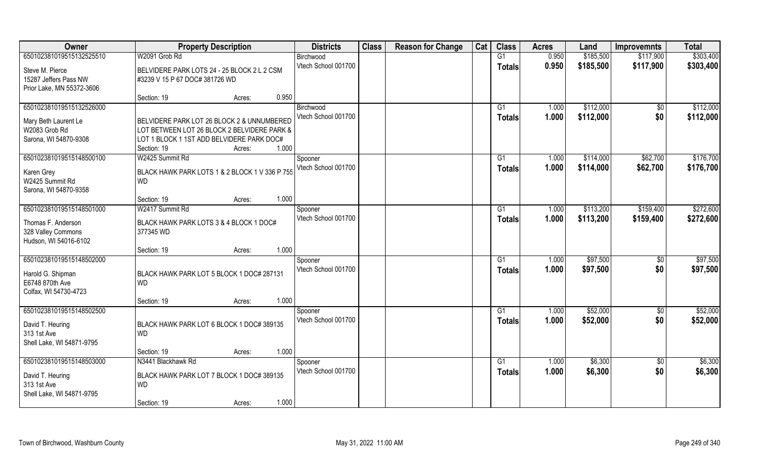| Owner                                    | <b>Property Description</b>                                                 | <b>Districts</b>                 | <b>Class</b> | <b>Reason for Change</b> | Cat | <b>Class</b>    | <b>Acres</b>   | Land                   | <b>Improvemnts</b> | <b>Total</b>           |
|------------------------------------------|-----------------------------------------------------------------------------|----------------------------------|--------------|--------------------------|-----|-----------------|----------------|------------------------|--------------------|------------------------|
| 650102381019515132525510                 | W2091 Grob Rd                                                               | Birchwood                        |              |                          |     | G1              | 0.950          | \$185,500              | \$117,900          | \$303,400              |
| Steve M. Pierce                          | BELVIDERE PARK LOTS 24 - 25 BLOCK 2 L 2 CSM                                 | Vtech School 001700              |              |                          |     | <b>Totals</b>   | 0.950          | \$185,500              | \$117,900          | \$303,400              |
| 15287 Jeffers Pass NW                    | #3239 V 15 P 67 DOC# 381726 WD                                              |                                  |              |                          |     |                 |                |                        |                    |                        |
| Prior Lake, MN 55372-3606                |                                                                             |                                  |              |                          |     |                 |                |                        |                    |                        |
|                                          | 0.950<br>Section: 19<br>Acres:                                              |                                  |              |                          |     |                 |                |                        |                    |                        |
| 650102381019515132526000                 |                                                                             | Birchwood<br>Vtech School 001700 |              |                          |     | G <sub>1</sub>  | 1.000<br>1.000 | \$112,000<br>\$112,000 | \$0<br>\$0         | \$112,000<br>\$112,000 |
| Mary Beth Laurent Le                     | BELVIDERE PARK LOT 26 BLOCK 2 & UNNUMBERED                                  |                                  |              |                          |     | <b>Totals</b>   |                |                        |                    |                        |
| W2083 Grob Rd                            | LOT BETWEEN LOT 26 BLOCK 2 BELVIDERE PARK &                                 |                                  |              |                          |     |                 |                |                        |                    |                        |
| Sarona, WI 54870-9308                    | LOT 1 BLOCK 1 1ST ADD BELVIDERE PARK DOC#<br>1.000<br>Section: 19<br>Acres: |                                  |              |                          |     |                 |                |                        |                    |                        |
| 650102381019515148500100                 | W2425 Summit Rd                                                             | Spooner                          |              |                          |     | G1              | 1.000          | \$114,000              | \$62,700           | \$176,700              |
|                                          |                                                                             | Vtech School 001700              |              |                          |     | <b>Totals</b>   | 1.000          | \$114,000              | \$62,700           | \$176,700              |
| Karen Grey<br>W2425 Summit Rd            | BLACK HAWK PARK LOTS 1 & 2 BLOCK 1 V 336 P 755<br><b>WD</b>                 |                                  |              |                          |     |                 |                |                        |                    |                        |
| Sarona, WI 54870-9358                    |                                                                             |                                  |              |                          |     |                 |                |                        |                    |                        |
|                                          | 1.000<br>Section: 19<br>Acres:                                              |                                  |              |                          |     |                 |                |                        |                    |                        |
| 650102381019515148501000                 | W2417 Summit Rd                                                             | Spooner                          |              |                          |     | G1              | 1.000          | \$113,200              | \$159,400          | \$272,600              |
| Thomas F. Anderson                       | BLACK HAWK PARK LOTS 3 & 4 BLOCK 1 DOC#                                     | Vtech School 001700              |              |                          |     | <b>Totals</b>   | 1.000          | \$113,200              | \$159,400          | \$272,600              |
| 328 Valley Commons                       | 377345 WD                                                                   |                                  |              |                          |     |                 |                |                        |                    |                        |
| Hudson, WI 54016-6102                    |                                                                             |                                  |              |                          |     |                 |                |                        |                    |                        |
|                                          | 1.000<br>Section: 19<br>Acres:                                              |                                  |              |                          |     |                 |                |                        |                    |                        |
| 650102381019515148502000                 |                                                                             | Spooner                          |              |                          |     | G1              | 1.000          | \$97,500               | $\sqrt[6]{30}$     | \$97,500               |
| Harold G. Shipman                        | BLACK HAWK PARK LOT 5 BLOCK 1 DOC# 287131                                   | Vtech School 001700              |              |                          |     | <b>Totals</b>   | 1.000          | \$97,500               | \$0                | \$97,500               |
| E6748 870th Ave                          | <b>WD</b>                                                                   |                                  |              |                          |     |                 |                |                        |                    |                        |
| Colfax, WI 54730-4723                    |                                                                             |                                  |              |                          |     |                 |                |                        |                    |                        |
| 650102381019515148502500                 | 1.000<br>Section: 19<br>Acres:                                              |                                  |              |                          |     | $\overline{G1}$ | 1.000          | \$52,000               | $\overline{60}$    | \$52,000               |
|                                          |                                                                             | Spooner<br>Vtech School 001700   |              |                          |     | <b>Totals</b>   | 1.000          | \$52,000               | \$0                | \$52,000               |
| David T. Heuring                         | BLACK HAWK PARK LOT 6 BLOCK 1 DOC# 389135                                   |                                  |              |                          |     |                 |                |                        |                    |                        |
| 313 1st Ave<br>Shell Lake, WI 54871-9795 | <b>WD</b>                                                                   |                                  |              |                          |     |                 |                |                        |                    |                        |
|                                          | 1.000<br>Section: 19<br>Acres:                                              |                                  |              |                          |     |                 |                |                        |                    |                        |
| 650102381019515148503000                 | N3441 Blackhawk Rd                                                          | Spooner                          |              |                          |     | G1              | 1.000          | \$6,300                | $\overline{50}$    | \$6,300                |
| David T. Heuring                         | BLACK HAWK PARK LOT 7 BLOCK 1 DOC# 389135                                   | Vtech School 001700              |              |                          |     | <b>Totals</b>   | 1.000          | \$6,300                | \$0                | \$6,300                |
| 313 1st Ave                              | <b>WD</b>                                                                   |                                  |              |                          |     |                 |                |                        |                    |                        |
| Shell Lake, WI 54871-9795                |                                                                             |                                  |              |                          |     |                 |                |                        |                    |                        |
|                                          | 1.000<br>Section: 19<br>Acres:                                              |                                  |              |                          |     |                 |                |                        |                    |                        |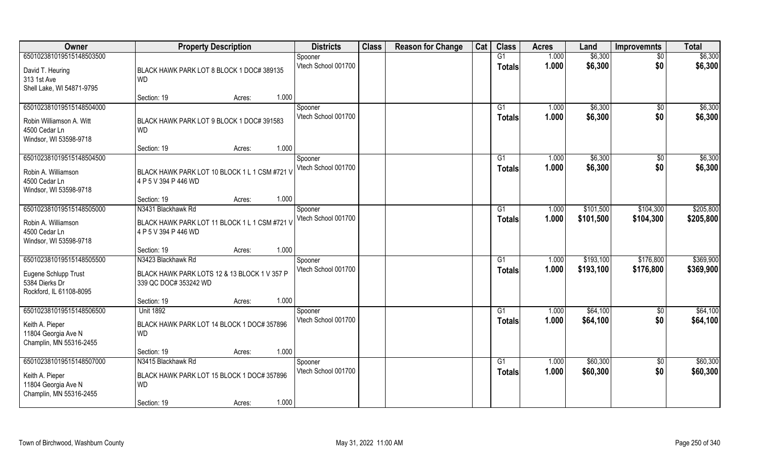| Owner                     | <b>Property Description</b>                   | <b>Districts</b>    | <b>Class</b> | <b>Reason for Change</b> | Cat | <b>Class</b>    | <b>Acres</b> | Land      | <b>Improvemnts</b> | <b>Total</b> |
|---------------------------|-----------------------------------------------|---------------------|--------------|--------------------------|-----|-----------------|--------------|-----------|--------------------|--------------|
| 650102381019515148503500  |                                               | Spooner             |              |                          |     | G1              | 1.000        | \$6,300   | $\overline{50}$    | \$6,300      |
| David T. Heuring          | BLACK HAWK PARK LOT 8 BLOCK 1 DOC# 389135     | Vtech School 001700 |              |                          |     | <b>Totals</b>   | 1.000        | \$6,300   | \$0                | \$6,300      |
| 313 1st Ave               | <b>WD</b>                                     |                     |              |                          |     |                 |              |           |                    |              |
| Shell Lake, WI 54871-9795 |                                               |                     |              |                          |     |                 |              |           |                    |              |
|                           | 1.000<br>Section: 19<br>Acres:                |                     |              |                          |     |                 |              |           |                    |              |
| 650102381019515148504000  |                                               | Spooner             |              |                          |     | G <sub>1</sub>  | 1.000        | \$6,300   | \$0                | \$6,300      |
| Robin Williamson A. Witt  | BLACK HAWK PARK LOT 9 BLOCK 1 DOC# 391583     | Vtech School 001700 |              |                          |     | <b>Totals</b>   | 1.000        | \$6,300   | \$0                | \$6,300      |
| 4500 Cedar Ln             | <b>WD</b>                                     |                     |              |                          |     |                 |              |           |                    |              |
| Windsor, WI 53598-9718    |                                               |                     |              |                          |     |                 |              |           |                    |              |
|                           | 1.000<br>Section: 19<br>Acres:                |                     |              |                          |     |                 |              |           |                    |              |
| 650102381019515148504500  |                                               | Spooner             |              |                          |     | G1              | 1.000        | \$6,300   | $\sqrt[6]{30}$     | \$6,300      |
| Robin A. Williamson       | BLACK HAWK PARK LOT 10 BLOCK 1 L 1 CSM #721 V | Vtech School 001700 |              |                          |     | <b>Totals</b>   | 1.000        | \$6,300   | \$0                | \$6,300      |
| 4500 Cedar Ln             | 4 P 5 V 394 P 446 WD                          |                     |              |                          |     |                 |              |           |                    |              |
| Windsor, WI 53598-9718    |                                               |                     |              |                          |     |                 |              |           |                    |              |
|                           | 1.000<br>Section: 19<br>Acres:                |                     |              |                          |     |                 |              |           |                    |              |
| 650102381019515148505000  | N3431 Blackhawk Rd                            | Spooner             |              |                          |     | G1              | 1.000        | \$101,500 | \$104,300          | \$205,800    |
| Robin A. Williamson       | BLACK HAWK PARK LOT 11 BLOCK 1 L 1 CSM #721 V | Vtech School 001700 |              |                          |     | <b>Totals</b>   | 1.000        | \$101,500 | \$104,300          | \$205,800    |
| 4500 Cedar Ln             | 4 P 5 V 394 P 446 WD                          |                     |              |                          |     |                 |              |           |                    |              |
| Windsor, WI 53598-9718    |                                               |                     |              |                          |     |                 |              |           |                    |              |
|                           | 1.000<br>Section: 19<br>Acres:                |                     |              |                          |     |                 |              |           |                    |              |
| 650102381019515148505500  | N3423 Blackhawk Rd                            | Spooner             |              |                          |     | G1              | 1.000        | \$193,100 | \$176,800          | \$369,900    |
| Eugene Schlupp Trust      | BLACK HAWK PARK LOTS 12 & 13 BLOCK 1 V 357 P  | Vtech School 001700 |              |                          |     | Totals          | 1.000        | \$193,100 | \$176,800          | \$369,900    |
| 5384 Dierks Dr            | 339 QC DOC# 353242 WD                         |                     |              |                          |     |                 |              |           |                    |              |
| Rockford, IL 61108-8095   |                                               |                     |              |                          |     |                 |              |           |                    |              |
|                           | 1.000<br>Section: 19<br>Acres:                |                     |              |                          |     |                 |              |           |                    |              |
| 650102381019515148506500  | <b>Unit 1892</b>                              | Spooner             |              |                          |     | $\overline{G1}$ | 1.000        | \$64,100  | \$0                | \$64,100     |
| Keith A. Pieper           | BLACK HAWK PARK LOT 14 BLOCK 1 DOC# 357896    | Vtech School 001700 |              |                          |     | <b>Totals</b>   | 1.000        | \$64,100  | \$0                | \$64,100     |
| 11804 Georgia Ave N       | <b>WD</b>                                     |                     |              |                          |     |                 |              |           |                    |              |
| Champlin, MN 55316-2455   |                                               |                     |              |                          |     |                 |              |           |                    |              |
|                           | 1.000<br>Section: 19<br>Acres:                |                     |              |                          |     |                 |              |           |                    |              |
| 650102381019515148507000  | N3415 Blackhawk Rd                            | Spooner             |              |                          |     | G1              | 1.000        | \$60,300  | \$0                | \$60,300     |
| Keith A. Pieper           | BLACK HAWK PARK LOT 15 BLOCK 1 DOC# 357896    | Vtech School 001700 |              |                          |     | Totals          | 1.000        | \$60,300  | \$0                | \$60,300     |
| 11804 Georgia Ave N       | <b>WD</b>                                     |                     |              |                          |     |                 |              |           |                    |              |
| Champlin, MN 55316-2455   |                                               |                     |              |                          |     |                 |              |           |                    |              |
|                           | 1.000<br>Section: 19<br>Acres:                |                     |              |                          |     |                 |              |           |                    |              |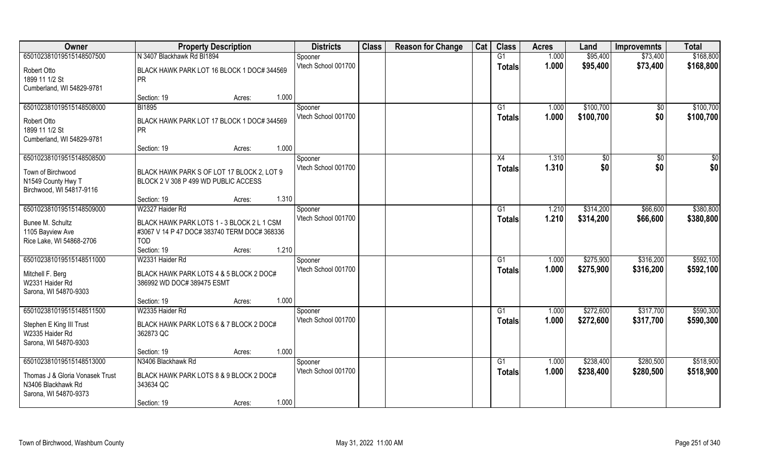| Owner                           | <b>Property Description</b>                  | <b>Districts</b>    | <b>Class</b> | <b>Reason for Change</b> | Cat | <b>Class</b>  | <b>Acres</b> | Land      | <b>Improvemnts</b> | <b>Total</b> |
|---------------------------------|----------------------------------------------|---------------------|--------------|--------------------------|-----|---------------|--------------|-----------|--------------------|--------------|
| 650102381019515148507500        | N 3407 Blackhawk Rd BI1894                   | Spooner             |              |                          |     | G1            | 1.000        | \$95,400  | \$73,400           | \$168,800    |
| Robert Otto                     | BLACK HAWK PARK LOT 16 BLOCK 1 DOC# 344569   | Vtech School 001700 |              |                          |     | <b>Totals</b> | 1.000        | \$95,400  | \$73,400           | \$168,800    |
| 1899 11 1/2 St                  | <b>PR</b>                                    |                     |              |                          |     |               |              |           |                    |              |
| Cumberland, WI 54829-9781       |                                              |                     |              |                          |     |               |              |           |                    |              |
|                                 | 1.000<br>Section: 19<br>Acres:               |                     |              |                          |     |               |              |           |                    |              |
| 650102381019515148508000        | <b>BI1895</b>                                | Spooner             |              |                          |     | G1            | 1.000        | \$100,700 | \$0                | \$100,700    |
| Robert Otto                     | BLACK HAWK PARK LOT 17 BLOCK 1 DOC# 344569   | Vtech School 001700 |              |                          |     | Totals        | 1.000        | \$100,700 | \$0                | \$100,700    |
| 1899 11 1/2 St                  | <b>PR</b>                                    |                     |              |                          |     |               |              |           |                    |              |
| Cumberland, WI 54829-9781       |                                              |                     |              |                          |     |               |              |           |                    |              |
|                                 | 1.000<br>Section: 19<br>Acres:               |                     |              |                          |     |               |              |           |                    |              |
| 650102381019515148508500        |                                              | Spooner             |              |                          |     | X4            | 1.310        | \$0       | $\sqrt{6}$         | \$0          |
| Town of Birchwood               | BLACK HAWK PARK S OF LOT 17 BLOCK 2, LOT 9   | Vtech School 001700 |              |                          |     | <b>Totals</b> | 1.310        | \$0       | \$0                | \$0          |
| N1549 County Hwy T              | BLOCK 2 V 308 P 499 WD PUBLIC ACCESS         |                     |              |                          |     |               |              |           |                    |              |
| Birchwood, WI 54817-9116        |                                              |                     |              |                          |     |               |              |           |                    |              |
|                                 | 1.310<br>Section: 19<br>Acres:               |                     |              |                          |     |               |              |           |                    |              |
| 650102381019515148509000        | W2327 Haider Rd                              | Spooner             |              |                          |     | G1            | 1.210        | \$314,200 | \$66,600           | \$380,800    |
| Bunee M. Schultz                | BLACK HAWK PARK LOTS 1 - 3 BLOCK 2 L 1 CSM   | Vtech School 001700 |              |                          |     | <b>Totals</b> | 1.210        | \$314,200 | \$66,600           | \$380,800    |
| 1105 Bayview Ave                | #3067 V 14 P 47 DOC# 383740 TERM DOC# 368336 |                     |              |                          |     |               |              |           |                    |              |
| Rice Lake, WI 54868-2706        | <b>TOD</b>                                   |                     |              |                          |     |               |              |           |                    |              |
|                                 | 1.210<br>Section: 19<br>Acres:               |                     |              |                          |     |               |              |           |                    |              |
| 650102381019515148511000        | W2331 Haider Rd                              | Spooner             |              |                          |     | G1            | 1.000        | \$275,900 | \$316,200          | \$592,100    |
| Mitchell F. Berg                | BLACK HAWK PARK LOTS 4 & 5 BLOCK 2 DOC#      | Vtech School 001700 |              |                          |     | <b>Totals</b> | 1.000        | \$275,900 | \$316,200          | \$592,100    |
| W2331 Haider Rd                 | 386992 WD DOC# 389475 ESMT                   |                     |              |                          |     |               |              |           |                    |              |
| Sarona, WI 54870-9303           |                                              |                     |              |                          |     |               |              |           |                    |              |
|                                 | 1.000<br>Section: 19<br>Acres:               |                     |              |                          |     |               |              |           |                    |              |
| 650102381019515148511500        | W2335 Haider Rd                              | Spooner             |              |                          |     | G1            | 1.000        | \$272,600 | \$317,700          | \$590,300    |
| Stephen E King III Trust        | BLACK HAWK PARK LOTS 6 & 7 BLOCK 2 DOC#      | Vtech School 001700 |              |                          |     | <b>Totals</b> | 1.000        | \$272,600 | \$317,700          | \$590,300    |
| W2335 Haider Rd                 | 362873 QC                                    |                     |              |                          |     |               |              |           |                    |              |
| Sarona, WI 54870-9303           |                                              |                     |              |                          |     |               |              |           |                    |              |
|                                 | 1.000<br>Section: 19<br>Acres:               |                     |              |                          |     |               |              |           |                    |              |
| 650102381019515148513000        | N3406 Blackhawk Rd                           | Spooner             |              |                          |     | G1            | 1.000        | \$238,400 | \$280,500          | \$518,900    |
| Thomas J & Gloria Vonasek Trust | BLACK HAWK PARK LOTS 8 & 9 BLOCK 2 DOC#      | Vtech School 001700 |              |                          |     | Totals        | 1.000        | \$238,400 | \$280,500          | \$518,900    |
| N3406 Blackhawk Rd              | 343634 QC                                    |                     |              |                          |     |               |              |           |                    |              |
| Sarona, WI 54870-9373           |                                              |                     |              |                          |     |               |              |           |                    |              |
|                                 | 1.000<br>Section: 19<br>Acres:               |                     |              |                          |     |               |              |           |                    |              |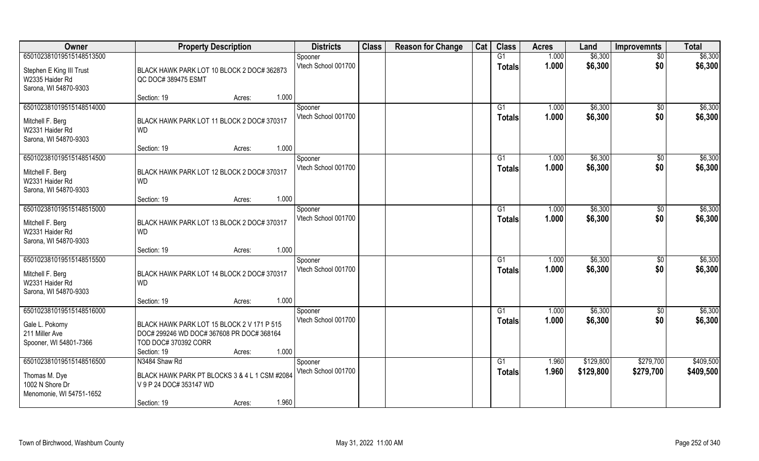| Owner                                                                                    | <b>Property Description</b>                                                                                                                       | <b>Districts</b>               | <b>Class</b> | <b>Reason for Change</b> | Cat | <b>Class</b>                    | <b>Acres</b>   | Land                   | <b>Improvemnts</b>     | <b>Total</b>           |
|------------------------------------------------------------------------------------------|---------------------------------------------------------------------------------------------------------------------------------------------------|--------------------------------|--------------|--------------------------|-----|---------------------------------|----------------|------------------------|------------------------|------------------------|
| 650102381019515148513500                                                                 |                                                                                                                                                   | Spooner                        |              |                          |     | G1                              | 1.000          | \$6,300                | \$0                    | \$6,300                |
| Stephen E King III Trust<br>W2335 Haider Rd<br>Sarona, WI 54870-9303                     | BLACK HAWK PARK LOT 10 BLOCK 2 DOC# 362873<br>QC DOC# 389475 ESMT                                                                                 | Vtech School 001700            |              |                          |     | <b>Totals</b>                   | 1.000          | \$6,300                | \$0                    | \$6,300                |
|                                                                                          | 1.000<br>Section: 19<br>Acres:                                                                                                                    |                                |              |                          |     |                                 |                |                        |                        |                        |
| 650102381019515148514000<br>Mitchell F. Berg<br>W2331 Haider Rd<br>Sarona, WI 54870-9303 | BLACK HAWK PARK LOT 11 BLOCK 2 DOC# 370317<br><b>WD</b>                                                                                           | Spooner<br>Vtech School 001700 |              |                          |     | G1<br>Totals                    | 1.000<br>1.000 | \$6,300<br>\$6,300     | \$0<br>\$0             | \$6,300<br>\$6,300     |
|                                                                                          | 1.000<br>Section: 19<br>Acres:                                                                                                                    |                                |              |                          |     |                                 |                |                        |                        |                        |
| 650102381019515148514500<br>Mitchell F. Berg<br>W2331 Haider Rd<br>Sarona, WI 54870-9303 | BLACK HAWK PARK LOT 12 BLOCK 2 DOC# 370317<br><b>WD</b>                                                                                           | Spooner<br>Vtech School 001700 |              |                          |     | G1<br><b>Totals</b>             | 1.000<br>1.000 | \$6,300<br>\$6,300     | $\sqrt[6]{3}$<br>\$0   | \$6,300<br>\$6,300     |
|                                                                                          | 1.000<br>Section: 19<br>Acres:                                                                                                                    |                                |              |                          |     |                                 |                |                        |                        |                        |
| 650102381019515148515000<br>Mitchell F. Berg<br>W2331 Haider Rd<br>Sarona, WI 54870-9303 | BLACK HAWK PARK LOT 13 BLOCK 2 DOC# 370317<br><b>WD</b>                                                                                           | Spooner<br>Vtech School 001700 |              |                          |     | G <sub>1</sub><br><b>Totals</b> | 1.000<br>1.000 | \$6,300<br>\$6,300     | \$0<br>\$0             | \$6,300<br>\$6,300     |
|                                                                                          | 1.000<br>Section: 19<br>Acres:                                                                                                                    |                                |              |                          |     |                                 |                |                        |                        |                        |
| 650102381019515148515500<br>Mitchell F. Berg<br>W2331 Haider Rd<br>Sarona, WI 54870-9303 | BLACK HAWK PARK LOT 14 BLOCK 2 DOC# 370317<br><b>WD</b>                                                                                           | Spooner<br>Vtech School 001700 |              |                          |     | G1<br><b>Totals</b>             | 1.000<br>1.000 | \$6,300<br>\$6,300     | $\sqrt[6]{30}$<br>\$0  | \$6,300<br>\$6,300     |
|                                                                                          | 1.000<br>Section: 19<br>Acres:                                                                                                                    |                                |              |                          |     |                                 |                |                        |                        |                        |
| 650102381019515148516000<br>Gale L. Pokorny<br>211 Miller Ave<br>Spooner, WI 54801-7366  | BLACK HAWK PARK LOT 15 BLOCK 2 V 171 P 515<br>DOC# 299246 WD DOC# 367608 PR DOC# 368164<br>TOD DOC# 370392 CORR<br>1.000<br>Section: 19<br>Acres: | Spooner<br>Vtech School 001700 |              |                          |     | G1<br><b>Totals</b>             | 1.000<br>1.000 | \$6,300<br>\$6,300     | \$0<br>\$0             | \$6,300<br>\$6,300     |
| 650102381019515148516500<br>Thomas M. Dye<br>1002 N Shore Dr<br>Menomonie, WI 54751-1652 | N3484 Shaw Rd<br>BLACK HAWK PARK PT BLOCKS 3 & 4 L 1 CSM #2084<br>V 9 P 24 DOC# 353147 WD<br>1.960<br>Section: 19<br>Acres:                       | Spooner<br>Vtech School 001700 |              |                          |     | G1<br><b>Totals</b>             | 1.960<br>1.960 | \$129,800<br>\$129,800 | \$279,700<br>\$279,700 | \$409,500<br>\$409,500 |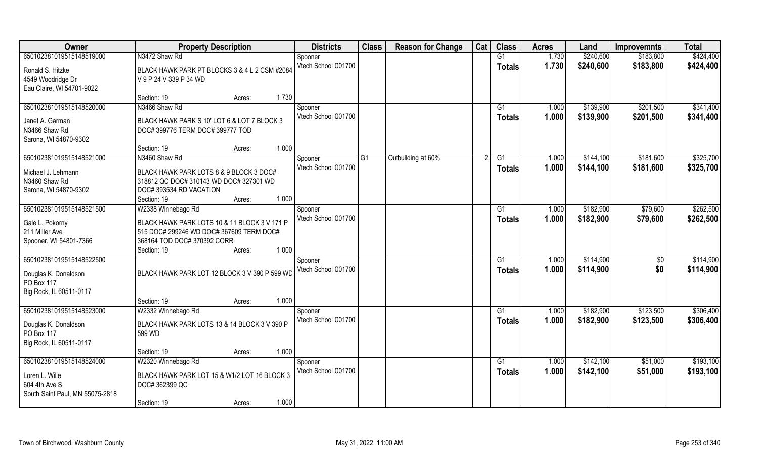| Owner                              | <b>Property Description</b>                                                     |                 | <b>Districts</b>    | <b>Class</b>   | <b>Reason for Change</b> | Cat | <b>Class</b>  | <b>Acres</b> | Land      | <b>Improvemnts</b> | <b>Total</b> |
|------------------------------------|---------------------------------------------------------------------------------|-----------------|---------------------|----------------|--------------------------|-----|---------------|--------------|-----------|--------------------|--------------|
| 650102381019515148519000           | N3472 Shaw Rd                                                                   |                 | Spooner             |                |                          |     | G1            | 1.730        | \$240,600 | \$183,800          | \$424,400    |
| Ronald S. Hitzke                   | BLACK HAWK PARK PT BLOCKS 3 & 4 L 2 CSM #2084                                   |                 | Vtech School 001700 |                |                          |     | <b>Totals</b> | 1.730        | \$240,600 | \$183,800          | \$424,400    |
| 4549 Woodridge Dr                  | V 9 P 24 V 339 P 34 WD                                                          |                 |                     |                |                          |     |               |              |           |                    |              |
| Eau Claire, WI 54701-9022          |                                                                                 |                 |                     |                |                          |     |               |              |           |                    |              |
|                                    | Section: 19                                                                     | 1.730<br>Acres: |                     |                |                          |     |               |              |           |                    |              |
| 650102381019515148520000           | N3466 Shaw Rd                                                                   |                 | Spooner             |                |                          |     | G1            | 1.000        | \$139,900 | \$201,500          | \$341,400    |
|                                    |                                                                                 |                 | Vtech School 001700 |                |                          |     | Totals        | 1.000        | \$139,900 | \$201,500          | \$341,400    |
| Janet A. Garman<br>N3466 Shaw Rd   | BLACK HAWK PARK S 10' LOT 6 & LOT 7 BLOCK 3<br>DOC# 399776 TERM DOC# 399777 TOD |                 |                     |                |                          |     |               |              |           |                    |              |
| Sarona, WI 54870-9302              |                                                                                 |                 |                     |                |                          |     |               |              |           |                    |              |
|                                    | Section: 19                                                                     | 1.000<br>Acres: |                     |                |                          |     |               |              |           |                    |              |
| 650102381019515148521000           | N3460 Shaw Rd                                                                   |                 | Spooner             | G <sub>1</sub> | Outbuilding at 60%       |     | G1            | 1.000        | \$144,100 | \$181,600          | \$325,700    |
|                                    |                                                                                 |                 | Vtech School 001700 |                |                          |     | <b>Totals</b> | 1.000        | \$144,100 | \$181,600          | \$325,700    |
| Michael J. Lehmann                 | BLACK HAWK PARK LOTS 8 & 9 BLOCK 3 DOC#                                         |                 |                     |                |                          |     |               |              |           |                    |              |
| N3460 Shaw Rd                      | 318812 QC DOC# 310143 WD DOC# 327301 WD                                         |                 |                     |                |                          |     |               |              |           |                    |              |
| Sarona, WI 54870-9302              | DOC# 393534 RD VACATION                                                         |                 |                     |                |                          |     |               |              |           |                    |              |
|                                    | Section: 19                                                                     | 1.000<br>Acres: |                     |                |                          |     |               |              |           |                    |              |
| 650102381019515148521500           | W2338 Winnebago Rd                                                              |                 | Spooner             |                |                          |     | G1            | 1.000        | \$182,900 | \$79,600           | \$262,500    |
| Gale L. Pokorny                    | BLACK HAWK PARK LOTS 10 & 11 BLOCK 3 V 171 P                                    |                 | Vtech School 001700 |                |                          |     | <b>Totals</b> | 1.000        | \$182,900 | \$79,600           | \$262,500    |
| 211 Miller Ave                     | 515 DOC# 299246 WD DOC# 367609 TERM DOC#                                        |                 |                     |                |                          |     |               |              |           |                    |              |
| Spooner, WI 54801-7366             | 368164 TOD DOC# 370392 CORR                                                     |                 |                     |                |                          |     |               |              |           |                    |              |
|                                    | Section: 19                                                                     | 1.000<br>Acres: |                     |                |                          |     |               |              |           |                    |              |
| 650102381019515148522500           |                                                                                 |                 | Spooner             |                |                          |     | G1            | 1.000        | \$114,900 | $\overline{50}$    | \$114,900    |
| Douglas K. Donaldson               | BLACK HAWK PARK LOT 12 BLOCK 3 V 390 P 599 WD                                   |                 | Vtech School 001700 |                |                          |     | Totals        | 1.000        | \$114,900 | \$0                | \$114,900    |
| PO Box 117                         |                                                                                 |                 |                     |                |                          |     |               |              |           |                    |              |
| Big Rock, IL 60511-0117            |                                                                                 |                 |                     |                |                          |     |               |              |           |                    |              |
|                                    | Section: 19                                                                     | 1.000<br>Acres: |                     |                |                          |     |               |              |           |                    |              |
| 650102381019515148523000           | W2332 Winnebago Rd                                                              |                 | Spooner             |                |                          |     | G1            | 1.000        | \$182,900 | \$123,500          | \$306,400    |
|                                    | BLACK HAWK PARK LOTS 13 & 14 BLOCK 3 V 390 P                                    |                 | Vtech School 001700 |                |                          |     | <b>Totals</b> | 1.000        | \$182,900 | \$123,500          | \$306,400    |
| Douglas K. Donaldson<br>PO Box 117 | 599 WD                                                                          |                 |                     |                |                          |     |               |              |           |                    |              |
| Big Rock, IL 60511-0117            |                                                                                 |                 |                     |                |                          |     |               |              |           |                    |              |
|                                    | Section: 19                                                                     | 1.000<br>Acres: |                     |                |                          |     |               |              |           |                    |              |
| 650102381019515148524000           | W2320 Winnebago Rd                                                              |                 | Spooner             |                |                          |     | G1            | 1.000        | \$142,100 | \$51,000           | \$193,100    |
|                                    |                                                                                 |                 | Vtech School 001700 |                |                          |     | <b>Totals</b> | 1.000        | \$142,100 | \$51,000           | \$193,100    |
| Loren L. Wille                     | BLACK HAWK PARK LOT 15 & W1/2 LOT 16 BLOCK 3                                    |                 |                     |                |                          |     |               |              |           |                    |              |
| 604 4th Ave S                      | DOC# 362399 QC                                                                  |                 |                     |                |                          |     |               |              |           |                    |              |
| South Saint Paul, MN 55075-2818    |                                                                                 |                 |                     |                |                          |     |               |              |           |                    |              |
|                                    | Section: 19                                                                     | 1.000<br>Acres: |                     |                |                          |     |               |              |           |                    |              |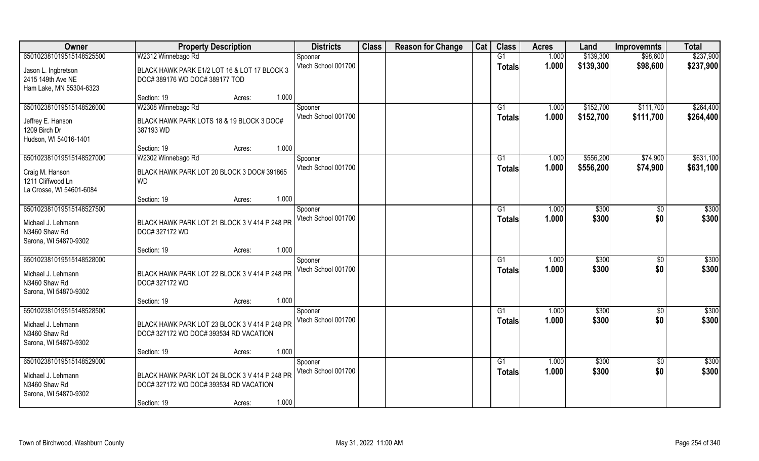| Owner                    | <b>Property Description</b>                   | <b>Districts</b>               | <b>Class</b> | <b>Reason for Change</b> | Cat | <b>Class</b>  | <b>Acres</b> | Land      | <b>Improvemnts</b> | <b>Total</b>      |
|--------------------------|-----------------------------------------------|--------------------------------|--------------|--------------------------|-----|---------------|--------------|-----------|--------------------|-------------------|
| 650102381019515148525500 | W2312 Winnebago Rd                            | Spooner                        |              |                          |     | G1            | 1.000        | \$139,300 | \$98,600           | \$237,900         |
| Jason L. Ingbretson      | BLACK HAWK PARK E1/2 LOT 16 & LOT 17 BLOCK 3  | Vtech School 001700            |              |                          |     | <b>Totals</b> | 1.000        | \$139,300 | \$98,600           | \$237,900         |
| 2415 149th Ave NE        | DOC#389176 WD DOC#389177 TOD                  |                                |              |                          |     |               |              |           |                    |                   |
| Ham Lake, MN 55304-6323  |                                               |                                |              |                          |     |               |              |           |                    |                   |
|                          | 1.000<br>Section: 19<br>Acres:                |                                |              |                          |     |               |              |           |                    |                   |
| 650102381019515148526000 | W2308 Winnebago Rd                            | Spooner                        |              |                          |     | G1            | 1.000        | \$152,700 | \$111,700          | \$264,400         |
| Jeffrey E. Hanson        | BLACK HAWK PARK LOTS 18 & 19 BLOCK 3 DOC#     | Vtech School 001700            |              |                          |     | <b>Totals</b> | 1.000        | \$152,700 | \$111,700          | \$264,400         |
| 1209 Birch Dr            | 387193 WD                                     |                                |              |                          |     |               |              |           |                    |                   |
| Hudson, WI 54016-1401    |                                               |                                |              |                          |     |               |              |           |                    |                   |
|                          | 1.000<br>Section: 19<br>Acres:                |                                |              |                          |     |               |              |           |                    |                   |
| 650102381019515148527000 | W2302 Winnebago Rd                            | Spooner                        |              |                          |     | G1            | 1.000        | \$556,200 | \$74,900           | \$631,100         |
| Craig M. Hanson          | BLACK HAWK PARK LOT 20 BLOCK 3 DOC# 391865    | Vtech School 001700            |              |                          |     | <b>Totals</b> | 1.000        | \$556,200 | \$74,900           | \$631,100         |
| 1211 Cliffwood Ln        | <b>WD</b>                                     |                                |              |                          |     |               |              |           |                    |                   |
| La Crosse, WI 54601-6084 |                                               |                                |              |                          |     |               |              |           |                    |                   |
|                          | 1.000<br>Section: 19<br>Acres:                |                                |              |                          |     |               |              |           |                    |                   |
| 650102381019515148527500 |                                               | Spooner                        |              |                          |     | G1            | 1.000        | \$300     | \$0                | $\overline{$300}$ |
| Michael J. Lehmann       | BLACK HAWK PARK LOT 21 BLOCK 3 V 414 P 248 PR | Vtech School 001700            |              |                          |     | <b>Totals</b> | 1.000        | \$300     | \$0                | \$300             |
| N3460 Shaw Rd            | DOC# 327172 WD                                |                                |              |                          |     |               |              |           |                    |                   |
| Sarona, WI 54870-9302    |                                               |                                |              |                          |     |               |              |           |                    |                   |
|                          | 1.000<br>Section: 19<br>Acres:                |                                |              |                          |     |               |              |           |                    |                   |
| 650102381019515148528000 |                                               | Spooner                        |              |                          |     | G1            | 1.000        | \$300     | $\overline{50}$    | $\overline{$300}$ |
| Michael J. Lehmann       | BLACK HAWK PARK LOT 22 BLOCK 3 V 414 P 248 PR | Vtech School 001700            |              |                          |     | Totals        | 1.000        | \$300     | \$0                | \$300             |
| N3460 Shaw Rd            | DOC# 327172 WD                                |                                |              |                          |     |               |              |           |                    |                   |
| Sarona, WI 54870-9302    |                                               |                                |              |                          |     |               |              |           |                    |                   |
|                          | 1.000<br>Section: 19<br>Acres:                |                                |              |                          |     |               |              |           |                    |                   |
| 650102381019515148528500 |                                               | Spooner<br>Vtech School 001700 |              |                          |     | G1            | 1.000        | \$300     | \$0                | \$300             |
| Michael J. Lehmann       | BLACK HAWK PARK LOT 23 BLOCK 3 V 414 P 248 PR |                                |              |                          |     | <b>Totals</b> | 1.000        | \$300     | \$0                | \$300             |
| N3460 Shaw Rd            | DOC# 327172 WD DOC# 393534 RD VACATION        |                                |              |                          |     |               |              |           |                    |                   |
| Sarona, WI 54870-9302    |                                               |                                |              |                          |     |               |              |           |                    |                   |
|                          | 1.000<br>Section: 19<br>Acres:                |                                |              |                          |     |               |              |           |                    |                   |
| 650102381019515148529000 |                                               | Spooner                        |              |                          |     | G1            | 1.000        | \$300     | $\overline{30}$    | \$300             |
| Michael J. Lehmann       | BLACK HAWK PARK LOT 24 BLOCK 3 V 414 P 248 PR | Vtech School 001700            |              |                          |     | <b>Totals</b> | 1.000        | \$300     | \$0                | \$300             |
| N3460 Shaw Rd            | DOC# 327172 WD DOC# 393534 RD VACATION        |                                |              |                          |     |               |              |           |                    |                   |
| Sarona, WI 54870-9302    |                                               |                                |              |                          |     |               |              |           |                    |                   |
|                          | 1.000<br>Section: 19<br>Acres:                |                                |              |                          |     |               |              |           |                    |                   |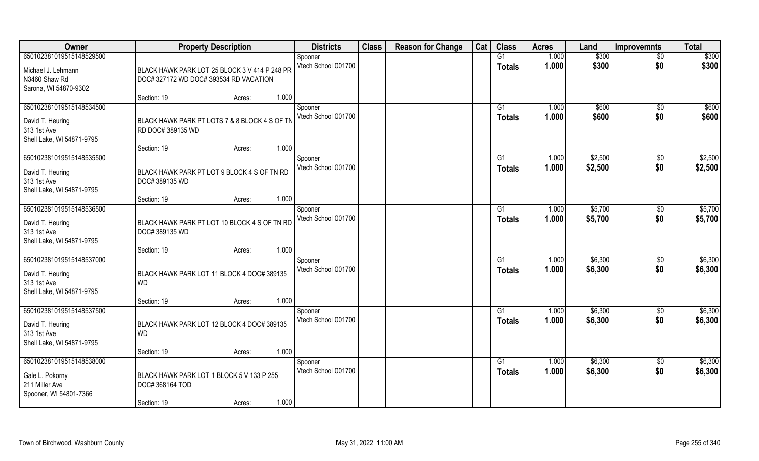| <b>Owner</b>                                                                             | <b>Property Description</b>                                                                          | <b>Districts</b>               | <b>Class</b> | <b>Reason for Change</b> | Cat | <b>Class</b>                    | <b>Acres</b>   | Land               | <b>Improvemnts</b>     | <b>Total</b>       |
|------------------------------------------------------------------------------------------|------------------------------------------------------------------------------------------------------|--------------------------------|--------------|--------------------------|-----|---------------------------------|----------------|--------------------|------------------------|--------------------|
| 650102381019515148529500                                                                 |                                                                                                      | Spooner                        |              |                          |     | G1                              | 1.000          | \$300              | $\overline{50}$        | \$300              |
| Michael J. Lehmann<br>N3460 Shaw Rd<br>Sarona, WI 54870-9302                             | BLACK HAWK PARK LOT 25 BLOCK 3 V 414 P 248 PR<br>DOC#327172 WD DOC#393534 RD VACATION                | Vtech School 001700            |              |                          |     | <b>Totals</b>                   | 1.000          | \$300              | \$0                    | \$300              |
|                                                                                          | 1.000<br>Section: 19<br>Acres:                                                                       |                                |              |                          |     |                                 |                |                    |                        |                    |
| 650102381019515148534500<br>David T. Heuring<br>313 1st Ave<br>Shell Lake, WI 54871-9795 | BLACK HAWK PARK PT LOTS 7 & 8 BLOCK 4 S OF TN<br>RD DOC# 389135 WD                                   | Spooner<br>Vtech School 001700 |              |                          |     | G <sub>1</sub><br>Totals        | 1.000<br>1.000 | \$600<br>\$600     | \$0<br>\$0             | \$600<br>\$600     |
|                                                                                          | 1.000<br>Section: 19<br>Acres:                                                                       |                                |              |                          |     |                                 |                |                    |                        |                    |
| 650102381019515148535500<br>David T. Heuring<br>313 1st Ave<br>Shell Lake, WI 54871-9795 | BLACK HAWK PARK PT LOT 9 BLOCK 4 S OF TN RD<br>DOC# 389135 WD                                        | Spooner<br>Vtech School 001700 |              |                          |     | G <sub>1</sub><br><b>Totals</b> | 1.000<br>1.000 | \$2,500<br>\$2,500 | $\sqrt[6]{3}$<br>\$0   | \$2,500<br>\$2,500 |
|                                                                                          | 1.000<br>Section: 19<br>Acres:                                                                       |                                |              |                          |     |                                 |                |                    |                        |                    |
| 650102381019515148536500<br>David T. Heuring<br>313 1st Ave<br>Shell Lake, WI 54871-9795 | BLACK HAWK PARK PT LOT 10 BLOCK 4 S OF TN RD<br>DOC# 389135 WD                                       | Spooner<br>Vtech School 001700 |              |                          |     | G <sub>1</sub><br><b>Totals</b> | 1.000<br>1.000 | \$5,700<br>\$5,700 | \$0<br>\$0             | \$5,700<br>\$5,700 |
|                                                                                          | 1.000<br>Section: 19<br>Acres:                                                                       |                                |              |                          |     |                                 |                |                    |                        |                    |
| 650102381019515148537000<br>David T. Heuring<br>313 1st Ave<br>Shell Lake, WI 54871-9795 | BLACK HAWK PARK LOT 11 BLOCK 4 DOC# 389135<br><b>WD</b>                                              | Spooner<br>Vtech School 001700 |              |                          |     | G1<br><b>Totals</b>             | 1.000<br>1.000 | \$6,300<br>\$6,300 | $\sqrt[6]{30}$<br>\$0  | \$6,300<br>\$6,300 |
| 650102381019515148537500                                                                 | 1.000<br>Section: 19<br>Acres:                                                                       | Spooner                        |              |                          |     | G <sub>1</sub>                  | 1.000          | \$6,300            | \$0                    | \$6,300            |
| David T. Heuring<br>313 1st Ave<br>Shell Lake, WI 54871-9795                             | BLACK HAWK PARK LOT 12 BLOCK 4 DOC# 389135<br><b>WD</b>                                              | Vtech School 001700            |              |                          |     | <b>Totals</b>                   | 1.000          | \$6,300            | \$0                    | \$6,300            |
|                                                                                          | 1.000<br>Section: 19<br>Acres:                                                                       |                                |              |                          |     |                                 |                |                    |                        |                    |
| 650102381019515148538000<br>Gale L. Pokorny<br>211 Miller Ave<br>Spooner, WI 54801-7366  | BLACK HAWK PARK LOT 1 BLOCK 5 V 133 P 255<br><b>DOC#368164 TOD</b><br>1.000<br>Section: 19<br>Acres: | Spooner<br>Vtech School 001700 |              |                          |     | G1<br><b>Totals</b>             | 1.000<br>1.000 | \$6,300<br>\$6,300 | $\overline{50}$<br>\$0 | \$6,300<br>\$6,300 |
|                                                                                          |                                                                                                      |                                |              |                          |     |                                 |                |                    |                        |                    |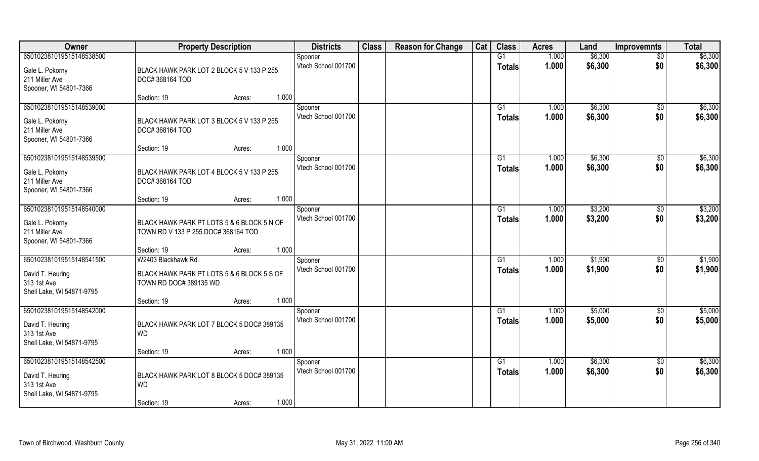| Owner                                    | <b>Property Description</b>                | <b>Districts</b>               | <b>Class</b> | <b>Reason for Change</b> | Cat | <b>Class</b>        | <b>Acres</b> | Land    | <b>Improvemnts</b> | <b>Total</b> |
|------------------------------------------|--------------------------------------------|--------------------------------|--------------|--------------------------|-----|---------------------|--------------|---------|--------------------|--------------|
| 650102381019515148538500                 |                                            | Spooner                        |              |                          |     | G1                  | 1.000        | \$6,300 | $\overline{50}$    | \$6,300      |
| Gale L. Pokorny                          | BLACK HAWK PARK LOT 2 BLOCK 5 V 133 P 255  | Vtech School 001700            |              |                          |     | <b>Totals</b>       | 1.000        | \$6,300 | \$0                | \$6,300      |
| 211 Miller Ave                           | DOC#368164 TOD                             |                                |              |                          |     |                     |              |         |                    |              |
| Spooner, WI 54801-7366                   |                                            |                                |              |                          |     |                     |              |         |                    |              |
|                                          | 1.000<br>Section: 19<br>Acres:             |                                |              |                          |     |                     |              |         |                    |              |
| 650102381019515148539000                 |                                            | Spooner                        |              |                          |     | G1                  | 1.000        | \$6,300 | $\overline{50}$    | \$6,300      |
| Gale L. Pokorny                          | BLACK HAWK PARK LOT 3 BLOCK 5 V 133 P 255  | Vtech School 001700            |              |                          |     | Totals              | 1.000        | \$6,300 | \$0                | \$6,300      |
| 211 Miller Ave                           | DOC# 368164 TOD                            |                                |              |                          |     |                     |              |         |                    |              |
| Spooner, WI 54801-7366                   |                                            |                                |              |                          |     |                     |              |         |                    |              |
|                                          | 1.000<br>Section: 19<br>Acres:             |                                |              |                          |     |                     |              |         |                    |              |
| 650102381019515148539500                 |                                            | Spooner                        |              |                          |     | G1                  | 1.000        | \$6,300 | $\sqrt[6]{30}$     | \$6,300      |
| Gale L. Pokorny                          | BLACK HAWK PARK LOT 4 BLOCK 5 V 133 P 255  | Vtech School 001700            |              |                          |     | <b>Totals</b>       | 1.000        | \$6,300 | \$0                | \$6,300      |
| 211 Miller Ave                           | DOC# 368164 TOD                            |                                |              |                          |     |                     |              |         |                    |              |
| Spooner, WI 54801-7366                   |                                            |                                |              |                          |     |                     |              |         |                    |              |
| 650102381019515148540000                 | 1.000<br>Section: 19<br>Acres:             |                                |              |                          |     |                     | 1.000        | \$3,200 |                    | \$3,200      |
|                                          |                                            | Spooner<br>Vtech School 001700 |              |                          |     | G1<br><b>Totals</b> | 1.000        | \$3,200 | \$0<br>\$0         | \$3,200      |
| Gale L. Pokorny                          | BLACK HAWK PARK PT LOTS 5 & 6 BLOCK 5 N OF |                                |              |                          |     |                     |              |         |                    |              |
| 211 Miller Ave                           | TOWN RD V 133 P 255 DOC# 368164 TOD        |                                |              |                          |     |                     |              |         |                    |              |
| Spooner, WI 54801-7366                   | 1.000<br>Section: 19<br>Acres:             |                                |              |                          |     |                     |              |         |                    |              |
| 650102381019515148541500                 | W2403 Blackhawk Rd                         | Spooner                        |              |                          |     | G <sub>1</sub>      | 1.000        | \$1,900 | \$0                | \$1,900      |
|                                          |                                            | Vtech School 001700            |              |                          |     | Totals              | 1.000        | \$1,900 | \$0                | \$1,900      |
| David T. Heuring                         | BLACK HAWK PARK PT LOTS 5 & 6 BLOCK 5 S OF |                                |              |                          |     |                     |              |         |                    |              |
| 313 1st Ave<br>Shell Lake, WI 54871-9795 | TOWN RD DOC# 389135 WD                     |                                |              |                          |     |                     |              |         |                    |              |
|                                          | 1.000<br>Section: 19<br>Acres:             |                                |              |                          |     |                     |              |         |                    |              |
| 650102381019515148542000                 |                                            | Spooner                        |              |                          |     | G1                  | 1.000        | \$5,000 | \$0                | \$5,000      |
| David T. Heuring                         | BLACK HAWK PARK LOT 7 BLOCK 5 DOC# 389135  | Vtech School 001700            |              |                          |     | <b>Totals</b>       | 1.000        | \$5,000 | \$0                | \$5,000      |
| 313 1st Ave                              | <b>WD</b>                                  |                                |              |                          |     |                     |              |         |                    |              |
| Shell Lake, WI 54871-9795                |                                            |                                |              |                          |     |                     |              |         |                    |              |
|                                          | 1.000<br>Section: 19<br>Acres:             |                                |              |                          |     |                     |              |         |                    |              |
| 650102381019515148542500                 |                                            | Spooner                        |              |                          |     | G1                  | 1.000        | \$6,300 | $\sqrt{6}$         | \$6,300      |
| David T. Heuring                         | BLACK HAWK PARK LOT 8 BLOCK 5 DOC# 389135  | Vtech School 001700            |              |                          |     | <b>Totals</b>       | 1.000        | \$6,300 | \$0                | \$6,300      |
| 313 1st Ave                              | <b>WD</b>                                  |                                |              |                          |     |                     |              |         |                    |              |
| Shell Lake, WI 54871-9795                |                                            |                                |              |                          |     |                     |              |         |                    |              |
|                                          | 1.000<br>Section: 19<br>Acres:             |                                |              |                          |     |                     |              |         |                    |              |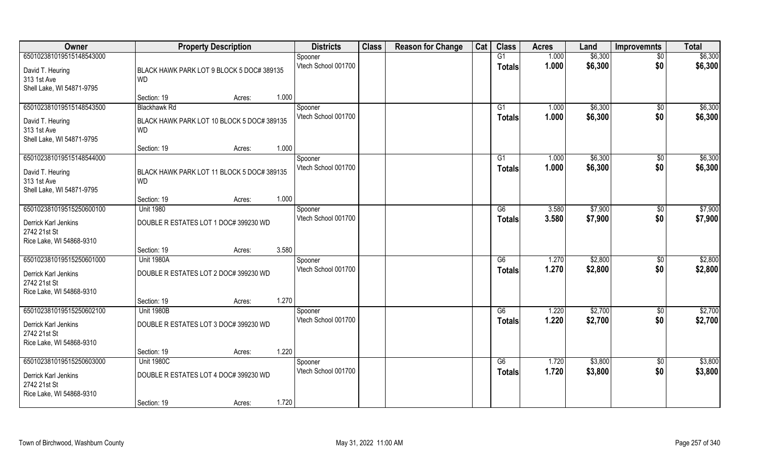| Owner                     | <b>Property Description</b>                | <b>Districts</b>    | <b>Class</b> | <b>Reason for Change</b> | Cat | <b>Class</b>  | <b>Acres</b> | Land    | <b>Improvemnts</b> | <b>Total</b> |
|---------------------------|--------------------------------------------|---------------------|--------------|--------------------------|-----|---------------|--------------|---------|--------------------|--------------|
| 650102381019515148543000  |                                            | Spooner             |              |                          |     | G1            | 1.000        | \$6,300 | $\overline{50}$    | \$6,300      |
| David T. Heuring          | BLACK HAWK PARK LOT 9 BLOCK 5 DOC# 389135  | Vtech School 001700 |              |                          |     | <b>Totals</b> | 1.000        | \$6,300 | \$0                | \$6,300      |
| 313 1st Ave               | <b>WD</b>                                  |                     |              |                          |     |               |              |         |                    |              |
| Shell Lake, WI 54871-9795 |                                            |                     |              |                          |     |               |              |         |                    |              |
|                           | 1.000<br>Section: 19<br>Acres:             |                     |              |                          |     |               |              |         |                    |              |
| 650102381019515148543500  | <b>Blackhawk Rd</b>                        | Spooner             |              |                          |     | G1            | 1.000        | \$6,300 | \$0                | \$6,300      |
| David T. Heuring          | BLACK HAWK PARK LOT 10 BLOCK 5 DOC# 389135 | Vtech School 001700 |              |                          |     | Totals        | 1.000        | \$6,300 | \$0                | \$6,300      |
| 313 1st Ave               | <b>WD</b>                                  |                     |              |                          |     |               |              |         |                    |              |
| Shell Lake, WI 54871-9795 |                                            |                     |              |                          |     |               |              |         |                    |              |
|                           | 1.000<br>Section: 19<br>Acres:             |                     |              |                          |     |               |              |         |                    |              |
| 650102381019515148544000  |                                            | Spooner             |              |                          |     | G1            | 1.000        | \$6,300 | $\sqrt[6]{3}$      | \$6,300      |
| David T. Heuring          | BLACK HAWK PARK LOT 11 BLOCK 5 DOC# 389135 | Vtech School 001700 |              |                          |     | <b>Totals</b> | 1.000        | \$6,300 | \$0                | \$6,300      |
| 313 1st Ave               | <b>WD</b>                                  |                     |              |                          |     |               |              |         |                    |              |
| Shell Lake, WI 54871-9795 |                                            |                     |              |                          |     |               |              |         |                    |              |
|                           | 1.000<br>Section: 19<br>Acres:             |                     |              |                          |     |               |              |         |                    |              |
| 650102381019515250600100  | <b>Unit 1980</b>                           | Spooner             |              |                          |     | G6            | 3.580        | \$7,900 | \$0                | \$7,900      |
| Derrick Karl Jenkins      | DOUBLE R ESTATES LOT 1 DOC# 399230 WD      | Vtech School 001700 |              |                          |     | <b>Totals</b> | 3.580        | \$7,900 | \$0                | \$7,900      |
| 2742 21st St              |                                            |                     |              |                          |     |               |              |         |                    |              |
| Rice Lake, WI 54868-9310  |                                            |                     |              |                          |     |               |              |         |                    |              |
|                           | 3.580<br>Section: 19<br>Acres:             |                     |              |                          |     |               |              |         |                    |              |
| 650102381019515250601000  | <b>Unit 1980A</b>                          | Spooner             |              |                          |     | G6            | 1.270        | \$2,800 | $\sqrt[6]{30}$     | \$2,800      |
| Derrick Karl Jenkins      | DOUBLE R ESTATES LOT 2 DOC# 399230 WD      | Vtech School 001700 |              |                          |     | <b>Totals</b> | 1.270        | \$2,800 | \$0                | \$2,800      |
| 2742 21st St              |                                            |                     |              |                          |     |               |              |         |                    |              |
| Rice Lake, WI 54868-9310  |                                            |                     |              |                          |     |               |              |         |                    |              |
|                           | 1.270<br>Section: 19<br>Acres:             |                     |              |                          |     |               |              |         |                    |              |
| 650102381019515250602100  | <b>Unit 1980B</b>                          | Spooner             |              |                          |     | G6            | 1.220        | \$2,700 | \$0                | \$2,700      |
| Derrick Karl Jenkins      | DOUBLE R ESTATES LOT 3 DOC# 399230 WD      | Vtech School 001700 |              |                          |     | <b>Totals</b> | 1.220        | \$2,700 | \$0                | \$2,700      |
| 2742 21st St              |                                            |                     |              |                          |     |               |              |         |                    |              |
| Rice Lake, WI 54868-9310  |                                            |                     |              |                          |     |               |              |         |                    |              |
|                           | 1.220<br>Section: 19<br>Acres:             |                     |              |                          |     |               |              |         |                    |              |
| 650102381019515250603000  | <b>Unit 1980C</b>                          | Spooner             |              |                          |     | G6            | 1.720        | \$3,800 | $\overline{50}$    | \$3,800      |
| Derrick Karl Jenkins      | DOUBLE R ESTATES LOT 4 DOC# 399230 WD      | Vtech School 001700 |              |                          |     | <b>Totals</b> | 1.720        | \$3,800 | \$0                | \$3,800      |
| 2742 21st St              |                                            |                     |              |                          |     |               |              |         |                    |              |
| Rice Lake, WI 54868-9310  |                                            |                     |              |                          |     |               |              |         |                    |              |
|                           | 1.720<br>Section: 19<br>Acres:             |                     |              |                          |     |               |              |         |                    |              |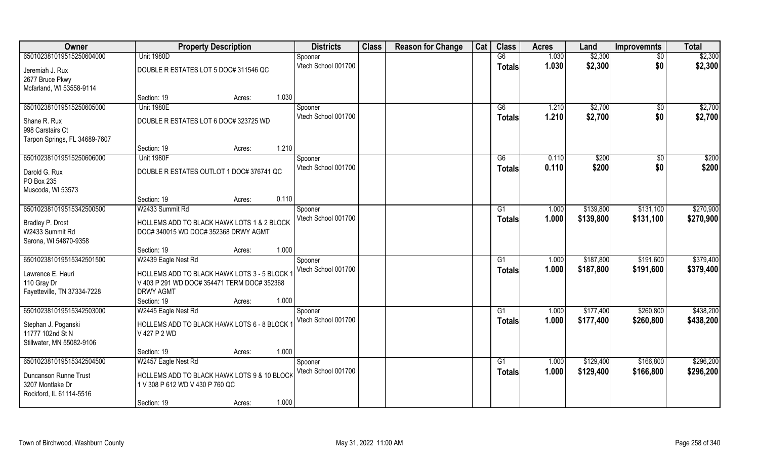| Owner                         | <b>Property Description</b>                 | <b>Districts</b>               | <b>Class</b> | <b>Reason for Change</b> | Cat | <b>Class</b>    | <b>Acres</b> | Land      | <b>Improvemnts</b> | <b>Total</b> |
|-------------------------------|---------------------------------------------|--------------------------------|--------------|--------------------------|-----|-----------------|--------------|-----------|--------------------|--------------|
| 650102381019515250604000      | <b>Unit 1980D</b>                           | Spooner                        |              |                          |     | $\overline{G6}$ | 1.030        | \$2,300   | $\overline{50}$    | \$2,300      |
| Jeremiah J. Rux               | DOUBLE R ESTATES LOT 5 DOC# 311546 QC       | Vtech School 001700            |              |                          |     | <b>Totals</b>   | 1.030        | \$2,300   | \$0                | \$2,300      |
| 2677 Bruce Pkwy               |                                             |                                |              |                          |     |                 |              |           |                    |              |
| Mcfarland, WI 53558-9114      |                                             |                                |              |                          |     |                 |              |           |                    |              |
|                               | 1.030<br>Section: 19<br>Acres:              |                                |              |                          |     |                 |              |           |                    |              |
| 650102381019515250605000      | <b>Unit 1980E</b>                           | Spooner                        |              |                          |     | G6              | 1.210        | \$2,700   | \$0                | \$2,700      |
| Shane R. Rux                  | DOUBLE R ESTATES LOT 6 DOC# 323725 WD       | Vtech School 001700            |              |                          |     | Totals          | 1.210        | \$2,700   | \$0                | \$2,700      |
| 998 Carstairs Ct              |                                             |                                |              |                          |     |                 |              |           |                    |              |
| Tarpon Springs, FL 34689-7607 |                                             |                                |              |                          |     |                 |              |           |                    |              |
|                               | 1.210<br>Section: 19<br>Acres:              |                                |              |                          |     |                 |              |           |                    |              |
| 650102381019515250606000      | <b>Unit 1980F</b>                           | Spooner                        |              |                          |     | G6              | 0.110        | \$200     | $\sqrt{6}$         | \$200        |
| Darold G. Rux                 | DOUBLE R ESTATES OUTLOT 1 DOC# 376741 QC    | Vtech School 001700            |              |                          |     | <b>Totals</b>   | 0.110        | \$200     | \$0                | \$200        |
| PO Box 235                    |                                             |                                |              |                          |     |                 |              |           |                    |              |
| Muscoda, WI 53573             |                                             |                                |              |                          |     |                 |              |           |                    |              |
|                               | 0.110<br>Section: 19<br>Acres:              |                                |              |                          |     |                 |              |           |                    |              |
| 650102381019515342500500      | W2433 Summit Rd                             | Spooner                        |              |                          |     | G <sub>1</sub>  | 1.000        | \$139,800 | \$131,100          | \$270,900    |
| Bradley P. Drost              | HOLLEMS ADD TO BLACK HAWK LOTS 1 & 2 BLOCK  | Vtech School 001700            |              |                          |     | <b>Totals</b>   | 1.000        | \$139,800 | \$131,100          | \$270,900    |
| W2433 Summit Rd               | DOC# 340015 WD DOC# 352368 DRWY AGMT        |                                |              |                          |     |                 |              |           |                    |              |
| Sarona, WI 54870-9358         |                                             |                                |              |                          |     |                 |              |           |                    |              |
|                               | 1.000<br>Section: 19<br>Acres:              |                                |              |                          |     |                 |              |           |                    |              |
| 650102381019515342501500      | W2439 Eagle Nest Rd                         | Spooner                        |              |                          |     | G1              | 1.000        | \$187,800 | \$191,600          | \$379,400    |
| Lawrence E. Hauri             | HOLLEMS ADD TO BLACK HAWK LOTS 3 - 5 BLOCK  | Vtech School 001700            |              |                          |     | <b>Totals</b>   | 1.000        | \$187,800 | \$191,600          | \$379,400    |
| 110 Gray Dr                   | V 403 P 291 WD DOC# 354471 TERM DOC# 352368 |                                |              |                          |     |                 |              |           |                    |              |
| Fayetteville, TN 37334-7228   | <b>DRWY AGMT</b>                            |                                |              |                          |     |                 |              |           |                    |              |
|                               | 1.000<br>Section: 19<br>Acres:              |                                |              |                          |     |                 |              |           |                    |              |
| 650102381019515342503000      | W2445 Eagle Nest Rd                         | Spooner<br>Vtech School 001700 |              |                          |     | G1              | 1.000        | \$177,400 | \$260,800          | \$438,200    |
| Stephan J. Poganski           | HOLLEMS ADD TO BLACK HAWK LOTS 6 - 8 BLOCK  |                                |              |                          |     | <b>Totals</b>   | 1.000        | \$177,400 | \$260,800          | \$438,200    |
| 11777 102nd St N              | V 427 P 2 WD                                |                                |              |                          |     |                 |              |           |                    |              |
| Stillwater, MN 55082-9106     |                                             |                                |              |                          |     |                 |              |           |                    |              |
|                               | 1.000<br>Section: 19<br>Acres:              |                                |              |                          |     |                 |              |           |                    |              |
| 650102381019515342504500      | W2457 Eagle Nest Rd                         | Spooner                        |              |                          |     | G1              | 1.000        | \$129,400 | \$166,800          | \$296,200    |
| Duncanson Runne Trust         | HOLLEMS ADD TO BLACK HAWK LOTS 9 & 10 BLOCK | Vtech School 001700            |              |                          |     | Totals          | 1.000        | \$129,400 | \$166,800          | \$296,200    |
| 3207 Montlake Dr              | 1 V 308 P 612 WD V 430 P 760 QC             |                                |              |                          |     |                 |              |           |                    |              |
| Rockford, IL 61114-5516       |                                             |                                |              |                          |     |                 |              |           |                    |              |
|                               | 1.000<br>Section: 19<br>Acres:              |                                |              |                          |     |                 |              |           |                    |              |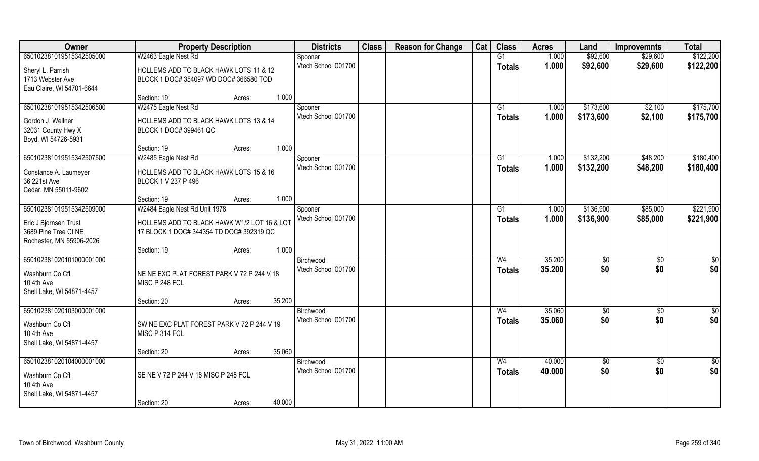| Owner                     | <b>Property Description</b>                 | <b>Districts</b>    | <b>Class</b> | <b>Reason for Change</b> | Cat | <b>Class</b>   | <b>Acres</b> | Land       | <b>Improvemnts</b> | <b>Total</b>    |
|---------------------------|---------------------------------------------|---------------------|--------------|--------------------------|-----|----------------|--------------|------------|--------------------|-----------------|
| 650102381019515342505000  | W2463 Eagle Nest Rd                         | Spooner             |              |                          |     | G1             | 1.000        | \$92,600   | \$29,600           | \$122,200       |
| Sheryl L. Parrish         | HOLLEMS ADD TO BLACK HAWK LOTS 11 & 12      | Vtech School 001700 |              |                          |     | <b>Totals</b>  | 1.000        | \$92,600   | \$29,600           | \$122,200       |
| 1713 Webster Ave          | BLOCK 1 DOC# 354097 WD DOC# 366580 TOD      |                     |              |                          |     |                |              |            |                    |                 |
| Eau Claire, WI 54701-6644 |                                             |                     |              |                          |     |                |              |            |                    |                 |
|                           | 1.000<br>Section: 19<br>Acres:              |                     |              |                          |     |                |              |            |                    |                 |
| 650102381019515342506500  | W2475 Eagle Nest Rd                         | Spooner             |              |                          |     | G1             | 1.000        | \$173,600  | \$2,100            | \$175,700       |
| Gordon J. Wellner         | HOLLEMS ADD TO BLACK HAWK LOTS 13 & 14      | Vtech School 001700 |              |                          |     | <b>Totals</b>  | 1.000        | \$173,600  | \$2,100            | \$175,700       |
| 32031 County Hwy X        | BLOCK 1 DOC# 399461 QC                      |                     |              |                          |     |                |              |            |                    |                 |
| Boyd, WI 54726-5931       |                                             |                     |              |                          |     |                |              |            |                    |                 |
|                           | 1.000<br>Section: 19<br>Acres:              |                     |              |                          |     |                |              |            |                    |                 |
| 650102381019515342507500  | W2485 Eagle Nest Rd                         | Spooner             |              |                          |     | G1             | 1.000        | \$132,200  | \$48,200           | \$180,400       |
| Constance A. Laumeyer     | HOLLEMS ADD TO BLACK HAWK LOTS 15 & 16      | Vtech School 001700 |              |                          |     | <b>Totals</b>  | 1.000        | \$132,200  | \$48,200           | \$180,400       |
| 36 221st Ave              | BLOCK 1 V 237 P 496                         |                     |              |                          |     |                |              |            |                    |                 |
| Cedar, MN 55011-9602      |                                             |                     |              |                          |     |                |              |            |                    |                 |
|                           | 1.000<br>Section: 19<br>Acres:              |                     |              |                          |     |                |              |            |                    |                 |
| 650102381019515342509000  | W2484 Eagle Nest Rd Unit 1978               | Spooner             |              |                          |     | G1             | 1.000        | \$136,900  | \$85,000           | \$221,900       |
| Eric J Bjornsen Trust     | HOLLEMS ADD TO BLACK HAWK W1/2 LOT 16 & LOT | Vtech School 001700 |              |                          |     | <b>Totals</b>  | 1.000        | \$136,900  | \$85,000           | \$221,900       |
| 3689 Pine Tree Ct NE      | 17 BLOCK 1 DOC# 344354 TD DOC# 392319 QC    |                     |              |                          |     |                |              |            |                    |                 |
| Rochester, MN 55906-2026  |                                             |                     |              |                          |     |                |              |            |                    |                 |
|                           | 1.000<br>Section: 19<br>Acres:              |                     |              |                          |     |                |              |            |                    |                 |
| 650102381020101000001000  |                                             | Birchwood           |              |                          |     | W <sub>4</sub> | 35.200       | \$0        | \$0                | $\overline{50}$ |
| Washburn Co Cfl           | NE NE EXC PLAT FOREST PARK V 72 P 244 V 18  | Vtech School 001700 |              |                          |     | <b>Totals</b>  | 35.200       | \$0        | \$0                | \$0             |
| 10 4th Ave                | MISC P 248 FCL                              |                     |              |                          |     |                |              |            |                    |                 |
| Shell Lake, WI 54871-4457 |                                             |                     |              |                          |     |                |              |            |                    |                 |
|                           | 35.200<br>Section: 20<br>Acres:             |                     |              |                          |     |                |              |            |                    |                 |
| 650102381020103000001000  |                                             | Birchwood           |              |                          |     | W <sub>4</sub> | 35.060       | \$0        | $\sqrt{$0}$        | \$0             |
| Washburn Co Cfl           | SW NE EXC PLAT FOREST PARK V 72 P 244 V 19  | Vtech School 001700 |              |                          |     | <b>Totals</b>  | 35.060       | \$0        | \$0                | \$0             |
| 10 4th Ave                | MISC P 314 FCL                              |                     |              |                          |     |                |              |            |                    |                 |
| Shell Lake, WI 54871-4457 |                                             |                     |              |                          |     |                |              |            |                    |                 |
|                           | 35.060<br>Section: 20<br>Acres:             |                     |              |                          |     |                |              |            |                    |                 |
| 650102381020104000001000  |                                             | Birchwood           |              |                          |     | W <sub>4</sub> | 40.000       | $\sqrt{6}$ | $\sqrt{$0}$        | $\overline{50}$ |
| Washburn Co Cfl           | SE NE V 72 P 244 V 18 MISC P 248 FCL        | Vtech School 001700 |              |                          |     | <b>Totals</b>  | 40.000       | \$0        | \$0                | \$0             |
| 10 4th Ave                |                                             |                     |              |                          |     |                |              |            |                    |                 |
| Shell Lake, WI 54871-4457 |                                             |                     |              |                          |     |                |              |            |                    |                 |
|                           | 40.000<br>Section: 20<br>Acres:             |                     |              |                          |     |                |              |            |                    |                 |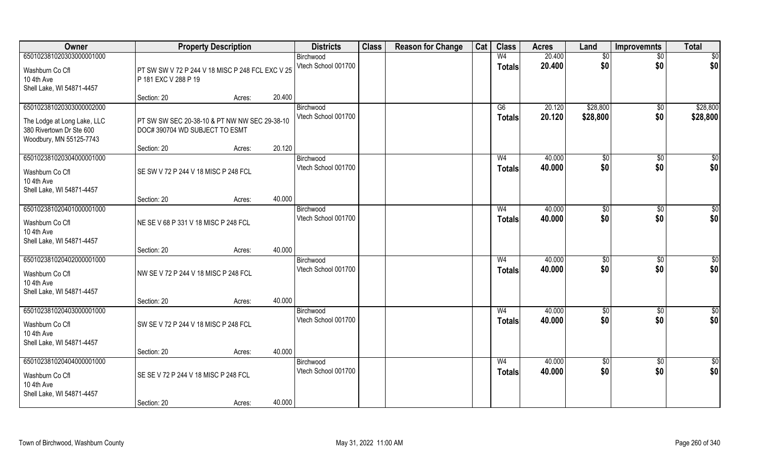| Owner                                                                              |                                                                                 | <b>Property Description</b> |        | <b>Districts</b>                 | <b>Class</b> | <b>Reason for Change</b> | Cat | <b>Class</b>                    | <b>Acres</b>     | Land               | <b>Improvemnts</b> | <b>Total</b>    |
|------------------------------------------------------------------------------------|---------------------------------------------------------------------------------|-----------------------------|--------|----------------------------------|--------------|--------------------------|-----|---------------------------------|------------------|--------------------|--------------------|-----------------|
| 650102381020303000001000                                                           |                                                                                 |                             |        | Birchwood<br>Vtech School 001700 |              |                          |     | W <sub>4</sub><br><b>Totals</b> | 20.400<br>20.400 | $\sqrt{$0}$<br>\$0 | $\sqrt{$0}$<br>\$0 | \$0<br>\$0      |
| Washburn Co Cfl<br>10 4th Ave<br>Shell Lake, WI 54871-4457                         | PT SW SW V 72 P 244 V 18 MISC P 248 FCL EXC V 25<br>P 181 EXC V 288 P 19        |                             |        |                                  |              |                          |     |                                 |                  |                    |                    |                 |
|                                                                                    | Section: 20                                                                     | Acres:                      | 20.400 |                                  |              |                          |     |                                 |                  |                    |                    |                 |
| 650102381020303000002000                                                           |                                                                                 |                             |        | Birchwood                        |              |                          |     | G6                              | 20.120           | \$28,800           | \$0                | \$28,800        |
| The Lodge at Long Lake, LLC<br>380 Rivertown Dr Ste 600<br>Woodbury, MN 55125-7743 | PT SW SW SEC 20-38-10 & PT NW NW SEC 29-38-10<br>DOC# 390704 WD SUBJECT TO ESMT |                             |        | Vtech School 001700              |              |                          |     | <b>Totals</b>                   | 20.120           | \$28,800           | \$0                | \$28,800        |
|                                                                                    | Section: 20                                                                     | Acres:                      | 20.120 |                                  |              |                          |     |                                 |                  |                    |                    |                 |
| 650102381020304000001000                                                           |                                                                                 |                             |        | Birchwood                        |              |                          |     | W <sub>4</sub>                  | 40.000           | \$0                | $\overline{50}$    | $\sqrt{50}$     |
| Washburn Co Cfl<br>10 4th Ave<br>Shell Lake, WI 54871-4457                         | SE SW V 72 P 244 V 18 MISC P 248 FCL                                            |                             |        | Vtech School 001700              |              |                          |     | <b>Totals</b>                   | 40.000           | \$0                | \$0                | \$0             |
|                                                                                    | Section: 20                                                                     | Acres:                      | 40.000 |                                  |              |                          |     |                                 |                  |                    |                    |                 |
| 650102381020401000001000                                                           |                                                                                 |                             |        | Birchwood                        |              |                          |     | W <sub>4</sub>                  | 40.000           | \$0                | $\sqrt[6]{3}$      | \$0             |
| Washburn Co Cfl<br>10 4th Ave<br>Shell Lake, WI 54871-4457                         | NE SE V 68 P 331 V 18 MISC P 248 FCL                                            |                             |        | Vtech School 001700              |              |                          |     | <b>Totals</b>                   | 40.000           | \$0                | \$0                | \$0             |
|                                                                                    | Section: 20                                                                     | Acres:                      | 40.000 |                                  |              |                          |     |                                 |                  |                    |                    |                 |
| 650102381020402000001000                                                           |                                                                                 |                             |        | Birchwood                        |              |                          |     | W <sub>4</sub>                  | 40.000           | \$0                | \$0                | $\sqrt{50}$     |
| Washburn Co Cfl                                                                    | NW SE V 72 P 244 V 18 MISC P 248 FCL                                            |                             |        | Vtech School 001700              |              |                          |     | <b>Totals</b>                   | 40.000           | \$0                | \$0                | \$0             |
| 10 4th Ave                                                                         |                                                                                 |                             |        |                                  |              |                          |     |                                 |                  |                    |                    |                 |
| Shell Lake, WI 54871-4457                                                          | Section: 20                                                                     | Acres:                      | 40.000 |                                  |              |                          |     |                                 |                  |                    |                    |                 |
| 650102381020403000001000                                                           |                                                                                 |                             |        | Birchwood                        |              |                          |     | W <sub>4</sub>                  | 40.000           | \$0                | $\sqrt{$0}$        | \$0             |
| Washburn Co Cfl<br>10 4th Ave<br>Shell Lake, WI 54871-4457                         | SW SE V 72 P 244 V 18 MISC P 248 FCL                                            |                             |        | Vtech School 001700              |              |                          |     | <b>Totals</b>                   | 40.000           | \$0                | \$0                | \$0             |
|                                                                                    | Section: 20                                                                     | Acres:                      | 40.000 |                                  |              |                          |     |                                 |                  |                    |                    |                 |
| 650102381020404000001000                                                           |                                                                                 |                             |        | Birchwood                        |              |                          |     | W <sub>4</sub>                  | 40.000           | $\sqrt{6}$         | $\sqrt{$0}$        | $\overline{50}$ |
| Washburn Co Cfl<br>10 4th Ave<br>Shell Lake, WI 54871-4457                         | SE SE V 72 P 244 V 18 MISC P 248 FCL                                            |                             |        | Vtech School 001700              |              |                          |     | <b>Totals</b>                   | 40.000           | \$0                | \$0                | \$0             |
|                                                                                    | Section: 20                                                                     | Acres:                      | 40.000 |                                  |              |                          |     |                                 |                  |                    |                    |                 |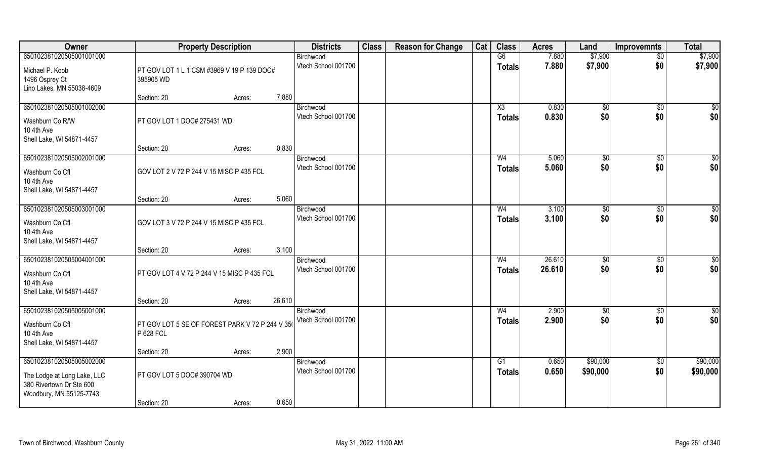| Owner                       |                                                 | <b>Property Description</b> |        | <b>Districts</b>    | <b>Class</b> | <b>Reason for Change</b> | Cat | <b>Class</b>   | <b>Acres</b> | Land           | <b>Improvemnts</b> | <b>Total</b>    |
|-----------------------------|-------------------------------------------------|-----------------------------|--------|---------------------|--------------|--------------------------|-----|----------------|--------------|----------------|--------------------|-----------------|
| 650102381020505001001000    |                                                 |                             |        | Birchwood           |              |                          |     | G6             | 7.880        | \$7,900        | $\overline{50}$    | \$7,900         |
| Michael P. Koob             | PT GOV LOT 1 L 1 CSM #3969 V 19 P 139 DOC#      |                             |        | Vtech School 001700 |              |                          |     | <b>Totals</b>  | 7.880        | \$7,900        | \$0                | \$7,900         |
| 1496 Osprey Ct              | 395905 WD                                       |                             |        |                     |              |                          |     |                |              |                |                    |                 |
| Lino Lakes, MN 55038-4609   |                                                 |                             |        |                     |              |                          |     |                |              |                |                    |                 |
|                             | Section: 20                                     | Acres:                      | 7.880  |                     |              |                          |     |                |              |                |                    |                 |
| 650102381020505001002000    |                                                 |                             |        | Birchwood           |              |                          |     | X3             | 0.830        | \$0            | \$0                | $\sqrt{50}$     |
| Washburn Co R/W             | PT GOV LOT 1 DOC# 275431 WD                     |                             |        | Vtech School 001700 |              |                          |     | <b>Totals</b>  | 0.830        | \$0            | \$0                | \$0             |
| 10 4th Ave                  |                                                 |                             |        |                     |              |                          |     |                |              |                |                    |                 |
| Shell Lake, WI 54871-4457   |                                                 |                             |        |                     |              |                          |     |                |              |                |                    |                 |
|                             | Section: 20                                     | Acres:                      | 0.830  |                     |              |                          |     |                |              |                |                    |                 |
| 650102381020505002001000    |                                                 |                             |        | Birchwood           |              |                          |     | W <sub>4</sub> | 5.060        | \$0            | \$0                | \$0             |
| Washburn Co Cfl             | GOV LOT 2 V 72 P 244 V 15 MISC P 435 FCL        |                             |        | Vtech School 001700 |              |                          |     | <b>Totals</b>  | 5.060        | \$0            | \$0                | \$0             |
| 10 4th Ave                  |                                                 |                             |        |                     |              |                          |     |                |              |                |                    |                 |
| Shell Lake, WI 54871-4457   |                                                 |                             |        |                     |              |                          |     |                |              |                |                    |                 |
|                             | Section: 20                                     | Acres:                      | 5.060  |                     |              |                          |     |                |              |                |                    |                 |
| 650102381020505003001000    |                                                 |                             |        | Birchwood           |              |                          |     | W4             | 3.100        | $\frac{1}{20}$ | \$0                | \$0             |
| Washburn Co Cfl             | GOV LOT 3 V 72 P 244 V 15 MISC P 435 FCL        |                             |        | Vtech School 001700 |              |                          |     | <b>Totals</b>  | 3.100        | \$0            | \$0                | \$0             |
| 10 4th Ave                  |                                                 |                             |        |                     |              |                          |     |                |              |                |                    |                 |
| Shell Lake, WI 54871-4457   |                                                 |                             |        |                     |              |                          |     |                |              |                |                    |                 |
|                             | Section: 20                                     | Acres:                      | 3.100  |                     |              |                          |     |                |              |                |                    |                 |
| 650102381020505004001000    |                                                 |                             |        | Birchwood           |              |                          |     | W <sub>4</sub> | 26.610       | \$0            | $\sqrt[6]{30}$     | $\overline{50}$ |
| Washburn Co Cfl             | PT GOV LOT 4 V 72 P 244 V 15 MISC P 435 FCL     |                             |        | Vtech School 001700 |              |                          |     | <b>Totals</b>  | 26.610       | \$0            | \$0                | \$0             |
| 10 4th Ave                  |                                                 |                             |        |                     |              |                          |     |                |              |                |                    |                 |
| Shell Lake, WI 54871-4457   |                                                 |                             |        |                     |              |                          |     |                |              |                |                    |                 |
|                             | Section: 20                                     | Acres:                      | 26.610 |                     |              |                          |     |                |              |                |                    |                 |
| 650102381020505005001000    |                                                 |                             |        | Birchwood           |              |                          |     | W <sub>4</sub> | 2.900        | $\sqrt{6}$     | \$0                | \$0             |
| Washburn Co Cfl             | PT GOV LOT 5 SE OF FOREST PARK V 72 P 244 V 350 |                             |        | Vtech School 001700 |              |                          |     | <b>Totals</b>  | 2.900        | \$0            | \$0                | \$0             |
| 10 4th Ave                  | P 628 FCL                                       |                             |        |                     |              |                          |     |                |              |                |                    |                 |
| Shell Lake, WI 54871-4457   |                                                 |                             |        |                     |              |                          |     |                |              |                |                    |                 |
|                             | Section: 20                                     | Acres:                      | 2.900  |                     |              |                          |     |                |              |                |                    |                 |
| 650102381020505005002000    |                                                 |                             |        | Birchwood           |              |                          |     | G1             | 0.650        | \$90,000       | \$0                | \$90,000        |
| The Lodge at Long Lake, LLC | PT GOV LOT 5 DOC# 390704 WD                     |                             |        | Vtech School 001700 |              |                          |     | <b>Totals</b>  | 0.650        | \$90,000       | \$0                | \$90,000        |
| 380 Rivertown Dr Ste 600    |                                                 |                             |        |                     |              |                          |     |                |              |                |                    |                 |
| Woodbury, MN 55125-7743     |                                                 |                             |        |                     |              |                          |     |                |              |                |                    |                 |
|                             | Section: 20                                     | Acres:                      | 0.650  |                     |              |                          |     |                |              |                |                    |                 |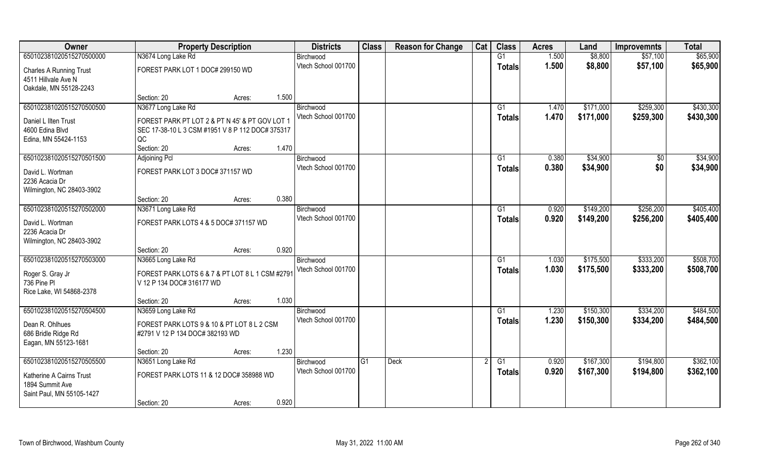| Owner                          | <b>Property Description</b>                      |        |       | <b>Districts</b>    | <b>Class</b>   | <b>Reason for Change</b> | Cat | <b>Class</b>    | <b>Acres</b> | Land      | <b>Improvemnts</b> | <b>Total</b> |
|--------------------------------|--------------------------------------------------|--------|-------|---------------------|----------------|--------------------------|-----|-----------------|--------------|-----------|--------------------|--------------|
| 650102381020515270500000       | N3674 Long Lake Rd                               |        |       | Birchwood           |                |                          |     | G1              | 1.500        | \$8,800   | \$57,100           | \$65,900     |
| <b>Charles A Running Trust</b> | FOREST PARK LOT 1 DOC# 299150 WD                 |        |       | Vtech School 001700 |                |                          |     | <b>Totals</b>   | 1.500        | \$8,800   | \$57,100           | \$65,900     |
| 4511 Hillvale Ave N            |                                                  |        |       |                     |                |                          |     |                 |              |           |                    |              |
| Oakdale, MN 55128-2243         |                                                  |        |       |                     |                |                          |     |                 |              |           |                    |              |
|                                | Section: 20                                      | Acres: | 1.500 |                     |                |                          |     |                 |              |           |                    |              |
| 650102381020515270500500       | N3677 Long Lake Rd                               |        |       | Birchwood           |                |                          |     | G1              | 1.470        | \$171,000 | \$259,300          | \$430,300    |
| Daniel L Ilten Trust           | FOREST PARK PT LOT 2 & PT N 45' & PT GOV LOT 1   |        |       | Vtech School 001700 |                |                          |     | <b>Totals</b>   | 1.470        | \$171,000 | \$259,300          | \$430,300    |
| 4600 Edina Blvd                | SEC 17-38-10 L 3 CSM #1951 V 8 P 112 DOC# 375317 |        |       |                     |                |                          |     |                 |              |           |                    |              |
| Edina, MN 55424-1153           | QC                                               |        |       |                     |                |                          |     |                 |              |           |                    |              |
|                                | Section: 20                                      | Acres: | 1.470 |                     |                |                          |     |                 |              |           |                    |              |
| 650102381020515270501500       | Adjoining Pcl                                    |        |       | Birchwood           |                |                          |     | G1              | 0.380        | \$34,900  | $\sqrt[6]{}$       | \$34,900     |
| David L. Wortman               | FOREST PARK LOT 3 DOC# 371157 WD                 |        |       | Vtech School 001700 |                |                          |     | <b>Totals</b>   | 0.380        | \$34,900  | \$0                | \$34,900     |
| 2236 Acacia Dr                 |                                                  |        |       |                     |                |                          |     |                 |              |           |                    |              |
| Wilmington, NC 28403-3902      |                                                  |        |       |                     |                |                          |     |                 |              |           |                    |              |
|                                | Section: 20                                      | Acres: | 0.380 |                     |                |                          |     |                 |              |           |                    |              |
| 650102381020515270502000       | N3671 Long Lake Rd                               |        |       | Birchwood           |                |                          |     | G <sub>1</sub>  | 0.920        | \$149,200 | \$256,200          | \$405,400    |
| David L. Wortman               | FOREST PARK LOTS 4 & 5 DOC# 371157 WD            |        |       | Vtech School 001700 |                |                          |     | <b>Totals</b>   | 0.920        | \$149,200 | \$256,200          | \$405,400    |
| 2236 Acacia Dr                 |                                                  |        |       |                     |                |                          |     |                 |              |           |                    |              |
| Wilmington, NC 28403-3902      |                                                  |        |       |                     |                |                          |     |                 |              |           |                    |              |
|                                | Section: 20                                      | Acres: | 0.920 |                     |                |                          |     |                 |              |           |                    |              |
| 650102381020515270503000       | N3665 Long Lake Rd                               |        |       | Birchwood           |                |                          |     | G1              | 1.030        | \$175,500 | \$333,200          | \$508,700    |
| Roger S. Gray Jr               | FOREST PARK LOTS 6 & 7 & PT LOT 8 L 1 CSM #2791  |        |       | Vtech School 001700 |                |                          |     | <b>Totals</b>   | 1.030        | \$175,500 | \$333,200          | \$508,700    |
| 736 Pine Pl                    | V 12 P 134 DOC# 316177 WD                        |        |       |                     |                |                          |     |                 |              |           |                    |              |
| Rice Lake, WI 54868-2378       |                                                  |        |       |                     |                |                          |     |                 |              |           |                    |              |
|                                | Section: 20                                      | Acres: | 1.030 |                     |                |                          |     |                 |              |           |                    |              |
| 650102381020515270504500       | N3659 Long Lake Rd                               |        |       | Birchwood           |                |                          |     | G1              | 1.230        | \$150,300 | \$334,200          | \$484,500    |
| Dean R. Ohlhues                | FOREST PARK LOTS 9 & 10 & PT LOT 8 L 2 CSM       |        |       | Vtech School 001700 |                |                          |     | <b>Totals</b>   | 1.230        | \$150,300 | \$334,200          | \$484,500    |
| 686 Bridle Ridge Rd            | #2791 V 12 P 134 DOC# 382193 WD                  |        |       |                     |                |                          |     |                 |              |           |                    |              |
| Eagan, MN 55123-1681           |                                                  |        |       |                     |                |                          |     |                 |              |           |                    |              |
|                                | Section: 20                                      | Acres: | 1.230 |                     |                |                          |     |                 |              |           |                    |              |
| 650102381020515270505500       | N3651 Long Lake Rd                               |        |       | Birchwood           | G <sub>1</sub> | <b>Deck</b>              |     | $\overline{G1}$ | 0.920        | \$167,300 | \$194,800          | \$362,100    |
| Katherine A Cairns Trust       | FOREST PARK LOTS 11 & 12 DOC# 358988 WD          |        |       | Vtech School 001700 |                |                          |     | <b>Totals</b>   | 0.920        | \$167,300 | \$194,800          | \$362,100    |
| 1894 Summit Ave                |                                                  |        |       |                     |                |                          |     |                 |              |           |                    |              |
| Saint Paul, MN 55105-1427      |                                                  |        |       |                     |                |                          |     |                 |              |           |                    |              |
|                                | Section: 20                                      | Acres: | 0.920 |                     |                |                          |     |                 |              |           |                    |              |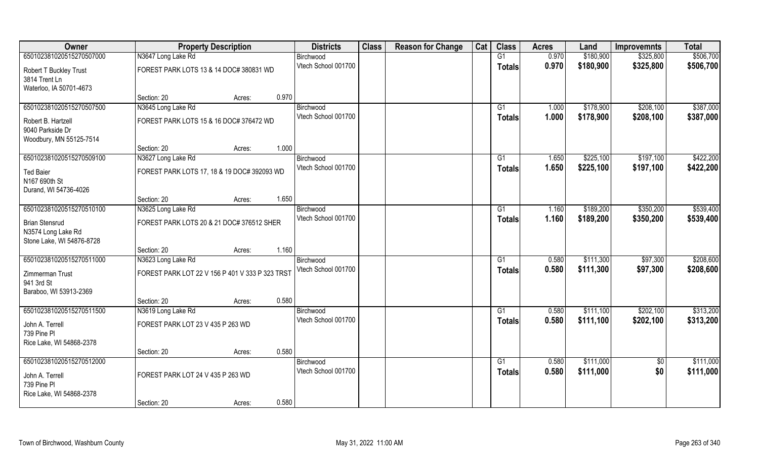| Owner                                                                    | <b>Property Description</b>                     |        |       | <b>Districts</b>    | <b>Class</b> | <b>Reason for Change</b> | Cat | <b>Class</b>    | <b>Acres</b> | Land      | <b>Improvemnts</b> | <b>Total</b> |
|--------------------------------------------------------------------------|-------------------------------------------------|--------|-------|---------------------|--------------|--------------------------|-----|-----------------|--------------|-----------|--------------------|--------------|
| 650102381020515270507000                                                 | N3647 Long Lake Rd                              |        |       | Birchwood           |              |                          |     | G1              | 0.970        | \$180,900 | \$325,800          | \$506,700    |
| Robert T Buckley Trust<br>3814 Trent Ln                                  | FOREST PARK LOTS 13 & 14 DOC# 380831 WD         |        |       | Vtech School 001700 |              |                          |     | <b>Totals</b>   | 0.970        | \$180,900 | \$325,800          | \$506,700    |
| Waterloo, IA 50701-4673                                                  |                                                 |        |       |                     |              |                          |     |                 |              |           |                    |              |
|                                                                          | Section: 20                                     | Acres: | 0.970 |                     |              |                          |     |                 |              |           |                    |              |
| 650102381020515270507500                                                 | N3645 Long Lake Rd                              |        |       | Birchwood           |              |                          |     | G1              | 1.000        | \$178,900 | \$208,100          | \$387,000    |
| Robert B. Hartzell                                                       | FOREST PARK LOTS 15 & 16 DOC# 376472 WD         |        |       | Vtech School 001700 |              |                          |     | <b>Totals</b>   | 1.000        | \$178,900 | \$208,100          | \$387,000    |
| 9040 Parkside Dr                                                         |                                                 |        |       |                     |              |                          |     |                 |              |           |                    |              |
| Woodbury, MN 55125-7514                                                  |                                                 |        |       |                     |              |                          |     |                 |              |           |                    |              |
|                                                                          | Section: 20                                     | Acres: | 1.000 |                     |              |                          |     |                 |              |           |                    |              |
| 650102381020515270509100                                                 | N3627 Long Lake Rd                              |        |       | Birchwood           |              |                          |     | G1              | 1.650        | \$225,100 | \$197,100          | \$422,200    |
| <b>Ted Baier</b>                                                         | FOREST PARK LOTS 17, 18 & 19 DOC# 392093 WD     |        |       | Vtech School 001700 |              |                          |     | <b>Totals</b>   | 1.650        | \$225,100 | \$197,100          | \$422,200    |
| N167 690th St                                                            |                                                 |        |       |                     |              |                          |     |                 |              |           |                    |              |
| Durand, WI 54736-4026                                                    |                                                 |        |       |                     |              |                          |     |                 |              |           |                    |              |
|                                                                          | Section: 20                                     | Acres: | 1.650 |                     |              |                          |     |                 |              |           |                    |              |
| 650102381020515270510100                                                 | N3625 Long Lake Rd                              |        |       | Birchwood           |              |                          |     | G1              | 1.160        | \$189,200 | \$350,200          | \$539,400    |
| <b>Brian Stensrud</b><br>N3574 Long Lake Rd<br>Stone Lake, WI 54876-8728 | FOREST PARK LOTS 20 & 21 DOC# 376512 SHER       |        |       | Vtech School 001700 |              |                          |     | <b>Totals</b>   | 1.160        | \$189,200 | \$350,200          | \$539,400    |
|                                                                          | Section: 20                                     | Acres: | 1.160 |                     |              |                          |     |                 |              |           |                    |              |
| 650102381020515270511000                                                 | N3623 Long Lake Rd                              |        |       | Birchwood           |              |                          |     | G1              | 0.580        | \$111,300 | \$97,300           | \$208,600    |
| Zimmerman Trust                                                          | FOREST PARK LOT 22 V 156 P 401 V 333 P 323 TRST |        |       | Vtech School 001700 |              |                          |     | <b>Totals</b>   | 0.580        | \$111,300 | \$97,300           | \$208,600    |
| 941 3rd St                                                               |                                                 |        |       |                     |              |                          |     |                 |              |           |                    |              |
| Baraboo, WI 53913-2369                                                   |                                                 |        |       |                     |              |                          |     |                 |              |           |                    |              |
|                                                                          | Section: 20                                     | Acres: | 0.580 |                     |              |                          |     |                 |              |           |                    |              |
| 650102381020515270511500                                                 | N3619 Long Lake Rd                              |        |       | Birchwood           |              |                          |     | G1              | 0.580        | \$111,100 | \$202,100          | \$313,200    |
| John A. Terrell                                                          | FOREST PARK LOT 23 V 435 P 263 WD               |        |       | Vtech School 001700 |              |                          |     | <b>Totals</b>   | 0.580        | \$111,100 | \$202,100          | \$313,200    |
| 739 Pine Pl                                                              |                                                 |        |       |                     |              |                          |     |                 |              |           |                    |              |
| Rice Lake, WI 54868-2378                                                 |                                                 |        |       |                     |              |                          |     |                 |              |           |                    |              |
|                                                                          | Section: 20                                     | Acres: | 0.580 |                     |              |                          |     |                 |              |           |                    |              |
| 650102381020515270512000                                                 |                                                 |        |       | Birchwood           |              |                          |     | $\overline{G1}$ | 0.580        | \$111,000 | $\overline{50}$    | \$111,000    |
| John A. Terrell                                                          | FOREST PARK LOT 24 V 435 P 263 WD               |        |       | Vtech School 001700 |              |                          |     | <b>Totals</b>   | 0.580        | \$111,000 | \$0                | \$111,000    |
| 739 Pine PI                                                              |                                                 |        |       |                     |              |                          |     |                 |              |           |                    |              |
| Rice Lake, WI 54868-2378                                                 |                                                 |        |       |                     |              |                          |     |                 |              |           |                    |              |
|                                                                          | Section: 20                                     | Acres: | 0.580 |                     |              |                          |     |                 |              |           |                    |              |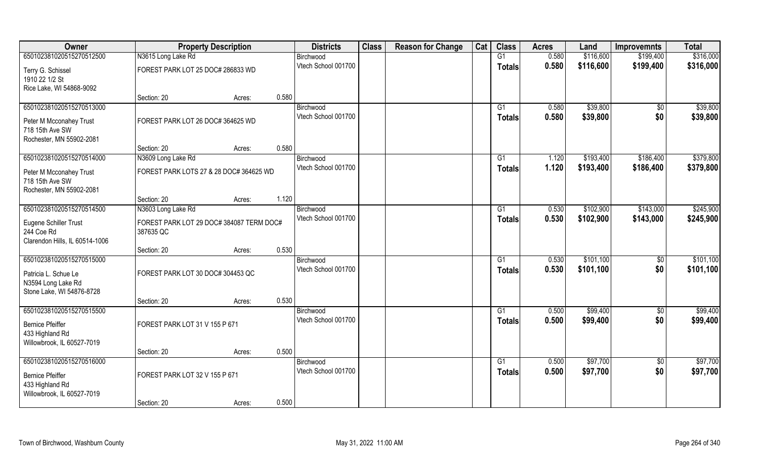| Owner                               | <b>Property Description</b>              |        |       | <b>Districts</b>    | <b>Class</b> | <b>Reason for Change</b> | Cat | <b>Class</b>  | <b>Acres</b> | Land      | <b>Improvemnts</b> | <b>Total</b> |
|-------------------------------------|------------------------------------------|--------|-------|---------------------|--------------|--------------------------|-----|---------------|--------------|-----------|--------------------|--------------|
| 650102381020515270512500            | N3615 Long Lake Rd                       |        |       | Birchwood           |              |                          |     | G1            | 0.580        | \$116,600 | \$199,400          | \$316,000    |
| Terry G. Schissel<br>1910 22 1/2 St | FOREST PARK LOT 25 DOC# 286833 WD        |        |       | Vtech School 001700 |              |                          |     | <b>Totals</b> | 0.580        | \$116,600 | \$199,400          | \$316,000    |
| Rice Lake, WI 54868-9092            |                                          |        |       |                     |              |                          |     |               |              |           |                    |              |
|                                     | Section: 20                              | Acres: | 0.580 |                     |              |                          |     |               |              |           |                    |              |
| 650102381020515270513000            |                                          |        |       | Birchwood           |              |                          |     | G1            | 0.580        | \$39,800  | $\overline{50}$    | \$39,800     |
| Peter M Mcconahey Trust             | FOREST PARK LOT 26 DOC# 364625 WD        |        |       | Vtech School 001700 |              |                          |     | <b>Totals</b> | 0.580        | \$39,800  | \$0                | \$39,800     |
| 718 15th Ave SW                     |                                          |        |       |                     |              |                          |     |               |              |           |                    |              |
| Rochester, MN 55902-2081            |                                          |        |       |                     |              |                          |     |               |              |           |                    |              |
|                                     | Section: 20                              | Acres: | 0.580 |                     |              |                          |     |               |              |           |                    |              |
| 650102381020515270514000            | N3609 Long Lake Rd                       |        |       | Birchwood           |              |                          |     | G1            | 1.120        | \$193,400 | \$186,400          | \$379,800    |
| Peter M Mcconahey Trust             | FOREST PARK LOTS 27 & 28 DOC# 364625 WD  |        |       | Vtech School 001700 |              |                          |     | <b>Totals</b> | 1.120        | \$193,400 | \$186,400          | \$379,800    |
| 718 15th Ave SW                     |                                          |        |       |                     |              |                          |     |               |              |           |                    |              |
| Rochester, MN 55902-2081            |                                          |        |       |                     |              |                          |     |               |              |           |                    |              |
|                                     | Section: 20                              | Acres: | 1.120 |                     |              |                          |     |               |              |           |                    |              |
| 650102381020515270514500            | N3603 Long Lake Rd                       |        |       | Birchwood           |              |                          |     | G1            | 0.530        | \$102,900 | \$143,000          | \$245,900    |
| Eugene Schiller Trust               | FOREST PARK LOT 29 DOC# 384087 TERM DOC# |        |       | Vtech School 001700 |              |                          |     | Totals        | 0.530        | \$102,900 | \$143,000          | \$245,900    |
| 244 Coe Rd                          | 387635 QC                                |        |       |                     |              |                          |     |               |              |           |                    |              |
| Clarendon Hills, IL 60514-1006      |                                          |        |       |                     |              |                          |     |               |              |           |                    |              |
|                                     | Section: 20                              | Acres: | 0.530 |                     |              |                          |     |               |              |           |                    |              |
| 650102381020515270515000            |                                          |        |       | Birchwood           |              |                          |     | G1            | 0.530        | \$101,100 | \$0                | \$101,100    |
| Patricia L. Schue Le                | FOREST PARK LOT 30 DOC# 304453 QC        |        |       | Vtech School 001700 |              |                          |     | <b>Totals</b> | 0.530        | \$101,100 | \$0                | \$101,100    |
| N3594 Long Lake Rd                  |                                          |        |       |                     |              |                          |     |               |              |           |                    |              |
| Stone Lake, WI 54876-8728           |                                          |        |       |                     |              |                          |     |               |              |           |                    |              |
|                                     | Section: 20                              | Acres: | 0.530 |                     |              |                          |     |               |              |           |                    |              |
| 650102381020515270515500            |                                          |        |       | Birchwood           |              |                          |     | G1            | 0.500        | \$99,400  | \$0                | \$99,400     |
| <b>Bernice Pfeiffer</b>             | FOREST PARK LOT 31 V 155 P 671           |        |       | Vtech School 001700 |              |                          |     | <b>Totals</b> | 0.500        | \$99,400  | \$0                | \$99,400     |
| 433 Highland Rd                     |                                          |        |       |                     |              |                          |     |               |              |           |                    |              |
| Willowbrook, IL 60527-7019          |                                          |        |       |                     |              |                          |     |               |              |           |                    |              |
|                                     | Section: 20                              | Acres: | 0.500 |                     |              |                          |     |               |              |           |                    |              |
| 650102381020515270516000            |                                          |        |       | Birchwood           |              |                          |     | G1            | 0.500        | \$97,700  | $\sqrt{$0}$        | \$97,700     |
| <b>Bernice Pfeiffer</b>             | FOREST PARK LOT 32 V 155 P 671           |        |       | Vtech School 001700 |              |                          |     | <b>Totals</b> | 0.500        | \$97,700  | \$0                | \$97,700     |
| 433 Highland Rd                     |                                          |        |       |                     |              |                          |     |               |              |           |                    |              |
| Willowbrook, IL 60527-7019          |                                          |        |       |                     |              |                          |     |               |              |           |                    |              |
|                                     | Section: 20                              | Acres: | 0.500 |                     |              |                          |     |               |              |           |                    |              |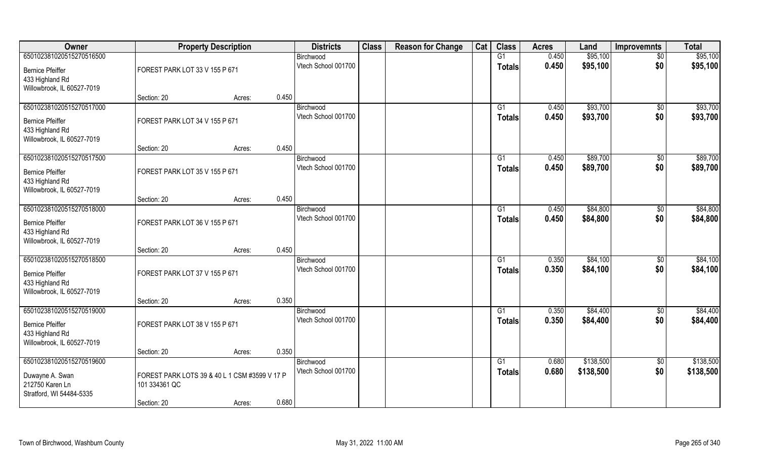| Owner                      |                                               | <b>Property Description</b> |       | <b>Districts</b>    | <b>Class</b> | <b>Reason for Change</b> | Cat | <b>Class</b>  | <b>Acres</b> | Land      | <b>Improvemnts</b> | <b>Total</b> |
|----------------------------|-----------------------------------------------|-----------------------------|-------|---------------------|--------------|--------------------------|-----|---------------|--------------|-----------|--------------------|--------------|
| 650102381020515270516500   |                                               |                             |       | Birchwood           |              |                          |     | G1            | 0.450        | \$95,100  | $\sqrt{6}$         | \$95,100     |
| <b>Bernice Pfeiffer</b>    | FOREST PARK LOT 33 V 155 P 671                |                             |       | Vtech School 001700 |              |                          |     | <b>Totals</b> | 0.450        | \$95,100  | \$0                | \$95,100     |
| 433 Highland Rd            |                                               |                             |       |                     |              |                          |     |               |              |           |                    |              |
| Willowbrook, IL 60527-7019 |                                               |                             |       |                     |              |                          |     |               |              |           |                    |              |
|                            | Section: 20                                   | Acres:                      | 0.450 |                     |              |                          |     |               |              |           |                    |              |
| 650102381020515270517000   |                                               |                             |       | Birchwood           |              |                          |     | G1            | 0.450        | \$93,700  | $\sqrt{$0}$        | \$93,700     |
| <b>Bernice Pfeiffer</b>    | FOREST PARK LOT 34 V 155 P 671                |                             |       | Vtech School 001700 |              |                          |     | Totals        | 0.450        | \$93,700  | \$0                | \$93,700     |
| 433 Highland Rd            |                                               |                             |       |                     |              |                          |     |               |              |           |                    |              |
| Willowbrook, IL 60527-7019 |                                               |                             |       |                     |              |                          |     |               |              |           |                    |              |
|                            | Section: 20                                   | Acres:                      | 0.450 |                     |              |                          |     |               |              |           |                    |              |
| 650102381020515270517500   |                                               |                             |       | Birchwood           |              |                          |     | G1            | 0.450        | \$89,700  | \$0                | \$89,700     |
| <b>Bernice Pfeiffer</b>    | FOREST PARK LOT 35 V 155 P 671                |                             |       | Vtech School 001700 |              |                          |     | Totals        | 0.450        | \$89,700  | \$0                | \$89,700     |
| 433 Highland Rd            |                                               |                             |       |                     |              |                          |     |               |              |           |                    |              |
| Willowbrook, IL 60527-7019 |                                               |                             |       |                     |              |                          |     |               |              |           |                    |              |
|                            | Section: 20                                   | Acres:                      | 0.450 |                     |              |                          |     |               |              |           |                    |              |
| 650102381020515270518000   |                                               |                             |       | Birchwood           |              |                          |     | G1            | 0.450        | \$84,800  | $\sqrt[6]{3}$      | \$84,800     |
| <b>Bernice Pfeiffer</b>    | FOREST PARK LOT 36 V 155 P 671                |                             |       | Vtech School 001700 |              |                          |     | <b>Totals</b> | 0.450        | \$84,800  | \$0                | \$84,800     |
| 433 Highland Rd            |                                               |                             |       |                     |              |                          |     |               |              |           |                    |              |
| Willowbrook, IL 60527-7019 |                                               |                             |       |                     |              |                          |     |               |              |           |                    |              |
|                            | Section: 20                                   | Acres:                      | 0.450 |                     |              |                          |     |               |              |           |                    |              |
| 650102381020515270518500   |                                               |                             |       | Birchwood           |              |                          |     | G1            | 0.350        | \$84,100  | $\overline{50}$    | \$84,100     |
| <b>Bernice Pfeiffer</b>    | FOREST PARK LOT 37 V 155 P 671                |                             |       | Vtech School 001700 |              |                          |     | Totals        | 0.350        | \$84,100  | \$0                | \$84,100     |
| 433 Highland Rd            |                                               |                             |       |                     |              |                          |     |               |              |           |                    |              |
| Willowbrook, IL 60527-7019 |                                               |                             |       |                     |              |                          |     |               |              |           |                    |              |
|                            | Section: 20                                   | Acres:                      | 0.350 |                     |              |                          |     |               |              |           |                    |              |
| 650102381020515270519000   |                                               |                             |       | Birchwood           |              |                          |     | G1            | 0.350        | \$84,400  | \$0                | \$84,400     |
| <b>Bernice Pfeiffer</b>    | FOREST PARK LOT 38 V 155 P 671                |                             |       | Vtech School 001700 |              |                          |     | <b>Totals</b> | 0.350        | \$84,400  | \$0                | \$84,400     |
| 433 Highland Rd            |                                               |                             |       |                     |              |                          |     |               |              |           |                    |              |
| Willowbrook, IL 60527-7019 |                                               |                             |       |                     |              |                          |     |               |              |           |                    |              |
|                            | Section: 20                                   | Acres:                      | 0.350 |                     |              |                          |     |               |              |           |                    |              |
| 650102381020515270519600   |                                               |                             |       | Birchwood           |              |                          |     | G1            | 0.680        | \$138,500 | $\frac{6}{3}$      | \$138,500    |
| Duwayne A. Swan            | FOREST PARK LOTS 39 & 40 L 1 CSM #3599 V 17 P |                             |       | Vtech School 001700 |              |                          |     | <b>Totals</b> | 0.680        | \$138,500 | \$0                | \$138,500    |
| 212750 Karen Ln            | 101 334361 QC                                 |                             |       |                     |              |                          |     |               |              |           |                    |              |
| Stratford, WI 54484-5335   |                                               |                             |       |                     |              |                          |     |               |              |           |                    |              |
|                            | Section: 20                                   | Acres:                      | 0.680 |                     |              |                          |     |               |              |           |                    |              |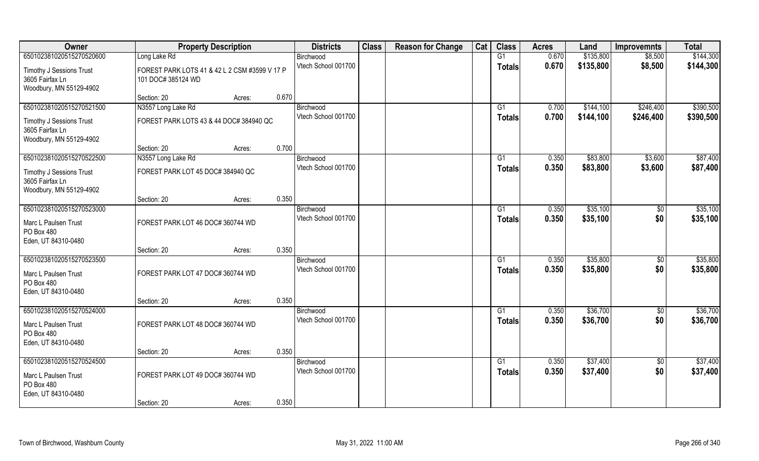| Owner                                              | <b>Property Description</b>                   |        |       | <b>Districts</b>                 | <b>Class</b> | <b>Reason for Change</b> | Cat | <b>Class</b>    | <b>Acres</b>   | Land      | <b>Improvemnts</b> | <b>Total</b> |
|----------------------------------------------------|-----------------------------------------------|--------|-------|----------------------------------|--------------|--------------------------|-----|-----------------|----------------|-----------|--------------------|--------------|
| 650102381020515270520600                           | Long Lake Rd                                  |        |       | Birchwood                        |              |                          |     | G1              | 0.670          | \$135,800 | \$8,500            | \$144,300    |
| <b>Timothy J Sessions Trust</b>                    | FOREST PARK LOTS 41 & 42 L 2 CSM #3599 V 17 P |        |       | Vtech School 001700              |              |                          |     | <b>Totals</b>   | 0.670          | \$135,800 | \$8,500            | \$144,300    |
| 3605 Fairfax Ln                                    | 101 DOC# 385124 WD                            |        |       |                                  |              |                          |     |                 |                |           |                    |              |
| Woodbury, MN 55129-4902                            |                                               |        |       |                                  |              |                          |     |                 |                |           |                    |              |
|                                                    | Section: 20                                   | Acres: | 0.670 |                                  |              |                          |     |                 |                |           |                    |              |
| 650102381020515270521500                           | N3557 Long Lake Rd                            |        |       | Birchwood<br>Vtech School 001700 |              |                          |     | G1              | 0.700<br>0.700 | \$144,100 | \$246,400          | \$390,500    |
| <b>Timothy J Sessions Trust</b>                    | FOREST PARK LOTS 43 & 44 DOC# 384940 QC       |        |       |                                  |              |                          |     | <b>Totals</b>   |                | \$144,100 | \$246,400          | \$390,500    |
| 3605 Fairfax Ln                                    |                                               |        |       |                                  |              |                          |     |                 |                |           |                    |              |
| Woodbury, MN 55129-4902                            | Section: 20                                   | Acres: | 0.700 |                                  |              |                          |     |                 |                |           |                    |              |
| 650102381020515270522500                           | N3557 Long Lake Rd                            |        |       | Birchwood                        |              |                          |     | $\overline{G1}$ | 0.350          | \$83,800  | \$3,600            | \$87,400     |
|                                                    |                                               |        |       | Vtech School 001700              |              |                          |     | <b>Totals</b>   | 0.350          | \$83,800  | \$3,600            | \$87,400     |
| <b>Timothy J Sessions Trust</b><br>3605 Fairfax Ln | FOREST PARK LOT 45 DOC# 384940 QC             |        |       |                                  |              |                          |     |                 |                |           |                    |              |
| Woodbury, MN 55129-4902                            |                                               |        |       |                                  |              |                          |     |                 |                |           |                    |              |
|                                                    | Section: 20                                   | Acres: | 0.350 |                                  |              |                          |     |                 |                |           |                    |              |
| 650102381020515270523000                           |                                               |        |       | Birchwood                        |              |                          |     | G1              | 0.350          | \$35,100  | $\sqrt[6]{3}$      | \$35,100     |
| Marc L Paulsen Trust                               | FOREST PARK LOT 46 DOC# 360744 WD             |        |       | Vtech School 001700              |              |                          |     | Totals          | 0.350          | \$35,100  | \$0                | \$35,100     |
| PO Box 480                                         |                                               |        |       |                                  |              |                          |     |                 |                |           |                    |              |
| Eden, UT 84310-0480                                |                                               |        |       |                                  |              |                          |     |                 |                |           |                    |              |
|                                                    | Section: 20                                   | Acres: | 0.350 |                                  |              |                          |     |                 |                |           |                    |              |
| 650102381020515270523500                           |                                               |        |       | Birchwood<br>Vtech School 001700 |              |                          |     | G1              | 0.350<br>0.350 | \$35,800  | \$0<br>\$0         | \$35,800     |
| Marc L Paulsen Trust                               | FOREST PARK LOT 47 DOC# 360744 WD             |        |       |                                  |              |                          |     | <b>Totals</b>   |                | \$35,800  |                    | \$35,800     |
| PO Box 480                                         |                                               |        |       |                                  |              |                          |     |                 |                |           |                    |              |
| Eden, UT 84310-0480                                | Section: 20                                   | Acres: | 0.350 |                                  |              |                          |     |                 |                |           |                    |              |
| 650102381020515270524000                           |                                               |        |       | Birchwood                        |              |                          |     | G1              | 0.350          | \$36,700  | \$0                | \$36,700     |
|                                                    |                                               |        |       | Vtech School 001700              |              |                          |     | <b>Totals</b>   | 0.350          | \$36,700  | \$0                | \$36,700     |
| Marc L Paulsen Trust<br>PO Box 480                 | FOREST PARK LOT 48 DOC# 360744 WD             |        |       |                                  |              |                          |     |                 |                |           |                    |              |
| Eden, UT 84310-0480                                |                                               |        |       |                                  |              |                          |     |                 |                |           |                    |              |
|                                                    | Section: 20                                   | Acres: | 0.350 |                                  |              |                          |     |                 |                |           |                    |              |
| 650102381020515270524500                           |                                               |        |       | Birchwood                        |              |                          |     | $\overline{G1}$ | 0.350          | \$37,400  | $\sqrt{$0}$        | \$37,400     |
| Marc L Paulsen Trust                               | FOREST PARK LOT 49 DOC# 360744 WD             |        |       | Vtech School 001700              |              |                          |     | <b>Totals</b>   | 0.350          | \$37,400  | \$0                | \$37,400     |
| PO Box 480                                         |                                               |        |       |                                  |              |                          |     |                 |                |           |                    |              |
| Eden, UT 84310-0480                                |                                               |        |       |                                  |              |                          |     |                 |                |           |                    |              |
|                                                    | Section: 20                                   | Acres: | 0.350 |                                  |              |                          |     |                 |                |           |                    |              |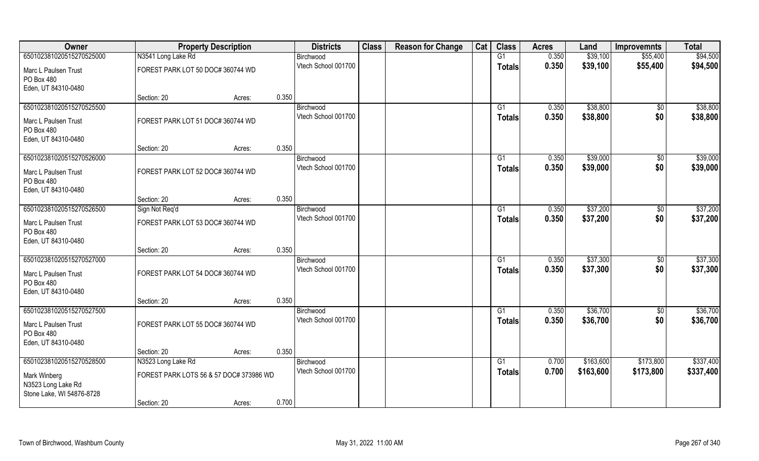| Owner                                                           |                                         | <b>Property Description</b> |       | <b>Districts</b>    | <b>Class</b> | <b>Reason for Change</b> | Cat | <b>Class</b>  | <b>Acres</b> | Land      | <b>Improvemnts</b> | <b>Total</b> |
|-----------------------------------------------------------------|-----------------------------------------|-----------------------------|-------|---------------------|--------------|--------------------------|-----|---------------|--------------|-----------|--------------------|--------------|
| 650102381020515270525000                                        | N3541 Long Lake Rd                      |                             |       | Birchwood           |              |                          |     | G1            | 0.350        | \$39,100  | \$55,400           | \$94,500     |
| Marc L Paulsen Trust<br>PO Box 480                              | FOREST PARK LOT 50 DOC# 360744 WD       |                             |       | Vtech School 001700 |              |                          |     | <b>Totals</b> | 0.350        | \$39,100  | \$55,400           | \$94,500     |
| Eden, UT 84310-0480                                             |                                         |                             |       |                     |              |                          |     |               |              |           |                    |              |
|                                                                 | Section: 20                             | Acres:                      | 0.350 |                     |              |                          |     |               |              |           |                    |              |
| 650102381020515270525500                                        |                                         |                             |       | Birchwood           |              |                          |     | G1            | 0.350        | \$38,800  | $\overline{50}$    | \$38,800     |
| Marc L Paulsen Trust<br>PO Box 480                              | FOREST PARK LOT 51 DOC# 360744 WD       |                             |       | Vtech School 001700 |              |                          |     | <b>Totals</b> | 0.350        | \$38,800  | \$0                | \$38,800     |
| Eden, UT 84310-0480                                             | Section: 20                             | Acres:                      | 0.350 |                     |              |                          |     |               |              |           |                    |              |
| 650102381020515270526000                                        |                                         |                             |       | Birchwood           |              |                          |     | G1            | 0.350        | \$39,000  | \$0                | \$39,000     |
| Marc L Paulsen Trust<br>PO Box 480<br>Eden, UT 84310-0480       | FOREST PARK LOT 52 DOC# 360744 WD       |                             |       | Vtech School 001700 |              |                          |     | <b>Totals</b> | 0.350        | \$39,000  | \$0                | \$39,000     |
|                                                                 | Section: 20                             | Acres:                      | 0.350 |                     |              |                          |     |               |              |           |                    |              |
| 650102381020515270526500                                        | Sign Not Req'd                          |                             |       | Birchwood           |              |                          |     | G1            | 0.350        | \$37,200  | \$0                | \$37,200     |
| Marc L Paulsen Trust                                            | FOREST PARK LOT 53 DOC# 360744 WD       |                             |       | Vtech School 001700 |              |                          |     | <b>Totals</b> | 0.350        | \$37,200  | \$0                | \$37,200     |
| PO Box 480<br>Eden, UT 84310-0480                               |                                         |                             |       |                     |              |                          |     |               |              |           |                    |              |
|                                                                 | Section: 20                             | Acres:                      | 0.350 |                     |              |                          |     |               |              |           |                    |              |
| 650102381020515270527000                                        |                                         |                             |       | Birchwood           |              |                          |     | G1            | 0.350        | \$37,300  | \$0                | \$37,300     |
| Marc L Paulsen Trust<br>PO Box 480                              | FOREST PARK LOT 54 DOC# 360744 WD       |                             |       | Vtech School 001700 |              |                          |     | <b>Totals</b> | 0.350        | \$37,300  | \$0                | \$37,300     |
| Eden, UT 84310-0480                                             | Section: 20                             | Acres:                      | 0.350 |                     |              |                          |     |               |              |           |                    |              |
| 650102381020515270527500                                        |                                         |                             |       | Birchwood           |              |                          |     | G1            | 0.350        | \$36,700  | \$0                | \$36,700     |
| Marc L Paulsen Trust<br>PO Box 480<br>Eden, UT 84310-0480       | FOREST PARK LOT 55 DOC# 360744 WD       |                             |       | Vtech School 001700 |              |                          |     | <b>Totals</b> | 0.350        | \$36,700  | \$0                | \$36,700     |
|                                                                 | Section: 20                             | Acres:                      | 0.350 |                     |              |                          |     |               |              |           |                    |              |
| 650102381020515270528500                                        | N3523 Long Lake Rd                      |                             |       | Birchwood           |              |                          |     | G1            | 0.700        | \$163,600 | \$173,800          | \$337,400    |
| Mark Winberg<br>N3523 Long Lake Rd<br>Stone Lake, WI 54876-8728 | FOREST PARK LOTS 56 & 57 DOC# 373986 WD |                             |       | Vtech School 001700 |              |                          |     | <b>Totals</b> | 0.700        | \$163,600 | \$173,800          | \$337,400    |
|                                                                 | Section: 20                             | Acres:                      | 0.700 |                     |              |                          |     |               |              |           |                    |              |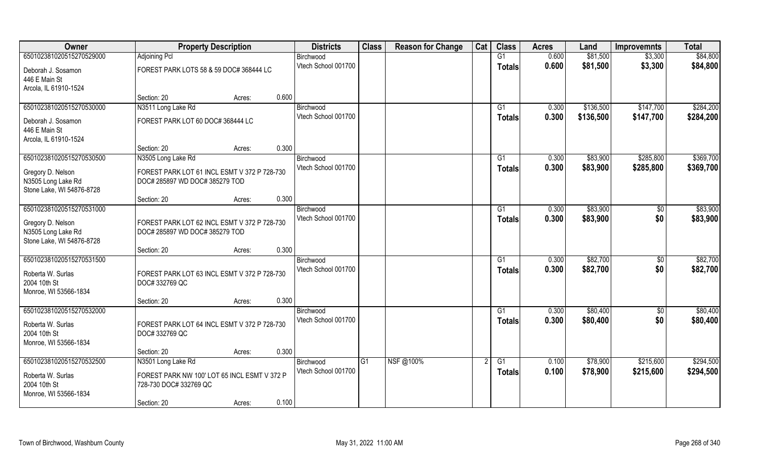| Owner                     | <b>Property Description</b>                  | <b>Districts</b>    | <b>Class</b> | <b>Reason for Change</b> | Cat | <b>Class</b>    | <b>Acres</b> | Land      | <b>Improvemnts</b> | <b>Total</b> |
|---------------------------|----------------------------------------------|---------------------|--------------|--------------------------|-----|-----------------|--------------|-----------|--------------------|--------------|
| 650102381020515270529000  | Adjoining Pcl                                | Birchwood           |              |                          |     | G1              | 0.600        | \$81,500  | \$3,300            | \$84,800     |
| Deborah J. Sosamon        | FOREST PARK LOTS 58 & 59 DOC# 368444 LC      | Vtech School 001700 |              |                          |     | <b>Totals</b>   | 0.600        | \$81,500  | \$3,300            | \$84,800     |
| 446 E Main St             |                                              |                     |              |                          |     |                 |              |           |                    |              |
| Arcola, IL 61910-1524     |                                              |                     |              |                          |     |                 |              |           |                    |              |
|                           | 0.600<br>Section: 20<br>Acres:               |                     |              |                          |     |                 |              |           |                    |              |
| 650102381020515270530000  | N3511 Long Lake Rd                           | Birchwood           |              |                          |     | G <sub>1</sub>  | 0.300        | \$136,500 | \$147,700          | \$284,200    |
| Deborah J. Sosamon        | FOREST PARK LOT 60 DOC# 368444 LC            | Vtech School 001700 |              |                          |     | <b>Totals</b>   | 0.300        | \$136,500 | \$147,700          | \$284,200    |
| 446 E Main St             |                                              |                     |              |                          |     |                 |              |           |                    |              |
| Arcola, IL 61910-1524     |                                              |                     |              |                          |     |                 |              |           |                    |              |
|                           | 0.300<br>Section: 20<br>Acres:               |                     |              |                          |     |                 |              |           |                    |              |
| 650102381020515270530500  | N3505 Long Lake Rd                           | Birchwood           |              |                          |     | G1              | 0.300        | \$83,900  | \$285,800          | \$369,700    |
| Gregory D. Nelson         | FOREST PARK LOT 61 INCL ESMT V 372 P 728-730 | Vtech School 001700 |              |                          |     | <b>Totals</b>   | 0.300        | \$83,900  | \$285,800          | \$369,700    |
| N3505 Long Lake Rd        | DOC# 285897 WD DOC# 385279 TOD               |                     |              |                          |     |                 |              |           |                    |              |
| Stone Lake, WI 54876-8728 |                                              |                     |              |                          |     |                 |              |           |                    |              |
|                           | 0.300<br>Section: 20<br>Acres:               |                     |              |                          |     |                 |              |           |                    |              |
| 650102381020515270531000  |                                              | Birchwood           |              |                          |     | G1              | 0.300        | \$83,900  | $\sqrt{50}$        | \$83,900     |
| Gregory D. Nelson         | FOREST PARK LOT 62 INCL ESMT V 372 P 728-730 | Vtech School 001700 |              |                          |     | <b>Totals</b>   | 0.300        | \$83,900  | \$0                | \$83,900     |
| N3505 Long Lake Rd        | DOC# 285897 WD DOC# 385279 TOD               |                     |              |                          |     |                 |              |           |                    |              |
| Stone Lake, WI 54876-8728 |                                              |                     |              |                          |     |                 |              |           |                    |              |
|                           | 0.300<br>Section: 20<br>Acres:               |                     |              |                          |     |                 |              |           |                    |              |
| 650102381020515270531500  |                                              | Birchwood           |              |                          |     | G1              | 0.300        | \$82,700  | \$0                | \$82,700     |
| Roberta W. Surlas         | FOREST PARK LOT 63 INCL ESMT V 372 P 728-730 | Vtech School 001700 |              |                          |     | <b>Totals</b>   | 0.300        | \$82,700  | \$0                | \$82,700     |
| 2004 10th St              | DOC# 332769 QC                               |                     |              |                          |     |                 |              |           |                    |              |
| Monroe, WI 53566-1834     |                                              |                     |              |                          |     |                 |              |           |                    |              |
|                           | 0.300<br>Section: 20<br>Acres:               |                     |              |                          |     |                 |              |           |                    |              |
| 650102381020515270532000  |                                              | Birchwood           |              |                          |     | $\overline{G1}$ | 0.300        | \$80,400  | $\overline{50}$    | \$80,400     |
| Roberta W. Surlas         | FOREST PARK LOT 64 INCL ESMT V 372 P 728-730 | Vtech School 001700 |              |                          |     | <b>Totals</b>   | 0.300        | \$80,400  | \$0                | \$80,400     |
| 2004 10th St              | DOC# 332769 QC                               |                     |              |                          |     |                 |              |           |                    |              |
| Monroe, WI 53566-1834     |                                              |                     |              |                          |     |                 |              |           |                    |              |
|                           | 0.300<br>Section: 20<br>Acres:               |                     |              |                          |     |                 |              |           |                    |              |
| 650102381020515270532500  | N3501 Long Lake Rd                           | Birchwood           | IG1          | NSF@100%                 |     | G1              | 0.100        | \$78,900  | \$215,600          | \$294,500    |
| Roberta W. Surlas         | FOREST PARK NW 100' LOT 65 INCL ESMT V 372 P | Vtech School 001700 |              |                          |     | <b>Totals</b>   | 0.100        | \$78,900  | \$215,600          | \$294,500    |
| 2004 10th St              | 728-730 DOC# 332769 QC                       |                     |              |                          |     |                 |              |           |                    |              |
| Monroe, WI 53566-1834     |                                              |                     |              |                          |     |                 |              |           |                    |              |
|                           | 0.100<br>Section: 20<br>Acres:               |                     |              |                          |     |                 |              |           |                    |              |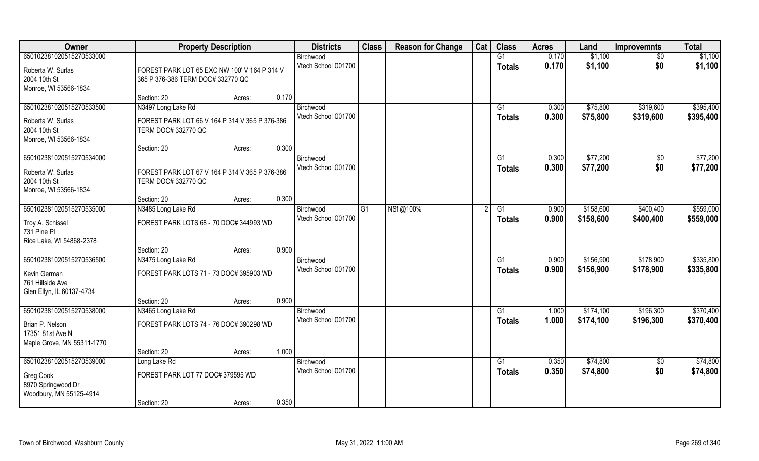| Owner                                                             | <b>Property Description</b>                                                       | <b>Districts</b>    | <b>Class</b> | <b>Reason for Change</b> | Cat | <b>Class</b>  | <b>Acres</b> | Land      | <b>Improvemnts</b> | <b>Total</b> |
|-------------------------------------------------------------------|-----------------------------------------------------------------------------------|---------------------|--------------|--------------------------|-----|---------------|--------------|-----------|--------------------|--------------|
| 650102381020515270533000                                          |                                                                                   | Birchwood           |              |                          |     | G1            | 0.170        | \$1,100   | $\sqrt{6}$         | \$1,100      |
| Roberta W. Surlas<br>2004 10th St<br>Monroe, WI 53566-1834        | FOREST PARK LOT 65 EXC NW 100' V 164 P 314 V<br>365 P 376-386 TERM DOC# 332770 QC | Vtech School 001700 |              |                          |     | <b>Totals</b> | 0.170        | \$1,100   | \$0                | \$1,100      |
|                                                                   | 0.170<br>Section: 20<br>Acres:                                                    |                     |              |                          |     |               |              |           |                    |              |
| 650102381020515270533500                                          | N3497 Long Lake Rd                                                                | Birchwood           |              |                          |     | G1            | 0.300        | \$75,800  | \$319,600          | \$395,400    |
| Roberta W. Surlas<br>2004 10th St<br>Monroe, WI 53566-1834        | FOREST PARK LOT 66 V 164 P 314 V 365 P 376-386<br>TERM DOC# 332770 QC             | Vtech School 001700 |              |                          |     | Totals        | 0.300        | \$75,800  | \$319,600          | \$395,400    |
|                                                                   | 0.300<br>Section: 20<br>Acres:                                                    |                     |              |                          |     |               |              |           |                    |              |
| 650102381020515270534000                                          |                                                                                   | Birchwood           |              |                          |     | G1            | 0.300        | \$77,200  | \$0                | \$77,200     |
| Roberta W. Surlas<br>2004 10th St<br>Monroe, WI 53566-1834        | FOREST PARK LOT 67 V 164 P 314 V 365 P 376-386<br>TERM DOC# 332770 QC             | Vtech School 001700 |              |                          |     | <b>Totals</b> | 0.300        | \$77,200  | \$0                | \$77,200     |
|                                                                   | 0.300<br>Section: 20<br>Acres:                                                    |                     |              |                          |     |               |              |           |                    |              |
| 650102381020515270535000                                          | N3485 Long Lake Rd                                                                | Birchwood           | G1           | NSf@100%                 |     | G1            | 0.900        | \$158,600 | \$400,400          | \$559,000    |
| Troy A. Schissel<br>731 Pine Pl<br>Rice Lake, WI 54868-2378       | FOREST PARK LOTS 68 - 70 DOC# 344993 WD                                           | Vtech School 001700 |              |                          |     | <b>Totals</b> | 0.900        | \$158,600 | \$400,400          | \$559,000    |
|                                                                   | 0.900<br>Section: 20<br>Acres:                                                    |                     |              |                          |     |               |              |           |                    |              |
| 650102381020515270536500                                          | N3475 Long Lake Rd                                                                | Birchwood           |              |                          |     | G1            | 0.900        | \$156,900 | \$178,900          | \$335,800    |
| Kevin German<br>761 Hillside Ave                                  | FOREST PARK LOTS 71 - 73 DOC# 395903 WD                                           | Vtech School 001700 |              |                          |     | <b>Totals</b> | 0.900        | \$156,900 | \$178,900          | \$335,800    |
| Glen Ellyn, IL 60137-4734                                         | 0.900<br>Section: 20<br>Acres:                                                    |                     |              |                          |     |               |              |           |                    |              |
| 650102381020515270538000                                          | N3465 Long Lake Rd                                                                | Birchwood           |              |                          |     | G1            | 1.000        | \$174,100 | \$196,300          | \$370,400    |
| Brian P. Nelson<br>17351 81st Ave N<br>Maple Grove, MN 55311-1770 | FOREST PARK LOTS 74 - 76 DOC# 390298 WD                                           | Vtech School 001700 |              |                          |     | <b>Totals</b> | 1.000        | \$174,100 | \$196,300          | \$370,400    |
|                                                                   | 1.000<br>Section: 20<br>Acres:                                                    |                     |              |                          |     |               |              |           |                    |              |
| 650102381020515270539000                                          | Long Lake Rd                                                                      | Birchwood           |              |                          |     | G1            | 0.350        | \$74,800  | $\overline{50}$    | \$74,800     |
| Greg Cook<br>8970 Springwood Dr<br>Woodbury, MN 55125-4914        | FOREST PARK LOT 77 DOC# 379595 WD                                                 | Vtech School 001700 |              |                          |     | <b>Totals</b> | 0.350        | \$74,800  | \$0                | \$74,800     |
|                                                                   | 0.350<br>Section: 20<br>Acres:                                                    |                     |              |                          |     |               |              |           |                    |              |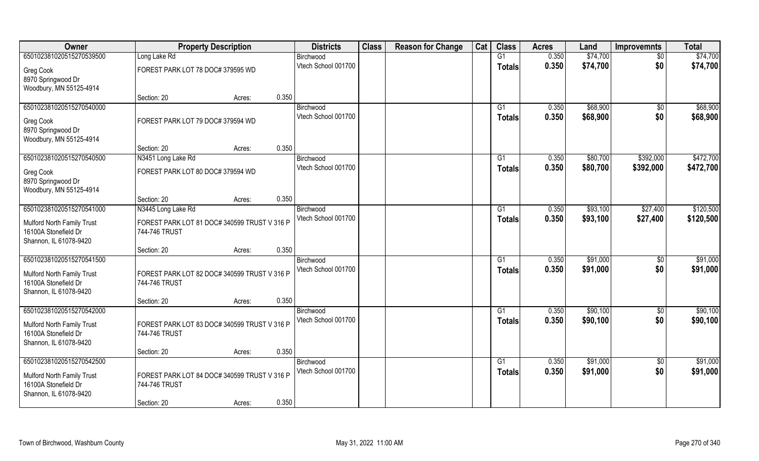| Owner                                              | <b>Property Description</b>                                   |        |       | <b>Districts</b>    | <b>Class</b> | <b>Reason for Change</b> | Cat | <b>Class</b>  | <b>Acres</b> | Land     | <b>Improvemnts</b> | <b>Total</b> |
|----------------------------------------------------|---------------------------------------------------------------|--------|-------|---------------------|--------------|--------------------------|-----|---------------|--------------|----------|--------------------|--------------|
| 650102381020515270539500                           | Long Lake Rd                                                  |        |       | Birchwood           |              |                          |     | G1            | 0.350        | \$74,700 | \$0                | \$74,700     |
| Greg Cook                                          | FOREST PARK LOT 78 DOC# 379595 WD                             |        |       | Vtech School 001700 |              |                          |     | <b>Totals</b> | 0.350        | \$74,700 | \$0                | \$74,700     |
| 8970 Springwood Dr<br>Woodbury, MN 55125-4914      |                                                               |        |       |                     |              |                          |     |               |              |          |                    |              |
|                                                    | Section: 20                                                   | Acres: | 0.350 |                     |              |                          |     |               |              |          |                    |              |
| 650102381020515270540000                           |                                                               |        |       | Birchwood           |              |                          |     | G1            | 0.350        | \$68,900 | $\sqrt[6]{}$       | \$68,900     |
| Greg Cook                                          | FOREST PARK LOT 79 DOC# 379594 WD                             |        |       | Vtech School 001700 |              |                          |     | <b>Totals</b> | 0.350        | \$68,900 | \$0                | \$68,900     |
| 8970 Springwood Dr                                 |                                                               |        |       |                     |              |                          |     |               |              |          |                    |              |
| Woodbury, MN 55125-4914                            |                                                               |        |       |                     |              |                          |     |               |              |          |                    |              |
|                                                    | Section: 20                                                   | Acres: | 0.350 |                     |              |                          |     |               |              |          |                    |              |
| 650102381020515270540500                           | N3451 Long Lake Rd                                            |        |       | Birchwood           |              |                          |     | G1            | 0.350        | \$80,700 | \$392,000          | \$472,700    |
| Greg Cook                                          | FOREST PARK LOT 80 DOC# 379594 WD                             |        |       | Vtech School 001700 |              |                          |     | <b>Totals</b> | 0.350        | \$80,700 | \$392,000          | \$472,700    |
| 8970 Springwood Dr                                 |                                                               |        |       |                     |              |                          |     |               |              |          |                    |              |
| Woodbury, MN 55125-4914                            |                                                               |        |       |                     |              |                          |     |               |              |          |                    |              |
|                                                    | Section: 20                                                   | Acres: | 0.350 |                     |              |                          |     |               |              |          |                    |              |
| 650102381020515270541000                           | N3445 Long Lake Rd                                            |        |       | Birchwood           |              |                          |     | G1            | 0.350        | \$93,100 | \$27,400           | \$120,500    |
|                                                    | FOREST PARK LOT 81 DOC# 340599 TRUST V 316 P                  |        |       | Vtech School 001700 |              |                          |     | <b>Totals</b> | 0.350        | \$93,100 | \$27,400           | \$120,500    |
| Mulford North Family Trust<br>16100A Stonefield Dr | 744-746 TRUST                                                 |        |       |                     |              |                          |     |               |              |          |                    |              |
| Shannon, IL 61078-9420                             |                                                               |        |       |                     |              |                          |     |               |              |          |                    |              |
|                                                    | Section: 20                                                   | Acres: | 0.350 |                     |              |                          |     |               |              |          |                    |              |
| 650102381020515270541500                           |                                                               |        |       | Birchwood           |              |                          |     | G1            | 0.350        | \$91,000 | $\overline{50}$    | \$91,000     |
|                                                    |                                                               |        |       | Vtech School 001700 |              |                          |     | <b>Totals</b> | 0.350        | \$91,000 | \$0                | \$91,000     |
| Mulford North Family Trust<br>16100A Stonefield Dr | FOREST PARK LOT 82 DOC# 340599 TRUST V 316 P<br>744-746 TRUST |        |       |                     |              |                          |     |               |              |          |                    |              |
| Shannon, IL 61078-9420                             |                                                               |        |       |                     |              |                          |     |               |              |          |                    |              |
|                                                    | Section: 20                                                   | Acres: | 0.350 |                     |              |                          |     |               |              |          |                    |              |
| 650102381020515270542000                           |                                                               |        |       | Birchwood           |              |                          |     | G1            | 0.350        | \$90,100 | \$0                | \$90,100     |
|                                                    |                                                               |        |       | Vtech School 001700 |              |                          |     | <b>Totals</b> | 0.350        | \$90,100 | \$0                | \$90,100     |
| Mulford North Family Trust                         | FOREST PARK LOT 83 DOC# 340599 TRUST V 316 P                  |        |       |                     |              |                          |     |               |              |          |                    |              |
| 16100A Stonefield Dr                               | 744-746 TRUST                                                 |        |       |                     |              |                          |     |               |              |          |                    |              |
| Shannon, IL 61078-9420                             |                                                               |        | 0.350 |                     |              |                          |     |               |              |          |                    |              |
| 650102381020515270542500                           | Section: 20                                                   | Acres: |       | Birchwood           |              |                          |     | G1            | 0.350        | \$91,000 | $\overline{50}$    | \$91,000     |
|                                                    |                                                               |        |       | Vtech School 001700 |              |                          |     |               | 0.350        | \$91,000 | \$0                | \$91,000     |
| Mulford North Family Trust                         | FOREST PARK LOT 84 DOC# 340599 TRUST V 316 P                  |        |       |                     |              |                          |     | <b>Totals</b> |              |          |                    |              |
| 16100A Stonefield Dr                               | 744-746 TRUST                                                 |        |       |                     |              |                          |     |               |              |          |                    |              |
| Shannon, IL 61078-9420                             |                                                               |        |       |                     |              |                          |     |               |              |          |                    |              |
|                                                    | Section: 20                                                   | Acres: | 0.350 |                     |              |                          |     |               |              |          |                    |              |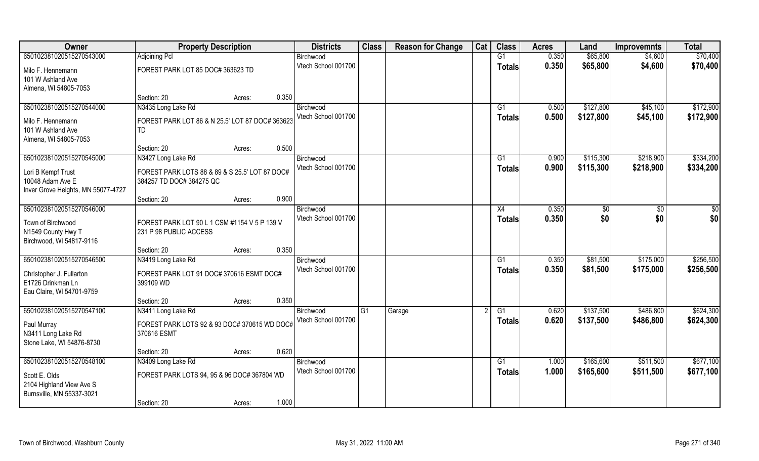| Owner                              | <b>Property Description</b>                     |                 | <b>Districts</b>                 | <b>Class</b>   | <b>Reason for Change</b> | Cat | <b>Class</b>   | <b>Acres</b> | Land      | <b>Improvemnts</b> | <b>Total</b>  |
|------------------------------------|-------------------------------------------------|-----------------|----------------------------------|----------------|--------------------------|-----|----------------|--------------|-----------|--------------------|---------------|
| 650102381020515270543000           | <b>Adjoining Pcl</b>                            |                 | Birchwood                        |                |                          |     | G1             | 0.350        | \$65,800  | \$4,600            | \$70,400      |
| Milo F. Hennemann                  | FOREST PARK LOT 85 DOC# 363623 TD               |                 | Vtech School 001700              |                |                          |     | <b>Totals</b>  | 0.350        | \$65,800  | \$4,600            | \$70,400      |
| 101 W Ashland Ave                  |                                                 |                 |                                  |                |                          |     |                |              |           |                    |               |
| Almena, WI 54805-7053              |                                                 |                 |                                  |                |                          |     |                |              |           |                    |               |
|                                    | Section: 20                                     | 0.350<br>Acres: |                                  |                |                          |     |                |              |           |                    |               |
| 650102381020515270544000           | N3435 Long Lake Rd                              |                 | Birchwood                        |                |                          |     | G <sub>1</sub> | 0.500        | \$127,800 | \$45,100           | \$172,900     |
| Milo F. Hennemann                  | FOREST PARK LOT 86 & N 25.5' LOT 87 DOC# 363623 |                 | Vtech School 001700              |                |                          |     | <b>Totals</b>  | 0.500        | \$127,800 | \$45,100           | \$172,900     |
| 101 W Ashland Ave                  | TD                                              |                 |                                  |                |                          |     |                |              |           |                    |               |
| Almena, WI 54805-7053              |                                                 |                 |                                  |                |                          |     |                |              |           |                    |               |
|                                    | Section: 20                                     | 0.500<br>Acres: |                                  |                |                          |     |                |              |           |                    |               |
| 650102381020515270545000           | N3427 Long Lake Rd                              |                 | Birchwood                        |                |                          |     | G1             | 0.900        | \$115,300 | \$218,900          | \$334,200     |
| Lori B Kempf Trust                 | FOREST PARK LOTS 88 & 89 & S 25.5' LOT 87 DOC#  |                 | Vtech School 001700              |                |                          |     | <b>Totals</b>  | 0.900        | \$115,300 | \$218,900          | \$334,200     |
| 10048 Adam Ave E                   | 384257 TD DOC# 384275 QC                        |                 |                                  |                |                          |     |                |              |           |                    |               |
| Inver Grove Heights, MN 55077-4727 |                                                 |                 |                                  |                |                          |     |                |              |           |                    |               |
|                                    | Section: 20                                     | 0.900<br>Acres: |                                  |                |                          |     |                |              |           |                    |               |
| 650102381020515270546000           |                                                 |                 | Birchwood                        |                |                          |     | X4             | 0.350        | \$0       | $\sqrt{50}$        | $\frac{6}{3}$ |
| Town of Birchwood                  | FOREST PARK LOT 90 L 1 CSM #1154 V 5 P 139 V    |                 | Vtech School 001700              |                |                          |     | <b>Totals</b>  | 0.350        | \$0       | \$0                | \$0           |
| N1549 County Hwy T                 | 231 P 98 PUBLIC ACCESS                          |                 |                                  |                |                          |     |                |              |           |                    |               |
| Birchwood, WI 54817-9116           |                                                 |                 |                                  |                |                          |     |                |              |           |                    |               |
|                                    | Section: 20                                     | 0.350<br>Acres: |                                  |                |                          |     |                |              |           |                    |               |
| 650102381020515270546500           | N3419 Long Lake Rd                              |                 | Birchwood                        |                |                          |     | G1             | 0.350        | \$81,500  | \$175,000          | \$256,500     |
| Christopher J. Fullarton           | FOREST PARK LOT 91 DOC# 370616 ESMT DOC#        |                 | Vtech School 001700              |                |                          |     | <b>Totals</b>  | 0.350        | \$81,500  | \$175,000          | \$256,500     |
| E1726 Drinkman Ln                  | 399109 WD                                       |                 |                                  |                |                          |     |                |              |           |                    |               |
| Eau Claire, WI 54701-9759          |                                                 |                 |                                  |                |                          |     |                |              |           |                    |               |
|                                    | Section: 20                                     | 0.350<br>Acres: |                                  |                |                          |     |                |              |           |                    |               |
| 650102381020515270547100           | N3411 Long Lake Rd                              |                 | Birchwood                        | G <sub>1</sub> | Garage                   |     | G1             | 0.620        | \$137,500 | \$486,800          | \$624,300     |
| Paul Murray                        | FOREST PARK LOTS 92 & 93 DOC# 370615 WD DOC#    |                 | Vtech School 001700              |                |                          |     | <b>Totals</b>  | 0.620        | \$137,500 | \$486,800          | \$624,300     |
| N3411 Long Lake Rd                 | 370616 ESMT                                     |                 |                                  |                |                          |     |                |              |           |                    |               |
| Stone Lake, WI 54876-8730          |                                                 |                 |                                  |                |                          |     |                |              |           |                    |               |
|                                    | Section: 20                                     | 0.620<br>Acres: |                                  |                |                          |     |                |              |           |                    |               |
| 650102381020515270548100           | N3409 Long Lake Rd                              |                 | Birchwood<br>Vtech School 001700 |                |                          |     | G1             | 1.000        | \$165,600 | \$511,500          | \$677,100     |
| Scott E. Olds                      | FOREST PARK LOTS 94, 95 & 96 DOC# 367804 WD     |                 |                                  |                |                          |     | <b>Totals</b>  | 1.000        | \$165,600 | \$511,500          | \$677,100     |
| 2104 Highland View Ave S           |                                                 |                 |                                  |                |                          |     |                |              |           |                    |               |
| Burnsville, MN 55337-3021          |                                                 |                 |                                  |                |                          |     |                |              |           |                    |               |
|                                    | Section: 20                                     | 1.000<br>Acres: |                                  |                |                          |     |                |              |           |                    |               |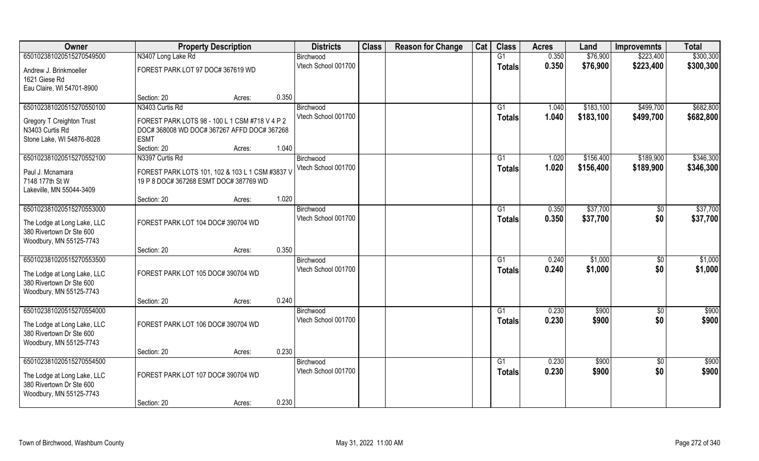| Owner                                                                                                          | <b>Property Description</b>                                                                                  |        |       | <b>Districts</b>                 | <b>Class</b> | <b>Reason for Change</b> | Cat | <b>Class</b>        | <b>Acres</b>   | Land                   | <b>Improvemnts</b>     | <b>Total</b>           |
|----------------------------------------------------------------------------------------------------------------|--------------------------------------------------------------------------------------------------------------|--------|-------|----------------------------------|--------------|--------------------------|-----|---------------------|----------------|------------------------|------------------------|------------------------|
| 650102381020515270549500                                                                                       | N3407 Long Lake Rd                                                                                           |        |       | Birchwood                        |              |                          |     | $\overline{G1}$     | 0.350          | \$76,900               | \$223,400              | \$300,300              |
| Andrew J. Brinkmoeller<br>1621 Giese Rd<br>Eau Claire, WI 54701-8900                                           | FOREST PARK LOT 97 DOC# 367619 WD                                                                            |        |       | Vtech School 001700              |              |                          |     | <b>Totals</b>       | 0.350          | \$76,900               | \$223,400              | \$300,300              |
|                                                                                                                | Section: 20                                                                                                  | Acres: | 0.350 |                                  |              |                          |     |                     |                |                        |                        |                        |
| 650102381020515270550100                                                                                       | N3403 Curtis Rd                                                                                              |        |       | Birchwood<br>Vtech School 001700 |              |                          |     | G1<br><b>Totals</b> | 1.040<br>1.040 | \$183,100<br>\$183,100 | \$499,700<br>\$499,700 | \$682,800<br>\$682,800 |
| Gregory T Creighton Trust<br>N3403 Curtis Rd<br>Stone Lake, WI 54876-8028                                      | FOREST PARK LOTS 98 - 100 L 1 CSM #718 V 4 P 2<br>DOC# 368008 WD DOC# 367267 AFFD DOC# 367268<br><b>ESMT</b> |        |       |                                  |              |                          |     |                     |                |                        |                        |                        |
|                                                                                                                | Section: 20                                                                                                  | Acres: | 1.040 |                                  |              |                          |     |                     |                |                        |                        |                        |
| 650102381020515270552100<br>Paul J. Mcnamara<br>7148 177th St W<br>Lakeville, MN 55044-3409                    | N3397 Curtis Rd<br>FOREST PARK LOTS 101, 102 & 103 L 1 CSM #3837 V<br>19 P 8 DOC# 367268 ESMT DOC# 387769 WD |        |       | Birchwood<br>Vtech School 001700 |              |                          |     | G1<br><b>Totals</b> | 1.020<br>1.020 | \$156,400<br>\$156,400 | \$189,900<br>\$189,900 | \$346,300<br>\$346,300 |
|                                                                                                                | Section: 20                                                                                                  | Acres: | 1.020 |                                  |              |                          |     |                     |                |                        |                        |                        |
| 650102381020515270553000<br>The Lodge at Long Lake, LLC<br>380 Rivertown Dr Ste 600<br>Woodbury, MN 55125-7743 | FOREST PARK LOT 104 DOC# 390704 WD                                                                           |        |       | Birchwood<br>Vtech School 001700 |              |                          |     | G1<br><b>Totals</b> | 0.350<br>0.350 | \$37,700<br>\$37,700   | $\sqrt{50}$<br>\$0     | \$37,700<br>\$37,700   |
|                                                                                                                | Section: 20                                                                                                  | Acres: | 0.350 |                                  |              |                          |     |                     |                |                        |                        |                        |
| 650102381020515270553500<br>The Lodge at Long Lake, LLC<br>380 Rivertown Dr Ste 600<br>Woodbury, MN 55125-7743 | FOREST PARK LOT 105 DOC# 390704 WD                                                                           |        |       | Birchwood<br>Vtech School 001700 |              |                          |     | G1<br><b>Totals</b> | 0.240<br>0.240 | \$1,000<br>\$1,000     | $\sqrt[6]{}$<br>\$0    | \$1,000<br>\$1,000     |
|                                                                                                                | Section: 20                                                                                                  | Acres: | 0.240 |                                  |              |                          |     |                     |                |                        |                        |                        |
| 650102381020515270554000<br>The Lodge at Long Lake, LLC<br>380 Rivertown Dr Ste 600<br>Woodbury, MN 55125-7743 | FOREST PARK LOT 106 DOC# 390704 WD                                                                           |        |       | Birchwood<br>Vtech School 001700 |              |                          |     | G1<br><b>Totals</b> | 0.230<br>0.230 | \$900<br>\$900         | $\sqrt{6}$<br>\$0      | \$900<br>\$900         |
|                                                                                                                | Section: 20                                                                                                  | Acres: | 0.230 |                                  |              |                          |     |                     |                |                        |                        |                        |
| 650102381020515270554500<br>The Lodge at Long Lake, LLC<br>380 Rivertown Dr Ste 600<br>Woodbury, MN 55125-7743 | FOREST PARK LOT 107 DOC# 390704 WD                                                                           |        |       | Birchwood<br>Vtech School 001700 |              |                          |     | G1<br><b>Totals</b> | 0.230<br>0.230 | \$900<br>\$900         | $\overline{60}$<br>\$0 | \$900<br>\$900         |
|                                                                                                                | Section: 20                                                                                                  | Acres: | 0.230 |                                  |              |                          |     |                     |                |                        |                        |                        |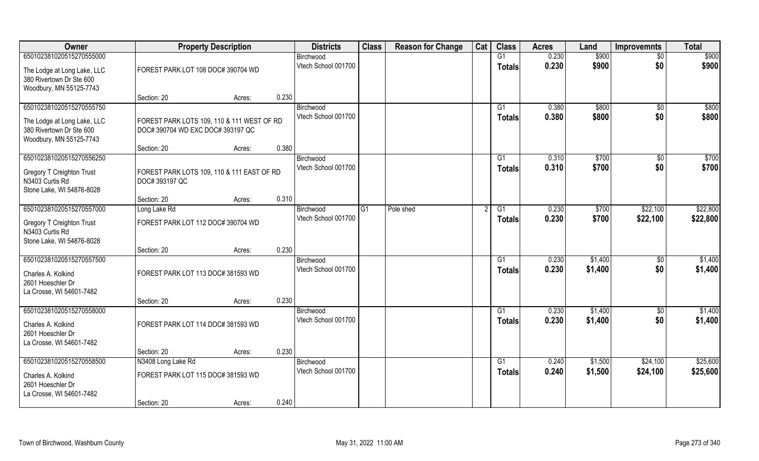| Owner                                               | <b>Property Description</b>                |        |                     | <b>Districts</b>    | <b>Class</b>    | <b>Reason for Change</b> | Cat    | <b>Class</b>  | <b>Acres</b> | Land     | <b>Improvemnts</b> | <b>Total</b> |
|-----------------------------------------------------|--------------------------------------------|--------|---------------------|---------------------|-----------------|--------------------------|--------|---------------|--------------|----------|--------------------|--------------|
| 650102381020515270555000                            |                                            |        |                     | Birchwood           |                 |                          |        | G1            | 0.230        | \$900    | $\sqrt{6}$         | \$900        |
| The Lodge at Long Lake, LLC                         | FOREST PARK LOT 108 DOC# 390704 WD         |        |                     | Vtech School 001700 |                 |                          |        | <b>Totals</b> | 0.230        | \$900    | \$0                | \$900        |
| 380 Rivertown Dr Ste 600                            |                                            |        |                     |                     |                 |                          |        |               |              |          |                    |              |
| Woodbury, MN 55125-7743                             | Section: 20                                | Acres: | 0.230               |                     |                 |                          |        |               |              |          |                    |              |
| 650102381020515270555750                            |                                            |        |                     | Birchwood           |                 |                          |        | G1            | 0.380        | \$800    | \$0                | \$800        |
|                                                     |                                            |        |                     | Vtech School 001700 |                 |                          |        | <b>Totals</b> | 0.380        | \$800    | \$0                | \$800        |
| The Lodge at Long Lake, LLC                         | FOREST PARK LOTS 109, 110 & 111 WEST OF RD |        |                     |                     |                 |                          |        |               |              |          |                    |              |
| 380 Rivertown Dr Ste 600<br>Woodbury, MN 55125-7743 | DOC# 390704 WD EXC DOC# 393197 QC          |        |                     |                     |                 |                          |        |               |              |          |                    |              |
|                                                     | Section: 20                                | Acres: | 0.380               |                     |                 |                          |        |               |              |          |                    |              |
| 650102381020515270556250                            |                                            |        |                     | Birchwood           |                 |                          |        | G1            | 0.310        | \$700    | $\sqrt{6}$         | \$700        |
|                                                     | FOREST PARK LOTS 109, 110 & 111 EAST OF RD |        |                     | Vtech School 001700 |                 |                          |        | <b>Totals</b> | 0.310        | \$700    | \$0                | \$700        |
| <b>Gregory T Creighton Trust</b><br>N3403 Curtis Rd | DOC# 393197 QC                             |        |                     |                     |                 |                          |        |               |              |          |                    |              |
| Stone Lake, WI 54876-8028                           |                                            |        |                     |                     |                 |                          |        |               |              |          |                    |              |
|                                                     | Section: 20                                | Acres: | 0.310               |                     |                 |                          |        |               |              |          |                    |              |
| 650102381020515270557000                            | Long Lake Rd                               |        |                     | Birchwood           | $\overline{G1}$ | Pole shed                |        | G1            | 0.230        | \$700    | \$22,100           | \$22,800     |
| <b>Gregory T Creighton Trust</b><br>N3403 Curtis Rd | FOREST PARK LOT 112 DOC# 390704 WD         |        |                     | Vtech School 001700 |                 |                          |        | <b>Totals</b> | 0.230        | \$700    | \$22,100           | \$22,800     |
| Stone Lake, WI 54876-8028                           |                                            |        | 0.230               |                     |                 |                          |        |               |              |          |                    |              |
| 650102381020515270557500                            | Section: 20                                | Acres: |                     | Birchwood           |                 |                          |        | G1            | 0.230        | \$1,400  | \$0                | \$1,400      |
|                                                     |                                            |        |                     | Vtech School 001700 |                 |                          |        | <b>Totals</b> | 0.230        | \$1,400  | \$0                | \$1,400      |
| Charles A. Kolkind                                  | FOREST PARK LOT 113 DOC# 381593 WD         |        |                     |                     |                 |                          |        |               |              |          |                    |              |
| 2601 Hoeschler Dr<br>La Crosse, WI 54601-7482       |                                            |        |                     |                     |                 |                          |        |               |              |          |                    |              |
|                                                     | Section: 20                                | Acres: | 0.230               |                     |                 |                          |        |               |              |          |                    |              |
| 650102381020515270558000                            |                                            |        |                     | Birchwood           |                 |                          |        | G1            | 0.230        | \$1,400  | $\overline{50}$    | \$1,400      |
| Charles A. Kolkind                                  | FOREST PARK LOT 114 DOC# 381593 WD         |        |                     | Vtech School 001700 |                 |                          |        | <b>Totals</b> | 0.230        | \$1,400  | \$0                | \$1,400      |
| 2601 Hoeschler Dr                                   |                                            |        |                     |                     |                 |                          |        |               |              |          |                    |              |
| La Crosse, WI 54601-7482                            |                                            |        |                     |                     |                 |                          |        |               |              |          |                    |              |
|                                                     | Section: 20                                | Acres: | 0.230               |                     |                 |                          |        |               |              |          |                    |              |
| 650102381020515270558500                            | N3408 Long Lake Rd                         |        |                     | Birchwood           |                 |                          |        | G1            | 0.240        | \$1,500  | \$24,100           | \$25,600     |
| Charles A. Kolkind                                  | FOREST PARK LOT 115 DOC# 381593 WD         |        | Vtech School 001700 |                     |                 |                          | Totals | 0.240         | \$1,500      | \$24,100 | \$25,600           |              |
| 2601 Hoeschler Dr                                   |                                            |        |                     |                     |                 |                          |        |               |              |          |                    |              |
| La Crosse, WI 54601-7482                            |                                            |        |                     |                     |                 |                          |        |               |              |          |                    |              |
|                                                     | Section: 20                                | Acres: | 0.240               |                     |                 |                          |        |               |              |          |                    |              |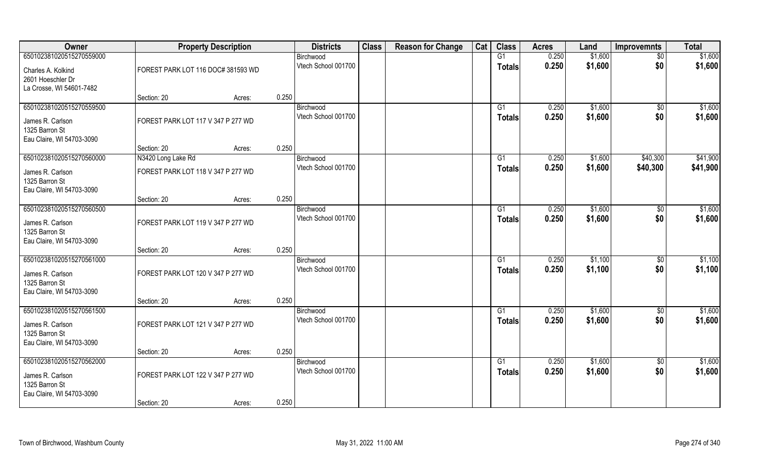| Owner                                       |                                    | <b>Property Description</b> |       | <b>Districts</b>                 | <b>Class</b> | <b>Reason for Change</b> | Cat | <b>Class</b>    | <b>Acres</b> | Land    | <b>Improvemnts</b> | <b>Total</b> |
|---------------------------------------------|------------------------------------|-----------------------------|-------|----------------------------------|--------------|--------------------------|-----|-----------------|--------------|---------|--------------------|--------------|
| 650102381020515270559000                    |                                    |                             |       | Birchwood                        |              |                          |     | G1              | 0.250        | \$1,600 | $\sqrt{$0}$        | \$1,600      |
| Charles A. Kolkind                          | FOREST PARK LOT 116 DOC# 381593 WD |                             |       | Vtech School 001700              |              |                          |     | <b>Totals</b>   | 0.250        | \$1,600 | \$0                | \$1,600      |
| 2601 Hoeschler Dr                           |                                    |                             |       |                                  |              |                          |     |                 |              |         |                    |              |
| La Crosse, WI 54601-7482                    |                                    |                             |       |                                  |              |                          |     |                 |              |         |                    |              |
|                                             | Section: 20                        | Acres:                      | 0.250 |                                  |              |                          |     |                 |              |         |                    |              |
| 650102381020515270559500                    |                                    |                             |       | Birchwood                        |              |                          |     | G1              | 0.250        | \$1,600 | $\sqrt{$0}$        | \$1,600      |
| James R. Carlson                            | FOREST PARK LOT 117 V 347 P 277 WD |                             |       | Vtech School 001700              |              |                          |     | <b>Totals</b>   | 0.250        | \$1,600 | \$0                | \$1,600      |
| 1325 Barron St                              |                                    |                             |       |                                  |              |                          |     |                 |              |         |                    |              |
| Eau Claire, WI 54703-3090                   |                                    |                             |       |                                  |              |                          |     |                 |              |         |                    |              |
|                                             | Section: 20                        | Acres:                      | 0.250 |                                  |              |                          |     |                 |              |         |                    |              |
| 650102381020515270560000                    | N3420 Long Lake Rd                 |                             |       | Birchwood<br>Vtech School 001700 |              |                          |     | G1              | 0.250        | \$1,600 | \$40,300           | \$41,900     |
| James R. Carlson                            | FOREST PARK LOT 118 V 347 P 277 WD |                             |       |                                  |              |                          |     | <b>Totals</b>   | 0.250        | \$1,600 | \$40,300           | \$41,900     |
| 1325 Barron St                              |                                    |                             |       |                                  |              |                          |     |                 |              |         |                    |              |
| Eau Claire, WI 54703-3090                   |                                    |                             | 0.250 |                                  |              |                          |     |                 |              |         |                    |              |
| 650102381020515270560500                    | Section: 20                        | Acres:                      |       | Birchwood                        |              |                          |     | G1              | 0.250        | \$1,600 | $\sqrt[6]{3}$      | \$1,600      |
|                                             |                                    |                             |       | Vtech School 001700              |              |                          |     | <b>Totals</b>   | 0.250        | \$1,600 | \$0                | \$1,600      |
| James R. Carlson                            | FOREST PARK LOT 119 V 347 P 277 WD |                             |       |                                  |              |                          |     |                 |              |         |                    |              |
| 1325 Barron St<br>Eau Claire, WI 54703-3090 |                                    |                             |       |                                  |              |                          |     |                 |              |         |                    |              |
|                                             | Section: 20                        | Acres:                      | 0.250 |                                  |              |                          |     |                 |              |         |                    |              |
| 650102381020515270561000                    |                                    |                             |       | Birchwood                        |              |                          |     | G1              | 0.250        | \$1,100 | $\overline{50}$    | \$1,100      |
|                                             |                                    |                             |       | Vtech School 001700              |              |                          |     | <b>Totals</b>   | 0.250        | \$1,100 | \$0                | \$1,100      |
| James R. Carlson<br>1325 Barron St          | FOREST PARK LOT 120 V 347 P 277 WD |                             |       |                                  |              |                          |     |                 |              |         |                    |              |
| Eau Claire, WI 54703-3090                   |                                    |                             |       |                                  |              |                          |     |                 |              |         |                    |              |
|                                             | Section: 20                        | Acres:                      | 0.250 |                                  |              |                          |     |                 |              |         |                    |              |
| 650102381020515270561500                    |                                    |                             |       | Birchwood                        |              |                          |     | G1              | 0.250        | \$1,600 | $\sqrt{$0}$        | \$1,600      |
| James R. Carlson                            | FOREST PARK LOT 121 V 347 P 277 WD |                             |       | Vtech School 001700              |              |                          |     | <b>Totals</b>   | 0.250        | \$1,600 | \$0                | \$1,600      |
| 1325 Barron St                              |                                    |                             |       |                                  |              |                          |     |                 |              |         |                    |              |
| Eau Claire, WI 54703-3090                   |                                    |                             |       |                                  |              |                          |     |                 |              |         |                    |              |
|                                             | Section: 20                        | Acres:                      | 0.250 |                                  |              |                          |     |                 |              |         |                    |              |
| 650102381020515270562000                    |                                    |                             |       | Birchwood                        |              |                          |     | $\overline{G1}$ | 0.250        | \$1,600 | $\sqrt{$0}$        | \$1,600      |
| James R. Carlson                            | FOREST PARK LOT 122 V 347 P 277 WD |                             |       | Vtech School 001700              |              |                          |     | <b>Totals</b>   | 0.250        | \$1,600 | \$0                | \$1,600      |
| 1325 Barron St                              |                                    |                             |       |                                  |              |                          |     |                 |              |         |                    |              |
| Eau Claire, WI 54703-3090                   |                                    |                             |       |                                  |              |                          |     |                 |              |         |                    |              |
|                                             | Section: 20                        | Acres:                      | 0.250 |                                  |              |                          |     |                 |              |         |                    |              |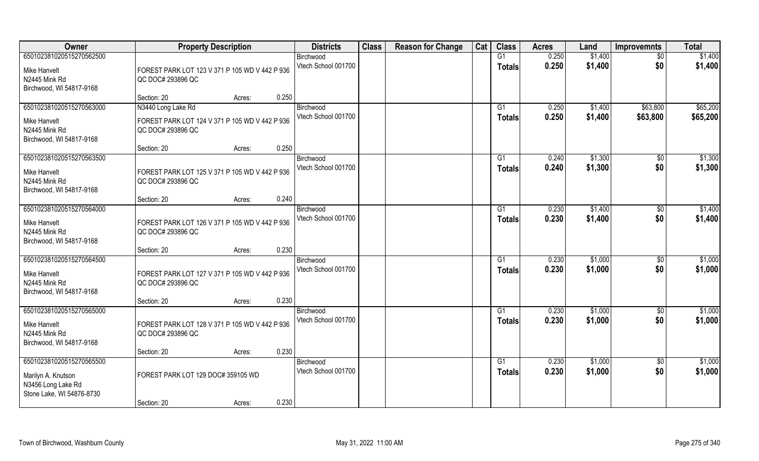| <b>Owner</b>                                                                                      | <b>Property Description</b>                                                               | <b>Districts</b>                 | <b>Class</b> | <b>Reason for Change</b> | Cat | <b>Class</b>                    | <b>Acres</b>   | Land               | <b>Improvemnts</b>     | <b>Total</b>         |
|---------------------------------------------------------------------------------------------------|-------------------------------------------------------------------------------------------|----------------------------------|--------------|--------------------------|-----|---------------------------------|----------------|--------------------|------------------------|----------------------|
| 650102381020515270562500<br>Mike Hanvelt<br>N2445 Mink Rd                                         | FOREST PARK LOT 123 V 371 P 105 WD V 442 P 936<br>QC DOC# 293896 QC                       | Birchwood<br>Vtech School 001700 |              |                          |     | G1<br><b>Totals</b>             | 0.250<br>0.250 | \$1,400<br>\$1,400 | \$0<br>\$0             | \$1,400<br>\$1,400   |
| Birchwood, WI 54817-9168                                                                          | 0.250<br>Section: 20<br>Acres:                                                            |                                  |              |                          |     |                                 |                |                    |                        |                      |
| 650102381020515270563000<br>Mike Hanvelt<br>N2445 Mink Rd<br>Birchwood, WI 54817-9168             | N3440 Long Lake Rd<br>FOREST PARK LOT 124 V 371 P 105 WD V 442 P 936<br>QC DOC# 293896 QC | Birchwood<br>Vtech School 001700 |              |                          |     | G1<br><b>Totals</b>             | 0.250<br>0.250 | \$1,400<br>\$1,400 | \$63,800<br>\$63,800   | \$65,200<br>\$65,200 |
|                                                                                                   | 0.250<br>Section: 20<br>Acres:                                                            |                                  |              |                          |     |                                 |                |                    |                        |                      |
| 650102381020515270563500<br>Mike Hanvelt<br>N2445 Mink Rd<br>Birchwood, WI 54817-9168             | FOREST PARK LOT 125 V 371 P 105 WD V 442 P 936<br>QC DOC# 293896 QC                       | Birchwood<br>Vtech School 001700 |              |                          |     | G1<br><b>Totals</b>             | 0.240<br>0.240 | \$1,300<br>\$1,300 | $\sqrt[6]{30}$<br>\$0  | \$1,300<br>\$1,300   |
|                                                                                                   | 0.240<br>Section: 20<br>Acres:                                                            |                                  |              |                          |     |                                 |                |                    |                        |                      |
| 650102381020515270564000<br>Mike Hanvelt<br>N2445 Mink Rd<br>Birchwood, WI 54817-9168             | FOREST PARK LOT 126 V 371 P 105 WD V 442 P 936<br>QC DOC# 293896 QC                       | Birchwood<br>Vtech School 001700 |              |                          |     | G <sub>1</sub><br><b>Totals</b> | 0.230<br>0.230 | \$1,400<br>\$1,400 | $\sqrt[6]{3}$<br>\$0   | \$1,400<br>\$1,400   |
|                                                                                                   | 0.230<br>Section: 20<br>Acres:                                                            |                                  |              |                          |     |                                 |                |                    |                        |                      |
| 650102381020515270564500<br>Mike Hanvelt<br>N2445 Mink Rd<br>Birchwood, WI 54817-9168             | FOREST PARK LOT 127 V 371 P 105 WD V 442 P 936<br>QC DOC# 293896 QC                       | Birchwood<br>Vtech School 001700 |              |                          |     | G1<br><b>Totals</b>             | 0.230<br>0.230 | \$1,000<br>\$1,000 | $\sqrt[6]{30}$<br>\$0  | \$1,000<br>\$1,000   |
|                                                                                                   | 0.230<br>Section: 20<br>Acres:                                                            |                                  |              |                          |     |                                 |                |                    |                        |                      |
| 650102381020515270565000<br>Mike Hanvelt<br>N2445 Mink Rd<br>Birchwood, WI 54817-9168             | FOREST PARK LOT 128 V 371 P 105 WD V 442 P 936<br>QC DOC# 293896 QC                       | Birchwood<br>Vtech School 001700 |              |                          |     | G1<br><b>Totals</b>             | 0.230<br>0.230 | \$1,000<br>\$1,000 | \$0<br>\$0             | \$1,000<br>\$1,000   |
|                                                                                                   | 0.230<br>Section: 20<br>Acres:                                                            |                                  |              |                          |     |                                 |                |                    |                        |                      |
| 650102381020515270565500<br>Marilyn A. Knutson<br>N3456 Long Lake Rd<br>Stone Lake, WI 54876-8730 | FOREST PARK LOT 129 DOC# 359105 WD                                                        | Birchwood<br>Vtech School 001700 |              |                          |     | G1<br><b>Totals</b>             | 0.230<br>0.230 | \$1,000<br>\$1,000 | $\overline{50}$<br>\$0 | \$1,000<br>\$1,000   |
|                                                                                                   | 0.230<br>Section: 20<br>Acres:                                                            |                                  |              |                          |     |                                 |                |                    |                        |                      |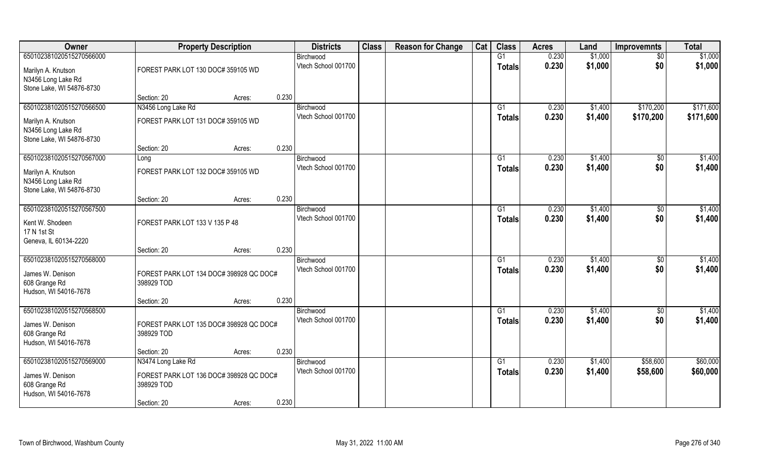| Owner                                                                                             | <b>Property Description</b>                                                                |                                                                                           | <b>Districts</b>                 | <b>Class</b> | <b>Reason for Change</b> | Cat | <b>Class</b>        | <b>Acres</b>   | Land               | <b>Improvemnts</b>     | <b>Total</b>           |
|---------------------------------------------------------------------------------------------------|--------------------------------------------------------------------------------------------|-------------------------------------------------------------------------------------------|----------------------------------|--------------|--------------------------|-----|---------------------|----------------|--------------------|------------------------|------------------------|
| 650102381020515270566000<br>Marilyn A. Knutson<br>N3456 Long Lake Rd<br>Stone Lake, WI 54876-8730 |                                                                                            | Birchwood<br>Vtech School 001700<br>FOREST PARK LOT 130 DOC# 359105 WD<br>0.230<br>Acres: |                                  |              |                          |     | G1<br><b>Totals</b> | 0.230<br>0.230 | \$1,000<br>\$1,000 | $\sqrt{6}$<br>\$0      | \$1,000<br>\$1,000     |
|                                                                                                   | Section: 20                                                                                |                                                                                           |                                  |              |                          |     |                     |                |                    |                        |                        |
| 650102381020515270566500<br>Marilyn A. Knutson<br>N3456 Long Lake Rd<br>Stone Lake, WI 54876-8730 | N3456 Long Lake Rd<br>FOREST PARK LOT 131 DOC# 359105 WD                                   |                                                                                           | Birchwood<br>Vtech School 001700 |              |                          |     | G1<br>Totals        | 0.230<br>0.230 | \$1,400<br>\$1,400 | \$170,200<br>\$170,200 | \$171,600<br>\$171,600 |
|                                                                                                   | Section: 20                                                                                | 0.230<br>Acres:                                                                           |                                  |              |                          |     |                     |                |                    |                        |                        |
| 650102381020515270567000<br>Marilyn A. Knutson<br>N3456 Long Lake Rd<br>Stone Lake, WI 54876-8730 | Long<br>FOREST PARK LOT 132 DOC# 359105 WD                                                 |                                                                                           | Birchwood<br>Vtech School 001700 |              |                          |     | G1<br><b>Totals</b> | 0.230<br>0.230 | \$1,400<br>\$1,400 | \$0<br>\$0             | \$1,400<br>\$1,400     |
|                                                                                                   | Section: 20                                                                                | 0.230<br>Acres:                                                                           |                                  |              |                          |     |                     |                |                    |                        |                        |
| 650102381020515270567500<br>Kent W. Shodeen<br>17 N 1st St<br>Geneva, IL 60134-2220               | FOREST PARK LOT 133 V 135 P 48                                                             |                                                                                           | Birchwood<br>Vtech School 001700 |              |                          |     | G1<br>Totals        | 0.230<br>0.230 | \$1,400<br>\$1,400 | $\sqrt[6]{3}$<br>\$0   | \$1,400<br>\$1,400     |
|                                                                                                   | Section: 20                                                                                | 0.230<br>Acres:                                                                           |                                  |              |                          |     |                     |                |                    |                        |                        |
| 650102381020515270568000<br>James W. Denison<br>608 Grange Rd<br>Hudson, WI 54016-7678            | FOREST PARK LOT 134 DOC# 398928 QC DOC#<br>398929 TOD                                      |                                                                                           | Birchwood<br>Vtech School 001700 |              |                          |     | G1<br><b>Totals</b> | 0.230<br>0.230 | \$1,400<br>\$1,400 | \$0<br>\$0             | \$1,400<br>\$1,400     |
|                                                                                                   | Section: 20                                                                                | 0.230<br>Acres:                                                                           |                                  |              |                          |     |                     |                |                    |                        |                        |
| 650102381020515270568500<br>James W. Denison<br>608 Grange Rd<br>Hudson, WI 54016-7678            | FOREST PARK LOT 135 DOC# 398928 QC DOC#<br>398929 TOD                                      |                                                                                           | Birchwood<br>Vtech School 001700 |              |                          |     | G1<br><b>Totals</b> | 0.230<br>0.230 | \$1,400<br>\$1,400 | $\sqrt{$0}$<br>\$0     | \$1,400<br>\$1,400     |
|                                                                                                   | Section: 20                                                                                | 0.230<br>Acres:                                                                           |                                  |              |                          |     |                     |                |                    |                        |                        |
| 650102381020515270569000<br>James W. Denison<br>608 Grange Rd<br>Hudson, WI 54016-7678            | N3474 Long Lake Rd<br>FOREST PARK LOT 136 DOC# 398928 QC DOC#<br>398929 TOD<br>Section: 20 | 0.230                                                                                     | Birchwood<br>Vtech School 001700 |              |                          |     | G1<br>Totals        | 0.230<br>0.230 | \$1,400<br>\$1,400 | \$58,600<br>\$58,600   | \$60,000<br>\$60,000   |
|                                                                                                   |                                                                                            | Acres:                                                                                    |                                  |              |                          |     |                     |                |                    |                        |                        |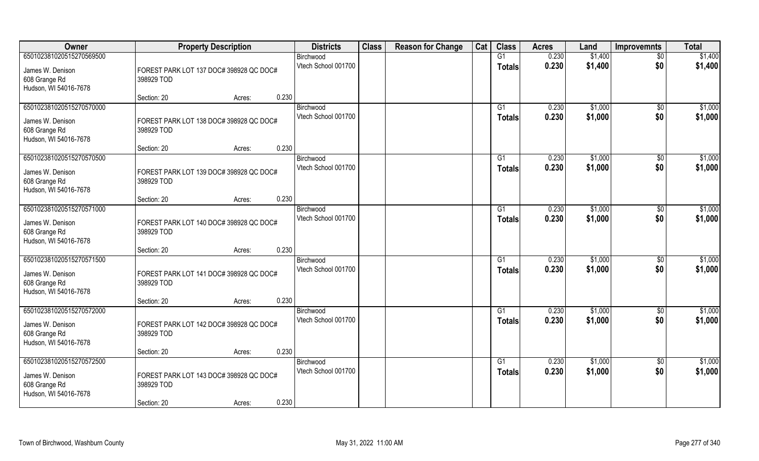| Owner                    | <b>Property Description</b>             | <b>Districts</b>    | <b>Class</b> | <b>Reason for Change</b> | Cat | <b>Class</b>   | <b>Acres</b> | Land    | <b>Improvemnts</b> | <b>Total</b> |
|--------------------------|-----------------------------------------|---------------------|--------------|--------------------------|-----|----------------|--------------|---------|--------------------|--------------|
| 650102381020515270569500 |                                         | Birchwood           |              |                          |     | G1             | 0.230        | \$1,400 | $\overline{50}$    | \$1,400      |
| James W. Denison         | FOREST PARK LOT 137 DOC# 398928 QC DOC# | Vtech School 001700 |              |                          |     | <b>Totals</b>  | 0.230        | \$1,400 | \$0                | \$1,400      |
| 608 Grange Rd            | 398929 TOD                              |                     |              |                          |     |                |              |         |                    |              |
| Hudson, WI 54016-7678    |                                         |                     |              |                          |     |                |              |         |                    |              |
|                          | 0.230<br>Section: 20<br>Acres:          |                     |              |                          |     |                |              |         |                    |              |
| 650102381020515270570000 |                                         | Birchwood           |              |                          |     | G <sub>1</sub> | 0.230        | \$1,000 | \$0                | \$1,000      |
| James W. Denison         | FOREST PARK LOT 138 DOC# 398928 QC DOC# | Vtech School 001700 |              |                          |     | Totals         | 0.230        | \$1,000 | \$0                | \$1,000      |
| 608 Grange Rd            | 398929 TOD                              |                     |              |                          |     |                |              |         |                    |              |
| Hudson, WI 54016-7678    |                                         |                     |              |                          |     |                |              |         |                    |              |
|                          | 0.230<br>Section: 20<br>Acres:          |                     |              |                          |     |                |              |         |                    |              |
| 650102381020515270570500 |                                         | Birchwood           |              |                          |     | G1             | 0.230        | \$1,000 | $\sqrt[6]{3}$      | \$1,000      |
| James W. Denison         | FOREST PARK LOT 139 DOC# 398928 QC DOC# | Vtech School 001700 |              |                          |     | <b>Totals</b>  | 0.230        | \$1,000 | \$0                | \$1,000      |
| 608 Grange Rd            | 398929 TOD                              |                     |              |                          |     |                |              |         |                    |              |
| Hudson, WI 54016-7678    |                                         |                     |              |                          |     |                |              |         |                    |              |
|                          | 0.230<br>Section: 20<br>Acres:          |                     |              |                          |     |                |              |         |                    |              |
| 650102381020515270571000 |                                         | Birchwood           |              |                          |     | G <sub>1</sub> | 0.230        | \$1,000 | \$0                | \$1,000      |
| James W. Denison         | FOREST PARK LOT 140 DOC# 398928 QC DOC# | Vtech School 001700 |              |                          |     | <b>Totals</b>  | 0.230        | \$1,000 | \$0                | \$1,000      |
| 608 Grange Rd            | 398929 TOD                              |                     |              |                          |     |                |              |         |                    |              |
| Hudson, WI 54016-7678    |                                         |                     |              |                          |     |                |              |         |                    |              |
|                          | 0.230<br>Section: 20<br>Acres:          |                     |              |                          |     |                |              |         |                    |              |
| 650102381020515270571500 |                                         | Birchwood           |              |                          |     | G1             | 0.230        | \$1,000 | $\sqrt[6]{30}$     | \$1,000      |
| James W. Denison         | FOREST PARK LOT 141 DOC# 398928 QC DOC# | Vtech School 001700 |              |                          |     | <b>Totals</b>  | 0.230        | \$1,000 | \$0                | \$1,000      |
| 608 Grange Rd            | 398929 TOD                              |                     |              |                          |     |                |              |         |                    |              |
| Hudson, WI 54016-7678    |                                         |                     |              |                          |     |                |              |         |                    |              |
|                          | 0.230<br>Section: 20<br>Acres:          |                     |              |                          |     |                |              |         |                    |              |
| 650102381020515270572000 |                                         | Birchwood           |              |                          |     | G1             | 0.230        | \$1,000 | $\sqrt{$0}$        | \$1,000      |
| James W. Denison         | FOREST PARK LOT 142 DOC# 398928 QC DOC# | Vtech School 001700 |              |                          |     | <b>Totals</b>  | 0.230        | \$1,000 | \$0                | \$1,000      |
| 608 Grange Rd            | 398929 TOD                              |                     |              |                          |     |                |              |         |                    |              |
| Hudson, WI 54016-7678    |                                         |                     |              |                          |     |                |              |         |                    |              |
|                          | 0.230<br>Section: 20<br>Acres:          |                     |              |                          |     |                |              |         |                    |              |
| 650102381020515270572500 |                                         | Birchwood           |              |                          |     | G1             | 0.230        | \$1,000 | $\overline{50}$    | \$1,000      |
| James W. Denison         | FOREST PARK LOT 143 DOC# 398928 QC DOC# | Vtech School 001700 |              |                          |     | Totals         | 0.230        | \$1,000 | \$0                | \$1,000      |
| 608 Grange Rd            | 398929 TOD                              |                     |              |                          |     |                |              |         |                    |              |
| Hudson, WI 54016-7678    |                                         |                     |              |                          |     |                |              |         |                    |              |
|                          | 0.230<br>Section: 20<br>Acres:          |                     |              |                          |     |                |              |         |                    |              |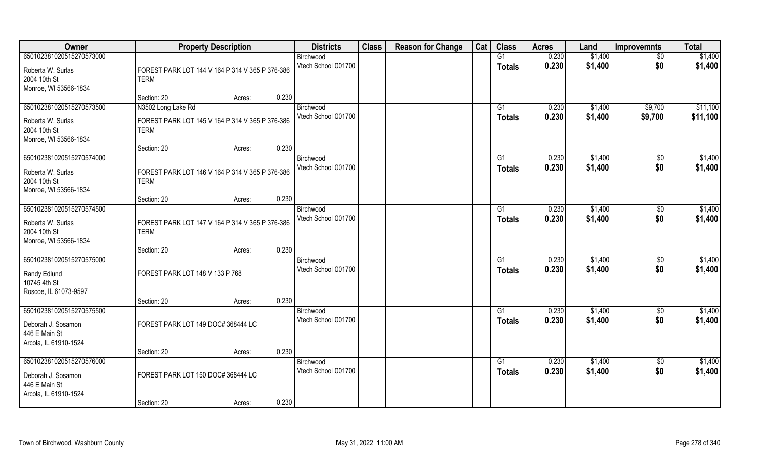| Owner                                 | <b>Property Description</b>                     |                 | <b>Districts</b>                 | <b>Class</b> | <b>Reason for Change</b> | Cat | <b>Class</b>    | <b>Acres</b> | Land    | <b>Improvemnts</b>   | <b>Total</b> |
|---------------------------------------|-------------------------------------------------|-----------------|----------------------------------|--------------|--------------------------|-----|-----------------|--------------|---------|----------------------|--------------|
| 650102381020515270573000              |                                                 |                 | Birchwood                        |              |                          |     | G1              | 0.230        | \$1,400 | \$0                  | \$1,400      |
| Roberta W. Surlas                     | FOREST PARK LOT 144 V 164 P 314 V 365 P 376-386 |                 | Vtech School 001700              |              |                          |     | <b>Totals</b>   | 0.230        | \$1,400 | \$0                  | \$1,400      |
| 2004 10th St                          | <b>TERM</b>                                     |                 |                                  |              |                          |     |                 |              |         |                      |              |
| Monroe, WI 53566-1834                 |                                                 |                 |                                  |              |                          |     |                 |              |         |                      |              |
|                                       | Section: 20                                     | 0.230<br>Acres: |                                  |              |                          |     |                 |              |         |                      |              |
| 650102381020515270573500              | N3502 Long Lake Rd                              |                 | Birchwood                        |              |                          |     | G1              | 0.230        | \$1,400 | \$9,700              | \$11,100     |
| Roberta W. Surlas                     | FOREST PARK LOT 145 V 164 P 314 V 365 P 376-386 |                 | Vtech School 001700              |              |                          |     | <b>Totals</b>   | 0.230        | \$1,400 | \$9,700              | \$11,100     |
| 2004 10th St                          | <b>TERM</b>                                     |                 |                                  |              |                          |     |                 |              |         |                      |              |
| Monroe, WI 53566-1834                 |                                                 |                 |                                  |              |                          |     |                 |              |         |                      |              |
|                                       | Section: 20                                     | 0.230<br>Acres: |                                  |              |                          |     |                 |              |         |                      |              |
| 650102381020515270574000              |                                                 |                 | Birchwood                        |              |                          |     | G1              | 0.230        | \$1,400 | $\sqrt[6]{30}$       | \$1,400      |
| Roberta W. Surlas                     | FOREST PARK LOT 146 V 164 P 314 V 365 P 376-386 |                 | Vtech School 001700              |              |                          |     | <b>Totals</b>   | 0.230        | \$1,400 | \$0                  | \$1,400      |
| 2004 10th St                          | <b>TERM</b>                                     |                 |                                  |              |                          |     |                 |              |         |                      |              |
| Monroe, WI 53566-1834                 |                                                 |                 |                                  |              |                          |     |                 |              |         |                      |              |
| 650102381020515270574500              | Section: 20                                     | 0.230<br>Acres: |                                  |              |                          |     |                 | 0.230        | \$1,400 |                      | \$1,400      |
|                                       |                                                 |                 | Birchwood<br>Vtech School 001700 |              |                          |     | G1              | 0.230        | \$1,400 | $\sqrt[6]{3}$<br>\$0 | \$1,400      |
| Roberta W. Surlas                     | FOREST PARK LOT 147 V 164 P 314 V 365 P 376-386 |                 |                                  |              |                          |     | <b>Totals</b>   |              |         |                      |              |
| 2004 10th St                          | <b>TERM</b>                                     |                 |                                  |              |                          |     |                 |              |         |                      |              |
| Monroe, WI 53566-1834                 | Section: 20                                     | 0.230<br>Acres: |                                  |              |                          |     |                 |              |         |                      |              |
| 650102381020515270575000              |                                                 |                 | Birchwood                        |              |                          |     | G1              | 0.230        | \$1,400 | $\sqrt[6]{3}$        | \$1,400      |
|                                       |                                                 |                 | Vtech School 001700              |              |                          |     | <b>Totals</b>   | 0.230        | \$1,400 | \$0                  | \$1,400      |
| Randy Edlund                          | FOREST PARK LOT 148 V 133 P 768                 |                 |                                  |              |                          |     |                 |              |         |                      |              |
| 10745 4th St<br>Roscoe, IL 61073-9597 |                                                 |                 |                                  |              |                          |     |                 |              |         |                      |              |
|                                       | Section: 20                                     | 0.230<br>Acres: |                                  |              |                          |     |                 |              |         |                      |              |
| 650102381020515270575500              |                                                 |                 | Birchwood                        |              |                          |     | G1              | 0.230        | \$1,400 | \$0                  | \$1,400      |
|                                       | FOREST PARK LOT 149 DOC# 368444 LC              |                 | Vtech School 001700              |              |                          |     | <b>Totals</b>   | 0.230        | \$1,400 | \$0                  | \$1,400      |
| Deborah J. Sosamon<br>446 E Main St   |                                                 |                 |                                  |              |                          |     |                 |              |         |                      |              |
| Arcola, IL 61910-1524                 |                                                 |                 |                                  |              |                          |     |                 |              |         |                      |              |
|                                       | Section: 20                                     | 0.230<br>Acres: |                                  |              |                          |     |                 |              |         |                      |              |
| 650102381020515270576000              |                                                 |                 | Birchwood                        |              |                          |     | $\overline{G1}$ | 0.230        | \$1,400 | $\overline{50}$      | \$1,400      |
| Deborah J. Sosamon                    | FOREST PARK LOT 150 DOC#368444 LC               |                 | Vtech School 001700              |              |                          |     | <b>Totals</b>   | 0.230        | \$1,400 | \$0                  | \$1,400      |
| 446 E Main St                         |                                                 |                 |                                  |              |                          |     |                 |              |         |                      |              |
| Arcola, IL 61910-1524                 |                                                 |                 |                                  |              |                          |     |                 |              |         |                      |              |
|                                       | Section: 20                                     | 0.230<br>Acres: |                                  |              |                          |     |                 |              |         |                      |              |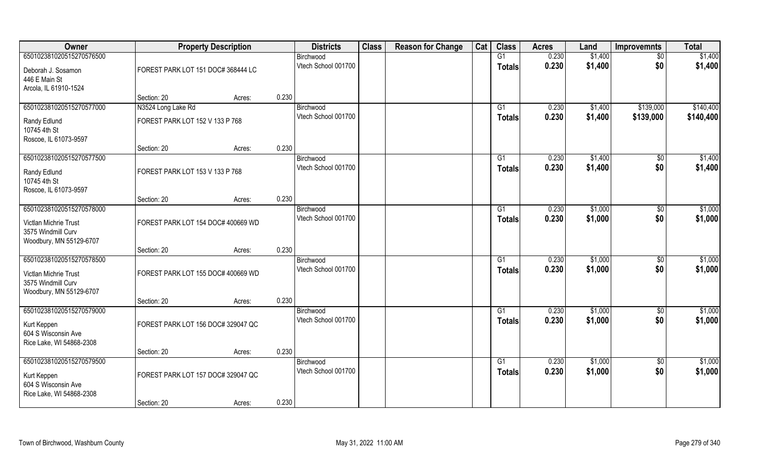| Owner                                           |                                    | <b>Property Description</b> |       | <b>Districts</b>                 | <b>Class</b> | <b>Reason for Change</b> | Cat | <b>Class</b>    | <b>Acres</b>   | Land               | <b>Improvemnts</b> | <b>Total</b>       |
|-------------------------------------------------|------------------------------------|-----------------------------|-------|----------------------------------|--------------|--------------------------|-----|-----------------|----------------|--------------------|--------------------|--------------------|
| 650102381020515270576500                        |                                    |                             |       | Birchwood                        |              |                          |     | G1              | 0.230          | \$1,400            | $\sqrt{6}$         | \$1,400            |
| Deborah J. Sosamon                              | FOREST PARK LOT 151 DOC# 368444 LC |                             |       | Vtech School 001700              |              |                          |     | <b>Totals</b>   | 0.230          | \$1,400            | \$0                | \$1,400            |
| 446 E Main St                                   |                                    |                             |       |                                  |              |                          |     |                 |                |                    |                    |                    |
| Arcola, IL 61910-1524                           | Section: 20                        | Acres:                      | 0.230 |                                  |              |                          |     |                 |                |                    |                    |                    |
| 650102381020515270577000                        | N3524 Long Lake Rd                 |                             |       | Birchwood                        |              |                          |     | G1              | 0.230          | \$1,400            | \$139,000          | \$140,400          |
| Randy Edlund                                    | FOREST PARK LOT 152 V 133 P 768    |                             |       | Vtech School 001700              |              |                          |     | <b>Totals</b>   | 0.230          | \$1,400            | \$139,000          | \$140,400          |
| 10745 4th St                                    |                                    |                             |       |                                  |              |                          |     |                 |                |                    |                    |                    |
| Roscoe, IL 61073-9597                           |                                    |                             |       |                                  |              |                          |     |                 |                |                    |                    |                    |
| 650102381020515270577500                        | Section: 20                        | Acres:                      | 0.230 | Birchwood                        |              |                          |     | G1              | 0.230          | \$1,400            | $\sqrt{50}$        | \$1,400            |
|                                                 |                                    |                             |       | Vtech School 001700              |              |                          |     | <b>Totals</b>   | 0.230          | \$1,400            | \$0                | \$1,400            |
| Randy Edlund<br>10745 4th St                    | FOREST PARK LOT 153 V 133 P 768    |                             |       |                                  |              |                          |     |                 |                |                    |                    |                    |
| Roscoe, IL 61073-9597                           |                                    |                             |       |                                  |              |                          |     |                 |                |                    |                    |                    |
|                                                 | Section: 20                        | Acres:                      | 0.230 |                                  |              |                          |     |                 |                |                    |                    |                    |
| 650102381020515270578000                        |                                    |                             |       | Birchwood                        |              |                          |     | G1              | 0.230          | \$1,000            | $\sqrt[6]{3}$      | \$1,000            |
| Victlan Michrie Trust                           | FOREST PARK LOT 154 DOC# 400669 WD |                             |       | Vtech School 001700              |              |                          |     | <b>Totals</b>   | 0.230          | \$1,000            | \$0                | \$1,000            |
| 3575 Windmill Curv                              |                                    |                             |       |                                  |              |                          |     |                 |                |                    |                    |                    |
| Woodbury, MN 55129-6707                         | Section: 20                        | Acres:                      | 0.230 |                                  |              |                          |     |                 |                |                    |                    |                    |
| 650102381020515270578500                        |                                    |                             |       | Birchwood                        |              |                          |     | G1              | 0.230          | \$1,000            | $\overline{50}$    | \$1,000            |
| Victlan Michrie Trust                           | FOREST PARK LOT 155 DOC# 400669 WD |                             |       | Vtech School 001700              |              |                          |     | <b>Totals</b>   | 0.230          | \$1,000            | \$0                | \$1,000            |
| 3575 Windmill Curv                              |                                    |                             |       |                                  |              |                          |     |                 |                |                    |                    |                    |
| Woodbury, MN 55129-6707                         |                                    |                             |       |                                  |              |                          |     |                 |                |                    |                    |                    |
|                                                 | Section: 20                        | Acres:                      | 0.230 |                                  |              |                          |     |                 |                |                    |                    |                    |
| 650102381020515270579000                        |                                    |                             |       | Birchwood<br>Vtech School 001700 |              |                          |     | G1              | 0.230<br>0.230 | \$1,000<br>\$1,000 | $\sqrt{$0}$<br>\$0 | \$1,000<br>\$1,000 |
| Kurt Keppen                                     | FOREST PARK LOT 156 DOC# 329047 QC |                             |       |                                  |              |                          |     | <b>Totals</b>   |                |                    |                    |                    |
| 604 S Wisconsin Ave<br>Rice Lake, WI 54868-2308 |                                    |                             |       |                                  |              |                          |     |                 |                |                    |                    |                    |
|                                                 | Section: 20                        | Acres:                      | 0.230 |                                  |              |                          |     |                 |                |                    |                    |                    |
| 650102381020515270579500                        |                                    |                             |       | Birchwood                        |              |                          |     | $\overline{G1}$ | 0.230          | \$1,000            | $\sqrt{$0}$        | \$1,000            |
| Kurt Keppen                                     | FOREST PARK LOT 157 DOC# 329047 QC |                             |       | Vtech School 001700              |              |                          |     | <b>Totals</b>   | 0.230          | \$1,000            | \$0                | \$1,000            |
| 604 S Wisconsin Ave                             |                                    |                             |       |                                  |              |                          |     |                 |                |                    |                    |                    |
| Rice Lake, WI 54868-2308                        |                                    |                             |       |                                  |              |                          |     |                 |                |                    |                    |                    |
|                                                 | Section: 20                        | Acres:                      | 0.230 |                                  |              |                          |     |                 |                |                    |                    |                    |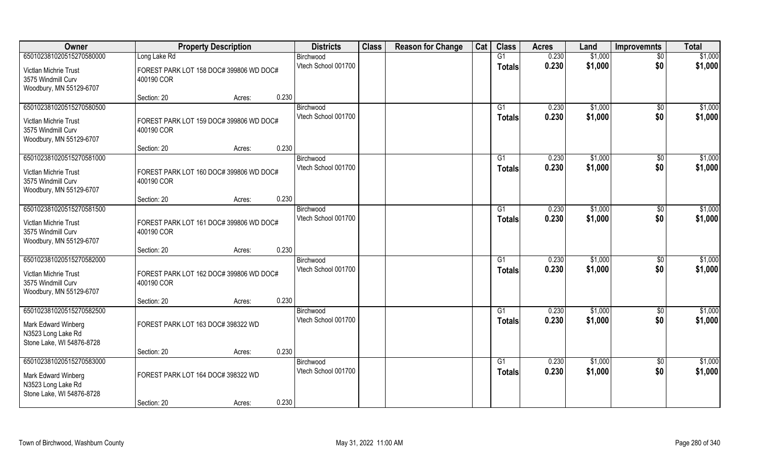| Owner                                                                                              | <b>Property Description</b>                           |       | <b>Districts</b>                 | <b>Class</b> | <b>Reason for Change</b> | Cat | <b>Class</b>                     | <b>Acres</b>   | Land               | <b>Improvemnts</b>     | <b>Total</b>       |
|----------------------------------------------------------------------------------------------------|-------------------------------------------------------|-------|----------------------------------|--------------|--------------------------|-----|----------------------------------|----------------|--------------------|------------------------|--------------------|
| 650102381020515270580000                                                                           | Long Lake Rd                                          |       | Birchwood                        |              |                          |     | G1                               | 0.230          | \$1,000            | $\overline{50}$        | \$1,000            |
| Victlan Michrie Trust<br>3575 Windmill Curv                                                        | FOREST PARK LOT 158 DOC# 399806 WD DOC#<br>400190 COR |       | Vtech School 001700              |              |                          |     | <b>Totals</b>                    | 0.230          | \$1,000            | \$0                    | \$1,000            |
| Woodbury, MN 55129-6707                                                                            | Section: 20<br>Acres:                                 | 0.230 |                                  |              |                          |     |                                  |                |                    |                        |                    |
| 650102381020515270580500<br>Victlan Michrie Trust<br>3575 Windmill Curv<br>Woodbury, MN 55129-6707 | FOREST PARK LOT 159 DOC# 399806 WD DOC#<br>400190 COR |       | Birchwood<br>Vtech School 001700 |              |                          |     | G1<br><b>Totals</b>              | 0.230<br>0.230 | \$1,000<br>\$1,000 | $\overline{50}$<br>\$0 | \$1,000<br>\$1,000 |
|                                                                                                    | Section: 20<br>Acres:                                 | 0.230 |                                  |              |                          |     |                                  |                |                    |                        |                    |
| 650102381020515270581000                                                                           |                                                       |       | Birchwood                        |              |                          |     | G1                               | 0.230          | \$1,000            | \$0                    | \$1,000            |
| Victlan Michrie Trust<br>3575 Windmill Curv<br>Woodbury, MN 55129-6707                             | FOREST PARK LOT 160 DOC# 399806 WD DOC#<br>400190 COR |       | Vtech School 001700              |              |                          |     | <b>Totals</b>                    | 0.230          | \$1,000            | \$0                    | \$1,000            |
|                                                                                                    | Section: 20<br>Acres:                                 | 0.230 |                                  |              |                          |     |                                  |                |                    |                        |                    |
| 650102381020515270581500<br>Victlan Michrie Trust<br>3575 Windmill Curv<br>Woodbury, MN 55129-6707 | FOREST PARK LOT 161 DOC# 399806 WD DOC#<br>400190 COR |       | Birchwood<br>Vtech School 001700 |              |                          |     | G1<br><b>Totals</b>              | 0.230<br>0.230 | \$1,000<br>\$1,000 | $\sqrt[6]{30}$<br>\$0  | \$1,000<br>\$1,000 |
|                                                                                                    | Section: 20<br>Acres:                                 | 0.230 |                                  |              |                          |     |                                  |                |                    |                        |                    |
| 650102381020515270582000<br>Victlan Michrie Trust<br>3575 Windmill Curv<br>Woodbury, MN 55129-6707 | FOREST PARK LOT 162 DOC# 399806 WD DOC#<br>400190 COR |       | Birchwood<br>Vtech School 001700 |              |                          |     | G1<br><b>Totals</b>              | 0.230<br>0.230 | \$1,000<br>\$1,000 | \$0<br>\$0             | \$1,000<br>\$1,000 |
|                                                                                                    | Section: 20<br>Acres:                                 | 0.230 |                                  |              |                          |     |                                  |                |                    |                        |                    |
| 650102381020515270582500<br>Mark Edward Winberg<br>N3523 Long Lake Rd<br>Stone Lake, WI 54876-8728 | FOREST PARK LOT 163 DOC# 398322 WD                    |       | Birchwood<br>Vtech School 001700 |              |                          |     | G1<br><b>Totals</b>              | 0.230<br>0.230 | \$1,000<br>\$1,000 | \$0<br>\$0             | \$1,000<br>\$1,000 |
|                                                                                                    | Section: 20<br>Acres:                                 | 0.230 |                                  |              |                          |     |                                  |                |                    |                        |                    |
| 650102381020515270583000<br>Mark Edward Winberg<br>N3523 Long Lake Rd<br>Stone Lake, WI 54876-8728 | FOREST PARK LOT 164 DOC# 398322 WD<br>Section: 20     | 0.230 | Birchwood<br>Vtech School 001700 |              |                          |     | $\overline{G1}$<br><b>Totals</b> | 0.230<br>0.230 | \$1,000<br>\$1,000 | $\overline{50}$<br>\$0 | \$1,000<br>\$1,000 |
|                                                                                                    | Acres:                                                |       |                                  |              |                          |     |                                  |                |                    |                        |                    |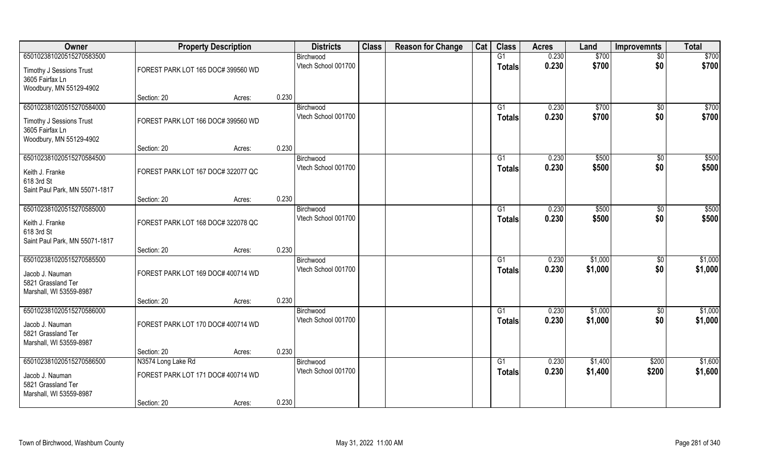| Owner                                                                                        |                                    | <b>Property Description</b> | <b>Districts</b>                 | <b>Class</b> | <b>Reason for Change</b> | Cat | <b>Class</b>        | <b>Acres</b>   | Land               | <b>Improvemnts</b>     | <b>Total</b>       |
|----------------------------------------------------------------------------------------------|------------------------------------|-----------------------------|----------------------------------|--------------|--------------------------|-----|---------------------|----------------|--------------------|------------------------|--------------------|
| 650102381020515270583500                                                                     |                                    |                             | Birchwood                        |              |                          |     | G1                  | 0.230          | \$700              | $\sqrt{$0}$            | \$700              |
| Timothy J Sessions Trust<br>3605 Fairfax Ln                                                  | FOREST PARK LOT 165 DOC# 399560 WD |                             | Vtech School 001700              |              |                          |     | <b>Totals</b>       | 0.230          | \$700              | \$0                    | \$700              |
| Woodbury, MN 55129-4902                                                                      | Section: 20                        | Acres:                      | 0.230                            |              |                          |     |                     |                |                    |                        |                    |
| 650102381020515270584000                                                                     |                                    |                             | Birchwood                        |              |                          |     | G1                  | 0.230          | \$700              | $\sqrt{$0}$            | \$700              |
| <b>Timothy J Sessions Trust</b><br>3605 Fairfax Ln<br>Woodbury, MN 55129-4902                | FOREST PARK LOT 166 DOC# 399560 WD |                             | Vtech School 001700              |              |                          |     | <b>Totals</b>       | 0.230          | \$700              | \$0                    | \$700              |
|                                                                                              | Section: 20                        | Acres:                      | 0.230                            |              |                          |     |                     |                |                    |                        |                    |
| 650102381020515270584500<br>Keith J. Franke<br>618 3rd St<br>Saint Paul Park, MN 55071-1817  | FOREST PARK LOT 167 DOC# 322077 QC |                             | Birchwood<br>Vtech School 001700 |              |                          |     | G1<br><b>Totals</b> | 0.230<br>0.230 | \$500<br>\$500     | $\sqrt{50}$<br>\$0     | \$500<br>\$500     |
|                                                                                              | Section: 20                        | Acres:                      | 0.230                            |              |                          |     |                     |                |                    |                        |                    |
| 650102381020515270585000                                                                     |                                    |                             | Birchwood                        |              |                          |     | G1                  | 0.230          | \$500              | $\sqrt[6]{3}$          | \$500              |
| Keith J. Franke<br>618 3rd St<br>Saint Paul Park, MN 55071-1817                              | FOREST PARK LOT 168 DOC# 322078 QC |                             | Vtech School 001700              |              |                          |     | <b>Totals</b>       | 0.230          | \$500              | \$0                    | \$500              |
|                                                                                              | Section: 20                        | Acres:                      | 0.230                            |              |                          |     |                     |                |                    |                        |                    |
| 650102381020515270585500<br>Jacob J. Nauman<br>5821 Grassland Ter<br>Marshall, WI 53559-8987 | FOREST PARK LOT 169 DOC# 400714 WD |                             | Birchwood<br>Vtech School 001700 |              |                          |     | G1<br><b>Totals</b> | 0.230<br>0.230 | \$1,000<br>\$1,000 | $\overline{30}$<br>\$0 | \$1,000<br>\$1,000 |
|                                                                                              | Section: 20                        | Acres:                      | 0.230                            |              |                          |     |                     |                |                    |                        |                    |
| 650102381020515270586000<br>Jacob J. Nauman<br>5821 Grassland Ter<br>Marshall, WI 53559-8987 | FOREST PARK LOT 170 DOC# 400714 WD |                             | Birchwood<br>Vtech School 001700 |              |                          |     | G1<br><b>Totals</b> | 0.230<br>0.230 | \$1,000<br>\$1,000 | $\sqrt{$0}$<br>\$0     | \$1,000<br>\$1,000 |
|                                                                                              | Section: 20                        | Acres:                      | 0.230                            |              |                          |     |                     |                |                    |                        |                    |
| 650102381020515270586500                                                                     | N3574 Long Lake Rd                 |                             | Birchwood                        |              |                          |     | $\overline{G1}$     | 0.230          | \$1,400            | \$200                  | \$1,600            |
| Jacob J. Nauman<br>5821 Grassland Ter<br>Marshall, WI 53559-8987                             | FOREST PARK LOT 171 DOC# 400714 WD |                             | Vtech School 001700              |              |                          |     | <b>Totals</b>       | 0.230          | \$1,400            | \$200                  | \$1,600            |
|                                                                                              | Section: 20                        | Acres:                      | 0.230                            |              |                          |     |                     |                |                    |                        |                    |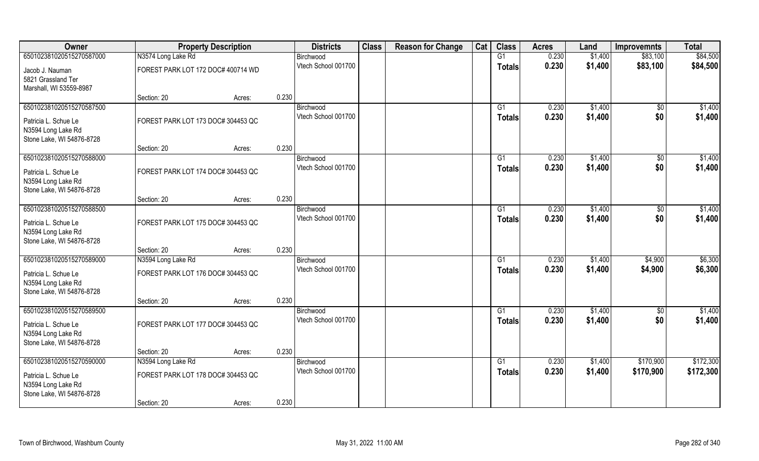| 650102381020515270587000<br>N3574 Long Lake Rd<br>G1<br>0.230<br>\$1,400<br>\$83,100<br>Birchwood<br>Vtech School 001700<br>0.230<br>\$1,400<br>\$83,100<br><b>Totals</b><br>FOREST PARK LOT 172 DOC# 400714 WD<br>Jacob J. Nauman<br>5821 Grassland Ter<br>Marshall, WI 53559-8987<br>0.230<br>Section: 20<br>Acres:<br>650102381020515270587500<br>\$1,400<br>0.230<br>\$1,400<br>Birchwood<br>G1<br>$\overline{50}$<br>0.230<br>\$1,400<br>\$1,400<br>Vtech School 001700<br>\$0<br><b>Totals</b><br>FOREST PARK LOT 173 DOC# 304453 QC<br>Patricia L. Schue Le<br>N3594 Long Lake Rd<br>Stone Lake, WI 54876-8728<br>0.230<br>Section: 20<br>Acres:<br>\$1,400<br>650102381020515270588000<br>\$1,400<br>$\overline{50}$<br>G1<br>0.230<br>Birchwood<br>Vtech School 001700<br>\$0<br>0.230<br>\$1,400<br>\$1,400<br><b>Totals</b> | Owner                | <b>Property Description</b>        |  | <b>Districts</b> | <b>Class</b> | <b>Reason for Change</b> | Cat | <b>Class</b> | <b>Acres</b> | Land | <b>Improvemnts</b> | <b>Total</b>           |
|----------------------------------------------------------------------------------------------------------------------------------------------------------------------------------------------------------------------------------------------------------------------------------------------------------------------------------------------------------------------------------------------------------------------------------------------------------------------------------------------------------------------------------------------------------------------------------------------------------------------------------------------------------------------------------------------------------------------------------------------------------------------------------------------------------------------------------------|----------------------|------------------------------------|--|------------------|--------------|--------------------------|-----|--------------|--------------|------|--------------------|------------------------|
|                                                                                                                                                                                                                                                                                                                                                                                                                                                                                                                                                                                                                                                                                                                                                                                                                                        |                      |                                    |  |                  |              |                          |     |              |              |      |                    | \$84,500               |
|                                                                                                                                                                                                                                                                                                                                                                                                                                                                                                                                                                                                                                                                                                                                                                                                                                        |                      |                                    |  |                  |              |                          |     |              |              |      |                    | \$84,500               |
|                                                                                                                                                                                                                                                                                                                                                                                                                                                                                                                                                                                                                                                                                                                                                                                                                                        |                      |                                    |  |                  |              |                          |     |              |              |      |                    |                        |
|                                                                                                                                                                                                                                                                                                                                                                                                                                                                                                                                                                                                                                                                                                                                                                                                                                        |                      |                                    |  |                  |              |                          |     |              |              |      |                    |                        |
|                                                                                                                                                                                                                                                                                                                                                                                                                                                                                                                                                                                                                                                                                                                                                                                                                                        |                      |                                    |  |                  |              |                          |     |              |              |      |                    |                        |
|                                                                                                                                                                                                                                                                                                                                                                                                                                                                                                                                                                                                                                                                                                                                                                                                                                        |                      |                                    |  |                  |              |                          |     |              |              |      |                    |                        |
|                                                                                                                                                                                                                                                                                                                                                                                                                                                                                                                                                                                                                                                                                                                                                                                                                                        |                      |                                    |  |                  |              |                          |     |              |              |      |                    |                        |
|                                                                                                                                                                                                                                                                                                                                                                                                                                                                                                                                                                                                                                                                                                                                                                                                                                        |                      |                                    |  |                  |              |                          |     |              |              |      |                    |                        |
|                                                                                                                                                                                                                                                                                                                                                                                                                                                                                                                                                                                                                                                                                                                                                                                                                                        |                      |                                    |  |                  |              |                          |     |              |              |      |                    |                        |
|                                                                                                                                                                                                                                                                                                                                                                                                                                                                                                                                                                                                                                                                                                                                                                                                                                        |                      |                                    |  |                  |              |                          |     |              |              |      |                    |                        |
|                                                                                                                                                                                                                                                                                                                                                                                                                                                                                                                                                                                                                                                                                                                                                                                                                                        |                      |                                    |  |                  |              |                          |     |              |              |      |                    |                        |
|                                                                                                                                                                                                                                                                                                                                                                                                                                                                                                                                                                                                                                                                                                                                                                                                                                        | Patricia L. Schue Le | FOREST PARK LOT 174 DOC# 304453 QC |  |                  |              |                          |     |              |              |      |                    |                        |
| N3594 Long Lake Rd<br>Stone Lake, WI 54876-8728                                                                                                                                                                                                                                                                                                                                                                                                                                                                                                                                                                                                                                                                                                                                                                                        |                      |                                    |  |                  |              |                          |     |              |              |      |                    |                        |
| 0.230<br>Section: 20<br>Acres:                                                                                                                                                                                                                                                                                                                                                                                                                                                                                                                                                                                                                                                                                                                                                                                                         |                      |                                    |  |                  |              |                          |     |              |              |      |                    |                        |
| 650102381020515270588500<br>0.230<br>\$1,400<br>\$0<br>Birchwood<br>G1                                                                                                                                                                                                                                                                                                                                                                                                                                                                                                                                                                                                                                                                                                                                                                 |                      |                                    |  |                  |              |                          |     |              |              |      |                    | \$1,400                |
| Vtech School 001700<br>0.230<br>\$1,400<br>\$0<br>Totals<br>FOREST PARK LOT 175 DOC# 304453 QC<br>Patricia L. Schue Le                                                                                                                                                                                                                                                                                                                                                                                                                                                                                                                                                                                                                                                                                                                 |                      |                                    |  |                  |              |                          |     |              |              |      |                    | \$1,400                |
| N3594 Long Lake Rd                                                                                                                                                                                                                                                                                                                                                                                                                                                                                                                                                                                                                                                                                                                                                                                                                     |                      |                                    |  |                  |              |                          |     |              |              |      |                    |                        |
| Stone Lake, WI 54876-8728                                                                                                                                                                                                                                                                                                                                                                                                                                                                                                                                                                                                                                                                                                                                                                                                              |                      |                                    |  |                  |              |                          |     |              |              |      |                    |                        |
| 0.230<br>Section: 20<br>Acres:                                                                                                                                                                                                                                                                                                                                                                                                                                                                                                                                                                                                                                                                                                                                                                                                         |                      |                                    |  |                  |              |                          |     |              |              |      |                    |                        |
| 650102381020515270589000<br>N3594 Long Lake Rd<br>G1<br>0.230<br>\$1,400<br>\$4,900<br>Birchwood                                                                                                                                                                                                                                                                                                                                                                                                                                                                                                                                                                                                                                                                                                                                       |                      |                                    |  |                  |              |                          |     |              |              |      |                    | \$6,300                |
| Vtech School 001700<br>0.230<br>\$1,400<br>\$4,900<br><b>Totals</b><br>FOREST PARK LOT 176 DOC# 304453 QC<br>Patricia L. Schue Le                                                                                                                                                                                                                                                                                                                                                                                                                                                                                                                                                                                                                                                                                                      |                      |                                    |  |                  |              |                          |     |              |              |      |                    | \$6,300                |
| N3594 Long Lake Rd                                                                                                                                                                                                                                                                                                                                                                                                                                                                                                                                                                                                                                                                                                                                                                                                                     |                      |                                    |  |                  |              |                          |     |              |              |      |                    |                        |
| Stone Lake, WI 54876-8728                                                                                                                                                                                                                                                                                                                                                                                                                                                                                                                                                                                                                                                                                                                                                                                                              |                      |                                    |  |                  |              |                          |     |              |              |      |                    |                        |
| 0.230<br>Section: 20<br>Acres:                                                                                                                                                                                                                                                                                                                                                                                                                                                                                                                                                                                                                                                                                                                                                                                                         |                      |                                    |  |                  |              |                          |     |              |              |      |                    |                        |
| 650102381020515270589500<br>G1<br>0.230<br>\$1,400<br>\$0<br>Birchwood                                                                                                                                                                                                                                                                                                                                                                                                                                                                                                                                                                                                                                                                                                                                                                 |                      |                                    |  |                  |              |                          |     |              |              |      |                    | \$1,400                |
| Vtech School 001700<br>0.230<br>\$1,400<br>\$0<br><b>Totals</b><br>FOREST PARK LOT 177 DOC# 304453 QC<br>Patricia L. Schue Le                                                                                                                                                                                                                                                                                                                                                                                                                                                                                                                                                                                                                                                                                                          |                      |                                    |  |                  |              |                          |     |              |              |      |                    | \$1,400                |
| N3594 Long Lake Rd                                                                                                                                                                                                                                                                                                                                                                                                                                                                                                                                                                                                                                                                                                                                                                                                                     |                      |                                    |  |                  |              |                          |     |              |              |      |                    |                        |
| Stone Lake, WI 54876-8728                                                                                                                                                                                                                                                                                                                                                                                                                                                                                                                                                                                                                                                                                                                                                                                                              |                      |                                    |  |                  |              |                          |     |              |              |      |                    |                        |
| 0.230<br>Section: 20<br>Acres:                                                                                                                                                                                                                                                                                                                                                                                                                                                                                                                                                                                                                                                                                                                                                                                                         |                      |                                    |  |                  |              |                          |     |              |              |      |                    |                        |
| 650102381020515270590000<br>\$170,900<br>N3594 Long Lake Rd<br>Birchwood<br>G1<br>0.230<br>\$1,400<br>Vtech School 001700<br>0.230<br>\$1,400<br>\$170,900<br><b>Totals</b>                                                                                                                                                                                                                                                                                                                                                                                                                                                                                                                                                                                                                                                            |                      |                                    |  |                  |              |                          |     |              |              |      |                    | \$172,300<br>\$172,300 |
| FOREST PARK LOT 178 DOC# 304453 QC<br>Patricia L. Schue Le                                                                                                                                                                                                                                                                                                                                                                                                                                                                                                                                                                                                                                                                                                                                                                             |                      |                                    |  |                  |              |                          |     |              |              |      |                    |                        |
| N3594 Long Lake Rd                                                                                                                                                                                                                                                                                                                                                                                                                                                                                                                                                                                                                                                                                                                                                                                                                     |                      |                                    |  |                  |              |                          |     |              |              |      |                    |                        |
| Stone Lake, WI 54876-8728<br>0.230<br>Section: 20<br>Acres:                                                                                                                                                                                                                                                                                                                                                                                                                                                                                                                                                                                                                                                                                                                                                                            |                      |                                    |  |                  |              |                          |     |              |              |      |                    |                        |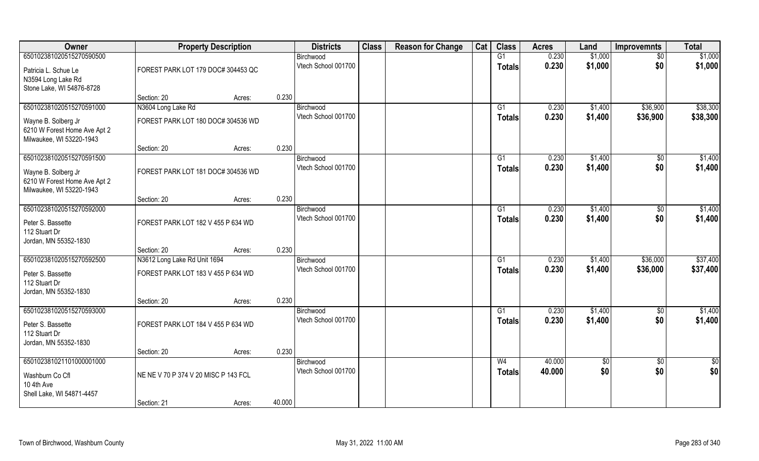| Owner                                                                           |                                      | <b>Property Description</b> |        | <b>Districts</b>                 | <b>Class</b> | <b>Reason for Change</b> | Cat | <b>Class</b>        | <b>Acres</b>   | Land               | <b>Improvemnts</b> | <b>Total</b>       |
|---------------------------------------------------------------------------------|--------------------------------------|-----------------------------|--------|----------------------------------|--------------|--------------------------|-----|---------------------|----------------|--------------------|--------------------|--------------------|
| 650102381020515270590500                                                        |                                      |                             |        | Birchwood<br>Vtech School 001700 |              |                          |     | G1<br><b>Totals</b> | 0.230<br>0.230 | \$1,000<br>\$1,000 | \$0<br>\$0         | \$1,000<br>\$1,000 |
| Patricia L. Schue Le<br>N3594 Long Lake Rd<br>Stone Lake, WI 54876-8728         | FOREST PARK LOT 179 DOC# 304453 QC   |                             |        |                                  |              |                          |     |                     |                |                    |                    |                    |
|                                                                                 | Section: 20                          | Acres:                      | 0.230  |                                  |              |                          |     |                     |                |                    |                    |                    |
| 650102381020515270591000                                                        | N3604 Long Lake Rd                   |                             |        | Birchwood                        |              |                          |     | G1                  | 0.230          | \$1,400            | \$36,900           | \$38,300           |
| Wayne B. Solberg Jr<br>6210 W Forest Home Ave Apt 2<br>Milwaukee, WI 53220-1943 | FOREST PARK LOT 180 DOC# 304536 WD   |                             |        | Vtech School 001700              |              |                          |     | <b>Totals</b>       | 0.230          | \$1,400            | \$36,900           | \$38,300           |
|                                                                                 | Section: 20                          | Acres:                      | 0.230  |                                  |              |                          |     |                     |                |                    |                    |                    |
| 650102381020515270591500                                                        |                                      |                             |        | Birchwood                        |              |                          |     | G1                  | 0.230          | \$1,400            | $\sqrt[6]{}$       | \$1,400            |
| Wayne B. Solberg Jr<br>6210 W Forest Home Ave Apt 2<br>Milwaukee, WI 53220-1943 | FOREST PARK LOT 181 DOC# 304536 WD   |                             |        | Vtech School 001700              |              |                          |     | <b>Totals</b>       | 0.230          | \$1,400            | \$0                | \$1,400            |
|                                                                                 | Section: 20                          | Acres:                      | 0.230  |                                  |              |                          |     |                     |                |                    |                    |                    |
| 650102381020515270592000                                                        |                                      |                             |        | Birchwood                        |              |                          |     | G1                  | 0.230          | \$1,400            | $\sqrt[6]{30}$     | \$1,400            |
| Peter S. Bassette<br>112 Stuart Dr<br>Jordan, MN 55352-1830                     | FOREST PARK LOT 182 V 455 P 634 WD   |                             |        | Vtech School 001700              |              |                          |     | <b>Totals</b>       | 0.230          | \$1,400            | \$0                | \$1,400            |
|                                                                                 | Section: 20                          | Acres:                      | 0.230  |                                  |              |                          |     |                     |                |                    |                    |                    |
| 650102381020515270592500                                                        | N3612 Long Lake Rd Unit 1694         |                             |        | Birchwood                        |              |                          |     | G1                  | 0.230          | \$1,400            | \$36,000           | \$37,400           |
| Peter S. Bassette<br>112 Stuart Dr                                              | FOREST PARK LOT 183 V 455 P 634 WD   |                             |        | Vtech School 001700              |              |                          |     | <b>Totals</b>       | 0.230          | \$1,400            | \$36,000           | \$37,400           |
| Jordan, MN 55352-1830                                                           |                                      |                             |        |                                  |              |                          |     |                     |                |                    |                    |                    |
|                                                                                 | Section: 20                          | Acres:                      | 0.230  |                                  |              |                          |     |                     |                |                    |                    |                    |
| 650102381020515270593000                                                        |                                      |                             |        | Birchwood                        |              |                          |     | G1                  | 0.230          | \$1,400            | \$0                | \$1,400            |
| Peter S. Bassette<br>112 Stuart Dr<br>Jordan, MN 55352-1830                     | FOREST PARK LOT 184 V 455 P 634 WD   |                             |        | Vtech School 001700              |              |                          |     | <b>Totals</b>       | 0.230          | \$1,400            | \$0                | \$1,400            |
|                                                                                 | Section: 20                          | Acres:                      | 0.230  |                                  |              |                          |     |                     |                |                    |                    |                    |
| 650102381021101000001000                                                        |                                      |                             |        | Birchwood                        |              |                          |     | W <sub>4</sub>      | 40.000         | $\sqrt{6}$         | $\overline{50}$    | $rac{1}{2}$        |
| Washburn Co Cfl<br>10 4th Ave<br>Shell Lake, WI 54871-4457                      | NE NE V 70 P 374 V 20 MISC P 143 FCL |                             |        | Vtech School 001700              |              |                          |     | <b>Totals</b>       | 40.000         | \$0                | \$0                | \$0                |
|                                                                                 | Section: 21                          | Acres:                      | 40.000 |                                  |              |                          |     |                     |                |                    |                    |                    |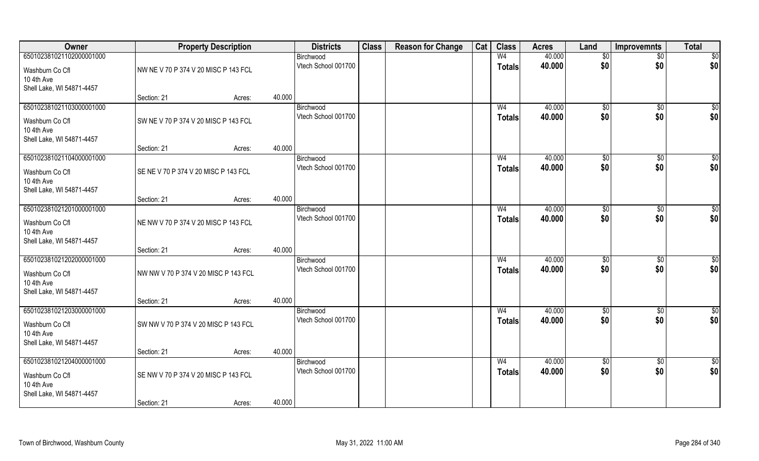| Owner                                                                                  |                                      | <b>Property Description</b> |        | <b>Districts</b>                 | <b>Class</b> | <b>Reason for Change</b> | Cat | <b>Class</b>             | <b>Acres</b>     | Land            | <b>Improvemnts</b> | <b>Total</b>    |
|----------------------------------------------------------------------------------------|--------------------------------------|-----------------------------|--------|----------------------------------|--------------|--------------------------|-----|--------------------------|------------------|-----------------|--------------------|-----------------|
| 650102381021102000001000                                                               |                                      |                             |        | Birchwood                        |              |                          |     | W <sub>4</sub>           | 40.000           | \$0             | $\overline{50}$    | \$0             |
| Washburn Co Cfl<br>10 4th Ave<br>Shell Lake, WI 54871-4457                             | NW NE V 70 P 374 V 20 MISC P 143 FCL |                             |        | Vtech School 001700              |              |                          |     | <b>Totals</b>            | 40.000           | \$0             | \$0                | \$0             |
|                                                                                        | Section: 21                          | Acres:                      | 40.000 |                                  |              |                          |     |                          |                  |                 |                    |                 |
| 650102381021103000001000                                                               |                                      |                             |        | Birchwood                        |              |                          |     | W <sub>4</sub>           | 40.000           | \$0             | $\overline{50}$    | $\sqrt{50}$     |
| Washburn Co Cfl<br>10 4th Ave<br>Shell Lake, WI 54871-4457                             | SW NE V 70 P 374 V 20 MISC P 143 FCL |                             |        | Vtech School 001700              |              |                          |     | <b>Totals</b>            | 40.000           | \$0             | \$0                | \$0             |
|                                                                                        | Section: 21                          | Acres:                      | 40.000 |                                  |              |                          |     |                          |                  |                 |                    |                 |
| 650102381021104000001000                                                               |                                      |                             |        | Birchwood                        |              |                          |     | W <sub>4</sub>           | 40.000           | \$0             | \$0                | $\overline{50}$ |
| Washburn Co Cfl<br>10 4th Ave<br>Shell Lake, WI 54871-4457                             | SE NE V 70 P 374 V 20 MISC P 143 FCL |                             |        | Vtech School 001700              |              |                          |     | <b>Totals</b>            | 40.000           | \$0             | \$0                | \$0             |
|                                                                                        | Section: 21                          | Acres:                      | 40.000 |                                  |              |                          |     |                          |                  |                 |                    |                 |
| 650102381021201000001000                                                               |                                      |                             |        | Birchwood                        |              |                          |     | W <sub>4</sub>           | 40.000           | $\sqrt[6]{3}$   | $\frac{1}{20}$     | \$0             |
| Washburn Co Cfl<br>10 4th Ave<br>Shell Lake, WI 54871-4457                             | NE NW V 70 P 374 V 20 MISC P 143 FCL |                             |        | Vtech School 001700              |              |                          |     | <b>Totals</b>            | 40.000           | \$0             | \$0                | \$0             |
|                                                                                        | Section: 21                          | Acres:                      | 40.000 |                                  |              |                          |     |                          |                  |                 |                    |                 |
| 650102381021202000001000<br>Washburn Co Cfl<br>10 4th Ave<br>Shell Lake, WI 54871-4457 | NW NW V 70 P 374 V 20 MISC P 143 FCL |                             |        | Birchwood<br>Vtech School 001700 |              |                          |     | W <sub>4</sub><br>Totals | 40.000<br>40.000 | \$0<br>\$0      | \$0<br>\$0         | \$0<br>\$0      |
|                                                                                        | Section: 21                          | Acres:                      | 40.000 |                                  |              |                          |     |                          |                  |                 |                    |                 |
| 650102381021203000001000                                                               |                                      |                             |        | Birchwood                        |              |                          |     | W <sub>4</sub>           | 40.000           | \$0             | \$0                | $\frac{6}{3}$   |
| Washburn Co Cfl<br>10 4th Ave<br>Shell Lake, WI 54871-4457                             | SW NW V 70 P 374 V 20 MISC P 143 FCL |                             |        | Vtech School 001700              |              |                          |     | <b>Totals</b>            | 40.000           | \$0             | \$0                | \$0             |
|                                                                                        | Section: 21                          | Acres:                      | 40.000 |                                  |              |                          |     |                          |                  |                 |                    |                 |
| 650102381021204000001000                                                               |                                      |                             |        | Birchwood                        |              |                          |     | W <sub>4</sub>           | 40.000           | $\overline{50}$ | $\overline{50}$    | \$0             |
| Washburn Co Cfl<br>10 4th Ave<br>Shell Lake, WI 54871-4457                             | SE NW V 70 P 374 V 20 MISC P 143 FCL |                             |        | Vtech School 001700              |              |                          |     | <b>Totals</b>            | 40.000           | \$0             | \$0                | \$0             |
|                                                                                        | Section: 21                          | Acres:                      | 40.000 |                                  |              |                          |     |                          |                  |                 |                    |                 |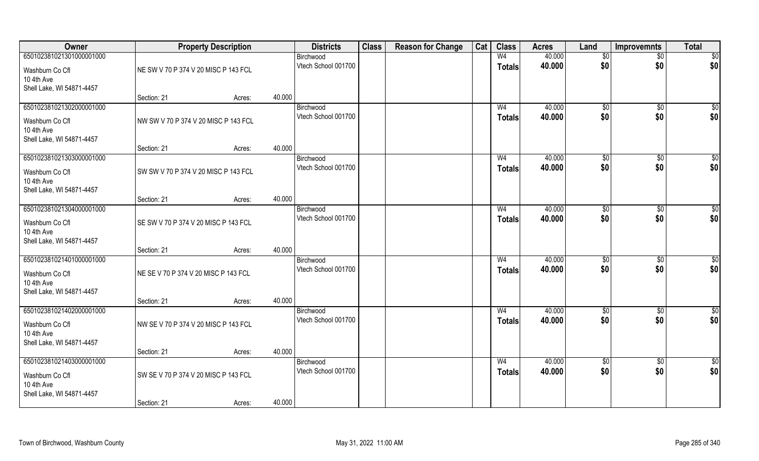| Owner                                   |                                      | <b>Property Description</b> |        | <b>Districts</b>                 | <b>Class</b> | <b>Reason for Change</b> | Cat | <b>Class</b>   | <b>Acres</b>     | Land                | <b>Improvemnts</b> | <b>Total</b>    |
|-----------------------------------------|--------------------------------------|-----------------------------|--------|----------------------------------|--------------|--------------------------|-----|----------------|------------------|---------------------|--------------------|-----------------|
| 650102381021301000001000                |                                      |                             |        | Birchwood                        |              |                          |     | W <sub>4</sub> | 40.000           | \$0                 | $\sqrt{$0}$        | \$0             |
| Washburn Co Cfl                         | NE SW V 70 P 374 V 20 MISC P 143 FCL |                             |        | Vtech School 001700              |              |                          |     | <b>Totals</b>  | 40.000           | \$0                 | \$0                | \$0             |
| 10 4th Ave                              |                                      |                             |        |                                  |              |                          |     |                |                  |                     |                    |                 |
| Shell Lake, WI 54871-4457               |                                      |                             |        |                                  |              |                          |     |                |                  |                     |                    |                 |
|                                         | Section: 21                          | Acres:                      | 40.000 |                                  |              |                          |     |                |                  |                     |                    |                 |
| 650102381021302000001000                |                                      |                             |        | Birchwood<br>Vtech School 001700 |              |                          |     | W <sub>4</sub> | 40.000<br>40.000 | $\sqrt[6]{}$<br>\$0 | $\sqrt{$0}$<br>\$0 | \$0<br>\$0      |
| Washburn Co Cfl                         | NW SW V 70 P 374 V 20 MISC P 143 FCL |                             |        |                                  |              |                          |     | Totals         |                  |                     |                    |                 |
| 10 4th Ave                              |                                      |                             |        |                                  |              |                          |     |                |                  |                     |                    |                 |
| Shell Lake, WI 54871-4457               | Section: 21                          | Acres:                      | 40.000 |                                  |              |                          |     |                |                  |                     |                    |                 |
| 650102381021303000001000                |                                      |                             |        | Birchwood                        |              |                          |     | W <sub>4</sub> | 40.000           | \$0                 | $\overline{50}$    | $\sqrt{50}$     |
| Washburn Co Cfl                         | SW SW V 70 P 374 V 20 MISC P 143 FCL |                             |        | Vtech School 001700              |              |                          |     | <b>Totals</b>  | 40.000           | \$0                 | \$0                | \$0             |
| 10 4th Ave                              |                                      |                             |        |                                  |              |                          |     |                |                  |                     |                    |                 |
| Shell Lake, WI 54871-4457               |                                      |                             |        |                                  |              |                          |     |                |                  |                     |                    |                 |
|                                         | Section: 21                          | Acres:                      | 40.000 |                                  |              |                          |     |                |                  |                     |                    |                 |
| 650102381021304000001000                |                                      |                             |        | Birchwood                        |              |                          |     | W <sub>4</sub> | 40.000           | $\frac{1}{20}$      | \$0                | \$0             |
| Washburn Co Cfl                         | SE SW V 70 P 374 V 20 MISC P 143 FCL |                             |        | Vtech School 001700              |              |                          |     | <b>Totals</b>  | 40.000           | \$0                 | \$0                | \$0             |
| 10 4th Ave                              |                                      |                             |        |                                  |              |                          |     |                |                  |                     |                    |                 |
| Shell Lake, WI 54871-4457               |                                      |                             |        |                                  |              |                          |     |                |                  |                     |                    |                 |
| 650102381021401000001000                | Section: 21                          | Acres:                      | 40.000 | Birchwood                        |              |                          |     | W <sub>4</sub> | 40.000           | \$0                 | $\overline{50}$    | $\sqrt{50}$     |
|                                         |                                      |                             |        | Vtech School 001700              |              |                          |     | <b>Totals</b>  | 40.000           | \$0                 | \$0                | \$0             |
| Washburn Co Cfl                         | NE SE V 70 P 374 V 20 MISC P 143 FCL |                             |        |                                  |              |                          |     |                |                  |                     |                    |                 |
| 10 4th Ave<br>Shell Lake, WI 54871-4457 |                                      |                             |        |                                  |              |                          |     |                |                  |                     |                    |                 |
|                                         | Section: 21                          | Acres:                      | 40.000 |                                  |              |                          |     |                |                  |                     |                    |                 |
| 650102381021402000001000                |                                      |                             |        | Birchwood                        |              |                          |     | W <sub>4</sub> | 40.000           | \$0                 | $\sqrt{$0}$        | \$0             |
| Washburn Co Cfl                         | NW SE V 70 P 374 V 20 MISC P 143 FCL |                             |        | Vtech School 001700              |              |                          |     | <b>Totals</b>  | 40.000           | \$0                 | \$0                | \$0             |
| 10 4th Ave                              |                                      |                             |        |                                  |              |                          |     |                |                  |                     |                    |                 |
| Shell Lake, WI 54871-4457               |                                      |                             |        |                                  |              |                          |     |                |                  |                     |                    |                 |
|                                         | Section: 21                          | Acres:                      | 40.000 |                                  |              |                          |     |                |                  |                     |                    |                 |
| 650102381021403000001000                |                                      |                             |        | Birchwood                        |              |                          |     | W <sub>4</sub> | 40.000           | $\sqrt{6}$          | $\sqrt{$0}$        | $\overline{50}$ |
| Washburn Co Cfl                         | SW SE V 70 P 374 V 20 MISC P 143 FCL |                             |        | Vtech School 001700              |              |                          |     | <b>Totals</b>  | 40.000           | \$0                 | \$0                | \$0             |
| 10 4th Ave                              |                                      |                             |        |                                  |              |                          |     |                |                  |                     |                    |                 |
| Shell Lake, WI 54871-4457               |                                      |                             | 40.000 |                                  |              |                          |     |                |                  |                     |                    |                 |
|                                         | Section: 21                          | Acres:                      |        |                                  |              |                          |     |                |                  |                     |                    |                 |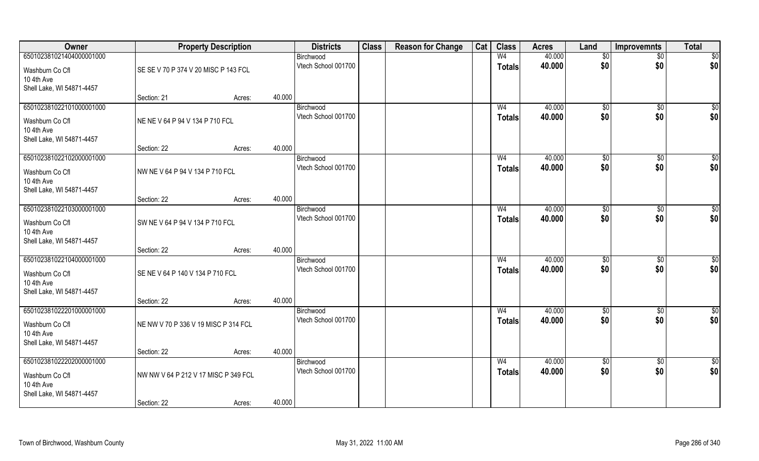| Owner                         |                                      | <b>Property Description</b> |        | <b>Districts</b>                 | <b>Class</b> | <b>Reason for Change</b> | Cat | <b>Class</b>   | <b>Acres</b> | Land         | <b>Improvemnts</b> | <b>Total</b>    |
|-------------------------------|--------------------------------------|-----------------------------|--------|----------------------------------|--------------|--------------------------|-----|----------------|--------------|--------------|--------------------|-----------------|
| 650102381021404000001000      |                                      |                             |        | Birchwood                        |              |                          |     | W <sub>4</sub> | 40.000       | \$0          | $\sqrt{$0}$        | \$0             |
| Washburn Co Cfl               | SE SE V 70 P 374 V 20 MISC P 143 FCL |                             |        | Vtech School 001700              |              |                          |     | <b>Totals</b>  | 40.000       | \$0          | \$0                | \$0             |
| 10 4th Ave                    |                                      |                             |        |                                  |              |                          |     |                |              |              |                    |                 |
| Shell Lake, WI 54871-4457     |                                      |                             |        |                                  |              |                          |     |                |              |              |                    |                 |
|                               | Section: 21                          | Acres:                      | 40.000 |                                  |              |                          |     |                |              |              |                    |                 |
| 650102381022101000001000      |                                      |                             |        | Birchwood<br>Vtech School 001700 |              |                          |     | W <sub>4</sub> | 40.000       | $\sqrt[6]{}$ | $\sqrt{$0}$        | \$0             |
| Washburn Co Cfl               | NE NE V 64 P 94 V 134 P 710 FCL      |                             |        |                                  |              |                          |     | Totals         | 40.000       | \$0          | \$0                | \$0             |
| 10 4th Ave                    |                                      |                             |        |                                  |              |                          |     |                |              |              |                    |                 |
| Shell Lake, WI 54871-4457     | Section: 22                          | Acres:                      | 40.000 |                                  |              |                          |     |                |              |              |                    |                 |
| 650102381022102000001000      |                                      |                             |        | Birchwood                        |              |                          |     | W <sub>4</sub> | 40.000       | \$0          | $\overline{50}$    | $\sqrt{50}$     |
|                               |                                      |                             |        | Vtech School 001700              |              |                          |     | <b>Totals</b>  | 40.000       | \$0          | \$0                | \$0             |
| Washburn Co Cfl<br>10 4th Ave | NW NE V 64 P 94 V 134 P 710 FCL      |                             |        |                                  |              |                          |     |                |              |              |                    |                 |
| Shell Lake, WI 54871-4457     |                                      |                             |        |                                  |              |                          |     |                |              |              |                    |                 |
|                               | Section: 22                          | Acres:                      | 40.000 |                                  |              |                          |     |                |              |              |                    |                 |
| 650102381022103000001000      |                                      |                             |        | Birchwood                        |              |                          |     | W <sub>4</sub> | 40.000       | \$0          | \$0                | \$0             |
| Washburn Co Cfl               | SW NE V 64 P 94 V 134 P 710 FCL      |                             |        | Vtech School 001700              |              |                          |     | <b>Totals</b>  | 40.000       | \$0          | \$0                | \$0             |
| 10 4th Ave                    |                                      |                             |        |                                  |              |                          |     |                |              |              |                    |                 |
| Shell Lake, WI 54871-4457     |                                      |                             |        |                                  |              |                          |     |                |              |              |                    |                 |
|                               | Section: 22                          | Acres:                      | 40.000 |                                  |              |                          |     |                |              |              |                    |                 |
| 650102381022104000001000      |                                      |                             |        | Birchwood<br>Vtech School 001700 |              |                          |     | W <sub>4</sub> | 40.000       | \$0<br>\$0   | $\overline{50}$    | $\sqrt{50}$     |
| Washburn Co Cfl               | SE NE V 64 P 140 V 134 P 710 FCL     |                             |        |                                  |              |                          |     | <b>Totals</b>  | 40.000       |              | \$0                | \$0             |
| 10 4th Ave                    |                                      |                             |        |                                  |              |                          |     |                |              |              |                    |                 |
| Shell Lake, WI 54871-4457     | Section: 22                          | Acres:                      | 40.000 |                                  |              |                          |     |                |              |              |                    |                 |
| 650102381022201000001000      |                                      |                             |        | Birchwood                        |              |                          |     | W <sub>4</sub> | 40.000       | \$0          | $\sqrt{$0}$        | \$0             |
|                               | NE NW V 70 P 336 V 19 MISC P 314 FCL |                             |        | Vtech School 001700              |              |                          |     | <b>Totals</b>  | 40.000       | \$0          | \$0                | \$0             |
| Washburn Co Cfl<br>10 4th Ave |                                      |                             |        |                                  |              |                          |     |                |              |              |                    |                 |
| Shell Lake, WI 54871-4457     |                                      |                             |        |                                  |              |                          |     |                |              |              |                    |                 |
|                               | Section: 22                          | Acres:                      | 40.000 |                                  |              |                          |     |                |              |              |                    |                 |
| 650102381022202000001000      |                                      |                             |        | Birchwood                        |              |                          |     | W <sub>4</sub> | 40.000       | $\sqrt{6}$   | $\sqrt{$0}$        | $\overline{50}$ |
| Washburn Co Cfl               | NW NW V 64 P 212 V 17 MISC P 349 FCL |                             |        | Vtech School 001700              |              |                          |     | <b>Totals</b>  | 40.000       | \$0          | \$0                | \$0             |
| 10 4th Ave                    |                                      |                             |        |                                  |              |                          |     |                |              |              |                    |                 |
| Shell Lake, WI 54871-4457     |                                      |                             |        |                                  |              |                          |     |                |              |              |                    |                 |
|                               | Section: 22                          | Acres:                      | 40.000 |                                  |              |                          |     |                |              |              |                    |                 |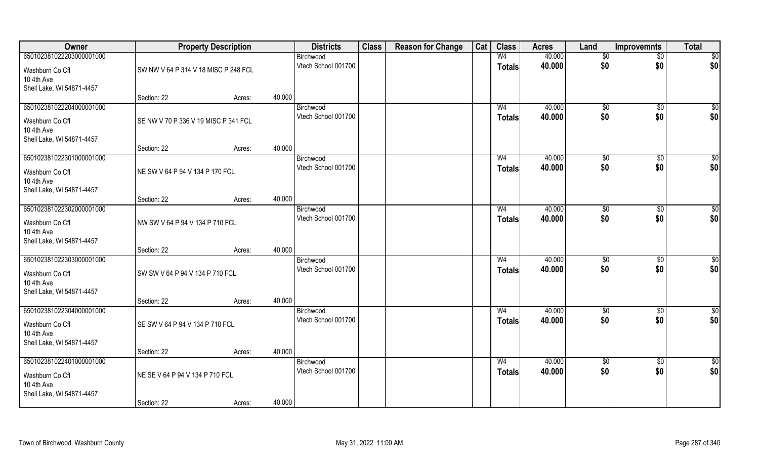| Owner                         |                                      | <b>Property Description</b> |        | <b>Districts</b>    | <b>Class</b> | <b>Reason for Change</b> | Cat | <b>Class</b>   | <b>Acres</b> | Land            | Improvemnts     | <b>Total</b>    |
|-------------------------------|--------------------------------------|-----------------------------|--------|---------------------|--------------|--------------------------|-----|----------------|--------------|-----------------|-----------------|-----------------|
| 650102381022203000001000      |                                      |                             |        | Birchwood           |              |                          |     | W <sub>4</sub> | 40.000       | \$0             | $\overline{50}$ | $\overline{50}$ |
| Washburn Co Cfl               | SW NW V 64 P 314 V 18 MISC P 248 FCL |                             |        | Vtech School 001700 |              |                          |     | <b>Totals</b>  | 40.000       | \$0             | \$0             | \$0             |
| 10 4th Ave                    |                                      |                             |        |                     |              |                          |     |                |              |                 |                 |                 |
| Shell Lake, WI 54871-4457     |                                      |                             |        |                     |              |                          |     |                |              |                 |                 |                 |
|                               | Section: 22                          | Acres:                      | 40.000 |                     |              |                          |     |                |              |                 |                 |                 |
| 650102381022204000001000      |                                      |                             |        | Birchwood           |              |                          |     | W <sub>4</sub> | 40.000       | $\sqrt[6]{}$    | $\sqrt{$0}$     | $\sqrt{50}$     |
| Washburn Co Cfl               | SE NW V 70 P 336 V 19 MISC P 341 FCL |                             |        | Vtech School 001700 |              |                          |     | <b>Totals</b>  | 40.000       | \$0             | \$0             | \$0             |
| 10 4th Ave                    |                                      |                             |        |                     |              |                          |     |                |              |                 |                 |                 |
| Shell Lake, WI 54871-4457     |                                      |                             | 40.000 |                     |              |                          |     |                |              |                 |                 |                 |
| 650102381022301000001000      | Section: 22                          | Acres:                      |        | Birchwood           |              |                          |     | W <sub>4</sub> | 40.000       | \$0             | $\sqrt[6]{30}$  | $\sqrt{50}$     |
|                               |                                      |                             |        | Vtech School 001700 |              |                          |     | <b>Totals</b>  | 40.000       | \$0             | \$0             | \$0             |
| Washburn Co Cfl               | NE SW V 64 P 94 V 134 P 170 FCL      |                             |        |                     |              |                          |     |                |              |                 |                 |                 |
| 10 4th Ave                    |                                      |                             |        |                     |              |                          |     |                |              |                 |                 |                 |
| Shell Lake, WI 54871-4457     | Section: 22                          | Acres:                      | 40.000 |                     |              |                          |     |                |              |                 |                 |                 |
| 650102381022302000001000      |                                      |                             |        | Birchwood           |              |                          |     | W <sub>4</sub> | 40.000       | $\frac{1}{20}$  | $\sqrt[6]{3}$   | \$0             |
|                               |                                      |                             |        | Vtech School 001700 |              |                          |     | <b>Totals</b>  | 40.000       | \$0             | \$0             | \$0             |
| Washburn Co Cfl<br>10 4th Ave | NW SW V 64 P 94 V 134 P 710 FCL      |                             |        |                     |              |                          |     |                |              |                 |                 |                 |
| Shell Lake, WI 54871-4457     |                                      |                             |        |                     |              |                          |     |                |              |                 |                 |                 |
|                               | Section: 22                          | Acres:                      | 40.000 |                     |              |                          |     |                |              |                 |                 |                 |
| 650102381022303000001000      |                                      |                             |        | Birchwood           |              |                          |     | W <sub>4</sub> | 40.000       | \$0             | $\sqrt[6]{3}$   | \$0             |
| Washburn Co Cfl               | SW SW V 64 P 94 V 134 P 710 FCL      |                             |        | Vtech School 001700 |              |                          |     | <b>Totals</b>  | 40.000       | \$0             | \$0             | \$0             |
| 10 4th Ave                    |                                      |                             |        |                     |              |                          |     |                |              |                 |                 |                 |
| Shell Lake, WI 54871-4457     |                                      |                             |        |                     |              |                          |     |                |              |                 |                 |                 |
|                               | Section: 22                          | Acres:                      | 40.000 |                     |              |                          |     |                |              |                 |                 |                 |
| 650102381022304000001000      |                                      |                             |        | Birchwood           |              |                          |     | W <sub>4</sub> | 40.000       | \$0             | \$0             | \$0             |
| Washburn Co Cfl               | SE SW V 64 P 94 V 134 P 710 FCL      |                             |        | Vtech School 001700 |              |                          |     | <b>Totals</b>  | 40.000       | \$0             | \$0             | \$0             |
| 10 4th Ave                    |                                      |                             |        |                     |              |                          |     |                |              |                 |                 |                 |
| Shell Lake, WI 54871-4457     |                                      |                             |        |                     |              |                          |     |                |              |                 |                 |                 |
|                               | Section: 22                          | Acres:                      | 40.000 |                     |              |                          |     |                |              |                 |                 |                 |
| 650102381022401000001000      |                                      |                             |        | Birchwood           |              |                          |     | W <sub>4</sub> | 40.000       | $\overline{50}$ | $\sqrt{$0}$     | \$0             |
| Washburn Co Cfl               | NE SE V 64 P 94 V 134 P 710 FCL      |                             |        | Vtech School 001700 |              |                          |     | <b>Totals</b>  | 40.000       | \$0             | \$0             | \$0             |
| 10 4th Ave                    |                                      |                             |        |                     |              |                          |     |                |              |                 |                 |                 |
| Shell Lake, WI 54871-4457     |                                      |                             |        |                     |              |                          |     |                |              |                 |                 |                 |
|                               | Section: 22                          | Acres:                      | 40.000 |                     |              |                          |     |                |              |                 |                 |                 |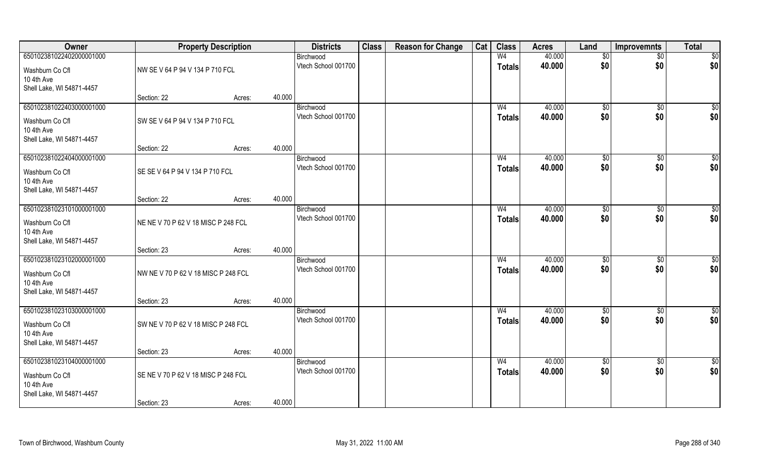| Owner                         |                                     | <b>Property Description</b> |        | <b>Districts</b>                 | <b>Class</b> | <b>Reason for Change</b> | Cat | <b>Class</b>   | <b>Acres</b>     | Land           | <b>Improvemnts</b>     | <b>Total</b>       |
|-------------------------------|-------------------------------------|-----------------------------|--------|----------------------------------|--------------|--------------------------|-----|----------------|------------------|----------------|------------------------|--------------------|
| 650102381022402000001000      |                                     |                             |        | Birchwood                        |              |                          |     | W <sub>4</sub> | 40.000           | \$0            | $\sqrt{$0}$            | \$0                |
| Washburn Co Cfl               | NW SE V 64 P 94 V 134 P 710 FCL     |                             |        | Vtech School 001700              |              |                          |     | <b>Totals</b>  | 40.000           | \$0            | \$0                    | \$0                |
| 10 4th Ave                    |                                     |                             |        |                                  |              |                          |     |                |                  |                |                        |                    |
| Shell Lake, WI 54871-4457     |                                     |                             |        |                                  |              |                          |     |                |                  |                |                        |                    |
|                               | Section: 22                         | Acres:                      | 40.000 |                                  |              |                          |     |                |                  |                |                        |                    |
| 650102381022403000001000      |                                     |                             |        | Birchwood<br>Vtech School 001700 |              |                          |     | W <sub>4</sub> | 40.000           | $\sqrt[6]{}$   | $\sqrt{$0}$            | \$0                |
| Washburn Co Cfl               | SW SE V 64 P 94 V 134 P 710 FCL     |                             |        |                                  |              |                          |     | Totals         | 40.000           | \$0            | \$0                    | \$0                |
| 10 4th Ave                    |                                     |                             |        |                                  |              |                          |     |                |                  |                |                        |                    |
| Shell Lake, WI 54871-4457     | Section: 22                         | Acres:                      | 40.000 |                                  |              |                          |     |                |                  |                |                        |                    |
| 650102381022404000001000      |                                     |                             |        | Birchwood                        |              |                          |     | W <sub>4</sub> | 40.000           | \$0            | $\overline{50}$        | $\sqrt{50}$        |
|                               |                                     |                             |        | Vtech School 001700              |              |                          |     | <b>Totals</b>  | 40.000           | \$0            | \$0                    | \$0                |
| Washburn Co Cfl<br>10 4th Ave | SE SE V 64 P 94 V 134 P 710 FCL     |                             |        |                                  |              |                          |     |                |                  |                |                        |                    |
| Shell Lake, WI 54871-4457     |                                     |                             |        |                                  |              |                          |     |                |                  |                |                        |                    |
|                               | Section: 22                         | Acres:                      | 40.000 |                                  |              |                          |     |                |                  |                |                        |                    |
| 650102381023101000001000      |                                     |                             |        | Birchwood                        |              |                          |     | W <sub>4</sub> | 40.000           | $\frac{1}{20}$ | \$0                    | \$0                |
| Washburn Co Cfl               | NE NE V 70 P 62 V 18 MISC P 248 FCL |                             |        | Vtech School 001700              |              |                          |     | <b>Totals</b>  | 40.000           | \$0            | \$0                    | \$0                |
| 10 4th Ave                    |                                     |                             |        |                                  |              |                          |     |                |                  |                |                        |                    |
| Shell Lake, WI 54871-4457     |                                     |                             |        |                                  |              |                          |     |                |                  |                |                        |                    |
|                               | Section: 23                         | Acres:                      | 40.000 |                                  |              |                          |     |                |                  |                |                        |                    |
| 650102381023102000001000      |                                     |                             |        | Birchwood<br>Vtech School 001700 |              |                          |     | W <sub>4</sub> | 40.000<br>40.000 | \$0<br>\$0     | $\overline{50}$<br>\$0 | $\sqrt{50}$<br>\$0 |
| Washburn Co Cfl               | NW NE V 70 P 62 V 18 MISC P 248 FCL |                             |        |                                  |              |                          |     | <b>Totals</b>  |                  |                |                        |                    |
| 10 4th Ave                    |                                     |                             |        |                                  |              |                          |     |                |                  |                |                        |                    |
| Shell Lake, WI 54871-4457     | Section: 23                         | Acres:                      | 40.000 |                                  |              |                          |     |                |                  |                |                        |                    |
| 650102381023103000001000      |                                     |                             |        | Birchwood                        |              |                          |     | W <sub>4</sub> | 40.000           | \$0            | $\sqrt{$0}$            | \$0                |
| Washburn Co Cfl               | SW NE V 70 P 62 V 18 MISC P 248 FCL |                             |        | Vtech School 001700              |              |                          |     | <b>Totals</b>  | 40.000           | \$0            | \$0                    | \$0                |
| 10 4th Ave                    |                                     |                             |        |                                  |              |                          |     |                |                  |                |                        |                    |
| Shell Lake, WI 54871-4457     |                                     |                             |        |                                  |              |                          |     |                |                  |                |                        |                    |
|                               | Section: 23                         | Acres:                      | 40.000 |                                  |              |                          |     |                |                  |                |                        |                    |
| 650102381023104000001000      |                                     |                             |        | Birchwood                        |              |                          |     | W <sub>4</sub> | 40.000           | $\sqrt{6}$     | $\sqrt{$0}$            | \$0                |
| Washburn Co Cfl               | SE NE V 70 P 62 V 18 MISC P 248 FCL |                             |        | Vtech School 001700              |              |                          |     | <b>Totals</b>  | 40.000           | \$0            | \$0                    | \$0                |
| 10 4th Ave                    |                                     |                             |        |                                  |              |                          |     |                |                  |                |                        |                    |
| Shell Lake, WI 54871-4457     |                                     |                             |        |                                  |              |                          |     |                |                  |                |                        |                    |
|                               | Section: 23                         | Acres:                      | 40.000 |                                  |              |                          |     |                |                  |                |                        |                    |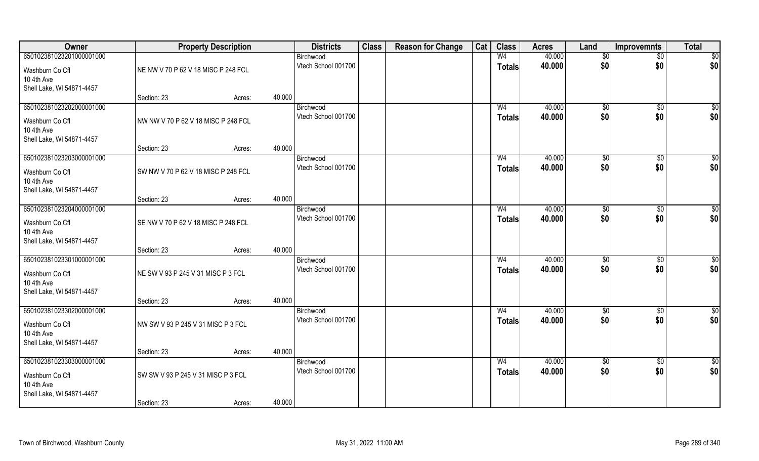| Owner                         |                                     | <b>Property Description</b> |        | <b>Districts</b>    | <b>Class</b> | <b>Reason for Change</b> | Cat | <b>Class</b>   | <b>Acres</b> | Land            | <b>Improvemnts</b> | <b>Total</b>    |
|-------------------------------|-------------------------------------|-----------------------------|--------|---------------------|--------------|--------------------------|-----|----------------|--------------|-----------------|--------------------|-----------------|
| 650102381023201000001000      |                                     |                             |        | Birchwood           |              |                          |     | W <sub>4</sub> | 40.000       | \$0             | $\overline{50}$    | \$0             |
| Washburn Co Cfl               | NE NW V 70 P 62 V 18 MISC P 248 FCL |                             |        | Vtech School 001700 |              |                          |     | <b>Totals</b>  | 40.000       | \$0             | \$0                | \$0             |
| 10 4th Ave                    |                                     |                             |        |                     |              |                          |     |                |              |                 |                    |                 |
| Shell Lake, WI 54871-4457     | Section: 23                         |                             | 40.000 |                     |              |                          |     |                |              |                 |                    |                 |
| 650102381023202000001000      |                                     | Acres:                      |        | Birchwood           |              |                          |     | W <sub>4</sub> | 40.000       | \$0             | $\overline{50}$    | $\sqrt{50}$     |
|                               |                                     |                             |        | Vtech School 001700 |              |                          |     | <b>Totals</b>  | 40.000       | \$0             | \$0                | \$0             |
| Washburn Co Cfl<br>10 4th Ave | NW NW V 70 P 62 V 18 MISC P 248 FCL |                             |        |                     |              |                          |     |                |              |                 |                    |                 |
| Shell Lake, WI 54871-4457     |                                     |                             |        |                     |              |                          |     |                |              |                 |                    |                 |
|                               | Section: 23                         | Acres:                      | 40.000 |                     |              |                          |     |                |              |                 |                    |                 |
| 650102381023203000001000      |                                     |                             |        | Birchwood           |              |                          |     | W <sub>4</sub> | 40.000       | \$0             | \$0                | $\overline{50}$ |
| Washburn Co Cfl               | SW NW V 70 P 62 V 18 MISC P 248 FCL |                             |        | Vtech School 001700 |              |                          |     | <b>Totals</b>  | 40.000       | \$0             | \$0                | \$0             |
| 10 4th Ave                    |                                     |                             |        |                     |              |                          |     |                |              |                 |                    |                 |
| Shell Lake, WI 54871-4457     |                                     |                             |        |                     |              |                          |     |                |              |                 |                    |                 |
| 650102381023204000001000      | Section: 23                         | Acres:                      | 40.000 | Birchwood           |              |                          |     | W <sub>4</sub> | 40.000       | $\sqrt[6]{3}$   | $\sqrt[6]{3}$      | \$              |
|                               |                                     |                             |        | Vtech School 001700 |              |                          |     | <b>Totals</b>  | 40.000       | \$0             | \$0                | \$0             |
| Washburn Co Cfl<br>10 4th Ave | SE NW V 70 P 62 V 18 MISC P 248 FCL |                             |        |                     |              |                          |     |                |              |                 |                    |                 |
| Shell Lake, WI 54871-4457     |                                     |                             |        |                     |              |                          |     |                |              |                 |                    |                 |
|                               | Section: 23                         | Acres:                      | 40.000 |                     |              |                          |     |                |              |                 |                    |                 |
| 650102381023301000001000      |                                     |                             |        | Birchwood           |              |                          |     | W <sub>4</sub> | 40.000       | $\sqrt[6]{3}$   | $\sqrt[6]{3}$      | \$              |
| Washburn Co Cfl               | NE SW V 93 P 245 V 31 MISC P 3 FCL  |                             |        | Vtech School 001700 |              |                          |     | <b>Totals</b>  | 40.000       | \$0             | \$0                | \$0             |
| 10 4th Ave                    |                                     |                             |        |                     |              |                          |     |                |              |                 |                    |                 |
| Shell Lake, WI 54871-4457     |                                     |                             |        |                     |              |                          |     |                |              |                 |                    |                 |
| 650102381023302000001000      | Section: 23                         | Acres:                      | 40.000 | Birchwood           |              |                          |     | W <sub>4</sub> | 40.000       | \$0             | \$0                | $\frac{6}{3}$   |
|                               |                                     |                             |        | Vtech School 001700 |              |                          |     | <b>Totals</b>  | 40.000       | \$0             | \$0                | \$0             |
| Washburn Co Cfl<br>10 4th Ave | NW SW V 93 P 245 V 31 MISC P 3 FCL  |                             |        |                     |              |                          |     |                |              |                 |                    |                 |
| Shell Lake, WI 54871-4457     |                                     |                             |        |                     |              |                          |     |                |              |                 |                    |                 |
|                               | Section: 23                         | Acres:                      | 40.000 |                     |              |                          |     |                |              |                 |                    |                 |
| 650102381023303000001000      |                                     |                             |        | Birchwood           |              |                          |     | W <sub>4</sub> | 40.000       | $\overline{50}$ | $\overline{50}$    | \$0             |
| Washburn Co Cfl               | SW SW V 93 P 245 V 31 MISC P 3 FCL  |                             |        | Vtech School 001700 |              |                          |     | <b>Totals</b>  | 40.000       | \$0             | \$0                | \$0             |
| 10 4th Ave                    |                                     |                             |        |                     |              |                          |     |                |              |                 |                    |                 |
| Shell Lake, WI 54871-4457     |                                     |                             |        |                     |              |                          |     |                |              |                 |                    |                 |
|                               | Section: 23                         | Acres:                      | 40.000 |                     |              |                          |     |                |              |                 |                    |                 |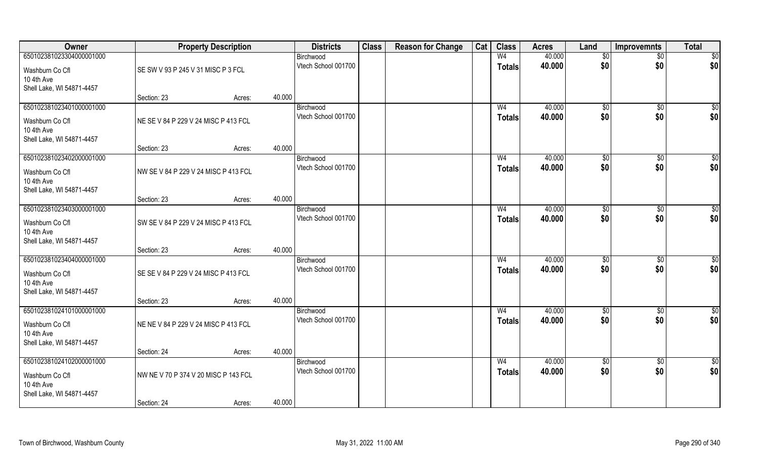| Owner                                   |                                      | <b>Property Description</b> |        | <b>Districts</b>                 | <b>Class</b> | <b>Reason for Change</b> | Cat | <b>Class</b>   | <b>Acres</b>     | Land                | <b>Improvemnts</b> | <b>Total</b>           |
|-----------------------------------------|--------------------------------------|-----------------------------|--------|----------------------------------|--------------|--------------------------|-----|----------------|------------------|---------------------|--------------------|------------------------|
| 650102381023304000001000                |                                      |                             |        | Birchwood                        |              |                          |     | W <sub>4</sub> | 40.000           | \$0                 | $\sqrt{$0}$        | \$0                    |
| Washburn Co Cfl                         | SE SW V 93 P 245 V 31 MISC P 3 FCL   |                             |        | Vtech School 001700              |              |                          |     | <b>Totals</b>  | 40.000           | \$0                 | \$0                | \$0                    |
| 10 4th Ave                              |                                      |                             |        |                                  |              |                          |     |                |                  |                     |                    |                        |
| Shell Lake, WI 54871-4457               |                                      |                             |        |                                  |              |                          |     |                |                  |                     |                    |                        |
|                                         | Section: 23                          | Acres:                      | 40.000 |                                  |              |                          |     |                |                  |                     |                    |                        |
| 650102381023401000001000                |                                      |                             |        | Birchwood<br>Vtech School 001700 |              |                          |     | W <sub>4</sub> | 40.000<br>40.000 | $\sqrt[6]{}$<br>\$0 | $\sqrt{$0}$<br>\$0 | \$0                    |
| Washburn Co Cfl                         | NE SE V 84 P 229 V 24 MISC P 413 FCL |                             |        |                                  |              |                          |     | Totals         |                  |                     |                    | \$0                    |
| 10 4th Ave                              |                                      |                             |        |                                  |              |                          |     |                |                  |                     |                    |                        |
| Shell Lake, WI 54871-4457               | Section: 23                          | Acres:                      | 40.000 |                                  |              |                          |     |                |                  |                     |                    |                        |
| 650102381023402000001000                |                                      |                             |        | Birchwood                        |              |                          |     | W <sub>4</sub> | 40.000           | \$0                 | $\overline{50}$    | $\sqrt{50}$            |
| Washburn Co Cfl                         | NW SE V 84 P 229 V 24 MISC P 413 FCL |                             |        | Vtech School 001700              |              |                          |     | <b>Totals</b>  | 40.000           | \$0                 | \$0                | \$0                    |
| 10 4th Ave                              |                                      |                             |        |                                  |              |                          |     |                |                  |                     |                    |                        |
| Shell Lake, WI 54871-4457               |                                      |                             |        |                                  |              |                          |     |                |                  |                     |                    |                        |
|                                         | Section: 23                          | Acres:                      | 40.000 |                                  |              |                          |     |                |                  |                     |                    |                        |
| 650102381023403000001000                |                                      |                             |        | Birchwood                        |              |                          |     | W <sub>4</sub> | 40.000           | \$0                 | \$0                | \$0                    |
| Washburn Co Cfl                         | SW SE V 84 P 229 V 24 MISC P 413 FCL |                             |        | Vtech School 001700              |              |                          |     | <b>Totals</b>  | 40.000           | \$0                 | \$0                | \$0                    |
| 10 4th Ave                              |                                      |                             |        |                                  |              |                          |     |                |                  |                     |                    |                        |
| Shell Lake, WI 54871-4457               |                                      |                             |        |                                  |              |                          |     |                |                  |                     |                    |                        |
| 650102381023404000001000                | Section: 23                          | Acres:                      | 40.000 |                                  |              |                          |     | W <sub>4</sub> | 40.000           |                     | $\overline{50}$    |                        |
|                                         |                                      |                             |        | Birchwood<br>Vtech School 001700 |              |                          |     | <b>Totals</b>  | 40.000           | \$0<br>\$0          | \$0                | $\overline{50}$<br>\$0 |
| Washburn Co Cfl                         | SE SE V 84 P 229 V 24 MISC P 413 FCL |                             |        |                                  |              |                          |     |                |                  |                     |                    |                        |
| 10 4th Ave<br>Shell Lake, WI 54871-4457 |                                      |                             |        |                                  |              |                          |     |                |                  |                     |                    |                        |
|                                         | Section: 23                          | Acres:                      | 40.000 |                                  |              |                          |     |                |                  |                     |                    |                        |
| 650102381024101000001000                |                                      |                             |        | Birchwood                        |              |                          |     | W <sub>4</sub> | 40.000           | \$0                 | $\sqrt{$0}$        | \$0                    |
| Washburn Co Cfl                         | NE NE V 84 P 229 V 24 MISC P 413 FCL |                             |        | Vtech School 001700              |              |                          |     | <b>Totals</b>  | 40.000           | \$0                 | \$0                | \$0                    |
| 10 4th Ave                              |                                      |                             |        |                                  |              |                          |     |                |                  |                     |                    |                        |
| Shell Lake, WI 54871-4457               |                                      |                             |        |                                  |              |                          |     |                |                  |                     |                    |                        |
|                                         | Section: 24                          | Acres:                      | 40.000 |                                  |              |                          |     |                |                  |                     |                    |                        |
| 650102381024102000001000                |                                      |                             |        | Birchwood                        |              |                          |     | W <sub>4</sub> | 40.000           | $\sqrt{6}$          | $\sqrt{$0}$        | $\overline{50}$        |
| Washburn Co Cfl                         | NW NE V 70 P 374 V 20 MISC P 143 FCL |                             |        | Vtech School 001700              |              |                          |     | <b>Totals</b>  | 40.000           | \$0                 | \$0                | \$0                    |
| 10 4th Ave                              |                                      |                             |        |                                  |              |                          |     |                |                  |                     |                    |                        |
| Shell Lake, WI 54871-4457               |                                      |                             |        |                                  |              |                          |     |                |                  |                     |                    |                        |
|                                         | Section: 24                          | Acres:                      | 40.000 |                                  |              |                          |     |                |                  |                     |                    |                        |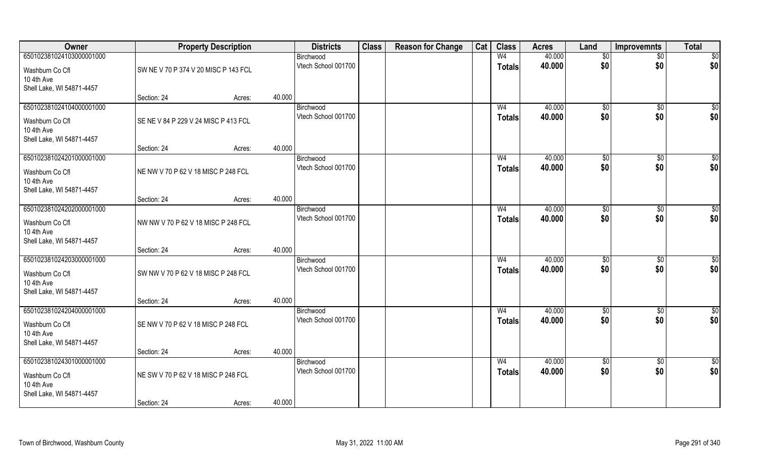| Owner                         |                                      | <b>Property Description</b> |        | <b>Districts</b>                 | <b>Class</b> | <b>Reason for Change</b> | Cat | <b>Class</b>   | <b>Acres</b> | Land           | <b>Improvemnts</b> | <b>Total</b>    |
|-------------------------------|--------------------------------------|-----------------------------|--------|----------------------------------|--------------|--------------------------|-----|----------------|--------------|----------------|--------------------|-----------------|
| 650102381024103000001000      |                                      |                             |        | Birchwood                        |              |                          |     | W <sub>4</sub> | 40.000       | \$0            | $\sqrt{$0}$        | \$0             |
| Washburn Co Cfl               | SW NE V 70 P 374 V 20 MISC P 143 FCL |                             |        | Vtech School 001700              |              |                          |     | <b>Totals</b>  | 40.000       | \$0            | \$0                | \$0             |
| 10 4th Ave                    |                                      |                             |        |                                  |              |                          |     |                |              |                |                    |                 |
| Shell Lake, WI 54871-4457     |                                      |                             |        |                                  |              |                          |     |                |              |                |                    |                 |
|                               | Section: 24                          | Acres:                      | 40.000 |                                  |              |                          |     |                |              |                |                    |                 |
| 650102381024104000001000      |                                      |                             |        | Birchwood                        |              |                          |     | W <sub>4</sub> | 40.000       | $\sqrt[6]{}$   | $\sqrt{$0}$        | \$0             |
| Washburn Co Cfl               | SE NE V 84 P 229 V 24 MISC P 413 FCL |                             |        | Vtech School 001700              |              |                          |     | Totals         | 40.000       | \$0            | \$0                | \$0             |
| 10 4th Ave                    |                                      |                             |        |                                  |              |                          |     |                |              |                |                    |                 |
| Shell Lake, WI 54871-4457     |                                      |                             |        |                                  |              |                          |     |                |              |                |                    |                 |
| 650102381024201000001000      | Section: 24                          | Acres:                      | 40.000 |                                  |              |                          |     | W <sub>4</sub> | 40.000       |                | $\overline{50}$    | $\sqrt{50}$     |
|                               |                                      |                             |        | Birchwood<br>Vtech School 001700 |              |                          |     | <b>Totals</b>  | 40.000       | \$0<br>\$0     | \$0                | \$0             |
| Washburn Co Cfl               | NE NW V 70 P 62 V 18 MISC P 248 FCL  |                             |        |                                  |              |                          |     |                |              |                |                    |                 |
| 10 4th Ave                    |                                      |                             |        |                                  |              |                          |     |                |              |                |                    |                 |
| Shell Lake, WI 54871-4457     | Section: 24                          | Acres:                      | 40.000 |                                  |              |                          |     |                |              |                |                    |                 |
| 650102381024202000001000      |                                      |                             |        | Birchwood                        |              |                          |     | W <sub>4</sub> | 40.000       | $\frac{1}{20}$ | \$0                | \$0             |
|                               |                                      |                             |        | Vtech School 001700              |              |                          |     | <b>Totals</b>  | 40.000       | \$0            | \$0                | \$0             |
| Washburn Co Cfl<br>10 4th Ave | NW NW V 70 P 62 V 18 MISC P 248 FCL  |                             |        |                                  |              |                          |     |                |              |                |                    |                 |
| Shell Lake, WI 54871-4457     |                                      |                             |        |                                  |              |                          |     |                |              |                |                    |                 |
|                               | Section: 24                          | Acres:                      | 40.000 |                                  |              |                          |     |                |              |                |                    |                 |
| 650102381024203000001000      |                                      |                             |        | Birchwood                        |              |                          |     | W <sub>4</sub> | 40.000       | \$0            | $\overline{50}$    | $\overline{50}$ |
| Washburn Co Cfl               | SW NW V 70 P 62 V 18 MISC P 248 FCL  |                             |        | Vtech School 001700              |              |                          |     | <b>Totals</b>  | 40.000       | \$0            | \$0                | \$0             |
| 10 4th Ave                    |                                      |                             |        |                                  |              |                          |     |                |              |                |                    |                 |
| Shell Lake, WI 54871-4457     |                                      |                             |        |                                  |              |                          |     |                |              |                |                    |                 |
|                               | Section: 24                          | Acres:                      | 40.000 |                                  |              |                          |     |                |              |                |                    |                 |
| 650102381024204000001000      |                                      |                             |        | Birchwood                        |              |                          |     | W <sub>4</sub> | 40.000       | \$0            | $\sqrt{$0}$        | \$0             |
| Washburn Co Cfl               | SE NW V 70 P 62 V 18 MISC P 248 FCL  |                             |        | Vtech School 001700              |              |                          |     | <b>Totals</b>  | 40.000       | \$0            | \$0                | \$0             |
| 10 4th Ave                    |                                      |                             |        |                                  |              |                          |     |                |              |                |                    |                 |
| Shell Lake, WI 54871-4457     |                                      |                             |        |                                  |              |                          |     |                |              |                |                    |                 |
|                               | Section: 24                          | Acres:                      | 40.000 |                                  |              |                          |     |                |              |                |                    |                 |
| 650102381024301000001000      |                                      |                             |        | Birchwood                        |              |                          |     | W <sub>4</sub> | 40.000       | $\sqrt{6}$     | $\sqrt{$0}$        | \$0             |
| Washburn Co Cfl               | NE SW V 70 P 62 V 18 MISC P 248 FCL  |                             |        | Vtech School 001700              |              |                          |     | <b>Totals</b>  | 40.000       | \$0            | \$0                | \$0             |
| 10 4th Ave                    |                                      |                             |        |                                  |              |                          |     |                |              |                |                    |                 |
| Shell Lake, WI 54871-4457     |                                      |                             |        |                                  |              |                          |     |                |              |                |                    |                 |
|                               | Section: 24                          | Acres:                      | 40.000 |                                  |              |                          |     |                |              |                |                    |                 |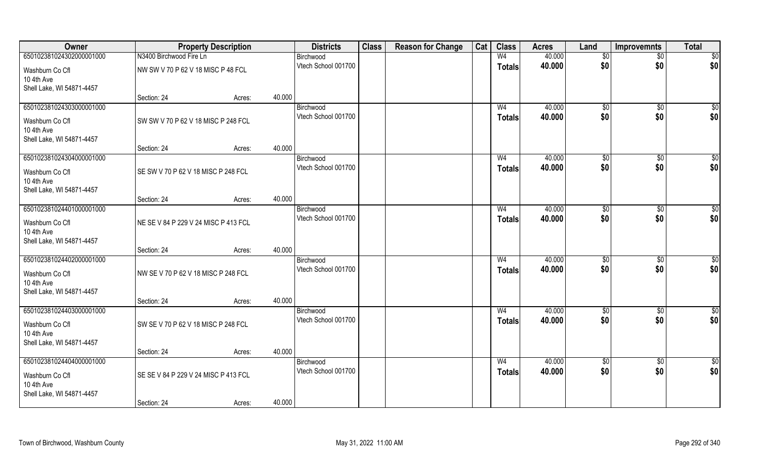| Owner                                                                                  |                                      | <b>Property Description</b> |        | <b>Districts</b>                 | <b>Class</b> | <b>Reason for Change</b> | Cat | <b>Class</b>                    | <b>Acres</b>     | Land            | <b>Improvemnts</b> | <b>Total</b>         |
|----------------------------------------------------------------------------------------|--------------------------------------|-----------------------------|--------|----------------------------------|--------------|--------------------------|-----|---------------------------------|------------------|-----------------|--------------------|----------------------|
| 650102381024302000001000                                                               | N3400 Birchwood Fire Ln              |                             |        | Birchwood                        |              |                          |     | W <sub>4</sub>                  | 40.000           | \$0             | $\overline{50}$    | \$0                  |
| Washburn Co Cfl<br>10 4th Ave                                                          | NW SW V 70 P 62 V 18 MISC P 48 FCL   |                             |        | Vtech School 001700              |              |                          |     | <b>Totals</b>                   | 40.000           | \$0             | \$0                | \$0                  |
| Shell Lake, WI 54871-4457                                                              | Section: 24                          | Acres:                      | 40.000 |                                  |              |                          |     |                                 |                  |                 |                    |                      |
| 650102381024303000001000                                                               |                                      |                             |        | Birchwood                        |              |                          |     | W <sub>4</sub>                  | 40.000           | \$0             | $\overline{50}$    | $\sqrt{50}$          |
| Washburn Co Cfl<br>10 4th Ave<br>Shell Lake, WI 54871-4457                             | SW SW V 70 P 62 V 18 MISC P 248 FCL  |                             |        | Vtech School 001700              |              |                          |     | <b>Totals</b>                   | 40.000           | \$0             | \$0                | \$0                  |
|                                                                                        | Section: 24                          | Acres:                      | 40.000 |                                  |              |                          |     |                                 |                  |                 |                    |                      |
| 650102381024304000001000                                                               |                                      |                             |        | Birchwood                        |              |                          |     | W <sub>4</sub>                  | 40.000           | \$0             | \$0                | $\overline{50}$      |
| Washburn Co Cfl<br>10 4th Ave<br>Shell Lake, WI 54871-4457                             | SE SW V 70 P 62 V 18 MISC P 248 FCL  |                             |        | Vtech School 001700              |              |                          |     | <b>Totals</b>                   | 40.000           | \$0             | \$0                | \$0                  |
|                                                                                        | Section: 24                          | Acres:                      | 40.000 |                                  |              |                          |     |                                 |                  |                 |                    |                      |
| 650102381024401000001000                                                               |                                      |                             |        | Birchwood                        |              |                          |     | W <sub>4</sub>                  | 40.000           | $\sqrt[6]{3}$   | $\frac{1}{20}$     | \$0                  |
| Washburn Co Cfl<br>10 4th Ave<br>Shell Lake, WI 54871-4457                             | NE SE V 84 P 229 V 24 MISC P 413 FCL |                             |        | Vtech School 001700              |              |                          |     | <b>Totals</b>                   | 40.000           | \$0             | \$0                | \$0                  |
|                                                                                        | Section: 24                          | Acres:                      | 40.000 |                                  |              |                          |     |                                 |                  |                 |                    |                      |
| 650102381024402000001000<br>Washburn Co Cfl<br>10 4th Ave<br>Shell Lake, WI 54871-4457 | NW SE V 70 P 62 V 18 MISC P 248 FCL  |                             |        | Birchwood<br>Vtech School 001700 |              |                          |     | W <sub>4</sub><br>Totals        | 40.000<br>40.000 | \$0<br>\$0      | \$0<br>\$0         | \$0<br>\$0           |
|                                                                                        | Section: 24                          | Acres:                      | 40.000 |                                  |              |                          |     |                                 |                  |                 |                    |                      |
| 650102381024403000001000<br>Washburn Co Cfl<br>10 4th Ave<br>Shell Lake, WI 54871-4457 | SW SE V 70 P 62 V 18 MISC P 248 FCL  |                             |        | Birchwood<br>Vtech School 001700 |              |                          |     | W <sub>4</sub><br><b>Totals</b> | 40.000<br>40.000 | \$0<br>\$0      | \$0<br>\$0         | $\frac{6}{3}$<br>\$0 |
|                                                                                        | Section: 24                          | Acres:                      | 40.000 |                                  |              |                          |     |                                 |                  |                 |                    |                      |
| 650102381024404000001000                                                               |                                      |                             |        | Birchwood                        |              |                          |     | W <sub>4</sub>                  | 40.000           | $\overline{50}$ | $\sqrt{6}$         | \$0                  |
| Washburn Co Cfl<br>10 4th Ave<br>Shell Lake, WI 54871-4457                             | SE SE V 84 P 229 V 24 MISC P 413 FCL |                             |        | Vtech School 001700              |              |                          |     | <b>Totals</b>                   | 40.000           | \$0             | \$0                | \$0                  |
|                                                                                        | Section: 24                          | Acres:                      | 40.000 |                                  |              |                          |     |                                 |                  |                 |                    |                      |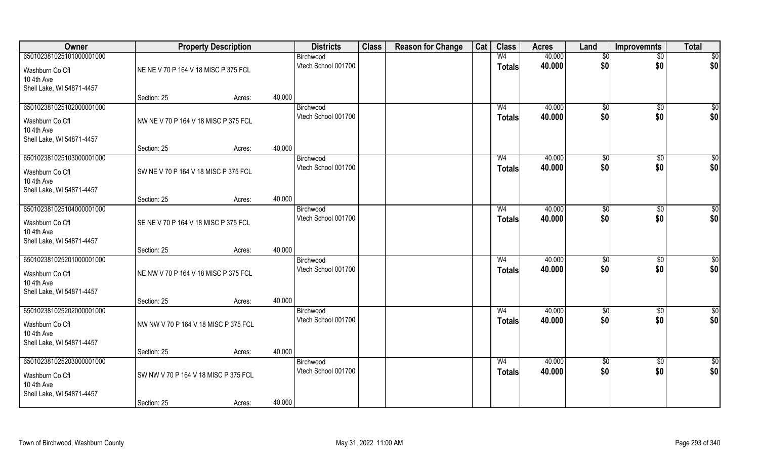| Owner                                   |                                      | <b>Property Description</b> |                     | <b>Districts</b>    | <b>Class</b> | <b>Reason for Change</b> | Cat | <b>Class</b>   | <b>Acres</b>     | Land                 | <b>Improvemnts</b>   | <b>Total</b>         |
|-----------------------------------------|--------------------------------------|-----------------------------|---------------------|---------------------|--------------|--------------------------|-----|----------------|------------------|----------------------|----------------------|----------------------|
| 650102381025101000001000                |                                      |                             | Birchwood           |                     |              |                          |     | W <sub>4</sub> | 40.000           | $\sqrt[6]{}$         | $\overline{50}$      | \$0                  |
| Washburn Co Cfl                         | NE NE V 70 P 164 V 18 MISC P 375 FCL |                             |                     | Vtech School 001700 |              |                          |     | <b>Totals</b>  | 40.000           | \$0                  | \$0                  | \$0                  |
| 10 4th Ave                              |                                      |                             |                     |                     |              |                          |     |                |                  |                      |                      |                      |
| Shell Lake, WI 54871-4457               | Section: 25                          |                             | 40.000              |                     |              |                          |     |                |                  |                      |                      |                      |
| 650102381025102000001000                |                                      | Acres:                      | Birchwood           |                     |              |                          |     | W <sub>4</sub> | 40.000           | \$0                  | $\overline{50}$      | $\sqrt{50}$          |
|                                         |                                      |                             |                     | Vtech School 001700 |              |                          |     | <b>Totals</b>  | 40.000           | \$0                  | \$0                  | \$0                  |
| Washburn Co Cfl<br>10 4th Ave           | NW NE V 70 P 164 V 18 MISC P 375 FCL |                             |                     |                     |              |                          |     |                |                  |                      |                      |                      |
| Shell Lake, WI 54871-4457               |                                      |                             |                     |                     |              |                          |     |                |                  |                      |                      |                      |
|                                         | Section: 25                          | Acres:                      | 40.000              |                     |              |                          |     |                |                  |                      |                      |                      |
| 650102381025103000001000                |                                      |                             | Birchwood           |                     |              |                          |     | W <sub>4</sub> | 40.000           | \$0                  | \$0                  | $\overline{50}$      |
| Washburn Co Cfl                         | SW NE V 70 P 164 V 18 MISC P 375 FCL |                             |                     | Vtech School 001700 |              |                          |     | <b>Totals</b>  | 40.000           | \$0                  | \$0                  | \$0                  |
| 10 4th Ave                              |                                      |                             |                     |                     |              |                          |     |                |                  |                      |                      |                      |
| Shell Lake, WI 54871-4457               |                                      |                             |                     |                     |              |                          |     |                |                  |                      |                      |                      |
| 650102381025104000001000                | Section: 25                          | Acres:                      | 40.000<br>Birchwood |                     |              |                          |     | W <sub>4</sub> | 40.000           |                      |                      | \$0                  |
|                                         |                                      |                             |                     | Vtech School 001700 |              |                          |     | <b>Totals</b>  | 40.000           | $\sqrt[6]{3}$<br>\$0 | $\sqrt[6]{3}$<br>\$0 | \$0                  |
| Washburn Co Cfl                         | SE NE V 70 P 164 V 18 MISC P 375 FCL |                             |                     |                     |              |                          |     |                |                  |                      |                      |                      |
| 10 4th Ave<br>Shell Lake, WI 54871-4457 |                                      |                             |                     |                     |              |                          |     |                |                  |                      |                      |                      |
|                                         | Section: 25                          | Acres:                      | 40.000              |                     |              |                          |     |                |                  |                      |                      |                      |
| 650102381025201000001000                |                                      |                             | Birchwood           |                     |              |                          |     | W <sub>4</sub> | 40.000           | $\sqrt[6]{3}$        | $\sqrt[6]{3}$        | \$0                  |
| Washburn Co Cfl                         | NE NW V 70 P 164 V 18 MISC P 375 FCL |                             |                     | Vtech School 001700 |              |                          |     | <b>Totals</b>  | 40.000           | \$0                  | \$0                  | \$0                  |
| 10 4th Ave                              |                                      |                             |                     |                     |              |                          |     |                |                  |                      |                      |                      |
| Shell Lake, WI 54871-4457               |                                      |                             |                     |                     |              |                          |     |                |                  |                      |                      |                      |
|                                         | Section: 25                          | Acres:                      | 40.000              |                     |              |                          |     |                |                  |                      |                      |                      |
| 650102381025202000001000                |                                      |                             | Birchwood           | Vtech School 001700 |              |                          |     | W <sub>4</sub> | 40.000<br>40.000 | \$0<br>\$0           | \$0<br>\$0           | $\frac{6}{3}$<br>\$0 |
| Washburn Co Cfl                         | NW NW V 70 P 164 V 18 MISC P 375 FCL |                             |                     |                     |              |                          |     | <b>Totals</b>  |                  |                      |                      |                      |
| 10 4th Ave<br>Shell Lake, WI 54871-4457 |                                      |                             |                     |                     |              |                          |     |                |                  |                      |                      |                      |
|                                         | Section: 25                          | Acres:                      | 40.000              |                     |              |                          |     |                |                  |                      |                      |                      |
| 650102381025203000001000                |                                      |                             | Birchwood           |                     |              |                          |     | W <sub>4</sub> | 40.000           | $\overline{50}$      | $\overline{50}$      | \$0                  |
| Washburn Co Cfl                         | SW NW V 70 P 164 V 18 MISC P 375 FCL |                             |                     | Vtech School 001700 |              |                          |     | <b>Totals</b>  | 40.000           | \$0                  | \$0                  | \$0                  |
| 10 4th Ave                              |                                      |                             |                     |                     |              |                          |     |                |                  |                      |                      |                      |
| Shell Lake, WI 54871-4457               |                                      |                             |                     |                     |              |                          |     |                |                  |                      |                      |                      |
|                                         | Section: 25                          | Acres:                      | 40.000              |                     |              |                          |     |                |                  |                      |                      |                      |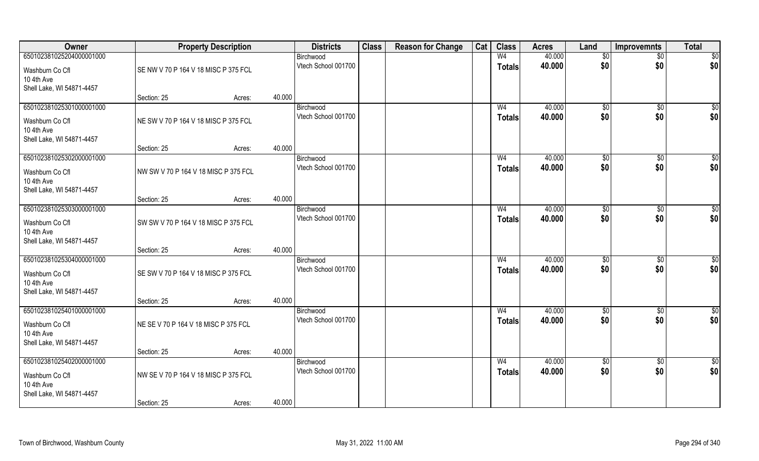| Owner                         |                                      | <b>Property Description</b> |        | <b>Districts</b>                 | <b>Class</b> | <b>Reason for Change</b> | Cat | <b>Class</b>   | <b>Acres</b> | Land                   | <b>Improvemnts</b> | <b>Total</b>         |
|-------------------------------|--------------------------------------|-----------------------------|--------|----------------------------------|--------------|--------------------------|-----|----------------|--------------|------------------------|--------------------|----------------------|
| 650102381025204000001000      |                                      |                             |        | Birchwood                        |              |                          |     | W <sub>4</sub> | 40.000       | \$0                    | $\overline{50}$    | $\overline{50}$      |
| Washburn Co Cfl<br>10 4th Ave | SE NW V 70 P 164 V 18 MISC P 375 FCL |                             |        | Vtech School 001700              |              |                          |     | <b>Totals</b>  | 40.000       | \$0                    | \$0                | \$0                  |
| Shell Lake, WI 54871-4457     |                                      |                             |        |                                  |              |                          |     |                |              |                        |                    |                      |
|                               | Section: 25                          | Acres:                      | 40.000 |                                  |              |                          |     |                |              |                        |                    |                      |
| 650102381025301000001000      |                                      |                             |        | Birchwood                        |              |                          |     | W <sub>4</sub> | 40.000       | $\sqrt[6]{}$           | $\sqrt{$0}$        | \$0                  |
| Washburn Co Cfl               | NE SW V 70 P 164 V 18 MISC P 375 FCL |                             |        | Vtech School 001700              |              |                          |     | <b>Totals</b>  | 40.000       | \$0                    | \$0                | \$0                  |
| 10 4th Ave                    |                                      |                             |        |                                  |              |                          |     |                |              |                        |                    |                      |
| Shell Lake, WI 54871-4457     |                                      |                             |        |                                  |              |                          |     |                |              |                        |                    |                      |
|                               | Section: 25                          | Acres:                      | 40.000 |                                  |              |                          |     |                |              |                        |                    |                      |
| 650102381025302000001000      |                                      |                             |        | Birchwood                        |              |                          |     | W <sub>4</sub> | 40.000       | \$0                    | $\sqrt[6]{30}$     | $\sqrt{50}$          |
| Washburn Co Cfl               | NW SW V 70 P 164 V 18 MISC P 375 FCL |                             |        | Vtech School 001700              |              |                          |     | <b>Totals</b>  | 40.000       | \$0                    | \$0                | \$0                  |
| 10 4th Ave                    |                                      |                             |        |                                  |              |                          |     |                |              |                        |                    |                      |
| Shell Lake, WI 54871-4457     |                                      |                             |        |                                  |              |                          |     |                |              |                        |                    |                      |
|                               | Section: 25                          | Acres:                      | 40.000 |                                  |              |                          |     |                |              |                        |                    |                      |
| 650102381025303000001000      |                                      |                             |        | Birchwood                        |              |                          |     | W <sub>4</sub> | 40.000       | $\frac{1}{20}$         | $\sqrt[6]{3}$      | \$0                  |
| Washburn Co Cfl               | SW SW V 70 P 164 V 18 MISC P 375 FCL |                             |        | Vtech School 001700              |              |                          |     | <b>Totals</b>  | 40.000       | \$0                    | \$0                | \$0                  |
| 10 4th Ave                    |                                      |                             |        |                                  |              |                          |     |                |              |                        |                    |                      |
| Shell Lake, WI 54871-4457     |                                      |                             |        |                                  |              |                          |     |                |              |                        |                    |                      |
|                               | Section: 25                          | Acres:                      | 40.000 |                                  |              |                          |     |                |              |                        |                    |                      |
| 650102381025304000001000      |                                      |                             |        | Birchwood<br>Vtech School 001700 |              |                          |     | W <sub>4</sub> | 40.000       | $\sqrt[6]{3}$          | $\sqrt[6]{3}$      | \$0                  |
| Washburn Co Cfl               | SE SW V 70 P 164 V 18 MISC P 375 FCL |                             |        |                                  |              |                          |     | <b>Totals</b>  | 40.000       | \$0                    | \$0                | \$0                  |
| 10 4th Ave                    |                                      |                             |        |                                  |              |                          |     |                |              |                        |                    |                      |
| Shell Lake, WI 54871-4457     |                                      |                             |        |                                  |              |                          |     |                |              |                        |                    |                      |
|                               | Section: 25                          | Acres:                      | 40.000 |                                  |              |                          |     |                |              |                        |                    |                      |
| 650102381025401000001000      |                                      |                             |        | Birchwood<br>Vtech School 001700 |              |                          |     | W <sub>4</sub> | 40.000       | \$0<br>\$0             | \$0<br>\$0         | $\frac{6}{3}$<br>\$0 |
| Washburn Co Cfl               | NE SE V 70 P 164 V 18 MISC P 375 FCL |                             |        |                                  |              |                          |     | <b>Totals</b>  | 40.000       |                        |                    |                      |
| 10 4th Ave                    |                                      |                             |        |                                  |              |                          |     |                |              |                        |                    |                      |
| Shell Lake, WI 54871-4457     |                                      |                             |        |                                  |              |                          |     |                |              |                        |                    |                      |
|                               | Section: 25                          | Acres:                      | 40.000 |                                  |              |                          |     |                |              |                        |                    |                      |
| 650102381025402000001000      |                                      |                             |        | Birchwood<br>Vtech School 001700 |              |                          |     | W <sub>4</sub> | 40.000       | $\overline{50}$<br>\$0 | $\sqrt{$0}$        | \$0<br>\$0           |
| Washburn Co Cfl               | NW SE V 70 P 164 V 18 MISC P 375 FCL |                             |        |                                  |              |                          |     | <b>Totals</b>  | 40.000       |                        | \$0                |                      |
| 10 4th Ave                    |                                      |                             |        |                                  |              |                          |     |                |              |                        |                    |                      |
| Shell Lake, WI 54871-4457     |                                      |                             |        |                                  |              |                          |     |                |              |                        |                    |                      |
|                               | Section: 25                          | Acres:                      | 40.000 |                                  |              |                          |     |                |              |                        |                    |                      |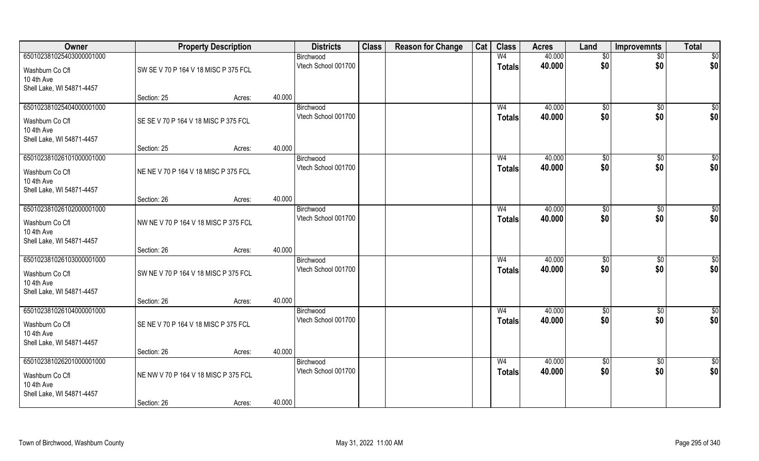| Owner                         |                                      | <b>Property Description</b> |        | <b>Districts</b>                 | <b>Class</b> | <b>Reason for Change</b> | Cat | <b>Class</b>   | <b>Acres</b> | Land           | <b>Improvemnts</b> | <b>Total</b>    |
|-------------------------------|--------------------------------------|-----------------------------|--------|----------------------------------|--------------|--------------------------|-----|----------------|--------------|----------------|--------------------|-----------------|
| 650102381025403000001000      |                                      |                             |        | Birchwood                        |              |                          |     | W <sub>4</sub> | 40.000       | \$0            | $\sqrt{$0}$        | \$0             |
| Washburn Co Cfl               | SW SE V 70 P 164 V 18 MISC P 375 FCL |                             |        | Vtech School 001700              |              |                          |     | <b>Totals</b>  | 40.000       | \$0            | \$0                | \$0             |
| 10 4th Ave                    |                                      |                             |        |                                  |              |                          |     |                |              |                |                    |                 |
| Shell Lake, WI 54871-4457     |                                      |                             |        |                                  |              |                          |     |                |              |                |                    |                 |
|                               | Section: 25                          | Acres:                      | 40.000 |                                  |              |                          |     |                |              |                |                    |                 |
| 650102381025404000001000      |                                      |                             |        | Birchwood                        |              |                          |     | W <sub>4</sub> | 40.000       | $\sqrt[6]{}$   | $\sqrt{$0}$        | \$0             |
| Washburn Co Cfl               | SE SE V 70 P 164 V 18 MISC P 375 FCL |                             |        | Vtech School 001700              |              |                          |     | Totals         | 40.000       | \$0            | \$0                | \$0             |
| 10 4th Ave                    |                                      |                             |        |                                  |              |                          |     |                |              |                |                    |                 |
| Shell Lake, WI 54871-4457     |                                      |                             |        |                                  |              |                          |     |                |              |                |                    |                 |
| 650102381026101000001000      | Section: 25                          | Acres:                      | 40.000 |                                  |              |                          |     | W <sub>4</sub> | 40.000       |                | $\overline{50}$    | $\sqrt{50}$     |
|                               |                                      |                             |        | Birchwood<br>Vtech School 001700 |              |                          |     | <b>Totals</b>  | 40.000       | \$0<br>\$0     | \$0                | \$0             |
| Washburn Co Cfl               | NE NE V 70 P 164 V 18 MISC P 375 FCL |                             |        |                                  |              |                          |     |                |              |                |                    |                 |
| 10 4th Ave                    |                                      |                             |        |                                  |              |                          |     |                |              |                |                    |                 |
| Shell Lake, WI 54871-4457     | Section: 26                          | Acres:                      | 40.000 |                                  |              |                          |     |                |              |                |                    |                 |
| 650102381026102000001000      |                                      |                             |        | Birchwood                        |              |                          |     | W <sub>4</sub> | 40.000       | $\frac{1}{20}$ | \$0                | \$0             |
|                               |                                      |                             |        | Vtech School 001700              |              |                          |     | <b>Totals</b>  | 40.000       | \$0            | \$0                | \$0             |
| Washburn Co Cfl<br>10 4th Ave | NW NE V 70 P 164 V 18 MISC P 375 FCL |                             |        |                                  |              |                          |     |                |              |                |                    |                 |
| Shell Lake, WI 54871-4457     |                                      |                             |        |                                  |              |                          |     |                |              |                |                    |                 |
|                               | Section: 26                          | Acres:                      | 40.000 |                                  |              |                          |     |                |              |                |                    |                 |
| 650102381026103000001000      |                                      |                             |        | Birchwood                        |              |                          |     | W <sub>4</sub> | 40.000       | \$0            | $\overline{50}$    | $\overline{50}$ |
| Washburn Co Cfl               | SW NE V 70 P 164 V 18 MISC P 375 FCL |                             |        | Vtech School 001700              |              |                          |     | <b>Totals</b>  | 40.000       | \$0            | \$0                | \$0             |
| 10 4th Ave                    |                                      |                             |        |                                  |              |                          |     |                |              |                |                    |                 |
| Shell Lake, WI 54871-4457     |                                      |                             |        |                                  |              |                          |     |                |              |                |                    |                 |
|                               | Section: 26                          | Acres:                      | 40.000 |                                  |              |                          |     |                |              |                |                    |                 |
| 650102381026104000001000      |                                      |                             |        | Birchwood                        |              |                          |     | W <sub>4</sub> | 40.000       | \$0            | $\sqrt{$0}$        | \$0             |
| Washburn Co Cfl               | SE NE V 70 P 164 V 18 MISC P 375 FCL |                             |        | Vtech School 001700              |              |                          |     | <b>Totals</b>  | 40.000       | \$0            | \$0                | \$0             |
| 10 4th Ave                    |                                      |                             |        |                                  |              |                          |     |                |              |                |                    |                 |
| Shell Lake, WI 54871-4457     |                                      |                             |        |                                  |              |                          |     |                |              |                |                    |                 |
|                               | Section: 26                          | Acres:                      | 40.000 |                                  |              |                          |     |                |              |                |                    |                 |
| 650102381026201000001000      |                                      |                             |        | Birchwood                        |              |                          |     | W <sub>4</sub> | 40.000       | $\sqrt{6}$     | $\sqrt{$0}$        | $\overline{50}$ |
| Washburn Co Cfl               | NE NW V 70 P 164 V 18 MISC P 375 FCL |                             |        | Vtech School 001700              |              |                          |     | <b>Totals</b>  | 40.000       | \$0            | \$0                | \$0             |
| 10 4th Ave                    |                                      |                             |        |                                  |              |                          |     |                |              |                |                    |                 |
| Shell Lake, WI 54871-4457     |                                      |                             |        |                                  |              |                          |     |                |              |                |                    |                 |
|                               | Section: 26                          | Acres:                      | 40.000 |                                  |              |                          |     |                |              |                |                    |                 |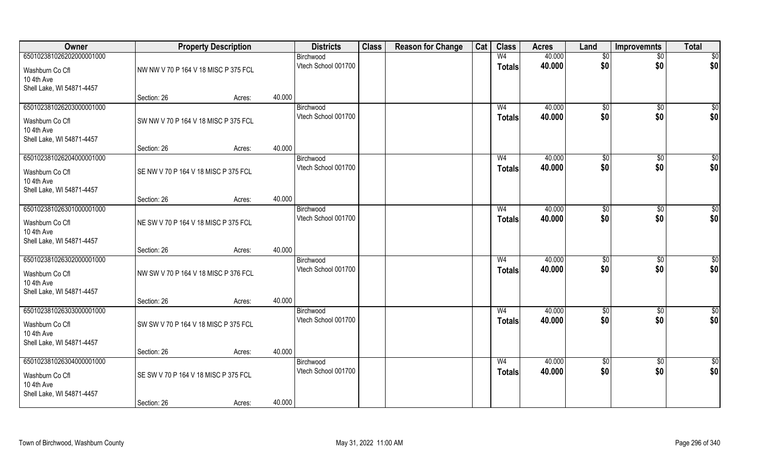| Owner                                   |                                      | <b>Property Description</b> | <b>Districts</b>                 | <b>Class</b> | <b>Reason for Change</b> | Cat | <b>Class</b>   | <b>Acres</b> | Land            | <b>Improvemnts</b> | <b>Total</b>    |
|-----------------------------------------|--------------------------------------|-----------------------------|----------------------------------|--------------|--------------------------|-----|----------------|--------------|-----------------|--------------------|-----------------|
| 650102381026202000001000                |                                      |                             | Birchwood                        |              |                          |     | W <sub>4</sub> | 40.000       | $\sqrt[6]{}$    | $\overline{50}$    | \$0             |
| Washburn Co Cfl                         | NW NW V 70 P 164 V 18 MISC P 375 FCL |                             | Vtech School 001700              |              |                          |     | <b>Totals</b>  | 40.000       | \$0             | \$0                | \$0             |
| 10 4th Ave                              |                                      |                             |                                  |              |                          |     |                |              |                 |                    |                 |
| Shell Lake, WI 54871-4457               | Section: 26                          | Acres:                      | 40.000                           |              |                          |     |                |              |                 |                    |                 |
| 650102381026203000001000                |                                      |                             | Birchwood                        |              |                          |     | W <sub>4</sub> | 40.000       | \$0             | $\overline{50}$    | $\sqrt{50}$     |
| Washburn Co Cfl                         | SW NW V 70 P 164 V 18 MISC P 375 FCL |                             | Vtech School 001700              |              |                          |     | <b>Totals</b>  | 40.000       | \$0             | \$0                | \$0             |
| 10 4th Ave                              |                                      |                             |                                  |              |                          |     |                |              |                 |                    |                 |
| Shell Lake, WI 54871-4457               |                                      |                             |                                  |              |                          |     |                |              |                 |                    |                 |
| 650102381026204000001000                | Section: 26                          | Acres:                      | 40.000                           |              |                          |     | W <sub>4</sub> | 40.000       |                 |                    | $\overline{50}$ |
|                                         |                                      |                             | Birchwood<br>Vtech School 001700 |              |                          |     | <b>Totals</b>  | 40.000       | \$0<br>\$0      | \$0<br>\$0         | \$0             |
| Washburn Co Cfl                         | SE NW V 70 P 164 V 18 MISC P 375 FCL |                             |                                  |              |                          |     |                |              |                 |                    |                 |
| 10 4th Ave<br>Shell Lake, WI 54871-4457 |                                      |                             |                                  |              |                          |     |                |              |                 |                    |                 |
|                                         | Section: 26                          | Acres:                      | 40.000                           |              |                          |     |                |              |                 |                    |                 |
| 650102381026301000001000                |                                      |                             | Birchwood                        |              |                          |     | W <sub>4</sub> | 40.000       | $\sqrt[6]{3}$   | $\sqrt[6]{3}$      | \$              |
| Washburn Co Cfl                         | NE SW V 70 P 164 V 18 MISC P 375 FCL |                             | Vtech School 001700              |              |                          |     | <b>Totals</b>  | 40.000       | \$0             | \$0                | \$0             |
| 10 4th Ave                              |                                      |                             |                                  |              |                          |     |                |              |                 |                    |                 |
| Shell Lake, WI 54871-4457               |                                      |                             |                                  |              |                          |     |                |              |                 |                    |                 |
| 650102381026302000001000                | Section: 26                          | Acres:                      | 40.000<br>Birchwood              |              |                          |     | W <sub>4</sub> | 40.000       | $\sqrt[6]{3}$   | $\sqrt[6]{3}$      | \$              |
|                                         |                                      |                             | Vtech School 001700              |              |                          |     | <b>Totals</b>  | 40.000       | \$0             | \$0                | \$0             |
| Washburn Co Cfl<br>10 4th Ave           | NW SW V 70 P 164 V 18 MISC P 376 FCL |                             |                                  |              |                          |     |                |              |                 |                    |                 |
| Shell Lake, WI 54871-4457               |                                      |                             |                                  |              |                          |     |                |              |                 |                    |                 |
|                                         | Section: 26                          | Acres:                      | 40.000                           |              |                          |     |                |              |                 |                    |                 |
| 650102381026303000001000                |                                      |                             | Birchwood                        |              |                          |     | W <sub>4</sub> | 40.000       | \$0             | \$0                | $\frac{6}{3}$   |
| Washburn Co Cfl                         | SW SW V 70 P 164 V 18 MISC P 375 FCL |                             | Vtech School 001700              |              |                          |     | <b>Totals</b>  | 40.000       | \$0             | \$0                | \$0             |
| 10 4th Ave                              |                                      |                             |                                  |              |                          |     |                |              |                 |                    |                 |
| Shell Lake, WI 54871-4457               | Section: 26                          | Acres:                      | 40.000                           |              |                          |     |                |              |                 |                    |                 |
| 650102381026304000001000                |                                      |                             | Birchwood                        |              |                          |     | W <sub>4</sub> | 40.000       | $\overline{50}$ | $\overline{50}$    | \$0             |
|                                         | SE SW V 70 P 164 V 18 MISC P 375 FCL |                             | Vtech School 001700              |              |                          |     | <b>Totals</b>  | 40.000       | \$0             | \$0                | \$0             |
| Washburn Co Cfl<br>10 4th Ave           |                                      |                             |                                  |              |                          |     |                |              |                 |                    |                 |
| Shell Lake, WI 54871-4457               |                                      |                             |                                  |              |                          |     |                |              |                 |                    |                 |
|                                         | Section: 26                          | Acres:                      | 40.000                           |              |                          |     |                |              |                 |                    |                 |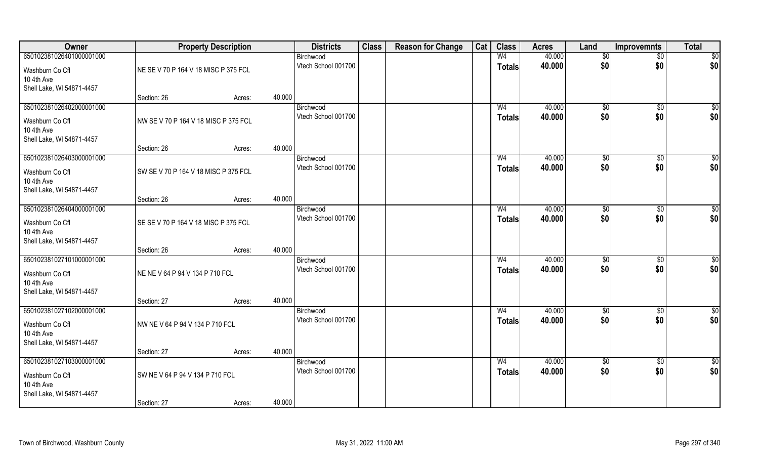| Owner                                   |                                      | <b>Property Description</b> |        | <b>Districts</b>                 | <b>Class</b> | <b>Reason for Change</b> | Cat | <b>Class</b>                    | <b>Acres</b>     | Land                 | <b>Improvemnts</b>   | <b>Total</b>         |
|-----------------------------------------|--------------------------------------|-----------------------------|--------|----------------------------------|--------------|--------------------------|-----|---------------------------------|------------------|----------------------|----------------------|----------------------|
| 650102381026401000001000                |                                      |                             |        | Birchwood                        |              |                          |     | W <sub>4</sub>                  | 40.000           | $\sqrt[6]{}$         | $\overline{50}$      | \$0                  |
| Washburn Co Cfl                         | NE SE V 70 P 164 V 18 MISC P 375 FCL |                             |        | Vtech School 001700              |              |                          |     | <b>Totals</b>                   | 40.000           | \$0                  | \$0                  | \$0                  |
| 10 4th Ave                              |                                      |                             |        |                                  |              |                          |     |                                 |                  |                      |                      |                      |
| Shell Lake, WI 54871-4457               |                                      |                             | 40.000 |                                  |              |                          |     |                                 |                  |                      |                      |                      |
| 650102381026402000001000                | Section: 26                          | Acres:                      |        | Birchwood                        |              |                          |     | W <sub>4</sub>                  | 40.000           | \$0                  | $\overline{50}$      | $\sqrt{50}$          |
|                                         |                                      |                             |        | Vtech School 001700              |              |                          |     | <b>Totals</b>                   | 40.000           | \$0                  | \$0                  | \$0                  |
| Washburn Co Cfl<br>10 4th Ave           | NW SE V 70 P 164 V 18 MISC P 375 FCL |                             |        |                                  |              |                          |     |                                 |                  |                      |                      |                      |
| Shell Lake, WI 54871-4457               |                                      |                             |        |                                  |              |                          |     |                                 |                  |                      |                      |                      |
|                                         | Section: 26                          | Acres:                      | 40.000 |                                  |              |                          |     |                                 |                  |                      |                      |                      |
| 650102381026403000001000                |                                      |                             |        | Birchwood                        |              |                          |     | W <sub>4</sub>                  | 40.000           | \$0                  | \$0                  | $\overline{50}$      |
| Washburn Co Cfl                         | SW SE V 70 P 164 V 18 MISC P 375 FCL |                             |        | Vtech School 001700              |              |                          |     | <b>Totals</b>                   | 40.000           | \$0                  | \$0                  | \$0                  |
| 10 4th Ave                              |                                      |                             |        |                                  |              |                          |     |                                 |                  |                      |                      |                      |
| Shell Lake, WI 54871-4457               |                                      |                             |        |                                  |              |                          |     |                                 |                  |                      |                      |                      |
| 650102381026404000001000                | Section: 26                          | Acres:                      | 40.000 |                                  |              |                          |     |                                 | 40.000           |                      |                      |                      |
|                                         |                                      |                             |        | Birchwood<br>Vtech School 001700 |              |                          |     | W <sub>4</sub><br><b>Totals</b> | 40.000           | $\sqrt[6]{3}$<br>\$0 | $\sqrt[6]{3}$<br>\$0 | \$<br>\$0            |
| Washburn Co Cfl                         | SE SE V 70 P 164 V 18 MISC P 375 FCL |                             |        |                                  |              |                          |     |                                 |                  |                      |                      |                      |
| 10 4th Ave<br>Shell Lake, WI 54871-4457 |                                      |                             |        |                                  |              |                          |     |                                 |                  |                      |                      |                      |
|                                         | Section: 26                          | Acres:                      | 40.000 |                                  |              |                          |     |                                 |                  |                      |                      |                      |
| 650102381027101000001000                |                                      |                             |        | Birchwood                        |              |                          |     | W <sub>4</sub>                  | 40.000           | $\frac{1}{20}$       | $\sqrt[6]{3}$        | \$                   |
| Washburn Co Cfl                         | NE NE V 64 P 94 V 134 P 710 FCL      |                             |        | Vtech School 001700              |              |                          |     | <b>Totals</b>                   | 40.000           | \$0                  | \$0                  | \$0                  |
| 10 4th Ave                              |                                      |                             |        |                                  |              |                          |     |                                 |                  |                      |                      |                      |
| Shell Lake, WI 54871-4457               |                                      |                             |        |                                  |              |                          |     |                                 |                  |                      |                      |                      |
|                                         | Section: 27                          | Acres:                      | 40.000 |                                  |              |                          |     |                                 |                  |                      |                      |                      |
| 650102381027102000001000                |                                      |                             |        | Birchwood<br>Vtech School 001700 |              |                          |     | W <sub>4</sub>                  | 40.000<br>40.000 | \$0<br>\$0           | \$0<br>\$0           | $\frac{6}{3}$<br>\$0 |
| Washburn Co Cfl                         | NW NE V 64 P 94 V 134 P 710 FCL      |                             |        |                                  |              |                          |     | <b>Totals</b>                   |                  |                      |                      |                      |
| 10 4th Ave<br>Shell Lake, WI 54871-4457 |                                      |                             |        |                                  |              |                          |     |                                 |                  |                      |                      |                      |
|                                         | Section: 27                          | Acres:                      | 40.000 |                                  |              |                          |     |                                 |                  |                      |                      |                      |
| 650102381027103000001000                |                                      |                             |        | Birchwood                        |              |                          |     | W <sub>4</sub>                  | 40.000           | $\overline{50}$      | $\overline{50}$      | \$0                  |
| Washburn Co Cfl                         | SW NE V 64 P 94 V 134 P 710 FCL      |                             |        | Vtech School 001700              |              |                          |     | <b>Totals</b>                   | 40.000           | \$0                  | \$0                  | \$0                  |
| 10 4th Ave                              |                                      |                             |        |                                  |              |                          |     |                                 |                  |                      |                      |                      |
| Shell Lake, WI 54871-4457               |                                      |                             |        |                                  |              |                          |     |                                 |                  |                      |                      |                      |
|                                         | Section: 27                          | Acres:                      | 40.000 |                                  |              |                          |     |                                 |                  |                      |                      |                      |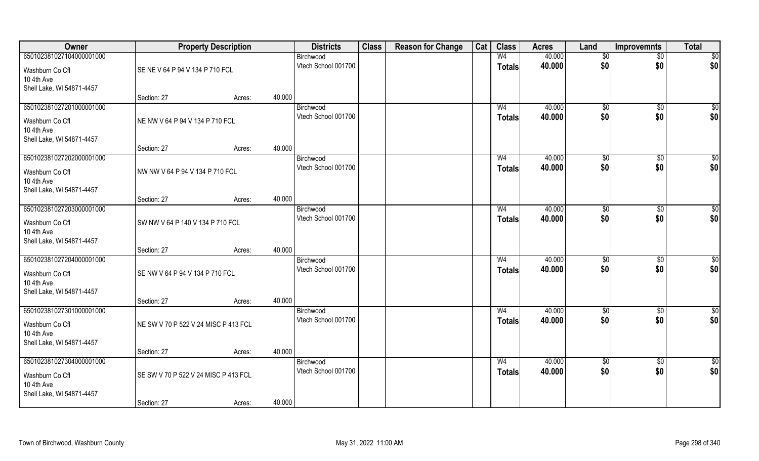| Owner                                                                                  |                                      | <b>Property Description</b> |        | <b>Districts</b>                 | <b>Class</b> | <b>Reason for Change</b> | Cat | <b>Class</b>                    | <b>Acres</b>     | Land            | <b>Improvemnts</b>    | <b>Total</b>           |
|----------------------------------------------------------------------------------------|--------------------------------------|-----------------------------|--------|----------------------------------|--------------|--------------------------|-----|---------------------------------|------------------|-----------------|-----------------------|------------------------|
| 650102381027104000001000                                                               |                                      |                             |        | Birchwood                        |              |                          |     | W <sub>4</sub>                  | 40.000           | \$0             | $\overline{50}$       | $\overline{50}$        |
| Washburn Co Cfl<br>10 4th Ave                                                          | SE NE V 64 P 94 V 134 P 710 FCL      |                             |        | Vtech School 001700              |              |                          |     | <b>Totals</b>                   | 40.000           | \$0             | \$0                   | \$0                    |
| Shell Lake, WI 54871-4457                                                              | Section: 27                          | Acres:                      | 40.000 |                                  |              |                          |     |                                 |                  |                 |                       |                        |
| 650102381027201000001000                                                               |                                      |                             |        | Birchwood                        |              |                          |     | W <sub>4</sub>                  | 40.000           | $\sqrt[6]{}$    | $\sqrt{50}$           | \$0                    |
| Washburn Co Cfl<br>10 4th Ave<br>Shell Lake, WI 54871-4457                             | NE NW V 64 P 94 V 134 P 710 FCL      |                             |        | Vtech School 001700              |              |                          |     | <b>Totals</b>                   | 40.000           | \$0             | \$0                   | \$0                    |
|                                                                                        | Section: 27                          | Acres:                      | 40.000 |                                  |              |                          |     |                                 |                  |                 |                       |                        |
| 650102381027202000001000                                                               |                                      |                             |        | Birchwood                        |              |                          |     | W <sub>4</sub>                  | 40.000           | \$0             | \$0                   | $\sqrt{50}$            |
| Washburn Co Cfl<br>10 4th Ave<br>Shell Lake, WI 54871-4457                             | NW NW V 64 P 94 V 134 P 710 FCL      |                             |        | Vtech School 001700              |              |                          |     | <b>Totals</b>                   | 40.000           | \$0             | \$0                   | \$0                    |
|                                                                                        | Section: 27                          | Acres:                      | 40.000 |                                  |              |                          |     |                                 |                  |                 |                       |                        |
| 650102381027203000001000                                                               |                                      |                             |        | Birchwood                        |              |                          |     | W4                              | 40.000           | $\sqrt[6]{3}$   | $\sqrt[6]{30}$        | \$0                    |
| Washburn Co Cfl<br>10 4th Ave<br>Shell Lake, WI 54871-4457                             | SW NW V 64 P 140 V 134 P 710 FCL     |                             |        | Vtech School 001700              |              |                          |     | <b>Totals</b>                   | 40.000           | \$0             | \$0                   | \$0                    |
|                                                                                        | Section: 27                          | Acres:                      | 40.000 |                                  |              |                          |     |                                 |                  |                 |                       |                        |
| 650102381027204000001000<br>Washburn Co Cfl<br>10 4th Ave<br>Shell Lake, WI 54871-4457 | SE NW V 64 P 94 V 134 P 710 FCL      |                             |        | Birchwood<br>Vtech School 001700 |              |                          |     | W <sub>4</sub><br><b>Totals</b> | 40.000<br>40.000 | \$0<br>\$0      | $\sqrt[6]{30}$<br>\$0 | $\overline{50}$<br>\$0 |
|                                                                                        | Section: 27                          | Acres:                      | 40.000 |                                  |              |                          |     |                                 |                  |                 |                       |                        |
| 650102381027301000001000                                                               |                                      |                             |        | Birchwood                        |              |                          |     | W <sub>4</sub>                  | 40.000           | \$0             | \$0                   | \$0                    |
| Washburn Co Cfl<br>10 4th Ave<br>Shell Lake, WI 54871-4457                             | NE SW V 70 P 522 V 24 MISC P 413 FCL |                             |        | Vtech School 001700              |              |                          |     | <b>Totals</b>                   | 40.000           | \$0             | \$0                   | \$0                    |
|                                                                                        | Section: 27                          | Acres:                      | 40.000 |                                  |              |                          |     |                                 |                  |                 |                       |                        |
| 650102381027304000001000                                                               |                                      |                             |        | Birchwood                        |              |                          |     | W <sub>4</sub>                  | 40.000           | $\overline{50}$ | $\sqrt{6}$            | \$0                    |
| Washburn Co Cfl<br>10 4th Ave<br>Shell Lake, WI 54871-4457                             | SE SW V 70 P 522 V 24 MISC P 413 FCL |                             |        | Vtech School 001700              |              |                          |     | <b>Totals</b>                   | 40.000           | \$0             | \$0                   | \$0                    |
|                                                                                        | Section: 27                          | Acres:                      | 40.000 |                                  |              |                          |     |                                 |                  |                 |                       |                        |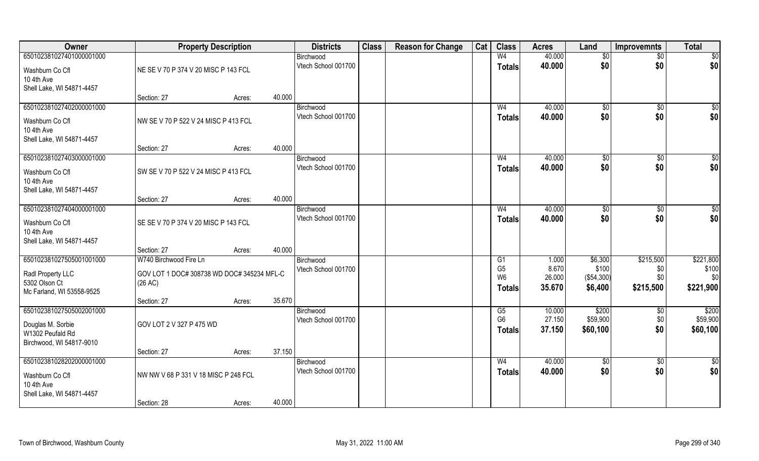| Owner                                                                                       | <b>Property Description</b>                                                     |        | <b>Districts</b>                           | <b>Class</b> | <b>Reason for Change</b> | Cat | <b>Class</b>                                            | <b>Acres</b>                       | Land                                        | <b>Improvemnts</b>                   | <b>Total</b>                           |
|---------------------------------------------------------------------------------------------|---------------------------------------------------------------------------------|--------|--------------------------------------------|--------------|--------------------------|-----|---------------------------------------------------------|------------------------------------|---------------------------------------------|--------------------------------------|----------------------------------------|
| 650102381027401000001000<br>Washburn Co Cfl<br>10 4th Ave                                   | NE SE V 70 P 374 V 20 MISC P 143 FCL                                            |        | Birchwood<br>Vtech School 001700           |              |                          |     | W <sub>4</sub><br><b>Totals</b>                         | 40.000<br>40.000                   | $\sqrt{$0}$<br>\$0                          | $\sqrt{6}$<br>\$0                    | \$0<br>\$0                             |
| Shell Lake, WI 54871-4457                                                                   | Section: 27                                                                     | Acres: | 40.000                                     |              |                          |     |                                                         |                                    |                                             |                                      |                                        |
| 650102381027402000001000<br>Washburn Co Cfl<br>10 4th Ave<br>Shell Lake, WI 54871-4457      | NW SE V 70 P 522 V 24 MISC P 413 FCL                                            |        | Birchwood<br>Vtech School 001700           |              |                          |     | W <sub>4</sub><br><b>Totals</b>                         | 40.000<br>40.000                   | $\overline{50}$<br>\$0                      | \$0<br>\$0                           | \$0<br>\$0                             |
|                                                                                             | Section: 27                                                                     | Acres: | 40.000                                     |              |                          |     |                                                         |                                    |                                             |                                      |                                        |
| 650102381027403000001000<br>Washburn Co Cfl<br>10 4th Ave<br>Shell Lake, WI 54871-4457      | SW SE V 70 P 522 V 24 MISC P 413 FCL                                            |        | Birchwood<br>Vtech School 001700           |              |                          |     | W <sub>4</sub><br><b>Totals</b>                         | 40.000<br>40.000                   | \$0<br>\$0                                  | $\overline{50}$<br>\$0               | \$0<br>\$0                             |
|                                                                                             | Section: 27                                                                     | Acres: | 40.000                                     |              |                          |     |                                                         |                                    |                                             |                                      |                                        |
| 650102381027404000001000<br>Washburn Co Cfl<br>10 4th Ave<br>Shell Lake, WI 54871-4457      | SE SE V 70 P 374 V 20 MISC P 143 FCL                                            |        | Birchwood<br>Vtech School 001700           |              |                          |     | W <sub>4</sub><br><b>Totals</b>                         | 40.000<br>40.000                   | \$0<br>\$0                                  | $\overline{50}$<br>\$0               | $\frac{6}{3}$<br>\$0                   |
|                                                                                             | Section: 27                                                                     | Acres: | 40.000                                     |              |                          |     |                                                         |                                    |                                             |                                      |                                        |
| 650102381027505001001000<br>Radl Property LLC<br>5302 Olson Ct<br>Mc Farland, WI 53558-9525 | W740 Birchwood Fire Ln<br>GOV LOT 1 DOC# 308738 WD DOC# 345234 MFL-C<br>(26 AC) |        | Birchwood<br>Vtech School 001700           |              |                          |     | G1<br>G <sub>5</sub><br>W <sub>6</sub><br><b>Totals</b> | 1.000<br>8.670<br>26.000<br>35.670 | \$6,300<br>\$100<br>( \$54, 300)<br>\$6,400 | \$215,500<br>\$0<br>\$0<br>\$215,500 | \$221,800<br>\$100<br>\$0<br>\$221,900 |
| 650102381027505002001000                                                                    | Section: 27                                                                     | Acres: | 35.670<br>Birchwood                        |              |                          |     | G5                                                      | 10.000                             | \$200                                       | \$0                                  | \$200                                  |
| Douglas M. Sorbie<br>W1302 Peufald Rd<br>Birchwood, WI 54817-9010                           | GOV LOT 2 V 327 P 475 WD                                                        |        | Vtech School 001700                        |              |                          |     | G <sub>6</sub><br><b>Totals</b>                         | 27.150<br>37.150                   | \$59,900<br>\$60,100                        | \$0<br>\$0                           | \$59,900<br>\$60,100                   |
|                                                                                             | Section: 27                                                                     | Acres: | 37.150                                     |              |                          |     |                                                         |                                    |                                             |                                      |                                        |
| 650102381028202000001000<br>Washburn Co Cfl<br>10 4th Ave<br>Shell Lake, WI 54871-4457      | NW NW V 68 P 331 V 18 MISC P 248 FCL<br>Section: 28                             | Acres: | Birchwood<br>Vtech School 001700<br>40.000 |              |                          |     | W <sub>4</sub><br><b>Totals</b>                         | 40.000<br>40.000                   | $\sqrt{6}$<br>\$0                           | $\overline{50}$<br>\$0               | $\frac{1}{6}$<br>\$0                   |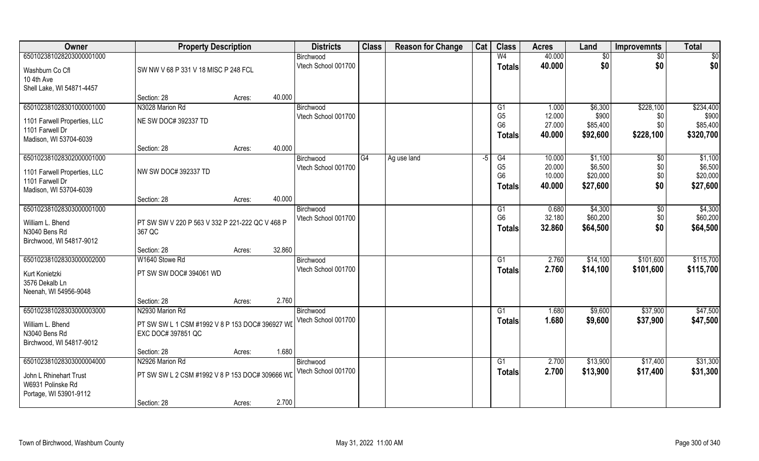| Owner                            | <b>Property Description</b>                     |                  | <b>Districts</b>                 | <b>Class</b> | <b>Reason for Change</b> | Cat  | <b>Class</b>                     | <b>Acres</b>     | Land               | <b>Improvemnts</b> | <b>Total</b>       |
|----------------------------------|-------------------------------------------------|------------------|----------------------------------|--------------|--------------------------|------|----------------------------------|------------------|--------------------|--------------------|--------------------|
| 650102381028203000001000         |                                                 |                  | Birchwood                        |              |                          |      | W <sub>4</sub>                   | 40.000           | \$0                | $\overline{50}$    | $\overline{50}$    |
| Washburn Co Cfl                  | SW NW V 68 P 331 V 18 MISC P 248 FCL            |                  | Vtech School 001700              |              |                          |      | <b>Totals</b>                    | 40.000           | \$0                | \$0                | \$0                |
| 10 4th Ave                       |                                                 |                  |                                  |              |                          |      |                                  |                  |                    |                    |                    |
| Shell Lake, WI 54871-4457        |                                                 |                  |                                  |              |                          |      |                                  |                  |                    |                    |                    |
|                                  | Section: 28                                     | 40.000<br>Acres: |                                  |              |                          |      |                                  |                  |                    |                    |                    |
| 650102381028301000001000         | N3028 Marion Rd                                 |                  | Birchwood                        |              |                          |      | G1                               | 1.000            | \$6,300            | \$228,100          | \$234,400          |
| 1101 Farwell Properties, LLC     | NE SW DOC# 392337 TD                            |                  | Vtech School 001700              |              |                          |      | G <sub>5</sub><br>G <sub>6</sub> | 12.000<br>27.000 | \$900<br>\$85,400  | \$0<br>\$0         | \$900<br>\$85,400  |
| 1101 Farwell Dr                  |                                                 |                  |                                  |              |                          |      | Totals                           | 40.000           | \$92,600           | \$228,100          | \$320,700          |
| Madison, WI 53704-6039           |                                                 |                  |                                  |              |                          |      |                                  |                  |                    |                    |                    |
|                                  | Section: 28                                     | 40.000<br>Acres: |                                  |              |                          |      |                                  |                  |                    |                    |                    |
| 650102381028302000001000         |                                                 |                  | Birchwood<br>Vtech School 001700 | G4           | Ag use land              | $-5$ | G4<br>G <sub>5</sub>             | 10.000<br>20.000 | \$1,100<br>\$6,500 | $\sqrt{6}$<br>\$0  | \$1,100<br>\$6,500 |
| 1101 Farwell Properties, LLC     | NW SW DOC# 392337 TD                            |                  |                                  |              |                          |      | G <sub>6</sub>                   | 10.000           | \$20,000           | \$0                | \$20,000           |
| 1101 Farwell Dr                  |                                                 |                  |                                  |              |                          |      | <b>Totals</b>                    | 40.000           | \$27,600           | \$0                | \$27,600           |
| Madison, WI 53704-6039           |                                                 |                  |                                  |              |                          |      |                                  |                  |                    |                    |                    |
| 650102381028303000001000         | Section: 28                                     | 40.000<br>Acres: |                                  |              |                          |      |                                  | 0.680            | \$4,300            |                    | \$4,300            |
|                                  |                                                 |                  | Birchwood<br>Vtech School 001700 |              |                          |      | G <sub>1</sub><br>G <sub>6</sub> | 32.180           | \$60,200           | \$0<br>\$0         | \$60,200           |
| William L. Bhend                 | PT SW SW V 220 P 563 V 332 P 221-222 QC V 468 P |                  |                                  |              |                          |      | <b>Totals</b>                    | 32.860           | \$64,500           | \$0                | \$64,500           |
| N3040 Bens Rd                    | 367 QC                                          |                  |                                  |              |                          |      |                                  |                  |                    |                    |                    |
| Birchwood, WI 54817-9012         | Section: 28                                     | 32.860<br>Acres: |                                  |              |                          |      |                                  |                  |                    |                    |                    |
| 650102381028303000002000         | W1640 Stowe Rd                                  |                  | Birchwood                        |              |                          |      | G1                               | 2.760            | \$14,100           | \$101,600          | \$115,700          |
|                                  |                                                 |                  | Vtech School 001700              |              |                          |      | <b>Totals</b>                    | 2.760            | \$14,100           | \$101,600          | \$115,700          |
| Kurt Konietzki<br>3576 Dekalb Ln | PT SW SW DOC# 394061 WD                         |                  |                                  |              |                          |      |                                  |                  |                    |                    |                    |
| Neenah, WI 54956-9048            |                                                 |                  |                                  |              |                          |      |                                  |                  |                    |                    |                    |
|                                  | Section: 28                                     | 2.760<br>Acres:  |                                  |              |                          |      |                                  |                  |                    |                    |                    |
| 650102381028303000003000         | N2930 Marion Rd                                 |                  | Birchwood                        |              |                          |      | G1                               | 1.680            | \$9,600            | \$37,900           | \$47,500           |
| William L. Bhend                 | PT SW SW L 1 CSM #1992 V 8 P 153 DOC# 396927 WD |                  | Vtech School 001700              |              |                          |      | <b>Totals</b>                    | 1.680            | \$9,600            | \$37,900           | \$47,500           |
| N3040 Bens Rd                    | EXC DOC# 397851 QC                              |                  |                                  |              |                          |      |                                  |                  |                    |                    |                    |
| Birchwood, WI 54817-9012         |                                                 |                  |                                  |              |                          |      |                                  |                  |                    |                    |                    |
|                                  | Section: 28                                     | 1.680<br>Acres:  |                                  |              |                          |      |                                  |                  |                    |                    |                    |
| 650102381028303000004000         | N2926 Marion Rd                                 |                  | Birchwood                        |              |                          |      | G1                               | 2.700            | \$13,900           | \$17,400           | \$31,300           |
| John L Rhinehart Trust           | PT SW SW L 2 CSM #1992 V 8 P 153 DOC# 309666 WD |                  | Vtech School 001700              |              |                          |      | <b>Totals</b>                    | 2.700            | \$13,900           | \$17,400           | \$31,300           |
| W6931 Polinske Rd                |                                                 |                  |                                  |              |                          |      |                                  |                  |                    |                    |                    |
| Portage, WI 53901-9112           |                                                 |                  |                                  |              |                          |      |                                  |                  |                    |                    |                    |
|                                  | Section: 28                                     | 2.700<br>Acres:  |                                  |              |                          |      |                                  |                  |                    |                    |                    |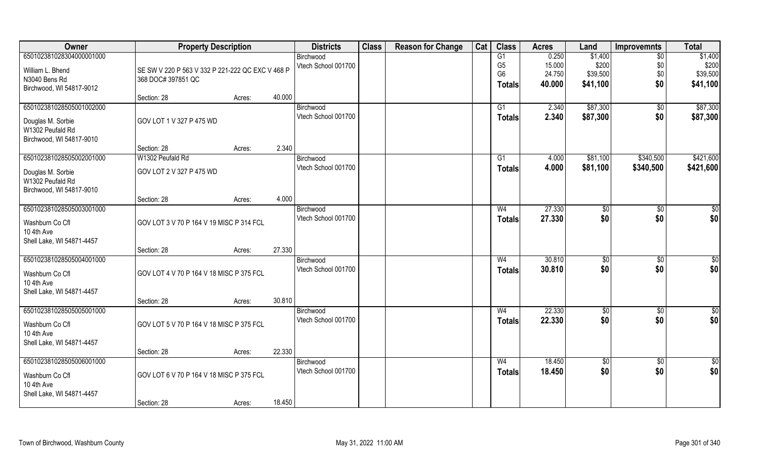| Owner                                                                                         | <b>Property Description</b>                                            |        |        | <b>Districts</b>                 | <b>Class</b> | <b>Reason for Change</b> | Cat | <b>Class</b>                           | <b>Acres</b>              | Land                         | <b>Improvemnts</b>       | <b>Total</b>                 |
|-----------------------------------------------------------------------------------------------|------------------------------------------------------------------------|--------|--------|----------------------------------|--------------|--------------------------|-----|----------------------------------------|---------------------------|------------------------------|--------------------------|------------------------------|
| 650102381028304000001000<br>William L. Bhend<br>N3040 Bens Rd                                 | SE SW V 220 P 563 V 332 P 221-222 QC EXC V 468 P<br>368 DOC# 397851 QC |        |        | Birchwood<br>Vtech School 001700 |              |                          |     | G1<br>G <sub>5</sub><br>G <sub>6</sub> | 0.250<br>15.000<br>24.750 | \$1,400<br>\$200<br>\$39,500 | $\sqrt{6}$<br>\$0<br>\$0 | \$1,400<br>\$200<br>\$39,500 |
| Birchwood, WI 54817-9012                                                                      | Section: 28                                                            | Acres: | 40.000 |                                  |              |                          |     | Totals                                 | 40.000                    | \$41,100                     | \$0                      | \$41,100                     |
| 650102381028505001002000<br>Douglas M. Sorbie<br>W1302 Peufald Rd<br>Birchwood, WI 54817-9010 | GOV LOT 1 V 327 P 475 WD                                               |        |        | Birchwood<br>Vtech School 001700 |              |                          |     | G1<br><b>Totals</b>                    | 2.340<br>2.340            | \$87,300<br>\$87,300         | $\sqrt{$0}$<br>\$0       | \$87,300<br>\$87,300         |
|                                                                                               | Section: 28                                                            | Acres: | 2.340  |                                  |              |                          |     |                                        |                           |                              |                          |                              |
| 650102381028505002001000<br>Douglas M. Sorbie<br>W1302 Peufald Rd<br>Birchwood, WI 54817-9010 | W1302 Peufald Rd<br>GOV LOT 2 V 327 P 475 WD                           |        |        | Birchwood<br>Vtech School 001700 |              |                          |     | G1<br><b>Totals</b>                    | 4.000<br>4.000            | \$81,100<br>\$81,100         | \$340,500<br>\$340,500   | \$421,600<br>\$421,600       |
|                                                                                               | Section: 28                                                            | Acres: | 4.000  |                                  |              |                          |     |                                        |                           |                              |                          |                              |
| 650102381028505003001000<br>Washburn Co Cfl<br>10 4th Ave<br>Shell Lake, WI 54871-4457        | GOV LOT 3 V 70 P 164 V 19 MISC P 314 FCL                               |        |        | Birchwood<br>Vtech School 001700 |              |                          |     | W4<br><b>Totals</b>                    | 27.330<br>27.330          | \$0<br>\$0                   | $\sqrt[6]{3}$<br>\$0     | \$0<br>\$0                   |
|                                                                                               | Section: 28                                                            | Acres: | 27.330 |                                  |              |                          |     |                                        |                           |                              |                          |                              |
| 650102381028505004001000<br>Washburn Co Cfl<br>10 4th Ave<br>Shell Lake, WI 54871-4457        | GOV LOT 4 V 70 P 164 V 18 MISC P 375 FCL                               |        |        | Birchwood<br>Vtech School 001700 |              |                          |     | W <sub>4</sub><br><b>Totals</b>        | 30.810<br>30.810          | \$0<br>\$0                   | $\overline{50}$<br>\$0   | $\sqrt{50}$<br>\$0           |
|                                                                                               | Section: 28                                                            | Acres: | 30.810 |                                  |              |                          |     |                                        |                           |                              |                          |                              |
| 650102381028505005001000<br>Washburn Co Cfl<br>10 4th Ave<br>Shell Lake, WI 54871-4457        | GOV LOT 5 V 70 P 164 V 18 MISC P 375 FCL                               |        |        | Birchwood<br>Vtech School 001700 |              |                          |     | W <sub>4</sub><br><b>Totals</b>        | 22.330<br>22.330          | \$0<br>\$0                   | $\sqrt{$0}$<br>\$0       | \$0<br>\$0                   |
|                                                                                               | Section: 28                                                            | Acres: | 22.330 |                                  |              |                          |     |                                        |                           |                              |                          |                              |
| 650102381028505006001000<br>Washburn Co Cfl<br>10 4th Ave<br>Shell Lake, WI 54871-4457        | GOV LOT 6 V 70 P 164 V 18 MISC P 375 FCL<br>Section: 28                | Acres: | 18.450 | Birchwood<br>Vtech School 001700 |              |                          |     | W <sub>4</sub><br><b>Totals</b>        | 18.450<br>18.450          | $\sqrt{6}$<br>\$0            | $\sqrt{$0}$<br>\$0       | $\overline{50}$<br>\$0       |
|                                                                                               |                                                                        |        |        |                                  |              |                          |     |                                        |                           |                              |                          |                              |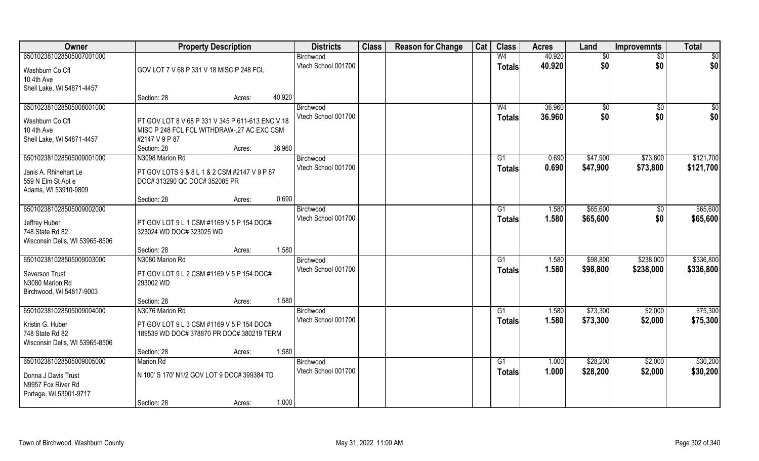| Owner                                   | <b>Property Description</b>                      |        |        | <b>Districts</b>                 | <b>Class</b> | <b>Reason for Change</b> | Cat | <b>Class</b>   | <b>Acres</b>     | Land            | <b>Improvemnts</b> | <b>Total</b> |
|-----------------------------------------|--------------------------------------------------|--------|--------|----------------------------------|--------------|--------------------------|-----|----------------|------------------|-----------------|--------------------|--------------|
| 650102381028505007001000                |                                                  |        |        | Birchwood<br>Vtech School 001700 |              |                          |     | W <sub>4</sub> | 40.920<br>40.920 | \$0<br>\$0      | \$0<br>\$0         | \$0<br>\$0   |
| Washburn Co Cfl                         | GOV LOT 7 V 68 P 331 V 18 MISC P 248 FCL         |        |        |                                  |              |                          |     | <b>Totals</b>  |                  |                 |                    |              |
| 10 4th Ave<br>Shell Lake, WI 54871-4457 |                                                  |        |        |                                  |              |                          |     |                |                  |                 |                    |              |
|                                         | Section: 28                                      | Acres: | 40.920 |                                  |              |                          |     |                |                  |                 |                    |              |
| 650102381028505008001000                |                                                  |        |        | Birchwood                        |              |                          |     | W <sub>4</sub> | 36.960           | $\overline{50}$ | $\overline{50}$    | \$0          |
| Washburn Co Cfl                         | PT GOV LOT 8 V 68 P 331 V 345 P 611-613 ENC V 18 |        |        | Vtech School 001700              |              |                          |     | <b>Totals</b>  | 36.960           | \$0             | \$0                | \$0          |
| 10 4th Ave                              | MISC P 248 FCL FCL WITHDRAW-.27 AC EXC CSM       |        |        |                                  |              |                          |     |                |                  |                 |                    |              |
| Shell Lake, WI 54871-4457               | #2147 V 9 P 87                                   |        |        |                                  |              |                          |     |                |                  |                 |                    |              |
|                                         | Section: 28                                      | Acres: | 36.960 |                                  |              |                          |     |                |                  |                 |                    |              |
| 650102381028505009001000                | N3098 Marion Rd                                  |        |        | Birchwood<br>Vtech School 001700 |              |                          |     | G1             | 0.690            | \$47,900        | \$73,800           | \$121,700    |
| Janis A. Rhinehart Le                   | PT GOV LOTS 9 & 8 L 1 & 2 CSM #2147 V 9 P 87     |        |        |                                  |              |                          |     | <b>Totals</b>  | 0.690            | \$47,900        | \$73,800           | \$121,700    |
| 559 N Elm St Apt e                      | DOC# 313290 QC DOC# 352085 PR                    |        |        |                                  |              |                          |     |                |                  |                 |                    |              |
| Adams, WI 53910-9809                    |                                                  |        |        |                                  |              |                          |     |                |                  |                 |                    |              |
|                                         | Section: 28                                      | Acres: | 0.690  |                                  |              |                          |     |                |                  |                 |                    |              |
| 650102381028505009002000                |                                                  |        |        | Birchwood<br>Vtech School 001700 |              |                          |     | G1             | 1.580            | \$65,600        | \$0                | \$65,600     |
| Jeffrey Huber                           | PT GOV LOT 9 L 1 CSM #1169 V 5 P 154 DOC#        |        |        |                                  |              |                          |     | <b>Totals</b>  | 1.580            | \$65,600        | \$0                | \$65,600     |
| 748 State Rd 82                         | 323024 WD DOC# 323025 WD                         |        |        |                                  |              |                          |     |                |                  |                 |                    |              |
| Wisconsin Dells, WI 53965-8506          |                                                  |        |        |                                  |              |                          |     |                |                  |                 |                    |              |
|                                         | Section: 28                                      | Acres: | 1.580  |                                  |              |                          |     |                |                  |                 |                    |              |
| 650102381028505009003000                | N3080 Marion Rd                                  |        |        | Birchwood<br>Vtech School 001700 |              |                          |     | G1             | 1.580            | \$98,800        | \$238,000          | \$336,800    |
| Severson Trust                          | PT GOV LOT 9 L 2 CSM #1169 V 5 P 154 DOC#        |        |        |                                  |              |                          |     | <b>Totals</b>  | 1.580            | \$98,800        | \$238,000          | \$336,800    |
| N3080 Marion Rd                         | 293002 WD                                        |        |        |                                  |              |                          |     |                |                  |                 |                    |              |
| Birchwood, WI 54817-9003                |                                                  |        |        |                                  |              |                          |     |                |                  |                 |                    |              |
|                                         | Section: 28                                      | Acres: | 1.580  |                                  |              |                          |     |                |                  |                 |                    |              |
| 650102381028505009004000                | N3076 Marion Rd                                  |        |        | Birchwood<br>Vtech School 001700 |              |                          |     | G1             | 1.580            | \$73,300        | \$2,000            | \$75,300     |
| Kristin G. Huber                        | PT GOV LOT 9 L 3 CSM #1169 V 5 P 154 DOC#        |        |        |                                  |              |                          |     | <b>Totals</b>  | 1.580            | \$73,300        | \$2,000            | \$75,300     |
| 748 State Rd 82                         | 189539 WD DOC# 378870 PR DOC# 380219 TERM        |        |        |                                  |              |                          |     |                |                  |                 |                    |              |
| Wisconsin Dells, WI 53965-8506          |                                                  |        |        |                                  |              |                          |     |                |                  |                 |                    |              |
|                                         | Section: 28                                      | Acres: | 1.580  |                                  |              |                          |     |                |                  |                 |                    |              |
| 650102381028505009005000                | <b>Marion Rd</b>                                 |        |        | Birchwood<br>Vtech School 001700 |              |                          |     | G1             | 1.000            | \$28,200        | \$2,000            | \$30,200     |
| Donna J Davis Trust                     | N 100'S 170' N1/2 GOV LOT 9 DOC# 399384 TD       |        |        |                                  |              |                          |     | <b>Totals</b>  | 1.000            | \$28,200        | \$2,000            | \$30,200     |
| N9957 Fox River Rd                      |                                                  |        |        |                                  |              |                          |     |                |                  |                 |                    |              |
| Portage, WI 53901-9717                  |                                                  |        |        |                                  |              |                          |     |                |                  |                 |                    |              |
|                                         | Section: 28                                      | Acres: | 1.000  |                                  |              |                          |     |                |                  |                 |                    |              |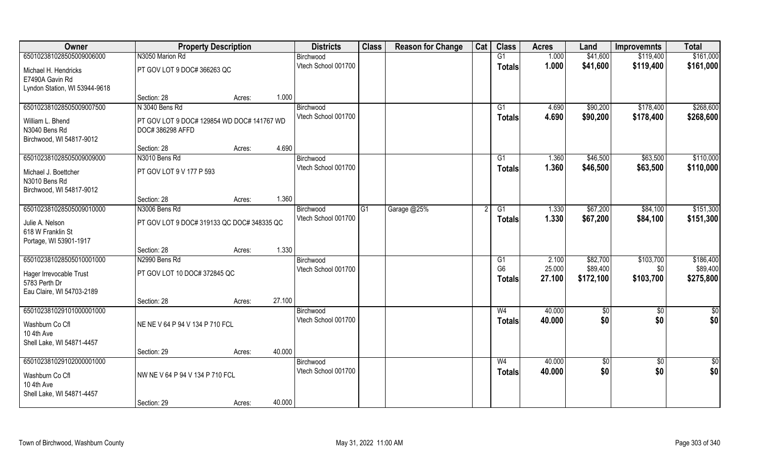| Owner                                                                    | <b>Property Description</b>                                    |        |        | <b>Districts</b>    | <b>Class</b> | <b>Reason for Change</b> | Cat | <b>Class</b>   | <b>Acres</b> | Land            | <b>Improvemnts</b> | <b>Total</b>  |
|--------------------------------------------------------------------------|----------------------------------------------------------------|--------|--------|---------------------|--------------|--------------------------|-----|----------------|--------------|-----------------|--------------------|---------------|
| 650102381028505009006000                                                 | N3050 Marion Rd                                                |        |        | Birchwood           |              |                          |     | G1             | 1.000        | \$41,600        | \$119,400          | \$161,000     |
| Michael H. Hendricks<br>E7490A Gavin Rd<br>Lyndon Station, WI 53944-9618 | PT GOV LOT 9 DOC# 366263 QC                                    |        |        | Vtech School 001700 |              |                          |     | <b>Totals</b>  | 1.000        | \$41,600        | \$119,400          | \$161,000     |
|                                                                          | Section: 28                                                    | Acres: | 1.000  |                     |              |                          |     |                |              |                 |                    |               |
| 650102381028505009007500                                                 | N 3040 Bens Rd                                                 |        |        | Birchwood           |              |                          |     | G1             | 4.690        | \$90,200        | \$178,400          | \$268,600     |
| William L. Bhend<br>N3040 Bens Rd<br>Birchwood, WI 54817-9012            | PT GOV LOT 9 DOC# 129854 WD DOC# 141767 WD<br>DOC# 386298 AFFD |        |        | Vtech School 001700 |              |                          |     | <b>Totals</b>  | 4.690        | \$90,200        | \$178,400          | \$268,600     |
|                                                                          | Section: 28                                                    | Acres: | 4.690  |                     |              |                          |     |                |              |                 |                    |               |
| 650102381028505009009000                                                 | N3010 Bens Rd                                                  |        |        | Birchwood           |              |                          |     | G1             | 1.360        | \$46,500        | \$63,500           | \$110,000     |
| Michael J. Boettcher<br>N3010 Bens Rd<br>Birchwood, WI 54817-9012        | PT GOV LOT 9 V 177 P 593                                       |        |        | Vtech School 001700 |              |                          |     | <b>Totals</b>  | 1.360        | \$46,500        | \$63,500           | \$110,000     |
|                                                                          | Section: 28                                                    | Acres: | 1.360  |                     |              |                          |     |                |              |                 |                    |               |
| 650102381028505009010000                                                 | N3006 Bens Rd                                                  |        |        | Birchwood           | G1           | Garage @25%              |     | G1             | 1.330        | \$67,200        | \$84,100           | \$151,300     |
| Julie A. Nelson<br>618 W Franklin St<br>Portage, WI 53901-1917           | PT GOV LOT 9 DOC# 319133 QC DOC# 348335 QC                     |        |        | Vtech School 001700 |              |                          |     | <b>Totals</b>  | 1.330        | \$67,200        | \$84,100           | \$151,300     |
|                                                                          | Section: 28                                                    | Acres: | 1.330  |                     |              |                          |     |                |              |                 |                    |               |
| 650102381028505010001000                                                 | N2990 Bens Rd                                                  |        |        | Birchwood           |              |                          |     | G1             | 2.100        | \$82,700        | \$103,700          | \$186,400     |
| Hager Irrevocable Trust                                                  | PT GOV LOT 10 DOC# 372845 QC                                   |        |        | Vtech School 001700 |              |                          |     | G <sub>6</sub> | 25.000       | \$89,400        | \$0                | \$89,400      |
| 5783 Perth Dr                                                            |                                                                |        |        |                     |              |                          |     | <b>Totals</b>  | 27.100       | \$172,100       | \$103,700          | \$275,800     |
| Eau Claire, WI 54703-2189                                                |                                                                |        |        |                     |              |                          |     |                |              |                 |                    |               |
|                                                                          | Section: 28                                                    | Acres: | 27.100 |                     |              |                          |     |                |              |                 |                    |               |
| 650102381029101000001000                                                 |                                                                |        |        | Birchwood           |              |                          |     | W <sub>4</sub> | 40.000       | \$0             | \$0                | $\frac{1}{2}$ |
| Washburn Co Cfl<br>10 4th Ave<br>Shell Lake, WI 54871-4457               | NE NE V 64 P 94 V 134 P 710 FCL                                |        |        | Vtech School 001700 |              |                          |     | <b>Totals</b>  | 40.000       | \$0             | \$0                | \$0           |
|                                                                          | Section: 29                                                    | Acres: | 40.000 |                     |              |                          |     |                |              |                 |                    |               |
| 650102381029102000001000                                                 |                                                                |        |        | Birchwood           |              |                          |     | W <sub>4</sub> | 40.000       | $\overline{50}$ | $\overline{60}$    | $\frac{1}{2}$ |
| Washburn Co Cfl<br>10 4th Ave<br>Shell Lake, WI 54871-4457               | NW NE V 64 P 94 V 134 P 710 FCL                                |        |        | Vtech School 001700 |              |                          |     | Totals         | 40.000       | \$0             | \$0                | \$0           |
|                                                                          | Section: 29                                                    | Acres: | 40.000 |                     |              |                          |     |                |              |                 |                    |               |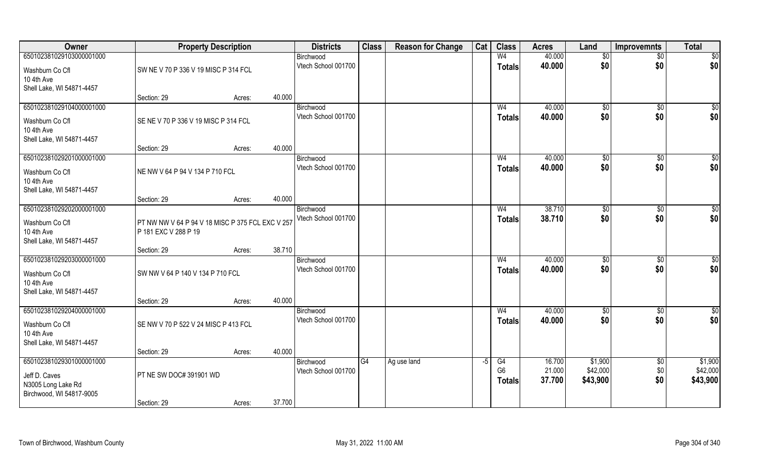| Owner                         | <b>Property Description</b>                                              |        | <b>Districts</b>                 | <b>Class</b> | <b>Reason for Change</b> | Cat  | <b>Class</b>         | <b>Acres</b>     | Land                | <b>Improvemnts</b>     | <b>Total</b>        |
|-------------------------------|--------------------------------------------------------------------------|--------|----------------------------------|--------------|--------------------------|------|----------------------|------------------|---------------------|------------------------|---------------------|
| 650102381029103000001000      |                                                                          |        | Birchwood                        |              |                          |      | W <sub>4</sub>       | 40.000           | $\sqrt[6]{}$        | $\overline{50}$        | $\overline{50}$     |
| Washburn Co Cfl               | SW NE V 70 P 336 V 19 MISC P 314 FCL                                     |        | Vtech School 001700              |              |                          |      | <b>Totals</b>        | 40.000           | \$0                 | \$0                    | \$0                 |
| 10 4th Ave                    |                                                                          |        |                                  |              |                          |      |                      |                  |                     |                        |                     |
| Shell Lake, WI 54871-4457     |                                                                          |        |                                  |              |                          |      |                      |                  |                     |                        |                     |
|                               | Section: 29                                                              | Acres: | 40.000                           |              |                          |      |                      |                  |                     |                        |                     |
| 650102381029104000001000      |                                                                          |        | Birchwood<br>Vtech School 001700 |              |                          |      | W <sub>4</sub>       | 40.000           | $\sqrt[6]{}$<br>\$0 | $\sqrt{$0}$            | $\sqrt{50}$         |
| Washburn Co Cfl               | SE NE V 70 P 336 V 19 MISC P 314 FCL                                     |        |                                  |              |                          |      | <b>Totals</b>        | 40.000           |                     | \$0                    | \$0                 |
| 10 4th Ave                    |                                                                          |        |                                  |              |                          |      |                      |                  |                     |                        |                     |
| Shell Lake, WI 54871-4457     | Section: 29                                                              |        | 40.000                           |              |                          |      |                      |                  |                     |                        |                     |
| 650102381029201000001000      |                                                                          | Acres: | Birchwood                        |              |                          |      | W <sub>4</sub>       | 40.000           | \$0                 | $\sqrt[6]{30}$         | \$0                 |
|                               |                                                                          |        | Vtech School 001700              |              |                          |      | <b>Totals</b>        | 40.000           | \$0                 | \$0                    | \$0                 |
| Washburn Co Cfl               | NE NW V 64 P 94 V 134 P 710 FCL                                          |        |                                  |              |                          |      |                      |                  |                     |                        |                     |
| 10 4th Ave                    |                                                                          |        |                                  |              |                          |      |                      |                  |                     |                        |                     |
| Shell Lake, WI 54871-4457     | Section: 29                                                              | Acres: | 40.000                           |              |                          |      |                      |                  |                     |                        |                     |
| 650102381029202000001000      |                                                                          |        | Birchwood                        |              |                          |      | W <sub>4</sub>       | 38.710           | $\frac{1}{20}$      | $\sqrt[6]{3}$          | \$0                 |
|                               |                                                                          |        | Vtech School 001700              |              |                          |      | <b>Totals</b>        | 38.710           | \$0                 | \$0                    | \$0                 |
| Washburn Co Cfl<br>10 4th Ave | PT NW NW V 64 P 94 V 18 MISC P 375 FCL EXC V 257<br>P 181 EXC V 288 P 19 |        |                                  |              |                          |      |                      |                  |                     |                        |                     |
| Shell Lake, WI 54871-4457     |                                                                          |        |                                  |              |                          |      |                      |                  |                     |                        |                     |
|                               | Section: 29                                                              | Acres: | 38.710                           |              |                          |      |                      |                  |                     |                        |                     |
| 650102381029203000001000      |                                                                          |        | Birchwood                        |              |                          |      | W <sub>4</sub>       | 40.000           | \$0                 | $\sqrt[6]{3}$          | \$0                 |
| Washburn Co Cfl               | SW NW V 64 P 140 V 134 P 710 FCL                                         |        | Vtech School 001700              |              |                          |      | <b>Totals</b>        | 40.000           | \$0                 | \$0                    | \$0                 |
| 10 4th Ave                    |                                                                          |        |                                  |              |                          |      |                      |                  |                     |                        |                     |
| Shell Lake, WI 54871-4457     |                                                                          |        |                                  |              |                          |      |                      |                  |                     |                        |                     |
|                               | Section: 29                                                              | Acres: | 40.000                           |              |                          |      |                      |                  |                     |                        |                     |
| 650102381029204000001000      |                                                                          |        | Birchwood                        |              |                          |      | W <sub>4</sub>       | 40.000           | \$0                 | \$0                    | \$0                 |
| Washburn Co Cfl               | SE NW V 70 P 522 V 24 MISC P 413 FCL                                     |        | Vtech School 001700              |              |                          |      | <b>Totals</b>        | 40.000           | \$0                 | \$0                    | \$0                 |
| 10 4th Ave                    |                                                                          |        |                                  |              |                          |      |                      |                  |                     |                        |                     |
| Shell Lake, WI 54871-4457     |                                                                          |        |                                  |              |                          |      |                      |                  |                     |                        |                     |
|                               | Section: 29                                                              | Acres: | 40.000                           |              |                          |      |                      |                  |                     |                        |                     |
| 650102381029301000001000      |                                                                          |        | Birchwood<br>Vtech School 001700 | G4           | Ag use land              | $-5$ | G4<br>G <sub>6</sub> | 16.700<br>21.000 | \$1,900<br>\$42,000 | $\overline{50}$<br>\$0 | \$1,900<br>\$42,000 |
| Jeff D. Caves                 | PT NE SW DOC# 391901 WD                                                  |        |                                  |              |                          |      | <b>Totals</b>        | 37.700           | \$43,900            | \$0                    | \$43,900            |
| N3005 Long Lake Rd            |                                                                          |        |                                  |              |                          |      |                      |                  |                     |                        |                     |
| Birchwood, WI 54817-9005      |                                                                          |        | 37.700                           |              |                          |      |                      |                  |                     |                        |                     |
|                               | Section: 29                                                              | Acres: |                                  |              |                          |      |                      |                  |                     |                        |                     |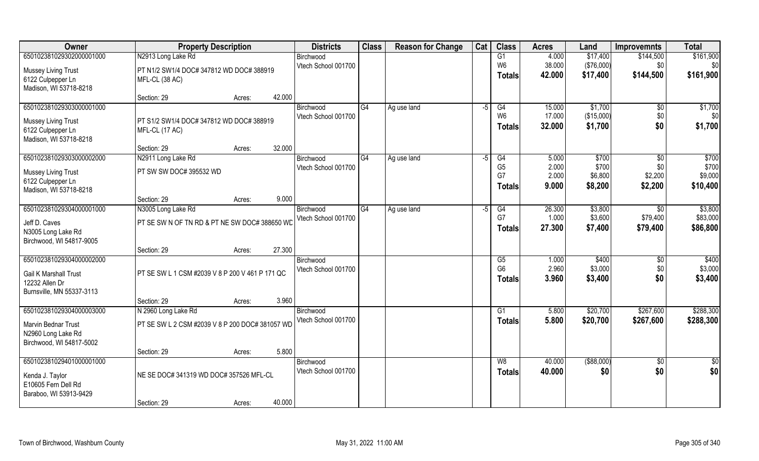| Owner                                       | <b>Property Description</b>                     |        |        | <b>Districts</b>                 | <b>Class</b> | <b>Reason for Change</b> | Cat  | <b>Class</b>           | <b>Acres</b>     | Land           | <b>Improvemnts</b>    | <b>Total</b>    |
|---------------------------------------------|-------------------------------------------------|--------|--------|----------------------------------|--------------|--------------------------|------|------------------------|------------------|----------------|-----------------------|-----------------|
| 650102381029302000001000                    | N2913 Long Lake Rd                              |        |        | Birchwood                        |              |                          |      | G1                     | 4.000            | \$17,400       | \$144,500             | \$161,900       |
| <b>Mussey Living Trust</b>                  | PT N1/2 SW1/4 DOC# 347812 WD DOC# 388919        |        |        | Vtech School 001700              |              |                          |      | W <sub>6</sub>         | 38.000           | (\$76,000)     | \$0                   | \$0             |
| 6122 Culpepper Ln                           | MFL-CL (38 AC)                                  |        |        |                                  |              |                          |      | <b>Totals</b>          | 42.000           | \$17,400       | \$144,500             | \$161,900       |
| Madison, WI 53718-8218                      |                                                 |        |        |                                  |              |                          |      |                        |                  |                |                       |                 |
|                                             | Section: 29                                     | Acres: | 42.000 |                                  |              |                          |      |                        |                  |                |                       |                 |
| 650102381029303000001000                    |                                                 |        |        | Birchwood                        | G4           | Ag use land              | -5   | G4                     | 15.000           | \$1,700        | $\sqrt[6]{}$          | \$1,700         |
| <b>Mussey Living Trust</b>                  | PT S1/2 SW1/4 DOC# 347812 WD DOC# 388919        |        |        | Vtech School 001700              |              |                          |      | W <sub>6</sub>         | 17.000<br>32.000 | (\$15,000)     | \$0<br>\$0            | \$0<br>\$1,700  |
| 6122 Culpepper Ln                           | MFL-CL (17 AC)                                  |        |        |                                  |              |                          |      | <b>Totals</b>          |                  | \$1,700        |                       |                 |
| Madison, WI 53718-8218                      |                                                 |        |        |                                  |              |                          |      |                        |                  |                |                       |                 |
|                                             | Section: 29                                     | Acres: | 32.000 |                                  |              |                          |      |                        |                  |                |                       |                 |
| 650102381029303000002000                    | N2911 Long Lake Rd                              |        |        | Birchwood<br>Vtech School 001700 | G4           | Ag use land              | $-5$ | G4<br>G <sub>5</sub>   | 5.000<br>2.000   | \$700<br>\$700 | $\sqrt[6]{30}$<br>\$0 | \$700<br>\$700  |
| <b>Mussey Living Trust</b>                  | PT SW SW DOC# 395532 WD                         |        |        |                                  |              |                          |      | G7                     | 2.000            | \$6,800        | \$2,200               | \$9,000         |
| 6122 Culpepper Ln                           |                                                 |        |        |                                  |              |                          |      | <b>Totals</b>          | 9.000            | \$8,200        | \$2,200               | \$10,400        |
| Madison, WI 53718-8218                      |                                                 |        | 9.000  |                                  |              |                          |      |                        |                  |                |                       |                 |
| 650102381029304000001000                    | Section: 29<br>N3005 Long Lake Rd               | Acres: |        | Birchwood                        | G4           | Ag use land              | -5   | G4                     | 26.300           | \$3,800        | $\overline{30}$       | \$3,800         |
|                                             |                                                 |        |        | Vtech School 001700              |              |                          |      | G7                     | 1.000            | \$3,600        | \$79,400              | \$83,000        |
| Jeff D. Caves                               | PT SE SW N OF TN RD & PT NE SW DOC# 388650 WD   |        |        |                                  |              |                          |      | <b>Totals</b>          | 27.300           | \$7,400        | \$79,400              | \$86,800        |
| N3005 Long Lake Rd                          |                                                 |        |        |                                  |              |                          |      |                        |                  |                |                       |                 |
| Birchwood, WI 54817-9005                    | Section: 29                                     | Acres: | 27.300 |                                  |              |                          |      |                        |                  |                |                       |                 |
| 650102381029304000002000                    |                                                 |        |        | Birchwood                        |              |                          |      | $\overline{\text{G5}}$ | 1.000            | \$400          | \$0                   | \$400           |
|                                             |                                                 |        |        | Vtech School 001700              |              |                          |      | G <sub>6</sub>         | 2.960            | \$3,000        | \$0                   | \$3,000         |
| Gail K Marshall Trust                       | PT SE SW L 1 CSM #2039 V 8 P 200 V 461 P 171 QC |        |        |                                  |              |                          |      | Totals                 | 3.960            | \$3,400        | \$0                   | \$3,400         |
| 12232 Allen Dr<br>Burnsville, MN 55337-3113 |                                                 |        |        |                                  |              |                          |      |                        |                  |                |                       |                 |
|                                             | Section: 29                                     | Acres: | 3.960  |                                  |              |                          |      |                        |                  |                |                       |                 |
| 650102381029304000003000                    | N 2960 Long Lake Rd                             |        |        | Birchwood                        |              |                          |      | G1                     | 5.800            | \$20,700       | \$267,600             | \$288,300       |
| Marvin Bednar Trust                         | PT SE SW L 2 CSM #2039 V 8 P 200 DOC# 381057 WD |        |        | Vtech School 001700              |              |                          |      | <b>Totals</b>          | 5.800            | \$20,700       | \$267,600             | \$288,300       |
| N2960 Long Lake Rd                          |                                                 |        |        |                                  |              |                          |      |                        |                  |                |                       |                 |
| Birchwood, WI 54817-5002                    |                                                 |        |        |                                  |              |                          |      |                        |                  |                |                       |                 |
|                                             | Section: 29                                     | Acres: | 5.800  |                                  |              |                          |      |                        |                  |                |                       |                 |
| 650102381029401000001000                    |                                                 |        |        | Birchwood                        |              |                          |      | W8                     | 40.000           | ( \$88,000)    | $\sqrt{$0}$           | $\overline{50}$ |
| Kenda J. Taylor                             | NE SE DOC# 341319 WD DOC# 357526 MFL-CL         |        |        | Vtech School 001700              |              |                          |      | <b>Totals</b>          | 40.000           | \$0            | \$0                   | \$0             |
| E10605 Fern Dell Rd                         |                                                 |        |        |                                  |              |                          |      |                        |                  |                |                       |                 |
| Baraboo, WI 53913-9429                      |                                                 |        |        |                                  |              |                          |      |                        |                  |                |                       |                 |
|                                             | Section: 29                                     | Acres: | 40.000 |                                  |              |                          |      |                        |                  |                |                       |                 |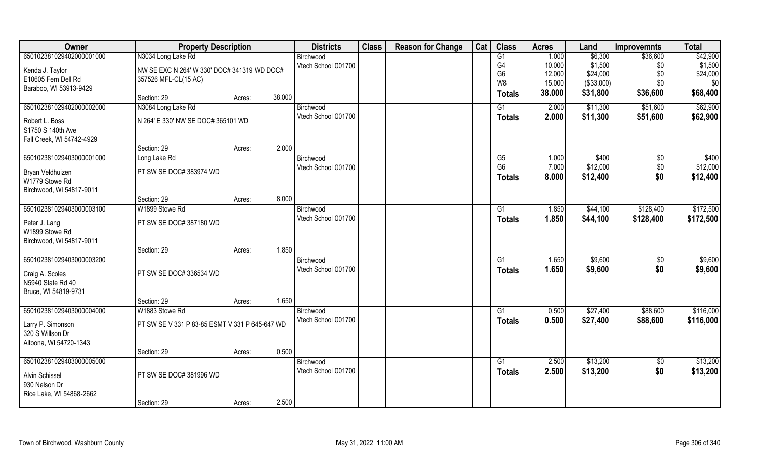| Owner                     | <b>Property Description</b>                    |        |        | <b>Districts</b>    | <b>Class</b> | <b>Reason for Change</b> | Cat | <b>Class</b>    | <b>Acres</b> | Land       | <b>Improvemnts</b> | <b>Total</b> |
|---------------------------|------------------------------------------------|--------|--------|---------------------|--------------|--------------------------|-----|-----------------|--------------|------------|--------------------|--------------|
| 650102381029402000001000  | N3034 Long Lake Rd                             |        |        | Birchwood           |              |                          |     | G1              | 1.000        | \$6,300    | \$36,600           | \$42,900     |
| Kenda J. Taylor           | NW SE EXC N 264' W 330' DOC# 341319 WD DOC#    |        |        | Vtech School 001700 |              |                          |     | G4              | 10.000       | \$1,500    | \$0                | \$1,500      |
| E10605 Fern Dell Rd       | 357526 MFL-CL(15 AC)                           |        |        |                     |              |                          |     | G <sub>6</sub>  | 12.000       | \$24,000   | \$0                | \$24,000     |
| Baraboo, WI 53913-9429    |                                                |        |        |                     |              |                          |     | W <sub>8</sub>  | 15.000       | (\$33,000) | \$0                | \$0          |
|                           | Section: 29                                    | Acres: | 38.000 |                     |              |                          |     | <b>Totals</b>   | 38.000       | \$31,800   | \$36,600           | \$68,400     |
| 650102381029402000002000  | N3084 Long Lake Rd                             |        |        | Birchwood           |              |                          |     | G1              | 2.000        | \$11,300   | \$51,600           | \$62,900     |
| Robert L. Boss            | N 264' E 330' NW SE DOC# 365101 WD             |        |        | Vtech School 001700 |              |                          |     | <b>Totals</b>   | 2.000        | \$11,300   | \$51,600           | \$62,900     |
| S1750 S 140th Ave         |                                                |        |        |                     |              |                          |     |                 |              |            |                    |              |
| Fall Creek, WI 54742-4929 |                                                |        |        |                     |              |                          |     |                 |              |            |                    |              |
|                           | Section: 29                                    | Acres: | 2.000  |                     |              |                          |     |                 |              |            |                    |              |
| 650102381029403000001000  | Long Lake Rd                                   |        |        | Birchwood           |              |                          |     | G5              | 1.000        | \$400      | \$0                | \$400        |
| Bryan Veldhuizen          | PT SW SE DOC# 383974 WD                        |        |        | Vtech School 001700 |              |                          |     | G <sub>6</sub>  | 7.000        | \$12,000   | \$0                | \$12,000     |
| W1779 Stowe Rd            |                                                |        |        |                     |              |                          |     | <b>Totals</b>   | 8.000        | \$12,400   | \$0                | \$12,400     |
| Birchwood, WI 54817-9011  |                                                |        |        |                     |              |                          |     |                 |              |            |                    |              |
|                           | Section: 29                                    | Acres: | 8.000  |                     |              |                          |     |                 |              |            |                    |              |
| 650102381029403000003100  | W1899 Stowe Rd                                 |        |        | Birchwood           |              |                          |     | G <sub>1</sub>  | 1.850        | \$44,100   | \$128,400          | \$172,500    |
| Peter J. Lang             | PT SW SE DOC# 387180 WD                        |        |        | Vtech School 001700 |              |                          |     | <b>Totals</b>   | 1.850        | \$44,100   | \$128,400          | \$172,500    |
| W1899 Stowe Rd            |                                                |        |        |                     |              |                          |     |                 |              |            |                    |              |
| Birchwood, WI 54817-9011  |                                                |        |        |                     |              |                          |     |                 |              |            |                    |              |
|                           | Section: 29                                    | Acres: | 1.850  |                     |              |                          |     |                 |              |            |                    |              |
| 650102381029403000003200  |                                                |        |        | Birchwood           |              |                          |     | $\overline{G1}$ | 1.650        | \$9,600    | $\sqrt[6]{30}$     | \$9,600      |
| Craig A. Scoles           | PT SW SE DOC# 336534 WD                        |        |        | Vtech School 001700 |              |                          |     | <b>Totals</b>   | 1.650        | \$9,600    | \$0                | \$9,600      |
| N5940 State Rd 40         |                                                |        |        |                     |              |                          |     |                 |              |            |                    |              |
| Bruce, WI 54819-9731      |                                                |        |        |                     |              |                          |     |                 |              |            |                    |              |
|                           | Section: 29                                    | Acres: | 1.650  |                     |              |                          |     |                 |              |            |                    |              |
| 650102381029403000004000  | W1883 Stowe Rd                                 |        |        | Birchwood           |              |                          |     | G1              | 0.500        | \$27,400   | \$88,600           | \$116,000    |
| Larry P. Simonson         | PT SW SE V 331 P 83-85 ESMT V 331 P 645-647 WD |        |        | Vtech School 001700 |              |                          |     | <b>Totals</b>   | 0.500        | \$27,400   | \$88,600           | \$116,000    |
| 320 S Willson Dr          |                                                |        |        |                     |              |                          |     |                 |              |            |                    |              |
| Altoona, WI 54720-1343    |                                                |        |        |                     |              |                          |     |                 |              |            |                    |              |
|                           | Section: 29                                    | Acres: | 0.500  |                     |              |                          |     |                 |              |            |                    |              |
| 650102381029403000005000  |                                                |        |        | Birchwood           |              |                          |     | $\overline{G1}$ | 2.500        | \$13,200   | $\overline{50}$    | \$13,200     |
| Alvin Schissel            | PT SW SE DOC# 381996 WD                        |        |        | Vtech School 001700 |              |                          |     | <b>Totals</b>   | 2.500        | \$13,200   | \$0                | \$13,200     |
| 930 Nelson Dr             |                                                |        |        |                     |              |                          |     |                 |              |            |                    |              |
| Rice Lake, WI 54868-2662  |                                                |        |        |                     |              |                          |     |                 |              |            |                    |              |
|                           | Section: 29                                    | Acres: | 2.500  |                     |              |                          |     |                 |              |            |                    |              |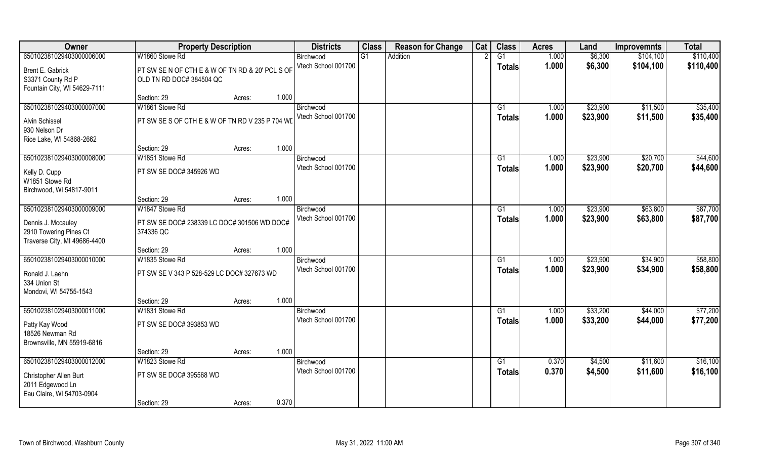| 650102381029403000006000<br>W1860 Stowe Rd<br>G1<br>1.000<br>\$6,300<br>G1<br>Addition<br>\$104,100<br>Birchwood<br>Vtech School 001700<br>1.000<br>\$6,300<br>\$104,100<br><b>Totals</b><br>PT SW SE N OF CTH E & W OF TN RD & 20' PCL S OF<br>Brent E. Gabrick<br>S3371 County Rd P<br>OLD TN RD DOC# 384504 QC<br>Fountain City, WI 54629-7111 | \$110,400 |
|---------------------------------------------------------------------------------------------------------------------------------------------------------------------------------------------------------------------------------------------------------------------------------------------------------------------------------------------------|-----------|
|                                                                                                                                                                                                                                                                                                                                                   |           |
|                                                                                                                                                                                                                                                                                                                                                   | \$110,400 |
|                                                                                                                                                                                                                                                                                                                                                   |           |
|                                                                                                                                                                                                                                                                                                                                                   |           |
| 1.000<br>Section: 29<br>Acres:                                                                                                                                                                                                                                                                                                                    |           |
| 650102381029403000007000<br>W1861 Stowe Rd<br>\$23,900<br>\$11,500<br>G1<br>1.000<br>Birchwood                                                                                                                                                                                                                                                    | \$35,400  |
| Vtech School 001700<br>1.000<br>\$23,900<br>\$11,500<br><b>Totals</b><br>PT SW SE S OF CTH E & W OF TN RD V 235 P 704 WD<br>Alvin Schissel                                                                                                                                                                                                        | \$35,400  |
| 930 Nelson Dr                                                                                                                                                                                                                                                                                                                                     |           |
| Rice Lake, WI 54868-2662                                                                                                                                                                                                                                                                                                                          |           |
| 1.000<br>Section: 29<br>Acres:                                                                                                                                                                                                                                                                                                                    |           |
| 650102381029403000008000<br>\$23,900<br>\$20,700<br>W1851 Stowe Rd<br>G1<br>1.000<br>Birchwood                                                                                                                                                                                                                                                    | \$44,600  |
| Vtech School 001700<br>1.000<br>\$23,900<br>\$20,700<br><b>Totals</b><br>PT SW SE DOC# 345926 WD<br>Kelly D. Cupp                                                                                                                                                                                                                                 | \$44,600  |
| W1851 Stowe Rd                                                                                                                                                                                                                                                                                                                                    |           |
| Birchwood, WI 54817-9011                                                                                                                                                                                                                                                                                                                          |           |
| 1.000<br>Section: 29<br>Acres:                                                                                                                                                                                                                                                                                                                    |           |
| 650102381029403000009000<br>W1847 Stowe Rd<br>\$23,900<br>\$63,800<br>1.000<br>Birchwood<br>G1                                                                                                                                                                                                                                                    | \$87,700  |
| Vtech School 001700<br>1.000<br>\$23,900<br>\$63,800<br><b>Totals</b><br>PT SW SE DOC# 238339 LC DOC# 301506 WD DOC#<br>Dennis J. Mccauley                                                                                                                                                                                                        | \$87,700  |
| 2910 Towering Pines Ct<br>374336 QC                                                                                                                                                                                                                                                                                                               |           |
| Traverse City, MI 49686-4400                                                                                                                                                                                                                                                                                                                      |           |
| 1.000<br>Section: 29<br>Acres:                                                                                                                                                                                                                                                                                                                    |           |
| 650102381029403000010000<br>W1835 Stowe Rd<br>\$23,900<br>\$34,900<br>G1<br>1.000<br>Birchwood<br>Vtech School 001700                                                                                                                                                                                                                             | \$58,800  |
| 1.000<br>\$23,900<br>\$34,900<br><b>Totals</b><br>PT SW SE V 343 P 528-529 LC DOC# 327673 WD<br>Ronald J. Laehn                                                                                                                                                                                                                                   | \$58,800  |
| 334 Union St                                                                                                                                                                                                                                                                                                                                      |           |
| Mondovi, WI 54755-1543                                                                                                                                                                                                                                                                                                                            |           |
| 1.000<br>Section: 29<br>Acres:<br>650102381029403000011000<br>W1831 Stowe Rd<br>\$44,000<br>1.000                                                                                                                                                                                                                                                 | \$77,200  |
| \$33,200<br>G1<br>Birchwood<br>Vtech School 001700<br>1.000<br>\$33,200<br>\$44,000                                                                                                                                                                                                                                                               | \$77,200  |
| <b>Totals</b><br>Patty Kay Wood<br>PT SW SE DOC# 393853 WD                                                                                                                                                                                                                                                                                        |           |
| 18526 Newman Rd                                                                                                                                                                                                                                                                                                                                   |           |
| Brownsville, MN 55919-6816<br>1.000<br>Section: 29                                                                                                                                                                                                                                                                                                |           |
| Acres:<br>650102381029403000012000<br>W1823 Stowe Rd<br>G1<br>0.370<br>\$4,500<br>\$11,600<br>Birchwood                                                                                                                                                                                                                                           | \$16,100  |
| Vtech School 001700<br>0.370<br>\$4,500<br>\$11,600<br><b>Totals</b>                                                                                                                                                                                                                                                                              | \$16,100  |
| PT SW SE DOC# 395568 WD<br>Christopher Allen Burt                                                                                                                                                                                                                                                                                                 |           |
| 2011 Edgewood Ln                                                                                                                                                                                                                                                                                                                                  |           |
| Eau Claire, WI 54703-0904<br>0.370<br>Section: 29<br>Acres:                                                                                                                                                                                                                                                                                       |           |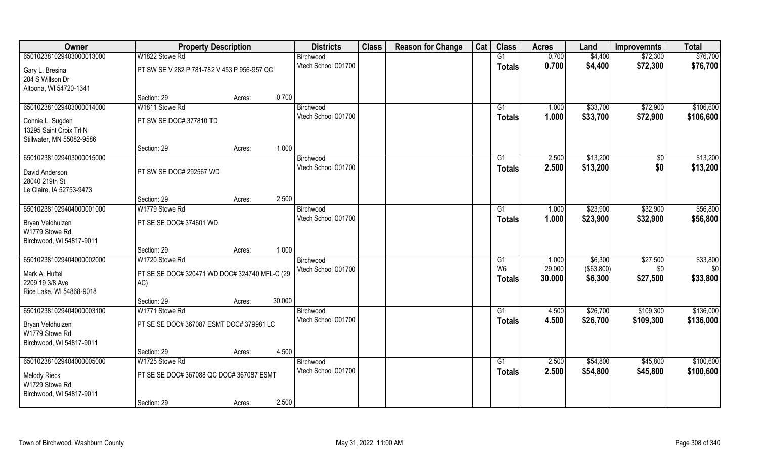| Owner                             | <b>Property Description</b>                          |        |        | <b>Districts</b>                 | <b>Class</b> | <b>Reason for Change</b> | Cat | <b>Class</b>   | <b>Acres</b> | Land       | <b>Improvemnts</b> | <b>Total</b> |
|-----------------------------------|------------------------------------------------------|--------|--------|----------------------------------|--------------|--------------------------|-----|----------------|--------------|------------|--------------------|--------------|
| 650102381029403000013000          | W1822 Stowe Rd                                       |        |        | Birchwood                        |              |                          |     | G1             | 0.700        | \$4,400    | \$72,300           | \$76,700     |
| Gary L. Bresina                   | PT SW SE V 282 P 781-782 V 453 P 956-957 QC          |        |        | Vtech School 001700              |              |                          |     | <b>Totals</b>  | 0.700        | \$4,400    | \$72,300           | \$76,700     |
| 204 S Willson Dr                  |                                                      |        |        |                                  |              |                          |     |                |              |            |                    |              |
| Altoona, WI 54720-1341            |                                                      |        |        |                                  |              |                          |     |                |              |            |                    |              |
|                                   | Section: 29                                          | Acres: | 0.700  |                                  |              |                          |     |                |              |            |                    |              |
| 650102381029403000014000          | W1811 Stowe Rd                                       |        |        | Birchwood                        |              |                          |     | G1             | 1.000        | \$33,700   | \$72,900           | \$106,600    |
| Connie L. Sugden                  | PT SW SE DOC# 377810 TD                              |        |        | Vtech School 001700              |              |                          |     | <b>Totals</b>  | 1.000        | \$33,700   | \$72,900           | \$106,600    |
| 13295 Saint Croix Trl N           |                                                      |        |        |                                  |              |                          |     |                |              |            |                    |              |
| Stillwater, MN 55082-9586         |                                                      |        |        |                                  |              |                          |     |                |              |            |                    |              |
|                                   | Section: 29                                          | Acres: | 1.000  |                                  |              |                          |     |                |              |            |                    |              |
| 650102381029403000015000          |                                                      |        |        | Birchwood<br>Vtech School 001700 |              |                          |     | G1             | 2.500        | \$13,200   | \$0                | \$13,200     |
| David Anderson                    | PT SW SE DOC# 292567 WD                              |        |        |                                  |              |                          |     | <b>Totals</b>  | 2.500        | \$13,200   | \$0                | \$13,200     |
| 28040 219th St                    |                                                      |        |        |                                  |              |                          |     |                |              |            |                    |              |
| Le Claire, IA 52753-9473          |                                                      |        | 2.500  |                                  |              |                          |     |                |              |            |                    |              |
| 650102381029404000001000          | Section: 29<br>W1779 Stowe Rd                        | Acres: |        | Birchwood                        |              |                          |     | G1             | 1.000        | \$23,900   | \$32,900           | \$56,800     |
|                                   |                                                      |        |        | Vtech School 001700              |              |                          |     | <b>Totals</b>  | 1.000        | \$23,900   | \$32,900           | \$56,800     |
| Bryan Veldhuizen                  | PT SE SE DOC# 374601 WD                              |        |        |                                  |              |                          |     |                |              |            |                    |              |
| W1779 Stowe Rd                    |                                                      |        |        |                                  |              |                          |     |                |              |            |                    |              |
| Birchwood, WI 54817-9011          | Section: 29                                          | Acres: | 1.000  |                                  |              |                          |     |                |              |            |                    |              |
| 650102381029404000002000          | W1720 Stowe Rd                                       |        |        | Birchwood                        |              |                          |     | G1             | 1.000        | \$6,300    | \$27,500           | \$33,800     |
|                                   |                                                      |        |        | Vtech School 001700              |              |                          |     | W <sub>6</sub> | 29.000       | (\$63,800) | \$0                | \$0          |
| Mark A. Huftel<br>2209 19 3/8 Ave | PT SE SE DOC# 320471 WD DOC# 324740 MFL-C (29<br>AC) |        |        |                                  |              |                          |     | <b>Totals</b>  | 30.000       | \$6,300    | \$27,500           | \$33,800     |
| Rice Lake, WI 54868-9018          |                                                      |        |        |                                  |              |                          |     |                |              |            |                    |              |
|                                   | Section: 29                                          | Acres: | 30.000 |                                  |              |                          |     |                |              |            |                    |              |
| 650102381029404000003100          | W1771 Stowe Rd                                       |        |        | Birchwood                        |              |                          |     | G1             | 4.500        | \$26,700   | \$109,300          | \$136,000    |
| Bryan Veldhuizen                  | PT SE SE DOC# 367087 ESMT DOC# 379981 LC             |        |        | Vtech School 001700              |              |                          |     | <b>Totals</b>  | 4.500        | \$26,700   | \$109,300          | \$136,000    |
| W1779 Stowe Rd                    |                                                      |        |        |                                  |              |                          |     |                |              |            |                    |              |
| Birchwood, WI 54817-9011          |                                                      |        |        |                                  |              |                          |     |                |              |            |                    |              |
|                                   | Section: 29                                          | Acres: | 4.500  |                                  |              |                          |     |                |              |            |                    |              |
| 650102381029404000005000          | W1725 Stowe Rd                                       |        |        | Birchwood                        |              |                          |     | G1             | 2.500        | \$54,800   | \$45,800           | \$100,600    |
| <b>Melody Rieck</b>               | PT SE SE DOC# 367088 QC DOC# 367087 ESMT             |        |        | Vtech School 001700              |              |                          |     | <b>Totals</b>  | 2.500        | \$54,800   | \$45,800           | \$100,600    |
| W1729 Stowe Rd                    |                                                      |        |        |                                  |              |                          |     |                |              |            |                    |              |
| Birchwood, WI 54817-9011          |                                                      |        |        |                                  |              |                          |     |                |              |            |                    |              |
|                                   | Section: 29                                          | Acres: | 2.500  |                                  |              |                          |     |                |              |            |                    |              |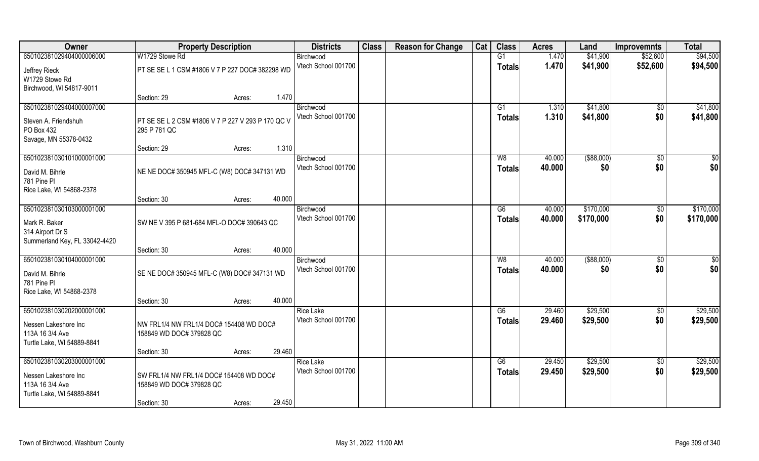| Owner                           | <b>Property Description</b>                       | <b>Districts</b>                 | <b>Class</b> | <b>Reason for Change</b> | Cat | <b>Class</b>  | <b>Acres</b>     | Land          | <b>Improvemnts</b> | <b>Total</b>           |
|---------------------------------|---------------------------------------------------|----------------------------------|--------------|--------------------------|-----|---------------|------------------|---------------|--------------------|------------------------|
| 650102381029404000006000        | W1729 Stowe Rd                                    | Birchwood                        |              |                          |     | G1            | 1.470            | \$41,900      | \$52,600           | \$94,500               |
| Jeffrey Rieck<br>W1729 Stowe Rd | PT SE SE L 1 CSM #1806 V 7 P 227 DOC# 382298 WD   | Vtech School 001700              |              |                          |     | <b>Totals</b> | 1.470            | \$41,900      | \$52,600           | \$94,500               |
| Birchwood, WI 54817-9011        |                                                   |                                  |              |                          |     |               |                  |               |                    |                        |
|                                 | Section: 29<br>Acres:                             | 1.470                            |              |                          |     |               |                  |               |                    |                        |
| 650102381029404000007000        |                                                   | Birchwood                        |              |                          |     | G1            | 1.310            | \$41,800      | \$0                | \$41,800               |
| Steven A. Friendshuh            | PT SE SE L 2 CSM #1806 V 7 P 227 V 293 P 170 QC V | Vtech School 001700              |              |                          |     | Totals        | 1.310            | \$41,800      | \$0                | \$41,800               |
| PO Box 432                      | 295 P 781 QC                                      |                                  |              |                          |     |               |                  |               |                    |                        |
| Savage, MN 55378-0432           |                                                   |                                  |              |                          |     |               |                  |               |                    |                        |
|                                 | Section: 29<br>Acres:                             | 1.310                            |              |                          |     |               |                  |               |                    |                        |
| 650102381030101000001000        |                                                   | Birchwood                        |              |                          |     | W8            | 40.000           | $($ \$88,000) | $\sqrt{6}$         | \$0                    |
| David M. Bihrle                 | NE NE DOC# 350945 MFL-C (W8) DOC# 347131 WD       | Vtech School 001700              |              |                          |     | <b>Totals</b> | 40.000           | \$0           | \$0                | \$0                    |
| 781 Pine Pl                     |                                                   |                                  |              |                          |     |               |                  |               |                    |                        |
| Rice Lake, WI 54868-2378        |                                                   |                                  |              |                          |     |               |                  |               |                    |                        |
| 650102381030103000001000        | 40.000<br>Section: 30<br>Acres:                   |                                  |              |                          |     |               |                  | \$170,000     |                    |                        |
|                                 |                                                   | Birchwood<br>Vtech School 001700 |              |                          |     | G6            | 40.000<br>40.000 | \$170,000     | \$0<br>\$0         | \$170,000<br>\$170,000 |
| Mark R. Baker                   | SW NE V 395 P 681-684 MFL-O DOC# 390643 QC        |                                  |              |                          |     | <b>Totals</b> |                  |               |                    |                        |
| 314 Airport Dr S                |                                                   |                                  |              |                          |     |               |                  |               |                    |                        |
| Summerland Key, FL 33042-4420   | 40.000<br>Section: 30<br>Acres:                   |                                  |              |                          |     |               |                  |               |                    |                        |
| 650102381030104000001000        |                                                   | Birchwood                        |              |                          |     | W8            | 40.000           | $($ \$88,000) | \$0                | \$0                    |
|                                 |                                                   | Vtech School 001700              |              |                          |     | <b>Totals</b> | 40.000           | \$0           | \$0                | \$0                    |
| David M. Bihrle<br>781 Pine Pl  | SE NE DOC# 350945 MFL-C (W8) DOC# 347131 WD       |                                  |              |                          |     |               |                  |               |                    |                        |
| Rice Lake, WI 54868-2378        |                                                   |                                  |              |                          |     |               |                  |               |                    |                        |
|                                 | 40.000<br>Section: 30<br>Acres:                   |                                  |              |                          |     |               |                  |               |                    |                        |
| 650102381030202000001000        |                                                   | <b>Rice Lake</b>                 |              |                          |     | G6            | 29.460           | \$29,500      | $\sqrt{$0}$        | \$29,500               |
| Nessen Lakeshore Inc            | NW FRL1/4 NW FRL1/4 DOC# 154408 WD DOC#           | Vtech School 001700              |              |                          |     | <b>Totals</b> | 29.460           | \$29,500      | \$0                | \$29,500               |
| 113A 16 3/4 Ave                 | 158849 WD DOC# 379828 QC                          |                                  |              |                          |     |               |                  |               |                    |                        |
| Turtle Lake, WI 54889-8841      |                                                   |                                  |              |                          |     |               |                  |               |                    |                        |
|                                 | 29.460<br>Section: 30<br>Acres:                   |                                  |              |                          |     |               |                  |               |                    |                        |
| 650102381030203000001000        |                                                   | <b>Rice Lake</b>                 |              |                          |     | G6            | 29.450           | \$29,500      | \$0                | \$29,500               |
| Nessen Lakeshore Inc            | SW FRL1/4 NW FRL1/4 DOC# 154408 WD DOC#           | Vtech School 001700              |              |                          |     | <b>Totals</b> | 29.450           | \$29,500      | \$0                | \$29,500               |
| 113A 16 3/4 Ave                 | 158849 WD DOC# 379828 QC                          |                                  |              |                          |     |               |                  |               |                    |                        |
| Turtle Lake, WI 54889-8841      |                                                   |                                  |              |                          |     |               |                  |               |                    |                        |
|                                 | 29.450<br>Section: 30<br>Acres:                   |                                  |              |                          |     |               |                  |               |                    |                        |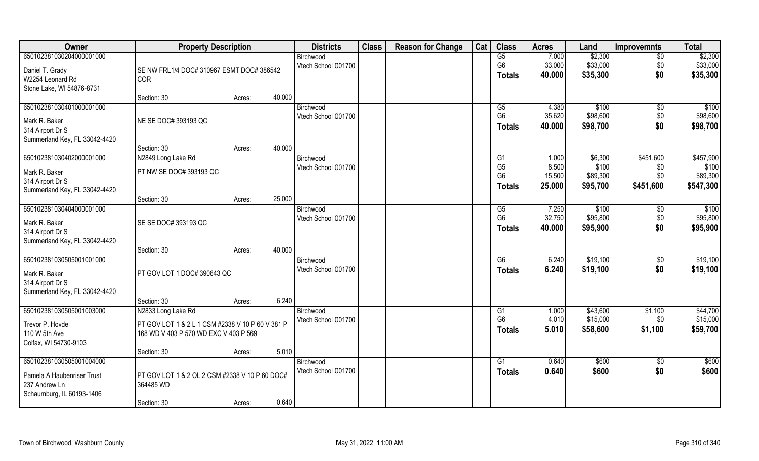| Owner                                                                                                | <b>Property Description</b>                                                                                     |        |        | <b>Districts</b>                 | <b>Class</b> | <b>Reason for Change</b> | Cat | <b>Class</b>                               | <b>Acres</b>              | Land                             | <b>Improvemnts</b>        | <b>Total</b>                     |
|------------------------------------------------------------------------------------------------------|-----------------------------------------------------------------------------------------------------------------|--------|--------|----------------------------------|--------------|--------------------------|-----|--------------------------------------------|---------------------------|----------------------------------|---------------------------|----------------------------------|
| 650102381030204000001000<br>Daniel T. Grady                                                          | SE NW FRL1/4 DOC# 310967 ESMT DOC# 386542                                                                       |        |        | Birchwood<br>Vtech School 001700 |              |                          |     | G5<br>G <sub>6</sub>                       | 7.000<br>33.000           | \$2,300<br>\$33,000              | $\overline{50}$<br>\$0    | \$2,300<br>\$33,000              |
| W2254 Leonard Rd<br>Stone Lake, WI 54876-8731                                                        | COR                                                                                                             |        |        |                                  |              |                          |     | <b>Totals</b>                              | 40.000                    | \$35,300                         | \$0                       | \$35,300                         |
|                                                                                                      | Section: 30                                                                                                     | Acres: | 40.000 |                                  |              |                          |     |                                            |                           |                                  |                           |                                  |
| 650102381030401000001000<br>Mark R. Baker<br>314 Airport Dr S<br>Summerland Key, FL 33042-4420       | NE SE DOC# 393193 QC                                                                                            |        |        | Birchwood<br>Vtech School 001700 |              |                          |     | G5<br>G <sub>6</sub><br><b>Totals</b>      | 4.380<br>35.620<br>40.000 | \$100<br>\$98,600<br>\$98,700    | \$0<br>\$0<br>\$0         | \$100<br>\$98,600<br>\$98,700    |
|                                                                                                      | Section: 30                                                                                                     | Acres: | 40.000 |                                  |              |                          |     |                                            |                           |                                  |                           |                                  |
| 650102381030402000001000                                                                             | N2849 Long Lake Rd                                                                                              |        |        | Birchwood                        |              |                          |     | G1                                         | 1.000                     | \$6,300                          | \$451,600                 | \$457,900                        |
| Mark R. Baker<br>314 Airport Dr S                                                                    | PT NW SE DOC# 393193 QC                                                                                         |        |        | Vtech School 001700              |              |                          |     | G <sub>5</sub><br>G <sub>6</sub><br>Totals | 8.500<br>15.500<br>25.000 | \$100<br>\$89,300<br>\$95,700    | \$0<br>\$0<br>\$451,600   | \$100<br>\$89,300<br>\$547,300   |
| Summerland Key, FL 33042-4420                                                                        | Section: 30                                                                                                     | Acres: | 25.000 |                                  |              |                          |     |                                            |                           |                                  |                           |                                  |
| 650102381030404000001000<br>Mark R. Baker<br>314 Airport Dr S                                        | SE SE DOC# 393193 QC                                                                                            |        |        | Birchwood<br>Vtech School 001700 |              |                          |     | G5<br>G <sub>6</sub><br><b>Totals</b>      | 7.250<br>32.750<br>40.000 | \$100<br>\$95,800<br>\$95,900    | \$0<br>\$0<br>\$0         | \$100<br>\$95,800<br>\$95,900    |
| Summerland Key, FL 33042-4420                                                                        | Section: 30                                                                                                     | Acres: | 40.000 |                                  |              |                          |     |                                            |                           |                                  |                           |                                  |
| 650102381030505001001000<br>Mark R. Baker<br>314 Airport Dr S<br>Summerland Key, FL 33042-4420       | PT GOV LOT 1 DOC# 390643 QC                                                                                     |        |        | Birchwood<br>Vtech School 001700 |              |                          |     | $\overline{G6}$<br><b>Totals</b>           | 6.240<br>6.240            | \$19,100<br>\$19,100             | $\sqrt[6]{30}$<br>\$0     | \$19,100<br>\$19,100             |
|                                                                                                      | Section: 30                                                                                                     | Acres: | 6.240  |                                  |              |                          |     |                                            |                           |                                  |                           |                                  |
| 650102381030505001003000<br>Trevor P. Hovde<br>110 W 5th Ave<br>Colfax, WI 54730-9103                | N2833 Long Lake Rd<br>PT GOV LOT 1 & 2 L 1 CSM #2338 V 10 P 60 V 381 P<br>168 WD V 403 P 570 WD EXC V 403 P 569 |        |        | Birchwood<br>Vtech School 001700 |              |                          |     | G1<br>G <sub>6</sub><br>Totals             | 1.000<br>4.010<br>5.010   | \$43,600<br>\$15,000<br>\$58,600 | \$1,100<br>\$0<br>\$1,100 | \$44,700<br>\$15,000<br>\$59,700 |
|                                                                                                      | Section: 30                                                                                                     | Acres: | 5.010  |                                  |              |                          |     |                                            |                           |                                  |                           |                                  |
| 650102381030505001004000<br>Pamela A Haubenriser Trust<br>237 Andrew Ln<br>Schaumburg, IL 60193-1406 | PT GOV LOT 1 & 2 OL 2 CSM #2338 V 10 P 60 DOC#<br>364485 WD                                                     |        |        | Birchwood<br>Vtech School 001700 |              |                          |     | G1<br><b>Totals</b>                        | 0.640<br>0.640            | \$600<br>\$600                   | $\overline{30}$<br>\$0    | \$600<br>\$600                   |
|                                                                                                      | Section: 30                                                                                                     | Acres: | 0.640  |                                  |              |                          |     |                                            |                           |                                  |                           |                                  |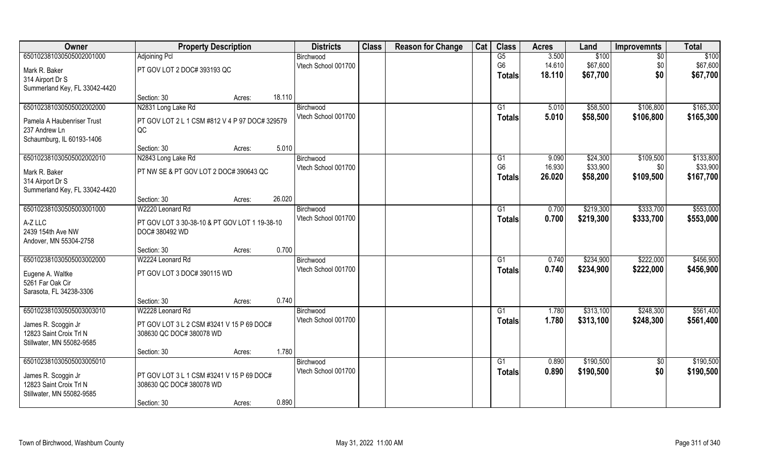| Owner                                       | <b>Property Description</b>                    |        |        | <b>Districts</b>                 | <b>Class</b> | <b>Reason for Change</b> | Cat | <b>Class</b>         | <b>Acres</b>    | Land                 | <b>Improvemnts</b> | <b>Total</b>          |
|---------------------------------------------|------------------------------------------------|--------|--------|----------------------------------|--------------|--------------------------|-----|----------------------|-----------------|----------------------|--------------------|-----------------------|
| 650102381030505002001000                    | Adjoining Pcl                                  |        |        | Birchwood                        |              |                          |     | $\overline{G5}$      | 3.500           | \$100                | \$0                | \$100                 |
| Mark R. Baker                               | PT GOV LOT 2 DOC# 393193 QC                    |        |        | Vtech School 001700              |              |                          |     | G <sub>6</sub>       | 14.610          | \$67,600             | \$0                | \$67,600              |
| 314 Airport Dr S                            |                                                |        |        |                                  |              |                          |     | <b>Totals</b>        | 18.110          | \$67,700             | \$0                | \$67,700              |
| Summerland Key, FL 33042-4420               |                                                |        |        |                                  |              |                          |     |                      |                 |                      |                    |                       |
|                                             | Section: 30                                    | Acres: | 18.110 |                                  |              |                          |     |                      |                 |                      |                    |                       |
| 650102381030505002002000                    | N2831 Long Lake Rd                             |        |        | Birchwood                        |              |                          |     | G1                   | 5.010           | \$58,500             | \$106,800          | \$165,300             |
| Pamela A Haubenriser Trust                  | PT GOV LOT 2 L 1 CSM #812 V 4 P 97 DOC# 329579 |        |        | Vtech School 001700              |              |                          |     | <b>Totals</b>        | 5.010           | \$58,500             | \$106,800          | \$165,300             |
| 237 Andrew Ln                               | QC                                             |        |        |                                  |              |                          |     |                      |                 |                      |                    |                       |
| Schaumburg, IL 60193-1406                   |                                                |        |        |                                  |              |                          |     |                      |                 |                      |                    |                       |
|                                             | Section: 30                                    | Acres: | 5.010  |                                  |              |                          |     |                      |                 |                      |                    |                       |
| 650102381030505002002010                    | N2843 Long Lake Rd                             |        |        | Birchwood<br>Vtech School 001700 |              |                          |     | G1<br>G <sub>6</sub> | 9.090<br>16.930 | \$24,300<br>\$33,900 | \$109,500<br>\$0   | \$133,800<br>\$33,900 |
| Mark R. Baker                               | PT NW SE & PT GOV LOT 2 DOC# 390643 QC         |        |        |                                  |              |                          |     | <b>Totals</b>        | 26.020          | \$58,200             | \$109,500          | \$167,700             |
| 314 Airport Dr S                            |                                                |        |        |                                  |              |                          |     |                      |                 |                      |                    |                       |
| Summerland Key, FL 33042-4420               | Section: 30                                    |        | 26.020 |                                  |              |                          |     |                      |                 |                      |                    |                       |
| 650102381030505003001000                    | W2220 Leonard Rd                               | Acres: |        | Birchwood                        |              |                          |     | G1                   | 0.700           | \$219,300            | \$333,700          | \$553,000             |
|                                             |                                                |        |        | Vtech School 001700              |              |                          |     | <b>Totals</b>        | 0.700           | \$219,300            | \$333,700          | \$553,000             |
| A-Z LLC                                     | PT GOV LOT 3 30-38-10 & PT GOV LOT 1 19-38-10  |        |        |                                  |              |                          |     |                      |                 |                      |                    |                       |
| 2439 154th Ave NW<br>Andover, MN 55304-2758 | DOC# 380492 WD                                 |        |        |                                  |              |                          |     |                      |                 |                      |                    |                       |
|                                             | Section: 30                                    | Acres: | 0.700  |                                  |              |                          |     |                      |                 |                      |                    |                       |
| 650102381030505003002000                    | W2224 Leonard Rd                               |        |        | Birchwood                        |              |                          |     | G1                   | 0.740           | \$234,900            | \$222,000          | \$456,900             |
| Eugene A. Waltke                            | PT GOV LOT 3 DOC# 390115 WD                    |        |        | Vtech School 001700              |              |                          |     | <b>Totals</b>        | 0.740           | \$234,900            | \$222,000          | \$456,900             |
| 5261 Far Oak Cir                            |                                                |        |        |                                  |              |                          |     |                      |                 |                      |                    |                       |
| Sarasota, FL 34238-3306                     |                                                |        |        |                                  |              |                          |     |                      |                 |                      |                    |                       |
|                                             | Section: 30                                    | Acres: | 0.740  |                                  |              |                          |     |                      |                 |                      |                    |                       |
| 650102381030505003003010                    | W2228 Leonard Rd                               |        |        | Birchwood                        |              |                          |     | G1                   | 1.780           | \$313,100            | \$248,300          | \$561,400             |
| James R. Scoggin Jr                         | PT GOV LOT 3 L 2 CSM #3241 V 15 P 69 DOC#      |        |        | Vtech School 001700              |              |                          |     | <b>Totals</b>        | 1.780           | \$313,100            | \$248,300          | \$561,400             |
| 12823 Saint Croix Trl N                     | 308630 QC DOC# 380078 WD                       |        |        |                                  |              |                          |     |                      |                 |                      |                    |                       |
| Stillwater, MN 55082-9585                   |                                                |        |        |                                  |              |                          |     |                      |                 |                      |                    |                       |
|                                             | Section: 30                                    | Acres: | 1.780  |                                  |              |                          |     |                      |                 |                      |                    |                       |
| 650102381030505003005010                    |                                                |        |        | Birchwood                        |              |                          |     | G1                   | 0.890           | \$190,500            | $\overline{50}$    | \$190,500             |
| James R. Scoggin Jr                         | PT GOV LOT 3 L 1 CSM #3241 V 15 P 69 DOC#      |        |        | Vtech School 001700              |              |                          |     | <b>Totals</b>        | 0.890           | \$190,500            | \$0                | \$190,500             |
| 12823 Saint Croix Trl N                     | 308630 QC DOC# 380078 WD                       |        |        |                                  |              |                          |     |                      |                 |                      |                    |                       |
| Stillwater, MN 55082-9585                   |                                                |        |        |                                  |              |                          |     |                      |                 |                      |                    |                       |
|                                             | Section: 30                                    | Acres: | 0.890  |                                  |              |                          |     |                      |                 |                      |                    |                       |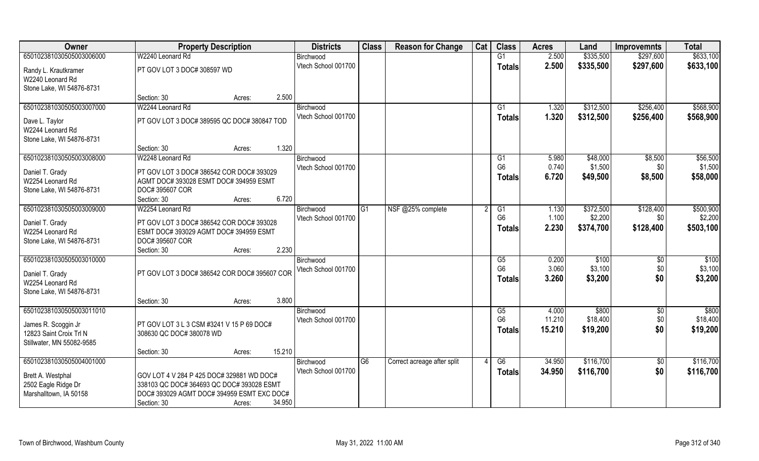| Owner                                    | <b>Property Description</b>                                                            |                  | <b>Districts</b>    | <b>Class</b>   | <b>Reason for Change</b>    | Cat | <b>Class</b>           | <b>Acres</b> | Land      | <b>Improvemnts</b> | <b>Total</b> |
|------------------------------------------|----------------------------------------------------------------------------------------|------------------|---------------------|----------------|-----------------------------|-----|------------------------|--------------|-----------|--------------------|--------------|
| 650102381030505003006000                 | W2240 Leonard Rd                                                                       |                  | Birchwood           |                |                             |     | G1                     | 2.500        | \$335,500 | \$297,600          | \$633,100    |
| Randy L. Krautkramer                     | PT GOV LOT 3 DOC# 308597 WD                                                            |                  | Vtech School 001700 |                |                             |     | <b>Totals</b>          | 2.500        | \$335,500 | \$297,600          | \$633,100    |
| W2240 Leonard Rd                         |                                                                                        |                  |                     |                |                             |     |                        |              |           |                    |              |
| Stone Lake, WI 54876-8731                |                                                                                        |                  |                     |                |                             |     |                        |              |           |                    |              |
|                                          | Section: 30                                                                            | 2.500<br>Acres:  |                     |                |                             |     |                        |              |           |                    |              |
| 650102381030505003007000                 | W2244 Leonard Rd                                                                       |                  | Birchwood           |                |                             |     | G1                     | 1.320        | \$312,500 | \$256,400          | \$568,900    |
| Dave L. Taylor                           | PT GOV LOT 3 DOC# 389595 QC DOC# 380847 TOD                                            |                  | Vtech School 001700 |                |                             |     | Totals                 | 1.320        | \$312,500 | \$256,400          | \$568,900    |
| W2244 Leonard Rd                         |                                                                                        |                  |                     |                |                             |     |                        |              |           |                    |              |
| Stone Lake, WI 54876-8731                |                                                                                        |                  |                     |                |                             |     |                        |              |           |                    |              |
|                                          | Section: 30                                                                            | 1.320<br>Acres:  |                     |                |                             |     |                        |              |           |                    |              |
| 650102381030505003008000                 | W2248 Leonard Rd                                                                       |                  | Birchwood           |                |                             |     | G1                     | 5.980        | \$48,000  | \$8,500            | \$56,500     |
| Daniel T. Grady                          | PT GOV LOT 3 DOC# 386542 COR DOC# 393029                                               |                  | Vtech School 001700 |                |                             |     | G <sub>6</sub>         | 0.740        | \$1,500   | \$0                | \$1,500      |
| W2254 Leonard Rd                         | AGMT DOC# 393028 ESMT DOC# 394959 ESMT                                                 |                  |                     |                |                             |     | <b>Totals</b>          | 6.720        | \$49,500  | \$8,500            | \$58,000     |
| Stone Lake, WI 54876-8731                | DOC# 395607 COR                                                                        |                  |                     |                |                             |     |                        |              |           |                    |              |
|                                          | Section: 30                                                                            | 6.720<br>Acres:  |                     |                |                             |     |                        |              |           |                    |              |
| 650102381030505003009000                 | W2254 Leonard Rd                                                                       |                  | Birchwood           | G <sub>1</sub> | NSF @25% complete           |     | G1                     | 1.130        | \$372,500 | \$128,400          | \$500,900    |
| Daniel T. Grady                          | PT GOV LOT 3 DOC# 386542 COR DOC# 393028                                               |                  | Vtech School 001700 |                |                             |     | G <sub>6</sub>         | 1.100        | \$2,200   | \$0                | \$2,200      |
| W2254 Leonard Rd                         | ESMT DOC# 393029 AGMT DOC# 394959 ESMT                                                 |                  |                     |                |                             |     | <b>Totals</b>          | 2.230        | \$374,700 | \$128,400          | \$503,100    |
| Stone Lake, WI 54876-8731                | DOC# 395607 COR                                                                        |                  |                     |                |                             |     |                        |              |           |                    |              |
|                                          | Section: 30                                                                            | 2.230<br>Acres:  |                     |                |                             |     |                        |              |           |                    |              |
| 650102381030505003010000                 |                                                                                        |                  | Birchwood           |                |                             |     | $\overline{\text{G5}}$ | 0.200        | \$100     | $\sqrt[6]{30}$     | \$100        |
| Daniel T. Grady                          | PT GOV LOT 3 DOC# 386542 COR DOC# 395607 COR                                           |                  | Vtech School 001700 |                |                             |     | G <sub>6</sub>         | 3.060        | \$3,100   | \$0                | \$3,100      |
| W2254 Leonard Rd                         |                                                                                        |                  |                     |                |                             |     | <b>Totals</b>          | 3.260        | \$3,200   | \$0                | \$3,200      |
| Stone Lake, WI 54876-8731                |                                                                                        |                  |                     |                |                             |     |                        |              |           |                    |              |
|                                          | Section: 30                                                                            | 3.800<br>Acres:  |                     |                |                             |     |                        |              |           |                    |              |
| 650102381030505003011010                 |                                                                                        |                  | <b>Birchwood</b>    |                |                             |     | G5                     | 4.000        | \$800     | \$0                | \$800        |
| James R. Scoggin Jr                      | PT GOV LOT 3 L 3 CSM #3241 V 15 P 69 DOC#                                              |                  | Vtech School 001700 |                |                             |     | G <sub>6</sub>         | 11.210       | \$18,400  | \$0                | \$18,400     |
| 12823 Saint Croix Trl N                  | 308630 QC DOC# 380078 WD                                                               |                  |                     |                |                             |     | Totals                 | 15.210       | \$19,200  | \$0                | \$19,200     |
| Stillwater, MN 55082-9585                |                                                                                        |                  |                     |                |                             |     |                        |              |           |                    |              |
|                                          | Section: 30                                                                            | 15.210<br>Acres: |                     |                |                             |     |                        |              |           |                    |              |
| 650102381030505004001000                 |                                                                                        |                  | Birchwood           | G <sub>6</sub> | Correct acreage after split |     | G6                     | 34.950       | \$116,700 | $\sqrt{$0}$        | \$116,700    |
|                                          |                                                                                        |                  | Vtech School 001700 |                |                             |     | <b>Totals</b>          | 34.950       | \$116,700 | \$0                | \$116,700    |
| Brett A. Westphal<br>2502 Eagle Ridge Dr | GOV LOT 4 V 284 P 425 DOC# 329881 WD DOC#<br>338103 QC DOC# 364693 QC DOC# 393028 ESMT |                  |                     |                |                             |     |                        |              |           |                    |              |
| Marshalltown, IA 50158                   | DOC# 393029 AGMT DOC# 394959 ESMT EXC DOC#                                             |                  |                     |                |                             |     |                        |              |           |                    |              |
|                                          | Section: 30                                                                            | 34.950<br>Acres: |                     |                |                             |     |                        |              |           |                    |              |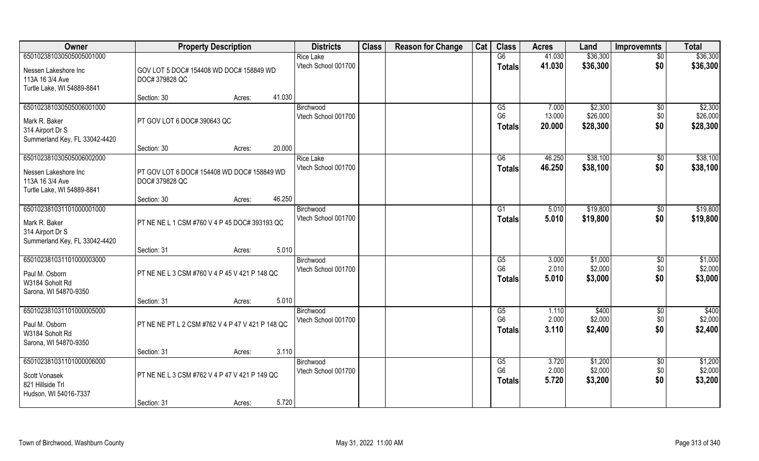| Owner                                                                                             | <b>Property Description</b>                                                     | <b>Districts</b>                        | <b>Class</b> | <b>Reason for Change</b> | Cat | <b>Class</b>                          | <b>Acres</b>              | Land                            | <b>Improvemnts</b>            | <b>Total</b>                    |
|---------------------------------------------------------------------------------------------------|---------------------------------------------------------------------------------|-----------------------------------------|--------------|--------------------------|-----|---------------------------------------|---------------------------|---------------------------------|-------------------------------|---------------------------------|
| 650102381030505005001000                                                                          |                                                                                 | <b>Rice Lake</b>                        |              |                          |     | G6                                    | 41.030                    | \$36,300                        | $\overline{50}$               | \$36,300                        |
| Nessen Lakeshore Inc<br>113A 16 3/4 Ave<br>Turtle Lake, WI 54889-8841                             | GOV LOT 5 DOC# 154408 WD DOC# 158849 WD<br>DOC# 379828 QC                       | Vtech School 001700                     |              |                          |     | <b>Totals</b>                         | 41.030                    | \$36,300                        | \$0                           | \$36,300                        |
|                                                                                                   | 41.030<br>Section: 30<br>Acres:                                                 |                                         |              |                          |     |                                       |                           |                                 |                               |                                 |
| 650102381030505006001000<br>Mark R. Baker<br>314 Airport Dr S<br>Summerland Key, FL 33042-4420    | PT GOV LOT 6 DOC# 390643 QC                                                     | Birchwood<br>Vtech School 001700        |              |                          |     | G5<br>G <sub>6</sub><br><b>Totals</b> | 7.000<br>13.000<br>20.000 | \$2,300<br>\$26,000<br>\$28,300 | $\overline{50}$<br>\$0<br>\$0 | \$2,300<br>\$26,000<br>\$28,300 |
|                                                                                                   | 20.000<br>Section: 30<br>Acres:                                                 |                                         |              |                          |     |                                       |                           |                                 |                               |                                 |
| 650102381030505006002000<br>Nessen Lakeshore Inc<br>113A 16 3/4 Ave<br>Turtle Lake, WI 54889-8841 | PT GOV LOT 6 DOC# 154408 WD DOC# 158849 WD<br>DOC# 379828 QC                    | <b>Rice Lake</b><br>Vtech School 001700 |              |                          |     | G6<br><b>Totals</b>                   | 46.250<br>46.250          | \$38,100<br>\$38,100            | $\sqrt[6]{30}$<br>\$0         | \$38,100<br>\$38,100            |
|                                                                                                   | 46.250<br>Section: 30<br>Acres:                                                 |                                         |              |                          |     |                                       |                           |                                 |                               |                                 |
| 650102381031101000001000<br>Mark R. Baker<br>314 Airport Dr S<br>Summerland Key, FL 33042-4420    | PT NE NE L 1 CSM #760 V 4 P 45 DOC# 393193 QC                                   | Birchwood<br>Vtech School 001700        |              |                          |     | G1<br><b>Totals</b>                   | 5.010<br>5.010            | \$19,800<br>\$19,800            | \$0<br>\$0                    | \$19,800<br>\$19,800            |
|                                                                                                   | 5.010<br>Section: 31<br>Acres:                                                  |                                         |              |                          |     |                                       |                           |                                 |                               |                                 |
| 650102381031101000003000<br>Paul M. Osborn<br>W3184 Soholt Rd<br>Sarona, WI 54870-9350            | PT NE NE L 3 CSM #760 V 4 P 45 V 421 P 148 QC                                   | Birchwood<br>Vtech School 001700        |              |                          |     | G5<br>G <sub>6</sub><br>Totals        | 3.000<br>2.010<br>5.010   | \$1,000<br>\$2,000<br>\$3,000   | \$0<br>\$0<br>\$0             | \$1,000<br>\$2,000<br>\$3,000   |
|                                                                                                   | 5.010<br>Section: 31<br>Acres:                                                  |                                         |              |                          |     |                                       |                           |                                 |                               |                                 |
| 650102381031101000005000<br>Paul M. Osborn<br>W3184 Soholt Rd<br>Sarona, WI 54870-9350            | PT NE NE PT L 2 CSM #762 V 4 P 47 V 421 P 148 QC                                | Birchwood<br>Vtech School 001700        |              |                          |     | G5<br>G <sub>6</sub><br><b>Totals</b> | 1.110<br>2.000<br>3.110   | \$400<br>\$2,000<br>\$2,400     | \$0<br>\$0<br>\$0             | \$400<br>\$2,000<br>\$2,400     |
|                                                                                                   | 3.110<br>Section: 31<br>Acres:                                                  |                                         |              |                          |     |                                       |                           |                                 |                               |                                 |
| 650102381031101000006000<br>Scott Vonasek<br>821 Hillside Trl<br>Hudson, WI 54016-7337            | PT NE NE L 3 CSM #762 V 4 P 47 V 421 P 149 QC<br>5.720<br>Section: 31<br>Acres: | Birchwood<br>Vtech School 001700        |              |                          |     | G5<br>G <sub>6</sub><br><b>Totals</b> | 3.720<br>2.000<br>5.720   | \$1,200<br>\$2,000<br>\$3,200   | $\overline{50}$<br>\$0<br>\$0 | \$1,200<br>\$2,000<br>\$3,200   |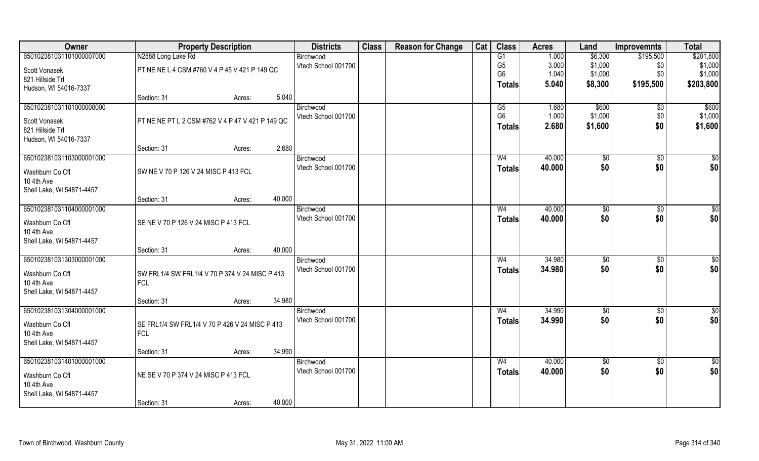| Owner                     | <b>Property Description</b>                      |        |        | <b>Districts</b>    | <b>Class</b> | <b>Reason for Change</b> | Cat | <b>Class</b>   | <b>Acres</b> | Land            | <b>Improvemnts</b> | <b>Total</b>    |
|---------------------------|--------------------------------------------------|--------|--------|---------------------|--------------|--------------------------|-----|----------------|--------------|-----------------|--------------------|-----------------|
| 650102381031101000007000  | N2888 Long Lake Rd                               |        |        | Birchwood           |              |                          |     | G1             | 1.000        | \$6,300         | \$195,500          | \$201,800       |
| Scott Vonasek             | PT NE NE L 4 CSM #760 V 4 P 45 V 421 P 149 QC    |        |        | Vtech School 001700 |              |                          |     | G <sub>5</sub> | 3.000        | \$1,000         | \$0                | \$1,000         |
| 821 Hillside Trl          |                                                  |        |        |                     |              |                          |     | G <sub>6</sub> | 1.040        | \$1,000         | \$0                | \$1,000         |
| Hudson, WI 54016-7337     |                                                  |        |        |                     |              |                          |     | <b>Totals</b>  | 5.040        | \$8,300         | \$195,500          | \$203,800       |
|                           | Section: 31                                      | Acres: | 5.040  |                     |              |                          |     |                |              |                 |                    |                 |
| 650102381031101000008000  |                                                  |        |        | Birchwood           |              |                          |     | G5             | 1.680        | \$600           | \$0                | \$600           |
| Scott Vonasek             | PT NE NE PT L 2 CSM #762 V 4 P 47 V 421 P 149 QC |        |        | Vtech School 001700 |              |                          |     | G <sub>6</sub> | 1.000        | \$1,000         | \$0                | \$1,000         |
| 821 Hillside Trl          |                                                  |        |        |                     |              |                          |     | <b>Totals</b>  | 2.680        | \$1,600         | \$0                | \$1,600         |
| Hudson, WI 54016-7337     |                                                  |        |        |                     |              |                          |     |                |              |                 |                    |                 |
|                           | Section: 31                                      | Acres: | 2.680  |                     |              |                          |     |                |              |                 |                    |                 |
| 650102381031103000001000  |                                                  |        |        | Birchwood           |              |                          |     | W <sub>4</sub> | 40.000       | \$0             | $\sqrt[6]{30}$     | \$0             |
| Washburn Co Cfl           | SW NE V 70 P 126 V 24 MISC P 413 FCL             |        |        | Vtech School 001700 |              |                          |     | <b>Totals</b>  | 40.000       | \$0             | \$0                | \$0             |
| 10 4th Ave                |                                                  |        |        |                     |              |                          |     |                |              |                 |                    |                 |
| Shell Lake, WI 54871-4457 |                                                  |        |        |                     |              |                          |     |                |              |                 |                    |                 |
|                           | Section: 31                                      | Acres: | 40.000 |                     |              |                          |     |                |              |                 |                    |                 |
| 650102381031104000001000  |                                                  |        |        | Birchwood           |              |                          |     | W4             | 40.000       | $\sqrt[6]{3}$   | $\sqrt[6]{3}$      | \$0             |
| Washburn Co Cfl           | SE NE V 70 P 126 V 24 MISC P 413 FCL             |        |        | Vtech School 001700 |              |                          |     | <b>Totals</b>  | 40.000       | \$0             | \$0                | \$0             |
| 10 4th Ave                |                                                  |        |        |                     |              |                          |     |                |              |                 |                    |                 |
| Shell Lake, WI 54871-4457 |                                                  |        |        |                     |              |                          |     |                |              |                 |                    |                 |
|                           | Section: 31                                      | Acres: | 40.000 |                     |              |                          |     |                |              |                 |                    |                 |
| 650102381031303000001000  |                                                  |        |        | Birchwood           |              |                          |     | W <sub>4</sub> | 34.980       | \$0             | \$0                | $\overline{50}$ |
| Washburn Co Cfl           | SW FRL1/4 SW FRL1/4 V 70 P 374 V 24 MISC P 413   |        |        | Vtech School 001700 |              |                          |     | <b>Totals</b>  | 34.980       | \$0             | \$0                | \$0             |
| 10 4th Ave                | <b>FCL</b>                                       |        |        |                     |              |                          |     |                |              |                 |                    |                 |
| Shell Lake, WI 54871-4457 |                                                  |        |        |                     |              |                          |     |                |              |                 |                    |                 |
|                           | Section: 31                                      | Acres: | 34.980 |                     |              |                          |     |                |              |                 |                    |                 |
| 650102381031304000001000  |                                                  |        |        | Birchwood           |              |                          |     | W <sub>4</sub> | 34.990       | \$0             | \$0                | \$0             |
| Washburn Co Cfl           | SE FRL1/4 SW FRL1/4 V 70 P 426 V 24 MISC P 413   |        |        | Vtech School 001700 |              |                          |     | <b>Totals</b>  | 34.990       | \$0             | \$0                | \$0             |
| 10 4th Ave                | <b>FCL</b>                                       |        |        |                     |              |                          |     |                |              |                 |                    |                 |
| Shell Lake, WI 54871-4457 |                                                  |        |        |                     |              |                          |     |                |              |                 |                    |                 |
|                           | Section: 31                                      | Acres: | 34.990 |                     |              |                          |     |                |              |                 |                    |                 |
| 650102381031401000001000  |                                                  |        |        | Birchwood           |              |                          |     | W <sub>4</sub> | 40.000       | $\overline{50}$ | $\overline{50}$    | $\overline{50}$ |
| Washburn Co Cfl           | NE SE V 70 P 374 V 24 MISC P 413 FCL             |        |        | Vtech School 001700 |              |                          |     | <b>Totals</b>  | 40.000       | \$0             | \$0                | \$0             |
| 10 4th Ave                |                                                  |        |        |                     |              |                          |     |                |              |                 |                    |                 |
| Shell Lake, WI 54871-4457 |                                                  |        |        |                     |              |                          |     |                |              |                 |                    |                 |
|                           | Section: 31                                      | Acres: | 40.000 |                     |              |                          |     |                |              |                 |                    |                 |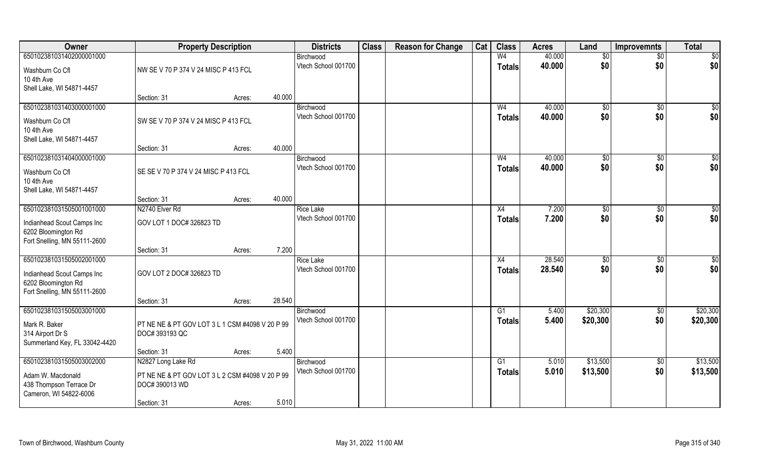| Owner                         | <b>Property Description</b>                     |        |        | <b>Districts</b>    | <b>Class</b> | <b>Reason for Change</b> | Cat | <b>Class</b>   | <b>Acres</b> | Land            | <b>Improvemnts</b> | <b>Total</b>    |
|-------------------------------|-------------------------------------------------|--------|--------|---------------------|--------------|--------------------------|-----|----------------|--------------|-----------------|--------------------|-----------------|
| 650102381031402000001000      |                                                 |        |        | Birchwood           |              |                          |     | W <sub>4</sub> | 40.000       | $\overline{50}$ | $\overline{50}$    | \$0             |
| Washburn Co Cfl               | NW SE V 70 P 374 V 24 MISC P 413 FCL            |        |        | Vtech School 001700 |              |                          |     | <b>Totals</b>  | 40.000       | \$0             | \$0                | \$0             |
| 10 4th Ave                    |                                                 |        |        |                     |              |                          |     |                |              |                 |                    |                 |
| Shell Lake, WI 54871-4457     |                                                 |        |        |                     |              |                          |     |                |              |                 |                    |                 |
|                               | Section: 31                                     | Acres: | 40.000 |                     |              |                          |     |                |              |                 |                    |                 |
| 650102381031403000001000      |                                                 |        |        | Birchwood           |              |                          |     | W <sub>4</sub> | 40.000       | $\sqrt[6]{}$    | $\sqrt{6}$         | \$0             |
| Washburn Co Cfl               | SW SE V 70 P 374 V 24 MISC P 413 FCL            |        |        | Vtech School 001700 |              |                          |     | <b>Totals</b>  | 40.000       | \$0             | \$0                | \$0             |
| 10 4th Ave                    |                                                 |        |        |                     |              |                          |     |                |              |                 |                    |                 |
| Shell Lake, WI 54871-4457     |                                                 |        |        |                     |              |                          |     |                |              |                 |                    |                 |
|                               | Section: 31                                     | Acres: | 40.000 |                     |              |                          |     |                |              |                 |                    |                 |
| 650102381031404000001000      |                                                 |        |        | Birchwood           |              |                          |     | W <sub>4</sub> | 40.000       | \$0             | \$0                | $\overline{50}$ |
| Washburn Co Cfl               | SE SE V 70 P 374 V 24 MISC P 413 FCL            |        |        | Vtech School 001700 |              |                          |     | <b>Totals</b>  | 40.000       | \$0             | \$0                | \$0             |
| 10 4th Ave                    |                                                 |        |        |                     |              |                          |     |                |              |                 |                    |                 |
| Shell Lake, WI 54871-4457     |                                                 |        |        |                     |              |                          |     |                |              |                 |                    |                 |
|                               | Section: 31                                     | Acres: | 40.000 |                     |              |                          |     |                |              |                 |                    |                 |
| 650102381031505001001000      | N2740 Elver Rd                                  |        |        | <b>Rice Lake</b>    |              |                          |     | X4             | 7.200        | $\frac{1}{20}$  | \$0                | \$0             |
| Indianhead Scout Camps Inc    | GOV LOT 1 DOC# 326823 TD                        |        |        | Vtech School 001700 |              |                          |     | <b>Totals</b>  | 7.200        | \$0             | \$0                | \$0             |
| 6202 Bloomington Rd           |                                                 |        |        |                     |              |                          |     |                |              |                 |                    |                 |
| Fort Snelling, MN 55111-2600  |                                                 |        |        |                     |              |                          |     |                |              |                 |                    |                 |
|                               | Section: 31                                     | Acres: | 7.200  |                     |              |                          |     |                |              |                 |                    |                 |
| 650102381031505002001000      |                                                 |        |        | <b>Rice Lake</b>    |              |                          |     | X4             | 28.540       | \$0             | $\sqrt[6]{30}$     | $\overline{50}$ |
| Indianhead Scout Camps Inc    | GOV LOT 2 DOC# 326823 TD                        |        |        | Vtech School 001700 |              |                          |     | <b>Totals</b>  | 28.540       | \$0             | \$0                | \$0             |
| 6202 Bloomington Rd           |                                                 |        |        |                     |              |                          |     |                |              |                 |                    |                 |
| Fort Snelling, MN 55111-2600  |                                                 |        |        |                     |              |                          |     |                |              |                 |                    |                 |
|                               | Section: 31                                     | Acres: | 28.540 |                     |              |                          |     |                |              |                 |                    |                 |
| 650102381031505003001000      |                                                 |        |        | Birchwood           |              |                          |     | G1             | 5.400        | \$20,300        | \$0                | \$20,300        |
| Mark R. Baker                 | PT NE NE & PT GOV LOT 3 L 1 CSM #4098 V 20 P 99 |        |        | Vtech School 001700 |              |                          |     | <b>Totals</b>  | 5.400        | \$20,300        | \$0                | \$20,300        |
| 314 Airport Dr S              | DOC# 393193 QC                                  |        |        |                     |              |                          |     |                |              |                 |                    |                 |
| Summerland Key, FL 33042-4420 |                                                 |        |        |                     |              |                          |     |                |              |                 |                    |                 |
|                               | Section: 31                                     | Acres: | 5.400  |                     |              |                          |     |                |              |                 |                    |                 |
| 650102381031505003002000      | N2827 Long Lake Rd                              |        |        | Birchwood           |              |                          |     | G1             | 5.010        | \$13,500        | \$0                | \$13,500        |
| Adam W. Macdonald             | PT NE NE & PT GOV LOT 3 L 2 CSM #4098 V 20 P 99 |        |        | Vtech School 001700 |              |                          |     | <b>Totals</b>  | 5.010        | \$13,500        | \$0                | \$13,500        |
| 438 Thompson Terrace Dr       | DOC# 390013 WD                                  |        |        |                     |              |                          |     |                |              |                 |                    |                 |
| Cameron, WI 54822-6006        |                                                 |        |        |                     |              |                          |     |                |              |                 |                    |                 |
|                               | Section: 31                                     | Acres: | 5.010  |                     |              |                          |     |                |              |                 |                    |                 |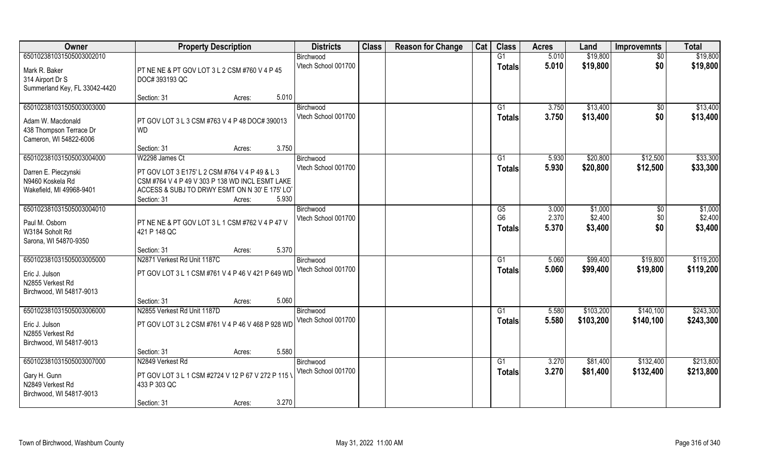| Owner                              | <b>Property Description</b>                        |                 | <b>Districts</b>    | <b>Class</b> | <b>Reason for Change</b> | Cat | <b>Class</b>    | <b>Acres</b> | Land      | <b>Improvemnts</b> | <b>Total</b> |
|------------------------------------|----------------------------------------------------|-----------------|---------------------|--------------|--------------------------|-----|-----------------|--------------|-----------|--------------------|--------------|
| 650102381031505003002010           |                                                    |                 | Birchwood           |              |                          |     | G1              | 5.010        | \$19,800  | \$0                | \$19,800     |
| Mark R. Baker                      | PT NE NE & PT GOV LOT 3 L 2 CSM #760 V 4 P 45      |                 | Vtech School 001700 |              |                          |     | <b>Totals</b>   | 5.010        | \$19,800  | \$0                | \$19,800     |
| 314 Airport Dr S                   | DOC# 393193 QC                                     |                 |                     |              |                          |     |                 |              |           |                    |              |
| Summerland Key, FL 33042-4420      |                                                    |                 |                     |              |                          |     |                 |              |           |                    |              |
|                                    | Section: 31                                        | 5.010<br>Acres: |                     |              |                          |     |                 |              |           |                    |              |
| 650102381031505003003000           |                                                    |                 | Birchwood           |              |                          |     | G1              | 3.750        | \$13,400  | \$0                | \$13,400     |
| Adam W. Macdonald                  | PT GOV LOT 3 L 3 CSM #763 V 4 P 48 DOC# 390013     |                 | Vtech School 001700 |              |                          |     | Totals          | 3.750        | \$13,400  | \$0                | \$13,400     |
| 438 Thompson Terrace Dr            | <b>WD</b>                                          |                 |                     |              |                          |     |                 |              |           |                    |              |
| Cameron, WI 54822-6006             |                                                    |                 |                     |              |                          |     |                 |              |           |                    |              |
|                                    | Section: 31                                        | 3.750<br>Acres: |                     |              |                          |     |                 |              |           |                    |              |
| 650102381031505003004000           | W2298 James Ct                                     |                 | Birchwood           |              |                          |     | G1              | 5.930        | \$20,800  | \$12,500           | \$33,300     |
| Darren E. Pieczynski               | PT GOV LOT 3 E175' L 2 CSM #764 V 4 P 49 & L 3     |                 | Vtech School 001700 |              |                          |     | <b>Totals</b>   | 5.930        | \$20,800  | \$12,500           | \$33,300     |
| N9460 Koskela Rd                   | CSM #764 V 4 P 49 V 303 P 138 WD INCL ESMT LAKE    |                 |                     |              |                          |     |                 |              |           |                    |              |
| Wakefield, MI 49968-9401           | ACCESS & SUBJ TO DRWY ESMT ON N 30' E 175' LOT     |                 |                     |              |                          |     |                 |              |           |                    |              |
|                                    | Section: 31                                        | 5.930<br>Acres: |                     |              |                          |     |                 |              |           |                    |              |
| 650102381031505003004010           |                                                    |                 | Birchwood           |              |                          |     | G5              | 3.000        | \$1,000   | \$0                | \$1,000      |
| Paul M. Osborn                     | PT NE NE & PT GOV LOT 3 L 1 CSM #762 V 4 P 47 V    |                 | Vtech School 001700 |              |                          |     | G <sub>6</sub>  | 2.370        | \$2,400   | \$0                | \$2,400      |
| W3184 Soholt Rd                    | 421 P 148 QC                                       |                 |                     |              |                          |     | <b>Totals</b>   | 5.370        | \$3,400   | \$0                | \$3,400      |
| Sarona, WI 54870-9350              |                                                    |                 |                     |              |                          |     |                 |              |           |                    |              |
|                                    | Section: 31                                        | 5.370<br>Acres: |                     |              |                          |     |                 |              |           |                    |              |
| 650102381031505003005000           | N2871 Verkest Rd Unit 1187C                        |                 | Birchwood           |              |                          |     | G1              | 5.060        | \$99,400  | \$19,800           | \$119,200    |
|                                    | PT GOV LOT 3 L 1 CSM #761 V 4 P 46 V 421 P 649 WD  |                 | Vtech School 001700 |              |                          |     | <b>Totals</b>   | 5.060        | \$99,400  | \$19,800           | \$119,200    |
| Eric J. Julson<br>N2855 Verkest Rd |                                                    |                 |                     |              |                          |     |                 |              |           |                    |              |
| Birchwood, WI 54817-9013           |                                                    |                 |                     |              |                          |     |                 |              |           |                    |              |
|                                    | Section: 31                                        | 5.060<br>Acres: |                     |              |                          |     |                 |              |           |                    |              |
| 650102381031505003006000           | N2855 Verkest Rd Unit 1187D                        |                 | Birchwood           |              |                          |     | $\overline{G1}$ | 5.580        | \$103,200 | \$140,100          | \$243,300    |
| Eric J. Julson                     | PT GOV LOT 3 L 2 CSM #761 V 4 P 46 V 468 P 928 WD  |                 | Vtech School 001700 |              |                          |     | <b>Totals</b>   | 5.580        | \$103,200 | \$140,100          | \$243,300    |
| N2855 Verkest Rd                   |                                                    |                 |                     |              |                          |     |                 |              |           |                    |              |
| Birchwood, WI 54817-9013           |                                                    |                 |                     |              |                          |     |                 |              |           |                    |              |
|                                    | Section: 31                                        | 5.580<br>Acres: |                     |              |                          |     |                 |              |           |                    |              |
| 650102381031505003007000           | N2849 Verkest Rd                                   |                 | Birchwood           |              |                          |     | G1              | 3.270        | \$81,400  | \$132,400          | \$213,800    |
|                                    | PT GOV LOT 3 L 1 CSM #2724 V 12 P 67 V 272 P 115 V |                 | Vtech School 001700 |              |                          |     | <b>Totals</b>   | 3.270        | \$81,400  | \$132,400          | \$213,800    |
| Gary H. Gunn<br>N2849 Verkest Rd   | 433 P 303 QC                                       |                 |                     |              |                          |     |                 |              |           |                    |              |
| Birchwood, WI 54817-9013           |                                                    |                 |                     |              |                          |     |                 |              |           |                    |              |
|                                    | Section: 31                                        | 3.270<br>Acres: |                     |              |                          |     |                 |              |           |                    |              |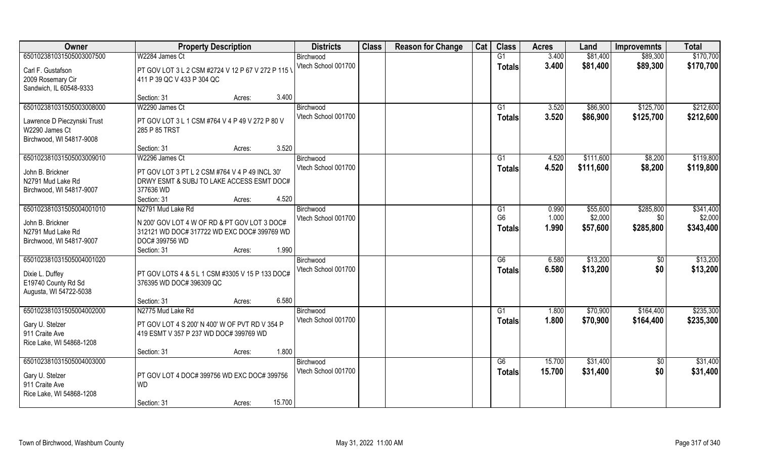| Owner                                 | <b>Property Description</b>                                                                 | <b>Districts</b>                 | <b>Class</b> | <b>Reason for Change</b> | Cat | <b>Class</b>    | <b>Acres</b>   | Land                 | <b>Improvemnts</b>     | <b>Total</b>           |
|---------------------------------------|---------------------------------------------------------------------------------------------|----------------------------------|--------------|--------------------------|-----|-----------------|----------------|----------------------|------------------------|------------------------|
| 650102381031505003007500              | W2284 James Ct                                                                              | Birchwood                        |              |                          |     | G1              | 3.400          | \$81,400             | \$89,300               | \$170,700              |
| Carl F. Gustafson                     | PT GOV LOT 3 L 2 CSM #2724 V 12 P 67 V 272 P 115 \                                          | Vtech School 001700              |              |                          |     | <b>Totals</b>   | 3.400          | \$81,400             | \$89,300               | \$170,700              |
| 2009 Rosemary Cir                     | 411 P 39 QC V 433 P 304 QC                                                                  |                                  |              |                          |     |                 |                |                      |                        |                        |
| Sandwich, IL 60548-9333               | 3.400                                                                                       |                                  |              |                          |     |                 |                |                      |                        |                        |
| 650102381031505003008000              | Section: 31<br>Acres:<br>W2290 James Ct                                                     | Birchwood                        |              |                          |     | G1              | 3.520          | \$86,900             | \$125,700              | \$212,600              |
|                                       |                                                                                             | Vtech School 001700              |              |                          |     | <b>Totals</b>   | 3.520          | \$86,900             | \$125,700              | \$212,600              |
| Lawrence D Pieczynski Trust           | PT GOV LOT 3 L 1 CSM #764 V 4 P 49 V 272 P 80 V                                             |                                  |              |                          |     |                 |                |                      |                        |                        |
| W2290 James Ct                        | 285 P 85 TRST                                                                               |                                  |              |                          |     |                 |                |                      |                        |                        |
| Birchwood, WI 54817-9008              | 3.520<br>Section: 31<br>Acres:                                                              |                                  |              |                          |     |                 |                |                      |                        |                        |
| 650102381031505003009010              | W2296 James Ct                                                                              | Birchwood                        |              |                          |     | G1              | 4.520          | \$111,600            | \$8,200                | \$119,800              |
|                                       |                                                                                             | Vtech School 001700              |              |                          |     | <b>Totals</b>   | 4.520          | \$111,600            | \$8,200                | \$119,800              |
| John B. Brickner<br>N2791 Mud Lake Rd | PT GOV LOT 3 PT L 2 CSM #764 V 4 P 49 INCL 30'<br>DRWY ESMT & SUBJ TO LAKE ACCESS ESMT DOC# |                                  |              |                          |     |                 |                |                      |                        |                        |
| Birchwood, WI 54817-9007              | 377636 WD                                                                                   |                                  |              |                          |     |                 |                |                      |                        |                        |
|                                       | 4.520<br>Section: 31<br>Acres:                                                              |                                  |              |                          |     |                 |                |                      |                        |                        |
| 650102381031505004001010              | N2791 Mud Lake Rd                                                                           | Birchwood                        |              |                          |     | G1              | 0.990          | \$55,600             | \$285,800              | \$341,400              |
| John B. Brickner                      | N 200' GOV LOT 4 W OF RD & PT GOV LOT 3 DOC#                                                | Vtech School 001700              |              |                          |     | G <sub>6</sub>  | 1.000          | \$2,000              | \$0                    | \$2,000                |
| N2791 Mud Lake Rd                     | 312121 WD DOC# 317722 WD EXC DOC# 399769 WD                                                 |                                  |              |                          |     | <b>Totals</b>   | 1.990          | \$57,600             | \$285,800              | \$343,400              |
| Birchwood, WI 54817-9007              | DOC# 399756 WD                                                                              |                                  |              |                          |     |                 |                |                      |                        |                        |
|                                       | 1.990<br>Section: 31<br>Acres:                                                              |                                  |              |                          |     |                 |                |                      |                        |                        |
| 650102381031505004001020              |                                                                                             | Birchwood                        |              |                          |     | $\overline{G6}$ | 6.580          | \$13,200             | \$0                    | \$13,200               |
| Dixie L. Duffey                       | PT GOV LOTS 4 & 5 L 1 CSM #3305 V 15 P 133 DOC#                                             | Vtech School 001700              |              |                          |     | <b>Totals</b>   | 6.580          | \$13,200             | \$0                    | \$13,200               |
| E19740 County Rd Sd                   | 376395 WD DOC# 396309 QC                                                                    |                                  |              |                          |     |                 |                |                      |                        |                        |
| Augusta, WI 54722-5038                |                                                                                             |                                  |              |                          |     |                 |                |                      |                        |                        |
|                                       | 6.580<br>Section: 31<br>Acres:                                                              |                                  |              |                          |     |                 |                |                      |                        |                        |
| 650102381031505004002000              | N2775 Mud Lake Rd                                                                           | Birchwood<br>Vtech School 001700 |              |                          |     | G1              | 1.800<br>1.800 | \$70,900<br>\$70,900 | \$164,400<br>\$164,400 | \$235,300<br>\$235,300 |
| Gary U. Stelzer                       | PT GOV LOT 4 S 200' N 400' W OF PVT RD V 354 P                                              |                                  |              |                          |     | <b>Totals</b>   |                |                      |                        |                        |
| 911 Craite Ave                        | 419 ESMT V 357 P 237 WD DOC# 399769 WD                                                      |                                  |              |                          |     |                 |                |                      |                        |                        |
| Rice Lake, WI 54868-1208              | 1.800<br>Section: 31<br>Acres:                                                              |                                  |              |                          |     |                 |                |                      |                        |                        |
| 650102381031505004003000              |                                                                                             | Birchwood                        |              |                          |     | G6              | 15.700         | \$31,400             | $\overline{50}$        | \$31,400               |
|                                       |                                                                                             | Vtech School 001700              |              |                          |     | <b>Totals</b>   | 15.700         | \$31,400             | \$0                    | \$31,400               |
| Gary U. Stelzer<br>911 Craite Ave     | PT GOV LOT 4 DOC# 399756 WD EXC DOC# 399756<br><b>WD</b>                                    |                                  |              |                          |     |                 |                |                      |                        |                        |
| Rice Lake, WI 54868-1208              |                                                                                             |                                  |              |                          |     |                 |                |                      |                        |                        |
|                                       | 15.700<br>Section: 31<br>Acres:                                                             |                                  |              |                          |     |                 |                |                      |                        |                        |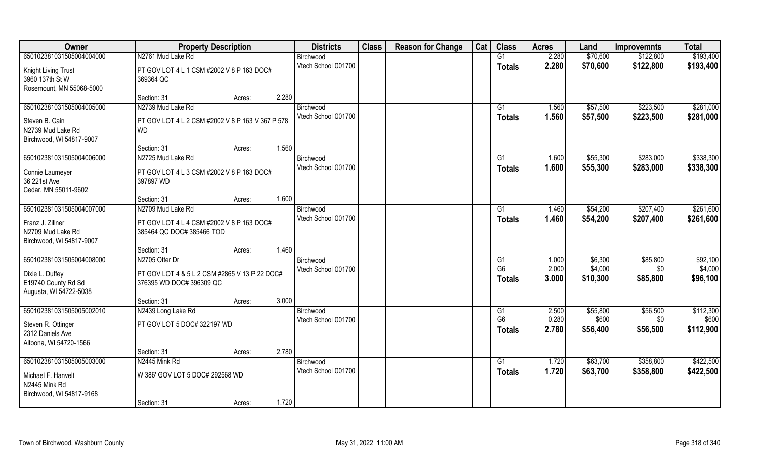| Owner                                         | <b>Property Description</b>                                               |                 | <b>Districts</b>    | <b>Class</b> | <b>Reason for Change</b> | Cat | <b>Class</b>    | <b>Acres</b> | Land     | <b>Improvemnts</b> | <b>Total</b> |
|-----------------------------------------------|---------------------------------------------------------------------------|-----------------|---------------------|--------------|--------------------------|-----|-----------------|--------------|----------|--------------------|--------------|
| 650102381031505004004000                      | N2761 Mud Lake Rd                                                         |                 | Birchwood           |              |                          |     | G1              | 2.280        | \$70,600 | \$122,800          | \$193,400    |
| Knight Living Trust<br>3960 137th St W        | PT GOV LOT 4 L 1 CSM #2002 V 8 P 163 DOC#<br>369364 QC                    |                 | Vtech School 001700 |              |                          |     | <b>Totals</b>   | 2.280        | \$70,600 | \$122,800          | \$193,400    |
| Rosemount, MN 55068-5000                      |                                                                           |                 |                     |              |                          |     |                 |              |          |                    |              |
|                                               | Section: 31                                                               | 2.280<br>Acres: |                     |              |                          |     |                 |              |          |                    |              |
| 650102381031505004005000                      | N2739 Mud Lake Rd                                                         |                 | Birchwood           |              |                          |     | G1              | 1.560        | \$57,500 | \$223,500          | \$281,000    |
| Steven B. Cain                                | PT GOV LOT 4 L 2 CSM #2002 V 8 P 163 V 367 P 578                          |                 | Vtech School 001700 |              |                          |     | <b>Totals</b>   | 1.560        | \$57,500 | \$223,500          | \$281,000    |
| N2739 Mud Lake Rd                             | <b>WD</b>                                                                 |                 |                     |              |                          |     |                 |              |          |                    |              |
| Birchwood, WI 54817-9007                      |                                                                           |                 |                     |              |                          |     |                 |              |          |                    |              |
|                                               | Section: 31                                                               | 1.560<br>Acres: |                     |              |                          |     |                 |              |          |                    |              |
| 650102381031505004006000                      | N2725 Mud Lake Rd                                                         |                 | Birchwood           |              |                          |     | G1              | 1.600        | \$55,300 | \$283,000          | \$338,300    |
| Connie Laumeyer                               | PT GOV LOT 4 L 3 CSM #2002 V 8 P 163 DOC#                                 |                 | Vtech School 001700 |              |                          |     | <b>Totals</b>   | 1.600        | \$55,300 | \$283,000          | \$338,300    |
| 36 221st Ave                                  | 397897 WD                                                                 |                 |                     |              |                          |     |                 |              |          |                    |              |
| Cedar, MN 55011-9602                          |                                                                           |                 |                     |              |                          |     |                 |              |          |                    |              |
|                                               | Section: 31                                                               | 1.600<br>Acres: |                     |              |                          |     |                 |              |          |                    |              |
| 650102381031505004007000                      | N2709 Mud Lake Rd                                                         |                 | Birchwood           |              |                          |     | G1              | 1.460        | \$54,200 | \$207,400          | \$261,600    |
| Franz J. Zillner                              | PT GOV LOT 4 L 4 CSM #2002 V 8 P 163 DOC#                                 |                 | Vtech School 001700 |              |                          |     | <b>Totals</b>   | 1.460        | \$54,200 | \$207,400          | \$261,600    |
| N2709 Mud Lake Rd<br>Birchwood, WI 54817-9007 | 385464 QC DOC# 385466 TOD                                                 |                 |                     |              |                          |     |                 |              |          |                    |              |
|                                               | Section: 31                                                               | 1.460<br>Acres: |                     |              |                          |     |                 |              |          |                    |              |
| 650102381031505004008000                      | N2705 Otter Dr                                                            |                 | Birchwood           |              |                          |     | G1              | 1.000        | \$6,300  | \$85,800           | \$92,100     |
|                                               |                                                                           |                 | Vtech School 001700 |              |                          |     | G <sub>6</sub>  | 2.000        | \$4,000  | \$0                | \$4,000      |
| Dixie L. Duffey<br>E19740 County Rd Sd        | PT GOV LOT 4 & 5 L 2 CSM #2865 V 13 P 22 DOC#<br>376395 WD DOC# 396309 QC |                 |                     |              |                          |     | Totals          | 3.000        | \$10,300 | \$85,800           | \$96,100     |
| Augusta, WI 54722-5038                        |                                                                           |                 |                     |              |                          |     |                 |              |          |                    |              |
|                                               | Section: 31                                                               | 3.000<br>Acres: |                     |              |                          |     |                 |              |          |                    |              |
| 650102381031505005002010                      | N2439 Long Lake Rd                                                        |                 | Birchwood           |              |                          |     | G1              | 2.500        | \$55,800 | \$56,500           | \$112,300    |
|                                               |                                                                           |                 | Vtech School 001700 |              |                          |     | G <sub>6</sub>  | 0.280        | \$600    | \$0                | \$600        |
| Steven R. Ottinger<br>2312 Daniels Ave        | PT GOV LOT 5 DOC# 322197 WD                                               |                 |                     |              |                          |     | <b>Totals</b>   | 2.780        | \$56,400 | \$56,500           | \$112,900    |
| Altoona, WI 54720-1566                        |                                                                           |                 |                     |              |                          |     |                 |              |          |                    |              |
|                                               | Section: 31                                                               | 2.780<br>Acres: |                     |              |                          |     |                 |              |          |                    |              |
| 650102381031505005003000                      | N2445 Mink Rd                                                             |                 | Birchwood           |              |                          |     | $\overline{G1}$ | 1.720        | \$63,700 | \$358,800          | \$422,500    |
|                                               |                                                                           |                 | Vtech School 001700 |              |                          |     | <b>Totals</b>   | 1.720        | \$63,700 | \$358,800          | \$422,500    |
| Michael F. Hanvelt<br>N2445 Mink Rd           | W 386' GOV LOT 5 DOC# 292568 WD                                           |                 |                     |              |                          |     |                 |              |          |                    |              |
| Birchwood, WI 54817-9168                      |                                                                           |                 |                     |              |                          |     |                 |              |          |                    |              |
|                                               | Section: 31                                                               | 1.720<br>Acres: |                     |              |                          |     |                 |              |          |                    |              |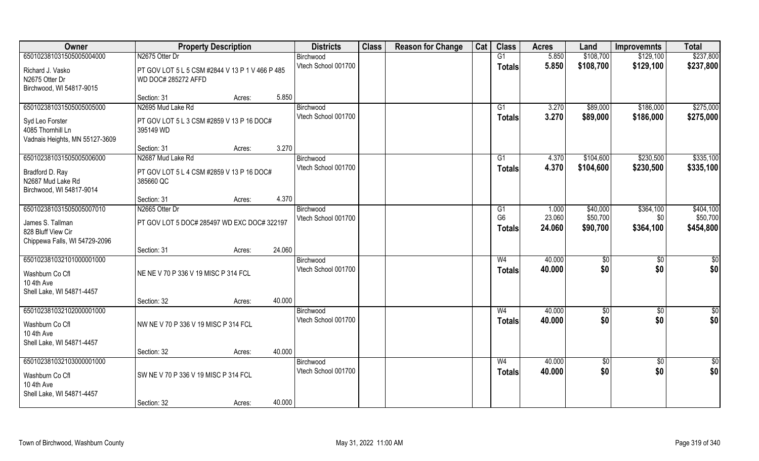| Owner                          | <b>Property Description</b>                     |        |        | <b>Districts</b>                 | <b>Class</b> | <b>Reason for Change</b> | Cat | <b>Class</b>   | <b>Acres</b> | Land            | <b>Improvemnts</b> | <b>Total</b>    |
|--------------------------------|-------------------------------------------------|--------|--------|----------------------------------|--------------|--------------------------|-----|----------------|--------------|-----------------|--------------------|-----------------|
| 650102381031505005004000       | N2675 Otter Dr                                  |        |        | Birchwood                        |              |                          |     | G1             | 5.850        | \$108,700       | \$129,100          | \$237,800       |
| Richard J. Vasko               | PT GOV LOT 5 L 5 CSM #2844 V 13 P 1 V 466 P 485 |        |        | Vtech School 001700              |              |                          |     | <b>Totals</b>  | 5.850        | \$108,700       | \$129,100          | \$237,800       |
| N2675 Otter Dr                 | WD DOC# 285272 AFFD                             |        |        |                                  |              |                          |     |                |              |                 |                    |                 |
| Birchwood, WI 54817-9015       |                                                 |        |        |                                  |              |                          |     |                |              |                 |                    |                 |
|                                | Section: 31                                     | Acres: | 5.850  |                                  |              |                          |     |                |              |                 |                    |                 |
| 650102381031505005005000       | N2695 Mud Lake Rd                               |        |        | Birchwood                        |              |                          |     | G1             | 3.270        | \$89,000        | \$186,000          | \$275,000       |
| Syd Leo Forster                | PT GOV LOT 5 L 3 CSM #2859 V 13 P 16 DOC#       |        |        | Vtech School 001700              |              |                          |     | <b>Totals</b>  | 3.270        | \$89,000        | \$186,000          | \$275,000       |
| 4085 Thornhill Ln              | 395149 WD                                       |        |        |                                  |              |                          |     |                |              |                 |                    |                 |
| Vadnais Heights, MN 55127-3609 |                                                 |        |        |                                  |              |                          |     |                |              |                 |                    |                 |
|                                | Section: 31                                     | Acres: | 3.270  |                                  |              |                          |     |                |              |                 |                    |                 |
| 650102381031505005006000       | N2687 Mud Lake Rd                               |        |        | Birchwood<br>Vtech School 001700 |              |                          |     | G1             | 4.370        | \$104,600       | \$230,500          | \$335,100       |
| Bradford D. Ray                | PT GOV LOT 5 L 4 CSM #2859 V 13 P 16 DOC#       |        |        |                                  |              |                          |     | <b>Totals</b>  | 4.370        | \$104,600       | \$230,500          | \$335,100       |
| N2687 Mud Lake Rd              | 385660 QC                                       |        |        |                                  |              |                          |     |                |              |                 |                    |                 |
| Birchwood, WI 54817-9014       |                                                 |        | 4.370  |                                  |              |                          |     |                |              |                 |                    |                 |
| 650102381031505005007010       | Section: 31<br>N2665 Otter Dr                   | Acres: |        | Birchwood                        |              |                          |     | G1             | 1.000        | \$40,000        | \$364,100          | \$404,100       |
|                                |                                                 |        |        | Vtech School 001700              |              |                          |     | G <sub>6</sub> | 23.060       | \$50,700        | \$0                | \$50,700        |
| James S. Tallman               | PT GOV LOT 5 DOC# 285497 WD EXC DOC# 322197     |        |        |                                  |              |                          |     | <b>Totals</b>  | 24.060       | \$90,700        | \$364,100          | \$454,800       |
| 828 Bluff View Cir             |                                                 |        |        |                                  |              |                          |     |                |              |                 |                    |                 |
| Chippewa Falls, WI 54729-2096  | Section: 31                                     | Acres: | 24.060 |                                  |              |                          |     |                |              |                 |                    |                 |
| 650102381032101000001000       |                                                 |        |        | Birchwood                        |              |                          |     | W <sub>4</sub> | 40.000       | \$0             | $\sqrt[6]{30}$     | \$0             |
|                                |                                                 |        |        | Vtech School 001700              |              |                          |     | <b>Totals</b>  | 40.000       | \$0             | \$0                | \$0             |
| Washburn Co Cfl<br>10 4th Ave  | NE NE V 70 P 336 V 19 MISC P 314 FCL            |        |        |                                  |              |                          |     |                |              |                 |                    |                 |
| Shell Lake, WI 54871-4457      |                                                 |        |        |                                  |              |                          |     |                |              |                 |                    |                 |
|                                | Section: 32                                     | Acres: | 40.000 |                                  |              |                          |     |                |              |                 |                    |                 |
| 650102381032102000001000       |                                                 |        |        | Birchwood                        |              |                          |     | W <sub>4</sub> | 40.000       | \$0             | \$0                | \$0             |
| Washburn Co Cfl                | NW NE V 70 P 336 V 19 MISC P 314 FCL            |        |        | Vtech School 001700              |              |                          |     | <b>Totals</b>  | 40.000       | \$0             | \$0                | \$0             |
| 10 4th Ave                     |                                                 |        |        |                                  |              |                          |     |                |              |                 |                    |                 |
| Shell Lake, WI 54871-4457      |                                                 |        |        |                                  |              |                          |     |                |              |                 |                    |                 |
|                                | Section: 32                                     | Acres: | 40.000 |                                  |              |                          |     |                |              |                 |                    |                 |
| 650102381032103000001000       |                                                 |        |        | Birchwood                        |              |                          |     | W <sub>4</sub> | 40.000       | $\overline{50}$ | $\overline{50}$    | $\overline{50}$ |
| Washburn Co Cfl                | SW NE V 70 P 336 V 19 MISC P 314 FCL            |        |        | Vtech School 001700              |              |                          |     | <b>Totals</b>  | 40.000       | \$0             | \$0                | \$0             |
| 10 4th Ave                     |                                                 |        |        |                                  |              |                          |     |                |              |                 |                    |                 |
| Shell Lake, WI 54871-4457      |                                                 |        |        |                                  |              |                          |     |                |              |                 |                    |                 |
|                                | Section: 32                                     | Acres: | 40.000 |                                  |              |                          |     |                |              |                 |                    |                 |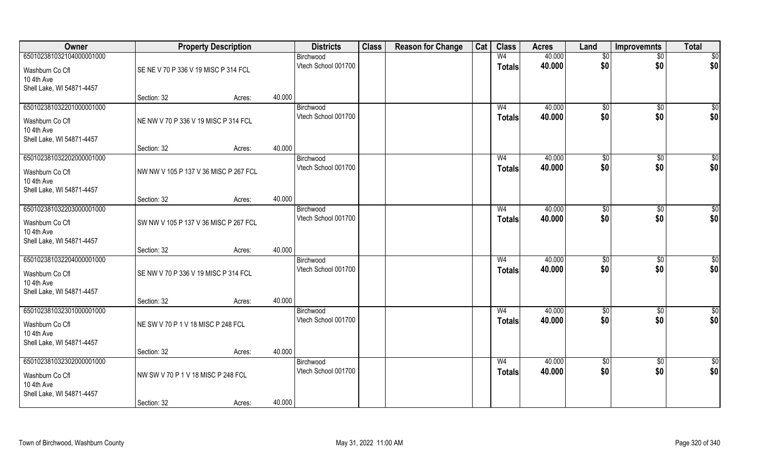| Owner                                       |                                       | <b>Property Description</b> |        | <b>Districts</b>                 | <b>Class</b> | <b>Reason for Change</b> | Cat | <b>Class</b>                    | <b>Acres</b>     | Land              | <b>Improvemnts</b> | <b>Total</b>    |
|---------------------------------------------|---------------------------------------|-----------------------------|--------|----------------------------------|--------------|--------------------------|-----|---------------------------------|------------------|-------------------|--------------------|-----------------|
| 650102381032104000001000<br>Washburn Co Cfl | SE NE V 70 P 336 V 19 MISC P 314 FCL  |                             |        | Birchwood<br>Vtech School 001700 |              |                          |     | W <sub>4</sub><br><b>Totals</b> | 40.000<br>40.000 | $\sqrt{6}$<br>\$0 | $\sqrt{$0}$<br>\$0 | \$0<br>\$0      |
| 10 4th Ave<br>Shell Lake, WI 54871-4457     |                                       |                             |        |                                  |              |                          |     |                                 |                  |                   |                    |                 |
|                                             | Section: 32                           | Acres:                      | 40.000 |                                  |              |                          |     |                                 |                  |                   |                    |                 |
| 650102381032201000001000                    |                                       |                             |        | Birchwood                        |              |                          |     | W <sub>4</sub>                  | 40.000           | $\sqrt{50}$       | \$0                | $\overline{50}$ |
| Washburn Co Cfl<br>10 4th Ave               | NE NW V 70 P 336 V 19 MISC P 314 FCL  |                             |        | Vtech School 001700              |              |                          |     | <b>Totals</b>                   | 40.000           | \$0               | \$0                | \$0             |
| Shell Lake, WI 54871-4457                   |                                       |                             |        |                                  |              |                          |     |                                 |                  |                   |                    |                 |
| 650102381032202000001000                    | Section: 32                           | Acres:                      | 40.000 | Birchwood                        |              |                          |     | W <sub>4</sub>                  | 40.000           | \$0               | $\overline{50}$    | $\sqrt{50}$     |
|                                             |                                       |                             |        | Vtech School 001700              |              |                          |     | <b>Totals</b>                   | 40.000           | \$0               | \$0                | \$0             |
| Washburn Co Cfl                             | NW NW V 105 P 137 V 36 MISC P 267 FCL |                             |        |                                  |              |                          |     |                                 |                  |                   |                    |                 |
| 10 4th Ave<br>Shell Lake, WI 54871-4457     |                                       |                             |        |                                  |              |                          |     |                                 |                  |                   |                    |                 |
|                                             | Section: 32                           | Acres:                      | 40.000 |                                  |              |                          |     |                                 |                  |                   |                    |                 |
| 650102381032203000001000                    |                                       |                             |        | Birchwood                        |              |                          |     | W <sub>4</sub>                  | 40.000           | \$0               | $\sqrt[6]{3}$      | $\sqrt{50}$     |
| Washburn Co Cfl                             | SW NW V 105 P 137 V 36 MISC P 267 FCL |                             |        | Vtech School 001700              |              |                          |     | <b>Totals</b>                   | 40.000           | \$0               | \$0                | \$0             |
| 10 4th Ave<br>Shell Lake, WI 54871-4457     |                                       |                             |        |                                  |              |                          |     |                                 |                  |                   |                    |                 |
|                                             | Section: 32                           | Acres:                      | 40.000 |                                  |              |                          |     |                                 |                  |                   |                    |                 |
| 650102381032204000001000                    |                                       |                             |        | Birchwood                        |              |                          |     | W <sub>4</sub>                  | 40.000           | \$0               | \$0                | $\sqrt{50}$     |
| Washburn Co Cfl                             | SE NW V 70 P 336 V 19 MISC P 314 FCL  |                             |        | Vtech School 001700              |              |                          |     | <b>Totals</b>                   | 40.000           | \$0               | \$0                | \$0             |
| 10 4th Ave                                  |                                       |                             |        |                                  |              |                          |     |                                 |                  |                   |                    |                 |
| Shell Lake, WI 54871-4457                   |                                       |                             |        |                                  |              |                          |     |                                 |                  |                   |                    |                 |
|                                             | Section: 32                           | Acres:                      | 40.000 |                                  |              |                          |     |                                 |                  |                   |                    |                 |
| 650102381032301000001000                    |                                       |                             |        | Birchwood                        |              |                          |     | W <sub>4</sub>                  | 40.000           | \$0               | $\sqrt{$0}$        | \$0             |
| Washburn Co Cfl                             | NE SW V 70 P 1 V 18 MISC P 248 FCL    |                             |        | Vtech School 001700              |              |                          |     | <b>Totals</b>                   | 40.000           | \$0               | \$0                | \$0             |
| 10 4th Ave                                  |                                       |                             |        |                                  |              |                          |     |                                 |                  |                   |                    |                 |
| Shell Lake, WI 54871-4457                   |                                       |                             |        |                                  |              |                          |     |                                 |                  |                   |                    |                 |
|                                             | Section: 32                           | Acres:                      | 40.000 |                                  |              |                          |     |                                 |                  |                   |                    |                 |
| 650102381032302000001000                    |                                       |                             |        | Birchwood<br>Vtech School 001700 |              |                          |     | W <sub>4</sub>                  | 40.000           | $\sqrt{6}$        | $\sqrt{$0}$        | \$0             |
| Washburn Co Cfl                             | NW SW V 70 P 1 V 18 MISC P 248 FCL    |                             |        |                                  |              |                          |     | <b>Totals</b>                   | 40.000           | \$0               | \$0                | \$0             |
| 10 4th Ave                                  |                                       |                             |        |                                  |              |                          |     |                                 |                  |                   |                    |                 |
| Shell Lake, WI 54871-4457                   | Section: 32                           | Acres:                      | 40.000 |                                  |              |                          |     |                                 |                  |                   |                    |                 |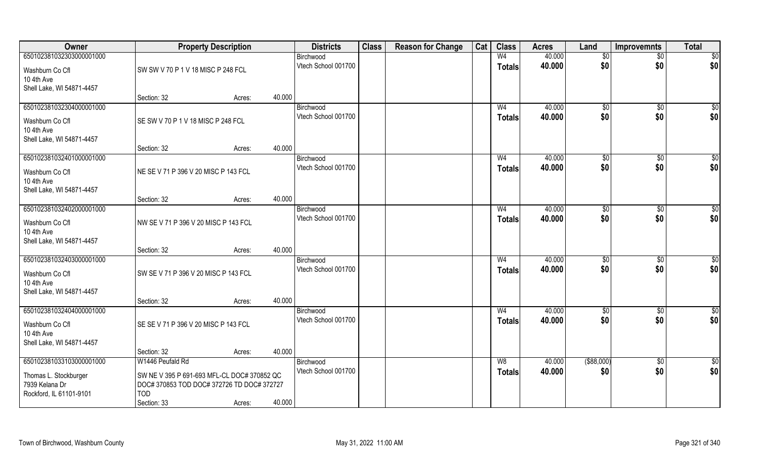| Owner                                   | <b>Property Description</b>                 |        | <b>Districts</b>                 | <b>Class</b> | <b>Reason for Change</b> | Cat | <b>Class</b>   | <b>Acres</b> | Land            | <b>Improvemnts</b> | <b>Total</b>     |
|-----------------------------------------|---------------------------------------------|--------|----------------------------------|--------------|--------------------------|-----|----------------|--------------|-----------------|--------------------|------------------|
| 650102381032303000001000                |                                             |        | Birchwood                        |              |                          |     | W <sub>4</sub> | 40.000       | $\overline{50}$ | $\overline{50}$    | \$0              |
| Washburn Co Cfl                         | SW SW V 70 P 1 V 18 MISC P 248 FCL          |        | Vtech School 001700              |              |                          |     | <b>Totals</b>  | 40.000       | \$0             | \$0                | \$0              |
| 10 4th Ave                              |                                             |        |                                  |              |                          |     |                |              |                 |                    |                  |
| Shell Lake, WI 54871-4457               |                                             |        |                                  |              |                          |     |                |              |                 |                    |                  |
|                                         | Section: 32                                 | Acres: | 40.000                           |              |                          |     |                |              |                 |                    |                  |
| 650102381032304000001000                |                                             |        | Birchwood<br>Vtech School 001700 |              |                          |     | W <sub>4</sub> | 40.000       | $\sqrt[6]{}$    | $\sqrt{$0}$        | \$0              |
| Washburn Co Cfl                         | SE SW V 70 P 1 V 18 MISC P 248 FCL          |        |                                  |              |                          |     | Totals         | 40.000       | \$0             | \$0                | \$0              |
| 10 4th Ave                              |                                             |        |                                  |              |                          |     |                |              |                 |                    |                  |
| Shell Lake, WI 54871-4457               | Section: 32                                 |        | 40.000                           |              |                          |     |                |              |                 |                    |                  |
| 650102381032401000001000                |                                             | Acres: | Birchwood                        |              |                          |     | W <sub>4</sub> | 40.000       | \$0             | $\sqrt[6]{30}$     | \$0              |
|                                         |                                             |        | Vtech School 001700              |              |                          |     | <b>Totals</b>  | 40.000       | \$0             | \$0                | \$0              |
| Washburn Co Cfl                         | NE SE V 71 P 396 V 20 MISC P 143 FCL        |        |                                  |              |                          |     |                |              |                 |                    |                  |
| 10 4th Ave<br>Shell Lake, WI 54871-4457 |                                             |        |                                  |              |                          |     |                |              |                 |                    |                  |
|                                         | Section: 32                                 | Acres: | 40.000                           |              |                          |     |                |              |                 |                    |                  |
| 650102381032402000001000                |                                             |        | Birchwood                        |              |                          |     | W <sub>4</sub> | 40.000       | \$0             | \$0                | \$               |
| Washburn Co Cfl                         | NW SE V 71 P 396 V 20 MISC P 143 FCL        |        | Vtech School 001700              |              |                          |     | <b>Totals</b>  | 40.000       | \$0             | \$0                | \$0              |
| 10 4th Ave                              |                                             |        |                                  |              |                          |     |                |              |                 |                    |                  |
| Shell Lake, WI 54871-4457               |                                             |        |                                  |              |                          |     |                |              |                 |                    |                  |
|                                         | Section: 32                                 | Acres: | 40.000                           |              |                          |     |                |              |                 |                    |                  |
| 650102381032403000001000                |                                             |        | Birchwood                        |              |                          |     | W <sub>4</sub> | 40.000       | \$0             | $\overline{60}$    | $\overline{50}$  |
| Washburn Co Cfl                         | SW SE V 71 P 396 V 20 MISC P 143 FCL        |        | Vtech School 001700              |              |                          |     | <b>Totals</b>  | 40.000       | \$0             | \$0                | \$0              |
| 10 4th Ave                              |                                             |        |                                  |              |                          |     |                |              |                 |                    |                  |
| Shell Lake, WI 54871-4457               |                                             |        |                                  |              |                          |     |                |              |                 |                    |                  |
| 650102381032404000001000                | Section: 32                                 | Acres: | 40.000                           |              |                          |     | W <sub>4</sub> | 40.000       | $\sqrt{6}$      |                    | \$0              |
|                                         |                                             |        | Birchwood<br>Vtech School 001700 |              |                          |     | <b>Totals</b>  | 40.000       | \$0             | \$0<br>\$0         | \$0              |
| Washburn Co Cfl                         | SE SE V 71 P 396 V 20 MISC P 143 FCL        |        |                                  |              |                          |     |                |              |                 |                    |                  |
| 10 4th Ave<br>Shell Lake, WI 54871-4457 |                                             |        |                                  |              |                          |     |                |              |                 |                    |                  |
|                                         | Section: 32                                 | Acres: | 40.000                           |              |                          |     |                |              |                 |                    |                  |
| 650102381033103000001000                | W1446 Peufald Rd                            |        | Birchwood                        |              |                          |     | W8             | 40.000       | $($ \$88,000)   | $\sqrt{$0}$        | $\overline{\$0}$ |
| Thomas L. Stockburger                   | SW NE V 395 P 691-693 MFL-CL DOC# 370852 QC |        | Vtech School 001700              |              |                          |     | <b>Totals</b>  | 40.000       | \$0             | \$0                | \$0              |
| 7939 Kelana Dr                          | DOC# 370853 TOD DOC# 372726 TD DOC# 372727  |        |                                  |              |                          |     |                |              |                 |                    |                  |
| Rockford, IL 61101-9101                 | <b>TOD</b>                                  |        |                                  |              |                          |     |                |              |                 |                    |                  |
|                                         | Section: 33                                 | Acres: | 40.000                           |              |                          |     |                |              |                 |                    |                  |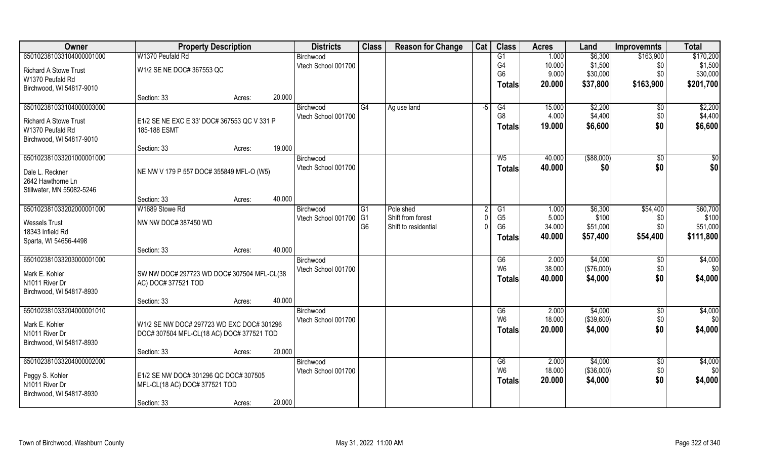| Owner                        | <b>Property Description</b>                 |        |        | <b>Districts</b>    | <b>Class</b>   | <b>Reason for Change</b> | Cat | <b>Class</b>   | <b>Acres</b> | Land        | <b>Improvemnts</b> | <b>Total</b> |
|------------------------------|---------------------------------------------|--------|--------|---------------------|----------------|--------------------------|-----|----------------|--------------|-------------|--------------------|--------------|
| 650102381033104000001000     | W1370 Peufald Rd                            |        |        | Birchwood           |                |                          |     | G1             | 1.000        | \$6,300     | \$163,900          | \$170,200    |
| <b>Richard A Stowe Trust</b> | W1/2 SE NE DOC# 367553 QC                   |        |        | Vtech School 001700 |                |                          |     | G4             | 10.000       | \$1,500     | \$0                | \$1,500      |
| W1370 Peufald Rd             |                                             |        |        |                     |                |                          |     | G <sub>6</sub> | 9.000        | \$30,000    | \$0                | \$30,000     |
| Birchwood, WI 54817-9010     |                                             |        |        |                     |                |                          |     | <b>Totals</b>  | 20.000       | \$37,800    | \$163,900          | \$201,700    |
|                              | Section: 33                                 | Acres: | 20.000 |                     |                |                          |     |                |              |             |                    |              |
| 650102381033104000003000     |                                             |        |        | Birchwood           | G4             | Ag use land              | -5  | G4             | 15.000       | \$2,200     | \$0                | \$2,200      |
| <b>Richard A Stowe Trust</b> | E1/2 SE NE EXC E 33' DOC# 367553 QC V 331 P |        |        | Vtech School 001700 |                |                          |     | G <sub>8</sub> | 4.000        | \$4,400     | \$0                | \$4,400      |
| W1370 Peufald Rd             | 185-188 ESMT                                |        |        |                     |                |                          |     | <b>Totals</b>  | 19.000       | \$6,600     | \$0                | \$6,600      |
| Birchwood, WI 54817-9010     |                                             |        |        |                     |                |                          |     |                |              |             |                    |              |
|                              | Section: 33                                 | Acres: | 19.000 |                     |                |                          |     |                |              |             |                    |              |
| 650102381033201000001000     |                                             |        |        | Birchwood           |                |                          |     | W <sub>5</sub> | 40.000       | ( \$88,000) | \$0                | \$0          |
| Dale L. Reckner              | NE NW V 179 P 557 DOC# 355849 MFL-O (W5)    |        |        | Vtech School 001700 |                |                          |     | <b>Totals</b>  | 40.000       | \$0         | \$0                | \$0          |
| 2642 Hawthorne Ln            |                                             |        |        |                     |                |                          |     |                |              |             |                    |              |
| Stillwater, MN 55082-5246    |                                             |        |        |                     |                |                          |     |                |              |             |                    |              |
|                              | Section: 33                                 | Acres: | 40.000 |                     |                |                          |     |                |              |             |                    |              |
| 650102381033202000001000     | W1689 Stowe Rd                              |        |        | Birchwood           | G <sub>1</sub> | Pole shed                |     | G1             | 1.000        | \$6,300     | \$54,400           | \$60,700     |
| <b>Wessels Trust</b>         | NW NW DOC# 387450 WD                        |        |        | Vtech School 001700 | $\overline{G}$ | Shift from forest        | -C  | G <sub>5</sub> | 5.000        | \$100       | \$0                | \$100        |
| 18343 Infield Rd             |                                             |        |        |                     | G <sub>6</sub> | Shift to residential     | O   | G <sub>6</sub> | 34.000       | \$51,000    | \$0                | \$51,000     |
| Sparta, WI 54656-4498        |                                             |        |        |                     |                |                          |     | <b>Totals</b>  | 40.000       | \$57,400    | \$54,400           | \$111,800    |
|                              | Section: 33                                 | Acres: | 40.000 |                     |                |                          |     |                |              |             |                    |              |
| 650102381033203000001000     |                                             |        |        | Birchwood           |                |                          |     | G6             | 2.000        | \$4,000     | \$0                | \$4,000      |
| Mark E. Kohler               | SW NW DOC# 297723 WD DOC# 307504 MFL-CL(38  |        |        | Vtech School 001700 |                |                          |     | W <sub>6</sub> | 38.000       | (\$76,000)  | \$0                | \$0          |
| N1011 River Dr               | AC) DOC# 377521 TOD                         |        |        |                     |                |                          |     | <b>Totals</b>  | 40.000       | \$4,000     | \$0                | \$4,000      |
| Birchwood, WI 54817-8930     |                                             |        |        |                     |                |                          |     |                |              |             |                    |              |
|                              | Section: 33                                 | Acres: | 40.000 |                     |                |                          |     |                |              |             |                    |              |
| 650102381033204000001010     |                                             |        |        | Birchwood           |                |                          |     | G6             | 2.000        | \$4,000     | $\sqrt{$0}$        | \$4,000      |
| Mark E. Kohler               | W1/2 SE NW DOC# 297723 WD EXC DOC# 301296   |        |        | Vtech School 001700 |                |                          |     | W <sub>6</sub> | 18.000       | (\$39,600)  | \$0                | \$0          |
| N1011 River Dr               | DOC# 307504 MFL-CL(18 AC) DOC# 377521 TOD   |        |        |                     |                |                          |     | <b>Totals</b>  | 20,000       | \$4,000     | \$0                | \$4,000      |
| Birchwood, WI 54817-8930     |                                             |        |        |                     |                |                          |     |                |              |             |                    |              |
|                              | Section: 33                                 | Acres: | 20.000 |                     |                |                          |     |                |              |             |                    |              |
| 650102381033204000002000     |                                             |        |        | Birchwood           |                |                          |     | G6             | 2.000        | \$4,000     | $\overline{50}$    | \$4,000      |
| Peggy S. Kohler              | E1/2 SE NW DOC# 301296 QC DOC# 307505       |        |        | Vtech School 001700 |                |                          |     | W <sub>6</sub> | 18.000       | (\$36,000)  | \$0                | \$0          |
| N1011 River Dr               | MFL-CL(18 AC) DOC# 377521 TOD               |        |        |                     |                |                          |     | <b>Totals</b>  | 20.000       | \$4,000     | \$0                | \$4,000      |
| Birchwood, WI 54817-8930     |                                             |        |        |                     |                |                          |     |                |              |             |                    |              |
|                              | Section: 33                                 | Acres: | 20.000 |                     |                |                          |     |                |              |             |                    |              |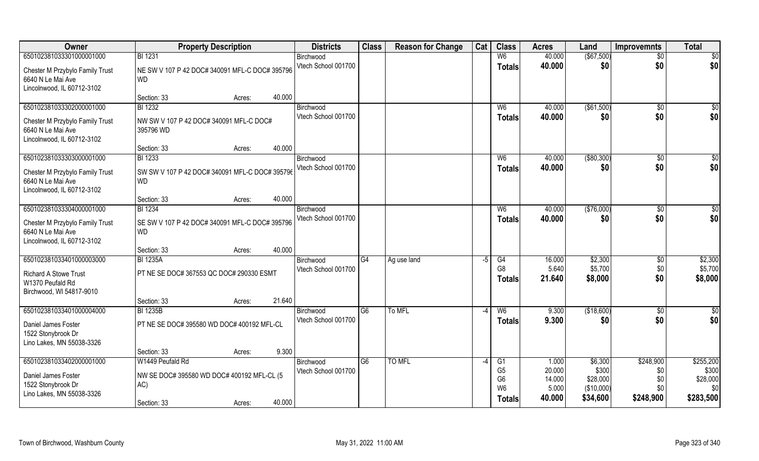| Owner                           | <b>Property Description</b>                    | <b>Districts</b>    | <b>Class</b>   | <b>Reason for Change</b> | Cat                      | <b>Class</b>                     | <b>Acres</b>     | Land              | <b>Improvemnts</b> | <b>Total</b>      |
|---------------------------------|------------------------------------------------|---------------------|----------------|--------------------------|--------------------------|----------------------------------|------------------|-------------------|--------------------|-------------------|
| 650102381033301000001000        | <b>BI 1231</b>                                 | Birchwood           |                |                          |                          | W <sub>6</sub>                   | 40.000           | (\$67,500)        | $\overline{30}$    | $\overline{50}$   |
| Chester M Przybylo Family Trust | NE SW V 107 P 42 DOC# 340091 MFL-C DOC# 395796 | Vtech School 001700 |                |                          |                          | <b>Totals</b>                    | 40.000           | \$0               | \$0                | \$0               |
| 6640 N Le Mai Ave               | <b>WD</b>                                      |                     |                |                          |                          |                                  |                  |                   |                    |                   |
| Lincolnwood, IL 60712-3102      |                                                |                     |                |                          |                          |                                  |                  |                   |                    |                   |
|                                 | 40.000<br>Section: 33<br>Acres:                |                     |                |                          |                          |                                  |                  |                   |                    |                   |
| 650102381033302000001000        | <b>BI</b> 1232                                 | Birchwood           |                |                          |                          | W <sub>6</sub>                   | 40.000           | ( \$61,500)       | $\overline{50}$    | $\frac{1}{6}$     |
| Chester M Przybylo Family Trust | NW SW V 107 P 42 DOC# 340091 MFL-C DOC#        | Vtech School 001700 |                |                          |                          | Totals                           | 40.000           | \$0               | \$0                | \$0               |
| 6640 N Le Mai Ave               | 395796 WD                                      |                     |                |                          |                          |                                  |                  |                   |                    |                   |
| Lincolnwood, IL 60712-3102      |                                                |                     |                |                          |                          |                                  |                  |                   |                    |                   |
|                                 | 40.000<br>Section: 33<br>Acres:                |                     |                |                          |                          |                                  |                  |                   |                    |                   |
| 650102381033303000001000        | <b>BI</b> 1233                                 | Birchwood           |                |                          |                          | W <sub>6</sub>                   | 40.000           | ( \$80, 300)      | \$0                | \$0               |
| Chester M Przybylo Family Trust | SW SW V 107 P 42 DOC# 340091 MFL-C DOC# 395796 | Vtech School 001700 |                |                          |                          | <b>Totals</b>                    | 40.000           | \$0               | \$0                | \$0               |
| 6640 N Le Mai Ave               | WD                                             |                     |                |                          |                          |                                  |                  |                   |                    |                   |
| Lincolnwood, IL 60712-3102      |                                                |                     |                |                          |                          |                                  |                  |                   |                    |                   |
|                                 | 40.000<br>Section: 33<br>Acres:                |                     |                |                          |                          |                                  |                  |                   |                    |                   |
| 650102381033304000001000        | <b>BI</b> 1234                                 | Birchwood           |                |                          |                          | W <sub>6</sub>                   | 40.000           | (\$76,000)        | \$0                | \$                |
| Chester M Przybylo Family Trust | SE SW V 107 P 42 DOC# 340091 MFL-C DOC# 395796 | Vtech School 001700 |                |                          |                          | <b>Totals</b>                    | 40.000           | \$0               | \$0                | \$0               |
| 6640 N Le Mai Ave               | <b>WD</b>                                      |                     |                |                          |                          |                                  |                  |                   |                    |                   |
| Lincolnwood, IL 60712-3102      |                                                |                     |                |                          |                          |                                  |                  |                   |                    |                   |
|                                 | 40.000<br>Section: 33<br>Acres:                |                     |                |                          |                          |                                  |                  |                   |                    |                   |
| 650102381033401000003000        | <b>BI 1235A</b>                                | Birchwood           | G4             | Ag use land              | -5                       | $\overline{G4}$                  | 16.000           | \$2,300           | $\sqrt{6}$         | \$2,300           |
| <b>Richard A Stowe Trust</b>    | PT NE SE DOC# 367553 QC DOC# 290330 ESMT       | Vtech School 001700 |                |                          |                          | G <sub>8</sub>                   | 5.640            | \$5,700           | \$0                | \$5,700           |
| W1370 Peufald Rd                |                                                |                     |                |                          |                          | <b>Totals</b>                    | 21.640           | \$8,000           | \$0                | \$8,000           |
| Birchwood, WI 54817-9010        |                                                |                     |                |                          |                          |                                  |                  |                   |                    |                   |
|                                 | 21.640<br>Section: 33<br>Acres:                |                     |                |                          |                          |                                  |                  |                   |                    |                   |
| 650102381033401000004000        | <b>BI 1235B</b>                                | Birchwood           | G6             | To MFL                   | -4                       | W <sub>6</sub>                   | 9.300            | (\$18,600)        | \$0                | \$0               |
| Daniel James Foster             | PT NE SE DOC# 395580 WD DOC# 400192 MFL-CL     | Vtech School 001700 |                |                          |                          | <b>Totals</b>                    | 9.300            | \$0               | \$0                | \$0               |
| 1522 Stonybrook Dr              |                                                |                     |                |                          |                          |                                  |                  |                   |                    |                   |
| Lino Lakes, MN 55038-3326       |                                                |                     |                |                          |                          |                                  |                  |                   |                    |                   |
|                                 | 9.300<br>Section: 33<br>Acres:                 |                     |                |                          |                          |                                  |                  |                   |                    |                   |
| 650102381033402000001000        | W1449 Peufald Rd                               | Birchwood           | G <sub>6</sub> | TO MFL                   | $\overline{\phantom{a}}$ | G <sub>1</sub>                   | 1.000            | \$6,300           | \$248,900          | \$255,200         |
| Daniel James Foster             | NW SE DOC# 395580 WD DOC# 400192 MFL-CL (5     | Vtech School 001700 |                |                          |                          | G <sub>5</sub><br>G <sub>6</sub> | 20.000<br>14.000 | \$300<br>\$28,000 | \$0<br>\$0         | \$300<br>\$28,000 |
| 1522 Stonybrook Dr              | AC)                                            |                     |                |                          |                          | W <sub>6</sub>                   | 5.000            | (\$10,000)        | \$0                | \$0               |
| Lino Lakes, MN 55038-3326       |                                                |                     |                |                          |                          | <b>Totals</b>                    | 40.000           | \$34,600          | \$248,900          | \$283,500         |
|                                 | 40.000<br>Section: 33<br>Acres:                |                     |                |                          |                          |                                  |                  |                   |                    |                   |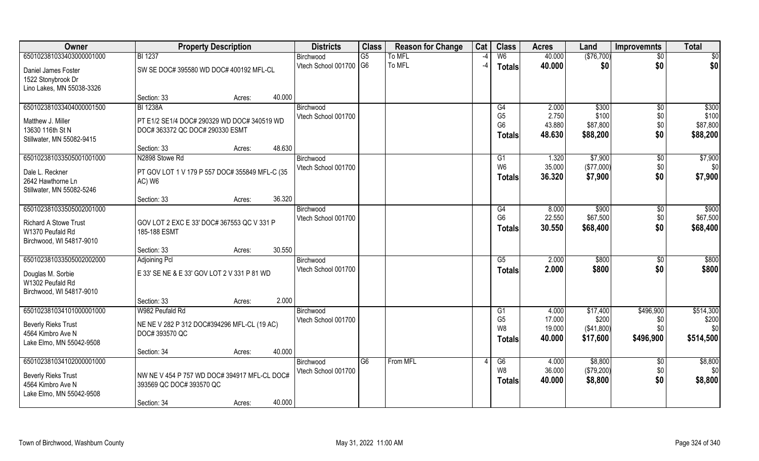| Owner                                                                                                    | <b>Property Description</b>                                                                                 | <b>Districts</b>                 | <b>Class</b>    | <b>Reason for Change</b> | Cat  | <b>Class</b>                                            | <b>Acres</b>                        | Land                                         | <b>Improvemnts</b>                   | <b>Total</b>                           |
|----------------------------------------------------------------------------------------------------------|-------------------------------------------------------------------------------------------------------------|----------------------------------|-----------------|--------------------------|------|---------------------------------------------------------|-------------------------------------|----------------------------------------------|--------------------------------------|----------------------------------------|
| 650102381033403000001000                                                                                 | <b>BI 1237</b>                                                                                              | Birchwood                        | G5              | <b>To MFL</b>            | -4   | W6                                                      | 40.000                              | (\$76,700)                                   | $\overline{50}$                      | $\overline{50}$                        |
| Daniel James Foster<br>1522 Stonybrook Dr<br>Lino Lakes, MN 55038-3326                                   | SW SE DOC# 395580 WD DOC# 400192 MFL-CL                                                                     | Vtech School 001700 G6           |                 | To MFL                   | $-4$ | <b>Totals</b>                                           | 40.000                              | \$0                                          | \$0                                  | \$0                                    |
|                                                                                                          | 40.000<br>Section: 33<br>Acres:                                                                             |                                  |                 |                          |      |                                                         |                                     |                                              |                                      |                                        |
| 650102381033404000001500<br>Matthew J. Miller<br>13630 116th St N<br>Stillwater, MN 55082-9415           | <b>BI 1238A</b><br>PT E1/2 SE1/4 DOC# 290329 WD DOC# 340519 WD<br>DOC# 363372 QC DOC# 290330 ESMT           | Birchwood<br>Vtech School 001700 |                 |                          |      | G4<br>G <sub>5</sub><br>G <sub>6</sub><br><b>Totals</b> | 2.000<br>2.750<br>43.880<br>48.630  | \$300<br>\$100<br>\$87,800<br>\$88,200       | \$0<br>\$0<br>\$0<br>\$0             | \$300<br>\$100<br>\$87,800<br>\$88,200 |
|                                                                                                          | 48.630<br>Section: 33<br>Acres:                                                                             |                                  |                 |                          |      |                                                         |                                     |                                              |                                      |                                        |
| 650102381033505001001000<br>Dale L. Reckner<br>2642 Hawthorne Ln<br>Stillwater, MN 55082-5246            | N2898 Stowe Rd<br>PT GOV LOT 1 V 179 P 557 DOC# 355849 MFL-C (35<br>AC) W6                                  | Birchwood<br>Vtech School 001700 |                 |                          |      | G1<br>W <sub>6</sub><br><b>Totals</b>                   | 1.320<br>35.000<br>36.320           | \$7,900<br>(\$77,000)<br>\$7,900             | \$0<br>\$0<br>\$0                    | \$7,900<br>\$0<br>\$7,900              |
|                                                                                                          | 36.320<br>Section: 33<br>Acres:                                                                             |                                  |                 |                          |      |                                                         |                                     |                                              |                                      |                                        |
| 650102381033505002001000<br><b>Richard A Stowe Trust</b><br>W1370 Peufald Rd<br>Birchwood, WI 54817-9010 | GOV LOT 2 EXC E 33' DOC# 367553 QC V 331 P<br>185-188 ESMT                                                  | Birchwood<br>Vtech School 001700 |                 |                          |      | G4<br>G <sub>6</sub><br><b>Totals</b>                   | 8.000<br>22.550<br>30.550           | \$900<br>\$67,500<br>\$68,400                | \$0<br>\$0<br>\$0                    | \$900<br>\$67,500<br>\$68,400          |
|                                                                                                          | 30.550<br>Section: 33<br>Acres:                                                                             |                                  |                 |                          |      |                                                         |                                     |                                              |                                      |                                        |
| 650102381033505002002000<br>Douglas M. Sorbie<br>W1302 Peufald Rd<br>Birchwood, WI 54817-9010            | <b>Adjoining Pcl</b><br>E 33' SE NE & E 33' GOV LOT 2 V 331 P 81 WD                                         | Birchwood<br>Vtech School 001700 |                 |                          |      | G5<br>Totals                                            | 2.000<br>2.000                      | \$800<br>\$800                               | \$0<br>\$0                           | \$800<br>\$800                         |
|                                                                                                          | 2.000<br>Section: 33<br>Acres:                                                                              |                                  |                 |                          |      |                                                         |                                     |                                              |                                      |                                        |
| 650102381034101000001000<br><b>Beverly Rieks Trust</b><br>4564 Kimbro Ave N<br>Lake Elmo, MN 55042-9508  | W982 Peufald Rd<br>NE NE V 282 P 312 DOC#394296 MFL-CL (19 AC)<br>DOC# 393570 QC                            | Birchwood<br>Vtech School 001700 |                 |                          |      | G1<br>G <sub>5</sub><br>W <sub>8</sub><br>Totals        | 4.000<br>17.000<br>19.000<br>40,000 | \$17,400<br>\$200<br>( \$41,800)<br>\$17,600 | \$496,900<br>\$0<br>\$0<br>\$496,900 | \$514,300<br>\$200<br>\$0<br>\$514,500 |
|                                                                                                          | 40.000<br>Section: 34<br>Acres:                                                                             |                                  |                 |                          |      |                                                         |                                     |                                              |                                      |                                        |
| 650102381034102000001000<br><b>Beverly Rieks Trust</b><br>4564 Kimbro Ave N<br>Lake Elmo, MN 55042-9508  | NW NE V 454 P 757 WD DOC# 394917 MFL-CL DOC#<br>393569 QC DOC# 393570 QC<br>40.000<br>Section: 34<br>Acres: | Birchwood<br>Vtech School 001700 | $\overline{G6}$ | From MFL                 |      | G6<br>W <sub>8</sub><br><b>Totals</b>                   | 4.000<br>36.000<br>40.000           | \$8,800<br>(\$79,200)<br>\$8,800             | \$0<br>\$0<br>\$0                    | \$8,800<br>\$0<br>\$8,800              |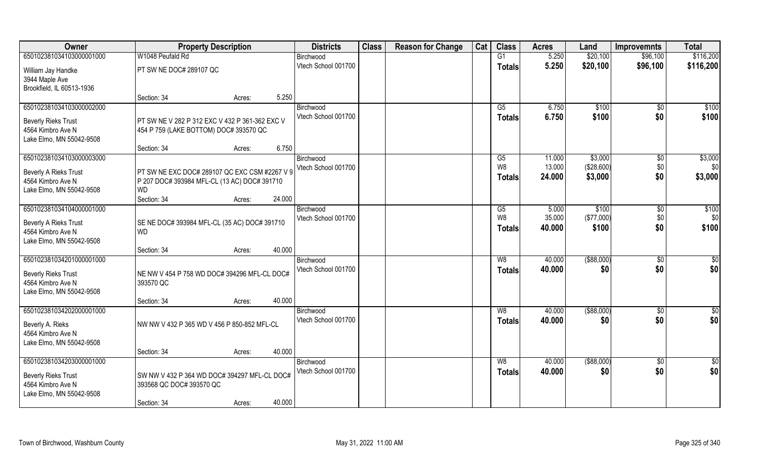| Owner                                         | <b>Property Description</b>                    |        |        | <b>Districts</b>                 | <b>Class</b> | <b>Reason for Change</b> | Cat | <b>Class</b>  | <b>Acres</b>     | Land                  | <b>Improvemnts</b>   | <b>Total</b>     |
|-----------------------------------------------|------------------------------------------------|--------|--------|----------------------------------|--------------|--------------------------|-----|---------------|------------------|-----------------------|----------------------|------------------|
| 650102381034103000001000                      | W1048 Peufald Rd                               |        |        | Birchwood                        |              |                          |     | G1            | 5.250            | \$20,100              | \$96,100             | \$116,200        |
| William Jay Handke                            | PT SW NE DOC# 289107 QC                        |        |        | Vtech School 001700              |              |                          |     | <b>Totals</b> | 5.250            | \$20,100              | \$96,100             | \$116,200        |
| 3944 Maple Ave                                |                                                |        |        |                                  |              |                          |     |               |                  |                       |                      |                  |
| Brookfield, IL 60513-1936                     |                                                |        |        |                                  |              |                          |     |               |                  |                       |                      |                  |
|                                               | Section: 34                                    | Acres: | 5.250  |                                  |              |                          |     |               |                  |                       |                      |                  |
| 650102381034103000002000                      |                                                |        |        | Birchwood                        |              |                          |     | G5            | 6.750            | \$100                 | \$0                  | \$100            |
| <b>Beverly Rieks Trust</b>                    | PT SW NE V 282 P 312 EXC V 432 P 361-362 EXC V |        |        | Vtech School 001700              |              |                          |     | <b>Totals</b> | 6.750            | \$100                 | \$0                  | \$100            |
| 4564 Kimbro Ave N                             | 454 P 759 (LAKE BOTTOM) DOC# 393570 QC         |        |        |                                  |              |                          |     |               |                  |                       |                      |                  |
| Lake Elmo, MN 55042-9508                      |                                                |        |        |                                  |              |                          |     |               |                  |                       |                      |                  |
|                                               | Section: 34                                    | Acres: | 6.750  |                                  |              |                          |     |               |                  |                       |                      |                  |
| 650102381034103000003000                      |                                                |        |        | Birchwood<br>Vtech School 001700 |              |                          |     | G5<br>W8      | 11.000<br>13.000 | \$3,000<br>(\$28,600) | \$0<br>\$0           | \$3,000<br>\$0   |
| Beverly A Rieks Trust                         | PT SW NE EXC DOC# 289107 QC EXC CSM #2267 V 9  |        |        |                                  |              |                          |     | <b>Totals</b> | 24.000           | \$3,000               | \$0                  | \$3,000          |
| 4564 Kimbro Ave N                             | P 207 DOC# 393984 MFL-CL (13 AC) DOC# 391710   |        |        |                                  |              |                          |     |               |                  |                       |                      |                  |
| Lake Elmo, MN 55042-9508                      | <b>WD</b>                                      |        |        |                                  |              |                          |     |               |                  |                       |                      |                  |
| 650102381034104000001000                      | Section: 34                                    | Acres: | 24.000 |                                  |              |                          |     |               | 5.000            | \$100                 |                      | \$100            |
|                                               |                                                |        |        | Birchwood<br>Vtech School 001700 |              |                          |     | G5<br>W8      | 35.000           | (\$77,000)            | $\sqrt[6]{3}$<br>\$0 | \$0              |
| Beverly A Rieks Trust                         | SE NE DOC# 393984 MFL-CL (35 AC) DOC# 391710   |        |        |                                  |              |                          |     | <b>Totals</b> | 40.000           | \$100                 | \$0                  | \$100            |
| 4564 Kimbro Ave N                             | <b>WD</b>                                      |        |        |                                  |              |                          |     |               |                  |                       |                      |                  |
| Lake Elmo, MN 55042-9508                      | Section: 34                                    |        | 40.000 |                                  |              |                          |     |               |                  |                       |                      |                  |
| 650102381034201000001000                      |                                                | Acres: |        | Birchwood                        |              |                          |     | W8            | 40.000           | $($ \$88,000)         | $\sqrt[6]{30}$       | \$0              |
|                                               |                                                |        |        | Vtech School 001700              |              |                          |     | <b>Totals</b> | 40.000           | \$0                   | \$0                  | \$0              |
| <b>Beverly Rieks Trust</b>                    | NE NW V 454 P 758 WD DOC# 394296 MFL-CL DOC#   |        |        |                                  |              |                          |     |               |                  |                       |                      |                  |
| 4564 Kimbro Ave N<br>Lake Elmo, MN 55042-9508 | 393570 QC                                      |        |        |                                  |              |                          |     |               |                  |                       |                      |                  |
|                                               | Section: 34                                    | Acres: | 40.000 |                                  |              |                          |     |               |                  |                       |                      |                  |
| 650102381034202000001000                      |                                                |        |        | Birchwood                        |              |                          |     | W8            | 40.000           | ( \$88,000)           | \$0                  | $\frac{6}{3}$    |
|                                               |                                                |        |        | Vtech School 001700              |              |                          |     | <b>Totals</b> | 40.000           | \$0                   | \$0                  | \$0              |
| Beverly A. Rieks<br>4564 Kimbro Ave N         | NW NW V 432 P 365 WD V 456 P 850-852 MFL-CL    |        |        |                                  |              |                          |     |               |                  |                       |                      |                  |
| Lake Elmo, MN 55042-9508                      |                                                |        |        |                                  |              |                          |     |               |                  |                       |                      |                  |
|                                               | Section: 34                                    | Acres: | 40.000 |                                  |              |                          |     |               |                  |                       |                      |                  |
| 650102381034203000001000                      |                                                |        |        | Birchwood                        |              |                          |     | W8            | 40.000           | ( \$88,000)           | $\overline{50}$      | $\overline{\$0}$ |
| <b>Beverly Rieks Trust</b>                    | SW NW V 432 P 364 WD DOC# 394297 MFL-CL DOC#   |        |        | Vtech School 001700              |              |                          |     | <b>Totals</b> | 40.000           | \$0                   | \$0                  | \$0              |
| 4564 Kimbro Ave N                             | 393568 QC DOC# 393570 QC                       |        |        |                                  |              |                          |     |               |                  |                       |                      |                  |
| Lake Elmo, MN 55042-9508                      |                                                |        |        |                                  |              |                          |     |               |                  |                       |                      |                  |
|                                               | Section: 34                                    | Acres: | 40.000 |                                  |              |                          |     |               |                  |                       |                      |                  |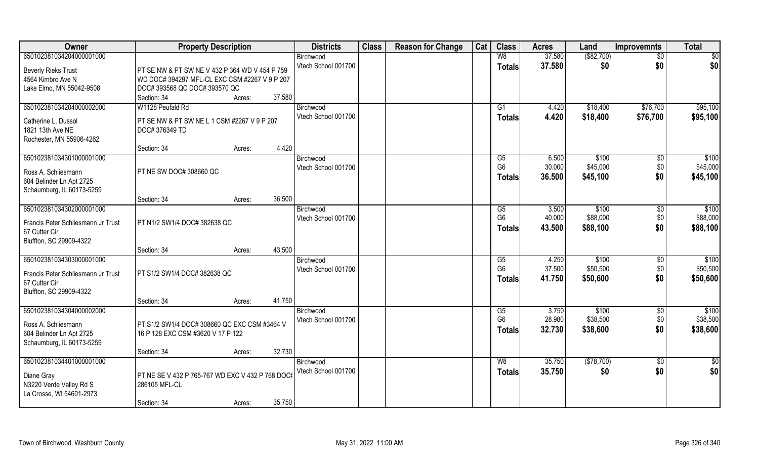| Owner                                                 | <b>Property Description</b>                                                       | <b>Districts</b>    | <b>Class</b> | <b>Reason for Change</b> | Cat | <b>Class</b>   | <b>Acres</b> | Land        | <b>Improvemnts</b> | <b>Total</b> |
|-------------------------------------------------------|-----------------------------------------------------------------------------------|---------------------|--------------|--------------------------|-----|----------------|--------------|-------------|--------------------|--------------|
| 650102381034204000001000                              |                                                                                   | Birchwood           |              |                          |     | W8             | 37.580       | ( \$82,700) | $\sqrt{6}$         | \$0          |
| <b>Beverly Rieks Trust</b>                            | PT SE NW & PT SW NE V 432 P 364 WD V 454 P 759                                    | Vtech School 001700 |              |                          |     | <b>Totals</b>  | 37.580       | \$0         | \$0                | \$0          |
| 4564 Kimbro Ave N                                     | WD DOC# 394297 MFL-CL EXC CSM #2267 V 9 P 207                                     |                     |              |                          |     |                |              |             |                    |              |
| Lake Elmo, MN 55042-9508                              | DOC# 393568 QC DOC# 393570 QC                                                     |                     |              |                          |     |                |              |             |                    |              |
|                                                       | 37.580<br>Section: 34<br>Acres:                                                   |                     |              |                          |     |                |              |             |                    |              |
| 650102381034204000002000                              | W1128 Peufald Rd                                                                  | Birchwood           |              |                          |     | G1             | 4.420        | \$18,400    | \$76,700           | \$95,100     |
| Catherine L. Dussol                                   | PT SE NW & PT SW NE L 1 CSM #2267 V 9 P 207                                       | Vtech School 001700 |              |                          |     | <b>Totals</b>  | 4.420        | \$18,400    | \$76,700           | \$95,100     |
| 1821 13th Ave NE                                      | DOC# 376349 TD                                                                    |                     |              |                          |     |                |              |             |                    |              |
| Rochester, MN 55906-4262                              |                                                                                   |                     |              |                          |     |                |              |             |                    |              |
|                                                       | 4.420<br>Section: 34<br>Acres:                                                    |                     |              |                          |     |                |              |             |                    |              |
| 650102381034301000001000                              |                                                                                   | Birchwood           |              |                          |     | G5             | 6.500        | \$100       | $\sqrt[6]{}$       | \$100        |
| Ross A. Schliesmann                                   | PT NE SW DOC# 308660 QC                                                           | Vtech School 001700 |              |                          |     | G <sub>6</sub> | 30.000       | \$45,000    | \$0                | \$45,000     |
| 604 Belinder Ln Apt 2725                              |                                                                                   |                     |              |                          |     | <b>Totals</b>  | 36.500       | \$45,100    | \$0                | \$45,100     |
| Schaumburg, IL 60173-5259                             |                                                                                   |                     |              |                          |     |                |              |             |                    |              |
|                                                       | 36.500<br>Section: 34<br>Acres:                                                   |                     |              |                          |     |                |              |             |                    |              |
| 650102381034302000001000                              |                                                                                   | Birchwood           |              |                          |     | G5             | 3.500        | \$100       | $\sqrt[6]{3}$      | \$100        |
| Francis Peter Schliesmann Jr Trust                    | PT N1/2 SW1/4 DOC# 382638 QC                                                      | Vtech School 001700 |              |                          |     | G <sub>6</sub> | 40.000       | \$88,000    | \$0                | \$88,000     |
| 67 Cutter Cir                                         |                                                                                   |                     |              |                          |     | <b>Totals</b>  | 43.500       | \$88,100    | \$0                | \$88,100     |
| Bluffton, SC 29909-4322                               |                                                                                   |                     |              |                          |     |                |              |             |                    |              |
|                                                       | 43.500<br>Section: 34<br>Acres:                                                   |                     |              |                          |     |                |              |             |                    |              |
| 650102381034303000001000                              |                                                                                   | Birchwood           |              |                          |     | G5             | 4.250        | \$100       | $\sqrt[6]{3}$      | \$100        |
| Francis Peter Schliesmann Jr Trust                    | PT S1/2 SW1/4 DOC# 382638 QC                                                      | Vtech School 001700 |              |                          |     | G <sub>6</sub> | 37.500       | \$50,500    | \$0                | \$50,500     |
| 67 Cutter Cir                                         |                                                                                   |                     |              |                          |     | Totals         | 41.750       | \$50,600    | \$0                | \$50,600     |
| Bluffton, SC 29909-4322                               |                                                                                   |                     |              |                          |     |                |              |             |                    |              |
|                                                       | 41.750<br>Section: 34<br>Acres:                                                   |                     |              |                          |     |                |              |             |                    |              |
| 650102381034304000002000                              |                                                                                   | Birchwood           |              |                          |     | G5             | 3.750        | \$100       | \$0                | \$100        |
|                                                       |                                                                                   | Vtech School 001700 |              |                          |     | G <sub>6</sub> | 28.980       | \$38,500    | $$0$$              | \$38,500     |
| Ross A. Schliesmann                                   | PT S1/2 SW1/4 DOC# 308660 QC EXC CSM #3464 V<br>16 P 128 EXC CSM #3620 V 17 P 122 |                     |              |                          |     | <b>Totals</b>  | 32.730       | \$38,600    | \$0                | \$38,600     |
| 604 Belinder Ln Apt 2725<br>Schaumburg, IL 60173-5259 |                                                                                   |                     |              |                          |     |                |              |             |                    |              |
|                                                       | 32.730<br>Section: 34<br>Acres:                                                   |                     |              |                          |     |                |              |             |                    |              |
| 650102381034401000001000                              |                                                                                   | Birchwood           |              |                          |     | W8             | 35.750       | (\$78,700)  | $\overline{50}$    | \$0          |
|                                                       |                                                                                   | Vtech School 001700 |              |                          |     | <b>Totals</b>  | 35.750       | \$0         | \$0                | \$0          |
| Diane Gray                                            | PT NE SE V 432 P 765-767 WD EXC V 432 P 768 DOC#                                  |                     |              |                          |     |                |              |             |                    |              |
| N3220 Verde Valley Rd S<br>La Crosse, WI 54601-2973   | 286105 MFL-CL                                                                     |                     |              |                          |     |                |              |             |                    |              |
|                                                       | 35.750<br>Section: 34<br>Acres:                                                   |                     |              |                          |     |                |              |             |                    |              |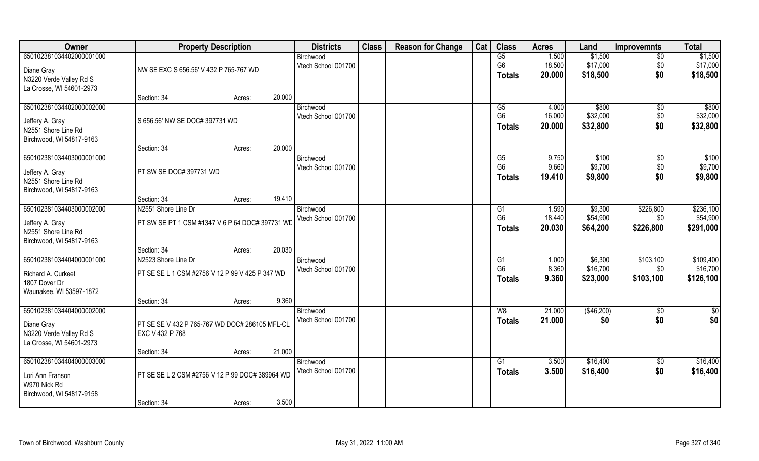| Owner                                           | <b>Property Description</b>                     |        | <b>Districts</b>                 | <b>Class</b> | <b>Reason for Change</b> | Cat | <b>Class</b>                     | <b>Acres</b>     | Land                 | <b>Improvemnts</b>    | <b>Total</b>          |
|-------------------------------------------------|-------------------------------------------------|--------|----------------------------------|--------------|--------------------------|-----|----------------------------------|------------------|----------------------|-----------------------|-----------------------|
| 650102381034402000001000                        |                                                 |        | Birchwood                        |              |                          |     | G5                               | 1.500            | \$1,500              | $\overline{50}$       | \$1,500               |
| Diane Gray                                      | NW SE EXC S 656.56' V 432 P 765-767 WD          |        | Vtech School 001700              |              |                          |     | G <sub>6</sub><br>Totals         | 18.500<br>20.000 | \$17,000<br>\$18,500 | \$0<br>\$0            | \$17,000<br>\$18,500  |
| N3220 Verde Valley Rd S                         |                                                 |        |                                  |              |                          |     |                                  |                  |                      |                       |                       |
| La Crosse, WI 54601-2973                        | Section: 34                                     | Acres: | 20.000                           |              |                          |     |                                  |                  |                      |                       |                       |
| 650102381034402000002000                        |                                                 |        | Birchwood                        |              |                          |     | G5                               | 4.000            | \$800                | $\overline{50}$       | \$800                 |
| Jeffery A. Gray                                 | S 656.56' NW SE DOC# 397731 WD                  |        | Vtech School 001700              |              |                          |     | G <sub>6</sub>                   | 16.000           | \$32,000             | \$0                   | \$32,000              |
| N2551 Shore Line Rd                             |                                                 |        |                                  |              |                          |     | <b>Totals</b>                    | 20.000           | \$32,800             | \$0                   | \$32,800              |
| Birchwood, WI 54817-9163                        |                                                 |        |                                  |              |                          |     |                                  |                  |                      |                       |                       |
|                                                 | Section: 34                                     | Acres: | 20.000                           |              |                          |     |                                  |                  |                      |                       |                       |
| 650102381034403000001000                        |                                                 |        | Birchwood<br>Vtech School 001700 |              |                          |     | G5<br>G <sub>6</sub>             | 9.750<br>9.660   | \$100<br>\$9,700     | $\sqrt[6]{30}$<br>\$0 | \$100<br>\$9,700      |
| Jeffery A. Gray                                 | PT SW SE DOC# 397731 WD                         |        |                                  |              |                          |     | <b>Totals</b>                    | 19.410           | \$9,800              | \$0                   | \$9,800               |
| N2551 Shore Line Rd<br>Birchwood, WI 54817-9163 |                                                 |        |                                  |              |                          |     |                                  |                  |                      |                       |                       |
|                                                 | Section: 34                                     | Acres: | 19.410                           |              |                          |     |                                  |                  |                      |                       |                       |
| 650102381034403000002000                        | N2551 Shore Line Dr                             |        | Birchwood                        |              |                          |     | G1                               | 1.590            | \$9,300              | \$226,800             | \$236,100             |
| Jeffery A. Gray                                 | PT SW SE PT 1 CSM #1347 V 6 P 64 DOC# 397731 WD |        | Vtech School 001700              |              |                          |     | G <sub>6</sub>                   | 18.440           | \$54,900             | \$0                   | \$54,900              |
| N2551 Shore Line Rd                             |                                                 |        |                                  |              |                          |     | <b>Totals</b>                    | 20.030           | \$64,200             | \$226,800             | \$291,000             |
| Birchwood, WI 54817-9163                        |                                                 |        |                                  |              |                          |     |                                  |                  |                      |                       |                       |
| 650102381034404000001000                        | Section: 34                                     | Acres: | 20.030                           |              |                          |     |                                  |                  |                      |                       |                       |
|                                                 | N2523 Shore Line Dr                             |        | Birchwood<br>Vtech School 001700 |              |                          |     | G <sub>1</sub><br>G <sub>6</sub> | 1.000<br>8.360   | \$6,300<br>\$16,700  | \$103,100<br>\$0      | \$109,400<br>\$16,700 |
| Richard A. Curkeet                              | PT SE SE L 1 CSM #2756 V 12 P 99 V 425 P 347 WD |        |                                  |              |                          |     | Totals                           | 9.360            | \$23,000             | \$103,100             | \$126,100             |
| 1807 Dover Dr<br>Waunakee, WI 53597-1872        |                                                 |        |                                  |              |                          |     |                                  |                  |                      |                       |                       |
|                                                 | Section: 34                                     | Acres: | 9.360                            |              |                          |     |                                  |                  |                      |                       |                       |
| 650102381034404000002000                        |                                                 |        | Birchwood                        |              |                          |     | W8                               | 21.000           | (\$46,200)           | \$0                   | \$0                   |
| Diane Gray                                      | PT SE SE V 432 P 765-767 WD DOC# 286105 MFL-CL  |        | Vtech School 001700              |              |                          |     | <b>Totals</b>                    | 21.000           | \$0                  | \$0                   | \$0                   |
| N3220 Verde Valley Rd S                         | EXC V 432 P 768                                 |        |                                  |              |                          |     |                                  |                  |                      |                       |                       |
| La Crosse, WI 54601-2973                        |                                                 |        |                                  |              |                          |     |                                  |                  |                      |                       |                       |
|                                                 | Section: 34                                     | Acres: | 21.000                           |              |                          |     |                                  |                  |                      |                       |                       |
| 650102381034404000003000                        |                                                 |        | Birchwood<br>Vtech School 001700 |              |                          |     | G1<br>Totals                     | 3.500<br>3.500   | \$16,400<br>\$16,400 | $\sqrt{$0}$<br>\$0    | \$16,400<br>\$16,400  |
| Lori Ann Franson                                | PT SE SE L 2 CSM #2756 V 12 P 99 DOC# 389964 WD |        |                                  |              |                          |     |                                  |                  |                      |                       |                       |
| W970 Nick Rd<br>Birchwood, WI 54817-9158        |                                                 |        |                                  |              |                          |     |                                  |                  |                      |                       |                       |
|                                                 | Section: 34                                     | Acres: | 3.500                            |              |                          |     |                                  |                  |                      |                       |                       |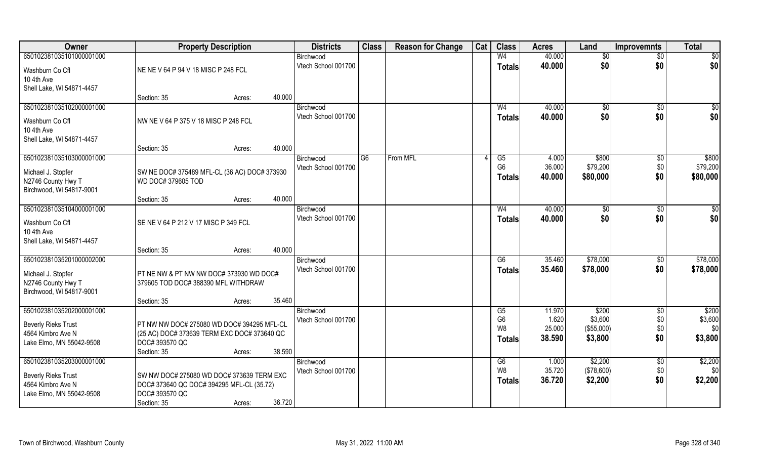| Owner                      | <b>Property Description</b>                  |        | <b>Districts</b>                 | <b>Class</b>   | <b>Reason for Change</b> | Cat | <b>Class</b>         | <b>Acres</b>    | Land                  | <b>Improvemnts</b>     | <b>Total</b>     |
|----------------------------|----------------------------------------------|--------|----------------------------------|----------------|--------------------------|-----|----------------------|-----------------|-----------------------|------------------------|------------------|
| 650102381035101000001000   |                                              |        | Birchwood                        |                |                          |     | W <sub>4</sub>       | 40.000          | \$0                   | \$0                    | \$0              |
| Washburn Co Cfl            | NE NE V 64 P 94 V 18 MISC P 248 FCL          |        | Vtech School 001700              |                |                          |     | Totals               | 40.000          | \$0                   | \$0                    | \$0              |
| 10 4th Ave                 |                                              |        |                                  |                |                          |     |                      |                 |                       |                        |                  |
| Shell Lake, WI 54871-4457  |                                              |        |                                  |                |                          |     |                      |                 |                       |                        |                  |
|                            | Section: 35                                  | Acres: | 40.000                           |                |                          |     |                      |                 |                       |                        |                  |
| 650102381035102000001000   |                                              |        | Birchwood                        |                |                          |     | W <sub>4</sub>       | 40.000          | \$0                   | $\sqrt[6]{}$           | \$0              |
| Washburn Co Cfl            | NW NE V 64 P 375 V 18 MISC P 248 FCL         |        | Vtech School 001700              |                |                          |     | <b>Totals</b>        | 40.000          | \$0                   | \$0                    | \$0              |
| 10 4th Ave                 |                                              |        |                                  |                |                          |     |                      |                 |                       |                        |                  |
| Shell Lake, WI 54871-4457  |                                              |        |                                  |                |                          |     |                      |                 |                       |                        |                  |
|                            | Section: 35                                  | Acres: | 40.000                           |                |                          |     |                      |                 |                       |                        |                  |
| 650102381035103000001000   |                                              |        | Birchwood                        | G <sub>6</sub> | From MFL                 |     | G5                   | 4.000           | \$800                 | \$0                    | \$800            |
| Michael J. Stopfer         | SW NE DOC# 375489 MFL-CL (36 AC) DOC# 373930 |        | Vtech School 001700              |                |                          |     | G <sub>6</sub>       | 36.000          | \$79,200              | \$0                    | \$79,200         |
| N2746 County Hwy T         | WD DOC# 379605 TOD                           |        |                                  |                |                          |     | <b>Totals</b>        | 40.000          | \$80,000              | \$0                    | \$80,000         |
| Birchwood, WI 54817-9001   |                                              |        |                                  |                |                          |     |                      |                 |                       |                        |                  |
|                            | Section: 35                                  | Acres: | 40.000                           |                |                          |     |                      |                 |                       |                        |                  |
| 650102381035104000001000   |                                              |        | Birchwood                        |                |                          |     | W <sub>4</sub>       | 40.000          | \$0                   | \$0                    | \$0              |
| Washburn Co Cfl            | SE NE V 64 P 212 V 17 MISC P 349 FCL         |        | Vtech School 001700              |                |                          |     | <b>Totals</b>        | 40.000          | \$0                   | \$0                    | \$0              |
| 10 4th Ave                 |                                              |        |                                  |                |                          |     |                      |                 |                       |                        |                  |
| Shell Lake, WI 54871-4457  |                                              |        |                                  |                |                          |     |                      |                 |                       |                        |                  |
|                            | Section: 35                                  | Acres: | 40.000                           |                |                          |     |                      |                 |                       |                        |                  |
| 650102381035201000002000   |                                              |        | Birchwood                        |                |                          |     | $\overline{G6}$      | 35.460          | \$78,000              | $\overline{50}$        | \$78,000         |
| Michael J. Stopfer         | PT NE NW & PT NW NW DOC# 373930 WD DOC#      |        | Vtech School 001700              |                |                          |     | Totals               | 35.460          | \$78,000              | \$0                    | \$78,000         |
| N2746 County Hwy T         | 379605 TOD DOC# 388390 MFL WITHDRAW          |        |                                  |                |                          |     |                      |                 |                       |                        |                  |
| Birchwood, WI 54817-9001   |                                              |        |                                  |                |                          |     |                      |                 |                       |                        |                  |
|                            | Section: 35                                  | Acres: | 35.460                           |                |                          |     |                      |                 |                       |                        |                  |
| 650102381035202000001000   |                                              |        | Birchwood<br>Vtech School 001700 |                |                          |     | G5<br>G <sub>6</sub> | 11.970<br>1.620 | \$200<br>\$3,600      | \$0<br>\$0             | \$200<br>\$3,600 |
| <b>Beverly Rieks Trust</b> | PT NW NW DOC# 275080 WD DOC# 394295 MFL-CL   |        |                                  |                |                          |     | W8                   | 25.000          | (\$55,000)            | \$0                    | \$0              |
| 4564 Kimbro Ave N          | (25 AC) DOC# 373639 TERM EXC DOC# 373640 QC  |        |                                  |                |                          |     | <b>Totals</b>        | 38,590          | \$3,800               | \$0                    | \$3,800          |
| Lake Elmo, MN 55042-9508   | DOC# 393570 QC                               |        |                                  |                |                          |     |                      |                 |                       |                        |                  |
|                            | Section: 35                                  | Acres: | 38.590                           |                |                          |     |                      |                 |                       |                        |                  |
| 650102381035203000001000   |                                              |        | Birchwood<br>Vtech School 001700 |                |                          |     | G6<br>W8             | 1.000<br>35.720 | \$2,200<br>(\$78,600) | $\overline{60}$<br>\$0 | \$2,200<br>\$0   |
| <b>Beverly Rieks Trust</b> | SW NW DOC# 275080 WD DOC# 373639 TERM EXC    |        |                                  |                |                          |     |                      | 36.720          | \$2,200               | \$0                    | \$2,200          |
| 4564 Kimbro Ave N          | DOC# 373640 QC DOC# 394295 MFL-CL (35.72)    |        |                                  |                |                          |     | <b>Totals</b>        |                 |                       |                        |                  |
| Lake Elmo, MN 55042-9508   | DOC# 393570 QC                               |        |                                  |                |                          |     |                      |                 |                       |                        |                  |
|                            | Section: 35                                  | Acres: | 36.720                           |                |                          |     |                      |                 |                       |                        |                  |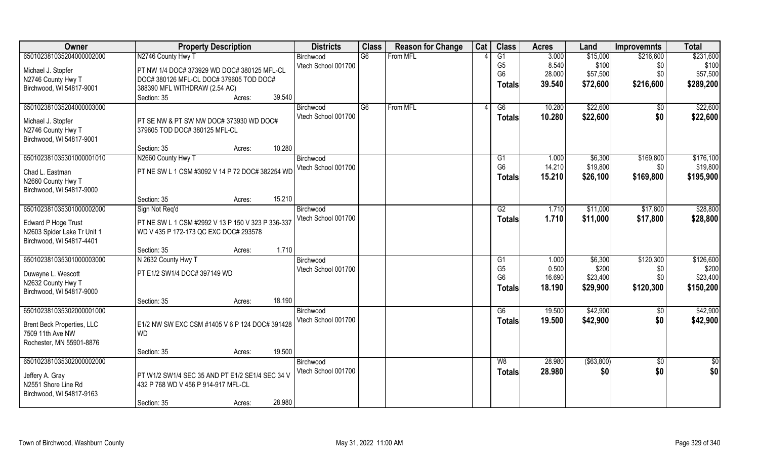| 650102381035204000002000<br>N2746 County Hwy T<br>G6<br>From MFL<br>G1<br>3.000<br>\$15,000<br>\$231,600<br>Birchwood<br>\$216,600<br>8.540<br>Vtech School 001700<br>G <sub>5</sub><br>\$100<br>\$100<br>\$0<br>Michael J. Stopfer<br>PT NW 1/4 DOC# 373929 WD DOC# 380125 MFL-CL<br>28.000<br>\$0<br>G <sub>6</sub><br>\$57,500<br>\$57,500<br>N2746 County Hwy T<br>DOC# 380126 MFL-CL DOC# 379605 TOD DOC#<br>\$216,600<br>39.540<br>\$72,600<br><b>Totals</b><br>Birchwood, WI 54817-9001<br>388390 MFL WITHDRAW (2.54 AC)<br>39.540<br>Section: 35<br>Acres:<br>650102381035204000003000<br>From MFL<br>\$22,600<br>G <sub>6</sub><br>10.280<br>G6<br>\$0<br>Birchwood<br>Vtech School 001700<br>10.280<br>\$22,600<br>\$0<br>Totals<br>PT SE NW & PT SW NW DOC# 373930 WD DOC#<br>Michael J. Stopfer<br>N2746 County Hwy T<br>379605 TOD DOC# 380125 MFL-CL<br>Birchwood, WI 54817-9001<br>10.280<br>Section: 35<br>Acres:<br>650102381035301000001010<br>N2660 County Hwy T<br>G1<br>1.000<br>\$6,300<br>\$169,800<br>Birchwood<br>G <sub>6</sub><br>14.210<br>\$19,800<br>Vtech School 001700<br>\$0<br>PT NE SW L 1 CSM #3092 V 14 P 72 DOC# 382254 WD<br>Chad L. Eastman<br>15.210<br>\$26,100<br>\$169,800<br><b>Totals</b><br>N2660 County Hwy T<br>Birchwood, WI 54817-9000<br>15.210<br>Section: 35<br>Acres:<br>650102381035301000002000<br>\$17,800<br>G2<br>\$11,000<br>Sign Not Req'd<br>1.710<br>Birchwood<br>Vtech School 001700<br>1.710<br>\$11,000<br>\$17,800<br><b>Totals</b> | Owner               | <b>Property Description</b>                       | <b>Districts</b> | <b>Class</b> | <b>Reason for Change</b> | Cat | <b>Class</b> | <b>Acres</b> | Land | <b>Improvemnts</b> | <b>Total</b> |
|---------------------------------------------------------------------------------------------------------------------------------------------------------------------------------------------------------------------------------------------------------------------------------------------------------------------------------------------------------------------------------------------------------------------------------------------------------------------------------------------------------------------------------------------------------------------------------------------------------------------------------------------------------------------------------------------------------------------------------------------------------------------------------------------------------------------------------------------------------------------------------------------------------------------------------------------------------------------------------------------------------------------------------------------------------------------------------------------------------------------------------------------------------------------------------------------------------------------------------------------------------------------------------------------------------------------------------------------------------------------------------------------------------------------------------------------------------------------------------------------------------|---------------------|---------------------------------------------------|------------------|--------------|--------------------------|-----|--------------|--------------|------|--------------------|--------------|
|                                                                                                                                                                                                                                                                                                                                                                                                                                                                                                                                                                                                                                                                                                                                                                                                                                                                                                                                                                                                                                                                                                                                                                                                                                                                                                                                                                                                                                                                                                         |                     |                                                   |                  |              |                          |     |              |              |      |                    |              |
| \$289,200                                                                                                                                                                                                                                                                                                                                                                                                                                                                                                                                                                                                                                                                                                                                                                                                                                                                                                                                                                                                                                                                                                                                                                                                                                                                                                                                                                                                                                                                                               |                     |                                                   |                  |              |                          |     |              |              |      |                    |              |
| \$22,600<br>\$22,600<br>\$176,100<br>\$19,800<br>\$195,900<br>\$28,800<br>\$28,800                                                                                                                                                                                                                                                                                                                                                                                                                                                                                                                                                                                                                                                                                                                                                                                                                                                                                                                                                                                                                                                                                                                                                                                                                                                                                                                                                                                                                      |                     |                                                   |                  |              |                          |     |              |              |      |                    |              |
|                                                                                                                                                                                                                                                                                                                                                                                                                                                                                                                                                                                                                                                                                                                                                                                                                                                                                                                                                                                                                                                                                                                                                                                                                                                                                                                                                                                                                                                                                                         |                     |                                                   |                  |              |                          |     |              |              |      |                    |              |
|                                                                                                                                                                                                                                                                                                                                                                                                                                                                                                                                                                                                                                                                                                                                                                                                                                                                                                                                                                                                                                                                                                                                                                                                                                                                                                                                                                                                                                                                                                         |                     |                                                   |                  |              |                          |     |              |              |      |                    |              |
|                                                                                                                                                                                                                                                                                                                                                                                                                                                                                                                                                                                                                                                                                                                                                                                                                                                                                                                                                                                                                                                                                                                                                                                                                                                                                                                                                                                                                                                                                                         |                     |                                                   |                  |              |                          |     |              |              |      |                    |              |
|                                                                                                                                                                                                                                                                                                                                                                                                                                                                                                                                                                                                                                                                                                                                                                                                                                                                                                                                                                                                                                                                                                                                                                                                                                                                                                                                                                                                                                                                                                         |                     |                                                   |                  |              |                          |     |              |              |      |                    |              |
|                                                                                                                                                                                                                                                                                                                                                                                                                                                                                                                                                                                                                                                                                                                                                                                                                                                                                                                                                                                                                                                                                                                                                                                                                                                                                                                                                                                                                                                                                                         |                     |                                                   |                  |              |                          |     |              |              |      |                    |              |
|                                                                                                                                                                                                                                                                                                                                                                                                                                                                                                                                                                                                                                                                                                                                                                                                                                                                                                                                                                                                                                                                                                                                                                                                                                                                                                                                                                                                                                                                                                         |                     |                                                   |                  |              |                          |     |              |              |      |                    |              |
|                                                                                                                                                                                                                                                                                                                                                                                                                                                                                                                                                                                                                                                                                                                                                                                                                                                                                                                                                                                                                                                                                                                                                                                                                                                                                                                                                                                                                                                                                                         |                     |                                                   |                  |              |                          |     |              |              |      |                    |              |
|                                                                                                                                                                                                                                                                                                                                                                                                                                                                                                                                                                                                                                                                                                                                                                                                                                                                                                                                                                                                                                                                                                                                                                                                                                                                                                                                                                                                                                                                                                         |                     |                                                   |                  |              |                          |     |              |              |      |                    |              |
|                                                                                                                                                                                                                                                                                                                                                                                                                                                                                                                                                                                                                                                                                                                                                                                                                                                                                                                                                                                                                                                                                                                                                                                                                                                                                                                                                                                                                                                                                                         |                     |                                                   |                  |              |                          |     |              |              |      |                    |              |
|                                                                                                                                                                                                                                                                                                                                                                                                                                                                                                                                                                                                                                                                                                                                                                                                                                                                                                                                                                                                                                                                                                                                                                                                                                                                                                                                                                                                                                                                                                         |                     |                                                   |                  |              |                          |     |              |              |      |                    |              |
|                                                                                                                                                                                                                                                                                                                                                                                                                                                                                                                                                                                                                                                                                                                                                                                                                                                                                                                                                                                                                                                                                                                                                                                                                                                                                                                                                                                                                                                                                                         |                     |                                                   |                  |              |                          |     |              |              |      |                    |              |
|                                                                                                                                                                                                                                                                                                                                                                                                                                                                                                                                                                                                                                                                                                                                                                                                                                                                                                                                                                                                                                                                                                                                                                                                                                                                                                                                                                                                                                                                                                         |                     |                                                   |                  |              |                          |     |              |              |      |                    |              |
|                                                                                                                                                                                                                                                                                                                                                                                                                                                                                                                                                                                                                                                                                                                                                                                                                                                                                                                                                                                                                                                                                                                                                                                                                                                                                                                                                                                                                                                                                                         |                     |                                                   |                  |              |                          |     |              |              |      |                    |              |
|                                                                                                                                                                                                                                                                                                                                                                                                                                                                                                                                                                                                                                                                                                                                                                                                                                                                                                                                                                                                                                                                                                                                                                                                                                                                                                                                                                                                                                                                                                         |                     |                                                   |                  |              |                          |     |              |              |      |                    |              |
|                                                                                                                                                                                                                                                                                                                                                                                                                                                                                                                                                                                                                                                                                                                                                                                                                                                                                                                                                                                                                                                                                                                                                                                                                                                                                                                                                                                                                                                                                                         | Edward P Hoge Trust | PT NE SW L 1 CSM #2992 V 13 P 150 V 323 P 336-337 |                  |              |                          |     |              |              |      |                    |              |
| N2603 Spider Lake Tr Unit 1<br>WD V 435 P 172-173 QC EXC DOC# 293578                                                                                                                                                                                                                                                                                                                                                                                                                                                                                                                                                                                                                                                                                                                                                                                                                                                                                                                                                                                                                                                                                                                                                                                                                                                                                                                                                                                                                                    |                     |                                                   |                  |              |                          |     |              |              |      |                    |              |
| Birchwood, WI 54817-4401                                                                                                                                                                                                                                                                                                                                                                                                                                                                                                                                                                                                                                                                                                                                                                                                                                                                                                                                                                                                                                                                                                                                                                                                                                                                                                                                                                                                                                                                                |                     |                                                   |                  |              |                          |     |              |              |      |                    |              |
| 1.710<br>Section: 35<br>Acres:                                                                                                                                                                                                                                                                                                                                                                                                                                                                                                                                                                                                                                                                                                                                                                                                                                                                                                                                                                                                                                                                                                                                                                                                                                                                                                                                                                                                                                                                          |                     |                                                   |                  |              |                          |     |              |              |      |                    |              |
| \$126,600<br>650102381035301000003000<br>N 2632 County Hwy T<br>\$120,300<br>G1<br>1.000<br>\$6,300<br>Birchwood                                                                                                                                                                                                                                                                                                                                                                                                                                                                                                                                                                                                                                                                                                                                                                                                                                                                                                                                                                                                                                                                                                                                                                                                                                                                                                                                                                                        |                     |                                                   |                  |              |                          |     |              |              |      |                    |              |
| G <sub>5</sub><br>0.500<br>\$200<br>\$0<br>\$200<br>Vtech School 001700<br>PT E1/2 SW1/4 DOC# 397149 WD<br>Duwayne L. Wescott                                                                                                                                                                                                                                                                                                                                                                                                                                                                                                                                                                                                                                                                                                                                                                                                                                                                                                                                                                                                                                                                                                                                                                                                                                                                                                                                                                           |                     |                                                   |                  |              |                          |     |              |              |      |                    |              |
| G <sub>6</sub><br>16.690<br>\$0<br>\$23,400<br>\$23,400<br>N2632 County Hwy T                                                                                                                                                                                                                                                                                                                                                                                                                                                                                                                                                                                                                                                                                                                                                                                                                                                                                                                                                                                                                                                                                                                                                                                                                                                                                                                                                                                                                           |                     |                                                   |                  |              |                          |     |              |              |      |                    |              |
| 18.190<br>\$120,300<br>\$29,900<br>\$150,200<br><b>Totals</b><br>Birchwood, WI 54817-9000                                                                                                                                                                                                                                                                                                                                                                                                                                                                                                                                                                                                                                                                                                                                                                                                                                                                                                                                                                                                                                                                                                                                                                                                                                                                                                                                                                                                               |                     |                                                   |                  |              |                          |     |              |              |      |                    |              |
| 18.190<br>Section: 35<br>Acres:                                                                                                                                                                                                                                                                                                                                                                                                                                                                                                                                                                                                                                                                                                                                                                                                                                                                                                                                                                                                                                                                                                                                                                                                                                                                                                                                                                                                                                                                         |                     |                                                   |                  |              |                          |     |              |              |      |                    |              |
| \$42,900<br>\$42,900<br>650102381035302000001000<br>G6<br>19.500<br>$\sqrt{6}$<br>Birchwood                                                                                                                                                                                                                                                                                                                                                                                                                                                                                                                                                                                                                                                                                                                                                                                                                                                                                                                                                                                                                                                                                                                                                                                                                                                                                                                                                                                                             |                     |                                                   |                  |              |                          |     |              |              |      |                    |              |
| \$0<br>19.500<br>Vtech School 001700<br>\$42,900<br>\$42,900<br><b>Totals</b><br>E1/2 NW SW EXC CSM #1405 V 6 P 124 DOC# 391428<br>Brent Beck Properties, LLC                                                                                                                                                                                                                                                                                                                                                                                                                                                                                                                                                                                                                                                                                                                                                                                                                                                                                                                                                                                                                                                                                                                                                                                                                                                                                                                                           |                     |                                                   |                  |              |                          |     |              |              |      |                    |              |
| <b>WD</b><br>7509 11th Ave NW                                                                                                                                                                                                                                                                                                                                                                                                                                                                                                                                                                                                                                                                                                                                                                                                                                                                                                                                                                                                                                                                                                                                                                                                                                                                                                                                                                                                                                                                           |                     |                                                   |                  |              |                          |     |              |              |      |                    |              |
| Rochester, MN 55901-8876                                                                                                                                                                                                                                                                                                                                                                                                                                                                                                                                                                                                                                                                                                                                                                                                                                                                                                                                                                                                                                                                                                                                                                                                                                                                                                                                                                                                                                                                                |                     |                                                   |                  |              |                          |     |              |              |      |                    |              |
| 19.500<br>Section: 35<br>Acres:                                                                                                                                                                                                                                                                                                                                                                                                                                                                                                                                                                                                                                                                                                                                                                                                                                                                                                                                                                                                                                                                                                                                                                                                                                                                                                                                                                                                                                                                         |                     |                                                   |                  |              |                          |     |              |              |      |                    |              |
| 650102381035302000002000<br>28.980<br>( \$63, 800)<br>W8<br>$\overline{60}$<br>Birchwood<br>\$0                                                                                                                                                                                                                                                                                                                                                                                                                                                                                                                                                                                                                                                                                                                                                                                                                                                                                                                                                                                                                                                                                                                                                                                                                                                                                                                                                                                                         |                     |                                                   |                  |              |                          |     |              |              |      |                    |              |
| \$0<br>Vtech School 001700<br>\$0<br>28.980<br>\$0<br><b>Totals</b><br>PT W1/2 SW1/4 SEC 35 AND PT E1/2 SE1/4 SEC 34 V                                                                                                                                                                                                                                                                                                                                                                                                                                                                                                                                                                                                                                                                                                                                                                                                                                                                                                                                                                                                                                                                                                                                                                                                                                                                                                                                                                                  |                     |                                                   |                  |              |                          |     |              |              |      |                    |              |
| Jeffery A. Gray<br>N2551 Shore Line Rd<br>432 P 768 WD V 456 P 914-917 MFL-CL                                                                                                                                                                                                                                                                                                                                                                                                                                                                                                                                                                                                                                                                                                                                                                                                                                                                                                                                                                                                                                                                                                                                                                                                                                                                                                                                                                                                                           |                     |                                                   |                  |              |                          |     |              |              |      |                    |              |
| Birchwood, WI 54817-9163                                                                                                                                                                                                                                                                                                                                                                                                                                                                                                                                                                                                                                                                                                                                                                                                                                                                                                                                                                                                                                                                                                                                                                                                                                                                                                                                                                                                                                                                                |                     |                                                   |                  |              |                          |     |              |              |      |                    |              |
| 28.980<br>Section: 35<br>Acres:                                                                                                                                                                                                                                                                                                                                                                                                                                                                                                                                                                                                                                                                                                                                                                                                                                                                                                                                                                                                                                                                                                                                                                                                                                                                                                                                                                                                                                                                         |                     |                                                   |                  |              |                          |     |              |              |      |                    |              |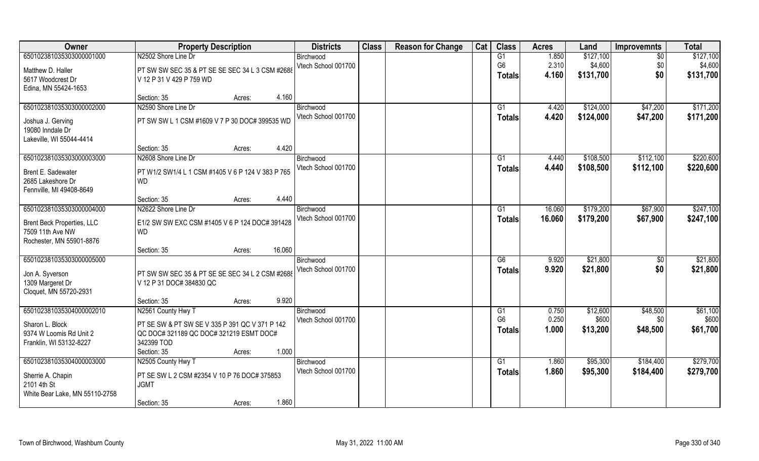| Owner                             | <b>Property Description</b>                       | <b>Districts</b>    | <b>Class</b> | <b>Reason for Change</b> | Cat | <b>Class</b>         | <b>Acres</b>   | Land              | <b>Improvemnts</b> | <b>Total</b>      |
|-----------------------------------|---------------------------------------------------|---------------------|--------------|--------------------------|-----|----------------------|----------------|-------------------|--------------------|-------------------|
| 650102381035303000001000          | N2502 Shore Line Dr                               | Birchwood           |              |                          |     | G1                   | 1.850          | \$127,100         | \$0                | \$127,100         |
| Matthew D. Haller                 | PT SW SW SEC 35 & PT SE SE SEC 34 L 3 CSM #2688   | Vtech School 001700 |              |                          |     | G <sub>6</sub>       | 2.310          | \$4,600           | \$0                | \$4,600           |
| 5617 Woodcrest Dr                 | V 12 P 31 V 429 P 759 WD                          |                     |              |                          |     | <b>Totals</b>        | 4.160          | \$131,700         | \$0                | \$131,700         |
| Edina, MN 55424-1653              |                                                   |                     |              |                          |     |                      |                |                   |                    |                   |
|                                   | 4.160<br>Section: 35<br>Acres:                    |                     |              |                          |     |                      |                |                   |                    |                   |
| 650102381035303000002000          | N2590 Shore Line Dr                               | Birchwood           |              |                          |     | G <sub>1</sub>       | 4.420          | \$124,000         | \$47,200           | \$171,200         |
| Joshua J. Gerving                 | PT SW SW L 1 CSM #1609 V 7 P 30 DOC# 399535 WD    | Vtech School 001700 |              |                          |     | <b>Totals</b>        | 4.420          | \$124,000         | \$47,200           | \$171,200         |
| 19080 Inndale Dr                  |                                                   |                     |              |                          |     |                      |                |                   |                    |                   |
| Lakeville, WI 55044-4414          |                                                   |                     |              |                          |     |                      |                |                   |                    |                   |
|                                   | 4.420<br>Section: 35<br>Acres:                    |                     |              |                          |     |                      |                |                   |                    |                   |
| 650102381035303000003000          | N2608 Shore Line Dr                               | Birchwood           |              |                          |     | G1                   | 4.440          | \$108,500         | \$112,100          | \$220,600         |
| Brent E. Sadewater                | PT W1/2 SW1/4 L 1 CSM #1405 V 6 P 124 V 383 P 765 | Vtech School 001700 |              |                          |     | <b>Totals</b>        | 4.440          | \$108,500         | \$112,100          | \$220,600         |
| 2685 Lakeshore Dr                 | <b>WD</b>                                         |                     |              |                          |     |                      |                |                   |                    |                   |
| Fennville, MI 49408-8649          |                                                   |                     |              |                          |     |                      |                |                   |                    |                   |
|                                   | 4.440<br>Section: 35<br>Acres:                    |                     |              |                          |     |                      |                |                   |                    |                   |
| 650102381035303000004000          | N2622 Shore Line Dr                               | Birchwood           |              |                          |     | G1                   | 16.060         | \$179,200         | \$67,900           | \$247,100         |
| <b>Brent Beck Properties, LLC</b> | E1/2 SW SW EXC CSM #1405 V 6 P 124 DOC# 391428    | Vtech School 001700 |              |                          |     | <b>Totals</b>        | 16.060         | \$179,200         | \$67,900           | \$247,100         |
| 7509 11th Ave NW                  | <b>WD</b>                                         |                     |              |                          |     |                      |                |                   |                    |                   |
| Rochester, MN 55901-8876          |                                                   |                     |              |                          |     |                      |                |                   |                    |                   |
|                                   | 16.060<br>Section: 35<br>Acres:                   |                     |              |                          |     |                      |                |                   |                    |                   |
| 650102381035303000005000          |                                                   | Birchwood           |              |                          |     | $\overline{G6}$      | 9.920          | \$21,800          | \$0                | \$21,800          |
| Jon A. Syverson                   | PT SW SW SEC 35 & PT SE SE SEC 34 L 2 CSM #2688   | Vtech School 001700 |              |                          |     | <b>Totals</b>        | 9.920          | \$21,800          | \$0                | \$21,800          |
| 1309 Margeret Dr                  | V 12 P 31 DOC# 384830 QC                          |                     |              |                          |     |                      |                |                   |                    |                   |
| Cloquet, MN 55720-2931            |                                                   |                     |              |                          |     |                      |                |                   |                    |                   |
|                                   | 9.920<br>Section: 35<br>Acres:                    |                     |              |                          |     |                      |                |                   |                    |                   |
| 650102381035304000002010          | N2561 County Hwy T                                | Birchwood           |              |                          |     | G1<br>G <sub>6</sub> | 0.750<br>0.250 | \$12,600<br>\$600 | \$48,500           | \$61,100<br>\$600 |
| Sharon L. Block                   | PT SE SW & PT SW SE V 335 P 391 QC V 371 P 142    | Vtech School 001700 |              |                          |     |                      | 1.000          |                   | \$0                | \$61,700          |
| 9374 W Loomis Rd Unit 2           | QC DOC# 321189 QC DOC# 321219 ESMT DOC#           |                     |              |                          |     | <b>Totals</b>        |                | \$13,200          | \$48,500           |                   |
| Franklin, WI 53132-8227           | 342399 TOD                                        |                     |              |                          |     |                      |                |                   |                    |                   |
|                                   | 1.000<br>Section: 35<br>Acres:                    |                     |              |                          |     |                      |                |                   |                    |                   |
| 650102381035304000003000          | N2505 County Hwy T                                | Birchwood           |              |                          |     | G1                   | 1.860          | \$95,300          | \$184,400          | \$279,700         |
| Sherrie A. Chapin                 | PT SE SW L 2 CSM #2354 V 10 P 76 DOC# 375853      | Vtech School 001700 |              |                          |     | <b>Totals</b>        | 1.860          | \$95,300          | \$184,400          | \$279,700         |
| 2101 4th St                       | <b>JGMT</b>                                       |                     |              |                          |     |                      |                |                   |                    |                   |
| White Bear Lake, MN 55110-2758    |                                                   |                     |              |                          |     |                      |                |                   |                    |                   |
|                                   | 1.860<br>Section: 35<br>Acres:                    |                     |              |                          |     |                      |                |                   |                    |                   |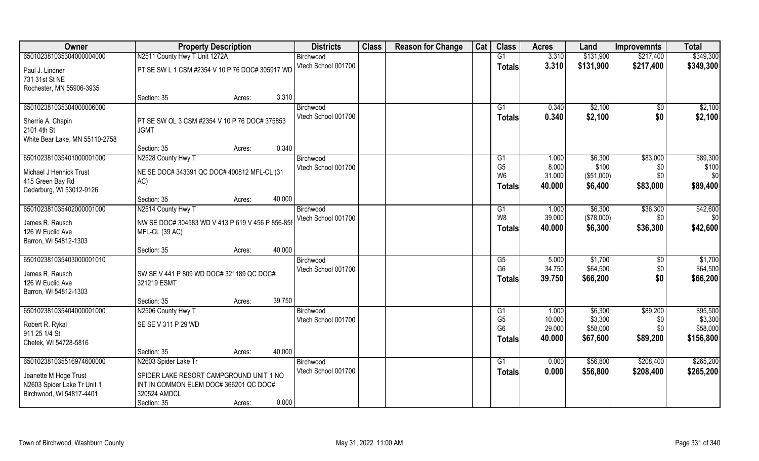| Owner                          | <b>Property Description</b>                      |        |        | <b>Districts</b>    | <b>Class</b> | <b>Reason for Change</b> | Cat | <b>Class</b>   | <b>Acres</b> | Land       | <b>Improvemnts</b> | <b>Total</b> |
|--------------------------------|--------------------------------------------------|--------|--------|---------------------|--------------|--------------------------|-----|----------------|--------------|------------|--------------------|--------------|
| 650102381035304000004000       | N2511 County Hwy T Unit 1272A                    |        |        | Birchwood           |              |                          |     | G1             | 3.310        | \$131,900  | \$217,400          | \$349,300    |
| Paul J. Lindner                | PT SE SW L 1 CSM #2354 V 10 P 76 DOC# 305917 WD  |        |        | Vtech School 001700 |              |                          |     | <b>Totals</b>  | 3.310        | \$131,900  | \$217,400          | \$349,300    |
| 731 31st St NE                 |                                                  |        |        |                     |              |                          |     |                |              |            |                    |              |
| Rochester, MN 55906-3935       |                                                  |        |        |                     |              |                          |     |                |              |            |                    |              |
|                                | Section: 35                                      | Acres: | 3.310  |                     |              |                          |     |                |              |            |                    |              |
| 650102381035304000006000       |                                                  |        |        | Birchwood           |              |                          |     | G1             | 0.340        | \$2,100    | $\sqrt{$0}$        | \$2,100      |
| Sherrie A. Chapin              | PT SE SW OL 3 CSM #2354 V 10 P 76 DOC# 375853    |        |        | Vtech School 001700 |              |                          |     | Totals         | 0.340        | \$2,100    | \$0                | \$2,100      |
| 2101 4th St                    | <b>JGMT</b>                                      |        |        |                     |              |                          |     |                |              |            |                    |              |
| White Bear Lake, MN 55110-2758 |                                                  |        |        |                     |              |                          |     |                |              |            |                    |              |
|                                | Section: 35                                      | Acres: | 0.340  |                     |              |                          |     |                |              |            |                    |              |
| 650102381035401000001000       | N2528 County Hwy T                               |        |        | Birchwood           |              |                          |     | G1             | 1.000        | \$6,300    | \$83,000           | \$89,300     |
| Michael J Hennick Trust        | NE SE DOC# 343391 QC DOC# 400812 MFL-CL (31      |        |        | Vtech School 001700 |              |                          |     | G <sub>5</sub> | 8.000        | \$100      | \$0                | \$100        |
| 415 Green Bay Rd               | AC)                                              |        |        |                     |              |                          |     | W <sub>6</sub> | 31.000       | (\$51,000) | \$0                | \$0          |
| Cedarburg, WI 53012-9126       |                                                  |        |        |                     |              |                          |     | Totals         | 40.000       | \$6,400    | \$83,000           | \$89,400     |
|                                | Section: 35                                      | Acres: | 40.000 |                     |              |                          |     |                |              |            |                    |              |
| 650102381035402000001000       | N2514 County Hwy T                               |        |        | Birchwood           |              |                          |     | G1             | 1.000        | \$6,300    | \$36,300           | \$42,600     |
| James R. Rausch                | NW SE DOC# 304583 WD V 413 P 619 V 456 P 856-858 |        |        | Vtech School 001700 |              |                          |     | W8             | 39.000       | (\$78,000) | \$0                | \$0          |
| 126 W Euclid Ave               | MFL-CL (39 AC)                                   |        |        |                     |              |                          |     | <b>Totals</b>  | 40.000       | \$6,300    | \$36,300           | \$42,600     |
| Barron, WI 54812-1303          |                                                  |        |        |                     |              |                          |     |                |              |            |                    |              |
|                                | Section: 35                                      | Acres: | 40.000 |                     |              |                          |     |                |              |            |                    |              |
| 650102381035403000001010       |                                                  |        |        | Birchwood           |              |                          |     | G5             | 5.000        | \$1,700    | $\sqrt[6]{30}$     | \$1,700      |
| James R. Rausch                | SW SE V 441 P 809 WD DOC# 321189 QC DOC#         |        |        | Vtech School 001700 |              |                          |     | G <sub>6</sub> | 34.750       | \$64,500   | \$0                | \$64,500     |
| 126 W Euclid Ave               | 321219 ESMT                                      |        |        |                     |              |                          |     | <b>Totals</b>  | 39.750       | \$66,200   | \$0                | \$66,200     |
| Barron, WI 54812-1303          |                                                  |        |        |                     |              |                          |     |                |              |            |                    |              |
|                                | Section: 35                                      | Acres: | 39.750 |                     |              |                          |     |                |              |            |                    |              |
| 650102381035404000001000       | N2506 County Hwy T                               |        |        | Birchwood           |              |                          |     | G1             | 1.000        | \$6,300    | \$89,200           | \$95,500     |
| Robert R. Rykal                | SE SE V 311 P 29 WD                              |        |        | Vtech School 001700 |              |                          |     | G <sub>5</sub> | 10.000       | \$3,300    | \$0                | \$3,300      |
| 911 25 1/4 St                  |                                                  |        |        |                     |              |                          |     | G <sub>6</sub> | 29.000       | \$58,000   | \$0                | \$58,000     |
| Chetek, WI 54728-5816          |                                                  |        |        |                     |              |                          |     | Totals         | 40,000       | \$67,600   | \$89,200           | \$156,800    |
|                                | Section: 35                                      | Acres: | 40.000 |                     |              |                          |     |                |              |            |                    |              |
| 650102381035516974600000       | N2603 Spider Lake Tr                             |        |        | Birchwood           |              |                          |     | G1             | 0.000        | \$56,800   | \$208,400          | \$265,200    |
| Jeanette M Hoge Trust          | SPIDER LAKE RESORT CAMPGROUND UNIT 1 NO          |        |        | Vtech School 001700 |              |                          |     | <b>Totals</b>  | 0.000        | \$56,800   | \$208,400          | \$265,200    |
| N2603 Spider Lake Tr Unit 1    | INT IN COMMON ELEM DOC# 366201 QC DOC#           |        |        |                     |              |                          |     |                |              |            |                    |              |
| Birchwood, WI 54817-4401       | 320524 AMDCL                                     |        |        |                     |              |                          |     |                |              |            |                    |              |
|                                | Section: 35                                      | Acres: | 0.000  |                     |              |                          |     |                |              |            |                    |              |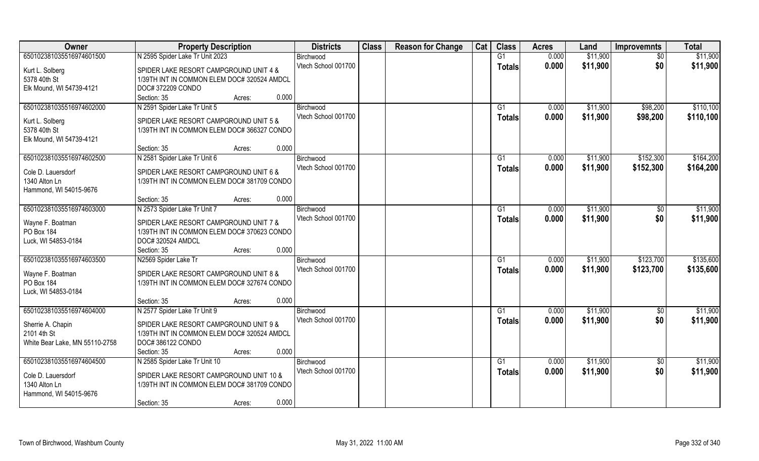| Owner                          | <b>Property Description</b>                 | <b>Districts</b>    | <b>Class</b> | <b>Reason for Change</b> | Cat | <b>Class</b>  | <b>Acres</b> | Land     | <b>Improvemnts</b> | <b>Total</b> |
|--------------------------------|---------------------------------------------|---------------------|--------------|--------------------------|-----|---------------|--------------|----------|--------------------|--------------|
| 650102381035516974601500       | N 2595 Spider Lake Tr Unit 2023             | Birchwood           |              |                          |     | G1            | 0.000        | \$11,900 | $\overline{50}$    | \$11,900     |
| Kurt L. Solberg                | SPIDER LAKE RESORT CAMPGROUND UNIT 4 &      | Vtech School 001700 |              |                          |     | <b>Totals</b> | 0.000        | \$11,900 | \$0                | \$11,900     |
| 5378 40th St                   | 1/39TH INT IN COMMON ELEM DOC# 320524 AMDCL |                     |              |                          |     |               |              |          |                    |              |
| Elk Mound, WI 54739-4121       | DOC# 372209 CONDO                           |                     |              |                          |     |               |              |          |                    |              |
|                                | 0.000<br>Section: 35<br>Acres:              |                     |              |                          |     |               |              |          |                    |              |
| 650102381035516974602000       | N 2591 Spider Lake Tr Unit 5                | Birchwood           |              |                          |     | G1            | 0.000        | \$11,900 | \$98,200           | \$110,100    |
| Kurt L. Solberg                | SPIDER LAKE RESORT CAMPGROUND UNIT 5 &      | Vtech School 001700 |              |                          |     | Totals        | 0.000        | \$11,900 | \$98,200           | \$110,100    |
| 5378 40th St                   | 1/39TH INT IN COMMON ELEM DOC# 366327 CONDO |                     |              |                          |     |               |              |          |                    |              |
| Elk Mound, WI 54739-4121       |                                             |                     |              |                          |     |               |              |          |                    |              |
|                                | 0.000<br>Section: 35<br>Acres:              |                     |              |                          |     |               |              |          |                    |              |
| 650102381035516974602500       | N 2581 Spider Lake Tr Unit 6                | Birchwood           |              |                          |     | G1            | 0.000        | \$11,900 | \$152,300          | \$164,200    |
| Cole D. Lauersdorf             | SPIDER LAKE RESORT CAMPGROUND UNIT 6 &      | Vtech School 001700 |              |                          |     | <b>Totals</b> | 0.000        | \$11,900 | \$152,300          | \$164,200    |
| 1340 Alton Ln                  | 1/39TH INT IN COMMON ELEM DOC# 381709 CONDO |                     |              |                          |     |               |              |          |                    |              |
| Hammond, WI 54015-9676         |                                             |                     |              |                          |     |               |              |          |                    |              |
|                                | 0.000<br>Section: 35<br>Acres:              |                     |              |                          |     |               |              |          |                    |              |
| 650102381035516974603000       | N 2573 Spider Lake Tr Unit 7                | Birchwood           |              |                          |     | G1            | 0.000        | \$11,900 | $\sqrt[6]{3}$      | \$11,900     |
| Wayne F. Boatman               | SPIDER LAKE RESORT CAMPGROUND UNIT 7 &      | Vtech School 001700 |              |                          |     | <b>Totals</b> | 0.000        | \$11,900 | \$0                | \$11,900     |
| PO Box 184                     | 1/39TH INT IN COMMON ELEM DOC# 370623 CONDO |                     |              |                          |     |               |              |          |                    |              |
| Luck, WI 54853-0184            | DOC# 320524 AMDCL                           |                     |              |                          |     |               |              |          |                    |              |
|                                | 0.000<br>Section: 35<br>Acres:              |                     |              |                          |     |               |              |          |                    |              |
| 650102381035516974603500       | N2569 Spider Lake Tr                        | Birchwood           |              |                          |     | G1            | 0.000        | \$11,900 | \$123,700          | \$135,600    |
| Wayne F. Boatman               | SPIDER LAKE RESORT CAMPGROUND UNIT 8 &      | Vtech School 001700 |              |                          |     | <b>Totals</b> | 0.000        | \$11,900 | \$123,700          | \$135,600    |
| PO Box 184                     | 1/39TH INT IN COMMON ELEM DOC# 327674 CONDO |                     |              |                          |     |               |              |          |                    |              |
| Luck, WI 54853-0184            |                                             |                     |              |                          |     |               |              |          |                    |              |
|                                | 0.000<br>Section: 35<br>Acres:              |                     |              |                          |     |               |              |          |                    |              |
| 650102381035516974604000       | N 2577 Spider Lake Tr Unit 9                | Birchwood           |              |                          |     | G1            | 0.000        | \$11,900 | \$0                | \$11,900     |
| Sherrie A. Chapin              | SPIDER LAKE RESORT CAMPGROUND UNIT 9 &      | Vtech School 001700 |              |                          |     | <b>Totals</b> | 0.000        | \$11,900 | \$0                | \$11,900     |
| 2101 4th St                    | 1/39TH INT IN COMMON ELEM DOC# 320524 AMDCL |                     |              |                          |     |               |              |          |                    |              |
| White Bear Lake, MN 55110-2758 | DOC#386122 CONDO                            |                     |              |                          |     |               |              |          |                    |              |
|                                | 0.000<br>Section: 35<br>Acres:              |                     |              |                          |     |               |              |          |                    |              |
| 650102381035516974604500       | N 2585 Spider Lake Tr Unit 10               | Birchwood           |              |                          |     | G1            | 0.000        | \$11,900 | $\sqrt{$0}$        | \$11,900     |
| Cole D. Lauersdorf             | SPIDER LAKE RESORT CAMPGROUND UNIT 10 &     | Vtech School 001700 |              |                          |     | <b>Totals</b> | 0.000        | \$11,900 | \$0                | \$11,900     |
| 1340 Alton Ln                  | 1/39TH INT IN COMMON ELEM DOC# 381709 CONDO |                     |              |                          |     |               |              |          |                    |              |
| Hammond, WI 54015-9676         |                                             |                     |              |                          |     |               |              |          |                    |              |
|                                | 0.000<br>Section: 35<br>Acres:              |                     |              |                          |     |               |              |          |                    |              |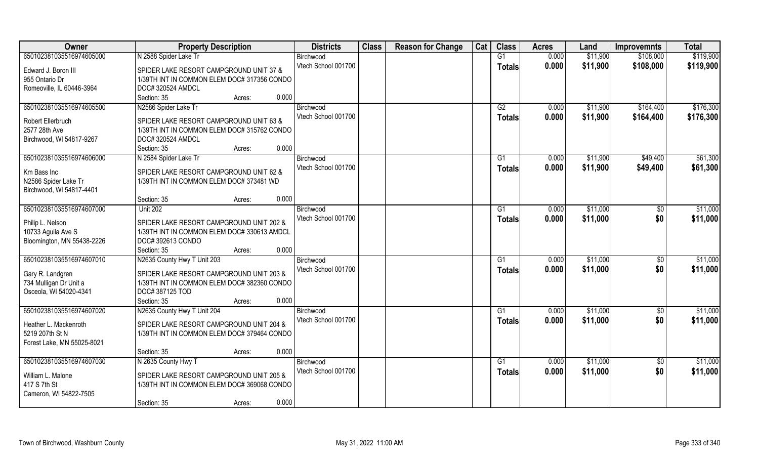| Owner                      | <b>Property Description</b>                 | <b>Districts</b>    | <b>Class</b> | <b>Reason for Change</b> | Cat | <b>Class</b>  | <b>Acres</b> | Land     | <b>Improvemnts</b> | <b>Total</b> |
|----------------------------|---------------------------------------------|---------------------|--------------|--------------------------|-----|---------------|--------------|----------|--------------------|--------------|
| 650102381035516974605000   | N 2588 Spider Lake Tr                       | Birchwood           |              |                          |     | G1            | 0.000        | \$11,900 | \$108,000          | \$119,900    |
| Edward J. Boron III        | SPIDER LAKE RESORT CAMPGROUND UNIT 37 &     | Vtech School 001700 |              |                          |     | <b>Totals</b> | 0.000        | \$11,900 | \$108,000          | \$119,900    |
| 955 Ontario Dr             | 1/39TH INT IN COMMON ELEM DOC# 317356 CONDO |                     |              |                          |     |               |              |          |                    |              |
| Romeoville, IL 60446-3964  | DOC# 320524 AMDCL                           |                     |              |                          |     |               |              |          |                    |              |
|                            | 0.000<br>Section: 35<br>Acres:              |                     |              |                          |     |               |              |          |                    |              |
| 650102381035516974605500   | N2586 Spider Lake Tr                        | Birchwood           |              |                          |     | G2            | 0.000        | \$11,900 | \$164,400          | \$176,300    |
|                            |                                             | Vtech School 001700 |              |                          |     | Totals        | 0.000        | \$11,900 | \$164,400          | \$176,300    |
| Robert Ellerbruch          | SPIDER LAKE RESORT CAMPGROUND UNIT 63 &     |                     |              |                          |     |               |              |          |                    |              |
| 2577 28th Ave              | 1/39TH INT IN COMMON ELEM DOC# 315762 CONDO |                     |              |                          |     |               |              |          |                    |              |
| Birchwood, WI 54817-9267   | DOC# 320524 AMDCL                           |                     |              |                          |     |               |              |          |                    |              |
|                            | 0.000<br>Section: 35<br>Acres:              |                     |              |                          |     |               |              |          |                    |              |
| 650102381035516974606000   | N 2584 Spider Lake Tr                       | Birchwood           |              |                          |     | G1            | 0.000        | \$11,900 | \$49,400           | \$61,300     |
| Km Bass Inc                | SPIDER LAKE RESORT CAMPGROUND UNIT 62 &     | Vtech School 001700 |              |                          |     | <b>Totals</b> | 0.000        | \$11,900 | \$49,400           | \$61,300     |
| N2586 Spider Lake Tr       | 1/39TH INT IN COMMON ELEM DOC# 373481 WD    |                     |              |                          |     |               |              |          |                    |              |
| Birchwood, WI 54817-4401   |                                             |                     |              |                          |     |               |              |          |                    |              |
|                            | 0.000<br>Section: 35<br>Acres:              |                     |              |                          |     |               |              |          |                    |              |
| 650102381035516974607000   | <b>Unit 202</b>                             | Birchwood           |              |                          |     | G1            | 0.000        | \$11,000 | \$0                | \$11,000     |
|                            |                                             | Vtech School 001700 |              |                          |     | <b>Totals</b> | 0.000        | \$11,000 | \$0                | \$11,000     |
| Philip L. Nelson           | SPIDER LAKE RESORT CAMPGROUND UNIT 202 &    |                     |              |                          |     |               |              |          |                    |              |
| 10733 Aguila Ave S         | 1/39TH INT IN COMMON ELEM DOC# 330613 AMDCL |                     |              |                          |     |               |              |          |                    |              |
| Bloomington, MN 55438-2226 | DOC# 392613 CONDO                           |                     |              |                          |     |               |              |          |                    |              |
|                            | 0.000<br>Section: 35<br>Acres:              |                     |              |                          |     |               |              |          |                    |              |
| 650102381035516974607010   | N2635 County Hwy T Unit 203                 | Birchwood           |              |                          |     | G1            | 0.000        | \$11,000 | \$0                | \$11,000     |
| Gary R. Landgren           | SPIDER LAKE RESORT CAMPGROUND UNIT 203 &    | Vtech School 001700 |              |                          |     | <b>Totals</b> | 0.000        | \$11,000 | \$0                | \$11,000     |
| 734 Mulligan Dr Unit a     | 1/39TH INT IN COMMON ELEM DOC# 382360 CONDO |                     |              |                          |     |               |              |          |                    |              |
| Osceola, WI 54020-4341     | DOC#387125 TOD                              |                     |              |                          |     |               |              |          |                    |              |
|                            | 0.000<br>Section: 35<br>Acres:              |                     |              |                          |     |               |              |          |                    |              |
| 650102381035516974607020   | N2635 County Hwy T Unit 204                 | Birchwood           |              |                          |     | G1            | 0.000        | \$11,000 | $\overline{50}$    | \$11,000     |
|                            |                                             | Vtech School 001700 |              |                          |     | <b>Totals</b> | 0.000        | \$11,000 | \$0                | \$11,000     |
| Heather L. Mackenroth      | SPIDER LAKE RESORT CAMPGROUND UNIT 204 &    |                     |              |                          |     |               |              |          |                    |              |
| 5219 207th St N            | 1/39TH INT IN COMMON ELEM DOC# 379464 CONDO |                     |              |                          |     |               |              |          |                    |              |
| Forest Lake, MN 55025-8021 |                                             |                     |              |                          |     |               |              |          |                    |              |
|                            | 0.000<br>Section: 35<br>Acres:              |                     |              |                          |     |               |              |          |                    |              |
| 650102381035516974607030   | N 2635 County Hwy T                         | Birchwood           |              |                          |     | G1            | 0.000        | \$11,000 | $\overline{50}$    | \$11,000     |
| William L. Malone          | SPIDER LAKE RESORT CAMPGROUND UNIT 205 &    | Vtech School 001700 |              |                          |     | Totals        | 0.000        | \$11,000 | \$0                | \$11,000     |
| 417 S 7th St               | 1/39TH INT IN COMMON ELEM DOC# 369068 CONDO |                     |              |                          |     |               |              |          |                    |              |
| Cameron, WI 54822-7505     |                                             |                     |              |                          |     |               |              |          |                    |              |
|                            | 0.000<br>Section: 35<br>Acres:              |                     |              |                          |     |               |              |          |                    |              |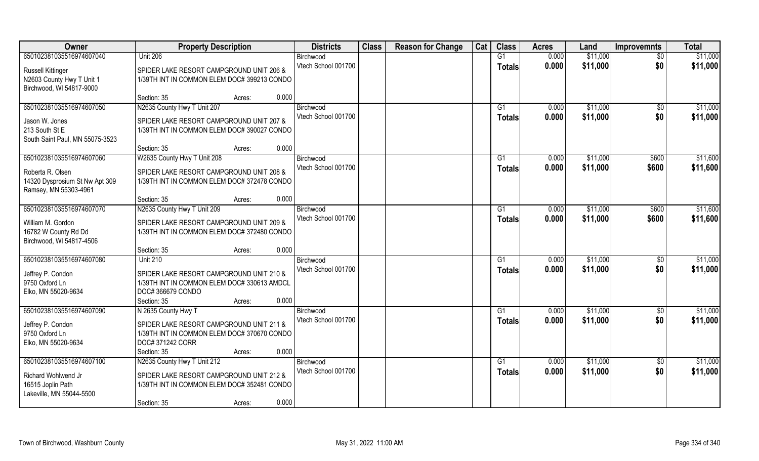| Owner                           | <b>Property Description</b>                 | <b>Districts</b>                 | <b>Class</b> | <b>Reason for Change</b> | Cat | <b>Class</b>  | <b>Acres</b> | Land     | <b>Improvemnts</b> | <b>Total</b> |
|---------------------------------|---------------------------------------------|----------------------------------|--------------|--------------------------|-----|---------------|--------------|----------|--------------------|--------------|
| 650102381035516974607040        | <b>Unit 206</b>                             | Birchwood                        |              |                          |     | G1            | 0.000        | \$11,000 | $\sqrt{6}$         | \$11,000     |
| <b>Russell Kittinger</b>        | SPIDER LAKE RESORT CAMPGROUND UNIT 206 &    | Vtech School 001700              |              |                          |     | <b>Totals</b> | 0.000        | \$11,000 | \$0                | \$11,000     |
| N2603 County Hwy T Unit 1       | 1/39TH INT IN COMMON ELEM DOC# 399213 CONDO |                                  |              |                          |     |               |              |          |                    |              |
| Birchwood, WI 54817-9000        |                                             |                                  |              |                          |     |               |              |          |                    |              |
|                                 | 0.000<br>Section: 35<br>Acres:              |                                  |              |                          |     |               |              |          |                    |              |
| 650102381035516974607050        | N2635 County Hwy T Unit 207                 | Birchwood                        |              |                          |     | G1            | 0.000        | \$11,000 | \$0                | \$11,000     |
| Jason W. Jones                  | SPIDER LAKE RESORT CAMPGROUND UNIT 207 &    | Vtech School 001700              |              |                          |     | Totals        | 0.000        | \$11,000 | \$0                | \$11,000     |
| 213 South St E                  | 1/39TH INT IN COMMON ELEM DOC# 390027 CONDO |                                  |              |                          |     |               |              |          |                    |              |
| South Saint Paul, MN 55075-3523 |                                             |                                  |              |                          |     |               |              |          |                    |              |
|                                 | 0.000<br>Section: 35<br>Acres:              |                                  |              |                          |     |               |              |          |                    |              |
| 650102381035516974607060        | W2635 County Hwy T Unit 208                 | Birchwood                        |              |                          |     | G1            | 0.000        | \$11,000 | \$600              | \$11,600     |
| Roberta R. Olsen                | SPIDER LAKE RESORT CAMPGROUND UNIT 208 &    | Vtech School 001700              |              |                          |     | <b>Totals</b> | 0.000        | \$11,000 | \$600              | \$11,600     |
| 14320 Dysprosium St Nw Apt 309  | 1/39TH INT IN COMMON ELEM DOC# 372478 CONDO |                                  |              |                          |     |               |              |          |                    |              |
| Ramsey, MN 55303-4961           |                                             |                                  |              |                          |     |               |              |          |                    |              |
|                                 | 0.000<br>Section: 35<br>Acres:              |                                  |              |                          |     |               |              |          |                    |              |
| 650102381035516974607070        | N2635 County Hwy T Unit 209                 | Birchwood                        |              |                          |     | G1            | 0.000        | \$11,000 | \$600              | \$11,600     |
| William M. Gordon               | SPIDER LAKE RESORT CAMPGROUND UNIT 209 &    | Vtech School 001700              |              |                          |     | <b>Totals</b> | 0.000        | \$11,000 | \$600              | \$11,600     |
| 16782 W County Rd Dd            | 1/39TH INT IN COMMON ELEM DOC# 372480 CONDO |                                  |              |                          |     |               |              |          |                    |              |
| Birchwood, WI 54817-4506        |                                             |                                  |              |                          |     |               |              |          |                    |              |
|                                 | 0.000<br>Section: 35<br>Acres:              |                                  |              |                          |     |               |              |          |                    |              |
| 650102381035516974607080        | <b>Unit 210</b>                             | Birchwood                        |              |                          |     | G1            | 0.000        | \$11,000 | \$0                | \$11,000     |
| Jeffrey P. Condon               | SPIDER LAKE RESORT CAMPGROUND UNIT 210 &    | Vtech School 001700              |              |                          |     | <b>Totals</b> | 0.000        | \$11,000 | \$0                | \$11,000     |
| 9750 Oxford Ln                  | 1/39TH INT IN COMMON ELEM DOC# 330613 AMDCL |                                  |              |                          |     |               |              |          |                    |              |
| Elko, MN 55020-9634             | DOC#366679 CONDO                            |                                  |              |                          |     |               |              |          |                    |              |
|                                 | 0.000<br>Section: 35<br>Acres:              |                                  |              |                          |     |               |              |          |                    |              |
| 650102381035516974607090        | N 2635 County Hwy T                         | Birchwood                        |              |                          |     | G1            | 0.000        | \$11,000 | $\overline{60}$    | \$11,000     |
| Jeffrey P. Condon               | SPIDER LAKE RESORT CAMPGROUND UNIT 211 &    | Vtech School 001700              |              |                          |     | <b>Totals</b> | 0.000        | \$11,000 | \$0                | \$11,000     |
| 9750 Oxford Ln                  | 1/39TH INT IN COMMON ELEM DOC# 370670 CONDO |                                  |              |                          |     |               |              |          |                    |              |
| Elko, MN 55020-9634             | DOC# 371242 CORR                            |                                  |              |                          |     |               |              |          |                    |              |
|                                 | 0.000<br>Section: 35<br>Acres:              |                                  |              |                          |     |               |              |          |                    |              |
| 650102381035516974607100        | N2635 County Hwy T Unit 212                 | Birchwood<br>Vtech School 001700 |              |                          |     | G1            | 0.000        | \$11,000 | $\overline{50}$    | \$11,000     |
| Richard Wohlwend Jr             | SPIDER LAKE RESORT CAMPGROUND UNIT 212 &    |                                  |              |                          |     | Totals        | 0.000        | \$11,000 | \$0                | \$11,000     |
| 16515 Joplin Path               | 1/39TH INT IN COMMON ELEM DOC# 352481 CONDO |                                  |              |                          |     |               |              |          |                    |              |
| Lakeville, MN 55044-5500        |                                             |                                  |              |                          |     |               |              |          |                    |              |
|                                 | 0.000<br>Section: 35<br>Acres:              |                                  |              |                          |     |               |              |          |                    |              |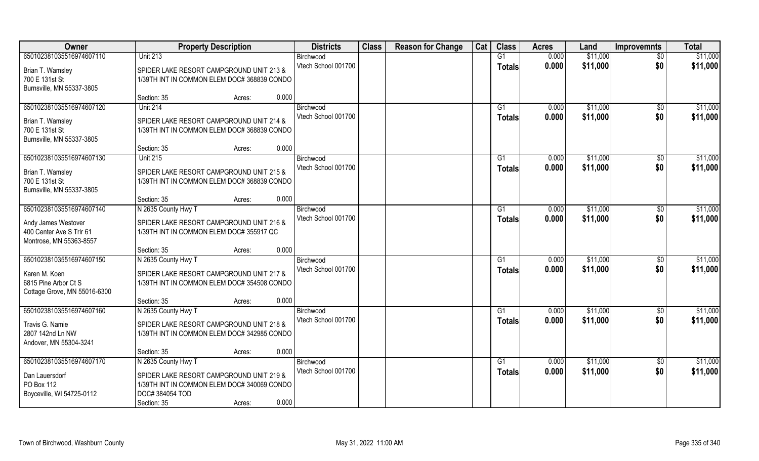| Owner                        | <b>Property Description</b>                                    | <b>Districts</b>    | <b>Class</b> | <b>Reason for Change</b> | Cat | <b>Class</b>   | <b>Acres</b> | Land     | <b>Improvemnts</b> | <b>Total</b> |
|------------------------------|----------------------------------------------------------------|---------------------|--------------|--------------------------|-----|----------------|--------------|----------|--------------------|--------------|
| 650102381035516974607110     | <b>Unit 213</b>                                                | Birchwood           |              |                          |     | G1             | 0.000        | \$11,000 | \$0                | \$11,000     |
| Brian T. Wamsley             | SPIDER LAKE RESORT CAMPGROUND UNIT 213 &                       | Vtech School 001700 |              |                          |     | <b>Totals</b>  | 0.000        | \$11,000 | \$0                | \$11,000     |
| 700 E 131st St               | 1/39TH INT IN COMMON ELEM DOC# 368839 CONDO                    |                     |              |                          |     |                |              |          |                    |              |
| Burnsville, MN 55337-3805    |                                                                |                     |              |                          |     |                |              |          |                    |              |
|                              | 0.000<br>Section: 35<br>Acres:                                 |                     |              |                          |     |                |              |          |                    |              |
| 650102381035516974607120     | <b>Unit 214</b>                                                | Birchwood           |              |                          |     | G <sub>1</sub> | 0.000        | \$11,000 | \$0                | \$11,000     |
| Brian T. Wamsley             | SPIDER LAKE RESORT CAMPGROUND UNIT 214 &                       | Vtech School 001700 |              |                          |     | <b>Totals</b>  | 0.000        | \$11,000 | \$0                | \$11,000     |
| 700 E 131st St               | 1/39TH INT IN COMMON ELEM DOC# 368839 CONDO                    |                     |              |                          |     |                |              |          |                    |              |
| Burnsville, MN 55337-3805    |                                                                |                     |              |                          |     |                |              |          |                    |              |
|                              | 0.000<br>Section: 35<br>Acres:                                 |                     |              |                          |     |                |              |          |                    |              |
| 650102381035516974607130     | <b>Unit 215</b>                                                | Birchwood           |              |                          |     | G1             | 0.000        | \$11,000 | \$0                | \$11,000     |
| Brian T. Wamsley             | SPIDER LAKE RESORT CAMPGROUND UNIT 215 &                       | Vtech School 001700 |              |                          |     | <b>Totals</b>  | 0.000        | \$11,000 | \$0                | \$11,000     |
| 700 E 131st St               | 1/39TH INT IN COMMON ELEM DOC# 368839 CONDO                    |                     |              |                          |     |                |              |          |                    |              |
| Burnsville, MN 55337-3805    |                                                                |                     |              |                          |     |                |              |          |                    |              |
|                              | 0.000<br>Section: 35<br>Acres:                                 |                     |              |                          |     |                |              |          |                    |              |
| 650102381035516974607140     | N 2635 County Hwy T                                            | Birchwood           |              |                          |     | G <sub>1</sub> | 0.000        | \$11,000 | \$0                | \$11,000     |
| Andy James Westover          | SPIDER LAKE RESORT CAMPGROUND UNIT 216 &                       | Vtech School 001700 |              |                          |     | <b>Totals</b>  | 0.000        | \$11,000 | \$0                | \$11,000     |
| 400 Center Ave S Trlr 61     | 1/39TH INT IN COMMON ELEM DOC# 355917 QC                       |                     |              |                          |     |                |              |          |                    |              |
| Montrose, MN 55363-8557      |                                                                |                     |              |                          |     |                |              |          |                    |              |
|                              | 0.000<br>Section: 35<br>Acres:                                 |                     |              |                          |     |                |              |          |                    |              |
| 650102381035516974607150     | N 2635 County Hwy T                                            | Birchwood           |              |                          |     | G1             | 0.000        | \$11,000 | \$0                | \$11,000     |
| Karen M. Koen                | SPIDER LAKE RESORT CAMPGROUND UNIT 217 &                       | Vtech School 001700 |              |                          |     | <b>Totals</b>  | 0.000        | \$11,000 | \$0                | \$11,000     |
| 6815 Pine Arbor Ct S         | 1/39TH INT IN COMMON ELEM DOC# 354508 CONDO                    |                     |              |                          |     |                |              |          |                    |              |
| Cottage Grove, MN 55016-6300 |                                                                |                     |              |                          |     |                |              |          |                    |              |
|                              | 0.000<br>Section: 35<br>Acres:                                 |                     |              |                          |     |                |              |          |                    |              |
| 650102381035516974607160     | N 2635 County Hwy T                                            | Birchwood           |              |                          |     | G1             | 0.000        | \$11,000 | \$0                | \$11,000     |
| Travis G. Namie              | SPIDER LAKE RESORT CAMPGROUND UNIT 218 &                       | Vtech School 001700 |              |                          |     | <b>Totals</b>  | 0.000        | \$11,000 | \$0                | \$11,000     |
| 2807 142nd Ln NW             | 1/39TH INT IN COMMON ELEM DOC# 342985 CONDO                    |                     |              |                          |     |                |              |          |                    |              |
| Andover, MN 55304-3241       |                                                                |                     |              |                          |     |                |              |          |                    |              |
|                              | 0.000<br>Section: 35<br>Acres:                                 |                     |              |                          |     |                |              |          |                    |              |
| 650102381035516974607170     | N 2635 County Hwy T                                            | Birchwood           |              |                          |     | G1             | 0.000        | \$11,000 | $\overline{50}$    | \$11,000     |
|                              |                                                                | Vtech School 001700 |              |                          |     | <b>Totals</b>  | 0.000        | \$11,000 | \$0                | \$11,000     |
| Dan Lauersdorf<br>PO Box 112 | SPIDER LAKE RESORT CAMPGROUND UNIT 219 &                       |                     |              |                          |     |                |              |          |                    |              |
| Boyceville, WI 54725-0112    | 1/39TH INT IN COMMON ELEM DOC# 340069 CONDO<br>DOC# 384054 TOD |                     |              |                          |     |                |              |          |                    |              |
|                              | 0.000<br>Section: 35<br>Acres:                                 |                     |              |                          |     |                |              |          |                    |              |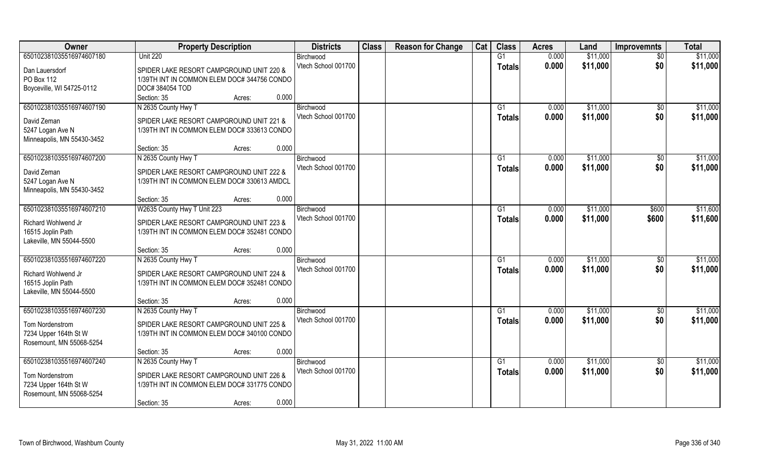| Owner                      | <b>Property Description</b>                 | <b>Districts</b>                 | <b>Class</b> | <b>Reason for Change</b> | Cat | <b>Class</b>   | <b>Acres</b> | Land     | <b>Improvemnts</b> | <b>Total</b> |
|----------------------------|---------------------------------------------|----------------------------------|--------------|--------------------------|-----|----------------|--------------|----------|--------------------|--------------|
| 650102381035516974607180   | <b>Unit 220</b>                             | Birchwood                        |              |                          |     | G1             | 0.000        | \$11,000 | \$0                | \$11,000     |
| Dan Lauersdorf             | SPIDER LAKE RESORT CAMPGROUND UNIT 220 &    | Vtech School 001700              |              |                          |     | <b>Totals</b>  | 0.000        | \$11,000 | \$0                | \$11,000     |
| PO Box 112                 | 1/39TH INT IN COMMON ELEM DOC# 344756 CONDO |                                  |              |                          |     |                |              |          |                    |              |
| Boyceville, WI 54725-0112  | DOC#384054 TOD                              |                                  |              |                          |     |                |              |          |                    |              |
|                            | 0.000<br>Section: 35<br>Acres:              |                                  |              |                          |     |                |              |          |                    |              |
| 650102381035516974607190   | N 2635 County Hwy T                         | Birchwood                        |              |                          |     | G <sub>1</sub> | 0.000        | \$11,000 | \$0                | \$11,000     |
|                            |                                             | Vtech School 001700              |              |                          |     | <b>Totals</b>  | 0.000        | \$11,000 | \$0                | \$11,000     |
| David Zeman                | SPIDER LAKE RESORT CAMPGROUND UNIT 221 &    |                                  |              |                          |     |                |              |          |                    |              |
| 5247 Logan Ave N           | 1/39TH INT IN COMMON ELEM DOC# 333613 CONDO |                                  |              |                          |     |                |              |          |                    |              |
| Minneapolis, MN 55430-3452 | 0.000<br>Section: 35                        |                                  |              |                          |     |                |              |          |                    |              |
| 650102381035516974607200   | Acres:                                      |                                  |              |                          |     |                | 0.000        | \$11,000 |                    | \$11,000     |
|                            | N 2635 County Hwy T                         | Birchwood<br>Vtech School 001700 |              |                          |     | G <sub>1</sub> |              |          | $\sqrt[6]{3}$      |              |
| David Zeman                | SPIDER LAKE RESORT CAMPGROUND UNIT 222 &    |                                  |              |                          |     | <b>Totals</b>  | 0.000        | \$11,000 | \$0                | \$11,000     |
| 5247 Logan Ave N           | 1/39TH INT IN COMMON ELEM DOC# 330613 AMDCL |                                  |              |                          |     |                |              |          |                    |              |
| Minneapolis, MN 55430-3452 |                                             |                                  |              |                          |     |                |              |          |                    |              |
|                            | 0.000<br>Section: 35<br>Acres:              |                                  |              |                          |     |                |              |          |                    |              |
| 650102381035516974607210   | W2635 County Hwy T Unit 223                 | Birchwood                        |              |                          |     | G <sub>1</sub> | 0.000        | \$11,000 | \$600              | \$11,600     |
| Richard Wohlwend Jr        | SPIDER LAKE RESORT CAMPGROUND UNIT 223 &    | Vtech School 001700              |              |                          |     | <b>Totals</b>  | 0.000        | \$11,000 | \$600              | \$11,600     |
| 16515 Joplin Path          | 1/39TH INT IN COMMON ELEM DOC# 352481 CONDO |                                  |              |                          |     |                |              |          |                    |              |
| Lakeville, MN 55044-5500   |                                             |                                  |              |                          |     |                |              |          |                    |              |
|                            | 0.000<br>Section: 35<br>Acres:              |                                  |              |                          |     |                |              |          |                    |              |
| 650102381035516974607220   | N 2635 County Hwy T                         | Birchwood                        |              |                          |     | G1             | 0.000        | \$11,000 | \$0                | \$11,000     |
|                            |                                             | Vtech School 001700              |              |                          |     | <b>Totals</b>  | 0.000        | \$11,000 | \$0                | \$11,000     |
| Richard Wohlwend Jr        | SPIDER LAKE RESORT CAMPGROUND UNIT 224 &    |                                  |              |                          |     |                |              |          |                    |              |
| 16515 Joplin Path          | 1/39TH INT IN COMMON ELEM DOC# 352481 CONDO |                                  |              |                          |     |                |              |          |                    |              |
| Lakeville, MN 55044-5500   | 0.000                                       |                                  |              |                          |     |                |              |          |                    |              |
| 650102381035516974607230   | Section: 35<br>Acres:                       |                                  |              |                          |     |                |              | \$11,000 |                    | \$11,000     |
|                            | N 2635 County Hwy T                         | Birchwood<br>Vtech School 001700 |              |                          |     | G1             | 0.000        |          | \$0<br>\$0         |              |
| Tom Nordenstrom            | SPIDER LAKE RESORT CAMPGROUND UNIT 225 &    |                                  |              |                          |     | <b>Totals</b>  | 0.000        | \$11,000 |                    | \$11,000     |
| 7234 Upper 164th St W      | 1/39TH INT IN COMMON ELEM DOC# 340100 CONDO |                                  |              |                          |     |                |              |          |                    |              |
| Rosemount, MN 55068-5254   |                                             |                                  |              |                          |     |                |              |          |                    |              |
|                            | 0.000<br>Section: 35<br>Acres:              |                                  |              |                          |     |                |              |          |                    |              |
| 650102381035516974607240   | N 2635 County Hwy T                         | Birchwood                        |              |                          |     | G <sub>1</sub> | 0.000        | \$11,000 | $\overline{50}$    | \$11,000     |
| Tom Nordenstrom            | SPIDER LAKE RESORT CAMPGROUND UNIT 226 &    | Vtech School 001700              |              |                          |     | Totals         | 0.000        | \$11,000 | \$0                | \$11,000     |
| 7234 Upper 164th St W      | 1/39TH INT IN COMMON ELEM DOC# 331775 CONDO |                                  |              |                          |     |                |              |          |                    |              |
| Rosemount, MN 55068-5254   |                                             |                                  |              |                          |     |                |              |          |                    |              |
|                            | 0.000<br>Section: 35<br>Acres:              |                                  |              |                          |     |                |              |          |                    |              |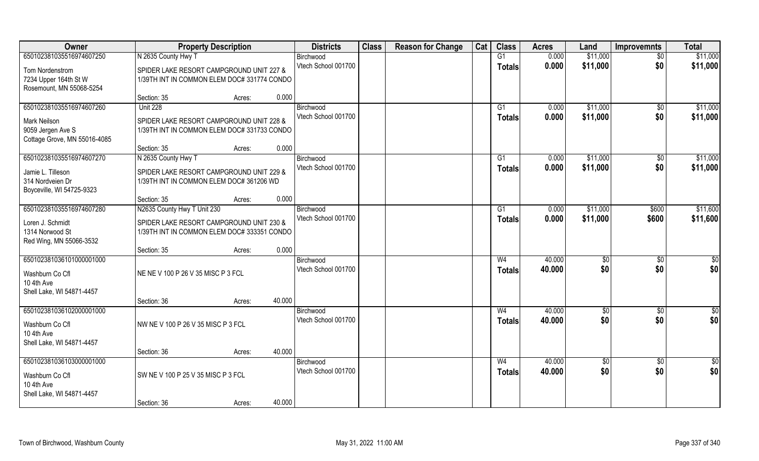| Owner                                                                                  |                                                                                         | <b>Property Description</b>                                                             |        | <b>Districts</b>                 | <b>Class</b> | <b>Reason for Change</b> | Cat | <b>Class</b>                    | <b>Acres</b>     | Land        | <b>Improvemnts</b>     | <b>Total</b>           |
|----------------------------------------------------------------------------------------|-----------------------------------------------------------------------------------------|-----------------------------------------------------------------------------------------|--------|----------------------------------|--------------|--------------------------|-----|---------------------------------|------------------|-------------|------------------------|------------------------|
| 650102381035516974607250                                                               | N 2635 County Hwy T                                                                     |                                                                                         |        | Birchwood                        |              |                          |     | G1                              | 0.000            | \$11,000    | $\sqrt{6}$             | \$11,000               |
| Tom Nordenstrom<br>7234 Upper 164th St W<br>Rosemount, MN 55068-5254                   | SPIDER LAKE RESORT CAMPGROUND UNIT 227 &<br>1/39TH INT IN COMMON ELEM DOC# 331774 CONDO |                                                                                         |        | Vtech School 001700              |              |                          |     | <b>Totals</b>                   | 0.000            | \$11,000    | \$0                    | \$11,000               |
|                                                                                        | Section: 35                                                                             | Acres:                                                                                  | 0.000  |                                  |              |                          |     |                                 |                  |             |                        |                        |
| 650102381035516974607260                                                               | <b>Unit 228</b>                                                                         |                                                                                         |        | Birchwood                        |              |                          |     | G1                              | 0.000            | \$11,000    | $\sqrt{$0}$            | \$11,000               |
| Mark Neilson<br>9059 Jergen Ave S<br>Cottage Grove, MN 55016-4085                      | SPIDER LAKE RESORT CAMPGROUND UNIT 228 &<br>1/39TH INT IN COMMON ELEM DOC# 331733 CONDO |                                                                                         |        | Vtech School 001700              |              |                          |     | <b>Totals</b>                   | 0.000            | \$11,000    | \$0                    | \$11,000               |
|                                                                                        | Section: 35                                                                             | Acres:                                                                                  | 0.000  |                                  |              |                          |     |                                 |                  |             |                        |                        |
| 650102381035516974607270                                                               | N 2635 County Hwy T                                                                     |                                                                                         |        | Birchwood                        |              |                          |     | G1                              | 0.000            | \$11,000    | \$0                    | \$11,000               |
| Jamie L. Tilleson<br>314 Nordveien Dr<br>Boyceville, WI 54725-9323                     | SPIDER LAKE RESORT CAMPGROUND UNIT 229 &<br>1/39TH INT IN COMMON ELEM DOC# 361206 WD    |                                                                                         |        | Vtech School 001700              |              |                          |     | <b>Totals</b>                   | 0.000            | \$11,000    | \$0                    | \$11,000               |
|                                                                                        | Section: 35                                                                             | Acres:                                                                                  | 0.000  |                                  |              |                          |     |                                 |                  |             |                        |                        |
| 650102381035516974607280                                                               | N2635 County Hwy T Unit 230                                                             |                                                                                         |        | Birchwood<br>Vtech School 001700 |              |                          |     | G1                              | 0.000            | \$11,000    | \$600                  | \$11,600               |
| Loren J. Schmidt<br>1314 Norwood St<br>Red Wing, MN 55066-3532                         |                                                                                         | SPIDER LAKE RESORT CAMPGROUND UNIT 230 &<br>1/39TH INT IN COMMON ELEM DOC# 333351 CONDO |        |                                  |              |                          |     | <b>Totals</b>                   | 0.000            | \$11,000    | \$600                  | \$11,600               |
|                                                                                        | Section: 35                                                                             | Acres:                                                                                  | 0.000  |                                  |              |                          |     |                                 |                  |             |                        |                        |
| 650102381036101000001000<br>Washburn Co Cfl<br>10 4th Ave<br>Shell Lake, WI 54871-4457 | NE NE V 100 P 26 V 35 MISC P 3 FCL                                                      |                                                                                         |        | Birchwood<br>Vtech School 001700 |              |                          |     | W <sub>4</sub><br><b>Totals</b> | 40.000<br>40.000 | \$0<br>\$0  | $\overline{50}$<br>\$0 | $\overline{50}$<br>\$0 |
|                                                                                        | Section: 36                                                                             | Acres:                                                                                  | 40.000 |                                  |              |                          |     |                                 |                  |             |                        |                        |
| 650102381036102000001000<br>Washburn Co Cfl<br>10 4th Ave<br>Shell Lake, WI 54871-4457 | NW NEV 100 P 26 V 35 MISC P 3 FCL                                                       |                                                                                         |        | Birchwood<br>Vtech School 001700 |              |                          |     | W <sub>4</sub><br><b>Totals</b> | 40.000<br>40.000 | \$0<br>\$0  | $\sqrt{$0}$<br>\$0     | \$0<br>\$0             |
|                                                                                        | Section: 36                                                                             | Acres:                                                                                  | 40.000 |                                  |              |                          |     |                                 |                  |             |                        |                        |
| 650102381036103000001000                                                               |                                                                                         |                                                                                         |        | Birchwood                        |              |                          |     | W <sub>4</sub>                  | 40.000           | $\sqrt{$0}$ | $\sqrt{$0}$            | $\overline{50}$        |
| Washburn Co Cfl<br>10 4th Ave<br>Shell Lake, WI 54871-4457                             | SW NE V 100 P 25 V 35 MISC P 3 FCL                                                      |                                                                                         |        | Vtech School 001700              |              |                          |     | <b>Totals</b>                   | 40.000           | \$0         | \$0                    | \$0                    |
|                                                                                        | Section: 36                                                                             | Acres:                                                                                  | 40.000 |                                  |              |                          |     |                                 |                  |             |                        |                        |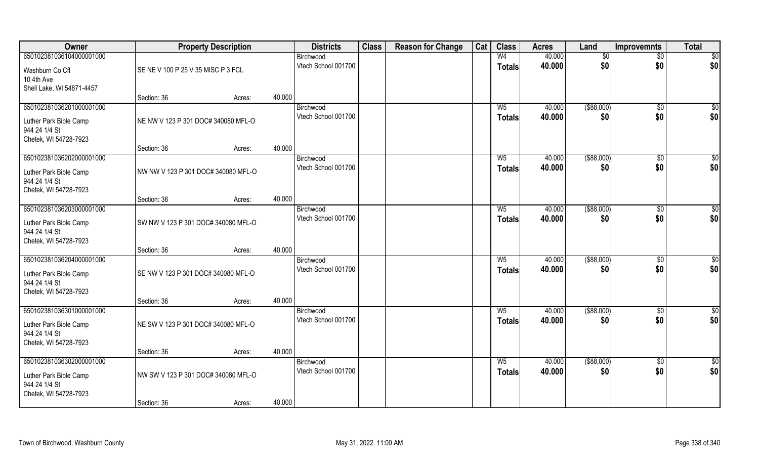| Owner                                   | <b>Property Description</b>         |        | <b>Districts</b> | <b>Class</b>                     | <b>Reason for Change</b> | Cat | <b>Class</b> | <b>Acres</b>   | Land             | <b>Improvemnts</b>   | <b>Total</b>         |                 |
|-----------------------------------------|-------------------------------------|--------|------------------|----------------------------------|--------------------------|-----|--------------|----------------|------------------|----------------------|----------------------|-----------------|
| 650102381036104000001000                |                                     |        |                  | Birchwood                        |                          |     |              | W <sub>4</sub> | 40.000           | $\sqrt{$0}$          | $\sqrt{$0}$          | \$0             |
| Washburn Co Cfl<br>10 4th Ave           | SE NE V 100 P 25 V 35 MISC P 3 FCL  |        |                  | Vtech School 001700              |                          |     |              | <b>Totals</b>  | 40.000           | \$0                  | \$0                  | \$0             |
| Shell Lake, WI 54871-4457               |                                     |        |                  |                                  |                          |     |              |                |                  |                      |                      |                 |
|                                         | Section: 36                         | Acres: | 40.000           |                                  |                          |     |              |                |                  |                      |                      |                 |
| 650102381036201000001000                |                                     |        |                  | Birchwood                        |                          |     |              | W <sub>5</sub> | 40.000           | ( \$88,000)          | \$0                  | $\overline{50}$ |
| Luther Park Bible Camp                  | NE NW V 123 P 301 DOC# 340080 MFL-O |        |                  | Vtech School 001700              |                          |     |              | <b>Totals</b>  | 40.000           | \$0                  | \$0                  | \$0             |
| 944 24 1/4 St                           |                                     |        |                  |                                  |                          |     |              |                |                  |                      |                      |                 |
| Chetek, WI 54728-7923                   |                                     |        |                  |                                  |                          |     |              |                |                  |                      |                      |                 |
|                                         | Section: 36                         | Acres: | 40.000           |                                  |                          |     |              |                |                  |                      |                      |                 |
| 650102381036202000001000                |                                     |        |                  | Birchwood                        |                          |     |              | $W_5$          | 40.000           | ( \$88,000)          | $\overline{50}$      | $\sqrt{50}$     |
| Luther Park Bible Camp                  | NW NW V 123 P 301 DOC# 340080 MFL-O |        |                  | Vtech School 001700              |                          |     |              | <b>Totals</b>  | 40.000           | \$0                  | \$0                  | \$0             |
| 944 24 1/4 St                           |                                     |        |                  |                                  |                          |     |              |                |                  |                      |                      |                 |
| Chetek, WI 54728-7923                   |                                     |        |                  |                                  |                          |     |              |                |                  |                      |                      |                 |
|                                         | Section: 36                         | Acres: | 40.000           |                                  |                          |     |              |                |                  |                      |                      |                 |
| 650102381036203000001000                |                                     |        |                  | Birchwood<br>Vtech School 001700 |                          |     |              | $W_5$          | 40.000<br>40.000 | $($ \$88,000)<br>\$0 | $\sqrt[6]{3}$<br>\$0 | $\sqrt{50}$     |
| Luther Park Bible Camp                  | SW NW V 123 P 301 DOC# 340080 MFL-O |        |                  |                                  |                          |     |              | <b>Totals</b>  |                  |                      |                      | \$0             |
| 944 24 1/4 St                           |                                     |        |                  |                                  |                          |     |              |                |                  |                      |                      |                 |
| Chetek, WI 54728-7923                   | Section: 36                         |        | 40.000           |                                  |                          |     |              |                |                  |                      |                      |                 |
| 650102381036204000001000                |                                     | Acres: |                  | Birchwood                        |                          |     |              | $W_5$          | 40.000           | ( \$88,000)          | \$0                  | $\sqrt{50}$     |
|                                         |                                     |        |                  | Vtech School 001700              |                          |     |              | Totals         | 40.000           | \$0                  | \$0                  | \$0             |
| Luther Park Bible Camp                  | SE NW V 123 P 301 DOC# 340080 MFL-O |        |                  |                                  |                          |     |              |                |                  |                      |                      |                 |
| 944 24 1/4 St<br>Chetek, WI 54728-7923  |                                     |        |                  |                                  |                          |     |              |                |                  |                      |                      |                 |
|                                         | Section: 36                         | Acres: | 40.000           |                                  |                          |     |              |                |                  |                      |                      |                 |
| 650102381036301000001000                |                                     |        |                  | Birchwood                        |                          |     |              | $W_5$          | 40.000           | ( \$88,000)          | $\overline{60}$      | \$0             |
|                                         |                                     |        |                  | Vtech School 001700              |                          |     |              | <b>Totals</b>  | 40.000           | \$0                  | \$0                  | \$0             |
| Luther Park Bible Camp<br>944 24 1/4 St | NE SW V 123 P 301 DOC# 340080 MFL-O |        |                  |                                  |                          |     |              |                |                  |                      |                      |                 |
| Chetek, WI 54728-7923                   |                                     |        |                  |                                  |                          |     |              |                |                  |                      |                      |                 |
|                                         | Section: 36                         | Acres: | 40.000           |                                  |                          |     |              |                |                  |                      |                      |                 |
| 650102381036302000001000                |                                     |        |                  | Birchwood                        |                          |     |              | $W_5$          | 40.000           | ( \$88,000)          | $\overline{60}$      | $\overline{50}$ |
| Luther Park Bible Camp                  | NW SW V 123 P 301 DOC# 340080 MFL-O |        |                  | Vtech School 001700              |                          |     |              | <b>Totals</b>  | 40.000           | \$0                  | \$0                  | \$0             |
| 944 24 1/4 St                           |                                     |        |                  |                                  |                          |     |              |                |                  |                      |                      |                 |
| Chetek, WI 54728-7923                   |                                     |        |                  |                                  |                          |     |              |                |                  |                      |                      |                 |
|                                         | Section: 36                         | Acres: | 40.000           |                                  |                          |     |              |                |                  |                      |                      |                 |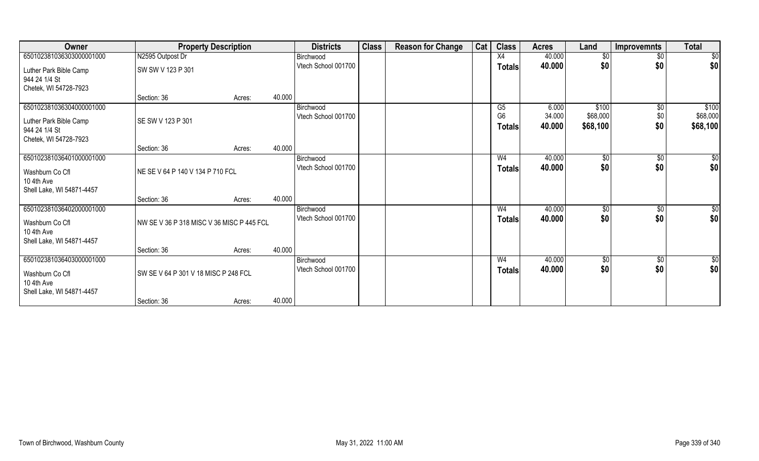| Owner                                                                                        |                                           | <b>Property Description</b> |        | <b>Districts</b>                 | <b>Class</b> | <b>Reason for Change</b> | Cat | <b>Class</b>                          | <b>Acres</b>              | Land                          | <b>Improvemnts</b>            | <b>Total</b>                  |
|----------------------------------------------------------------------------------------------|-------------------------------------------|-----------------------------|--------|----------------------------------|--------------|--------------------------|-----|---------------------------------------|---------------------------|-------------------------------|-------------------------------|-------------------------------|
| 650102381036303000001000                                                                     | N2595 Outpost Dr                          |                             |        | Birchwood                        |              |                          |     | X4                                    | 40.000                    | $\sqrt{6}$                    | $\overline{50}$               | $\overline{50}$               |
| Luther Park Bible Camp<br>944 24 1/4 St<br>Chetek, WI 54728-7923                             | SW SW V 123 P 301                         |                             |        | Vtech School 001700              |              |                          |     | <b>Totals</b>                         | 40.000                    | \$0                           | \$0                           | \$0                           |
|                                                                                              | Section: 36                               | Acres:                      | 40.000 |                                  |              |                          |     |                                       |                           |                               |                               |                               |
| 650102381036304000001000<br>Luther Park Bible Camp<br>944 24 1/4 St<br>Chetek, WI 54728-7923 | SE SW V 123 P 301                         |                             |        | Birchwood<br>Vtech School 001700 |              |                          |     | G5<br>G <sub>6</sub><br><b>Totals</b> | 6.000<br>34.000<br>40.000 | \$100<br>\$68,000<br>\$68,100 | $\overline{50}$<br>\$0<br>\$0 | \$100<br>\$68,000<br>\$68,100 |
|                                                                                              | Section: 36                               | Acres:                      | 40.000 |                                  |              |                          |     |                                       |                           |                               |                               |                               |
| 650102381036401000001000<br>Washburn Co Cfl<br>10 4th Ave<br>Shell Lake, WI 54871-4457       | NE SE V 64 P 140 V 134 P 710 FCL          |                             |        | Birchwood<br>Vtech School 001700 |              |                          |     | W <sub>4</sub><br><b>Totals</b>       | 40.000<br>40.000          | $\sqrt[6]{}$<br>\$0           | $\sqrt{6}$<br>\$0             | $\sqrt{50}$<br>\$0            |
|                                                                                              | Section: 36                               | Acres:                      | 40.000 |                                  |              |                          |     |                                       |                           |                               |                               |                               |
| 650102381036402000001000<br>Washburn Co Cfl<br>10 4th Ave<br>Shell Lake, WI 54871-4457       | NW SE V 36 P 318 MISC V 36 MISC P 445 FCL |                             |        | Birchwood<br>Vtech School 001700 |              |                          |     | W4<br>Totals                          | 40.000<br>40.000          | \$0<br>\$0                    | $\sqrt[6]{}$<br>\$0           | $\sqrt{50}$<br>\$0            |
|                                                                                              | Section: 36                               | Acres:                      | 40.000 |                                  |              |                          |     |                                       |                           |                               |                               |                               |
| 650102381036403000001000<br>Washburn Co Cfl<br>10 4th Ave<br>Shell Lake, WI 54871-4457       | SW SE V 64 P 301 V 18 MISC P 248 FCL      |                             |        | Birchwood<br>Vtech School 001700 |              |                          |     | W <sub>4</sub><br><b>Totals</b>       | 40.000<br>40.000          | \$0<br>\$0                    | \$0<br>\$0                    | $\overline{50}$<br>\$0        |
|                                                                                              | Section: 36                               | Acres:                      | 40.000 |                                  |              |                          |     |                                       |                           |                               |                               |                               |